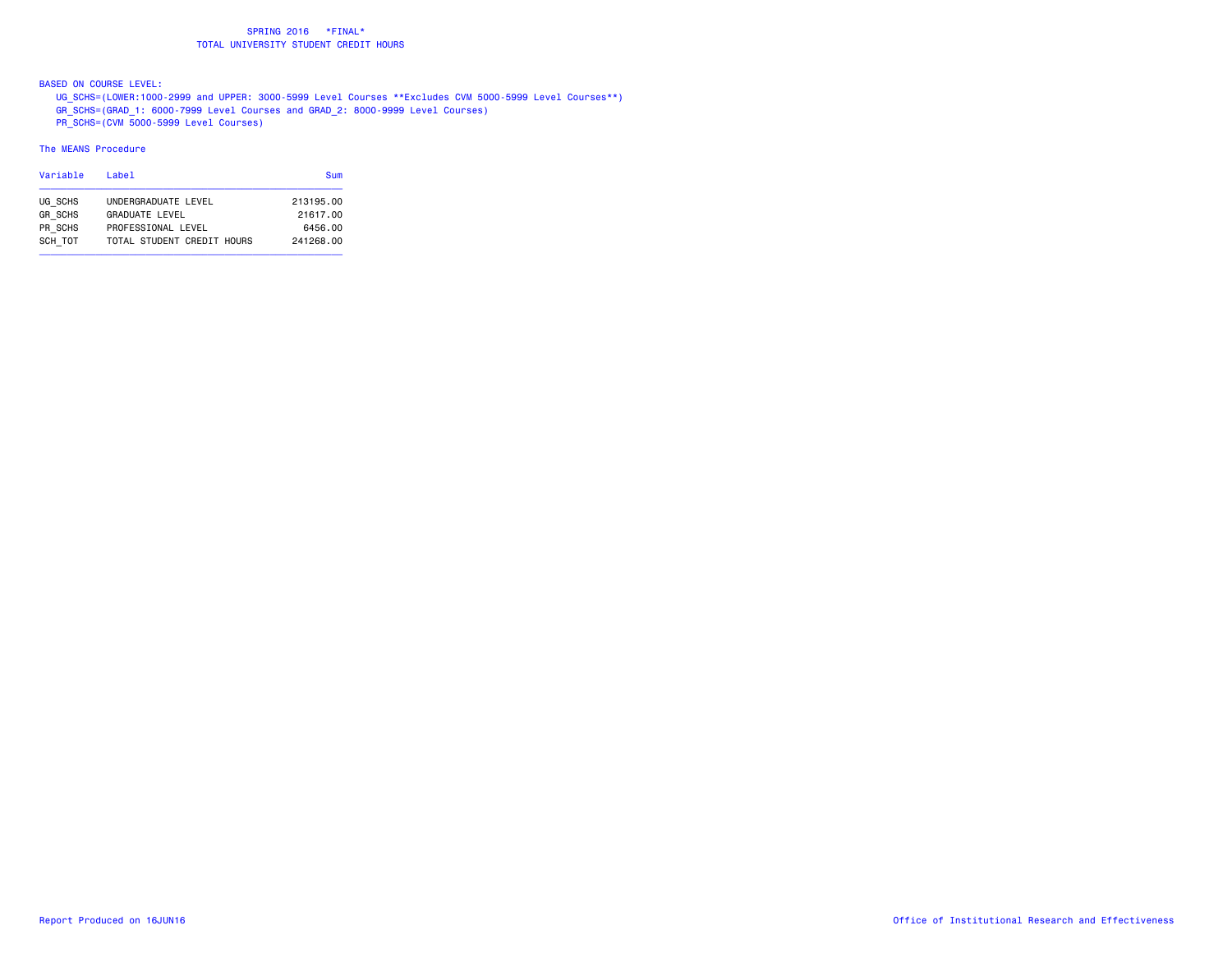BASED ON COURSE LEVEL:

 UG\_SCHS=(LOWER:1000-2999 and UPPER: 3000-5999 Level Courses \*\*Excludes CVM 5000-5999 Level Courses\*\*) GR\_SCHS=(GRAD\_1: 6000-7999 Level Courses and GRAD\_2: 8000-9999 Level Courses)

PR\_SCHS=(CVM 5000-5999 Level Courses)

| Variable       | Label                      | <b>Sum</b> |
|----------------|----------------------------|------------|
| UG SCHS        | UNDERGRADUATE LEVEL        | 213195.00  |
| <b>GR SCHS</b> | <b>GRADUATE LEVEL</b>      | 21617.00   |
| PR SCHS        | PROFESSIONAL LEVEL         | 6456.00    |
| SCH TOT        | TOTAL STUDENT CREDIT HOURS | 241268.00  |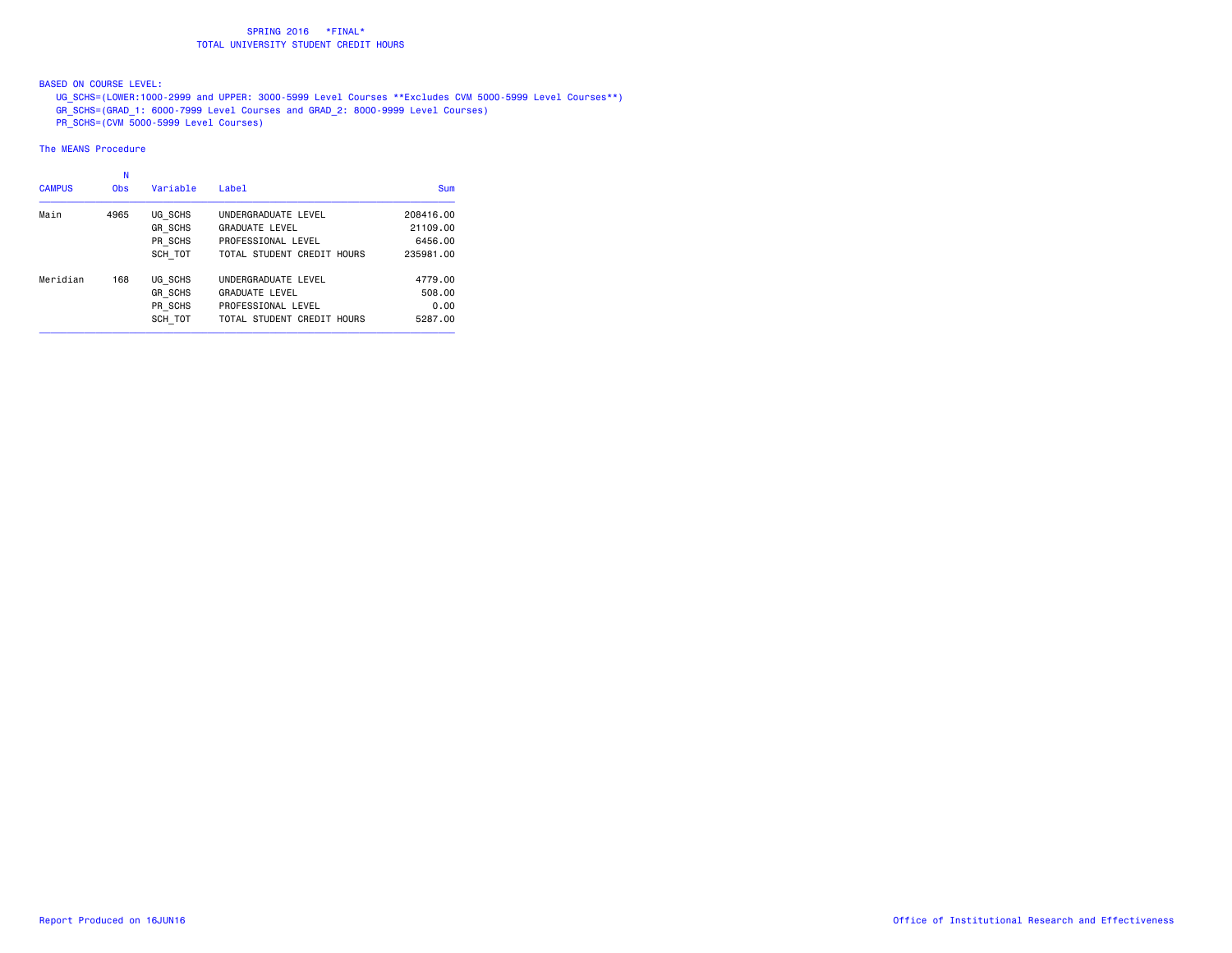BASED ON COURSE LEVEL:

 UG\_SCHS=(LOWER:1000-2999 and UPPER: 3000-5999 Level Courses \*\*Excludes CVM 5000-5999 Level Courses\*\*) GR\_SCHS=(GRAD\_1: 6000-7999 Level Courses and GRAD\_2: 8000-9999 Level Courses)

PR\_SCHS=(CVM 5000-5999 Level Courses)

| <b>CAMPUS</b> | N<br><b>Obs</b> | Variable       | Label                      | Sum       |
|---------------|-----------------|----------------|----------------------------|-----------|
| Main          | 4965            | UG SCHS        | UNDERGRADUATE LEVEL        | 208416.00 |
|               |                 | <b>GR SCHS</b> | <b>GRADUATE LEVEL</b>      | 21109.00  |
|               |                 | PR SCHS        | PROFESSIONAL LEVEL         | 6456.00   |
|               |                 | SCH TOT        | TOTAL STUDENT CREDIT HOURS | 235981.00 |
| Meridian      | 168             | UG SCHS        | UNDERGRADUATE LEVEL        | 4779.00   |
|               |                 | <b>GR SCHS</b> | <b>GRADUATE LEVEL</b>      | 508,00    |
|               |                 | PR SCHS        | PROFESSIONAL LEVEL         | 0.00      |
|               |                 | SCH TOT        | TOTAL STUDENT CREDIT HOURS | 5287.00   |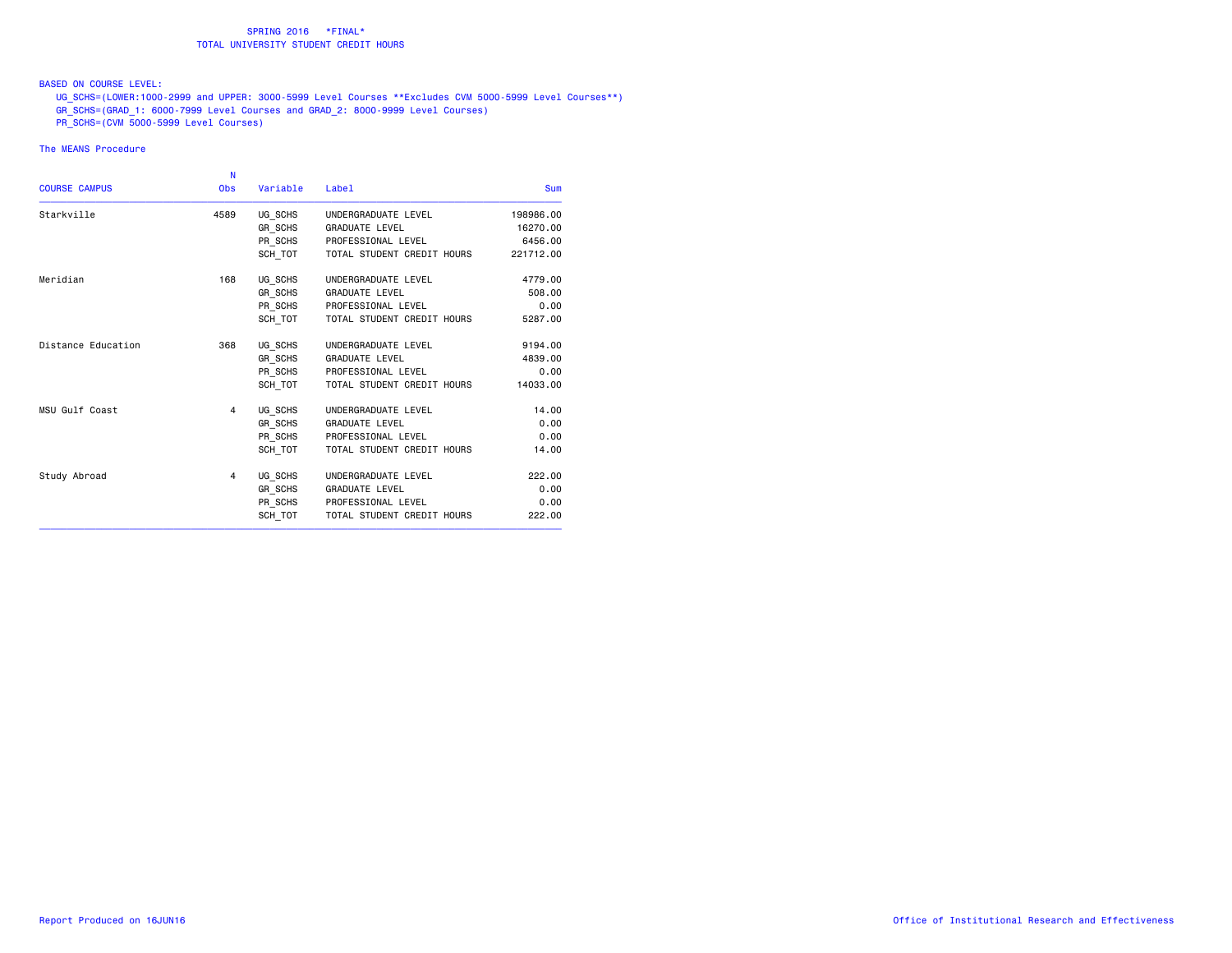## BASED ON COURSE LEVEL:

 UG\_SCHS=(LOWER:1000-2999 and UPPER: 3000-5999 Level Courses \*\*Excludes CVM 5000-5999 Level Courses\*\*) GR\_SCHS=(GRAD\_1: 6000-7999 Level Courses and GRAD\_2: 8000-9999 Level Courses)

PR\_SCHS=(CVM 5000-5999 Level Courses)

|                      | N          |          |                            |            |
|----------------------|------------|----------|----------------------------|------------|
| <b>COURSE CAMPUS</b> | <b>Obs</b> | Variable | Label                      | <b>Sum</b> |
| Starkville           | 4589       | UG_SCHS  | UNDERGRADUATE LEVEL        | 198986.00  |
|                      |            | GR SCHS  | <b>GRADUATE LEVEL</b>      | 16270.00   |
|                      |            | PR SCHS  | PROFESSIONAL LEVEL         | 6456.00    |
|                      |            | SCH TOT  | TOTAL STUDENT CREDIT HOURS | 221712.00  |
| Meridian             | 168        | UG_SCHS  | UNDERGRADUATE LEVEL        | 4779.00    |
|                      |            | GR_SCHS  | <b>GRADUATE LEVEL</b>      | 508,00     |
|                      |            | PR_SCHS  | PROFESSIONAL LEVEL         | 0.00       |
|                      |            | SCH TOT  | TOTAL STUDENT CREDIT HOURS | 5287.00    |
| Distance Education   | 368        | UG_SCHS  | UNDERGRADUATE LEVEL        | 9194.00    |
|                      |            | GR SCHS  | <b>GRADUATE LEVEL</b>      | 4839,00    |
|                      |            | PR_SCHS  | PROFESSIONAL LEVEL         | 0.00       |
|                      |            | SCH TOT  | TOTAL STUDENT CREDIT HOURS | 14033.00   |
| MSU Gulf Coast       | 4          | UG_SCHS  | UNDERGRADUATE LEVEL        | 14.00      |
|                      |            | GR SCHS  | <b>GRADUATE LEVEL</b>      | 0.00       |
|                      |            | PR_SCHS  | PROFESSIONAL LEVEL         | 0.00       |
|                      |            | SCH TOT  | TOTAL STUDENT CREDIT HOURS | 14.00      |
| Study Abroad         | 4          | UG SCHS  | UNDERGRADUATE LEVEL        | 222.00     |
|                      |            | GR SCHS  | <b>GRADUATE LEVEL</b>      | 0.00       |
|                      |            | PR SCHS  | PROFESSIONAL LEVEL         | 0.00       |
|                      |            | SCH TOT  | TOTAL STUDENT CREDIT HOURS | 222.00     |
|                      |            |          |                            |            |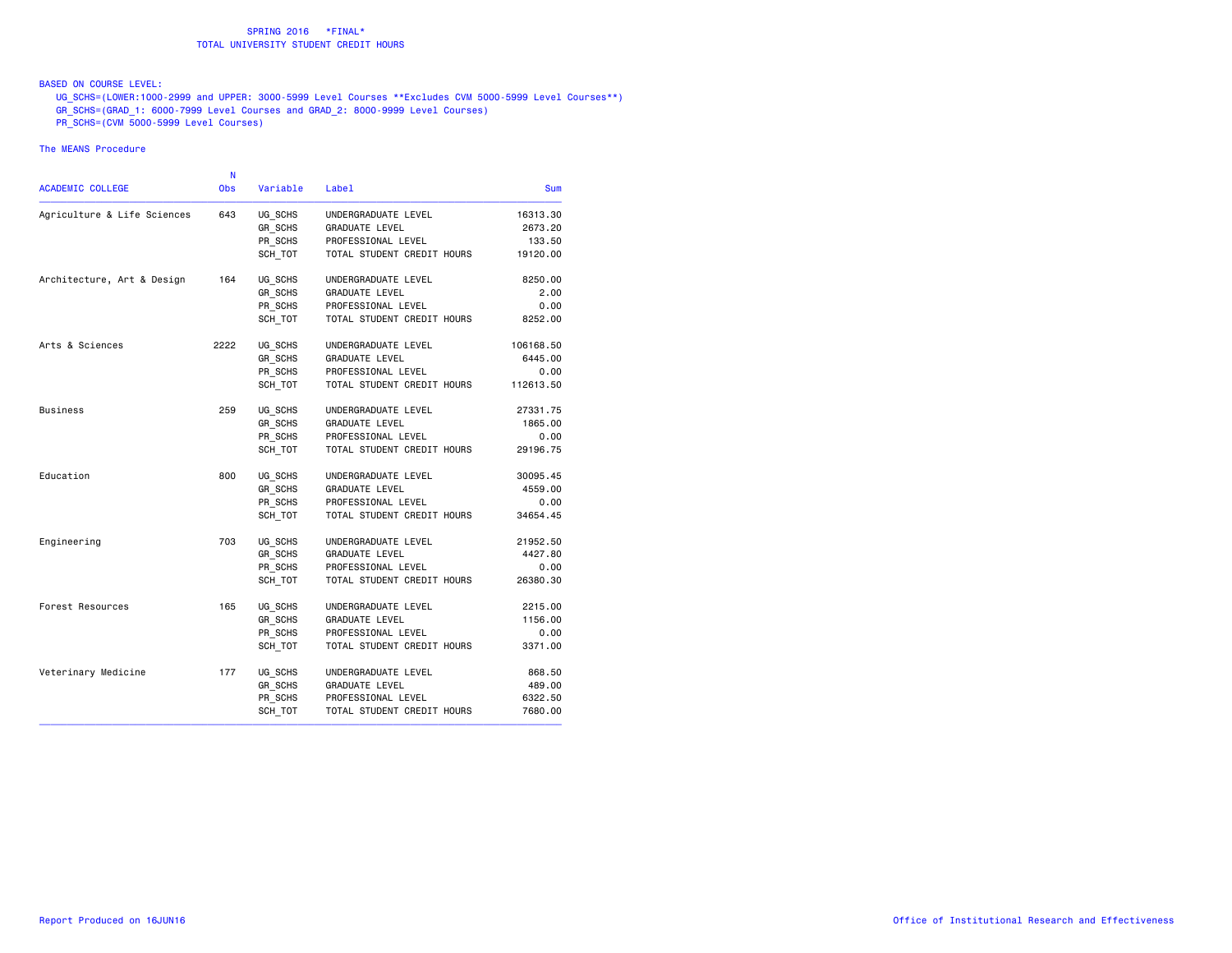## BASED ON COURSE LEVEL:

 UG\_SCHS=(LOWER:1000-2999 and UPPER: 3000-5999 Level Courses \*\*Excludes CVM 5000-5999 Level Courses\*\*) GR\_SCHS=(GRAD\_1: 6000-7999 Level Courses and GRAD\_2: 8000-9999 Level Courses)

PR\_SCHS=(CVM 5000-5999 Level Courses)

|                             | N          |          |                            |            |
|-----------------------------|------------|----------|----------------------------|------------|
| <b>ACADEMIC COLLEGE</b>     | <b>Obs</b> | Variable | Label                      | <b>Sum</b> |
| Agriculture & Life Sciences | 643        | UG SCHS  | UNDERGRADUATE LEVEL        | 16313.30   |
|                             |            | GR SCHS  | <b>GRADUATE LEVEL</b>      | 2673.20    |
|                             |            | PR SCHS  | PROFESSIONAL LEVEL         | 133.50     |
|                             |            | SCH TOT  | TOTAL STUDENT CREDIT HOURS | 19120.00   |
| Architecture, Art & Design  | 164        | UG SCHS  | UNDERGRADUATE LEVEL        | 8250.00    |
|                             |            | GR SCHS  | <b>GRADUATE LEVEL</b>      | 2.00       |
|                             |            | PR_SCHS  | PROFESSIONAL LEVEL         | 0.00       |
|                             |            | SCH TOT  | TOTAL STUDENT CREDIT HOURS | 8252.00    |
| Arts & Sciences             | 2222       | UG SCHS  | UNDERGRADUATE LEVEL        | 106168.50  |
|                             |            | GR SCHS  | <b>GRADUATE LEVEL</b>      | 6445.00    |
|                             |            | PR SCHS  | PROFESSIONAL LEVEL         | 0.00       |
|                             |            | SCH TOT  | TOTAL STUDENT CREDIT HOURS | 112613.50  |
| <b>Business</b>             | 259        | UG SCHS  | UNDERGRADUATE LEVEL        | 27331.75   |
|                             |            | GR_SCHS  | <b>GRADUATE LEVEL</b>      | 1865.00    |
|                             |            | PR_SCHS  | PROFESSIONAL LEVEL         | 0.00       |
|                             |            | SCH TOT  | TOTAL STUDENT CREDIT HOURS | 29196.75   |
| Education                   | 800        | UG_SCHS  | UNDERGRADUATE LEVEL        | 30095.45   |
|                             |            | GR SCHS  | <b>GRADUATE LEVEL</b>      | 4559.00    |
|                             |            | PR SCHS  | PROFESSIONAL LEVEL         | 0.00       |
|                             |            | SCH TOT  | TOTAL STUDENT CREDIT HOURS | 34654.45   |
| Engineering                 | 703        | UG_SCHS  | UNDERGRADUATE LEVEL        | 21952.50   |
|                             |            | GR_SCHS  | <b>GRADUATE LEVEL</b>      | 4427.80    |
|                             |            | PR_SCHS  | PROFESSIONAL LEVEL         | 0.00       |
|                             |            | SCH TOT  | TOTAL STUDENT CREDIT HOURS | 26380.30   |
| Forest Resources            | 165        | UG SCHS  | UNDERGRADUATE LEVEL        | 2215.00    |
|                             |            | GR SCHS  | <b>GRADUATE LEVEL</b>      | 1156.00    |
|                             |            | PR SCHS  | PROFESSIONAL LEVEL         | 0.00       |
|                             |            | SCH TOT  | TOTAL STUDENT CREDIT HOURS | 3371.00    |
| Veterinary Medicine         | 177        | UG SCHS  | UNDERGRADUATE LEVEL        | 868.50     |
|                             |            | GR SCHS  | <b>GRADUATE LEVEL</b>      | 489.00     |
|                             |            | PR SCHS  | PROFESSIONAL LEVEL         | 6322.50    |
|                             |            | SCH TOT  | TOTAL STUDENT CREDIT HOURS | 7680.00    |
|                             |            |          |                            |            |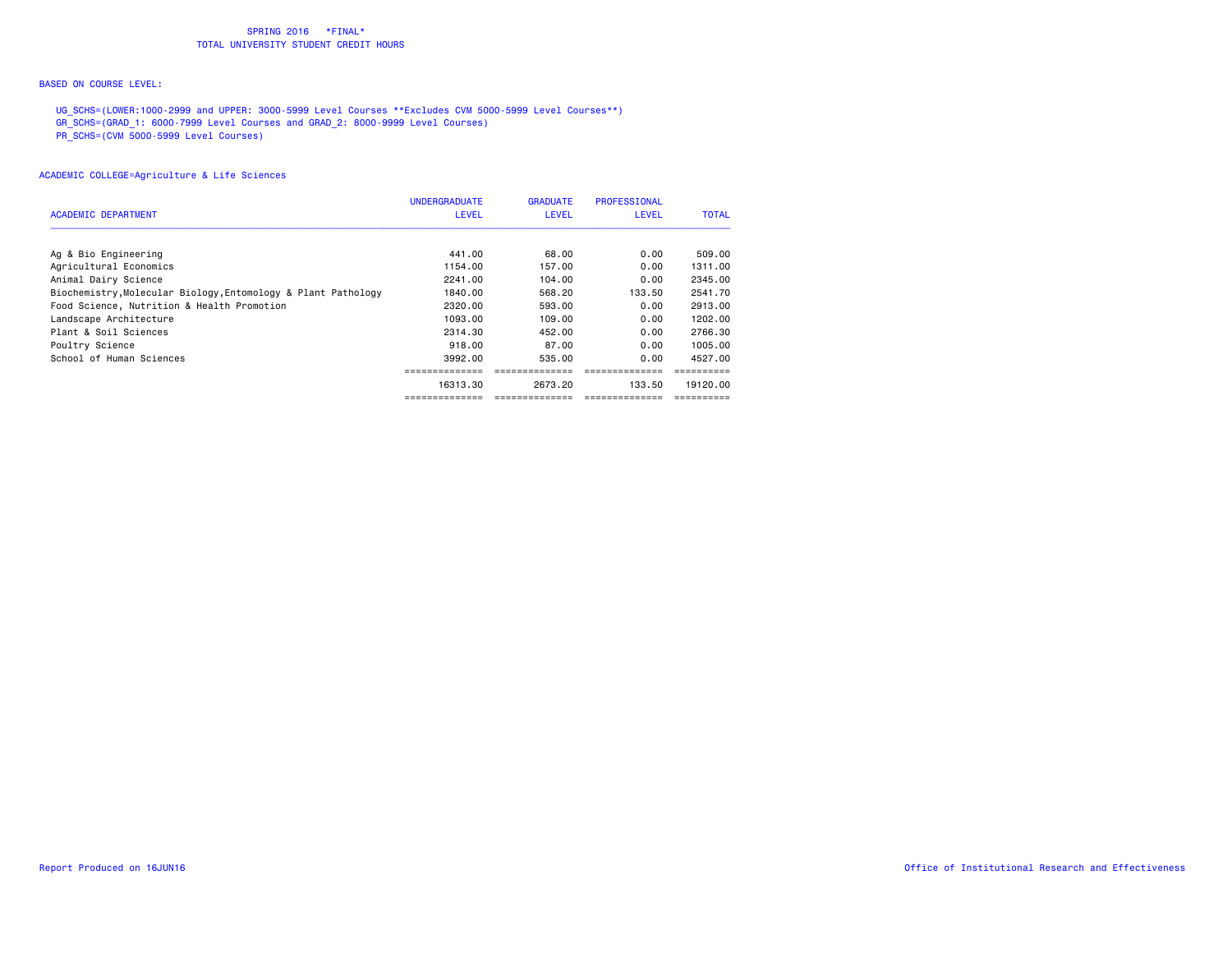#### BASED ON COURSE LEVEL:

UG\_SCHS=(LOWER:1000-2999 and UPPER: 3000-5999 Level Courses \*\*Excludes CVM 5000-5999 Level Courses\*\*)

GR\_SCHS=(GRAD\_1: 6000-7999 Level Courses and GRAD\_2: 8000-9999 Level Courses)

PR\_SCHS=(CVM 5000-5999 Level Courses)

|                                                               | <b>UNDERGRADUATE</b> | <b>GRADUATE</b> | <b>PROFESSIONAL</b> |              |
|---------------------------------------------------------------|----------------------|-----------------|---------------------|--------------|
| <b>ACADEMIC DEPARTMENT</b>                                    | <b>LEVEL</b>         | <b>LEVEL</b>    | <b>LEVEL</b>        | <b>TOTAL</b> |
|                                                               |                      |                 |                     |              |
| Ag & Bio Engineering                                          | 441.00               | 68,00           | 0.00                | 509,00       |
| Agricultural Economics                                        | 1154.00              | 157.00          | 0.00                | 1311,00      |
| Animal Dairy Science                                          | 2241.00              | 104.00          | 0.00                | 2345.00      |
| Biochemistry, Molecular Biology, Entomology & Plant Pathology | 1840.00              | 568,20          | 133.50              | 2541.70      |
| Food Science, Nutrition & Health Promotion                    | 2320.00              | 593,00          | 0.00                | 2913.00      |
| Landscape Architecture                                        | 1093.00              | 109.00          | 0.00                | 1202.00      |
| Plant & Soil Sciences                                         | 2314.30              | 452,00          | 0.00                | 2766.30      |
| Poultry Science                                               | 918,00               | 87.00           | 0.00                | 1005.00      |
| School of Human Sciences                                      | 3992.00              | 535.00          | 0.00                | 4527.00      |
|                                                               |                      |                 |                     |              |
|                                                               | 16313.30             | 2673.20         | 133.50              | 19120.00     |
|                                                               |                      |                 |                     |              |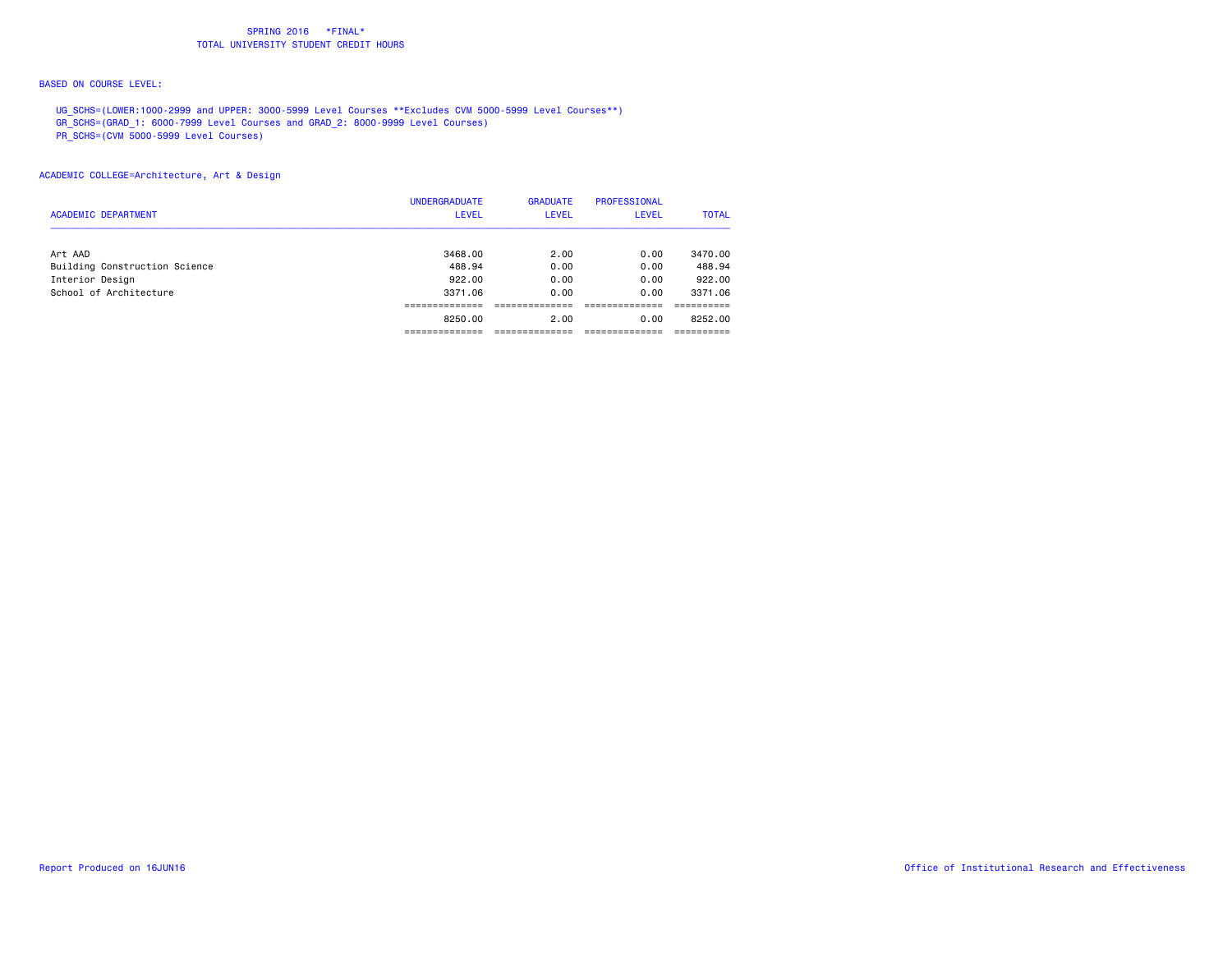#### BASED ON COURSE LEVEL:

UG\_SCHS=(LOWER:1000-2999 and UPPER: 3000-5999 Level Courses \*\*Excludes CVM 5000-5999 Level Courses\*\*)

GR\_SCHS=(GRAD\_1: 6000-7999 Level Courses and GRAD\_2: 8000-9999 Level Courses)

PR\_SCHS=(CVM 5000-5999 Level Courses)

ACADEMIC COLLEGE=Architecture, Art & Design

|                               | <b>UNDERGRADUATE</b> | <b>GRADUATE</b> | <b>PROFESSIONAL</b> |              |
|-------------------------------|----------------------|-----------------|---------------------|--------------|
| <b>ACADEMIC DEPARTMENT</b>    | LEVEL                | <b>LEVEL</b>    | <b>LEVEL</b>        | <b>TOTAL</b> |
| Art AAD                       | 3468,00              | 2.00            | 0.00                | 3470.00      |
| Building Construction Science | 488.94               | 0.00            | 0.00                | 488.94       |
| Interior Design               | 922.00               | 0.00            | 0.00                | 922.00       |
| School of Architecture        | 3371.06              | 0.00            | 0.00                | 3371,06      |
|                               | ----------           |                 |                     |              |
|                               | 8250.00              | 2.00            | 0.00                | 8252.00      |
|                               | ---------            |                 |                     |              |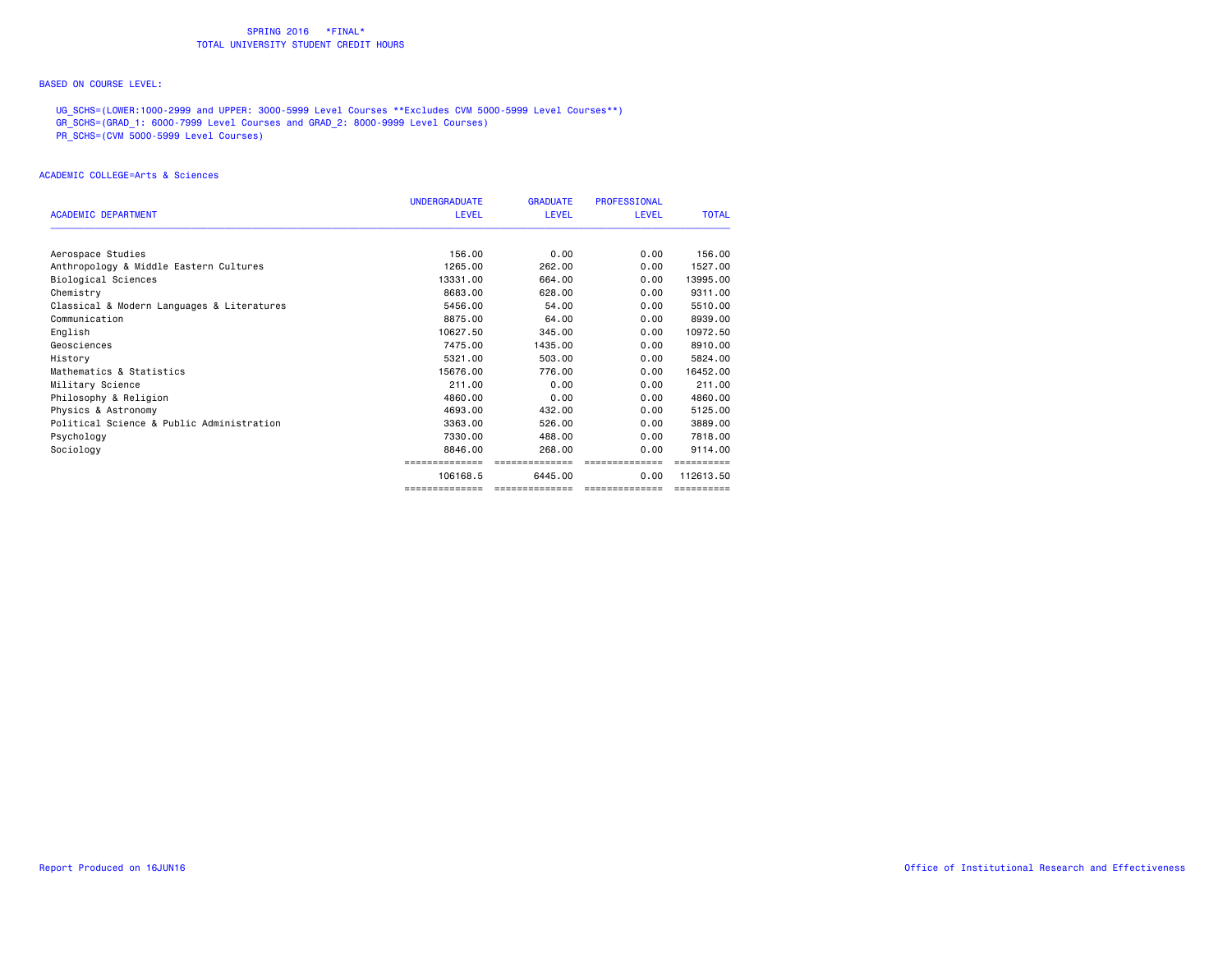#### BASED ON COURSE LEVEL:

UG\_SCHS=(LOWER:1000-2999 and UPPER: 3000-5999 Level Courses \*\*Excludes CVM 5000-5999 Level Courses\*\*)

- GR\_SCHS=(GRAD\_1: 6000-7999 Level Courses and GRAD\_2: 8000-9999 Level Courses)
- PR\_SCHS=(CVM 5000-5999 Level Courses)

#### ACADEMIC COLLEGE=Arts & Sciences

|                                            | <b>UNDERGRADUATE</b> | <b>GRADUATE</b> | <b>PROFESSIONAL</b> |              |
|--------------------------------------------|----------------------|-----------------|---------------------|--------------|
| <b>ACADEMIC DEPARTMENT</b>                 | <b>LEVEL</b>         | <b>LEVEL</b>    | <b>LEVEL</b>        | <b>TOTAL</b> |
| Aerospace Studies                          | 156.00               | 0.00            | 0.00                | 156.00       |
| Anthropology & Middle Eastern Cultures     | 1265,00              | 262.00          | 0.00                | 1527.00      |
| Biological Sciences                        | 13331.00             | 664.00          | 0.00                | 13995.00     |
| Chemistry                                  | 8683,00              | 628,00          | 0.00                | 9311,00      |
| Classical & Modern Languages & Literatures | 5456.00              | 54.00           | 0.00                | 5510.00      |
| Communication                              | 8875.00              | 64.00           | 0.00                | 8939,00      |
| English                                    | 10627.50             | 345.00          | 0.00                | 10972.50     |
| Geosciences                                | 7475.00              | 1435.00         | 0.00                | 8910.00      |
| History                                    | 5321.00              | 503,00          | 0.00                | 5824.00      |
| Mathematics & Statistics                   | 15676.00             | 776.00          | 0.00                | 16452.00     |
| Military Science                           | 211.00               | 0.00            | 0.00                | 211.00       |
| Philosophy & Religion                      | 4860.00              | 0.00            | 0.00                | 4860,00      |
| Physics & Astronomy                        | 4693.00              | 432,00          | 0.00                | 5125.00      |
| Political Science & Public Administration  | 3363.00              | 526,00          | 0.00                | 3889,00      |
| Psychology                                 | 7330.00              | 488.00          | 0.00                | 7818,00      |
| Sociology                                  | 8846.00              | 268,00          | 0.00                | 9114.00      |
|                                            |                      | =======         |                     |              |
|                                            | 106168.5             | 6445.00         | 0.00                | 112613.50    |
|                                            | ==============       | ==============  | --------------      | ==========   |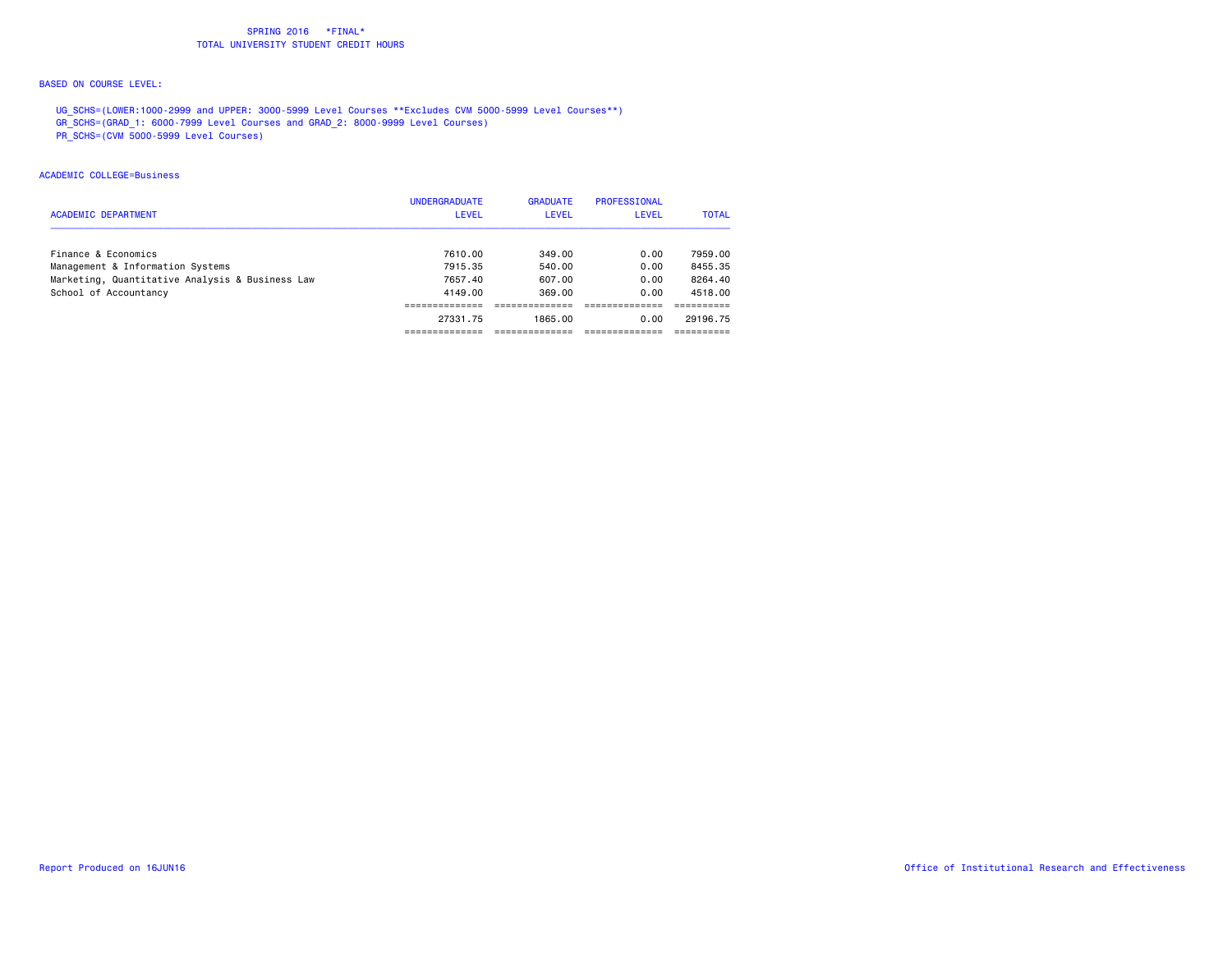#### BASED ON COURSE LEVEL:

UG\_SCHS=(LOWER:1000-2999 and UPPER: 3000-5999 Level Courses \*\*Excludes CVM 5000-5999 Level Courses\*\*)

- GR\_SCHS=(GRAD\_1: 6000-7999 Level Courses and GRAD\_2: 8000-9999 Level Courses)
- PR\_SCHS=(CVM 5000-5999 Level Courses)

#### ACADEMIC COLLEGE=Business

|                                                 | <b>UNDERGRADUATE</b> | <b>GRADUATE</b> | PROFESSIONAL |              |
|-------------------------------------------------|----------------------|-----------------|--------------|--------------|
| ACADEMIC DEPARTMENT                             | <b>LEVEL</b>         | <b>LEVEL</b>    | LEVEL        | <b>TOTAL</b> |
| Finance & Economics                             | 7610.00              | 349.00          | 0.00         | 7959.00      |
| Management & Information Systems                | 7915.35              | 540.00          | 0.00         | 8455.35      |
| Marketing, Quantitative Analysis & Business Law | 7657.40              | 607.00          | 0.00         | 8264.40      |
| School of Accountancy                           | 4149.00              | 369.00          | 0.00         | 4518.00      |
|                                                 |                      |                 |              |              |
|                                                 | 27331.75             | 1865.00         | 0.00         | 29196.75     |
|                                                 |                      |                 |              |              |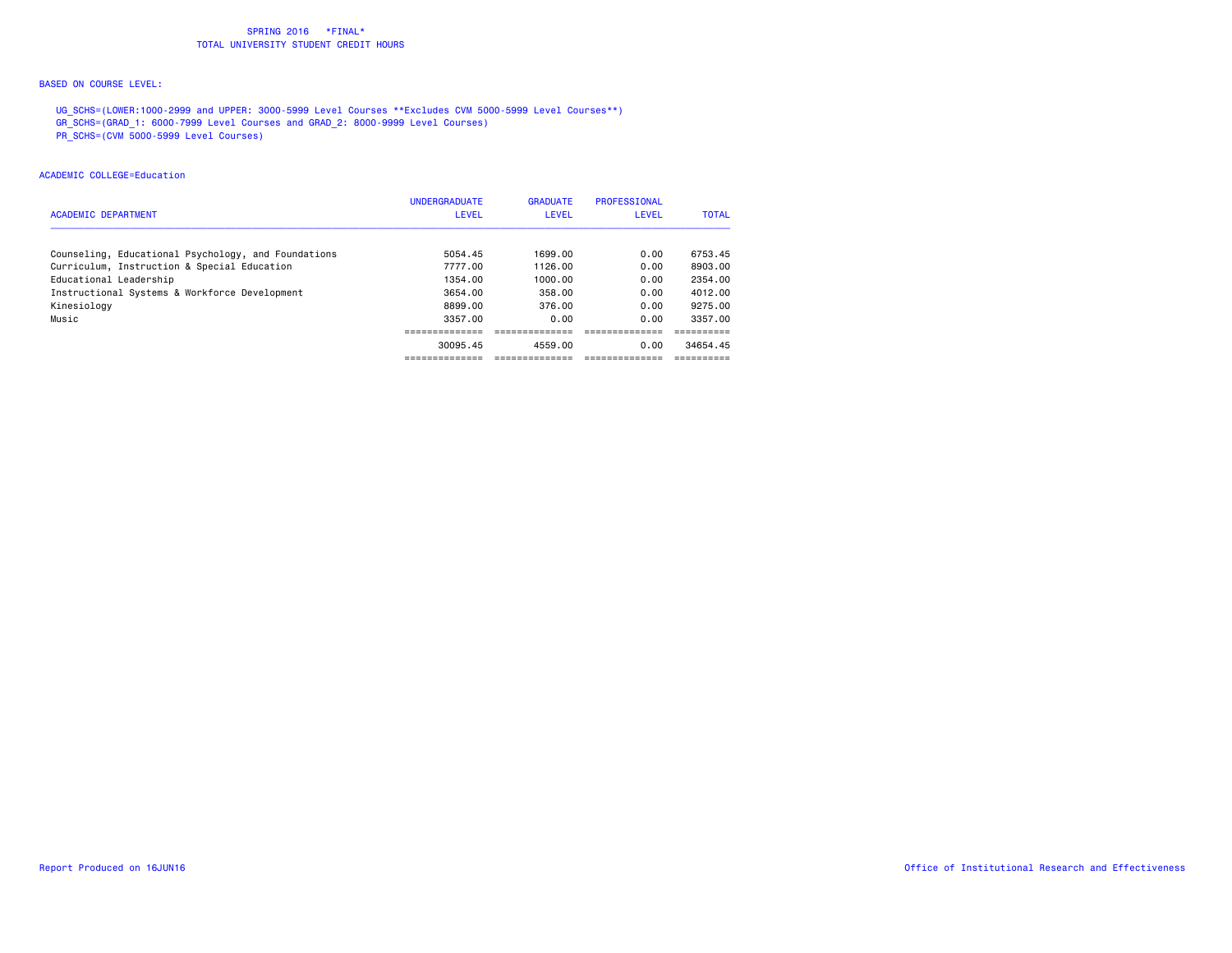#### BASED ON COURSE LEVEL:

UG\_SCHS=(LOWER:1000-2999 and UPPER: 3000-5999 Level Courses \*\*Excludes CVM 5000-5999 Level Courses\*\*)

GR\_SCHS=(GRAD\_1: 6000-7999 Level Courses and GRAD\_2: 8000-9999 Level Courses)

PR\_SCHS=(CVM 5000-5999 Level Courses)

### ACADEMIC COLLEGE=Education

|                                                     | <b>UNDERGRADUATE</b> | <b>GRADUATE</b> | <b>PROFESSIONAL</b> |              |
|-----------------------------------------------------|----------------------|-----------------|---------------------|--------------|
| <b>ACADEMIC DEPARTMENT</b>                          | <b>LEVEL</b>         | LEVEL           | LEVEL               | <b>TOTAL</b> |
| Counseling, Educational Psychology, and Foundations | 5054.45              | 1699.00         | 0.00                | 6753.45      |
| Curriculum, Instruction & Special Education         | 7777.00              | 1126.00         | 0.00                | 8903.00      |
| Educational Leadership                              | 1354.00              | 1000.00         | 0.00                | 2354.00      |
| Instructional Systems & Workforce Development       | 3654.00              | 358.00          | 0.00                | 4012.00      |
| Kinesiology                                         | 8899.00              | 376.00          | 0.00                | 9275.00      |
| Music                                               | 3357.00              | 0.00            | 0.00                | 3357.00      |
|                                                     |                      |                 |                     |              |
|                                                     | 30095.45             | 4559.00         | 0.00                | 34654.45     |
|                                                     |                      |                 |                     |              |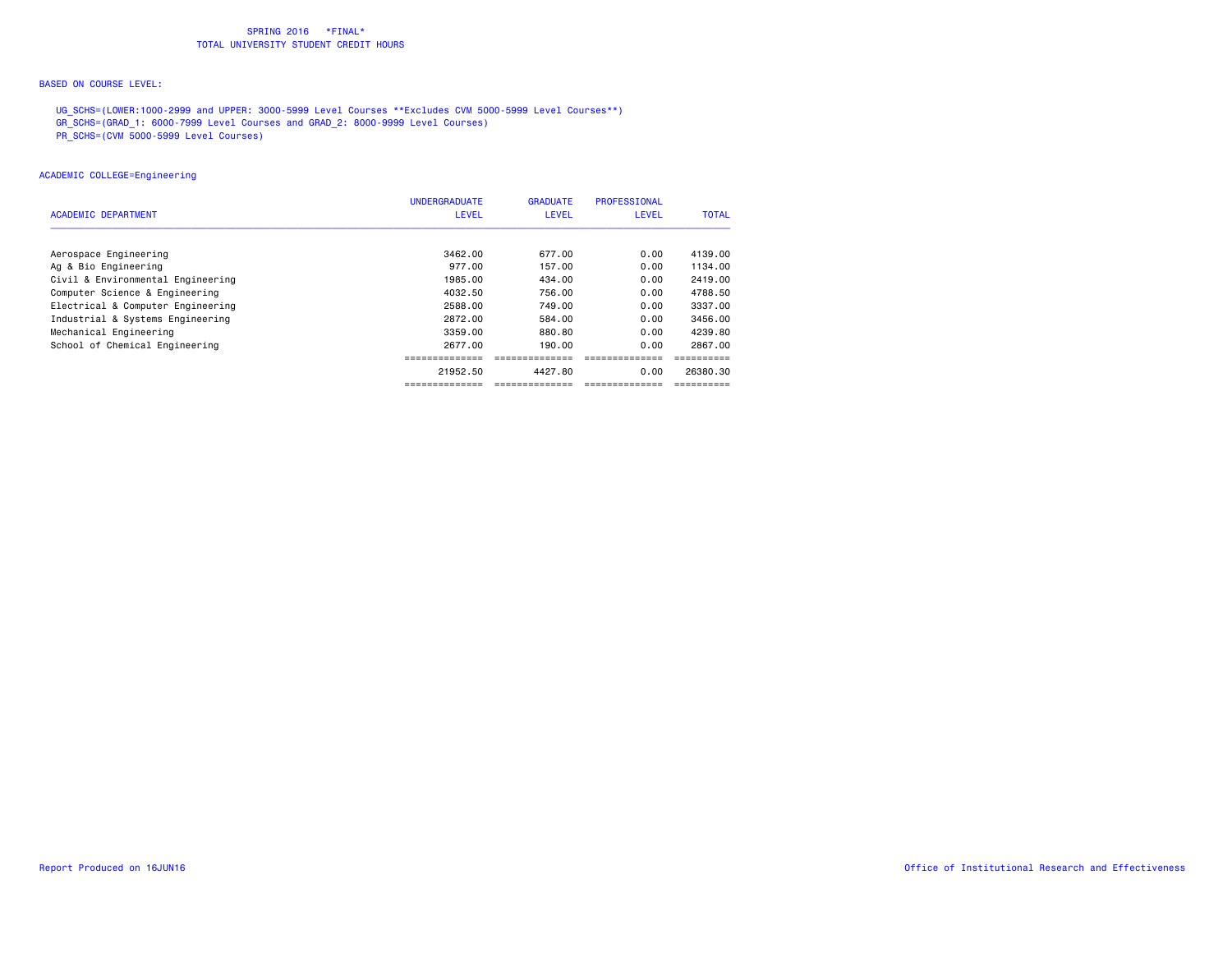#### BASED ON COURSE LEVEL:

UG\_SCHS=(LOWER:1000-2999 and UPPER: 3000-5999 Level Courses \*\*Excludes CVM 5000-5999 Level Courses\*\*)

- GR\_SCHS=(GRAD\_1: 6000-7999 Level Courses and GRAD\_2: 8000-9999 Level Courses)
- PR\_SCHS=(CVM 5000-5999 Level Courses)

### ACADEMIC COLLEGE=Engineering

|                                   | <b>UNDERGRADUATE</b> | <b>GRADUATE</b> | <b>PROFESSIONAL</b> |              |
|-----------------------------------|----------------------|-----------------|---------------------|--------------|
| <b>ACADEMIC DEPARTMENT</b>        | <b>LEVEL</b>         | <b>LEVEL</b>    | <b>LEVEL</b>        | <b>TOTAL</b> |
|                                   |                      |                 |                     |              |
| Aerospace Engineering             | 3462.00              | 677.00          | 0.00                | 4139.00      |
| Ag & Bio Engineering              | 977.00               | 157.00          | 0.00                | 1134.00      |
| Civil & Environmental Engineering | 1985.00              | 434.00          | 0.00                | 2419.00      |
| Computer Science & Engineering    | 4032.50              | 756.00          | 0.00                | 4788.50      |
| Electrical & Computer Engineering | 2588.00              | 749.00          | 0.00                | 3337.00      |
| Industrial & Systems Engineering  | 2872.00              | 584.00          | 0.00                | 3456.00      |
| Mechanical Engineering            | 3359.00              | 880.80          | 0.00                | 4239.80      |
| School of Chemical Engineering    | 2677.00              | 190.00          | 0.00                | 2867.00      |
|                                   |                      |                 |                     |              |
|                                   | 21952.50             | 4427.80         | 0.00                | 26380.30     |
|                                   |                      |                 |                     |              |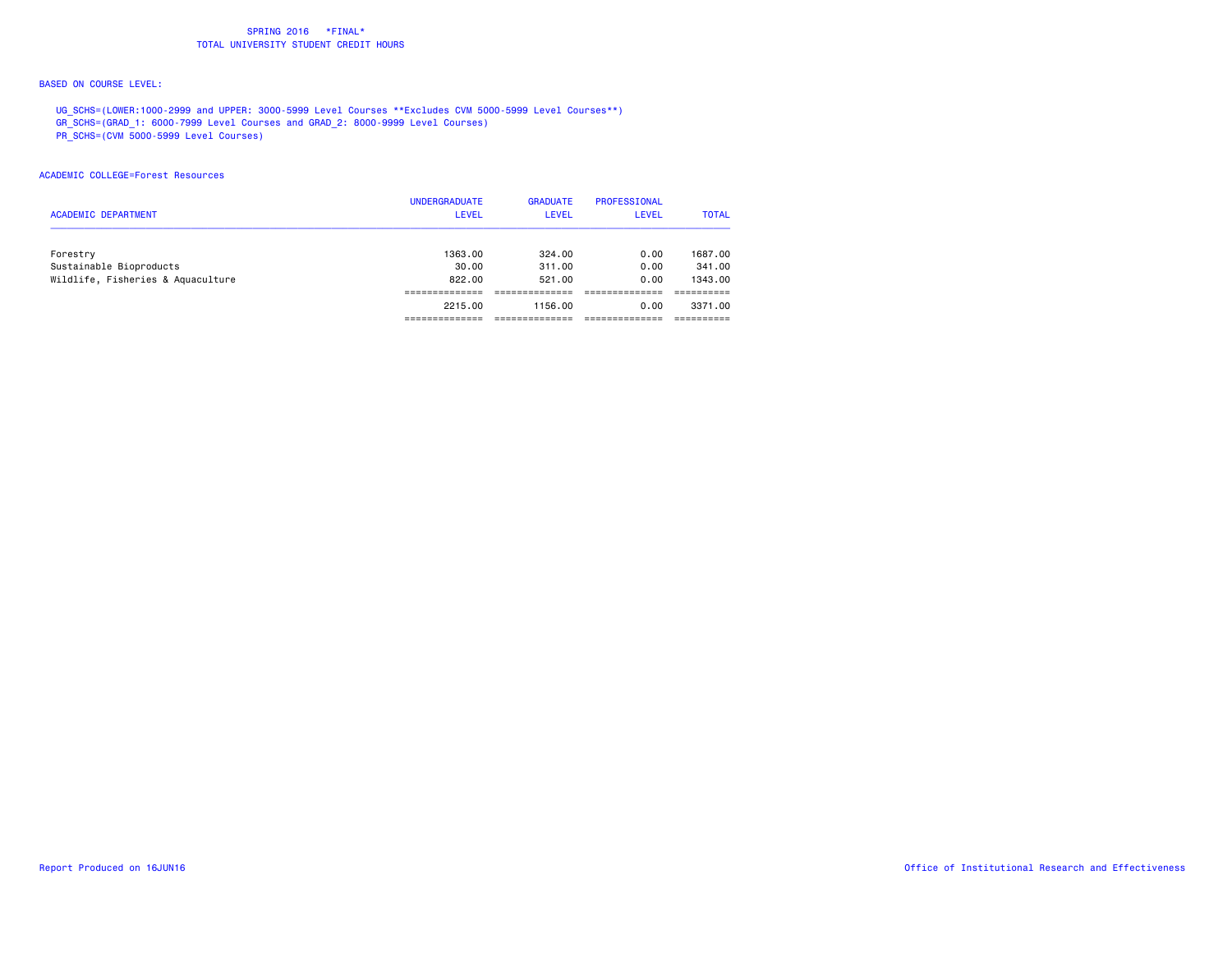#### BASED ON COURSE LEVEL:

UG\_SCHS=(LOWER:1000-2999 and UPPER: 3000-5999 Level Courses \*\*Excludes CVM 5000-5999 Level Courses\*\*)

GR\_SCHS=(GRAD\_1: 6000-7999 Level Courses and GRAD\_2: 8000-9999 Level Courses)

PR\_SCHS=(CVM 5000-5999 Level Courses)

#### ACADEMIC COLLEGE=Forest Resources

|                                   | <b>UNDERGRADUATE</b> | <b>GRADUATE</b> | PROFESSIONAL |              |
|-----------------------------------|----------------------|-----------------|--------------|--------------|
| <b>ACADEMIC DEPARTMENT</b>        | <b>LEVEL</b>         | <b>LEVEL</b>    | <b>LEVEL</b> | <b>TOTAL</b> |
| Forestry                          | 1363.00              | 324.00          | 0.00         | 1687.00      |
| Sustainable Bioproducts           | 30.00                | 311,00          | 0.00         | 341.00       |
| Wildlife, Fisheries & Aquaculture | 822.00               | 521.00          | 0.00         | 1343.00      |
|                                   |                      |                 |              |              |
|                                   | 2215.00              | 1156.00         | 0.00         | 3371.00      |
|                                   |                      |                 |              |              |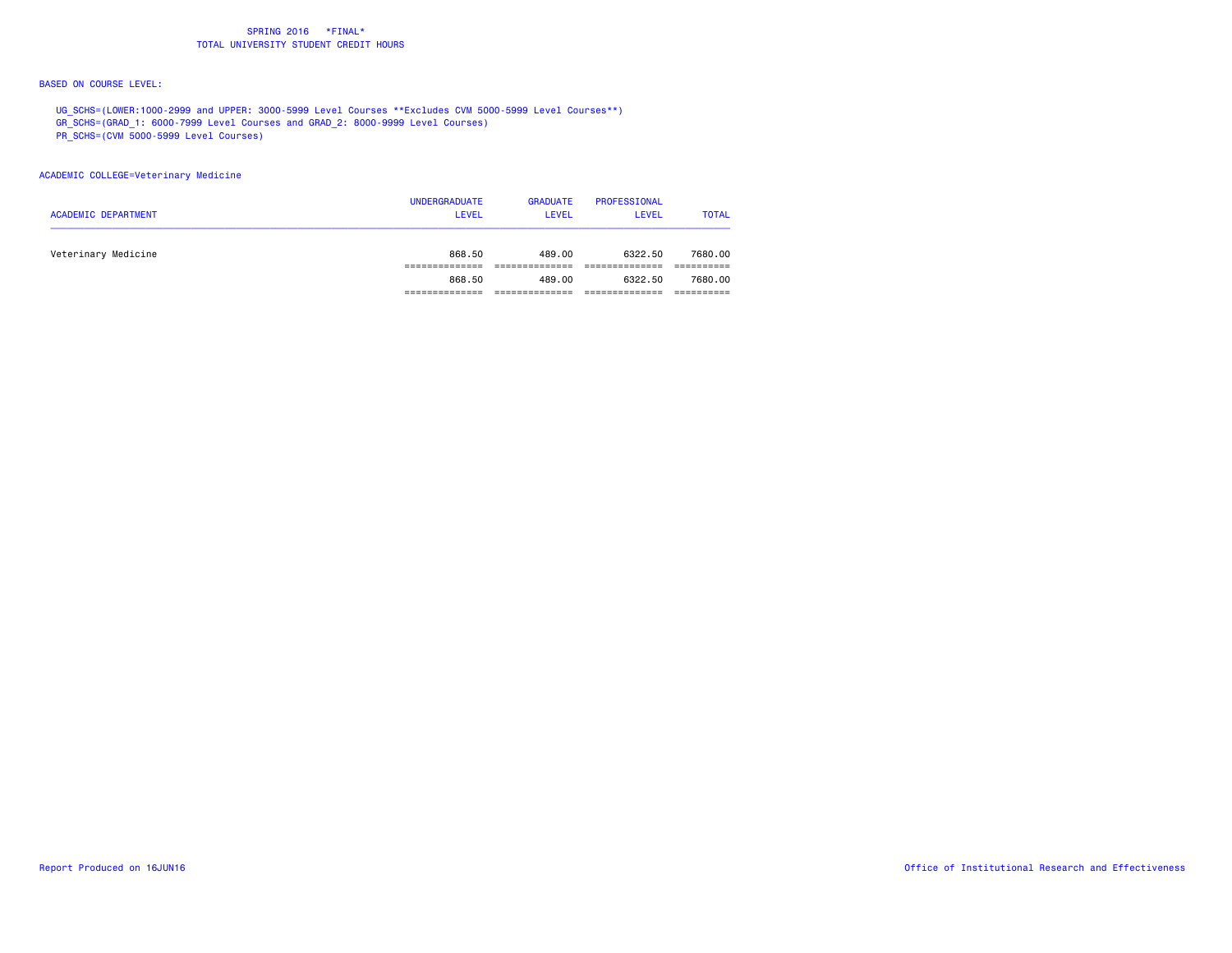#### BASED ON COURSE LEVEL:

UG\_SCHS=(LOWER:1000-2999 and UPPER: 3000-5999 Level Courses \*\*Excludes CVM 5000-5999 Level Courses\*\*)

GR\_SCHS=(GRAD\_1: 6000-7999 Level Courses and GRAD\_2: 8000-9999 Level Courses)

PR\_SCHS=(CVM 5000-5999 Level Courses)

### ACADEMIC COLLEGE=Veterinary Medicine

| <b>ACADEMIC DEPARTMENT</b> | <b>UNDERGRADUATE</b><br><b>LEVEL</b> | <b>GRADUATE</b><br><b>LEVEL</b> | PROFESSIONAL<br><b>LEVEL</b> | <b>TOTAL</b> |
|----------------------------|--------------------------------------|---------------------------------|------------------------------|--------------|
| Veterinary Medicine        | 868.50                               | 489.00                          | 6322.50                      | 7680.00      |
|                            |                                      |                                 |                              |              |
|                            | 868.50                               | 489.00                          | 6322.50                      | 7680,00      |
|                            |                                      |                                 |                              |              |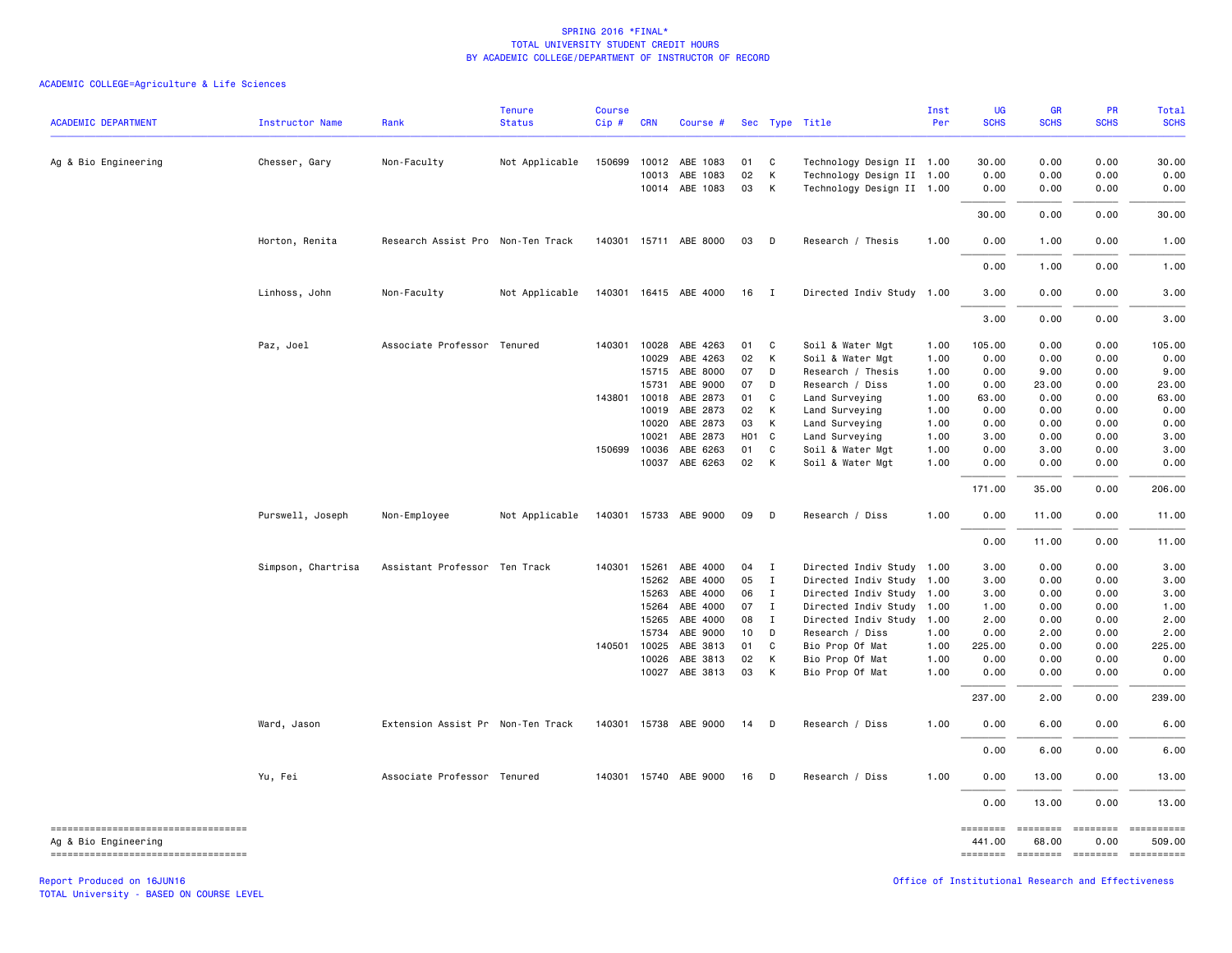### ACADEMIC COLLEGE=Agriculture & Life Sciences

| <b>ACADEMIC DEPARTMENT</b>                                     | Instructor Name    | Rank                              | <b>Tenure</b><br><b>Status</b> | <b>Course</b><br>Cip# | <b>CRN</b>            | Course #                   |          |                   | Sec Type Title                                         | Inst<br>Per  | UG<br><b>SCHS</b>                                                       | GR<br><b>SCHS</b> | <b>PR</b><br><b>SCHS</b> | <b>Total</b><br><b>SCHS</b>                                                                                                                                                                                                                                                                                                                                                                                                         |
|----------------------------------------------------------------|--------------------|-----------------------------------|--------------------------------|-----------------------|-----------------------|----------------------------|----------|-------------------|--------------------------------------------------------|--------------|-------------------------------------------------------------------------|-------------------|--------------------------|-------------------------------------------------------------------------------------------------------------------------------------------------------------------------------------------------------------------------------------------------------------------------------------------------------------------------------------------------------------------------------------------------------------------------------------|
| Ag & Bio Engineering                                           | Chesser, Gary      | Non-Faculty                       | Not Applicable                 | 150699                | 10012                 | ABE 1083                   | 01       | C <sub>1</sub>    | Technology Design II 1.00                              |              | 30.00                                                                   | 0.00              | 0.00                     | 30.00                                                                                                                                                                                                                                                                                                                                                                                                                               |
|                                                                |                    |                                   |                                |                       | 10013                 | ABE 1083<br>10014 ABE 1083 | 02<br>03 | К<br>$\mathsf{K}$ | Technology Design II 1.00<br>Technology Design II 1.00 |              | 0.00<br>0.00                                                            | 0.00<br>0.00      | 0.00<br>0.00             | 0.00<br>0.00                                                                                                                                                                                                                                                                                                                                                                                                                        |
|                                                                |                    |                                   |                                |                       |                       |                            |          |                   |                                                        |              | 30.00                                                                   | 0.00              | 0.00                     | 30.00                                                                                                                                                                                                                                                                                                                                                                                                                               |
|                                                                | Horton, Renita     | Research Assist Pro Non-Ten Track |                                |                       |                       | 140301 15711 ABE 8000      | 03       | $\mathsf{D}$      | Research / Thesis                                      | 1.00         | 0.00                                                                    | 1.00              | 0.00                     | 1.00                                                                                                                                                                                                                                                                                                                                                                                                                                |
|                                                                |                    |                                   |                                |                       |                       |                            |          |                   |                                                        |              | 0.00                                                                    | 1.00              | 0.00                     | 1.00                                                                                                                                                                                                                                                                                                                                                                                                                                |
|                                                                | Linhoss, John      | Non-Faculty                       | Not Applicable                 |                       |                       | 140301  16415  ABE  4000   | 16       | $\mathbf{I}$      | Directed Indiv Study 1.00                              |              | 3.00                                                                    | 0.00              | 0.00                     | 3.00                                                                                                                                                                                                                                                                                                                                                                                                                                |
|                                                                |                    |                                   |                                |                       |                       |                            |          |                   |                                                        |              | 3.00                                                                    | 0.00              | 0.00                     | 3.00                                                                                                                                                                                                                                                                                                                                                                                                                                |
|                                                                | Paz, Joel          | Associate Professor Tenured       |                                |                       | 140301 10028<br>10029 | ABE 4263<br>ABE 4263       | 01<br>02 | C<br>К            | Soil & Water Mgt<br>Soil & Water Mgt                   | 1.00<br>1.00 | 105.00<br>0.00                                                          | 0.00<br>0.00      | 0.00<br>0.00             | 105.00<br>0.00                                                                                                                                                                                                                                                                                                                                                                                                                      |
|                                                                |                    |                                   |                                |                       | 15715                 | ABE 8000                   | 07       | D                 | Research / Thesis                                      | 1.00         | 0.00                                                                    | 9.00              | 0.00                     | 9.00                                                                                                                                                                                                                                                                                                                                                                                                                                |
|                                                                |                    |                                   |                                |                       | 15731                 | ABE 9000                   | 07       | D                 | Research / Diss                                        | 1.00         | 0.00                                                                    | 23.00             | 0.00                     | 23.00                                                                                                                                                                                                                                                                                                                                                                                                                               |
|                                                                |                    |                                   |                                |                       | 143801 10018          | ABE 2873                   | 01       | C                 | Land Surveying                                         | 1.00         | 63.00                                                                   | 0.00              | 0.00                     | 63.00                                                                                                                                                                                                                                                                                                                                                                                                                               |
|                                                                |                    |                                   |                                |                       | 10019                 | ABE 2873                   | 02       | К                 | Land Surveying                                         | 1.00         | 0.00                                                                    | 0.00              | 0.00                     | 0.00                                                                                                                                                                                                                                                                                                                                                                                                                                |
|                                                                |                    |                                   |                                |                       | 10020                 | ABE 2873                   | 03       | $\mathsf{K}$      | Land Surveying                                         | 1.00         | 0.00                                                                    | 0.00              | 0.00                     | 0.00                                                                                                                                                                                                                                                                                                                                                                                                                                |
|                                                                |                    |                                   |                                |                       | 10021                 | ABE 2873                   | HO1 C    |                   | Land Surveying                                         | 1.00         | 3.00                                                                    | 0.00              | 0.00                     | 3.00                                                                                                                                                                                                                                                                                                                                                                                                                                |
|                                                                |                    |                                   |                                |                       |                       |                            |          |                   |                                                        |              |                                                                         |                   |                          |                                                                                                                                                                                                                                                                                                                                                                                                                                     |
|                                                                |                    |                                   |                                | 150699                | 10036                 | ABE 6263                   | 01       | C                 | Soil & Water Mgt                                       | 1.00         | 0.00                                                                    | 3.00              | 0.00                     | 3.00                                                                                                                                                                                                                                                                                                                                                                                                                                |
|                                                                |                    |                                   |                                |                       | 10037                 | ABE 6263                   | 02 K     |                   | Soil & Water Mgt                                       | 1.00         | 0.00                                                                    | 0.00              | 0.00                     | 0.00                                                                                                                                                                                                                                                                                                                                                                                                                                |
|                                                                |                    |                                   |                                |                       |                       |                            |          |                   |                                                        |              | 171.00                                                                  | 35.00             | 0.00                     | 206.00                                                                                                                                                                                                                                                                                                                                                                                                                              |
|                                                                | Purswell, Joseph   | Non-Employee                      | Not Applicable                 |                       |                       | 140301 15733 ABE 9000      | 09       | $\mathsf{D}$      | Research / Diss                                        | 1.00         | 0.00                                                                    | 11.00             | 0.00                     | 11.00                                                                                                                                                                                                                                                                                                                                                                                                                               |
|                                                                |                    |                                   |                                |                       |                       |                            |          |                   |                                                        |              | 0.00                                                                    | 11.00             | 0.00                     | 11.00                                                                                                                                                                                                                                                                                                                                                                                                                               |
|                                                                | Simpson, Chartrisa | Assistant Professor Ten Track     |                                |                       | 140301 15261          | ABE 4000                   | 04       | $\blacksquare$    | Directed Indiv Study 1.00                              |              | 3.00                                                                    | 0.00              | 0.00                     | 3.00                                                                                                                                                                                                                                                                                                                                                                                                                                |
|                                                                |                    |                                   |                                |                       | 15262                 | ABE 4000                   | 05       | $\mathbf{I}$      | Directed Indiv Study 1.00                              |              | 3.00                                                                    | 0.00              | 0.00                     | 3.00                                                                                                                                                                                                                                                                                                                                                                                                                                |
|                                                                |                    |                                   |                                |                       | 15263                 | ABE 4000                   | 06       | I                 | Directed Indiv Study 1.00                              |              | 3.00                                                                    | 0.00              | 0.00                     | 3.00                                                                                                                                                                                                                                                                                                                                                                                                                                |
|                                                                |                    |                                   |                                |                       | 15264                 | ABE 4000                   | 07       | $\mathbf{I}$      | Directed Indiv Study 1.00                              |              | 1.00                                                                    | 0.00              | 0.00                     | 1.00                                                                                                                                                                                                                                                                                                                                                                                                                                |
|                                                                |                    |                                   |                                |                       | 15265                 | ABE 4000                   | 08       | $\mathbf{I}$      | Directed Indiv Study 1.00                              |              | 2.00                                                                    | 0.00              | 0.00                     | 2.00                                                                                                                                                                                                                                                                                                                                                                                                                                |
|                                                                |                    |                                   |                                |                       | 15734                 | ABE 9000                   | 10       | D                 | Research / Diss                                        | 1.00         | 0.00                                                                    | 2.00              | 0.00                     | 2.00                                                                                                                                                                                                                                                                                                                                                                                                                                |
|                                                                |                    |                                   |                                |                       | 140501 10025          | ABE 3813                   | 01       | C                 | Bio Prop Of Mat                                        | 1.00         | 225.00                                                                  | 0.00              | 0.00                     | 225.00                                                                                                                                                                                                                                                                                                                                                                                                                              |
|                                                                |                    |                                   |                                |                       | 10026                 | ABE 3813                   | 02       | K                 | Bio Prop Of Mat                                        | 1.00         | 0.00                                                                    | 0.00              | 0.00                     | 0.00                                                                                                                                                                                                                                                                                                                                                                                                                                |
|                                                                |                    |                                   |                                |                       | 10027                 | ABE 3813                   | 03       | K                 | Bio Prop Of Mat                                        | 1.00         | 0.00                                                                    | 0.00              | 0.00                     | 0.00                                                                                                                                                                                                                                                                                                                                                                                                                                |
|                                                                |                    |                                   |                                |                       |                       |                            |          |                   |                                                        |              | 237.00                                                                  | 2.00              | 0.00                     | 239.00                                                                                                                                                                                                                                                                                                                                                                                                                              |
|                                                                | Ward, Jason        | Extension Assist Pr Non-Ten Track |                                |                       |                       | 140301 15738 ABE 9000      | 14       | $\mathsf{D}$      | Research / Diss                                        | 1.00         | 0.00                                                                    | 6.00              | 0.00                     | 6.00                                                                                                                                                                                                                                                                                                                                                                                                                                |
|                                                                |                    |                                   |                                |                       |                       |                            |          |                   |                                                        |              | 0.00                                                                    | 6.00              | 0.00                     | 6.00                                                                                                                                                                                                                                                                                                                                                                                                                                |
|                                                                | Yu, Fei            | Associate Professor Tenured       |                                |                       |                       | 140301 15740 ABE 9000      | 16       | D                 | Research / Diss                                        | 1.00         | 0.00                                                                    | 13.00             | 0.00                     | 13.00                                                                                                                                                                                                                                                                                                                                                                                                                               |
|                                                                |                    |                                   |                                |                       |                       |                            |          |                   |                                                        |              | 0.00                                                                    | 13.00             | 0.00                     | 13.00                                                                                                                                                                                                                                                                                                                                                                                                                               |
| ----------------------------------                             |                    |                                   |                                |                       |                       |                            |          |                   |                                                        |              | $\qquad \qquad \equiv \equiv \equiv \equiv \equiv \equiv \equiv \equiv$ | ========          | <b>ESSESSE</b>           | $\begin{minipage}{0.9\linewidth} \hspace*{-0.2cm} \textbf{1} & \textbf{2} & \textbf{3} & \textbf{5} & \textbf{6} & \textbf{7} & \textbf{8} \\ \textbf{5} & \textbf{6} & \textbf{7} & \textbf{8} & \textbf{8} & \textbf{8} & \textbf{8} & \textbf{8} \\ \textbf{6} & \textbf{8} & \textbf{8} & \textbf{8} & \textbf{8} & \textbf{8} & \textbf{8} & \textbf{8} & \textbf{8} \\ \textbf{7} & \textbf{8} & \textbf{8} & \textbf{8} & \$ |
| Ag & Bio Engineering<br>====================================== |                    |                                   |                                |                       |                       |                            |          |                   |                                                        |              | 441.00                                                                  | 68.00             | 0.00                     | 509.00<br>-------- -------- -------- ---------                                                                                                                                                                                                                                                                                                                                                                                      |
|                                                                |                    |                                   |                                |                       |                       |                            |          |                   |                                                        |              |                                                                         |                   |                          |                                                                                                                                                                                                                                                                                                                                                                                                                                     |

Report Produced on 16JUN16 Office of Institutional Research and Effectiveness

TOTAL University - BASED ON COURSE LEVEL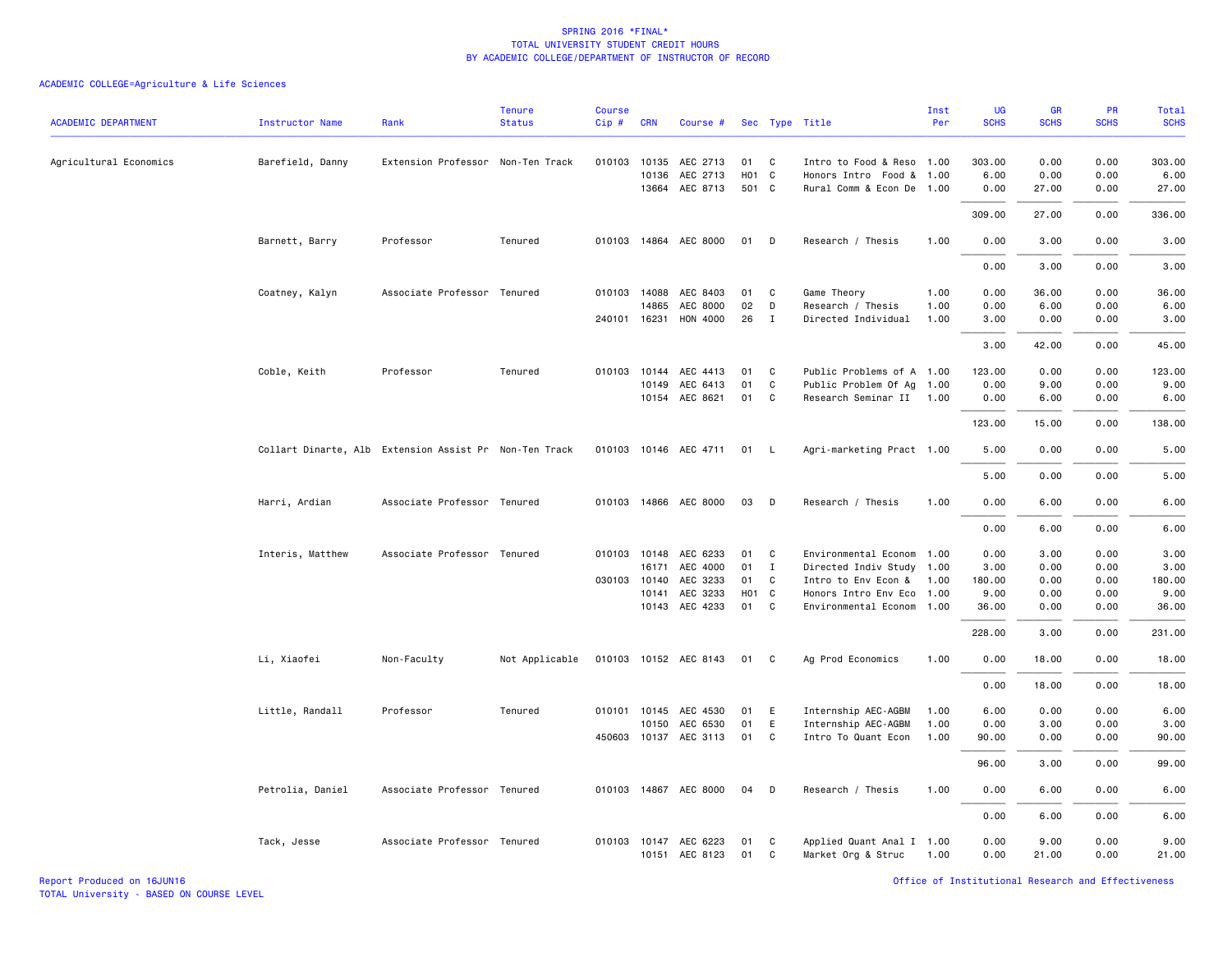|                            |                        |                                                        | <b>Tenure</b>  | <b>Course</b> |              |                            |       |              |                           | Inst | UG          | <b>GR</b>   | PR          | Total       |
|----------------------------|------------------------|--------------------------------------------------------|----------------|---------------|--------------|----------------------------|-------|--------------|---------------------------|------|-------------|-------------|-------------|-------------|
| <b>ACADEMIC DEPARTMENT</b> | <b>Instructor Name</b> | Rank                                                   | <b>Status</b>  | Cip#          | <b>CRN</b>   | Course #                   |       |              | Sec Type Title            | Per  | <b>SCHS</b> | <b>SCHS</b> | <b>SCHS</b> | <b>SCHS</b> |
| Agricultural Economics     | Barefield, Danny       | Extension Professor Non-Ten Track                      |                |               |              | 010103 10135 AEC 2713      | 01    | C.           | Intro to Food & Reso 1.00 |      | 303.00      | 0.00        | 0.00        | 303.00      |
|                            |                        |                                                        |                |               | 10136        | AEC 2713                   |       | HO1 C        | Honors Intro Food & 1.00  |      | 6.00        | 0.00        | 0.00        | 6.00        |
|                            |                        |                                                        |                |               |              | 13664 AEC 8713             | 501 C |              | Rural Comm & Econ De 1.00 |      | 0.00        | 27.00       | 0.00        | 27.00       |
|                            |                        |                                                        |                |               |              |                            |       |              |                           |      | 309.00      | 27.00       | 0.00        | 336.00      |
|                            | Barnett, Barry         | Professor                                              | Tenured        |               |              | 010103 14864 AEC 8000      | 01    | $\Box$       | Research / Thesis         | 1.00 | 0.00        | 3.00        | 0.00        | 3.00        |
|                            |                        |                                                        |                |               |              |                            |       |              |                           |      | 0.00        | 3.00        | 0.00        | 3.00        |
|                            | Coatney, Kalyn         | Associate Professor Tenured                            |                | 010103        | 14088        | AEC 8403                   | 01    | C            | Game Theory               | 1.00 | 0.00        | 36.00       | 0.00        | 36.00       |
|                            |                        |                                                        |                |               | 14865        | AEC 8000                   | 02    | D            | Research / Thesis         | 1.00 | 0.00        | 6.00        | 0.00        | 6.00        |
|                            |                        |                                                        |                |               | 240101 16231 | <b>HON 4000</b>            | 26    | $\mathbf{I}$ | Directed Individual       | 1.00 | 3.00        | 0.00        | 0.00        | 3.00        |
|                            |                        |                                                        |                |               |              |                            |       |              |                           |      | 3.00        | 42.00       | 0.00        | 45.00       |
|                            | Coble, Keith           | Professor                                              | Tenured        |               | 010103 10144 | AEC 4413                   | 01    | C.           | Public Problems of A 1.00 |      | 123.00      | 0.00        | 0.00        | 123.00      |
|                            |                        |                                                        |                |               | 10149        | AEC 6413                   | 01    | C            | Public Problem Of Ag 1.00 |      | 0.00        | 9.00        | 0.00        | 9.00        |
|                            |                        |                                                        |                |               |              | 10154 AEC 8621             | 01    | $\mathbf{C}$ | Research Seminar II 1.00  |      | 0.00        | 6.00        | 0.00        | 6.00        |
|                            |                        |                                                        |                |               |              |                            |       |              |                           |      | 123.00      | 15.00       | 0.00        | 138.00      |
|                            |                        | Collart Dinarte, Alb Extension Assist Pr Non-Ten Track |                |               |              | 010103 10146 AEC 4711 01 L |       |              | Agri-marketing Pract 1.00 |      | 5.00        | 0.00        | 0.00        | 5.00        |
|                            |                        |                                                        |                |               |              |                            |       |              |                           |      | 5.00        | 0.00        | 0.00        | 5.00        |
|                            | Harri, Ardian          | Associate Professor Tenured                            |                |               |              | 010103 14866 AEC 8000      | 03 D  |              | Research / Thesis         | 1.00 | 0.00        | 6.00        | 0.00        | 6.00        |
|                            |                        |                                                        |                |               |              |                            |       |              |                           |      | 0.00        | 6.00        | 0.00        | 6.00        |
|                            | Interis, Matthew       | Associate Professor Tenured                            |                |               |              | 010103 10148 AEC 6233      | 01    | C            | Environmental Econom 1.00 |      | 0.00        | 3.00        | 0.00        | 3.00        |
|                            |                        |                                                        |                |               | 16171        | AEC 4000                   | 01    | $\mathbf{I}$ | Directed Indiv Study 1.00 |      | 3.00        | 0.00        | 0.00        | 3.00        |
|                            |                        |                                                        |                |               | 030103 10140 | AEC 3233                   | 01    | $\mathbf{C}$ | Intro to Env Econ & 1.00  |      | 180.00      | 0.00        | 0.00        | 180.00      |
|                            |                        |                                                        |                |               | 10141        | AEC 3233                   |       | HO1 C        | Honors Intro Env Eco 1.00 |      | 9.00        | 0.00        | 0.00        | 9.00        |
|                            |                        |                                                        |                |               | 10143        | AEC 4233                   | 01    | C            | Environmental Econom 1.00 |      | 36.00       | 0.00        | 0.00        | 36.00       |
|                            |                        |                                                        |                |               |              |                            |       |              |                           |      | 228.00      | 3.00        | 0.00        | 231.00      |
|                            | Li, Xiaofei            | Non-Faculty                                            | Not Applicable |               |              | 010103 10152 AEC 8143      | 01 C  |              | Ag Prod Economics         | 1.00 | 0.00        | 18.00       | 0.00        | 18.00       |
|                            |                        |                                                        |                |               |              |                            |       |              |                           |      | 0.00        | 18.00       | 0.00        | 18.00       |
|                            | Little, Randall        | Professor                                              | Tenured        |               | 010101 10145 | AEC 4530                   | 01    | E            | Internship AEC-AGBM       | 1.00 | 6.00        | 0.00        | 0.00        | 6.00        |
|                            |                        |                                                        |                |               | 10150        | AEC 6530                   | 01    | E            | Internship AEC-AGBM       | 1.00 | 0.00        | 3.00        | 0.00        | 3.00        |
|                            |                        |                                                        |                |               |              | 450603 10137 AEC 3113      | 01    | C            | Intro To Quant Econ       | 1.00 | 90.00       | 0.00        | 0.00        | 90.00       |
|                            |                        |                                                        |                |               |              |                            |       |              |                           |      | 96.00       | 3.00        | 0.00        | 99.00       |
|                            | Petrolia, Daniel       | Associate Professor Tenured                            |                |               |              | 010103 14867 AEC 8000      | 04    | D            | Research / Thesis         | 1.00 | 0.00        | 6.00        | 0.00        | 6.00        |
|                            |                        |                                                        |                |               |              |                            |       |              |                           |      | 0.00        | 6.00        | 0.00        | 6.00        |
|                            | Tack, Jesse            | Associate Professor Tenured                            |                |               |              | 010103 10147 AEC 6223      | 01    | $\mathbf{C}$ | Applied Quant Anal I 1.00 |      | 0.00        | 9.00        | 0.00        | 9.00        |
|                            |                        |                                                        |                |               |              | 10151 AEC 8123             | 01    | C            | Market Org & Struc        | 1.00 | 0.00        | 21.00       | 0.00        | 21.00       |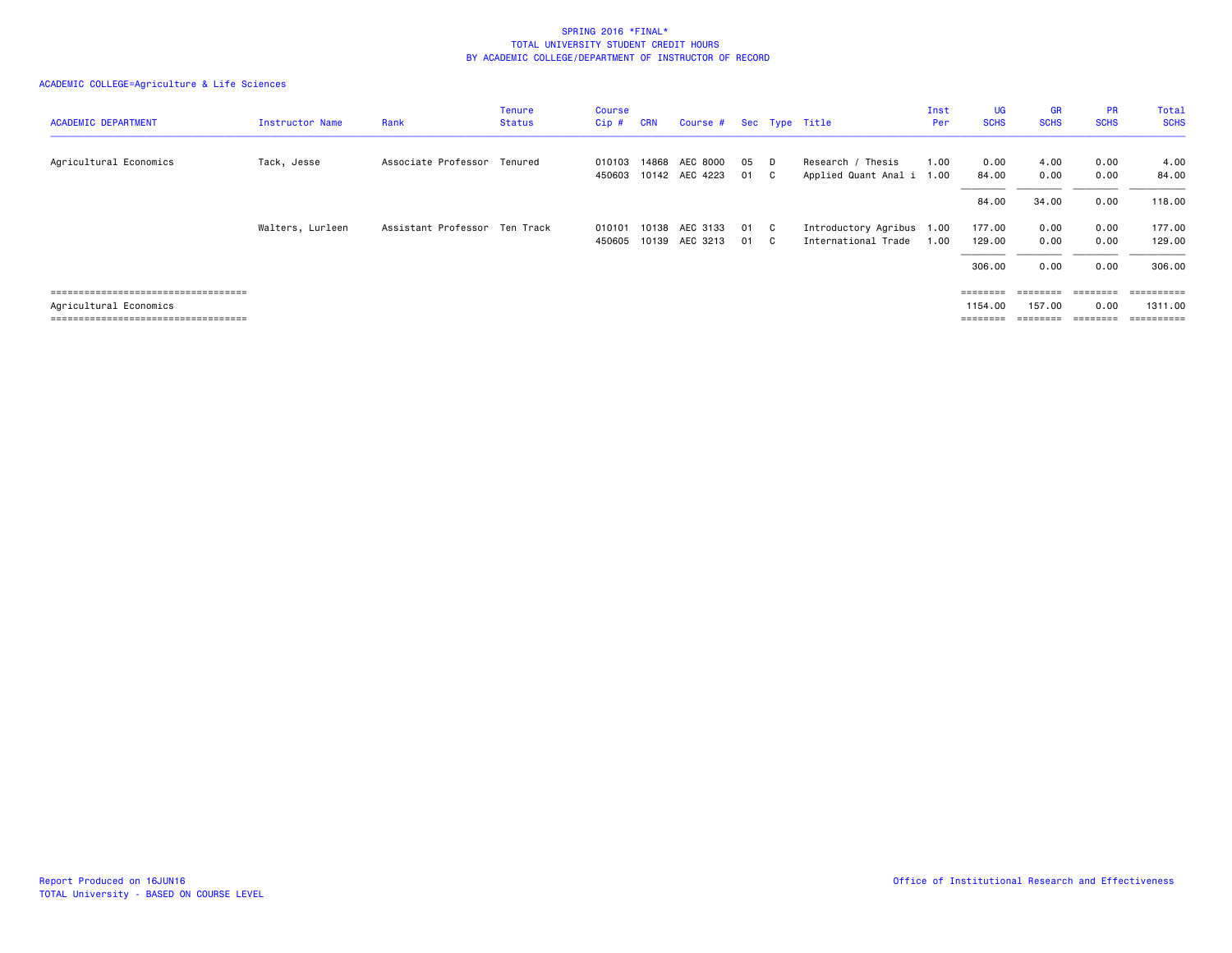| <b>ACADEMIC DEPARTMENT</b>           | Instructor Name  | Rank                          | Tenure<br><b>Status</b> | Course<br>Cip#   | <b>CRN</b>     | Course #                   |          |    | Sec Type Title                                   | Inst<br>Per  | UG<br><b>SCHS</b>                                                       | <b>GR</b><br><b>SCHS</b> | <b>PR</b><br><b>SCHS</b> | <b>Total</b><br><b>SCHS</b>                                                                                                                                                                                                                                                                                                                                                                                                                                                                     |
|--------------------------------------|------------------|-------------------------------|-------------------------|------------------|----------------|----------------------------|----------|----|--------------------------------------------------|--------------|-------------------------------------------------------------------------|--------------------------|--------------------------|-------------------------------------------------------------------------------------------------------------------------------------------------------------------------------------------------------------------------------------------------------------------------------------------------------------------------------------------------------------------------------------------------------------------------------------------------------------------------------------------------|
| Agricultural Economics               | Tack, Jesse      | Associate Professor Tenured   |                         | 010103<br>450603 | 14868          | AEC 8000<br>10142 AEC 4223 | 05<br>01 | C. | Research / Thesis<br>Applied Quant Anal i        | 1.00<br>1.00 | 0.00<br>84.00                                                           | 4.00<br>0.00             | 0.00<br>0.00             | 4.00<br>84.00                                                                                                                                                                                                                                                                                                                                                                                                                                                                                   |
|                                      |                  |                               |                         |                  |                |                            |          |    |                                                  |              | 84.00                                                                   | 34.00                    | 0.00                     | 118.00                                                                                                                                                                                                                                                                                                                                                                                                                                                                                          |
|                                      | Walters, Lurleen | Assistant Professor Ten Track |                         | 010101<br>450605 | 10138<br>10139 | AEC 3133<br>AEC 3213       | 01<br>01 | C. | Introductory Agribus 1.00<br>International Trade | 1.00         | 177.00<br>129.00                                                        | 0.00<br>0.00             | 0.00<br>0.00             | 177.00<br>129.00                                                                                                                                                                                                                                                                                                                                                                                                                                                                                |
|                                      |                  |                               |                         |                  |                |                            |          |    |                                                  |              | 306.00                                                                  | 0.00                     | 0.00                     | 306.00                                                                                                                                                                                                                                                                                                                                                                                                                                                                                          |
| ==================================== |                  |                               |                         |                  |                |                            |          |    |                                                  |              |                                                                         | ========                 | $=$ = = = = = = =        | $\begin{minipage}{0.9\linewidth} \begin{tabular}{l} \multicolumn{2}{l} {\textbf{1}} & \multicolumn{2}{l} {\textbf{2}} & \multicolumn{2}{l} {\textbf{3}} & \multicolumn{2}{l} {\textbf{4}} \\ \multicolumn{2}{l} {\textbf{5}} & \multicolumn{2}{l} {\textbf{6}} & \multicolumn{2}{l} {\textbf{7}} & \multicolumn{2}{l} {\textbf{8}} \\ \multicolumn{2}{l} {\textbf{6}} & \multicolumn{2}{l} {\textbf{7}} & \multicolumn{2}{l} {\textbf{8}} & \multicolumn{2}{l} {\textbf{9}} & \multicolumn{2}{$ |
| Agricultural Economics               |                  |                               |                         |                  |                |                            |          |    |                                                  |              | 1154.00                                                                 | 157.00                   | 0.00                     | 1311.00                                                                                                                                                                                                                                                                                                                                                                                                                                                                                         |
| ==================================== |                  |                               |                         |                  |                |                            |          |    |                                                  |              | $\qquad \qquad \equiv \equiv \equiv \equiv \equiv \equiv \equiv \equiv$ | $=$ = = = = = = =        | ========                 | ==========                                                                                                                                                                                                                                                                                                                                                                                                                                                                                      |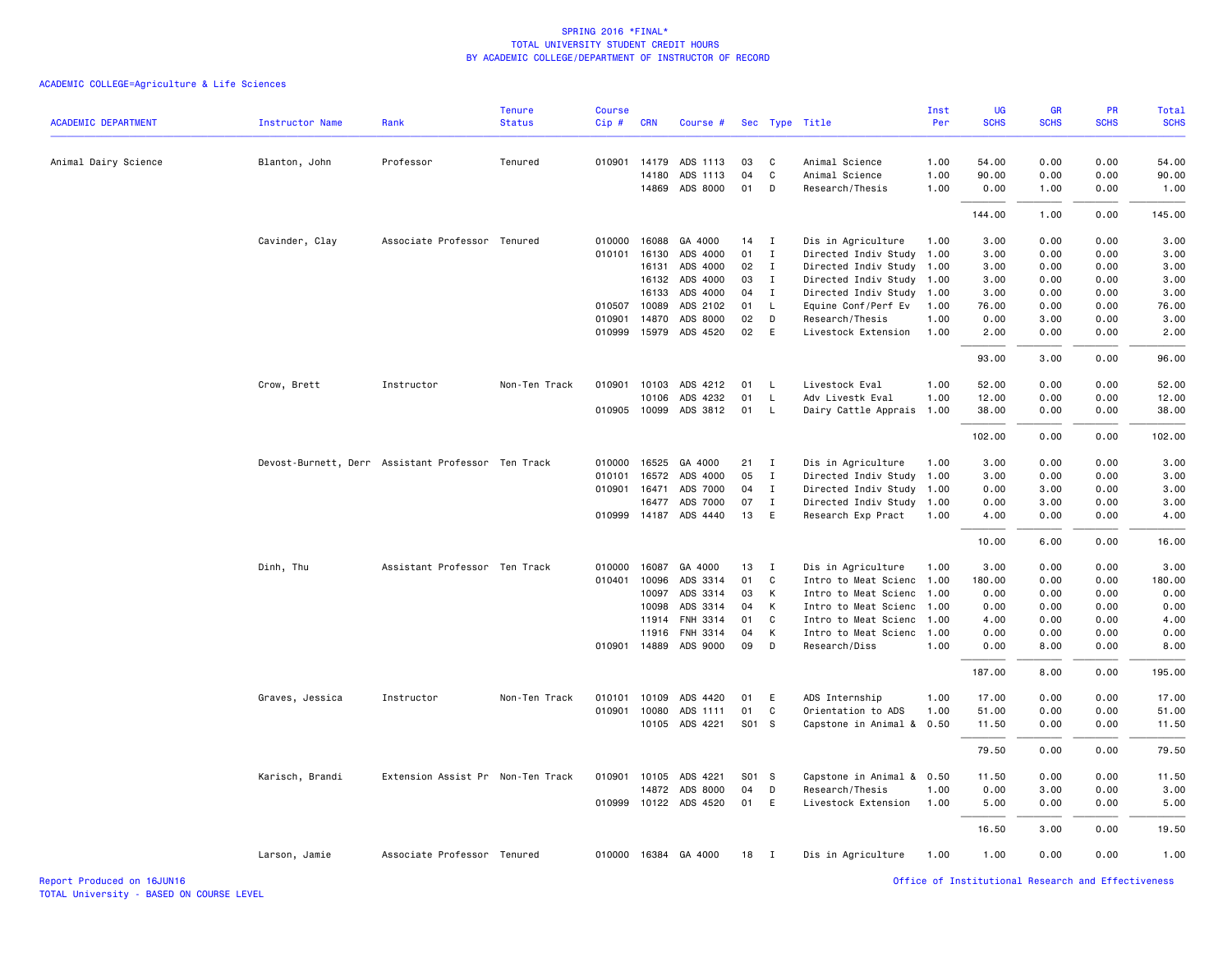ACADEMIC COLLEGE=Agriculture & Life Sciences

| <b>ACADEMIC DEPARTMENT</b> | <b>Instructor Name</b>                             | Rank                              | <b>Tenure</b><br><b>Status</b> | <b>Course</b><br>Cip# | <b>CRN</b>   | Course #              |        |                | Sec Type Title            | Inst<br>Per | <b>UG</b><br><b>SCHS</b> | <b>GR</b><br><b>SCHS</b> | <b>PR</b><br><b>SCHS</b> | Total<br><b>SCHS</b> |
|----------------------------|----------------------------------------------------|-----------------------------------|--------------------------------|-----------------------|--------------|-----------------------|--------|----------------|---------------------------|-------------|--------------------------|--------------------------|--------------------------|----------------------|
|                            |                                                    |                                   |                                |                       |              |                       |        |                |                           |             |                          |                          |                          |                      |
| Animal Dairy Science       | Blanton, John                                      | Professor                         | Tenured                        |                       | 010901 14179 | ADS 1113              | 03     | C              | Animal Science            | 1.00        | 54.00                    | 0.00                     | 0.00                     | 54.00                |
|                            |                                                    |                                   |                                |                       | 14180        | ADS 1113              | 04     | C              | Animal Science            | 1.00        | 90.00                    | 0.00                     | 0.00                     | 90.00                |
|                            |                                                    |                                   |                                |                       |              | 14869 ADS 8000        | 01     | D              | Research/Thesis           | 1.00        | 0.00                     | 1.00                     | 0.00                     | 1.00                 |
|                            |                                                    |                                   |                                |                       |              |                       |        |                |                           |             | 144.00                   | 1.00                     | 0.00                     | 145.00               |
|                            | Cavinder, Clay                                     | Associate Professor Tenured       |                                | 010000                | 16088        | GA 4000               | $14$ I |                | Dis in Agriculture        | 1.00        | 3.00                     | 0.00                     | 0.00                     | 3.00                 |
|                            |                                                    |                                   |                                | 010101                | 16130        | ADS 4000              | 01     | $\mathbf I$    | Directed Indiv Study      | 1.00        | 3.00                     | 0.00                     | 0.00                     | 3.00                 |
|                            |                                                    |                                   |                                |                       | 16131        | ADS 4000              | 02     | I              | Directed Indiv Study 1.00 |             | 3.00                     | 0.00                     | 0.00                     | 3.00                 |
|                            |                                                    |                                   |                                |                       | 16132        | ADS 4000              | 03     | I              | Directed Indiv Study 1.00 |             | 3.00                     | 0.00                     | 0.00                     | 3.00                 |
|                            |                                                    |                                   |                                |                       | 16133        | ADS 4000              | 04     | $\mathbf{I}$   | Directed Indiv Study 1.00 |             | 3.00                     | 0.00                     | 0.00                     | 3.00                 |
|                            |                                                    |                                   |                                | 010507                | 10089        | ADS 2102              | 01     | L.             | Equine Conf/Perf Ev       | 1.00        | 76.00                    | 0.00                     | 0.00                     | 76.00                |
|                            |                                                    |                                   |                                | 010901                | 14870        | ADS 8000              | 02     | D              | Research/Thesis           | 1.00        | 0.00                     | 3.00                     | 0.00                     | 3.00                 |
|                            |                                                    |                                   |                                |                       |              | 010999 15979 ADS 4520 | 02     | E              | Livestock Extension       | 1.00        | 2.00                     | 0.00                     | 0.00                     | 2.00                 |
|                            |                                                    |                                   |                                |                       |              |                       |        |                |                           |             | 93.00                    | 3.00                     | 0.00                     | 96.00                |
|                            | Crow, Brett                                        | Instructor                        | Non-Ten Track                  |                       | 010901 10103 | ADS 4212              | 01     | - L            | Livestock Eval            | 1.00        | 52.00                    | 0.00                     | 0.00                     | 52.00                |
|                            |                                                    |                                   |                                |                       | 10106        | ADS 4232              | 01     | L.             | Adv Livestk Eval          | 1.00        | 12.00                    | 0.00                     | 0.00                     | 12.00                |
|                            |                                                    |                                   |                                | 010905                | 10099        | ADS 3812              | 01     | $\mathsf{L}$   | Dairy Cattle Apprais 1.00 |             | 38.00                    | 0.00                     | 0.00                     | 38.00                |
|                            |                                                    |                                   |                                |                       |              |                       |        |                |                           |             | 102.00                   | 0.00                     | 0.00                     | 102.00               |
|                            | Devost-Burnett, Derr Assistant Professor Ten Track |                                   |                                | 010000                | 16525        | GA 4000               | 21     | $\blacksquare$ | Dis in Agriculture        | 1.00        | 3.00                     | 0.00                     | 0.00                     | 3.00                 |
|                            |                                                    |                                   |                                |                       | 010101 16572 | ADS 4000              | 05     | I              | Directed Indiv Study      | 1.00        | 3.00                     | 0.00                     | 0.00                     | 3.00                 |
|                            |                                                    |                                   |                                |                       | 010901 16471 | ADS 7000              | 04     | $\mathbf{I}$   | Directed Indiv Study 1.00 |             | 0.00                     | 3.00                     | 0.00                     | 3.00                 |
|                            |                                                    |                                   |                                |                       | 16477        | ADS 7000              | 07     | $\mathbf{I}$   | Directed Indiv Study 1.00 |             | 0.00                     | 3.00                     | 0.00                     | 3.00                 |
|                            |                                                    |                                   |                                |                       |              | 010999 14187 ADS 4440 | 13     | E              | Research Exp Pract        | 1.00        | 4.00                     | 0.00                     | 0.00                     | 4.00                 |
|                            |                                                    |                                   |                                |                       |              |                       |        |                |                           |             | 10.00                    | 6.00                     | 0.00                     | 16.00                |
|                            | Dinh, Thu                                          | Assistant Professor Ten Track     |                                | 010000                | 16087        | GA 4000               | 13     | $\mathbf{I}$   | Dis in Agriculture        | 1.00        | 3.00                     | 0.00                     | 0.00                     | 3.00                 |
|                            |                                                    |                                   |                                |                       | 010401 10096 | ADS 3314              | 01     | C              | Intro to Meat Scienc 1.00 |             | 180.00                   | 0.00                     | 0.00                     | 180.00               |
|                            |                                                    |                                   |                                |                       | 10097        | ADS 3314              | 03     | K              | Intro to Meat Scienc 1.00 |             | 0.00                     | 0.00                     | 0.00                     | 0.00                 |
|                            |                                                    |                                   |                                |                       | 10098        | ADS 3314              | 04     | K              | Intro to Meat Scienc 1.00 |             | 0.00                     | 0.00                     | 0.00                     | 0.00                 |
|                            |                                                    |                                   |                                |                       | 11914        | FNH 3314              | 01     | C              | Intro to Meat Scienc 1.00 |             | 4.00                     | 0.00                     | 0.00                     | 4.00                 |
|                            |                                                    |                                   |                                |                       | 11916        | FNH 3314              | 04     | K              | Intro to Meat Scienc 1.00 |             | 0.00                     | 0.00                     | 0.00                     | 0.00                 |
|                            |                                                    |                                   |                                |                       | 010901 14889 | ADS 9000              | 09     | D              | Research/Diss             | 1.00        | 0.00                     | 8.00                     | 0.00                     | 8.00                 |
|                            |                                                    |                                   |                                |                       |              |                       |        |                |                           |             | 187.00                   | 8.00                     | 0.00                     | 195.00               |
|                            | Graves, Jessica                                    | Instructor                        | Non-Ten Track                  | 010101                | 10109        | ADS 4420              | 01     | E              | ADS Internship            | 1.00        | 17.00                    | 0.00                     | 0.00                     | 17.00                |
|                            |                                                    |                                   |                                |                       | 010901 10080 | ADS 1111              | 01     | C              | Orientation to ADS        | 1.00        | 51.00                    | 0.00                     | 0.00                     | 51.00                |
|                            |                                                    |                                   |                                |                       |              | 10105 ADS 4221        | S01 S  |                | Capstone in Animal &      | 0.50        | 11.50                    | 0.00                     | 0.00                     | 11.50                |
|                            |                                                    |                                   |                                |                       |              |                       |        |                |                           |             | 79.50                    | 0.00                     | 0.00                     | 79.50                |
|                            | Karisch, Brandi                                    | Extension Assist Pr Non-Ten Track |                                |                       |              | 010901 10105 ADS 4221 | S01 S  |                | Capstone in Animal & 0.50 |             | 11.50                    | 0.00                     | 0.00                     | 11.50                |
|                            |                                                    |                                   |                                |                       | 14872        | ADS 8000              | 04     | D              | Research/Thesis           | 1.00        | 0.00                     | 3.00                     | 0.00                     | 3.00                 |
|                            |                                                    |                                   |                                | 010999                |              | 10122 ADS 4520        | 01     | E              | Livestock Extension       | 1.00        | 5.00                     | 0.00                     | 0.00                     | 5.00                 |
|                            |                                                    |                                   |                                |                       |              |                       |        |                |                           |             | 16.50                    | 3.00                     | 0.00                     | 19.50                |
|                            | Larson, Jamie                                      | Associate Professor Tenured       |                                |                       |              | 010000 16384 GA 4000  | 18     | $\blacksquare$ | Dis in Agriculture        | 1.00        | 1.00                     | 0.00                     | 0.00                     | 1.00                 |

Report Produced on 16JUN16 Office of Institutional Research and Effectiveness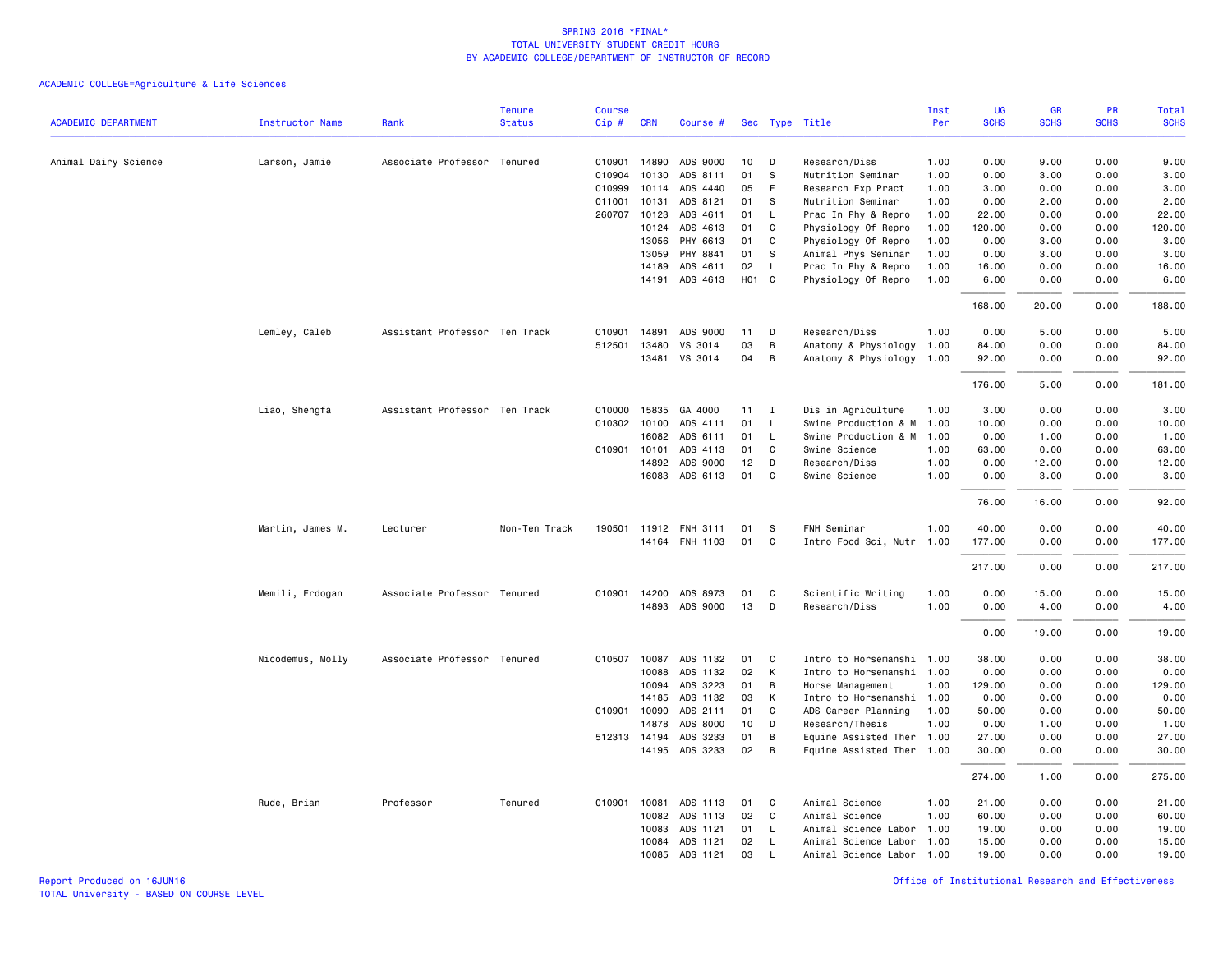|                            |                  |                               | <b>Tenure</b> | <b>Course</b> |              |                |                   |                |                           | Inst | UG          | GR          | PR          | Total       |
|----------------------------|------------------|-------------------------------|---------------|---------------|--------------|----------------|-------------------|----------------|---------------------------|------|-------------|-------------|-------------|-------------|
| <b>ACADEMIC DEPARTMENT</b> | Instructor Name  | Rank                          | <b>Status</b> | Cip #         | <b>CRN</b>   | Course #       |                   |                | Sec Type Title            | Per  | <b>SCHS</b> | <b>SCHS</b> | <b>SCHS</b> | <b>SCHS</b> |
| Animal Dairy Science       | Larson, Jamie    | Associate Professor Tenured   |               |               | 010901 14890 | ADS 9000       | 10                | D              | Research/Diss             | 1.00 | 0.00        | 9.00        | 0.00        | 9.00        |
|                            |                  |                               |               | 010904        | 10130        | ADS 8111       | 01                | S              | Nutrition Seminar         | 1.00 | 0.00        | 3.00        | 0.00        | 3.00        |
|                            |                  |                               |               | 010999        | 10114        | ADS 4440       | 05                | E              | Research Exp Pract        | 1.00 | 3.00        | 0.00        | 0.00        | 3.00        |
|                            |                  |                               |               | 011001        | 10131        | ADS 8121       | 01                | s              | Nutrition Seminar         | 1.00 | 0.00        | 2.00        | 0.00        | 2.00        |
|                            |                  |                               |               | 260707        | 10123        | ADS 4611       | 01                | $\mathsf{L}$   | Prac In Phy & Repro       | 1.00 | 22.00       | 0.00        | 0.00        | 22.00       |
|                            |                  |                               |               |               | 10124        | ADS 4613       | 01                | C              | Physiology Of Repro       | 1.00 | 120.00      | 0.00        | 0.00        | 120.00      |
|                            |                  |                               |               |               | 13056        | PHY 6613       | 01                | C              | Physiology Of Repro       | 1.00 | 0.00        | 3.00        | 0.00        | 3.00        |
|                            |                  |                               |               |               | 13059        | PHY 8841       | 01                | - S            | Animal Phys Seminar       | 1.00 | 0.00        | 3.00        | 0.00        | 3.00        |
|                            |                  |                               |               |               | 14189        | ADS 4611       | 02                | L              | Prac In Phy & Repro       | 1.00 | 16.00       | 0.00        | 0.00        | 16.00       |
|                            |                  |                               |               |               |              | 14191 ADS 4613 | H <sub>01</sub> C |                | Physiology Of Repro       | 1.00 | 6.00        | 0.00        | 0.00        | 6.00        |
|                            |                  |                               |               |               |              |                |                   |                |                           |      | 168.00      | 20.00       | 0.00        | 188.00      |
|                            | Lemley, Caleb    | Assistant Professor Ten Track |               | 010901        | 14891        | ADS 9000       | 11                | D              | Research/Diss             | 1.00 | 0.00        | 5.00        | 0.00        | 5.00        |
|                            |                  |                               |               | 512501        | 13480        | VS 3014        | 03                | B              | Anatomy & Physiology      | 1.00 | 84.00       | 0.00        | 0.00        | 84.00       |
|                            |                  |                               |               |               |              | 13481 VS 3014  | 04                | B              | Anatomy & Physiology      | 1.00 | 92.00       | 0.00        | 0.00        | 92.00       |
|                            |                  |                               |               |               |              |                |                   |                |                           |      | 176.00      | 5.00        | 0.00        | 181.00      |
|                            | Liao, Shengfa    | Assistant Professor Ten Track |               | 010000        | 15835        | GA 4000        | $11 \quad I$      |                | Dis in Agriculture        | 1.00 | 3.00        | 0.00        | 0.00        | 3.00        |
|                            |                  |                               |               | 010302        | 10100        | ADS 4111       | 01                | $\mathsf{L}$   | Swine Production & M      | 1.00 | 10.00       | 0.00        | 0.00        | 10.00       |
|                            |                  |                               |               |               | 16082        | ADS 6111       | 01                | $\mathsf{L}$   | Swine Production & M      | 1.00 | 0.00        | 1.00        | 0.00        | 1.00        |
|                            |                  |                               |               |               | 010901 10101 | ADS 4113       | 01                | C              | Swine Science             | 1.00 | 63.00       | 0.00        | 0.00        | 63.00       |
|                            |                  |                               |               |               | 14892        | ADS 9000       | 12                | D              | Research/Diss             | 1.00 | 0.00        | 12.00       | 0.00        | 12.00       |
|                            |                  |                               |               |               |              | 16083 ADS 6113 | 01                | $\mathbf{C}$   | Swine Science             | 1.00 | 0.00        | 3.00        | 0.00        | 3.00        |
|                            |                  |                               |               |               |              |                |                   |                |                           |      | 76.00       | 16.00       | 0.00        | 92.00       |
|                            | Martin, James M. | Lecturer                      | Non-Ten Track | 190501        |              | 11912 FNH 3111 | 01                | -S             | FNH Seminar               | 1.00 | 40.00       | 0.00        | 0.00        | 40.00       |
|                            |                  |                               |               |               |              | 14164 FNH 1103 | 01                | $\mathbf{C}$   | Intro Food Sci, Nutr 1.00 |      | 177.00      | 0.00        | 0.00        | 177.00      |
|                            |                  |                               |               |               |              |                |                   |                |                           |      | 217.00      | 0.00        | 0.00        | 217.00      |
|                            | Memili, Erdogan  | Associate Professor Tenured   |               |               | 010901 14200 | ADS 8973       | 01                | C              | Scientific Writing        | 1.00 | 0.00        | 15.00       | 0.00        | 15.00       |
|                            |                  |                               |               |               |              | 14893 ADS 9000 | 13                | D              | Research/Diss             | 1.00 | 0.00        | 4.00        | 0.00        | 4.00        |
|                            |                  |                               |               |               |              |                |                   |                |                           |      | 0.00        | 19.00       | 0.00        | 19.00       |
|                            |                  |                               |               |               |              |                |                   |                |                           |      |             |             |             |             |
|                            | Nicodemus, Molly | Associate Professor Tenured   |               |               | 010507 10087 | ADS 1132       | 01                | C.             | Intro to Horsemanshi 1.00 |      | 38.00       | 0.00        | 0.00        | 38.00       |
|                            |                  |                               |               |               | 10088        | ADS 1132       | 02                | К              | Intro to Horsemanshi 1.00 |      | 0.00        | 0.00        | 0.00        | 0.00        |
|                            |                  |                               |               |               | 10094        | ADS 3223       | 01                | B              | Horse Management          | 1.00 | 129.00      | 0.00        | 0.00        | 129.00      |
|                            |                  |                               |               |               | 14185        | ADS 1132       | 03                | K              | Intro to Horsemanshi      | 1.00 | 0.00        | 0.00        | 0.00        | 0.00        |
|                            |                  |                               |               |               | 010901 10090 | ADS 2111       | 01                | C              | ADS Career Planning       | 1.00 | 50.00       | 0.00        | 0.00        | 50.00       |
|                            |                  |                               |               |               | 14878        | ADS 8000       | 10                | D              | Research/Thesis           | 1.00 | 0.00        | 1.00        | 0.00        | 1.00        |
|                            |                  |                               |               |               | 512313 14194 | ADS 3233       | 01                | В              | Equine Assisted Ther 1.00 |      | 27.00       | 0.00        | 0.00        | 27.00       |
|                            |                  |                               |               |               |              | 14195 ADS 3233 | 02                | $\overline{B}$ | Equine Assisted Ther 1.00 |      | 30.00       | 0.00        | 0.00        | 30.00       |
|                            |                  |                               |               |               |              |                |                   |                |                           |      | 274.00      | 1.00        | 0.00        | 275.00      |
|                            | Rude, Brian      | Professor                     | Tenured       |               | 010901 10081 | ADS 1113       | 01                | C.             | Animal Science            | 1.00 | 21.00       | 0.00        | 0.00        | 21.00       |
|                            |                  |                               |               |               | 10082        | ADS 1113       | 02                | C.             | Animal Science            | 1.00 | 60.00       | 0.00        | 0.00        | 60.00       |
|                            |                  |                               |               |               | 10083        | ADS 1121       | 01                | L              | Animal Science Labor      | 1.00 | 19.00       | 0.00        | 0.00        | 19.00       |
|                            |                  |                               |               |               | 10084        | ADS 1121       | 02                | <b>L</b>       | Animal Science Labor 1.00 |      | 15.00       | 0.00        | 0.00        | 15.00       |
|                            |                  |                               |               |               | 10085        | ADS 1121       | 03                | L              | Animal Science Labor 1.00 |      | 19,00       | 0.00        | 0.00        | 19.00       |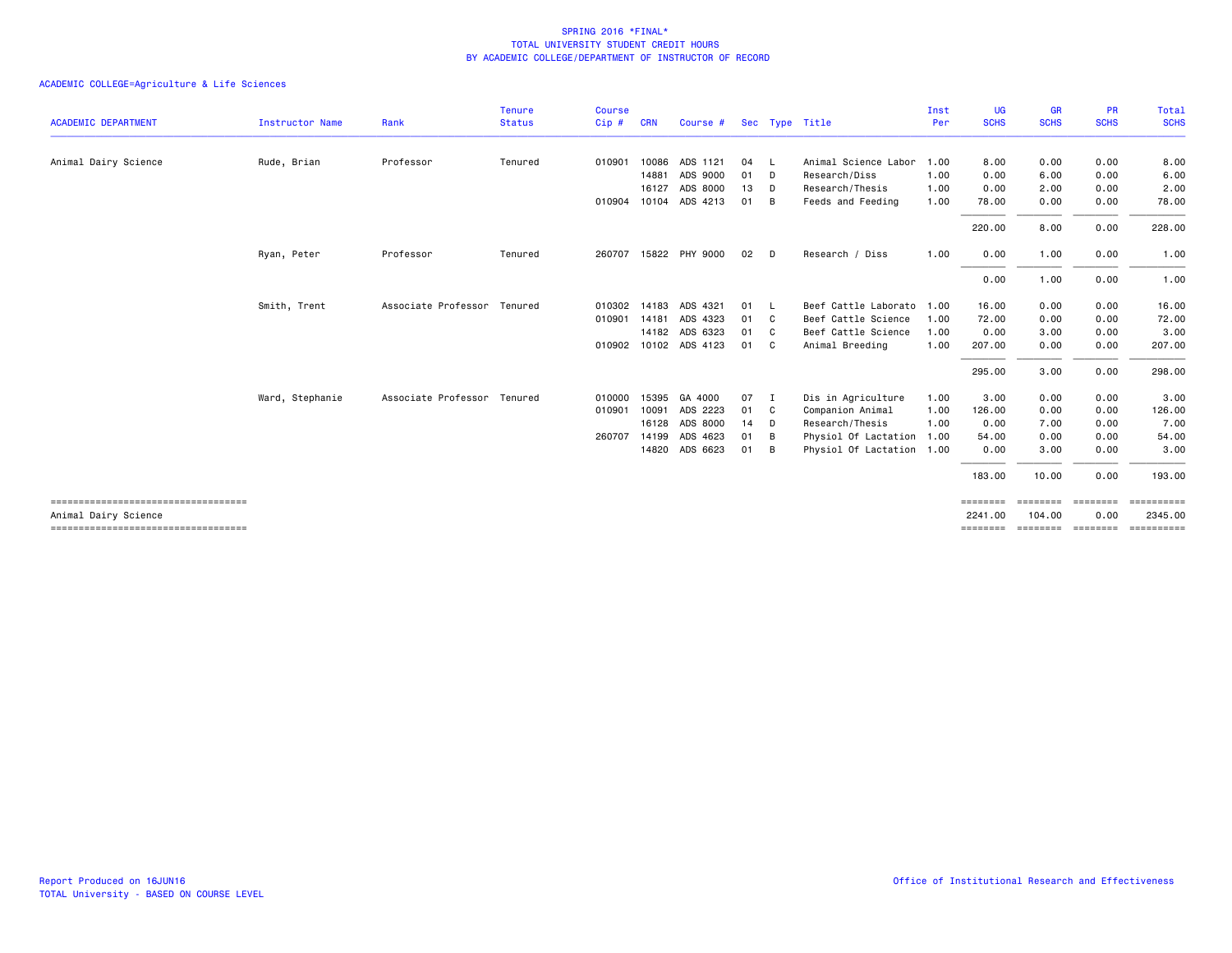|                                                               |                 |                             | <b>Tenure</b> | <b>Course</b> |            |                       |      |                |                           | Inst | <b>UG</b>           | <b>GR</b>          | <b>PR</b>              | Total                 |
|---------------------------------------------------------------|-----------------|-----------------------------|---------------|---------------|------------|-----------------------|------|----------------|---------------------------|------|---------------------|--------------------|------------------------|-----------------------|
| <b>ACADEMIC DEPARTMENT</b>                                    | Instructor Name | Rank                        | <b>Status</b> | Cip#          | <b>CRN</b> | Course #              |      |                | Sec Type Title            | Per  | <b>SCHS</b>         | <b>SCHS</b>        | <b>SCHS</b>            | <b>SCHS</b>           |
| Animal Dairy Science                                          | Rude, Brian     | Professor                   | Tenured       | 010901        | 10086      | ADS 1121              | 04   | $\perp$        | Animal Science Labor      | 1.00 | 8.00                | 0.00               | 0.00                   | 8.00                  |
|                                                               |                 |                             |               |               | 14881      | ADS 9000              | 01   | D.             | Research/Diss             | 1.00 | 0.00                | 6.00               | 0.00                   | 6.00                  |
|                                                               |                 |                             |               |               | 16127      | ADS 8000              | 13   | D              | Research/Thesis           | 1.00 | 0.00                | 2.00               | 0.00                   | 2.00                  |
|                                                               |                 |                             |               |               |            | 010904 10104 ADS 4213 | 01   | B              | Feeds and Feeding         | 1.00 | 78.00               | 0.00               | 0.00                   | 78.00                 |
|                                                               |                 |                             |               |               |            |                       |      |                |                           |      | 220.00              | 8.00               | 0.00                   | 228.00                |
|                                                               | Ryan, Peter     | Professor                   | Tenured       | 260707        |            | 15822 PHY 9000        | 02   | D              | Research / Diss           | 1.00 | 0.00                | 1.00               | 0.00                   | 1.00                  |
|                                                               |                 |                             |               |               |            |                       |      |                |                           |      | 0.00                | 1.00               | 0.00                   | 1.00                  |
|                                                               | Smith, Trent    | Associate Professor Tenured |               | 010302        | 14183      | ADS 4321              | 01   | $\mathsf{L}$   | Beef Cattle Laborato 1.00 |      | 16.00               | 0.00               | 0.00                   | 16.00                 |
|                                                               |                 |                             |               | 010901 14181  |            | ADS 4323              | 01   | C <sub>c</sub> | Beef Cattle Science       | 1.00 | 72.00               | 0.00               | 0.00                   | 72.00                 |
|                                                               |                 |                             |               |               |            | 14182 ADS 6323        | 01 C |                | Beef Cattle Science       | 1.00 | 0.00                | 3.00               | 0.00                   | 3.00                  |
|                                                               |                 |                             |               |               |            | 010902 10102 ADS 4123 | 01 C |                | Animal Breeding           | 1.00 | 207.00              | 0.00               | 0.00                   | 207.00                |
|                                                               |                 |                             |               |               |            |                       |      |                |                           |      | 295.00              | 3.00               | 0.00                   | 298.00                |
|                                                               | Ward, Stephanie | Associate Professor         | Tenured       | 010000        | 15395      | GA 4000               | 07 I |                | Dis in Agriculture        | 1.00 | 3.00                | 0.00               | 0.00                   | 3.00                  |
|                                                               |                 |                             |               | 010901        | 10091      | ADS 2223              | 01 C |                | Companion Animal          | 1.00 | 126.00              | 0.00               | 0.00                   | 126.00                |
|                                                               |                 |                             |               |               |            | 16128 ADS 8000        | 14   | D              | Research/Thesis           | 1.00 | 0.00                | 7.00               | 0.00                   | 7.00                  |
|                                                               |                 |                             |               | 260707        | 14199      | ADS 4623              | 01   | B              | Physiol Of Lactation      | 1.00 | 54.00               | 0.00               | 0.00                   | 54.00                 |
|                                                               |                 |                             |               |               |            | 14820 ADS 6623        | 01   | B              | Physiol Of Lactation 1.00 |      | 0.00                | 3.00               | 0.00                   | 3.00                  |
|                                                               |                 |                             |               |               |            |                       |      |                |                           |      | 183.00              | 10.00              | 0.00                   | 193.00                |
| ======================================                        |                 |                             |               |               |            |                       |      |                |                           |      | ========            | ========           | <b>ESSESSE</b>         | ==========            |
| Animal Dairy Science<br>===================================== |                 |                             |               |               |            |                       |      |                |                           |      | 2241.00<br>======== | 104.00<br>======== | 0.00<br><b>ESSESSE</b> | 2345.00<br>ESSESSESSE |
|                                                               |                 |                             |               |               |            |                       |      |                |                           |      |                     |                    |                        |                       |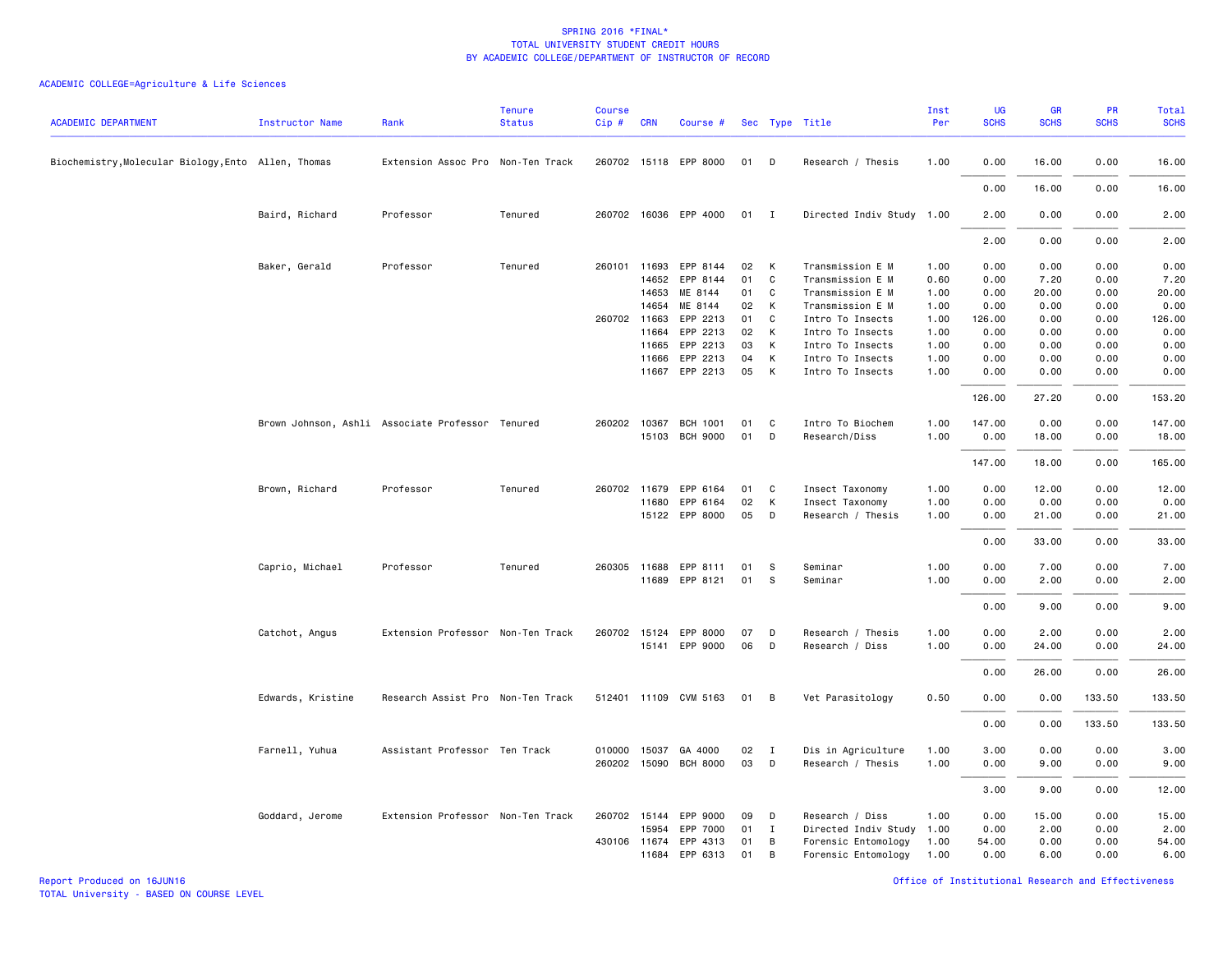| <b>ACADEMIC DEPARTMENT</b>                          | <b>Instructor Name</b> | Rank                                             | <b>Tenure</b><br><b>Status</b> | <b>Course</b><br>Cip# | <b>CRN</b>   | Course #              |    |                | Sec Type Title            | Inst<br>Per | <b>UG</b><br><b>SCHS</b> | <b>GR</b><br><b>SCHS</b> | <b>PR</b><br><b>SCHS</b> | Total<br><b>SCHS</b> |
|-----------------------------------------------------|------------------------|--------------------------------------------------|--------------------------------|-----------------------|--------------|-----------------------|----|----------------|---------------------------|-------------|--------------------------|--------------------------|--------------------------|----------------------|
| Biochemistry, Molecular Biology, Ento Allen, Thomas |                        | Extension Assoc Pro Non-Ten Track                |                                |                       |              | 260702 15118 EPP 8000 | 01 | D              | Research / Thesis         | 1.00        | 0.00                     | 16.00                    | 0.00                     | 16.00                |
|                                                     |                        |                                                  |                                |                       |              |                       |    |                |                           |             | 0.00                     | 16.00                    | 0.00                     | 16.00                |
|                                                     | Baird, Richard         | Professor                                        | Tenured                        |                       |              | 260702 16036 EPP 4000 | 01 | $\blacksquare$ | Directed Indiv Study 1.00 |             | 2.00                     | 0.00                     | 0.00                     | 2.00                 |
|                                                     |                        |                                                  |                                |                       |              |                       |    |                |                           |             | 2.00                     | 0.00                     | 0.00                     | 2.00                 |
|                                                     | Baker, Gerald          | Professor                                        | Tenured                        |                       | 260101 11693 | EPP 8144              | 02 | K              | Transmission E M          | 1.00        | 0.00                     | 0.00                     | 0.00                     | 0.00                 |
|                                                     |                        |                                                  |                                |                       | 14652        | EPP 8144              | 01 | C              | Transmission E M          | 0.60        | 0.00                     | 7.20                     | 0.00                     | 7.20                 |
|                                                     |                        |                                                  |                                |                       | 14653        | ME 8144               | 01 | C              | Transmission E M          | 1.00        | 0.00                     | 20.00                    | 0.00                     | 20.00                |
|                                                     |                        |                                                  |                                |                       | 14654        | ME 8144               | 02 | K              | Transmission E M          | 1.00        | 0.00                     | 0.00                     | 0.00                     | 0.00                 |
|                                                     |                        |                                                  |                                |                       | 260702 11663 | EPP 2213              | 01 | C              | Intro To Insects          | 1.00        | 126.00                   | 0.00                     | 0.00                     | 126.00               |
|                                                     |                        |                                                  |                                |                       | 11664        | EPP 2213              | 02 | К              | Intro To Insects          | 1.00        | 0.00                     | 0.00                     | 0.00                     | 0.00                 |
|                                                     |                        |                                                  |                                |                       | 11665        | EPP 2213              | 03 | K              | Intro To Insects          | 1.00        | 0.00                     | 0.00                     | 0.00                     | 0.00                 |
|                                                     |                        |                                                  |                                |                       | 11666        | EPP 2213              | 04 | K              | Intro To Insects          | 1.00        | 0.00                     | 0.00                     | 0.00                     | 0.00                 |
|                                                     |                        |                                                  |                                |                       |              | 11667 EPP 2213        | 05 | K              | Intro To Insects          | 1.00        | 0.00                     | 0.00                     | 0.00                     | 0.00                 |
|                                                     |                        |                                                  |                                |                       |              |                       |    |                |                           |             | 126.00                   | 27.20                    | 0.00                     | 153.20               |
|                                                     |                        | Brown Johnson, Ashli Associate Professor Tenured |                                |                       | 260202 10367 | <b>BCH 1001</b>       | 01 | C              | Intro To Biochem          | 1.00        | 147.00                   | 0.00                     | 0.00                     | 147.00               |
|                                                     |                        |                                                  |                                |                       |              | 15103 BCH 9000        | 01 | D              | Research/Diss             | 1.00        | 0.00                     | 18.00                    | 0.00                     | 18.00                |
|                                                     |                        |                                                  |                                |                       |              |                       |    |                |                           |             | 147.00                   | 18.00                    | 0.00                     | 165.00               |
|                                                     | Brown, Richard         | Professor                                        | Tenured                        |                       | 260702 11679 | EPP 6164              | 01 | C              | Insect Taxonomy           | 1.00        | 0.00                     | 12.00                    | 0.00                     | 12.00                |
|                                                     |                        |                                                  |                                |                       |              | 11680 EPP 6164        | 02 | К              | Insect Taxonomy           | 1.00        | 0.00                     | 0.00                     | 0.00                     | 0.00                 |
|                                                     |                        |                                                  |                                |                       |              | 15122 EPP 8000        | 05 | D              | Research / Thesis         | 1.00        | 0.00                     | 21.00                    | 0.00                     | 21.00                |
|                                                     |                        |                                                  |                                |                       |              |                       |    |                |                           |             | 0.00                     | 33.00                    | 0.00                     | 33.00                |
|                                                     | Caprio, Michael        | Professor                                        | Tenured                        |                       | 260305 11688 | EPP 8111              | 01 | s              | Seminar                   | 1.00        | 0.00                     | 7.00                     | 0.00                     | 7.00                 |
|                                                     |                        |                                                  |                                |                       |              | 11689 EPP 8121        | 01 | s              | Seminar                   | 1.00        | 0.00                     | 2.00                     | 0.00                     | 2.00                 |
|                                                     |                        |                                                  |                                |                       |              |                       |    |                |                           |             | 0.00                     | 9.00                     | 0.00                     | 9.00                 |
|                                                     | Catchot, Angus         | Extension Professor Non-Ten Track                |                                |                       |              | 260702 15124 EPP 8000 | 07 | D              | Research / Thesis         | 1.00        | 0.00                     | 2.00                     | 0.00                     | 2.00                 |
|                                                     |                        |                                                  |                                |                       |              | 15141 EPP 9000        | 06 | D              | Research / Diss           | 1.00        | 0.00                     | 24.00                    | 0.00                     | 24.00                |
|                                                     |                        |                                                  |                                |                       |              |                       |    |                |                           |             | 0.00                     | 26.00                    | 0.00                     | 26.00                |
|                                                     | Edwards, Kristine      | Research Assist Pro Non-Ten Track                |                                |                       |              | 512401 11109 CVM 5163 | 01 | B              | Vet Parasitology          | 0.50        | 0.00                     | 0.00                     | 133.50                   | 133.50               |
|                                                     |                        |                                                  |                                |                       |              |                       |    |                |                           |             | 0.00                     | 0.00                     | 133.50                   | 133.50               |
|                                                     | Farnell, Yuhua         | Assistant Professor Ten Track                    |                                |                       | 010000 15037 | GA 4000               | 02 | $\mathbf{I}$   | Dis in Agriculture        | 1.00        | 3.00                     | 0.00                     | 0.00                     | 3.00                 |
|                                                     |                        |                                                  |                                |                       |              | 260202 15090 BCH 8000 | 03 | D              | Research / Thesis         | 1.00        | 0.00                     | 9.00                     | 0.00                     | 9.00                 |
|                                                     |                        |                                                  |                                |                       |              |                       |    |                |                           |             | 3.00                     | 9.00                     | 0.00                     | 12.00                |
|                                                     | Goddard, Jerome        | Extension Professor Non-Ten Track                |                                |                       |              | 260702 15144 EPP 9000 | 09 | D              | Research / Diss           | 1.00        | 0.00                     | 15.00                    | 0.00                     | 15.00                |
|                                                     |                        |                                                  |                                |                       | 15954        | EPP 7000              | 01 | $\mathbf{I}$   | Directed Indiv Study      | 1.00        | 0.00                     | 2.00                     | 0.00                     | 2.00                 |
|                                                     |                        |                                                  |                                | 430106                |              | 11674 EPP 4313        | 01 | В              | Forensic Entomology       | 1.00        | 54.00                    | 0.00                     | 0.00                     | 54.00                |
|                                                     |                        |                                                  |                                |                       |              | 11684 EPP 6313        | 01 | B              | Forensic Entomology       | 1.00        | 0.00                     | 6.00                     | 0.00                     | 6.00                 |
|                                                     |                        |                                                  |                                |                       |              |                       |    |                |                           |             |                          |                          |                          |                      |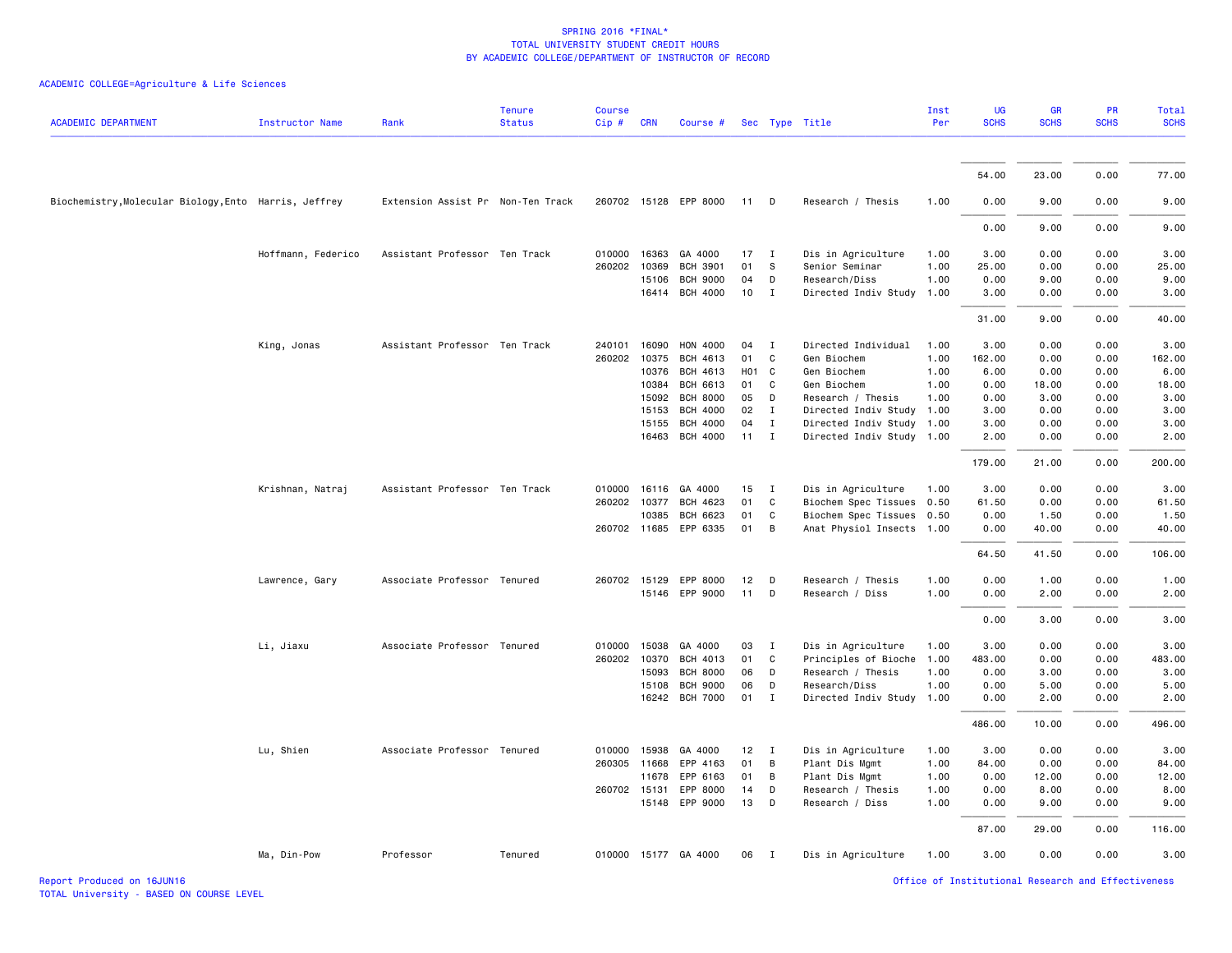| <b>ACADEMIC DEPARTMENT</b>                            | <b>Instructor Name</b> | Rank                              | <b>Tenure</b><br><b>Status</b> | <b>Course</b><br>Cip# | <b>CRN</b>     | Course #                           |          |                             | Sec Type Title                               | Inst<br>Per  | <b>UG</b><br><b>SCHS</b> | <b>GR</b><br><b>SCHS</b> | <b>PR</b><br><b>SCHS</b> | Total<br><b>SCHS</b> |
|-------------------------------------------------------|------------------------|-----------------------------------|--------------------------------|-----------------------|----------------|------------------------------------|----------|-----------------------------|----------------------------------------------|--------------|--------------------------|--------------------------|--------------------------|----------------------|
|                                                       |                        |                                   |                                |                       |                |                                    |          |                             |                                              |              | 54.00                    | 23.00                    | 0.00                     | 77.00                |
| Biochemistry, Molecular Biology, Ento Harris, Jeffrey |                        | Extension Assist Pr Non-Ten Track |                                |                       |                | 260702 15128 EPP 8000              | 11       | $\Box$                      | Research / Thesis                            | 1.00         | 0.00                     | 9.00                     | 0.00                     | 9.00                 |
|                                                       |                        |                                   |                                |                       |                |                                    |          |                             |                                              |              | 0.00                     | 9.00                     | 0.00                     | 9.00                 |
|                                                       | Hoffmann, Federico     | Assistant Professor Ten Track     |                                | 010000                | 16363          | GA 4000                            | 17       | $\mathbf{I}$                | Dis in Agriculture                           | 1.00         | 3.00                     | 0.00                     | 0.00                     | 3.00                 |
|                                                       |                        |                                   |                                | 260202                | 10369          | <b>BCH 3901</b>                    | 01       | S                           | Senior Seminar                               | 1.00         | 25.00                    | 0.00                     | 0.00                     | 25.00                |
|                                                       |                        |                                   |                                |                       | 15106<br>16414 | <b>BCH 9000</b><br><b>BCH 4000</b> | 04<br>10 | D<br>$\mathbf{I}$           | Research/Diss<br>Directed Indiv Study        | 1.00<br>1.00 | 0.00<br>3.00             | 9.00<br>0.00             | 0.00<br>0.00             | 9.00<br>3.00         |
|                                                       |                        |                                   |                                |                       |                |                                    |          |                             |                                              |              | 31.00                    | 9.00                     | 0.00                     | 40.00                |
|                                                       | King, Jonas            | Assistant Professor Ten Track     |                                | 240101                | 16090          | HON 4000                           | 04       | $\mathbf{I}$                | Directed Individual                          | 1.00         | 3.00                     | 0.00                     | 0.00                     | 3.00                 |
|                                                       |                        |                                   |                                | 260202                | 10375          | BCH 4613                           | 01       | C                           | Gen Biochem                                  | 1.00         | 162.00                   | 0.00                     | 0.00                     | 162.00               |
|                                                       |                        |                                   |                                |                       | 10376          | BCH 4613                           | HO1 C    |                             | Gen Biochem                                  | 1.00         | 6.00                     | 0.00                     | 0.00                     | 6.00                 |
|                                                       |                        |                                   |                                |                       | 10384          | BCH 6613                           | 01       | C                           | Gen Biochem                                  | 1.00         | 0.00                     | 18.00                    | 0.00                     | 18.00                |
|                                                       |                        |                                   |                                |                       | 15092          | <b>BCH 8000</b>                    | 05       | D                           | Research / Thesis                            | 1.00         | 0.00                     | 3.00                     | 0.00                     | 3.00                 |
|                                                       |                        |                                   |                                |                       | 15153<br>15155 | <b>BCH 4000</b><br><b>BCH 4000</b> | 02<br>04 | $\mathbf I$<br>$\mathbf{I}$ | Directed Indiv Study<br>Directed Indiv Study | 1.00<br>1.00 | 3.00<br>3.00             | 0.00<br>0.00             | 0.00<br>0.00             | 3.00<br>3.00         |
|                                                       |                        |                                   |                                |                       | 16463          | <b>BCH 4000</b>                    | 11       | $\mathbf I$                 | Directed Indiv Study 1.00                    |              | 2.00                     | 0.00                     | 0.00                     | 2.00                 |
|                                                       |                        |                                   |                                |                       |                |                                    |          |                             |                                              |              | 179.00                   | 21.00                    | 0.00                     | 200.00               |
|                                                       | Krishnan, Natraj       | Assistant Professor Ten Track     |                                | 010000                | 16116          | GA 4000                            | 15       | $\mathbf{I}$                | Dis in Agriculture                           | 1.00         | 3.00                     | 0.00                     | 0.00                     | 3.00                 |
|                                                       |                        |                                   |                                | 260202                | 10377          | BCH 4623                           | 01       | C                           | Biochem Spec Tissues                         | 0.50         | 61.50                    | 0.00                     | 0.00                     | 61.50                |
|                                                       |                        |                                   |                                |                       | 10385          | <b>BCH 6623</b>                    | 01       | C                           | Biochem Spec Tissues 0.50                    |              | 0.00                     | 1.50                     | 0.00                     | 1.50                 |
|                                                       |                        |                                   |                                |                       |                | 260702 11685 EPP 6335              | 01       | B                           | Anat Physiol Insects 1.00                    |              | 0.00                     | 40.00                    | 0.00                     | 40.00                |
|                                                       |                        |                                   |                                |                       |                |                                    |          |                             |                                              |              | 64.50                    | 41.50                    | 0.00                     | 106.00               |
|                                                       | Lawrence, Gary         | Associate Professor Tenured       |                                |                       | 260702 15129   | EPP 8000                           | 12       | D                           | Research / Thesis                            | 1.00         | 0.00                     | 1.00                     | 0.00                     | 1.00                 |
|                                                       |                        |                                   |                                |                       | 15146          | EPP 9000                           | 11       | D                           | Research / Diss                              | 1.00         | 0.00                     | 2.00                     | 0.00                     | 2.00                 |
|                                                       |                        |                                   |                                |                       |                |                                    |          |                             |                                              |              | 0.00                     | 3.00                     | 0.00                     | 3.00                 |
|                                                       | Li, Jiaxu              | Associate Professor Tenured       |                                | 010000                | 15038          | GA 4000                            | 03       | $\mathbf{I}$                | Dis in Agriculture                           | 1.00         | 3.00                     | 0.00                     | 0.00                     | 3.00                 |
|                                                       |                        |                                   |                                | 260202                | 10370          | <b>BCH 4013</b>                    | 01       | C                           | Principles of Bioche                         | 1.00         | 483.00                   | 0.00                     | 0.00                     | 483.00               |
|                                                       |                        |                                   |                                |                       | 15093          | <b>BCH 8000</b>                    | 06       | D                           | Research / Thesis                            | 1.00         | 0.00                     | 3.00                     | 0.00                     | 3.00                 |
|                                                       |                        |                                   |                                |                       | 15108          | <b>BCH 9000</b>                    | 06       | D                           | Research/Diss                                | 1.00         | 0.00                     | 5.00                     | 0.00                     | 5.00                 |
|                                                       |                        |                                   |                                |                       | 16242          | <b>BCH 7000</b>                    | 01       | $\mathbf I$                 | Directed Indiv Study                         | 1.00         | 0.00                     | 2.00                     | 0.00                     | 2.00                 |
|                                                       |                        |                                   |                                |                       |                |                                    |          |                             |                                              |              | 486.00                   | 10.00                    | 0.00                     | 496.00               |
|                                                       | Lu, Shien              | Associate Professor Tenured       |                                |                       | 010000 15938   | GA 4000                            | 12       | $\blacksquare$              | Dis in Agriculture                           | 1.00         | 3.00                     | 0.00                     | 0.00                     | 3.00                 |
|                                                       |                        |                                   |                                |                       | 260305 11668   | EPP 4163                           | 01       | B                           | Plant Dis Mgmt                               | 1.00         | 84.00                    | 0.00                     | 0.00                     | 84.00                |
|                                                       |                        |                                   |                                |                       | 11678          | EPP 6163                           | 01       | B                           | Plant Dis Mgmt                               | 1.00         | 0.00                     | 12.00                    | 0.00                     | 12.00                |
|                                                       |                        |                                   |                                | 260702 15131          | 15148          | EPP 8000<br>EPP 9000               | 14<br>13 | D<br>D                      | Research / Thesis<br>Research / Diss         | 1.00<br>1.00 | 0.00<br>0.00             | 8.00<br>9.00             | 0.00<br>0.00             | 8.00<br>9.00         |
|                                                       |                        |                                   |                                |                       |                |                                    |          |                             |                                              |              | 87.00                    | 29.00                    | 0.00                     | 116.00               |
|                                                       |                        |                                   |                                |                       |                |                                    |          |                             |                                              |              |                          |                          |                          |                      |
|                                                       | Ma, Din-Pow            | Professor                         | Tenured                        |                       |                | 010000 15177 GA 4000               | 06       | $\blacksquare$              | Dis in Agriculture                           | 1.00         | 3.00                     | 0.00                     | 0.00                     | 3.00                 |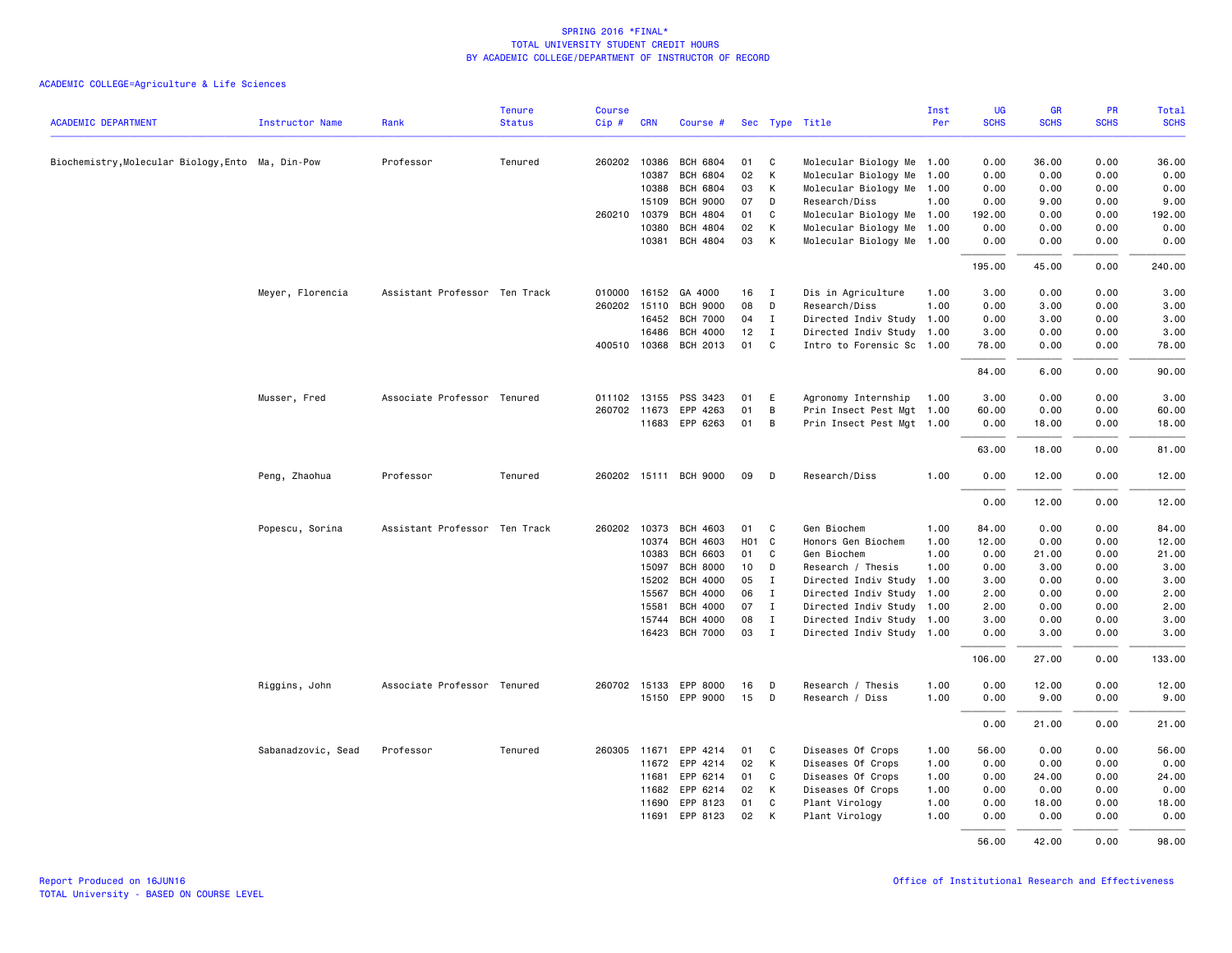| <b>ACADEMIC DEPARTMENT</b>                        | <b>Instructor Name</b> | Rank                          | <b>Tenure</b><br><b>Status</b> | <b>Course</b><br>Cip# | <b>CRN</b>   | Course #              |                   |                | Sec Type Title            | Inst<br>Per | <b>UG</b><br><b>SCHS</b> | <b>GR</b><br><b>SCHS</b> | PR<br><b>SCHS</b> | Total<br><b>SCHS</b> |
|---------------------------------------------------|------------------------|-------------------------------|--------------------------------|-----------------------|--------------|-----------------------|-------------------|----------------|---------------------------|-------------|--------------------------|--------------------------|-------------------|----------------------|
|                                                   |                        |                               |                                |                       |              |                       |                   |                |                           |             |                          |                          |                   |                      |
| Biochemistry, Molecular Biology, Ento Ma, Din-Pow |                        | Professor                     | Tenured                        |                       | 260202 10386 | BCH 6804              | 01                | C              | Molecular Biology Me 1.00 |             | 0.00                     | 36.00                    | 0.00              | 36.00                |
|                                                   |                        |                               |                                |                       | 10387        | <b>BCH 6804</b>       | 02                | $\mathsf{K}$   | Molecular Biology Me 1.00 |             | 0.00                     | 0.00                     | 0.00              | 0.00                 |
|                                                   |                        |                               |                                |                       | 10388        | <b>BCH 6804</b>       | 03                | K              | Molecular Biology Me 1.00 |             | 0.00                     | 0.00                     | 0.00              | 0.00                 |
|                                                   |                        |                               |                                |                       | 15109        | <b>BCH 9000</b>       | 07                | D              | Research/Diss             | 1.00        | 0.00                     | 9.00                     | 0.00              | 9.00                 |
|                                                   |                        |                               |                                |                       | 260210 10379 | <b>BCH 4804</b>       | 01                | C              | Molecular Biology Me 1.00 |             | 192.00                   | 0.00                     | 0.00              | 192.00               |
|                                                   |                        |                               |                                |                       | 10380        | <b>BCH 4804</b>       | 02                | K              | Molecular Biology Me 1.00 |             | 0.00                     | 0.00                     | 0.00              | 0.00                 |
|                                                   |                        |                               |                                |                       | 10381        | BCH 4804              | 03                | K              | Molecular Biology Me 1.00 |             | 0.00                     | 0.00                     | 0.00              | 0.00                 |
|                                                   |                        |                               |                                |                       |              |                       |                   |                |                           |             | 195.00                   | 45.00                    | 0.00              | 240.00               |
|                                                   | Meyer, Florencia       | Assistant Professor Ten Track |                                | 010000                |              | 16152 GA 4000         | 16                | $\mathbf I$    | Dis in Agriculture        | 1.00        | 3.00                     | 0.00                     | 0.00              | 3.00                 |
|                                                   |                        |                               |                                |                       | 260202 15110 | <b>BCH 9000</b>       | 08                | D              | Research/Diss             | 1.00        | 0.00                     | 3.00                     | 0.00              | 3.00                 |
|                                                   |                        |                               |                                |                       | 16452        | <b>BCH 7000</b>       | 04                | $\mathbf{I}$   | Directed Indiv Study 1.00 |             | 0.00                     | 3.00                     | 0.00              | 3.00                 |
|                                                   |                        |                               |                                |                       | 16486        | <b>BCH 4000</b>       | 12                | $\mathbf{I}$   | Directed Indiv Study 1.00 |             | 3.00                     | 0.00                     | 0.00              | 3.00                 |
|                                                   |                        |                               |                                |                       | 400510 10368 | BCH 2013              | 01                | C              | Intro to Forensic Sc 1.00 |             | 78.00                    | 0.00                     | 0.00              | 78.00                |
|                                                   |                        |                               |                                |                       |              |                       |                   |                |                           |             | 84.00                    | 6.00                     | 0.00              | 90.00                |
|                                                   | Musser, Fred           | Associate Professor Tenured   |                                |                       | 011102 13155 | PSS 3423              | 01                | E              | Agronomy Internship       | 1.00        | 3.00                     | 0.00                     | 0.00              | 3.00                 |
|                                                   |                        |                               |                                |                       | 260702 11673 | EPP 4263              | 01                | В              | Prin Insect Pest Mgt 1.00 |             | 60.00                    | 0.00                     | 0.00              | 60.00                |
|                                                   |                        |                               |                                |                       |              | 11683 EPP 6263        | 01                | $\overline{B}$ | Prin Insect Pest Mgt 1.00 |             | 0.00                     | 18.00                    | 0.00              | 18.00                |
|                                                   |                        |                               |                                |                       |              |                       |                   |                |                           |             | 63.00                    | 18.00                    | 0.00              | 81.00                |
|                                                   | Peng, Zhaohua          | Professor                     | Tenured                        |                       |              | 260202 15111 BCH 9000 | 09                | D              | Research/Diss             | 1.00        | 0.00                     | 12.00                    | 0.00              | 12.00                |
|                                                   |                        |                               |                                |                       |              |                       |                   |                |                           |             | 0.00                     | 12.00                    | 0.00              | 12.00                |
|                                                   | Popescu, Sorina        | Assistant Professor Ten Track |                                | 260202                | 10373        | BCH 4603              | 01                | C.             | Gen Biochem               | 1.00        | 84.00                    | 0.00                     | 0.00              | 84.00                |
|                                                   |                        |                               |                                |                       | 10374        | BCH 4603              | H <sub>01</sub> C |                | Honors Gen Biochem        | 1.00        | 12.00                    | 0.00                     | 0.00              | 12.00                |
|                                                   |                        |                               |                                |                       | 10383        | <b>BCH 6603</b>       | 01                | $\mathbf{C}$   | Gen Biochem               | 1.00        | 0.00                     | 21.00                    | 0.00              | 21.00                |
|                                                   |                        |                               |                                |                       | 15097        | <b>BCH 8000</b>       | 10                | D              | Research / Thesis         | 1.00        | 0.00                     | 3.00                     | 0.00              | 3.00                 |
|                                                   |                        |                               |                                |                       | 15202        | <b>BCH 4000</b>       | 05                | $\mathbf I$    | Directed Indiv Study      | 1.00        | 3.00                     | 0.00                     | 0.00              | 3.00                 |
|                                                   |                        |                               |                                |                       | 15567        | <b>BCH 4000</b>       | 06                | I              | Directed Indiv Study 1.00 |             | 2.00                     | 0.00                     | 0.00              | 2.00                 |
|                                                   |                        |                               |                                |                       | 15581        | <b>BCH 4000</b>       | 07                | $\mathbf{I}$   | Directed Indiv Study 1.00 |             | 2.00                     | 0.00                     | 0.00              | 2.00                 |
|                                                   |                        |                               |                                |                       | 15744        | <b>BCH 4000</b>       | 08                | $\mathbf{I}$   | Directed Indiv Study 1.00 |             | 3.00                     | 0.00                     | 0.00              | 3.00                 |
|                                                   |                        |                               |                                |                       |              | 16423 BCH 7000        | 03                | $\mathbf{I}$   | Directed Indiv Study 1.00 |             | 0.00                     | 3.00                     | 0.00              | 3.00                 |
|                                                   |                        |                               |                                |                       |              |                       |                   |                |                           |             | 106.00                   | 27.00                    | 0.00              | 133.00               |
|                                                   | Riggins, John          | Associate Professor Tenured   |                                |                       |              | 260702 15133 EPP 8000 | 16                | D              | Research / Thesis         | 1.00        | 0.00                     | 12.00                    | 0.00              | 12.00                |
|                                                   |                        |                               |                                |                       |              | 15150 EPP 9000        | 15                | D              | Research / Diss           | 1.00        | 0.00                     | 9.00                     | 0.00              | 9.00                 |
|                                                   |                        |                               |                                |                       |              |                       |                   |                |                           |             | 0.00                     | 21.00                    | 0.00              | 21.00                |
|                                                   | Sabanadzovic, Sead     | Professor                     | Tenured                        |                       | 260305 11671 | EPP 4214              | 01                | C.             | Diseases Of Crops         | 1.00        | 56.00                    | 0.00                     | 0.00              | 56.00                |
|                                                   |                        |                               |                                |                       |              | 11672 EPP 4214        | 02                | K              | Diseases Of Crops         | 1.00        | 0.00                     | 0.00                     | 0.00              | 0.00                 |
|                                                   |                        |                               |                                |                       | 11681        | EPP 6214              | 01                | C              | Diseases Of Crops         | 1.00        | 0.00                     | 24.00                    | 0.00              | 24.00                |
|                                                   |                        |                               |                                |                       | 11682        | EPP 6214              | 02                | K              | Diseases Of Crops         | 1.00        | 0.00                     | 0.00                     | 0.00              | 0.00                 |
|                                                   |                        |                               |                                |                       | 11690        | EPP 8123              | 01                | C              | Plant Virology            | 1.00        | 0.00                     | 18.00                    | 0.00              | 18.00                |
|                                                   |                        |                               |                                |                       | 11691        | EPP 8123              | 02                | K              | Plant Virology            | 1.00        | 0.00                     | 0.00                     | 0.00              | 0.00                 |
|                                                   |                        |                               |                                |                       |              |                       |                   |                |                           |             | 56.00                    | 42.00                    | 0.00              | 98.00                |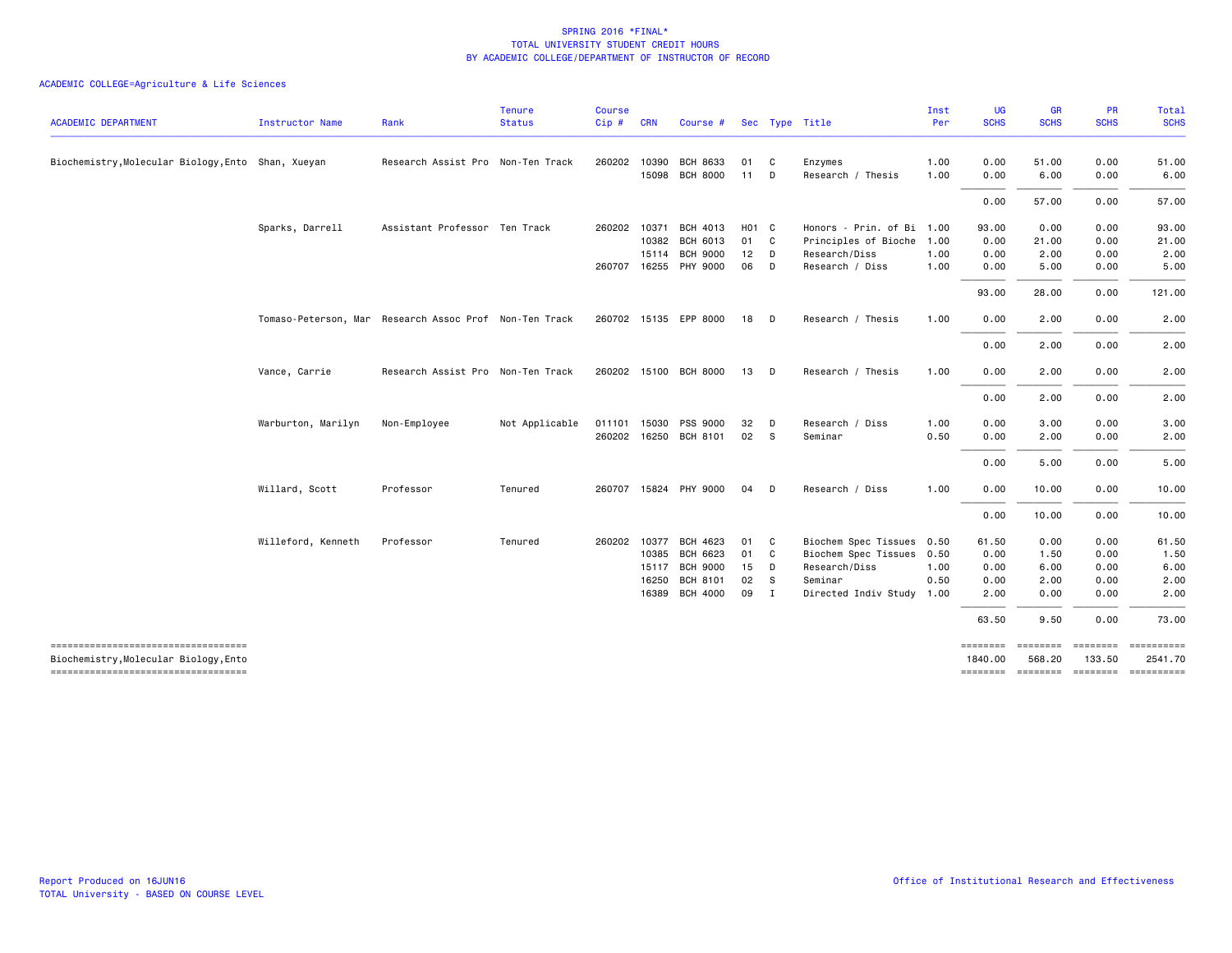|                                                                                |                    |                                                        | <b>Tenure</b>  | <b>Course</b> |       |                       |                   |                |                           | Inst | UG                  | <b>GR</b>   | <b>PR</b>                            | Total                 |
|--------------------------------------------------------------------------------|--------------------|--------------------------------------------------------|----------------|---------------|-------|-----------------------|-------------------|----------------|---------------------------|------|---------------------|-------------|--------------------------------------|-----------------------|
| <b>ACADEMIC DEPARTMENT</b>                                                     | Instructor Name    | Rank                                                   | <b>Status</b>  | Cip # CRN     |       | Course #              |                   |                | Sec Type Title            | Per  | <b>SCHS</b>         | <b>SCHS</b> | <b>SCHS</b>                          | <b>SCHS</b>           |
| Biochemistry, Molecular Biology, Ento Shan, Xueyan                             |                    | Research Assist Pro Non-Ten Track                      |                | 260202 10390  |       | <b>BCH 8633</b>       | 01                | C.             | Enzymes                   | 1.00 | 0.00                | 51.00       | 0.00                                 | 51.00                 |
|                                                                                |                    |                                                        |                |               | 15098 | <b>BCH 8000</b>       | 11                | D              | Research / Thesis         | 1.00 | 0.00                | 6.00        | 0.00                                 | 6.00                  |
|                                                                                |                    |                                                        |                |               |       |                       |                   |                |                           |      | 0.00                | 57.00       | 0.00                                 | 57.00                 |
|                                                                                | Sparks, Darrell    | Assistant Professor Ten Track                          |                | 260202 10371  |       | BCH 4013              | HO <sub>1</sub> C |                | Honors - Prin. of Bi 1.00 |      | 93.00               | 0.00        | 0.00                                 | 93.00                 |
|                                                                                |                    |                                                        |                |               | 10382 | <b>BCH 6013</b>       | 01 C              |                | Principles of Bioche 1.00 |      | 0.00                | 21.00       | 0.00                                 | 21.00                 |
|                                                                                |                    |                                                        |                |               | 15114 | <b>BCH 9000</b>       | 12                | $\Box$         | Research/Diss             | 1.00 | 0.00                | 2.00        | 0.00                                 | 2.00                  |
|                                                                                |                    |                                                        |                |               |       | 260707 16255 PHY 9000 | 06                | <b>D</b>       | Research / Diss           | 1.00 | 0.00                | 5.00        | 0.00                                 | 5.00                  |
|                                                                                |                    |                                                        |                |               |       |                       |                   |                |                           |      | 93.00               | 28.00       | 0.00                                 | 121.00                |
|                                                                                |                    | Tomaso-Peterson, Mar Research Assoc Prof Non-Ten Track |                |               |       | 260702 15135 EPP 8000 | 18                | <b>D</b>       | Research / Thesis         | 1.00 | 0.00                | 2.00        | 0.00                                 | 2.00                  |
|                                                                                |                    |                                                        |                |               |       |                       |                   |                |                           |      | 0.00                | 2.00        | 0.00                                 | 2.00                  |
|                                                                                | Vance, Carrie      | Research Assist Pro Non-Ten Track                      |                |               |       | 260202 15100 BCH 8000 | 13                | D              | Research / Thesis         | 1.00 | 0.00                | 2.00        | 0.00                                 | 2.00                  |
|                                                                                |                    |                                                        |                |               |       |                       |                   |                |                           |      | 0.00                | 2.00        | 0.00                                 | 2.00                  |
|                                                                                | Warburton, Marilyn | Non-Employee                                           | Not Applicable | 011101 15030  |       | PSS 9000              | 32                | - D            | Research / Diss           | 1.00 | 0.00                | 3.00        | 0.00                                 | 3.00                  |
|                                                                                |                    |                                                        |                |               |       | 260202 16250 BCH 8101 | 02 S              |                | Seminar                   | 0.50 | 0.00                | 2.00        | 0.00                                 | 2.00                  |
|                                                                                |                    |                                                        |                |               |       |                       |                   |                |                           |      | 0.00                | 5.00        | 0.00                                 | 5.00                  |
|                                                                                | Willard, Scott     | Professor                                              | Tenured        |               |       | 260707 15824 PHY 9000 | 04                | D              | Research / Diss           | 1.00 | 0.00                | 10.00       | 0.00                                 | 10.00                 |
|                                                                                |                    |                                                        |                |               |       |                       |                   |                |                           |      | 0.00                | 10.00       | 0.00                                 | 10.00                 |
|                                                                                | Willeford, Kenneth | Professor                                              | Tenured        | 260202 10377  |       | BCH 4623              | 01                | $\mathbf{C}$   | Biochem Spec Tissues 0.50 |      | 61.50               | 0.00        | 0.00                                 | 61.50                 |
|                                                                                |                    |                                                        |                |               |       | 10385 BCH 6623        | 01 C              |                | Biochem Spec Tissues 0.50 |      | 0.00                | 1.50        | 0.00                                 | 1.50                  |
|                                                                                |                    |                                                        |                |               | 15117 | <b>BCH 9000</b>       | 15                | D              | Research/Diss             | 1.00 | 0.00                | 6.00        | 0.00                                 | 6.00                  |
|                                                                                |                    |                                                        |                |               | 16250 | <b>BCH 8101</b>       | 02                | - S            | Seminar                   | 0.50 | 0.00                | 2.00        | 0.00                                 | 2.00                  |
|                                                                                |                    |                                                        |                |               |       | 16389 BCH 4000        | 09                | $\blacksquare$ | Directed Indiv Study      | 1.00 | 2.00                | 0.00        | 0.00                                 | 2.00                  |
|                                                                                |                    |                                                        |                |               |       |                       |                   |                |                           |      | 63.50               | 9.50        | 0.00                                 | 73.00                 |
| -------------------------------------<br>Biochemistry, Molecular Biology, Ento |                    |                                                        |                |               |       |                       |                   |                |                           |      | ========<br>1840.00 | 568.20      | <b>SESSESSE</b><br>133.50            | ==========<br>2541.70 |
| -------------------------------------                                          |                    |                                                        |                |               |       |                       |                   |                |                           |      |                     |             | ======== ======== ======== ========= |                       |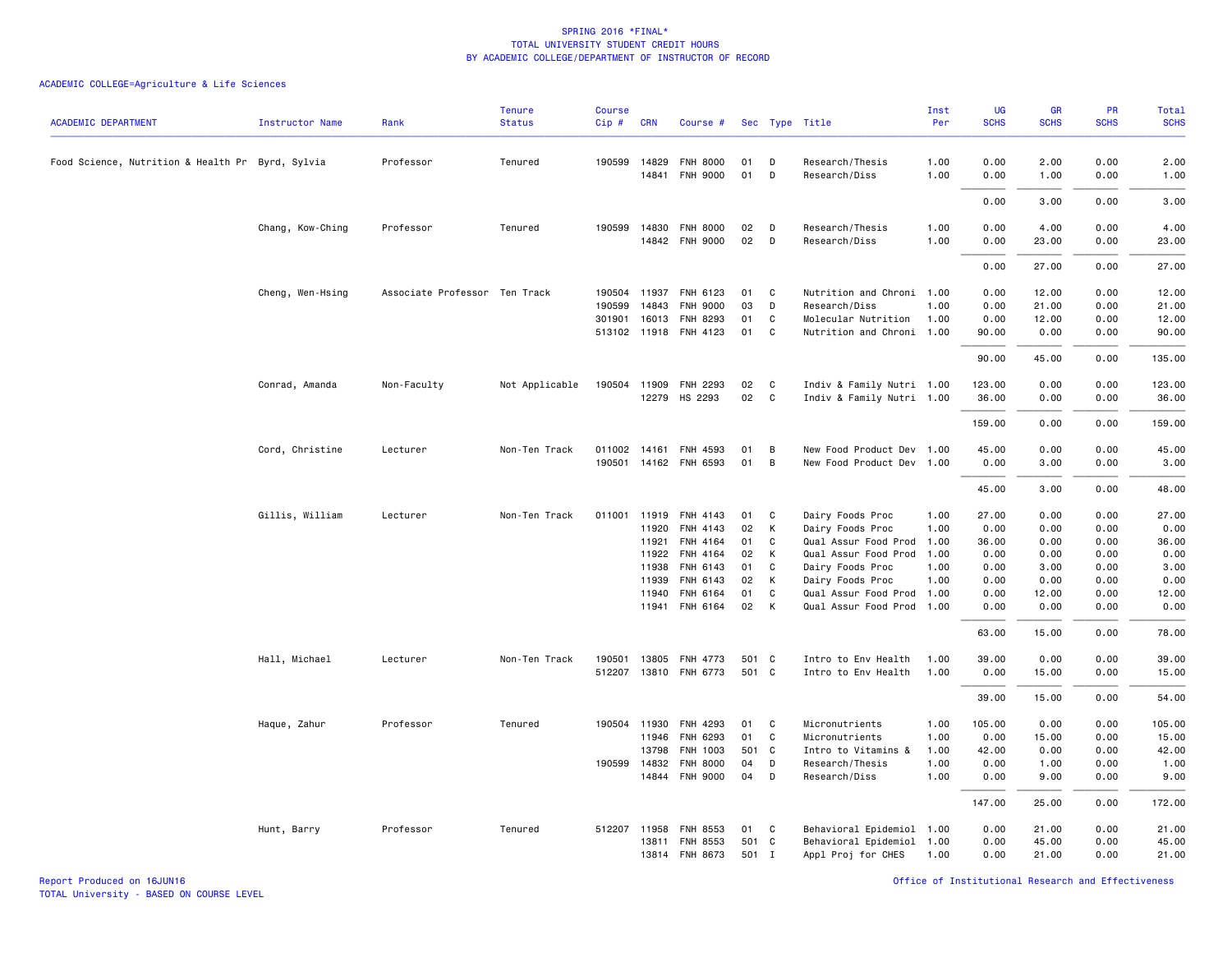### ACADEMIC COLLEGE=Agriculture & Life Sciences

| <b>ACADEMIC DEPARTMENT</b>                       | <b>Instructor Name</b> | Rank                          | <b>Tenure</b><br><b>Status</b> | <b>Course</b><br>Cip# | <b>CRN</b>     | Course #                           |          |        | Sec Type Title                               | Inst<br>Per  | UG<br><b>SCHS</b> | <b>GR</b><br><b>SCHS</b> | PR<br><b>SCHS</b> | Total<br><b>SCHS</b> |
|--------------------------------------------------|------------------------|-------------------------------|--------------------------------|-----------------------|----------------|------------------------------------|----------|--------|----------------------------------------------|--------------|-------------------|--------------------------|-------------------|----------------------|
|                                                  |                        |                               |                                |                       |                |                                    |          |        |                                              |              |                   |                          |                   |                      |
| Food Science, Nutrition & Health Pr Byrd, Sylvia |                        | Professor                     | Tenured                        | 190599 14829          | 14841          | <b>FNH 8000</b><br><b>FNH 9000</b> | 01<br>01 | D<br>D | Research/Thesis<br>Research/Diss             | 1.00<br>1.00 | 0.00<br>0.00      | 2.00<br>1.00             | 0.00<br>0.00      | 2.00<br>1.00         |
|                                                  |                        |                               |                                |                       |                |                                    |          |        |                                              |              | 0.00              | 3.00                     | 0.00              | 3.00                 |
|                                                  |                        | Professor                     | Tenured                        |                       | 190599 14830   | <b>FNH 8000</b>                    | 02       | D      | Research/Thesis                              | 1.00         | 0.00              | 4.00                     | 0.00              | 4.00                 |
|                                                  | Chang, Kow-Ching       |                               |                                |                       |                | 14842 FNH 9000                     | 02       | D      | Research/Diss                                | 1.00         | 0.00              | 23.00                    | 0.00              | 23.00                |
|                                                  |                        |                               |                                |                       |                |                                    |          |        |                                              |              |                   |                          |                   |                      |
|                                                  |                        |                               |                                |                       |                |                                    |          |        |                                              |              | 0.00              | 27.00                    | 0.00              | 27.00                |
|                                                  | Cheng, Wen-Hsing       | Associate Professor Ten Track |                                | 190504                | 11937          | FNH 6123                           | 01       | C      | Nutrition and Chroni 1.00                    |              | 0.00              | 12.00                    | 0.00              | 12.00                |
|                                                  |                        |                               |                                | 190599                | 14843          | <b>FNH 9000</b>                    | 03       | D      | Research/Diss                                | 1.00         | 0.00              | 21.00                    | 0.00              | 21.00                |
|                                                  |                        |                               |                                |                       | 301901 16013   | FNH 8293                           | 01       | C      | Molecular Nutrition                          | 1.00         | 0.00              | 12.00                    | 0.00              | 12.00                |
|                                                  |                        |                               |                                |                       |                | 513102 11918 FNH 4123              | 01       | C      | Nutrition and Chroni 1.00                    |              | 90.00             | 0.00                     | 0.00              | 90.00                |
|                                                  |                        |                               |                                |                       |                |                                    |          |        |                                              |              | 90.00             | 45.00                    | 0.00              | 135.00               |
|                                                  | Conrad, Amanda         | Non-Faculty                   | Not Applicable                 | 190504                | 11909          | <b>FNH 2293</b>                    | 02       | C      | Indiv & Family Nutri 1.00                    |              | 123.00            | 0.00                     | 0.00              | 123.00               |
|                                                  |                        |                               |                                |                       |                | 12279 HS 2293                      | 02       | C      | Indiv & Family Nutri 1.00                    |              | 36.00             | 0.00                     | 0.00              | 36.00                |
|                                                  |                        |                               |                                |                       |                |                                    |          |        |                                              |              | 159.00            | 0.00                     | 0.00              | 159.00               |
|                                                  | Cord, Christine        | Lecturer                      | Non-Ten Track                  | 011002                | 14161          | FNH 4593                           | 01       | B      | New Food Product Dev 1.00                    |              | 45.00             | 0.00                     | 0.00              | 45.00                |
|                                                  |                        |                               |                                | 190501                |                | 14162 FNH 6593                     | 01       | B      | New Food Product Dev 1.00                    |              | 0.00              | 3.00                     | 0.00              | 3.00                 |
|                                                  |                        |                               |                                |                       |                |                                    |          |        |                                              |              | 45.00             | 3.00                     | 0.00              | 48.00                |
|                                                  |                        |                               | Non-Ten Track                  | 011001                | 11919          | FNH 4143                           | 01       |        |                                              |              | 27.00             | 0.00                     | 0.00              | 27.00                |
|                                                  | Gillis, William        | Lecturer                      |                                |                       | 11920          | FNH 4143                           | 02       | C<br>K | Dairy Foods Proc<br>Dairy Foods Proc         | 1.00<br>1.00 | 0.00              | 0.00                     | 0.00              | 0.00                 |
|                                                  |                        |                               |                                |                       |                | FNH 4164                           | 01       | C      |                                              |              | 36.00             |                          | 0.00              | 36.00                |
|                                                  |                        |                               |                                |                       | 11921<br>11922 | FNH 4164                           | 02       | K      | Qual Assur Food Prod<br>Qual Assur Food Prod | 1.00<br>1.00 | 0.00              | 0.00<br>0.00             | 0.00              | 0.00                 |
|                                                  |                        |                               |                                |                       | 11938          | FNH 6143                           | 01       | C      | Dairy Foods Proc                             | 1.00         | 0.00              | 3.00                     | 0.00              | 3.00                 |
|                                                  |                        |                               |                                |                       | 11939          | FNH 6143                           | 02       | K      | Dairy Foods Proc                             | 1.00         | 0.00              | 0.00                     | 0.00              | 0.00                 |
|                                                  |                        |                               |                                |                       | 11940          | FNH 6164                           | 01       | C      | Qual Assur Food Prod 1.00                    |              | 0.00              | 12.00                    | 0.00              | 12.00                |
|                                                  |                        |                               |                                |                       | 11941          | FNH 6164                           | 02       | K      | Qual Assur Food Prod 1.00                    |              | 0.00              | 0.00                     | 0.00              | 0.00                 |
|                                                  |                        |                               |                                |                       |                |                                    |          |        |                                              |              | 63.00             | 15.00                    | 0.00              | 78.00                |
|                                                  | Hall, Michael          | Lecturer                      | Non-Ten Track                  | 190501                | 13805          | FNH 4773                           | 501 C    |        | Intro to Env Health                          | 1.00         | 39.00             | 0.00                     | 0.00              | 39.00                |
|                                                  |                        |                               |                                | 512207                |                | 13810 FNH 6773                     | 501 C    |        | Intro to Env Health                          | 1.00         | 0.00              | 15.00                    | 0.00              | 15.00                |
|                                                  |                        |                               |                                |                       |                |                                    |          |        |                                              |              | 39.00             | 15.00                    | 0.00              | 54.00                |
|                                                  | Haque, Zahur           | Professor                     | Tenured                        |                       |                | 190504 11930 FNH 4293              | 01       | C.     | Micronutrients                               | 1.00         | 105.00            | 0.00                     | 0.00              | 105.00               |
|                                                  |                        |                               |                                |                       | 11946          | FNH 6293                           | 01       | C      | Micronutrients                               | 1.00         | 0.00              | 15.00                    | 0.00              | 15.00                |
|                                                  |                        |                               |                                |                       | 13798          | FNH 1003                           | 501 C    |        | Intro to Vitamins &                          | 1.00         | 42.00             | 0.00                     | 0.00              | 42.00                |
|                                                  |                        |                               |                                |                       | 190599 14832   | <b>FNH 8000</b>                    | 04       | D      | Research/Thesis                              | 1.00         | 0.00              | 1.00                     | 0.00              | 1.00                 |
|                                                  |                        |                               |                                |                       |                | 14844 FNH 9000                     | 04       | D      | Research/Diss                                | 1.00         | 0.00              | 9.00                     | 0.00              | 9.00                 |
|                                                  |                        |                               |                                |                       |                |                                    |          |        |                                              |              | 147.00            | 25.00                    | 0.00              | 172.00               |
|                                                  | Hunt, Barry            | Professor                     | Tenured                        |                       |                | 512207 11958 FNH 8553              | 01 C     |        | Behavioral Epidemiol 1.00                    |              | 0.00              | 21.00                    | 0.00              | 21.00                |
|                                                  |                        |                               |                                |                       | 13811          | <b>FNH 8553</b>                    | 501 C    |        | Behavioral Epidemiol 1.00                    |              | 0.00              | 45.00                    | 0.00              | 45.00                |
|                                                  |                        |                               |                                |                       |                | 13814 FNH 8673                     | 501 I    |        | Appl Proj for CHES                           | 1.00         | 0.00              | 21.00                    | 0.00              | 21.00                |

Report Produced on 16JUN16 Office of Institutional Research and Effectiveness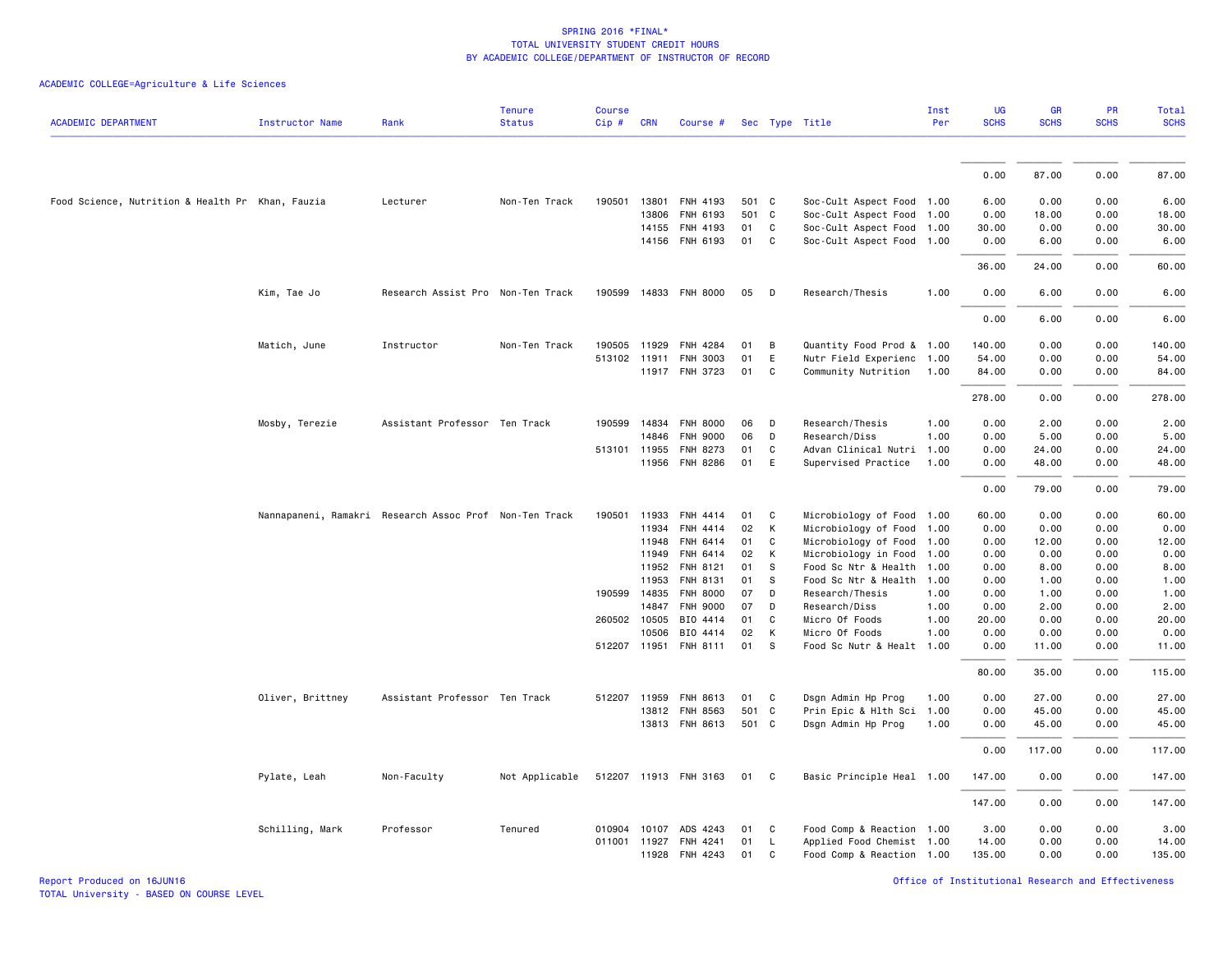|                                                  |                  |                                                        | <b>Tenure</b>  | <b>Course</b> |              |                       |       |              |                           | Inst | UG          | <b>GR</b>   | <b>PR</b>   | Total       |
|--------------------------------------------------|------------------|--------------------------------------------------------|----------------|---------------|--------------|-----------------------|-------|--------------|---------------------------|------|-------------|-------------|-------------|-------------|
| <b>ACADEMIC DEPARTMENT</b>                       | Instructor Name  | Rank                                                   | <b>Status</b>  | Cip #         | <b>CRN</b>   | Course #              |       |              | Sec Type Title            | Per  | <b>SCHS</b> | <b>SCHS</b> | <b>SCHS</b> | <b>SCHS</b> |
|                                                  |                  |                                                        |                |               |              |                       |       |              |                           |      |             |             |             |             |
|                                                  |                  |                                                        |                |               |              |                       |       |              |                           |      | 0.00        | 87.00       | 0.00        | 87.00       |
| Food Science, Nutrition & Health Pr Khan, Fauzia |                  | Lecturer                                               | Non-Ten Track  | 190501        | 13801        | FNH 4193              | 501 C |              | Soc-Cult Aspect Food 1.00 |      | 6.00        | 0.00        | 0.00        | 6.00        |
|                                                  |                  |                                                        |                |               | 13806        | FNH 6193              | 501 C |              | Soc-Cult Aspect Food 1.00 |      | 0.00        | 18.00       | 0.00        | 18.00       |
|                                                  |                  |                                                        |                |               | 14155        | FNH 4193              | 01    | C            | Soc-Cult Aspect Food 1.00 |      | 30.00       | 0.00        | 0.00        | 30.00       |
|                                                  |                  |                                                        |                |               |              | 14156 FNH 6193        | 01    | $\mathbf{C}$ | Soc-Cult Aspect Food 1.00 |      | 0.00        | 6.00        | 0.00        | 6.00        |
|                                                  |                  |                                                        |                |               |              |                       |       |              |                           |      | 36.00       | 24.00       | 0.00        | 60.00       |
|                                                  | Kim, Tae Jo      | Research Assist Pro Non-Ten Track                      |                | 190599        |              | 14833 FNH 8000        | 05    | D            | Research/Thesis           | 1.00 | 0.00        | 6.00        | 0.00        | 6.00        |
|                                                  |                  |                                                        |                |               |              |                       |       |              |                           |      | 0.00        | 6.00        | 0.00        | 6.00        |
|                                                  | Matich, June     | Instructor                                             | Non-Ten Track  | 190505        | 11929        | <b>FNH 4284</b>       | 01    | В            | Quantity Food Prod & 1.00 |      | 140.00      | 0.00        | 0.00        | 140.00      |
|                                                  |                  |                                                        |                |               | 513102 11911 | FNH 3003              | 01    | E            | Nutr Field Experienc 1.00 |      | 54.00       | 0.00        | 0.00        | 54.00       |
|                                                  |                  |                                                        |                |               |              | 11917 FNH 3723        | 01    | C            | Community Nutrition 1.00  |      | 84.00       | 0.00        | 0.00        | 84.00       |
|                                                  |                  |                                                        |                |               |              |                       |       |              |                           |      | 278.00      | 0.00        | 0.00        | 278.00      |
|                                                  | Mosby, Terezie   | Assistant Professor Ten Track                          |                |               |              | 190599 14834 FNH 8000 | 06    | D            | Research/Thesis           | 1.00 | 0.00        | 2.00        | 0.00        | 2.00        |
|                                                  |                  |                                                        |                |               | 14846        | <b>FNH 9000</b>       | 06    | D            | Research/Diss             | 1.00 | 0.00        | 5.00        | 0.00        | 5.00        |
|                                                  |                  |                                                        |                |               | 513101 11955 | FNH 8273              | 01    | C            | Advan Clinical Nutri 1.00 |      | 0.00        | 24.00       | 0.00        | 24.00       |
|                                                  |                  |                                                        |                |               |              | 11956 FNH 8286        | 01    | E            | Supervised Practice       | 1.00 | 0.00        | 48.00       | 0.00        | 48.00       |
|                                                  |                  |                                                        |                |               |              |                       |       |              |                           |      | 0.00        | 79.00       | 0.00        | 79.00       |
|                                                  |                  | Nannapaneni, Ramakri Research Assoc Prof Non-Ten Track |                | 190501        | 11933        | <b>FNH 4414</b>       | 01    | C            | Microbiology of Food 1.00 |      | 60.00       | 0.00        | 0.00        | 60.00       |
|                                                  |                  |                                                        |                |               | 11934        | FNH 4414              | 02    | К            | Microbiology of Food      | 1.00 | 0.00        | 0.00        | 0.00        | 0.00        |
|                                                  |                  |                                                        |                |               | 11948        | FNH 6414              | 01    | C            | Microbiology of Food      | 1.00 | 0.00        | 12.00       | 0.00        | 12.00       |
|                                                  |                  |                                                        |                |               | 11949        | FNH 6414              | 02    | К            | Microbiology in Food      | 1.00 | 0.00        | 0.00        | 0.00        | 0.00        |
|                                                  |                  |                                                        |                |               | 11952        | FNH 8121              | 01    | S            | Food Sc Ntr & Health 1.00 |      | 0.00        | 8.00        | 0.00        | 8.00        |
|                                                  |                  |                                                        |                |               | 11953        | FNH 8131              | 01    | s            | Food Sc Ntr & Health      | 1.00 | 0.00        | 1.00        | 0.00        | 1.00        |
|                                                  |                  |                                                        |                |               | 190599 14835 | <b>FNH 8000</b>       | 07    | D            | Research/Thesis           | 1.00 | 0.00        | 1.00        | 0.00        | 1.00        |
|                                                  |                  |                                                        |                |               | 14847        | <b>FNH 9000</b>       | 07    | D            | Research/Diss             | 1.00 | 0.00        | 2.00        | 0.00        | 2.00        |
|                                                  |                  |                                                        |                | 260502 10505  |              | BIO 4414              | 01    | C            | Micro Of Foods            | 1.00 | 20.00       | 0.00        | 0.00        | 20.00       |
|                                                  |                  |                                                        |                |               | 10506        | BIO 4414              | 02    | К            | Micro Of Foods            | 1.00 | 0.00        | 0.00        | 0.00        | 0.00        |
|                                                  |                  |                                                        |                |               | 512207 11951 | <b>FNH 8111</b>       | 01    | S            | Food Sc Nutr & Healt 1.00 |      | 0.00        | 11.00       | 0.00        | 11.00       |
|                                                  |                  |                                                        |                |               |              |                       |       |              |                           |      | 80.00       | 35.00       | 0.00        | 115.00      |
|                                                  | Oliver, Brittney | Assistant Professor Ten Track                          |                | 512207        | 11959        | FNH 8613              | 01    | C            | Dsgn Admin Hp Prog        | 1.00 | 0.00        | 27.00       | 0.00        | 27.00       |
|                                                  |                  |                                                        |                |               |              | 13812 FNH 8563        | 501 C |              | Prin Epic & Hlth Sci      | 1.00 | 0.00        | 45.00       | 0.00        | 45.00       |
|                                                  |                  |                                                        |                |               |              | 13813 FNH 8613        | 501 C |              | Dsgn Admin Hp Prog        | 1.00 | 0.00        | 45.00       | 0.00        | 45.00       |
|                                                  |                  |                                                        |                |               |              |                       |       |              |                           |      | 0.00        | 117.00      | 0.00        | 117.00      |
|                                                  | Pylate, Leah     | Non-Faculty                                            | Not Applicable |               |              | 512207 11913 FNH 3163 | 01 C  |              | Basic Principle Heal 1.00 |      | 147.00      | 0.00        | 0.00        | 147.00      |
|                                                  |                  |                                                        |                |               |              |                       |       |              |                           |      | 147.00      | 0.00        | 0.00        | 147.00      |
|                                                  | Schilling, Mark  | Professor                                              | Tenured        |               |              | 010904 10107 ADS 4243 | 01    | $\mathbf{C}$ | Food Comp & Reaction 1.00 |      | 3.00        | 0.00        | 0.00        | 3.00        |
|                                                  |                  |                                                        |                | 011001        | 11927        | FNH 4241              | 01    | L.           | Applied Food Chemist 1.00 |      | 14.00       | 0.00        | 0.00        | 14.00       |
|                                                  |                  |                                                        |                |               |              | 11928 FNH 4243        | 01    | C            | Food Comp & Reaction 1.00 |      | 135.00      | 0.00        | 0.00        | 135.00      |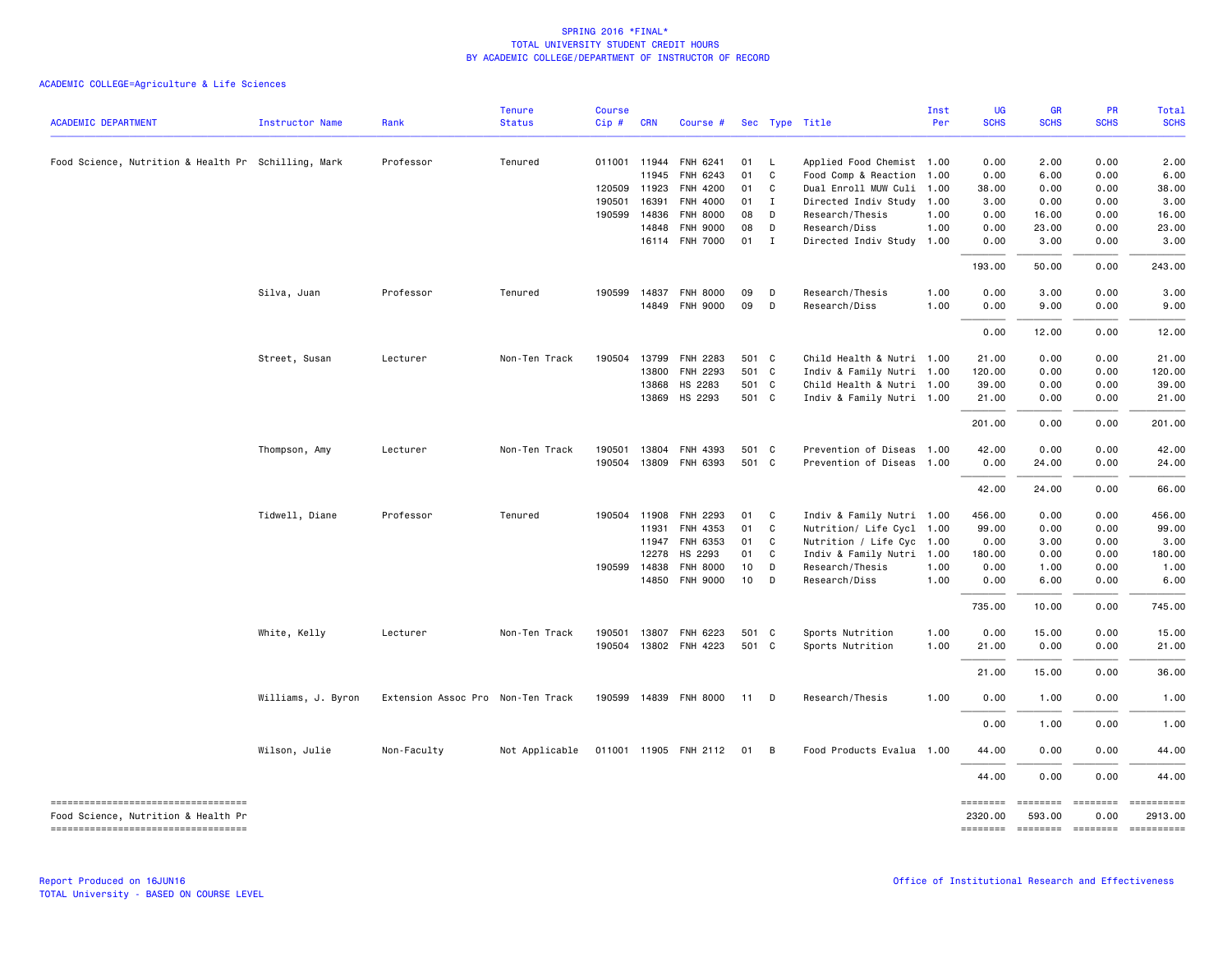| <b>ACADEMIC DEPARTMENT</b>                                                 | <b>Instructor Name</b> | Rank                              | <b>Tenure</b><br><b>Status</b> | <b>Course</b><br>Cip# | <b>CRN</b>   | Course #                          |                 |                   | Sec Type Title                             | Inst<br>Per | UG<br><b>SCHS</b>   | <b>GR</b><br><b>SCHS</b>   | PR<br><b>SCHS</b> | Total<br><b>SCHS</b>                |
|----------------------------------------------------------------------------|------------------------|-----------------------------------|--------------------------------|-----------------------|--------------|-----------------------------------|-----------------|-------------------|--------------------------------------------|-------------|---------------------|----------------------------|-------------------|-------------------------------------|
|                                                                            |                        |                                   |                                |                       |              |                                   |                 |                   |                                            |             |                     |                            |                   |                                     |
| Food Science, Nutrition & Health Pr Schilling, Mark                        |                        | Professor                         | Tenured                        |                       | 011001 11944 | FNH 6241                          | 01              | - L               | Applied Food Chemist 1.00                  |             | 0.00                | 2.00                       | 0.00              | 2.00                                |
|                                                                            |                        |                                   |                                |                       | 11945        | FNH 6243                          | 01              | C                 | Food Comp & Reaction 1.00                  |             | 0.00                | 6.00                       | 0.00              | 6.00                                |
|                                                                            |                        |                                   |                                | 120509 11923          |              | FNH 4200                          | 01              | C                 | Dual Enroll MUW Culi 1.00                  |             | 38.00               | 0.00                       | 0.00              | 38.00                               |
|                                                                            |                        |                                   |                                | 190501                | 16391        | FNH 4000                          | 01              | $\blacksquare$    | Directed Indiv Study 1.00                  |             | 3.00                | 0.00                       | 0.00              | 3.00                                |
|                                                                            |                        |                                   |                                | 190599                | 14836        | <b>FNH 8000</b>                   | 08              | D                 | Research/Thesis                            | 1.00        | 0.00                | 16.00                      | 0.00              | 16.00                               |
|                                                                            |                        |                                   |                                |                       | 14848        | <b>FNH 9000</b><br>16114 FNH 7000 | 08<br>01        | D<br>$\mathbf{I}$ | Research/Diss<br>Directed Indiv Study 1.00 | 1.00        | 0.00<br>0.00        | 23.00<br>3.00              | 0.00<br>0.00      | 23.00<br>3.00                       |
|                                                                            |                        |                                   |                                |                       |              |                                   |                 |                   |                                            |             | 193.00              | 50.00                      | 0.00              | 243.00                              |
|                                                                            | Silva, Juan            | Professor                         | Tenured                        |                       | 190599 14837 | <b>FNH 8000</b>                   | 09              | D                 | Research/Thesis                            | 1.00        | 0.00                | 3.00                       | 0.00              | 3.00                                |
|                                                                            |                        |                                   |                                |                       | 14849        | <b>FNH 9000</b>                   | 09              | D                 | Research/Diss                              | 1.00        | 0.00                | 9.00                       | 0.00              | 9.00                                |
|                                                                            |                        |                                   |                                |                       |              |                                   |                 |                   |                                            |             | 0.00                | 12.00                      | 0.00              | 12.00                               |
|                                                                            | Street, Susan          | Lecturer                          | Non-Ten Track                  | 190504                | 13799        | FNH 2283                          | 501 C           |                   | Child Health & Nutri 1.00                  |             | 21.00               | 0.00                       | 0.00              | 21.00                               |
|                                                                            |                        |                                   |                                |                       | 13800        | FNH 2293                          | 501 C           |                   | Indiv & Family Nutri 1.00                  |             | 120.00              | 0.00                       | 0.00              | 120.00                              |
|                                                                            |                        |                                   |                                |                       | 13868        | HS 2283                           | 501 C           |                   | Child Health & Nutri 1.00                  |             | 39.00               | 0.00                       | 0.00              | 39.00                               |
|                                                                            |                        |                                   |                                |                       | 13869        | HS 2293                           | 501 C           |                   | Indiv & Family Nutri 1.00                  |             | 21.00               | 0.00                       | 0.00              | 21.00                               |
|                                                                            |                        |                                   |                                |                       |              |                                   |                 |                   |                                            |             | 201.00              | 0.00                       | 0.00              | 201.00                              |
|                                                                            | Thompson, Amy          | Lecturer                          | Non-Ten Track                  | 190501                | 13804        | FNH 4393                          | 501 C           |                   | Prevention of Diseas 1.00                  |             | 42.00               | 0.00                       | 0.00              | 42.00                               |
|                                                                            |                        |                                   |                                |                       |              | 190504 13809 FNH 6393             | 501 C           |                   | Prevention of Diseas 1.00                  |             | 0.00                | 24.00                      | 0.00              | 24.00                               |
|                                                                            |                        |                                   |                                |                       |              |                                   |                 |                   |                                            |             | 42.00               | 24.00                      | 0.00              | 66.00                               |
|                                                                            | Tidwell, Diane         | Professor                         | Tenured                        |                       | 190504 11908 | FNH 2293                          | 01              | $\mathbf{C}$      | Indiv & Family Nutri 1.00                  |             | 456.00              | 0.00                       | 0.00              | 456.00                              |
|                                                                            |                        |                                   |                                |                       | 11931        | FNH 4353                          | 01              | C                 | Nutrition/ Life Cycl 1.00                  |             | 99.00               | 0.00                       | 0.00              | 99.00                               |
|                                                                            |                        |                                   |                                |                       | 11947        | FNH 6353                          | 01              | C                 | Nutrition / Life Cyc 1.00                  |             | 0.00                | 3.00                       | 0.00              | 3.00                                |
|                                                                            |                        |                                   |                                |                       | 12278        | HS 2293                           | 01              | $\mathbf{C}$      | Indiv & Family Nutri 1.00                  |             | 180.00              | 0.00                       | 0.00              | 180.00                              |
|                                                                            |                        |                                   |                                |                       | 190599 14838 | <b>FNH 8000</b>                   | 10 <sup>1</sup> | $\mathsf{D}$      | Research/Thesis                            | 1.00        | 0.00                | 1.00                       | 0.00              | 1.00                                |
|                                                                            |                        |                                   |                                |                       | 14850        | <b>FNH 9000</b>                   | 10              | D                 | Research/Diss                              | 1.00        | 0.00                | 6.00                       | 0.00              | 6.00                                |
|                                                                            |                        |                                   |                                |                       |              |                                   |                 |                   |                                            |             | 735.00              | 10.00                      | 0.00              | 745.00                              |
|                                                                            | White, Kelly           | Lecturer                          | Non-Ten Track                  |                       | 190501 13807 | FNH 6223                          | 501 C           |                   | Sports Nutrition                           | 1.00        | 0.00                | 15.00                      | 0.00              | 15.00                               |
|                                                                            |                        |                                   |                                |                       |              | 190504 13802 FNH 4223             | 501 C           |                   | Sports Nutrition                           | 1.00        | 21.00               | 0.00                       | 0.00              | 21.00                               |
|                                                                            |                        |                                   |                                |                       |              |                                   |                 |                   |                                            |             | 21.00               | 15.00                      | 0.00              | 36.00                               |
|                                                                            | Williams, J. Byron     | Extension Assoc Pro Non-Ten Track |                                |                       |              | 190599 14839 FNH 8000             | 11              | D                 | Research/Thesis                            | 1.00        | 0.00                | 1.00                       | 0.00              | 1.00                                |
|                                                                            |                        |                                   |                                |                       |              |                                   |                 |                   |                                            |             | 0.00                | 1.00                       | 0.00              | 1.00                                |
|                                                                            | Wilson, Julie          | Non-Faculty                       | Not Applicable                 |                       |              | 011001 11905 FNH 2112             | 01 B            |                   | Food Products Evalua 1.00                  |             | 44.00               | 0.00                       | 0.00              | 44.00                               |
|                                                                            |                        |                                   |                                |                       |              |                                   |                 |                   |                                            |             | 44.00               | 0.00                       | 0.00              | 44.00                               |
| -----------------------------------<br>Food Science, Nutrition & Health Pr |                        |                                   |                                |                       |              |                                   |                 |                   |                                            |             | ========<br>2320.00 | ======== =======<br>593.00 | 0.00              | ==========<br>2913.00               |
| ----------------------------------                                         |                        |                                   |                                |                       |              |                                   |                 |                   |                                            |             |                     |                            |                   | -------- ------- -------- --------- |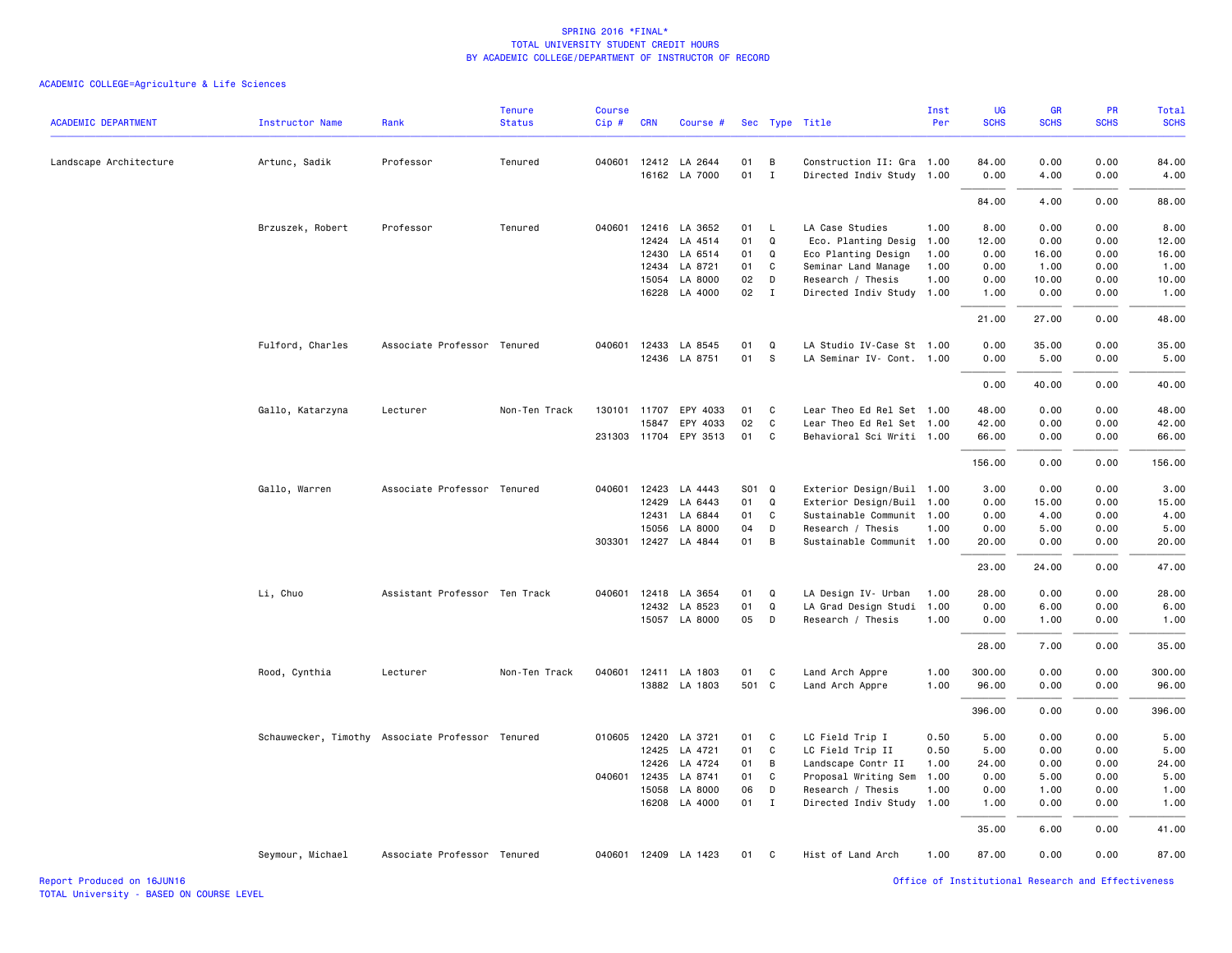| <b>ACADEMIC DEPARTMENT</b> | <b>Instructor Name</b>                           | Rank                          | <b>Tenure</b><br><b>Status</b> | <b>Course</b><br>Cip# | <b>CRN</b>   | Course #                              |          |                   | Sec Type Title                                         | Inst<br>Per | UG<br><b>SCHS</b> | GR<br><b>SCHS</b> | PR<br><b>SCHS</b> | <b>Total</b><br><b>SCHS</b> |
|----------------------------|--------------------------------------------------|-------------------------------|--------------------------------|-----------------------|--------------|---------------------------------------|----------|-------------------|--------------------------------------------------------|-------------|-------------------|-------------------|-------------------|-----------------------------|
|                            |                                                  |                               |                                |                       |              |                                       |          |                   |                                                        |             |                   |                   |                   |                             |
| Landscape Architecture     | Artunc, Sadik                                    | Professor                     | Tenured                        |                       |              | 040601 12412 LA 2644<br>16162 LA 7000 | 01<br>01 | B<br>$\mathbf{I}$ | Construction II: Gra 1.00<br>Directed Indiv Study 1.00 |             | 84.00<br>0.00     | 0.00<br>4.00      | 0.00<br>0.00      | 84.00<br>4.00               |
|                            |                                                  |                               |                                |                       |              |                                       |          |                   |                                                        |             | 84.00             | 4.00              | 0.00              | 88.00                       |
|                            | Brzuszek, Robert                                 | Professor                     | Tenured                        |                       |              | 040601 12416 LA 3652                  | 01       | $\mathsf{L}$      | LA Case Studies                                        | 1.00        | 8.00              | 0.00              | 0.00              | 8.00                        |
|                            |                                                  |                               |                                |                       | 12424        | LA 4514                               | 01       | Q                 | Eco. Planting Desig                                    | 1.00        | 12.00             | 0.00              | 0.00              | 12.00                       |
|                            |                                                  |                               |                                |                       |              | 12430 LA 6514                         | 01       | Q                 | Eco Planting Design                                    | 1.00        | 0.00              | 16.00             | 0.00              | 16.00                       |
|                            |                                                  |                               |                                |                       |              | 12434 LA 8721                         | 01       | C                 | Seminar Land Manage                                    | 1.00        | 0.00              | 1.00              | 0.00              | 1.00                        |
|                            |                                                  |                               |                                |                       | 15054        | LA 8000                               | 02       | D                 | Research / Thesis                                      | 1.00        | 0.00              | 10.00             | 0.00              | 10.00                       |
|                            |                                                  |                               |                                |                       | 16228        | LA 4000                               | 02       | $\mathbf{I}$      | Directed Indiv Study                                   | 1.00        | 1.00              | 0.00              | 0.00              | 1.00                        |
|                            |                                                  |                               |                                |                       |              |                                       |          |                   |                                                        |             | 21.00             | 27.00             | 0.00              | 48.00                       |
|                            | Fulford, Charles                                 | Associate Professor Tenured   |                                |                       |              | 040601 12433 LA 8545                  | 01       | Q                 | LA Studio IV-Case St 1.00                              |             | 0.00              | 35.00             | 0.00              | 35.00                       |
|                            |                                                  |                               |                                |                       |              | 12436 LA 8751                         | 01       | s                 | LA Seminar IV- Cont. 1.00                              |             | 0.00              | 5.00              | 0.00              | 5.00                        |
|                            |                                                  |                               |                                |                       |              |                                       |          |                   |                                                        |             | 0.00              | 40.00             | 0.00              | 40.00                       |
|                            | Gallo, Katarzyna                                 | Lecturer                      | Non-Ten Track                  |                       |              | 130101 11707 EPY 4033                 | 01       | C                 | Lear Theo Ed Rel Set 1.00                              |             | 48.00             | 0.00              | 0.00              | 48.00                       |
|                            |                                                  |                               |                                |                       | 15847        | EPY 4033                              | 02       | $\mathsf{C}$      | Lear Theo Ed Rel Set 1.00                              |             | 42.00             | 0.00              | 0.00              | 42.00                       |
|                            |                                                  |                               |                                |                       |              | 231303 11704 EPY 3513                 | 01       | C                 | Behavioral Sci Writi 1.00                              |             | 66.00             | 0.00              | 0.00              | 66.00                       |
|                            |                                                  |                               |                                |                       |              |                                       |          |                   |                                                        |             | 156.00            | 0.00              | 0.00              | 156.00                      |
|                            | Gallo, Warren                                    | Associate Professor Tenured   |                                |                       | 040601 12423 | LA 4443                               | S01 Q    |                   | Exterior Design/Buil 1.00                              |             | 3.00              | 0.00              | 0.00              | 3.00                        |
|                            |                                                  |                               |                                |                       | 12429        | LA 6443                               | 01       | Q                 | Exterior Design/Buil 1.00                              |             | 0.00              | 15.00             | 0.00              | 15.00                       |
|                            |                                                  |                               |                                |                       | 12431        | LA 6844                               | 01       | C                 | Sustainable Communit 1.00                              |             | 0.00              | 4.00              | 0.00              | 4.00                        |
|                            |                                                  |                               |                                |                       | 15056        | LA 8000                               | 04       | D                 | Research / Thesis                                      | 1.00        | 0.00              | 5.00              | 0.00              | 5.00                        |
|                            |                                                  |                               |                                |                       |              | 303301 12427 LA 4844                  | 01       | B                 | Sustainable Communit 1.00                              |             | 20.00             | 0.00              | 0.00              | 20.00                       |
|                            |                                                  |                               |                                |                       |              |                                       |          |                   |                                                        |             | 23.00             | 24.00             | 0.00              | 47.00                       |
|                            | Li, Chuo                                         | Assistant Professor Ten Track |                                | 040601                |              | 12418 LA 3654                         | 01       | Q                 | LA Design IV- Urban                                    | 1.00        | 28.00             | 0.00              | 0.00              | 28.00                       |
|                            |                                                  |                               |                                |                       |              | 12432 LA 8523                         | 01       | Q                 | LA Grad Design Studi                                   | 1.00        | 0.00              | 6.00              | 0.00              | 6.00                        |
|                            |                                                  |                               |                                |                       |              | 15057 LA 8000                         | 05       | D                 | Research / Thesis                                      | 1.00        | 0.00              | 1.00              | 0.00              | 1.00                        |
|                            |                                                  |                               |                                |                       |              |                                       |          |                   |                                                        |             | 28.00             | 7.00              | 0.00              | 35.00                       |
|                            | Rood, Cynthia                                    | Lecturer                      | Non-Ten Track                  | 040601                |              | 12411 LA 1803                         | 01       | C                 | Land Arch Appre                                        | 1.00        | 300.00            | 0.00              | 0.00              | 300.00                      |
|                            |                                                  |                               |                                |                       |              | 13882 LA 1803                         | 501 C    |                   | Land Arch Appre                                        | 1.00        | 96.00             | 0.00              | 0.00              | 96.00                       |
|                            |                                                  |                               |                                |                       |              |                                       |          |                   |                                                        |             | 396.00            | 0.00              | 0.00              | 396.00                      |
|                            | Schauwecker, Timothy Associate Professor Tenured |                               |                                |                       |              | 010605 12420 LA 3721                  | 01       | C                 | LC Field Trip I                                        | 0.50        | 5.00              | 0.00              | 0.00              | 5.00                        |
|                            |                                                  |                               |                                |                       | 12425        | LA 4721                               | 01       | C                 | LC Field Trip II                                       | 0.50        | 5.00              | 0.00              | 0.00              | 5.00                        |
|                            |                                                  |                               |                                |                       | 12426        | LA 4724                               | 01       | В                 | Landscape Contr II                                     | 1.00        | 24.00             | 0.00              | 0.00              | 24.00                       |
|                            |                                                  |                               |                                | 040601                | 12435        | LA 8741                               | 01       | C                 | Proposal Writing Sem                                   | 1.00        | 0.00              | 5.00              | 0.00              | 5.00                        |
|                            |                                                  |                               |                                |                       | 15058        | LA 8000                               | 06       | D                 | Research / Thesis                                      | 1.00        | 0.00              | 1.00              | 0.00              | 1.00                        |
|                            |                                                  |                               |                                |                       |              | 16208 LA 4000                         | 01 I     |                   | Directed Indiv Study 1.00                              |             | 1.00              | 0.00              | 0.00              | 1.00                        |
|                            |                                                  |                               |                                |                       |              |                                       |          |                   |                                                        |             | 35.00             | 6.00              | 0.00              | 41.00                       |
|                            | Seymour, Michael                                 | Associate Professor Tenured   |                                |                       |              | 040601 12409 LA 1423                  | 01       | C                 | Hist of Land Arch                                      | 1.00        | 87.00             | 0.00              | 0.00              | 87.00                       |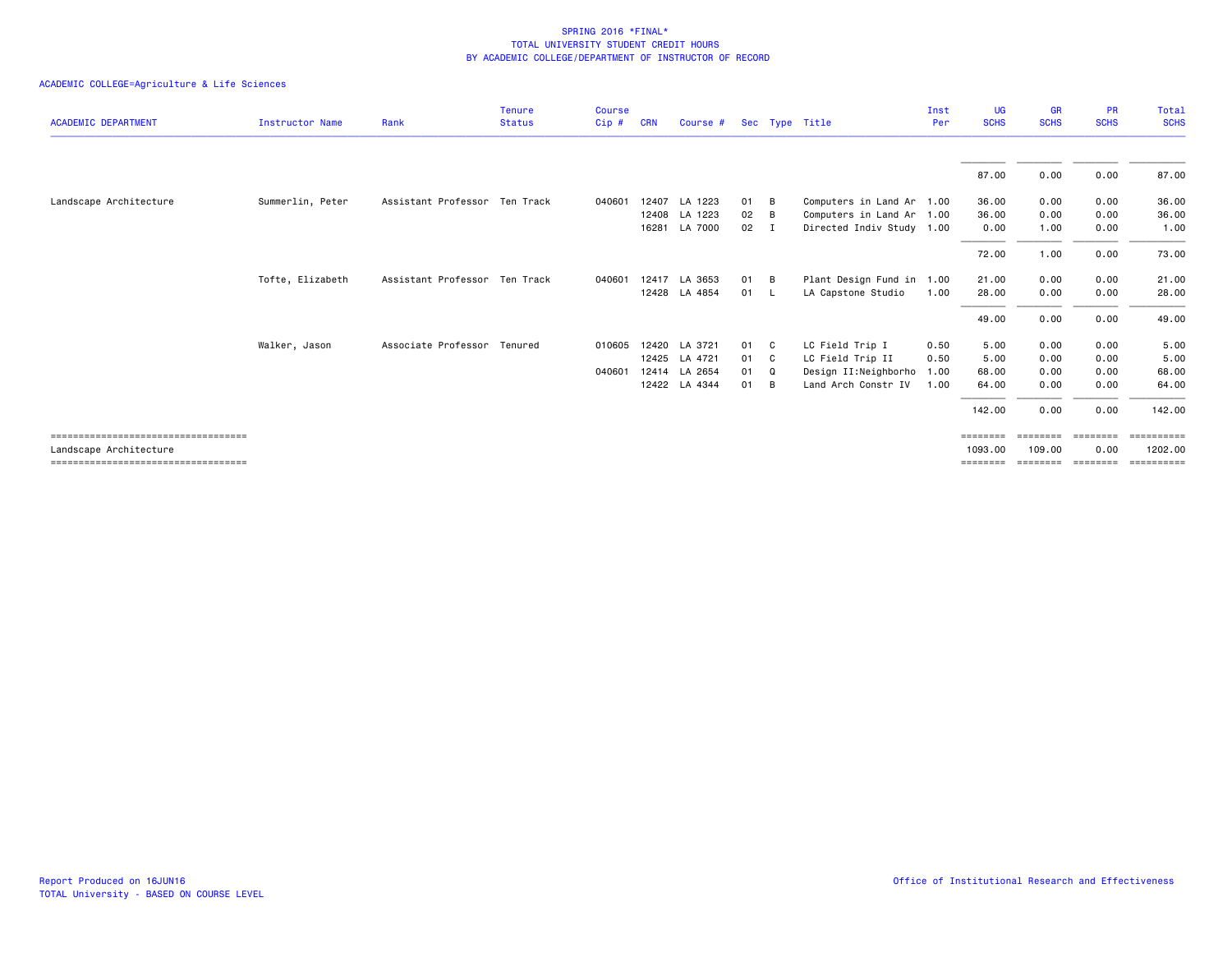|                                       |                        |                               | Tenure        | <b>Course</b> |            |               |      |     |                           | Inst | <b>UG</b>   | <b>GR</b>   | <b>PR</b>   | Total          |
|---------------------------------------|------------------------|-------------------------------|---------------|---------------|------------|---------------|------|-----|---------------------------|------|-------------|-------------|-------------|----------------|
| <b>ACADEMIC DEPARTMENT</b>            | <b>Instructor Name</b> | Rank                          | <b>Status</b> | Cip#          | <b>CRN</b> | Course #      |      |     | Sec Type Title            | Per  | <b>SCHS</b> | <b>SCHS</b> | <b>SCHS</b> | <b>SCHS</b>    |
|                                       |                        |                               |               |               |            |               |      |     |                           |      | 87.00       | 0.00        | 0.00        | 87.00          |
| Landscape Architecture                | Summerlin, Peter       | Assistant Professor Ten Track |               | 040601        |            | 12407 LA 1223 | 01   | B   | Computers in Land Ar 1.00 |      | 36.00       | 0.00        | 0.00        | 36.00          |
|                                       |                        |                               |               |               |            | 12408 LA 1223 | 02   | B   | Computers in Land Ar 1.00 |      | 36.00       | 0.00        | 0.00        | 36.00          |
|                                       |                        |                               |               |               |            | 16281 LA 7000 | 02   | I   | Directed Indiv Study 1.00 |      | 0.00        | 1.00        | 0.00        | 1.00           |
|                                       |                        |                               |               |               |            |               |      |     |                           |      | 72.00       | 1.00        | 0.00        | 73.00          |
|                                       | Tofte, Elizabeth       | Assistant Professor Ten Track |               | 040601        |            | 12417 LA 3653 | 01   | B   | Plant Design Fund in 1.00 |      | 21.00       | 0.00        | 0.00        | 21.00          |
|                                       |                        |                               |               |               |            | 12428 LA 4854 | 01 L |     | LA Capstone Studio        | 1.00 | 28.00       | 0.00        | 0.00        | 28.00          |
|                                       |                        |                               |               |               |            |               |      |     |                           |      | 49.00       | 0.00        | 0.00        | 49.00          |
|                                       | Walker, Jason          | Associate Professor Tenured   |               | 010605        |            | 12420 LA 3721 | 01 C |     | LC Field Trip I           | 0.50 | 5.00        | 0.00        | 0.00        | 5.00           |
|                                       |                        |                               |               |               |            | 12425 LA 4721 | 01   | - C | LC Field Trip II          | 0.50 | 5.00        | 0.00        | 0.00        | 5.00           |
|                                       |                        |                               |               | 040601        |            | 12414 LA 2654 | 01   | Q   | Design II:Neighborho      | 1.00 | 68.00       | 0.00        | 0.00        | 68.00          |
|                                       |                        |                               |               |               |            | 12422 LA 4344 | 01   | B   | Land Arch Constr IV       | 1.00 | 64.00       | 0.00        | 0.00        | 64.00          |
|                                       |                        |                               |               |               |            |               |      |     |                           |      | 142.00      | 0.00        | 0.00        | 142.00         |
| ----------------------------------    |                        |                               |               |               |            |               |      |     |                           |      | ========    | ========    |             | $=$ ========== |
| Landscape Architecture                |                        |                               |               |               |            |               |      |     |                           |      | 1093.00     | 109,00      | 0.00        | 1202.00        |
| ===================================== |                        |                               |               |               |            |               |      |     |                           |      | ========    |             |             | ==========     |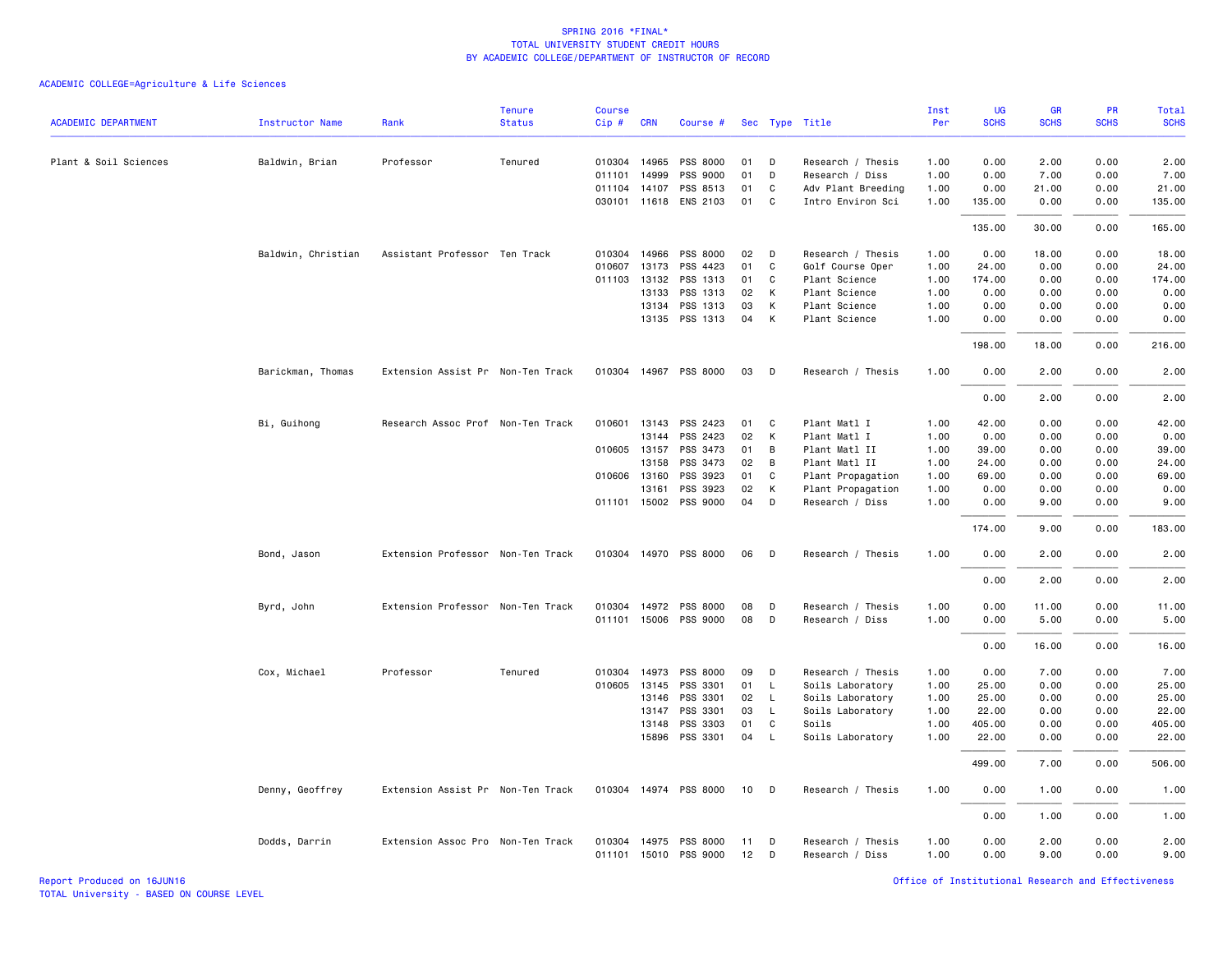|                            |                        |                                   | <b>Tenure</b> | <b>Course</b> |              |                       |    |              |                    | Inst | UG          | <b>GR</b>   | <b>PR</b>   | Total       |
|----------------------------|------------------------|-----------------------------------|---------------|---------------|--------------|-----------------------|----|--------------|--------------------|------|-------------|-------------|-------------|-------------|
| <b>ACADEMIC DEPARTMENT</b> | <b>Instructor Name</b> | Rank                              | <b>Status</b> | Cip#          | <b>CRN</b>   | Course #              |    |              | Sec Type Title     | Per  | <b>SCHS</b> | <b>SCHS</b> | <b>SCHS</b> | <b>SCHS</b> |
| Plant & Soil Sciences      | Baldwin, Brian         | Professor                         | Tenured       |               | 010304 14965 | PSS 8000              | 01 | D            | Research / Thesis  | 1.00 | 0.00        | 2.00        | 0.00        | 2.00        |
|                            |                        |                                   |               |               | 011101 14999 | PSS 9000              | 01 | D            | Research / Diss    | 1.00 | 0.00        | 7.00        | 0.00        | 7.00        |
|                            |                        |                                   |               |               | 011104 14107 | PSS 8513              | 01 | C            | Adv Plant Breeding | 1.00 | 0.00        | 21.00       | 0.00        | 21.00       |
|                            |                        |                                   |               |               | 030101 11618 | ENS 2103              | 01 | C            | Intro Environ Sci  | 1.00 | 135.00      | 0.00        | 0.00        | 135.00      |
|                            |                        |                                   |               |               |              |                       |    |              |                    |      | 135.00      | 30.00       | 0.00        | 165.00      |
|                            | Baldwin, Christian     | Assistant Professor Ten Track     |               |               | 010304 14966 | PSS 8000              | 02 | D            | Research / Thesis  | 1.00 | 0.00        | 18.00       | 0.00        | 18.00       |
|                            |                        |                                   |               | 010607        | 13173        | PSS 4423              | 01 | C            | Golf Course Oper   | 1.00 | 24.00       | 0.00        | 0.00        | 24.00       |
|                            |                        |                                   |               | 011103        | 13132        | PSS 1313              | 01 | C            | Plant Science      | 1.00 | 174.00      | 0.00        | 0.00        | 174.00      |
|                            |                        |                                   |               |               | 13133        | PSS 1313              | 02 | K            | Plant Science      | 1.00 | 0.00        | 0.00        | 0.00        | 0.00        |
|                            |                        |                                   |               |               | 13134        | PSS 1313              | 03 | К            | Plant Science      | 1.00 | 0.00        | 0.00        | 0.00        | 0.00        |
|                            |                        |                                   |               |               |              | 13135 PSS 1313        | 04 | К            | Plant Science      | 1.00 | 0.00        | 0.00        | 0.00        | 0.00        |
|                            |                        |                                   |               |               |              |                       |    |              |                    |      | 198.00      | 18.00       | 0.00        | 216.00      |
|                            | Barickman, Thomas      | Extension Assist Pr Non-Ten Track |               |               |              | 010304 14967 PSS 8000 | 03 | D            | Research / Thesis  | 1.00 | 0.00        | 2.00        | 0.00        | 2.00        |
|                            |                        |                                   |               |               |              |                       |    |              |                    |      | 0.00        | 2.00        | 0.00        | 2.00        |
|                            | Bi, Guihong            | Research Assoc Prof Non-Ten Track |               |               | 010601 13143 | PSS 2423              | 01 | C            | Plant Matl I       | 1.00 | 42.00       | 0.00        | 0.00        | 42.00       |
|                            |                        |                                   |               |               | 13144        | PSS 2423              | 02 | К            | Plant Matl I       | 1.00 | 0.00        | 0.00        | 0.00        | 0.00        |
|                            |                        |                                   |               |               | 010605 13157 | PSS 3473              | 01 | B            | Plant Matl II      | 1.00 | 39.00       | 0.00        | 0.00        | 39.00       |
|                            |                        |                                   |               |               | 13158        | PSS 3473              | 02 | B            | Plant Matl II      | 1.00 | 24.00       | 0.00        | 0.00        | 24.00       |
|                            |                        |                                   |               |               | 010606 13160 | PSS 3923              | 01 | C            | Plant Propagation  | 1.00 | 69.00       | 0.00        | 0.00        | 69.00       |
|                            |                        |                                   |               |               | 13161        | PSS 3923              | 02 | К            | Plant Propagation  | 1.00 | 0.00        | 0.00        | 0.00        | 0.00        |
|                            |                        |                                   |               |               | 011101 15002 | PSS 9000              | 04 | D            | Research / Diss    | 1.00 | 0.00        | 9.00        | 0.00        | 9.00        |
|                            |                        |                                   |               |               |              |                       |    |              |                    |      | 174.00      | 9.00        | 0.00        | 183.00      |
|                            | Bond, Jason            | Extension Professor Non-Ten Track |               |               |              | 010304 14970 PSS 8000 | 06 | D            | Research / Thesis  | 1.00 | 0.00        | 2.00        | 0.00        | 2.00        |
|                            |                        |                                   |               |               |              |                       |    |              |                    |      | 0.00        | 2.00        | 0.00        | 2.00        |
|                            | Byrd, John             | Extension Professor Non-Ten Track |               |               | 010304 14972 | PSS 8000              | 08 | D            | Research / Thesis  | 1.00 | 0.00        | 11.00       | 0.00        | 11.00       |
|                            |                        |                                   |               |               | 011101 15006 | PSS 9000              | 08 | D            | Research / Diss    | 1.00 | 0.00        | 5.00        | 0.00        | 5.00        |
|                            |                        |                                   |               |               |              |                       |    |              |                    |      | 0.00        | 16.00       | 0.00        | 16.00       |
|                            | Cox, Michael           | Professor                         | Tenured       |               | 010304 14973 | PSS 8000              | 09 | D            | Research / Thesis  | 1.00 | 0.00        | 7.00        | 0.00        | 7.00        |
|                            |                        |                                   |               |               | 010605 13145 | PSS 3301              | 01 | L            | Soils Laboratory   | 1.00 | 25.00       | 0.00        | 0.00        | 25.00       |
|                            |                        |                                   |               |               | 13146        | PSS 3301              | 02 | $\mathsf{L}$ | Soils Laboratory   | 1.00 | 25.00       | 0.00        | 0.00        | 25.00       |
|                            |                        |                                   |               |               | 13147        | PSS 3301              | 03 | L            | Soils Laboratory   | 1.00 | 22.00       | 0.00        | 0.00        | 22.00       |
|                            |                        |                                   |               |               | 13148        | PSS 3303              | 01 | C            | Soils              | 1.00 | 405.00      | 0.00        | 0.00        | 405.00      |
|                            |                        |                                   |               |               | 15896        | PSS 3301              | 04 | <b>L</b>     | Soils Laboratory   | 1.00 | 22.00       | 0.00        | 0.00        | 22.00       |
|                            |                        |                                   |               |               |              |                       |    |              |                    |      | 499.00      | 7.00        | 0.00        | 506.00      |
|                            | Denny, Geoffrey        | Extension Assist Pr Non-Ten Track |               |               |              | 010304 14974 PSS 8000 | 10 | $\Box$       | Research / Thesis  | 1.00 | 0.00        | 1.00        | 0.00        | 1.00        |
|                            |                        |                                   |               |               |              |                       |    |              |                    |      | 0.00        | 1.00        | 0.00        | 1.00        |
|                            | Dodds, Darrin          | Extension Assoc Pro Non-Ten Track |               | 010304        | 14975        | PSS 8000              | 11 | D            | Research / Thesis  | 1.00 | 0.00        | 2.00        | 0.00        | 2.00        |
|                            |                        |                                   |               |               | 011101 15010 | PSS 9000              | 12 | D            | Research / Diss    | 1.00 | 0.00        | 9.00        | 0.00        | 9.00        |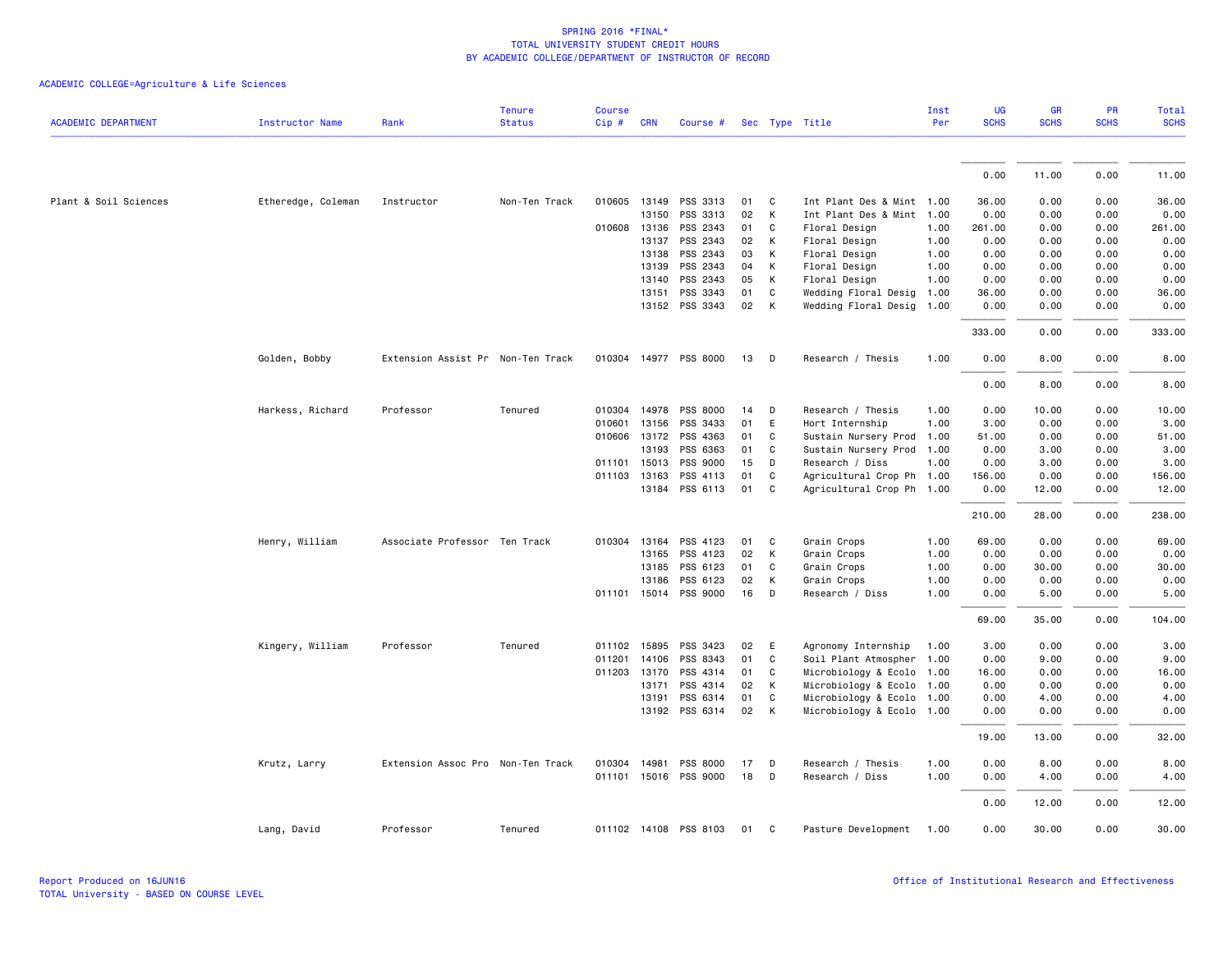|                            |                        |                                   | <b>Tenure</b> | <b>Course</b> |              |                       |    |   |                           | Inst | UG          | <b>GR</b>   | PR          | <b>Total</b> |
|----------------------------|------------------------|-----------------------------------|---------------|---------------|--------------|-----------------------|----|---|---------------------------|------|-------------|-------------|-------------|--------------|
| <b>ACADEMIC DEPARTMENT</b> | <b>Instructor Name</b> | Rank                              | <b>Status</b> | Cip#          | <b>CRN</b>   | Course #              |    |   | Sec Type Title            | Per  | <b>SCHS</b> | <b>SCHS</b> | <b>SCHS</b> | <b>SCHS</b>  |
|                            |                        |                                   |               |               |              |                       |    |   |                           |      |             |             |             |              |
|                            |                        |                                   |               |               |              |                       |    |   |                           |      | 0.00        | 11.00       | 0.00        | 11.00        |
| Plant & Soil Sciences      | Etheredge, Coleman     | Instructor                        | Non-Ten Track | 010605        |              | 13149 PSS 3313        | 01 | C | Int Plant Des & Mint 1.00 |      | 36.00       | 0.00        | 0.00        | 36.00        |
|                            |                        |                                   |               |               | 13150        | PSS 3313              | 02 | К | Int Plant Des & Mint      | 1.00 | 0.00        | 0.00        | 0.00        | 0.00         |
|                            |                        |                                   |               |               | 010608 13136 | PSS 2343              | 01 | C | Floral Design             | 1.00 | 261.00      | 0.00        | 0.00        | 261.00       |
|                            |                        |                                   |               |               | 13137        | PSS 2343              | 02 | К | Floral Design             | 1.00 | 0.00        | 0.00        | 0.00        | 0.00         |
|                            |                        |                                   |               |               | 13138        | PSS 2343              | 03 | K | Floral Design             | 1.00 | 0.00        | 0.00        | 0.00        | 0.00         |
|                            |                        |                                   |               |               | 13139        | PSS 2343              | 04 | К | Floral Design             | 1.00 | 0.00        | 0.00        | 0.00        | 0.00         |
|                            |                        |                                   |               |               | 13140        | PSS 2343              | 05 | K | Floral Design             | 1.00 | 0.00        | 0.00        | 0.00        | 0.00         |
|                            |                        |                                   |               |               | 13151        | PSS 3343              | 01 | C | Wedding Floral Desig      | 1.00 | 36.00       | 0.00        | 0.00        | 36.00        |
|                            |                        |                                   |               |               |              | 13152 PSS 3343        | 02 | К | Wedding Floral Desig      | 1.00 | 0.00        | 0.00        | 0.00        | 0.00         |
|                            |                        |                                   |               |               |              |                       |    |   |                           |      | 333.00      | 0.00        | 0.00        | 333.00       |
|                            | Golden, Bobby          | Extension Assist Pr Non-Ten Track |               |               |              | 010304 14977 PSS 8000 | 13 | D | Research / Thesis         | 1.00 | 0.00        | 8.00        | 0.00        | 8.00         |
|                            |                        |                                   |               |               |              |                       |    |   |                           |      | 0.00        | 8.00        | 0.00        | 8.00         |
|                            | Harkess, Richard       | Professor                         | Tenured       |               |              | 010304 14978 PSS 8000 | 14 | D | Research / Thesis         | 1.00 | 0.00        | 10.00       | 0.00        | 10.00        |
|                            |                        |                                   |               | 010601        | 13156        | PSS 3433              | 01 | E | Hort Internship           | 1.00 | 3.00        | 0.00        | 0.00        | 3.00         |
|                            |                        |                                   |               |               | 010606 13172 | PSS 4363              | 01 | C | Sustain Nursery Prod      | 1.00 | 51.00       | 0.00        | 0.00        | 51.00        |
|                            |                        |                                   |               |               | 13193        | PSS 6363              | 01 | C | Sustain Nursery Prod      | 1.00 | 0.00        | 3.00        | 0.00        | 3.00         |
|                            |                        |                                   |               |               | 011101 15013 | PSS 9000              | 15 | D | Research / Diss           | 1.00 | 0.00        | 3.00        | 0.00        | 3.00         |
|                            |                        |                                   |               | 011103        | 13163        | PSS 4113              | 01 | C | Agricultural Crop Ph 1.00 |      | 156.00      | 0.00        | 0.00        | 156.00       |
|                            |                        |                                   |               |               |              | 13184 PSS 6113        | 01 | C | Agricultural Crop Ph 1.00 |      | 0.00        | 12.00       | 0.00        | 12.00        |
|                            |                        |                                   |               |               |              |                       |    |   |                           |      | 210.00      | 28.00       | 0.00        | 238.00       |
|                            | Henry, William         | Associate Professor Ten Track     |               | 010304        | 13164        | PSS 4123              | 01 | C | Grain Crops               | 1.00 | 69.00       | 0.00        | 0.00        | 69.00        |
|                            |                        |                                   |               |               | 13165        | PSS 4123              | 02 | K | Grain Crops               | 1.00 | 0.00        | 0.00        | 0.00        | 0.00         |
|                            |                        |                                   |               |               | 13185        | PSS 6123              | 01 | C | Grain Crops               | 1.00 | 0.00        | 30.00       | 0.00        | 30.00        |
|                            |                        |                                   |               |               | 13186        | PSS 6123              | 02 | К | Grain Crops               | 1.00 | 0.00        | 0.00        | 0.00        | 0.00         |
|                            |                        |                                   |               |               |              | 011101 15014 PSS 9000 | 16 | D | Research / Diss           | 1.00 | 0.00        | 5.00        | 0.00        | 5.00         |
|                            |                        |                                   |               |               |              |                       |    |   |                           |      | 69.00       | 35.00       | 0.00        | 104.00       |
|                            | Kingery, William       | Professor                         | Tenured       |               | 011102 15895 | PSS 3423              | 02 | E | Agronomy Internship       | 1.00 | 3.00        | 0.00        | 0.00        | 3.00         |
|                            |                        |                                   |               | 011201        | 14106        | PSS 8343              | 01 | C | Soil Plant Atmospher      | 1.00 | 0.00        | 9.00        | 0.00        | 9.00         |
|                            |                        |                                   |               | 011203        | 13170        | PSS 4314              | 01 | C | Microbiology & Ecolo      | 1.00 | 16.00       | 0.00        | 0.00        | 16.00        |
|                            |                        |                                   |               |               | 13171        | PSS 4314              | 02 | К | Microbiology & Ecolo      | 1.00 | 0.00        | 0.00        | 0.00        | 0.00         |
|                            |                        |                                   |               |               | 13191        | PSS 6314              | 01 | C | Microbiology & Ecolo 1.00 |      | 0.00        | 4.00        | 0.00        | 4.00         |
|                            |                        |                                   |               |               |              | 13192 PSS 6314        | 02 | К | Microbiology & Ecolo 1.00 |      | 0.00        | 0.00        | 0.00        | 0.00         |
|                            |                        |                                   |               |               |              |                       |    |   |                           |      | 19.00       | 13.00       | 0.00        | 32.00        |
|                            | Krutz, Larry           | Extension Assoc Pro Non-Ten Track |               |               | 010304 14981 | PSS 8000              | 17 | D | Research / Thesis         | 1.00 | 0.00        | 8.00        | 0.00        | 8.00         |
|                            |                        |                                   |               |               |              | 011101 15016 PSS 9000 | 18 | D | Research / Diss           | 1.00 | 0.00        | 4.00        | 0.00        | 4.00         |
|                            |                        |                                   |               |               |              |                       |    |   |                           |      | 0.00        | 12.00       | 0.00        | 12.00        |
|                            | Lang, David            | Professor                         | Tenured       |               |              | 011102 14108 PSS 8103 | 01 | C | Pasture Development       | 1.00 | 0.00        | 30.00       | 0.00        | 30.00        |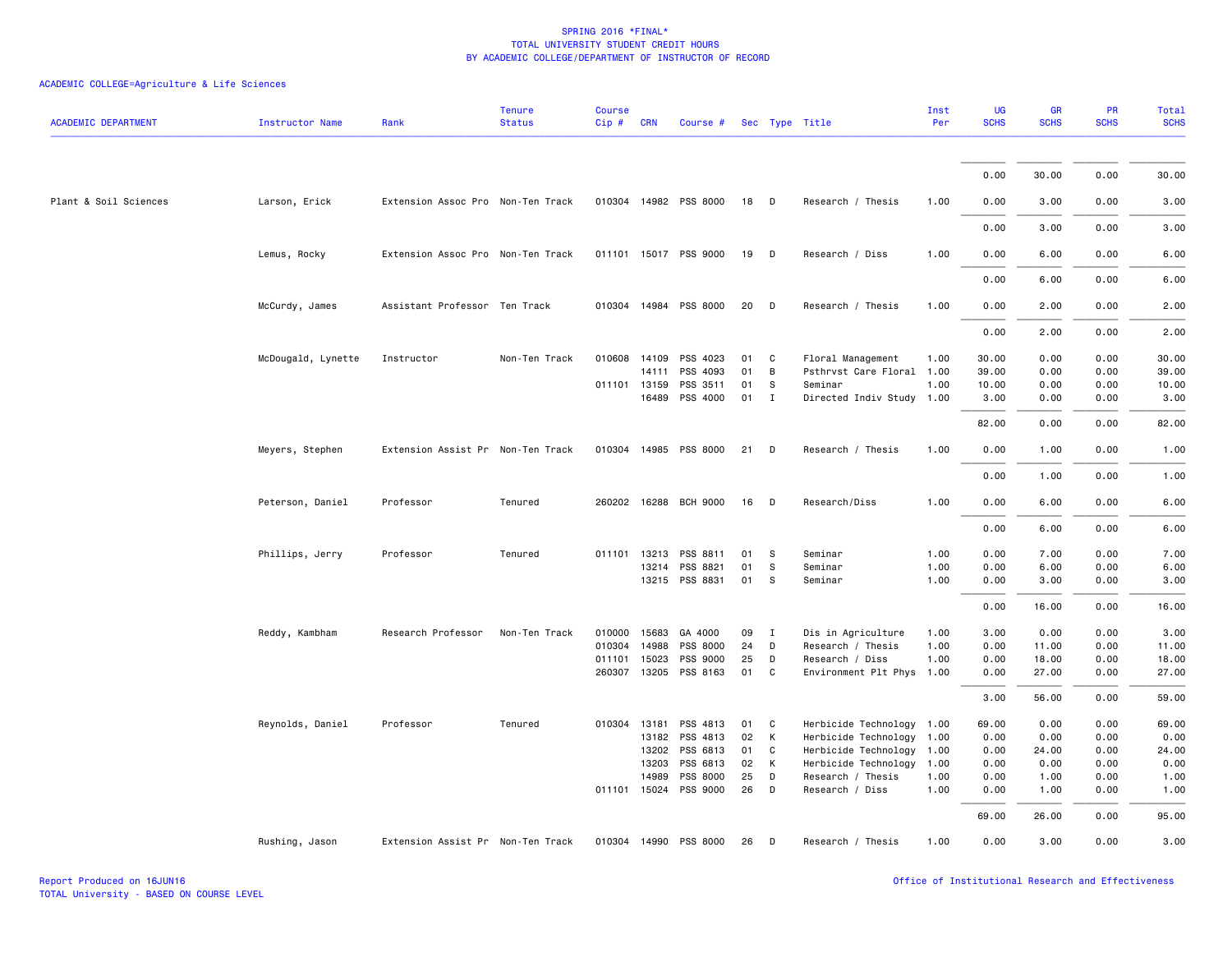| <b>ACADEMIC DEPARTMENT</b> | <b>Instructor Name</b> | Rank                              | <b>Tenure</b><br><b>Status</b> | <b>Course</b><br>Cip# | <b>CRN</b>   | Course #              |    |              | Sec Type Title            | Inst<br>Per | UG<br><b>SCHS</b> | <b>GR</b><br><b>SCHS</b> | PR<br><b>SCHS</b> | <b>Total</b><br><b>SCHS</b> |
|----------------------------|------------------------|-----------------------------------|--------------------------------|-----------------------|--------------|-----------------------|----|--------------|---------------------------|-------------|-------------------|--------------------------|-------------------|-----------------------------|
|                            |                        |                                   |                                |                       |              |                       |    |              |                           |             |                   |                          |                   |                             |
|                            |                        |                                   |                                |                       |              |                       |    |              |                           |             | 0.00              | 30.00                    | 0.00              | 30.00                       |
| Plant & Soil Sciences      | Larson, Erick          | Extension Assoc Pro Non-Ten Track |                                |                       |              | 010304 14982 PSS 8000 | 18 | - D          | Research / Thesis         | 1.00        | 0.00              | 3.00                     | 0.00              | 3.00                        |
|                            |                        |                                   |                                |                       |              |                       |    |              |                           |             | 0.00              | 3.00                     | 0.00              | 3.00                        |
|                            | Lemus, Rocky           | Extension Assoc Pro Non-Ten Track |                                |                       |              | 011101 15017 PSS 9000 | 19 | D            | Research / Diss           | 1.00        | 0.00              | 6.00                     | 0.00              | 6.00                        |
|                            |                        |                                   |                                |                       |              |                       |    |              |                           |             | 0.00              | 6.00                     | 0.00              | 6.00                        |
|                            | McCurdy, James         | Assistant Professor Ten Track     |                                |                       |              | 010304 14984 PSS 8000 | 20 | D            | Research / Thesis         | 1.00        | 0.00              | 2.00                     | 0.00              | 2.00                        |
|                            |                        |                                   |                                |                       |              |                       |    |              |                           |             | 0.00              | 2.00                     | 0.00              | 2.00                        |
|                            | McDougald, Lynette     | Instructor                        | Non-Ten Track                  |                       |              | 010608 14109 PSS 4023 | 01 | C            | Floral Management         | 1.00        | 30.00             | 0.00                     | 0.00              | 30.00                       |
|                            |                        |                                   |                                |                       | 14111        | PSS 4093              | 01 | B            | Psthrvst Care Floral      | 1.00        | 39.00             | 0.00                     | 0.00              | 39.00                       |
|                            |                        |                                   |                                |                       | 011101 13159 | PSS 3511              | 01 | S            | Seminar                   | 1.00        | 10.00             | 0.00                     | 0.00              | 10.00                       |
|                            |                        |                                   |                                |                       | 16489        | PSS 4000              | 01 | $\mathbf{I}$ | Directed Indiv Study 1.00 |             | 3.00              | 0.00                     | 0.00              | 3.00                        |
|                            |                        |                                   |                                |                       |              |                       |    |              |                           |             | 82.00             | 0.00                     | 0.00              | 82.00                       |
|                            | Meyers, Stephen        | Extension Assist Pr Non-Ten Track |                                |                       |              | 010304 14985 PSS 8000 | 21 | D            | Research / Thesis         | 1.00        | 0.00              | 1.00                     | 0.00              | 1.00                        |
|                            |                        |                                   |                                |                       |              |                       |    |              |                           |             | 0.00              | 1.00                     | 0.00              | 1.00                        |
|                            | Peterson, Daniel       | Professor                         | Tenured                        |                       |              | 260202 16288 BCH 9000 | 16 | D            | Research/Diss             | 1.00        | 0.00              | 6.00                     | 0.00              | 6.00                        |
|                            |                        |                                   |                                |                       |              |                       |    |              |                           |             | 0.00              | 6.00                     | 0.00              | 6.00                        |
|                            | Phillips, Jerry        | Professor                         | Tenured                        |                       |              | 011101 13213 PSS 8811 | 01 | -S           | Seminar                   | 1.00        | 0.00              | 7.00                     | 0.00              | 7.00                        |
|                            |                        |                                   |                                |                       |              | 13214 PSS 8821        | 01 | S            | Seminar                   | 1.00        | 0.00              | 6.00                     | 0.00              | 6.00                        |
|                            |                        |                                   |                                |                       |              | 13215 PSS 8831        | 01 | - S          | Seminar                   | 1.00        | 0.00              | 3.00                     | 0.00              | 3.00                        |
|                            |                        |                                   |                                |                       |              |                       |    |              |                           |             | 0.00              | 16.00                    | 0.00              | 16.00                       |
|                            | Reddy, Kambham         | Research Professor                | Non-Ten Track                  | 010000                | 15683        | GA 4000               | 09 | $\mathbf{I}$ | Dis in Agriculture        | 1.00        | 3.00              | 0.00                     | 0.00              | 3.00                        |
|                            |                        |                                   |                                |                       | 010304 14988 | PSS 8000              | 24 | D            | Research / Thesis         | 1.00        | 0.00              | 11.00                    | 0.00              | 11.00                       |
|                            |                        |                                   |                                | 011101                | 15023        | PSS 9000              | 25 | D            | Research / Diss           | 1.00        | 0.00              | 18.00                    | 0.00              | 18.00                       |
|                            |                        |                                   |                                |                       |              | 260307 13205 PSS 8163 | 01 | C.           | Environment Plt Phys 1.00 |             | 0.00              | 27.00                    | 0.00              | 27.00                       |
|                            |                        |                                   |                                |                       |              |                       |    |              |                           |             | 3.00              | 56.00                    | 0.00              | 59.00                       |
|                            | Reynolds, Daniel       | Professor                         | Tenured                        |                       | 010304 13181 | PSS 4813              | 01 | C            | Herbicide Technology 1.00 |             | 69.00             | 0.00                     | 0.00              | 69.00                       |
|                            |                        |                                   |                                |                       | 13182        | PSS 4813              | 02 | К            | Herbicide Technology 1.00 |             | 0.00              | 0.00                     | 0.00              | 0.00                        |
|                            |                        |                                   |                                |                       | 13202        | PSS 6813              | 01 | C            | Herbicide Technology 1.00 |             | 0.00              | 24.00                    | 0.00              | 24.00                       |
|                            |                        |                                   |                                |                       | 13203        | PSS 6813              | 02 | К            | Herbicide Technology 1.00 |             | 0.00              | 0.00                     | 0.00              | 0.00                        |
|                            |                        |                                   |                                |                       | 14989        | PSS 8000              | 25 | D            | Research / Thesis         | 1.00        | 0.00              | 1.00                     | 0.00              | 1.00                        |
|                            |                        |                                   |                                |                       |              | 011101 15024 PSS 9000 | 26 | D            | Research / Diss           | 1.00        | 0.00              | 1.00                     | 0.00              | 1.00                        |
|                            |                        |                                   |                                |                       |              |                       |    |              |                           |             | 69.00             | 26.00                    | 0.00              | 95.00                       |
|                            | Rushing, Jason         | Extension Assist Pr Non-Ten Track |                                |                       |              | 010304 14990 PSS 8000 | 26 | D            | Research / Thesis         | 1.00        | 0.00              | 3.00                     | 0.00              | 3.00                        |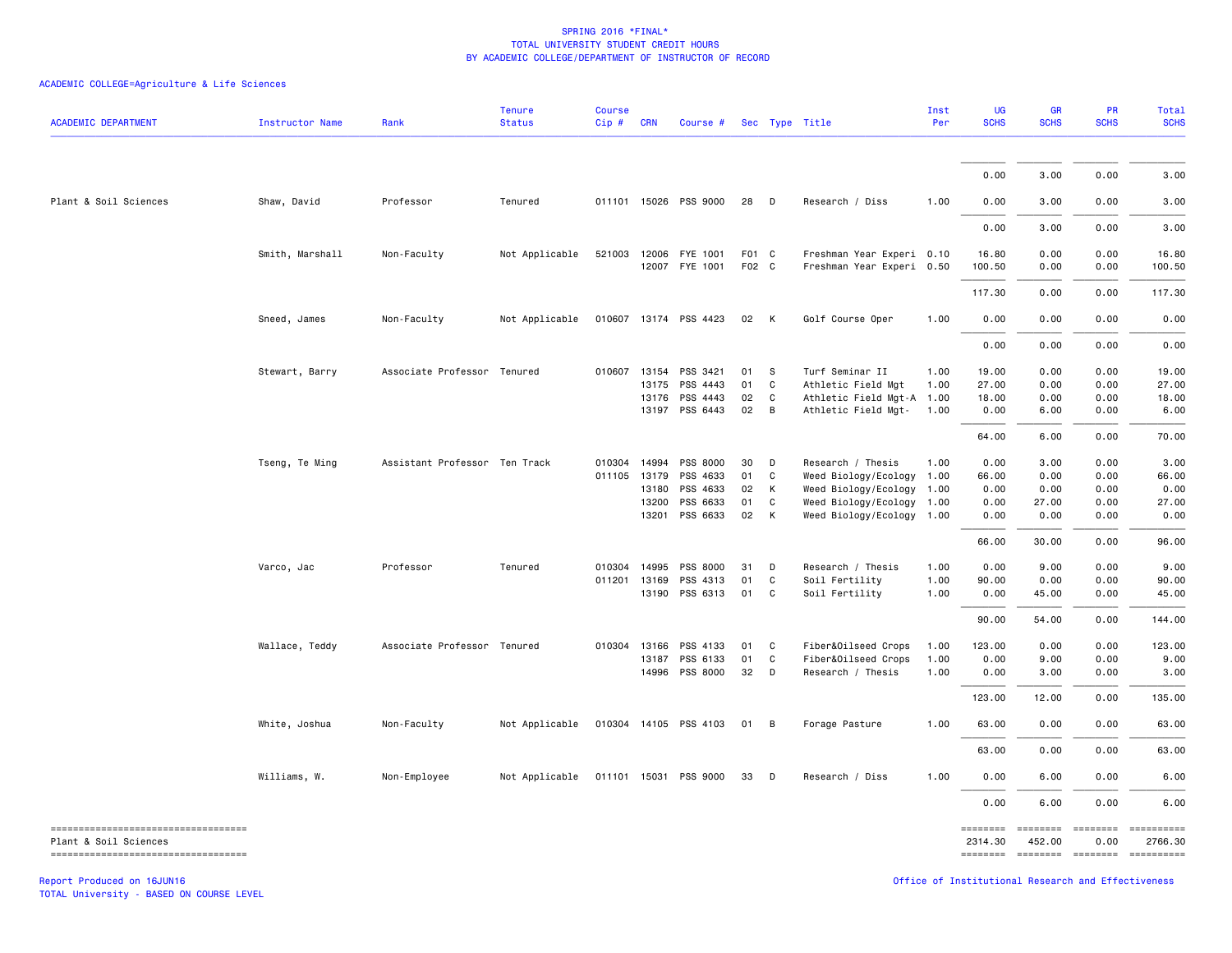## ACADEMIC COLLEGE=Agriculture & Life Sciences

| <b>ACADEMIC DEPARTMENT</b>                                       | <b>Instructor Name</b> | Rank                          | <b>Tenure</b><br><b>Status</b> | <b>Course</b><br>Cip# | <b>CRN</b>   | Course #                   |                |                | Sec Type Title                                         | Inst<br>Per | <b>UG</b><br><b>SCHS</b> | <b>GR</b><br><b>SCHS</b>                                              | <b>PR</b><br><b>SCHS</b> | Total<br><b>SCHS</b>   |
|------------------------------------------------------------------|------------------------|-------------------------------|--------------------------------|-----------------------|--------------|----------------------------|----------------|----------------|--------------------------------------------------------|-------------|--------------------------|-----------------------------------------------------------------------|--------------------------|------------------------|
|                                                                  |                        |                               |                                |                       |              |                            |                |                |                                                        |             |                          |                                                                       |                          |                        |
|                                                                  |                        |                               |                                |                       |              |                            |                |                |                                                        |             | 0.00                     | 3.00                                                                  | 0.00                     | 3.00                   |
| Plant & Soil Sciences                                            | Shaw, David            | Professor                     | Tenured                        |                       |              | 011101 15026 PSS 9000      | 28             | $\Box$         | Research / Diss                                        | 1.00        | 0.00                     | 3.00                                                                  | 0.00                     | 3.00                   |
|                                                                  |                        |                               |                                |                       |              |                            |                |                |                                                        |             | 0.00                     | 3.00                                                                  | 0.00                     | 3.00                   |
|                                                                  | Smith, Marshall        | Non-Faculty                   | Not Applicable                 | 521003                | 12006        | FYE 1001<br>12007 FYE 1001 | F01 C<br>F02 C |                | Freshman Year Experi 0.10<br>Freshman Year Experi 0.50 |             | 16.80<br>100.50          | 0.00<br>0.00                                                          | 0.00<br>0.00             | 16.80<br>100.50        |
|                                                                  |                        |                               |                                |                       |              |                            |                |                |                                                        |             | 117.30                   | 0.00                                                                  | 0.00                     | 117.30                 |
|                                                                  | Sneed, James           | Non-Faculty                   | Not Applicable                 |                       |              | 010607 13174 PSS 4423      | 02             | <b>K</b>       | Golf Course Oper                                       | 1.00        | 0.00                     | 0.00                                                                  | 0.00                     | 0.00                   |
|                                                                  |                        |                               |                                |                       |              |                            |                |                |                                                        |             | 0.00                     | 0.00                                                                  | 0.00                     | 0.00                   |
|                                                                  | Stewart, Barry         | Associate Professor Tenured   |                                |                       | 010607 13154 | PSS 3421                   | 01             | $^{\circ}$ s   | Turf Seminar II                                        | 1.00        | 19.00                    | 0.00                                                                  | 0.00                     | 19.00                  |
|                                                                  |                        |                               |                                |                       | 13175        | PSS 4443                   | 01             | C              | Athletic Field Mgt                                     | 1.00        | 27.00                    | 0.00                                                                  | 0.00                     | 27.00                  |
|                                                                  |                        |                               |                                |                       |              | 13176 PSS 4443             | 02             | C              | Athletic Field Mgt-A 1.00                              |             | 18.00                    | 0.00                                                                  | 0.00                     | 18.00                  |
|                                                                  |                        |                               |                                |                       |              | 13197 PSS 6443             | 02             | $\overline{B}$ | Athletic Field Mgt-                                    | 1.00        | 0.00                     | 6.00                                                                  | 0.00                     | 6.00                   |
|                                                                  |                        |                               |                                |                       |              |                            |                |                |                                                        |             | 64.00                    | 6.00                                                                  | 0.00                     | 70.00                  |
|                                                                  | Tseng, Te Ming         | Assistant Professor Ten Track |                                | 010304                | 14994        | PSS 8000                   | 30             | $\mathsf{D}$   | Research / Thesis                                      | 1.00        | 0.00                     | 3.00                                                                  | 0.00                     | 3.00                   |
|                                                                  |                        |                               |                                | 011105                | 13179        | PSS 4633                   | 01             | C              | Weed Biology/Ecology 1.00                              |             | 66.00                    | 0.00                                                                  | 0.00                     | 66.00                  |
|                                                                  |                        |                               |                                |                       | 13180        | PSS 4633                   | 02             | К              | Weed Biology/Ecology 1.00                              |             | 0.00                     | 0.00                                                                  | 0.00                     | 0.00                   |
|                                                                  |                        |                               |                                |                       | 13200        | PSS 6633                   | 01             | C              | Weed Biology/Ecology 1.00                              |             | 0.00                     | 27.00                                                                 | 0.00                     | 27.00                  |
|                                                                  |                        |                               |                                |                       | 13201        | PSS 6633                   | 02             | $\mathsf{K}$   | Weed Biology/Ecology 1.00                              |             | 0.00                     | 0.00                                                                  | 0.00                     | 0.00                   |
|                                                                  |                        |                               |                                |                       |              |                            |                |                |                                                        |             | 66.00                    | 30.00                                                                 | 0.00                     | 96.00                  |
|                                                                  | Varco, Jac             | Professor                     | Tenured                        | 010304                | 14995        | PSS 8000                   | 31             | D              | Research / Thesis                                      | 1.00        | 0.00                     | 9.00                                                                  | 0.00                     | 9.00                   |
|                                                                  |                        |                               |                                | 011201                | 13169        | PSS 4313                   | 01             | C              | Soil Fertility                                         | 1.00        | 90.00                    | 0.00                                                                  | 0.00                     | 90.00                  |
|                                                                  |                        |                               |                                |                       |              | 13190 PSS 6313             | 01             | $\mathbf{C}$   | Soil Fertility                                         | 1.00        | 0.00                     | 45.00                                                                 | 0.00                     | 45.00                  |
|                                                                  |                        |                               |                                |                       |              |                            |                |                |                                                        |             | 90.00                    | 54.00                                                                 | 0.00                     | 144.00                 |
|                                                                  | Wallace, Teddy         | Associate Professor Tenured   |                                | 010304                | 13166        | PSS 4133                   | 01             | $\mathbf{C}$   | Fiber&Oilseed Crops                                    | 1.00        | 123.00                   | 0.00                                                                  | 0.00                     | 123.00                 |
|                                                                  |                        |                               |                                |                       |              | 13187 PSS 6133             | 01             | C              | Fiber&Oilseed Crops                                    | 1.00        | 0.00                     | 9.00                                                                  | 0.00                     | 9.00                   |
|                                                                  |                        |                               |                                |                       |              | 14996 PSS 8000             | 32 D           |                | Research / Thesis                                      | 1.00        | 0.00                     | 3.00                                                                  | 0.00                     | 3.00                   |
|                                                                  |                        |                               |                                |                       |              |                            |                |                |                                                        |             | 123.00                   | 12.00                                                                 | 0.00                     | 135.00                 |
|                                                                  | White, Joshua          | Non-Faculty                   | Not Applicable                 |                       |              | 010304 14105 PSS 4103      | 01 B           |                | Forage Pasture                                         | 1.00        | 63.00                    | 0.00                                                                  | 0.00                     | 63.00                  |
|                                                                  |                        |                               |                                |                       |              |                            |                |                |                                                        |             | 63.00                    | 0.00                                                                  | 0.00                     | 63.00                  |
|                                                                  | Williams, W.           | Non-Employee                  | Not Applicable                 |                       |              | 011101 15031 PSS 9000      | 33             | $\mathsf{D}$   | Research / Diss                                        | 1.00        | 0.00                     | 6.00                                                                  | 0.00                     | 6.00                   |
|                                                                  |                        |                               |                                |                       |              |                            |                |                |                                                        |             | 0.00                     | 6.00                                                                  | 0.00                     | 6.00                   |
| ----------------------------------<br>Plant & Soil Sciences      |                        |                               |                                |                       |              |                            |                |                |                                                        |             | ========<br>2314.30      | ======== =======<br>452.00                                            | 0.00                     | -==========<br>2766.30 |
| ----------------------------------<br>Report Produced on 16JUN16 |                        |                               |                                |                       |              |                            |                |                |                                                        |             | ========                 | <b>ESSESSES</b><br>Office of Institutional Research and Effectiveness | ========                 | - ==========           |

TOTAL University - BASED ON COURSE LEVEL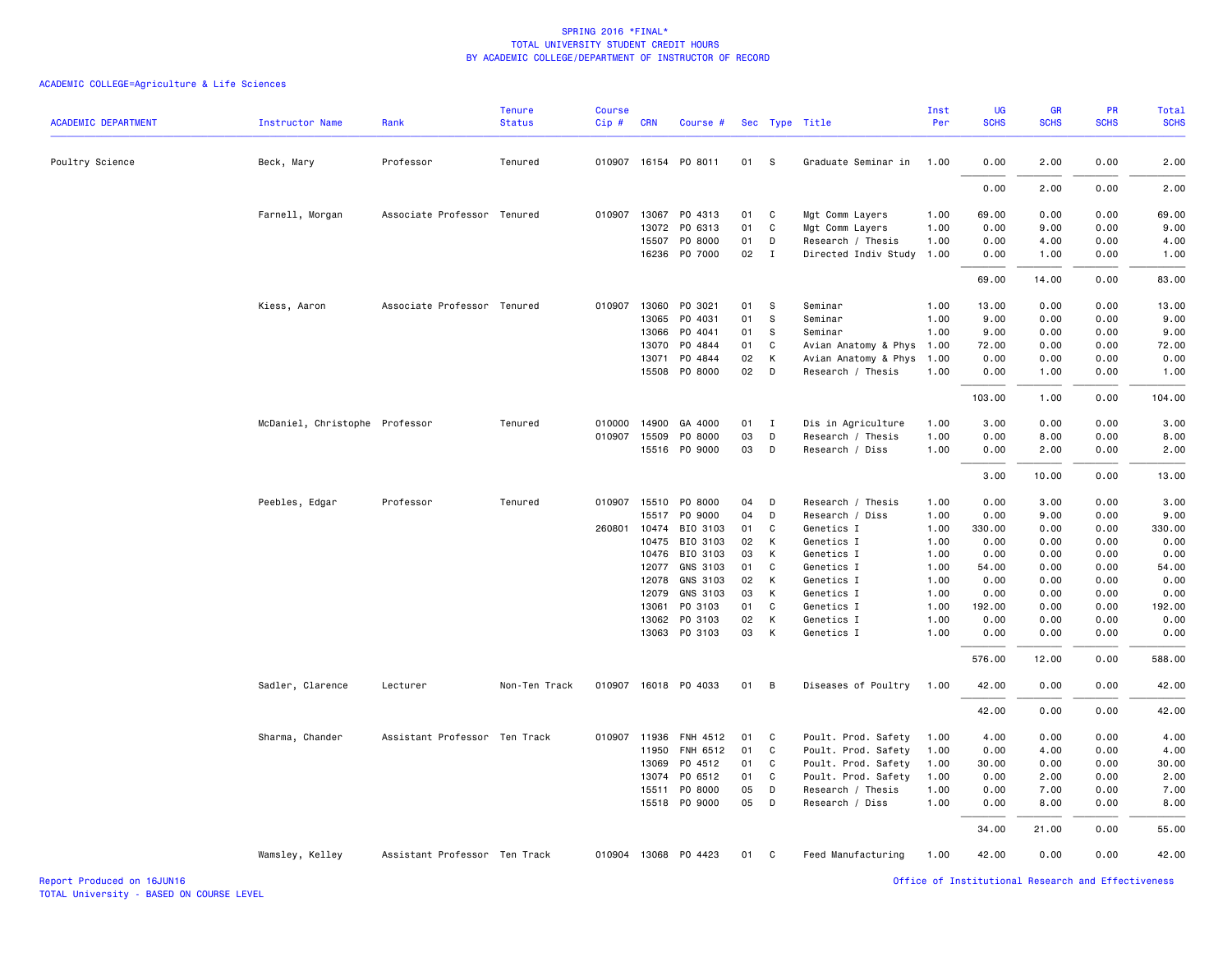| <b>ACADEMIC DEPARTMENT</b> | Instructor Name                | Rank                          | <b>Tenure</b><br><b>Status</b> | <b>Course</b><br>Cip# | <b>CRN</b>   | Course #             |    |              | Sec Type Title       | Inst<br>Per | <b>UG</b><br><b>SCHS</b> | <b>GR</b><br><b>SCHS</b> | PR<br><b>SCHS</b> | Total<br><b>SCHS</b> |
|----------------------------|--------------------------------|-------------------------------|--------------------------------|-----------------------|--------------|----------------------|----|--------------|----------------------|-------------|--------------------------|--------------------------|-------------------|----------------------|
|                            |                                |                               |                                |                       |              |                      |    |              |                      |             |                          |                          |                   |                      |
| Poultry Science            | Beck, Mary                     | Professor                     | Tenured                        |                       |              | 010907 16154 P0 8011 | 01 | s            | Graduate Seminar in  | 1.00        | 0.00                     | 2.00                     | 0.00              | 2.00                 |
|                            |                                |                               |                                |                       |              |                      |    |              |                      |             | 0.00                     | 2.00                     | 0.00              | 2.00                 |
|                            | Farnell, Morgan                | Associate Professor Tenured   |                                |                       |              | 010907 13067 PO 4313 | 01 | C            | Mgt Comm Layers      | 1.00        | 69.00                    | 0.00                     | 0.00              | 69.00                |
|                            |                                |                               |                                |                       | 13072        | PO 6313              | 01 | C            | Mgt Comm Layers      | 1.00        | 0.00                     | 9.00                     | 0.00              | 9.00                 |
|                            |                                |                               |                                |                       | 15507        | PO 8000              | 01 | D            | Research / Thesis    | 1.00        | 0.00                     | 4.00                     | 0.00              | 4.00                 |
|                            |                                |                               |                                |                       |              | 16236 PO 7000        | 02 | $\mathbf{I}$ | Directed Indiv Study | 1.00        | 0.00                     | 1.00                     | 0.00              | 1.00                 |
|                            |                                |                               |                                |                       |              |                      |    |              |                      |             | 69.00                    | 14.00                    | 0.00              | 83.00                |
|                            | Kiess, Aaron                   | Associate Professor Tenured   |                                |                       | 010907 13060 | PO 3021              | 01 | -S           | Seminar              | 1.00        | 13.00                    | 0.00                     | 0.00              | 13.00                |
|                            |                                |                               |                                |                       | 13065        | PO 4031              | 01 | S            | Seminar              | 1.00        | 9.00                     | 0.00                     | 0.00              | 9.00                 |
|                            |                                |                               |                                |                       | 13066        | PO 4041              | 01 | s            | Seminar              | 1.00        | 9.00                     | 0.00                     | 0.00              | 9.00                 |
|                            |                                |                               |                                |                       | 13070        | PO 4844              | 01 | C            | Avian Anatomy & Phys | 1.00        | 72.00                    | 0.00                     | 0.00              | 72.00                |
|                            |                                |                               |                                |                       | 13071        | PO 4844              | 02 | К            | Avian Anatomy & Phys | 1.00        | 0.00                     | 0.00                     | 0.00              | 0.00                 |
|                            |                                |                               |                                |                       | 15508        | PO 8000              | 02 | D            | Research / Thesis    | 1.00        | 0.00                     | 1.00                     | 0.00              | 1.00                 |
|                            |                                |                               |                                |                       |              |                      |    |              |                      |             | 103.00                   | 1.00                     | 0.00              | 104.00               |
|                            | McDaniel, Christophe Professor |                               | Tenured                        |                       |              | 010000 14900 GA 4000 | 01 | I            | Dis in Agriculture   | 1.00        | 3.00                     | 0.00                     | 0.00              | 3.00                 |
|                            |                                |                               |                                |                       | 010907 15509 | PO 8000              | 03 | D            | Research / Thesis    | 1.00        | 0.00                     | 8.00                     | 0.00              | 8.00                 |
|                            |                                |                               |                                |                       |              | 15516 PO 9000        | 03 | D            | Research / Diss      | 1.00        | 0.00                     | 2.00                     | 0.00              | 2.00                 |
|                            |                                |                               |                                |                       |              |                      |    |              |                      |             | 3.00                     | 10.00                    | 0.00              | 13.00                |
|                            | Peebles, Edgar                 | Professor                     | Tenured                        |                       |              | 010907 15510 PO 8000 | 04 | D            | Research / Thesis    | 1.00        | 0.00                     | 3.00                     | 0.00              | 3.00                 |
|                            |                                |                               |                                |                       | 15517        | PO 9000              | 04 | D            | Research / Diss      | 1.00        | 0.00                     | 9.00                     | 0.00              | 9.00                 |
|                            |                                |                               |                                |                       | 260801 10474 | BIO 3103             | 01 | C            | Genetics I           | 1.00        | 330.00                   | 0.00                     | 0.00              | 330.00               |
|                            |                                |                               |                                |                       | 10475        | BIO 3103             | 02 | К            | Genetics I           | 1.00        | 0.00                     | 0.00                     | 0.00              | 0.00                 |
|                            |                                |                               |                                |                       | 10476        | BIO 3103             | 03 | К            | Genetics I           | 1.00        | 0.00                     | 0.00                     | 0.00              | 0.00                 |
|                            |                                |                               |                                |                       | 12077        | GNS 3103             | 01 | C            | Genetics I           | 1.00        | 54.00                    | 0.00                     | 0.00              | 54.00                |
|                            |                                |                               |                                |                       | 12078        | GNS 3103             | 02 | К            | Genetics I           | 1.00        | 0.00                     | 0.00                     | 0.00              | 0.00                 |
|                            |                                |                               |                                |                       | 12079        | GNS 3103             | 03 | К            | Genetics I           | 1.00        | 0.00                     | 0.00                     | 0.00              | 0.00                 |
|                            |                                |                               |                                |                       | 13061        | PO 3103              | 01 | C            | Genetics I           | 1.00        | 192.00                   | 0.00                     | 0.00              | 192.00               |
|                            |                                |                               |                                |                       | 13062        | PO 3103              | 02 | К            | Genetics I           | 1.00        | 0.00                     | 0.00                     | 0.00              | 0.00                 |
|                            |                                |                               |                                |                       | 13063        | PO 3103              | 03 | К            | Genetics I           | 1.00        | 0.00                     | 0.00                     | 0.00              | 0.00                 |
|                            |                                |                               |                                |                       |              |                      |    |              |                      |             | 576.00                   | 12.00                    | 0.00              | 588.00               |
|                            | Sadler, Clarence               | Lecturer                      | Non-Ten Track                  |                       |              | 010907 16018 P0 4033 | 01 | B            | Diseases of Poultry  | 1.00        | 42.00                    | 0.00                     | 0.00              | 42.00                |
|                            |                                |                               |                                |                       |              |                      |    |              |                      |             | 42.00                    | 0.00                     | 0.00              | 42.00                |
|                            | Sharma, Chander                | Assistant Professor Ten Track |                                |                       | 010907 11936 | FNH 4512             | 01 | C            | Poult. Prod. Safety  | 1.00        | 4.00                     | 0.00                     | 0.00              | 4.00                 |
|                            |                                |                               |                                |                       | 11950        | FNH 6512             | 01 | C            | Poult. Prod. Safety  | 1.00        | 0.00                     | 4.00                     | 0.00              | 4.00                 |
|                            |                                |                               |                                |                       | 13069        | P0 4512              | 01 | C            | Poult. Prod. Safety  | 1.00        | 30.00                    | 0.00                     | 0.00              | 30.00                |
|                            |                                |                               |                                |                       | 13074        | PO 6512              | 01 | C            | Poult. Prod. Safety  | 1.00        | 0.00                     | 2.00                     | 0.00              | 2.00                 |
|                            |                                |                               |                                |                       | 15511        | PO 8000              | 05 | D            | Research / Thesis    | 1.00        | 0.00                     | 7.00                     | 0.00              | 7.00                 |
|                            |                                |                               |                                |                       |              | 15518 PO 9000        | 05 | D            | Research / Diss      | 1.00        | 0.00                     | 8.00                     | 0.00              | 8.00                 |
|                            |                                |                               |                                |                       |              |                      |    |              |                      |             | 34.00                    | 21.00                    | 0.00              | 55.00                |
|                            | Wamsley, Kelley                | Assistant Professor Ten Track |                                |                       |              | 010904 13068 P0 4423 | 01 | C            | Feed Manufacturing   | 1.00        | 42.00                    | 0.00                     | 0.00              | 42.00                |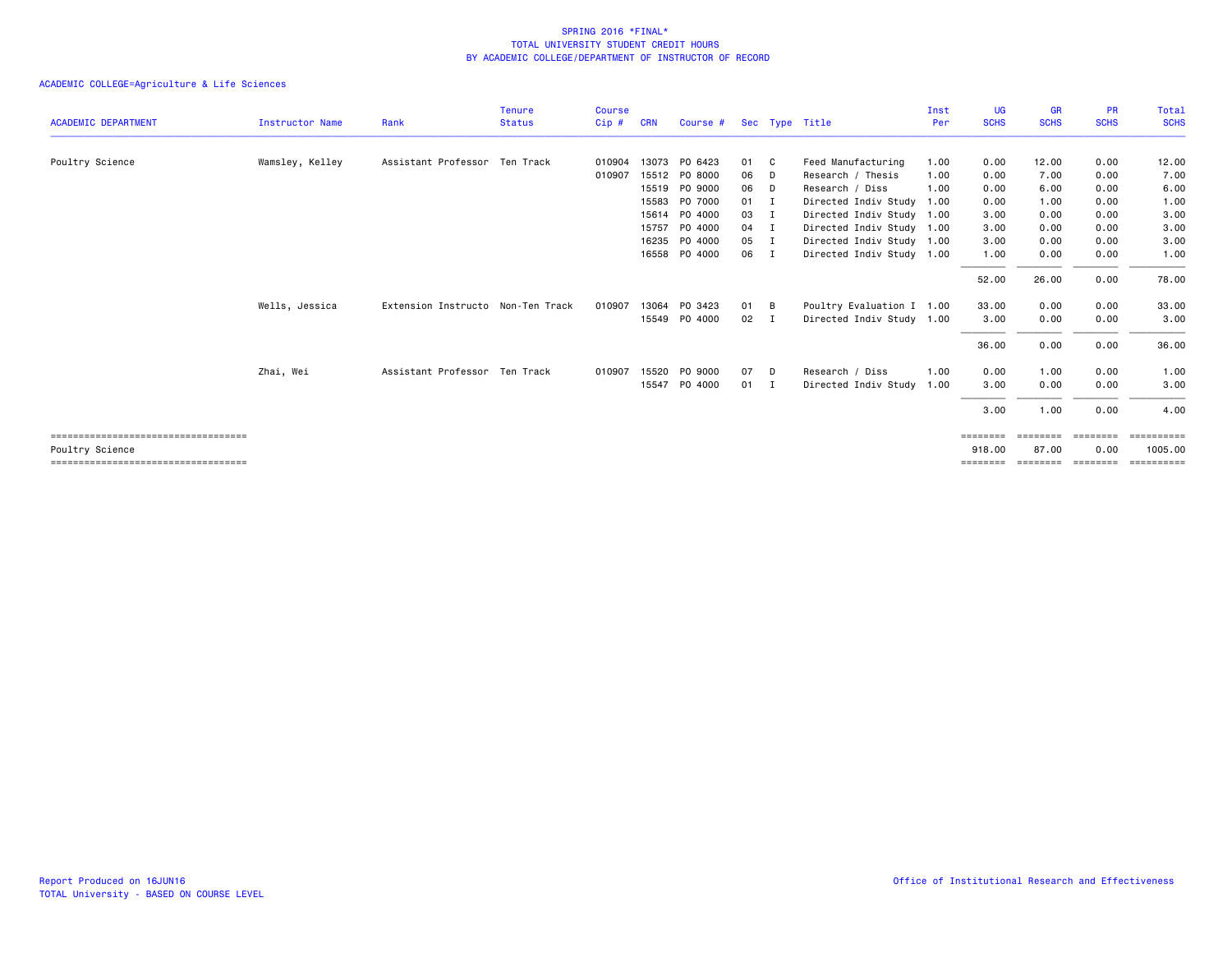|                                        |                        |                                   | <b>Tenure</b> | <b>Course</b> |            |               |      |             |                           | Inst | <b>UG</b>   | <b>GR</b>   | <b>PR</b>   | Total       |
|----------------------------------------|------------------------|-----------------------------------|---------------|---------------|------------|---------------|------|-------------|---------------------------|------|-------------|-------------|-------------|-------------|
| <b>ACADEMIC DEPARTMENT</b>             | <b>Instructor Name</b> | Rank                              | <b>Status</b> | Cip#          | <b>CRN</b> | Course #      |      |             | Sec Type Title            | Per  | <b>SCHS</b> | <b>SCHS</b> | <b>SCHS</b> | <b>SCHS</b> |
| Poultry Science                        | Wamsley, Kelley        | Assistant Professor Ten Track     |               | 010904        |            | 13073 PO 6423 | 01 C |             | Feed Manufacturing        | 1.00 | 0.00        | 12.00       | 0.00        | 12.00       |
|                                        |                        |                                   |               | 010907        |            | 15512 PO 8000 | 06   | D           | Research / Thesis         | 1.00 | 0.00        | 7.00        | 0.00        | 7.00        |
|                                        |                        |                                   |               |               |            | 15519 PO 9000 | 06   | - D         | Research / Diss           | 1.00 | 0.00        | 6.00        | 0.00        | 6.00        |
|                                        |                        |                                   |               |               | 15583      | PO 7000       | 01 I |             | Directed Indiv Study      | 1.00 | 0.00        | 1.00        | 0.00        | 1.00        |
|                                        |                        |                                   |               |               |            | 15614 PO 4000 | 03   | I           | Directed Indiv Study 1.00 |      | 3.00        | 0.00        | 0.00        | 3.00        |
|                                        |                        |                                   |               |               |            | 15757 PO 4000 | 04 I |             | Directed Indiv Study 1.00 |      | 3.00        | 0.00        | 0.00        | 3.00        |
|                                        |                        |                                   |               |               | 16235      | PO 4000       | 05   | I           | Directed Indiv Study 1.00 |      | 3.00        | 0.00        | 0.00        | 3.00        |
|                                        |                        |                                   |               |               |            | 16558 PO 4000 | 06   | I           | Directed Indiv Study 1.00 |      | 1.00        | 0.00        | 0.00        | 1.00        |
|                                        |                        |                                   |               |               |            |               |      |             |                           |      | 52.00       | 26.00       | 0.00        | 78.00       |
|                                        | Wells, Jessica         | Extension Instructo Non-Ten Track |               | 010907        | 13064      | PO 3423       | 01 B |             | Poultry Evaluation I 1.00 |      | 33.00       | 0.00        | 0.00        | 33.00       |
|                                        |                        |                                   |               |               |            | 15549 PO 4000 | 02   | $\mathbf I$ | Directed Indiv Study 1.00 |      | 3.00        | 0.00        | 0.00        | 3.00        |
|                                        |                        |                                   |               |               |            |               |      |             |                           |      | 36.00       | 0.00        | 0.00        | 36.00       |
|                                        | Zhai, Wei              | Assistant Professor Ten Track     |               | 010907        |            | 15520 PO 9000 | 07   | D.          | Research / Diss           | 1.00 | 0.00        | 1.00        | 0.00        | 1.00        |
|                                        |                        |                                   |               |               |            | 15547 PO 4000 | 01 I |             | Directed Indiv Study      | 1.00 | 3.00        | 0.00        | 0.00        | 3.00        |
|                                        |                        |                                   |               |               |            |               |      |             |                           |      | 3.00        | 1.00        | 0.00        | 4.00        |
| ====================================== |                        |                                   |               |               |            |               |      |             |                           |      | ========    | ========    | ========    | ==========  |
| Poultry Science                        |                        |                                   |               |               |            |               |      |             |                           |      | 918.00      | 87.00       | 0.00        | 1005.00     |
| =====================================  |                        |                                   |               |               |            |               |      |             |                           |      | ========    | ========    | ---------   | ==========  |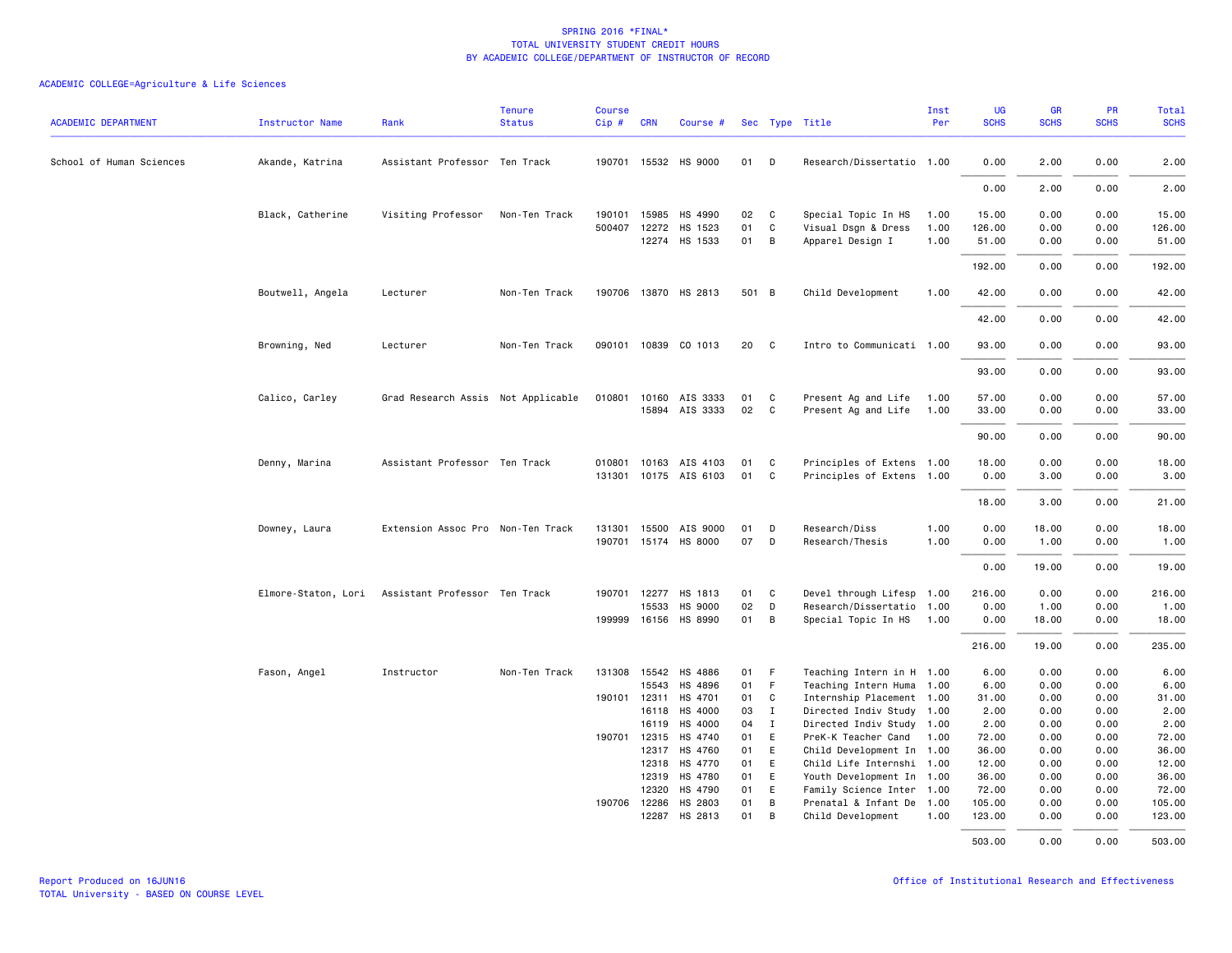| <b>ACADEMIC DEPARTMENT</b> | Instructor Name  | Rank                                              | <b>Tenure</b><br><b>Status</b> | Course<br>Cip# | <b>CRN</b>            | Course #                         |          |                     | Sec Type Title                                 | Inst<br>Per  | <b>UG</b><br><b>SCHS</b> | <b>GR</b><br><b>SCHS</b> | PR<br><b>SCHS</b> | Total<br><b>SCHS</b> |
|----------------------------|------------------|---------------------------------------------------|--------------------------------|----------------|-----------------------|----------------------------------|----------|---------------------|------------------------------------------------|--------------|--------------------------|--------------------------|-------------------|----------------------|
| School of Human Sciences   | Akande, Katrina  | Assistant Professor Ten Track                     |                                |                |                       | 190701 15532 HS 9000             | 01       | D                   | Research/Dissertatio 1.00                      |              | 0.00                     | 2.00                     | 0.00              | 2.00                 |
|                            |                  |                                                   |                                |                |                       |                                  |          |                     |                                                |              | 0.00                     | 2.00                     | 0.00              | 2.00                 |
|                            |                  |                                                   |                                |                |                       |                                  |          |                     |                                                |              |                          |                          |                   |                      |
|                            | Black, Catherine | Visiting Professor                                | Non-Ten Track                  | 500407         |                       | 190101 15985 HS 4990             | 02       | $\mathbf{C}$        | Special Topic In HS                            | 1.00         | 15.00                    | 0.00                     | 0.00              | 15.00                |
|                            |                  |                                                   |                                |                |                       | 12272 HS 1523<br>12274 HS 1533   | 01<br>01 | C<br>$\overline{B}$ | Visual Dsgn & Dress<br>Apparel Design I        | 1.00<br>1.00 | 126.00<br>51.00          | 0.00<br>0.00             | 0.00<br>0.00      | 126.00<br>51.00      |
|                            |                  |                                                   |                                |                |                       |                                  |          |                     |                                                |              | 192.00                   | 0.00                     | 0.00              | 192.00               |
|                            | Boutwell, Angela | Lecturer                                          | Non-Ten Track                  |                |                       | 190706 13870 HS 2813             | 501 B    |                     | Child Development                              | 1.00         | 42.00                    | 0.00                     | 0.00              | 42.00                |
|                            |                  |                                                   |                                |                |                       |                                  |          |                     |                                                |              | 42.00                    | 0.00                     | 0.00              | 42.00                |
|                            | Browning, Ned    | Lecturer                                          | Non-Ten Track                  |                |                       | 090101 10839 CO 1013             | 20       | $\mathbf{C}$        | Intro to Communicati 1.00                      |              | 93.00                    | 0.00                     | 0.00              | 93.00                |
|                            |                  |                                                   |                                |                |                       |                                  |          |                     |                                                |              | 93.00                    | 0.00                     | 0.00              | 93.00                |
|                            |                  |                                                   |                                |                |                       |                                  |          |                     |                                                |              |                          |                          |                   |                      |
|                            | Calico, Carley   | Grad Research Assis Not Applicable                |                                | 010801         |                       | 10160 AIS 3333<br>15894 AIS 3333 | 01<br>02 | C.<br>$\mathbf{C}$  | Present Ag and Life<br>Present Ag and Life     | 1.00<br>1.00 | 57.00<br>33.00           | 0.00<br>0.00             | 0.00<br>0.00      | 57.00<br>33.00       |
|                            |                  |                                                   |                                |                |                       |                                  |          |                     |                                                |              |                          |                          |                   |                      |
|                            |                  |                                                   |                                |                |                       |                                  |          |                     |                                                |              | 90.00                    | 0.00                     | 0.00              | 90.00                |
|                            | Denny, Marina    | Assistant Professor Ten Track                     |                                | 010801         |                       | 10163 AIS 4103                   | 01       | C.                  | Principles of Extens 1.00                      |              | 18,00                    | 0.00                     | 0.00              | 18.00                |
|                            |                  |                                                   |                                |                |                       | 131301 10175 AIS 6103            | 01       | C                   | Principles of Extens 1.00                      |              | 0.00                     | 3.00                     | 0.00              | 3.00                 |
|                            |                  |                                                   |                                |                |                       |                                  |          |                     |                                                |              | 18,00                    | 3.00                     | 0.00              | 21.00                |
|                            | Downey, Laura    | Extension Assoc Pro Non-Ten Track                 |                                |                |                       | 131301 15500 AIS 9000            | 01       | D                   | Research/Diss                                  | 1.00         | 0.00                     | 18.00                    | 0.00              | 18.00                |
|                            |                  |                                                   |                                |                |                       | 190701 15174 HS 8000             | 07       | D                   | Research/Thesis                                | 1.00         | 0.00                     | 1.00                     | 0.00              | 1.00                 |
|                            |                  |                                                   |                                |                |                       |                                  |          |                     |                                                |              | 0.00                     | 19,00                    | 0.00              | 19.00                |
|                            |                  | Elmore-Staton, Lori Assistant Professor Ten Track |                                |                |                       | 190701 12277 HS 1813             | 01 C     |                     | Devel through Lifesp 1.00                      |              | 216.00                   | 0.00                     | 0.00              | 216.00               |
|                            |                  |                                                   |                                |                | 15533                 | <b>HS 9000</b>                   | 02       | D                   | Research/Dissertatio 1.00                      |              | 0.00                     | 1.00                     | 0.00              | 1.00                 |
|                            |                  |                                                   |                                | 199999         |                       | 16156 HS 8990                    | 01       | B                   | Special Topic In HS                            | 1.00         | 0.00                     | 18.00                    | 0.00              | 18.00                |
|                            |                  |                                                   |                                |                |                       |                                  |          |                     |                                                |              | 216.00                   | 19.00                    | 0.00              | 235.00               |
|                            | Fason, Angel     | Instructor                                        | Non-Ten Track                  |                |                       | 131308 15542 HS 4886             | 01 F     |                     | Teaching Intern in H 1.00                      |              | 6.00                     | 0.00                     | 0.00              | 6.00                 |
|                            |                  |                                                   |                                |                | 15543                 | HS 4896                          | 01       | - F                 | Teaching Intern Huma 1.00                      |              | 6.00                     | 0.00                     | 0.00              | 6.00                 |
|                            |                  |                                                   |                                | 190101         | 12311                 | HS 4701                          | 01       | $\mathbf{C}$        | Internship Placement 1.00                      |              | 31.00                    | 0.00                     | 0.00              | 31.00                |
|                            |                  |                                                   |                                |                | 16118                 | HS 4000                          | 03       | $\mathbf I$         | Directed Indiv Study 1.00                      |              | 2.00                     | 0.00                     | 0.00              | 2.00                 |
|                            |                  |                                                   |                                |                | 16119                 | HS 4000                          | 04       | $\mathbf{I}$        | Directed Indiv Study 1.00                      |              | 2.00                     | 0.00                     | 0.00              | 2.00                 |
|                            |                  |                                                   |                                | 190701         | 12315                 | HS 4740                          | 01       | E                   | PreK-K Teacher Cand                            | 1.00         | 72.00                    | 0.00                     | 0.00              | 72.00                |
|                            |                  |                                                   |                                |                | 12317                 | HS 4760                          | 01       | E                   | Child Development In 1.00                      |              | 36.00                    | 0.00                     | 0.00              | 36.00                |
|                            |                  |                                                   |                                |                | 12318                 | HS 4770                          | 01       | E                   | Child Life Internshi 1.00                      |              | 12.00                    | 0.00                     | 0.00              | 12.00                |
|                            |                  |                                                   |                                |                |                       | 12319 HS 4780                    | 01       | E                   | Youth Development In 1.00                      |              | 36.00                    | 0.00                     | 0.00              | 36.00                |
|                            |                  |                                                   |                                |                | 12320                 | HS 4790                          | 01       | E                   | Family Science Inter 1.00                      |              | 72.00                    | 0.00                     | 0.00              | 72.00                |
|                            |                  |                                                   |                                |                | 190706 12286<br>12287 | HS 2803<br>HS 2813               | 01<br>01 | $\overline{B}$<br>B | Prenatal & Infant De 1.00<br>Child Development | 1.00         | 105.00<br>123.00         | 0.00<br>0.00             | 0.00<br>0.00      | 105.00<br>123.00     |
|                            |                  |                                                   |                                |                |                       |                                  |          |                     |                                                |              | 503.00                   | 0.00                     | 0.00              | 503.00               |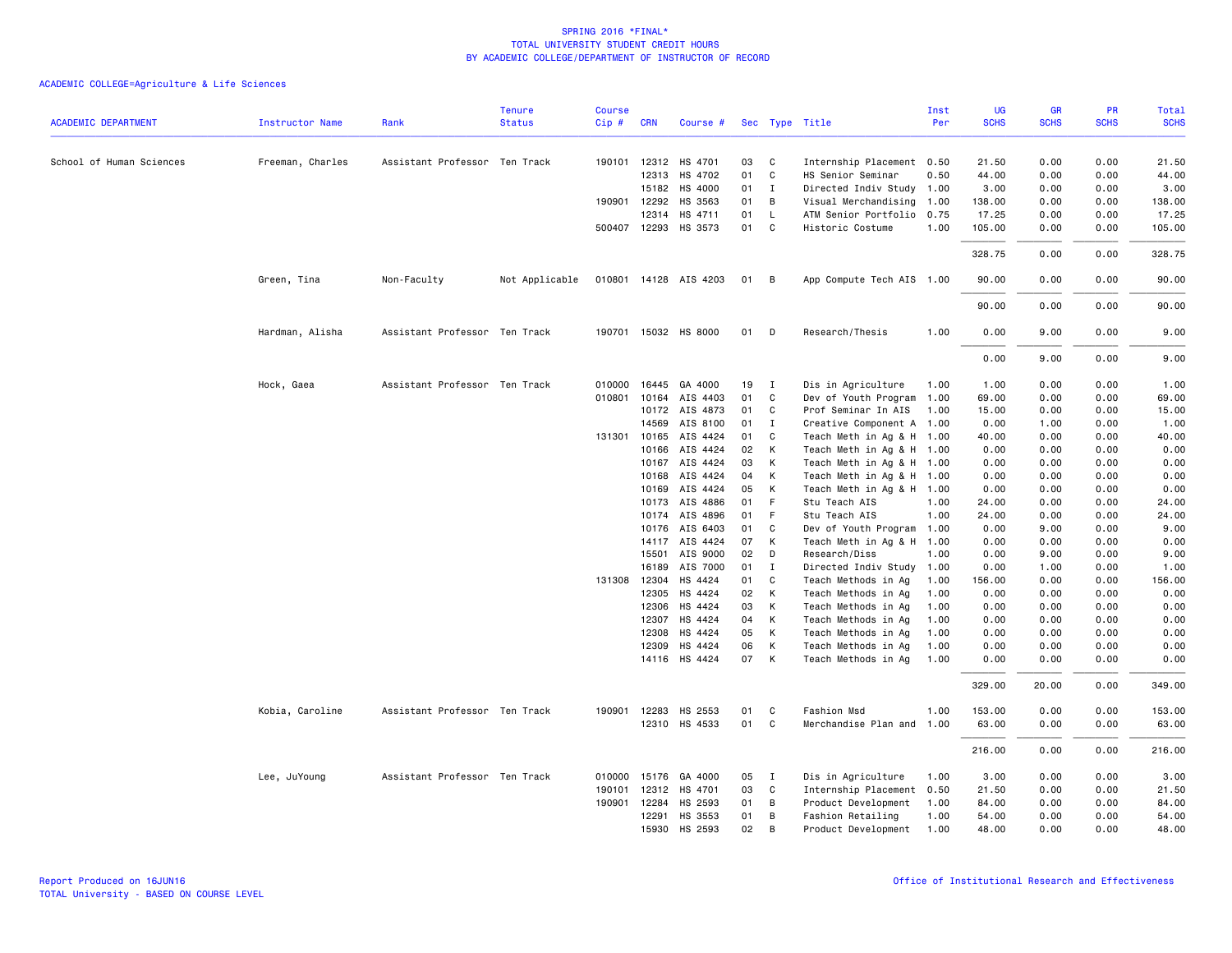|                            |                        |                               | <b>Tenure</b>  | <b>Course</b> |              |                       |    |              |                           | Inst | <b>UG</b>   | <b>GR</b>   | PR          | <b>Total</b> |
|----------------------------|------------------------|-------------------------------|----------------|---------------|--------------|-----------------------|----|--------------|---------------------------|------|-------------|-------------|-------------|--------------|
| <b>ACADEMIC DEPARTMENT</b> | <b>Instructor Name</b> | Rank                          | <b>Status</b>  | Cip#          | <b>CRN</b>   | Course #              |    |              | Sec Type Title            | Per  | <b>SCHS</b> | <b>SCHS</b> | <b>SCHS</b> | <b>SCHS</b>  |
| School of Human Sciences   | Freeman, Charles       | Assistant Professor Ten Track |                |               |              | 190101 12312 HS 4701  | 03 | C            | Internship Placement 0.50 |      | 21.50       | 0.00        | 0.00        | 21.50        |
|                            |                        |                               |                |               | 12313        | HS 4702               | 01 | $\mathsf{C}$ | HS Senior Seminar         | 0.50 | 44.00       | 0.00        | 0.00        | 44.00        |
|                            |                        |                               |                |               |              | 15182 HS 4000         | 01 | $\mathbf{I}$ | Directed Indiv Study 1.00 |      | 3.00        | 0.00        | 0.00        | 3.00         |
|                            |                        |                               |                |               | 190901 12292 | HS 3563               | 01 | В            | Visual Merchandising      | 1.00 | 138.00      | 0.00        | 0.00        | 138.00       |
|                            |                        |                               |                |               | 12314        | HS 4711               | 01 | $\mathsf{L}$ | ATM Senior Portfolio      | 0.75 | 17.25       | 0.00        | 0.00        | 17.25        |
|                            |                        |                               |                |               |              | 500407 12293 HS 3573  | 01 | C            | Historic Costume          | 1.00 | 105.00      | 0.00        | 0.00        | 105.00       |
|                            |                        |                               |                |               |              |                       |    |              |                           |      |             | 0.00        | 0.00        | 328.75       |
|                            |                        |                               |                |               |              |                       |    |              |                           |      | 328.75      |             |             |              |
|                            | Green, Tina            | Non-Faculty                   | Not Applicable |               |              | 010801 14128 AIS 4203 | 01 | B            | App Compute Tech AIS 1.00 |      | 90.00       | 0.00        | 0.00        | 90.00        |
|                            |                        |                               |                |               |              |                       |    |              |                           |      | 90.00       | 0.00        | 0.00        | 90.00        |
|                            | Hardman, Alisha        | Assistant Professor Ten Track |                |               |              | 190701 15032 HS 8000  | 01 | D            | Research/Thesis           | 1.00 | 0.00        | 9.00        | 0.00        | 9.00         |
|                            |                        |                               |                |               |              |                       |    |              |                           |      | 0.00        | 9.00        | 0.00        | 9.00         |
|                            | Hock, Gaea             | Assistant Professor Ten Track |                |               | 010000 16445 | GA 4000               | 19 | $\mathbf{I}$ | Dis in Agriculture        | 1.00 | 1.00        | 0.00        | 0.00        | 1.00         |
|                            |                        |                               |                |               | 010801 10164 | AIS 4403              | 01 | C            | Dev of Youth Program      | 1.00 | 69.00       | 0.00        | 0.00        | 69.00        |
|                            |                        |                               |                |               | 10172        | AIS 4873              | 01 | C            | Prof Seminar In AIS       | 1.00 | 15.00       | 0.00        | 0.00        | 15.00        |
|                            |                        |                               |                |               | 14569        | AIS 8100              | 01 | I            | Creative Component A 1.00 |      | 0.00        | 1.00        | 0.00        | 1.00         |
|                            |                        |                               |                |               | 131301 10165 | AIS 4424              | 01 | C            | Teach Meth in Ag & H      | 1.00 | 40.00       | 0.00        | 0.00        | 40.00        |
|                            |                        |                               |                |               | 10166        | AIS 4424              | 02 | К            | Teach Meth in Ag & H 1.00 |      | 0.00        | 0.00        | 0.00        | 0.00         |
|                            |                        |                               |                |               | 10167        | AIS 4424              | 03 | К            | Teach Meth in Ag & H 1.00 |      | 0.00        | 0.00        | 0.00        | 0.00         |
|                            |                        |                               |                |               | 10168        | AIS 4424              | 04 | К            | Teach Meth in Ag & H 1.00 |      | 0.00        | 0.00        | 0.00        | 0.00         |
|                            |                        |                               |                |               | 10169        | AIS 4424              | 05 | К            | Teach Meth in Ag & H 1.00 |      | 0.00        | 0.00        | 0.00        | 0.00         |
|                            |                        |                               |                |               | 10173        | AIS 4886              | 01 | -F           | Stu Teach AIS             | 1.00 | 24.00       | 0.00        | 0.00        | 24.00        |
|                            |                        |                               |                |               | 10174        | AIS 4896              | 01 | F            | Stu Teach AIS             | 1.00 | 24.00       | 0.00        | 0.00        | 24.00        |
|                            |                        |                               |                |               | 10176        | AIS 6403              | 01 | C            | Dev of Youth Program      | 1.00 | 0.00        | 9.00        | 0.00        | 9.00         |
|                            |                        |                               |                |               |              | 14117 AIS 4424        | 07 | К            | Teach Meth in Ag & H      | 1.00 | 0.00        | 0.00        | 0.00        | 0.00         |
|                            |                        |                               |                |               | 15501        | AIS 9000              | 02 | D            | Research/Diss             | 1.00 | 0.00        | 9.00        | 0.00        | 9.00         |
|                            |                        |                               |                |               | 16189        | AIS 7000              | 01 | $\mathbf{I}$ | Directed Indiv Study      | 1.00 | 0.00        | 1.00        | 0.00        | 1.00         |
|                            |                        |                               |                |               | 131308 12304 | HS 4424               | 01 | C            | Teach Methods in Ag       | 1.00 | 156.00      | 0.00        | 0.00        | 156.00       |
|                            |                        |                               |                |               | 12305        | HS 4424               | 02 | К            | Teach Methods in Ag       | 1.00 | 0.00        | 0.00        | 0.00        | 0.00         |
|                            |                        |                               |                |               | 12306        | HS 4424               | 03 | К            | Teach Methods in Ag       | 1.00 | 0.00        | 0.00        | 0.00        | 0.00         |
|                            |                        |                               |                |               | 12307        | HS 4424               | 04 | К            | Teach Methods in Ag       | 1.00 | 0.00        | 0.00        | 0.00        | 0.00         |
|                            |                        |                               |                |               | 12308        | HS 4424               | 05 | К            | Teach Methods in Ag       | 1.00 | 0.00        | 0.00        | 0.00        | 0.00         |
|                            |                        |                               |                |               | 12309        | HS 4424               | 06 | К            | Teach Methods in Ag       | 1.00 | 0.00        | 0.00        | 0.00        | 0.00         |
|                            |                        |                               |                |               |              | 14116 HS 4424         | 07 | K            | Teach Methods in Ag       | 1.00 | 0.00        | 0.00        | 0.00        | 0.00         |
|                            |                        |                               |                |               |              |                       |    |              |                           |      | 329.00      | 20.00       | 0.00        | 349.00       |
|                            | Kobia, Caroline        | Assistant Professor Ten Track |                | 190901        | 12283        | HS 2553               | 01 | C            | Fashion Msd               | 1.00 | 153.00      | 0.00        | 0.00        | 153.00       |
|                            |                        |                               |                |               |              | 12310 HS 4533         | 01 | $\mathbf c$  | Merchandise Plan and      | 1.00 | 63.00       | 0.00        | 0.00        | 63.00        |
|                            |                        |                               |                |               |              |                       |    |              |                           |      | 216.00      | 0.00        | 0.00        | 216.00       |
|                            | Lee, JuYoung           | Assistant Professor Ten Track |                |               |              | 010000 15176 GA 4000  | 05 | $\mathbf{I}$ | Dis in Agriculture        | 1.00 | 3.00        | 0.00        | 0.00        | 3.00         |
|                            |                        |                               |                | 190101        | 12312        | HS 4701               | 03 | C            | Internship Placement      | 0.50 | 21.50       | 0.00        | 0.00        | 21.50        |
|                            |                        |                               |                | 190901        | 12284        | HS 2593               | 01 | В            | Product Development       | 1.00 | 84.00       | 0.00        | 0.00        | 84.00        |
|                            |                        |                               |                |               | 12291        | HS 3553               | 01 | B            | Fashion Retailing         | 1.00 | 54.00       | 0.00        | 0.00        | 54.00        |
|                            |                        |                               |                |               | 15930        | HS 2593               | 02 | <b>B</b>     | Product Development       | 1.00 | 48.00       | 0.00        | 0.00        | 48.00        |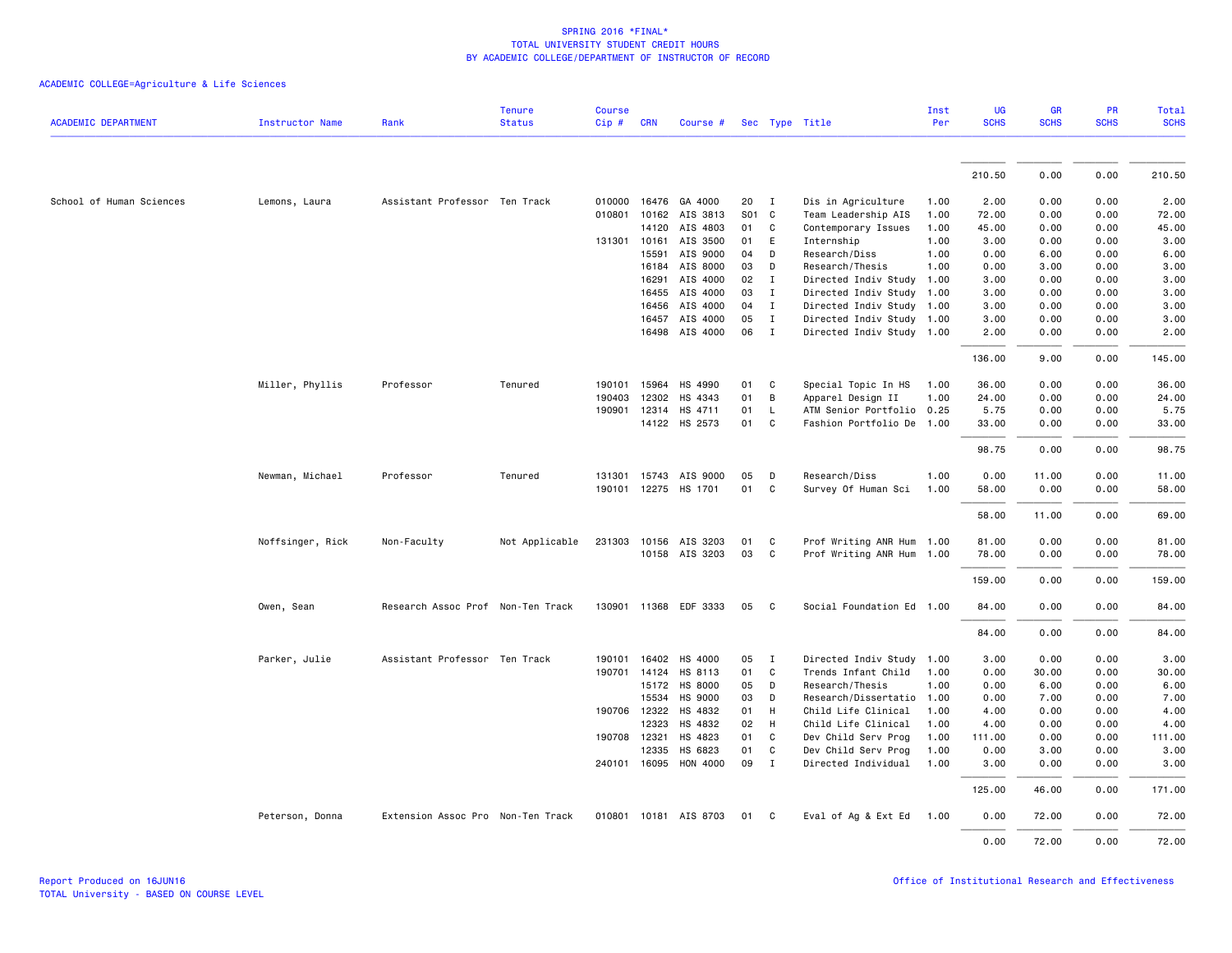|                            |                        |                                   | <b>Tenure</b>  | <b>Course</b> |              |                                         |    |              |                           | Inst | UG          | <b>GR</b>   | <b>PR</b>   | Total       |
|----------------------------|------------------------|-----------------------------------|----------------|---------------|--------------|-----------------------------------------|----|--------------|---------------------------|------|-------------|-------------|-------------|-------------|
| <b>ACADEMIC DEPARTMENT</b> | <b>Instructor Name</b> | Rank                              | <b>Status</b>  | Cip#          | <b>CRN</b>   | Course #                                |    |              | Sec Type Title            | Per  | <b>SCHS</b> | <b>SCHS</b> | <b>SCHS</b> | <b>SCHS</b> |
|                            |                        |                                   |                |               |              |                                         |    |              |                           |      |             |             |             |             |
|                            |                        |                                   |                |               |              |                                         |    |              |                           |      | 210.50      | 0.00        | 0.00        | 210.50      |
| School of Human Sciences   | Lemons, Laura          | Assistant Professor Ten Track     |                |               |              | 010000 16476 GA 4000                    | 20 | $\mathbf{I}$ | Dis in Agriculture        | 1.00 | 2.00        | 0.00        | 0.00        | 2.00        |
|                            |                        |                                   |                | 010801        |              | 10162 AIS 3813                          |    | S01 C        | Team Leadership AIS       | 1.00 | 72.00       | 0.00        | 0.00        | 72.00       |
|                            |                        |                                   |                |               | 14120        | AIS 4803                                | 01 | $\mathsf{C}$ | Contemporary Issues       | 1.00 | 45.00       | 0.00        | 0.00        | 45.00       |
|                            |                        |                                   |                |               | 131301 10161 | AIS 3500                                | 01 | E            | Internship                | 1.00 | 3.00        | 0.00        | 0.00        | 3.00        |
|                            |                        |                                   |                |               | 15591        | AIS 9000                                | 04 | D            | Research/Diss             | 1.00 | 0.00        | 6.00        | 0.00        | 6.00        |
|                            |                        |                                   |                |               | 16184        | AIS 8000                                | 03 | D            | Research/Thesis           | 1.00 | 0.00        | 3.00        | 0.00        | 3.00        |
|                            |                        |                                   |                |               | 16291        | AIS 4000                                | 02 | $\mathbf{I}$ | Directed Indiv Study      | 1.00 | 3.00        | 0.00        | 0.00        | 3.00        |
|                            |                        |                                   |                |               | 16455        | AIS 4000                                | 03 | $\mathbf{I}$ | Directed Indiv Study 1.00 |      | 3.00        | 0.00        | 0.00        | 3.00        |
|                            |                        |                                   |                |               | 16456        | AIS 4000                                | 04 | $\mathbf{I}$ | Directed Indiv Study 1.00 |      | 3.00        | 0.00        | 0.00        | 3.00        |
|                            |                        |                                   |                |               | 16457        | AIS 4000                                | 05 | $\mathbf{I}$ | Directed Indiv Study 1.00 |      | 3.00        | 0.00        | 0.00        | 3.00        |
|                            |                        |                                   |                |               |              | 16498 AIS 4000                          | 06 | I            | Directed Indiv Study 1.00 |      | 2.00        | 0.00        | 0.00        | 2.00        |
|                            |                        |                                   |                |               |              |                                         |    |              |                           |      | 136.00      | 9.00        | 0.00        | 145.00      |
|                            | Miller, Phyllis        | Professor                         | Tenured        | 190101        | 15964        | HS 4990                                 | 01 | C            | Special Topic In HS       | 1.00 | 36.00       | 0.00        | 0.00        | 36.00       |
|                            |                        |                                   |                | 190403        | 12302        | HS 4343                                 | 01 | B            | Apparel Design II         | 1.00 | 24.00       | 0.00        | 0.00        | 24.00       |
|                            |                        |                                   |                |               |              | 190901 12314 HS 4711                    | 01 | $\mathsf{L}$ | ATM Senior Portfolio 0.25 |      | 5.75        | 0.00        | 0.00        | 5.75        |
|                            |                        |                                   |                |               |              | 14122 HS 2573                           | 01 | C            | Fashion Portfolio De 1.00 |      | 33.00       | 0.00        | 0.00        | 33.00       |
|                            |                        |                                   |                |               |              |                                         |    |              |                           |      | 98.75       | 0.00        | 0.00        | 98.75       |
|                            | Newman, Michael        | Professor                         | Tenured        |               |              | 131301 15743 AIS 9000                   | 05 | D            | Research/Diss             | 1.00 | 0.00        | 11.00       | 0.00        | 11.00       |
|                            |                        |                                   |                |               |              | 190101 12275 HS 1701                    | 01 | C            | Survey Of Human Sci       | 1.00 | 58.00       | 0.00        | 0.00        | 58.00       |
|                            |                        |                                   |                |               |              |                                         |    |              |                           |      | 58.00       | 11.00       | 0.00        | 69.00       |
|                            |                        |                                   |                |               |              |                                         | 01 | C            | Prof Writing ANR Hum 1.00 |      | 81.00       | 0.00        | 0.00        | 81.00       |
|                            | Noffsinger, Rick       | Non-Faculty                       | Not Applicable |               |              | 231303 10156 AIS 3203<br>10158 AIS 3203 | 03 | $\mathsf{C}$ | Prof Writing ANR Hum 1.00 |      | 78.00       | 0.00        | 0.00        | 78.00       |
|                            |                        |                                   |                |               |              |                                         |    |              |                           |      | 159.00      | 0.00        | 0.00        | 159.00      |
|                            |                        |                                   |                |               |              |                                         |    |              |                           |      |             |             |             |             |
|                            | Owen, Sean             | Research Assoc Prof Non-Ten Track |                |               |              | 130901 11368 EDF 3333                   | 05 | C            | Social Foundation Ed 1.00 |      | 84.00       | 0.00        | 0.00        | 84.00       |
|                            |                        |                                   |                |               |              |                                         |    |              |                           |      | 84.00       | 0.00        | 0.00        | 84.00       |
|                            | Parker, Julie          | Assistant Professor Ten Track     |                | 190101        |              | 16402 HS 4000                           | 05 | $\mathbf{I}$ | Directed Indiv Study 1.00 |      | 3.00        | 0.00        | 0.00        | 3.00        |
|                            |                        |                                   |                |               |              | 190701 14124 HS 8113                    | 01 | $\mathsf{C}$ | Trends Infant Child       | 1.00 | 0.00        | 30.00       | 0.00        | 30.00       |
|                            |                        |                                   |                |               |              | 15172 HS 8000                           | 05 | D            | Research/Thesis           | 1.00 | 0.00        | 6.00        | 0.00        | 6.00        |
|                            |                        |                                   |                |               | 15534        | HS 9000                                 | 03 | D            | Research/Dissertatio      | 1.00 | 0.00        | 7.00        | 0.00        | 7.00        |
|                            |                        |                                   |                |               | 190706 12322 | HS 4832                                 | 01 | H            | Child Life Clinical       | 1.00 | 4.00        | 0.00        | 0.00        | 4.00        |
|                            |                        |                                   |                |               | 12323        | HS 4832                                 | 02 | H            | Child Life Clinical       | 1.00 | 4.00        | 0.00        | 0.00        | 4.00        |
|                            |                        |                                   |                |               | 190708 12321 | HS 4823                                 | 01 | $\mathsf{C}$ | Dev Child Serv Prog       | 1.00 | 111.00      | 0.00        | 0.00        | 111.00      |
|                            |                        |                                   |                |               | 12335        | HS 6823                                 | 01 | C            | Dev Child Serv Prog       | 1.00 | 0.00        | 3.00        | 0.00        | 3.00        |
|                            |                        |                                   |                |               |              | 240101 16095 HON 4000                   | 09 | $\mathbf{I}$ | Directed Individual       | 1.00 | 3.00        | 0.00        | 0.00        | 3.00        |
|                            |                        |                                   |                |               |              |                                         |    |              |                           |      | 125.00      | 46.00       | 0.00        | 171.00      |
|                            | Peterson, Donna        | Extension Assoc Pro Non-Ten Track |                |               |              | 010801 10181 AIS 8703                   | 01 | C            | Eval of Ag & Ext Ed       | 1.00 | 0.00        | 72.00       | 0.00        | 72.00       |
|                            |                        |                                   |                |               |              |                                         |    |              |                           |      | 0.00        | 72.00       | 0.00        | 72.00       |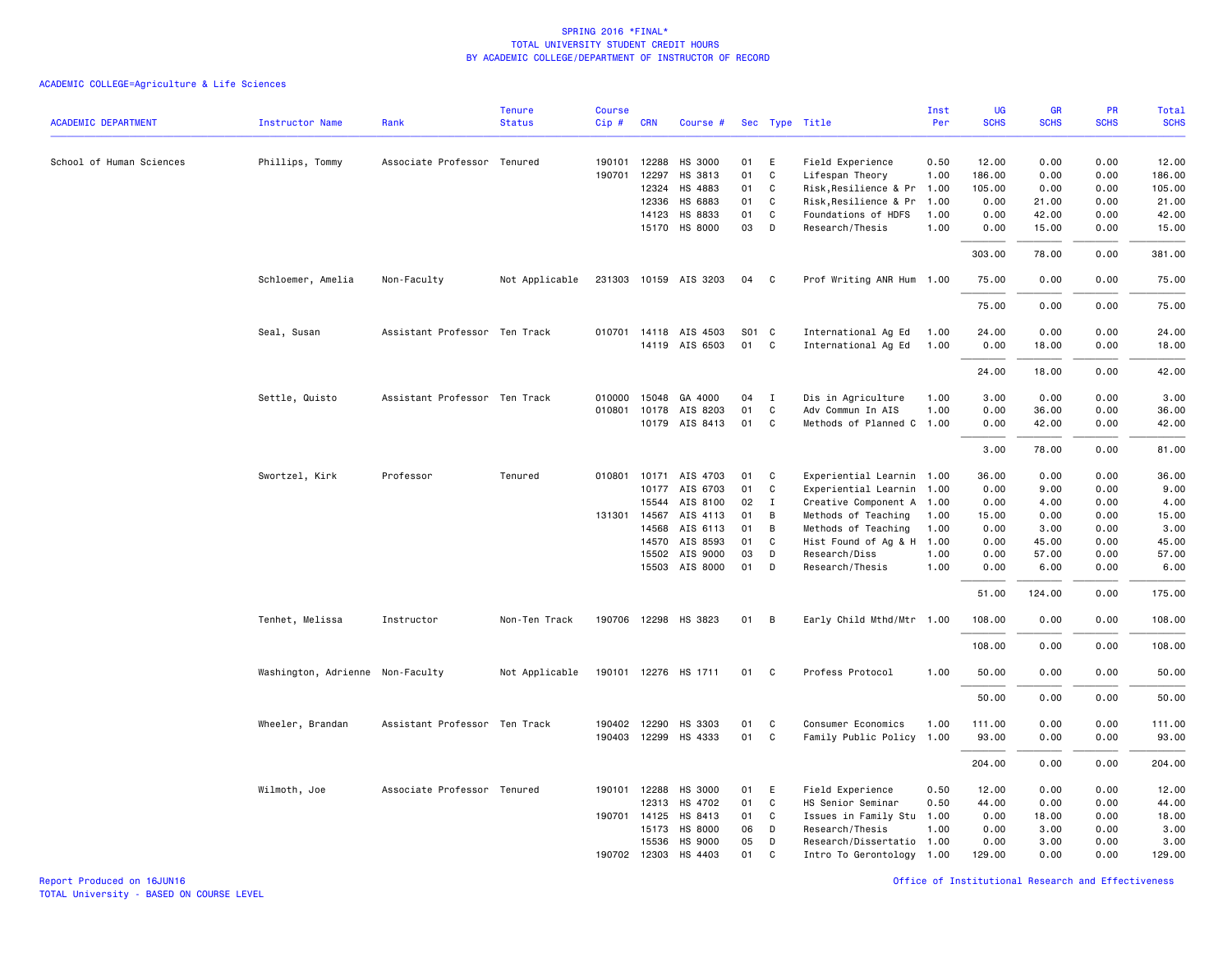# ACADEMIC COLLEGE=Agriculture & Life Sciences

|                            |                                  |                               | <b>Tenure</b>  | Course |                |                       |          |              |                                              | Inst         | <b>UG</b>    | <b>GR</b>     | PR           | Total         |
|----------------------------|----------------------------------|-------------------------------|----------------|--------|----------------|-----------------------|----------|--------------|----------------------------------------------|--------------|--------------|---------------|--------------|---------------|
| <b>ACADEMIC DEPARTMENT</b> | <b>Instructor Name</b>           | Rank                          | <b>Status</b>  | Cip#   | <b>CRN</b>     | Course #              |          |              | Sec Type Title                               | Per          | <b>SCHS</b>  | <b>SCHS</b>   | <b>SCHS</b>  | <b>SCHS</b>   |
| School of Human Sciences   | Phillips, Tommy                  | Associate Professor Tenured   |                | 190101 | 12288          | HS 3000               | 01       | E            | Field Experience                             | 0.50         | 12.00        | 0.00          | 0.00         | 12.00         |
|                            |                                  |                               |                | 190701 | 12297          | HS 3813               | 01       | $\mathtt{C}$ | Lifespan Theory                              | 1.00         | 186.00       | 0.00          | 0.00         | 186.00        |
|                            |                                  |                               |                |        | 12324          | HS 4883               | 01       | C            | Risk, Resilience & Pr                        | 1.00         | 105.00       | 0.00          | 0.00         | 105.00        |
|                            |                                  |                               |                |        | 12336          | HS 6883               | 01       | C            | Risk, Resilience & Pr                        | 1.00         | 0.00         | 21.00         | 0.00         | 21.00         |
|                            |                                  |                               |                |        | 14123          | HS 8833               | 01       | C            | Foundations of HDFS                          | 1.00         | 0.00         | 42.00         | 0.00         | 42.00         |
|                            |                                  |                               |                |        |                | 15170 HS 8000         | 03       | D            | Research/Thesis                              | 1.00         | 0.00         | 15.00         | 0.00         | 15.00         |
|                            |                                  |                               |                |        |                |                       |          |              |                                              |              | 303.00       | 78.00         | 0.00         | 381.00        |
|                            | Schloemer, Amelia                | Non-Faculty                   | Not Applicable |        |                | 231303 10159 AIS 3203 | 04       | C            | Prof Writing ANR Hum 1.00                    |              | 75.00        | 0.00          | 0.00         | 75.00         |
|                            |                                  |                               |                |        |                |                       |          |              |                                              |              | 75.00        | 0.00          | 0.00         | 75.00         |
|                            | Seal, Susan                      | Assistant Professor Ten Track |                |        |                | 010701 14118 AIS 4503 | S01 C    |              | International Ag Ed                          | 1.00         | 24.00        | 0.00          | 0.00         | 24.00         |
|                            |                                  |                               |                |        |                | 14119 AIS 6503        | 01       | C            | International Ag Ed                          | 1.00         | 0.00         | 18.00         | 0.00         | 18.00         |
|                            |                                  |                               |                |        |                |                       |          |              |                                              |              | 24.00        | 18.00         | 0.00         | 42.00         |
|                            | Settle, Quisto                   | Assistant Professor Ten Track |                |        |                | 010000 15048 GA 4000  | 04       | $\mathbf{I}$ | Dis in Agriculture                           | 1.00         | 3.00         | 0.00          | 0.00         | 3.00          |
|                            |                                  |                               |                |        |                | 010801 10178 AIS 8203 | 01       | $\mathsf{C}$ | Adv Commun In AIS                            | 1.00         | 0.00         | 36.00         | 0.00         | 36.00         |
|                            |                                  |                               |                |        |                | 10179 AIS 8413        | 01       | C            | Methods of Planned C                         | 1.00         | 0.00         | 42.00         | 0.00         | 42.00         |
|                            |                                  |                               |                |        |                |                       |          |              |                                              |              | 3.00         | 78.00         | 0.00         | 81.00         |
|                            |                                  |                               |                |        |                |                       |          |              |                                              |              |              |               |              |               |
|                            | Swortzel, Kirk                   | Professor                     | Tenured        |        |                | 010801 10171 AIS 4703 | 01       | C            | Experiential Learnin 1.00                    |              | 36.00        | 0.00          | 0.00         | 36.00         |
|                            |                                  |                               |                |        |                | 10177 AIS 6703        | 01       | C            | Experiential Learnin 1.00                    |              | 0.00         | 9.00          | 0.00         | 9.00          |
|                            |                                  |                               |                |        | 15544          | AIS 8100              | 02       | $\mathbf{I}$ | Creative Component A 1.00                    |              | 0.00         | 4.00          | 0.00         | 4.00          |
|                            |                                  |                               |                |        | 131301 14567   | AIS 4113              | 01       | B            | Methods of Teaching                          | 1.00         | 15.00        | 0.00          | 0.00         | 15.00         |
|                            |                                  |                               |                |        | 14568          | AIS 6113              | 01       | B            | Methods of Teaching                          | 1.00         | 0.00         | 3.00          | 0.00         | 3.00          |
|                            |                                  |                               |                |        | 14570          | AIS 8593              | 01       | C            | Hist Found of Ag & H                         | 1.00         | 0.00         | 45.00         | 0.00         | 45.00         |
|                            |                                  |                               |                |        | 15502<br>15503 | AIS 9000<br>AIS 8000  | 03<br>01 | D<br>D       | Research/Diss<br>Research/Thesis             | 1.00<br>1.00 | 0.00<br>0.00 | 57.00<br>6.00 | 0.00<br>0.00 | 57.00<br>6.00 |
|                            |                                  |                               |                |        |                |                       |          |              |                                              |              | 51.00        | 124.00        | 0.00         | 175.00        |
|                            | Tenhet, Melissa                  | Instructor                    | Non-Ten Track  |        |                | 190706 12298 HS 3823  | 01       | В            | Early Child Mthd/Mtr 1.00                    |              | 108.00       | 0.00          | 0.00         | 108.00        |
|                            |                                  |                               |                |        |                |                       |          |              |                                              |              | 108.00       | 0.00          | 0.00         | 108.00        |
|                            | Washington, Adrienne Non-Faculty |                               | Not Applicable |        |                | 190101 12276 HS 1711  | 01       | C            | Profess Protocol                             | 1.00         | 50.00        | 0.00          | 0.00         | 50.00         |
|                            |                                  |                               |                |        |                |                       |          |              |                                              |              | 50.00        | 0.00          | 0.00         | 50.00         |
|                            | Wheeler, Brandan                 | Assistant Professor Ten Track |                |        |                | 190402 12290 HS 3303  | 01       | C            | Consumer Economics                           | 1.00         | 111.00       | 0.00          | 0.00         | 111.00        |
|                            |                                  |                               |                |        |                | 190403 12299 HS 4333  | 01       | C            | Family Public Policy 1.00                    |              | 93.00        | 0.00          | 0.00         | 93.00         |
|                            |                                  |                               |                |        |                |                       |          |              |                                              |              | 204.00       | 0.00          | 0.00         | 204.00        |
|                            |                                  |                               |                |        |                |                       |          |              |                                              |              |              |               |              |               |
|                            | Wilmoth, Joe                     | Associate Professor Tenured   |                | 190101 | 12288          | HS 3000               | 01<br>01 | E            | Field Experience                             | 0.50         | 12.00        | 0.00          | 0.00         | 12.00         |
|                            |                                  |                               |                |        | 12313          | HS 4702               |          | C            | HS Senior Seminar                            | 0.50         | 44.00        | 0.00          | 0.00         | 44.00         |
|                            |                                  |                               |                |        | 190701 14125   | HS 8413               | 01       | C            | Issues in Family Stu                         | 1.00         | 0.00         | 18.00         | 0.00         | 18.00         |
|                            |                                  |                               |                |        | 15173<br>15536 | HS 8000<br>HS 9000    | 06<br>05 | D<br>D       | Research/Thesis<br>Research/Dissertatio 1.00 | 1.00         | 0.00<br>0.00 | 3.00<br>3.00  | 0.00<br>0.00 | 3.00<br>3.00  |
|                            |                                  |                               |                |        | 190702 12303   | HS 4403               | 01       | C            |                                              |              | 129.00       | 0.00          | 0.00         | 129.00        |
|                            |                                  |                               |                |        |                |                       |          |              | Intro To Gerontology 1.00                    |              |              |               |              |               |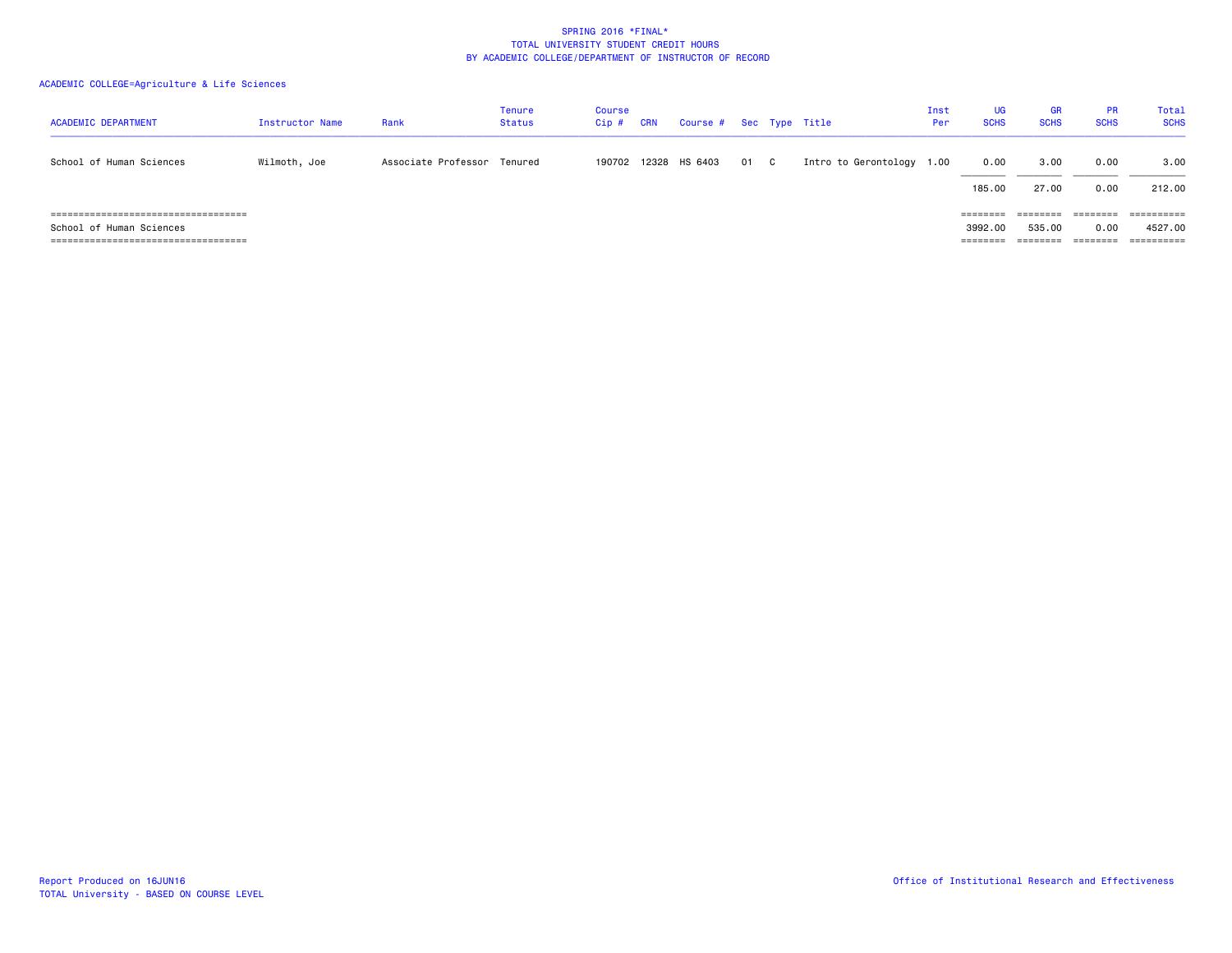# ACADEMIC COLLEGE=Agriculture & Life Sciences

| <b>ACADEMIC DEPARTMENT</b>                                                                                   | Instructor Name | Rank                        | <b>Tenure</b><br><b>Status</b> | Course<br>$Cip$ # | <b>CRN</b> | Course # Sec Type Title |      |                      | Inst<br>Per | UG<br><b>SCHS</b>                        | <b>GR</b><br><b>SCHS</b>       | <b>PR</b><br><b>SCHS</b>     | Total<br><b>SCHS</b>                                      |
|--------------------------------------------------------------------------------------------------------------|-----------------|-----------------------------|--------------------------------|-------------------|------------|-------------------------|------|----------------------|-------------|------------------------------------------|--------------------------------|------------------------------|-----------------------------------------------------------|
| School of Human Sciences                                                                                     | Wilmoth, Joe    | Associate Professor Tenured |                                |                   |            | 190702 12328 HS 6403    | 01 C | Intro to Gerontology | 1.00        | 0.00<br>185.00                           | 3,00<br>27.00                  | 0.00<br>0.00                 | 3.00<br>212.00                                            |
| ======================================<br>School of Human Sciences<br>====================================== |                 |                             |                                |                   |            |                         |      |                      |             | $=$ = = = = = = =<br>3992.00<br>======== | ========<br>535,00<br>======== | ========<br>0.00<br>======== | $=$ = = = = = = = = =<br>4527.00<br>$=$ = = = = = = = = = |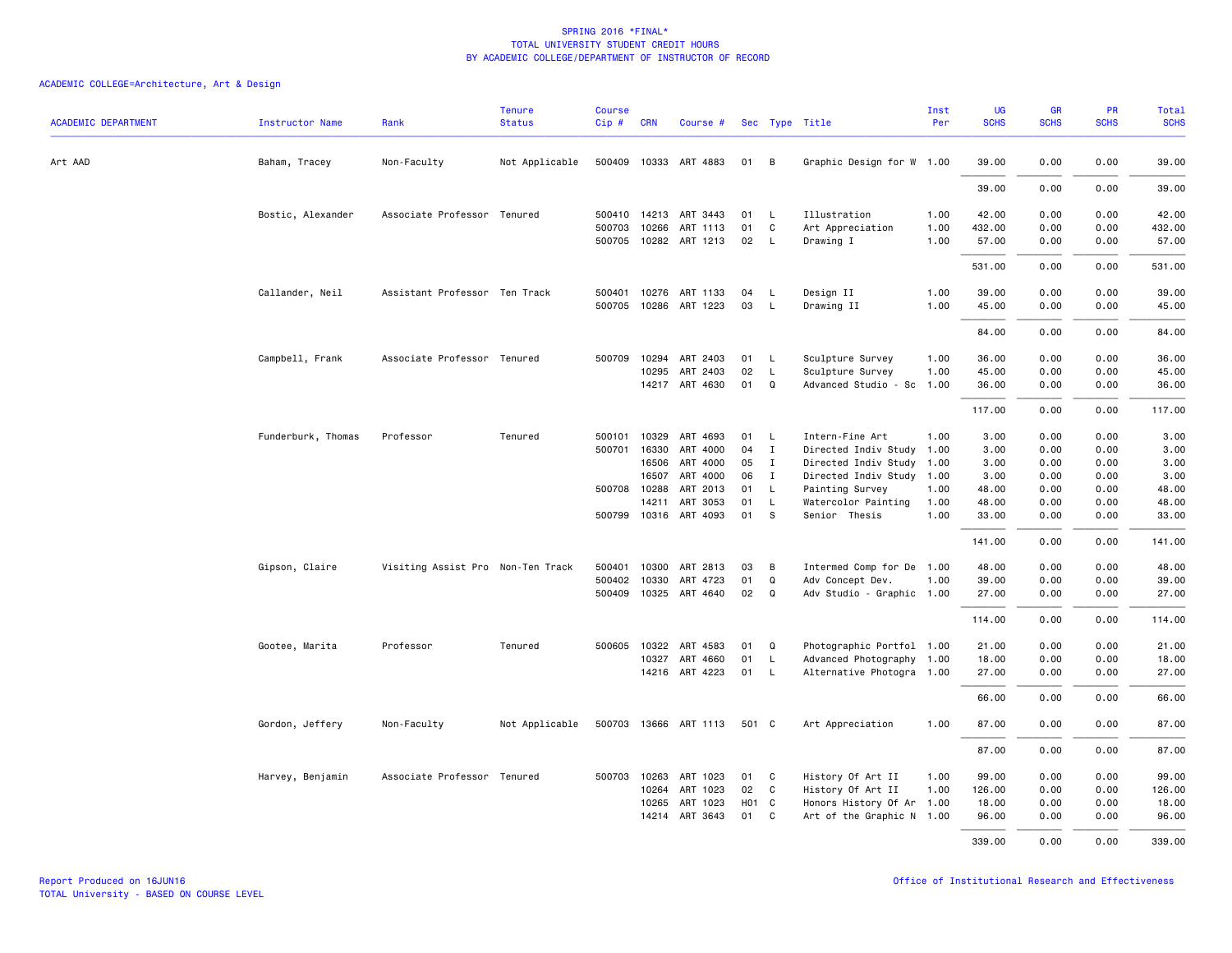| <b>ACADEMIC DEPARTMENT</b> | <b>Instructor Name</b> | Rank                              | Tenure<br><b>Status</b> | <b>Course</b><br>$Cip \#$ | <b>CRN</b> | Course #              |                   |              | Sec Type Title            | Inst<br>Per | <b>UG</b><br><b>SCHS</b> | <b>GR</b><br><b>SCHS</b> | PR<br><b>SCHS</b> | Total<br><b>SCHS</b> |
|----------------------------|------------------------|-----------------------------------|-------------------------|---------------------------|------------|-----------------------|-------------------|--------------|---------------------------|-------------|--------------------------|--------------------------|-------------------|----------------------|
| Art AAD                    | Baham, Tracey          | Non-Faculty                       | Not Applicable          |                           |            | 500409 10333 ART 4883 | 01 B              |              | Graphic Design for W 1.00 |             | 39.00                    | 0.00                     | 0.00              | 39.00                |
|                            |                        |                                   |                         |                           |            |                       |                   |              |                           |             | 39.00                    | 0.00                     | 0.00              | 39.00                |
|                            | Bostic, Alexander      | Associate Professor Tenured       |                         |                           |            | 500410 14213 ART 3443 | 01                | <b>L</b>     | Illustration              | 1.00        | 42.00                    | 0.00                     | 0.00              | 42.00                |
|                            |                        |                                   |                         | 500703                    | 10266      | ART 1113              | 01                | C            | Art Appreciation          | 1.00        | 432.00                   | 0.00                     | 0.00              | 432.00               |
|                            |                        |                                   |                         | 500705                    |            | 10282 ART 1213        | 02                | $\mathsf{L}$ | Drawing I                 | 1.00        | 57.00                    | 0.00                     | 0.00              | 57.00                |
|                            |                        |                                   |                         |                           |            |                       |                   |              |                           |             | 531.00                   | 0.00                     | 0.00              | 531.00               |
|                            | Callander, Neil        | Assistant Professor Ten Track     |                         | 500401                    |            | 10276 ART 1133        | 04                | L.           | Design II                 | 1.00        | 39.00                    | 0.00                     | 0.00              | 39.00                |
|                            |                        |                                   |                         | 500705                    |            | 10286 ART 1223        | 03                | L.           | Drawing II                | 1.00        | 45.00                    | 0.00                     | 0.00              | 45.00                |
|                            |                        |                                   |                         |                           |            |                       |                   |              |                           |             | 84.00                    | 0.00                     | 0.00              | 84.00                |
|                            | Campbell, Frank        | Associate Professor Tenured       |                         | 500709                    |            | 10294 ART 2403        | 01                | L            | Sculpture Survey          | 1.00        | 36.00                    | 0.00                     | 0.00              | 36.00                |
|                            |                        |                                   |                         |                           | 10295      | ART 2403              | 02                | $\mathsf{L}$ | Sculpture Survey          | 1.00        | 45.00                    | 0.00                     | 0.00              | 45.00                |
|                            |                        |                                   |                         |                           |            | 14217 ART 4630        | 01                | Q            | Advanced Studio - Sc 1.00 |             | 36.00                    | 0.00                     | 0.00              | 36.00                |
|                            |                        |                                   |                         |                           |            |                       |                   |              |                           |             | 117.00                   | 0.00                     | 0.00              | 117.00               |
|                            | Funderburk, Thomas     | Professor                         | Tenured                 | 500101                    | 10329      | ART 4693              | 01                | L.           | Intern-Fine Art           | 1.00        | 3.00                     | 0.00                     | 0.00              | 3.00                 |
|                            |                        |                                   |                         | 500701                    | 16330      | ART 4000              | 04                | $\mathbf{I}$ | Directed Indiv Study      | 1.00        | 3.00                     | 0.00                     | 0.00              | 3.00                 |
|                            |                        |                                   |                         |                           |            | 16506 ART 4000        | 05                | $\mathbf{I}$ | Directed Indiv Study      | 1.00        | 3.00                     | 0.00                     | 0.00              | 3.00                 |
|                            |                        |                                   |                         |                           | 16507      | ART 4000              | 06                | $\mathbf I$  | Directed Indiv Study      | 1.00        | 3.00                     | 0.00                     | 0.00              | 3.00                 |
|                            |                        |                                   |                         | 500708                    | 10288      | ART 2013              | 01                | L.           | Painting Survey           | 1.00        | 48.00                    | 0.00                     | 0.00              | 48.00                |
|                            |                        |                                   |                         |                           | 14211      | ART 3053              | 01                | $\mathsf{L}$ | Watercolor Painting       | 1.00        | 48.00                    | 0.00                     | 0.00              | 48.00                |
|                            |                        |                                   |                         | 500799                    |            | 10316 ART 4093        | 01                | -S           | Senior Thesis             | 1.00        | 33.00                    | 0.00                     | 0.00              | 33.00                |
|                            |                        |                                   |                         |                           |            |                       |                   |              |                           |             | 141.00                   | 0.00                     | 0.00              | 141.00               |
|                            | Gipson, Claire         | Visiting Assist Pro Non-Ten Track |                         | 500401                    |            | 10300 ART 2813        | 03                | B            | Intermed Comp for De 1.00 |             | 48.00                    | 0.00                     | 0.00              | 48.00                |
|                            |                        |                                   |                         | 500402                    | 10330      | ART 4723              | 01                | Q            | Adv Concept Dev.          | 1.00        | 39.00                    | 0.00                     | 0.00              | 39.00                |
|                            |                        |                                   |                         | 500409                    |            | 10325 ART 4640        | 02                | Q            | Adv Studio - Graphic 1.00 |             | 27.00                    | 0.00                     | 0.00              | 27.00                |
|                            |                        |                                   |                         |                           |            |                       |                   |              |                           |             | 114.00                   | 0.00                     | 0.00              | 114.00               |
|                            | Gootee, Marita         | Professor                         | Tenured                 | 500605                    | 10322      | ART 4583              | 01                | Q            | Photographic Portfol 1.00 |             | 21.00                    | 0.00                     | 0.00              | 21.00                |
|                            |                        |                                   |                         |                           |            | 10327 ART 4660        | 01                | $\mathsf{L}$ | Advanced Photography 1.00 |             | 18.00                    | 0.00                     | 0.00              | 18.00                |
|                            |                        |                                   |                         |                           |            | 14216 ART 4223        | 01                | $\mathsf{L}$ | Alternative Photogra 1.00 |             | 27.00                    | 0.00                     | 0.00              | 27.00                |
|                            |                        |                                   |                         |                           |            |                       |                   |              |                           |             | 66.00                    | 0.00                     | 0.00              | 66.00                |
|                            | Gordon, Jeffery        | Non-Faculty                       | Not Applicable          | 500703                    |            | 13666 ART 1113        | 501 C             |              | Art Appreciation          | 1.00        | 87.00                    | 0.00                     | 0.00              | 87.00                |
|                            |                        |                                   |                         |                           |            |                       |                   |              |                           |             | 87.00                    | 0.00                     | 0.00              | 87.00                |
|                            | Harvey, Benjamin       | Associate Professor               | Tenured                 | 500703                    | 10263      | ART 1023              | 01                | C            | History Of Art II         | 1.00        | 99.00                    | 0.00                     | 0.00              | 99.00                |
|                            |                        |                                   |                         |                           | 10264      | ART 1023              | 02                | C            | History Of Art II         | 1.00        | 126.00                   | 0.00                     | 0.00              | 126.00               |
|                            |                        |                                   |                         |                           | 10265      | ART 1023              | H <sub>01</sub> C |              | Honors History Of Ar 1.00 |             | 18.00                    | 0.00                     | 0.00              | 18.00                |
|                            |                        |                                   |                         |                           | 14214      | ART 3643              | 01                | C            | Art of the Graphic N 1.00 |             | 96.00                    | 0.00                     | 0.00              | 96.00                |
|                            |                        |                                   |                         |                           |            |                       |                   |              |                           |             | 339.00                   | 0.00                     | 0.00              | 339.00               |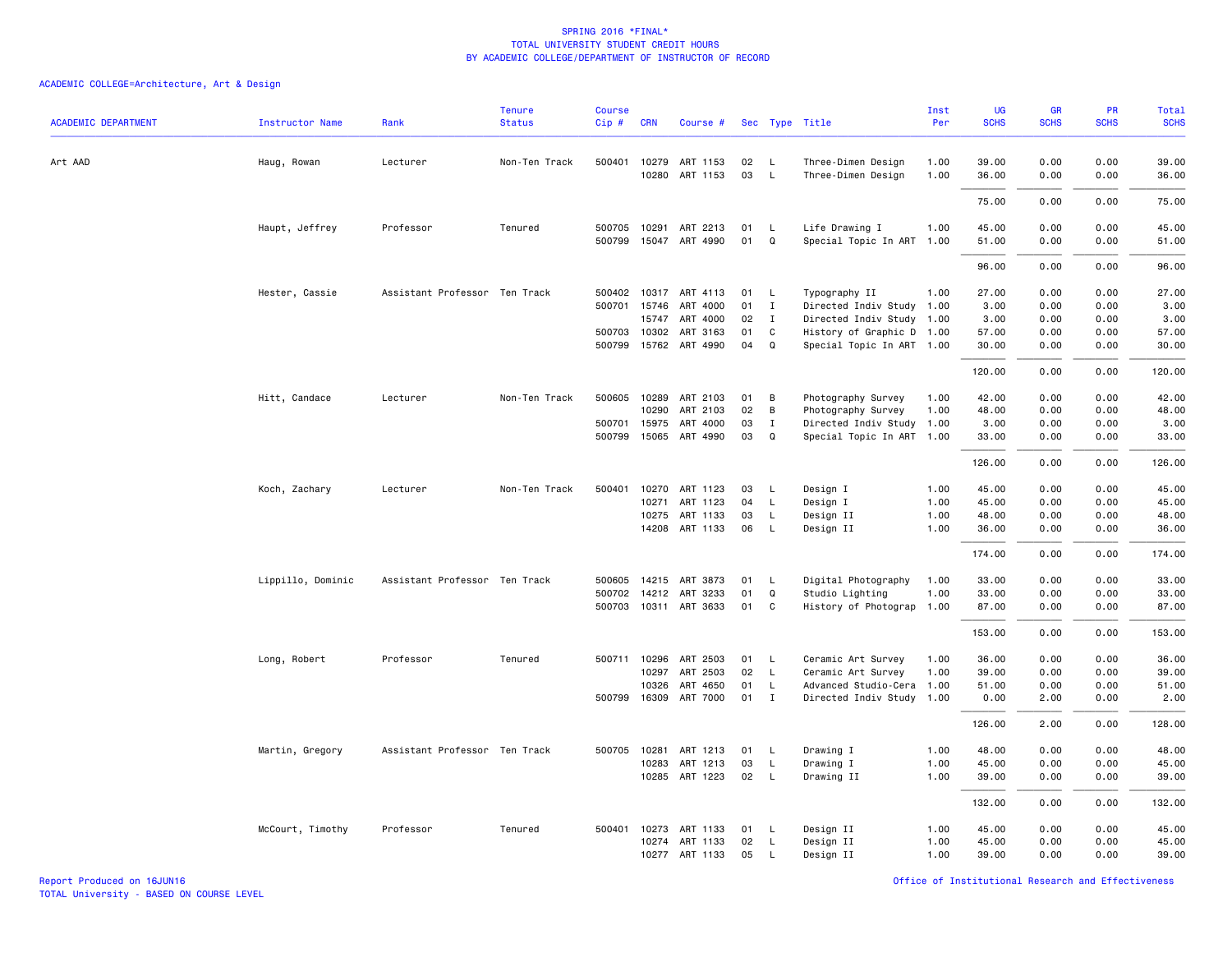# ACADEMIC COLLEGE=Architecture, Art & Design

| <b>ACADEMIC DEPARTMENT</b> | Instructor Name   | Rank                          | <b>Tenure</b><br><b>Status</b> | <b>Course</b><br>Cip# | <b>CRN</b>   | Course #                          |          |              | Sec Type Title                                         | Inst<br>Per | UG<br><b>SCHS</b> | GR<br><b>SCHS</b> | PR<br><b>SCHS</b> | Total<br><b>SCHS</b> |
|----------------------------|-------------------|-------------------------------|--------------------------------|-----------------------|--------------|-----------------------------------|----------|--------------|--------------------------------------------------------|-------------|-------------------|-------------------|-------------------|----------------------|
|                            |                   |                               |                                |                       |              |                                   |          |              |                                                        |             |                   |                   |                   |                      |
| Art AAD                    | Haug, Rowan       | Lecturer                      | Non-Ten Track                  |                       | 500401 10279 | ART 1153                          | 02       | $\mathsf{L}$ | Three-Dimen Design                                     | 1.00        | 39.00             | 0.00              | 0.00              | 39.00                |
|                            |                   |                               |                                |                       |              | 10280 ART 1153                    | 03       | $\mathsf{L}$ | Three-Dimen Design                                     | 1.00        | 36.00             | 0.00              | 0.00              | 36.00                |
|                            |                   |                               |                                |                       |              |                                   |          |              |                                                        |             | 75.00             | 0.00              | 0.00              | 75.00                |
|                            | Haupt, Jeffrey    | Professor                     | Tenured                        | 500705                | 10291        | ART 2213                          | 01       | L            | Life Drawing I                                         | 1.00        | 45.00             | 0.00              | 0.00              | 45.00                |
|                            |                   |                               |                                | 500799                |              | 15047 ART 4990                    | 01       | Q            | Special Topic In ART                                   | 1.00        | 51.00             | 0.00              | 0.00              | 51.00                |
|                            |                   |                               |                                |                       |              |                                   |          |              |                                                        |             | 96.00             | 0.00              | 0.00              | 96.00                |
|                            | Hester, Cassie    | Assistant Professor Ten Track |                                | 500402                | 10317        | ART 4113                          | 01       | $\mathsf{L}$ | Typography II                                          | 1.00        | 27.00             | 0.00              | 0.00              | 27.00                |
|                            |                   |                               |                                |                       | 500701 15746 | ART 4000                          | 01       | $\mathbf{I}$ | Directed Indiv Study                                   | 1.00        | 3.00              | 0.00              | 0.00              | 3.00                 |
|                            |                   |                               |                                |                       | 15747        | ART 4000                          | 02       | Ι.           | Directed Indiv Study 1.00                              |             | 3.00              | 0.00              | 0.00              | 3.00                 |
|                            |                   |                               |                                |                       | 500703 10302 | ART 3163<br>500799 15762 ART 4990 | 01<br>04 | C<br>Q       | History of Graphic D 1.00<br>Special Topic In ART 1.00 |             | 57.00<br>30.00    | 0.00<br>0.00      | 0.00<br>0.00      | 57.00<br>30.00       |
|                            |                   |                               |                                |                       |              |                                   |          |              |                                                        |             |                   |                   |                   |                      |
|                            |                   |                               |                                |                       |              |                                   |          |              |                                                        |             | 120.00            | 0.00              | 0.00              | 120.00               |
|                            | Hitt, Candace     | Lecturer                      | Non-Ten Track                  |                       | 500605 10289 | ART 2103                          | 01       | В            | Photography Survey                                     | 1.00        | 42.00             | 0.00              | 0.00              | 42.00                |
|                            |                   |                               |                                |                       | 10290        | ART 2103                          | 02       | B            | Photography Survey                                     | 1.00        | 48.00             | 0.00              | 0.00              | 48.00                |
|                            |                   |                               |                                | 500701                | 15975        | ART 4000                          | 03       | $\mathbf{I}$ | Directed Indiv Study                                   | 1.00        | 3.00              | 0.00              | 0.00              | 3.00                 |
|                            |                   |                               |                                |                       |              | 500799 15065 ART 4990             | 03       | Q            | Special Topic In ART 1.00                              |             | 33.00             | 0.00              | 0.00              | 33.00                |
|                            |                   |                               |                                |                       |              |                                   |          |              |                                                        |             | 126.00            | 0.00              | 0.00              | 126.00               |
|                            | Koch, Zachary     | Lecturer                      | Non-Ten Track                  | 500401                | 10270        | ART 1123                          | 03       | - L          | Design I                                               | 1.00        | 45.00             | 0.00              | 0.00              | 45.00                |
|                            |                   |                               |                                |                       | 10271        | ART 1123                          | 04       | L            | Design I                                               | 1.00        | 45.00             | 0.00              | 0.00              | 45.00                |
|                            |                   |                               |                                |                       | 10275        | ART 1133                          | 03       | L            | Design II                                              | 1.00        | 48.00             | 0.00              | 0.00              | 48.00                |
|                            |                   |                               |                                |                       | 14208        | ART 1133                          | 06       | L            | Design II                                              | 1.00        | 36.00             | 0.00              | 0.00              | 36.00                |
|                            |                   |                               |                                |                       |              |                                   |          |              |                                                        |             | 174.00            | 0.00              | 0.00              | 174.00               |
|                            | Lippillo, Dominic | Assistant Professor Ten Track |                                |                       |              | 500605 14215 ART 3873             | 01       | L,           | Digital Photography                                    | 1.00        | 33.00             | 0.00              | 0.00              | 33.00                |
|                            |                   |                               |                                |                       | 500702 14212 | ART 3233                          | 01       | Q            | Studio Lighting                                        | 1.00        | 33.00             | 0.00              | 0.00              | 33.00                |
|                            |                   |                               |                                |                       |              | 500703 10311 ART 3633             | 01       | C            | History of Photograp                                   | 1.00        | 87.00             | 0.00              | 0.00              | 87.00                |
|                            |                   |                               |                                |                       |              |                                   |          |              |                                                        |             | 153.00            | 0.00              | 0.00              | 153.00               |
|                            | Long, Robert      | Professor                     | Tenured                        |                       | 500711 10296 | ART 2503                          | 01       | $\mathsf{L}$ | Ceramic Art Survey                                     | 1.00        | 36.00             | 0.00              | 0.00              | 36.00                |
|                            |                   |                               |                                |                       | 10297        | ART 2503                          | 02       | - L          | Ceramic Art Survey                                     | 1.00        | 39.00             | 0.00              | 0.00              | 39.00                |
|                            |                   |                               |                                |                       | 10326        | ART 4650                          | 01       | L            | Advanced Studio-Cera                                   | 1.00        | 51.00             | 0.00              | 0.00              | 51.00                |
|                            |                   |                               |                                |                       |              | 500799 16309 ART 7000             | 01       | $\mathbf{I}$ | Directed Indiv Study 1.00                              |             | 0.00              | 2.00              | 0.00              | 2.00                 |
|                            |                   |                               |                                |                       |              |                                   |          |              |                                                        |             | 126.00            | 2.00              | 0.00              | 128.00               |
|                            | Martin, Gregory   | Assistant Professor Ten Track |                                |                       | 500705 10281 | ART 1213                          | 01       | $\mathsf{L}$ | Drawing I                                              | 1.00        | 48.00             | 0.00              | 0.00              | 48.00                |
|                            |                   |                               |                                |                       | 10283        | ART 1213                          | 03       | $\mathsf{L}$ | Drawing I                                              | 1.00        | 45.00             | 0.00              | 0.00              | 45.00                |
|                            |                   |                               |                                |                       |              | 10285 ART 1223                    | 02       | $\mathsf{L}$ | Drawing II                                             | 1.00        | 39.00             | 0.00              | 0.00              | 39.00                |
|                            |                   |                               |                                |                       |              |                                   |          |              |                                                        |             | 132.00            | 0.00              | 0.00              | 132.00               |
|                            | McCourt, Timothy  | Professor                     | Tenured                        |                       |              | 500401 10273 ART 1133             | 01       | <b>L</b>     | Design II                                              | 1.00        | 45.00             | 0.00              | 0.00              | 45.00                |
|                            |                   |                               |                                |                       | 10274        | ART 1133                          | 02       | $\mathsf{L}$ | Design II                                              | 1.00        | 45.00             | 0.00              | 0.00              | 45.00                |
|                            |                   |                               |                                |                       |              | 10277 ART 1133                    | 05       | L            | Design II                                              | 1.00        | 39.00             | 0.00              | 0.00              | 39.00                |

Report Produced on 16JUN16 Office of Institutional Research and Effectiveness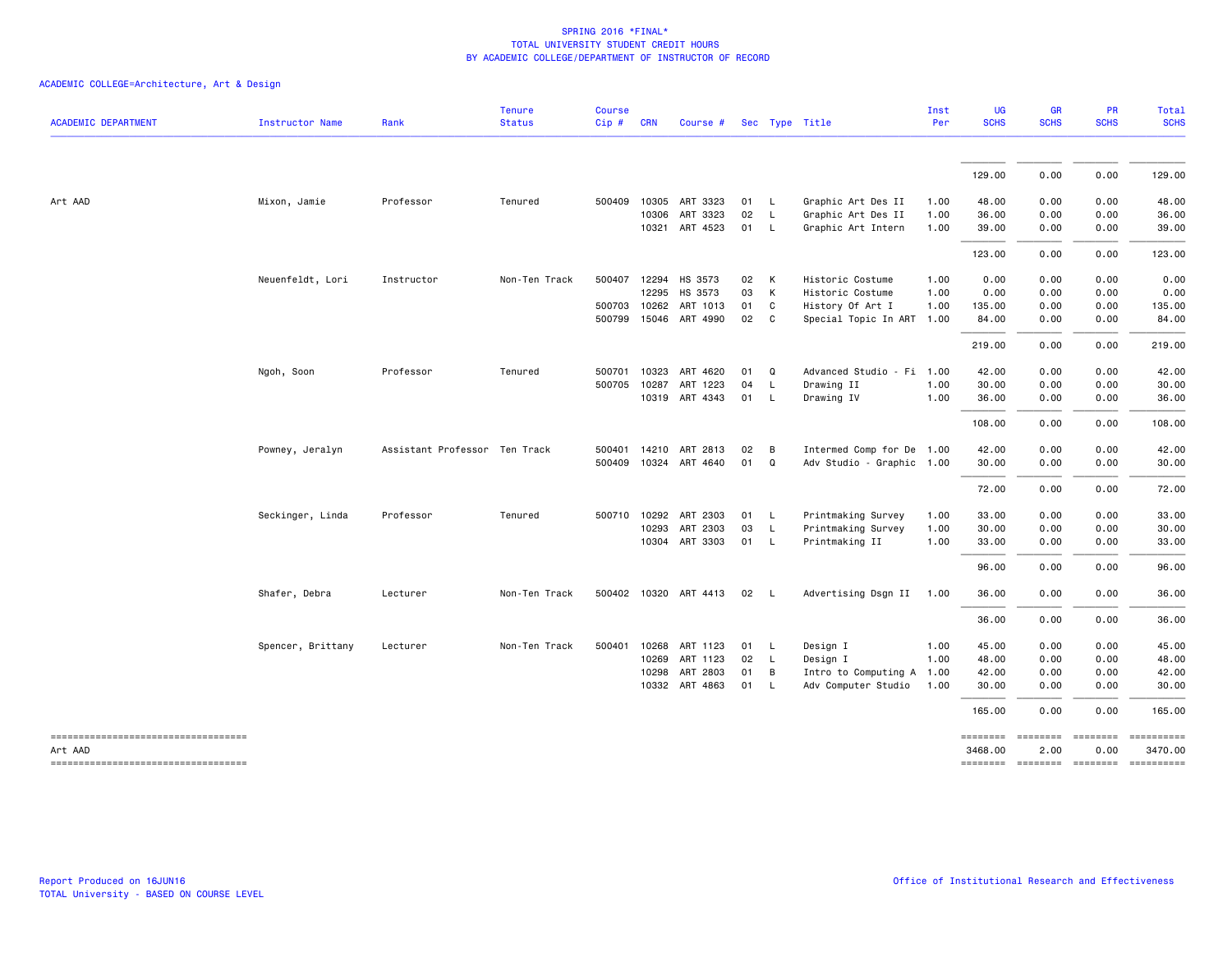| <b>ACADEMIC DEPARTMENT</b>          | Instructor Name   | Rank                          | <b>Tenure</b><br><b>Status</b> | <b>Course</b><br>Cip# | <b>CRN</b>   | Course #              |      |                | Sec Type Title            | Inst<br>Per | <b>UG</b><br><b>SCHS</b> | <b>GR</b><br><b>SCHS</b> | PR<br><b>SCHS</b>  | Total<br><b>SCHS</b> |
|-------------------------------------|-------------------|-------------------------------|--------------------------------|-----------------------|--------------|-----------------------|------|----------------|---------------------------|-------------|--------------------------|--------------------------|--------------------|----------------------|
|                                     |                   |                               |                                |                       |              |                       |      |                |                           |             |                          |                          |                    |                      |
|                                     |                   |                               |                                |                       |              |                       |      |                |                           |             | 129.00                   | 0.00                     | 0.00               | 129.00               |
| Art AAD                             | Mixon, Jamie      | Professor                     | Tenured                        |                       | 500409 10305 | ART 3323              | 01   | <b>L</b>       | Graphic Art Des II        | 1.00        | 48.00                    | 0.00                     | 0.00               | 48.00                |
|                                     |                   |                               |                                |                       | 10306        | ART 3323              | 02   | $\mathsf{L}$   | Graphic Art Des II        | 1.00        | 36.00                    | 0.00                     | 0.00               | 36.00                |
|                                     |                   |                               |                                |                       |              | 10321 ART 4523        | 01 L |                | Graphic Art Intern        | 1.00        | 39.00                    | 0.00                     | 0.00               | 39.00                |
|                                     |                   |                               |                                |                       |              |                       |      |                |                           |             | 123.00                   | 0.00                     | 0.00               | 123.00               |
|                                     | Neuenfeldt, Lori  | Instructor                    | Non-Ten Track                  |                       | 500407 12294 | HS 3573               | 02   | K              | Historic Costume          | 1.00        | 0.00                     | 0.00                     | 0.00               | 0.00                 |
|                                     |                   |                               |                                |                       | 12295        | HS 3573               | 03   | K              | Historic Costume          | 1.00        | 0.00                     | 0.00                     | 0.00               | 0.00                 |
|                                     |                   |                               |                                |                       | 500703 10262 | ART 1013              | 01   | $\mathbf{C}$   | History Of Art I          | 1.00        | 135.00                   | 0.00                     | 0.00               | 135.00               |
|                                     |                   |                               |                                |                       | 500799 15046 | ART 4990              | 02 C |                | Special Topic In ART 1.00 |             | 84.00                    | 0.00                     | 0.00               | 84.00                |
|                                     |                   |                               |                                |                       |              |                       |      |                |                           |             | 219.00                   | 0.00                     | 0.00               | 219.00               |
|                                     | Ngoh, Soon        | Professor                     | Tenured                        | 500701                | 10323        | ART 4620              | 01   | Q              | Advanced Studio - Fi 1.00 |             | 42.00                    | 0.00                     | 0.00               | 42.00                |
|                                     |                   |                               |                                | 500705                | 10287        | ART 1223              | 04   | $\mathsf{L}$   | Drawing II                | 1.00        | 30.00                    | 0.00                     | 0.00               | 30.00                |
|                                     |                   |                               |                                |                       |              | 10319 ART 4343        | 01 L |                | Drawing IV                | 1.00        | 36.00                    | 0.00                     | 0.00               | 36.00                |
|                                     |                   |                               |                                |                       |              |                       |      |                |                           |             | 108.00                   | 0.00                     | 0.00               | 108.00               |
|                                     | Powney, Jeralyn   | Assistant Professor Ten Track |                                |                       | 500401 14210 | ART 2813              | 02   | $\overline{B}$ | Intermed Comp for De 1.00 |             | 42.00                    | 0.00                     | 0.00               | 42.00                |
|                                     |                   |                               |                                |                       |              | 500409 10324 ART 4640 | 01   | Q              | Adv Studio - Graphic 1.00 |             | 30.00                    | 0.00                     | 0.00               | 30.00                |
|                                     |                   |                               |                                |                       |              |                       |      |                |                           |             | 72.00                    | 0.00                     | 0.00               | 72.00                |
|                                     | Seckinger, Linda  | Professor                     | Tenured                        |                       | 500710 10292 | ART 2303              | 01   | $\mathsf{L}$   | Printmaking Survey        | 1.00        | 33.00                    | 0.00                     | 0.00               | 33.00                |
|                                     |                   |                               |                                |                       | 10293        | ART 2303              | 03   | $\mathsf{L}$   | Printmaking Survey        | 1.00        | 30.00                    | 0.00                     | 0.00               | 30.00                |
|                                     |                   |                               |                                |                       |              | 10304 ART 3303        | 01 L |                | Printmaking II            | 1.00        | 33.00                    | 0.00                     | 0.00               | 33.00                |
|                                     |                   |                               |                                |                       |              |                       |      |                |                           |             | 96.00                    | 0.00                     | 0.00               | 96.00                |
|                                     | Shafer, Debra     | Lecturer                      | Non-Ten Track                  |                       |              | 500402 10320 ART 4413 | 02   | $\mathsf{L}$   | Advertising Dsgn II 1.00  |             | 36.00                    | 0.00                     | 0.00               | 36.00                |
|                                     |                   |                               |                                |                       |              |                       |      |                |                           |             | 36.00                    | 0.00                     | 0.00               | 36.00                |
|                                     | Spencer, Brittany | Lecturer                      | Non-Ten Track                  |                       | 500401 10268 | ART 1123              | 01   | - L            | Design I                  | 1.00        | 45.00                    | 0.00                     | 0.00               | 45.00                |
|                                     |                   |                               |                                |                       | 10269        | ART 1123              | 02   | $\mathsf{L}$   | Design I                  | 1.00        | 48.00                    | 0.00                     | 0.00               | 48.00                |
|                                     |                   |                               |                                |                       | 10298        | ART 2803              | 01   | B              | Intro to Computing A      | 1.00        | 42.00                    | 0.00                     | 0.00               | 42.00                |
|                                     |                   |                               |                                |                       | 10332        | ART 4863              | 01   | $\mathsf{L}$   | Adv Computer Studio       | 1.00        | 30.00                    | 0.00                     | 0.00               | 30.00                |
|                                     |                   |                               |                                |                       |              |                       |      |                |                           |             | 165.00                   | 0.00                     | 0.00               | 165.00               |
| ----------------------------------- |                   |                               |                                |                       |              |                       |      |                |                           |             | ========                 | ========                 | ========           | ==========           |
| Art AAD                             |                   |                               |                                |                       |              |                       |      |                |                           |             | 3468.00                  | 2.00                     | 0.00               | 3470.00              |
| ----------------------------------- |                   |                               |                                |                       |              |                       |      |                |                           |             | ========                 |                          | --------- -------- |                      |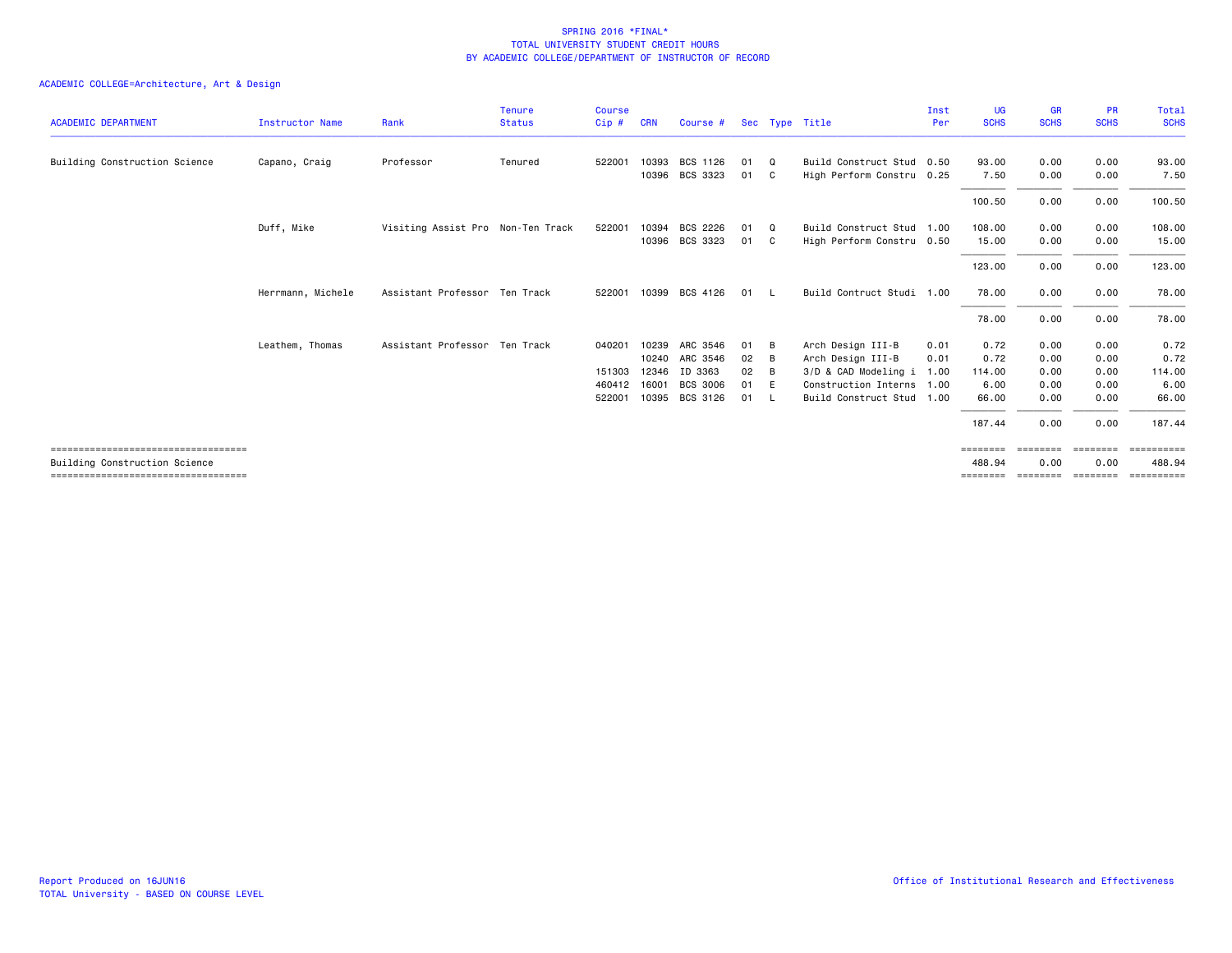|                                        |                        |                                   | <b>Tenure</b> | <b>Course</b> |            |                       |      |          |                           | Inst | <b>UG</b>   | <b>GR</b>   | <b>PR</b>      | Total       |
|----------------------------------------|------------------------|-----------------------------------|---------------|---------------|------------|-----------------------|------|----------|---------------------------|------|-------------|-------------|----------------|-------------|
| <b>ACADEMIC DEPARTMENT</b>             | <b>Instructor Name</b> | Rank                              | <b>Status</b> | Cip#          | <b>CRN</b> | Course #              |      |          | Sec Type Title            | Per  | <b>SCHS</b> | <b>SCHS</b> | <b>SCHS</b>    | <b>SCHS</b> |
| Building Construction Science          | Capano, Craig          | Professor                         | Tenured       | 522001        | 10393      | BCS 1126              | 01   | $\Omega$ | Build Construct Stud 0.50 |      | 93.00       | 0.00        | 0.00           | 93.00       |
|                                        |                        |                                   |               |               |            | 10396 BCS 3323        | 01 C |          | High Perform Constru 0.25 |      | 7.50        | 0.00        | 0.00           | 7.50        |
|                                        |                        |                                   |               |               |            |                       |      |          |                           |      | 100.50      | 0.00        | 0.00           | 100.50      |
|                                        | Duff, Mike             | Visiting Assist Pro Non-Ten Track |               | 522001        | 10394      | BCS 2226              | 01   | $\Omega$ | Build Construct Stud 1.00 |      | 108,00      | 0.00        | 0.00           | 108.00      |
|                                        |                        |                                   |               |               |            | 10396 BCS 3323        | 01 C |          | High Perform Constru 0.50 |      | 15.00       | 0.00        | 0.00           | 15.00       |
|                                        |                        |                                   |               |               |            |                       |      |          |                           |      | 123.00      | 0.00        | 0.00           | 123.00      |
|                                        | Herrmann, Michele      | Assistant Professor Ten Track     |               |               |            | 522001 10399 BCS 4126 | 01   | - L      | Build Contruct Studi 1.00 |      | 78.00       | 0.00        | 0.00           | 78.00       |
|                                        |                        |                                   |               |               |            |                       |      |          |                           |      | 78.00       | 0.00        | 0.00           | 78.00       |
|                                        | Leathem, Thomas        | Assistant Professor Ten Track     |               | 040201        | 10239      | ARC 3546              | 01   | B        | Arch Design III-B         | 0.01 | 0.72        | 0.00        | 0.00           | 0.72        |
|                                        |                        |                                   |               |               | 10240      | ARC 3546              | 02   | B        | Arch Design III-B         | 0.01 | 0.72        | 0.00        | 0.00           | 0.72        |
|                                        |                        |                                   |               | 151303        | 12346      | ID 3363               | 02   | B        | 3/D & CAD Modeling i      | 1.00 | 114.00      | 0.00        | 0.00           | 114.00      |
|                                        |                        |                                   |               | 460412        | 16001      | <b>BCS 3006</b>       | 01   | - E      | Construction Interns 1.00 |      | 6.00        | 0.00        | 0.00           | 6.00        |
|                                        |                        |                                   |               | 522001        |            | 10395 BCS 3126        | 01   | - 1.     | Build Construct Stud 1.00 |      | 66.00       | 0.00        | 0.00           | 66.00       |
|                                        |                        |                                   |               |               |            |                       |      |          |                           |      | 187.44      | 0.00        | 0.00           | 187.44      |
| ====================================== |                        |                                   |               |               |            |                       |      |          |                           |      | ========    | ========    |                | ==========  |
| Building Construction Science          |                        |                                   |               |               |            |                       |      |          |                           |      | 488.94      | 0.00        | 0.00           | 488.94      |
| ====================================   |                        |                                   |               |               |            |                       |      |          |                           |      | ========    | ========    | <b>EEEEEEE</b> | ESSESSESSE  |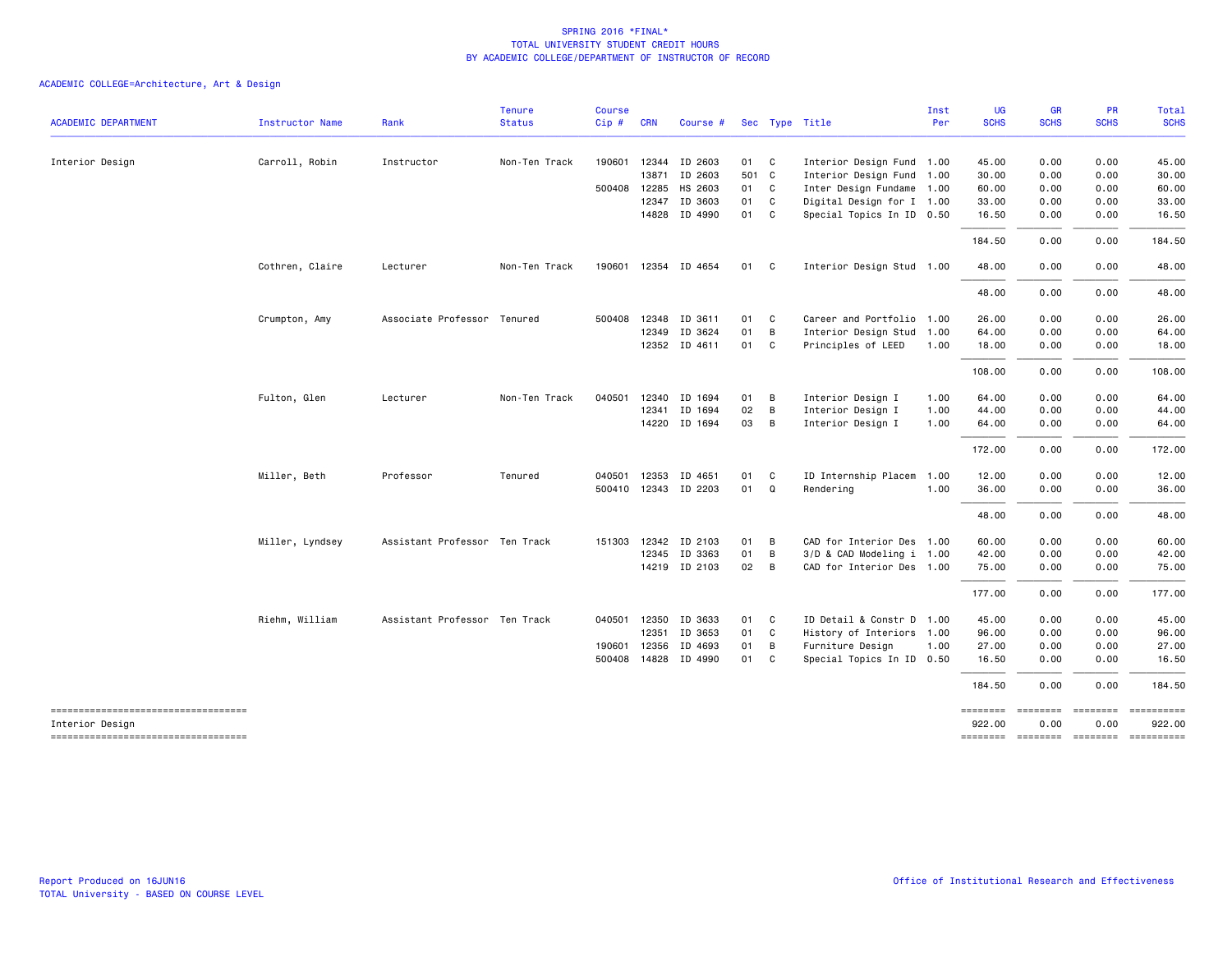|                                                       |                 |                               | <b>Tenure</b> | <b>Course</b> |              |                      |       |                |                           | Inst | UG                 | <b>GR</b>   | <b>PR</b>                           | Total       |
|-------------------------------------------------------|-----------------|-------------------------------|---------------|---------------|--------------|----------------------|-------|----------------|---------------------------|------|--------------------|-------------|-------------------------------------|-------------|
| <b>ACADEMIC DEPARTMENT</b>                            | Instructor Name | Rank                          | <b>Status</b> | Cip#          | <b>CRN</b>   | Course #             |       |                | Sec Type Title            | Per  | <b>SCHS</b>        | <b>SCHS</b> | <b>SCHS</b>                         | <b>SCHS</b> |
| Interior Design                                       | Carroll, Robin  | Instructor                    | Non-Ten Track |               |              | 190601 12344 ID 2603 | 01 C  |                | Interior Design Fund 1.00 |      | 45.00              | 0.00        | 0.00                                | 45.00       |
|                                                       |                 |                               |               |               |              | 13871 ID 2603        | 501 C |                | Interior Design Fund 1.00 |      | 30.00              | 0.00        | 0.00                                | 30.00       |
|                                                       |                 |                               |               |               | 500408 12285 | HS 2603              | 01 C  |                | Inter Design Fundame 1.00 |      | 60.00              | 0.00        | 0.00                                | 60.00       |
|                                                       |                 |                               |               |               | 12347        | ID 3603              | 01 C  |                | Digital Design for I 1.00 |      | 33.00              | 0.00        | 0.00                                | 33.00       |
|                                                       |                 |                               |               |               |              | 14828 ID 4990        | 01 C  |                | Special Topics In ID 0.50 |      | 16.50              | 0.00        | 0.00                                | 16.50       |
|                                                       |                 |                               |               |               |              |                      |       |                |                           |      | 184.50             | 0.00        | 0.00                                | 184.50      |
|                                                       | Cothren, Claire | Lecturer                      | Non-Ten Track |               |              | 190601 12354 ID 4654 | 01 C  |                | Interior Design Stud 1.00 |      | 48.00              | 0.00        | 0.00                                | 48.00       |
|                                                       |                 |                               |               |               |              |                      |       |                |                           |      | 48.00              | 0.00        | 0.00                                | 48.00       |
|                                                       | Crumpton, Amy   | Associate Professor Tenured   |               |               | 500408 12348 | ID 3611              | 01 C  |                | Career and Portfolio 1.00 |      | 26.00              | 0.00        | 0.00                                | 26.00       |
|                                                       |                 |                               |               |               | 12349        | ID 3624              | 01 B  |                | Interior Design Stud 1.00 |      | 64.00              | 0.00        | 0.00                                | 64.00       |
|                                                       |                 |                               |               |               |              | 12352 ID 4611        | 01 C  |                | Principles of LEED        | 1.00 | 18.00              | 0.00        | 0.00                                | 18.00       |
|                                                       |                 |                               |               |               |              |                      |       |                |                           |      | 108.00             | 0.00        | 0.00                                | 108.00      |
|                                                       | Fulton, Glen    | Lecturer                      | Non-Ten Track |               | 040501 12340 | ID 1694              | 01 B  |                | Interior Design I         | 1.00 | 64.00              | 0.00        | 0.00                                | 64.00       |
|                                                       |                 |                               |               |               |              | 12341 ID 1694        | 02    | $\overline{B}$ | Interior Design I         | 1.00 | 44.00              | 0.00        | 0.00                                | 44.00       |
|                                                       |                 |                               |               |               |              | 14220 ID 1694        | 03 B  |                | Interior Design I         | 1.00 | 64.00              | 0.00        | 0.00                                | 64.00       |
|                                                       |                 |                               |               |               |              |                      |       |                |                           |      | 172.00             | 0.00        | 0.00                                | 172.00      |
|                                                       | Miller, Beth    | Professor                     | Tenured       |               | 040501 12353 | ID 4651              | 01    | $\mathbf{C}$   | ID Internship Placem      | 1.00 | 12.00              | 0.00        | 0.00                                | 12.00       |
|                                                       |                 |                               |               |               |              | 500410 12343 ID 2203 | 01 Q  |                | Rendering                 | 1.00 | 36.00              | 0.00        | 0.00                                | 36.00       |
|                                                       |                 |                               |               |               |              |                      |       |                |                           |      | 48.00              | 0.00        | 0.00                                | 48.00       |
|                                                       | Miller, Lyndsey | Assistant Professor Ten Track |               |               |              | 151303 12342 ID 2103 | 01    | B              | CAD for Interior Des 1.00 |      | 60.00              | 0.00        | 0.00                                | 60.00       |
|                                                       |                 |                               |               |               |              | 12345 ID 3363        | 01    | $\overline{B}$ | 3/D & CAD Modeling i 1.00 |      | 42.00              | 0.00        | 0.00                                | 42.00       |
|                                                       |                 |                               |               |               |              | 14219 ID 2103        | 02 B  |                | CAD for Interior Des 1.00 |      | 75.00              | 0.00        | 0.00                                | 75.00       |
|                                                       |                 |                               |               |               |              |                      |       |                |                           |      | 177.00             | 0.00        | 0.00                                | 177.00      |
|                                                       | Riehm, William  | Assistant Professor Ten Track |               |               | 040501 12350 | ID 3633              | 01 C  |                | ID Detail & Constr D 1.00 |      | 45.00              | 0.00        | 0.00                                | 45.00       |
|                                                       |                 |                               |               |               |              | 12351 ID 3653        | 01 C  |                | History of Interiors 1.00 |      | 96.00              | 0.00        | 0.00                                | 96.00       |
|                                                       |                 |                               |               |               | 190601 12356 | ID 4693              | 01 B  |                | Furniture Design          | 1.00 | 27.00              | 0.00        | 0.00                                | 27.00       |
|                                                       |                 |                               |               |               |              | 500408 14828 ID 4990 | 01 C  |                | Special Topics In ID 0.50 |      | 16.50              | 0.00        | 0.00                                | 16.50       |
|                                                       |                 |                               |               |               |              |                      |       |                |                           |      | 184.50             | 0.00        | 0.00                                | 184.50      |
| ----------------------------------<br>Interior Design |                 |                               |               |               |              |                      |       |                |                           |      | ========<br>922.00 | 0.00        | -------- -------- ---------<br>0.00 | 922.00      |
| -----------------------------------                   |                 |                               |               |               |              |                      |       |                |                           |      |                    |             |                                     |             |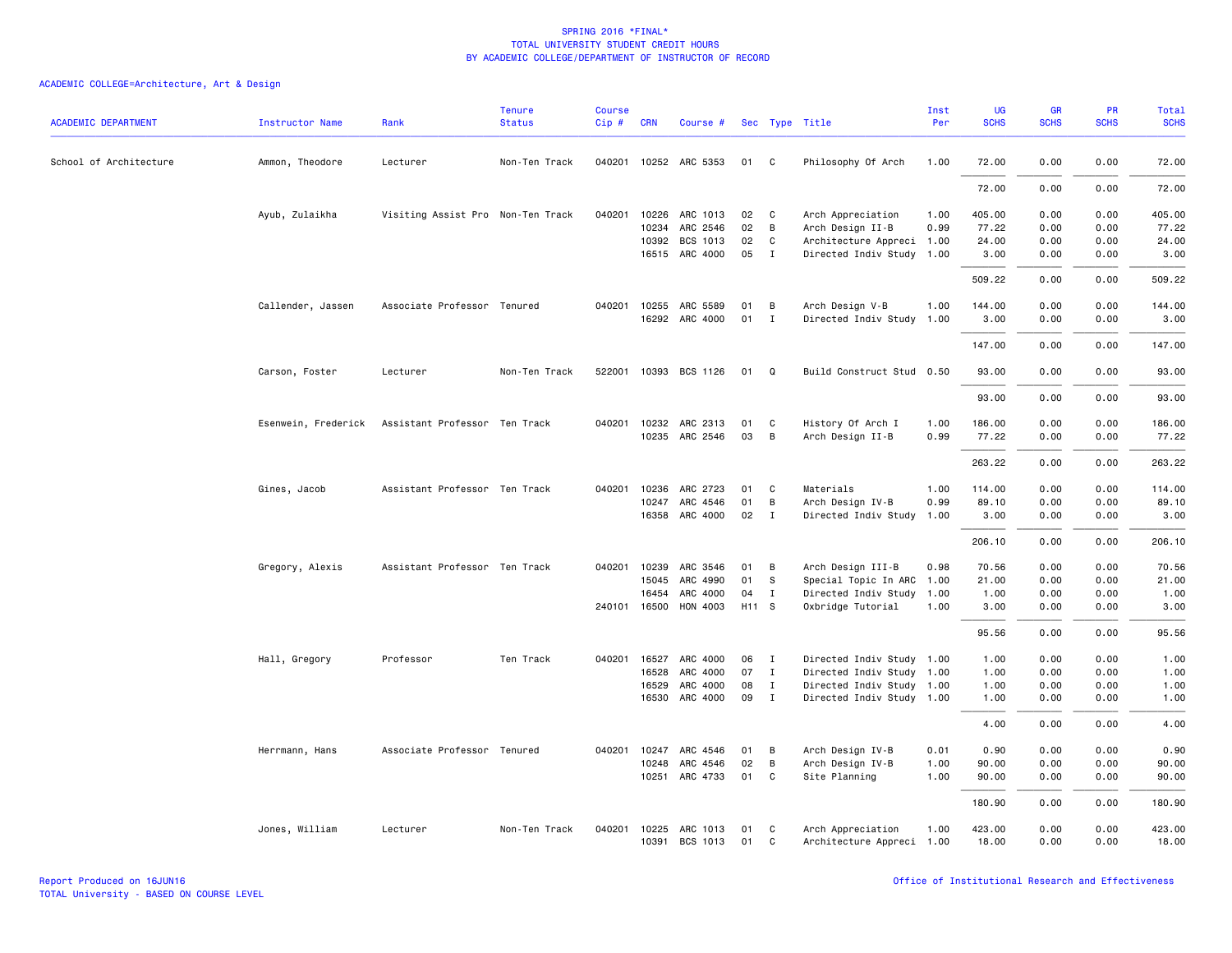| <b>ACADEMIC DEPARTMENT</b> | <b>Instructor Name</b> | Rank                              | <b>Tenure</b><br><b>Status</b> | Course<br>Cip# | <b>CRN</b>   | Course #              |       |              | Sec Type Title            | Inst<br>Per | UG<br><b>SCHS</b> | GR<br><b>SCHS</b> | PR<br><b>SCHS</b> | <b>Total</b><br><b>SCHS</b> |
|----------------------------|------------------------|-----------------------------------|--------------------------------|----------------|--------------|-----------------------|-------|--------------|---------------------------|-------------|-------------------|-------------------|-------------------|-----------------------------|
| School of Architecture     | Ammon, Theodore        | Lecturer                          | Non-Ten Track                  |                |              | 040201 10252 ARC 5353 | 01    | C            | Philosophy Of Arch        | 1.00        | 72.00             | 0.00              | 0.00              | 72.00                       |
|                            |                        |                                   |                                |                |              |                       |       |              |                           |             | 72.00             | 0.00              | 0.00              | 72.00                       |
|                            | Ayub, Zulaikha         | Visiting Assist Pro Non-Ten Track |                                |                |              | 040201 10226 ARC 1013 | 02    | $\mathbf{C}$ | Arch Appreciation         | 1.00        | 405.00            | 0.00              | 0.00              | 405.00                      |
|                            |                        |                                   |                                |                | 10234        | ARC 2546              | 02    | B            | Arch Design II-B          | 0.99        | 77.22             | 0.00              | 0.00              | 77.22                       |
|                            |                        |                                   |                                |                | 10392        | BCS 1013              | 02    | C            | Architecture Appreci      | 1.00        | 24.00             | 0.00              | 0.00              | 24.00                       |
|                            |                        |                                   |                                |                |              | 16515 ARC 4000        | 05    | I            | Directed Indiv Study 1.00 |             | 3.00              | 0.00              | 0.00              | 3.00                        |
|                            |                        |                                   |                                |                |              |                       |       |              |                           |             | 509.22            | 0.00              | 0.00              | 509.22                      |
|                            | Callender, Jassen      | Associate Professor Tenured       |                                | 040201         | 10255        | ARC 5589              | 01    | B            | Arch Design V-B           | 1.00        | 144.00            | 0.00              | 0.00              | 144.00                      |
|                            |                        |                                   |                                |                |              | 16292 ARC 4000        | 01    | $\mathbf{I}$ | Directed Indiv Study      | 1.00        | 3.00              | 0.00              | 0.00              | 3.00                        |
|                            |                        |                                   |                                |                |              |                       |       |              |                           |             | 147.00            | 0.00              | 0.00              | 147.00                      |
|                            | Carson, Foster         | Lecturer                          | Non-Ten Track                  | 522001         |              | 10393 BCS 1126        | 01    | Q            | Build Construct Stud 0.50 |             | 93.00             | 0.00              | 0.00              | 93.00                       |
|                            |                        |                                   |                                |                |              |                       |       |              |                           |             | 93.00             | 0.00              | 0.00              | 93.00                       |
|                            |                        |                                   |                                |                |              |                       |       |              |                           |             |                   |                   |                   |                             |
|                            | Esenwein, Frederick    | Assistant Professor Ten Track     |                                | 040201         | 10232        | ARC 2313              | 01    | C            | History Of Arch I         | 1.00        | 186.00            | 0.00              | 0.00              | 186.00                      |
|                            |                        |                                   |                                |                | 10235        | ARC 2546              | 03    | B            | Arch Design II-B          | 0.99        | 77.22             | 0.00              | 0.00              | 77.22                       |
|                            |                        |                                   |                                |                |              |                       |       |              |                           |             | 263.22            | 0.00              | 0.00              | 263.22                      |
|                            | Gines, Jacob           | Assistant Professor Ten Track     |                                | 040201         | 10236        | ARC 2723              | 01    | C            | Materials                 | 1.00        | 114.00            | 0.00              | 0.00              | 114.00                      |
|                            |                        |                                   |                                |                | 10247        | ARC 4546              | 01    | B            | Arch Design IV-B          | 0.99        | 89.10             | 0.00              | 0.00              | 89.10                       |
|                            |                        |                                   |                                |                | 16358        | ARC 4000              | 02    | $\mathbf{I}$ | Directed Indiv Study      | 1.00        | 3.00              | 0.00              | 0.00              | 3.00                        |
|                            |                        |                                   |                                |                |              |                       |       |              |                           |             | 206.10            | 0.00              | 0.00              | 206.10                      |
|                            | Gregory, Alexis        | Assistant Professor Ten Track     |                                | 040201         | 10239        | ARC 3546              | 01    | B            | Arch Design III-B         | 0.98        | 70.56             | 0.00              | 0.00              | 70.56                       |
|                            |                        |                                   |                                |                | 15045        | ARC 4990              | 01    | S            | Special Topic In ARC      | 1.00        | 21.00             | 0.00              | 0.00              | 21.00                       |
|                            |                        |                                   |                                |                | 16454        | ARC 4000              | 04    | $\mathbf I$  | Directed Indiv Study      | 1.00        | 1.00              | 0.00              | 0.00              | 1.00                        |
|                            |                        |                                   |                                |                | 240101 16500 | HON 4003              | H11 S |              | Oxbridge Tutorial         | 1.00        | 3.00              | 0.00              | 0.00              | 3.00                        |
|                            |                        |                                   |                                |                |              |                       |       |              |                           |             | 95.56             | 0.00              | 0.00              | 95.56                       |
|                            | Hall, Gregory          | Professor                         | Ten Track                      | 040201         | 16527        | ARC 4000              | 06    | I            | Directed Indiv Study 1.00 |             | 1.00              | 0.00              | 0.00              | 1.00                        |
|                            |                        |                                   |                                |                | 16528        | ARC 4000              | 07    | $\mathbf{I}$ | Directed Indiv Study 1.00 |             | 1.00              | 0.00              | 0.00              | 1.00                        |
|                            |                        |                                   |                                |                | 16529        | ARC 4000              | 08    | $\mathbf I$  | Directed Indiv Study 1.00 |             | 1.00              | 0.00              | 0.00              | 1.00                        |
|                            |                        |                                   |                                |                | 16530        | ARC 4000              | 09    | $\mathbf{I}$ | Directed Indiv Study 1.00 |             | 1.00              | 0.00              | 0.00              | 1.00                        |
|                            |                        |                                   |                                |                |              |                       |       |              |                           |             | 4.00              | 0.00              | 0.00              | 4.00                        |
|                            | Herrmann, Hans         | Associate Professor Tenured       |                                | 040201         | 10247        | ARC 4546              | 01    | B            | Arch Design IV-B          | 0.01        | 0.90              | 0.00              | 0.00              | 0.90                        |
|                            |                        |                                   |                                |                | 10248        | ARC 4546              | 02    | B            | Arch Design IV-B          | 1.00        | 90.00             | 0.00              | 0.00              | 90.00                       |
|                            |                        |                                   |                                |                | 10251        | ARC 4733              | 01    | C            | Site Planning             | 1.00        | 90.00             | 0.00              | 0.00              | 90.00                       |
|                            |                        |                                   |                                |                |              |                       |       |              |                           |             | 180.90            | 0.00              | 0.00              | 180.90                      |
|                            | Jones, William         | Lecturer                          | Non-Ten Track                  | 040201         |              | 10225 ARC 1013        | 01    | C            | Arch Appreciation         | 1.00        | 423.00            | 0.00              | 0.00              | 423.00                      |
|                            |                        |                                   |                                |                |              | 10391 BCS 1013        | 01    | $\mathbf{C}$ | Architecture Appreci 1.00 |             | 18.00             | 0.00              | 0.00              | 18.00                       |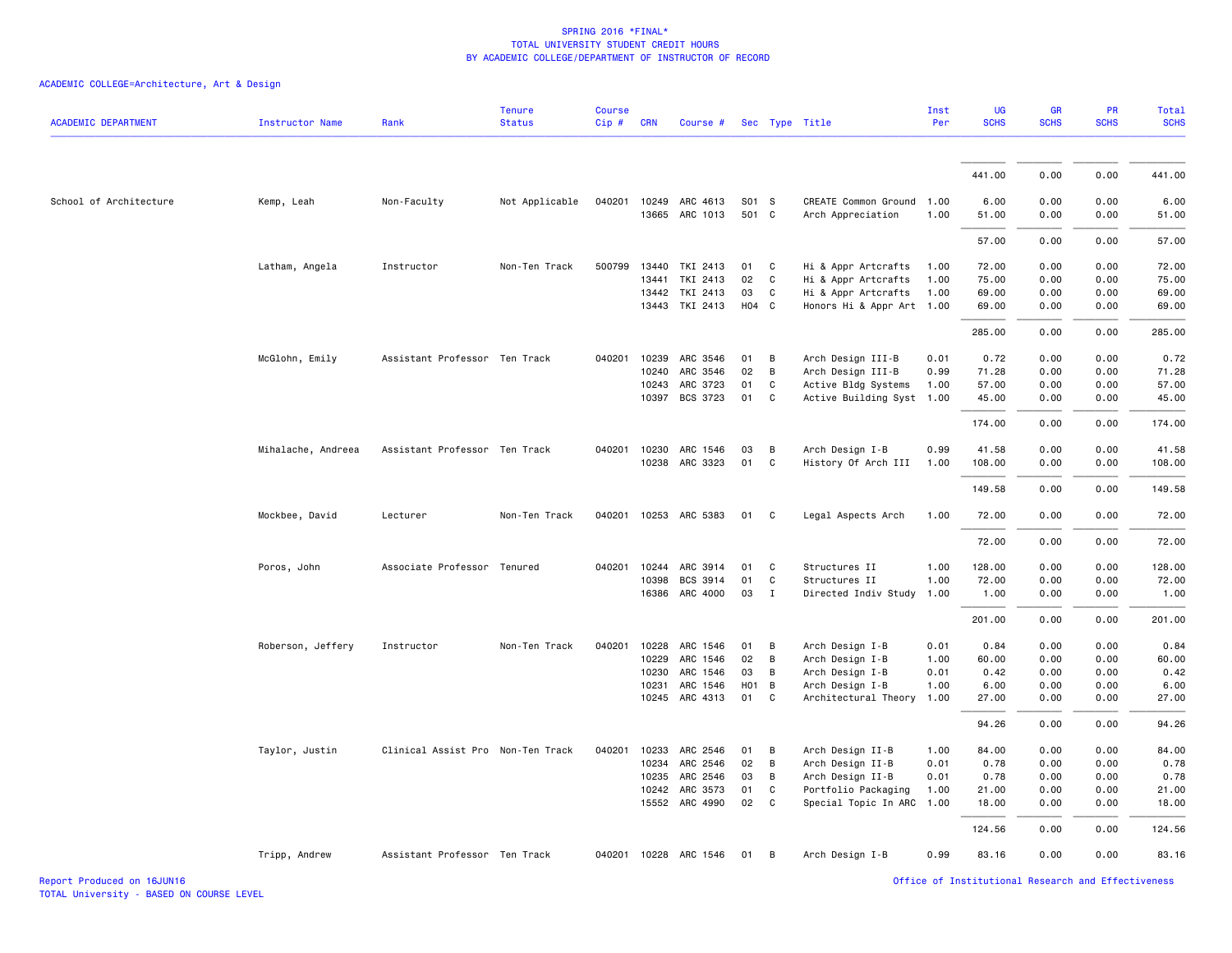| <b>ACADEMIC DEPARTMENT</b> | Instructor Name    | Rank                              | <b>Tenure</b><br><b>Status</b> | <b>Course</b><br>Cip# | <b>CRN</b>   | Course #              |       |              | Sec Type Title            | Inst<br>Per | UG<br><b>SCHS</b> | <b>GR</b><br><b>SCHS</b> | PR<br><b>SCHS</b> | Total<br><b>SCHS</b> |
|----------------------------|--------------------|-----------------------------------|--------------------------------|-----------------------|--------------|-----------------------|-------|--------------|---------------------------|-------------|-------------------|--------------------------|-------------------|----------------------|
|                            |                    |                                   |                                |                       |              |                       |       |              |                           |             |                   |                          |                   |                      |
|                            |                    |                                   |                                |                       |              |                       |       |              |                           |             | 441.00            | 0.00                     | 0.00              | 441.00               |
| School of Architecture     | Kemp, Leah         | Non-Faculty                       | Not Applicable                 | 040201                |              | 10249 ARC 4613        | S01 S |              | CREATE Common Ground 1.00 |             | 6.00              | 0.00                     | 0.00              | 6.00                 |
|                            |                    |                                   |                                |                       |              | 13665 ARC 1013        | 501 C |              | Arch Appreciation         | 1.00        | 51.00             | 0.00                     | 0.00              | 51.00                |
|                            |                    |                                   |                                |                       |              |                       |       |              |                           |             | 57.00             | 0.00                     | 0.00              | 57.00                |
|                            | Latham, Angela     | Instructor                        | Non-Ten Track                  | 500799                | 13440        | TKI 2413              | 01    | C            | Hi & Appr Artcrafts       | 1.00        | 72.00             | 0.00                     | 0.00              | 72.00                |
|                            |                    |                                   |                                |                       | 13441        | TKI 2413              | 02    | C            | Hi & Appr Artcrafts       | 1.00        | 75.00             | 0.00                     | 0.00              | 75.00                |
|                            |                    |                                   |                                |                       | 13442        | TKI 2413              | 03    | C            | Hi & Appr Artcrafts       | 1.00        | 69.00             | 0.00                     | 0.00              | 69.00                |
|                            |                    |                                   |                                |                       | 13443        | TKI 2413              | H04 C |              | Honors Hi & Appr Art 1.00 |             | 69.00             | 0.00                     | 0.00              | 69.00                |
|                            |                    |                                   |                                |                       |              |                       |       |              |                           |             | 285.00            | 0.00                     | 0.00              | 285.00               |
|                            | McGlohn, Emily     | Assistant Professor Ten Track     |                                | 040201                | 10239        | ARC 3546              | 01    | B            | Arch Design III-B         | 0.01        | 0.72              | 0.00                     | 0.00              | 0.72                 |
|                            |                    |                                   |                                |                       | 10240        | ARC 3546              | 02    | B            | Arch Design III-B         | 0.99        | 71.28             | 0.00                     | 0.00              | 71.28                |
|                            |                    |                                   |                                |                       | 10243        | ARC 3723              | 01    | C            | Active Bldg Systems       | 1.00        | 57.00             | 0.00                     | 0.00              | 57.00                |
|                            |                    |                                   |                                |                       | 10397        | BCS 3723              | 01    | C            | Active Building Syst 1.00 |             | 45.00             | 0.00                     | 0.00              | 45.00                |
|                            |                    |                                   |                                |                       |              |                       |       |              |                           |             | 174.00            | 0.00                     | 0.00              | 174.00               |
|                            | Mihalache, Andreea | Assistant Professor Ten Track     |                                | 040201                |              | 10230 ARC 1546        | 03    | B            | Arch Design I-B           | 0.99        | 41.58             | 0.00                     | 0.00              | 41.58                |
|                            |                    |                                   |                                |                       |              | 10238 ARC 3323        | 01    | C            | History Of Arch III       | 1.00        | 108.00            | 0.00                     | 0.00              | 108.00               |
|                            |                    |                                   |                                |                       |              |                       |       |              |                           |             | 149.58            | 0.00                     | 0.00              | 149.58               |
|                            | Mockbee, David     | Lecturer                          | Non-Ten Track                  |                       |              | 040201 10253 ARC 5383 | 01    | C.           | Legal Aspects Arch        | 1.00        | 72.00             | 0.00                     | 0.00              | 72.00                |
|                            |                    |                                   |                                |                       |              |                       |       |              |                           |             | 72.00             | 0.00                     | 0.00              | 72.00                |
|                            | Poros, John        | Associate Professor Tenured       |                                |                       | 040201 10244 | ARC 3914              | 01    | C            | Structures II             | 1.00        | 128.00            | 0.00                     | 0.00              | 128.00               |
|                            |                    |                                   |                                |                       | 10398        | BCS 3914              | 01    | $\mathsf{C}$ | Structures II             | 1.00        | 72.00             | 0.00                     | 0.00              | 72.00                |
|                            |                    |                                   |                                |                       | 16386        | ARC 4000              | 03    | $\mathbf{I}$ | Directed Indiv Study      | 1.00        | 1.00              | 0.00                     | 0.00              | 1.00                 |
|                            |                    |                                   |                                |                       |              |                       |       |              |                           |             | 201.00            | 0.00                     | 0.00              | 201.00               |
|                            | Roberson, Jeffery  | Instructor                        | Non-Ten Track                  | 040201                | 10228        | ARC 1546              | 01    | B            | Arch Design I-B           | 0.01        | 0.84              | 0.00                     | 0.00              | 0.84                 |
|                            |                    |                                   |                                |                       | 10229        | ARC 1546              | 02    | В            | Arch Design I-B           | 1.00        | 60.00             | 0.00                     | 0.00              | 60.00                |
|                            |                    |                                   |                                |                       | 10230        | ARC 1546              | 03    | B            | Arch Design I-B           | 0.01        | 0.42              | 0.00                     | 0.00              | 0.42                 |
|                            |                    |                                   |                                |                       | 10231        | ARC 1546              | HO1 B |              | Arch Design I-B           | 1.00        | 6.00              | 0.00                     | 0.00              | 6.00                 |
|                            |                    |                                   |                                |                       | 10245        | ARC 4313              | 01    | C            | Architectural Theory      | 1.00        | 27.00             | 0.00                     | 0.00              | 27.00                |
|                            |                    |                                   |                                |                       |              |                       |       |              |                           |             | 94.26             | 0.00                     | 0.00              | 94.26                |
|                            | Taylor, Justin     | Clinical Assist Pro Non-Ten Track |                                | 040201                | 10233        | ARC 2546              | 01    | В            | Arch Design II-B          | 1.00        | 84.00             | 0.00                     | 0.00              | 84.00                |
|                            |                    |                                   |                                |                       | 10234        | ARC 2546              | 02    | В            | Arch Design II-B          | 0.01        | 0.78              | 0.00                     | 0.00              | 0.78                 |
|                            |                    |                                   |                                |                       | 10235        | ARC 2546              | 03    | B            | Arch Design II-B          | 0.01        | 0.78              | 0.00                     | 0.00              | 0.78                 |
|                            |                    |                                   |                                |                       | 10242        | ARC 3573              | 01    | C            | Portfolio Packaging       | 1.00        | 21.00             | 0.00                     | 0.00              | 21.00                |
|                            |                    |                                   |                                |                       |              | 15552 ARC 4990        | 02    | C            | Special Topic In ARC      | 1.00        | 18.00             | 0.00                     | 0.00              | 18.00                |
|                            |                    |                                   |                                |                       |              |                       |       |              |                           |             | 124.56            | 0.00                     | 0.00              | 124.56               |
|                            | Tripp, Andrew      | Assistant Professor Ten Track     |                                |                       |              | 040201 10228 ARC 1546 | 01    | B            | Arch Design I-B           | 0.99        | 83.16             | 0.00                     | 0.00              | 83.16                |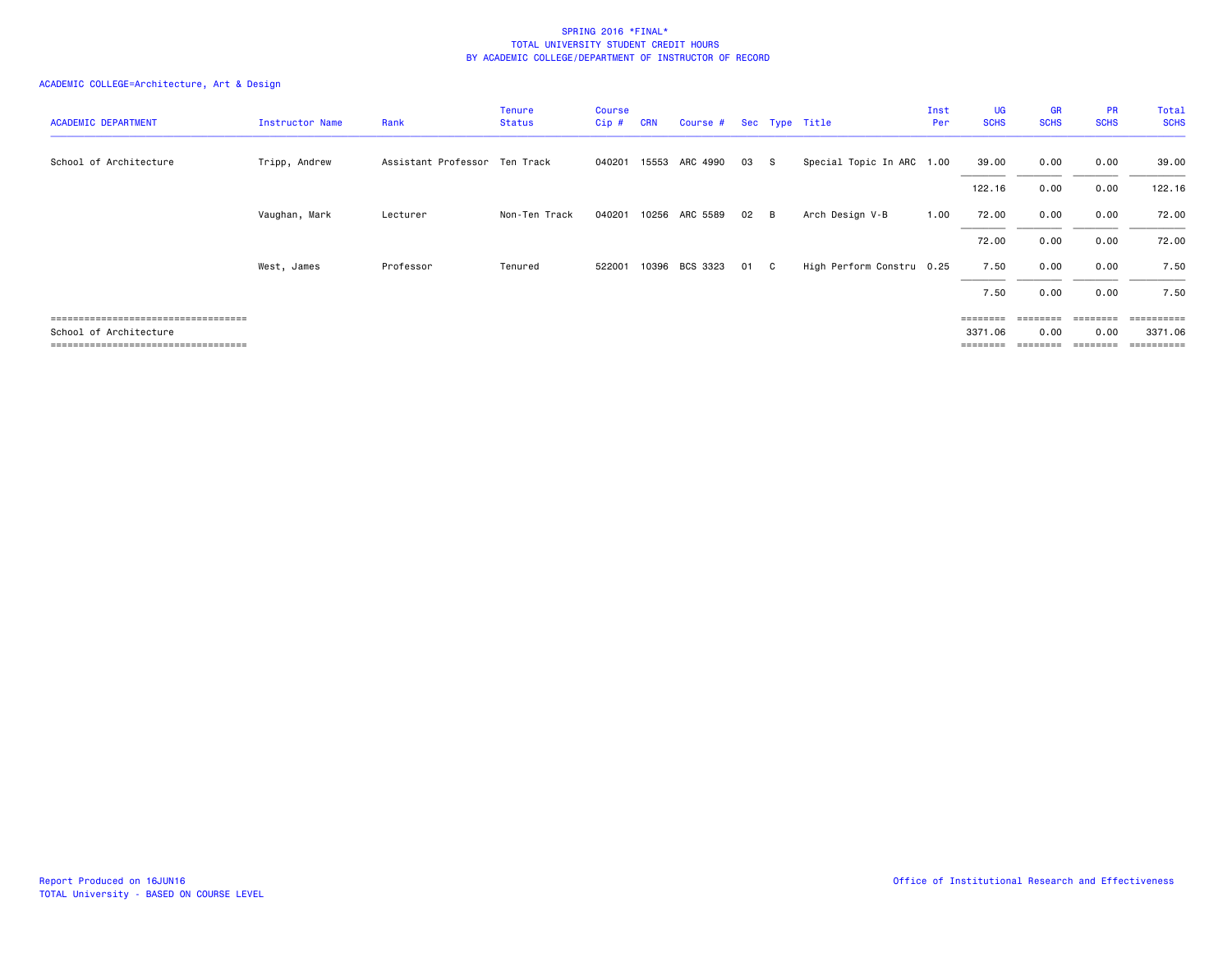| <b>ACADEMIC DEPARTMENT</b>            | Instructor Name | Rank                          | Tenure<br><b>Status</b> | <b>Course</b><br>Cip# | <b>CRN</b> | Course # |    |     | Sec Type Title            | Inst<br>Per | UG<br><b>SCHS</b> | GR<br><b>SCHS</b> | <b>PR</b><br><b>SCHS</b> | Total<br><b>SCHS</b> |
|---------------------------------------|-----------------|-------------------------------|-------------------------|-----------------------|------------|----------|----|-----|---------------------------|-------------|-------------------|-------------------|--------------------------|----------------------|
| School of Architecture                | Tripp, Andrew   | Assistant Professor Ten Track |                         | 040201                | 15553      | ARC 4990 | 03 | - S | Special Topic In ARC 1.00 |             | 39.00             | 0.00              | 0.00                     | 39.00                |
|                                       |                 |                               |                         |                       |            |          |    |     |                           |             | 122.16            | 0.00              | 0.00                     | 122.16               |
|                                       | Vaughan, Mark   | Lecturer                      | Non-Ten Track           | 040201                | 10256      | ARC 5589 | 02 | - B | Arch Design V-B           | 1.00        | 72.00             | 0.00              | 0.00                     | 72.00                |
|                                       |                 |                               |                         |                       |            |          |    |     |                           |             | 72.00             | 0.00              | 0.00                     | 72.00                |
|                                       | West, James     | Professor                     | Tenured                 | 522001                | 10396      | BCS 3323 | 01 | C.  | High Perform Constru 0.25 |             | 7.50              | 0.00              | 0.00                     | 7.50                 |
|                                       |                 |                               |                         |                       |            |          |    |     |                           |             | 7.50              | 0.00              | 0.00                     | 7.50                 |
| ===================================== |                 |                               |                         |                       |            |          |    |     |                           |             |                   |                   |                          | ========             |
| School of Architecture                |                 |                               |                         |                       |            |          |    |     |                           |             | 3371.06           | 0.00              | 0.00                     | 3371.06              |
| ===================================== |                 |                               |                         |                       |            |          |    |     |                           |             | ========          | ========          | ========                 | ==========           |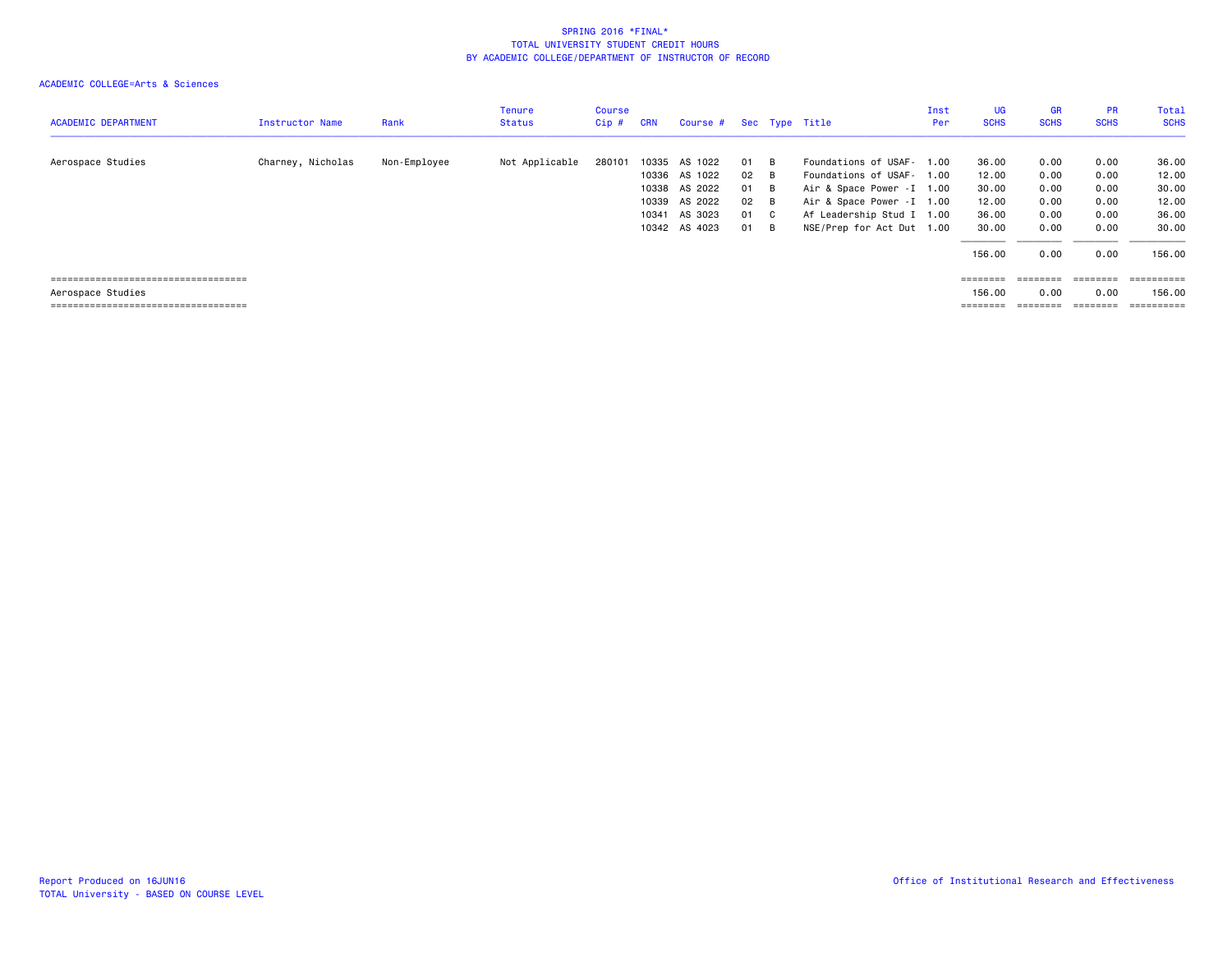| <b>ACADEMIC DEPARTMENT</b>                                  | <b>Instructor Name</b> | Rank         | <b>Tenure</b><br><b>Status</b> | Course<br>Cip # | <b>CRN</b>     | Course #                            |                |              | Sec Type Title                                                                        | Inst<br>Per | UG<br><b>SCHS</b>           | <b>GR</b><br><b>SCHS</b> | <b>PR</b><br><b>SCHS</b> | Total<br><b>SCHS</b>     |
|-------------------------------------------------------------|------------------------|--------------|--------------------------------|-----------------|----------------|-------------------------------------|----------------|--------------|---------------------------------------------------------------------------------------|-------------|-----------------------------|--------------------------|--------------------------|--------------------------|
| Aerospace Studies                                           | Charney, Nicholas      | Non-Employee | Not Applicable                 | 280101          | 10335          | AS 1022<br>10336 AS 1022            | 01<br>02       | - B<br>- B   | Foundations of USAF- 1.00<br>Foundations of USAF- 1.00                                |             | 36.00<br>12.00              | 0.00<br>0.00             | 0.00<br>0.00             | 36.00<br>12.00           |
|                                                             |                        |              |                                |                 | 10339<br>10341 | 10338 AS 2022<br>AS 2022<br>AS 3023 | 01<br>02<br>01 | B<br>B<br>C. | Air & Space Power - I 1.00<br>Air & Space Power - I 1.00<br>Af Leadership Stud I 1.00 |             | 30.00<br>12.00<br>36.00     | 0.00<br>0.00<br>0.00     | 0.00<br>0.00<br>0.00     | 30.00<br>12.00<br>36.00  |
|                                                             |                        |              |                                |                 |                | 10342 AS 4023                       | 01             | - B          | NSE/Prep for Act Dut 1.00                                                             |             | 30.00<br>156.00             | 0.00<br>0.00             | 0.00<br>0.00             | 30.00<br>156.00          |
| ======================================<br>Aerospace Studies |                        |              |                                |                 |                |                                     |                |              |                                                                                       |             | $=$ = = = = = = =<br>156.00 | ========<br>0.00         | ========<br>0.00         | $=$ ==========<br>156.00 |
| =====================================                       |                        |              |                                |                 |                |                                     |                |              |                                                                                       |             | ========                    |                          | $=$ = = = = = = =        | ==========               |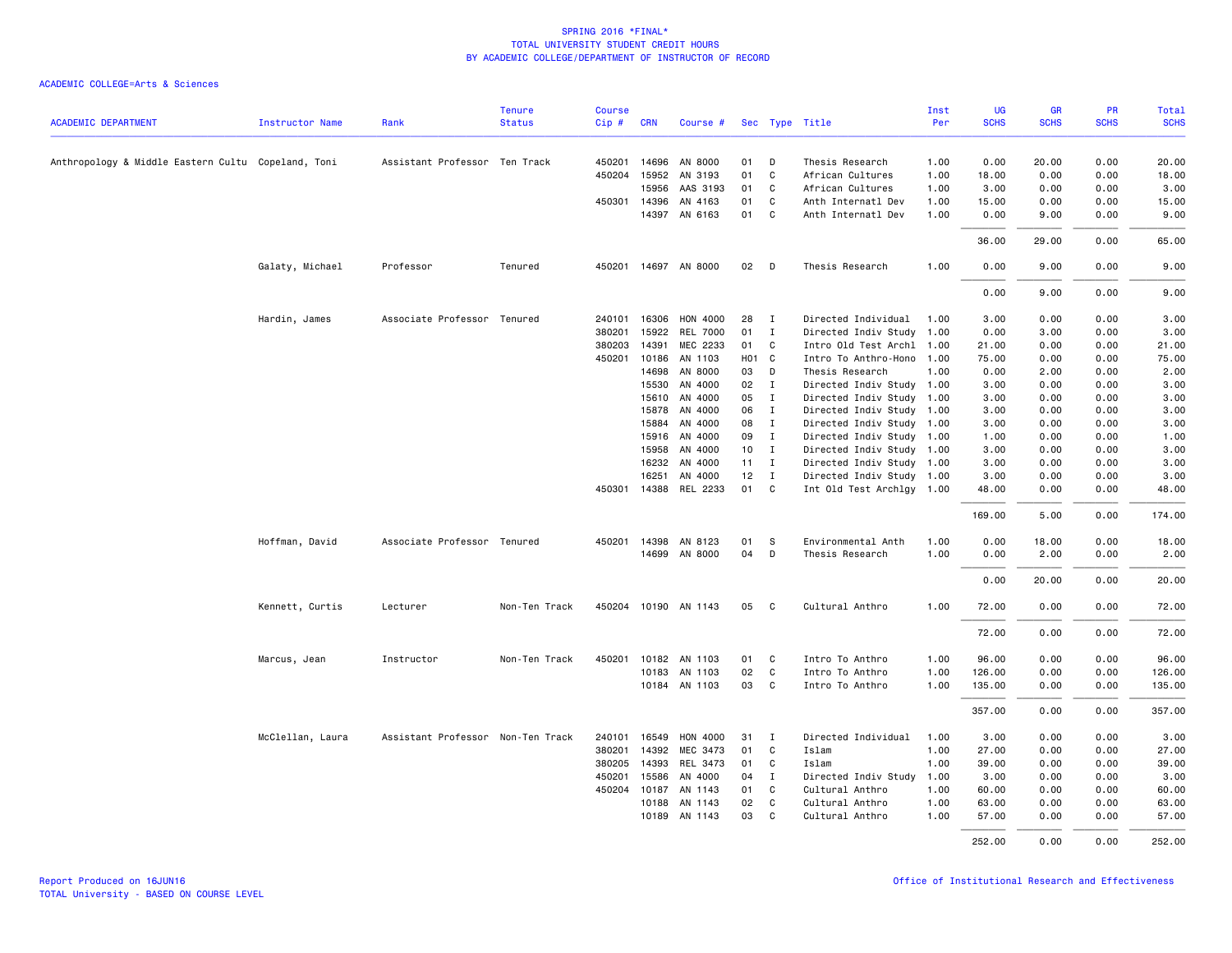|                                                    |                        |                                   | <b>Tenure</b> | <b>Course</b> |            |                          |                   |              |                                       | Inst         | <b>UG</b>    | <b>GR</b>     | PR           | <b>Total</b> |
|----------------------------------------------------|------------------------|-----------------------------------|---------------|---------------|------------|--------------------------|-------------------|--------------|---------------------------------------|--------------|--------------|---------------|--------------|--------------|
| <b>ACADEMIC DEPARTMENT</b>                         | <b>Instructor Name</b> | Rank                              | <b>Status</b> | Cip #         | <b>CRN</b> | Course #                 |                   |              | Sec Type Title                        | Per          | <b>SCHS</b>  | <b>SCHS</b>   | <b>SCHS</b>  | <b>SCHS</b>  |
|                                                    |                        |                                   |               |               |            |                          |                   |              |                                       |              |              |               |              |              |
| Anthropology & Middle Eastern Cultu Copeland, Toni |                        | Assistant Professor Ten Track     |               | 450201        | 14696      | AN 8000                  | 01                | D            | Thesis Research                       | 1.00         | 0.00         | 20.00         | 0.00         | 20.00        |
|                                                    |                        |                                   |               | 450204        | 15952      | AN 3193                  | 01                | C            | African Cultures                      | 1.00         | 18.00        | 0.00          | 0.00         | 18.00        |
|                                                    |                        |                                   |               |               | 15956      | AAS 3193                 | 01                | C            | African Cultures                      | 1.00         | 3.00         | 0.00          | 0.00         | 3.00         |
|                                                    |                        |                                   |               | 450301        | 14396      | AN 4163                  | 01                | C            | Anth Internatl Dev                    | 1.00         | 15.00        | 0.00          | 0.00         | 15.00        |
|                                                    |                        |                                   |               |               |            | 14397 AN 6163            | 01                | C.           | Anth Internatl Dev                    | 1.00         | 0.00         | 9.00          | 0.00         | 9.00         |
|                                                    |                        |                                   |               |               |            |                          |                   |              |                                       |              | 36.00        | 29.00         | 0.00         | 65.00        |
|                                                    | Galaty, Michael        | Professor                         | Tenured       | 450201        |            | 14697 AN 8000            | 02                | D            | Thesis Research                       | 1.00         | 0.00         | 9.00          | 0.00         | 9.00         |
|                                                    |                        |                                   |               |               |            |                          |                   |              |                                       |              | 0.00         | 9.00          | 0.00         | 9.00         |
|                                                    | Hardin, James          | Associate Professor Tenured       |               | 240101        | 16306      | <b>HON 4000</b>          | 28                | $\mathbf I$  | Directed Individual                   | 1.00         | 3.00         | 0.00          | 0.00         | 3.00         |
|                                                    |                        |                                   |               | 380201        | 15922      | <b>REL 7000</b>          | 01                | $\mathbf I$  | Directed Indiv Study                  | 1.00         | 0.00         | 3.00          | 0.00         | 3.00         |
|                                                    |                        |                                   |               | 380203        | 14391      | MEC 2233                 | 01                | C            | Intro Old Test Archl 1.00             |              | 21.00        | 0.00          | 0.00         | 21.00        |
|                                                    |                        |                                   |               | 450201        | 10186      | AN 1103                  | H <sub>01</sub> C |              | Intro To Anthro-Hono 1.00             |              | 75.00        | 0.00          | 0.00         | 75.00        |
|                                                    |                        |                                   |               |               | 14698      | AN 8000                  | 03                | D            | Thesis Research                       | 1.00         | 0.00         | 2.00          | 0.00         | 2.00         |
|                                                    |                        |                                   |               |               | 15530      | AN 4000                  | 02                | $\mathbf{I}$ | Directed Indiv Study 1.00             |              | 3.00         | 0.00          | 0.00         | 3.00         |
|                                                    |                        |                                   |               |               | 15610      | AN 4000                  | 05                | $\mathbf{I}$ | Directed Indiv Study 1.00             |              | 3.00         | 0.00          | 0.00         | 3.00         |
|                                                    |                        |                                   |               |               | 15878      | AN 4000                  | 06                | $\mathbf{I}$ | Directed Indiv Study 1.00             |              | 3.00         | 0.00          | 0.00         | 3.00         |
|                                                    |                        |                                   |               |               | 15884      | AN 4000                  | 08                | $\mathbf I$  | Directed Indiv Study 1.00             |              | 3.00         | 0.00          | 0.00         | 3.00         |
|                                                    |                        |                                   |               |               | 15916      | AN 4000                  | 09                | $\mathbf{I}$ | Directed Indiv Study 1.00             |              | 1.00         | 0.00          | 0.00         | 1.00         |
|                                                    |                        |                                   |               |               | 15958      | AN 4000                  | 10                | $\mathbf{I}$ | Directed Indiv Study 1.00             |              | 3.00         | 0.00          | 0.00         | 3.00         |
|                                                    |                        |                                   |               |               | 16232      | AN 4000                  | 11                | $\mathbf{I}$ | Directed Indiv Study 1.00             |              | 3.00         | 0.00          | 0.00         | 3.00         |
|                                                    |                        |                                   |               |               | 16251      | AN 4000                  | 12                | $\mathbf{I}$ | Directed Indiv Study 1.00             |              | 3.00         | 0.00          | 0.00         | 3.00         |
|                                                    |                        |                                   |               | 450301        |            | 14388 REL 2233           | 01                | C            | Int Old Test Archlgy 1.00             |              | 48.00        | 0.00          | 0.00         | 48.00        |
|                                                    |                        |                                   |               |               |            |                          |                   |              |                                       |              | 169.00       | 5.00          | 0.00         | 174.00       |
|                                                    |                        |                                   |               |               |            |                          |                   |              |                                       |              |              |               |              |              |
|                                                    | Hoffman, David         | Associate Professor Tenured       |               | 450201        | 14398      | AN 8123<br>14699 AN 8000 | 01<br>04          | -S<br>D      | Environmental Anth<br>Thesis Research | 1.00<br>1.00 | 0.00<br>0.00 | 18.00<br>2.00 | 0.00<br>0.00 | 18.00        |
|                                                    |                        |                                   |               |               |            |                          |                   |              |                                       |              |              |               |              | 2.00         |
|                                                    |                        |                                   |               |               |            |                          |                   |              |                                       |              | 0.00         | 20.00         | 0.00         | 20.00        |
|                                                    | Kennett, Curtis        | Lecturer                          | Non-Ten Track | 450204        |            | 10190 AN 1143            | 05                | C            | Cultural Anthro                       | 1.00         | 72.00        | 0.00          | 0.00         | 72.00        |
|                                                    |                        |                                   |               |               |            |                          |                   |              |                                       |              | 72.00        | 0.00          | 0.00         | 72.00        |
|                                                    | Marcus, Jean           | Instructor                        | Non-Ten Track | 450201        |            | 10182 AN 1103            | 01                | C.           | Intro To Anthro                       | 1.00         | 96.00        | 0.00          | 0.00         | 96.00        |
|                                                    |                        |                                   |               |               | 10183      | AN 1103                  | 02                | C            | Intro To Anthro                       | 1.00         | 126.00       | 0.00          | 0.00         | 126.00       |
|                                                    |                        |                                   |               |               |            | 10184 AN 1103            | 03                | C            | Intro To Anthro                       | 1.00         | 135.00       | 0.00          | 0.00         | 135.00       |
|                                                    |                        |                                   |               |               |            |                          |                   |              |                                       |              | 357.00       | 0.00          | 0.00         | 357.00       |
|                                                    | McClellan, Laura       | Assistant Professor Non-Ten Track |               | 240101        | 16549      | <b>HON 4000</b>          | 31                | I            | Directed Individual                   | 1.00         | 3.00         | 0.00          | 0.00         | 3.00         |
|                                                    |                        |                                   |               | 380201        | 14392      | MEC 3473                 | 01                | C            | Islam                                 | 1.00         | 27.00        | 0.00          | 0.00         | 27.00        |
|                                                    |                        |                                   |               | 380205        | 14393      | REL 3473                 | 01                | C            | Islam                                 | 1.00         | 39.00        | 0.00          | 0.00         | 39.00        |
|                                                    |                        |                                   |               | 450201        | 15586      | AN 4000                  | 04                | $\mathbf{I}$ | Directed Indiv Study                  | 1.00         | 3.00         | 0.00          | 0.00         | 3.00         |
|                                                    |                        |                                   |               | 450204        | 10187      | AN 1143                  | 01                | C            | Cultural Anthro                       | 1.00         | 60.00        | 0.00          | 0.00         | 60.00        |
|                                                    |                        |                                   |               |               | 10188      | AN 1143                  | 02                | C            | Cultural Anthro                       | 1.00         | 63.00        | 0.00          | 0.00         | 63.00        |
|                                                    |                        |                                   |               |               | 10189      | AN 1143                  | 03                | C            | Cultural Anthro                       | 1.00         | 57.00        | 0.00          | 0.00         | 57.00        |
|                                                    |                        |                                   |               |               |            |                          |                   |              |                                       |              | 252.00       | 0.00          | 0.00         | 252.00       |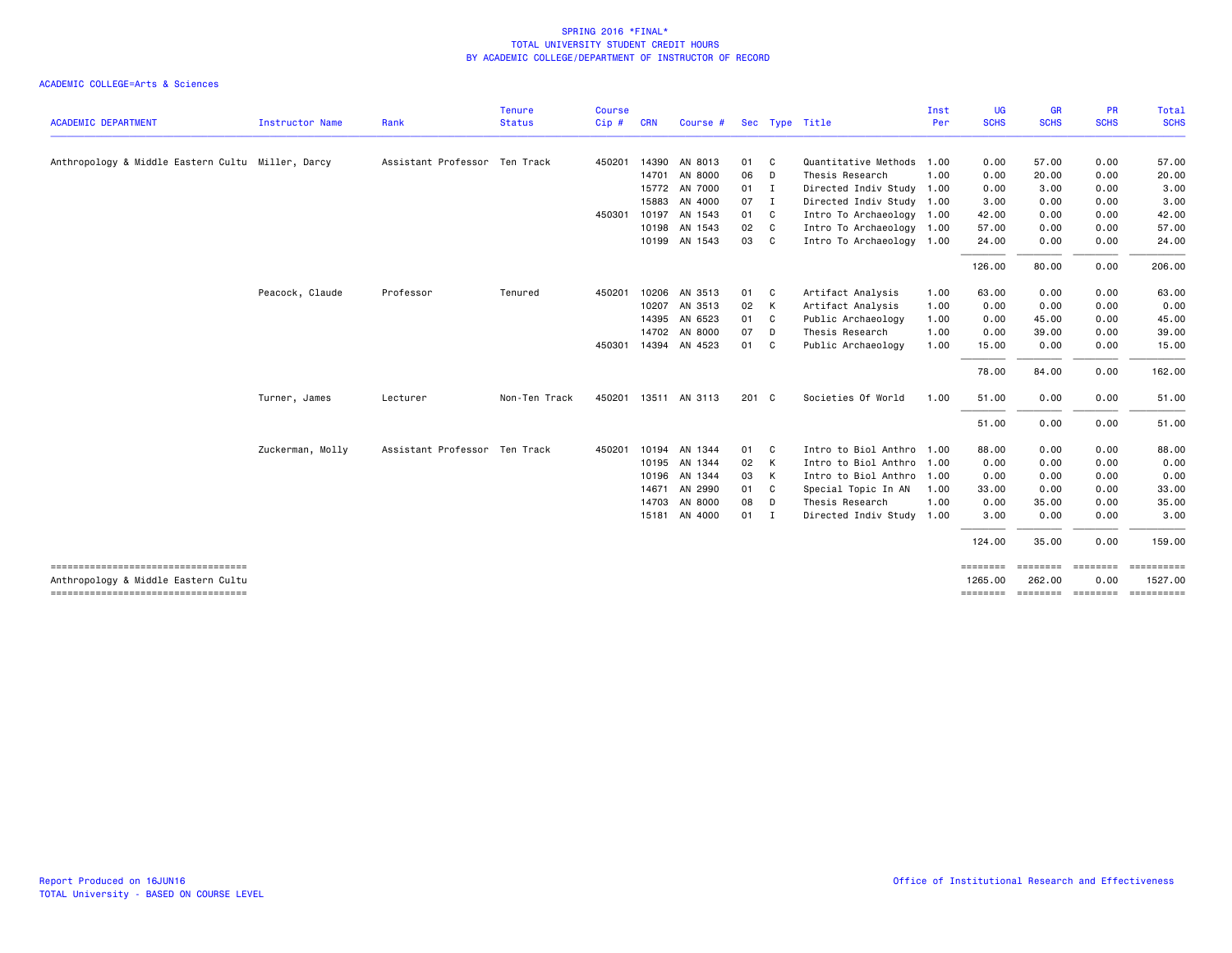|                                                                             |                  |                               | <b>Tenure</b> | <b>Course</b> |            |                      |       |              |                           | Inst | UG          | <b>GR</b>   | <b>PR</b>   | Total       |
|-----------------------------------------------------------------------------|------------------|-------------------------------|---------------|---------------|------------|----------------------|-------|--------------|---------------------------|------|-------------|-------------|-------------|-------------|
| <b>ACADEMIC DEPARTMENT</b>                                                  | Instructor Name  | Rank                          | <b>Status</b> | Cip#          | <b>CRN</b> | Course #             |       |              | Sec Type Title            | Per  | <b>SCHS</b> | <b>SCHS</b> | <b>SCHS</b> | <b>SCHS</b> |
| Anthropology & Middle Eastern Cultu Miller, Darcy                           |                  | Assistant Professor Ten Track |               | 450201        | 14390      | AN 8013              | 01    | C            | Quantitative Methods      | 1.00 | 0.00        | 57.00       | 0.00        | 57.00       |
|                                                                             |                  |                               |               |               | 14701      | AN 8000              | 06    | D            | Thesis Research           | 1.00 | 0.00        | 20.00       | 0.00        | 20.00       |
|                                                                             |                  |                               |               |               |            | 15772 AN 7000        | 01    | $\mathbf{I}$ | Directed Indiv Study 1.00 |      | 0.00        | 3.00        | 0.00        | 3.00        |
|                                                                             |                  |                               |               |               | 15883      | AN 4000              | 07    | $\mathbf{I}$ | Directed Indiv Study 1.00 |      | 3.00        | 0.00        | 0.00        | 3.00        |
|                                                                             |                  |                               |               | 450301        | 10197      | AN 1543              | 01    | $\mathbf{C}$ | Intro To Archaeology 1.00 |      | 42.00       | 0.00        | 0.00        | 42.00       |
|                                                                             |                  |                               |               |               |            | 10198 AN 1543        | 02    | C            | Intro To Archaeology 1.00 |      | 57.00       | 0.00        | 0.00        | 57.00       |
|                                                                             |                  |                               |               |               |            | 10199 AN 1543        | 03    | C            | Intro To Archaeology 1.00 |      | 24.00       | 0.00        | 0.00        | 24.00       |
|                                                                             |                  |                               |               |               |            |                      |       |              |                           |      | 126.00      | 80.00       | 0.00        | 206.00      |
|                                                                             | Peacock, Claude  | Professor                     | Tenured       | 450201        | 10206      | AN 3513              | 01    | C            | Artifact Analysis         | 1.00 | 63.00       | 0.00        | 0.00        | 63.00       |
|                                                                             |                  |                               |               |               |            | 10207 AN 3513        | 02    | K            | Artifact Analysis         | 1.00 | 0.00        | 0.00        | 0.00        | 0.00        |
|                                                                             |                  |                               |               |               | 14395      | AN 6523              | 01    | $\mathbf{C}$ | Public Archaeology        | 1.00 | 0.00        | 45.00       | 0.00        | 45.00       |
|                                                                             |                  |                               |               |               |            | 14702 AN 8000        | 07    | D            | Thesis Research           | 1.00 | 0.00        | 39.00       | 0.00        | 39.00       |
|                                                                             |                  |                               |               | 450301        |            | 14394 AN 4523        | 01 C  |              | Public Archaeology        | 1.00 | 15.00       | 0.00        | 0.00        | 15.00       |
|                                                                             |                  |                               |               |               |            |                      |       |              |                           |      | 78.00       | 84.00       | 0.00        | 162.00      |
|                                                                             | Turner, James    | Lecturer                      | Non-Ten Track |               |            | 450201 13511 AN 3113 | 201 C |              | Societies Of World        | 1.00 | 51.00       | 0.00        | 0.00        | 51.00       |
|                                                                             |                  |                               |               |               |            |                      |       |              |                           |      | 51.00       | 0.00        | 0.00        | 51.00       |
|                                                                             | Zuckerman, Molly | Assistant Professor Ten Track |               | 450201        | 10194      | AN 1344              | 01    | $\mathbf{C}$ | Intro to Biol Anthro      | 1.00 | 88.00       | 0.00        | 0.00        | 88.00       |
|                                                                             |                  |                               |               |               |            | 10195 AN 1344        | 02    | K            | Intro to Biol Anthro      | 1.00 | 0.00        | 0.00        | 0.00        | 0.00        |
|                                                                             |                  |                               |               |               | 10196      | AN 1344              | 03    | K            | Intro to Biol Anthro      | 1.00 | 0.00        | 0.00        | 0.00        | 0.00        |
|                                                                             |                  |                               |               |               | 14671      | AN 2990              | 01    | C            | Special Topic In AN       | 1.00 | 33.00       | 0.00        | 0.00        | 33.00       |
|                                                                             |                  |                               |               |               |            | 14703 AN 8000        | 08    | D            | Thesis Research           | 1.00 | 0.00        | 35.00       | 0.00        | 35.00       |
|                                                                             |                  |                               |               |               |            | 15181 AN 4000        | 01 I  |              | Directed Indiv Study      | 1.00 | 3.00        | 0.00        | 0.00        | 3.00        |
|                                                                             |                  |                               |               |               |            |                      |       |              |                           |      | 124.00      | 35.00       | 0.00        | 159.00      |
| -------------------------------------                                       |                  |                               |               |               |            |                      |       |              |                           |      | ========    | ========    | ========    |             |
| Anthropology & Middle Eastern Cultu<br>------------------------------------ |                  |                               |               |               |            |                      |       |              |                           |      | 1265,00     | 262,00      | 0.00        | 1527.00     |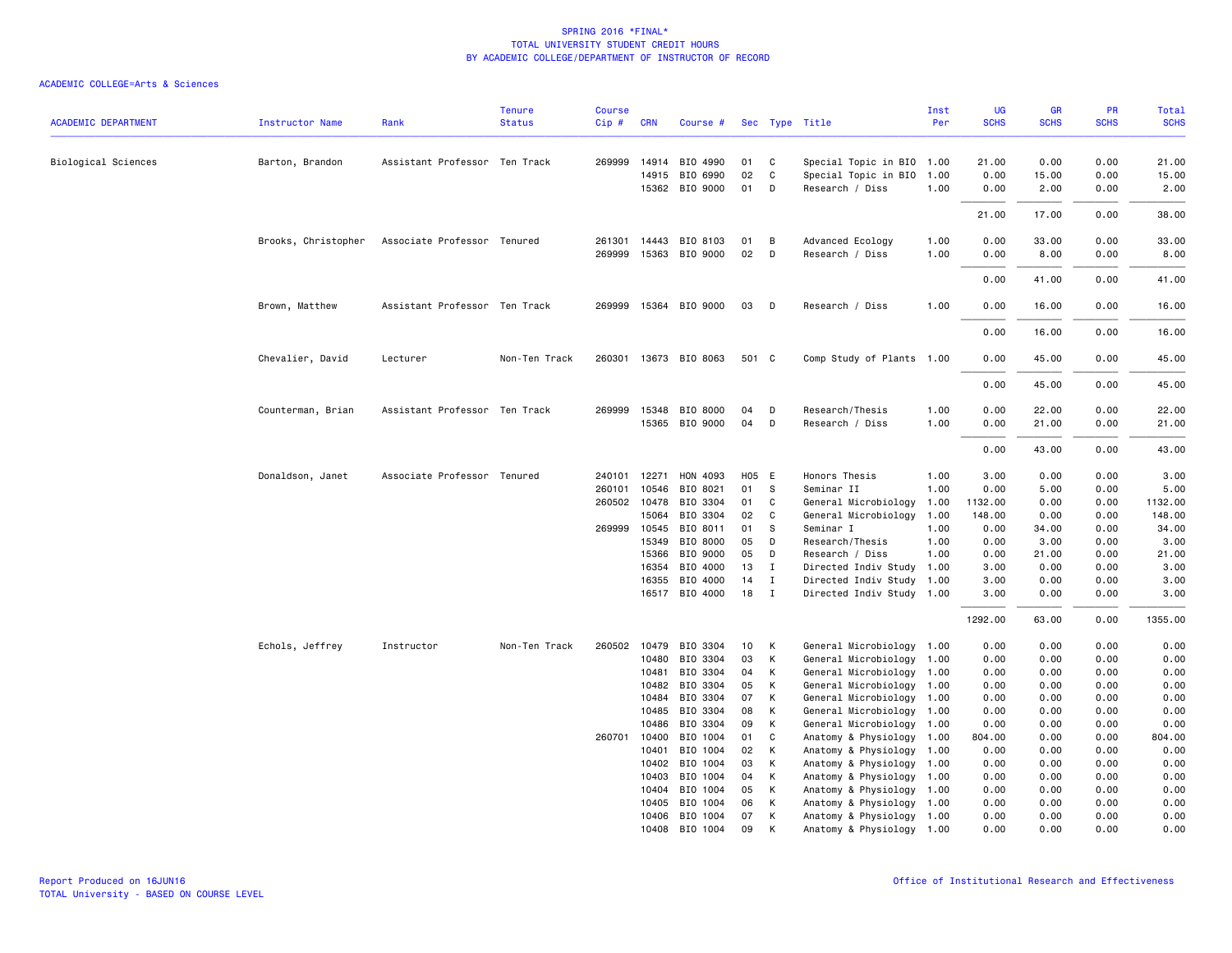| <b>ACADEMIC DEPARTMENT</b> | <b>Instructor Name</b> | Rank                          | <b>Tenure</b><br><b>Status</b> | <b>Course</b><br>Cip# | <b>CRN</b>   | Course #              |          |              | Sec Type Title            | Inst<br>Per | UG<br><b>SCHS</b> | GR<br><b>SCHS</b> | PR<br><b>SCHS</b> | Total<br><b>SCHS</b> |
|----------------------------|------------------------|-------------------------------|--------------------------------|-----------------------|--------------|-----------------------|----------|--------------|---------------------------|-------------|-------------------|-------------------|-------------------|----------------------|
| Biological Sciences        | Barton, Brandon        | Assistant Professor Ten Track |                                | 269999                | 14914        | BIO 4990              | 01       | C            | Special Topic in BIO      | 1.00        | 21.00             | 0.00              | 0.00              | 21.00                |
|                            |                        |                               |                                |                       | 14915        | BIO 6990              | 02       | $\mathsf{C}$ | Special Topic in BIO      | 1.00        | 0.00              | 15.00             | 0.00              | 15.00                |
|                            |                        |                               |                                |                       |              | 15362 BIO 9000        | 01       | D            | Research / Diss           | 1.00        | 0.00              | 2.00              | 0.00              | 2.00                 |
|                            |                        |                               |                                |                       |              |                       |          |              |                           |             | 21.00             | 17.00             | 0.00              | 38.00                |
|                            | Brooks, Christopher    | Associate Professor Tenured   |                                | 261301                | 14443        | BIO 8103              | 01       | B            | Advanced Ecology          | 1.00        | 0.00              | 33.00             | 0.00              | 33.00                |
|                            |                        |                               |                                | 269999                |              | 15363 BIO 9000        | 02       | D            | Research / Diss           | 1.00        | 0.00              | 8.00              | 0.00              | 8.00                 |
|                            |                        |                               |                                |                       |              |                       |          |              |                           |             | 0.00              | 41.00             | 0.00              | 41.00                |
|                            | Brown, Matthew         | Assistant Professor Ten Track |                                |                       |              | 269999 15364 BIO 9000 | 03       | D            | Research / Diss           | 1.00        | 0.00              | 16.00             | 0.00              | 16.00                |
|                            |                        |                               |                                |                       |              |                       |          |              |                           |             | 0.00              | 16.00             | 0.00              | 16.00                |
|                            | Chevalier, David       | Lecturer                      | Non-Ten Track                  |                       |              | 260301 13673 BIO 8063 | 501 C    |              | Comp Study of Plants 1.00 |             | 0.00              | 45.00             | 0.00              | 45.00                |
|                            |                        |                               |                                |                       |              |                       |          |              |                           |             | 0.00              | 45.00             | 0.00              | 45.00                |
|                            | Counterman, Brian      | Assistant Professor Ten Track |                                |                       |              | 269999 15348 BIO 8000 | 04       | D            | Research/Thesis           | 1.00        | 0.00              | 22.00             | 0.00              | 22.00                |
|                            |                        |                               |                                |                       |              | 15365 BIO 9000        | 04       | D            | Research / Diss           | 1.00        | 0.00              | 21.00             | 0.00              | 21.00                |
|                            |                        |                               |                                |                       |              |                       |          |              |                           |             | 0.00              | 43.00             | 0.00              | 43.00                |
|                            | Donaldson, Janet       | Associate Professor Tenured   |                                | 240101                | 12271        | HON 4093              | H05 E    |              | Honors Thesis             | 1.00        | 3.00              | 0.00              | 0.00              | 3.00                 |
|                            |                        |                               |                                | 260101                | 10546        | BIO 8021              | 01       | S            | Seminar II                | 1.00        | 0.00              | 5.00              | 0.00              | 5.00                 |
|                            |                        |                               |                                |                       | 260502 10478 | BIO 3304              | 01       | C            | General Microbiology      | 1.00        | 1132.00           | 0.00              | 0.00              | 1132.00              |
|                            |                        |                               |                                |                       | 15064        | BIO 3304              | 02       | C            | General Microbiology      | 1.00        | 148.00            | 0.00              | 0.00              | 148.00               |
|                            |                        |                               |                                |                       | 269999 10545 | BIO 8011              | 01       | S            | Seminar I                 | 1.00        | 0.00              | 34.00             | 0.00              | 34.00                |
|                            |                        |                               |                                |                       | 15349        | BIO 8000              | 05       | D            | Research/Thesis           | 1.00        | 0.00              | 3.00              | 0.00              | 3.00                 |
|                            |                        |                               |                                |                       | 15366        | BIO 9000              | 05       | D            | Research / Diss           | 1.00        | 0.00              | 21.00             | 0.00              | 21.00                |
|                            |                        |                               |                                |                       | 16354        | BIO 4000              | 13       | $\mathbf{I}$ | Directed Indiv Study      | 1.00        | 3.00              | 0.00              | 0.00              | 3.00                 |
|                            |                        |                               |                                |                       | 16355        | BIO 4000              | 14       | $\mathbf{I}$ | Directed Indiv Study 1.00 |             | 3.00              | 0.00              | 0.00              | 3.00                 |
|                            |                        |                               |                                |                       |              | 16517 BIO 4000        | 18       | $\mathbf{I}$ | Directed Indiv Study 1.00 |             | 3.00              | 0.00              | 0.00              | 3.00                 |
|                            |                        |                               |                                |                       |              |                       |          |              |                           |             | 1292.00           | 63.00             | 0.00              | 1355.00              |
|                            | Echols, Jeffrey        | Instructor                    | Non-Ten Track                  |                       | 260502 10479 | BIO 3304              | 10       | К            | General Microbiology 1.00 |             | 0.00              | 0.00              | 0.00              | 0.00                 |
|                            |                        |                               |                                |                       | 10480        | BIO 3304              | 03       | К            | General Microbiology 1.00 |             | 0.00              | 0.00              | 0.00              | 0.00                 |
|                            |                        |                               |                                |                       | 10481        | BIO 3304              | 04       | К            | General Microbiology 1.00 |             | 0.00              | 0.00              | 0.00              | 0.00                 |
|                            |                        |                               |                                |                       | 10482        | BIO 3304              | 05       | К            | General Microbiology 1.00 |             | 0.00              | 0.00              | 0.00              | 0.00                 |
|                            |                        |                               |                                |                       | 10484        | BIO 3304              | 07       | К            | General Microbiology 1.00 |             | 0.00              | 0.00              | 0.00              | 0.00                 |
|                            |                        |                               |                                |                       | 10485        | BIO 3304              | 08       | К            | General Microbiology 1.00 |             | 0.00              | 0.00              | 0.00              | 0.00                 |
|                            |                        |                               |                                |                       | 10486        | BIO 3304              | 09       | К            | General Microbiology      | 1.00        | 0.00              | 0.00              | 0.00              | 0.00                 |
|                            |                        |                               |                                | 260701                | 10400        | BIO 1004              | 01       | C            | Anatomy & Physiology      | 1.00        | 804.00            | 0.00              | 0.00              | 804.00               |
|                            |                        |                               |                                |                       | 10401        | BIO 1004              | 02       | К            | Anatomy & Physiology      | 1.00        | 0.00              | 0.00              | 0.00              | 0.00                 |
|                            |                        |                               |                                |                       | 10402        | BIO 1004              | 03       | К            | Anatomy & Physiology      | 1.00        | 0.00              | 0.00              | 0.00              | 0.00                 |
|                            |                        |                               |                                |                       | 10403        | BIO 1004              | 04       | К            | Anatomy & Physiology      | 1.00        | 0.00              | 0.00              | 0.00              | 0.00                 |
|                            |                        |                               |                                |                       | 10404        | BIO 1004              | 05       | К            | Anatomy & Physiology      | 1.00        | 0.00              | 0.00              | 0.00              | 0.00                 |
|                            |                        |                               |                                |                       | 10405        | BIO 1004              | 06       | К            | Anatomy & Physiology      | 1.00        | 0.00              | 0.00              | 0.00              | 0.00                 |
|                            |                        |                               |                                |                       | 10406        | BIO 1004              | 07<br>09 | К<br>К       | Anatomy & Physiology 1.00 |             | 0.00              | 0.00              | 0.00              | 0.00                 |
|                            |                        |                               |                                |                       | 10408        | BIO 1004              |          |              | Anatomy & Physiology 1.00 |             | 0.00              | 0.00              | 0.00              | 0.00                 |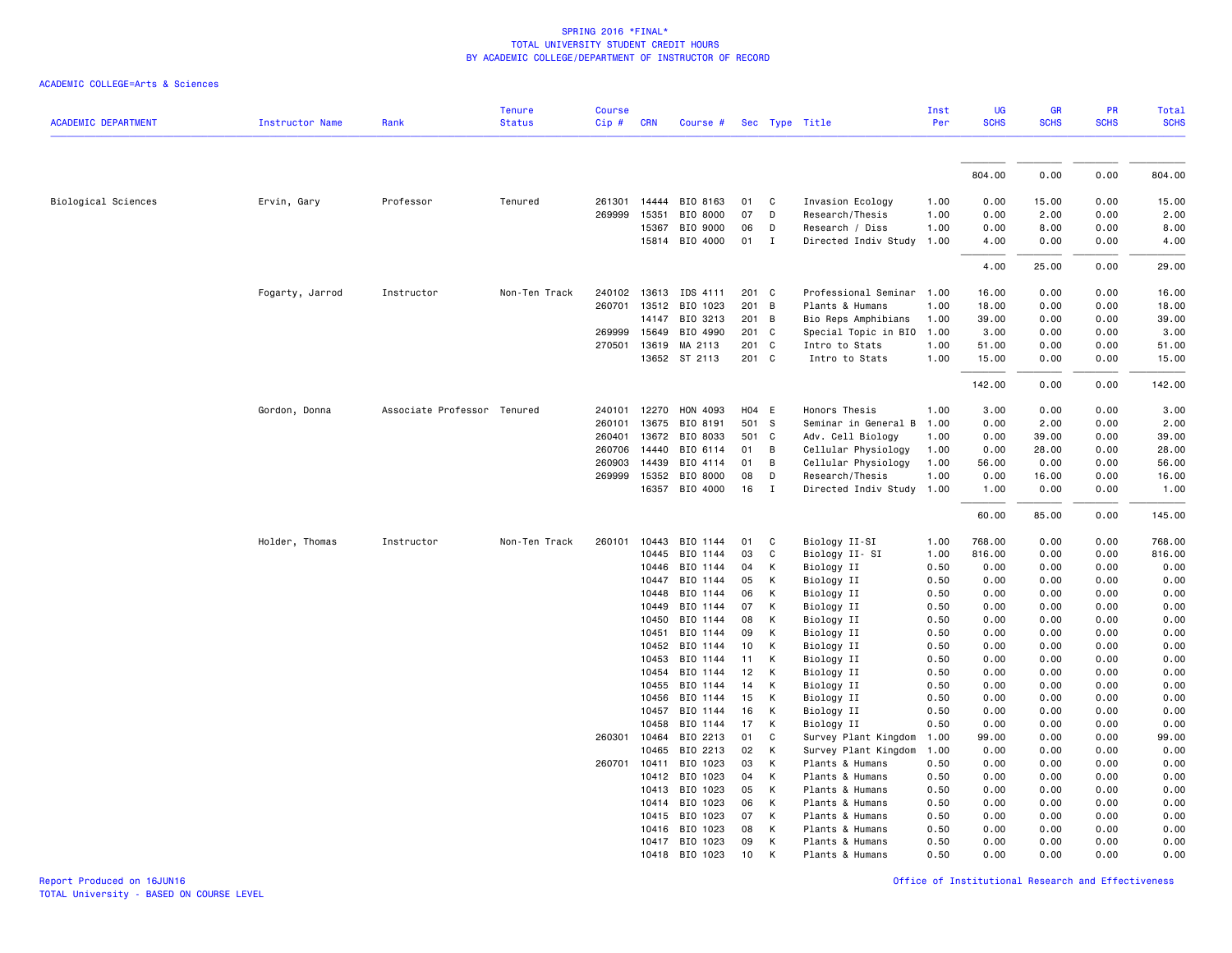|                            |                        |                             | <b>Tenure</b> | <b>Course</b> |                |                       |          |                   |                                         | Inst         | UG           | GR           | PR           | Total        |
|----------------------------|------------------------|-----------------------------|---------------|---------------|----------------|-----------------------|----------|-------------------|-----------------------------------------|--------------|--------------|--------------|--------------|--------------|
| <b>ACADEMIC DEPARTMENT</b> | <b>Instructor Name</b> | Rank                        | <b>Status</b> | Cip#          | <b>CRN</b>     | Course #              |          |                   | Sec Type Title                          | Per          | <b>SCHS</b>  | <b>SCHS</b>  | <b>SCHS</b>  | <b>SCHS</b>  |
|                            |                        |                             |               |               |                |                       |          |                   |                                         |              | 804.00       | 0.00         | 0.00         | 804.00       |
| Biological Sciences        |                        | Professor                   |               |               | 14444          | BIO 8163              | 01       | C                 |                                         |              | 0.00         | 15.00        | 0.00         | 15.00        |
|                            | Ervin, Gary            |                             | Tenured       | 261301        |                |                       |          |                   | Invasion Ecology                        | 1.00         |              |              |              |              |
|                            |                        |                             |               | 269999        | 15351          | BIO 8000              | 07       | D                 | Research/Thesis                         | 1.00         | 0.00         | 2.00         | 0.00         | 2.00         |
|                            |                        |                             |               |               | 15367<br>15814 | BIO 9000<br>BIO 4000  | 06<br>01 | D<br>$\mathbf{I}$ | Research / Diss<br>Directed Indiv Study | 1.00<br>1.00 | 0.00<br>4.00 | 8.00<br>0.00 | 0.00<br>0.00 | 8.00<br>4.00 |
|                            |                        |                             |               |               |                |                       |          |                   |                                         |              |              |              |              |              |
|                            |                        |                             |               |               |                |                       |          |                   |                                         |              | 4.00         | 25.00        | 0.00         | 29.00        |
|                            | Fogarty, Jarrod        | Instructor                  | Non-Ten Track |               | 240102 13613   | IDS 4111              | 201 C    |                   | Professional Seminar                    | 1.00         | 16.00        | 0.00         | 0.00         | 16.00        |
|                            |                        |                             |               |               |                | 260701 13512 BIO 1023 | 201 B    |                   | Plants & Humans                         | 1.00         | 18.00        | 0.00         | 0.00         | 18.00        |
|                            |                        |                             |               |               | 14147          | BIO 3213              | 201 B    |                   | Bio Reps Amphibians                     | 1.00         | 39.00        | 0.00         | 0.00         | 39.00        |
|                            |                        |                             |               | 269999        | 15649          | BIO 4990              | 201 C    |                   | Special Topic in BIO                    | 1.00         | 3.00         | 0.00         | 0.00         | 3.00         |
|                            |                        |                             |               | 270501        | 13619          | MA 2113               | 201 C    |                   | Intro to Stats                          | 1.00         | 51.00        | 0.00         | 0.00         | 51.00        |
|                            |                        |                             |               |               |                | 13652 ST 2113         | 201 C    |                   | Intro to Stats                          | 1.00         | 15.00        | 0.00         | 0.00         | 15.00        |
|                            |                        |                             |               |               |                |                       |          |                   |                                         |              | 142.00       | 0.00         | 0.00         | 142.00       |
|                            | Gordon, Donna          | Associate Professor Tenured |               | 240101        | 12270          | HON 4093              | H04 E    |                   | Honors Thesis                           | 1.00         | 3.00         | 0.00         | 0.00         | 3.00         |
|                            |                        |                             |               | 260101        | 13675          | BIO 8191              | 501 S    |                   | Seminar in General B                    | 1.00         | 0.00         | 2.00         | 0.00         | 2.00         |
|                            |                        |                             |               | 260401        | 13672          | BIO 8033              | 501 C    |                   | Adv. Cell Biology                       | 1.00         | 0.00         | 39.00        | 0.00         | 39.00        |
|                            |                        |                             |               | 260706        | 14440          | BIO 6114              | 01       | B                 | Cellular Physiology                     | 1.00         | 0.00         | 28.00        | 0.00         | 28.00        |
|                            |                        |                             |               | 260903        | 14439          | BIO 4114              | 01       | B                 | Cellular Physiology                     | 1.00         | 56.00        | 0.00         | 0.00         | 56.00        |
|                            |                        |                             |               |               | 269999 15352   | BIO 8000              | 08       | D                 | Research/Thesis                         | 1.00         | 0.00         | 16.00        | 0.00         | 16.00        |
|                            |                        |                             |               |               |                | 16357 BIO 4000        | 16       | $\blacksquare$    | Directed Indiv Study                    | 1.00         | 1.00         | 0.00         | 0.00         | 1.00         |
|                            |                        |                             |               |               |                |                       |          |                   |                                         |              | 60.00        | 85.00        | 0.00         | 145.00       |
|                            | Holder, Thomas         | Instructor                  | Non-Ten Track | 260101        |                | 10443 BIO 1144        | 01       | C                 | Biology II-SI                           | 1.00         | 768.00       | 0.00         | 0.00         | 768.00       |
|                            |                        |                             |               |               | 10445          | BIO 1144              | 03       | C                 | Biology II- SI                          | 1.00         | 816.00       | 0.00         | 0.00         | 816.00       |
|                            |                        |                             |               |               | 10446          | BIO 1144              | 04       | К                 | Biology II                              | 0.50         | 0.00         | 0.00         | 0.00         | 0.00         |
|                            |                        |                             |               |               | 10447          | BIO 1144              | 05       | K                 | Biology II                              | 0.50         | 0.00         | 0.00         | 0.00         | 0.00         |
|                            |                        |                             |               |               | 10448          | BIO 1144              | 06       | К                 | Biology II                              | 0.50         | 0.00         | 0.00         | 0.00         | 0.00         |
|                            |                        |                             |               |               | 10449          | BIO 1144              | 07       | К                 | Biology II                              | 0.50         | 0.00         | 0.00         | 0.00         | 0.00         |
|                            |                        |                             |               |               | 10450          | BIO 1144              | 08       | K                 | Biology II                              | 0.50         | 0.00         | 0.00         | 0.00         | 0.00         |
|                            |                        |                             |               |               | 10451          | BIO 1144              | 09       | К                 | Biology II                              | 0.50         | 0.00         | 0.00         | 0.00         | 0.00         |
|                            |                        |                             |               |               | 10452          | BIO 1144              | 10       | K                 | Biology II                              | 0.50         | 0.00         | 0.00         | 0.00         | 0.00         |
|                            |                        |                             |               |               | 10453          | BIO 1144              | 11       | К                 | Biology II                              | 0.50         | 0.00         | 0.00         | 0.00         | 0.00         |
|                            |                        |                             |               |               | 10454          | BIO 1144              | 12       | K                 | Biology II                              | 0.50         | 0.00         | 0.00         | 0.00         | 0.00         |
|                            |                        |                             |               |               | 10455          | BIO 1144              | 14       | K                 | Biology II                              | 0.50         | 0.00         | 0.00         | 0.00         | 0.00         |
|                            |                        |                             |               |               | 10456          | BIO 1144              | 15       | K                 | Biology II                              | 0.50         | 0.00         | 0.00         | 0.00         | 0.00         |
|                            |                        |                             |               |               | 10457          | BIO 1144              | 16       | K                 | Biology II                              | 0.50         | 0.00         | 0.00         | 0.00         | 0.00         |
|                            |                        |                             |               |               | 10458          | BIO 1144              | 17       | K                 | Biology II                              | 0.50         | 0.00         | 0.00         | 0.00         | 0.00         |
|                            |                        |                             |               | 260301        | 10464          | BIO 2213              | 01       | C                 | Survey Plant Kingdom                    | 1.00         | 99.00        | 0.00         | 0.00         | 99.00        |
|                            |                        |                             |               |               | 10465          | BIO 2213              | 02       | K                 | Survey Plant Kingdom                    | 1.00         | 0.00         | 0.00         | 0.00         | 0.00         |
|                            |                        |                             |               | 260701        | 10411          | BIO 1023              | 03       | K                 | Plants & Humans                         | 0.50         | 0.00         | 0.00         | 0.00         | 0.00         |
|                            |                        |                             |               |               | 10412          | BIO 1023              | 04       | K                 | Plants & Humans                         | 0.50         | 0.00         | 0.00         | 0.00         | 0.00         |
|                            |                        |                             |               |               | 10413          | BIO 1023              | 05       | K                 | Plants & Humans                         | 0.50         | 0.00         | 0.00         | 0.00         | 0.00         |
|                            |                        |                             |               |               | 10414          | BIO 1023              | 06       | K                 | Plants & Humans                         | 0.50         | 0.00         | 0.00         | 0.00         | 0.00         |
|                            |                        |                             |               |               | 10415          | BIO 1023              | 07       | K                 | Plants & Humans                         | 0.50         | 0.00         | 0.00         | 0.00         | 0.00         |
|                            |                        |                             |               |               | 10416          | BIO 1023              | 08       | K                 | Plants & Humans                         | 0.50         | 0.00         | 0.00         | 0.00         | 0.00         |
|                            |                        |                             |               |               |                | 10417 BIO 1023        | 09       | К                 | Plants & Humans                         | 0.50         | 0.00         | 0.00         | 0.00         | 0.00         |
|                            |                        |                             |               |               |                | 10418 BIO 1023        | 10       | К                 | Plants & Humans                         | 0.50         | 0.00         | 0.00         | 0.00         | 0.00         |
|                            |                        |                             |               |               |                |                       |          |                   |                                         |              |              |              |              |              |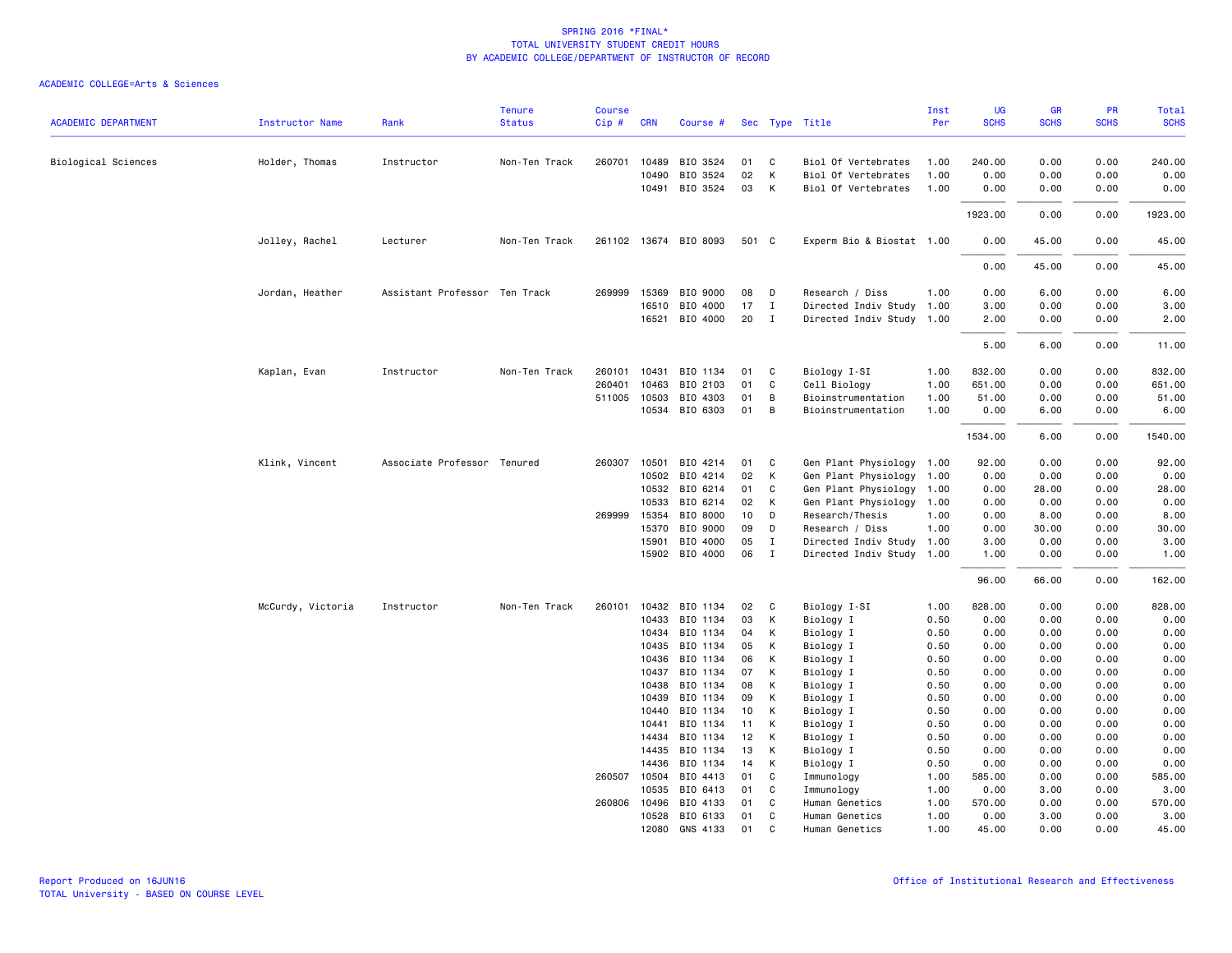| <b>ACADEMIC DEPARTMENT</b> | <b>Instructor Name</b> | Rank                          | <b>Tenure</b><br><b>Status</b> | <b>Course</b><br>Cip# | <b>CRN</b>     | Course #              |          |                | Sec Type Title            | Inst<br>Per  | UG<br><b>SCHS</b> | <b>GR</b><br><b>SCHS</b> | PR<br><b>SCHS</b> | <b>Total</b><br><b>SCHS</b> |
|----------------------------|------------------------|-------------------------------|--------------------------------|-----------------------|----------------|-----------------------|----------|----------------|---------------------------|--------------|-------------------|--------------------------|-------------------|-----------------------------|
|                            |                        |                               |                                |                       |                |                       |          |                |                           |              |                   |                          |                   |                             |
| Biological Sciences        | Holder, Thomas         | Instructor                    | Non-Ten Track                  | 260701                | 10489          | BIO 3524              | 01       | C              | Biol Of Vertebrates       | 1.00         | 240.00            | 0.00                     | 0.00              | 240.00                      |
|                            |                        |                               |                                |                       | 10490          | BIO 3524              | 02       | К              | Biol Of Vertebrates       | 1.00         | 0.00              | 0.00                     | 0.00              | 0.00                        |
|                            |                        |                               |                                |                       | 10491          | BIO 3524              | 03       | K              | Biol Of Vertebrates       | 1.00         | 0.00              | 0.00                     | 0.00              | 0.00                        |
|                            |                        |                               |                                |                       |                |                       |          |                |                           |              | 1923.00           | 0.00                     | 0.00              | 1923.00                     |
|                            | Jolley, Rachel         | Lecturer                      | Non-Ten Track                  |                       |                | 261102 13674 BIO 8093 | 501 C    |                | Experm Bio & Biostat 1.00 |              | 0.00              | 45.00                    | 0.00              | 45.00                       |
|                            |                        |                               |                                |                       |                |                       |          |                |                           |              | 0.00              | 45.00                    | 0.00              | 45.00                       |
|                            | Jordan, Heather        | Assistant Professor Ten Track |                                | 269999                | 15369          | BIO 9000              | 08       | D              | Research / Diss           | 1.00         | 0.00              | 6.00                     | 0.00              | 6.00                        |
|                            |                        |                               |                                |                       | 16510          | BIO 4000              | 17       | $\mathbf{I}$   | Directed Indiv Study 1.00 |              | 3.00              | 0.00                     | 0.00              | 3.00                        |
|                            |                        |                               |                                |                       |                | 16521 BIO 4000        | 20 I     |                | Directed Indiv Study 1.00 |              | 2.00              | 0.00                     | 0.00              | 2.00                        |
|                            |                        |                               |                                |                       |                |                       |          |                |                           |              | 5.00              | 6.00                     | 0.00              | 11.00                       |
|                            | Kaplan, Evan           | Instructor                    | Non-Ten Track                  | 260101                | 10431          | BIO 1134              | 01       | C              | Biology I-SI              | 1.00         | 832.00            | 0.00                     | 0.00              | 832.00                      |
|                            |                        |                               |                                | 260401                | 10463          | BIO 2103              | 01       | C              | Cell Biology              | 1.00         | 651.00            | 0.00                     | 0.00              | 651.00                      |
|                            |                        |                               |                                |                       | 511005 10503   | BIO 4303              | 01       | B              | Bioinstrumentation        | 1.00         | 51.00             | 0.00                     | 0.00              | 51.00                       |
|                            |                        |                               |                                |                       | 10534          | BIO 6303              | 01       | B              | Bioinstrumentation        | 1.00         | 0.00              | 6.00                     | 0.00              | 6.00                        |
|                            |                        |                               |                                |                       |                |                       |          |                |                           |              | 1534.00           | 6.00                     | 0.00              | 1540.00                     |
|                            | Klink, Vincent         | Associate Professor Tenured   |                                |                       | 260307 10501   | BIO 4214              | 01       | C              | Gen Plant Physiology 1.00 |              | 92.00             | 0.00                     | 0.00              | 92.00                       |
|                            |                        |                               |                                |                       | 10502          | BIO 4214              | 02       | К              | Gen Plant Physiology      | 1.00         | 0.00              | 0.00                     | 0.00              | 0.00                        |
|                            |                        |                               |                                |                       | 10532          | BIO 6214              | 01       | C              | Gen Plant Physiology      | 1.00         | 0.00              | 28.00                    | 0.00              | 28.00                       |
|                            |                        |                               |                                |                       | 10533          | BIO 6214              | 02       | К              | Gen Plant Physiology      | 1.00         | 0.00              | 0.00                     | 0.00              | 0.00                        |
|                            |                        |                               |                                |                       | 269999 15354   | BIO 8000              | 10       | D              | Research/Thesis           | 1.00         | 0.00              | 8.00                     | 0.00              | 8.00                        |
|                            |                        |                               |                                |                       | 15370          | BIO 9000              | 09       | D              | Research / Diss           | 1.00         | 0.00              | 30.00                    | 0.00              | 30.00                       |
|                            |                        |                               |                                |                       | 15901          | BIO 4000              | 05       | $\mathbf I$    | Directed Indiv Study 1.00 |              | 3.00              | 0.00                     | 0.00              | 3.00                        |
|                            |                        |                               |                                |                       |                | 15902 BIO 4000        | 06       | $\blacksquare$ | Directed Indiv Study 1.00 |              | 1.00              | 0.00                     | 0.00              | 1.00                        |
|                            |                        |                               |                                |                       |                |                       |          |                |                           |              | 96.00             | 66.00                    | 0.00              | 162.00                      |
|                            | McCurdy, Victoria      | Instructor                    | Non-Ten Track                  | 260101                | 10432          | BIO 1134              | 02       | C              | Biology I-SI              | 1.00         | 828.00            | 0.00                     | 0.00              | 828.00                      |
|                            |                        |                               |                                |                       | 10433          | BIO 1134              | 03       | К              | Biology I                 | 0.50         | 0.00              | 0.00                     | 0.00              | 0.00                        |
|                            |                        |                               |                                |                       | 10434          | BIO 1134              | 04       | К              | Biology I                 | 0.50         | 0.00              | 0.00                     | 0.00              | 0.00                        |
|                            |                        |                               |                                |                       | 10435          | BIO 1134              | 05       | К              | Biology I                 | 0.50         | 0.00              | 0.00                     | 0.00              | 0.00                        |
|                            |                        |                               |                                |                       | 10436          | BIO 1134              | 06       | К              | Biology I                 | 0.50         | 0.00              | 0.00                     | 0.00              | 0.00                        |
|                            |                        |                               |                                |                       | 10437          | BIO 1134              | 07       | К              | Biology I                 | 0.50         | 0.00              | 0.00                     | 0.00              | 0.00                        |
|                            |                        |                               |                                |                       | 10438          | BIO 1134              | 08       | К              | Biology I                 | 0.50         | 0.00              | 0.00                     | 0.00              | 0.00                        |
|                            |                        |                               |                                |                       | 10439          | BIO 1134              | 09       | К              | Biology I                 | 0.50         | 0.00              | 0.00                     | 0.00              | 0.00                        |
|                            |                        |                               |                                |                       | 10440          | BIO 1134              | 10       | К              | Biology I                 | 0.50         | 0.00              | 0.00                     | 0.00              | 0.00                        |
|                            |                        |                               |                                |                       | 10441          | BIO 1134              | 11       | К              | Biology I                 | 0.50         | 0.00              | 0.00                     | 0.00              | 0.00                        |
|                            |                        |                               |                                |                       | 14434<br>14435 | BIO 1134<br>BIO 1134  | 12<br>13 | K<br>К         | Biology I                 | 0.50<br>0.50 | 0.00<br>0.00      | 0.00<br>0.00             | 0.00<br>0.00      | 0.00<br>0.00                |
|                            |                        |                               |                                |                       | 14436          | BIO 1134              | 14       | К              | Biology I<br>Biology I    | 0.50         | 0.00              | 0.00                     | 0.00              | 0.00                        |
|                            |                        |                               |                                |                       | 260507 10504   | BIO 4413              | 01       | C              | Immunology                | 1.00         | 585.00            | 0.00                     | 0.00              | 585.00                      |
|                            |                        |                               |                                |                       | 10535          | BIO 6413              | 01       | C              | Immunology                | 1.00         | 0.00              | 3.00                     | 0.00              | 3.00                        |
|                            |                        |                               |                                | 260806                | 10496          | BIO 4133              | 01       | C              | Human Genetics            | 1.00         | 570.00            | 0.00                     | 0.00              | 570.00                      |
|                            |                        |                               |                                |                       | 10528          | BIO 6133              | 01       | C              | Human Genetics            | 1.00         | 0.00              | 3.00                     | 0.00              | 3.00                        |
|                            |                        |                               |                                |                       |                | 12080 GNS 4133        | 01       | C              | Human Genetics            | 1.00         | 45.00             | 0.00                     | 0.00              | 45.00                       |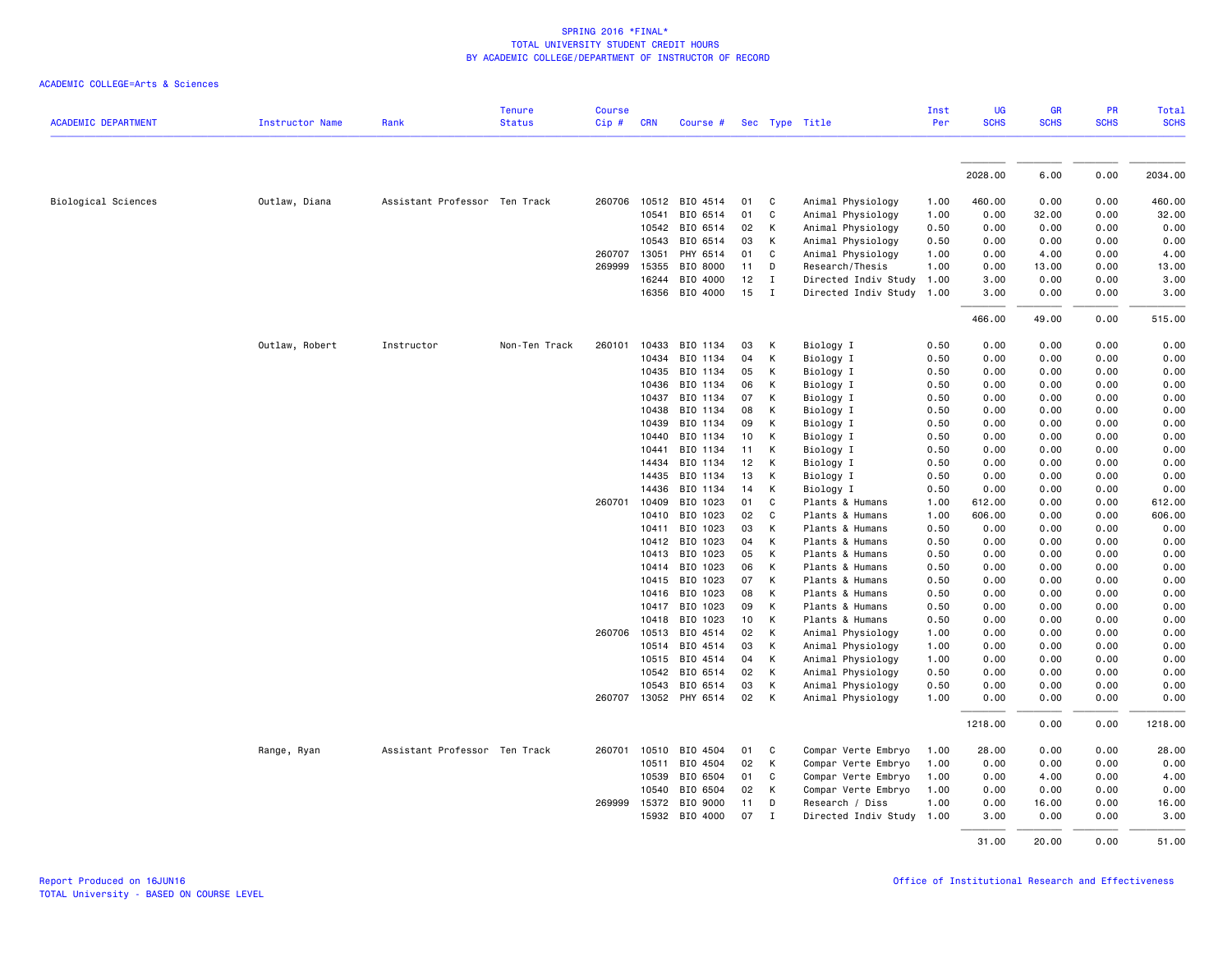| <b>ACADEMIC DEPARTMENT</b> | <b>Instructor Name</b> | Rank                          | <b>Tenure</b><br><b>Status</b> | <b>Course</b><br>Cip# | <b>CRN</b>   | Course # |    |                | Sec Type Title            | Inst<br>Per | <b>UG</b><br><b>SCHS</b> | <b>GR</b><br><b>SCHS</b> | PR<br><b>SCHS</b> | Total<br><b>SCHS</b> |
|----------------------------|------------------------|-------------------------------|--------------------------------|-----------------------|--------------|----------|----|----------------|---------------------------|-------------|--------------------------|--------------------------|-------------------|----------------------|
|                            |                        |                               |                                |                       |              |          |    |                |                           |             |                          |                          |                   |                      |
|                            |                        |                               |                                |                       |              |          |    |                |                           |             | 2028.00                  | 6.00                     | 0.00              | 2034.00              |
| Biological Sciences        | Outlaw, Diana          | Assistant Professor Ten Track |                                | 260706                | 10512        | BIO 4514 | 01 | C              | Animal Physiology         | 1.00        | 460.00                   | 0.00                     | 0.00              | 460.00               |
|                            |                        |                               |                                |                       | 10541        | BIO 6514 | 01 | C              | Animal Physiology         | 1.00        | 0.00                     | 32.00                    | 0.00              | 32.00                |
|                            |                        |                               |                                |                       | 10542        | BIO 6514 | 02 | K              | Animal Physiology         | 0.50        | 0.00                     | 0.00                     | 0.00              | 0.00                 |
|                            |                        |                               |                                |                       | 10543        | BIO 6514 | 03 | К              | Animal Physiology         | 0.50        | 0.00                     | 0.00                     | 0.00              | 0.00                 |
|                            |                        |                               |                                | 260707                | 13051        | PHY 6514 | 01 | C              | Animal Physiology         | 1.00        | 0.00                     | 4.00                     | 0.00              | 4.00                 |
|                            |                        |                               |                                | 269999                | 15355        | BIO 8000 | 11 | D              | Research/Thesis           | 1.00        | 0.00                     | 13.00                    | 0.00              | 13.00                |
|                            |                        |                               |                                |                       | 16244        | BIO 4000 | 12 | $\blacksquare$ | Directed Indiv Study      | 1.00        | 3.00                     | 0.00                     | 0.00              | 3.00                 |
|                            |                        |                               |                                |                       | 16356        | BIO 4000 | 15 | $\blacksquare$ | Directed Indiv Study 1.00 |             | 3.00                     | 0.00                     | 0.00              | 3.00                 |
|                            |                        |                               |                                |                       |              |          |    |                |                           |             | 466.00                   | 49.00                    | 0.00              | 515.00               |
|                            | Outlaw, Robert         | Instructor                    | Non-Ten Track                  | 260101                | 10433        | BIO 1134 | 03 | K              | Biology I                 | 0.50        | 0.00                     | 0.00                     | 0.00              | 0.00                 |
|                            |                        |                               |                                |                       | 10434        | BIO 1134 | 04 | K              | Biology I                 | 0.50        | 0.00                     | 0.00                     | 0.00              | 0.00                 |
|                            |                        |                               |                                |                       | 10435        | BIO 1134 | 05 | К              | Biology I                 | 0.50        | 0.00                     | 0.00                     | 0.00              | 0.00                 |
|                            |                        |                               |                                |                       | 10436        | BIO 1134 | 06 | К              | Biology I                 | 0.50        | 0.00                     | 0.00                     | 0.00              | 0.00                 |
|                            |                        |                               |                                |                       | 10437        | BIO 1134 | 07 | К              | Biology I                 | 0.50        | 0.00                     | 0.00                     | 0.00              | 0.00                 |
|                            |                        |                               |                                |                       | 10438        | BIO 1134 | 08 | K              | Biology I                 | 0.50        | 0.00                     | 0.00                     | 0.00              | 0.00                 |
|                            |                        |                               |                                |                       | 10439        | BIO 1134 | 09 | К              | Biology I                 | 0.50        | 0.00                     | 0.00                     | 0.00              | 0.00                 |
|                            |                        |                               |                                |                       | 10440        | BIO 1134 | 10 | К              | Biology I                 | 0.50        | 0.00                     | 0.00                     | 0.00              | 0.00                 |
|                            |                        |                               |                                |                       | 10441        | BIO 1134 | 11 | К              | Biology I                 | 0.50        | 0.00                     | 0.00                     | 0.00              | 0.00                 |
|                            |                        |                               |                                |                       | 14434        | BIO 1134 | 12 | К              | Biology I                 | 0.50        | 0.00                     | 0.00                     | 0.00              | 0.00                 |
|                            |                        |                               |                                |                       | 14435        | BIO 1134 | 13 | К              | Biology I                 | 0.50        | 0.00                     | 0.00                     | 0.00              | 0.00                 |
|                            |                        |                               |                                |                       | 14436        | BIO 1134 | 14 | К              | Biology I                 | 0.50        | 0.00                     | 0.00                     | 0.00              | 0.00                 |
|                            |                        |                               |                                | 260701                | 10409        | BIO 1023 | 01 | C              | Plants & Humans           | 1.00        | 612.00                   | 0.00                     | 0.00              | 612.00               |
|                            |                        |                               |                                |                       | 10410        | BIO 1023 | 02 | C              | Plants & Humans           | 1.00        | 606.00                   | 0.00                     | 0.00              | 606.00               |
|                            |                        |                               |                                |                       | 10411        | BIO 1023 | 03 | К              | Plants & Humans           | 0.50        | 0.00                     | 0.00                     | 0.00              | 0.00                 |
|                            |                        |                               |                                |                       | 10412        | BIO 1023 | 04 | K              | Plants & Humans           | 0.50        | 0.00                     | 0.00                     | 0.00              | 0.00                 |
|                            |                        |                               |                                |                       | 10413        | BIO 1023 | 05 | K              | Plants & Humans           | 0.50        | 0.00                     | 0.00                     | 0.00              | 0.00                 |
|                            |                        |                               |                                |                       | 10414        | BIO 1023 | 06 | K              | Plants & Humans           | 0.50        | 0.00                     | 0.00                     | 0.00              | 0.00                 |
|                            |                        |                               |                                |                       | 10415        | BIO 1023 | 07 | К              | Plants & Humans           | 0.50        | 0.00                     | 0.00                     | 0.00              | 0.00                 |
|                            |                        |                               |                                |                       | 10416        | BIO 1023 | 08 | K              | Plants & Humans           | 0.50        | 0.00                     | 0.00                     | 0.00              | 0.00                 |
|                            |                        |                               |                                |                       | 10417        | BIO 1023 | 09 | К              | Plants & Humans           | 0.50        | 0.00                     | 0.00                     | 0.00              | 0.00                 |
|                            |                        |                               |                                |                       | 10418        | BIO 1023 | 10 | К              | Plants & Humans           | 0.50        | 0.00                     | 0.00                     | 0.00              | 0.00                 |
|                            |                        |                               |                                |                       | 260706 10513 | BIO 4514 | 02 | К              | Animal Physiology         | 1.00        | 0.00                     | 0.00                     | 0.00              | 0.00                 |
|                            |                        |                               |                                |                       | 10514        | BIO 4514 | 03 | K              | Animal Physiology         | 1.00        | 0.00                     | 0.00                     | 0.00              | 0.00                 |
|                            |                        |                               |                                |                       | 10515        | BIO 4514 | 04 | К              | Animal Physiology         | 1.00        | 0.00                     | 0.00                     | 0.00              | 0.00                 |
|                            |                        |                               |                                |                       | 10542        | BIO 6514 | 02 | К              | Animal Physiology         | 0.50        | 0.00                     | 0.00                     | 0.00              | 0.00                 |
|                            |                        |                               |                                |                       | 10543        | BIO 6514 | 03 | К              | Animal Physiology         | 0.50        | 0.00                     | 0.00                     | 0.00              | 0.00                 |
|                            |                        |                               |                                | 260707                | 13052        | PHY 6514 | 02 | К              | Animal Physiology         | 1.00        | 0.00                     | 0.00                     | 0.00              | 0.00                 |
|                            |                        |                               |                                |                       |              |          |    |                |                           |             | 1218.00                  | 0.00                     | 0.00              | 1218.00              |
|                            | Range, Ryan            | Assistant Professor Ten Track |                                |                       | 260701 10510 | BIO 4504 | 01 | C              | Compar Verte Embryo       | 1.00        | 28.00                    | 0.00                     | 0.00              | 28.00                |
|                            |                        |                               |                                |                       | 10511        | BIO 4504 | 02 | K              | Compar Verte Embryo       | 1.00        | 0.00                     | 0.00                     | 0.00              | 0.00                 |
|                            |                        |                               |                                |                       | 10539        | BIO 6504 | 01 | C              | Compar Verte Embryo       | 1.00        | 0.00                     | 4.00                     | 0.00              | 4.00                 |
|                            |                        |                               |                                |                       | 10540        | BIO 6504 | 02 | К              | Compar Verte Embryo       | 1.00        | 0.00                     | 0.00                     | 0.00              | 0.00                 |
|                            |                        |                               |                                | 269999                | 15372        | BIO 9000 | 11 | D              | Research / Diss           | 1.00        | 0.00                     | 16.00                    | 0.00              | 16.00                |
|                            |                        |                               |                                |                       | 15932        | BIO 4000 | 07 | $\mathbf I$    | Directed Indiv Study      | 1.00        | 3.00                     | 0.00                     | 0.00              | 3.00                 |
|                            |                        |                               |                                |                       |              |          |    |                |                           |             | 31.00                    | 20.00                    | 0.00              | 51.00                |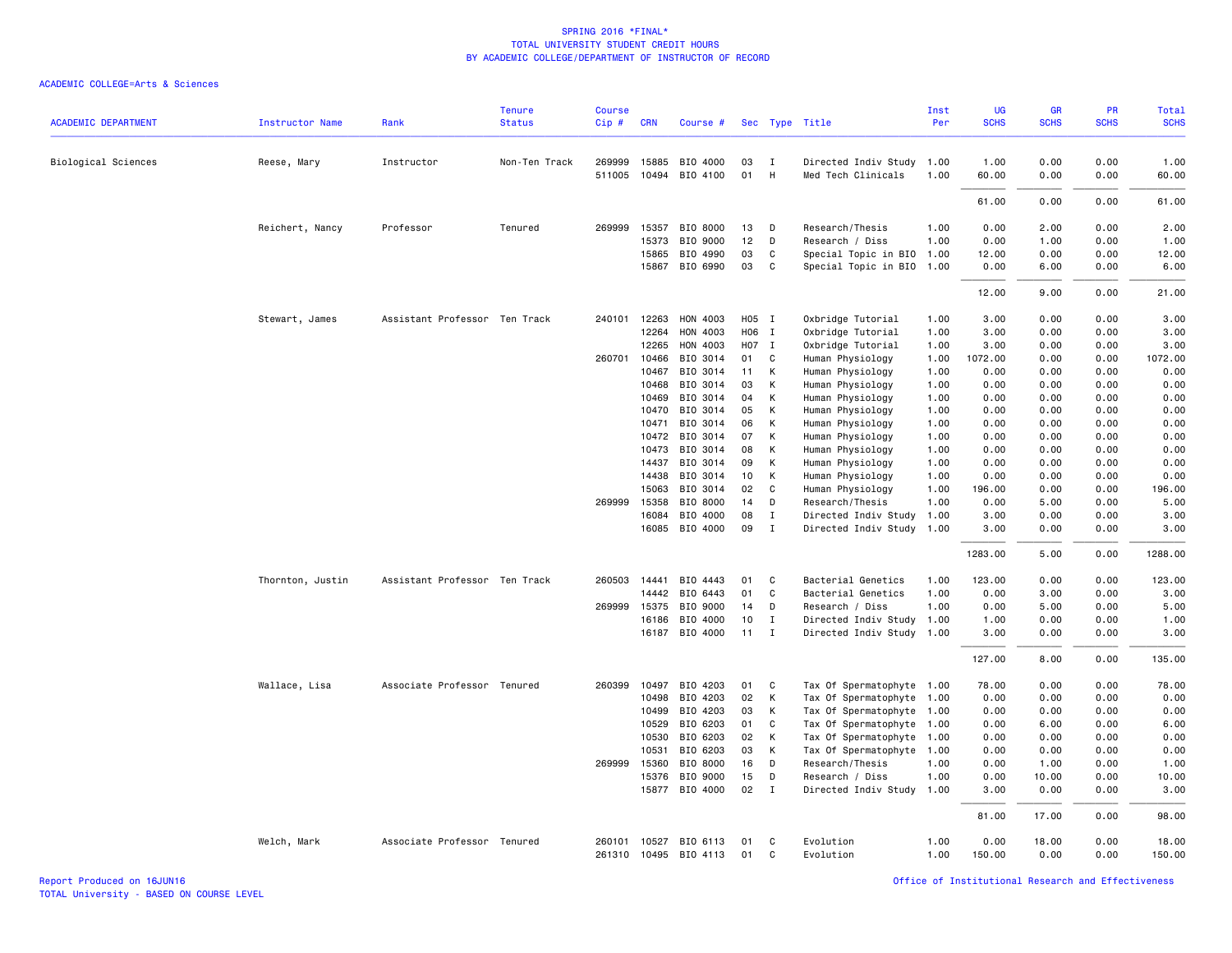| <b>ACADEMIC DEPARTMENT</b> | <b>Instructor Name</b> | Rank                          | <b>Tenure</b><br><b>Status</b> | <b>Course</b>    | <b>CRN</b>     | Course #                         |          |                  |                                     | Inst<br>Per  | UG<br><b>SCHS</b> | GR<br><b>SCHS</b> | PR<br><b>SCHS</b> | Total<br><b>SCHS</b> |
|----------------------------|------------------------|-------------------------------|--------------------------------|------------------|----------------|----------------------------------|----------|------------------|-------------------------------------|--------------|-------------------|-------------------|-------------------|----------------------|
|                            |                        |                               |                                | Cip #            |                |                                  |          |                  | Sec Type Title                      |              |                   |                   |                   |                      |
| Biological Sciences        | Reese, Mary            | Instructor                    | Non-Ten Track                  | 269999           | 15885          | BIO 4000                         | 03       | I                | Directed Indiv Study                | 1.00         | 1.00              | 0.00              | 0.00              | 1.00                 |
|                            |                        |                               |                                | 511005           |                | 10494 BIO 4100                   | 01       | H                | Med Tech Clinicals                  | 1.00         | 60.00             | 0.00              | 0.00              | 60.00                |
|                            |                        |                               |                                |                  |                |                                  |          |                  |                                     |              | 61.00             | 0.00              | 0.00              | 61.00                |
|                            | Reichert, Nancy        | Professor                     | Tenured                        | 269999           | 15357          | BIO 8000                         | 13       | D                | Research/Thesis                     | 1.00         | 0.00              | 2.00              | 0.00              | 2.00                 |
|                            |                        |                               |                                |                  | 15373          | BIO 9000                         | 12       | D                | Research / Diss                     | 1.00         | 0.00              | 1.00              | 0.00              | 1.00                 |
|                            |                        |                               |                                |                  | 15865          | BIO 4990                         | 03       | C                | Special Topic in BIO                | 1.00         | 12.00             | 0.00              | 0.00              | 12.00                |
|                            |                        |                               |                                |                  | 15867          | BIO 6990                         | 03       | C                | Special Topic in BIO 1.00           |              | 0.00              | 6.00              | 0.00              | 6.00                 |
|                            |                        |                               |                                |                  |                |                                  |          |                  |                                     |              | 12.00             | 9.00              | 0.00              | 21.00                |
|                            | Stewart, James         | Assistant Professor Ten Track |                                |                  | 240101 12263   | HON 4003                         | H05 I    |                  | Oxbridge Tutorial                   | 1.00         | 3.00              | 0.00              | 0.00              | 3.00                 |
|                            |                        |                               |                                |                  | 12264          | HON 4003                         | H06 I    |                  | Oxbridge Tutorial                   | 1.00         | 3.00              | 0.00              | 0.00              | 3.00                 |
|                            |                        |                               |                                |                  | 12265          | HON 4003                         | H07 I    |                  | Oxbridge Tutorial                   | 1.00         | 3.00              | 0.00              | 0.00              | 3.00                 |
|                            |                        |                               |                                |                  | 260701 10466   | BIO 3014                         | 01       | C                | Human Physiology                    | 1.00         | 1072.00           | 0.00              | 0.00              | 1072.00              |
|                            |                        |                               |                                |                  | 10467          | BIO 3014                         | 11       | K                | Human Physiology                    | 1.00         | 0.00              | 0.00              | 0.00              | 0.00                 |
|                            |                        |                               |                                |                  | 10468          | BIO 3014                         | 03       | К                | Human Physiology                    | 1.00         | 0.00              | 0.00              | 0.00              | 0.00                 |
|                            |                        |                               |                                |                  | 10469          | BIO 3014                         | 04       | К                | Human Physiology                    | 1.00         | 0.00              | 0.00              | 0.00              | 0.00                 |
|                            |                        |                               |                                |                  | 10470          | BIO 3014                         | 05       | К                | Human Physiology                    | 1.00         | 0.00              | 0.00              | 0.00              | 0.00                 |
|                            |                        |                               |                                |                  | 10471          | BIO 3014                         | 06       | К                | Human Physiology                    | 1.00         | 0.00              | 0.00              | 0.00              | 0.00                 |
|                            |                        |                               |                                |                  | 10472          | BIO 3014                         | 07       | K                | Human Physiology                    | 1.00         | 0.00              | 0.00              | 0.00              | 0.00                 |
|                            |                        |                               |                                |                  | 10473          | BIO 3014                         | 08       | K                | Human Physiology                    | 1.00         | 0.00              | 0.00              | 0.00              | 0.00                 |
|                            |                        |                               |                                |                  | 14437          | BIO 3014                         | 09       | K                | Human Physiology                    | 1.00         | 0.00              | 0.00              | 0.00              | 0.00                 |
|                            |                        |                               |                                |                  | 14438          | BIO 3014                         | 10<br>02 | К                | Human Physiology                    | 1.00         | 0.00              | 0.00              | 0.00              | 0.00                 |
|                            |                        |                               |                                | 269999           | 15063<br>15358 | BIO 3014<br>BIO 8000             | 14       | C<br>D           | Human Physiology<br>Research/Thesis | 1.00<br>1.00 | 196.00<br>0.00    | 0.00<br>5.00      | 0.00<br>0.00      | 196.00<br>5.00       |
|                            |                        |                               |                                |                  | 16084          | BIO 4000                         | 08       | $\mathbf I$      | Directed Indiv Study                | 1.00         | 3.00              | 0.00              | 0.00              | 3.00                 |
|                            |                        |                               |                                |                  | 16085          | BIO 4000                         | 09       | Ι.               | Directed Indiv Study                | 1.00         | 3.00              | 0.00              | 0.00              | 3.00                 |
|                            |                        |                               |                                |                  |                |                                  |          |                  |                                     |              | 1283.00           | 5.00              | 0.00              | 1288.00              |
|                            | Thornton, Justin       | Assistant Professor Ten Track |                                | 260503           | 14441          | BIO 4443                         | 01       | C.               | Bacterial Genetics                  | 1.00         | 123.00            | 0.00              | 0.00              | 123.00               |
|                            |                        |                               |                                |                  | 14442          | BIO 6443                         | 01       | C                | Bacterial Genetics                  | 1.00         | 0.00              | 3.00              | 0.00              | 3.00                 |
|                            |                        |                               |                                | 269999           | 15375          | BIO 9000                         | 14       | D                | Research / Diss                     | 1.00         | 0.00              | 5.00              | 0.00              | 5.00                 |
|                            |                        |                               |                                |                  | 16186          | BIO 4000                         | 10       | $\mathbf{I}$     | Directed Indiv Study                | 1.00         | 1.00              | 0.00              | 0.00              | 1.00                 |
|                            |                        |                               |                                |                  |                | 16187 BIO 4000                   | 11       | I                | Directed Indiv Study 1.00           |              | 3.00              | 0.00              | 0.00              | 3.00                 |
|                            |                        |                               |                                |                  |                |                                  |          |                  |                                     |              | 127.00            | 8.00              | 0.00              | 135.00               |
|                            | Wallace, Lisa          | Associate Professor Tenured   |                                | 260399           | 10497          | BIO 4203                         | 01       | C                | Tax Of Spermatophyte 1.00           |              | 78.00             | 0.00              | 0.00              | 78.00                |
|                            |                        |                               |                                |                  | 10498          | BIO 4203                         | 02       | K                | Tax Of Spermatophyte 1.00           |              | 0.00              | 0.00              | 0.00              | 0.00                 |
|                            |                        |                               |                                |                  | 10499          | BIO 4203                         | 03       | К                | Tax Of Spermatophyte 1.00           |              | 0.00              | 0.00              | 0.00              | 0.00                 |
|                            |                        |                               |                                |                  | 10529          | BIO 6203                         | 01       | C                | Tax Of Spermatophyte 1.00           |              | 0.00              | 6.00              | 0.00              | 6.00                 |
|                            |                        |                               |                                |                  | 10530          | BIO 6203                         | 02       | К                | Tax Of Spermatophyte 1.00           |              | 0.00              | 0.00              | 0.00              | 0.00                 |
|                            |                        |                               |                                |                  | 10531          | BIO 6203                         | 03       | K                | Tax Of Spermatophyte                | 1.00         | 0.00              | 0.00              | 0.00              | 0.00                 |
|                            |                        |                               |                                | 269999           | 15360          | BIO 8000                         | 16       | D                | Research/Thesis                     | 1.00         | 0.00              | 1.00              | 0.00              | 1.00                 |
|                            |                        |                               |                                |                  | 15376          | BIO 9000                         | 15       | D                | Research / Diss                     | 1.00         | 0.00              | 10.00             | 0.00              | 10.00                |
|                            |                        |                               |                                |                  | 15877          | BIO 4000                         | 02       | $\mathbf{I}$     | Directed Indiv Study                | 1.00         | 3.00              | 0.00              | 0.00              | 3.00                 |
|                            |                        |                               |                                |                  |                |                                  |          |                  |                                     |              | 81.00             | 17.00             | 0.00              | 98.00                |
|                            | Welch, Mark            | Associate Professor Tenured   |                                | 260101<br>261310 |                | 10527 BIO 6113<br>10495 BIO 4113 | 01<br>01 | C<br>$\mathbf C$ | Evolution<br>Evolution              | 1.00<br>1.00 | 0.00<br>150.00    | 18.00<br>0.00     | 0.00<br>0.00      | 18.00<br>150.00      |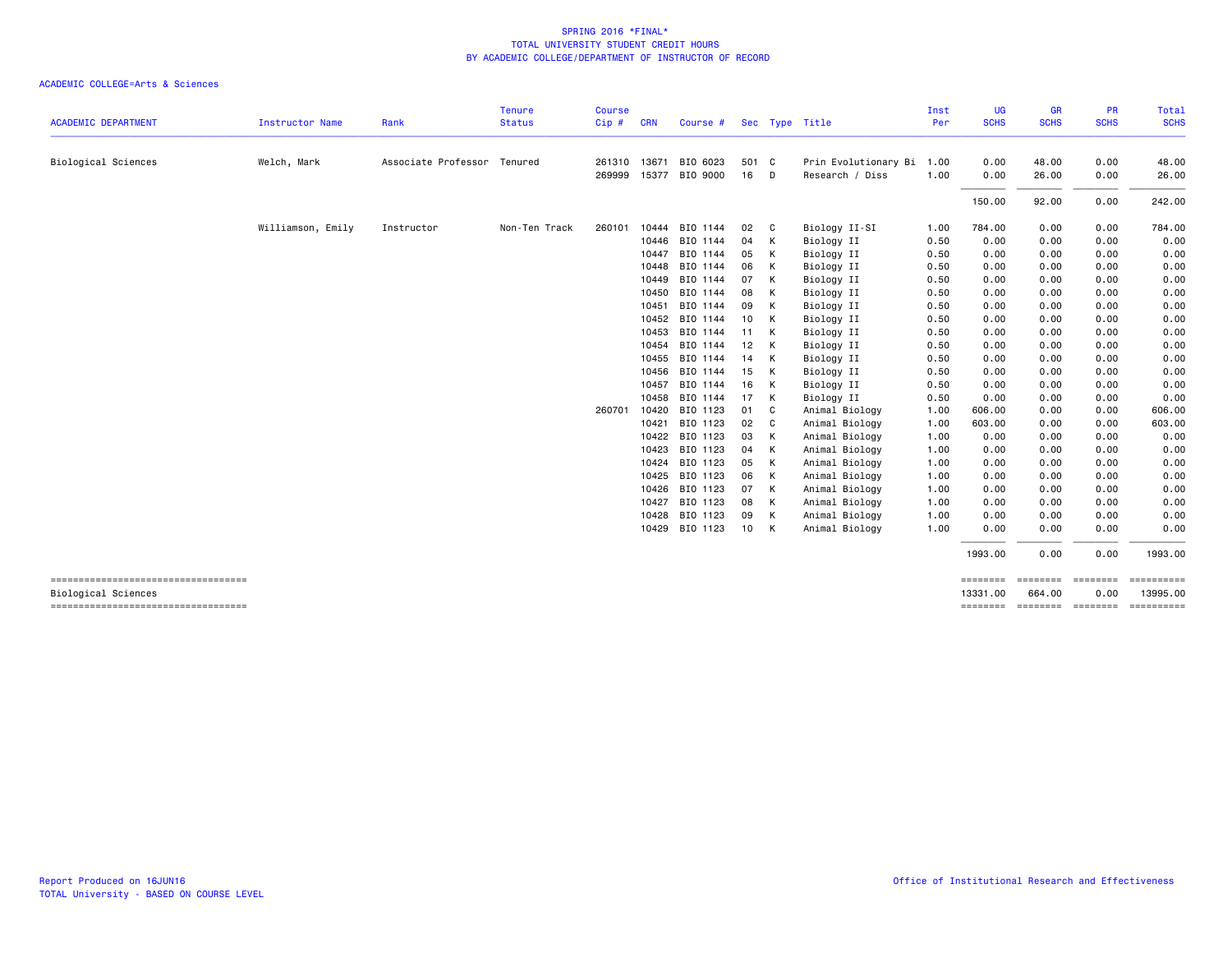|                                                                  |                        |                             | <b>Tenure</b> | <b>Course</b> |              |          |       |              |                      | Inst | <b>UG</b><br><b>SCHS</b> | <b>GR</b><br><b>SCHS</b> | <b>PR</b><br><b>SCHS</b> | Total<br><b>SCHS</b>               |
|------------------------------------------------------------------|------------------------|-----------------------------|---------------|---------------|--------------|----------|-------|--------------|----------------------|------|--------------------------|--------------------------|--------------------------|------------------------------------|
| <b>ACADEMIC DEPARTMENT</b>                                       | <b>Instructor Name</b> | Rank                        | <b>Status</b> | Cip#          | <b>CRN</b>   | Course # |       |              | Sec Type Title       | Per  |                          |                          |                          |                                    |
| <b>Biological Sciences</b>                                       | Welch, Mark            | Associate Professor Tenured |               | 261310        | 13671        | BIO 6023 | 501 C |              | Prin Evolutionary Bi | 1.00 | 0.00                     | 48.00                    | 0.00                     | 48.00                              |
|                                                                  |                        |                             |               |               | 269999 15377 | BIO 9000 | 16    | D.           | Research / Diss      | 1.00 | 0.00                     | 26.00                    | 0.00                     | 26.00                              |
|                                                                  |                        |                             |               |               |              |          |       |              |                      |      | 150.00                   | 92.00                    | 0.00                     | 242.00                             |
|                                                                  | Williamson, Emily      | Instructor                  | Non-Ten Track | 260101        | 10444        | BIO 1144 | 02    | $\mathbf{C}$ | Biology II-SI        | 1.00 | 784.00                   | 0.00                     | 0.00                     | 784.00                             |
|                                                                  |                        |                             |               |               | 10446        | BIO 1144 | 04    | К            | Biology II           | 0.50 | 0.00                     | 0.00                     | 0.00                     | 0.00                               |
|                                                                  |                        |                             |               |               | 10447        | BIO 1144 | 05    | К            | Biology II           | 0.50 | 0.00                     | 0.00                     | 0.00                     | 0.00                               |
|                                                                  |                        |                             |               |               | 10448        | BIO 1144 | 06    | К            | Biology II           | 0.50 | 0.00                     | 0.00                     | 0.00                     | 0.00                               |
|                                                                  |                        |                             |               |               | 10449        | BIO 1144 | 07    | К            | Biology II           | 0.50 | 0.00                     | 0.00                     | 0.00                     | 0.00                               |
|                                                                  |                        |                             |               |               | 10450        | BIO 1144 | 08    | К            | Biology II           | 0.50 | 0.00                     | 0.00                     | 0.00                     | 0.00                               |
|                                                                  |                        |                             |               |               | 10451        | BIO 1144 | 09    | К            | Biology II           | 0.50 | 0.00                     | 0.00                     | 0.00                     | 0.00                               |
|                                                                  |                        |                             |               |               | 10452        | BIO 1144 | 10    | К            | Biology II           | 0.50 | 0.00                     | 0.00                     | 0.00                     | 0.00                               |
|                                                                  |                        |                             |               |               | 10453        | BIO 1144 | 11    | K            | Biology II           | 0.50 | 0.00                     | 0.00                     | 0.00                     | 0.00                               |
|                                                                  |                        |                             |               |               | 10454        | BIO 1144 | 12    | К            | Biology II           | 0.50 | 0.00                     | 0.00                     | 0.00                     | 0.00                               |
|                                                                  |                        |                             |               |               | 10455        | BIO 1144 | 14    | К            | Biology II           | 0.50 | 0.00                     | 0.00                     | 0.00                     | 0.00                               |
|                                                                  |                        |                             |               |               | 10456        | BIO 1144 | 15    | K            | Biology II           | 0.50 | 0.00                     | 0.00                     | 0.00                     | 0.00                               |
|                                                                  |                        |                             |               |               | 10457        | BIO 1144 | 16    | К            | Biology II           | 0.50 | 0.00                     | 0.00                     | 0.00                     | 0.00                               |
|                                                                  |                        |                             |               |               | 10458        | BIO 1144 | 17    | K            | Biology II           | 0.50 | 0.00                     | 0.00                     | 0.00                     | 0.00                               |
|                                                                  |                        |                             |               | 260701        | 10420        | BIO 1123 | 01    | - C          | Animal Biology       | 1.00 | 606,00                   | 0.00                     | 0.00                     | 606.00                             |
|                                                                  |                        |                             |               |               | 10421        | BIO 1123 | 02    | C            | Animal Biology       | 1.00 | 603.00                   | 0.00                     | 0.00                     | 603.00                             |
|                                                                  |                        |                             |               |               | 10422        | BIO 1123 | 03    | K            | Animal Biology       | 1.00 | 0.00                     | 0.00                     | 0.00                     | 0.00                               |
|                                                                  |                        |                             |               |               | 10423        | BIO 1123 | 04    | K            | Animal Biology       | 1.00 | 0.00                     | 0.00                     | 0.00                     | 0.00                               |
|                                                                  |                        |                             |               |               | 10424        | BIO 1123 | 05    | К            | Animal Biology       | 1.00 | 0.00                     | 0.00                     | 0.00                     | 0.00                               |
|                                                                  |                        |                             |               |               | 10425        | BIO 1123 | 06    | K            | Animal Biology       | 1.00 | 0.00                     | 0.00                     | 0.00                     | 0.00                               |
|                                                                  |                        |                             |               |               | 10426        | BIO 1123 | 07    | K            | Animal Biology       | 1.00 | 0.00                     | 0.00                     | 0.00                     | 0.00                               |
|                                                                  |                        |                             |               |               | 10427        | BIO 1123 | 08    | K            | Animal Biology       | 1.00 | 0.00                     | 0.00                     | 0.00                     | 0.00                               |
|                                                                  |                        |                             |               |               | 10428        | BIO 1123 | 09    | K            | Animal Biology       | 1.00 | 0.00                     | 0.00                     | 0.00                     | 0.00                               |
|                                                                  |                        |                             |               |               | 10429        | BIO 1123 | 10    | K            | Animal Biology       | 1.00 | 0.00                     | 0.00                     | 0.00                     | 0.00                               |
|                                                                  |                        |                             |               |               |              |          |       |              |                      |      | 1993.00                  | 0.00                     | 0.00                     | 1993.00                            |
| ----------------------------------<br><b>Biological Sciences</b> |                        |                             |               |               |              |          |       |              |                      |      | ========<br>13331.00     | ========<br>664.00       | ========<br>0.00         | ==========<br>13995.00             |
| -----------------------------------                              |                        |                             |               |               |              |          |       |              |                      |      |                          |                          |                          | -------- ------- ------- --------- |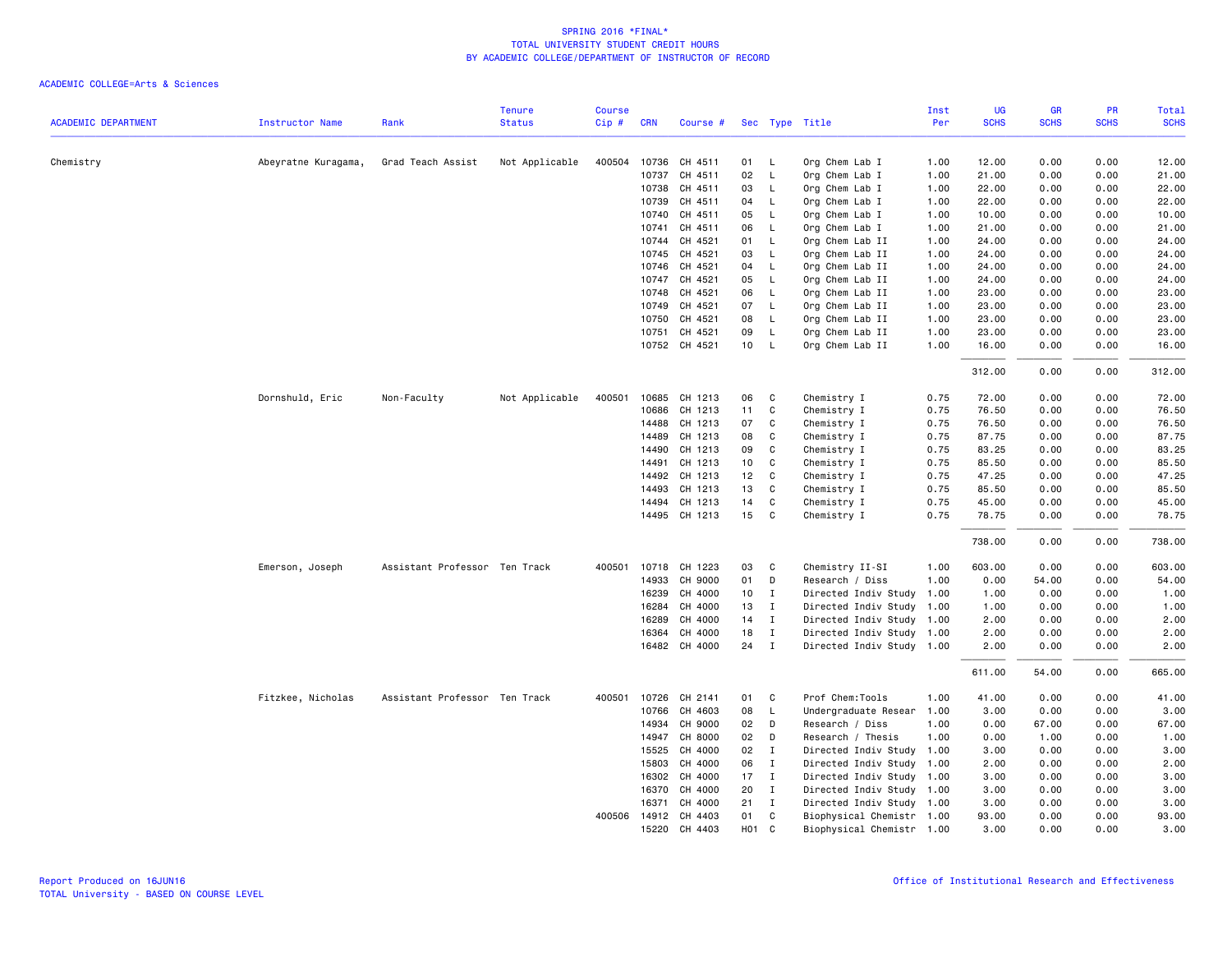|                            |                        |                               | <b>Tenure</b>  | <b>Course</b> |            |               |                  |                |                           | Inst | UG          | <b>GR</b>   | PR          | Total       |
|----------------------------|------------------------|-------------------------------|----------------|---------------|------------|---------------|------------------|----------------|---------------------------|------|-------------|-------------|-------------|-------------|
| <b>ACADEMIC DEPARTMENT</b> | <b>Instructor Name</b> | Rank                          | <b>Status</b>  | Cip#          | <b>CRN</b> | Course #      |                  |                | Sec Type Title            | Per  | <b>SCHS</b> | <b>SCHS</b> | <b>SCHS</b> | <b>SCHS</b> |
|                            |                        |                               |                |               |            |               |                  |                |                           |      |             |             |             |             |
| Chemistry                  | Abeyratne Kuragama,    | Grad Teach Assist             | Not Applicable | 400504        | 10736      | CH 4511       | 01               | L.             | Org Chem Lab I            | 1.00 | 12.00       | 0.00        | 0.00        | 12.00       |
|                            |                        |                               |                |               | 10737      | CH 4511       | 02               | $\mathsf{L}$   | Org Chem Lab I            | 1.00 | 21.00       | 0.00        | 0.00        | 21.00       |
|                            |                        |                               |                |               | 10738      | CH 4511       | 03               | L.             | Org Chem Lab I            | 1.00 | 22.00       | 0.00        | 0.00        | 22.00       |
|                            |                        |                               |                |               | 10739      | CH 4511       | 04               | L.             | Org Chem Lab I            | 1.00 | 22.00       | 0.00        | 0.00        | 22.00       |
|                            |                        |                               |                |               | 10740      | CH 4511       | 05               | $\mathsf{L}$   | Org Chem Lab I            | 1.00 | 10.00       | 0.00        | 0.00        | 10.00       |
|                            |                        |                               |                |               | 10741      | CH 4511       | 06               | L.             | Org Chem Lab I            | 1.00 | 21.00       | 0.00        | 0.00        | 21.00       |
|                            |                        |                               |                |               | 10744      | CH 4521       | 01               | L.             | Org Chem Lab II           | 1.00 | 24.00       | 0.00        | 0.00        | 24.00       |
|                            |                        |                               |                |               | 10745      | CH 4521       | 03               | L.             | Org Chem Lab II           | 1.00 | 24.00       | 0.00        | 0.00        | 24.00       |
|                            |                        |                               |                |               | 10746      | CH 4521       | 04               | $\mathsf{L}$   | Org Chem Lab II           | 1.00 | 24.00       | 0.00        | 0.00        | 24.00       |
|                            |                        |                               |                |               | 10747      | CH 4521       | 05               | L              | Org Chem Lab II           | 1.00 | 24.00       | 0.00        | 0.00        | 24.00       |
|                            |                        |                               |                |               | 10748      | CH 4521       | 06               | $\mathsf{L}$   | Org Chem Lab II           | 1.00 | 23.00       | 0.00        | 0.00        | 23.00       |
|                            |                        |                               |                |               | 10749      | CH 4521       | 07               | $\mathsf{L}$   | Org Chem Lab II           | 1.00 | 23.00       | 0.00        | 0.00        | 23.00       |
|                            |                        |                               |                |               | 10750      | CH 4521       | 08               | L              | Org Chem Lab II           | 1.00 | 23.00       | 0.00        | 0.00        | 23.00       |
|                            |                        |                               |                |               | 10751      | CH 4521       | 09               | L              | Org Chem Lab II           | 1.00 | 23.00       | 0.00        | 0.00        | 23.00       |
|                            |                        |                               |                |               |            | 10752 CH 4521 | 10 <sup>1</sup>  | $\mathsf{L}$   | Org Chem Lab II           | 1.00 | 16.00       | 0.00        | 0.00        | 16.00       |
|                            |                        |                               |                |               |            |               |                  |                |                           |      | 312.00      | 0.00        | 0.00        | 312.00      |
|                            | Dornshuld, Eric        | Non-Faculty                   | Not Applicable | 400501        | 10685      | CH 1213       | 06               | C              | Chemistry I               | 0.75 | 72.00       | 0.00        | 0.00        | 72.00       |
|                            |                        |                               |                |               | 10686      | CH 1213       | 11               | C              | Chemistry I               | 0.75 | 76.50       | 0.00        | 0.00        | 76.50       |
|                            |                        |                               |                |               | 14488      | CH 1213       | 07               | C              | Chemistry I               | 0.75 | 76.50       | 0.00        | 0.00        | 76.50       |
|                            |                        |                               |                |               | 14489      | CH 1213       | 08               | C              | Chemistry I               | 0.75 | 87.75       | 0.00        | 0.00        | 87.75       |
|                            |                        |                               |                |               | 14490      | CH 1213       | 09               | C              | Chemistry I               | 0.75 | 83.25       | 0.00        | 0.00        | 83.25       |
|                            |                        |                               |                |               | 14491      | CH 1213       | 10               | C              | Chemistry I               | 0.75 | 85.50       | 0.00        | 0.00        | 85.50       |
|                            |                        |                               |                |               | 14492      | CH 1213       | 12               | C              | Chemistry I               | 0.75 | 47.25       | 0.00        | 0.00        | 47.25       |
|                            |                        |                               |                |               | 14493      | CH 1213       | 13               | <b>C</b>       | Chemistry I               | 0.75 | 85.50       | 0.00        | 0.00        | 85.50       |
|                            |                        |                               |                |               | 14494      | CH 1213       | 14               | $\mathbf{C}$   | Chemistry I               | 0.75 | 45.00       | 0.00        | 0.00        | 45.00       |
|                            |                        |                               |                |               |            | 14495 CH 1213 | 15               | C              | Chemistry I               | 0.75 | 78.75       | 0.00        | 0.00        | 78.75       |
|                            |                        |                               |                |               |            |               |                  |                |                           |      | 738.00      | 0.00        | 0.00        | 738.00      |
|                            | Emerson, Joseph        | Assistant Professor Ten Track |                | 400501        |            | 10718 CH 1223 | 03               | C              | Chemistry II-SI           | 1.00 | 603.00      | 0.00        | 0.00        | 603.00      |
|                            |                        |                               |                |               | 14933      | CH 9000       | 01               | D              | Research / Diss           | 1.00 | 0.00        | 54.00       | 0.00        | 54.00       |
|                            |                        |                               |                |               | 16239      | CH 4000       | 10 <sup>1</sup>  | $\mathbf{I}$   | Directed Indiv Study      | 1.00 | 1.00        | 0.00        | 0.00        | 1.00        |
|                            |                        |                               |                |               | 16284      | CH 4000       | 13               | $\mathbf{I}$   | Directed Indiv Study 1.00 |      | 1.00        | 0.00        | 0.00        | 1.00        |
|                            |                        |                               |                |               | 16289      | CH 4000       | 14               | $\mathbf{I}$   | Directed Indiv Study 1.00 |      | 2.00        | 0.00        | 0.00        | 2.00        |
|                            |                        |                               |                |               | 16364      | CH 4000       | 18               | $\mathbf I$    | Directed Indiv Study 1.00 |      | 2.00        | 0.00        | 0.00        | 2.00        |
|                            |                        |                               |                |               |            | 16482 CH 4000 | 24               | $\mathbf{I}$   | Directed Indiv Study 1.00 |      | 2.00        | 0.00        | 0.00        | 2.00        |
|                            |                        |                               |                |               |            |               |                  |                |                           |      | 611.00      | 54.00       | 0.00        | 665.00      |
|                            | Fitzkee, Nicholas      | Assistant Professor Ten Track |                | 400501        | 10726      | CH 2141       | 01               | $\mathbf{C}$   | Prof Chem:Tools           | 1.00 | 41.00       | 0.00        | 0.00        | 41.00       |
|                            |                        |                               |                |               | 10766      | CH 4603       | 08               | L              | Undergraduate Resear      | 1.00 | 3.00        | 0.00        | 0.00        | 3.00        |
|                            |                        |                               |                |               | 14934      | CH 9000       | 02               | $\mathsf{D}$   | Research / Diss           | 1.00 | 0.00        | 67.00       | 0.00        | 67.00       |
|                            |                        |                               |                |               | 14947      | CH 8000       | 02               | D              | Research / Thesis         | 1.00 | 0.00        | 1.00        | 0.00        | 1.00        |
|                            |                        |                               |                |               | 15525      | CH 4000       | 02               | $\mathbf{I}$   | Directed Indiv Study      | 1.00 | 3.00        | 0.00        | 0.00        | 3.00        |
|                            |                        |                               |                |               | 15803      | CH 4000       | 06               | $\mathbf{I}$   | Directed Indiv Study 1.00 |      | 2.00        | 0.00        | 0.00        | 2.00        |
|                            |                        |                               |                |               | 16302      | CH 4000       | 17               | $\mathbf{I}$   | Directed Indiv Study 1.00 |      | 3.00        | 0.00        | 0.00        | 3.00        |
|                            |                        |                               |                |               | 16370      | CH 4000       | 20               | $\mathbf{I}$   | Directed Indiv Study 1.00 |      | 3.00        | 0.00        | 0.00        | 3.00        |
|                            |                        |                               |                |               | 16371      | CH 4000       | 21               | $\mathbf{I}$   | Directed Indiv Study 1.00 |      | 3.00        | 0.00        | 0.00        | 3.00        |
|                            |                        |                               |                | 400506        |            | 14912 CH 4403 | 01               | C <sub>c</sub> | Biophysical Chemistr 1.00 |      | 93.00       | 0.00        | 0.00        | 93.00       |
|                            |                        |                               |                |               | 15220      | CH 4403       | H <sub>0</sub> 1 | C              | Biophysical Chemistr 1.00 |      | 3.00        | 0.00        | 0.00        | 3.00        |
|                            |                        |                               |                |               |            |               |                  |                |                           |      |             |             |             |             |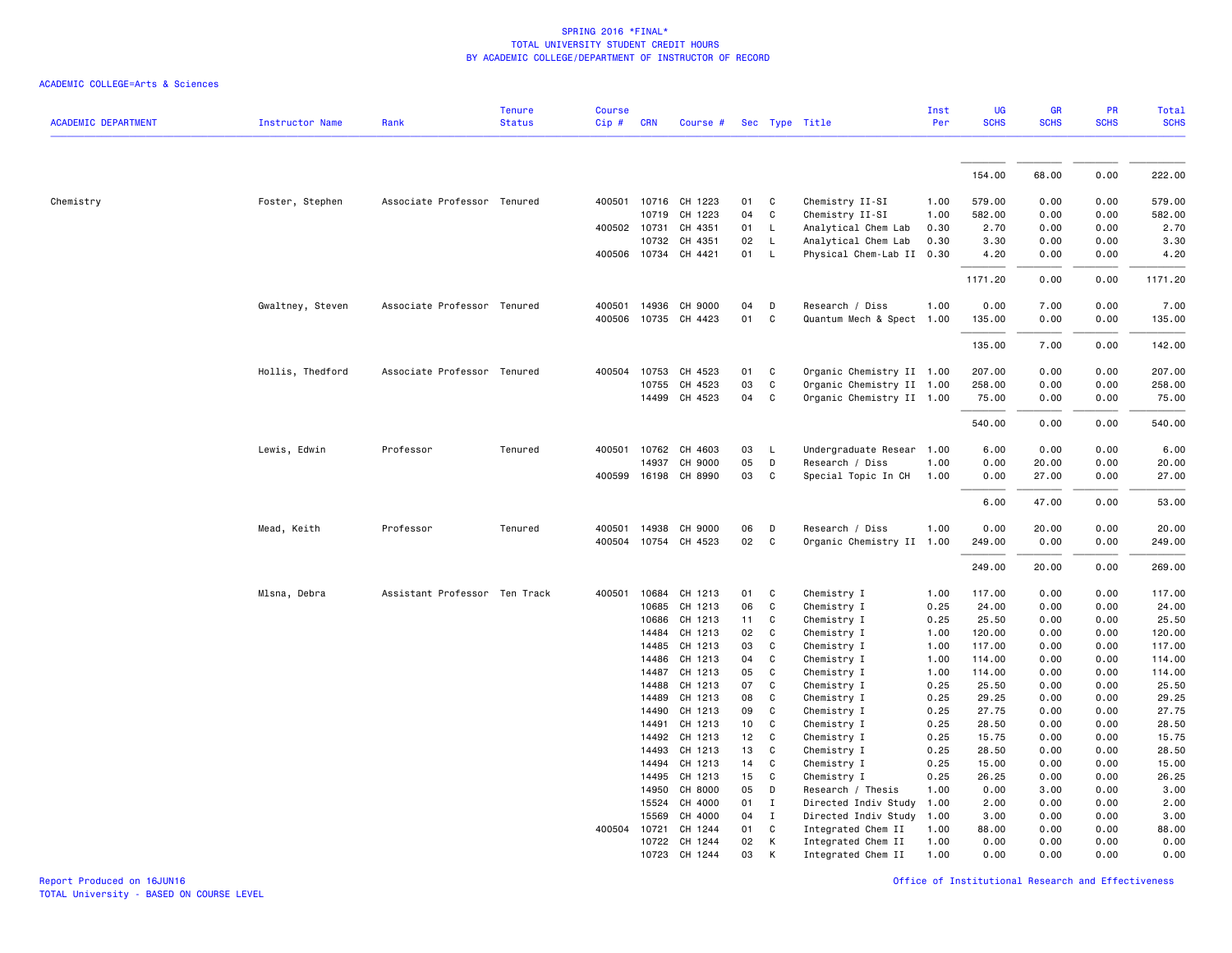|                            |                        |                               | <b>Tenure</b> | Course |                |                      |          |                   |                            | Inst         | UG               | GR           | PR           | <b>Total</b>     |
|----------------------------|------------------------|-------------------------------|---------------|--------|----------------|----------------------|----------|-------------------|----------------------------|--------------|------------------|--------------|--------------|------------------|
| <b>ACADEMIC DEPARTMENT</b> | <b>Instructor Name</b> | Rank                          | <b>Status</b> | Cip#   | <b>CRN</b>     | Course #             |          |                   | Sec Type Title             | Per          | <b>SCHS</b>      | <b>SCHS</b>  | <b>SCHS</b>  | <b>SCHS</b>      |
|                            |                        |                               |               |        |                |                      |          |                   |                            |              |                  |              |              |                  |
|                            |                        |                               |               |        |                |                      |          |                   |                            |              | 154.00           | 68.00        | 0.00         | 222.00           |
| Chemistry                  | Foster, Stephen        | Associate Professor Tenured   |               |        |                | 400501 10716 CH 1223 | 01       | C                 | Chemistry II-SI            | 1.00         | 579.00           | 0.00         | 0.00         | 579.00           |
|                            |                        |                               |               |        | 10719          | CH 1223              | 04       | $\mathsf{C}$      | Chemistry II-SI            | 1.00         | 582.00           | 0.00         | 0.00         | 582.00           |
|                            |                        |                               |               |        | 400502 10731   | CH 4351              | 01       | L.                | Analytical Chem Lab        | 0.30         | 2.70             | 0.00         | 0.00         | 2.70             |
|                            |                        |                               |               |        | 10732          | CH 4351              | 02       | $\mathsf{L}$      | Analytical Chem Lab        | 0.30         | 3.30             | 0.00         | 0.00         | 3.30             |
|                            |                        |                               |               |        |                | 400506 10734 CH 4421 | 01       | $\mathsf{L}$      | Physical Chem-Lab II 0.30  |              | 4.20             | 0.00         | 0.00         | 4.20             |
|                            |                        |                               |               |        |                |                      |          |                   |                            |              | 1171.20          | 0.00         | 0.00         | 1171.20          |
|                            | Gwaltney, Steven       | Associate Professor Tenured   |               | 400501 | 14936          | CH 9000              | 04       | D                 | Research / Diss            | 1.00         | 0.00             | 7.00         | 0.00         | 7.00             |
|                            |                        |                               |               | 400506 |                | 10735 CH 4423        | 01       | C                 | Quantum Mech & Spect 1.00  |              | 135.00           | 0.00         | 0.00         | 135.00           |
|                            |                        |                               |               |        |                |                      |          |                   |                            |              |                  |              |              |                  |
|                            |                        |                               |               |        |                |                      |          |                   |                            |              | 135.00           | 7.00         | 0.00         | 142.00           |
|                            | Hollis, Thedford       | Associate Professor Tenured   |               | 400504 | 10753          | CH 4523              | 01       | C                 | Organic Chemistry II 1.00  |              | 207.00           | 0.00         | 0.00         | 207.00           |
|                            |                        |                               |               |        | 10755          | CH 4523              | 03       | $\mathsf{C}$      | Organic Chemistry II 1.00  |              | 258.00           | 0.00         | 0.00         | 258.00           |
|                            |                        |                               |               |        |                | 14499 CH 4523        | 04       | C                 | Organic Chemistry II 1.00  |              | 75.00            | 0.00         | 0.00         | 75.00            |
|                            |                        |                               |               |        |                |                      |          |                   |                            |              | 540.00           | 0.00         | 0.00         | 540.00           |
|                            | Lewis, Edwin           | Professor                     | Tenured       |        |                | 400501 10762 CH 4603 | 03       | $\mathsf{L}$      | Undergraduate Resear       | 1.00         | 6.00             | 0.00         | 0.00         | 6.00             |
|                            |                        |                               |               |        | 14937          | CH 9000              | 05       | D                 | Research / Diss            | 1.00         | 0.00             | 20.00        | 0.00         | 20.00            |
|                            |                        |                               |               |        |                | 400599 16198 CH 8990 | 03       | C                 | Special Topic In CH        | 1.00         | 0.00             | 27.00        | 0.00         | 27.00            |
|                            |                        |                               |               |        |                |                      |          |                   |                            |              | 6.00             | 47.00        | 0.00         | 53.00            |
|                            | Mead, Keith            | Professor                     | Tenured       | 400501 | 14938          | CH 9000              | 06       | D                 | Research / Diss            | 1.00         | 0.00             | 20.00        | 0.00         | 20.00            |
|                            |                        |                               |               | 400504 |                | 10754 CH 4523        | 02       | C                 | Organic Chemistry II 1.00  |              | 249.00           | 0.00         | 0.00         | 249.00           |
|                            |                        |                               |               |        |                |                      |          |                   |                            |              |                  |              |              |                  |
|                            |                        |                               |               |        |                |                      |          |                   |                            |              | 249.00           | 20.00        | 0.00         | 269.00           |
|                            | Mlsna, Debra           | Assistant Professor Ten Track |               | 400501 | 10684          | CH 1213              | 01       | C                 | Chemistry I                | 1.00         | 117.00           | 0.00         | 0.00         | 117.00           |
|                            |                        |                               |               |        | 10685          | CH 1213              | 06       | C                 | Chemistry I                | 0.25         | 24.00            | 0.00         | 0.00         | 24.00            |
|                            |                        |                               |               |        | 10686          | CH 1213              | 11       | C                 | Chemistry I                | 0.25         | 25.50            | 0.00         | 0.00         | 25.50            |
|                            |                        |                               |               |        | 14484          | CH 1213              | 02       | C                 | Chemistry I                | 1.00         | 120.00           | 0.00         | 0.00         | 120.00           |
|                            |                        |                               |               |        | 14485          | CH 1213              | 03       | $\mathsf{C}$<br>C | Chemistry I                | 1.00         | 117.00           | 0.00         | 0.00         | 117.00           |
|                            |                        |                               |               |        | 14486<br>14487 | CH 1213<br>CH 1213   | 04<br>05 | C                 | Chemistry I<br>Chemistry I | 1.00<br>1.00 | 114.00<br>114.00 | 0.00<br>0.00 | 0.00<br>0.00 | 114.00<br>114.00 |
|                            |                        |                               |               |        | 14488          | CH 1213              | 07       | C                 | Chemistry I                | 0.25         | 25.50            | 0.00         | 0.00         | 25.50            |
|                            |                        |                               |               |        | 14489          | CH 1213              | 08       | C                 | Chemistry I                | 0.25         | 29.25            | 0.00         | 0.00         | 29.25            |
|                            |                        |                               |               |        | 14490          | CH 1213              | 09       | $\mathsf{C}$      | Chemistry I                | 0.25         | 27.75            | 0.00         | 0.00         | 27.75            |
|                            |                        |                               |               |        | 14491          | CH 1213              | 10       | $\mathsf{C}$      | Chemistry I                | 0.25         | 28.50            | 0.00         | 0.00         | 28.50            |
|                            |                        |                               |               |        | 14492          | CH 1213              | 12       | C                 | Chemistry I                | 0.25         | 15.75            | 0.00         | 0.00         | 15.75            |
|                            |                        |                               |               |        | 14493          | CH 1213              | 13       | C                 | Chemistry I                | 0.25         | 28.50            | 0.00         | 0.00         | 28.50            |
|                            |                        |                               |               |        | 14494          | CH 1213              | 14       | C                 | Chemistry I                | 0.25         | 15.00            | 0.00         | 0.00         | 15.00            |
|                            |                        |                               |               |        | 14495          | CH 1213              | 15       | C                 | Chemistry I                | 0.25         | 26.25            | 0.00         | 0.00         | 26.25            |
|                            |                        |                               |               |        | 14950          | CH 8000              | 05       | D                 | Research / Thesis          | 1.00         | 0.00             | 3.00         | 0.00         | 3.00             |
|                            |                        |                               |               |        | 15524          | CH 4000              | 01       | Ι.                | Directed Indiv Study       | 1.00         | 2.00             | 0.00         | 0.00         | 2.00             |
|                            |                        |                               |               |        | 15569          | CH 4000              | 04       | $\mathbf{I}$      | Directed Indiv Study       | 1.00         | 3.00             | 0.00         | 0.00         | 3.00             |
|                            |                        |                               |               | 400504 | 10721          | CH 1244              | 01       | C                 | Integrated Chem II         | 1.00         | 88.00            | 0.00         | 0.00         | 88.00            |
|                            |                        |                               |               |        | 10722          | CH 1244              | 02       | К                 | Integrated Chem II         | 1.00         | 0.00             | 0.00         | 0.00         | 0.00             |
|                            |                        |                               |               |        | 10723          | CH 1244              | 03       | K                 | Integrated Chem II         | 1.00         | 0.00             | 0.00         | 0.00         | 0.00             |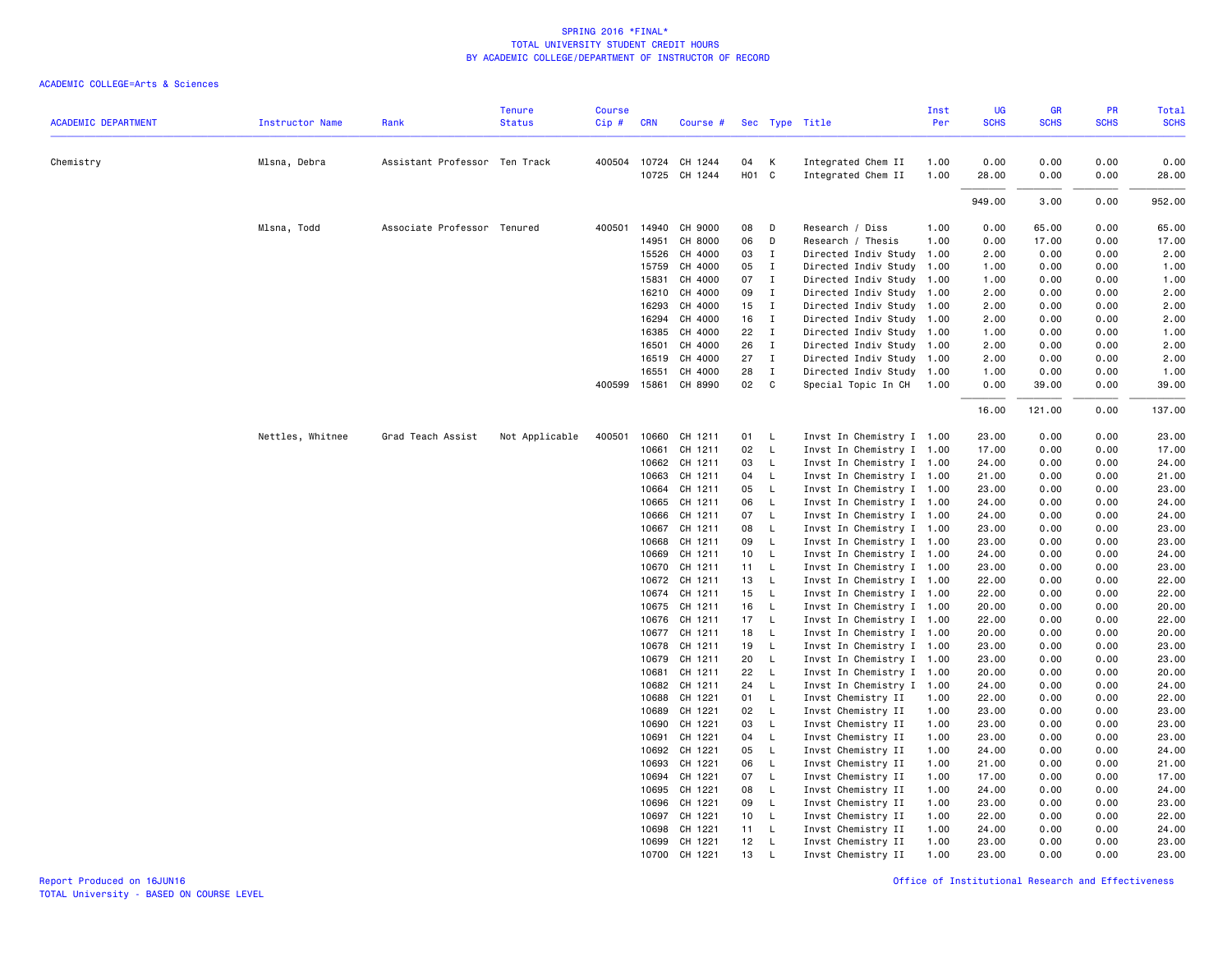| <b>ACADEMIC DEPARTMENT</b> | <b>Instructor Name</b> | Rank                          | <b>Tenure</b><br><b>Status</b> | Course<br>Cip# | <b>CRN</b>     | Course #                              |                         |                              | Sec Type Title                            | Inst<br>Per  | UG<br><b>SCHS</b> | GR<br><b>SCHS</b> | PR<br><b>SCHS</b> | Total<br><b>SCHS</b> |
|----------------------------|------------------------|-------------------------------|--------------------------------|----------------|----------------|---------------------------------------|-------------------------|------------------------------|-------------------------------------------|--------------|-------------------|-------------------|-------------------|----------------------|
|                            |                        |                               |                                |                |                |                                       |                         |                              |                                           |              |                   |                   |                   |                      |
| Chemistry                  | Mlsna, Debra           | Assistant Professor Ten Track |                                |                |                | 400504 10724 CH 1244<br>10725 CH 1244 | 04<br>H <sub>01</sub> C | К                            | Integrated Chem II<br>Integrated Chem II  | 1.00<br>1.00 | 0.00<br>28.00     | 0.00<br>0.00      | 0.00<br>0.00      | 0.00<br>28.00        |
|                            |                        |                               |                                |                |                |                                       |                         |                              |                                           |              | 949.00            | 3.00              | 0.00              | 952.00               |
|                            |                        |                               |                                |                |                |                                       |                         |                              |                                           |              |                   |                   |                   |                      |
|                            | Mlsna, Todd            | Associate Professor Tenured   |                                | 400501         | 14940          | CH 9000                               | 08                      | D                            | Research / Diss                           | 1.00         | 0.00              | 65.00             | 0.00              | 65.00                |
|                            |                        |                               |                                |                | 14951<br>15526 | CH 8000<br>CH 4000                    | 06<br>03                | D<br>$\mathbf I$             | Research / Thesis<br>Directed Indiv Study | 1.00<br>1.00 | 0.00<br>2.00      | 17.00<br>0.00     | 0.00<br>0.00      | 17.00<br>2.00        |
|                            |                        |                               |                                |                | 15759          | CH 4000                               | 05                      | $\mathbf{I}$                 | Directed Indiv Study                      | 1.00         | 1.00              | 0.00              | 0.00              | 1.00                 |
|                            |                        |                               |                                |                | 15831          | CH 4000                               | 07                      | $\mathbf{I}$                 | Directed Indiv Study 1.00                 |              | 1.00              | 0.00              | 0.00              |                      |
|                            |                        |                               |                                |                | 16210          | CH 4000                               | 09                      | $\mathbf{I}$                 | Directed Indiv Study 1.00                 |              | 2.00              | 0.00              | 0.00              | 1.00<br>2.00         |
|                            |                        |                               |                                |                | 16293          | CH 4000                               | 15                      | $\mathbf{I}$                 | Directed Indiv Study 1.00                 |              | 2.00              | 0.00              | 0.00              | 2.00                 |
|                            |                        |                               |                                |                | 16294          | CH 4000                               | 16                      | $\mathbf{I}$                 | Directed Indiv Study 1.00                 |              | 2.00              | 0.00              | 0.00              | 2.00                 |
|                            |                        |                               |                                |                | 16385          | CH 4000                               | 22                      | $\mathbf{I}$                 | Directed Indiv Study                      | 1.00         | 1.00              | 0.00              | 0.00              | 1.00                 |
|                            |                        |                               |                                |                | 16501          | CH 4000                               | 26                      | $\mathbf{I}$                 | Directed Indiv Study 1.00                 |              | 2.00              | 0.00              | 0.00              | 2.00                 |
|                            |                        |                               |                                |                | 16519          | CH 4000                               | 27                      | $\mathbf{I}$                 | Directed Indiv Study 1.00                 |              | 2.00              | 0.00              | 0.00              | 2.00                 |
|                            |                        |                               |                                |                | 16551          | CH 4000                               | 28                      | $\mathbf{I}$                 | Directed Indiv Study 1.00                 |              | 1.00              | 0.00              | 0.00              | 1.00                 |
|                            |                        |                               |                                |                | 400599 15861   | CH 8990                               | 02                      | C <sub>c</sub>               | Special Topic In CH                       | 1.00         | 0.00              | 39.00             | 0.00              | 39.00                |
|                            |                        |                               |                                |                |                |                                       |                         |                              |                                           |              | 16.00             | 121.00            | 0.00              | 137.00               |
|                            | Nettles, Whitnee       | Grad Teach Assist             | Not Applicable                 | 400501         | 10660          | CH 1211                               | 01                      | L                            | Invst In Chemistry I 1.00                 |              | 23.00             | 0.00              | 0.00              | 23.00                |
|                            |                        |                               |                                |                | 10661          | CH 1211                               | 02                      | $\mathsf{L}$                 | Invst In Chemistry I 1.00                 |              | 17.00             | 0.00              | 0.00              | 17.00                |
|                            |                        |                               |                                |                | 10662          | CH 1211                               | 03                      | $\mathsf{L}$                 | Invst In Chemistry I 1.00                 |              | 24.00             | 0.00              | 0.00              | 24.00                |
|                            |                        |                               |                                |                | 10663          | CH 1211                               | 04                      | $\mathsf{L}$                 | Invst In Chemistry I 1.00                 |              | 21.00             | 0.00              | 0.00              | 21.00                |
|                            |                        |                               |                                |                | 10664          | CH 1211                               | 05                      | L                            | Invst In Chemistry I 1.00                 |              | 23.00             | 0.00              | 0.00              | 23.00                |
|                            |                        |                               |                                |                | 10665          | CH 1211                               | 06                      | $\mathsf{L}$                 | Invst In Chemistry I 1.00                 |              | 24.00             | 0.00              | 0.00              | 24.00                |
|                            |                        |                               |                                |                | 10666          | CH 1211                               | 07                      | $\mathsf{L}$                 | Invst In Chemistry I 1.00                 |              | 24.00             | 0.00              | 0.00              | 24.00                |
|                            |                        |                               |                                |                | 10667          | CH 1211                               | 08                      | $\mathsf{L}$                 | Invst In Chemistry I 1.00                 |              | 23.00             | 0.00              | 0.00              | 23.00                |
|                            |                        |                               |                                |                | 10668          | CH 1211                               | 09                      | $\mathsf{L}$                 | Invst In Chemistry I 1.00                 |              | 23.00             | 0.00              | 0.00              | 23.00                |
|                            |                        |                               |                                |                | 10669          | CH 1211                               | 10                      | $\mathsf{L}$                 | Invst In Chemistry I 1.00                 |              | 24.00             | 0.00              | 0.00              | 24.00                |
|                            |                        |                               |                                |                | 10670          | CH 1211                               | 11                      | $\mathsf{L}$                 | Invst In Chemistry I 1.00                 |              | 23.00             | 0.00              | 0.00              | 23.00                |
|                            |                        |                               |                                |                | 10672          | CH 1211                               | 13                      | L                            | Invst In Chemistry I 1.00                 |              | 22.00             | 0.00              | 0.00              | 22.00                |
|                            |                        |                               |                                |                | 10674          | CH 1211                               | 15 <sub>1</sub>         | $\mathsf{L}$                 | Invst In Chemistry I 1.00                 |              | 22.00             | 0.00              | 0.00              | 22.00                |
|                            |                        |                               |                                |                | 10675          | CH 1211                               | 16                      | $\mathsf{L}$                 | Invst In Chemistry I 1.00                 |              | 20.00             | 0.00              | 0.00              | 20.00                |
|                            |                        |                               |                                |                | 10676          | CH 1211                               | 17                      | $\mathsf{L}$                 | Invst In Chemistry I 1.00                 |              | 22.00             | 0.00              | 0.00              | 22.00                |
|                            |                        |                               |                                |                |                | 10677 CH 1211                         | 18                      | $\mathsf{L}$                 | Invst In Chemistry I 1.00                 |              | 20.00             | 0.00              | 0.00              | 20.00                |
|                            |                        |                               |                                |                | 10678          | CH 1211                               | 19                      | $\mathsf{L}$                 | Invst In Chemistry I 1.00                 |              | 23.00             | 0.00              | 0.00              | 23.00                |
|                            |                        |                               |                                |                | 10679          | CH 1211                               | 20                      | $\mathsf{L}$                 | Invst In Chemistry I 1.00                 |              | 23.00             | 0.00              | 0.00              | 23.00                |
|                            |                        |                               |                                |                | 10681          | CH 1211                               | 22                      | $\mathsf{L}$                 | Invst In Chemistry I 1.00                 |              | 20.00             | 0.00              | 0.00              | 20.00                |
|                            |                        |                               |                                |                | 10682          | CH 1211                               | 24                      | L                            | Invst In Chemistry I                      | 1.00         | 24.00             | 0.00              | 0.00              | 24.00                |
|                            |                        |                               |                                |                | 10688          | CH 1221                               | 01                      | $\mathsf{L}$                 | Invst Chemistry II                        | 1.00         | 22.00             | 0.00              | 0.00              | 22.00                |
|                            |                        |                               |                                |                | 10689          | CH 1221                               | 02                      | $\mathsf{L}$                 | Invst Chemistry II                        | 1.00         | 23.00             | 0.00              | 0.00              | 23.00                |
|                            |                        |                               |                                |                | 10690          | CH 1221                               | 03                      | $\mathsf{L}$                 | Invst Chemistry II                        | 1.00         | 23.00             | 0.00              | 0.00              | 23.00                |
|                            |                        |                               |                                |                | 10691          | CH 1221                               | 04                      | $\mathsf{L}$                 | Invst Chemistry II                        | 1.00         | 23.00             | 0.00              | 0.00              | 23.00                |
|                            |                        |                               |                                |                | 10692          | CH 1221                               | 05                      | <b>L</b>                     | Invst Chemistry II                        | 1.00         | 24.00             | 0.00              | 0.00              | 24.00                |
|                            |                        |                               |                                |                | 10693          | CH 1221                               | 06                      | L                            | Invst Chemistry II                        | 1.00         | 21.00             | 0.00              | 0.00              | 21.00                |
|                            |                        |                               |                                |                | 10694          | CH 1221                               | 07                      | $\mathsf{L}$                 | Invst Chemistry II                        | 1.00         | 17.00             | 0.00              | 0.00              | 17.00                |
|                            |                        |                               |                                |                | 10695          | CH 1221                               | 08                      | $\mathsf{L}$                 | Invst Chemistry II                        | 1.00         | 24.00             | 0.00              | 0.00              | 24.00                |
|                            |                        |                               |                                |                | 10696          | CH 1221                               | 09                      | $\mathsf{L}$                 | Invst Chemistry II                        | 1.00         | 23.00             | 0.00              | 0.00              | 23.00                |
|                            |                        |                               |                                |                | 10697          | CH 1221                               | 10                      | $\mathsf{L}$                 | Invst Chemistry II                        | 1.00         | 22.00             | 0.00              | 0.00              | 22.00                |
|                            |                        |                               |                                |                | 10698          | CH 1221<br>CH 1221                    | 11                      | $\mathsf{L}$<br>$\mathsf{L}$ | Invst Chemistry II                        | 1.00         | 24.00             | 0.00              | 0.00<br>0.00      | 24.00<br>23.00       |
|                            |                        |                               |                                |                | 10699          |                                       | 12                      |                              | Invst Chemistry II                        | 1.00         | 23.00<br>23.00    | 0.00              |                   |                      |
|                            |                        |                               |                                |                |                | 10700 CH 1221                         | 13                      | L                            | Invst Chemistry II                        | 1.00         |                   | 0.00              | 0.00              | 23.00                |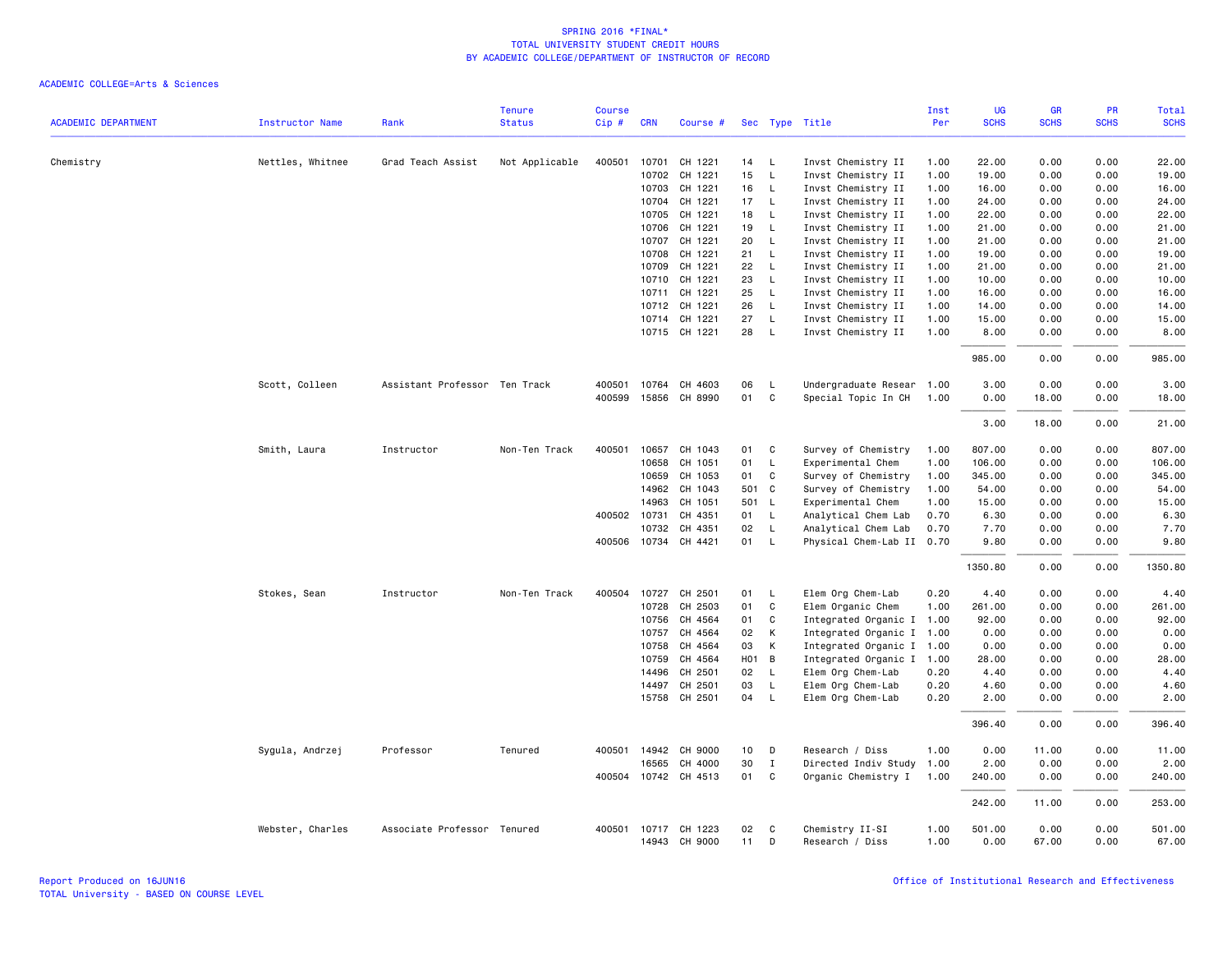|                            |                        |                               | <b>Tenure</b>  | <b>Course</b> |                |                      |                   |                              |                                          | Inst         | UG             | GR           | PR           | Total          |
|----------------------------|------------------------|-------------------------------|----------------|---------------|----------------|----------------------|-------------------|------------------------------|------------------------------------------|--------------|----------------|--------------|--------------|----------------|
| <b>ACADEMIC DEPARTMENT</b> | <b>Instructor Name</b> | Rank                          | <b>Status</b>  | Cip#          | <b>CRN</b>     | Course #             |                   |                              | Sec Type Title                           | Per          | <b>SCHS</b>    | <b>SCHS</b>  | <b>SCHS</b>  | <b>SCHS</b>    |
|                            |                        |                               |                |               |                |                      |                   |                              |                                          |              |                |              |              |                |
| Chemistry                  | Nettles, Whitnee       | Grad Teach Assist             | Not Applicable | 400501        | 10701          | CH 1221              | 14                | - L                          | Invst Chemistry II                       | 1.00         | 22.00          | 0.00         | 0.00         | 22.00          |
|                            |                        |                               |                |               | 10702          | CH 1221              | 15                | $\mathsf{L}$                 | Invst Chemistry II                       | 1.00         | 19.00          | 0.00         | 0.00         | 19.00          |
|                            |                        |                               |                |               | 10703          | CH 1221              | 16                | $\mathsf{L}$                 | Invst Chemistry II                       | 1.00         | 16.00          | 0.00         | 0.00         | 16.00<br>24.00 |
|                            |                        |                               |                |               | 10704          | CH 1221              | 17                | $\mathsf{L}$                 | Invst Chemistry II                       | 1.00         | 24.00          | 0.00         | 0.00         |                |
|                            |                        |                               |                |               | 10705          | CH 1221              | 18                | $\mathsf{L}$                 | Invst Chemistry II                       | 1.00         | 22.00          | 0.00         | 0.00         | 22.00          |
|                            |                        |                               |                |               | 10706          | CH 1221<br>CH 1221   | 19                | $\mathsf{L}$                 | Invst Chemistry II                       | 1.00         | 21.00          | 0.00         | 0.00         | 21.00          |
|                            |                        |                               |                |               | 10707<br>10708 | CH 1221              | 20<br>21          | $\mathsf{L}$<br>$\mathsf{L}$ | Invst Chemistry II                       | 1.00<br>1.00 | 21.00<br>19.00 | 0.00<br>0.00 | 0.00<br>0.00 | 21.00<br>19.00 |
|                            |                        |                               |                |               |                | CH 1221              | 22                | $\mathsf{L}$                 | Invst Chemistry II                       | 1.00         | 21.00          | 0.00         | 0.00         | 21.00          |
|                            |                        |                               |                |               | 10709<br>10710 | CH 1221              | 23                | $\mathsf{L}$                 | Invst Chemistry II                       | 1.00         | 10.00          |              | 0.00         | 10.00          |
|                            |                        |                               |                |               | 10711          | CH 1221              | 25                | $\mathsf{L}$                 | Invst Chemistry II                       |              | 16.00          | 0.00<br>0.00 | 0.00         | 16.00          |
|                            |                        |                               |                |               |                | 10712 CH 1221        | 26                | $\mathsf{L}$                 | Invst Chemistry II<br>Invst Chemistry II | 1.00<br>1.00 | 14.00          | 0.00         | 0.00         | 14.00          |
|                            |                        |                               |                |               |                |                      |                   |                              |                                          |              |                |              |              |                |
|                            |                        |                               |                |               | 10714          | CH 1221              | 27                | $\mathsf{L}$                 | Invst Chemistry II                       | 1.00         | 15.00          | 0.00         | 0.00         | 15.00          |
|                            |                        |                               |                |               |                | 10715 CH 1221        | 28                | $\mathsf{L}$                 | Invst Chemistry II                       | 1.00         | 8.00           | 0.00         | 0.00         | 8.00           |
|                            |                        |                               |                |               |                |                      |                   |                              |                                          |              | 985.00         | 0.00         | 0.00         | 985.00         |
|                            | Scott, Colleen         | Assistant Professor Ten Track |                | 400501        | 10764          | CH 4603              | 06                | L                            | Undergraduate Resear                     | 1.00         | 3.00           | 0.00         | 0.00         | 3.00           |
|                            |                        |                               |                | 400599        |                | 15856 CH 8990        | 01                | C                            | Special Topic In CH                      | 1.00         | 0.00           | 18.00        | 0.00         | 18.00          |
|                            |                        |                               |                |               |                |                      |                   |                              |                                          |              |                |              |              |                |
|                            |                        |                               |                |               |                |                      |                   |                              |                                          |              | 3.00           | 18.00        | 0.00         | 21.00          |
|                            | Smith, Laura           | Instructor                    | Non-Ten Track  | 400501        | 10657          | CH 1043              | 01                | C                            | Survey of Chemistry                      | 1.00         | 807.00         | 0.00         | 0.00         | 807.00         |
|                            |                        |                               |                |               | 10658          | CH 1051              | 01                | L                            | Experimental Chem                        | 1.00         | 106.00         | 0.00         | 0.00         | 106.00         |
|                            |                        |                               |                |               | 10659          | CH 1053              | 01                | C                            | Survey of Chemistry                      | 1.00         | 345.00         | 0.00         | 0.00         | 345.00         |
|                            |                        |                               |                |               | 14962          | CH 1043              | 501 C             |                              | Survey of Chemistry                      | 1.00         | 54.00          | 0.00         | 0.00         | 54.00          |
|                            |                        |                               |                |               | 14963          | CH 1051              | 501 L             |                              | Experimental Chem                        | 1.00         | 15.00          | 0.00         | 0.00         | 15.00          |
|                            |                        |                               |                |               | 400502 10731   | CH 4351              | 01                | $\mathsf{L}$                 | Analytical Chem Lab                      | 0.70         | 6.30           | 0.00         | 0.00         | 6.30           |
|                            |                        |                               |                |               | 10732          | CH 4351              | 02                | $\mathsf{L}$                 | Analytical Chem Lab                      | 0.70         | 7.70           | 0.00         | 0.00         | 7.70           |
|                            |                        |                               |                |               |                | 400506 10734 CH 4421 | 01                | $\mathsf{L}$                 | Physical Chem-Lab II 0.70                |              | 9.80           | 0.00         | 0.00         | 9.80           |
|                            |                        |                               |                |               |                |                      |                   |                              |                                          |              | 1350.80        | 0.00         | 0.00         | 1350.80        |
|                            | Stokes, Sean           | Instructor                    | Non-Ten Track  | 400504        | 10727          | CH 2501              | 01                | L                            | Elem Org Chem-Lab                        | 0.20         | 4.40           | 0.00         | 0.00         | 4.40           |
|                            |                        |                               |                |               | 10728          | CH 2503              | 01                | $\mathsf{C}$                 | Elem Organic Chem                        | 1.00         | 261.00         | 0.00         | 0.00         | 261.00         |
|                            |                        |                               |                |               | 10756          | CH 4564              | 01                | C                            | Integrated Organic I                     | 1.00         | 92.00          | 0.00         | 0.00         | 92.00          |
|                            |                        |                               |                |               | 10757          | CH 4564              | 02                | К                            | Integrated Organic I                     | 1.00         | 0.00           | 0.00         | 0.00         | 0.00           |
|                            |                        |                               |                |               | 10758          | CH 4564              | 03                | К                            | Integrated Organic I                     | 1.00         | 0.00           | 0.00         | 0.00         | 0.00           |
|                            |                        |                               |                |               | 10759          | CH 4564              | H <sub>01</sub> B |                              | Integrated Organic I                     | 1.00         | 28.00          | 0.00         | 0.00         | 28.00          |
|                            |                        |                               |                |               | 14496          | CH 2501              | 02                | $\mathsf{L}$                 | Elem Org Chem-Lab                        | 0.20         | 4.40           | 0.00         | 0.00         | 4.40           |
|                            |                        |                               |                |               | 14497          | CH 2501              | 03                | L                            | Elem Org Chem-Lab                        | 0.20         | 4.60           | 0.00         | 0.00         | 4.60           |
|                            |                        |                               |                |               | 15758          | CH 2501              | 04                | $\mathsf{L}$                 | Elem Org Chem-Lab                        | 0.20         | 2.00           | 0.00         | 0.00         | 2.00           |
|                            |                        |                               |                |               |                |                      |                   |                              |                                          |              | 396.40         | 0.00         | 0.00         | 396.40         |
|                            | Sygula, Andrzej        | Professor                     | Tenured        | 400501        | 14942          | CH 9000              | 10                | D                            | Research / Diss                          | 1.00         | 0.00           | 11.00        | 0.00         | 11.00          |
|                            |                        |                               |                |               | 16565          | CH 4000              | 30                | $\mathbf{I}$                 | Directed Indiv Study                     | 1.00         | 2.00           | 0.00         | 0.00         | 2.00           |
|                            |                        |                               |                |               |                | 400504 10742 CH 4513 | 01                | C                            | Organic Chemistry I                      | 1.00         | 240.00         | 0.00         | 0.00         | 240.00         |
|                            |                        |                               |                |               |                |                      |                   |                              |                                          |              | 242.00         | 11.00        | 0.00         | 253.00         |
|                            | Webster, Charles       | Associate Professor Tenured   |                | 400501        |                | 10717 CH 1223        | 02                | C                            | Chemistry II-SI                          | 1.00         | 501.00         | 0.00         | 0.00         | 501.00         |
|                            |                        |                               |                |               |                | 14943 CH 9000        | 11                | D                            | Research / Diss                          | 1.00         | 0.00           | 67.00        | 0.00         | 67.00          |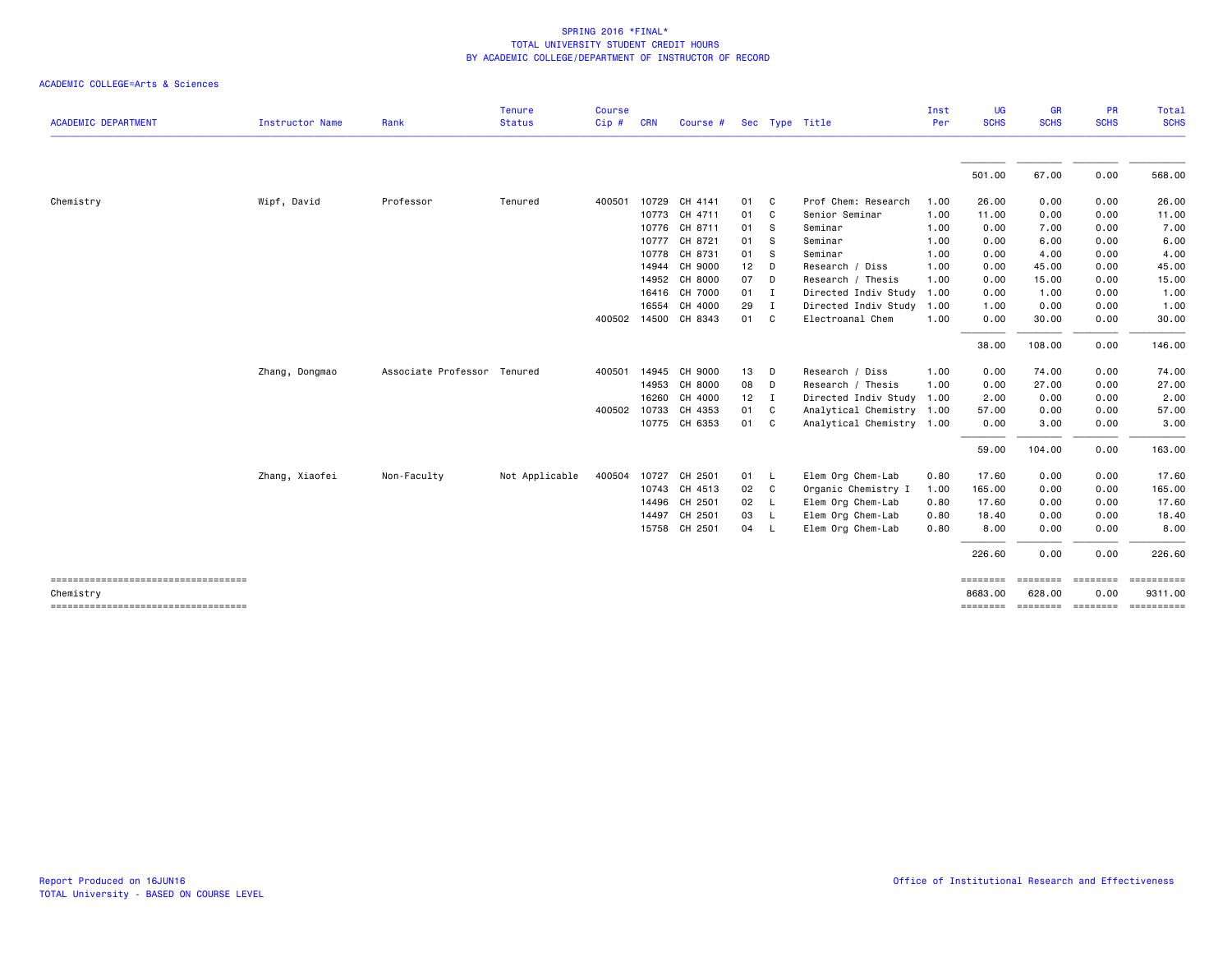| <b>ACADEMIC DEPARTMENT</b>                      | Instructor Name | Rank                        | <b>Tenure</b><br><b>Status</b> | <b>Course</b><br>Cip# | <b>CRN</b> | Course #      |    |              | Sec Type Title            | Inst<br>Per | <b>UG</b><br><b>SCHS</b> | <b>GR</b><br><b>SCHS</b>   | <b>PR</b><br><b>SCHS</b> | Total<br><b>SCHS</b>  |
|-------------------------------------------------|-----------------|-----------------------------|--------------------------------|-----------------------|------------|---------------|----|--------------|---------------------------|-------------|--------------------------|----------------------------|--------------------------|-----------------------|
|                                                 |                 |                             |                                |                       |            |               |    |              |                           |             |                          |                            |                          |                       |
|                                                 |                 |                             |                                |                       |            |               |    |              |                           |             | 501.00                   | 67.00                      | 0.00                     | 568.00                |
| Chemistry                                       | Wipf, David     | Professor                   | Tenured                        | 400501                |            | 10729 CH 4141 | 01 | C            | Prof Chem: Research       | 1.00        | 26.00                    | 0.00                       | 0.00                     | 26.00                 |
|                                                 |                 |                             |                                |                       |            | 10773 CH 4711 | 01 | C            | Senior Seminar            | 1.00        | 11.00                    | 0.00                       | 0.00                     | 11.00                 |
|                                                 |                 |                             |                                |                       |            | 10776 CH 8711 | 01 | - S          | Seminar                   | 1.00        | 0.00                     | 7.00                       | 0.00                     | 7.00                  |
|                                                 |                 |                             |                                |                       | 10777      | CH 8721       | 01 | - S          | Seminar                   | 1.00        | 0.00                     | 6.00                       | 0.00                     | 6.00                  |
|                                                 |                 |                             |                                |                       | 10778      | CH 8731       | 01 | -S           | Seminar                   | 1.00        | 0.00                     | 4.00                       | 0.00                     | 4.00                  |
|                                                 |                 |                             |                                |                       | 14944      | CH 9000       | 12 | D            | Research / Diss           | 1.00        | 0.00                     | 45.00                      | 0.00                     | 45.00                 |
|                                                 |                 |                             |                                |                       | 14952      | CH 8000       | 07 | D            | Research / Thesis         | 1.00        | 0.00                     | 15.00                      | 0.00                     | 15.00                 |
|                                                 |                 |                             |                                |                       | 16416      | CH 7000       | 01 | $\mathbf{I}$ | Directed Indiv Study      | 1.00        | 0.00                     | 1.00                       | 0.00                     | 1.00                  |
|                                                 |                 |                             |                                |                       | 16554      | CH 4000       | 29 | I            | Directed Indiv Study      | 1.00        | 1.00                     | 0.00                       | 0.00                     | 1.00                  |
|                                                 |                 |                             |                                | 400502 14500          |            | CH 8343       | 01 | C            | Electroanal Chem          | 1.00        | 0.00                     | 30.00                      | 0.00                     | 30.00                 |
|                                                 |                 |                             |                                |                       |            |               |    |              |                           |             | 38.00                    | 108.00                     | 0.00                     | 146.00                |
|                                                 | Zhang, Dongmao  | Associate Professor Tenured |                                | 400501 14945          |            | CH 9000       | 13 | D            | Research / Diss           | 1.00        | 0.00                     | 74.00                      | 0.00                     | 74.00                 |
|                                                 |                 |                             |                                |                       |            | 14953 CH 8000 | 08 | D            | Research / Thesis         | 1.00        | 0.00                     | 27.00                      | 0.00                     | 27.00                 |
|                                                 |                 |                             |                                |                       | 16260      | CH 4000       | 12 | $\mathbf{I}$ | Directed Indiv Study      | 1.00        | 2.00                     | 0.00                       | 0.00                     | 2.00                  |
|                                                 |                 |                             |                                | 400502 10733          |            | CH 4353       | 01 | C            | Analytical Chemistry 1.00 |             | 57.00                    | 0.00                       | 0.00                     | 57.00                 |
|                                                 |                 |                             |                                |                       |            | 10775 CH 6353 | 01 | C            | Analytical Chemistry 1.00 |             | 0.00                     | 3.00                       | 0.00                     | 3.00                  |
|                                                 |                 |                             |                                |                       |            |               |    |              |                           |             | 59.00                    | 104.00                     | 0.00                     | 163.00                |
|                                                 | Zhang, Xiaofei  | Non-Faculty                 | Not Applicable                 | 400504                | 10727      | CH 2501       | 01 | - L          | Elem Org Chem-Lab         | 0.80        | 17.60                    | 0.00                       | 0.00                     | 17.60                 |
|                                                 |                 |                             |                                |                       |            | 10743 CH 4513 | 02 | C            | Organic Chemistry I       | 1.00        | 165.00                   | 0.00                       | 0.00                     | 165.00                |
|                                                 |                 |                             |                                |                       | 14496      | CH 2501       | 02 | <b>L</b>     | Elem Org Chem-Lab         | 0.80        | 17.60                    | 0.00                       | 0.00                     | 17.60                 |
|                                                 |                 |                             |                                |                       | 14497      | CH 2501       | 03 | <b>L</b>     | Elem Org Chem-Lab         | 0.80        | 18.40                    | 0.00                       | 0.00                     | 18.40                 |
|                                                 |                 |                             |                                |                       |            | 15758 CH 2501 | 04 | <b>L</b>     | Elem Org Chem-Lab         | 0.80        | 8.00                     | 0.00                       | 0.00                     | 8.00                  |
|                                                 |                 |                             |                                |                       |            |               |    |              |                           |             | 226.60                   | 0.00                       | 0.00                     | 226.60                |
| ------------------------------------            |                 |                             |                                |                       |            |               |    |              |                           |             | ========<br>8683.00      | ========<br>628.00         | <b>ESSESSE</b><br>0.00   | ==========<br>9311.00 |
| Chemistry<br>---------------------------------- |                 |                             |                                |                       |            |               |    |              |                           |             |                          | -------- -------- -------- |                          | ==========            |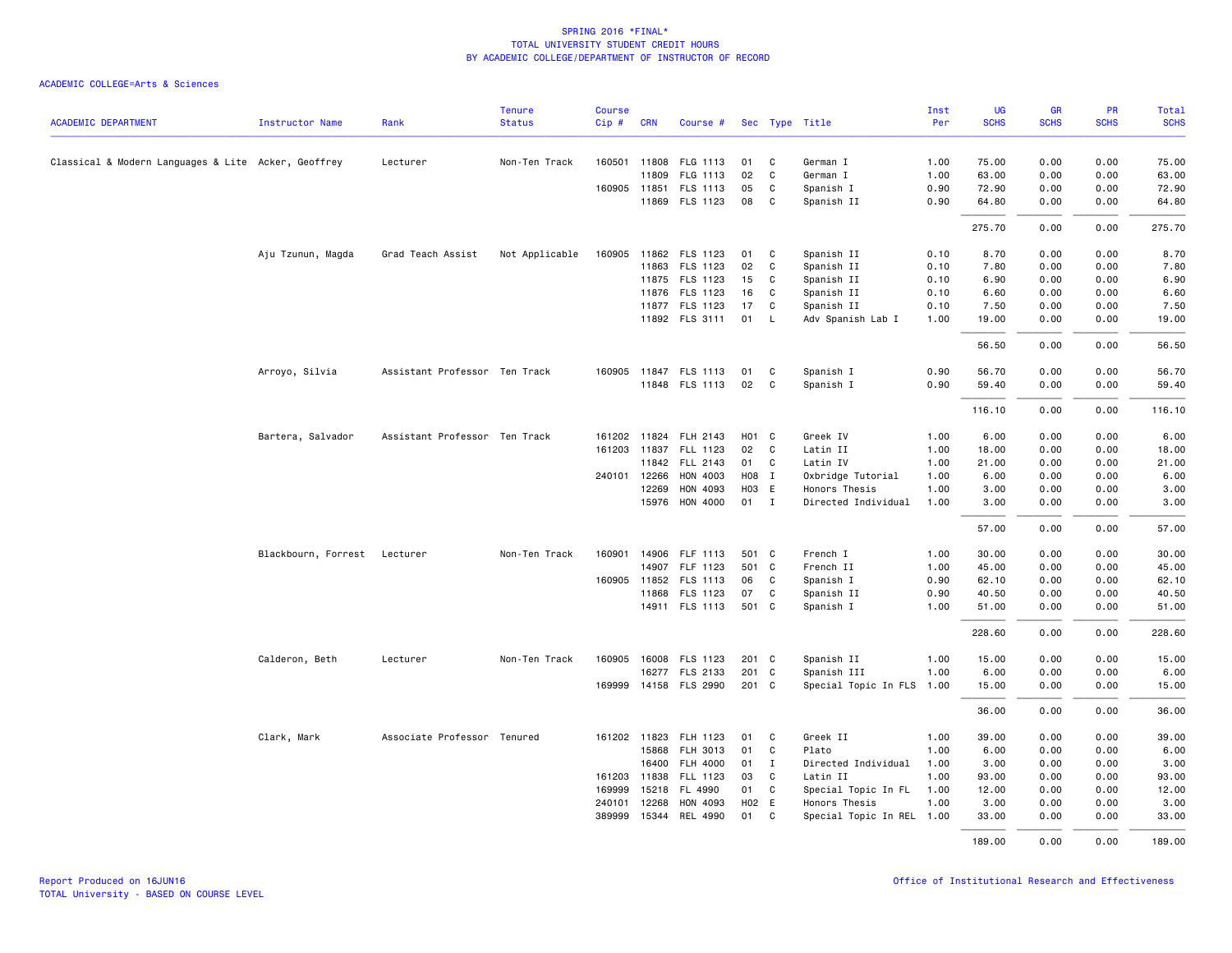|                                                     |                              |                               | <b>Tenure</b>  | <b>Course</b> |              |                       |                   |              |                           | Inst | UG          | GR          | PR          | Total       |
|-----------------------------------------------------|------------------------------|-------------------------------|----------------|---------------|--------------|-----------------------|-------------------|--------------|---------------------------|------|-------------|-------------|-------------|-------------|
| <b>ACADEMIC DEPARTMENT</b>                          | Instructor Name              | Rank                          | <b>Status</b>  | Cip#          | <b>CRN</b>   | Course #              |                   |              | Sec Type Title            | Per  | <b>SCHS</b> | <b>SCHS</b> | <b>SCHS</b> | <b>SCHS</b> |
|                                                     |                              |                               |                |               |              |                       |                   |              |                           |      |             |             |             |             |
| Classical & Modern Languages & Lite Acker, Geoffrey |                              | Lecturer                      | Non-Ten Track  |               |              | 160501 11808 FLG 1113 | 01                | C            | German I                  | 1.00 | 75.00       | 0.00        | 0.00        | 75.00       |
|                                                     |                              |                               |                |               | 11809        | FLG 1113              | 02                | C            | German I                  | 1.00 | 63.00       | 0.00        | 0.00        | 63.00       |
|                                                     |                              |                               |                |               |              | 160905 11851 FLS 1113 | 05                | C            | Spanish I                 | 0.90 | 72.90       | 0.00        | 0.00        | 72.90       |
|                                                     |                              |                               |                |               |              | 11869 FLS 1123        | 08                | C            | Spanish II                | 0.90 | 64.80       | 0.00        | 0.00        | 64.80       |
|                                                     |                              |                               |                |               |              |                       |                   |              |                           |      | 275.70      | 0.00        | 0.00        | 275.70      |
|                                                     | Aju Tzunun, Magda            | Grad Teach Assist             | Not Applicable |               |              | 160905 11862 FLS 1123 | 01                | C            | Spanish II                | 0.10 | 8.70        | 0.00        | 0.00        | 8.70        |
|                                                     |                              |                               |                |               |              | 11863 FLS 1123        | 02                | $\mathbf{C}$ | Spanish II                | 0.10 | 7.80        | 0.00        | 0.00        | 7.80        |
|                                                     |                              |                               |                |               |              | 11875 FLS 1123        | 15                | C            | Spanish II                | 0.10 | 6.90        | 0.00        | 0.00        | 6.90        |
|                                                     |                              |                               |                |               |              | 11876 FLS 1123        | 16                | C            | Spanish II                | 0.10 | 6.60        | 0.00        | 0.00        | 6.60        |
|                                                     |                              |                               |                |               |              | 11877 FLS 1123        | 17                | C            | Spanish II                | 0.10 | 7.50        | 0.00        | 0.00        | 7.50        |
|                                                     |                              |                               |                |               |              | 11892 FLS 3111        | 01                | <b>L</b>     | Adv Spanish Lab I         | 1.00 | 19.00       | 0.00        | 0.00        | 19.00       |
|                                                     |                              |                               |                |               |              |                       |                   |              |                           |      | 56.50       | 0.00        | 0.00        | 56.50       |
|                                                     | Arroyo, Silvia               | Assistant Professor Ten Track |                |               |              | 160905 11847 FLS 1113 | 01                | C.           | Spanish I                 | 0.90 | 56.70       | 0.00        | 0.00        | 56.70       |
|                                                     |                              |                               |                |               |              | 11848 FLS 1113        | 02                | C            | Spanish I                 | 0.90 | 59.40       | 0.00        | 0.00        | 59.40       |
|                                                     |                              |                               |                |               |              |                       |                   |              |                           |      | 116.10      | 0.00        | 0.00        | 116.10      |
|                                                     | Bartera, Salvador            | Assistant Professor Ten Track |                |               |              | 161202 11824 FLH 2143 | H <sub>01</sub> C |              | Greek IV                  | 1.00 | 6.00        | 0.00        | 0.00        | 6.00        |
|                                                     |                              |                               |                |               | 161203 11837 | FLL 1123              | 02                | $\mathbf{C}$ | Latin II                  | 1.00 | 18,00       | 0.00        | 0.00        | 18.00       |
|                                                     |                              |                               |                |               |              | 11842 FLL 2143        | 01                | C            | Latin IV                  | 1.00 | 21.00       | 0.00        | 0.00        | 21.00       |
|                                                     |                              |                               |                |               | 240101 12266 | HON 4003              | H08 I             |              | Oxbridge Tutorial         | 1.00 | 6.00        | 0.00        | 0.00        | 6.00        |
|                                                     |                              |                               |                |               | 12269        | HON 4093              | HO <sub>3</sub> E |              | Honors Thesis             | 1.00 | 3.00        | 0.00        | 0.00        | 3.00        |
|                                                     |                              |                               |                |               |              | 15976 HON 4000        | 01 I              |              | Directed Individual       | 1.00 | 3.00        | 0.00        | 0.00        | 3.00        |
|                                                     |                              |                               |                |               |              |                       |                   |              |                           |      | 57.00       | 0.00        | 0.00        | 57.00       |
|                                                     | Blackbourn, Forrest Lecturer |                               | Non-Ten Track  |               |              | 160901 14906 FLF 1113 | 501 C             |              | French I                  | 1.00 | 30.00       | 0.00        | 0.00        | 30.00       |
|                                                     |                              |                               |                |               | 14907        | FLF 1123              | 501 C             |              | French II                 | 1.00 | 45.00       | 0.00        | 0.00        | 45.00       |
|                                                     |                              |                               |                |               |              | 160905 11852 FLS 1113 | 06                | $\mathbf{C}$ | Spanish I                 | 0.90 | 62.10       | 0.00        | 0.00        | 62.10       |
|                                                     |                              |                               |                |               |              | 11868 FLS 1123        | 07                | C            | Spanish II                | 0.90 | 40.50       | 0.00        | 0.00        | 40.50       |
|                                                     |                              |                               |                |               |              | 14911 FLS 1113        | 501 C             |              | Spanish I                 | 1.00 | 51.00       | 0.00        | 0.00        | 51.00       |
|                                                     |                              |                               |                |               |              |                       |                   |              |                           |      | 228.60      | 0.00        | 0.00        | 228.60      |
|                                                     | Calderon, Beth               | Lecturer                      | Non-Ten Track  | 160905        |              | 16008 FLS 1123        | 201 C             |              | Spanish II                | 1.00 | 15.00       | 0.00        | 0.00        | 15.00       |
|                                                     |                              |                               |                |               |              | 16277 FLS 2133        | 201 C             |              | Spanish III               | 1.00 | 6.00        | 0.00        | 0.00        | 6.00        |
|                                                     |                              |                               |                |               |              | 169999 14158 FLS 2990 | 201 C             |              | Special Topic In FLS 1.00 |      | 15.00       | 0.00        | 0.00        | 15.00       |
|                                                     |                              |                               |                |               |              |                       |                   |              |                           |      | 36.00       | 0.00        | 0.00        | 36.00       |
|                                                     | Clark, Mark                  | Associate Professor Tenured   |                |               | 161202 11823 | FLH 1123              | 01                | C            | Greek II                  | 1.00 | 39.00       | 0.00        | 0.00        | 39.00       |
|                                                     |                              |                               |                |               | 15868        | FLH 3013              | 01                | $\mathbf C$  | Plato                     | 1.00 | 6.00        | 0.00        | 0.00        | 6.00        |
|                                                     |                              |                               |                |               | 16400        | FLH 4000              | 01                | $\mathbf I$  | Directed Individual       | 1.00 | 3.00        | 0.00        | 0.00        | 3.00        |
|                                                     |                              |                               |                |               | 161203 11838 | FLL 1123              | 03                | C.           | Latin II                  | 1.00 | 93.00       | 0.00        | 0.00        | 93.00       |
|                                                     |                              |                               |                | 169999        |              | 15218 FL 4990         | 01                | $\mathbf{C}$ | Special Topic In FL       | 1.00 | 12.00       | 0.00        | 0.00        | 12.00       |
|                                                     |                              |                               |                | 240101        | 12268        | HON 4093              | H02 E             |              | Honors Thesis             | 1.00 | 3.00        | 0.00        | 0.00        | 3.00        |
|                                                     |                              |                               |                | 389999        | 15344        | REL 4990              | 01                | $\mathbf{C}$ | Special Topic In REL 1.00 |      | 33.00       | 0.00        | 0.00        | 33.00       |
|                                                     |                              |                               |                |               |              |                       |                   |              |                           |      | 189.00      | 0.00        | 0.00        | 189.00      |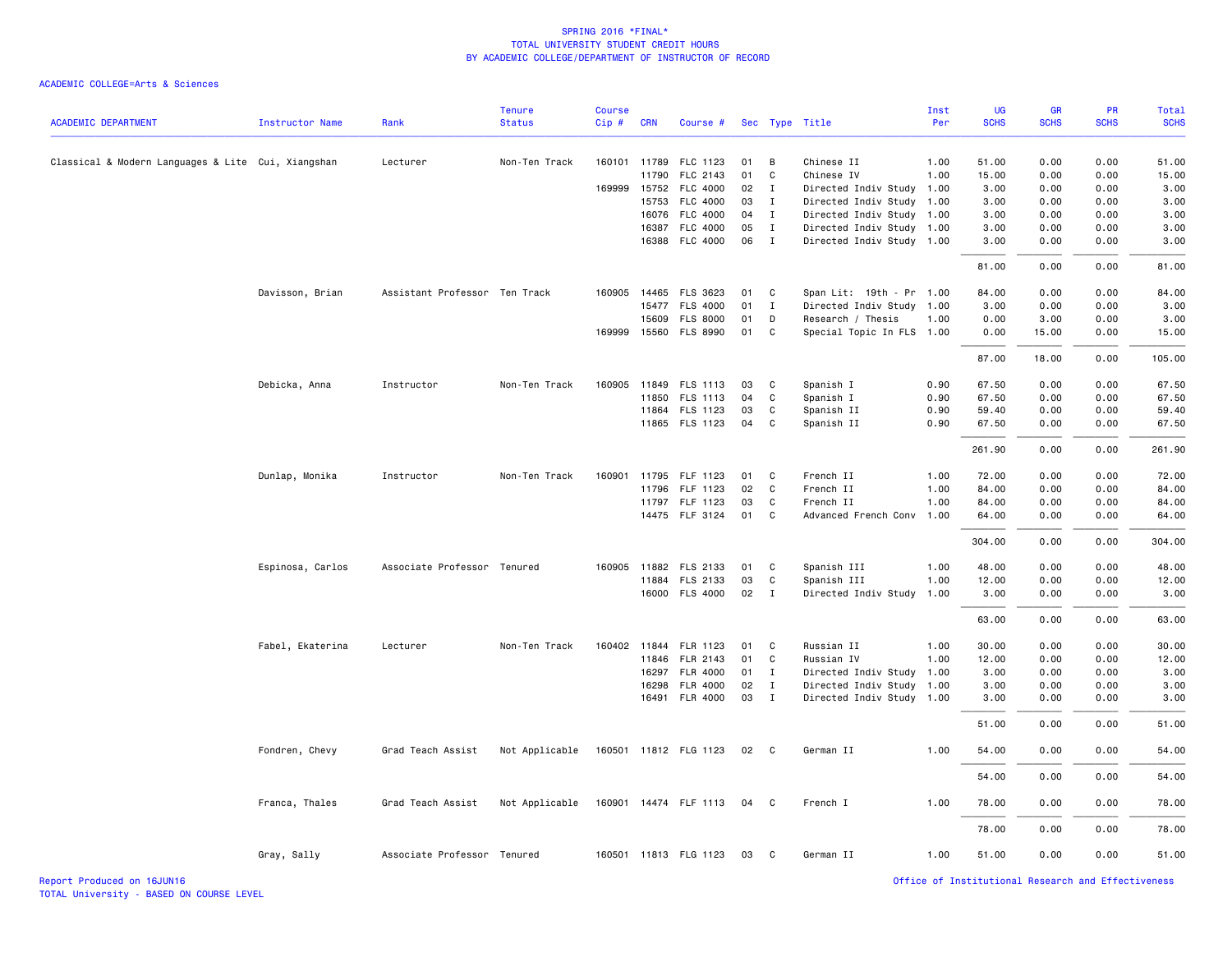#### ACADEMIC COLLEGE=Arts & Sciences

|                                                    |                        |                               | <b>Tenure</b>  | <b>Course</b> |            |                       |    |              |                           | Inst | <b>UG</b>   | GR          | PR          | Total       |
|----------------------------------------------------|------------------------|-------------------------------|----------------|---------------|------------|-----------------------|----|--------------|---------------------------|------|-------------|-------------|-------------|-------------|
| <b>ACADEMIC DEPARTMENT</b>                         | <b>Instructor Name</b> | Rank                          | <b>Status</b>  | Cip#          | <b>CRN</b> | Course #              |    |              | Sec Type Title            | Per  | <b>SCHS</b> | <b>SCHS</b> | <b>SCHS</b> | <b>SCHS</b> |
| Classical & Modern Languages & Lite Cui, Xiangshan |                        | Lecturer                      | Non-Ten Track  |               |            | 160101 11789 FLC 1123 | 01 | B            | Chinese II                | 1.00 | 51.00       | 0.00        | 0.00        | 51.00       |
|                                                    |                        |                               |                |               | 11790      | FLC 2143              | 01 | C            | Chinese IV                | 1.00 | 15.00       | 0.00        | 0.00        | 15.00       |
|                                                    |                        |                               |                |               |            | 169999 15752 FLC 4000 | 02 | $\mathbf{I}$ | Directed Indiv Study 1.00 |      | 3.00        | 0.00        | 0.00        | 3.00        |
|                                                    |                        |                               |                |               | 15753      | FLC 4000              | 03 | $\mathbf{I}$ | Directed Indiv Study 1.00 |      | 3.00        | 0.00        | 0.00        | 3.00        |
|                                                    |                        |                               |                |               | 16076      | <b>FLC 4000</b>       | 04 | I            | Directed Indiv Study 1.00 |      | 3.00        | 0.00        | 0.00        | 3.00        |
|                                                    |                        |                               |                |               | 16387      | FLC 4000              | 05 | I            | Directed Indiv Study 1.00 |      | 3.00        | 0.00        | 0.00        | 3.00        |
|                                                    |                        |                               |                |               |            | 16388 FLC 4000        | 06 | $\mathbf{I}$ | Directed Indiv Study 1.00 |      | 3.00        | 0.00        | 0.00        | 3.00        |
|                                                    |                        |                               |                |               |            |                       |    |              |                           |      | 81.00       | 0.00        | 0.00        | 81.00       |
|                                                    | Davisson, Brian        | Assistant Professor Ten Track |                |               |            | 160905 14465 FLS 3623 | 01 | C            | Span Lit: 19th - Pr 1.00  |      | 84.00       | 0.00        | 0.00        | 84.00       |
|                                                    |                        |                               |                |               |            | 15477 FLS 4000        | 01 | $\mathbf{I}$ | Directed Indiv Study 1.00 |      | 3.00        | 0.00        | 0.00        | 3.00        |
|                                                    |                        |                               |                |               | 15609      | <b>FLS 8000</b>       | 01 | D            | Research / Thesis         | 1.00 | 0.00        | 3.00        | 0.00        | 3.00        |
|                                                    |                        |                               |                |               |            | 169999 15560 FLS 8990 | 01 | C            | Special Topic In FLS 1.00 |      | 0.00        | 15.00       | 0.00        | 15.00       |
|                                                    |                        |                               |                |               |            |                       |    |              |                           |      | 87.00       | 18.00       | 0.00        | 105.00      |
|                                                    | Debicka, Anna          | Instructor                    | Non-Ten Track  |               |            | 160905 11849 FLS 1113 | 03 | C            | Spanish I                 | 0.90 | 67.50       | 0.00        | 0.00        | 67.50       |
|                                                    |                        |                               |                |               | 11850      | FLS 1113              | 04 | C            | Spanish I                 | 0.90 | 67.50       | 0.00        | 0.00        | 67.50       |
|                                                    |                        |                               |                |               |            | 11864 FLS 1123        | 03 | C            | Spanish II                | 0.90 | 59.40       | 0.00        | 0.00        | 59.40       |
|                                                    |                        |                               |                |               |            | 11865 FLS 1123        | 04 | C            | Spanish II                | 0.90 | 67.50       | 0.00        | 0.00        | 67.50       |
|                                                    |                        |                               |                |               |            |                       |    |              |                           |      | 261.90      | 0.00        | 0.00        | 261.90      |
|                                                    | Dunlap, Monika         | Instructor                    | Non-Ten Track  | 160901        |            | 11795 FLF 1123        | 01 | $\mathbf{C}$ | French II                 | 1.00 | 72.00       | 0.00        | 0.00        | 72.00       |
|                                                    |                        |                               |                |               | 11796      | FLF 1123              | 02 | $\mathbf{C}$ | French II                 | 1.00 | 84.00       | 0.00        | 0.00        | 84.00       |
|                                                    |                        |                               |                |               |            | 11797 FLF 1123        | 03 | C            | French II                 | 1.00 | 84.00       | 0.00        | 0.00        | 84.00       |
|                                                    |                        |                               |                |               |            | 14475 FLF 3124        | 01 | C            | Advanced French Conv 1.00 |      | 64.00       | 0.00        | 0.00        | 64.00       |
|                                                    |                        |                               |                |               |            |                       |    |              |                           |      | 304.00      | 0.00        | 0.00        | 304.00      |
|                                                    | Espinosa, Carlos       | Associate Professor Tenured   |                |               |            | 160905 11882 FLS 2133 | 01 | C            | Spanish III               | 1.00 | 48.00       | 0.00        | 0.00        | 48.00       |
|                                                    |                        |                               |                |               | 11884      | FLS 2133              | 03 | C            | Spanish III               | 1.00 | 12.00       | 0.00        | 0.00        | 12.00       |
|                                                    |                        |                               |                |               |            | 16000 FLS 4000        | 02 | $\mathbf{I}$ | Directed Indiv Study      | 1.00 | 3.00        | 0.00        | 0.00        | 3.00        |
|                                                    |                        |                               |                |               |            |                       |    |              |                           |      | 63.00       | 0.00        | 0.00        | 63.00       |
|                                                    | Fabel, Ekaterina       | Lecturer                      | Non-Ten Track  |               |            | 160402 11844 FLR 1123 | 01 | $\mathbf{C}$ | Russian II                | 1.00 | 30.00       | 0.00        | 0.00        | 30.00       |
|                                                    |                        |                               |                |               | 11846      | FLR 2143              | 01 | C            | Russian IV                | 1.00 | 12.00       | 0.00        | 0.00        | 12.00       |
|                                                    |                        |                               |                |               | 16297      | FLR 4000              | 01 | $\mathbf{I}$ | Directed Indiv Study 1.00 |      | 3.00        | 0.00        | 0.00        | 3.00        |
|                                                    |                        |                               |                |               | 16298      | <b>FLR 4000</b>       | 02 | $\mathbf{I}$ | Directed Indiv Study 1.00 |      | 3.00        | 0.00        | 0.00        | 3.00        |
|                                                    |                        |                               |                |               |            | 16491 FLR 4000        | 03 | $\mathbf{I}$ | Directed Indiv Study 1.00 |      | 3.00        | 0.00        | 0.00        | 3.00        |
|                                                    |                        |                               |                |               |            |                       |    |              |                           |      | 51.00       | 0.00        | 0.00        | 51.00       |
|                                                    | Fondren, Chevy         | Grad Teach Assist             | Not Applicable |               |            | 160501 11812 FLG 1123 | 02 | $\mathbf{C}$ | German II                 | 1.00 | 54.00       | 0.00        | 0.00        | 54.00       |
|                                                    |                        |                               |                |               |            |                       |    |              |                           |      | 54.00       | 0.00        | 0.00        | 54.00       |
|                                                    | Franca, Thales         | Grad Teach Assist             | Not Applicable |               |            | 160901 14474 FLF 1113 | 04 | $\mathbf{C}$ | French I                  | 1.00 | 78.00       | 0.00        | 0.00        | 78.00       |
|                                                    |                        |                               |                |               |            |                       |    |              |                           |      | 78.00       | 0.00        | 0.00        | 78.00       |
|                                                    | Gray, Sally            | Associate Professor Tenured   |                |               |            | 160501 11813 FLG 1123 | 03 | $\mathbf{C}$ | German II                 | 1.00 | 51.00       | 0.00        | 0.00        | 51.00       |

Report Produced on 16JUN16 Office of Institutional Research and Effectiveness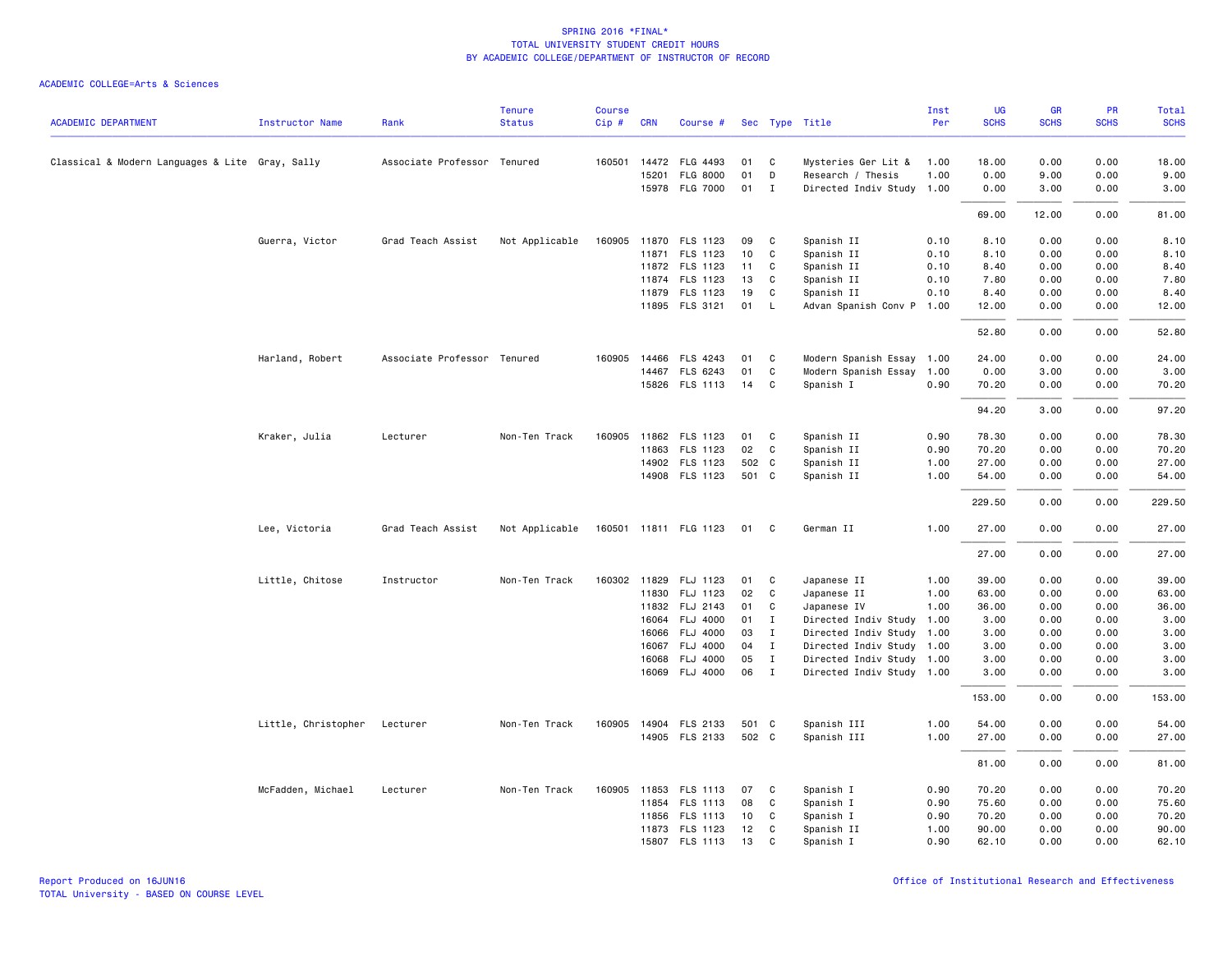|                                                 |                              |                             | <b>Tenure</b>  | <b>Course</b> |              |                       |       |              |                           | Inst | <b>UG</b>   | <b>GR</b>   | PR          | Total       |
|-------------------------------------------------|------------------------------|-----------------------------|----------------|---------------|--------------|-----------------------|-------|--------------|---------------------------|------|-------------|-------------|-------------|-------------|
| <b>ACADEMIC DEPARTMENT</b>                      | <b>Instructor Name</b>       | Rank                        | <b>Status</b>  | $Cip$ #       | <b>CRN</b>   | Course #              |       |              | Sec Type Title            | Per  | <b>SCHS</b> | <b>SCHS</b> | <b>SCHS</b> | <b>SCHS</b> |
| Classical & Modern Languages & Lite Gray, Sally |                              | Associate Professor Tenured |                |               |              | 160501 14472 FLG 4493 | 01    | C            | Mysteries Ger Lit &       | 1.00 | 18.00       | 0.00        | 0.00        | 18.00       |
|                                                 |                              |                             |                |               |              | 15201 FLG 8000        | 01    | D            | Research / Thesis         | 1.00 | 0.00        | 9.00        | 0.00        | 9.00        |
|                                                 |                              |                             |                |               |              | 15978 FLG 7000        | 01    | $\mathbf{I}$ | Directed Indiv Study 1.00 |      | 0.00        | 3.00        | 0.00        | 3.00        |
|                                                 |                              |                             |                |               |              |                       |       |              |                           |      | 69.00       | 12.00       | 0.00        | 81.00       |
|                                                 | Guerra, Victor               | Grad Teach Assist           | Not Applicable |               |              | 160905 11870 FLS 1123 | 09    | C            | Spanish II                | 0.10 | 8.10        | 0.00        | 0.00        | 8.10        |
|                                                 |                              |                             |                |               |              | 11871 FLS 1123        | 10    | C            | Spanish II                | 0.10 | 8.10        | 0.00        | 0.00        | 8.10        |
|                                                 |                              |                             |                |               |              | 11872 FLS 1123        | 11    | C            | Spanish II                | 0.10 | 8.40        | 0.00        | 0.00        | 8.40        |
|                                                 |                              |                             |                |               |              | 11874 FLS 1123        | 13    | C            | Spanish II                | 0.10 | 7.80        | 0.00        | 0.00        | 7.80        |
|                                                 |                              |                             |                |               |              | 11879 FLS 1123        | 19    | $\mathsf{C}$ | Spanish II                | 0.10 | 8.40        | 0.00        | 0.00        | 8.40        |
|                                                 |                              |                             |                |               |              | 11895 FLS 3121        | 01    | L            | Advan Spanish Conv P      | 1.00 | 12.00       | 0.00        | 0.00        | 12.00       |
|                                                 |                              |                             |                |               |              |                       |       |              |                           |      | 52.80       | 0.00        | 0.00        | 52.80       |
|                                                 | Harland, Robert              | Associate Professor Tenured |                |               | 160905 14466 | <b>FLS 4243</b>       | 01    | C            | Modern Spanish Essay 1.00 |      | 24.00       | 0.00        | 0.00        | 24.00       |
|                                                 |                              |                             |                |               |              | 14467 FLS 6243        | 01    | $\mathsf{C}$ | Modern Spanish Essay 1.00 |      | 0.00        | 3.00        | 0.00        | 3.00        |
|                                                 |                              |                             |                |               |              | 15826 FLS 1113        | 14    | C            | Spanish I                 | 0.90 | 70.20       | 0.00        | 0.00        | 70.20       |
|                                                 |                              |                             |                |               |              |                       |       |              |                           |      | 94.20       | 3.00        | 0.00        | 97.20       |
|                                                 | Kraker, Julia                | Lecturer                    | Non-Ten Track  | 160905        |              | 11862 FLS 1123        | 01    | C            | Spanish II                | 0.90 | 78.30       | 0.00        | 0.00        | 78.30       |
|                                                 |                              |                             |                |               |              | 11863 FLS 1123        | 02    | C            | Spanish II                | 0.90 | 70.20       | 0.00        | 0.00        | 70.20       |
|                                                 |                              |                             |                |               |              | 14902 FLS 1123        | 502 C |              | Spanish II                | 1.00 | 27.00       | 0.00        | 0.00        | 27.00       |
|                                                 |                              |                             |                |               |              | 14908 FLS 1123        | 501 C |              | Spanish II                | 1.00 | 54.00       | 0.00        | 0.00        | 54.00       |
|                                                 |                              |                             |                |               |              |                       |       |              |                           |      | 229.50      | 0.00        | 0.00        | 229.50      |
|                                                 | Lee, Victoria                | Grad Teach Assist           | Not Applicable |               |              | 160501 11811 FLG 1123 | 01    | - C          | German II                 | 1.00 | 27.00       | 0.00        | 0.00        | 27.00       |
|                                                 |                              |                             |                |               |              |                       |       |              |                           |      | 27.00       | 0.00        | 0.00        | 27.00       |
|                                                 | Little, Chitose              | Instructor                  | Non-Ten Track  |               |              | 160302 11829 FLJ 1123 | 01    | C            | Japanese II               | 1.00 | 39.00       | 0.00        | 0.00        | 39.00       |
|                                                 |                              |                             |                |               |              | 11830 FLJ 1123        | 02    | C            | Japanese II               | 1.00 | 63.00       | 0.00        | 0.00        | 63.00       |
|                                                 |                              |                             |                |               |              | 11832 FLJ 2143        | 01    | C            | Japanese IV               | 1.00 | 36.00       | 0.00        | 0.00        | 36.00       |
|                                                 |                              |                             |                |               | 16064        | FLJ 4000              | 01    | $\mathbf{I}$ | Directed Indiv Study      | 1.00 | 3.00        | 0.00        | 0.00        | 3.00        |
|                                                 |                              |                             |                |               | 16066        | FLJ 4000              | 03    | $\mathbf{I}$ | Directed Indiv Study      | 1.00 | 3.00        | 0.00        | 0.00        | 3.00        |
|                                                 |                              |                             |                |               | 16067        | <b>FLJ 4000</b>       | 04    | $\mathbf{I}$ | Directed Indiv Study 1.00 |      | 3.00        | 0.00        | 0.00        | 3.00        |
|                                                 |                              |                             |                |               | 16068        | FLJ 4000              | 05    | $\mathbf{I}$ | Directed Indiv Study 1.00 |      | 3.00        | 0.00        | 0.00        | 3.00        |
|                                                 |                              |                             |                |               |              | 16069 FLJ 4000        | 06    | $\mathbf{I}$ | Directed Indiv Study 1.00 |      | 3.00        | 0.00        | 0.00        | 3.00        |
|                                                 |                              |                             |                |               |              |                       |       |              |                           |      | 153.00      | 0.00        | 0.00        | 153.00      |
|                                                 | Little, Christopher Lecturer |                             | Non-Ten Track  |               |              | 160905 14904 FLS 2133 | 501 C |              | Spanish III               | 1.00 | 54.00       | 0.00        | 0.00        | 54.00       |
|                                                 |                              |                             |                |               |              | 14905 FLS 2133        | 502 C |              | Spanish III               | 1.00 | 27.00       | 0.00        | 0.00        | 27.00       |
|                                                 |                              |                             |                |               |              |                       |       |              |                           |      | 81.00       | 0.00        | 0.00        | 81.00       |
|                                                 | McFadden, Michael            | Lecturer                    | Non-Ten Track  |               |              | 160905 11853 FLS 1113 | 07    | C            | Spanish I                 | 0.90 | 70.20       | 0.00        | 0.00        | 70.20       |
|                                                 |                              |                             |                |               |              | 11854 FLS 1113        | 08    | $\mathsf{C}$ | Spanish I                 | 0.90 | 75.60       | 0.00        | 0.00        | 75.60       |
|                                                 |                              |                             |                |               | 11856        | <b>FLS 1113</b>       | 10    | C            | Spanish I                 | 0.90 | 70.20       | 0.00        | 0.00        | 70.20       |
|                                                 |                              |                             |                |               |              | 11873 FLS 1123        | 12    | C            | Spanish II                | 1.00 | 90.00       | 0.00        | 0.00        | 90.00       |
|                                                 |                              |                             |                |               |              | 15807 FLS 1113        | 13    | $\mathsf{C}$ | Spanish I                 | 0.90 | 62.10       | 0.00        | 0.00        | 62.10       |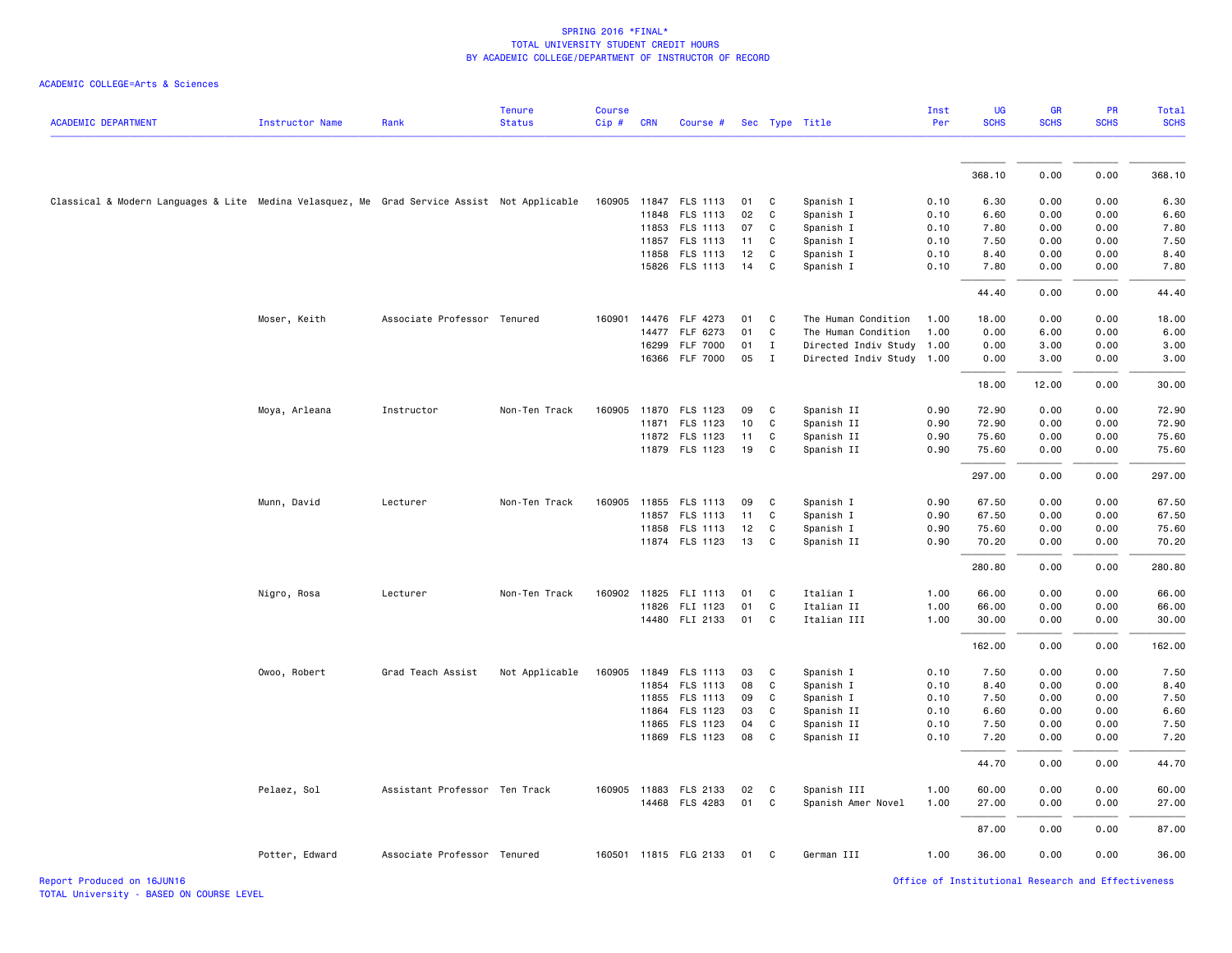|  | ACADEMIC COLLEGE=Arts & Sciences |  |
|--|----------------------------------|--|
|--|----------------------------------|--|

|                                                                                             |                        |                               | <b>Tenure</b>  | <b>Course</b> |            |                                         |          |                |                                   | Inst         | <b>UG</b>      | <b>GR</b>    | PR           | Total          |
|---------------------------------------------------------------------------------------------|------------------------|-------------------------------|----------------|---------------|------------|-----------------------------------------|----------|----------------|-----------------------------------|--------------|----------------|--------------|--------------|----------------|
| <b>ACADEMIC DEPARTMENT</b>                                                                  | <b>Instructor Name</b> | Rank                          | <b>Status</b>  | Cip#          | <b>CRN</b> | Course #                                |          | Sec Type Title |                                   | Per          | <b>SCHS</b>    | <b>SCHS</b>  | <b>SCHS</b>  | <b>SCHS</b>    |
|                                                                                             |                        |                               |                |               |            |                                         |          |                |                                   |              |                |              |              |                |
|                                                                                             |                        |                               |                |               |            |                                         |          |                |                                   |              | 368.10         | 0.00         | 0.00         | 368.10         |
| Classical & Modern Languages & Lite Medina Velasquez, Me Grad Service Assist Not Applicable |                        |                               |                |               |            | 160905 11847 FLS 1113                   | 01       | C              | Spanish I                         | 0.10         | 6.30           | 0.00         | 0.00         | 6.30           |
|                                                                                             |                        |                               |                |               |            | 11848 FLS 1113                          | 02       | $\mathbf c$    | Spanish I                         | 0.10         | 6.60           | 0.00         | 0.00         | 6.60           |
|                                                                                             |                        |                               |                |               |            | 11853 FLS 1113                          | 07       | C              | Spanish I                         | 0.10         | 7.80           | 0.00         | 0.00         | 7.80           |
|                                                                                             |                        |                               |                |               | 11857      | FLS 1113                                | 11       | C              | Spanish I                         | 0.10         | 7.50           | 0.00         | 0.00         | 7.50           |
|                                                                                             |                        |                               |                |               | 11858      | FLS 1113                                | 12       | C              | Spanish I                         | 0.10         | 8.40           | 0.00         | 0.00         | 8.40           |
|                                                                                             |                        |                               |                |               |            | 15826 FLS 1113                          | 14       | C              | Spanish I                         | 0.10         | 7.80           | 0.00         | 0.00         | 7.80           |
|                                                                                             |                        |                               |                |               |            |                                         |          |                |                                   |              | 44.40          | 0.00         | 0.00         | 44.40          |
|                                                                                             | Moser, Keith           | Associate Professor Tenured   |                |               |            | 160901 14476 FLF 4273                   | 01       | C              | The Human Condition               | 1.00         | 18.00          | 0.00         | 0.00         | 18.00          |
|                                                                                             |                        |                               |                |               |            | 14477 FLF 6273                          | 01       | C              | The Human Condition               | 1.00         | 0.00           | 6.00         | 0.00         | 6.00           |
|                                                                                             |                        |                               |                |               | 16299      | <b>FLF 7000</b>                         | 01       | $\mathbf{I}$   | Directed Indiv Study              | 1.00         | 0.00           | 3.00         | 0.00         | 3.00           |
|                                                                                             |                        |                               |                |               |            | 16366 FLF 7000                          | 05       | $\mathbf{I}$   | Directed Indiv Study 1.00         |              | 0.00           | 3.00         | 0.00         | 3.00           |
|                                                                                             |                        |                               |                |               |            |                                         |          |                |                                   |              | 18.00          | 12.00        | 0.00         | 30.00          |
|                                                                                             | Moya, Arleana          | Instructor                    | Non-Ten Track  |               |            | 160905 11870 FLS 1123                   | 09       | C              | Spanish II                        | 0.90         | 72.90          | 0.00         | 0.00         | 72.90          |
|                                                                                             |                        |                               |                |               |            | 11871 FLS 1123                          | 10       | $\mathsf{C}$   | Spanish II                        | 0.90         | 72.90          | 0.00         | 0.00         | 72.90          |
|                                                                                             |                        |                               |                |               |            | 11872 FLS 1123                          | 11       | C              | Spanish II                        | 0.90         | 75.60          | 0.00         | 0.00         | 75.60          |
|                                                                                             |                        |                               |                |               |            | 11879 FLS 1123                          | 19       | C              | Spanish II                        | 0.90         | 75.60          | 0.00         | 0.00         | 75.60          |
|                                                                                             |                        |                               |                |               |            |                                         |          |                |                                   |              | 297.00         | 0.00         | 0.00         | 297.00         |
|                                                                                             | Munn, David            | Lecturer                      | Non-Ten Track  | 160905        |            | 11855 FLS 1113                          | 09       | C              | Spanish I                         | 0.90         | 67.50          | 0.00         | 0.00         | 67.50          |
|                                                                                             |                        |                               |                |               |            | 11857 FLS 1113                          | 11       | C              | Spanish I                         | 0.90         | 67.50          | 0.00         | 0.00         | 67.50          |
|                                                                                             |                        |                               |                |               | 11858      | FLS 1113                                | 12       | C              | Spanish I                         | 0.90         | 75.60          | 0.00         | 0.00         | 75.60          |
|                                                                                             |                        |                               |                |               |            | 11874 FLS 1123                          | 13       | C              | Spanish II                        | 0.90         | 70.20          | 0.00         | 0.00         | 70.20          |
|                                                                                             |                        |                               |                |               |            |                                         |          |                |                                   |              | 280.80         | 0.00         | 0.00         | 280.80         |
|                                                                                             | Nigro, Rosa            | Lecturer                      | Non-Ten Track  |               |            | 160902 11825 FLI 1113                   | 01       | C              | Italian I                         | 1.00         | 66.00          | 0.00         | 0.00         | 66.00          |
|                                                                                             |                        |                               |                |               |            | 11826 FLI 1123                          | 01       | $\mathsf{C}$   | Italian II                        | 1.00         | 66.00          | 0.00         | 0.00         | 66.00          |
|                                                                                             |                        |                               |                |               |            | 14480 FLI 2133                          | 01       | C              | Italian III                       | 1.00         | 30.00          | 0.00         | 0.00         | 30.00          |
|                                                                                             |                        |                               |                |               |            |                                         |          |                |                                   |              | 162.00         | 0.00         | 0.00         | 162.00         |
|                                                                                             |                        |                               |                |               |            |                                         |          |                |                                   |              |                |              |              |                |
|                                                                                             | Owoo, Robert           | Grad Teach Assist             | Not Applicable | 160905        |            | 11849 FLS 1113                          | 03<br>08 | C              | Spanish I                         | 0.10         | 7.50           | 0.00         | 0.00         | 7.50           |
|                                                                                             |                        |                               |                |               | 11854      | FLS 1113<br>11855 FLS 1113              | 09       | C<br>C         | Spanish I<br>Spanish I            | 0.10<br>0.10 | 8.40<br>7.50   | 0.00<br>0.00 | 0.00<br>0.00 | 8.40<br>7.50   |
|                                                                                             |                        |                               |                |               | 11864      | FLS 1123                                | 03       | C              | Spanish II                        | 0.10         | 6.60           | 0.00         | 0.00         | 6.60           |
|                                                                                             |                        |                               |                |               | 11865      | FLS 1123                                | 04       | C              | Spanish II                        | 0.10         | 7.50           | 0.00         | 0.00         | 7.50           |
|                                                                                             |                        |                               |                |               |            | 11869 FLS 1123                          | 08       | C              | Spanish II                        | 0.10         | 7.20           | 0.00         | 0.00         | 7.20           |
|                                                                                             |                        |                               |                |               |            |                                         |          |                |                                   |              | 44.70          | 0.00         | 0.00         | 44.70          |
|                                                                                             |                        |                               |                |               |            |                                         |          |                |                                   |              |                |              |              |                |
|                                                                                             | Pelaez, Sol            | Assistant Professor Ten Track |                |               |            | 160905 11883 FLS 2133<br>14468 FLS 4283 | 02<br>01 | C<br>C         | Spanish III<br>Spanish Amer Novel | 1.00<br>1.00 | 60.00<br>27.00 | 0.00<br>0.00 | 0.00<br>0.00 | 60.00<br>27.00 |
|                                                                                             |                        |                               |                |               |            |                                         |          |                |                                   |              |                |              |              |                |
|                                                                                             |                        |                               |                |               |            |                                         |          |                |                                   |              | 87.00          | 0.00         | 0.00         | 87.00          |
|                                                                                             | Potter, Edward         | Associate Professor Tenured   |                |               |            | 160501 11815 FLG 2133                   | 01       | C              | German III                        | 1.00         | 36.00          | 0.00         | 0.00         | 36.00          |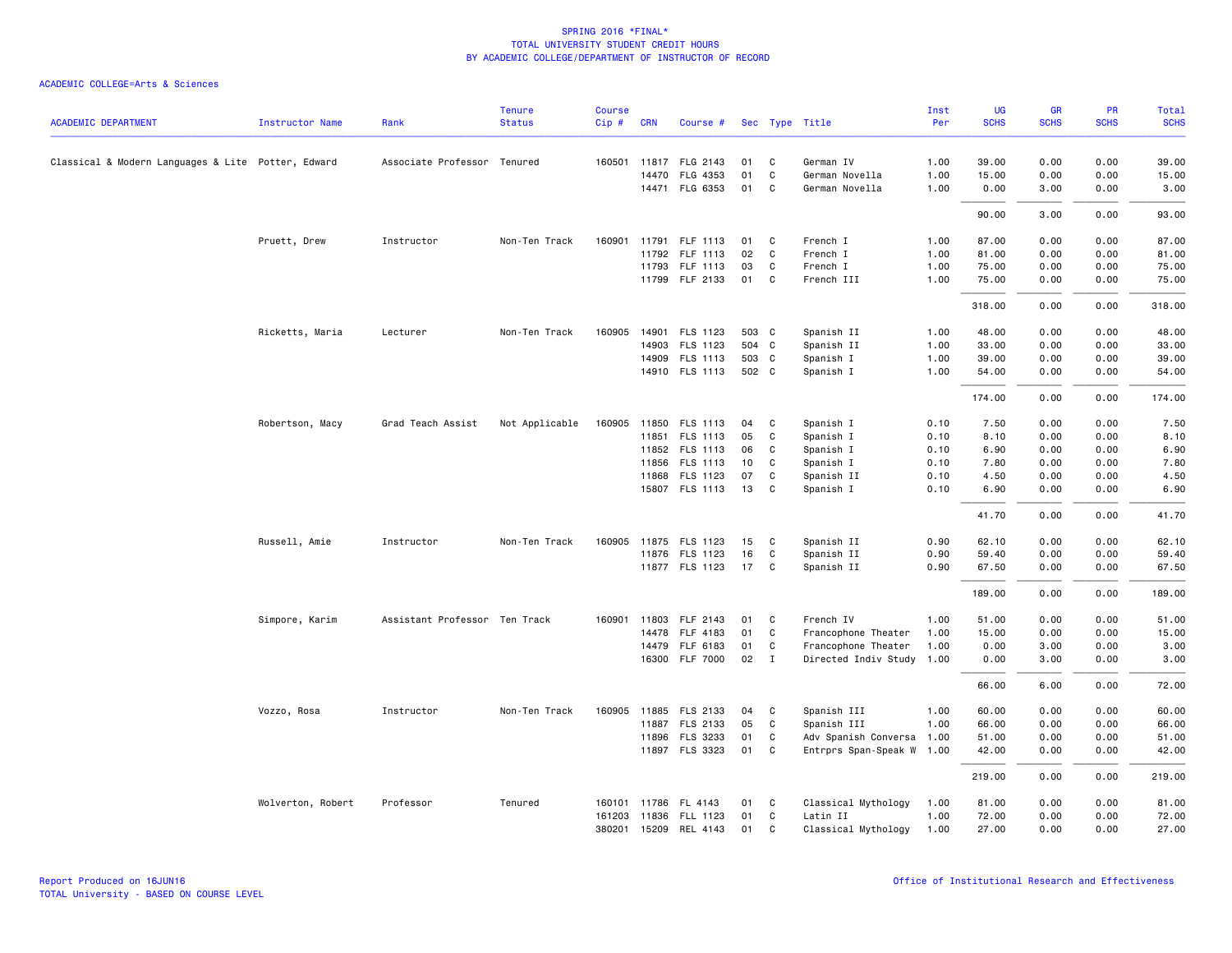|                                                    |                        |                               | <b>Tenure</b>  | <b>Course</b> |            |                       |       |              |                           | Inst | UG          | <b>GR</b>   | PR          | <b>Total</b> |
|----------------------------------------------------|------------------------|-------------------------------|----------------|---------------|------------|-----------------------|-------|--------------|---------------------------|------|-------------|-------------|-------------|--------------|
| <b>ACADEMIC DEPARTMENT</b>                         | <b>Instructor Name</b> | Rank                          | <b>Status</b>  | Cip#          | <b>CRN</b> | Course #              |       |              | Sec Type Title            | Per  | <b>SCHS</b> | <b>SCHS</b> | <b>SCHS</b> | <b>SCHS</b>  |
| Classical & Modern Languages & Lite Potter, Edward |                        | Associate Professor Tenured   |                |               |            | 160501 11817 FLG 2143 | 01    | C            | German IV                 | 1.00 | 39.00       | 0.00        | 0.00        | 39.00        |
|                                                    |                        |                               |                |               |            | 14470 FLG 4353        | 01    | $\mathsf{C}$ | German Novella            | 1.00 | 15.00       | 0.00        | 0.00        | 15.00        |
|                                                    |                        |                               |                |               |            | 14471 FLG 6353        | 01    | C            | German Novella            | 1.00 | 0.00        | 3.00        | 0.00        | 3.00         |
|                                                    |                        |                               |                |               |            |                       |       |              |                           |      | 90.00       | 3.00        | 0.00        | 93.00        |
|                                                    | Pruett, Drew           | Instructor                    | Non-Ten Track  | 160901        |            | 11791 FLF 1113        | 01    | C            | French I                  | 1.00 | 87.00       | 0.00        | 0.00        | 87.00        |
|                                                    |                        |                               |                |               |            | 11792 FLF 1113        | 02    | C            | French I                  | 1.00 | 81.00       | 0.00        | 0.00        | 81.00        |
|                                                    |                        |                               |                |               |            | 11793 FLF 1113        | 03    | C            | French I                  | 1.00 | 75.00       | 0.00        | 0.00        | 75.00        |
|                                                    |                        |                               |                |               |            | 11799 FLF 2133        | 01    | C            | French III                | 1.00 | 75.00       | 0.00        | 0.00        | 75.00        |
|                                                    |                        |                               |                |               |            |                       |       |              |                           |      | 318.00      | 0.00        | 0.00        | 318.00       |
|                                                    | Ricketts, Maria        | Lecturer                      | Non-Ten Track  |               |            | 160905 14901 FLS 1123 | 503 C |              | Spanish II                | 1.00 | 48.00       | 0.00        | 0.00        | 48.00        |
|                                                    |                        |                               |                |               | 14903      | FLS 1123              | 504 C |              | Spanish II                | 1.00 | 33.00       | 0.00        | 0.00        | 33.00        |
|                                                    |                        |                               |                |               |            | 14909 FLS 1113        | 503 C |              | Spanish I                 | 1.00 | 39.00       | 0.00        | 0.00        | 39.00        |
|                                                    |                        |                               |                |               |            | 14910 FLS 1113        | 502 C |              | Spanish I                 | 1.00 | 54.00       | 0.00        | 0.00        | 54.00        |
|                                                    |                        |                               |                |               |            |                       |       |              |                           |      | 174.00      | 0.00        | 0.00        | 174.00       |
|                                                    | Robertson, Macy        | Grad Teach Assist             | Not Applicable | 160905        | 11850      | FLS 1113              | 04    | C            | Spanish I                 | 0.10 | 7.50        | 0.00        | 0.00        | 7.50         |
|                                                    |                        |                               |                |               |            | 11851 FLS 1113        | 05    | C            | Spanish I                 | 0.10 | 8.10        | 0.00        | 0.00        | 8.10         |
|                                                    |                        |                               |                |               |            | 11852 FLS 1113        | 06    | C            | Spanish I                 | 0.10 | 6.90        | 0.00        | 0.00        | 6.90         |
|                                                    |                        |                               |                |               | 11856      | FLS 1113              | 10    | C            | Spanish I                 | 0.10 | 7.80        | 0.00        | 0.00        | 7.80         |
|                                                    |                        |                               |                |               | 11868      | FLS 1123              | 07    | C            | Spanish II                | 0.10 | 4.50        | 0.00        | 0.00        | 4.50         |
|                                                    |                        |                               |                |               |            | 15807 FLS 1113        | 13    | C            | Spanish I                 | 0.10 | 6.90        | 0.00        | 0.00        | 6.90         |
|                                                    |                        |                               |                |               |            |                       |       |              |                           |      | 41.70       | 0.00        | 0.00        | 41.70        |
|                                                    | Russell, Amie          | Instructor                    | Non-Ten Track  | 160905        |            | 11875 FLS 1123        | 15    | C            | Spanish II                | 0.90 | 62.10       | 0.00        | 0.00        | 62.10        |
|                                                    |                        |                               |                |               |            | 11876 FLS 1123        | 16    | C            | Spanish II                | 0.90 | 59.40       | 0.00        | 0.00        | 59.40        |
|                                                    |                        |                               |                |               |            | 11877 FLS 1123        | 17    | C            | Spanish II                | 0.90 | 67.50       | 0.00        | 0.00        | 67.50        |
|                                                    |                        |                               |                |               |            |                       |       |              |                           |      | 189.00      | 0.00        | 0.00        | 189.00       |
|                                                    | Simpore, Karim         | Assistant Professor Ten Track |                | 160901        | 11803      | FLF 2143              | 01    | C            | French IV                 | 1.00 | 51.00       | 0.00        | 0.00        | 51.00        |
|                                                    |                        |                               |                |               | 14478      | FLF 4183              | 01    | C            | Francophone Theater       | 1.00 | 15.00       | 0.00        | 0.00        | 15.00        |
|                                                    |                        |                               |                |               |            | 14479 FLF 6183        | 01    | C            | Francophone Theater       | 1.00 | 0.00        | 3.00        | 0.00        | 3.00         |
|                                                    |                        |                               |                |               |            | 16300 FLF 7000        | 02    | $\mathbf{I}$ | Directed Indiv Study 1.00 |      | 0.00        | 3.00        | 0.00        | 3.00         |
|                                                    |                        |                               |                |               |            |                       |       |              |                           |      | 66.00       | 6.00        | 0.00        | 72.00        |
|                                                    | Vozzo, Rosa            | Instructor                    | Non-Ten Track  | 160905        |            | 11885 FLS 2133        | 04    | C            | Spanish III               | 1.00 | 60.00       | 0.00        | 0.00        | 60.00        |
|                                                    |                        |                               |                |               |            | 11887 FLS 2133        | 05    | C            | Spanish III               | 1.00 | 66.00       | 0.00        | 0.00        | 66.00        |
|                                                    |                        |                               |                |               | 11896      | FLS 3233              | 01    | C            | Adv Spanish Conversa      | 1.00 | 51.00       | 0.00        | 0.00        | 51.00        |
|                                                    |                        |                               |                |               |            | 11897 FLS 3323        | 01    | C            | Entrprs Span-Speak W      | 1.00 | 42.00       | 0.00        | 0.00        | 42.00        |
|                                                    |                        |                               |                |               |            |                       |       |              |                           |      | 219.00      | 0.00        | 0.00        | 219.00       |
|                                                    | Wolverton, Robert      | Professor                     | Tenured        |               |            | 160101 11786 FL 4143  | 01    | C            | Classical Mythology       | 1.00 | 81.00       | 0.00        | 0.00        | 81.00        |
|                                                    |                        |                               |                |               |            | 161203 11836 FLL 1123 | 01    | $\mathsf{C}$ | Latin II                  | 1.00 | 72.00       | 0.00        | 0.00        | 72.00        |
|                                                    |                        |                               |                |               |            | 380201 15209 REL 4143 | 01    | $\mathsf{C}$ | Classical Mythology       | 1.00 | 27.00       | 0.00        | 0.00        | 27.00        |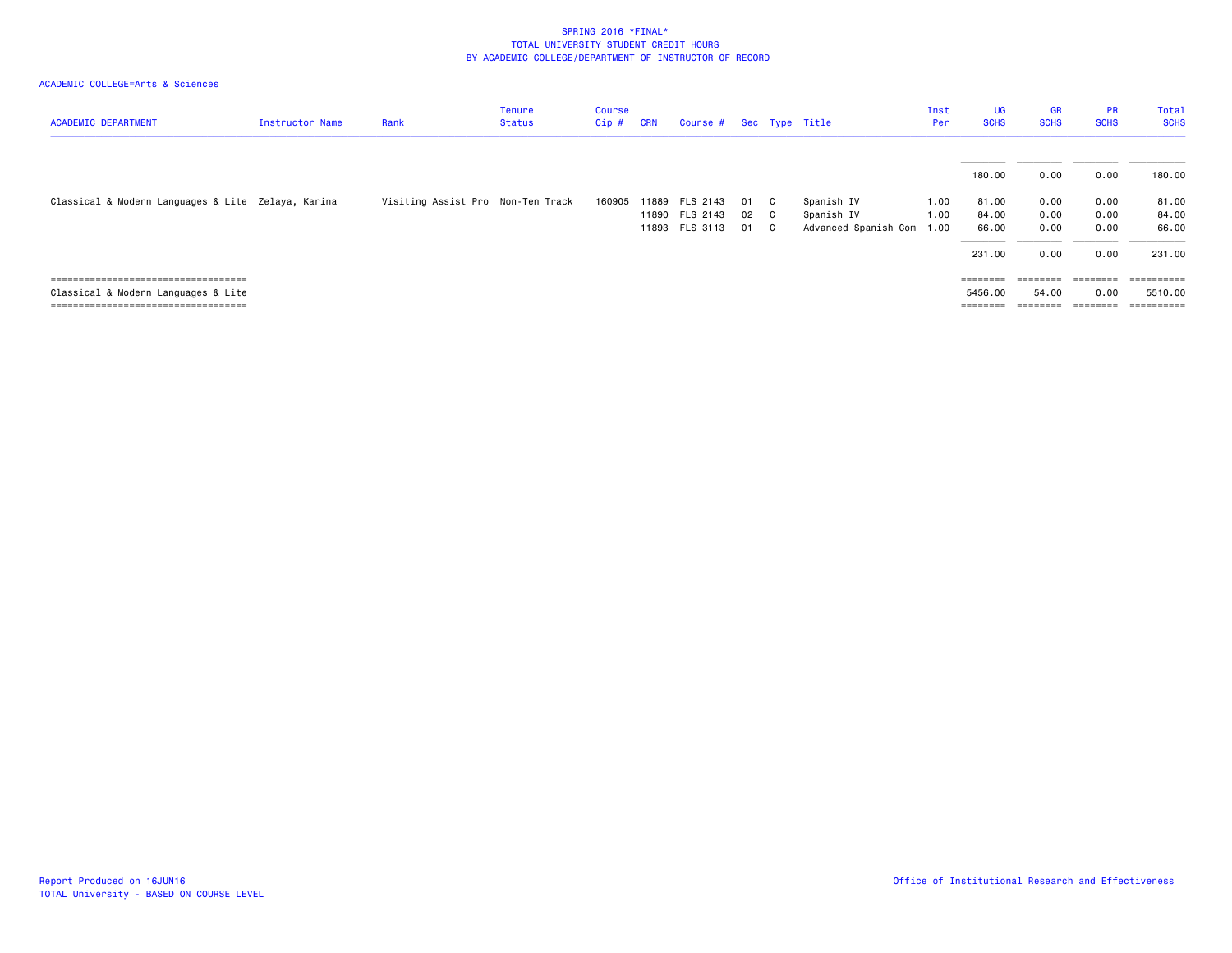| <b>ACADEMIC DEPARTMENT</b>                                                                                             | Instructor Name | Rank                              | <b>Tenure</b><br><b>Status</b> | <b>Course</b><br>$Cip$ # | <b>CRN</b> | Course #                                           |                |                                                | Sec Type Title                                   | Inst<br>Per          | UG<br><b>SCHS</b>                 | <b>GR</b><br><b>SCHS</b>     | <b>PR</b><br><b>SCHS</b>              | Total<br><b>SCHS</b>                           |
|------------------------------------------------------------------------------------------------------------------------|-----------------|-----------------------------------|--------------------------------|--------------------------|------------|----------------------------------------------------|----------------|------------------------------------------------|--------------------------------------------------|----------------------|-----------------------------------|------------------------------|---------------------------------------|------------------------------------------------|
|                                                                                                                        |                 |                                   |                                |                          |            |                                                    |                |                                                |                                                  |                      | 180.00                            | 0.00                         | 0.00                                  | 180.00                                         |
| Classical & Modern Languages & Lite Zelaya, Karina                                                                     |                 | Visiting Assist Pro Non-Ten Track |                                | 160905                   |            | 11889 FLS 2143<br>11890 FLS 2143<br>11893 FLS 3113 | 01<br>02<br>01 | $\mathbf{C}$<br>$\overline{c}$<br>$\mathbf{C}$ | Spanish IV<br>Spanish IV<br>Advanced Spanish Com | 1.00<br>1.00<br>1.00 | 81.00<br>84.00<br>66.00<br>231.00 | 0.00<br>0.00<br>0.00<br>0.00 | 0.00<br>0.00<br>0.00<br>0.00          | 81.00<br>84.00<br>66.00<br>231.00              |
| =====================================<br>Classical & Modern Languages & Lite<br>====================================== |                 |                                   |                                |                          |            |                                                    |                |                                                |                                                  |                      | ========<br>5456.00<br>========   | 54.00<br>========            | $=$ = = = = = = =<br>0.00<br>======== | $=$ = = = = = = = = =<br>5510.00<br>========== |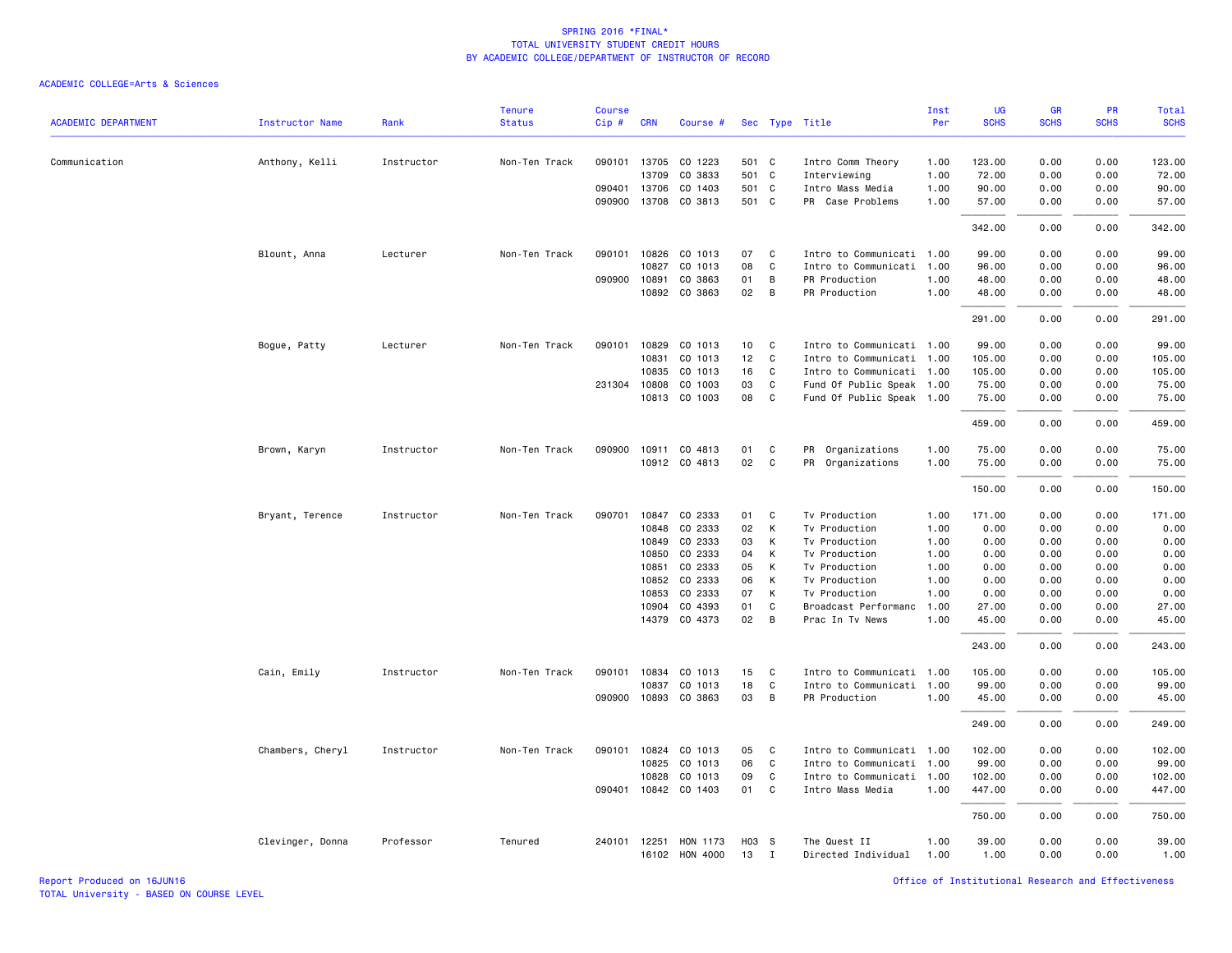| Anthony, Kelli<br>090101 13705 CO 1223<br>501 C<br>Intro Comm Theory<br>1.00<br>123.00<br>0.00<br>0.00<br>123.00<br>Communication<br>Instructor<br>Non-Ten Track<br>13709<br>CO 3833<br>501<br>72.00<br><b>C</b><br>1.00<br>72.00<br>0.00<br>0.00<br>Interviewing<br>090401 13706<br>CO 1403<br>501 C<br>1.00<br>90.00<br>0.00<br>0.00<br>Intro Mass Media<br>90.00<br>090900 13708<br>CO 3813<br>501 C<br>PR Case Problems<br>1.00<br>57.00<br>0.00<br>0.00<br>57.00<br>342.00<br>0.00<br>342.00<br>0.00<br>Non-Ten Track<br>090101<br>10826<br>CO 1013<br>07<br>Intro to Communicati 1.00<br>99.00<br>0.00<br>99.00<br>Blount, Anna<br>Lecturer<br>C<br>0.00<br>CO 1013<br>08<br>$\mathtt{C}$<br>10827<br>Intro to Communicati 1.00<br>96.00<br>0.00<br>0.00<br>96.00<br>090900 10891<br>CO 3863<br>01<br>B<br>PR Production<br>1.00<br>48.00<br>0.00<br>0.00<br>48.00<br>10892<br>CO 3863<br>02<br>B<br>PR Production<br>1.00<br>48.00<br>0.00<br>0.00<br>48.00<br>291.00<br>0.00<br>0.00<br>291.00<br>Non-Ten Track<br>090101<br>10829<br>CO 1013<br>10<br>C<br>Intro to Communicati 1.00<br>99.00<br>0.00<br>0.00<br>99.00<br>Bogue, Patty<br>Lecturer<br>12<br>10831<br>CO 1013<br>C<br>Intro to Communicati 1.00<br>105.00<br>0.00<br>0.00<br>105.00<br>10835<br>CO 1013<br>16<br>C<br>0.00<br>105.00<br>Intro to Communicati 1.00<br>105.00<br>0.00<br>CO 1003<br>03<br>C<br>75.00<br>231304 10808<br>Fund Of Public Speak 1.00<br>75.00<br>0.00<br>0.00<br>10813 CO 1003<br>08<br>$\mathsf{C}$<br>Fund Of Public Speak 1.00<br>75.00<br>0.00<br>0.00<br>75.00<br>459.00<br>0.00<br>0.00<br>459.00<br>Instructor<br>Non-Ten Track<br>090900<br>10911 CO 4813<br>01<br>C<br>PR Organizations<br>1.00<br>75.00<br>0.00<br>0.00<br>75.00<br>Brown, Karyn<br>10912 CO 4813<br>02<br>$\mathsf{C}$<br>PR Organizations<br>1.00<br>75.00<br>0.00<br>0.00<br>75.00<br>150.00<br>0.00<br>0.00<br>150.00<br>Bryant, Terence<br>Instructor<br>Non-Ten Track<br>090701<br>10847<br>CO 2333<br>01<br>C<br>Tv Production<br>1.00<br>171.00<br>0.00<br>0.00<br>171.00<br>CO 2333<br>02<br>10848<br>К<br>Tv Production<br>1.00<br>0.00<br>0.00<br>0.00<br>0.00<br>10849<br>CO 2333<br>03<br>К<br>Tv Production<br>0.00<br>0.00<br>1.00<br>0.00<br>0.00<br>CO 2333<br>04<br>10850<br>К<br>Tv Production<br>1.00<br>0.00<br>0.00<br>0.00<br>0.00<br>CO 2333<br>10851<br>05<br>К<br>Tv Production<br>1.00<br>0.00<br>0.00<br>0.00<br>0.00<br>CO 2333<br>06<br>1.00<br>0.00<br>10852<br>К<br>Tv Production<br>0.00<br>0.00<br>0.00<br>CO 2333<br>07<br>0.00<br>10853<br>К<br>Tv Production<br>1.00<br>0.00<br>0.00<br>0.00<br>01<br>$\mathsf{C}$<br>10904<br>CO 4393<br>1.00<br>27.00<br>0.00<br>0.00<br>27.00<br>Broadcast Performanc<br>14379 CO 4373<br>02<br>B<br>1.00<br>45.00<br>Prac In Tv News<br>45.00<br>0.00<br>0.00<br>243.00<br>0.00<br>0.00<br>243.00<br>Non-Ten Track<br>090101<br>10834<br>CO 1013<br>15<br>Intro to Communicati 1.00<br>105.00<br>0.00<br>0.00<br>105.00<br>Cain, Emily<br>Instructor<br>C<br>10837<br>CO 1013<br>18<br>C<br>99.00<br>0.00<br>99.00<br>Intro to Communicati 1.00<br>0.00<br>090900 10893 CO 3863<br>03<br>B<br>1.00<br>PR Production<br>45.00<br>0.00<br>0.00<br>45.00<br>249.00<br>249.00<br>0.00<br>0.00<br>Chambers, Cheryl<br>Instructor<br>Non-Ten Track<br>090101<br>10824<br>CO 1013<br>05<br>C<br>Intro to Communicati 1.00<br>102.00<br>0.00<br>0.00<br>102.00<br>10825<br>CO 1013<br>06<br>C<br>Intro to Communicati<br>1.00<br>99.00<br>0.00<br>0.00<br>99.00<br>10828<br>CO 1013<br>09<br>C<br>Intro to Communicati 1.00<br>102.00<br>0.00<br>0.00<br>102.00<br>090401 10842 CO 1403<br>01<br>C<br>Intro Mass Media<br>1.00<br>447.00<br>0.00<br>0.00<br>447.00<br>750.00<br>0.00<br>0.00<br>750.00<br>Clevinger, Donna<br>Professor<br>Tenured<br>240101<br>12251<br>HON 1173<br>H03 S<br>The Quest II<br>1.00<br>39.00<br>0.00<br>0.00<br>39.00<br>16102 HON 4000<br>13<br>$\mathbf{I}$<br>Directed Individual<br>1.00<br>1.00<br>0.00<br>0.00<br>1.00 | <b>ACADEMIC DEPARTMENT</b> | <b>Instructor Name</b> | Rank | <b>Tenure</b><br><b>Status</b> | <b>Course</b><br>Cip# | <b>CRN</b> | Course # |  | Sec Type Title | Inst<br>Per | <b>UG</b><br><b>SCHS</b> | <b>GR</b><br><b>SCHS</b> | PR<br><b>SCHS</b> | <b>Total</b><br><b>SCHS</b> |
|-----------------------------------------------------------------------------------------------------------------------------------------------------------------------------------------------------------------------------------------------------------------------------------------------------------------------------------------------------------------------------------------------------------------------------------------------------------------------------------------------------------------------------------------------------------------------------------------------------------------------------------------------------------------------------------------------------------------------------------------------------------------------------------------------------------------------------------------------------------------------------------------------------------------------------------------------------------------------------------------------------------------------------------------------------------------------------------------------------------------------------------------------------------------------------------------------------------------------------------------------------------------------------------------------------------------------------------------------------------------------------------------------------------------------------------------------------------------------------------------------------------------------------------------------------------------------------------------------------------------------------------------------------------------------------------------------------------------------------------------------------------------------------------------------------------------------------------------------------------------------------------------------------------------------------------------------------------------------------------------------------------------------------------------------------------------------------------------------------------------------------------------------------------------------------------------------------------------------------------------------------------------------------------------------------------------------------------------------------------------------------------------------------------------------------------------------------------------------------------------------------------------------------------------------------------------------------------------------------------------------------------------------------------------------------------------------------------------------------------------------------------------------------------------------------------------------------------------------------------------------------------------------------------------------------------------------------------------------------------------------------------------------------------------------------------------------------------------------------------------------------------------------------------------------------------------------------------------------------------------------------------------------------------------------------------------------------------------------------------------------------------------------------------------------------------------------------------------------------------------------------------------------------------------------------------------------------------------------------------------------------------------------------------------------------------------------------------------------------------------------------------------------------------------------------------------------------------------------------------------------------------------------------------------------------------------------------------------------------------------------------------|----------------------------|------------------------|------|--------------------------------|-----------------------|------------|----------|--|----------------|-------------|--------------------------|--------------------------|-------------------|-----------------------------|
|                                                                                                                                                                                                                                                                                                                                                                                                                                                                                                                                                                                                                                                                                                                                                                                                                                                                                                                                                                                                                                                                                                                                                                                                                                                                                                                                                                                                                                                                                                                                                                                                                                                                                                                                                                                                                                                                                                                                                                                                                                                                                                                                                                                                                                                                                                                                                                                                                                                                                                                                                                                                                                                                                                                                                                                                                                                                                                                                                                                                                                                                                                                                                                                                                                                                                                                                                                                                                                                                                                                                                                                                                                                                                                                                                                                                                                                                                                                                                                                                           |                            |                        |      |                                |                       |            |          |  |                |             |                          |                          |                   |                             |
|                                                                                                                                                                                                                                                                                                                                                                                                                                                                                                                                                                                                                                                                                                                                                                                                                                                                                                                                                                                                                                                                                                                                                                                                                                                                                                                                                                                                                                                                                                                                                                                                                                                                                                                                                                                                                                                                                                                                                                                                                                                                                                                                                                                                                                                                                                                                                                                                                                                                                                                                                                                                                                                                                                                                                                                                                                                                                                                                                                                                                                                                                                                                                                                                                                                                                                                                                                                                                                                                                                                                                                                                                                                                                                                                                                                                                                                                                                                                                                                                           |                            |                        |      |                                |                       |            |          |  |                |             |                          |                          |                   |                             |
|                                                                                                                                                                                                                                                                                                                                                                                                                                                                                                                                                                                                                                                                                                                                                                                                                                                                                                                                                                                                                                                                                                                                                                                                                                                                                                                                                                                                                                                                                                                                                                                                                                                                                                                                                                                                                                                                                                                                                                                                                                                                                                                                                                                                                                                                                                                                                                                                                                                                                                                                                                                                                                                                                                                                                                                                                                                                                                                                                                                                                                                                                                                                                                                                                                                                                                                                                                                                                                                                                                                                                                                                                                                                                                                                                                                                                                                                                                                                                                                                           |                            |                        |      |                                |                       |            |          |  |                |             |                          |                          |                   |                             |
|                                                                                                                                                                                                                                                                                                                                                                                                                                                                                                                                                                                                                                                                                                                                                                                                                                                                                                                                                                                                                                                                                                                                                                                                                                                                                                                                                                                                                                                                                                                                                                                                                                                                                                                                                                                                                                                                                                                                                                                                                                                                                                                                                                                                                                                                                                                                                                                                                                                                                                                                                                                                                                                                                                                                                                                                                                                                                                                                                                                                                                                                                                                                                                                                                                                                                                                                                                                                                                                                                                                                                                                                                                                                                                                                                                                                                                                                                                                                                                                                           |                            |                        |      |                                |                       |            |          |  |                |             |                          |                          |                   |                             |
|                                                                                                                                                                                                                                                                                                                                                                                                                                                                                                                                                                                                                                                                                                                                                                                                                                                                                                                                                                                                                                                                                                                                                                                                                                                                                                                                                                                                                                                                                                                                                                                                                                                                                                                                                                                                                                                                                                                                                                                                                                                                                                                                                                                                                                                                                                                                                                                                                                                                                                                                                                                                                                                                                                                                                                                                                                                                                                                                                                                                                                                                                                                                                                                                                                                                                                                                                                                                                                                                                                                                                                                                                                                                                                                                                                                                                                                                                                                                                                                                           |                            |                        |      |                                |                       |            |          |  |                |             |                          |                          |                   |                             |
|                                                                                                                                                                                                                                                                                                                                                                                                                                                                                                                                                                                                                                                                                                                                                                                                                                                                                                                                                                                                                                                                                                                                                                                                                                                                                                                                                                                                                                                                                                                                                                                                                                                                                                                                                                                                                                                                                                                                                                                                                                                                                                                                                                                                                                                                                                                                                                                                                                                                                                                                                                                                                                                                                                                                                                                                                                                                                                                                                                                                                                                                                                                                                                                                                                                                                                                                                                                                                                                                                                                                                                                                                                                                                                                                                                                                                                                                                                                                                                                                           |                            |                        |      |                                |                       |            |          |  |                |             |                          |                          |                   |                             |
|                                                                                                                                                                                                                                                                                                                                                                                                                                                                                                                                                                                                                                                                                                                                                                                                                                                                                                                                                                                                                                                                                                                                                                                                                                                                                                                                                                                                                                                                                                                                                                                                                                                                                                                                                                                                                                                                                                                                                                                                                                                                                                                                                                                                                                                                                                                                                                                                                                                                                                                                                                                                                                                                                                                                                                                                                                                                                                                                                                                                                                                                                                                                                                                                                                                                                                                                                                                                                                                                                                                                                                                                                                                                                                                                                                                                                                                                                                                                                                                                           |                            |                        |      |                                |                       |            |          |  |                |             |                          |                          |                   |                             |
|                                                                                                                                                                                                                                                                                                                                                                                                                                                                                                                                                                                                                                                                                                                                                                                                                                                                                                                                                                                                                                                                                                                                                                                                                                                                                                                                                                                                                                                                                                                                                                                                                                                                                                                                                                                                                                                                                                                                                                                                                                                                                                                                                                                                                                                                                                                                                                                                                                                                                                                                                                                                                                                                                                                                                                                                                                                                                                                                                                                                                                                                                                                                                                                                                                                                                                                                                                                                                                                                                                                                                                                                                                                                                                                                                                                                                                                                                                                                                                                                           |                            |                        |      |                                |                       |            |          |  |                |             |                          |                          |                   |                             |
|                                                                                                                                                                                                                                                                                                                                                                                                                                                                                                                                                                                                                                                                                                                                                                                                                                                                                                                                                                                                                                                                                                                                                                                                                                                                                                                                                                                                                                                                                                                                                                                                                                                                                                                                                                                                                                                                                                                                                                                                                                                                                                                                                                                                                                                                                                                                                                                                                                                                                                                                                                                                                                                                                                                                                                                                                                                                                                                                                                                                                                                                                                                                                                                                                                                                                                                                                                                                                                                                                                                                                                                                                                                                                                                                                                                                                                                                                                                                                                                                           |                            |                        |      |                                |                       |            |          |  |                |             |                          |                          |                   |                             |
|                                                                                                                                                                                                                                                                                                                                                                                                                                                                                                                                                                                                                                                                                                                                                                                                                                                                                                                                                                                                                                                                                                                                                                                                                                                                                                                                                                                                                                                                                                                                                                                                                                                                                                                                                                                                                                                                                                                                                                                                                                                                                                                                                                                                                                                                                                                                                                                                                                                                                                                                                                                                                                                                                                                                                                                                                                                                                                                                                                                                                                                                                                                                                                                                                                                                                                                                                                                                                                                                                                                                                                                                                                                                                                                                                                                                                                                                                                                                                                                                           |                            |                        |      |                                |                       |            |          |  |                |             |                          |                          |                   |                             |
|                                                                                                                                                                                                                                                                                                                                                                                                                                                                                                                                                                                                                                                                                                                                                                                                                                                                                                                                                                                                                                                                                                                                                                                                                                                                                                                                                                                                                                                                                                                                                                                                                                                                                                                                                                                                                                                                                                                                                                                                                                                                                                                                                                                                                                                                                                                                                                                                                                                                                                                                                                                                                                                                                                                                                                                                                                                                                                                                                                                                                                                                                                                                                                                                                                                                                                                                                                                                                                                                                                                                                                                                                                                                                                                                                                                                                                                                                                                                                                                                           |                            |                        |      |                                |                       |            |          |  |                |             |                          |                          |                   |                             |
|                                                                                                                                                                                                                                                                                                                                                                                                                                                                                                                                                                                                                                                                                                                                                                                                                                                                                                                                                                                                                                                                                                                                                                                                                                                                                                                                                                                                                                                                                                                                                                                                                                                                                                                                                                                                                                                                                                                                                                                                                                                                                                                                                                                                                                                                                                                                                                                                                                                                                                                                                                                                                                                                                                                                                                                                                                                                                                                                                                                                                                                                                                                                                                                                                                                                                                                                                                                                                                                                                                                                                                                                                                                                                                                                                                                                                                                                                                                                                                                                           |                            |                        |      |                                |                       |            |          |  |                |             |                          |                          |                   |                             |
|                                                                                                                                                                                                                                                                                                                                                                                                                                                                                                                                                                                                                                                                                                                                                                                                                                                                                                                                                                                                                                                                                                                                                                                                                                                                                                                                                                                                                                                                                                                                                                                                                                                                                                                                                                                                                                                                                                                                                                                                                                                                                                                                                                                                                                                                                                                                                                                                                                                                                                                                                                                                                                                                                                                                                                                                                                                                                                                                                                                                                                                                                                                                                                                                                                                                                                                                                                                                                                                                                                                                                                                                                                                                                                                                                                                                                                                                                                                                                                                                           |                            |                        |      |                                |                       |            |          |  |                |             |                          |                          |                   |                             |
|                                                                                                                                                                                                                                                                                                                                                                                                                                                                                                                                                                                                                                                                                                                                                                                                                                                                                                                                                                                                                                                                                                                                                                                                                                                                                                                                                                                                                                                                                                                                                                                                                                                                                                                                                                                                                                                                                                                                                                                                                                                                                                                                                                                                                                                                                                                                                                                                                                                                                                                                                                                                                                                                                                                                                                                                                                                                                                                                                                                                                                                                                                                                                                                                                                                                                                                                                                                                                                                                                                                                                                                                                                                                                                                                                                                                                                                                                                                                                                                                           |                            |                        |      |                                |                       |            |          |  |                |             |                          |                          |                   |                             |
|                                                                                                                                                                                                                                                                                                                                                                                                                                                                                                                                                                                                                                                                                                                                                                                                                                                                                                                                                                                                                                                                                                                                                                                                                                                                                                                                                                                                                                                                                                                                                                                                                                                                                                                                                                                                                                                                                                                                                                                                                                                                                                                                                                                                                                                                                                                                                                                                                                                                                                                                                                                                                                                                                                                                                                                                                                                                                                                                                                                                                                                                                                                                                                                                                                                                                                                                                                                                                                                                                                                                                                                                                                                                                                                                                                                                                                                                                                                                                                                                           |                            |                        |      |                                |                       |            |          |  |                |             |                          |                          |                   |                             |
|                                                                                                                                                                                                                                                                                                                                                                                                                                                                                                                                                                                                                                                                                                                                                                                                                                                                                                                                                                                                                                                                                                                                                                                                                                                                                                                                                                                                                                                                                                                                                                                                                                                                                                                                                                                                                                                                                                                                                                                                                                                                                                                                                                                                                                                                                                                                                                                                                                                                                                                                                                                                                                                                                                                                                                                                                                                                                                                                                                                                                                                                                                                                                                                                                                                                                                                                                                                                                                                                                                                                                                                                                                                                                                                                                                                                                                                                                                                                                                                                           |                            |                        |      |                                |                       |            |          |  |                |             |                          |                          |                   |                             |
|                                                                                                                                                                                                                                                                                                                                                                                                                                                                                                                                                                                                                                                                                                                                                                                                                                                                                                                                                                                                                                                                                                                                                                                                                                                                                                                                                                                                                                                                                                                                                                                                                                                                                                                                                                                                                                                                                                                                                                                                                                                                                                                                                                                                                                                                                                                                                                                                                                                                                                                                                                                                                                                                                                                                                                                                                                                                                                                                                                                                                                                                                                                                                                                                                                                                                                                                                                                                                                                                                                                                                                                                                                                                                                                                                                                                                                                                                                                                                                                                           |                            |                        |      |                                |                       |            |          |  |                |             |                          |                          |                   |                             |
|                                                                                                                                                                                                                                                                                                                                                                                                                                                                                                                                                                                                                                                                                                                                                                                                                                                                                                                                                                                                                                                                                                                                                                                                                                                                                                                                                                                                                                                                                                                                                                                                                                                                                                                                                                                                                                                                                                                                                                                                                                                                                                                                                                                                                                                                                                                                                                                                                                                                                                                                                                                                                                                                                                                                                                                                                                                                                                                                                                                                                                                                                                                                                                                                                                                                                                                                                                                                                                                                                                                                                                                                                                                                                                                                                                                                                                                                                                                                                                                                           |                            |                        |      |                                |                       |            |          |  |                |             |                          |                          |                   |                             |
|                                                                                                                                                                                                                                                                                                                                                                                                                                                                                                                                                                                                                                                                                                                                                                                                                                                                                                                                                                                                                                                                                                                                                                                                                                                                                                                                                                                                                                                                                                                                                                                                                                                                                                                                                                                                                                                                                                                                                                                                                                                                                                                                                                                                                                                                                                                                                                                                                                                                                                                                                                                                                                                                                                                                                                                                                                                                                                                                                                                                                                                                                                                                                                                                                                                                                                                                                                                                                                                                                                                                                                                                                                                                                                                                                                                                                                                                                                                                                                                                           |                            |                        |      |                                |                       |            |          |  |                |             |                          |                          |                   |                             |
|                                                                                                                                                                                                                                                                                                                                                                                                                                                                                                                                                                                                                                                                                                                                                                                                                                                                                                                                                                                                                                                                                                                                                                                                                                                                                                                                                                                                                                                                                                                                                                                                                                                                                                                                                                                                                                                                                                                                                                                                                                                                                                                                                                                                                                                                                                                                                                                                                                                                                                                                                                                                                                                                                                                                                                                                                                                                                                                                                                                                                                                                                                                                                                                                                                                                                                                                                                                                                                                                                                                                                                                                                                                                                                                                                                                                                                                                                                                                                                                                           |                            |                        |      |                                |                       |            |          |  |                |             |                          |                          |                   |                             |
|                                                                                                                                                                                                                                                                                                                                                                                                                                                                                                                                                                                                                                                                                                                                                                                                                                                                                                                                                                                                                                                                                                                                                                                                                                                                                                                                                                                                                                                                                                                                                                                                                                                                                                                                                                                                                                                                                                                                                                                                                                                                                                                                                                                                                                                                                                                                                                                                                                                                                                                                                                                                                                                                                                                                                                                                                                                                                                                                                                                                                                                                                                                                                                                                                                                                                                                                                                                                                                                                                                                                                                                                                                                                                                                                                                                                                                                                                                                                                                                                           |                            |                        |      |                                |                       |            |          |  |                |             |                          |                          |                   |                             |
|                                                                                                                                                                                                                                                                                                                                                                                                                                                                                                                                                                                                                                                                                                                                                                                                                                                                                                                                                                                                                                                                                                                                                                                                                                                                                                                                                                                                                                                                                                                                                                                                                                                                                                                                                                                                                                                                                                                                                                                                                                                                                                                                                                                                                                                                                                                                                                                                                                                                                                                                                                                                                                                                                                                                                                                                                                                                                                                                                                                                                                                                                                                                                                                                                                                                                                                                                                                                                                                                                                                                                                                                                                                                                                                                                                                                                                                                                                                                                                                                           |                            |                        |      |                                |                       |            |          |  |                |             |                          |                          |                   |                             |
|                                                                                                                                                                                                                                                                                                                                                                                                                                                                                                                                                                                                                                                                                                                                                                                                                                                                                                                                                                                                                                                                                                                                                                                                                                                                                                                                                                                                                                                                                                                                                                                                                                                                                                                                                                                                                                                                                                                                                                                                                                                                                                                                                                                                                                                                                                                                                                                                                                                                                                                                                                                                                                                                                                                                                                                                                                                                                                                                                                                                                                                                                                                                                                                                                                                                                                                                                                                                                                                                                                                                                                                                                                                                                                                                                                                                                                                                                                                                                                                                           |                            |                        |      |                                |                       |            |          |  |                |             |                          |                          |                   |                             |
|                                                                                                                                                                                                                                                                                                                                                                                                                                                                                                                                                                                                                                                                                                                                                                                                                                                                                                                                                                                                                                                                                                                                                                                                                                                                                                                                                                                                                                                                                                                                                                                                                                                                                                                                                                                                                                                                                                                                                                                                                                                                                                                                                                                                                                                                                                                                                                                                                                                                                                                                                                                                                                                                                                                                                                                                                                                                                                                                                                                                                                                                                                                                                                                                                                                                                                                                                                                                                                                                                                                                                                                                                                                                                                                                                                                                                                                                                                                                                                                                           |                            |                        |      |                                |                       |            |          |  |                |             |                          |                          |                   |                             |
|                                                                                                                                                                                                                                                                                                                                                                                                                                                                                                                                                                                                                                                                                                                                                                                                                                                                                                                                                                                                                                                                                                                                                                                                                                                                                                                                                                                                                                                                                                                                                                                                                                                                                                                                                                                                                                                                                                                                                                                                                                                                                                                                                                                                                                                                                                                                                                                                                                                                                                                                                                                                                                                                                                                                                                                                                                                                                                                                                                                                                                                                                                                                                                                                                                                                                                                                                                                                                                                                                                                                                                                                                                                                                                                                                                                                                                                                                                                                                                                                           |                            |                        |      |                                |                       |            |          |  |                |             |                          |                          |                   |                             |
|                                                                                                                                                                                                                                                                                                                                                                                                                                                                                                                                                                                                                                                                                                                                                                                                                                                                                                                                                                                                                                                                                                                                                                                                                                                                                                                                                                                                                                                                                                                                                                                                                                                                                                                                                                                                                                                                                                                                                                                                                                                                                                                                                                                                                                                                                                                                                                                                                                                                                                                                                                                                                                                                                                                                                                                                                                                                                                                                                                                                                                                                                                                                                                                                                                                                                                                                                                                                                                                                                                                                                                                                                                                                                                                                                                                                                                                                                                                                                                                                           |                            |                        |      |                                |                       |            |          |  |                |             |                          |                          |                   |                             |
|                                                                                                                                                                                                                                                                                                                                                                                                                                                                                                                                                                                                                                                                                                                                                                                                                                                                                                                                                                                                                                                                                                                                                                                                                                                                                                                                                                                                                                                                                                                                                                                                                                                                                                                                                                                                                                                                                                                                                                                                                                                                                                                                                                                                                                                                                                                                                                                                                                                                                                                                                                                                                                                                                                                                                                                                                                                                                                                                                                                                                                                                                                                                                                                                                                                                                                                                                                                                                                                                                                                                                                                                                                                                                                                                                                                                                                                                                                                                                                                                           |                            |                        |      |                                |                       |            |          |  |                |             |                          |                          |                   |                             |
|                                                                                                                                                                                                                                                                                                                                                                                                                                                                                                                                                                                                                                                                                                                                                                                                                                                                                                                                                                                                                                                                                                                                                                                                                                                                                                                                                                                                                                                                                                                                                                                                                                                                                                                                                                                                                                                                                                                                                                                                                                                                                                                                                                                                                                                                                                                                                                                                                                                                                                                                                                                                                                                                                                                                                                                                                                                                                                                                                                                                                                                                                                                                                                                                                                                                                                                                                                                                                                                                                                                                                                                                                                                                                                                                                                                                                                                                                                                                                                                                           |                            |                        |      |                                |                       |            |          |  |                |             |                          |                          |                   |                             |
|                                                                                                                                                                                                                                                                                                                                                                                                                                                                                                                                                                                                                                                                                                                                                                                                                                                                                                                                                                                                                                                                                                                                                                                                                                                                                                                                                                                                                                                                                                                                                                                                                                                                                                                                                                                                                                                                                                                                                                                                                                                                                                                                                                                                                                                                                                                                                                                                                                                                                                                                                                                                                                                                                                                                                                                                                                                                                                                                                                                                                                                                                                                                                                                                                                                                                                                                                                                                                                                                                                                                                                                                                                                                                                                                                                                                                                                                                                                                                                                                           |                            |                        |      |                                |                       |            |          |  |                |             |                          |                          |                   |                             |
|                                                                                                                                                                                                                                                                                                                                                                                                                                                                                                                                                                                                                                                                                                                                                                                                                                                                                                                                                                                                                                                                                                                                                                                                                                                                                                                                                                                                                                                                                                                                                                                                                                                                                                                                                                                                                                                                                                                                                                                                                                                                                                                                                                                                                                                                                                                                                                                                                                                                                                                                                                                                                                                                                                                                                                                                                                                                                                                                                                                                                                                                                                                                                                                                                                                                                                                                                                                                                                                                                                                                                                                                                                                                                                                                                                                                                                                                                                                                                                                                           |                            |                        |      |                                |                       |            |          |  |                |             |                          |                          |                   |                             |
|                                                                                                                                                                                                                                                                                                                                                                                                                                                                                                                                                                                                                                                                                                                                                                                                                                                                                                                                                                                                                                                                                                                                                                                                                                                                                                                                                                                                                                                                                                                                                                                                                                                                                                                                                                                                                                                                                                                                                                                                                                                                                                                                                                                                                                                                                                                                                                                                                                                                                                                                                                                                                                                                                                                                                                                                                                                                                                                                                                                                                                                                                                                                                                                                                                                                                                                                                                                                                                                                                                                                                                                                                                                                                                                                                                                                                                                                                                                                                                                                           |                            |                        |      |                                |                       |            |          |  |                |             |                          |                          |                   |                             |
|                                                                                                                                                                                                                                                                                                                                                                                                                                                                                                                                                                                                                                                                                                                                                                                                                                                                                                                                                                                                                                                                                                                                                                                                                                                                                                                                                                                                                                                                                                                                                                                                                                                                                                                                                                                                                                                                                                                                                                                                                                                                                                                                                                                                                                                                                                                                                                                                                                                                                                                                                                                                                                                                                                                                                                                                                                                                                                                                                                                                                                                                                                                                                                                                                                                                                                                                                                                                                                                                                                                                                                                                                                                                                                                                                                                                                                                                                                                                                                                                           |                            |                        |      |                                |                       |            |          |  |                |             |                          |                          |                   |                             |
|                                                                                                                                                                                                                                                                                                                                                                                                                                                                                                                                                                                                                                                                                                                                                                                                                                                                                                                                                                                                                                                                                                                                                                                                                                                                                                                                                                                                                                                                                                                                                                                                                                                                                                                                                                                                                                                                                                                                                                                                                                                                                                                                                                                                                                                                                                                                                                                                                                                                                                                                                                                                                                                                                                                                                                                                                                                                                                                                                                                                                                                                                                                                                                                                                                                                                                                                                                                                                                                                                                                                                                                                                                                                                                                                                                                                                                                                                                                                                                                                           |                            |                        |      |                                |                       |            |          |  |                |             |                          |                          |                   |                             |
|                                                                                                                                                                                                                                                                                                                                                                                                                                                                                                                                                                                                                                                                                                                                                                                                                                                                                                                                                                                                                                                                                                                                                                                                                                                                                                                                                                                                                                                                                                                                                                                                                                                                                                                                                                                                                                                                                                                                                                                                                                                                                                                                                                                                                                                                                                                                                                                                                                                                                                                                                                                                                                                                                                                                                                                                                                                                                                                                                                                                                                                                                                                                                                                                                                                                                                                                                                                                                                                                                                                                                                                                                                                                                                                                                                                                                                                                                                                                                                                                           |                            |                        |      |                                |                       |            |          |  |                |             |                          |                          |                   |                             |
|                                                                                                                                                                                                                                                                                                                                                                                                                                                                                                                                                                                                                                                                                                                                                                                                                                                                                                                                                                                                                                                                                                                                                                                                                                                                                                                                                                                                                                                                                                                                                                                                                                                                                                                                                                                                                                                                                                                                                                                                                                                                                                                                                                                                                                                                                                                                                                                                                                                                                                                                                                                                                                                                                                                                                                                                                                                                                                                                                                                                                                                                                                                                                                                                                                                                                                                                                                                                                                                                                                                                                                                                                                                                                                                                                                                                                                                                                                                                                                                                           |                            |                        |      |                                |                       |            |          |  |                |             |                          |                          |                   |                             |
|                                                                                                                                                                                                                                                                                                                                                                                                                                                                                                                                                                                                                                                                                                                                                                                                                                                                                                                                                                                                                                                                                                                                                                                                                                                                                                                                                                                                                                                                                                                                                                                                                                                                                                                                                                                                                                                                                                                                                                                                                                                                                                                                                                                                                                                                                                                                                                                                                                                                                                                                                                                                                                                                                                                                                                                                                                                                                                                                                                                                                                                                                                                                                                                                                                                                                                                                                                                                                                                                                                                                                                                                                                                                                                                                                                                                                                                                                                                                                                                                           |                            |                        |      |                                |                       |            |          |  |                |             |                          |                          |                   |                             |
|                                                                                                                                                                                                                                                                                                                                                                                                                                                                                                                                                                                                                                                                                                                                                                                                                                                                                                                                                                                                                                                                                                                                                                                                                                                                                                                                                                                                                                                                                                                                                                                                                                                                                                                                                                                                                                                                                                                                                                                                                                                                                                                                                                                                                                                                                                                                                                                                                                                                                                                                                                                                                                                                                                                                                                                                                                                                                                                                                                                                                                                                                                                                                                                                                                                                                                                                                                                                                                                                                                                                                                                                                                                                                                                                                                                                                                                                                                                                                                                                           |                            |                        |      |                                |                       |            |          |  |                |             |                          |                          |                   |                             |
|                                                                                                                                                                                                                                                                                                                                                                                                                                                                                                                                                                                                                                                                                                                                                                                                                                                                                                                                                                                                                                                                                                                                                                                                                                                                                                                                                                                                                                                                                                                                                                                                                                                                                                                                                                                                                                                                                                                                                                                                                                                                                                                                                                                                                                                                                                                                                                                                                                                                                                                                                                                                                                                                                                                                                                                                                                                                                                                                                                                                                                                                                                                                                                                                                                                                                                                                                                                                                                                                                                                                                                                                                                                                                                                                                                                                                                                                                                                                                                                                           |                            |                        |      |                                |                       |            |          |  |                |             |                          |                          |                   |                             |
|                                                                                                                                                                                                                                                                                                                                                                                                                                                                                                                                                                                                                                                                                                                                                                                                                                                                                                                                                                                                                                                                                                                                                                                                                                                                                                                                                                                                                                                                                                                                                                                                                                                                                                                                                                                                                                                                                                                                                                                                                                                                                                                                                                                                                                                                                                                                                                                                                                                                                                                                                                                                                                                                                                                                                                                                                                                                                                                                                                                                                                                                                                                                                                                                                                                                                                                                                                                                                                                                                                                                                                                                                                                                                                                                                                                                                                                                                                                                                                                                           |                            |                        |      |                                |                       |            |          |  |                |             |                          |                          |                   |                             |
|                                                                                                                                                                                                                                                                                                                                                                                                                                                                                                                                                                                                                                                                                                                                                                                                                                                                                                                                                                                                                                                                                                                                                                                                                                                                                                                                                                                                                                                                                                                                                                                                                                                                                                                                                                                                                                                                                                                                                                                                                                                                                                                                                                                                                                                                                                                                                                                                                                                                                                                                                                                                                                                                                                                                                                                                                                                                                                                                                                                                                                                                                                                                                                                                                                                                                                                                                                                                                                                                                                                                                                                                                                                                                                                                                                                                                                                                                                                                                                                                           |                            |                        |      |                                |                       |            |          |  |                |             |                          |                          |                   |                             |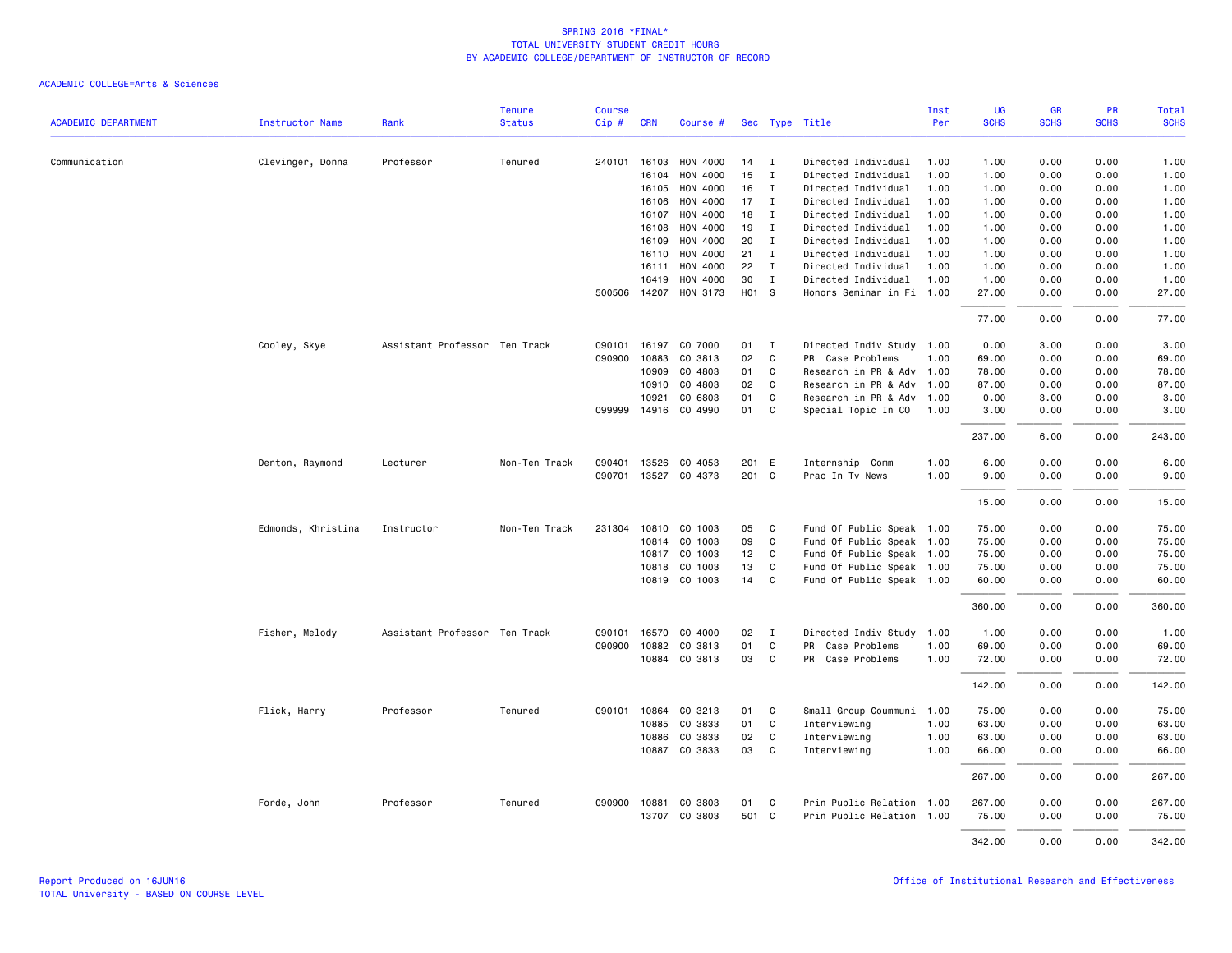| <b>ACADEMIC DEPARTMENT</b> |                    |                               | <b>Tenure</b><br><b>Status</b> | <b>Course</b> |            |                      |       |              |                           | Inst<br>Per | <b>UG</b><br><b>SCHS</b> | <b>GR</b><br><b>SCHS</b> | PR<br><b>SCHS</b> | Total       |
|----------------------------|--------------------|-------------------------------|--------------------------------|---------------|------------|----------------------|-------|--------------|---------------------------|-------------|--------------------------|--------------------------|-------------------|-------------|
|                            | Instructor Name    | Rank                          |                                | Cip#          | <b>CRN</b> | Course #             |       |              | Sec Type Title            |             |                          |                          |                   | <b>SCHS</b> |
| Communication              | Clevinger, Donna   | Professor                     | Tenured                        | 240101        | 16103      | HON 4000             | 14    | I            | Directed Individual       | 1.00        | 1.00                     | 0.00                     | 0.00              | 1.00        |
|                            |                    |                               |                                |               | 16104      | HON 4000             | 15    | $\mathbf I$  | Directed Individual       | 1.00        | 1.00                     | 0.00                     | 0.00              | 1.00        |
|                            |                    |                               |                                |               | 16105      | HON 4000             | 16    | Ι.           | Directed Individual       | 1.00        | 1.00                     | 0.00                     | 0.00              | 1.00        |
|                            |                    |                               |                                |               | 16106      | HON 4000             | 17    | Ι.           | Directed Individual       | 1.00        | 1.00                     | 0.00                     | 0.00              | 1.00        |
|                            |                    |                               |                                |               | 16107      | HON 4000             | 18    | $\mathbf I$  | Directed Individual       | 1.00        | 1.00                     | 0.00                     | 0.00              | 1.00        |
|                            |                    |                               |                                |               | 16108      | HON 4000             | 19    | $\mathbf{I}$ | Directed Individual       | 1.00        | 1.00                     | 0.00                     | 0.00              | 1.00        |
|                            |                    |                               |                                |               | 16109      | HON 4000             | 20    | $\mathbf I$  | Directed Individual       | 1.00        | 1.00                     | 0.00                     | 0.00              | 1.00        |
|                            |                    |                               |                                |               | 16110      | HON 4000             | 21    | $\mathbf I$  | Directed Individual       | 1.00        | 1.00                     | 0.00                     | 0.00              | 1.00        |
|                            |                    |                               |                                |               | 16111      | HON 4000             | 22    | $\mathbf{I}$ | Directed Individual       | 1.00        | 1.00                     | 0.00                     | 0.00              | 1.00        |
|                            |                    |                               |                                |               | 16419      | HON 4000             | 30    | $\mathbf I$  | Directed Individual       | 1.00        | 1.00                     | 0.00                     | 0.00              | 1.00        |
|                            |                    |                               |                                | 500506        |            | 14207 HON 3173       | H01 S |              | Honors Seminar in Fi 1.00 |             | 27.00                    | 0.00                     | 0.00              | 27.00       |
|                            |                    |                               |                                |               |            |                      |       |              |                           |             | 77.00                    | 0.00                     | 0.00              | 77.00       |
|                            | Cooley, Skye       | Assistant Professor Ten Track |                                | 090101        | 16197      | CO 7000              | 01    | $\mathbf I$  | Directed Indiv Study      | 1.00        | 0.00                     | 3.00                     | 0.00              | 3.00        |
|                            |                    |                               |                                | 090900        | 10883      | CO 3813              | 02    | C            | PR Case Problems          | 1.00        | 69.00                    | 0.00                     | 0.00              | 69.00       |
|                            |                    |                               |                                |               | 10909      | CO 4803              | 01    | C            | Research in PR & Adv      | 1.00        | 78.00                    | 0.00                     | 0.00              | 78.00       |
|                            |                    |                               |                                |               | 10910      | CO 4803              | 02    | $\mathbf{C}$ | Research in PR & Adv      | 1.00        | 87.00                    | 0.00                     | 0.00              | 87.00       |
|                            |                    |                               |                                |               | 10921      | CO 6803              | 01    | C            | Research in PR & Adv      | 1.00        | 0.00                     | 3.00                     | 0.00              | 3.00        |
|                            |                    |                               |                                |               |            | 099999 14916 CO 4990 | 01    | C            | Special Topic In CO       | 1.00        | 3.00                     | 0.00                     | 0.00              | 3.00        |
|                            |                    |                               |                                |               |            |                      |       |              |                           |             | 237.00                   | 6.00                     | 0.00              | 243.00      |
|                            | Denton, Raymond    | Lecturer                      | Non-Ten Track                  | 090401        | 13526      | CO 4053              | 201 E |              | Internship Comm           | 1.00        | 6.00                     | 0.00                     | 0.00              | 6.00        |
|                            |                    |                               |                                | 090701        | 13527      | CO 4373              | 201 C |              | Prac In Tv News           | 1.00        | 9.00                     | 0.00                     | 0.00              | 9.00        |
|                            |                    |                               |                                |               |            |                      |       |              |                           |             | 15.00                    | 0.00                     | 0.00              | 15.00       |
|                            | Edmonds, Khristina | Instructor                    | Non-Ten Track                  | 231304        |            | 10810 CO 1003        | 05    | $\mathbf{C}$ | Fund Of Public Speak 1.00 |             | 75.00                    | 0.00                     | 0.00              | 75.00       |
|                            |                    |                               |                                |               | 10814      | CO 1003              | 09    | C            | Fund Of Public Speak 1.00 |             | 75.00                    | 0.00                     | 0.00              | 75.00       |
|                            |                    |                               |                                |               | 10817      | CO 1003              | 12    | $\mathbf{C}$ | Fund Of Public Speak 1.00 |             | 75.00                    | 0.00                     | 0.00              | 75.00       |
|                            |                    |                               |                                |               | 10818      | CO 1003              | 13    | C.           | Fund Of Public Speak 1.00 |             | 75.00                    | 0.00                     | 0.00              | 75.00       |
|                            |                    |                               |                                |               |            | 10819 CO 1003        | 14    | $\mathbf{C}$ | Fund Of Public Speak 1.00 |             | 60.00                    | 0.00                     | 0.00              | 60.00       |
|                            |                    |                               |                                |               |            |                      |       |              |                           |             | 360.00                   | 0.00                     | 0.00              | 360.00      |
|                            | Fisher, Melody     | Assistant Professor Ten Track |                                |               |            | 090101 16570 CO 4000 | 02    | I            | Directed Indiv Study      | 1.00        | 1.00                     | 0.00                     | 0.00              | 1.00        |
|                            |                    |                               |                                | 090900        | 10882      | CO 3813              | 01    | C            | PR<br>Case Problems       | 1.00        | 69.00                    | 0.00                     | 0.00              | 69.00       |
|                            |                    |                               |                                |               |            | 10884 CO 3813        | 03    | $\mathbf{C}$ | PR Case Problems          | 1.00        | 72.00                    | 0.00                     | 0.00              | 72.00       |
|                            |                    |                               |                                |               |            |                      |       |              |                           |             | 142.00                   | 0.00                     | 0.00              | 142.00      |
|                            | Flick, Harry       | Professor                     | Tenured                        | 090101        | 10864      | CO 3213              | 01    | C            | Small Group Coummuni      | 1.00        | 75.00                    | 0.00                     | 0.00              | 75.00       |
|                            |                    |                               |                                |               | 10885      | CO 3833              | 01    | C            | Interviewing              | 1.00        | 63.00                    | 0.00                     | 0.00              | 63.00       |
|                            |                    |                               |                                |               | 10886      | CO 3833              | 02    | C            | Interviewing              | 1.00        | 63.00                    | 0.00                     | 0.00              | 63.00       |
|                            |                    |                               |                                |               | 10887      | CO 3833              | 03    | C            | Interviewing              | 1.00        | 66.00                    | 0.00                     | 0.00              | 66.00       |
|                            |                    |                               |                                |               |            |                      |       |              |                           |             | 267.00                   | 0.00                     | 0.00              | 267.00      |
|                            | Forde, John        | Professor                     | Tenured                        | 090900        | 10881      | CO 3803              | 01    | C            | Prin Public Relation 1.00 |             | 267.00                   | 0.00                     | 0.00              | 267.00      |
|                            |                    |                               |                                |               | 13707      | CO 3803              | 501 C |              | Prin Public Relation 1.00 |             | 75.00                    | 0.00                     | 0.00              | 75.00       |
|                            |                    |                               |                                |               |            |                      |       |              |                           |             | 342.00                   | 0.00                     | 0.00              | 342.00      |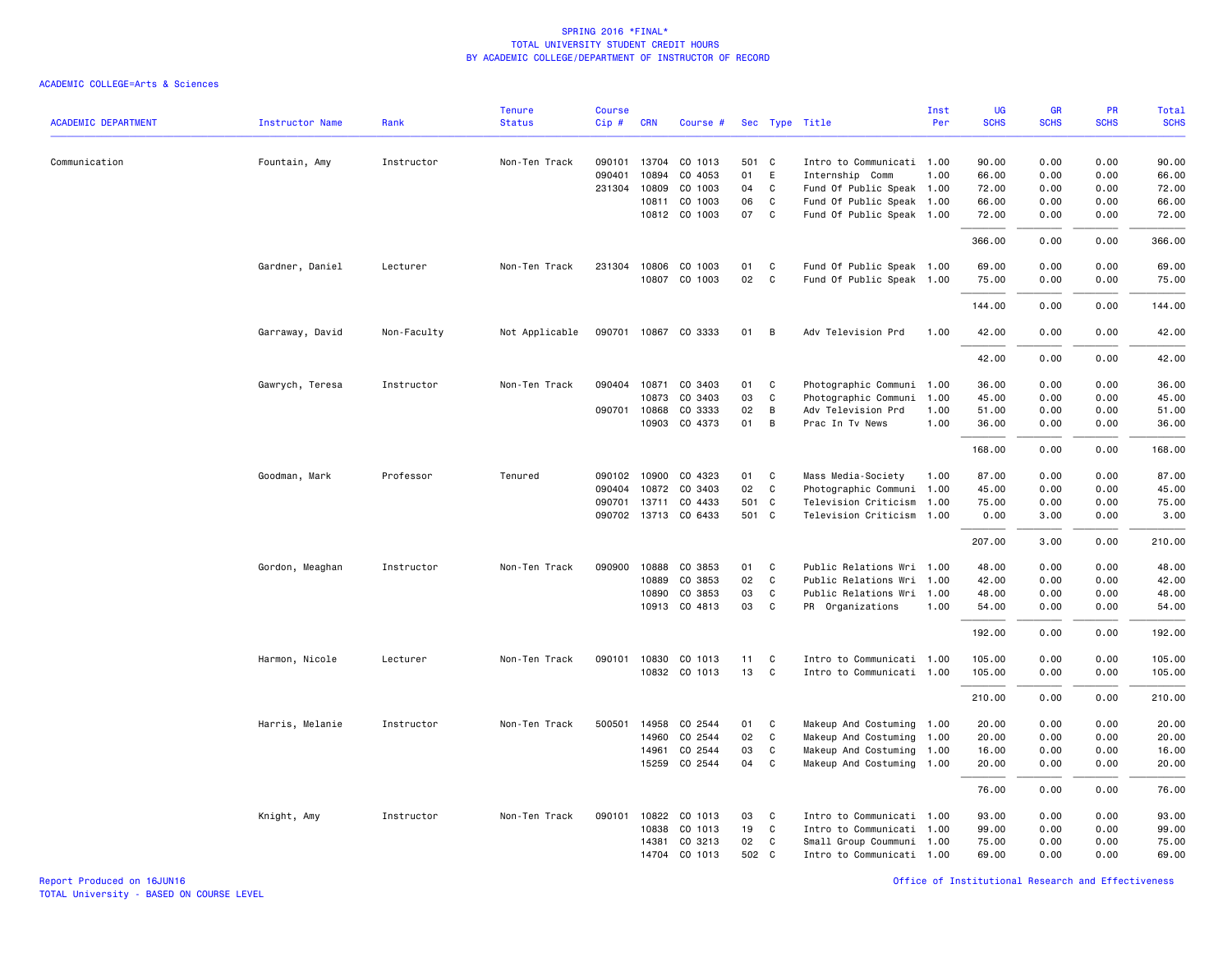|                            |                 |             | <b>Tenure</b>  | <b>Course</b> |              |                      |       |              |                           | Inst | UG          | GR          | PR          | <b>Total</b> |
|----------------------------|-----------------|-------------|----------------|---------------|--------------|----------------------|-------|--------------|---------------------------|------|-------------|-------------|-------------|--------------|
| <b>ACADEMIC DEPARTMENT</b> | Instructor Name | Rank        | <b>Status</b>  | Cip#          | <b>CRN</b>   | Course #             |       |              | Sec Type Title            | Per  | <b>SCHS</b> | <b>SCHS</b> | <b>SCHS</b> | <b>SCHS</b>  |
| Communication              | Fountain, Amy   | Instructor  | Non-Ten Track  | 090101        | 13704        | CO 1013              | 501 C |              | Intro to Communicati 1.00 |      | 90.00       | 0.00        | 0.00        | 90.00        |
|                            |                 |             |                | 090401        | 10894        | CO 4053              | 01    | E            | Internship Comm           | 1.00 | 66.00       | 0.00        | 0.00        | 66.00        |
|                            |                 |             |                | 231304        | 10809        | CO 1003              | 04    | C.           | Fund Of Public Speak 1.00 |      | 72.00       | 0.00        | 0.00        | 72.00        |
|                            |                 |             |                |               | 10811        | CO 1003              | 06    | C            | Fund Of Public Speak 1.00 |      | 66.00       | 0.00        | 0.00        | 66.00        |
|                            |                 |             |                |               |              | 10812 CO 1003        | 07    | C            | Fund Of Public Speak 1.00 |      | 72.00       | 0.00        | 0.00        | 72.00        |
|                            |                 |             |                |               |              |                      |       |              |                           |      | 366.00      | 0.00        | 0.00        | 366.00       |
|                            | Gardner, Daniel | Lecturer    | Non-Ten Track  |               | 231304 10806 | CO 1003              | 01    | C            | Fund Of Public Speak 1.00 |      | 69.00       | 0.00        | 0.00        | 69.00        |
|                            |                 |             |                |               |              | 10807 CO 1003        | 02    | $\mathtt{C}$ | Fund Of Public Speak 1.00 |      | 75.00       | 0.00        | 0.00        | 75.00        |
|                            |                 |             |                |               |              |                      |       |              |                           |      | 144.00      | 0.00        | 0.00        | 144.00       |
|                            | Garraway, David | Non-Faculty | Not Applicable | 090701        |              | 10867 CO 3333        | 01    | B            | Adv Television Prd        | 1.00 | 42.00       | 0.00        | 0.00        | 42.00        |
|                            |                 |             |                |               |              |                      |       |              |                           |      | 42.00       | 0.00        | 0.00        | 42.00        |
|                            | Gawrych, Teresa | Instructor  | Non-Ten Track  | 090404        | 10871        | CO 3403              | 01    | C            | Photographic Communi 1.00 |      | 36.00       | 0.00        | 0.00        | 36.00        |
|                            |                 |             |                |               | 10873        | CO 3403              | 03    | C            | Photographic Communi      | 1.00 | 45.00       | 0.00        | 0.00        | 45.00        |
|                            |                 |             |                | 090701        | 10868        | CO 3333              | 02    | B            | Adv Television Prd        | 1.00 | 51.00       | 0.00        | 0.00        | 51.00        |
|                            |                 |             |                |               | 10903        | CO 4373              | 01    | B            | Prac In Tv News           | 1.00 | 36.00       | 0.00        | 0.00        | 36.00        |
|                            |                 |             |                |               |              |                      |       |              |                           |      | 168.00      | 0.00        | 0.00        | 168.00       |
|                            | Goodman, Mark   | Professor   | Tenured        | 090102        | 10900        | CO 4323              | 01    | C            | Mass Media-Society        | 1.00 | 87.00       | 0.00        | 0.00        | 87.00        |
|                            |                 |             |                | 090404        | 10872        | CO 3403              | 02    | C            | Photographic Communi 1.00 |      | 45.00       | 0.00        | 0.00        | 45.00        |
|                            |                 |             |                | 090701        | 13711        | CO 4433              | 501 C |              | Television Criticism      | 1.00 | 75.00       | 0.00        | 0.00        | 75.00        |
|                            |                 |             |                |               |              | 090702 13713 CO 6433 | 501 C |              | Television Criticism 1.00 |      | 0.00        | 3.00        | 0.00        | 3.00         |
|                            |                 |             |                |               |              |                      |       |              |                           |      | 207.00      | 3.00        | 0.00        | 210.00       |
|                            | Gordon, Meaghan | Instructor  | Non-Ten Track  | 090900        | 10888        | CO 3853              | 01    | C            | Public Relations Wri 1.00 |      | 48.00       | 0.00        | 0.00        | 48.00        |
|                            |                 |             |                |               | 10889        | CO 3853              | 02    | C            | Public Relations Wri 1.00 |      | 42.00       | 0.00        | 0.00        | 42.00        |
|                            |                 |             |                |               | 10890        | CO 3853              | 03    | C            | Public Relations Wri 1.00 |      | 48.00       | 0.00        | 0.00        | 48.00        |
|                            |                 |             |                |               | 10913        | CO 4813              | 03    | C            | PR Organizations          | 1.00 | 54.00       | 0.00        | 0.00        | 54.00        |
|                            |                 |             |                |               |              |                      |       |              |                           |      | 192.00      | 0.00        | 0.00        | 192.00       |
|                            | Harmon, Nicole  | Lecturer    | Non-Ten Track  | 090101        | 10830        | CO 1013              | 11    | C            | Intro to Communicati 1.00 |      | 105.00      | 0.00        | 0.00        | 105.00       |
|                            |                 |             |                |               |              | 10832 CO 1013        | 13    | C            | Intro to Communicati 1.00 |      | 105.00      | 0.00        | 0.00        | 105.00       |
|                            |                 |             |                |               |              |                      |       |              |                           |      | 210.00      | 0.00        | 0.00        | 210.00       |
|                            | Harris, Melanie | Instructor  | Non-Ten Track  | 500501        | 14958        | CO 2544              | 01    | C            | Makeup And Costuming 1.00 |      | 20.00       | 0.00        | 0.00        | 20.00        |
|                            |                 |             |                |               | 14960        | CO 2544              | 02    | $\mathtt{C}$ | Makeup And Costuming 1.00 |      | 20.00       | 0.00        | 0.00        | 20.00        |
|                            |                 |             |                |               | 14961        | CO 2544              | 03    | C            | Makeup And Costuming 1.00 |      | 16.00       | 0.00        | 0.00        | 16.00        |
|                            |                 |             |                |               | 15259        | CO 2544              | 04    | $\mathbf{C}$ | Makeup And Costuming 1.00 |      | 20.00       | 0.00        | 0.00        | 20.00        |
|                            |                 |             |                |               |              |                      |       |              |                           |      | 76.00       | 0.00        | 0.00        | 76.00        |
|                            | Knight, Amy     | Instructor  | Non-Ten Track  | 090101        | 10822        | CO 1013              | 03    | C            | Intro to Communicati 1.00 |      | 93.00       | 0.00        | 0.00        | 93.00        |
|                            |                 |             |                |               | 10838        | CO 1013              | 19    | $\mathbf{C}$ | Intro to Communicati 1.00 |      | 99.00       | 0.00        | 0.00        | 99.00        |
|                            |                 |             |                |               | 14381        | CO 3213              | 02    | C            | Small Group Coummuni 1.00 |      | 75.00       | 0.00        | 0.00        | 75.00        |
|                            |                 |             |                |               | 14704        | CO 1013              | 502 C |              | Intro to Communicati 1.00 |      | 69.00       | 0.00        | 0.00        | 69.00        |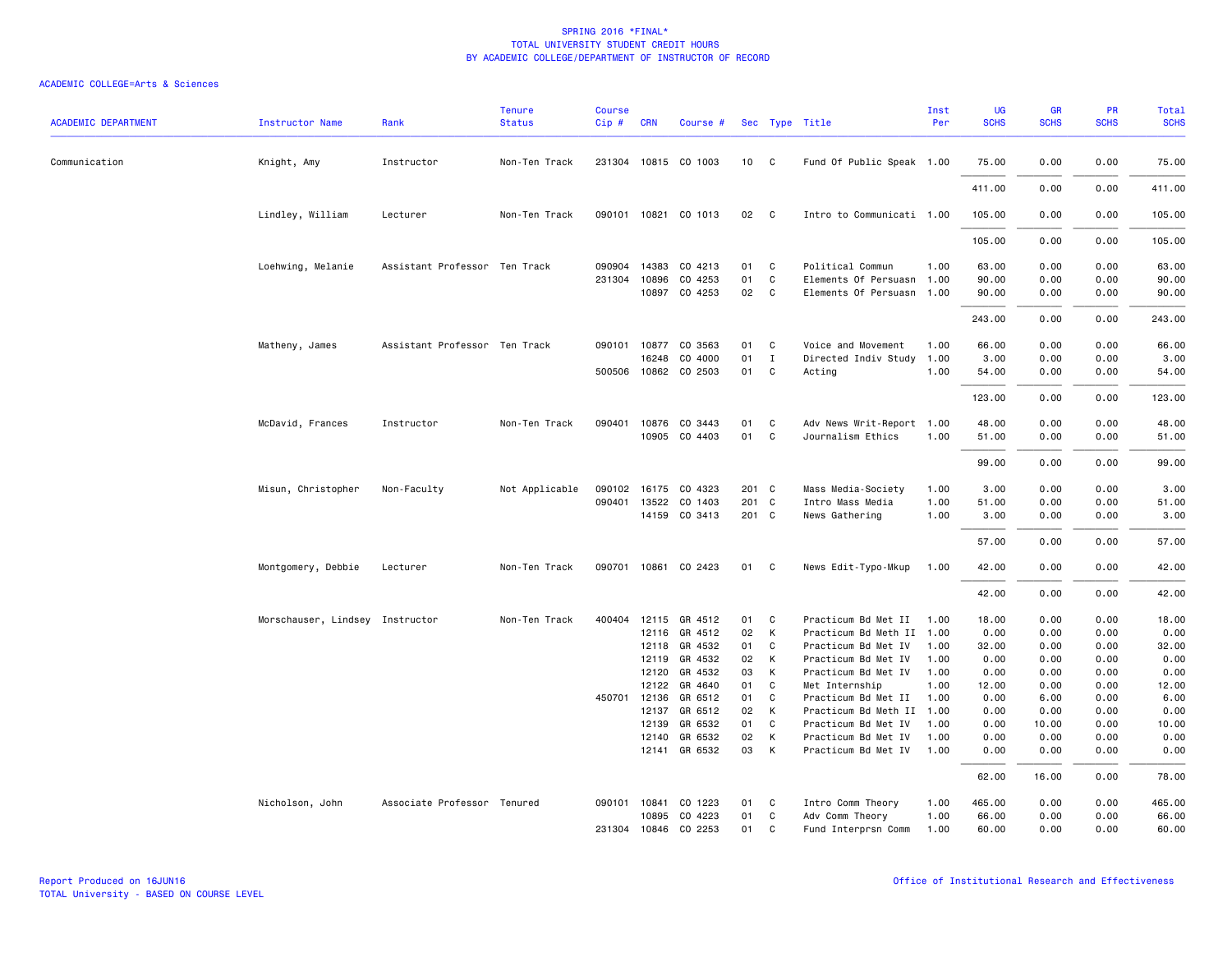| <b>ACADEMIC DEPARTMENT</b> | <b>Instructor Name</b>          | Rank                          | <b>Tenure</b><br><b>Status</b> | <b>Course</b><br>Cip# | <b>CRN</b>   | Course #                 |          |              | Sec Type Title                             | Inst<br>Per  | UG<br><b>SCHS</b> | <b>GR</b><br><b>SCHS</b> | <b>PR</b><br><b>SCHS</b> | <b>Total</b><br><b>SCHS</b> |
|----------------------------|---------------------------------|-------------------------------|--------------------------------|-----------------------|--------------|--------------------------|----------|--------------|--------------------------------------------|--------------|-------------------|--------------------------|--------------------------|-----------------------------|
| Communication              | Knight, Amy                     | Instructor                    | Non-Ten Track                  |                       |              | 231304 10815 CO 1003     | 10       | $\mathbf{C}$ | Fund Of Public Speak 1.00                  |              | 75.00             | 0.00                     | 0.00                     | 75.00                       |
|                            |                                 |                               |                                |                       |              |                          |          |              |                                            |              | 411.00            | 0.00                     | 0.00                     | 411.00                      |
|                            | Lindley, William                | Lecturer                      | Non-Ten Track                  |                       |              | 090101 10821 CO 1013     | 02       | C.           | Intro to Communicati 1.00                  |              | 105.00            | 0.00                     | 0.00                     | 105.00                      |
|                            |                                 |                               |                                |                       |              |                          |          |              |                                            |              | 105.00            | 0.00                     | 0.00                     | 105.00                      |
|                            | Loehwing, Melanie               | Assistant Professor Ten Track |                                | 090904                | 14383        | CO 4213                  | 01       | C            | Political Commun                           | 1.00         | 63.00             | 0.00                     | 0.00                     | 63.00                       |
|                            |                                 |                               |                                | 231304                | 10896        | CO 4253                  | 01       | C            | Elements Of Persuasn                       | 1.00         | 90.00             | 0.00                     | 0.00                     | 90.00                       |
|                            |                                 |                               |                                |                       | 10897        | CO 4253                  | 02       | C            | Elements Of Persuasn 1.00                  |              | 90.00             | 0.00                     | 0.00                     | 90.00                       |
|                            |                                 |                               |                                |                       |              |                          |          |              |                                            |              | 243.00            | 0.00                     | 0.00                     | 243.00                      |
|                            | Matheny, James                  | Assistant Professor Ten Track |                                |                       | 090101 10877 | CO 3563                  | 01       | C            | Voice and Movement                         | 1.00         | 66.00             | 0.00                     | 0.00                     | 66.00                       |
|                            |                                 |                               |                                |                       | 16248        | CO 4000                  | 01       | $\mathbf I$  | Directed Indiv Study                       | 1.00         | 3.00              | 0.00                     | 0.00                     | 3.00                        |
|                            |                                 |                               |                                |                       |              | 500506 10862 CO 2503     | 01       | C            | Acting                                     | 1.00         | 54.00             | 0.00                     | 0.00                     | 54.00                       |
|                            |                                 |                               |                                |                       |              |                          |          |              |                                            |              | 123.00            | 0.00                     | 0.00                     | 123.00                      |
|                            | McDavid, Frances                | Instructor                    | Non-Ten Track                  | 090401                |              | 10876 CO 3443            | 01       | C            | Adv News Writ-Report 1.00                  |              | 48.00             | 0.00                     | 0.00                     | 48.00                       |
|                            |                                 |                               |                                |                       |              | 10905 CO 4403            | 01       | C            | Journalism Ethics                          | 1.00         | 51.00             | 0.00                     | 0.00                     | 51.00                       |
|                            |                                 |                               |                                |                       |              |                          |          |              |                                            |              |                   |                          |                          |                             |
|                            |                                 |                               |                                |                       |              |                          |          |              |                                            |              | 99.00             | 0.00                     | 0.00                     | 99.00                       |
|                            | Misun, Christopher              | Non-Faculty                   | Not Applicable                 | 090102                |              | 16175 CO 4323            | 201 C    |              | Mass Media-Society                         | 1.00         | 3.00              | 0.00                     | 0.00                     | 3.00                        |
|                            |                                 |                               |                                | 090401                | 13522        | CO 1403                  | 201 C    |              | Intro Mass Media                           | 1.00         | 51.00             | 0.00                     | 0.00                     | 51.00                       |
|                            |                                 |                               |                                |                       |              | 14159 CO 3413            | 201 C    |              | News Gathering                             | 1.00         | 3.00              | 0.00                     | 0.00                     | 3.00                        |
|                            |                                 |                               |                                |                       |              |                          |          |              |                                            |              | 57.00             | 0.00                     | 0.00                     | 57.00                       |
|                            | Montgomery, Debbie              | Lecturer                      | Non-Ten Track                  | 090701                |              | 10861 CO 2423            | 01       | C            | News Edit-Typo-Mkup                        | 1.00         | 42.00             | 0.00                     | 0.00                     | 42.00                       |
|                            |                                 |                               |                                |                       |              |                          |          |              |                                            |              | 42.00             | 0.00                     | 0.00                     | 42.00                       |
|                            | Morschauser, Lindsey Instructor |                               | Non-Ten Track                  | 400404                |              | 12115 GR 4512            | 01       | C            | Practicum Bd Met II                        | 1.00         | 18.00             | 0.00                     | 0.00                     | 18.00                       |
|                            |                                 |                               |                                |                       |              | 12116 GR 4512            | 02       | K            | Practicum Bd Meth II 1.00                  |              | 0.00              | 0.00                     | 0.00                     | 0.00                        |
|                            |                                 |                               |                                |                       | 12118        | GR 4532                  | 01       | C            | Practicum Bd Met IV                        | 1.00         | 32.00             | 0.00                     | 0.00                     | 32.00                       |
|                            |                                 |                               |                                |                       | 12119        | GR 4532                  | 02       | K            | Practicum Bd Met IV                        | 1.00         | 0.00              | 0.00                     | 0.00                     | 0.00                        |
|                            |                                 |                               |                                |                       | 12120        | GR 4532                  | 03       | K            | Practicum Bd Met IV                        | 1.00         | 0.00              | 0.00                     | 0.00                     | 0.00                        |
|                            |                                 |                               |                                |                       | 12122        | GR 4640                  | 01       | C            | Met Internship                             | 1.00         | 12.00             | 0.00                     | 0.00                     | 12.00                       |
|                            |                                 |                               |                                | 450701                | 12136        | GR 6512                  | 01       | C            | Practicum Bd Met II                        | 1.00         | 0.00              | 6.00                     | 0.00                     | 6.00                        |
|                            |                                 |                               |                                |                       | 12137        | GR 6512                  | 02       | К            | Practicum Bd Meth II                       | 1.00         | 0.00              | 0.00                     | 0.00                     | 0.00                        |
|                            |                                 |                               |                                |                       | 12139        | GR 6532                  | 01       | C            | Practicum Bd Met IV                        | 1.00         | 0.00              | 10.00                    | 0.00                     | 10.00                       |
|                            |                                 |                               |                                |                       | 12140        | GR 6532<br>12141 GR 6532 | 02<br>03 | K<br>К       | Practicum Bd Met IV<br>Practicum Bd Met IV | 1.00<br>1.00 | 0.00<br>0.00      | 0.00<br>0.00             | 0.00<br>0.00             | 0.00<br>0.00                |
|                            |                                 |                               |                                |                       |              |                          |          |              |                                            |              | 62.00             | 16.00                    | 0.00                     | 78.00                       |
|                            | Nicholson, John                 | Associate Professor Tenured   |                                | 090101                | 10841        | CO 1223                  | 01       | C            | Intro Comm Theory                          | 1.00         | 465.00            | 0.00                     | 0.00                     | 465.00                      |
|                            |                                 |                               |                                |                       | 10895        | CO 4223                  | 01       | C            | Adv Comm Theory                            | 1.00         | 66.00             | 0.00                     | 0.00                     | 66.00                       |
|                            |                                 |                               |                                |                       | 231304 10846 | CO 2253                  | 01       | C            | Fund Interprsn Comm                        | 1.00         | 60.00             | 0.00                     | 0.00                     | 60.00                       |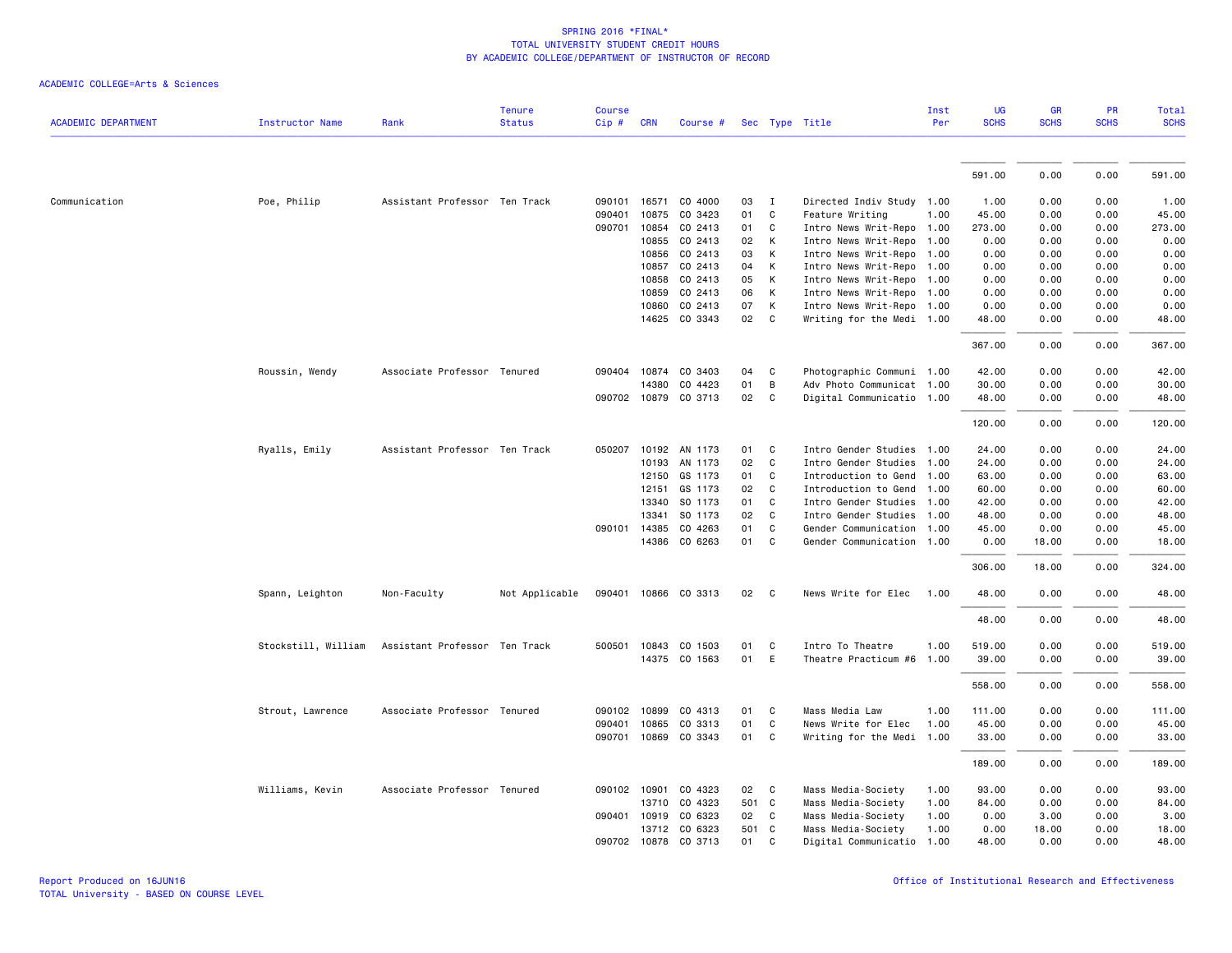|                            |                        |                               | <b>Tenure</b>  | <b>Course</b> |              |                      |    |              |                           | Inst | UG          | <b>GR</b>   | PR          | <b>Total</b> |
|----------------------------|------------------------|-------------------------------|----------------|---------------|--------------|----------------------|----|--------------|---------------------------|------|-------------|-------------|-------------|--------------|
| <b>ACADEMIC DEPARTMENT</b> | <b>Instructor Name</b> | Rank                          | <b>Status</b>  | Cip#          | <b>CRN</b>   | Course #             |    |              | Sec Type Title            | Per  | <b>SCHS</b> | <b>SCHS</b> | <b>SCHS</b> | <b>SCHS</b>  |
|                            |                        |                               |                |               |              |                      |    |              |                           |      |             |             |             |              |
|                            |                        |                               |                |               |              |                      |    |              |                           |      | 591.00      | 0.00        | 0.00        | 591.00       |
| Communication              | Poe, Philip            | Assistant Professor Ten Track |                |               |              | 090101 16571 CO 4000 | 03 | $\mathbf{I}$ | Directed Indiv Study 1.00 |      | 1.00        | 0.00        | 0.00        | 1.00         |
|                            |                        |                               |                | 090401        | 10875        | CO 3423              | 01 | C            | Feature Writing           | 1.00 | 45.00       | 0.00        | 0.00        | 45.00        |
|                            |                        |                               |                | 090701        | 10854        | CO 2413              | 01 | C            | Intro News Writ-Repo 1.00 |      | 273.00      | 0.00        | 0.00        | 273.00       |
|                            |                        |                               |                |               | 10855        | CO 2413              | 02 | К            | Intro News Writ-Repo      | 1.00 | 0.00        | 0.00        | 0.00        | 0.00         |
|                            |                        |                               |                |               | 10856        | CO 2413              | 03 | К            | Intro News Writ-Repo 1.00 |      | 0.00        | 0.00        | 0.00        | 0.00         |
|                            |                        |                               |                |               | 10857        | CO 2413              | 04 | К            | Intro News Writ-Repo 1.00 |      | 0.00        | 0.00        | 0.00        | 0.00         |
|                            |                        |                               |                |               | 10858        | CO 2413              | 05 | К            | Intro News Writ-Repo 1.00 |      | 0.00        | 0.00        | 0.00        | 0.00         |
|                            |                        |                               |                |               | 10859        | CO 2413              | 06 | К            | Intro News Writ-Repo 1.00 |      | 0.00        | 0.00        | 0.00        | 0.00         |
|                            |                        |                               |                |               | 10860        | CO 2413              | 07 | К            | Intro News Writ-Repo 1.00 |      | 0.00        | 0.00        | 0.00        | 0.00         |
|                            |                        |                               |                |               |              | 14625 CO 3343        | 02 | C            | Writing for the Medi 1.00 |      | 48.00       | 0.00        | 0.00        | 48.00        |
|                            |                        |                               |                |               |              |                      |    |              |                           |      | 367.00      | 0.00        | 0.00        | 367.00       |
|                            | Roussin, Wendy         | Associate Professor Tenured   |                |               |              | 090404 10874 CO 3403 | 04 | C            | Photographic Communi 1.00 |      | 42.00       | 0.00        | 0.00        | 42.00        |
|                            |                        |                               |                |               | 14380        | CO 4423              | 01 | B            | Adv Photo Communicat 1.00 |      | 30.00       | 0.00        | 0.00        | 30.00        |
|                            |                        |                               |                |               |              | 090702 10879 CO 3713 | 02 | C            | Digital Communicatio 1.00 |      | 48.00       | 0.00        | 0.00        | 48.00        |
|                            |                        |                               |                |               |              |                      |    |              |                           |      | 120.00      | 0.00        | 0.00        | 120.00       |
|                            | Ryalls, Emily          | Assistant Professor Ten Track |                |               |              | 050207 10192 AN 1173 | 01 | C            | Intro Gender Studies 1.00 |      | 24.00       | 0.00        | 0.00        | 24.00        |
|                            |                        |                               |                |               | 10193        | AN 1173              | 02 | $\mathsf{C}$ | Intro Gender Studies      | 1.00 | 24.00       | 0.00        | 0.00        | 24.00        |
|                            |                        |                               |                |               | 12150        | GS 1173              | 01 | C            | Introduction to Gend      | 1.00 | 63.00       | 0.00        | 0.00        | 63.00        |
|                            |                        |                               |                |               | 12151        | GS 1173              | 02 | C            | Introduction to Gend      | 1.00 | 60.00       | 0.00        | 0.00        | 60.00        |
|                            |                        |                               |                |               | 13340        | SO 1173              | 01 | C            | Intro Gender Studies 1.00 |      | 42.00       | 0.00        | 0.00        | 42.00        |
|                            |                        |                               |                |               | 13341        | SO 1173              | 02 | C            | Intro Gender Studies      | 1.00 | 48.00       | 0.00        | 0.00        | 48.00        |
|                            |                        |                               |                |               | 090101 14385 | CO 4263              | 01 | C            | Gender Communication      | 1.00 | 45.00       | 0.00        | 0.00        | 45.00        |
|                            |                        |                               |                |               |              | 14386 CO 6263        | 01 | C            | Gender Communication 1.00 |      | 0.00        | 18.00       | 0.00        | 18.00        |
|                            |                        |                               |                |               |              |                      |    |              |                           |      | 306.00      | 18.00       | 0.00        | 324.00       |
|                            | Spann, Leighton        | Non-Faculty                   | Not Applicable |               |              | 090401 10866 CO 3313 | 02 | $\mathbf{C}$ | News Write for Elec       | 1.00 | 48.00       | 0.00        | 0.00        | 48.00        |
|                            |                        |                               |                |               |              |                      |    |              |                           |      | 48.00       | 0.00        | 0.00        | 48.00        |
|                            | Stockstill, William    | Assistant Professor Ten Track |                |               |              | 500501 10843 CO 1503 | 01 | C            | Intro To Theatre          | 1.00 | 519.00      | 0.00        | 0.00        | 519.00       |
|                            |                        |                               |                |               |              | 14375 CO 1563        | 01 | E            | Theatre Practicum #6      | 1.00 | 39.00       | 0.00        | 0.00        | 39.00        |
|                            |                        |                               |                |               |              |                      |    |              |                           |      |             |             |             |              |
|                            |                        |                               |                |               |              |                      |    |              |                           |      | 558.00      | 0.00        | 0.00        | 558.00       |
|                            | Strout, Lawrence       | Associate Professor Tenured   |                |               | 090102 10899 | CO 4313              | 01 | C            | Mass Media Law            | 1.00 | 111.00      | 0.00        | 0.00        | 111.00       |
|                            |                        |                               |                |               | 090401 10865 | CO 3313              | 01 | C            | News Write for Elec       | 1.00 | 45.00       | 0.00        | 0.00        | 45.00        |
|                            |                        |                               |                |               |              | 090701 10869 CO 3343 | 01 | C            | Writing for the Medi 1.00 |      | 33.00       | 0.00        | 0.00        | 33.00        |
|                            |                        |                               |                |               |              |                      |    |              |                           |      | 189.00      | 0.00        | 0.00        | 189.00       |
|                            | Williams, Kevin        | Associate Professor Tenured   |                |               |              | 090102 10901 CO 4323 | 02 | C            | Mass Media-Society        | 1.00 | 93.00       | 0.00        | 0.00        | 93.00        |
|                            |                        |                               |                |               |              | 13710 CO 4323        |    | 501 C        | Mass Media-Society        | 1.00 | 84.00       | 0.00        | 0.00        | 84.00        |
|                            |                        |                               |                |               | 090401 10919 | CO 6323              | 02 | C            | Mass Media-Society        | 1.00 | 0.00        | 3.00        | 0.00        | 3.00         |
|                            |                        |                               |                |               |              | 13712 CO 6323        |    | 501 C        | Mass Media-Society        | 1.00 | 0.00        | 18.00       | 0.00        | 18.00        |
|                            |                        |                               |                |               |              | 090702 10878 CO 3713 | 01 | C            | Digital Communicatio      | 1.00 | 48.00       | 0.00        | 0.00        | 48.00        |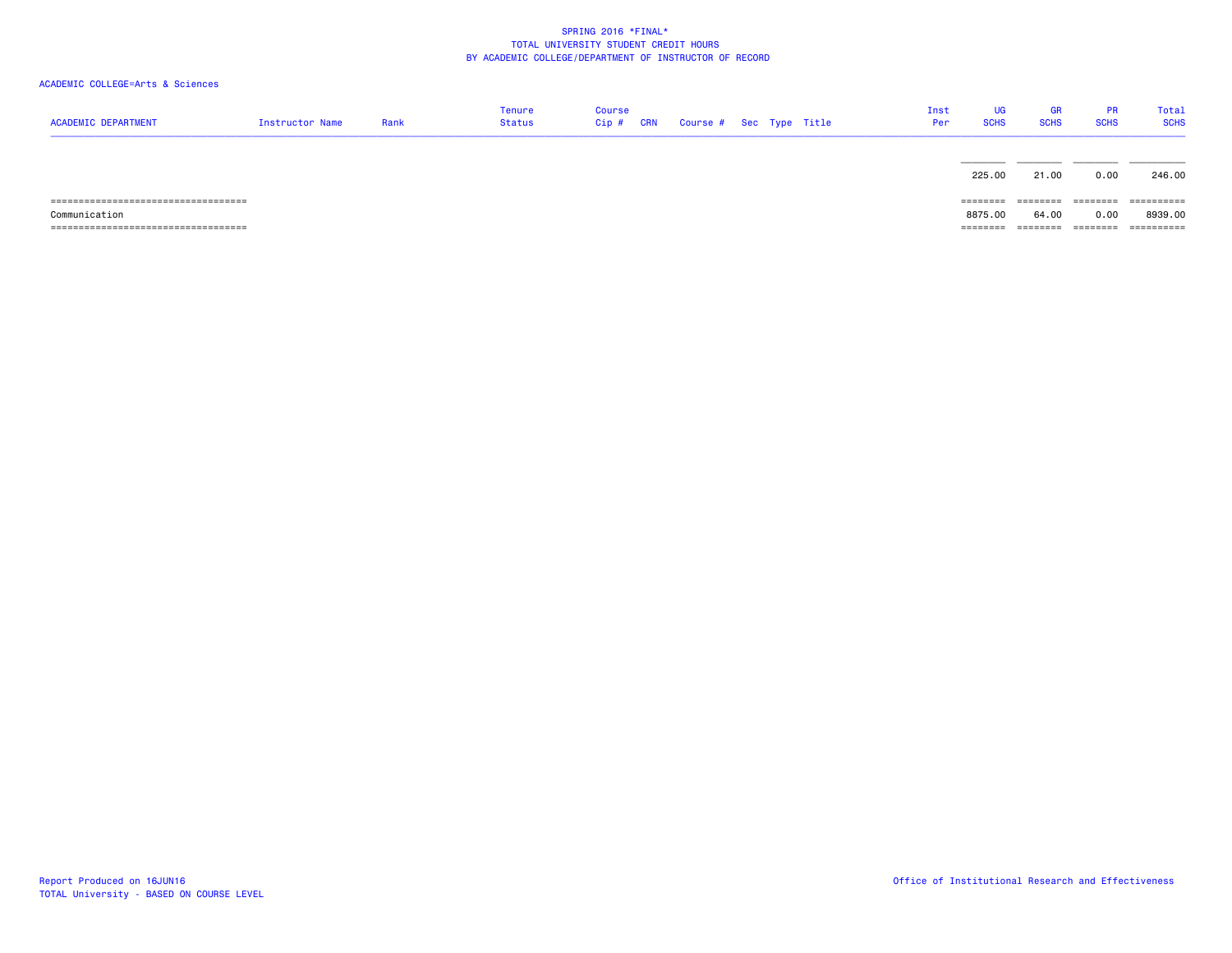| <b>ACADEMIC DEPARTMENT</b> | Instructor Name | Rank | <b>Tenure</b><br><b>Status</b> | <b>Course</b><br>$Cip$ # | <b>CRN</b> | Course # Sec Type Title |  | Inst<br>Per | UG<br><b>SCHS</b>                                                       | <b>GR</b><br><b>SCHS</b> | <b>PR</b><br><b>SCHS</b> | Total<br><b>SCHS</b> |
|----------------------------|-----------------|------|--------------------------------|--------------------------|------------|-------------------------|--|-------------|-------------------------------------------------------------------------|--------------------------|--------------------------|----------------------|
|                            |                 |      |                                |                          |            |                         |  |             | 225.00                                                                  | 21.00                    | 0.00                     | 246.00               |
|                            |                 |      |                                |                          |            |                         |  |             | ========                                                                | ---------                | --------                 | -----------          |
| Communication              |                 |      |                                |                          |            |                         |  |             | 8875.00                                                                 | 64.00                    | 0.00                     | 8939.00              |
|                            |                 |      |                                |                          |            |                         |  |             | $\qquad \qquad \equiv \equiv \equiv \equiv \equiv \equiv \equiv \equiv$ | ========                 |                          | ==========           |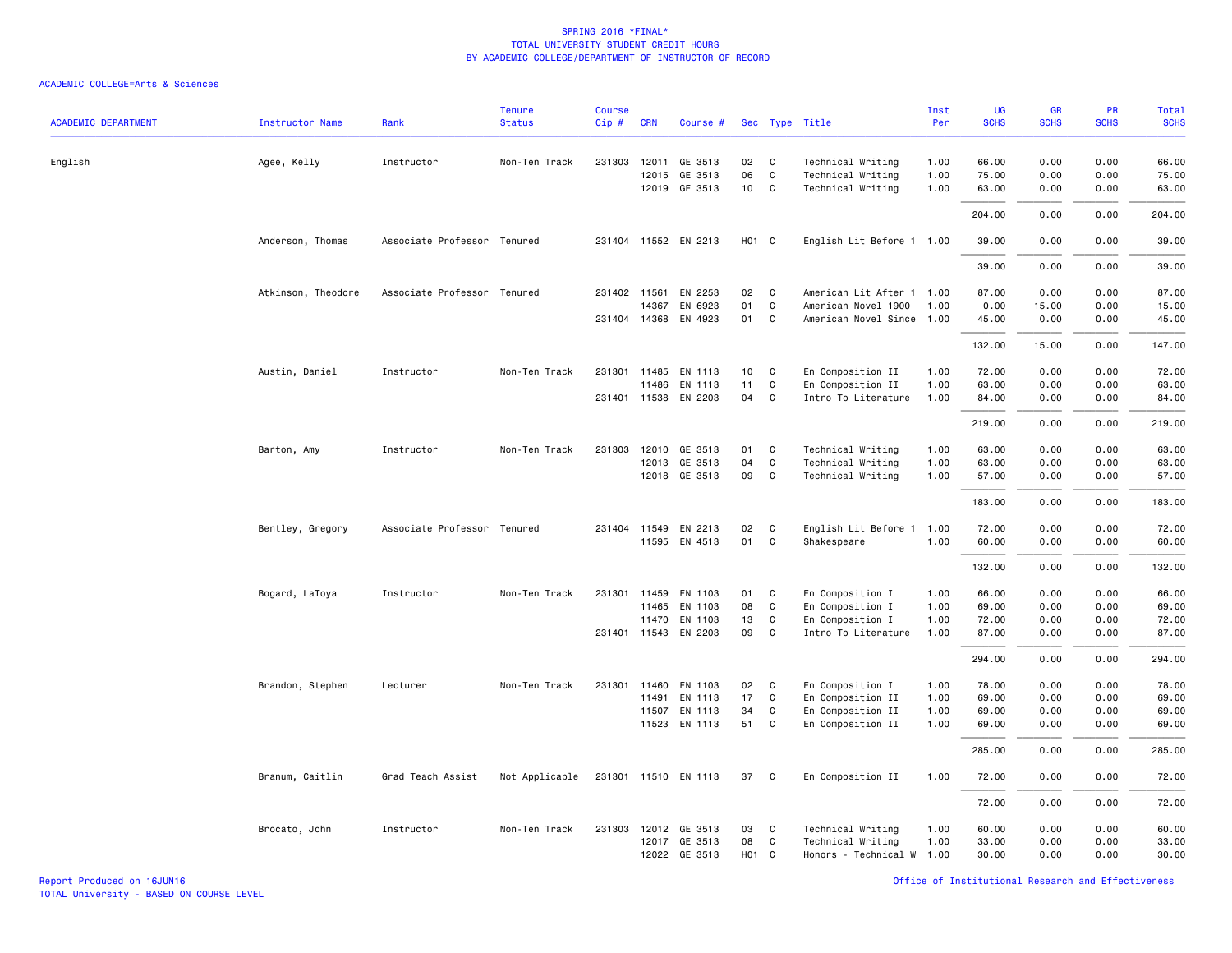| <b>ACADEMIC DEPARTMENT</b> | <b>Instructor Name</b> | Rank                        | <b>Tenure</b><br><b>Status</b> | <b>Course</b><br>Cip# | <b>CRN</b>   | Course #             |                   |              | Sec Type Title            | Inst<br>Per | UG<br><b>SCHS</b> | <b>GR</b><br><b>SCHS</b> | PR<br><b>SCHS</b> | <b>Total</b><br><b>SCHS</b> |
|----------------------------|------------------------|-----------------------------|--------------------------------|-----------------------|--------------|----------------------|-------------------|--------------|---------------------------|-------------|-------------------|--------------------------|-------------------|-----------------------------|
| English                    | Agee, Kelly            | Instructor                  | Non-Ten Track                  |                       | 231303 12011 | GE 3513              | 02                | C            | Technical Writing         | 1.00        | 66.00             | 0.00                     | 0.00              | 66.00                       |
|                            |                        |                             |                                |                       | 12015        | GE 3513              | 06                | $\mathsf{C}$ | Technical Writing         | 1.00        | 75.00             | 0.00                     | 0.00              | 75.00                       |
|                            |                        |                             |                                |                       |              | 12019 GE 3513        | 10                | C            | Technical Writing         | 1.00        | 63.00             | 0.00                     | 0.00              | 63.00                       |
|                            |                        |                             |                                |                       |              |                      |                   |              |                           |             | 204.00            | 0.00                     | 0.00              | 204.00                      |
|                            | Anderson, Thomas       | Associate Professor Tenured |                                |                       |              | 231404 11552 EN 2213 | H <sub>01</sub> C |              | English Lit Before 1 1.00 |             | 39.00             | 0.00                     | 0.00              | 39.00                       |
|                            |                        |                             |                                |                       |              |                      |                   |              |                           |             | 39.00             | 0.00                     | 0.00              | 39.00                       |
|                            | Atkinson, Theodore     | Associate Professor Tenured |                                |                       | 231402 11561 | EN 2253              | 02                | C            | American Lit After 1      | 1.00        | 87.00             | 0.00                     | 0.00              | 87.00                       |
|                            |                        |                             |                                |                       | 14367        | EN 6923              | 01                | C            | American Novel 1900       | 1.00        | 0.00              | 15.00                    | 0.00              | 15.00                       |
|                            |                        |                             |                                |                       |              | 231404 14368 EN 4923 | 01                | $\mathsf{C}$ | American Novel Since 1.00 |             | 45.00             | 0.00                     | 0.00              | 45.00                       |
|                            |                        |                             |                                |                       |              |                      |                   |              |                           |             | 132.00            | 15.00                    | 0.00              | 147.00                      |
|                            | Austin, Daniel         | Instructor                  | Non-Ten Track                  |                       |              | 231301 11485 EN 1113 | 10                | C            | En Composition II         | 1.00        | 72.00             | 0.00                     | 0.00              | 72.00                       |
|                            |                        |                             |                                |                       | 11486        | EN 1113              | 11                | C            | En Composition II         | 1.00        | 63.00             | 0.00                     | 0.00              | 63.00                       |
|                            |                        |                             |                                |                       |              | 231401 11538 EN 2203 | 04                | C            | Intro To Literature       | 1.00        | 84.00             | 0.00                     | 0.00              | 84.00                       |
|                            |                        |                             |                                |                       |              |                      |                   |              |                           |             | 219.00            | 0.00                     | 0.00              | 219.00                      |
|                            | Barton, Amy            | Instructor                  | Non-Ten Track                  | 231303                | 12010        | GE 3513              | 01                | C            | Technical Writing         | 1.00        | 63.00             | 0.00                     | 0.00              | 63.00                       |
|                            |                        |                             |                                |                       |              | 12013 GE 3513        | 04                | $\mathsf{C}$ | Technical Writing         | 1.00        | 63.00             | 0.00                     | 0.00              | 63.00                       |
|                            |                        |                             |                                |                       |              | 12018 GE 3513        | 09                | C            | Technical Writing         | 1.00        | 57.00             | 0.00                     | 0.00              | 57.00                       |
|                            |                        |                             |                                |                       |              |                      |                   |              |                           |             | 183.00            | 0.00                     | 0.00              | 183.00                      |
|                            | Bentley, Gregory       | Associate Professor Tenured |                                |                       |              | 231404 11549 EN 2213 | 02                | C            | English Lit Before 1      | 1.00        | 72.00             | 0.00                     | 0.00              | 72.00                       |
|                            |                        |                             |                                |                       |              | 11595 EN 4513        | 01                | $\mathsf{C}$ | Shakespeare               | 1.00        | 60.00             | 0.00                     | 0.00              | 60.00                       |
|                            |                        |                             |                                |                       |              |                      |                   |              |                           |             | 132.00            | 0.00                     | 0.00              | 132.00                      |
|                            | Bogard, LaToya         | Instructor                  | Non-Ten Track                  |                       | 231301 11459 | EN 1103              | 01                | C            | En Composition I          | 1.00        | 66.00             | 0.00                     | 0.00              | 66.00                       |
|                            |                        |                             |                                |                       |              | 11465 EN 1103        | 08                | $\mathtt{C}$ | En Composition I          | 1.00        | 69.00             | 0.00                     | 0.00              | 69.00                       |
|                            |                        |                             |                                |                       |              | 11470 EN 1103        | 13                | C            | En Composition I          | 1.00        | 72.00             | 0.00                     | 0.00              | 72.00                       |
|                            |                        |                             |                                |                       |              | 231401 11543 EN 2203 | 09                | C            | Intro To Literature       | 1.00        | 87.00             | 0.00                     | 0.00              | 87.00                       |
|                            |                        |                             |                                |                       |              |                      |                   |              |                           |             | 294.00            | 0.00                     | 0.00              | 294.00                      |
|                            | Brandon, Stephen       | Lecturer                    | Non-Ten Track                  |                       | 231301 11460 | EN 1103              | 02                | C            | En Composition I          | 1.00        | 78.00             | 0.00                     | 0.00              | 78.00                       |
|                            |                        |                             |                                |                       | 11491        | EN 1113              | 17                | C            | En Composition II         | 1.00        | 69.00             | 0.00                     | 0.00              | 69.00                       |
|                            |                        |                             |                                |                       | 11507        | EN 1113              | 34                | C            | En Composition II         | 1.00        | 69.00             | 0.00                     | 0.00              | 69.00                       |
|                            |                        |                             |                                |                       |              | 11523 EN 1113        | 51                | C            | En Composition II         | 1.00        | 69.00             | 0.00                     | 0.00              | 69.00                       |
|                            |                        |                             |                                |                       |              |                      |                   |              |                           |             | 285.00            | 0.00                     | 0.00              | 285.00                      |
|                            | Branum, Caitlin        | Grad Teach Assist           | Not Applicable                 |                       |              | 231301 11510 EN 1113 | 37                | C            | En Composition II         | 1.00        | 72.00             | 0.00                     | 0.00              | 72.00                       |
|                            |                        |                             |                                |                       |              |                      |                   |              |                           |             | 72.00             | 0.00                     | 0.00              | 72.00                       |
|                            | Brocato, John          | Instructor                  | Non-Ten Track                  |                       |              | 231303 12012 GE 3513 | 03                | C            | Technical Writing         | 1.00        | 60.00             | 0.00                     | 0.00              | 60.00                       |
|                            |                        |                             |                                |                       |              | 12017 GE 3513        | 08                | C            | Technical Writing         | 1.00        | 33.00             | 0.00                     | 0.00              | 33.00                       |
|                            |                        |                             |                                |                       |              | 12022 GE 3513        | H <sub>01</sub> C |              | Honors - Technical W      | 1.00        | 30.00             | 0.00                     | 0.00              | 30.00                       |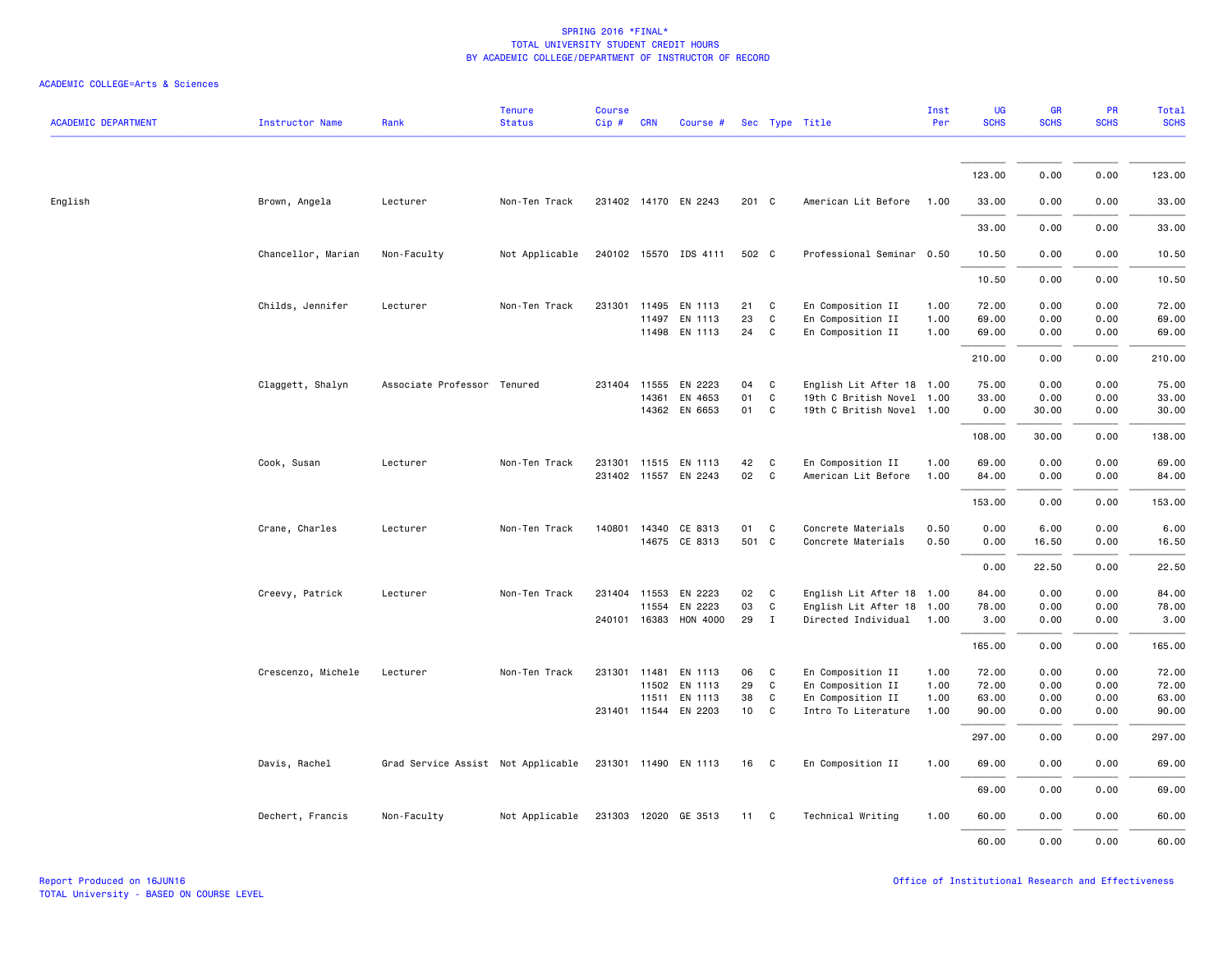| <b>ACADEMIC DEPARTMENT</b> | <b>Instructor Name</b> | Rank                               | <b>Tenure</b><br><b>Status</b> | Course<br>Cip# | <b>CRN</b>   | Course #              |       |                | Sec Type Title            | Inst<br>Per | UG<br><b>SCHS</b> | GR<br><b>SCHS</b> | PR<br><b>SCHS</b> | Total<br><b>SCHS</b> |
|----------------------------|------------------------|------------------------------------|--------------------------------|----------------|--------------|-----------------------|-------|----------------|---------------------------|-------------|-------------------|-------------------|-------------------|----------------------|
|                            |                        |                                    |                                |                |              |                       |       |                |                           |             |                   |                   |                   |                      |
|                            |                        |                                    |                                |                |              |                       |       |                |                           |             | 123.00            | 0.00              | 0.00              | 123.00               |
| English                    | Brown, Angela          | Lecturer                           | Non-Ten Track                  |                |              | 231402 14170 EN 2243  | 201 C |                | American Lit Before       | 1.00        | 33.00             | 0.00              | 0.00              | 33.00                |
|                            |                        |                                    |                                |                |              |                       |       |                |                           |             | 33.00             | 0.00              | 0.00              | 33.00                |
|                            | Chancellor, Marian     | Non-Faculty                        | Not Applicable                 |                |              | 240102 15570 IDS 4111 | 502 C |                | Professional Seminar 0.50 |             | 10.50             | 0.00              | 0.00              | 10.50                |
|                            |                        |                                    |                                |                |              |                       |       |                |                           |             | 10.50             | 0.00              | 0.00              | 10.50                |
|                            | Childs, Jennifer       | Lecturer                           | Non-Ten Track                  |                | 231301 11495 | EN 1113               | 21    | $\mathbf{C}$   | En Composition II         | 1.00        | 72.00             | 0.00              | 0.00              | 72.00                |
|                            |                        |                                    |                                |                | 11497        | EN 1113               | 23    | C              | En Composition II         | 1.00        | 69.00             | 0.00              | 0.00              | 69.00                |
|                            |                        |                                    |                                |                |              | 11498 EN 1113         | 24    | $\mathbf{C}$   | En Composition II         | 1.00        | 69.00             | 0.00              | 0.00              | 69.00                |
|                            |                        |                                    |                                |                |              |                       |       |                |                           |             | 210.00            | 0.00              | 0.00              | 210.00               |
|                            | Claggett, Shalyn       | Associate Professor Tenured        |                                |                | 231404 11555 | EN 2223               | 04    | C              | English Lit After 18 1.00 |             | 75.00             | 0.00              | 0.00              | 75.00                |
|                            |                        |                                    |                                |                | 14361        | EN 4653               | 01    | $\mathbf{C}$   | 19th C British Novel 1.00 |             | 33.00             | 0.00              | 0.00              | 33.00                |
|                            |                        |                                    |                                |                |              | 14362 EN 6653         | 01 C  |                | 19th C British Novel 1.00 |             | 0.00              | 30.00             | 0.00              | 30.00                |
|                            |                        |                                    |                                |                |              |                       |       |                |                           |             | 108.00            | 30.00             | 0.00              | 138.00               |
|                            | Cook, Susan            | Lecturer                           | Non-Ten Track                  |                |              | 231301 11515 EN 1113  | 42    | C              | En Composition II         | 1.00        | 69.00             | 0.00              | 0.00              | 69.00                |
|                            |                        |                                    |                                |                |              | 231402 11557 EN 2243  | 02    | $\mathbf{C}$   | American Lit Before       | 1.00        | 84.00             | 0.00              | 0.00              | 84.00                |
|                            |                        |                                    |                                |                |              |                       |       |                |                           |             | 153.00            | 0.00              | 0.00              | 153.00               |
|                            | Crane, Charles         | Lecturer                           | Non-Ten Track                  | 140801         | 14340        | CE 8313               | 01    | $\mathbf{C}$   | Concrete Materials        | 0.50        | 0.00              | 6.00              | 0.00              | 6.00                 |
|                            |                        |                                    |                                |                |              | 14675 CE 8313         | 501 C |                | Concrete Materials        | 0.50        | 0.00              | 16.50             | 0.00              | 16.50                |
|                            |                        |                                    |                                |                |              |                       |       |                |                           |             | 0.00              | 22.50             | 0.00              | 22.50                |
|                            | Creevy, Patrick        | Lecturer                           | Non-Ten Track                  |                |              | 231404 11553 EN 2223  | 02    | C <sub>c</sub> | English Lit After 18 1.00 |             | 84.00             | 0.00              | 0.00              | 84.00                |
|                            |                        |                                    |                                |                | 11554        | EN 2223               | 03    | C              | English Lit After 18 1.00 |             | 78.00             | 0.00              | 0.00              | 78.00                |
|                            |                        |                                    |                                |                | 240101 16383 | HON 4000              | 29    | $\mathbf{I}$   | Directed Individual 1.00  |             | 3.00              | 0.00              | 0.00              | 3.00                 |
|                            |                        |                                    |                                |                |              |                       |       |                |                           |             | 165.00            | 0.00              | 0.00              | 165.00               |
|                            | Crescenzo, Michele     | Lecturer                           | Non-Ten Track                  |                | 231301 11481 | EN 1113               | 06    | C              | En Composition II         | 1.00        | 72.00             | 0.00              | 0.00              | 72.00                |
|                            |                        |                                    |                                |                | 11502        | EN 1113               | 29    | C              | En Composition II         | 1.00        | 72.00             | 0.00              | 0.00              | 72.00                |
|                            |                        |                                    |                                |                | 11511        | EN 1113               | 38    | $\mathbf{C}$   | En Composition II         | 1.00        | 63.00             | 0.00              | 0.00              | 63.00                |
|                            |                        |                                    |                                |                |              | 231401 11544 EN 2203  | 10 C  |                | Intro To Literature       | 1.00        | 90.00             | 0.00              | 0.00              | 90.00                |
|                            |                        |                                    |                                |                |              |                       |       |                |                           |             | 297.00            | 0.00              | 0.00              | 297.00               |
|                            | Davis, Rachel          | Grad Service Assist Not Applicable |                                |                |              | 231301 11490 EN 1113  | 16 C  |                | En Composition II         | 1.00        | 69.00             | 0.00              | 0.00              | 69.00                |
|                            |                        |                                    |                                |                |              |                       |       |                |                           |             | 69.00             | 0.00              | 0.00              | 69.00                |
|                            | Dechert, Francis       | Non-Faculty                        | Not Applicable                 | 231303         |              | 12020 GE 3513         | 11 C  |                | Technical Writing         | 1.00        | 60.00             | 0.00              | 0.00              | 60.00                |
|                            |                        |                                    |                                |                |              |                       |       |                |                           |             | 60.00             | 0.00              | 0.00              | 60.00                |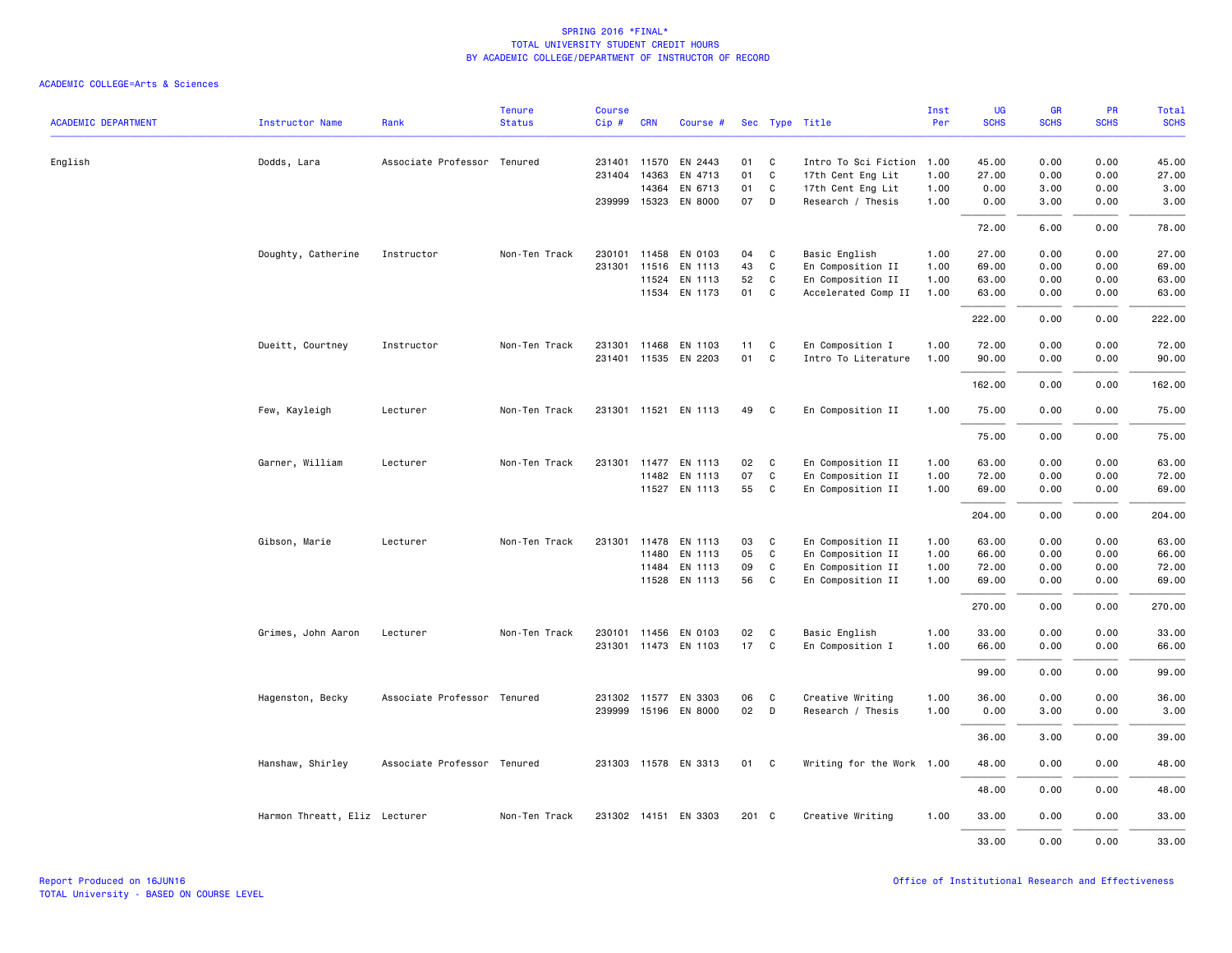| <b>ACADEMIC DEPARTMENT</b> | Instructor Name               | Rank                        | <b>Tenure</b><br><b>Status</b> | <b>Course</b><br>Cip# | <b>CRN</b> | Course #             |       |   | Sec Type Title            | Inst<br>Per | UG<br><b>SCHS</b> | <b>GR</b><br><b>SCHS</b> | PR<br><b>SCHS</b> | Total<br><b>SCHS</b> |
|----------------------------|-------------------------------|-----------------------------|--------------------------------|-----------------------|------------|----------------------|-------|---|---------------------------|-------------|-------------------|--------------------------|-------------------|----------------------|
| English                    | Dodds, Lara                   | Associate Professor Tenured |                                | 231401                | 11570      | EN 2443              | 01    | C | Intro To Sci Fiction      | 1.00        | 45.00             | 0.00                     | 0.00              | 45.00                |
|                            |                               |                             |                                | 231404                | 14363      | EN 4713              | 01    | C | 17th Cent Eng Lit         | 1.00        | 27.00             | 0.00                     | 0.00              | 27.00                |
|                            |                               |                             |                                |                       | 14364      | EN 6713              | 01    | C | 17th Cent Eng Lit         | 1.00        | 0.00              | 3.00                     | 0.00              | 3.00                 |
|                            |                               |                             |                                |                       |            | 239999 15323 EN 8000 | 07    | D | Research / Thesis         | 1.00        | 0.00              | 3.00                     | 0.00              | 3.00                 |
|                            |                               |                             |                                |                       |            |                      |       |   |                           |             | 72.00             | 6.00                     | 0.00              | 78.00                |
|                            | Doughty, Catherine            | Instructor                  | Non-Ten Track                  |                       |            | 230101 11458 EN 0103 | 04    | C | Basic English             | 1.00        | 27.00             | 0.00                     | 0.00              | 27.00                |
|                            |                               |                             |                                | 231301                | 11516      | EN 1113              | 43    | C | En Composition II         | 1.00        | 69.00             | 0.00                     | 0.00              | 69.00                |
|                            |                               |                             |                                |                       | 11524      | EN 1113              | 52    | C | En Composition II         | 1.00        | 63.00             | 0.00                     | 0.00              | 63.00                |
|                            |                               |                             |                                |                       |            | 11534 EN 1173        | 01    | C | Accelerated Comp II       | 1.00        | 63.00             | 0.00                     | 0.00              | 63.00                |
|                            |                               |                             |                                |                       |            |                      |       |   |                           |             | 222.00            | 0.00                     | 0.00              | 222.00               |
|                            | Dueitt, Courtney              | Instructor                  | Non-Ten Track                  | 231301                | 11468      | EN 1103              | 11    | C | En Composition I          | 1.00        | 72.00             | 0.00                     | 0.00              | 72.00                |
|                            |                               |                             |                                |                       |            | 231401 11535 EN 2203 | 01    | C | Intro To Literature       | 1.00        | 90.00             | 0.00                     | 0.00              | 90.00                |
|                            |                               |                             |                                |                       |            |                      |       |   |                           |             | 162.00            | 0.00                     | 0.00              | 162.00               |
|                            | Few, Kayleigh                 | Lecturer                    | Non-Ten Track                  |                       |            | 231301 11521 EN 1113 | 49    | C | En Composition II         | 1.00        | 75.00             | 0.00                     | 0.00              | 75.00                |
|                            |                               |                             |                                |                       |            |                      |       |   |                           |             | 75.00             | 0.00                     | 0.00              | 75.00                |
|                            | Garner, William               | Lecturer                    | Non-Ten Track                  | 231301                |            | 11477 EN 1113        | 02    | C | En Composition II         | 1.00        | 63.00             | 0.00                     | 0.00              | 63.00                |
|                            |                               |                             |                                |                       |            | 11482 EN 1113        | 07    | C | En Composition II         | 1.00        | 72.00             | 0.00                     | 0.00              | 72.00                |
|                            |                               |                             |                                |                       |            | 11527 EN 1113        | 55    | C | En Composition II         | 1.00        | 69.00             | 0.00                     | 0.00              | 69.00                |
|                            |                               |                             |                                |                       |            |                      |       |   |                           |             | 204.00            | 0.00                     | 0.00              | 204.00               |
|                            | Gibson, Marie                 | Lecturer                    | Non-Ten Track                  | 231301                | 11478      | EN 1113              | 03    | C | En Composition II         | 1.00        | 63.00             | 0.00                     | 0.00              | 63.00                |
|                            |                               |                             |                                |                       | 11480      | EN 1113              | 05    | C | En Composition II         | 1.00        | 66.00             | 0.00                     | 0.00              | 66.00                |
|                            |                               |                             |                                |                       | 11484      | EN 1113              | 09    | C | En Composition II         | 1.00        | 72.00             | 0.00                     | 0.00              | 72.00                |
|                            |                               |                             |                                |                       |            | 11528 EN 1113        | 56    | C | En Composition II         | 1.00        | 69.00             | 0.00                     | 0.00              | 69.00                |
|                            |                               |                             |                                |                       |            |                      |       |   |                           |             | 270.00            | 0.00                     | 0.00              | 270.00               |
|                            | Grimes, John Aaron            | Lecturer                    | Non-Ten Track                  |                       |            | 230101 11456 EN 0103 | 02    | C | Basic English             | 1.00        | 33.00             | 0.00                     | 0.00              | 33.00                |
|                            |                               |                             |                                |                       |            | 231301 11473 EN 1103 | 17    | C | En Composition I          | 1.00        | 66.00             | 0.00                     | 0.00              | 66.00                |
|                            |                               |                             |                                |                       |            |                      |       |   |                           |             | 99.00             | 0.00                     | 0.00              | 99.00                |
|                            | Hagenston, Becky              | Associate Professor Tenured |                                |                       |            | 231302 11577 EN 3303 | 06    | C | Creative Writing          | 1.00        | 36.00             | 0.00                     | 0.00              | 36.00                |
|                            |                               |                             |                                |                       |            | 239999 15196 EN 8000 | 02    | D | Research / Thesis         | 1.00        | 0.00              | 3.00                     | 0.00              | 3.00                 |
|                            |                               |                             |                                |                       |            |                      |       |   |                           |             | 36.00             | 3.00                     | 0.00              | 39.00                |
|                            | Hanshaw, Shirley              | Associate Professor Tenured |                                |                       |            | 231303 11578 EN 3313 | 01    | C | Writing for the Work 1.00 |             | 48.00             | 0.00                     | 0.00              | 48.00                |
|                            |                               |                             |                                |                       |            |                      |       |   |                           |             | 48.00             | 0.00                     | 0.00              | 48.00                |
|                            | Harmon Threatt, Eliz Lecturer |                             | Non-Ten Track                  |                       |            | 231302 14151 EN 3303 | 201 C |   | Creative Writing          | 1.00        | 33.00             | 0.00                     | 0.00              | 33.00                |
|                            |                               |                             |                                |                       |            |                      |       |   |                           |             | 33.00             | 0.00                     | 0.00              | 33.00                |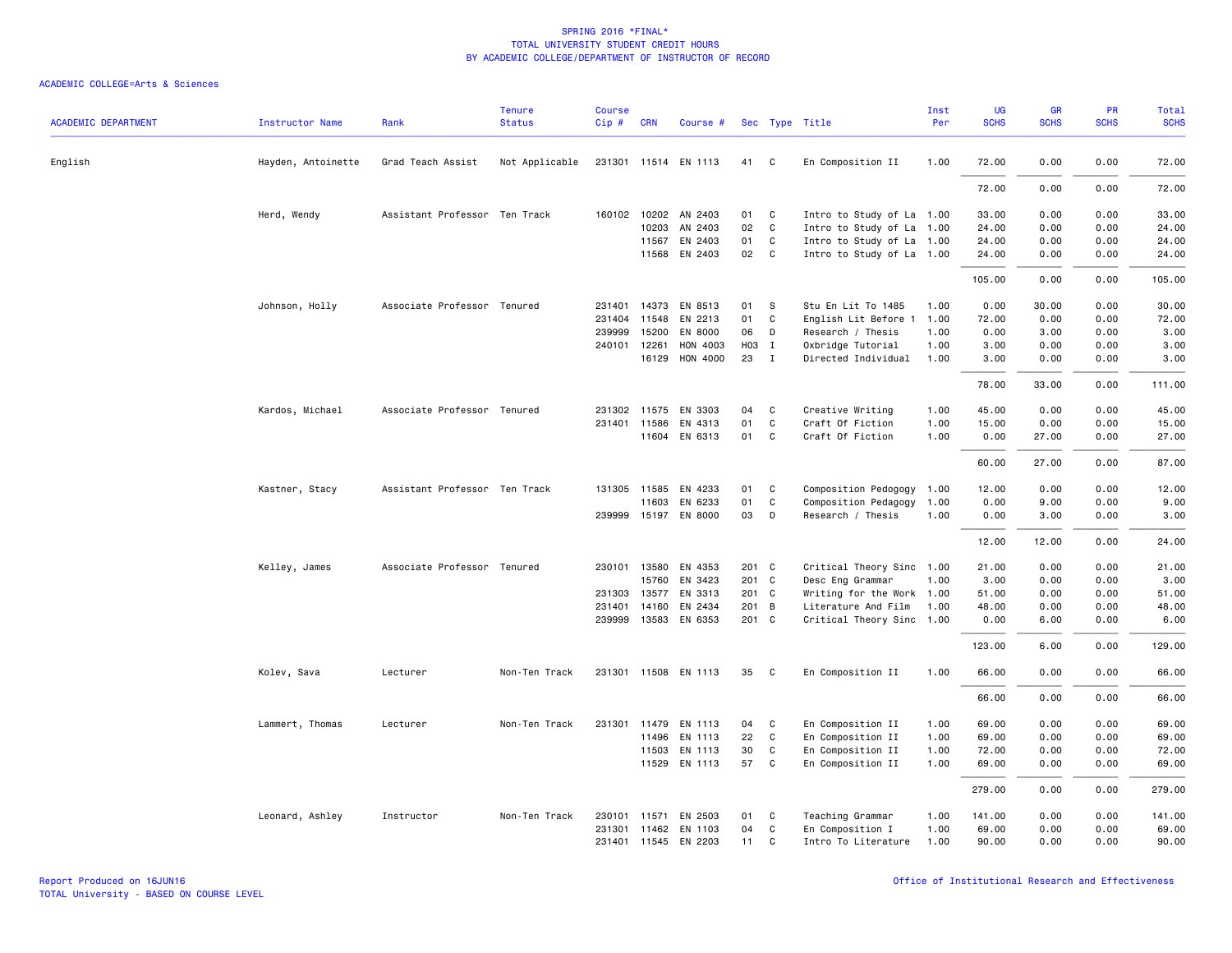| <b>ACADEMIC DEPARTMENT</b> | <b>Instructor Name</b> | Rank                          | <b>Tenure</b><br><b>Status</b> | Course<br>Cip# | <b>CRN</b>            | Course #             |                |                            | Sec Type Title                                   | Inst<br>Per  | UG<br><b>SCHS</b> | GR<br><b>SCHS</b> | PR<br><b>SCHS</b> | <b>Total</b><br><b>SCHS</b> |
|----------------------------|------------------------|-------------------------------|--------------------------------|----------------|-----------------------|----------------------|----------------|----------------------------|--------------------------------------------------|--------------|-------------------|-------------------|-------------------|-----------------------------|
| English                    | Hayden, Antoinette     | Grad Teach Assist             | Not Applicable                 |                |                       | 231301 11514 EN 1113 | 41             | C                          | En Composition II                                | 1.00         | 72.00             | 0.00              | 0.00              | 72.00                       |
|                            |                        |                               |                                |                |                       |                      |                |                            |                                                  |              | 72.00             | 0.00              | 0.00              | 72.00                       |
|                            | Herd, Wendy            | Assistant Professor Ten Track |                                |                |                       | 160102 10202 AN 2403 | 01             | C                          | Intro to Study of La 1.00                        |              | 33.00             | 0.00              | 0.00              | 33.00                       |
|                            |                        |                               |                                |                | 10203                 | AN 2403              | 02             | C                          | Intro to Study of La                             | 1.00         | 24.00             | 0.00              | 0.00              | 24.00                       |
|                            |                        |                               |                                |                | 11567                 | EN 2403              | 01             | C                          | Intro to Study of La 1.00                        |              | 24.00             | 0.00              | 0.00              | 24.00                       |
|                            |                        |                               |                                |                |                       | 11568 EN 2403        | 02             | $\overline{\phantom{a}}$ C | Intro to Study of La 1.00                        |              | 24.00             | 0.00              | 0.00              | 24.00                       |
|                            |                        |                               |                                |                |                       |                      |                |                            |                                                  |              | 105.00            | 0.00              | 0.00              | 105.00                      |
|                            | Johnson, Holly         | Associate Professor Tenured   |                                | 231401         | 14373                 | EN 8513              | 01             | S                          | Stu En Lit To 1485                               | 1.00         | 0.00              | 30.00             | 0.00              | 30.00                       |
|                            |                        |                               |                                | 231404         | 11548                 | EN 2213              | 01             | C                          | English Lit Before 1                             | 1.00         | 72.00             | 0.00              | 0.00              | 72.00                       |
|                            |                        |                               |                                | 239999         | 15200                 | EN 8000              | 06             | D                          | Research / Thesis                                | 1.00         | 0.00              | 3.00              | 0.00              | 3.00                        |
|                            |                        |                               |                                | 240101         | 12261<br>16129        | HON 4003<br>HON 4000 | H03 I<br>23    | $\mathbf{I}$               | Oxbridge Tutorial<br>Directed Individual         | 1.00<br>1.00 | 3.00<br>3.00      | 0.00<br>0.00      | 0.00<br>0.00      | 3.00<br>3.00                |
|                            |                        |                               |                                |                |                       |                      |                |                            |                                                  |              | 78.00             | 33.00             | 0.00              | 111.00                      |
|                            | Kardos, Michael        | Associate Professor Tenured   |                                |                | 231302 11575          | EN 3303              | 04             | C                          | Creative Writing                                 | 1.00         | 45.00             | 0.00              | 0.00              | 45.00                       |
|                            |                        |                               |                                |                | 231401 11586          | EN 4313              | 01             | $\mathbf{C}$               | Craft Of Fiction                                 | 1.00         | 15.00             | 0.00              | 0.00              | 15.00                       |
|                            |                        |                               |                                |                |                       | 11604 EN 6313        | 01             | C                          | Craft Of Fiction                                 | 1.00         | 0.00              | 27.00             | 0.00              | 27.00                       |
|                            |                        |                               |                                |                |                       |                      |                |                            |                                                  |              | 60.00             | 27.00             | 0.00              | 87.00                       |
|                            | Kastner, Stacy         | Assistant Professor Ten Track |                                |                | 131305 11585          | EN 4233              | 01             | C                          | Composition Pedogogy 1.00                        |              | 12.00             | 0.00              | 0.00              | 12.00                       |
|                            |                        |                               |                                |                | 11603                 | EN 6233              | 01             | C                          | Composition Pedagogy                             | 1.00         | 0.00              | 9.00              | 0.00              | 9.00                        |
|                            |                        |                               |                                |                |                       | 239999 15197 EN 8000 | 03             | D                          | Research / Thesis                                | 1.00         | 0.00              | 3.00              | 0.00              | 3.00                        |
|                            |                        |                               |                                |                |                       |                      |                |                            |                                                  |              | 12.00             | 12.00             | 0.00              | 24.00                       |
|                            | Kelley, James          | Associate Professor Tenured   |                                | 230101         | 13580                 | EN 4353              | 201 C          |                            | Critical Theory Sinc 1.00                        |              | 21.00             | 0.00              | 0.00              | 21.00                       |
|                            |                        |                               |                                |                | 15760                 | EN 3423              | 201 C          |                            | Desc Eng Grammar                                 | 1.00         | 3.00              | 0.00              | 0.00              | 3.00                        |
|                            |                        |                               |                                |                |                       | 231303 13577 EN 3313 | 201 C          |                            | Writing for the Work 1.00                        |              | 51.00             | 0.00              | 0.00              | 51.00                       |
|                            |                        |                               |                                | 231401         | 14160<br>239999 13583 | EN 2434<br>EN 6353   | 201 B<br>201 C |                            | Literature And Film<br>Critical Theory Sinc 1.00 | 1.00         | 48.00<br>0.00     | 0.00<br>6.00      | 0.00<br>0.00      | 48.00<br>6.00               |
|                            |                        |                               |                                |                |                       |                      |                |                            |                                                  |              | 123.00            | 6.00              | 0.00              | 129.00                      |
|                            | Kolev, Sava            | Lecturer                      | Non-Ten Track                  |                |                       | 231301 11508 EN 1113 | 35             | C                          | En Composition II                                | 1.00         | 66.00             | 0.00              | 0.00              | 66.00                       |
|                            |                        |                               |                                |                |                       |                      |                |                            |                                                  |              |                   |                   | 0.00              |                             |
|                            |                        |                               |                                |                |                       |                      |                |                            |                                                  |              | 66.00             | 0.00              |                   | 66.00                       |
|                            | Lammert, Thomas        | Lecturer                      | Non-Ten Track                  |                |                       | 231301 11479 EN 1113 | 04             | C                          | En Composition II                                | 1.00         | 69.00             | 0.00              | 0.00              | 69.00                       |
|                            |                        |                               |                                |                | 11496                 | EN 1113              | 22             | C                          | En Composition II                                | 1.00         | 69.00             | 0.00              | 0.00              | 69.00                       |
|                            |                        |                               |                                |                | 11503                 | EN 1113              | 30             | C                          | En Composition II                                | 1.00         | 72.00             | 0.00              | 0.00              | 72.00                       |
|                            |                        |                               |                                |                |                       | 11529 EN 1113        | 57             | C.                         | En Composition II                                | 1.00         | 69.00             | 0.00              | 0.00              | 69.00                       |
|                            |                        |                               |                                |                |                       |                      |                |                            |                                                  |              | 279.00            | 0.00              | 0.00              | 279.00                      |
|                            | Leonard, Ashley        | Instructor                    | Non-Ten Track                  | 230101         |                       | 11571 EN 2503        | 01             | C                          | Teaching Grammar                                 | 1.00         | 141.00            | 0.00              | 0.00              | 141.00                      |
|                            |                        |                               |                                |                |                       | 231301 11462 EN 1103 | 04             | C                          | En Composition I                                 | 1.00         | 69.00             | 0.00              | 0.00              | 69.00                       |
|                            |                        |                               |                                |                |                       | 231401 11545 EN 2203 | 11             | $\mathbf{C}$               | Intro To Literature                              | 1.00         | 90.00             | 0.00              | 0.00              | 90.00                       |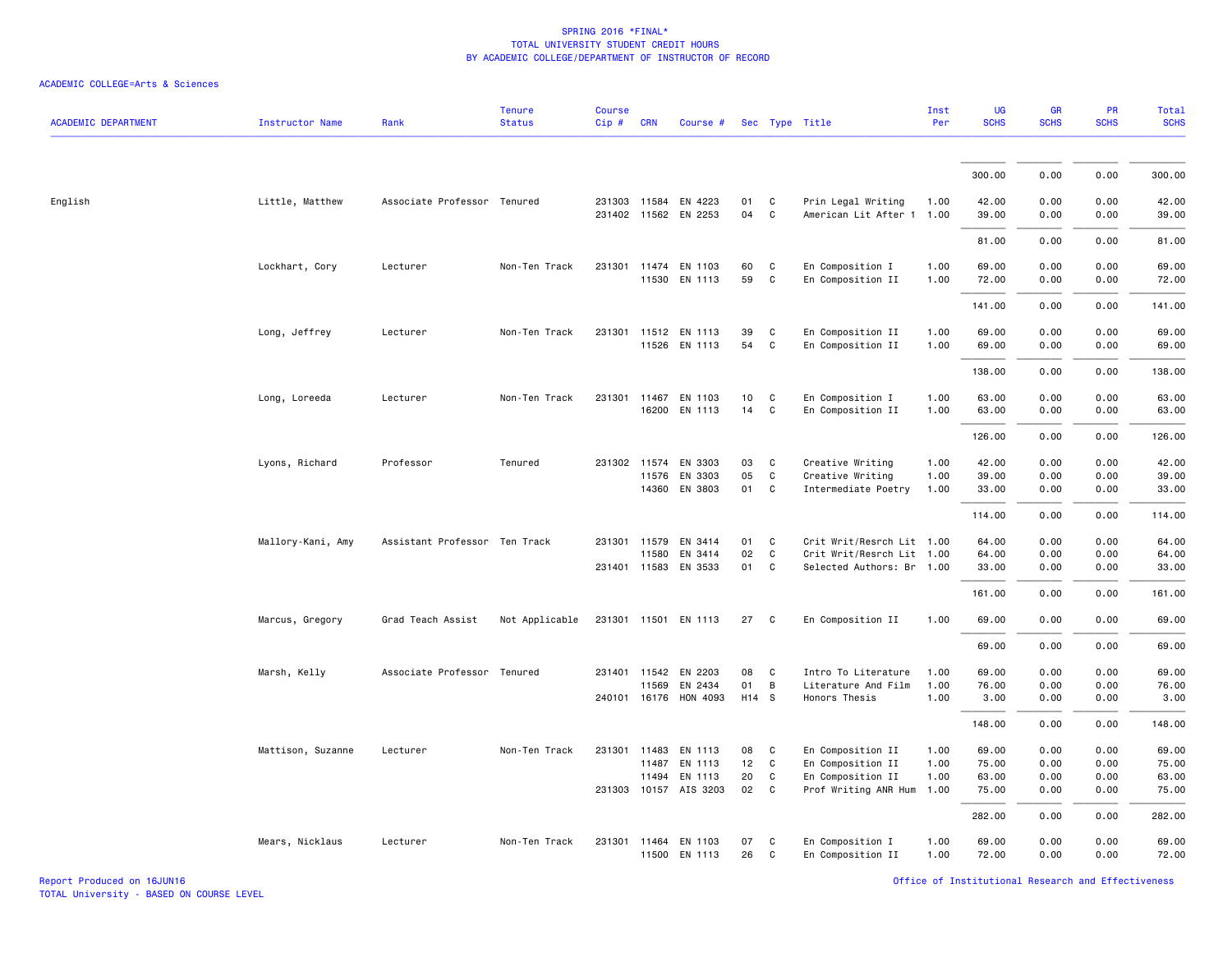| <b>ACADEMIC DEPARTMENT</b> | <b>Instructor Name</b> | Rank                          | <b>Tenure</b><br><b>Status</b> | Course<br>Cip# | <b>CRN</b>     | Course #                                                 |                   |                              | Sec Type Title                                              | Inst<br>Per          | UG<br><b>SCHS</b>       | GR<br><b>SCHS</b>    | PR<br><b>SCHS</b>    | <b>Total</b><br><b>SCHS</b> |
|----------------------------|------------------------|-------------------------------|--------------------------------|----------------|----------------|----------------------------------------------------------|-------------------|------------------------------|-------------------------------------------------------------|----------------------|-------------------------|----------------------|----------------------|-----------------------------|
|                            |                        |                               |                                |                |                |                                                          |                   |                              |                                                             |                      |                         |                      |                      |                             |
|                            |                        |                               |                                |                |                |                                                          |                   |                              |                                                             |                      | 300.00                  | 0.00                 | 0.00                 | 300.00                      |
| English                    | Little, Matthew        | Associate Professor Tenured   |                                |                |                | 231303 11584 EN 4223<br>231402 11562 EN 2253             | 01<br>04          | C<br>C                       | Prin Legal Writing<br>American Lit After 1 1.00             | 1.00                 | 42.00<br>39.00          | 0.00<br>0.00         | 0.00<br>0.00         | 42.00<br>39.00              |
|                            |                        |                               |                                |                |                |                                                          |                   |                              |                                                             |                      | 81.00                   | 0.00                 | 0.00                 | 81.00                       |
|                            | Lockhart, Cory         | Lecturer                      | Non-Ten Track                  |                |                | 231301 11474 EN 1103<br>11530 EN 1113                    | 60<br>59          | C<br>$\mathsf{C}$            | En Composition I<br>En Composition II                       | 1.00<br>1.00         | 69.00<br>72.00          | 0.00<br>0.00         | 0.00<br>0.00         | 69.00<br>72.00              |
|                            |                        |                               |                                |                |                |                                                          |                   |                              |                                                             |                      | 141.00                  | 0.00                 | 0.00                 | 141.00                      |
|                            | Long, Jeffrey          | Lecturer                      | Non-Ten Track                  | 231301         |                | 11512 EN 1113<br>11526 EN 1113                           | 39<br>54          | C<br>C                       | En Composition II<br>En Composition II                      | 1.00<br>1.00         | 69.00<br>69.00          | 0.00<br>0.00         | 0.00<br>0.00         | 69.00<br>69.00              |
|                            |                        |                               |                                |                |                |                                                          |                   |                              |                                                             |                      | 138.00                  | 0.00                 | 0.00                 | 138.00                      |
|                            | Long, Loreeda          | Lecturer                      | Non-Ten Track                  |                |                | 231301 11467 EN 1103<br>16200 EN 1113                    | 10<br>14          | $\mathtt{C}$<br>$\mathtt{C}$ | En Composition I<br>En Composition II                       | 1.00<br>1.00         | 63.00<br>63.00          | 0.00<br>0.00         | 0.00<br>0.00         | 63.00<br>63.00              |
|                            |                        |                               |                                |                |                |                                                          |                   |                              |                                                             |                      | 126.00                  | 0.00                 | 0.00                 | 126.00                      |
|                            | Lyons, Richard         | Professor                     | Tenured                        |                | 14360          | 231302 11574 EN 3303<br>11576 EN 3303<br>EN 3803         | 03<br>05<br>01    | C<br>C<br>C                  | Creative Writing<br>Creative Writing<br>Intermediate Poetry | 1.00<br>1.00<br>1.00 | 42.00<br>39.00<br>33.00 | 0.00<br>0.00<br>0.00 | 0.00<br>0.00<br>0.00 | 42.00<br>39.00<br>33.00     |
|                            |                        |                               |                                |                |                |                                                          |                   |                              |                                                             |                      | 114.00                  | 0.00                 | 0.00                 | 114.00                      |
|                            | Mallory-Kani, Amy      | Assistant Professor Ten Track |                                |                |                | 231301 11579 EN 3414                                     | 01                | C                            | Crit Writ/Resrch Lit 1.00                                   |                      | 64.00                   | 0.00                 | 0.00                 | 64.00                       |
|                            |                        |                               |                                |                | 11580          | EN 3414<br>231401 11583 EN 3533                          | 02<br>01          | C<br>C                       | Crit Writ/Resrch Lit 1.00<br>Selected Authors: Br 1.00      |                      | 64.00<br>33.00          | 0.00<br>0.00         | 0.00<br>0.00         | 64.00<br>33.00              |
|                            |                        |                               |                                |                |                |                                                          |                   |                              |                                                             |                      | 161.00                  | 0.00                 | 0.00                 | 161.00                      |
|                            | Marcus, Gregory        | Grad Teach Assist             | Not Applicable                 |                |                | 231301 11501 EN 1113                                     | 27                | C                            | En Composition II                                           | 1.00                 | 69.00                   | 0.00                 | 0.00                 | 69.00                       |
|                            |                        |                               |                                |                |                |                                                          |                   |                              |                                                             |                      | 69.00                   | 0.00                 | 0.00                 | 69.00                       |
|                            | Marsh, Kelly           | Associate Professor           | Tenured                        |                | 11569          | 231401 11542 EN 2203<br>EN 2434<br>240101 16176 HON 4093 | 08<br>01<br>H14 S | C<br>В                       | Intro To Literature<br>Literature And Film<br>Honors Thesis | 1.00<br>1.00<br>1.00 | 69.00<br>76.00<br>3.00  | 0.00<br>0.00<br>0.00 | 0.00<br>0.00<br>0.00 | 69.00<br>76.00<br>3.00      |
|                            |                        |                               |                                |                |                |                                                          |                   |                              |                                                             |                      | 148.00                  | 0.00                 | 0.00                 | 148.00                      |
|                            | Mattison, Suzanne      | Lecturer                      | Non-Ten Track                  |                |                | 231301 11483 EN 1113                                     | 08                | C                            | En Composition II                                           | 1.00                 | 69.00                   | 0.00                 | 0.00                 | 69.00                       |
|                            |                        |                               |                                |                | 11487<br>11494 | EN 1113<br>EN 1113                                       | 12<br>20          | C<br>C                       | En Composition II<br>En Composition II                      | 1.00<br>1.00         | 75.00<br>63.00          | 0.00<br>0.00         | 0.00<br>0.00         | 75.00<br>63.00              |
|                            |                        |                               |                                |                |                | 231303 10157 AIS 3203                                    | 02                | C                            | Prof Writing ANR Hum 1.00                                   |                      | 75.00                   | 0.00                 | 0.00                 | 75.00                       |
|                            |                        |                               |                                |                |                |                                                          |                   |                              |                                                             |                      | 282.00                  | 0.00                 | 0.00                 | 282.00                      |
|                            | Mears, Nicklaus        | Lecturer                      | Non-Ten Track                  |                |                | 231301 11464 EN 1103<br>11500 EN 1113                    | 07<br>26          | C<br>$\mathtt{C}$            | En Composition I<br>En Composition II                       | 1.00<br>1.00         | 69.00<br>72.00          | 0.00<br>0.00         | 0.00<br>0.00         | 69.00<br>72.00              |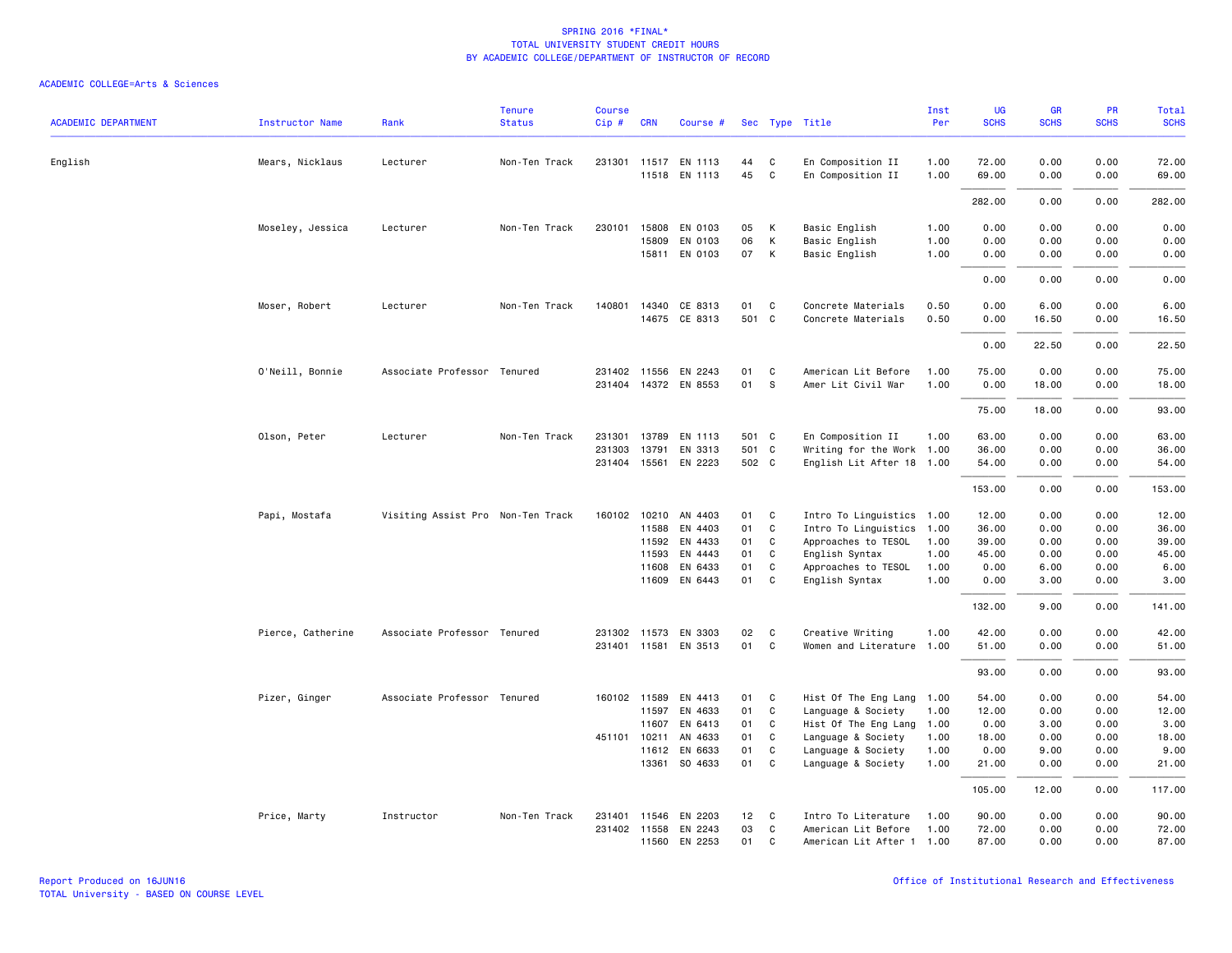| <b>ACADEMIC DEPARTMENT</b> | <b>Instructor Name</b> | Rank                              | <b>Tenure</b><br><b>Status</b> | <b>Course</b><br>$Cip \#$ | <b>CRN</b>            | Course #                                     |          |                   | Sec Type Title                                | Inst<br>Per  | UG<br><b>SCHS</b> | GR<br><b>SCHS</b> | PR<br><b>SCHS</b> | Total<br><b>SCHS</b> |
|----------------------------|------------------------|-----------------------------------|--------------------------------|---------------------------|-----------------------|----------------------------------------------|----------|-------------------|-----------------------------------------------|--------------|-------------------|-------------------|-------------------|----------------------|
| English                    | Mears, Nicklaus        | Lecturer                          | Non-Ten Track                  |                           |                       | 231301 11517 EN 1113                         | 44       | C                 | En Composition II                             | 1.00         | 72.00             | 0.00              | 0.00              | 72.00                |
|                            |                        |                                   |                                |                           |                       | 11518 EN 1113                                | 45       | $\mathsf{C}$      | En Composition II                             | 1.00         | 69.00             | 0.00              | 0.00              | 69.00                |
|                            |                        |                                   |                                |                           |                       |                                              |          |                   |                                               |              | 282.00            | 0.00              | 0.00              | 282.00               |
|                            | Moseley, Jessica       | Lecturer                          | Non-Ten Track                  | 230101                    | 15808                 | EN 0103                                      | 05       | К                 | Basic English                                 | 1.00         | 0.00              | 0.00              | 0.00              | 0.00                 |
|                            |                        |                                   |                                |                           | 15809                 | EN 0103                                      | 06       | К                 | Basic English                                 | 1.00         | 0.00              | 0.00              | 0.00              | 0.00                 |
|                            |                        |                                   |                                |                           |                       | 15811 EN 0103                                | 07       | К                 | Basic English                                 | 1.00         | 0.00              | 0.00              | 0.00              | 0.00                 |
|                            |                        |                                   |                                |                           |                       |                                              |          |                   |                                               |              | 0.00              | 0.00              | 0.00              | 0.00                 |
|                            | Moser, Robert          | Lecturer                          | Non-Ten Track                  | 140801                    | 14340                 | CE 8313                                      | 01       | C                 | Concrete Materials                            | 0.50         | 0.00              | 6.00              | 0.00              | 6.00                 |
|                            |                        |                                   |                                |                           |                       | 14675 CE 8313                                | 501 C    |                   | Concrete Materials                            | 0.50         | 0.00              | 16.50             | 0.00              | 16.50                |
|                            |                        |                                   |                                |                           |                       |                                              |          |                   |                                               |              | 0.00              | 22.50             | 0.00              | 22.50                |
|                            | O'Neill, Bonnie        | Associate Professor Tenured       |                                |                           |                       | 231402 11556 EN 2243                         | 01       | C                 | American Lit Before                           | 1.00         | 75.00             | 0.00              | 0.00              | 75.00                |
|                            |                        |                                   |                                |                           |                       | 231404 14372 EN 8553                         | 01       | S                 | Amer Lit Civil War                            | 1.00         | 0.00              | 18.00             | 0.00              | 18.00                |
|                            |                        |                                   |                                |                           |                       |                                              |          |                   |                                               |              | 75.00             | 18.00             | 0.00              | 93.00                |
|                            | Olson, Peter           | Lecturer                          | Non-Ten Track                  | 231301                    | 13789                 | EN 1113                                      | 501 C    |                   | En Composition II                             | 1.00         | 63.00             | 0.00              | 0.00              | 63.00                |
|                            |                        |                                   |                                | 231303                    | 13791                 | EN 3313                                      | 501 C    |                   | Writing for the Work 1.00                     |              | 36.00             | 0.00              | 0.00              | 36.00                |
|                            |                        |                                   |                                |                           |                       | 231404 15561 EN 2223                         | 502 C    |                   | English Lit After 18 1.00                     |              | 54.00             | 0.00              | 0.00              | 54.00                |
|                            |                        |                                   |                                |                           |                       |                                              |          |                   |                                               |              | 153.00            | 0.00              | 0.00              | 153.00               |
|                            | Papi, Mostafa          | Visiting Assist Pro Non-Ten Track |                                |                           |                       | 160102 10210 AN 4403                         | 01       | C                 | Intro To Linguistics 1.00                     |              | 12.00             | 0.00              | 0.00              | 12.00                |
|                            |                        |                                   |                                |                           | 11588                 | EN 4403                                      | 01       | C                 | Intro To Linguistics                          | 1.00         | 36.00             | 0.00              | 0.00              | 36.00                |
|                            |                        |                                   |                                |                           | 11592                 | EN 4433                                      | 01       | C                 | Approaches to TESOL                           | 1.00         | 39.00             | 0.00              | 0.00              | 39.00                |
|                            |                        |                                   |                                |                           | 11593                 | EN 4443                                      | 01       | C<br>$\mathsf{C}$ | English Syntax                                | 1.00         | 45.00<br>0.00     | 0.00              | 0.00              | 45.00                |
|                            |                        |                                   |                                |                           | 11608<br>11609        | EN 6433<br>EN 6443                           | 01<br>01 | C                 | Approaches to TESOL<br>English Syntax         | 1.00<br>1.00 | 0.00              | 6.00<br>3.00      | 0.00<br>0.00      | 6.00<br>3.00         |
|                            |                        |                                   |                                |                           |                       |                                              |          |                   |                                               |              | 132.00            | 9.00              | 0.00              | 141.00               |
|                            |                        |                                   |                                |                           |                       |                                              | 02       | C                 |                                               |              | 42.00             |                   |                   | 42.00                |
|                            | Pierce, Catherine      | Associate Professor Tenured       |                                |                           |                       | 231302 11573 EN 3303<br>231401 11581 EN 3513 | 01       | $\mathsf{C}$      | Creative Writing<br>Women and Literature 1.00 | 1.00         | 51.00             | 0.00<br>0.00      | 0.00<br>0.00      | 51.00                |
|                            |                        |                                   |                                |                           |                       |                                              |          |                   |                                               |              | 93.00             | 0.00              | 0.00              | 93.00                |
|                            |                        |                                   |                                |                           |                       |                                              |          |                   |                                               |              |                   |                   |                   |                      |
|                            | Pizer, Ginger          | Associate Professor Tenured       |                                |                           | 160102 11589<br>11597 | EN 4413<br>EN 4633                           | 01<br>01 | C<br>C            | Hist Of The Eng Lang<br>Language & Society    | 1.00<br>1.00 | 54.00<br>12.00    | 0.00<br>0.00      | 0.00<br>0.00      | 54.00<br>12.00       |
|                            |                        |                                   |                                |                           | 11607                 | EN 6413                                      | 01       | C                 | Hist Of The Eng Lang                          | 1.00         | 0.00              | 3.00              | 0.00              | 3.00                 |
|                            |                        |                                   |                                |                           | 451101 10211          | AN 4633                                      | 01       | $\mathsf{C}$      | Language & Society                            | 1.00         | 18.00             | 0.00              | 0.00              | 18.00                |
|                            |                        |                                   |                                |                           | 11612                 | EN 6633                                      | 01       | C                 | Language & Society                            | 1.00         | 0.00              | 9.00              | 0.00              | 9.00                 |
|                            |                        |                                   |                                |                           |                       | 13361 SO 4633                                | 01       | C                 | Language & Society                            | 1.00         | 21.00             | 0.00              | 0.00              | 21.00                |
|                            |                        |                                   |                                |                           |                       |                                              |          |                   |                                               |              | 105.00            | 12.00             | 0.00              | 117.00               |
|                            | Price, Marty           | Instructor                        | Non-Ten Track                  | 231401                    | 11546                 | EN 2203                                      | 12       | C                 | Intro To Literature                           | 1.00         | 90.00             | 0.00              | 0.00              | 90.00                |
|                            |                        |                                   |                                |                           |                       | 231402 11558 EN 2243                         | 03       | C                 | American Lit Before                           | 1.00         | 72.00             | 0.00              | 0.00              | 72.00                |
|                            |                        |                                   |                                |                           |                       | 11560 EN 2253                                | 01       | C                 | American Lit After 1 1.00                     |              | 87.00             | 0.00              | 0.00              | 87.00                |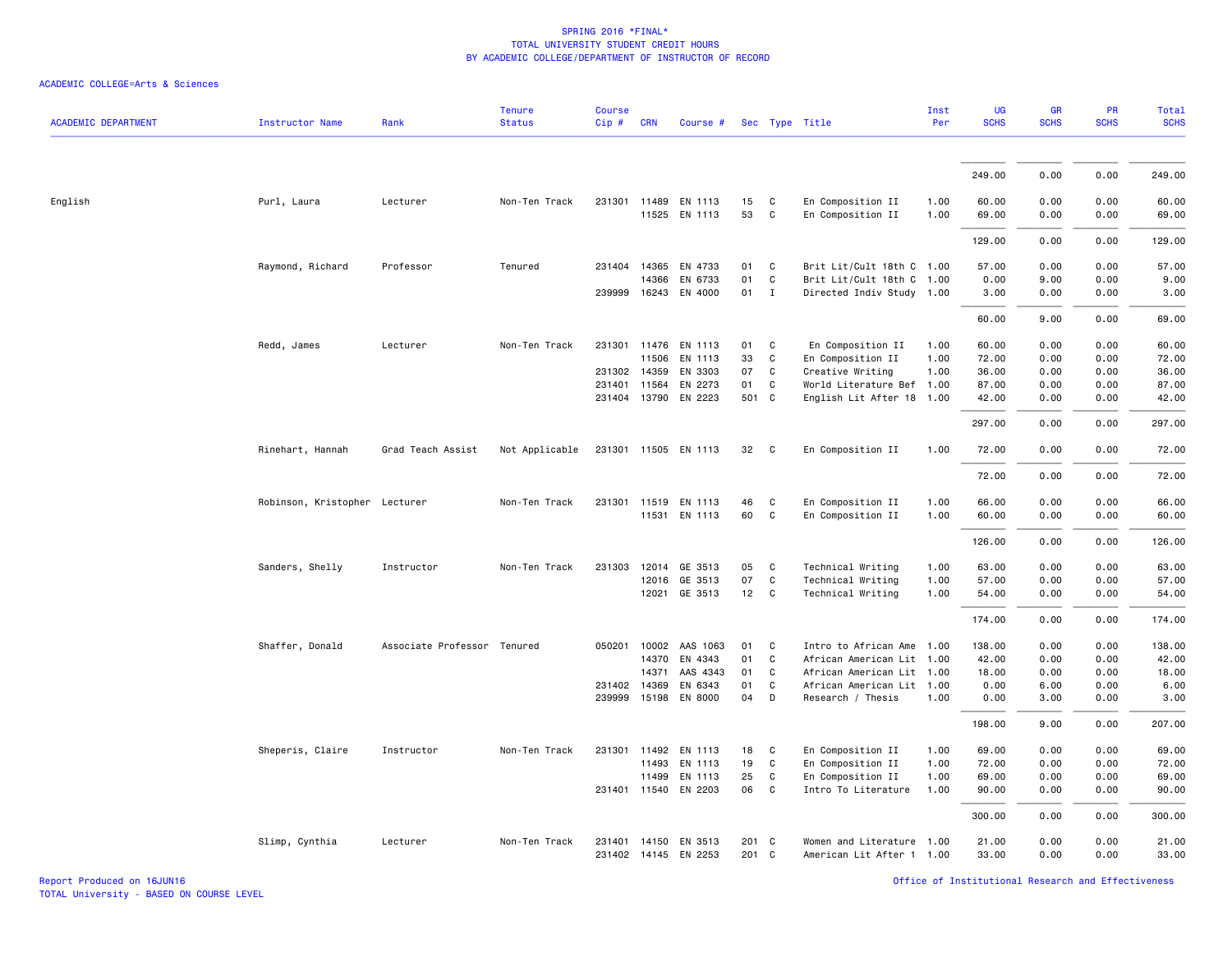| <b>ACADEMIC DEPARTMENT</b> | <b>Instructor Name</b>        | Rank                        | <b>Tenure</b><br><b>Status</b> | <b>Course</b><br>Cip# | <b>CRN</b> | Course #                                     |                |                              | Sec Type Title                                         | Inst<br>Per  | <b>UG</b><br><b>SCHS</b> | <b>GR</b><br><b>SCHS</b> | PR<br><b>SCHS</b> | Total<br><b>SCHS</b> |
|----------------------------|-------------------------------|-----------------------------|--------------------------------|-----------------------|------------|----------------------------------------------|----------------|------------------------------|--------------------------------------------------------|--------------|--------------------------|--------------------------|-------------------|----------------------|
|                            |                               |                             |                                |                       |            |                                              |                |                              |                                                        |              | 249.00                   | 0.00                     | 0.00              | 249.00               |
| English                    | Purl, Laura                   | Lecturer                    | Non-Ten Track                  |                       |            | 231301 11489 EN 1113<br>11525 EN 1113        | 15<br>53       | C<br>$\mathsf{C}$            | En Composition II<br>En Composition II                 | 1.00<br>1.00 | 60.00<br>69.00           | 0.00<br>0.00             | 0.00<br>0.00      | 60.00<br>69.00       |
|                            |                               |                             |                                |                       |            |                                              |                |                              |                                                        |              | 129.00                   | 0.00                     | 0.00              | 129.00               |
|                            | Raymond, Richard              | Professor                   | Tenured                        | 231404 14365          |            | EN 4733                                      | 01             | C                            | Brit Lit/Cult 18th C 1.00                              |              | 57.00                    | 0.00                     | 0.00              | 57.00                |
|                            |                               |                             |                                |                       | 14366      | EN 6733<br>239999 16243 EN 4000              | 01<br>01       | $\mathsf{C}$<br>$\mathbf{I}$ | Brit Lit/Cult 18th C 1.00<br>Directed Indiv Study 1.00 |              | 0.00<br>3.00             | 9.00<br>0.00             | 0.00<br>0.00      | 9.00<br>3.00         |
|                            |                               |                             |                                |                       |            |                                              |                |                              |                                                        |              | 60.00                    | 9.00                     | 0.00              | 69.00                |
|                            | Redd, James                   | Lecturer                    | Non-Ten Track                  | 231301 11476          | 11506      | EN 1113<br>EN 1113                           | 01<br>33       | C<br>C                       | En Composition II<br>En Composition II                 | 1.00<br>1.00 | 60.00<br>72.00           | 0.00<br>0.00             | 0.00<br>0.00      | 60.00<br>72.00       |
|                            |                               |                             |                                | 231302 14359          |            | EN 3303                                      | 07             | C                            | Creative Writing                                       | 1.00         | 36.00                    | 0.00                     | 0.00              | 36.00                |
|                            |                               |                             |                                | 231401 11564          |            | EN 2273                                      | 01             | C                            | World Literature Bef 1.00                              |              | 87.00                    | 0.00                     | 0.00              | 87.00                |
|                            |                               |                             |                                |                       |            | 231404 13790 EN 2223                         | 501 C          |                              | English Lit After 18                                   | 1.00         | 42.00                    | 0.00                     | 0.00              | 42.00                |
|                            |                               |                             |                                |                       |            |                                              |                |                              |                                                        |              | 297.00                   | 0.00                     | 0.00              | 297.00               |
|                            | Rinehart, Hannah              | Grad Teach Assist           | Not Applicable                 |                       |            | 231301 11505 EN 1113                         | 32             | C                            | En Composition II                                      | 1.00         | 72.00                    | 0.00                     | 0.00              | 72.00                |
|                            |                               |                             |                                |                       |            |                                              |                |                              |                                                        |              | 72.00                    | 0.00                     | 0.00              | 72.00                |
|                            | Robinson, Kristopher Lecturer |                             | Non-Ten Track                  |                       |            | 231301 11519 EN 1113                         | 46             | C                            | En Composition II                                      | 1.00         | 66.00                    | 0.00                     | 0.00              | 66.00                |
|                            |                               |                             |                                |                       |            | 11531 EN 1113                                | 60             | C                            | En Composition II                                      | 1.00         | 60.00                    | 0.00                     | 0.00              | 60.00                |
|                            |                               |                             |                                |                       |            |                                              |                |                              |                                                        |              | 126.00                   | 0.00                     | 0.00              | 126.00               |
|                            | Sanders, Shelly               | Instructor                  | Non-Ten Track                  |                       |            | 231303 12014 GE 3513                         | 05             | C                            | Technical Writing                                      | 1.00         | 63.00                    | 0.00                     | 0.00              | 63.00                |
|                            |                               |                             |                                |                       | 12016      | GE 3513                                      | 07             | C                            | Technical Writing                                      | 1.00         | 57.00                    | 0.00                     | 0.00              | 57.00                |
|                            |                               |                             |                                |                       | 12021      | GE 3513                                      | 12             | C                            | Technical Writing                                      | 1.00         | 54.00                    | 0.00                     | 0.00              | 54.00                |
|                            |                               |                             |                                |                       |            |                                              |                |                              |                                                        |              | 174.00                   | 0.00                     | 0.00              | 174.00               |
|                            | Shaffer, Donald               | Associate Professor Tenured |                                |                       |            | 050201 10002 AAS 1063                        | 01             | C                            | Intro to African Ame 1.00                              |              | 138.00                   | 0.00                     | 0.00              | 138.00               |
|                            |                               |                             |                                |                       |            | 14370 EN 4343                                | 01             | $\mathsf{C}$                 | African American Lit                                   | 1.00         | 42.00                    | 0.00                     | 0.00              | 42.00                |
|                            |                               |                             |                                |                       | 14371      | AAS 4343                                     | 01             | $\mathsf{C}$                 | African American Lit 1.00                              |              | 18.00                    | 0.00                     | 0.00              | 18.00                |
|                            |                               |                             |                                | 231402 14369          |            | EN 6343<br>239999 15198 EN 8000              | 01<br>04       | $\mathsf{C}$<br>D            | African American Lit<br>Research / Thesis              | 1.00<br>1.00 | 0.00<br>0.00             | 6.00<br>3.00             | 0.00<br>0.00      | 6.00<br>3.00         |
|                            |                               |                             |                                |                       |            |                                              |                |                              |                                                        |              | 198.00                   | 9.00                     | 0.00              | 207.00               |
|                            | Sheperis, Claire              | Instructor                  | Non-Ten Track                  |                       |            | 231301 11492 EN 1113                         | 18             | C                            | En Composition II                                      | 1.00         | 69.00                    | 0.00                     | 0.00              | 69.00                |
|                            |                               |                             |                                |                       | 11493      | EN 1113                                      | 19             | C                            | En Composition II                                      | 1.00         | 72.00                    | 0.00                     | 0.00              | 72.00                |
|                            |                               |                             |                                |                       | 11499      | EN 1113                                      | 25             | C                            | En Composition II                                      | 1.00         | 69.00                    | 0.00                     | 0.00              | 69.00                |
|                            |                               |                             |                                |                       |            | 231401 11540 EN 2203                         | 06             | $\mathsf{C}$                 | Intro To Literature                                    | 1.00         | 90.00                    | 0.00                     | 0.00              | 90.00                |
|                            |                               |                             |                                |                       |            |                                              |                |                              |                                                        |              | 300.00                   | 0.00                     | 0.00              | 300.00               |
|                            | Slimp, Cynthia                | Lecturer                    | Non-Ten Track                  |                       |            | 231401 14150 EN 3513<br>231402 14145 EN 2253 | 201 C<br>201 C |                              | Women and Literature 1.00<br>American Lit After 1 1.00 |              | 21.00<br>33.00           | 0.00<br>0.00             | 0.00<br>0.00      | 21,00<br>33.00       |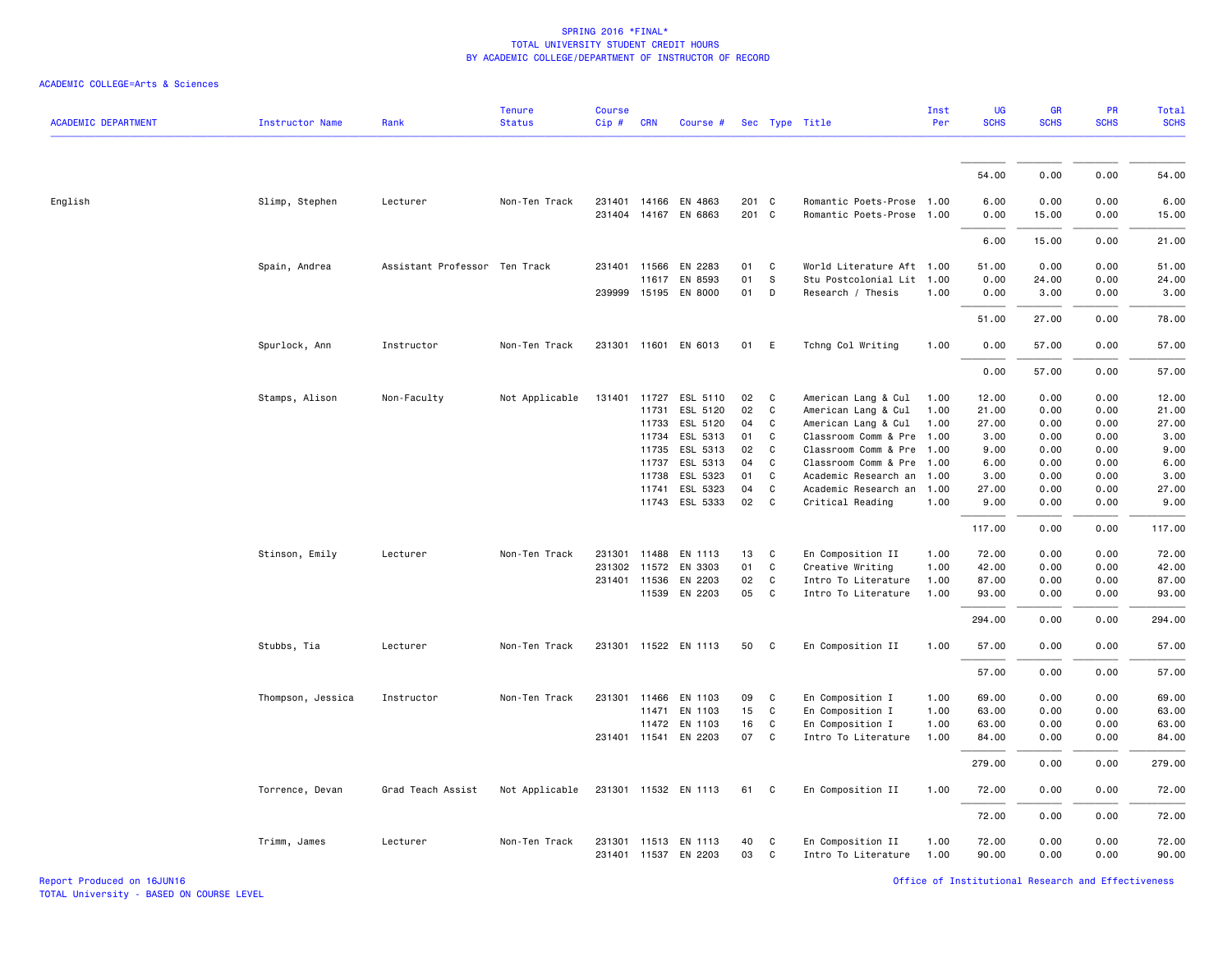| <b>ACADEMIC DEPARTMENT</b> | <b>Instructor Name</b> | Rank                          | <b>Tenure</b><br><b>Status</b> | <b>Course</b><br>$Cip$ # | <b>CRN</b>   | Course #                                     |                |                   | Sec Type Title                                    | Inst<br>Per  | UG<br><b>SCHS</b> | GR<br><b>SCHS</b> | PR<br><b>SCHS</b> | Total<br><b>SCHS</b> |
|----------------------------|------------------------|-------------------------------|--------------------------------|--------------------------|--------------|----------------------------------------------|----------------|-------------------|---------------------------------------------------|--------------|-------------------|-------------------|-------------------|----------------------|
|                            |                        |                               |                                |                          |              |                                              |                |                   |                                                   |              | 54.00             | 0.00              | 0.00              | 54.00                |
|                            |                        |                               |                                |                          |              |                                              |                |                   |                                                   |              |                   |                   |                   |                      |
| English                    | Slimp, Stephen         | Lecturer                      | Non-Ten Track                  |                          |              | 231401 14166 EN 4863<br>231404 14167 EN 6863 | 201 C<br>201 C |                   | Romantic Poets-Prose<br>Romantic Poets-Prose 1.00 | 1.00         | 6.00<br>0.00      | 0.00<br>15.00     | 0.00<br>0.00      | 6.00<br>15.00        |
|                            |                        |                               |                                |                          |              |                                              |                |                   |                                                   |              | 6.00              | 15.00             | 0.00              | 21.00                |
|                            | Spain, Andrea          | Assistant Professor Ten Track |                                |                          | 231401 11566 | EN 2283                                      | 01             | C                 | World Literature Aft 1.00                         |              | 51.00             | 0.00              | 0.00              | 51.00                |
|                            |                        |                               |                                |                          |              | 11617 EN 8593                                | 01             | $\mathbb S$       | Stu Postcolonial Lit                              | 1.00         | 0.00              | 24.00             | 0.00              | 24.00                |
|                            |                        |                               |                                |                          |              | 239999 15195 EN 8000                         | 01             | D                 | Research / Thesis                                 | 1.00         | 0.00              | 3.00              | 0.00              | 3.00                 |
|                            |                        |                               |                                |                          |              |                                              |                |                   |                                                   |              | 51.00             | 27.00             | 0.00              | 78.00                |
|                            | Spurlock, Ann          | Instructor                    | Non-Ten Track                  |                          |              | 231301 11601 EN 6013                         | 01             | E                 | Tchng Col Writing                                 | 1.00         | 0.00              | 57.00             | 0.00              | 57.00                |
|                            |                        |                               |                                |                          |              |                                              |                |                   |                                                   |              | 0.00              | 57.00             | 0.00              | 57.00                |
|                            | Stamps, Alison         | Non-Faculty                   | Not Applicable                 |                          |              | 131401 11727 ESL 5110                        | 02             | C                 | American Lang & Cul                               | 1.00         | 12.00             | 0.00              | 0.00              | 12.00                |
|                            |                        |                               |                                |                          | 11731        | ESL 5120                                     | 02             | $\mathsf{C}$      | American Lang & Cul                               | 1.00         | 21.00             | 0.00              | 0.00              | 21.00                |
|                            |                        |                               |                                |                          | 11733        | ESL 5120                                     | 04             | C                 | American Lang & Cul                               | 1.00         | 27.00             | 0.00              | 0.00              | 27.00                |
|                            |                        |                               |                                |                          | 11734        | ESL 5313                                     | 01             | C                 | Classroom Comm & Pre                              | 1.00         | 3.00              | 0.00              | 0.00              | 3.00                 |
|                            |                        |                               |                                |                          | 11735        | ESL 5313                                     | 02             | C                 | Classroom Comm & Pre                              | 1.00         | 9.00              | 0.00              | 0.00              | 9.00                 |
|                            |                        |                               |                                |                          | 11737        | ESL 5313                                     | 04             | C                 | Classroom Comm & Pre                              | 1.00         | 6.00              | 0.00              | 0.00              | 6.00                 |
|                            |                        |                               |                                |                          | 11738        | ESL 5323                                     | 01             | C                 | Academic Research an                              | 1.00         | 3.00              | 0.00              | 0.00              | 3.00                 |
|                            |                        |                               |                                |                          | 11741        | ESL 5323                                     | 04             | C                 | Academic Research an                              | 1.00         | 27.00             | 0.00              | 0.00              | 27.00                |
|                            |                        |                               |                                |                          |              | 11743 ESL 5333                               | 02             | C                 | Critical Reading                                  | 1.00         | 9.00              | 0.00              | 0.00              | 9.00                 |
|                            |                        |                               |                                |                          |              |                                              |                |                   |                                                   |              | 117.00            | 0.00              | 0.00              | 117.00               |
|                            | Stinson, Emily         | Lecturer                      | Non-Ten Track                  | 231301                   |              | 11488 EN 1113                                | 13             | C                 | En Composition II                                 | 1.00         | 72.00             | 0.00              | 0.00              | 72.00                |
|                            |                        |                               |                                | 231302                   | 11572        | EN 3303                                      | 01             | $\mathtt{C}$      | Creative Writing                                  | 1.00         | 42.00             | 0.00              | 0.00              | 42.00                |
|                            |                        |                               |                                |                          | 231401 11536 | EN 2203                                      | 02             | C                 | Intro To Literature                               | 1.00         | 87.00             | 0.00              | 0.00              | 87.00                |
|                            |                        |                               |                                |                          |              | 11539 EN 2203                                | 05             | C                 | Intro To Literature                               | 1.00         | 93.00             | 0.00              | 0.00              | 93.00                |
|                            |                        |                               |                                |                          |              |                                              |                |                   |                                                   |              | 294.00            | 0.00              | 0.00              | 294.00               |
|                            | Stubbs, Tia            | Lecturer                      | Non-Ten Track                  |                          |              | 231301 11522 EN 1113                         | 50             | C                 | En Composition II                                 | 1.00         | 57.00             | 0.00              | 0.00              | 57.00                |
|                            |                        |                               |                                |                          |              |                                              |                |                   |                                                   |              | 57.00             | 0.00              | 0.00              | 57.00                |
|                            | Thompson, Jessica      | Instructor                    | Non-Ten Track                  |                          | 231301 11466 | EN 1103                                      | 09             | C                 | En Composition I                                  | 1.00         | 69.00             | 0.00              | 0.00              | 69.00                |
|                            |                        |                               |                                |                          | 11471        | EN 1103                                      | 15             | C                 | En Composition I                                  | 1.00         | 63.00             | 0.00              | 0.00              | 63.00                |
|                            |                        |                               |                                |                          |              | 11472 EN 1103                                | 16             | C                 | En Composition I                                  | 1.00         | 63.00             | 0.00              | 0.00              | 63.00                |
|                            |                        |                               |                                |                          |              | 231401 11541 EN 2203                         | 07             | C                 | Intro To Literature                               | 1.00         | 84.00             | 0.00              | 0.00              | 84.00                |
|                            |                        |                               |                                |                          |              |                                              |                |                   |                                                   |              | 279.00            | 0.00              | 0.00              | 279.00               |
|                            | Torrence, Devan        | Grad Teach Assist             | Not Applicable                 |                          |              | 231301 11532 EN 1113                         | 61             | C                 | En Composition II                                 | 1.00         | 72.00             | 0.00              | 0.00              | 72.00                |
|                            |                        |                               |                                |                          |              |                                              |                |                   |                                                   |              | 72.00             | 0.00              | 0.00              | 72.00                |
|                            | Trimm, James           | Lecturer                      | Non-Ten Track                  |                          |              | 231301 11513 EN 1113<br>231401 11537 EN 2203 | 40<br>03       | C<br>$\mathsf{C}$ | En Composition II<br>Intro To Literature          | 1.00<br>1.00 | 72.00<br>90.00    | 0.00<br>0.00      | 0.00<br>0.00      | 72.00<br>90.00       |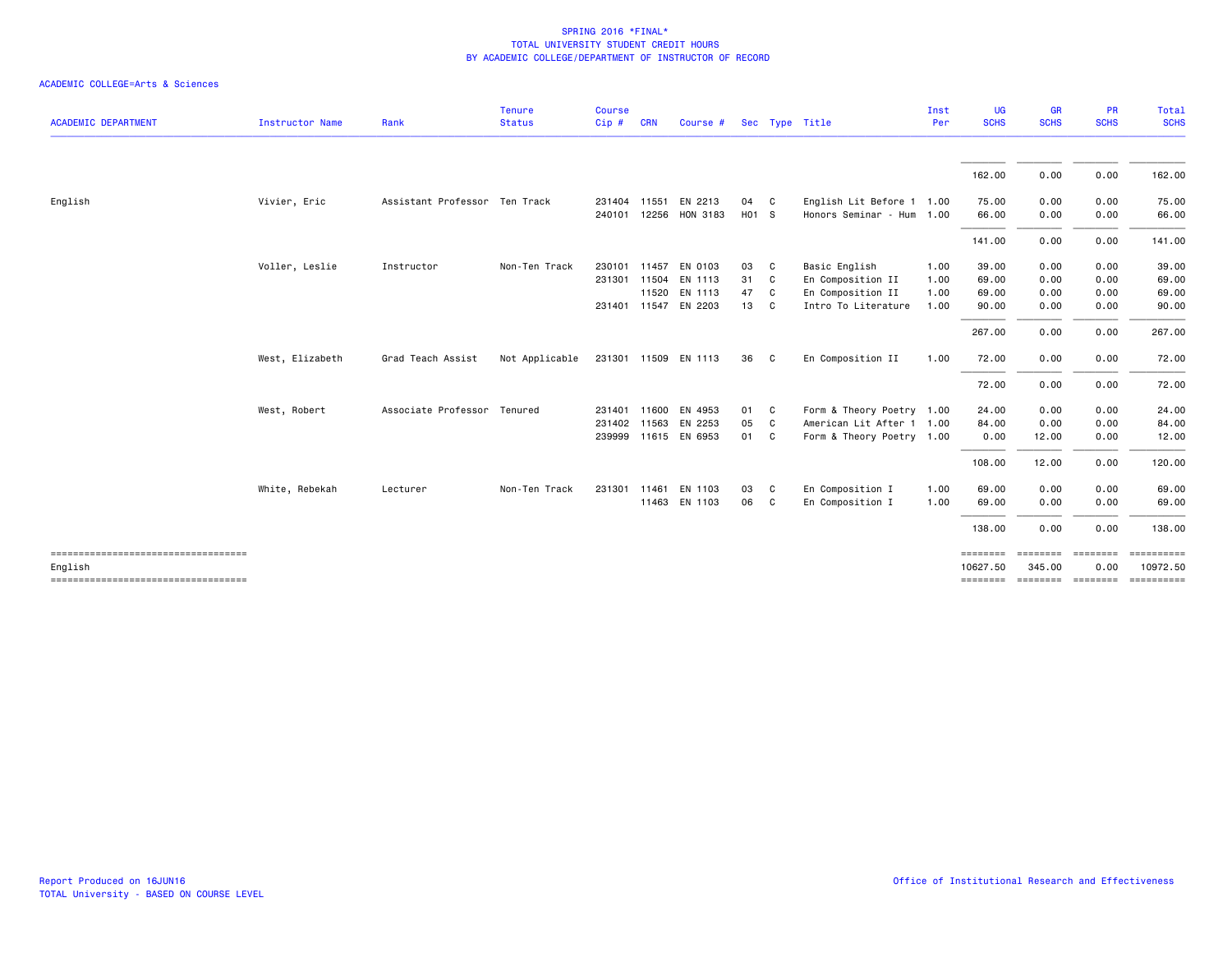| <b>ACADEMIC DEPARTMENT</b>                    | <b>Instructor Name</b> | Rank                          | <b>Tenure</b><br><b>Status</b> | <b>Course</b><br>Cip# | <b>CRN</b> | Course #              |       |              | Sec Type Title            | Inst<br>Per | <b>UG</b><br><b>SCHS</b> | <b>GR</b><br><b>SCHS</b> | <b>PR</b><br><b>SCHS</b> | Total<br><b>SCHS</b> |
|-----------------------------------------------|------------------------|-------------------------------|--------------------------------|-----------------------|------------|-----------------------|-------|--------------|---------------------------|-------------|--------------------------|--------------------------|--------------------------|----------------------|
|                                               |                        |                               |                                |                       |            |                       |       |              |                           |             | 162.00                   | 0.00                     | 0.00                     | 162.00               |
| English                                       |                        | Assistant Professor Ten Track |                                | 231404 11551          |            | EN 2213               | 04    |              | English Lit Before 1 1.00 |             | 75.00                    | 0.00                     | 0.00                     | 75.00                |
|                                               | Vivier, Eric           |                               |                                |                       |            | 240101 12256 HON 3183 | H01 S | - C          | Honors Seminar - Hum 1.00 |             | 66.00                    | 0.00                     | 0.00                     | 66.00                |
|                                               |                        |                               |                                |                       |            |                       |       |              |                           |             | 141.00                   | 0.00                     | 0.00                     | 141.00               |
|                                               | Voller, Leslie         | Instructor                    | Non-Ten Track                  | 230101                |            | 11457 EN 0103         | 03    | C            | Basic English             | 1.00        | 39.00                    | 0.00                     | 0.00                     | 39.00                |
|                                               |                        |                               |                                |                       |            | 231301 11504 EN 1113  | 31    | C.           | En Composition II         | 1.00        | 69.00                    | 0.00                     | 0.00                     | 69.00                |
|                                               |                        |                               |                                |                       |            | 11520 EN 1113         | 47    | C.           | En Composition II         | 1.00        | 69.00                    | 0.00                     | 0.00                     | 69.00                |
|                                               |                        |                               |                                |                       |            | 231401 11547 EN 2203  | 13    | <sub>c</sub> | Intro To Literature       | 1.00        | 90.00                    | 0.00                     | 0.00                     | 90.00                |
|                                               |                        |                               |                                |                       |            |                       |       |              |                           |             | 267.00                   | 0.00                     | 0.00                     | 267.00               |
|                                               | West, Elizabeth        | Grad Teach Assist             | Not Applicable                 |                       |            | 231301 11509 EN 1113  | 36    | $\mathbf{C}$ | En Composition II         | 1.00        | 72.00                    | 0.00                     | 0.00                     | 72.00                |
|                                               |                        |                               |                                |                       |            |                       |       |              |                           |             | 72.00                    | 0.00                     | 0.00                     | 72.00                |
|                                               | West, Robert           | Associate Professor Tenured   |                                | 231401                |            | 11600 EN 4953         | 01    | C            | Form & Theory Poetry 1.00 |             | 24.00                    | 0.00                     | 0.00                     | 24.00                |
|                                               |                        |                               |                                |                       |            | 231402 11563 EN 2253  | 05    | C            | American Lit After 1 1.00 |             | 84.00                    | 0.00                     | 0.00                     | 84.00                |
|                                               |                        |                               |                                |                       |            | 239999 11615 EN 6953  | 01    | <b>C</b>     | Form & Theory Poetry 1.00 |             | 0.00                     | 12.00                    | 0.00                     | 12.00                |
|                                               |                        |                               |                                |                       |            |                       |       |              |                           |             | 108.00                   | 12.00                    | 0.00                     | 120.00               |
|                                               | White, Rebekah         | Lecturer                      | Non-Ten Track                  | 231301                | 11461      | EN 1103               | 03    | C.           | En Composition I          | 1.00        | 69.00                    | 0.00                     | 0.00                     | 69.00                |
|                                               |                        |                               |                                |                       |            | 11463 EN 1103         | 06    | <b>C</b>     | En Composition I          | 1.00        | 69.00                    | 0.00                     | 0.00                     | 69.00                |
|                                               |                        |                               |                                |                       |            |                       |       |              |                           |             | 138.00                   | 0.00                     | 0.00                     | 138.00               |
| ----------------------------------<br>English |                        |                               |                                |                       |            |                       |       |              |                           |             | ========<br>10627.50     | ========<br>345.00       | ========<br>0.00         | 10972.50             |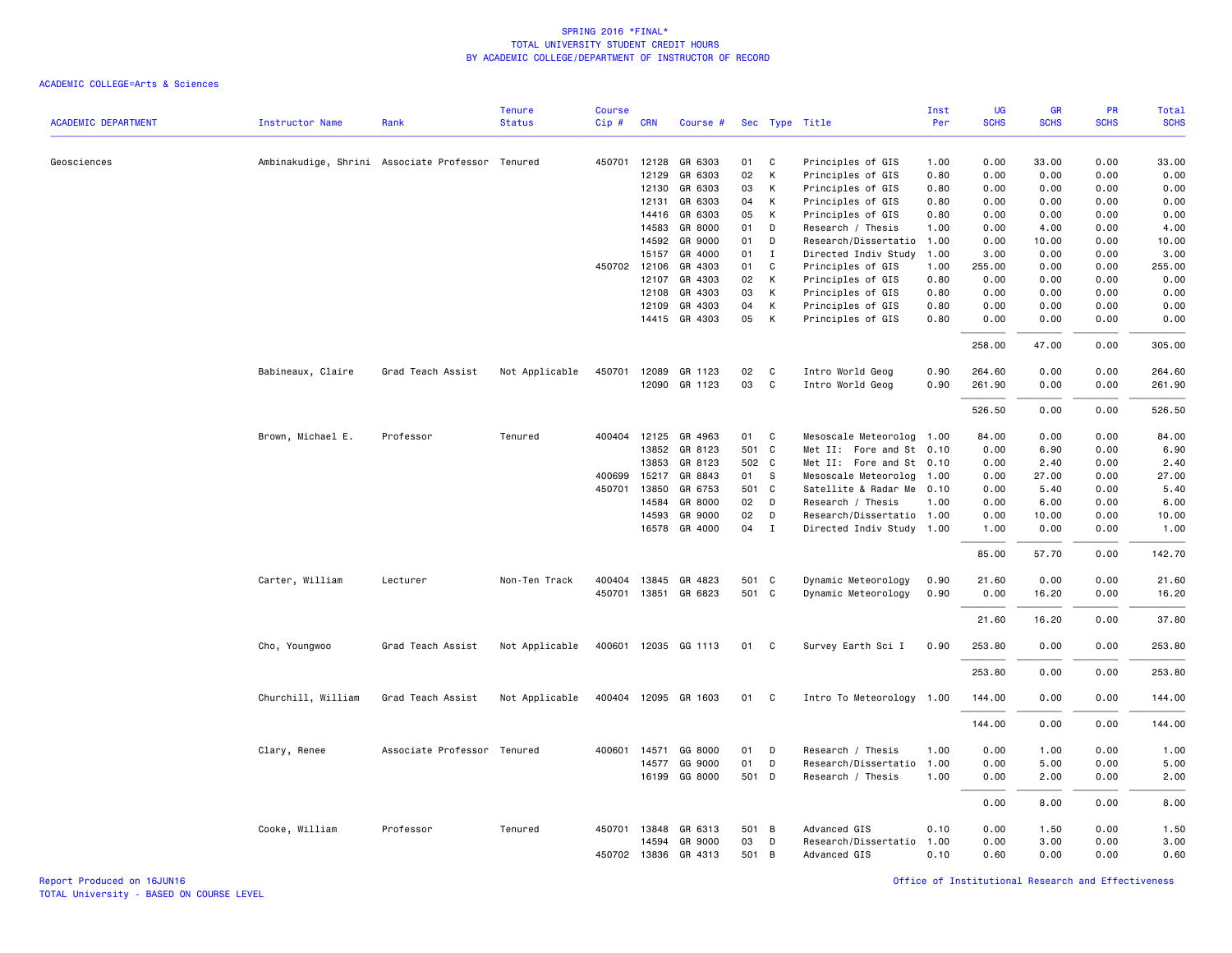#### ACADEMIC COLLEGE=Arts & Sciences

|                            |                        |                                                  | <b>Tenure</b>  | <b>Course</b> |              |                      |       |              |                           | Inst | UG          | <b>GR</b>   | PR          | Total       |
|----------------------------|------------------------|--------------------------------------------------|----------------|---------------|--------------|----------------------|-------|--------------|---------------------------|------|-------------|-------------|-------------|-------------|
| <b>ACADEMIC DEPARTMENT</b> | <b>Instructor Name</b> | Rank                                             | <b>Status</b>  | Cip#          | <b>CRN</b>   | Course #             |       |              | Sec Type Title            | Per  | <b>SCHS</b> | <b>SCHS</b> | <b>SCHS</b> | <b>SCHS</b> |
|                            |                        |                                                  |                |               |              |                      |       |              |                           |      |             |             |             |             |
| Geosciences                |                        | Ambinakudige, Shrini Associate Professor Tenured |                |               | 450701 12128 | GR 6303              | 01    | C            | Principles of GIS         | 1.00 | 0.00        | 33.00       | 0.00        | 33.00       |
|                            |                        |                                                  |                |               | 12129        | GR 6303              | 02    | K            | Principles of GIS         | 0.80 | 0.00        | 0.00        | 0.00        | 0.00        |
|                            |                        |                                                  |                |               | 12130        | GR 6303              | 03    | K            | Principles of GIS         | 0.80 | 0.00        | 0.00        | 0.00        | 0.00        |
|                            |                        |                                                  |                |               | 12131        | GR 6303              | 04    | K            | Principles of GIS         | 0.80 | 0.00        | 0.00        | 0.00        | 0.00        |
|                            |                        |                                                  |                |               | 14416        | GR 6303              | 05    | К            | Principles of GIS         | 0.80 | 0.00        | 0.00        | 0.00        | 0.00        |
|                            |                        |                                                  |                |               | 14583        | GR 8000              | 01    | D            | Research / Thesis         | 1.00 | 0.00        | 4.00        | 0.00        | 4.00        |
|                            |                        |                                                  |                |               | 14592        | GR 9000              | 01    | D            | Research/Dissertatio      | 1.00 | 0.00        | 10.00       | 0.00        | 10.00       |
|                            |                        |                                                  |                |               | 15157        | GR 4000              | 01    | I            | Directed Indiv Study      | 1.00 | 3.00        | 0.00        | 0.00        | 3.00        |
|                            |                        |                                                  |                |               | 450702 12106 | GR 4303              | 01    | C            | Principles of GIS         | 1.00 | 255.00      | 0.00        | 0.00        | 255.00      |
|                            |                        |                                                  |                |               | 12107        | GR 4303              | 02    | $\mathsf{K}$ | Principles of GIS         | 0.80 | 0.00        | 0.00        | 0.00        | 0.00        |
|                            |                        |                                                  |                |               | 12108        | GR 4303              | 03    | K            | Principles of GIS         | 0.80 | 0.00        | 0.00        | 0.00        | 0.00        |
|                            |                        |                                                  |                |               | 12109        | GR 4303              | 04    | К            | Principles of GIS         | 0.80 | 0.00        | 0.00        | 0.00        | 0.00        |
|                            |                        |                                                  |                |               |              | 14415 GR 4303        | 05    | K            | Principles of GIS         | 0.80 | 0.00        | 0.00        | 0.00        | 0.00        |
|                            |                        |                                                  |                |               |              |                      |       |              |                           |      | 258.00      | 47.00       | 0.00        | 305.00      |
|                            | Babineaux, Claire      | Grad Teach Assist                                | Not Applicable | 450701        | 12089        | GR 1123              | 02    | C            | Intro World Geog          | 0.90 | 264.60      | 0.00        | 0.00        | 264.60      |
|                            |                        |                                                  |                |               |              | 12090 GR 1123        | 03    | C            | Intro World Geog          | 0.90 | 261.90      | 0.00        | 0.00        | 261.90      |
|                            |                        |                                                  |                |               |              |                      |       |              |                           |      |             |             |             |             |
|                            |                        |                                                  |                |               |              |                      |       |              |                           |      | 526.50      | 0.00        | 0.00        | 526.50      |
|                            | Brown, Michael E.      | Professor                                        | Tenured        |               | 400404 12125 | GR 4963              | 01 C  |              | Mesoscale Meteorolog 1.00 |      | 84.00       | 0.00        | 0.00        | 84.00       |
|                            |                        |                                                  |                |               | 13852        | GR 8123              | 501 C |              | Met II: Fore and St 0.10  |      | 0.00        | 6.90        | 0.00        | 6.90        |
|                            |                        |                                                  |                |               | 13853        | GR 8123              | 502 C |              | Met II: Fore and St 0.10  |      | 0.00        | 2.40        | 0.00        | 2.40        |
|                            |                        |                                                  |                | 400699        | 15217        | GR 8843              | 01 S  |              | Mesoscale Meteorolog      | 1.00 | 0.00        | 27.00       | 0.00        | 27.00       |
|                            |                        |                                                  |                | 450701        | 13850        | GR 6753              | 501 C |              | Satellite & Radar Me 0.10 |      | 0.00        | 5.40        | 0.00        | 5.40        |
|                            |                        |                                                  |                |               | 14584        | GR 8000              | 02 D  |              | Research / Thesis         | 1.00 | 0.00        | 6.00        | 0.00        | 6.00        |
|                            |                        |                                                  |                |               | 14593        | GR 9000              | 02    | $\mathsf{D}$ | Research/Dissertatio 1.00 |      | 0.00        | 10.00       | 0.00        | 10.00       |
|                            |                        |                                                  |                |               | 16578        | GR 4000              | 04 I  |              | Directed Indiv Study 1.00 |      | 1.00        | 0.00        | 0.00        | 1.00        |
|                            |                        |                                                  |                |               |              |                      |       |              |                           |      | 85.00       | 57.70       | 0.00        | 142.70      |
|                            | Carter, William        | Lecturer                                         | Non-Ten Track  |               | 400404 13845 | GR 4823              | 501 C |              | Dynamic Meteorology       | 0.90 | 21.60       | 0.00        | 0.00        | 21.60       |
|                            |                        |                                                  |                |               |              | 450701 13851 GR 6823 | 501 C |              | Dynamic Meteorology       | 0.90 | 0.00        | 16.20       | 0.00        | 16.20       |
|                            |                        |                                                  |                |               |              |                      |       |              |                           |      |             |             |             |             |
|                            |                        |                                                  |                |               |              |                      |       |              |                           |      | 21.60       | 16.20       | 0.00        | 37.80       |
|                            | Cho, Youngwoo          | Grad Teach Assist                                | Not Applicable |               |              | 400601 12035 GG 1113 | 01    | $\mathbf{C}$ | Survey Earth Sci I        | 0.90 | 253.80      | 0.00        | 0.00        | 253.80      |
|                            |                        |                                                  |                |               |              |                      |       |              |                           |      | 253.80      | 0.00        | 0.00        | 253.80      |
|                            | Churchill, William     | Grad Teach Assist                                | Not Applicable |               |              | 400404 12095 GR 1603 | 01    | $\mathbf{C}$ | Intro To Meteorology 1.00 |      | 144.00      | 0.00        | 0.00        | 144.00      |
|                            |                        |                                                  |                |               |              |                      |       |              |                           |      | 144.00      | 0.00        | 0.00        | 144.00      |
|                            | Clary, Renee           | Associate Professor Tenured                      |                |               | 400601 14571 | GG 8000              | 01    | D            | Research / Thesis         | 1.00 | 0.00        | 1.00        | 0.00        | 1.00        |
|                            |                        |                                                  |                |               | 14577        | GG 9000              | 01    | D            | Research/Dissertatio      | 1.00 | 0.00        | 5.00        | 0.00        | 5.00        |
|                            |                        |                                                  |                |               |              | 16199 GG 8000        | 501 D |              | Research / Thesis         | 1.00 | 0.00        | 2.00        | 0.00        | 2.00        |
|                            |                        |                                                  |                |               |              |                      |       |              |                           |      |             |             |             |             |
|                            |                        |                                                  |                |               |              |                      |       |              |                           |      | 0.00        | 8.00        | 0.00        | 8.00        |
|                            | Cooke, William         | Professor                                        | Tenured        |               | 450701 13848 | GR 6313              | 501 B |              | Advanced GIS              | 0.10 | 0.00        | 1.50        | 0.00        | 1.50        |
|                            |                        |                                                  |                |               | 14594        | GR 9000              | 03    | D            | Research/Dissertatio      | 1.00 | 0.00        | 3.00        | 0.00        | 3.00        |
|                            |                        |                                                  |                |               | 450702 13836 | GR 4313              | 501 B |              | Advanced GIS              | 0.10 | 0.60        | 0.00        | 0.00        | 0.60        |

Report Produced on 16JUN16 Office of Institutional Research and Effectiveness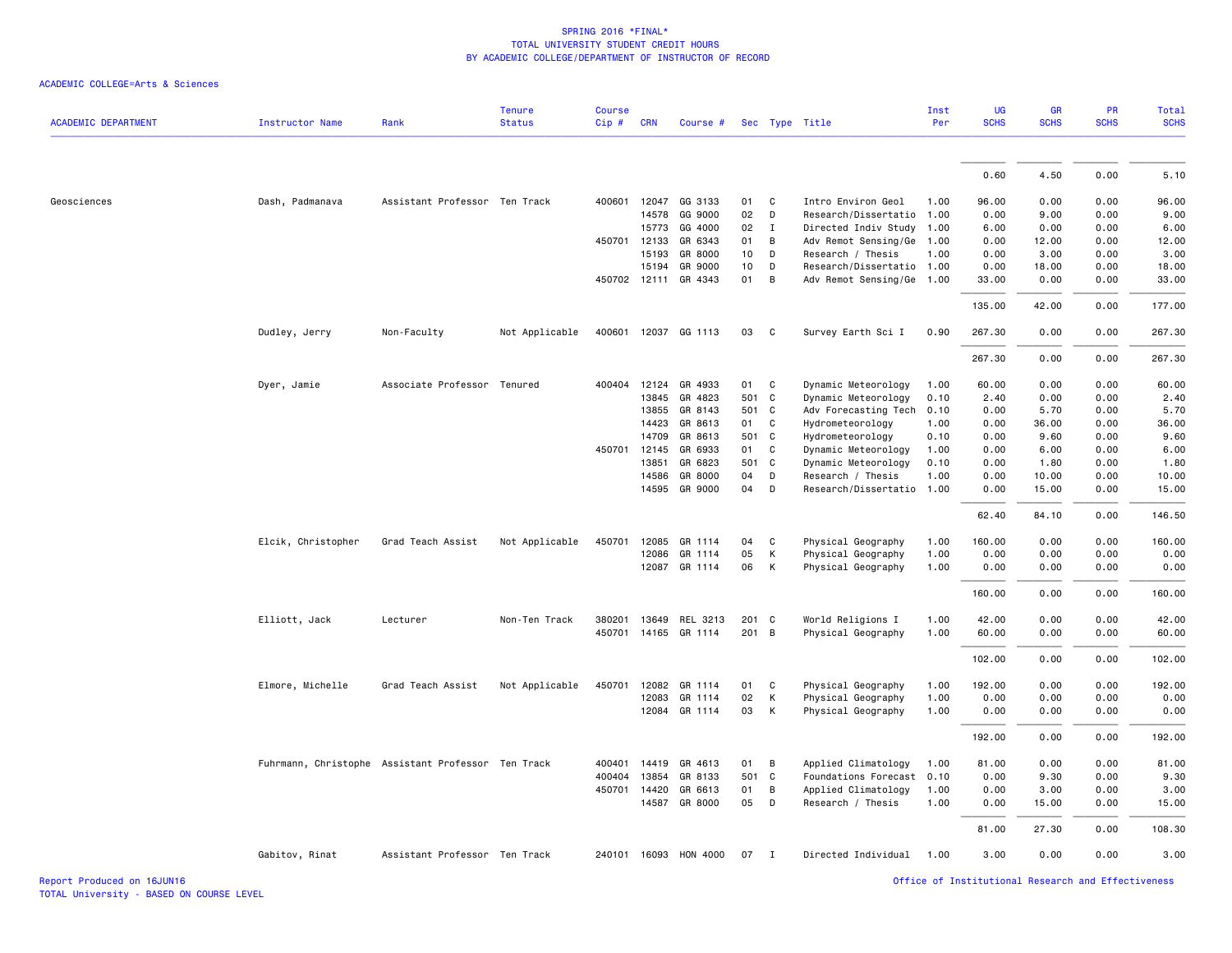|                            |                        |                                                    | <b>Tenure</b>  | <b>Course</b> |              |                       |       |                |                           | Inst | <b>UG</b>   | <b>GR</b>   | PR          | Total       |
|----------------------------|------------------------|----------------------------------------------------|----------------|---------------|--------------|-----------------------|-------|----------------|---------------------------|------|-------------|-------------|-------------|-------------|
| <b>ACADEMIC DEPARTMENT</b> | <b>Instructor Name</b> | Rank                                               | <b>Status</b>  | Cip#          | <b>CRN</b>   | Course #              |       |                | Sec Type Title            | Per  | <b>SCHS</b> | <b>SCHS</b> | <b>SCHS</b> | <b>SCHS</b> |
|                            |                        |                                                    |                |               |              |                       |       |                |                           |      |             |             |             |             |
|                            |                        |                                                    |                |               |              |                       |       |                |                           |      | 0.60        | 4.50        | 0.00        | 5.10        |
| Geosciences                | Dash, Padmanava        | Assistant Professor Ten Track                      |                |               |              | 400601 12047 GG 3133  | 01    | $\mathbf{C}$   | Intro Environ Geol        | 1.00 | 96.00       | 0.00        | 0.00        | 96.00       |
|                            |                        |                                                    |                |               | 14578        | GG 9000               | 02    | D              | Research/Dissertatio      | 1.00 | 0.00        | 9.00        | 0.00        | 9.00        |
|                            |                        |                                                    |                |               | 15773        | GG 4000               | 02    | $\mathbf I$    | Directed Indiv Study      | 1.00 | 6.00        | 0.00        | 0.00        | 6.00        |
|                            |                        |                                                    |                |               | 450701 12133 | GR 6343               | 01    | B              | Adv Remot Sensing/Ge      | 1.00 | 0.00        | 12.00       | 0.00        | 12.00       |
|                            |                        |                                                    |                |               | 15193        | GR 8000               | 10    | D              | Research / Thesis         | 1.00 | 0.00        | 3.00        | 0.00        | 3.00        |
|                            |                        |                                                    |                |               | 15194        | GR 9000               | 10    | D              | Research/Dissertatio 1.00 |      | 0.00        | 18.00       | 0.00        | 18.00       |
|                            |                        |                                                    |                |               |              | 450702 12111 GR 4343  | 01    | B              | Adv Remot Sensing/Ge 1.00 |      | 33.00       | 0.00        | 0.00        | 33.00       |
|                            |                        |                                                    |                |               |              |                       |       |                |                           |      | 135.00      | 42.00       | 0.00        | 177.00      |
|                            | Dudley, Jerry          | Non-Faculty                                        | Not Applicable |               |              | 400601 12037 GG 1113  | 03    | C.             | Survey Earth Sci I        | 0.90 | 267.30      | 0.00        | 0.00        | 267.30      |
|                            |                        |                                                    |                |               |              |                       |       |                |                           |      |             |             |             |             |
|                            |                        |                                                    |                |               |              |                       |       |                |                           |      | 267.30      | 0.00        | 0.00        | 267.30      |
|                            | Dyer, Jamie            | Associate Professor Tenured                        |                |               |              | 400404 12124 GR 4933  | 01 C  |                | Dynamic Meteorology       | 1.00 | 60.00       | 0.00        | 0.00        | 60.00       |
|                            |                        |                                                    |                |               | 13845        | GR 4823               | 501 C |                | Dynamic Meteorology       | 0.10 | 2.40        | 0.00        | 0.00        | 2.40        |
|                            |                        |                                                    |                |               | 13855        | GR 8143               | 501 C |                | Adv Forecasting Tech      | 0.10 | 0.00        | 5.70        | 0.00        | 5.70        |
|                            |                        |                                                    |                |               | 14423        | GR 8613               | 01    | C              | Hydrometeorology          | 1.00 | 0.00        | 36.00       | 0.00        | 36.00       |
|                            |                        |                                                    |                |               | 14709        | GR 8613               | 501 C |                | Hydrometeorology          | 0.10 | 0.00        | 9.60        | 0.00        | 9.60        |
|                            |                        |                                                    |                | 450701        | 12145        | GR 6933               | 01    | C              | Dynamic Meteorology       | 1.00 | 0.00        | 6.00        | 0.00        | 6.00        |
|                            |                        |                                                    |                |               | 13851        | GR 6823               | 501 C |                | Dynamic Meteorology       | 0.10 | 0.00        | 1.80        | 0.00        | 1.80        |
|                            |                        |                                                    |                |               | 14586        | GR 8000               | 04    | D              | Research / Thesis         | 1.00 | 0.00        | 10.00       | 0.00        | 10.00       |
|                            |                        |                                                    |                |               | 14595        | GR 9000               | 04    | D              | Research/Dissertatio      | 1.00 | 0.00        | 15.00       | 0.00        | 15.00       |
|                            |                        |                                                    |                |               |              |                       |       |                |                           |      | 62.40       | 84.10       | 0.00        | 146.50      |
|                            | Elcik, Christopher     | Grad Teach Assist                                  | Not Applicable | 450701        | 12085        | GR 1114               | 04    | C              | Physical Geography        | 1.00 | 160.00      | 0.00        | 0.00        | 160.00      |
|                            |                        |                                                    |                |               | 12086        | GR 1114               | 05    | K              | Physical Geography        | 1.00 | 0.00        | 0.00        | 0.00        | 0.00        |
|                            |                        |                                                    |                |               |              | 12087 GR 1114         | 06    | K              | Physical Geography        | 1.00 | 0.00        | 0.00        | 0.00        | 0.00        |
|                            |                        |                                                    |                |               |              |                       |       |                |                           |      |             |             |             |             |
|                            |                        |                                                    |                |               |              |                       |       |                |                           |      | 160.00      | 0.00        | 0.00        | 160.00      |
|                            | Elliott, Jack          | Lecturer                                           | Non-Ten Track  | 380201        |              | 13649 REL 3213        | 201 C |                | World Religions I         | 1.00 | 42.00       | 0.00        | 0.00        | 42.00       |
|                            |                        |                                                    |                | 450701        |              | 14165 GR 1114         | 201 B |                | Physical Geography        | 1.00 | 60.00       | 0.00        | 0.00        | 60.00       |
|                            |                        |                                                    |                |               |              |                       |       |                |                           |      | 102.00      | 0.00        | 0.00        | 102.00      |
|                            | Elmore, Michelle       | Grad Teach Assist                                  | Not Applicable | 450701        | 12082        | GR 1114               | 01    | C              | Physical Geography        | 1.00 | 192.00      | 0.00        | 0.00        | 192.00      |
|                            |                        |                                                    |                |               | 12083        | GR 1114               | 02    | K              | Physical Geography        | 1.00 | 0.00        | 0.00        | 0.00        | 0.00        |
|                            |                        |                                                    |                |               |              | 12084 GR 1114         | 03    | K              | Physical Geography        | 1.00 | 0.00        | 0.00        | 0.00        | 0.00        |
|                            |                        |                                                    |                |               |              |                       |       |                |                           |      | 192.00      | 0.00        | 0.00        | 192.00      |
|                            |                        | Fuhrmann, Christophe Assistant Professor Ten Track |                | 400401        | 14419        | GR 4613               | 01    | B              | Applied Climatology       | 1.00 | 81.00       | 0.00        | 0.00        | 81.00       |
|                            |                        |                                                    |                | 400404        | 13854        | GR 8133               | 501 C |                | Foundations Forecast      | 0.10 | 0.00        | 9.30        | 0.00        | 9.30        |
|                            |                        |                                                    |                |               | 450701 14420 | GR 6613               | 01    | $\overline{B}$ | Applied Climatology       | 1.00 | 0.00        | 3.00        | 0.00        | 3.00        |
|                            |                        |                                                    |                |               |              | 14587 GR 8000         | 05    | D              | Research / Thesis         | 1.00 | 0.00        | 15.00       | 0.00        | 15.00       |
|                            |                        |                                                    |                |               |              |                       |       |                |                           |      | 81.00       | 27.30       | 0.00        | 108.30      |
|                            | Gabitov, Rinat         | Assistant Professor Ten Track                      |                |               |              | 240101 16093 HON 4000 | 07    | $\mathbf{I}$   | Directed Individual       | 1.00 | 3.00        | 0.00        | 0.00        | 3.00        |
|                            |                        |                                                    |                |               |              |                       |       |                |                           |      |             |             |             |             |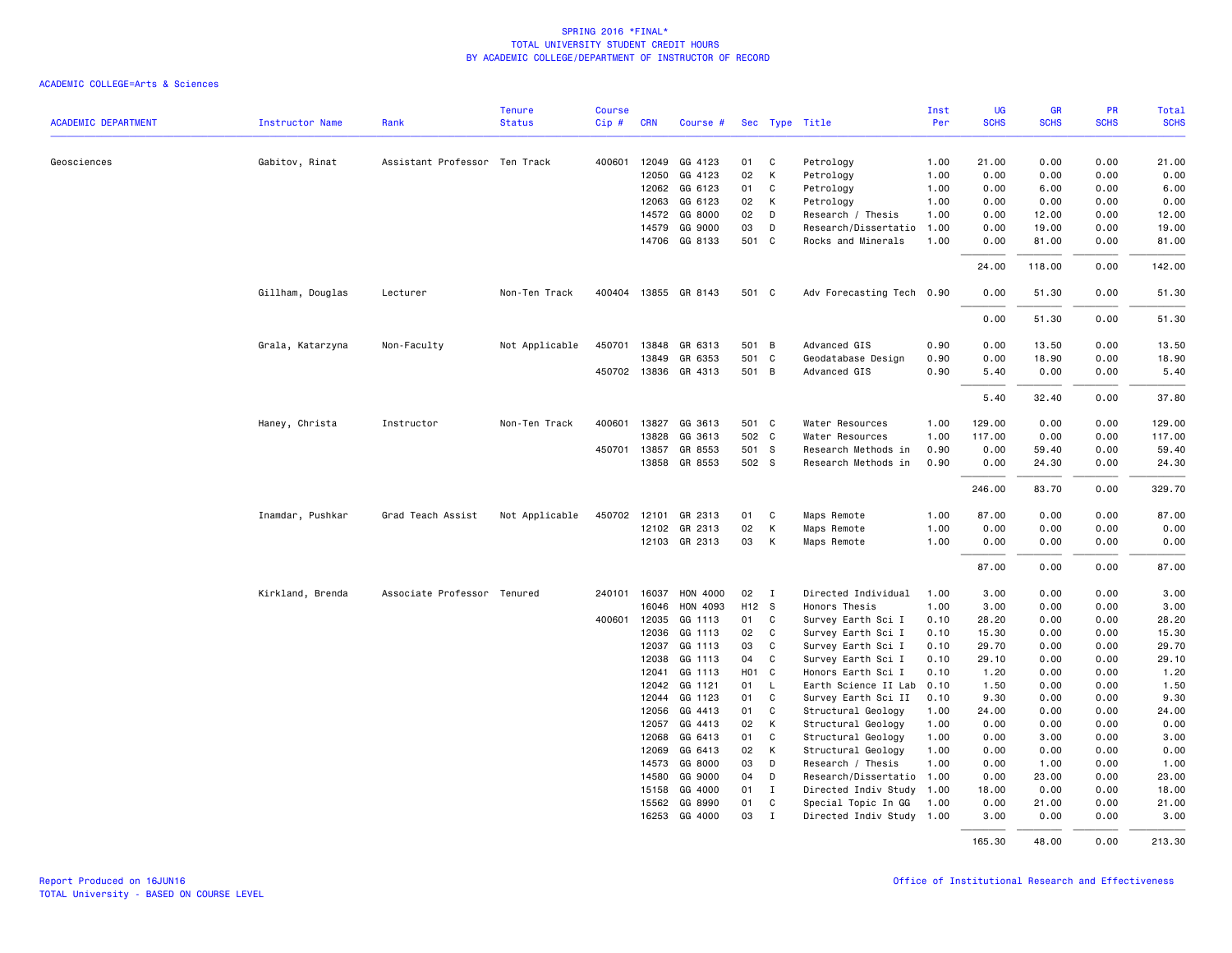|                            |                        |                               | <b>Tenure</b>  | <b>Course</b> |                |                      |          |              |                                           | Inst         | <b>UG</b>    | GR            | PR           | Total         |
|----------------------------|------------------------|-------------------------------|----------------|---------------|----------------|----------------------|----------|--------------|-------------------------------------------|--------------|--------------|---------------|--------------|---------------|
| <b>ACADEMIC DEPARTMENT</b> | <b>Instructor Name</b> | Rank                          | <b>Status</b>  | Cip#          | <b>CRN</b>     | Course #             |          |              | Sec Type Title                            | Per          | <b>SCHS</b>  | <b>SCHS</b>   | <b>SCHS</b>  | <b>SCHS</b>   |
| Geosciences                | Gabitov, Rinat         | Assistant Professor Ten Track |                | 400601        | 12049          | GG 4123              | 01       | C            | Petrology                                 | 1.00         | 21.00        | 0.00          | 0.00         | 21.00         |
|                            |                        |                               |                |               | 12050          | GG 4123              | 02       | K            | Petrology                                 | 1.00         | 0.00         | 0.00          | 0.00         | 0.00          |
|                            |                        |                               |                |               | 12062          | GG 6123              | 01       | C            | Petrology                                 | 1.00         | 0.00         | 6.00          | 0.00         | 6.00          |
|                            |                        |                               |                |               | 12063          | GG 6123              | 02       | K            | Petrology                                 | 1.00         | 0.00         | 0.00          | 0.00         | 0.00          |
|                            |                        |                               |                |               | 14572          | GG 8000              | 02       | D            | Research / Thesis                         | 1.00         | 0.00         | 12.00         | 0.00         | 12.00         |
|                            |                        |                               |                |               | 14579          | GG 9000              | 03       | D            | Research/Dissertatio                      | 1.00         | 0.00         | 19.00         | 0.00         | 19.00         |
|                            |                        |                               |                |               |                | 14706 GG 8133        | 501 C    |              | Rocks and Minerals                        | 1.00         | 0.00         | 81.00         | 0.00         | 81.00         |
|                            |                        |                               |                |               |                |                      |          |              |                                           |              | 24.00        | 118.00        | 0.00         | 142.00        |
|                            | Gillham, Douglas       | Lecturer                      | Non-Ten Track  |               |                | 400404 13855 GR 8143 | 501 C    |              | Adv Forecasting Tech 0.90                 |              | 0.00         | 51.30         | 0.00         | 51.30         |
|                            |                        |                               |                |               |                |                      |          |              |                                           |              | 0.00         | 51.30         | 0.00         | 51.30         |
|                            | Grala, Katarzyna       | Non-Faculty                   | Not Applicable | 450701        | 13848          | GR 6313              | 501 B    |              | Advanced GIS                              | 0.90         | 0.00         | 13.50         | 0.00         | 13.50         |
|                            |                        |                               |                |               | 13849          | GR 6353              | 501 C    |              | Geodatabase Design                        | 0.90         | 0.00         | 18.90         | 0.00         | 18.90         |
|                            |                        |                               |                |               |                | 450702 13836 GR 4313 | 501 B    |              | Advanced GIS                              | 0.90         | 5.40         | 0.00          | 0.00         | 5.40          |
|                            |                        |                               |                |               |                |                      |          |              |                                           |              | 5.40         | 32.40         | 0.00         | 37.80         |
|                            | Haney, Christa         | Instructor                    | Non-Ten Track  | 400601        | 13827          | GG 3613              | 501 C    |              | Water Resources                           | 1.00         | 129.00       | 0.00          | 0.00         | 129.00        |
|                            |                        |                               |                |               | 13828          | GG 3613              | 502 C    |              | Water Resources                           | 1.00         | 117.00       | 0.00          | 0.00         | 117.00        |
|                            |                        |                               |                | 450701        | 13857          | GR 8553              | 501 S    |              | Research Methods in                       | 0.90         | 0.00         | 59.40         | 0.00         | 59.40         |
|                            |                        |                               |                |               | 13858          | GR 8553              | 502 S    |              | Research Methods in                       | 0.90         | 0.00         | 24.30         | 0.00         | 24.30         |
|                            |                        |                               |                |               |                |                      |          |              |                                           |              | 246.00       | 83.70         | 0.00         | 329.70        |
|                            | Inamdar, Pushkar       | Grad Teach Assist             | Not Applicable |               |                | 450702 12101 GR 2313 | 01       | $\mathbf{C}$ | Maps Remote                               | 1.00         | 87.00        | 0.00          | 0.00         | 87.00         |
|                            |                        |                               |                |               | 12102          | GR 2313              | 02       | K            | Maps Remote                               | 1.00         | 0.00         | 0.00          | 0.00         | 0.00          |
|                            |                        |                               |                |               |                | 12103 GR 2313        | 03       | K            | Maps Remote                               | 1.00         | 0.00         | 0.00          | 0.00         | 0.00          |
|                            |                        |                               |                |               |                |                      |          |              |                                           |              | 87.00        | 0.00          | 0.00         | 87.00         |
|                            | Kirkland, Brenda       | Associate Professor Tenured   |                |               | 240101 16037   | HON 4000             | 02 I     |              | Directed Individual                       | 1.00         | 3.00         | 0.00          | 0.00         | 3.00          |
|                            |                        |                               |                |               | 16046          | HON 4093             | H12 S    |              | Honors Thesis                             | 1.00         | 3.00         | 0.00          | 0.00         | 3.00          |
|                            |                        |                               |                | 400601        | 12035          | GG 1113              | 01       | C            | Survey Earth Sci I                        | 0.10         | 28.20        | 0.00          | 0.00         | 28.20         |
|                            |                        |                               |                |               | 12036          | GG 1113              | 02       | C            | Survey Earth Sci I                        | 0.10         | 15.30        | 0.00          | 0.00         | 15.30         |
|                            |                        |                               |                |               | 12037          | GG 1113              | 03       | $\mathbf{C}$ | Survey Earth Sci I                        | 0.10         | 29.70        | 0.00          | 0.00         | 29.70         |
|                            |                        |                               |                |               | 12038          | GG 1113              | 04       | C            | Survey Earth Sci I                        | 0.10         | 29.10        | 0.00          | 0.00         | 29.10         |
|                            |                        |                               |                |               | 12041          | GG 1113              | HO1 C    |              | Honors Earth Sci I                        | 0.10         | 1.20         | 0.00          | 0.00         | 1.20          |
|                            |                        |                               |                |               | 12042          | GG 1121              | 01       | - L          | Earth Science II Lab                      | 0.10         | 1.50         | 0.00          | 0.00         | 1.50          |
|                            |                        |                               |                |               | 12044          | GG 1123              | 01       | C            | Survey Earth Sci II                       | 0.10         | 9.30         | 0.00          | 0.00         | 9.30          |
|                            |                        |                               |                |               | 12056          | GG 4413              | 01       | C            | Structural Geology                        | 1.00         | 24.00        | 0.00          | 0.00         | 24.00         |
|                            |                        |                               |                |               | 12057          | GG 4413              | 02       | K            | Structural Geology                        | 1.00         | 0.00         | 0.00          | 0.00         | 0.00          |
|                            |                        |                               |                |               | 12068          | GG 6413              | 01       | C            | Structural Geology                        | 1.00         | 0.00         | 3.00          | 0.00         | 3.00          |
|                            |                        |                               |                |               | 12069<br>14573 | GG 6413<br>GG 8000   | 02<br>03 | K<br>D       | Structural Geology                        | 1.00         | 0.00         | 0.00          | 0.00<br>0.00 | 0.00          |
|                            |                        |                               |                |               | 14580          | GG 9000              | 04       | D            | Research / Thesis<br>Research/Dissertatio | 1.00<br>1.00 | 0.00<br>0.00 | 1.00<br>23.00 | 0.00         | 1.00<br>23.00 |
|                            |                        |                               |                |               | 15158          | GG 4000              | 01       | I            | Directed Indiv Study                      | 1.00         | 18.00        | 0.00          | 0.00         | 18.00         |
|                            |                        |                               |                |               | 15562          | GG 8990              | 01       | $\mathtt{C}$ | Special Topic In GG                       | 1.00         | 0.00         | 21.00         | 0.00         | 21.00         |
|                            |                        |                               |                |               | 16253          | GG 4000              | 03       | $\mathbf{I}$ | Directed Indiv Study 1.00                 |              | 3.00         | 0.00          | 0.00         | 3.00          |
|                            |                        |                               |                |               |                |                      |          |              |                                           |              | 165.30       | 48.00         | 0.00         | 213.30        |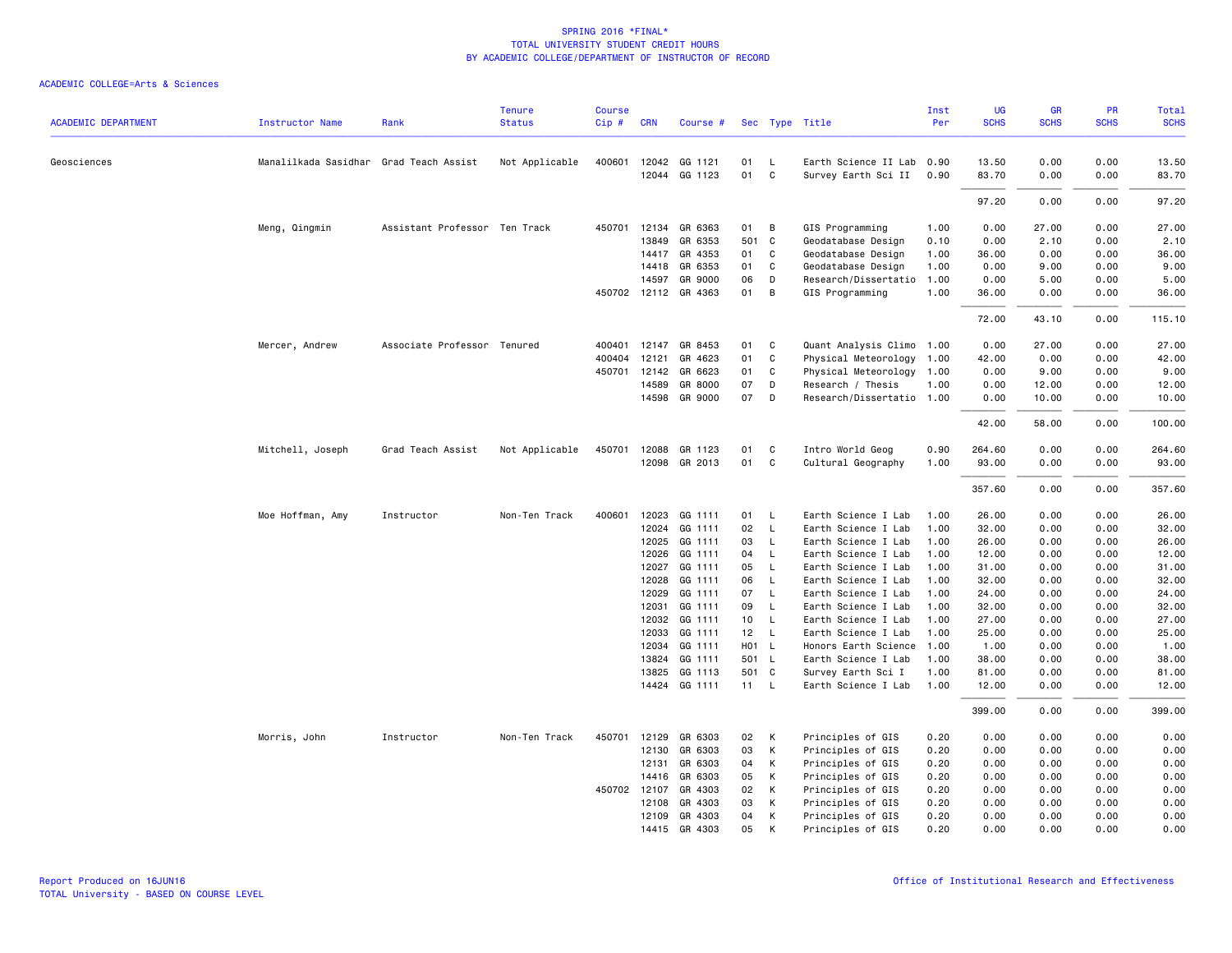| <b>ACADEMIC DEPARTMENT</b> | <b>Instructor Name</b>                 | Rank                          | <b>Tenure</b><br><b>Status</b> | <b>Course</b><br>Cip# | <b>CRN</b>   | Course #             |       |              | Sec Type Title            | Inst<br>Per | <b>UG</b><br><b>SCHS</b> | GR<br><b>SCHS</b> | PR<br><b>SCHS</b> | <b>Total</b><br><b>SCHS</b> |
|----------------------------|----------------------------------------|-------------------------------|--------------------------------|-----------------------|--------------|----------------------|-------|--------------|---------------------------|-------------|--------------------------|-------------------|-------------------|-----------------------------|
|                            |                                        |                               |                                |                       |              |                      |       |              |                           |             |                          |                   |                   |                             |
| Geosciences                | Manalilkada Sasidhar Grad Teach Assist |                               | Not Applicable                 | 400601                | 12042        | GG 1121              | 01    | L            | Earth Science II Lab      | 0.90        | 13.50                    | 0.00              | 0.00              | 13.50                       |
|                            |                                        |                               |                                |                       |              | 12044 GG 1123        | 01    | C            | Survey Earth Sci II       | 0.90        | 83.70                    | 0.00              | 0.00              | 83.70                       |
|                            |                                        |                               |                                |                       |              |                      |       |              |                           |             | 97.20                    | 0.00              | 0.00              | 97.20                       |
|                            | Meng, Qingmin                          | Assistant Professor Ten Track |                                | 450701                | 12134        | GR 6363              | 01    | B            | GIS Programming           | 1.00        | 0.00                     | 27.00             | 0.00              | 27.00                       |
|                            |                                        |                               |                                |                       | 13849        | GR 6353              | 501 C |              | Geodatabase Design        | 0.10        | 0.00                     | 2.10              | 0.00              | 2.10                        |
|                            |                                        |                               |                                |                       | 14417        | GR 4353              | 01    | C            | Geodatabase Design        | 1.00        | 36.00                    | 0.00              | 0.00              | 36.00                       |
|                            |                                        |                               |                                |                       | 14418        | GR 6353              | 01    | C            | Geodatabase Design        | 1.00        | 0.00                     | 9.00              | 0.00              | 9.00                        |
|                            |                                        |                               |                                |                       | 14597        | GR 9000              | 06    | D            | Research/Dissertatio      | 1.00        | 0.00                     | 5.00              | 0.00              | 5.00                        |
|                            |                                        |                               |                                |                       |              | 450702 12112 GR 4363 | 01    | B            | GIS Programming           | 1.00        | 36.00                    | 0.00              | 0.00              | 36.00                       |
|                            |                                        |                               |                                |                       |              |                      |       |              |                           |             | 72.00                    | 43.10             | 0.00              | 115.10                      |
|                            | Mercer, Andrew                         | Associate Professor Tenured   |                                | 400401                | 12147        | GR 8453              | 01    | C            | Quant Analysis Climo 1.00 |             | 0.00                     | 27.00             | 0.00              | 27.00                       |
|                            |                                        |                               |                                | 400404                | 12121        | GR 4623              | 01    | C            | Physical Meteorology      | 1.00        | 42.00                    | 0.00              | 0.00              | 42.00                       |
|                            |                                        |                               |                                | 450701                | 12142        | GR 6623              | 01    | C            | Physical Meteorology      | 1.00        | 0.00                     | 9.00              | 0.00              | 9.00                        |
|                            |                                        |                               |                                |                       | 14589        | GR 8000              | 07    | D            | Research / Thesis         | 1.00        | 0.00                     | 12.00             | 0.00              | 12.00                       |
|                            |                                        |                               |                                |                       |              | 14598 GR 9000        | 07    | D            | Research/Dissertatio 1.00 |             | 0.00                     | 10.00             | 0.00              | 10.00                       |
|                            |                                        |                               |                                |                       |              |                      |       |              |                           |             | 42.00                    | 58.00             | 0.00              | 100.00                      |
|                            | Mitchell, Joseph                       | Grad Teach Assist             | Not Applicable                 | 450701                | 12088        | GR 1123              | 01    | C            | Intro World Geog          | 0.90        | 264.60                   | 0.00              | 0.00              | 264.60                      |
|                            |                                        |                               |                                |                       | 12098        | GR 2013              | 01    | C            | Cultural Geography        | 1.00        | 93.00                    | 0.00              | 0.00              | 93.00                       |
|                            |                                        |                               |                                |                       |              |                      |       |              |                           |             | 357.60                   | 0.00              | 0.00              | 357.60                      |
|                            | Moe Hoffman, Amy                       | Instructor                    | Non-Ten Track                  | 400601                | 12023        | GG 1111              | 01    | <b>L</b>     | Earth Science I Lab       | 1.00        | 26.00                    | 0.00              | 0.00              | 26.00                       |
|                            |                                        |                               |                                |                       | 12024        | GG 1111              | 02    | $\mathsf{L}$ | Earth Science I Lab       | 1.00        | 32.00                    | 0.00              | 0.00              | 32.00                       |
|                            |                                        |                               |                                |                       | 12025        | GG 1111              | 03    | L            | Earth Science I Lab       | 1.00        | 26.00                    | 0.00              | 0.00              | 26.00                       |
|                            |                                        |                               |                                |                       | 12026        | GG 1111              | 04    | L            | Earth Science I Lab       | 1.00        | 12.00                    | 0.00              | 0.00              | 12.00                       |
|                            |                                        |                               |                                |                       | 12027        | GG 1111              | 05    | L            | Earth Science I Lab       | 1.00        | 31.00                    | 0.00              | 0.00              | 31.00                       |
|                            |                                        |                               |                                |                       | 12028        | GG 1111              | 06    | L            | Earth Science I Lab       | 1.00        | 32.00                    | 0.00              | 0.00              | 32.00                       |
|                            |                                        |                               |                                |                       | 12029        | GG 1111              | 07    | L            | Earth Science I Lab       | 1.00        | 24.00                    | 0.00              | 0.00              | 24.00                       |
|                            |                                        |                               |                                |                       | 12031        | GG 1111              | 09    | $\mathsf{L}$ | Earth Science I Lab       | 1.00        | 32.00                    | 0.00              | 0.00              | 32.00                       |
|                            |                                        |                               |                                |                       | 12032        | GG 1111              | 10    | $\mathsf{L}$ | Earth Science I Lab       | 1.00        | 27.00                    | 0.00              | 0.00              | 27.00                       |
|                            |                                        |                               |                                |                       | 12033        | GG 1111              | 12    | $\mathsf{L}$ | Earth Science I Lab       | 1.00        | 25.00                    | 0.00              | 0.00              | 25.00                       |
|                            |                                        |                               |                                |                       | 12034        | GG 1111              | H01 L |              | Honors Earth Science      | 1.00        | 1.00                     | 0.00              | 0.00              | 1.00                        |
|                            |                                        |                               |                                |                       | 13824        | GG 1111              | 501 L |              | Earth Science I Lab       | 1.00        | 38.00                    | 0.00              | 0.00              | 38.00                       |
|                            |                                        |                               |                                |                       | 13825        | GG 1113              | 501 C |              | Survey Earth Sci I        | 1.00        | 81.00                    | 0.00              | 0.00              | 81.00                       |
|                            |                                        |                               |                                |                       | 14424        | GG 1111              | 11    | $\mathsf{L}$ | Earth Science I Lab       | 1.00        | 12.00                    | 0.00              | 0.00              | 12.00                       |
|                            |                                        |                               |                                |                       |              |                      |       |              |                           |             | 399.00                   | 0.00              | 0.00              | 399.00                      |
|                            | Morris, John                           | Instructor                    | Non-Ten Track                  | 450701                | 12129        | GR 6303              | 02    | K            | Principles of GIS         | 0.20        | 0.00                     | 0.00              | 0.00              | 0.00                        |
|                            |                                        |                               |                                |                       | 12130        | GR 6303              | 03    | К            | Principles of GIS         | 0.20        | 0.00                     | 0.00              | 0.00              | 0.00                        |
|                            |                                        |                               |                                |                       | 12131        | GR 6303              | 04    | К            | Principles of GIS         | 0.20        | 0.00                     | 0.00              | 0.00              | 0.00                        |
|                            |                                        |                               |                                |                       | 14416        | GR 6303              | 05    | К            | Principles of GIS         | 0.20        | 0.00                     | 0.00              | 0.00              | 0.00                        |
|                            |                                        |                               |                                |                       | 450702 12107 | GR 4303              | 02    | К            | Principles of GIS         | 0.20        | 0.00                     | 0.00              | 0.00              | 0.00                        |
|                            |                                        |                               |                                |                       | 12108        | GR 4303              | 03    | К            | Principles of GIS         | 0.20        | 0.00                     | 0.00              | 0.00              | 0.00                        |
|                            |                                        |                               |                                |                       | 12109        | GR 4303              | 04    | К            | Principles of GIS         | 0.20        | 0.00                     | 0.00              | 0.00              | 0.00                        |
|                            |                                        |                               |                                |                       |              | 14415 GR 4303        | 05    | K            | Principles of GIS         | 0.20        | 0.00                     | 0.00              | 0.00              | 0.00                        |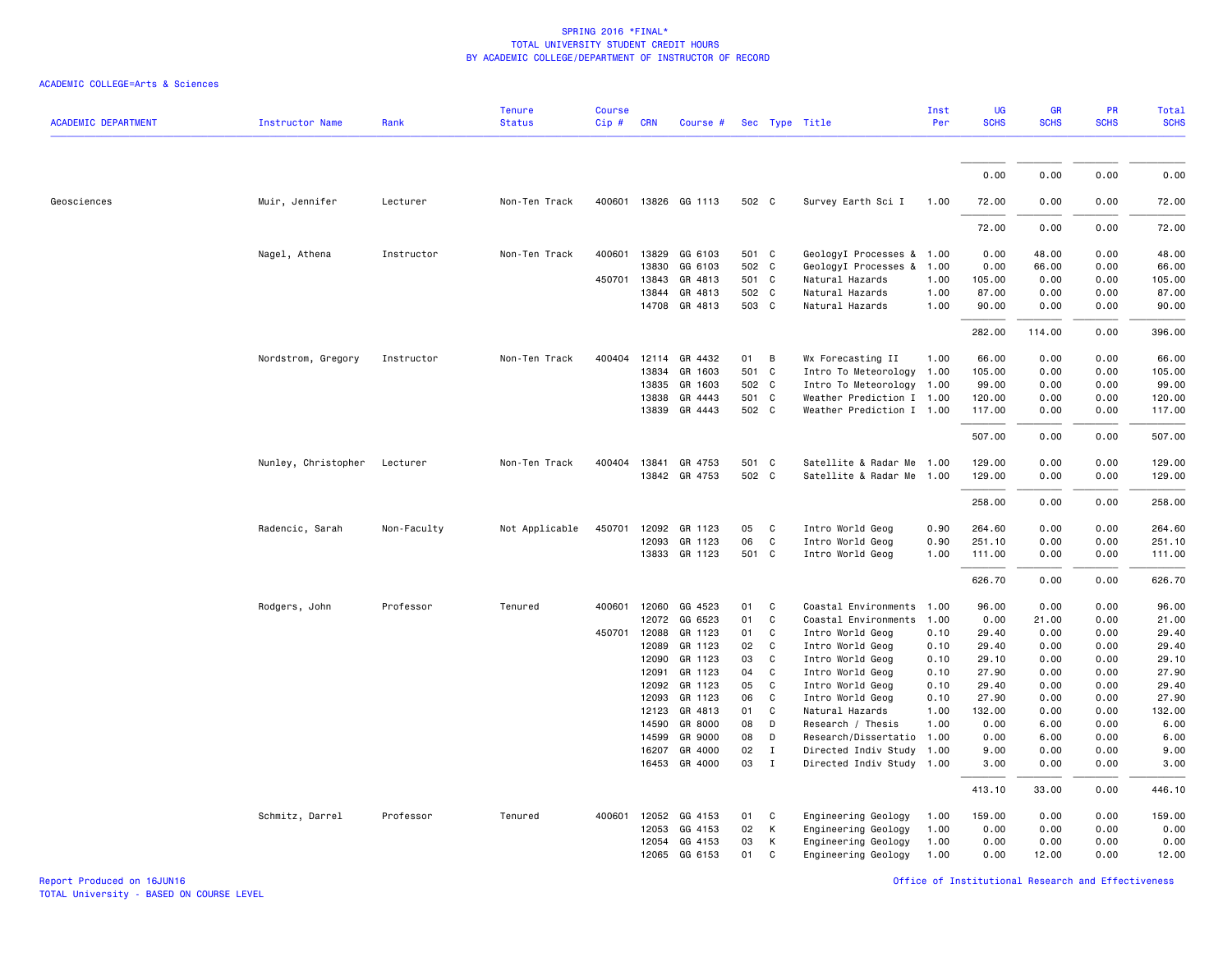| <b>ACADEMIC DEPARTMENT</b> | <b>Instructor Name</b> | Rank        | <b>Tenure</b><br><b>Status</b> | <b>Course</b><br>Cip# | <b>CRN</b> | Course #             |       |              | Sec Type Title            | Inst<br>Per | UG<br><b>SCHS</b> | GR<br><b>SCHS</b> | PR<br><b>SCHS</b> | Total<br><b>SCHS</b> |
|----------------------------|------------------------|-------------|--------------------------------|-----------------------|------------|----------------------|-------|--------------|---------------------------|-------------|-------------------|-------------------|-------------------|----------------------|
|                            |                        |             |                                |                       |            |                      |       |              |                           |             |                   |                   |                   |                      |
|                            |                        |             |                                |                       |            |                      |       |              |                           |             | 0.00              | 0.00              | 0.00              | 0.00                 |
| Geosciences                | Muir, Jennifer         | Lecturer    | Non-Ten Track                  |                       |            | 400601 13826 GG 1113 | 502 C |              | Survey Earth Sci I        | 1.00        | 72.00             | 0.00              | 0.00              | 72.00                |
|                            |                        |             |                                |                       |            |                      |       |              |                           |             | 72.00             | 0.00              | 0.00              | 72.00                |
|                            | Nagel, Athena          | Instructor  | Non-Ten Track                  | 400601                | 13829      | GG 6103              | 501 C |              | GeologyI Processes & 1.00 |             | 0.00              | 48.00             | 0.00              | 48.00                |
|                            |                        |             |                                |                       | 13830      | GG 6103              | 502 C |              | GeologyI Processes &      | 1.00        | 0.00              | 66.00             | 0.00              | 66.00                |
|                            |                        |             |                                | 450701                | 13843      | GR 4813              | 501 C |              | Natural Hazards           | 1.00        | 105.00            | 0.00              | 0.00              | 105.00               |
|                            |                        |             |                                |                       | 13844      | GR 4813              | 502 C |              | Natural Hazards           | 1.00        | 87.00             | 0.00              | 0.00              | 87.00                |
|                            |                        |             |                                |                       | 14708      | GR 4813              | 503 C |              | Natural Hazards           | 1.00        | 90.00             | 0.00              | 0.00              | 90.00                |
|                            |                        |             |                                |                       |            |                      |       |              |                           |             | 282.00            | 114.00            | 0.00              | 396.00               |
|                            | Nordstrom, Gregory     | Instructor  | Non-Ten Track                  | 400404                |            | 12114 GR 4432        | 01    | B            | Wx Forecasting II         | 1.00        | 66.00             | 0.00              | 0.00              | 66.00                |
|                            |                        |             |                                |                       | 13834      | GR 1603              | 501 C |              | Intro To Meteorology      | 1.00        | 105.00            | 0.00              | 0.00              | 105.00               |
|                            |                        |             |                                |                       | 13835      | GR 1603              | 502 C |              | Intro To Meteorology      | 1.00        | 99.00             | 0.00              | 0.00              | 99.00                |
|                            |                        |             |                                |                       | 13838      | GR 4443              | 501 C |              | Weather Prediction I 1.00 |             | 120.00            | 0.00              | 0.00              | 120.00               |
|                            |                        |             |                                |                       |            | 13839 GR 4443        | 502 C |              | Weather Prediction I 1.00 |             | 117.00            | 0.00              | 0.00              | 117.00               |
|                            |                        |             |                                |                       |            |                      |       |              |                           |             | 507.00            | 0.00              | 0.00              | 507.00               |
|                            | Nunley, Christopher    | Lecturer    | Non-Ten Track                  |                       |            | 400404 13841 GR 4753 | 501 C |              | Satellite & Radar Me 1.00 |             | 129.00            | 0.00              | 0.00              | 129.00               |
|                            |                        |             |                                |                       |            | 13842 GR 4753        | 502 C |              | Satellite & Radar Me      | 1.00        | 129.00            | 0.00              | 0.00              | 129.00               |
|                            |                        |             |                                |                       |            |                      |       |              |                           |             | 258.00            | 0.00              | 0.00              | 258.00               |
|                            |                        |             |                                |                       |            |                      |       |              |                           |             |                   |                   |                   |                      |
|                            | Radencic, Sarah        | Non-Faculty | Not Applicable                 | 450701                | 12092      | GR 1123              | 05    | $\mathbf{C}$ | Intro World Geog          | 0.90        | 264.60            | 0.00              | 0.00              | 264.60               |
|                            |                        |             |                                |                       | 12093      | GR 1123              | 06    | C            | Intro World Geog          | 0.90        | 251.10            | 0.00              | 0.00              | 251.10               |
|                            |                        |             |                                |                       |            | 13833 GR 1123        | 501 C |              | Intro World Geog          | 1.00        | 111.00            | 0.00              | 0.00              | 111.00               |
|                            |                        |             |                                |                       |            |                      |       |              |                           |             | 626.70            | 0.00              | 0.00              | 626.70               |
|                            | Rodgers, John          | Professor   | Tenured                        | 400601                | 12060      | GG 4523              | 01    | C            | Coastal Environments      | 1.00        | 96.00             | 0.00              | 0.00              | 96.00                |
|                            |                        |             |                                |                       | 12072      | GG 6523              | 01    | C            | Coastal Environments      | 1.00        | 0.00              | 21.00             | 0.00              | 21.00                |
|                            |                        |             |                                | 450701                | 12088      | GR 1123              | 01    | C            | Intro World Geog          | 0.10        | 29.40             | 0.00              | 0.00              | 29.40                |
|                            |                        |             |                                |                       | 12089      | GR 1123              | 02    | C            | Intro World Geog          | 0.10        | 29.40             | 0.00              | 0.00              | 29.40                |
|                            |                        |             |                                |                       | 12090      | GR 1123              | 03    | C            | Intro World Geog          | 0.10        | 29.10             | 0.00              | 0.00              | 29.10                |
|                            |                        |             |                                |                       | 12091      | GR 1123              | 04    | C            | Intro World Geog          | 0.10        | 27.90             | 0.00              | 0.00              | 27.90                |
|                            |                        |             |                                |                       | 12092      | GR 1123              | 05    | C            | Intro World Geog          | 0.10        | 29.40             | 0.00              | 0.00              | 29.40                |
|                            |                        |             |                                |                       | 12093      | GR 1123              | 06    | C            | Intro World Geog          | 0.10        | 27.90             | 0.00              | 0.00              | 27.90                |
|                            |                        |             |                                |                       | 12123      | GR 4813              | 01    | C            | Natural Hazards           | 1.00        | 132.00            | 0.00              | 0.00              | 132.00               |
|                            |                        |             |                                |                       | 14590      | GR 8000              | 08    | D            | Research / Thesis         | 1.00        | 0.00              | 6.00              | 0.00              | 6.00                 |
|                            |                        |             |                                |                       | 14599      | GR 9000              | 08    | D            | Research/Dissertatio      | 1.00        | 0.00              | 6.00              | 0.00              | 6.00                 |
|                            |                        |             |                                |                       | 16207      | GR 4000              | 02    | $\mathbf{I}$ | Directed Indiv Study      | 1.00        | 9.00              | 0.00              | 0.00              | 9.00                 |
|                            |                        |             |                                |                       | 16453      | GR 4000              | 03    | $\mathbf{I}$ | Directed Indiv Study 1.00 |             | 3.00              | 0.00              | 0.00              | 3.00                 |
|                            |                        |             |                                |                       |            |                      |       |              |                           |             | 413.10            | 33.00             | 0.00              | 446.10               |
|                            | Schmitz, Darrel        | Professor   | Tenured                        | 400601                | 12052      | GG 4153              | 01    | C            | Engineering Geology       | 1.00        | 159.00            | 0.00              | 0.00              | 159.00               |
|                            |                        |             |                                |                       | 12053      | GG 4153              | 02    | К            | Engineering Geology       | 1.00        | 0.00              | 0.00              | 0.00              | 0.00                 |
|                            |                        |             |                                |                       | 12054      | GG 4153              | 03    | К            | Engineering Geology       | 1.00        | 0.00              | 0.00              | 0.00              | 0.00                 |
|                            |                        |             |                                |                       | 12065      | GG 6153              | 01    | C            | Engineering Geology       | 1.00        | 0.00              | 12.00             | 0.00              | 12.00                |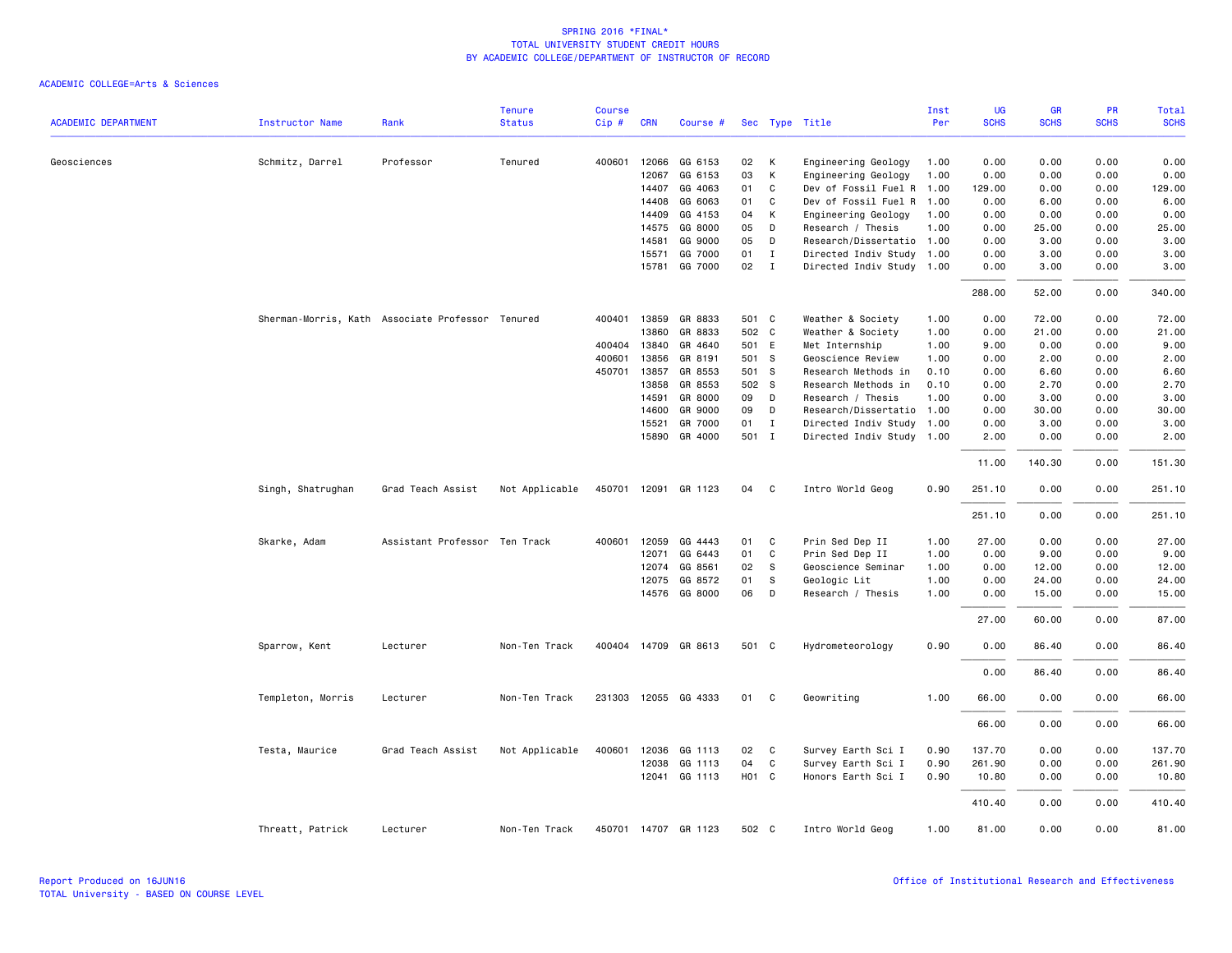|                            |                                                  |                               | <b>Tenure</b>  | <b>Course</b> |              |                      |       |              |                           | Inst | <b>UG</b>   | <b>GR</b>   | PR<br><b>SCHS</b> | Total       |
|----------------------------|--------------------------------------------------|-------------------------------|----------------|---------------|--------------|----------------------|-------|--------------|---------------------------|------|-------------|-------------|-------------------|-------------|
| <b>ACADEMIC DEPARTMENT</b> | <b>Instructor Name</b>                           | Rank                          | <b>Status</b>  | Cip#          | <b>CRN</b>   | Course #             |       |              | Sec Type Title            | Per  | <b>SCHS</b> | <b>SCHS</b> |                   | <b>SCHS</b> |
| Geosciences                | Schmitz, Darrel                                  | Professor                     | Tenured        | 400601        | 12066        | GG 6153              | 02    | К            | Engineering Geology       | 1.00 | 0.00        | 0.00        | 0.00              | 0.00        |
|                            |                                                  |                               |                |               | 12067        | GG 6153              | 03    | К            | Engineering Geology       | 1.00 | 0.00        | 0.00        | 0.00              | 0.00        |
|                            |                                                  |                               |                |               | 14407        | GG 4063              | 01    | C            | Dev of Fossil Fuel R      | 1.00 | 129.00      | 0.00        | 0.00              | 129.00      |
|                            |                                                  |                               |                |               | 14408        | GG 6063              | 01    | C            | Dev of Fossil Fuel R      | 1.00 | 0.00        | 6.00        | 0.00              | 6.00        |
|                            |                                                  |                               |                |               | 14409        | GG 4153              | 04    | К            | Engineering Geology       | 1.00 | 0.00        | 0.00        | 0.00              | 0.00        |
|                            |                                                  |                               |                |               | 14575        | GG 8000              | 05    | D            | Research / Thesis         | 1.00 | 0.00        | 25.00       | 0.00              | 25.00       |
|                            |                                                  |                               |                |               | 14581        | GG 9000              | 05    | D            | Research/Dissertatio      | 1.00 | 0.00        | 3.00        | 0.00              | 3.00        |
|                            |                                                  |                               |                |               | 15571        | GG 7000              | 01    | $\mathbf{I}$ | Directed Indiv Study 1.00 |      | 0.00        | 3.00        | 0.00              | 3.00        |
|                            |                                                  |                               |                |               | 15781        | GG 7000              | 02    | $\mathbf{I}$ | Directed Indiv Study 1.00 |      | 0.00        | 3.00        | 0.00              | 3.00        |
|                            |                                                  |                               |                |               |              |                      |       |              |                           |      | 288.00      | 52.00       | 0.00              | 340.00      |
|                            | Sherman-Morris, Kath Associate Professor Tenured |                               |                |               | 400401 13859 | GR 8833              | 501 C |              | Weather & Society         | 1.00 | 0.00        | 72.00       | 0.00              | 72.00       |
|                            |                                                  |                               |                |               | 13860        | GR 8833              | 502 C |              | Weather & Society         | 1.00 | 0.00        | 21.00       | 0.00              | 21.00       |
|                            |                                                  |                               |                | 400404        | 13840        | GR 4640              | 501 E |              | Met Internship            | 1.00 | 9.00        | 0.00        | 0.00              | 9.00        |
|                            |                                                  |                               |                | 400601        | 13856        | GR 8191              | 501 S |              | Geoscience Review         | 1.00 | 0.00        | 2.00        | 0.00              | 2.00        |
|                            |                                                  |                               |                | 450701        | 13857        | GR 8553              | 501 S |              | Research Methods in       | 0.10 | 0.00        | 6.60        | 0.00              | 6.60        |
|                            |                                                  |                               |                |               | 13858        | GR 8553              | 502 S |              | Research Methods in       | 0.10 | 0.00        | 2.70        | 0.00              | 2.70        |
|                            |                                                  |                               |                |               | 14591        | GR 8000              | 09    | D            | Research / Thesis         | 1.00 | 0.00        | 3.00        | 0.00              | 3.00        |
|                            |                                                  |                               |                |               | 14600        | GR 9000              | 09    | D            | Research/Dissertatio      | 1.00 | 0.00        | 30.00       | 0.00              | 30.00       |
|                            |                                                  |                               |                |               | 15521        | GR 7000              | 01    | $\mathbf{I}$ | Directed Indiv Study      | 1.00 | 0.00        | 3.00        | 0.00              | 3.00        |
|                            |                                                  |                               |                |               | 15890        | GR 4000              | 501 I |              | Directed Indiv Study 1.00 |      | 2.00        | 0.00        | 0.00              | 2.00        |
|                            |                                                  |                               |                |               |              |                      |       |              |                           |      | 11.00       | 140.30      | 0.00              | 151.30      |
|                            | Singh, Shatrughan                                | Grad Teach Assist             | Not Applicable |               |              | 450701 12091 GR 1123 | 04    | C            | Intro World Geog          | 0.90 | 251.10      | 0.00        | 0.00              | 251.10      |
|                            |                                                  |                               |                |               |              |                      |       |              |                           |      | 251.10      | 0.00        | 0.00              | 251.10      |
|                            | Skarke, Adam                                     | Assistant Professor Ten Track |                | 400601        | 12059        | GG 4443              | 01    | C            | Prin Sed Dep II           | 1.00 | 27.00       | 0.00        | 0.00              | 27.00       |
|                            |                                                  |                               |                |               | 12071        | GG 6443              | 01    | C            | Prin Sed Dep II           | 1.00 | 0.00        | 9.00        | 0.00              | 9.00        |
|                            |                                                  |                               |                |               | 12074        | GG 8561              | 02    | s            | Geoscience Seminar        | 1.00 | 0.00        | 12.00       | 0.00              | 12.00       |
|                            |                                                  |                               |                |               | 12075        | GG 8572              | 01    | S            | Geologic Lit              | 1.00 | 0.00        | 24.00       | 0.00              | 24.00       |
|                            |                                                  |                               |                |               |              | 14576 GG 8000        | 06    | D            | Research / Thesis         | 1.00 | 0.00        | 15.00       | 0.00              | 15.00       |
|                            |                                                  |                               |                |               |              |                      |       |              |                           |      | 27.00       | 60.00       | 0.00              | 87.00       |
|                            | Sparrow, Kent                                    | Lecturer                      | Non-Ten Track  |               |              | 400404 14709 GR 8613 | 501 C |              | Hydrometeorology          | 0.90 | 0.00        | 86.40       | 0.00              | 86.40       |
|                            |                                                  |                               |                |               |              |                      |       |              |                           |      | 0.00        | 86.40       | 0.00              | 86.40       |
|                            | Templeton, Morris                                | Lecturer                      | Non-Ten Track  |               |              | 231303 12055 GG 4333 | 01    | C            | Geowriting                | 1.00 | 66.00       | 0.00        | 0.00              | 66.00       |
|                            |                                                  |                               |                |               |              |                      |       |              |                           |      | 66.00       | 0.00        | 0.00              | 66.00       |
|                            | Testa, Maurice                                   | Grad Teach Assist             | Not Applicable | 400601        | 12036        | GG 1113              | 02    | C            | Survey Earth Sci I        | 0.90 | 137.70      | 0.00        | 0.00              | 137.70      |
|                            |                                                  |                               |                |               | 12038        | GG 1113              | 04    | C            | Survey Earth Sci I        | 0.90 | 261.90      | 0.00        | 0.00              | 261.90      |
|                            |                                                  |                               |                |               | 12041        | GG 1113              | HO1 C |              | Honors Earth Sci I        | 0.90 | 10.80       | 0.00        | 0.00              | 10.80       |
|                            |                                                  |                               |                |               |              |                      |       |              |                           |      | 410.40      | 0.00        | 0.00              | 410.40      |
|                            | Threatt, Patrick                                 | Lecturer                      | Non-Ten Track  |               |              | 450701 14707 GR 1123 | 502 C |              | Intro World Geog          | 1.00 | 81.00       | 0.00        | 0.00              | 81.00       |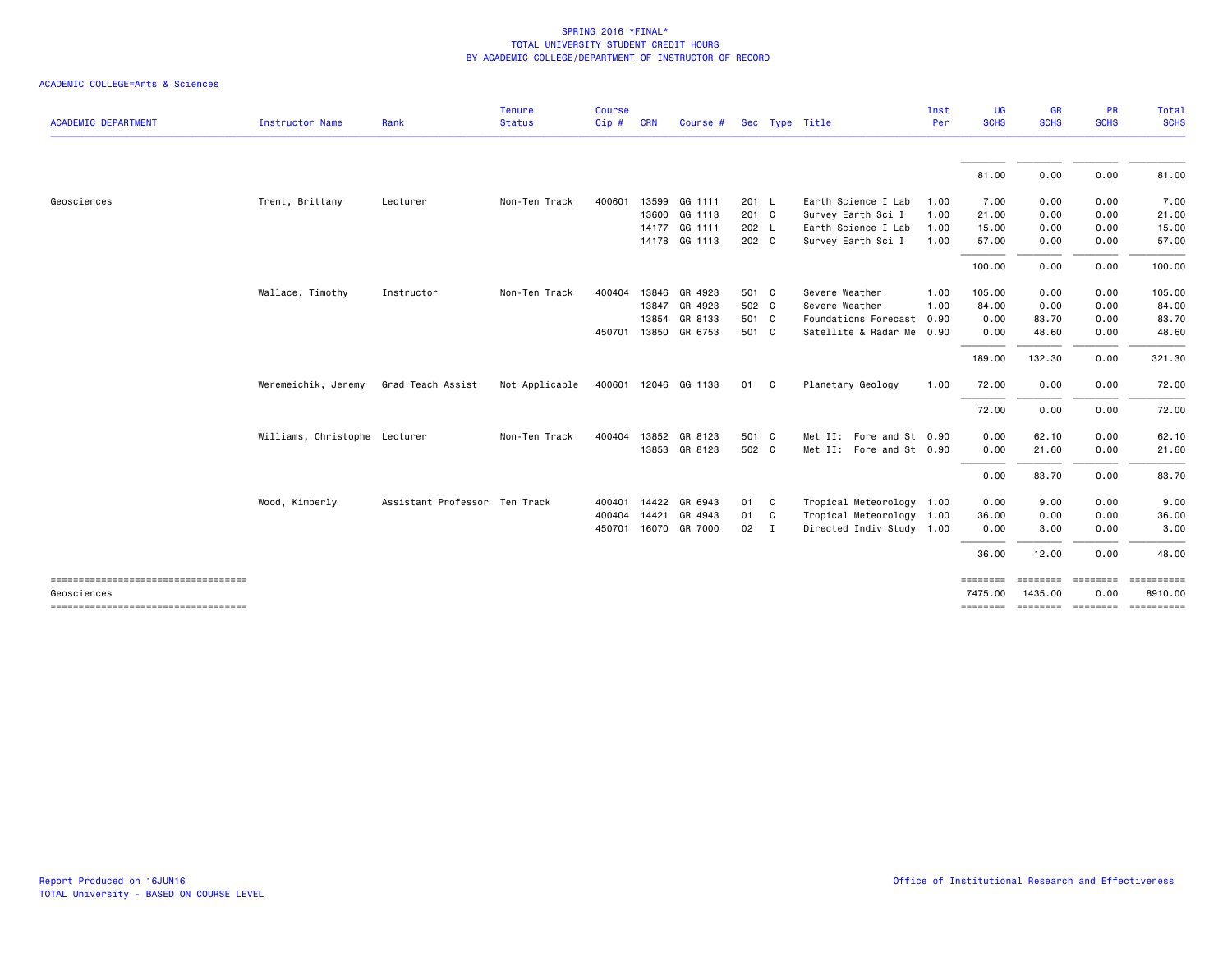| <b>ACADEMIC DEPARTMENT</b>                           | Instructor Name               | Rank                          | <b>Tenure</b><br><b>Status</b> | <b>Course</b><br>Cip# | <b>CRN</b>   | Course #             |       | Sec Type Title            | Inst<br>Per | UG<br><b>SCHS</b>   | <b>GR</b><br><b>SCHS</b> | <b>PR</b><br><b>SCHS</b>  | Total<br><b>SCHS</b>               |
|------------------------------------------------------|-------------------------------|-------------------------------|--------------------------------|-----------------------|--------------|----------------------|-------|---------------------------|-------------|---------------------|--------------------------|---------------------------|------------------------------------|
|                                                      |                               |                               |                                |                       |              |                      |       |                           |             |                     |                          |                           |                                    |
|                                                      |                               |                               |                                |                       |              |                      |       |                           |             | 81.00               | 0.00                     | 0.00                      | 81.00                              |
| Geosciences                                          | Trent, Brittany               | Lecturer                      | Non-Ten Track                  | 400601                |              | 13599 GG 1111        | 201 L | Earth Science I Lab       | 1.00        | 7.00                | 0.00                     | 0.00                      | 7.00                               |
|                                                      |                               |                               |                                |                       |              | 13600 GG 1113        | 201 C | Survey Earth Sci I        | 1.00        | 21.00               | 0.00                     | 0.00                      | 21.00                              |
|                                                      |                               |                               |                                |                       |              | 14177 GG 1111        | 202 L | Earth Science I Lab       | 1.00        | 15.00               | 0.00                     | 0.00                      | 15.00                              |
|                                                      |                               |                               |                                |                       |              | 14178 GG 1113        | 202 C | Survey Earth Sci I        | 1.00        | 57.00               | 0.00                     | 0.00                      | 57.00                              |
|                                                      |                               |                               |                                |                       |              |                      |       |                           |             | 100.00              | 0.00                     | 0.00                      | 100.00                             |
|                                                      | Wallace, Timothy              | Instructor                    | Non-Ten Track                  | 400404                |              | 13846 GR 4923        | 501 C | Severe Weather            | 1.00        | 105.00              | 0.00                     | 0.00                      | 105.00                             |
|                                                      |                               |                               |                                |                       | 13847        | GR 4923              | 502 C | Severe Weather            | 1.00        | 84.00               | 0.00                     | 0.00                      | 84.00                              |
|                                                      |                               |                               |                                |                       | 13854        | GR 8133              | 501 C | Foundations Forecast      | 0.90        | 0.00                | 83.70                    | 0.00                      | 83.70                              |
|                                                      |                               |                               |                                |                       | 450701 13850 | GR 6753              | 501 C | Satellite & Radar Me 0.90 |             | 0.00                | 48.60                    | 0.00                      | 48.60                              |
|                                                      |                               |                               |                                |                       |              |                      |       |                           |             | 189.00              | 132.30                   | 0.00                      | 321.30                             |
|                                                      | Weremeichik, Jeremy           | Grad Teach Assist             | Not Applicable                 |                       |              | 400601 12046 GG 1133 | 01 C  | Planetary Geology         | 1.00        | 72.00               | 0.00                     | 0.00                      | 72.00                              |
|                                                      |                               |                               |                                |                       |              |                      |       |                           |             | 72.00               | 0.00                     | 0.00                      | 72.00                              |
|                                                      | Williams, Christophe Lecturer |                               | Non-Ten Track                  |                       |              | 400404 13852 GR 8123 | 501 C | Met II: Fore and St 0.90  |             | 0.00                | 62.10                    | 0.00                      | 62.10                              |
|                                                      |                               |                               |                                |                       |              | 13853 GR 8123        | 502 C | Met II: Fore and St 0.90  |             | 0.00                | 21.60                    | 0.00                      | 21.60                              |
|                                                      |                               |                               |                                |                       |              |                      |       |                           |             | 0.00                | 83.70                    | 0.00                      | 83.70                              |
|                                                      | Wood, Kimberly                | Assistant Professor Ten Track |                                |                       |              | 400401 14422 GR 6943 | 01 C  | Tropical Meteorology 1.00 |             | 0.00                | 9.00                     | 0.00                      | 9.00                               |
|                                                      |                               |                               |                                |                       |              | 400404 14421 GR 4943 | 01 C  | Tropical Meteorology 1.00 |             | 36.00               | 0.00                     | 0.00                      | 36.00                              |
|                                                      |                               |                               |                                |                       |              | 450701 16070 GR 7000 | 02 I  | Directed Indiv Study 1.00 |             | 0.00                | 3.00                     | 0.00                      | 3.00                               |
|                                                      |                               |                               |                                |                       |              |                      |       |                           |             | 36.00               | 12.00                    | 0.00                      | 48.00                              |
| -------------------------------------<br>Geosciences |                               |                               |                                |                       |              |                      |       |                           |             | ========<br>7475.00 | 1435.00                  | secondos preceder<br>0.00 | ==========<br>8910.00              |
| ----------------------------------                   |                               |                               |                                |                       |              |                      |       |                           |             |                     |                          |                           | -------- ------- ------- --------- |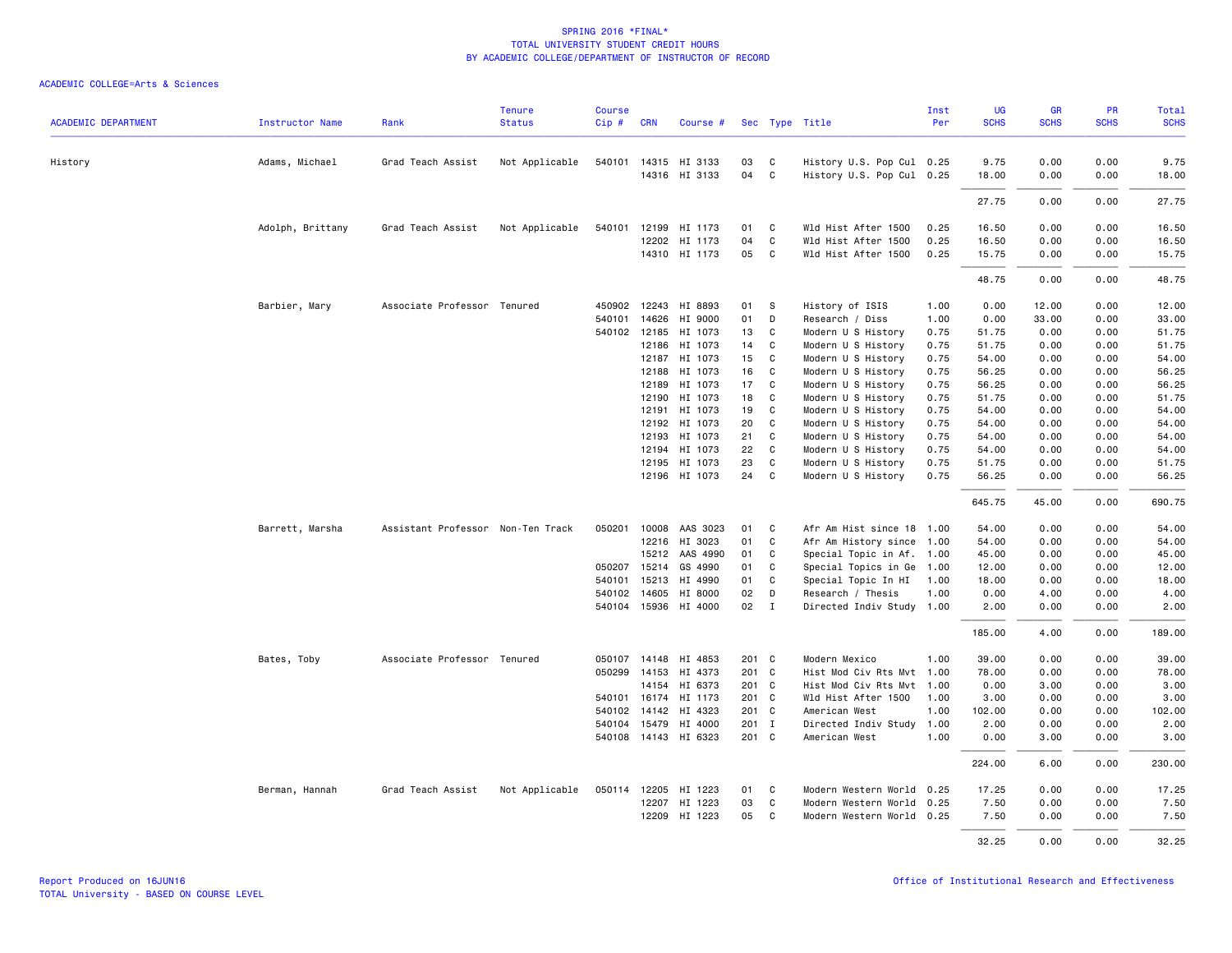| <b>ACADEMIC DEPARTMENT</b> | <b>Instructor Name</b> | Rank                              | <b>Tenure</b><br><b>Status</b> | <b>Course</b><br>Cip# | <b>CRN</b>   | Course #             |       |              | Sec Type Title            | Inst<br>Per | UG<br><b>SCHS</b> | GR<br><b>SCHS</b> | PR<br><b>SCHS</b> | Total<br><b>SCHS</b> |
|----------------------------|------------------------|-----------------------------------|--------------------------------|-----------------------|--------------|----------------------|-------|--------------|---------------------------|-------------|-------------------|-------------------|-------------------|----------------------|
|                            |                        |                                   |                                |                       |              |                      |       |              |                           |             |                   |                   |                   |                      |
| History                    | Adams, Michael         | Grad Teach Assist                 | Not Applicable                 |                       |              | 540101 14315 HI 3133 | 03    | C            | History U.S. Pop Cul 0.25 |             | 9.75              | 0.00              | 0.00              | 9.75                 |
|                            |                        |                                   |                                |                       |              | 14316 HI 3133        | 04    | C            | History U.S. Pop Cul 0.25 |             | 18.00             | 0.00              | 0.00              | 18.00                |
|                            |                        |                                   |                                |                       |              |                      |       |              |                           |             | 27.75             | 0.00              | 0.00              | 27.75                |
|                            | Adolph, Brittany       | Grad Teach Assist                 | Not Applicable                 | 540101                | 12199        | HI 1173              | 01    | C            | Wld Hist After 1500       | 0.25        | 16.50             | 0.00              | 0.00              | 16.50                |
|                            |                        |                                   |                                |                       | 12202        | HI 1173              | 04    | C            | Wld Hist After 1500       | 0.25        | 16.50             | 0.00              | 0.00              | 16.50                |
|                            |                        |                                   |                                |                       |              | 14310 HI 1173        | 05    | C            | Wld Hist After 1500       | 0.25        | 15.75             | 0.00              | 0.00              | 15.75                |
|                            |                        |                                   |                                |                       |              |                      |       |              |                           |             | 48.75             | 0.00              | 0.00              | 48.75                |
|                            | Barbier, Mary          | Associate Professor Tenured       |                                | 450902                | 12243        | HI 8893              | 01    | -S           | History of ISIS           | 1.00        | 0.00              | 12.00             | 0.00              | 12.00                |
|                            |                        |                                   |                                | 540101                | 14626        | HI 9000              | 01    | D            | Research / Diss           | 1.00        | 0.00              | 33.00             | 0.00              | 33.00                |
|                            |                        |                                   |                                |                       | 540102 12185 | HI 1073              | 13    | C            | Modern U S History        | 0.75        | 51.75             | 0.00              | 0.00              | 51.75                |
|                            |                        |                                   |                                |                       | 12186        | HI 1073              | 14    | C            | Modern U S History        | 0.75        | 51.75             | 0.00              | 0.00              | 51.75                |
|                            |                        |                                   |                                |                       | 12187        | HI 1073              | 15    | C            | Modern U S History        | 0.75        | 54.00             | 0.00              | 0.00              | 54.00                |
|                            |                        |                                   |                                |                       | 12188        | HI 1073              | 16    | C            | Modern U S History        | 0.75        | 56.25             | 0.00              | 0.00              | 56.25                |
|                            |                        |                                   |                                |                       | 12189        | HI 1073              | 17    | C            | Modern U S History        | 0.75        | 56.25             | 0.00              | 0.00              | 56.25                |
|                            |                        |                                   |                                |                       | 12190        | HI 1073              | 18    | C            | Modern U S History        | 0.75        | 51.75             | 0.00              | 0.00              | 51.75                |
|                            |                        |                                   |                                |                       | 12191        | HI 1073              | 19    | C            | Modern U S History        | 0.75        | 54.00             | 0.00              | 0.00              | 54.00                |
|                            |                        |                                   |                                |                       | 12192        | HI 1073              | 20    | C            | Modern U S History        | 0.75        | 54.00             | 0.00              | 0.00              | 54.00                |
|                            |                        |                                   |                                |                       | 12193        | HI 1073              | 21    | C            | Modern U S History        | 0.75        | 54.00             | 0.00              | 0.00              | 54.00                |
|                            |                        |                                   |                                |                       | 12194        | HI 1073              | 22    | C            | Modern U S History        | 0.75        | 54.00             | 0.00              | 0.00              | 54.00                |
|                            |                        |                                   |                                |                       | 12195        | HI 1073              | 23    | C            | Modern U S History        | 0.75        | 51.75             | 0.00              | 0.00              | 51.75                |
|                            |                        |                                   |                                |                       | 12196        | HI 1073              | 24    | C            | Modern U S History        | 0.75        | 56.25             | 0.00              | 0.00              | 56.25                |
|                            |                        |                                   |                                |                       |              |                      |       |              |                           |             | 645.75            | 45.00             | 0.00              | 690.75               |
|                            | Barrett, Marsha        | Assistant Professor Non-Ten Track |                                | 050201                | 10008        | AAS 3023             | 01    | C            | Afr Am Hist since 18      | 1.00        | 54.00             | 0.00              | 0.00              | 54.00                |
|                            |                        |                                   |                                |                       | 12216        | HI 3023              | 01    | C            | Afr Am History since      | 1.00        | 54.00             | 0.00              | 0.00              | 54.00                |
|                            |                        |                                   |                                |                       | 15212        | AAS 4990             | 01    | C            | Special Topic in Af.      | 1.00        | 45.00             | 0.00              | 0.00              | 45.00                |
|                            |                        |                                   |                                |                       | 050207 15214 | GS 4990              | 01    | C            | Special Topics in Ge      | 1.00        | 12.00             | 0.00              | 0.00              | 12.00                |
|                            |                        |                                   |                                | 540101                | 15213        | HI 4990              | 01    | C            | Special Topic In HI       | 1.00        | 18.00             | 0.00              | 0.00              | 18.00                |
|                            |                        |                                   |                                |                       | 540102 14605 | HI 8000              | 02    | D            | Research / Thesis         | 1.00        | 0.00              | 4.00              | 0.00              | 4.00                 |
|                            |                        |                                   |                                |                       | 540104 15936 | HI 4000              | 02    | $\mathbf{I}$ | Directed Indiv Study 1.00 |             | 2.00              | 0.00              | 0.00              | 2.00                 |
|                            |                        |                                   |                                |                       |              |                      |       |              |                           |             | 185.00            | 4.00              | 0.00              | 189.00               |
|                            | Bates, Toby            | Associate Professor Tenured       |                                |                       | 050107 14148 | HI 4853              | 201 C |              | Modern Mexico             | 1.00        | 39.00             | 0.00              | 0.00              | 39.00                |
|                            |                        |                                   |                                |                       | 050299 14153 | HI 4373              | 201 C |              | Hist Mod Civ Rts Mvt 1.00 |             | 78.00             | 0.00              | 0.00              | 78.00                |
|                            |                        |                                   |                                |                       | 14154        | HI 6373              | 201 C |              | Hist Mod Civ Rts Mvt      | 1.00        | 0.00              | 3.00              | 0.00              | 3.00                 |
|                            |                        |                                   |                                |                       | 540101 16174 | HI 1173              | 201 C |              | Wld Hist After 1500       | 1.00        | 3.00              | 0.00              | 0.00              | 3.00                 |
|                            |                        |                                   |                                |                       | 540102 14142 | HI 4323              | 201 C |              | American West             | 1.00        | 102.00            | 0.00              | 0.00              | 102.00               |
|                            |                        |                                   |                                |                       | 540104 15479 | HI 4000              | 201 I |              | Directed Indiv Study      | 1.00        | 2.00              | 0.00              | 0.00              | 2.00                 |
|                            |                        |                                   |                                |                       |              | 540108 14143 HI 6323 | 201 C |              | American West             | 1.00        | 0.00              | 3.00              | 0.00              | 3.00                 |
|                            |                        |                                   |                                |                       |              |                      |       |              |                           |             | 224.00            | 6.00              | 0.00              | 230.00               |
|                            | Berman, Hannah         | Grad Teach Assist                 | Not Applicable                 |                       | 050114 12205 | HI 1223              | 01    | - C          | Modern Western World      | 0.25        | 17.25             | 0.00              | 0.00              | 17.25                |
|                            |                        |                                   |                                |                       | 12207        | HI 1223              | 03    | C            | Modern Western World      | 0.25        | 7.50              | 0.00              | 0.00              | 7.50                 |
|                            |                        |                                   |                                |                       | 12209        | HI 1223              | 05    | C            | Modern Western World 0.25 |             | 7.50              | 0.00              | 0.00              | 7.50                 |
|                            |                        |                                   |                                |                       |              |                      |       |              |                           |             | 32.25             | 0.00              | 0.00              | 32.25                |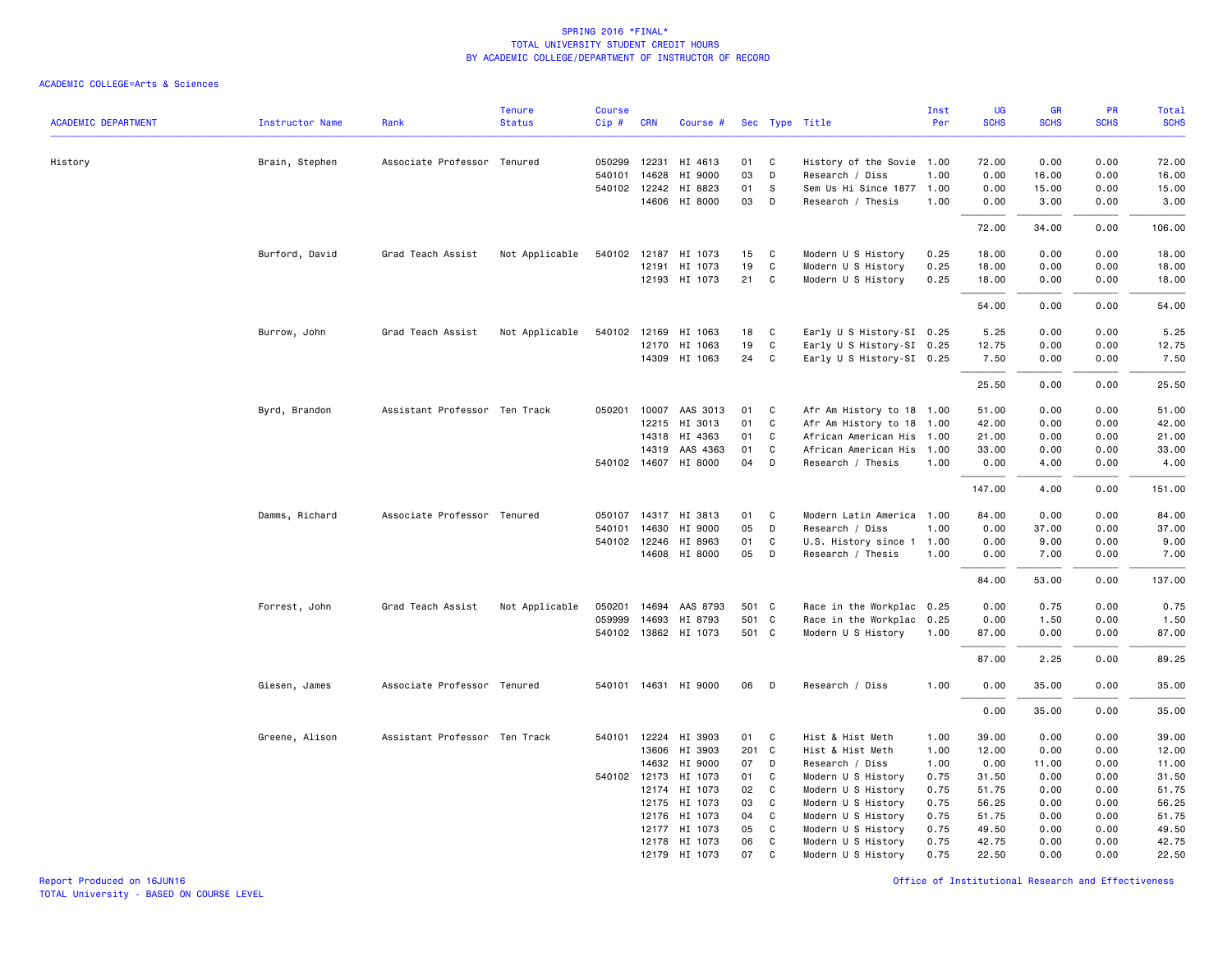| <b>ACADEMIC DEPARTMENT</b> | <b>Instructor Name</b> | Rank                          | <b>Tenure</b><br><b>Status</b> | <b>Course</b><br>Cip# | <b>CRN</b>   | Course #             |       |    | Sec Type Title            | Inst<br>Per | <b>UG</b><br><b>SCHS</b> | <b>GR</b><br><b>SCHS</b> | <b>PR</b><br><b>SCHS</b> | Total<br><b>SCHS</b> |
|----------------------------|------------------------|-------------------------------|--------------------------------|-----------------------|--------------|----------------------|-------|----|---------------------------|-------------|--------------------------|--------------------------|--------------------------|----------------------|
|                            |                        |                               |                                |                       |              |                      |       |    |                           |             |                          |                          |                          |                      |
| History                    | Brain, Stephen         | Associate Professor Tenured   |                                | 050299                | 12231        | HI 4613              | 01    | C  | History of the Sovie 1.00 |             | 72.00                    | 0.00                     | 0.00                     | 72.00                |
|                            |                        |                               |                                | 540101                | 14628        | HI 9000              | 03    | D  | Research / Diss           | 1.00        | 0.00                     | 16.00                    | 0.00                     | 16.00                |
|                            |                        |                               |                                |                       | 540102 12242 | HI 8823              | 01    | -S | Sem Us Hi Since 1877 1.00 |             | 0.00                     | 15.00                    | 0.00                     | 15.00                |
|                            |                        |                               |                                |                       |              | 14606 HI 8000        | 03    | D  | Research / Thesis         | 1.00        | 0.00                     | 3.00                     | 0.00                     | 3.00                 |
|                            |                        |                               |                                |                       |              |                      |       |    |                           |             | 72.00                    | 34.00                    | 0.00                     | 106.00               |
|                            | Burford, David         | Grad Teach Assist             | Not Applicable                 | 540102 12187          |              | HI 1073              | 15    | C  | Modern U S History        | 0.25        | 18.00                    | 0.00                     | 0.00                     | 18.00                |
|                            |                        |                               |                                |                       | 12191        | HI 1073              | 19    | C  | Modern U S History        | 0.25        | 18.00                    | 0.00                     | 0.00                     | 18.00                |
|                            |                        |                               |                                |                       |              | 12193 HI 1073        | 21    | C  | Modern U S History        | 0.25        | 18.00                    | 0.00                     | 0.00                     | 18.00                |
|                            |                        |                               |                                |                       |              |                      |       |    |                           |             | 54.00                    | 0.00                     | 0.00                     | 54.00                |
|                            | Burrow, John           | Grad Teach Assist             | Not Applicable                 | 540102                | 12169        | HI 1063              | 18    | C  | Early U S History-SI 0.25 |             | 5.25                     | 0.00                     | 0.00                     | 5.25                 |
|                            |                        |                               |                                |                       |              | 12170 HI 1063        | 19    | C  | Early U S History-SI 0.25 |             | 12.75                    | 0.00                     | 0.00                     | 12.75                |
|                            |                        |                               |                                |                       |              | 14309 HI 1063        | 24    | C  | Early U S History-SI 0.25 |             | 7.50                     | 0.00                     | 0.00                     | 7.50                 |
|                            |                        |                               |                                |                       |              |                      |       |    |                           |             | 25.50                    | 0.00                     | 0.00                     | 25.50                |
|                            | Byrd, Brandon          | Assistant Professor Ten Track |                                | 050201                |              | 10007 AAS 3013       | 01    | C  | Afr Am History to 18 1.00 |             | 51.00                    | 0.00                     | 0.00                     | 51.00                |
|                            |                        |                               |                                |                       | 12215        | HI 3013              | 01    | C  | Afr Am History to 18      | 1.00        | 42.00                    | 0.00                     | 0.00                     | 42.00                |
|                            |                        |                               |                                |                       | 14318        | HI 4363              | 01    | C  | African American His 1.00 |             | 21.00                    | 0.00                     | 0.00                     | 21.00                |
|                            |                        |                               |                                |                       | 14319        | AAS 4363             | 01    | C  | African American His 1.00 |             | 33.00                    | 0.00                     | 0.00                     | 33.00                |
|                            |                        |                               |                                |                       | 540102 14607 | HI 8000              | 04    | D  | Research / Thesis         | 1.00        | 0.00                     | 4.00                     | 0.00                     | 4.00                 |
|                            |                        |                               |                                |                       |              |                      |       |    |                           |             | 147.00                   | 4.00                     | 0.00                     | 151.00               |
|                            | Damms, Richard         | Associate Professor Tenured   |                                | 050107                | 14317        | HI 3813              | 01    | C  | Modern Latin America 1.00 |             | 84.00                    | 0.00                     | 0.00                     | 84.00                |
|                            |                        |                               |                                | 540101                | 14630        | HI 9000              | 05    | D  | Research / Diss           | 1.00        | 0.00                     | 37.00                    | 0.00                     | 37.00                |
|                            |                        |                               |                                |                       | 540102 12246 | HI 8963              | 01    | C  | U.S. History since 1 1.00 |             | 0.00                     | 9.00                     | 0.00                     | 9.00                 |
|                            |                        |                               |                                |                       |              | 14608 HI 8000        | 05    | D  | Research / Thesis         | 1.00        | 0.00                     | 7.00                     | 0.00                     | 7.00                 |
|                            |                        |                               |                                |                       |              |                      |       |    |                           |             | 84.00                    | 53.00                    | 0.00                     | 137.00               |
|                            | Forrest, John          | Grad Teach Assist             | Not Applicable                 | 050201                |              | 14694 AAS 8793       | 501 C |    | Race in the Workplac 0.25 |             | 0.00                     | 0.75                     | 0.00                     | 0.75                 |
|                            |                        |                               |                                | 059999                | 14693        | HI 8793              | 501 C |    | Race in the Workplac 0.25 |             | 0.00                     | 1.50                     | 0.00                     | 1.50                 |
|                            |                        |                               |                                |                       |              | 540102 13862 HI 1073 | 501 C |    | Modern U S History        | 1.00        | 87.00                    | 0.00                     | 0.00                     | 87.00                |
|                            |                        |                               |                                |                       |              |                      |       |    |                           |             | 87.00                    | 2.25                     | 0.00                     | 89.25                |
|                            | Giesen, James          | Associate Professor Tenured   |                                |                       |              | 540101 14631 HI 9000 | 06    | D  | Research / Diss           | 1.00        | 0.00                     | 35.00                    | 0.00                     | 35.00                |
|                            |                        |                               |                                |                       |              |                      |       |    |                           |             | 0.00                     | 35.00                    | 0.00                     | 35.00                |
|                            | Greene, Alison         | Assistant Professor Ten Track |                                | 540101                | 12224        | HI 3903              | 01 C  |    | Hist & Hist Meth          | 1.00        | 39.00                    | 0.00                     | 0.00                     | 39.00                |
|                            |                        |                               |                                |                       | 13606        | HI 3903              | 201 C |    | Hist & Hist Meth          | 1.00        | 12.00                    | 0.00                     | 0.00                     | 12.00                |
|                            |                        |                               |                                |                       | 14632        | HI 9000              | 07    | D  | Research / Diss           | 1.00        | 0.00                     | 11.00                    | 0.00                     | 11.00                |
|                            |                        |                               |                                |                       | 540102 12173 | HI 1073              | 01    | C  | Modern U S History        | 0.75        | 31.50                    | 0.00                     | 0.00                     | 31.50                |
|                            |                        |                               |                                |                       | 12174        | HI 1073              | 02    | C  | Modern U S History        | 0.75        | 51.75                    | 0.00                     | 0.00                     | 51.75                |
|                            |                        |                               |                                |                       | 12175        | HI 1073              | 03    | C  | Modern U S History        | 0.75        | 56.25                    | 0.00                     | 0.00                     | 56.25                |
|                            |                        |                               |                                |                       | 12176        | HI 1073              | 04    | C  | Modern U S History        | 0.75        | 51.75                    | 0.00                     | 0.00                     | 51.75                |
|                            |                        |                               |                                |                       |              | 12177 HI 1073        | 05    | C  | Modern U S History        | 0.75        | 49.50                    | 0.00                     | 0.00                     | 49.50                |
|                            |                        |                               |                                |                       | 12178        | HI 1073              | 06    | C  | Modern U S History        | 0.75        | 42.75                    | 0.00                     | 0.00                     | 42.75                |
|                            |                        |                               |                                |                       |              | 12179 HI 1073        | 07    | C  | Modern U S History        | 0.75        | 22.50                    | 0.00                     | 0.00                     | 22.50                |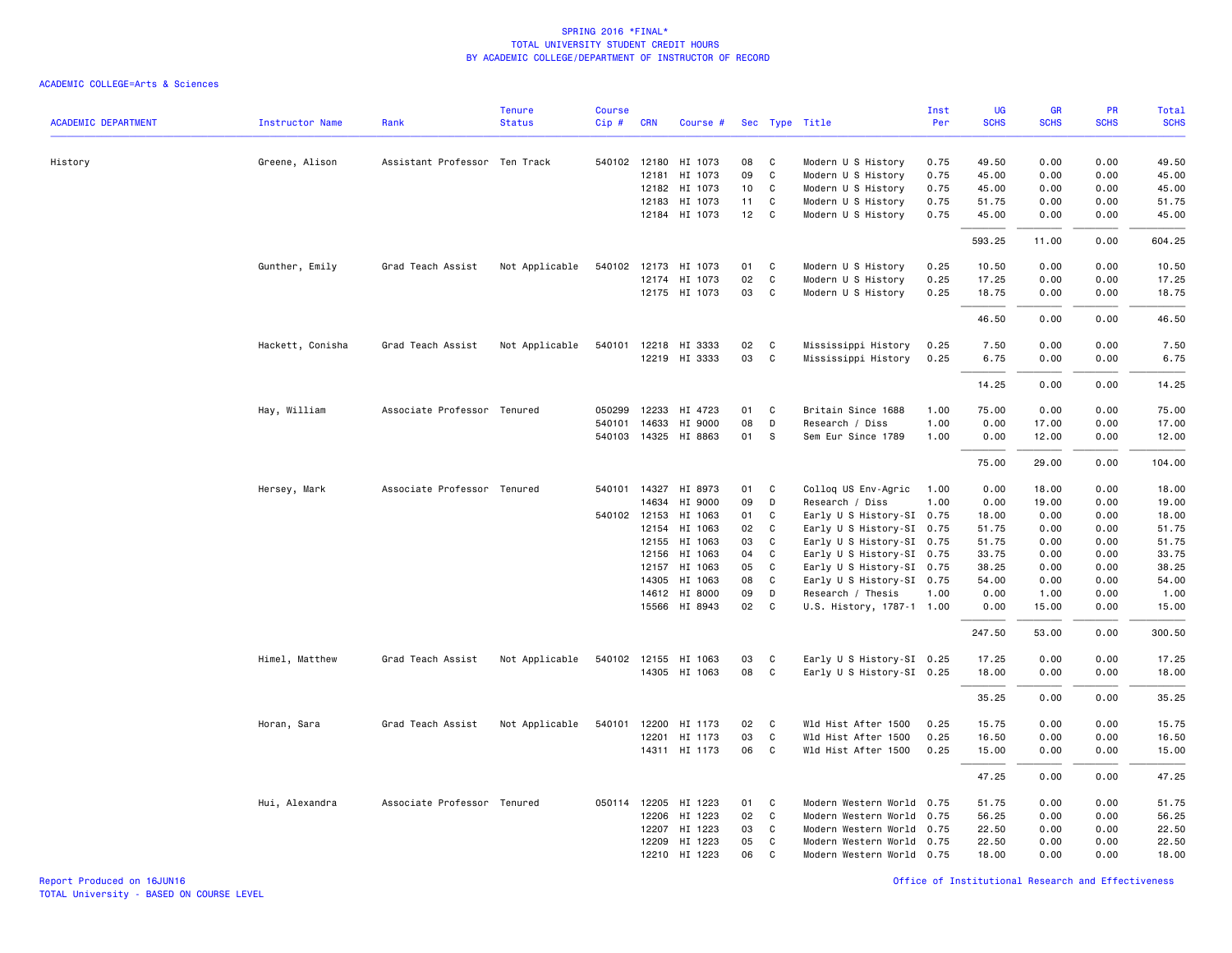| <b>ACADEMIC DEPARTMENT</b> | <b>Instructor Name</b> | Rank                          | <b>Tenure</b><br><b>Status</b> | <b>Course</b><br>Cip# | <b>CRN</b>   | Course #             |    |              | Sec Type Title            | Inst<br>Per | <b>UG</b><br><b>SCHS</b> | <b>GR</b><br><b>SCHS</b> | PR<br><b>SCHS</b> | Total<br><b>SCHS</b> |
|----------------------------|------------------------|-------------------------------|--------------------------------|-----------------------|--------------|----------------------|----|--------------|---------------------------|-------------|--------------------------|--------------------------|-------------------|----------------------|
|                            |                        |                               |                                |                       |              |                      |    |              |                           |             |                          |                          |                   |                      |
| History                    | Greene, Alison         | Assistant Professor Ten Track |                                |                       |              | 540102 12180 HI 1073 | 08 | C            | Modern U S History        | 0.75        | 49.50                    | 0.00                     | 0.00              | 49.50                |
|                            |                        |                               |                                |                       | 12181        | HI 1073              | 09 | C            | Modern U S History        | 0.75        | 45.00                    | 0.00                     | 0.00              | 45.00                |
|                            |                        |                               |                                |                       |              | 12182 HI 1073        | 10 | C            | Modern U S History        | 0.75        | 45.00                    | 0.00                     | 0.00              | 45.00                |
|                            |                        |                               |                                |                       | 12183        | HI 1073              | 11 | C            | Modern U S History        | 0.75        | 51.75                    | 0.00                     | 0.00              | 51.75                |
|                            |                        |                               |                                |                       |              | 12184 HI 1073        | 12 | $\mathtt{C}$ | Modern U S History        | 0.75        | 45.00                    | 0.00                     | 0.00              | 45.00                |
|                            |                        |                               |                                |                       |              |                      |    |              |                           |             | 593.25                   | 11.00                    | 0.00              | 604.25               |
|                            | Gunther, Emily         | Grad Teach Assist             | Not Applicable                 |                       |              | 540102 12173 HI 1073 | 01 | C            | Modern U S History        | 0.25        | 10.50                    | 0.00                     | 0.00              | 10.50                |
|                            |                        |                               |                                |                       |              | 12174 HI 1073        | 02 | $\mathsf{C}$ | Modern U S History        | 0.25        | 17.25                    | 0.00                     | 0.00              | 17.25                |
|                            |                        |                               |                                |                       |              | 12175 HI 1073        | 03 | C            | Modern U S History        | 0.25        | 18.75                    | 0.00                     | 0.00              | 18.75                |
|                            |                        |                               |                                |                       |              |                      |    |              |                           |             | 46.50                    | 0.00                     | 0.00              | 46.50                |
|                            | Hackett, Conisha       | Grad Teach Assist             | Not Applicable                 |                       |              | 540101 12218 HI 3333 | 02 | C            | Mississippi History       | 0.25        | 7.50                     | 0.00                     | 0.00              | 7.50                 |
|                            |                        |                               |                                |                       |              | 12219 HI 3333        | 03 | $\mathsf{C}$ | Mississippi History       | 0.25        | 6.75                     | 0.00                     | 0.00              | 6.75                 |
|                            |                        |                               |                                |                       |              |                      |    |              |                           |             | 14.25                    | 0.00                     | 0.00              | 14.25                |
|                            |                        |                               |                                |                       |              |                      |    |              |                           |             |                          |                          |                   |                      |
|                            | Hay, William           | Associate Professor Tenured   |                                | 050299                | 12233        | HI 4723              | 01 | C            | Britain Since 1688        | 1.00        | 75.00                    | 0.00                     | 0.00              | 75.00                |
|                            |                        |                               |                                | 540101                | 14633        | HI 9000              | 08 | D            | Research / Diss           | 1.00        | 0.00                     | 17.00                    | 0.00              | 17.00                |
|                            |                        |                               |                                |                       |              | 540103 14325 HI 8863 | 01 | s            | Sem Eur Since 1789        | 1.00        | 0.00                     | 12.00                    | 0.00              | 12.00                |
|                            |                        |                               |                                |                       |              |                      |    |              |                           |             | 75.00                    | 29.00                    | 0.00              | 104.00               |
|                            | Hersey, Mark           | Associate Professor Tenured   |                                |                       | 540101 14327 | HI 8973              | 01 | C            | Collog US Env-Agric       | 1.00        | 0.00                     | 18.00                    | 0.00              | 18.00                |
|                            |                        |                               |                                |                       | 14634        | HI 9000              | 09 | D            | Research / Diss           | 1.00        | 0.00                     | 19.00                    | 0.00              | 19.00                |
|                            |                        |                               |                                |                       | 540102 12153 | HI 1063              | 01 | C            | Early U S History-SI 0.75 |             | 18.00                    | 0.00                     | 0.00              | 18.00                |
|                            |                        |                               |                                |                       | 12154        | HI 1063              | 02 | C            | Early U S History-SI 0.75 |             | 51.75                    | 0.00                     | 0.00              | 51.75                |
|                            |                        |                               |                                |                       | 12155        | HI 1063              | 03 | $\mathsf{C}$ | Early U S History-SI 0.75 |             | 51.75                    | 0.00                     | 0.00              | 51.75                |
|                            |                        |                               |                                |                       | 12156        | HI 1063              | 04 | $\mathtt{C}$ | Early U S History-SI 0.75 |             | 33.75                    | 0.00                     | 0.00              | 33.75                |
|                            |                        |                               |                                |                       | 12157        | HI 1063              | 05 | C            | Early U S History-SI 0.75 |             | 38.25                    | 0.00                     | 0.00              | 38.25                |
|                            |                        |                               |                                |                       | 14305        | HI 1063              | 08 | C            | Early U S History-SI 0.75 |             | 54.00                    | 0.00                     | 0.00              | 54.00                |
|                            |                        |                               |                                |                       | 14612        | HI 8000              | 09 | D            | Research / Thesis         | 1.00        | 0.00                     | 1.00                     | 0.00              | 1.00                 |
|                            |                        |                               |                                |                       |              | 15566 HI 8943        | 02 | C            | U.S. History, 1787-1 1.00 |             | 0.00                     | 15.00                    | 0.00              | 15.00                |
|                            |                        |                               |                                |                       |              |                      |    |              |                           |             | 247.50                   | 53.00                    | 0.00              | 300.50               |
|                            | Himel, Matthew         | Grad Teach Assist             | Not Applicable                 |                       |              | 540102 12155 HI 1063 | 03 | C            | Early U S History-SI 0.25 |             | 17.25                    | 0.00                     | 0.00              | 17.25                |
|                            |                        |                               |                                |                       |              | 14305 HI 1063        | 08 | $\mathsf{C}$ | Early U S History-SI 0.25 |             | 18.00                    | 0.00                     | 0.00              | 18.00                |
|                            |                        |                               |                                |                       |              |                      |    |              |                           |             | 35.25                    | 0.00                     | 0.00              | 35.25                |
|                            | Horan, Sara            | Grad Teach Assist             | Not Applicable                 |                       |              | 540101 12200 HI 1173 | 02 | C            | Wld Hist After 1500       | 0.25        | 15.75                    | 0.00                     | 0.00              | 15.75                |
|                            |                        |                               |                                |                       |              | 12201 HI 1173        | 03 | C            | Wld Hist After 1500       | 0.25        | 16.50                    | 0.00                     | 0.00              | 16.50                |
|                            |                        |                               |                                |                       |              | 14311 HI 1173        | 06 | C            | Wld Hist After 1500       | 0.25        | 15.00                    | 0.00                     | 0.00              | 15.00                |
|                            |                        |                               |                                |                       |              |                      |    |              |                           |             | 47.25                    | 0.00                     | 0.00              | 47.25                |
|                            | Hui, Alexandra         | Associate Professor Tenured   |                                |                       | 050114 12205 | HI 1223              | 01 | C            | Modern Western World      | 0.75        | 51.75                    | 0.00                     | 0.00              | 51.75                |
|                            |                        |                               |                                |                       | 12206        | HI 1223              | 02 | C            | Modern Western World      | 0.75        | 56.25                    | 0.00                     | 0.00              | 56.25                |
|                            |                        |                               |                                |                       |              | 12207 HI 1223        | 03 | C            | Modern Western World 0.75 |             | 22.50                    | 0.00                     | 0.00              | 22.50                |
|                            |                        |                               |                                |                       | 12209        | HI 1223              | 05 | C            | Modern Western World 0.75 |             | 22.50                    | 0.00                     | 0.00              | 22.50                |
|                            |                        |                               |                                |                       |              | 12210 HI 1223        | 06 | C            | Modern Western World 0.75 |             | 18.00                    | 0.00                     | 0.00              | 18.00                |
|                            |                        |                               |                                |                       |              |                      |    |              |                           |             |                          |                          |                   |                      |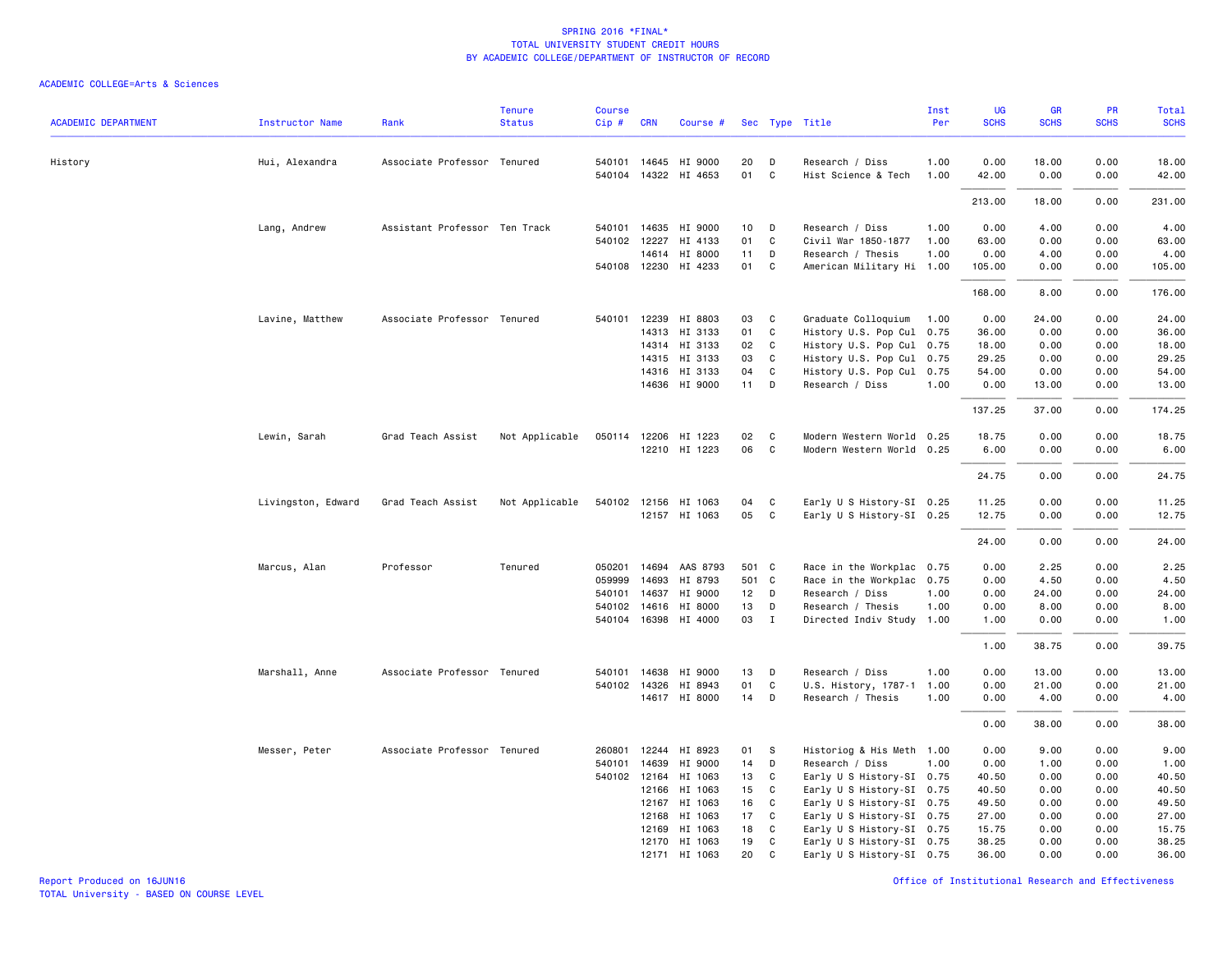| <b>ACADEMIC DEPARTMENT</b> |                        |                               | <b>Tenure</b><br><b>Status</b> | Course |              |                      |                 |              |                           | Inst<br>Per | UG<br><b>SCHS</b> | GR<br><b>SCHS</b> | PR<br><b>SCHS</b> | Total<br><b>SCHS</b> |
|----------------------------|------------------------|-------------------------------|--------------------------------|--------|--------------|----------------------|-----------------|--------------|---------------------------|-------------|-------------------|-------------------|-------------------|----------------------|
|                            | <b>Instructor Name</b> | Rank                          |                                | Cip#   | <b>CRN</b>   | Course #             |                 |              | Sec Type Title            |             |                   |                   |                   |                      |
| History                    | Hui, Alexandra         | Associate Professor Tenured   |                                |        |              | 540101 14645 HI 9000 | 20              | D            | Research / Diss           | 1.00        | 0.00              | 18.00             | 0.00              | 18.00                |
|                            |                        |                               |                                |        |              | 540104 14322 HI 4653 | 01              | $\mathbf{C}$ | Hist Science & Tech       | 1.00        | 42.00             | 0.00              | 0.00              | 42.00                |
|                            |                        |                               |                                |        |              |                      |                 |              |                           |             | 213.00            | 18.00             | 0.00              | 231.00               |
|                            | Lang, Andrew           | Assistant Professor Ten Track |                                |        | 540101 14635 | HI 9000              | 10 <sub>1</sub> | D            | Research / Diss           | 1.00        | 0.00              | 4.00              | 0.00              | 4.00                 |
|                            |                        |                               |                                |        | 540102 12227 | HI 4133              | 01              | C            | Civil War 1850-1877       | 1.00        | 63.00             | 0.00              | 0.00              | 63.00                |
|                            |                        |                               |                                |        | 14614        | HI 8000              | 11              | D            | Research / Thesis         | 1.00        | 0.00              | 4.00              | 0.00              | 4.00                 |
|                            |                        |                               |                                |        |              | 540108 12230 HI 4233 | 01              | $\mathbf{C}$ | American Military Hi 1.00 |             | 105.00            | 0.00              | 0.00              | 105.00               |
|                            |                        |                               |                                |        |              |                      |                 |              |                           |             | 168.00            | 8.00              | 0.00              | 176.00               |
|                            | Lavine, Matthew        | Associate Professor Tenured   |                                |        |              | 540101 12239 HI 8803 | 03              | $\mathbf{C}$ | Graduate Colloquium       | 1.00        | 0.00              | 24.00             | 0.00              | 24.00                |
|                            |                        |                               |                                |        |              | 14313 HI 3133        | 01              | C            | History U.S. Pop Cul 0.75 |             | 36.00             | 0.00              | 0.00              | 36.00                |
|                            |                        |                               |                                |        |              | 14314 HI 3133        | 02              | $\mathbf{C}$ | History U.S. Pop Cul 0.75 |             | 18.00             | 0.00              | 0.00              | 18.00                |
|                            |                        |                               |                                |        |              | 14315 HI 3133        | 03              | C            | History U.S. Pop Cul 0.75 |             | 29.25             | 0.00              | 0.00              | 29.25                |
|                            |                        |                               |                                |        |              | 14316 HI 3133        | 04              | $\mathbf{C}$ | History U.S. Pop Cul 0.75 |             | 54.00             | 0.00              | 0.00              | 54.00                |
|                            |                        |                               |                                |        |              | 14636 HI 9000        | $11$ D          |              | Research / Diss           | 1.00        | 0.00              | 13.00             | 0.00              | 13.00                |
|                            |                        |                               |                                |        |              |                      |                 |              |                           |             | 137.25            | 37.00             | 0.00              | 174.25               |
|                            | Lewin, Sarah           | Grad Teach Assist             | Not Applicable                 |        |              | 050114 12206 HI 1223 | 02              | $\mathbf{C}$ | Modern Western World 0.25 |             | 18.75             | 0.00              | 0.00              | 18.75                |
|                            |                        |                               |                                |        |              | 12210 HI 1223        | 06              | $\mathbf{C}$ | Modern Western World 0.25 |             | 6.00              | 0.00              | 0.00              | 6.00                 |
|                            |                        |                               |                                |        |              |                      |                 |              |                           |             | 24.75             | 0.00              | 0.00              | 24.75                |
|                            | Livingston, Edward     | Grad Teach Assist             | Not Applicable                 |        |              | 540102 12156 HI 1063 | 04              | $\mathbf{C}$ | Early U S History-SI 0.25 |             | 11.25             | 0.00              | 0.00              | 11.25                |
|                            |                        |                               |                                |        |              | 12157 HI 1063        | 05              | $\mathbf{C}$ | Early U S History-SI 0.25 |             | 12.75             | 0.00              | 0.00              | 12.75                |
|                            |                        |                               |                                |        |              |                      |                 |              |                           |             | 24.00             | 0.00              | 0.00              | 24.00                |
|                            | Marcus, Alan           | Professor                     | Tenured                        |        | 050201 14694 | AAS 8793             | 501 C           |              | Race in the Workplac 0.75 |             | 0.00              | 2.25              | 0.00              | 2.25                 |
|                            |                        |                               |                                | 059999 | 14693        | HI 8793              | 501 C           |              | Race in the Workplac 0.75 |             | 0.00              | 4.50              | 0.00              | 4.50                 |
|                            |                        |                               |                                |        | 540101 14637 | HI 9000              | 12 D            |              | Research / Diss           | 1.00        | 0.00              | 24.00             | 0.00              | 24.00                |
|                            |                        |                               |                                | 540102 | 14616        | HI 8000              | 13              | D            | Research / Thesis         | 1.00        | 0.00              | 8.00              | 0.00              | 8.00                 |
|                            |                        |                               |                                |        |              | 540104 16398 HI 4000 | 03              | $\mathbf{I}$ | Directed Indiv Study 1.00 |             | 1.00              | 0.00              | 0.00              | 1.00                 |
|                            |                        |                               |                                |        |              |                      |                 |              |                           |             | 1.00              | 38.75             | 0.00              | 39.75                |
|                            | Marshall, Anne         | Associate Professor Tenured   |                                |        | 540101 14638 | HI 9000              | 13              | D            | Research / Diss           | 1.00        | 0.00              | 13.00             | 0.00              | 13.00                |
|                            |                        |                               |                                |        |              | 540102 14326 HI 8943 | 01              | C            | U.S. History, 1787-1      | 1.00        | 0.00              | 21.00             | 0.00              | 21.00                |
|                            |                        |                               |                                |        |              | 14617 HI 8000        | 14              | D            | Research / Thesis         | 1.00        | 0.00              | 4.00              | 0.00              | 4.00                 |
|                            |                        |                               |                                |        |              |                      |                 |              |                           |             | 0.00              | 38.00             | 0.00              | 38.00                |
|                            | Messer, Peter          | Associate Professor Tenured   |                                | 260801 | 12244        | HI 8923              | 01              | <b>S</b>     | Historiog & His Meth 1.00 |             | 0.00              | 9.00              | 0.00              | 9.00                 |
|                            |                        |                               |                                | 540101 | 14639        | HI 9000              | 14              | D            | Research / Diss           | 1.00        | 0.00              | 1.00              | 0.00              | 1.00                 |
|                            |                        |                               |                                |        | 540102 12164 | HI 1063              | 13              | $\mathbf{C}$ | Early U S History-SI 0.75 |             | 40.50             | 0.00              | 0.00              | 40.50                |
|                            |                        |                               |                                |        | 12166        | HI 1063              | 15              | $\mathbf{C}$ | Early U S History-SI 0.75 |             | 40.50             | 0.00              | 0.00              | 40.50                |
|                            |                        |                               |                                |        | 12167        | HI 1063              | 16              | C            | Early U S History-SI 0.75 |             | 49.50             | 0.00              | 0.00              | 49.50                |
|                            |                        |                               |                                |        | 12168        | HI 1063              | 17              | C.           | Early U S History-SI 0.75 |             | 27.00             | 0.00              | 0.00              | 27.00                |
|                            |                        |                               |                                |        | 12169        | HI 1063              | 18              | $\mathbf{C}$ | Early U S History-SI 0.75 |             | 15.75             | 0.00              | 0.00              | 15.75                |
|                            |                        |                               |                                |        |              | 12170 HI 1063        | 19              | C.           | Early U S History-SI 0.75 |             | 38.25             | 0.00              | 0.00              | 38.25                |
|                            |                        |                               |                                |        |              | 12171 HI 1063        | 20              | C            | Early U S History-SI 0.75 |             | 36.00             | 0.00              | 0.00              | 36.00                |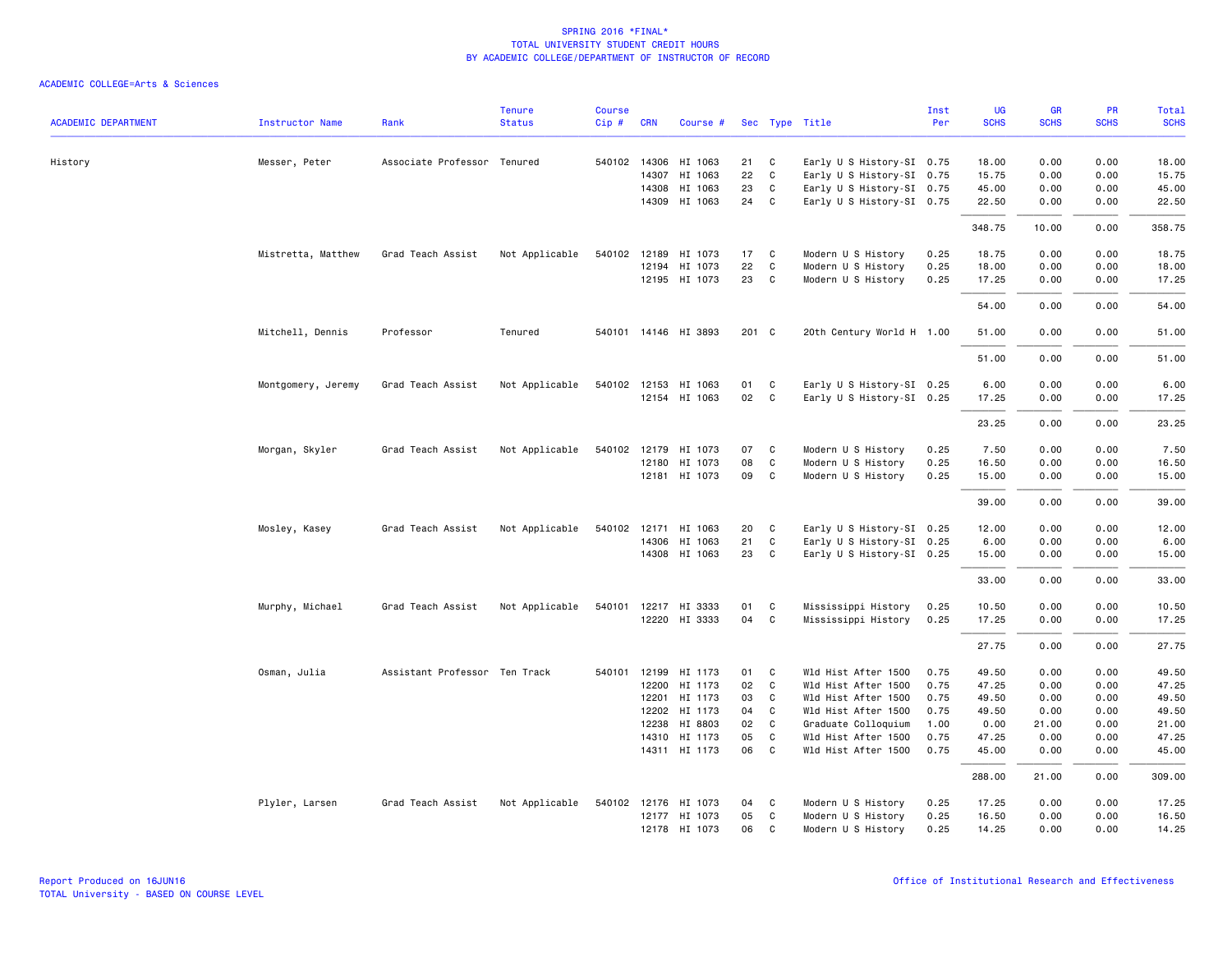| <b>ACADEMIC DEPARTMENT</b> | <b>Instructor Name</b> | Rank                          | <b>Tenure</b><br><b>Status</b> | <b>Course</b><br>Cip# | <b>CRN</b>   | Course #             |       |                            | Sec Type Title            | Inst<br>Per | UG<br><b>SCHS</b> | <b>GR</b><br><b>SCHS</b> | <b>PR</b><br><b>SCHS</b> | Total<br><b>SCHS</b> |
|----------------------------|------------------------|-------------------------------|--------------------------------|-----------------------|--------------|----------------------|-------|----------------------------|---------------------------|-------------|-------------------|--------------------------|--------------------------|----------------------|
|                            |                        |                               |                                |                       |              |                      |       |                            |                           |             |                   |                          |                          |                      |
| History                    | Messer, Peter          | Associate Professor Tenured   |                                |                       | 540102 14306 | HI 1063              | 21    | C                          | Early U S History-SI 0.75 |             | 18.00             | 0.00                     | 0.00                     | 18.00                |
|                            |                        |                               |                                |                       | 14307        | HI 1063              | 22    | $\mathbf{C}$               | Early U S History-SI 0.75 |             | 15.75             | 0.00                     | 0.00                     | 15.75                |
|                            |                        |                               |                                |                       |              | 14308 HI 1063        | 23    | $\mathbf{C}$               | Early U S History-SI 0.75 |             | 45.00             | 0.00                     | 0.00                     | 45.00                |
|                            |                        |                               |                                |                       |              | 14309 HI 1063        | 24 C  |                            | Early U S History-SI 0.75 |             | 22.50             | 0.00                     | 0.00                     | 22.50                |
|                            |                        |                               |                                |                       |              |                      |       |                            |                           |             | 348.75            | 10.00                    | 0.00                     | 358.75               |
|                            | Mistretta, Matthew     | Grad Teach Assist             | Not Applicable                 |                       |              | 540102 12189 HI 1073 | 17 C  |                            | Modern U S History        | 0.25        | 18.75             | 0.00                     | 0.00                     | 18.75                |
|                            |                        |                               |                                |                       | 12194        | HI 1073              | 22    | C                          | Modern U S History        | 0.25        | 18.00             | 0.00                     | 0.00                     | 18.00                |
|                            |                        |                               |                                |                       |              | 12195 HI 1073        | 23 C  |                            | Modern U S History        | 0.25        | 17.25             | 0.00                     | 0.00                     | 17.25                |
|                            |                        |                               |                                |                       |              |                      |       |                            |                           |             | 54.00             | 0.00                     | 0.00                     | 54.00                |
|                            | Mitchell, Dennis       | Professor                     | Tenured                        |                       |              | 540101 14146 HI 3893 | 201 C |                            | 20th Century World H 1.00 |             | 51.00             | 0.00                     | 0.00                     | 51.00                |
|                            |                        |                               |                                |                       |              |                      |       |                            |                           |             | 51.00             | 0.00                     | 0.00                     | 51.00                |
|                            | Montgomery, Jeremy     | Grad Teach Assist             | Not Applicable                 |                       |              | 540102 12153 HI 1063 | 01    | $\overline{\phantom{a}}$ C | Early U S History-SI 0.25 |             | 6.00              | 0.00                     | 0.00                     | 6.00                 |
|                            |                        |                               |                                |                       |              | 12154 HI 1063        | 02    | $\overline{\phantom{a}}$ C | Early U S History-SI 0.25 |             | 17.25             | 0.00                     | 0.00                     | 17.25                |
|                            |                        |                               |                                |                       |              |                      |       |                            |                           |             | 23.25             | 0.00                     | 0.00                     | 23.25                |
|                            | Morgan, Skyler         | Grad Teach Assist             | Not Applicable                 |                       |              | 540102 12179 HI 1073 | 07    | $\mathbf{C}$               | Modern U S History        | 0.25        | 7.50              | 0.00                     | 0.00                     | 7.50                 |
|                            |                        |                               |                                |                       |              | 12180 HI 1073        | 08    | C                          | Modern U S History        | 0.25        | 16.50             | 0.00                     | 0.00                     | 16.50                |
|                            |                        |                               |                                |                       |              | 12181 HI 1073        | 09 C  |                            | Modern U S History        | 0.25        | 15.00             | 0.00                     | 0.00                     | 15.00                |
|                            |                        |                               |                                |                       |              |                      |       |                            |                           |             | 39.00             | 0.00                     | 0.00                     | 39.00                |
|                            | Mosley, Kasey          | Grad Teach Assist             | Not Applicable                 |                       |              | 540102 12171 HI 1063 | 20    | $\mathbf{C}$               | Early U S History-SI 0.25 |             | 12.00             | 0.00                     | 0.00                     | 12.00                |
|                            |                        |                               |                                |                       |              | 14306 HI 1063        | 21    | C                          | Early U S History-SI 0.25 |             | 6.00              | 0.00                     | 0.00                     | 6.00                 |
|                            |                        |                               |                                |                       |              | 14308 HI 1063        | 23 C  |                            | Early U S History-SI 0.25 |             | 15.00             | 0.00                     | 0.00                     | 15.00                |
|                            |                        |                               |                                |                       |              |                      |       |                            |                           |             | 33.00             | 0.00                     | 0.00                     | 33.00                |
|                            | Murphy, Michael        | Grad Teach Assist             | Not Applicable                 |                       |              | 540101 12217 HI 3333 | 01    | C                          | Mississippi History       | 0.25        | 10.50             | 0.00                     | 0.00                     | 10.50                |
|                            |                        |                               |                                |                       |              | 12220 HI 3333        | 04    | C.                         | Mississippi History       | 0.25        | 17.25             | 0.00                     | 0.00                     | 17.25                |
|                            |                        |                               |                                |                       |              |                      |       |                            |                           |             | 27.75             | 0.00                     | 0.00                     | 27.75                |
|                            | Osman, Julia           | Assistant Professor Ten Track |                                | 540101                |              | 12199 HI 1173        | 01    | C                          | Wld Hist After 1500       | 0.75        | 49.50             | 0.00                     | 0.00                     | 49.50                |
|                            |                        |                               |                                |                       | 12200        | HI 1173              | 02    | $\mathbf{C}$               | Wld Hist After 1500       | 0.75        | 47.25             | 0.00                     | 0.00                     | 47.25                |
|                            |                        |                               |                                |                       | 12201        | HI 1173              | 03    | C                          | Wld Hist After 1500       | 0.75        | 49.50             | 0.00                     | 0.00                     | 49.50                |
|                            |                        |                               |                                |                       | 12202        | HI 1173              | 04    | C                          | Wld Hist After 1500       | 0.75        | 49.50             | 0.00                     | 0.00                     | 49.50                |
|                            |                        |                               |                                |                       | 12238        | HI 8803              | 02    | $\mathbf{C}$               | Graduate Colloquium       | 1.00        | 0.00              | 21.00                    | 0.00                     | 21.00                |
|                            |                        |                               |                                |                       |              | 14310 HI 1173        | 05    | C                          | Wld Hist After 1500       | 0.75        | 47.25             | 0.00                     | 0.00                     | 47.25                |
|                            |                        |                               |                                |                       |              | 14311 HI 1173        | 06 C  |                            | Wld Hist After 1500       | 0.75        | 45.00             | 0.00                     | 0.00                     | 45.00                |
|                            |                        |                               |                                |                       |              |                      |       |                            |                           |             | 288.00            | 21.00                    | 0.00                     | 309.00               |
|                            | Plyler, Larsen         | Grad Teach Assist             | Not Applicable                 |                       |              | 540102 12176 HI 1073 | 04    | C                          | Modern U S History        | 0.25        | 17.25             | 0.00                     | 0.00                     | 17.25                |
|                            |                        |                               |                                |                       |              | 12177 HI 1073        | 05    | C                          | Modern U S History        | 0.25        | 16.50             | 0.00                     | 0.00                     | 16.50                |
|                            |                        |                               |                                |                       |              | 12178 HI 1073        | 06    | C                          | Modern U S History        | 0.25        | 14.25             | 0.00                     | 0.00                     | 14.25                |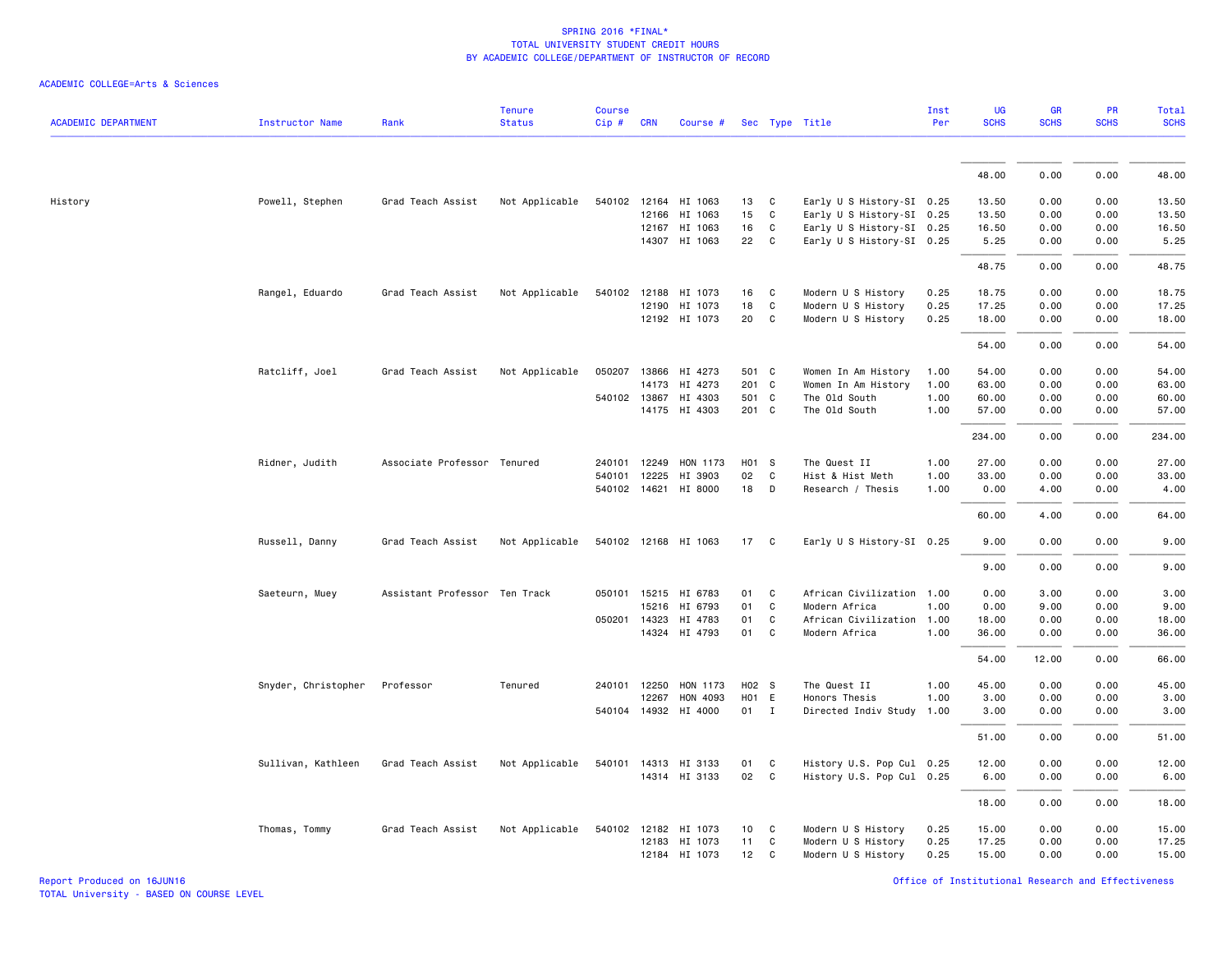| ACADEMIC COLLEGE=Arts & Sciences |  |  |  |  |  |
|----------------------------------|--|--|--|--|--|
|----------------------------------|--|--|--|--|--|

|                            |                        |                               | <b>Tenure</b>  | <b>Course</b> |              |                       |                   |              |                           | Inst | UG          | <b>GR</b>   | <b>PR</b>   | Total       |
|----------------------------|------------------------|-------------------------------|----------------|---------------|--------------|-----------------------|-------------------|--------------|---------------------------|------|-------------|-------------|-------------|-------------|
| <b>ACADEMIC DEPARTMENT</b> | <b>Instructor Name</b> | Rank                          | <b>Status</b>  | $Cip \#$      | <b>CRN</b>   | Course #              |                   |              | Sec Type Title            | Per  | <b>SCHS</b> | <b>SCHS</b> | <b>SCHS</b> | <b>SCHS</b> |
|                            |                        |                               |                |               |              |                       |                   |              |                           |      | 48.00       | 0.00        | 0.00        | 48.00       |
|                            |                        |                               |                |               |              |                       |                   |              |                           |      |             |             |             |             |
| History                    | Powell, Stephen        | Grad Teach Assist             | Not Applicable |               |              | 540102 12164 HI 1063  | 13                | $\mathbf{C}$ | Early U S History-SI 0.25 |      | 13.50       | 0.00        | 0.00        | 13.50       |
|                            |                        |                               |                |               | 12166        | HI 1063               | 15                | C            | Early U S History-SI 0.25 |      | 13.50       | 0.00        | 0.00        | 13.50       |
|                            |                        |                               |                |               |              | 12167 HI 1063         | 16                | C            | Early U S History-SI 0.25 |      | 16.50       | 0.00        | 0.00        | 16.50       |
|                            |                        |                               |                |               |              | 14307 HI 1063         | 22                | $\mathbf{C}$ | Early U S History-SI 0.25 |      | 5.25        | 0.00        | 0.00        | 5.25        |
|                            |                        |                               |                |               |              |                       |                   |              |                           |      | 48.75       | 0.00        | 0.00        | 48.75       |
|                            | Rangel, Eduardo        | Grad Teach Assist             | Not Applicable | 540102 12188  |              | HI 1073               | 16                | $\mathbf{C}$ | Modern U S History        | 0.25 | 18.75       | 0.00        | 0.00        | 18.75       |
|                            |                        |                               |                |               | 12190        | HI 1073               | 18                | C            | Modern U S History        | 0.25 | 17.25       | 0.00        | 0.00        | 17.25       |
|                            |                        |                               |                |               |              | 12192 HI 1073         | 20                | C            | Modern U S History        | 0.25 | 18.00       | 0.00        | 0.00        | 18.00       |
|                            |                        |                               |                |               |              |                       |                   |              |                           |      | 54.00       | 0.00        | 0.00        | 54.00       |
|                            | Ratcliff, Joel         | Grad Teach Assist             | Not Applicable | 050207 13866  |              | HI 4273               | 501 C             |              | Women In Am History       | 1.00 | 54.00       | 0.00        | 0.00        | 54.00       |
|                            |                        |                               |                |               | 14173        | HI 4273               | 201 C             |              | Women In Am History       | 1.00 | 63.00       | 0.00        | 0.00        | 63.00       |
|                            |                        |                               |                |               |              | 540102 13867 HI 4303  | 501 C             |              | The Old South             | 1.00 | 60.00       | 0.00        | 0.00        | 60.00       |
|                            |                        |                               |                |               |              | 14175 HI 4303         | 201 C             |              | The Old South             | 1.00 | 57.00       | 0.00        | 0.00        | 57.00       |
|                            |                        |                               |                |               |              |                       |                   |              |                           |      | 234.00      | 0.00        | 0.00        | 234.00      |
|                            | Ridner, Judith         | Associate Professor Tenured   |                |               |              | 240101 12249 HON 1173 | H01 S             |              | The Quest II              | 1.00 | 27.00       | 0.00        | 0.00        | 27.00       |
|                            |                        |                               |                | 540101        | 12225        | HI 3903               | 02                | C            | Hist & Hist Meth          | 1.00 | 33.00       | 0.00        | 0.00        | 33.00       |
|                            |                        |                               |                |               |              | 540102 14621 HI 8000  | 18                | D            | Research / Thesis         | 1.00 | 0.00        | 4.00        | 0.00        | 4.00        |
|                            |                        |                               |                |               |              |                       |                   |              |                           |      | 60.00       | 4.00        | 0.00        | 64.00       |
|                            | Russell, Danny         | Grad Teach Assist             | Not Applicable |               |              | 540102 12168 HI 1063  | 17                | $\mathbf{C}$ | Early U S History-SI 0.25 |      | 9.00        | 0.00        | 0.00        | 9.00        |
|                            |                        |                               |                |               |              |                       |                   |              |                           |      | 9.00        | 0.00        | 0.00        | 9.00        |
|                            | Saeteurn, Muey         | Assistant Professor Ten Track |                |               |              | 050101 15215 HI 6783  | 01                | C            | African Civilization 1.00 |      | 0.00        | 3.00        | 0.00        | 3.00        |
|                            |                        |                               |                |               | 15216        | HI 6793               | 01                | C            | Modern Africa             | 1.00 | 0.00        | 9.00        | 0.00        | 9.00        |
|                            |                        |                               |                |               | 050201 14323 | HI 4783               | 01                | C            | African Civilization      | 1.00 | 18.00       | 0.00        | 0.00        | 18.00       |
|                            |                        |                               |                |               |              | 14324 HI 4793         | 01                | $\mathbf{C}$ | Modern Africa             | 1.00 | 36.00       | 0.00        | 0.00        | 36.00       |
|                            |                        |                               |                |               |              |                       |                   |              |                           |      | 54.00       | 12.00       | 0.00        | 66.00       |
|                            | Snyder, Christopher    | Professor                     | Tenured        |               | 240101 12250 | HON 1173              | H <sub>02</sub> S |              | The Quest II              | 1.00 | 45.00       | 0.00        | 0.00        | 45.00       |
|                            |                        |                               |                |               | 12267        | HON 4093              | H <sub>01</sub> E |              | Honors Thesis             | 1.00 | 3.00        | 0.00        | 0.00        | 3.00        |
|                            |                        |                               |                |               | 540104 14932 | HI 4000               | 01                | $\mathbf{I}$ | Directed Indiv Study      | 1.00 | 3.00        | 0.00        | 0.00        | 3.00        |
|                            |                        |                               |                |               |              |                       |                   |              |                           |      | 51.00       | 0.00        | 0.00        | 51.00       |
|                            | Sullivan, Kathleen     | Grad Teach Assist             | Not Applicable |               |              | 540101 14313 HI 3133  | 01                | C            | History U.S. Pop Cul 0.25 |      | 12.00       | 0.00        | 0.00        | 12.00       |
|                            |                        |                               |                |               |              | 14314 HI 3133         | 02                | $\mathbf{C}$ | History U.S. Pop Cul 0.25 |      | 6.00        | 0.00        | 0.00        | 6.00        |
|                            |                        |                               |                |               |              |                       |                   |              |                           |      | 18.00       | 0.00        | 0.00        | 18.00       |
|                            | Thomas, Tommy          | Grad Teach Assist             | Not Applicable |               |              | 540102 12182 HI 1073  | 10                | C            | Modern U S History        | 0.25 | 15.00       | 0.00        | 0.00        | 15.00       |
|                            |                        |                               |                |               |              | 12183 HI 1073         | 11                | C            | Modern U S History        | 0.25 | 17.25       | 0.00        | 0.00        | 17.25       |
|                            |                        |                               |                |               |              | 12184 HI 1073         | 12                | C            | Modern U S History        | 0.25 | 15.00       | 0.00        | 0.00        | 15.00       |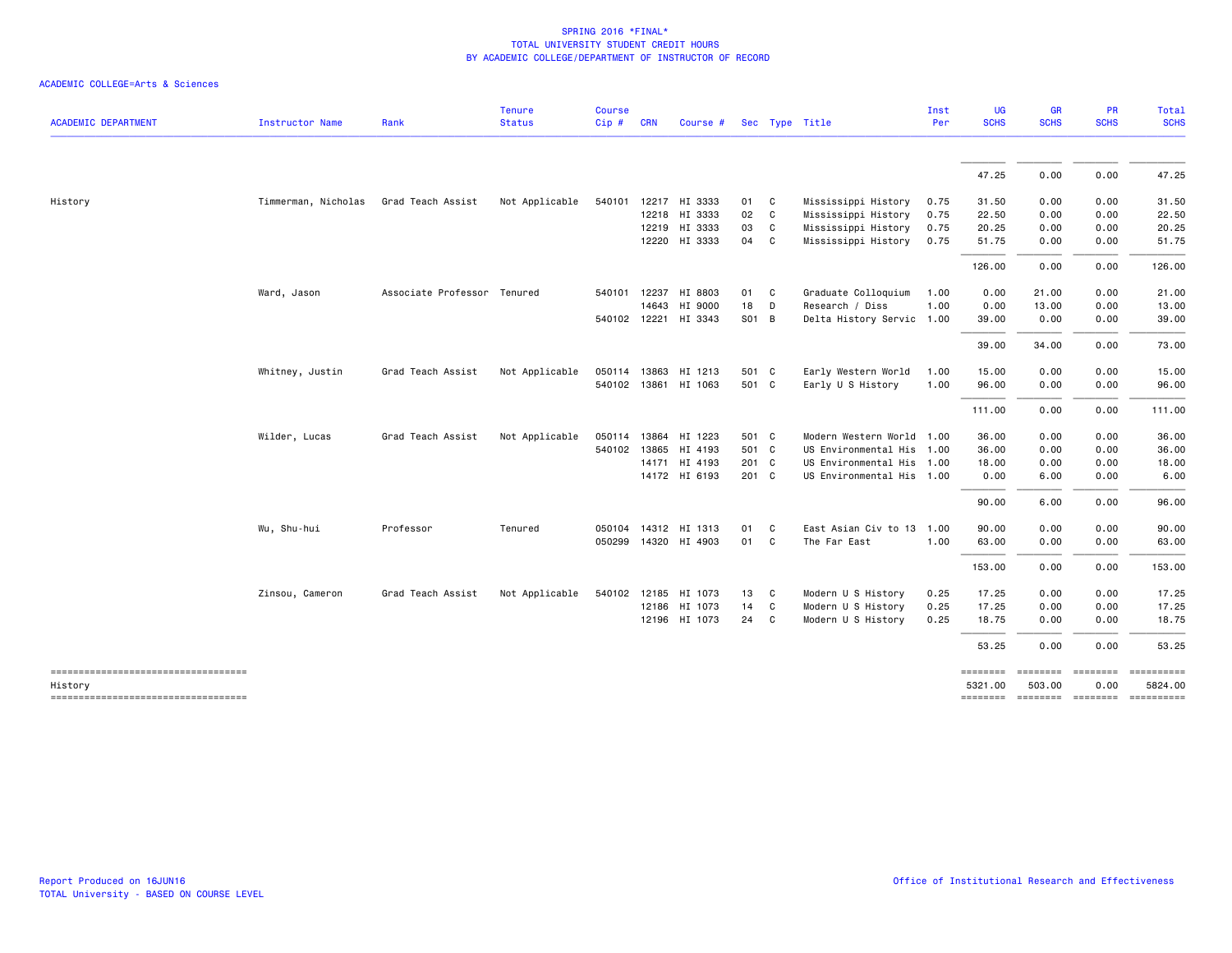|                                               |                     |                             | <b>Tenure</b>  | <b>Course</b> |              |                      |       |              |                           | Inst | <b>UG</b>           | <b>GR</b>                           | <b>PR</b>                                                                                                                                                                                                                                                                                                                                                                                                                                                                                      | Total       |
|-----------------------------------------------|---------------------|-----------------------------|----------------|---------------|--------------|----------------------|-------|--------------|---------------------------|------|---------------------|-------------------------------------|------------------------------------------------------------------------------------------------------------------------------------------------------------------------------------------------------------------------------------------------------------------------------------------------------------------------------------------------------------------------------------------------------------------------------------------------------------------------------------------------|-------------|
| <b>ACADEMIC DEPARTMENT</b>                    | Instructor Name     | Rank                        | <b>Status</b>  | Cip#          | <b>CRN</b>   | Course #             |       |              | Sec Type Title            | Per  | <b>SCHS</b>         | <b>SCHS</b>                         | <b>SCHS</b>                                                                                                                                                                                                                                                                                                                                                                                                                                                                                    | <b>SCHS</b> |
|                                               |                     |                             |                |               |              |                      |       |              |                           |      | 47.25               | 0.00                                | 0.00                                                                                                                                                                                                                                                                                                                                                                                                                                                                                           | 47.25       |
| History                                       | Timmerman, Nicholas | Grad Teach Assist           | Not Applicable | 540101        |              | 12217 HI 3333        | 01    | C            | Mississippi History       | 0.75 | 31.50               | 0.00                                | 0.00                                                                                                                                                                                                                                                                                                                                                                                                                                                                                           | 31.50       |
|                                               |                     |                             |                |               |              | 12218 HI 3333        | 02    | $\mathsf{C}$ | Mississippi History       | 0.75 | 22.50               | 0.00                                | 0.00                                                                                                                                                                                                                                                                                                                                                                                                                                                                                           | 22.50       |
|                                               |                     |                             |                |               |              | 12219 HI 3333        | 03    | C            | Mississippi History       | 0.75 | 20.25               | 0.00                                | 0.00                                                                                                                                                                                                                                                                                                                                                                                                                                                                                           | 20.25       |
|                                               |                     |                             |                |               |              | 12220 HI 3333        | 04    | $\mathbf{C}$ | Mississippi History       | 0.75 | 51.75               | 0.00                                | 0.00                                                                                                                                                                                                                                                                                                                                                                                                                                                                                           | 51.75       |
|                                               |                     |                             |                |               |              |                      |       |              |                           |      | 126.00              | 0.00                                | 0.00                                                                                                                                                                                                                                                                                                                                                                                                                                                                                           | 126.00      |
|                                               | Ward, Jason         | Associate Professor Tenured |                |               | 540101 12237 | HI 8803              | 01    | C            | Graduate Colloquium       | 1.00 | 0.00                | 21.00                               | 0.00                                                                                                                                                                                                                                                                                                                                                                                                                                                                                           | 21.00       |
|                                               |                     |                             |                |               | 14643        | HI 9000              | 18    | D            | Research / Diss           | 1.00 | 0.00                | 13.00                               | 0.00                                                                                                                                                                                                                                                                                                                                                                                                                                                                                           | 13.00       |
|                                               |                     |                             |                | 540102 12221  |              | HI 3343              | S01 B |              | Delta History Servic      | 1.00 | 39.00               | 0.00                                | 0.00                                                                                                                                                                                                                                                                                                                                                                                                                                                                                           | 39.00       |
|                                               |                     |                             |                |               |              |                      |       |              |                           |      | 39.00               | 34.00                               | 0.00                                                                                                                                                                                                                                                                                                                                                                                                                                                                                           | 73.00       |
|                                               | Whitney, Justin     | Grad Teach Assist           | Not Applicable |               |              | 050114 13863 HI 1213 | 501 C |              | Early Western World       | 1.00 | 15.00               | 0.00                                | 0.00                                                                                                                                                                                                                                                                                                                                                                                                                                                                                           | 15.00       |
|                                               |                     |                             |                |               |              | 540102 13861 HI 1063 | 501 C |              | Early U S History         | 1.00 | 96.00               | 0.00                                | 0.00                                                                                                                                                                                                                                                                                                                                                                                                                                                                                           | 96.00       |
|                                               |                     |                             |                |               |              |                      |       |              |                           |      |                     |                                     |                                                                                                                                                                                                                                                                                                                                                                                                                                                                                                |             |
|                                               |                     |                             |                |               |              |                      |       |              |                           |      | 111.00              | 0.00                                | 0.00                                                                                                                                                                                                                                                                                                                                                                                                                                                                                           | 111.00      |
|                                               | Wilder, Lucas       | Grad Teach Assist           | Not Applicable |               |              | 050114 13864 HI 1223 | 501 C |              | Modern Western World      | 1.00 | 36.00               | 0.00                                | 0.00                                                                                                                                                                                                                                                                                                                                                                                                                                                                                           | 36.00       |
|                                               |                     |                             |                |               | 540102 13865 | HI 4193              | 501 C |              | US Environmental His 1.00 |      | 36.00               | 0.00                                | 0.00                                                                                                                                                                                                                                                                                                                                                                                                                                                                                           | 36.00       |
|                                               |                     |                             |                |               |              | 14171 HI 4193        | 201 C |              | US Environmental His 1.00 |      | 18.00               | 0.00                                | 0.00                                                                                                                                                                                                                                                                                                                                                                                                                                                                                           | 18.00       |
|                                               |                     |                             |                |               |              | 14172 HI 6193        | 201 C |              | US Environmental His 1.00 |      | 0.00                | 6.00                                | 0.00                                                                                                                                                                                                                                                                                                                                                                                                                                                                                           | 6.00        |
|                                               |                     |                             |                |               |              |                      |       |              |                           |      | 90.00               | 6.00                                | 0.00                                                                                                                                                                                                                                                                                                                                                                                                                                                                                           | 96.00       |
|                                               | Wu, Shu-hui         | Professor                   | Tenured        | 050104        |              | 14312 HI 1313        | 01    | C            | East Asian Civ to 13      | 1.00 | 90.00               | 0.00                                | 0.00                                                                                                                                                                                                                                                                                                                                                                                                                                                                                           | 90.00       |
|                                               |                     |                             |                |               |              | 050299 14320 HI 4903 | 01    | C            | The Far East              | 1.00 | 63.00               | 0.00                                | 0.00                                                                                                                                                                                                                                                                                                                                                                                                                                                                                           | 63.00       |
|                                               |                     |                             |                |               |              |                      |       |              |                           |      | 153.00              | 0.00                                | 0.00                                                                                                                                                                                                                                                                                                                                                                                                                                                                                           | 153.00      |
|                                               | Zinsou, Cameron     | Grad Teach Assist           | Not Applicable |               | 540102 12185 | HI 1073              | 13    | C            | Modern U S History        | 0.25 | 17.25               | 0.00                                | 0.00                                                                                                                                                                                                                                                                                                                                                                                                                                                                                           | 17.25       |
|                                               |                     |                             |                |               |              | 12186 HI 1073        | 14    | C            | Modern U S History        | 0.25 | 17.25               | 0.00                                | 0.00                                                                                                                                                                                                                                                                                                                                                                                                                                                                                           | 17.25       |
|                                               |                     |                             |                |               |              | 12196 HI 1073        | 24    | C            | Modern U S History        | 0.25 | 18.75               | 0.00                                | 0.00                                                                                                                                                                                                                                                                                                                                                                                                                                                                                           | 18.75       |
|                                               |                     |                             |                |               |              |                      |       |              |                           |      | 53.25               | 0.00                                | 0.00                                                                                                                                                                                                                                                                                                                                                                                                                                                                                           | 53.25       |
| ----------------------------------<br>History |                     |                             |                |               |              |                      |       |              |                           |      | ========<br>5321.00 | ========<br>503.00                  | $\begin{array}{cccccccccc} \multicolumn{2}{c}{} & \multicolumn{2}{c}{} & \multicolumn{2}{c}{} & \multicolumn{2}{c}{} & \multicolumn{2}{c}{} & \multicolumn{2}{c}{} & \multicolumn{2}{c}{} & \multicolumn{2}{c}{} & \multicolumn{2}{c}{} & \multicolumn{2}{c}{} & \multicolumn{2}{c}{} & \multicolumn{2}{c}{} & \multicolumn{2}{c}{} & \multicolumn{2}{c}{} & \multicolumn{2}{c}{} & \multicolumn{2}{c}{} & \multicolumn{2}{c}{} & \multicolumn{2}{c}{} & \multicolumn{2}{c}{} & \mult$<br>0.00 | 5824.00     |
| ----------------------------------            |                     |                             |                |               |              |                      |       |              |                           |      |                     | -------- ------- -------- --------- |                                                                                                                                                                                                                                                                                                                                                                                                                                                                                                |             |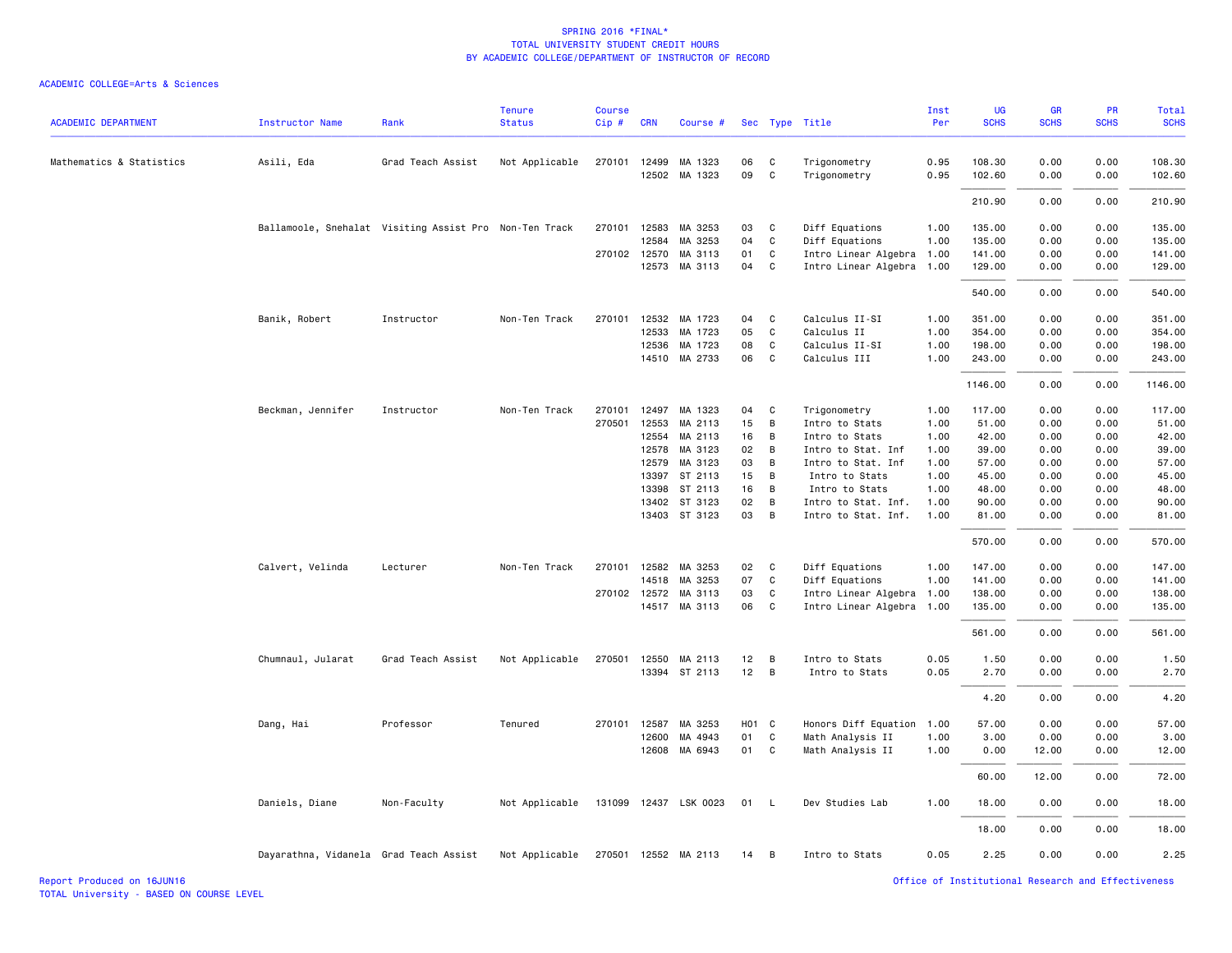| <b>ACADEMIC DEPARTMENT</b> | <b>Instructor Name</b>                                 | Rank              | <b>Tenure</b><br><b>Status</b> | <b>Course</b><br>Cip# | <b>CRN</b>   | Course #              |       |              | Sec Type Title            | Inst<br>Per | <b>UG</b><br><b>SCHS</b> | GR<br><b>SCHS</b> | PR<br><b>SCHS</b> | <b>Total</b><br><b>SCHS</b> |
|----------------------------|--------------------------------------------------------|-------------------|--------------------------------|-----------------------|--------------|-----------------------|-------|--------------|---------------------------|-------------|--------------------------|-------------------|-------------------|-----------------------------|
| Mathematics & Statistics   | Asili, Eda                                             | Grad Teach Assist | Not Applicable                 |                       | 270101 12499 | MA 1323               | 06    | C            | Trigonometry              | 0.95        | 108.30                   | 0.00              | 0.00              | 108.30                      |
|                            |                                                        |                   |                                |                       |              | 12502 MA 1323         | 09    | $\mathtt{C}$ | Trigonometry              | 0.95        | 102.60                   | 0.00              | 0.00              | 102.60                      |
|                            |                                                        |                   |                                |                       |              |                       |       |              |                           |             | 210.90                   | 0.00              | 0.00              | 210.90                      |
|                            | Ballamoole, Snehalat Visiting Assist Pro Non-Ten Track |                   |                                |                       | 270101 12583 | MA 3253               | 03    | C            | Diff Equations            | 1.00        | 135.00                   | 0.00              | 0.00              | 135.00                      |
|                            |                                                        |                   |                                |                       | 12584        | MA 3253               | 04    | $\mathtt{C}$ | Diff Equations            | 1.00        | 135.00                   | 0.00              | 0.00              | 135.00                      |
|                            |                                                        |                   |                                |                       | 270102 12570 | MA 3113               | 01    | C            | Intro Linear Algebra      | 1.00        | 141.00                   | 0.00              | 0.00              | 141.00                      |
|                            |                                                        |                   |                                |                       |              | 12573 MA 3113         | 04    | C            | Intro Linear Algebra 1.00 |             | 129.00                   | 0.00              | 0.00              | 129.00                      |
|                            |                                                        |                   |                                |                       |              |                       |       |              |                           |             | 540.00                   | 0.00              | 0.00              | 540.00                      |
|                            | Banik, Robert                                          | Instructor        | Non-Ten Track                  | 270101                | 12532        | MA 1723               | 04    | C            | Calculus II-SI            | 1.00        | 351.00                   | 0.00              | 0.00              | 351.00                      |
|                            |                                                        |                   |                                |                       | 12533        | MA 1723               | 05    | $\mathtt{C}$ | Calculus II               | 1.00        | 354.00                   | 0.00              | 0.00              | 354.00                      |
|                            |                                                        |                   |                                |                       | 12536        | MA 1723               | 08    | C            | Calculus II-SI            | 1.00        | 198.00                   | 0.00              | 0.00              | 198.00                      |
|                            |                                                        |                   |                                |                       |              | 14510 MA 2733         | 06    | C            | Calculus III              | 1.00        | 243.00                   | 0.00              | 0.00              | 243.00                      |
|                            |                                                        |                   |                                |                       |              |                       |       |              |                           |             | 1146.00                  | 0.00              | 0.00              | 1146.00                     |
|                            | Beckman, Jennifer                                      | Instructor        | Non-Ten Track                  | 270101                | 12497        | MA 1323               | 04    | C            | Trigonometry              | 1.00        | 117.00                   | 0.00              | 0.00              | 117.00                      |
|                            |                                                        |                   |                                | 270501                | 12553        | MA 2113               | 15    | B            | Intro to Stats            | 1.00        | 51.00                    | 0.00              | 0.00              | 51.00                       |
|                            |                                                        |                   |                                |                       | 12554        | MA 2113               | 16    | В            | Intro to Stats            | 1.00        | 42.00                    | 0.00              | 0.00              | 42.00                       |
|                            |                                                        |                   |                                |                       | 12578        | MA 3123               | 02    | B            | Intro to Stat. Inf        | 1.00        | 39.00                    | 0.00              | 0.00              | 39.00                       |
|                            |                                                        |                   |                                |                       | 12579        | MA 3123               | 03    | B            | Intro to Stat. Inf        | 1.00        | 57.00                    | 0.00              | 0.00              | 57.00                       |
|                            |                                                        |                   |                                |                       | 13397        | ST 2113               | 15    | B            | Intro to Stats            | 1.00        | 45.00                    | 0.00              | 0.00              | 45.00                       |
|                            |                                                        |                   |                                |                       | 13398        | ST 2113               | 16    | B            | Intro to Stats            | 1.00        | 48.00                    | 0.00              | 0.00              | 48.00                       |
|                            |                                                        |                   |                                |                       | 13402        | ST 3123               | 02    | B            | Intro to Stat. Inf.       | 1.00        | 90.00                    | 0.00              | 0.00              | 90.00                       |
|                            |                                                        |                   |                                |                       |              | 13403 ST 3123         | 03    | B            | Intro to Stat. Inf.       | 1.00        | 81.00                    | 0.00              | 0.00              | 81.00                       |
|                            |                                                        |                   |                                |                       |              |                       |       |              |                           |             | 570.00                   | 0.00              | 0.00              | 570.00                      |
|                            | Calvert, Velinda                                       | Lecturer          | Non-Ten Track                  |                       |              | 270101 12582 MA 3253  | 02    | C            | Diff Equations            | 1.00        | 147.00                   | 0.00              | 0.00              | 147.00                      |
|                            |                                                        |                   |                                |                       | 14518        | MA 3253               | 07    | C            | Diff Equations            | 1.00        | 141.00                   | 0.00              | 0.00              | 141.00                      |
|                            |                                                        |                   |                                |                       | 270102 12572 | MA 3113               | 03    | C            | Intro Linear Algebra      | 1.00        | 138.00                   | 0.00              | 0.00              | 138.00                      |
|                            |                                                        |                   |                                |                       |              | 14517 MA 3113         | 06    | C            | Intro Linear Algebra      | 1.00        | 135.00                   | 0.00              | 0.00              | 135.00                      |
|                            |                                                        |                   |                                |                       |              |                       |       |              |                           |             | 561.00                   | 0.00              | 0.00              | 561.00                      |
|                            | Chumnaul, Jularat                                      | Grad Teach Assist | Not Applicable                 | 270501                | 12550        | MA 2113               | 12    | B            | Intro to Stats            | 0.05        | 1.50                     | 0.00              | 0.00              | 1.50                        |
|                            |                                                        |                   |                                |                       | 13394        | ST 2113               | 12    | B            | Intro to Stats            | 0.05        | 2.70                     | 0.00              | 0.00              | 2.70                        |
|                            |                                                        |                   |                                |                       |              |                       |       |              |                           |             | 4.20                     | 0.00              | 0.00              | 4.20                        |
|                            | Dang, Hai                                              | Professor         | Tenured                        | 270101                | 12587        | MA 3253               | H01 C |              | Honors Diff Equation      | 1.00        | 57.00                    | 0.00              | 0.00              | 57.00                       |
|                            |                                                        |                   |                                |                       | 12600        | MA 4943               | 01    | C            | Math Analysis II          | 1.00        | 3.00                     | 0.00              | 0.00              | 3.00                        |
|                            |                                                        |                   |                                |                       |              | 12608 MA 6943         | 01    | C            | Math Analysis II          | 1.00        | 0.00                     | 12.00             | 0.00              | 12.00                       |
|                            |                                                        |                   |                                |                       |              |                       |       |              |                           |             | 60.00                    | 12.00             | 0.00              | 72.00                       |
|                            | Daniels, Diane                                         | Non-Faculty       | Not Applicable                 |                       |              | 131099 12437 LSK 0023 | 01    | - L          | Dev Studies Lab           | 1.00        | 18.00                    | 0.00              | 0.00              | 18.00                       |
|                            |                                                        |                   |                                |                       |              |                       |       |              |                           |             | 18.00                    | 0.00              | 0.00              | 18.00                       |
|                            | Dayarathna, Vidanela Grad Teach Assist                 |                   | Not Applicable                 |                       |              | 270501 12552 MA 2113  | 14    | B            | Intro to Stats            | 0.05        | 2.25                     | 0.00              | 0.00              | 2.25                        |
|                            |                                                        |                   |                                |                       |              |                       |       |              |                           |             |                          |                   |                   |                             |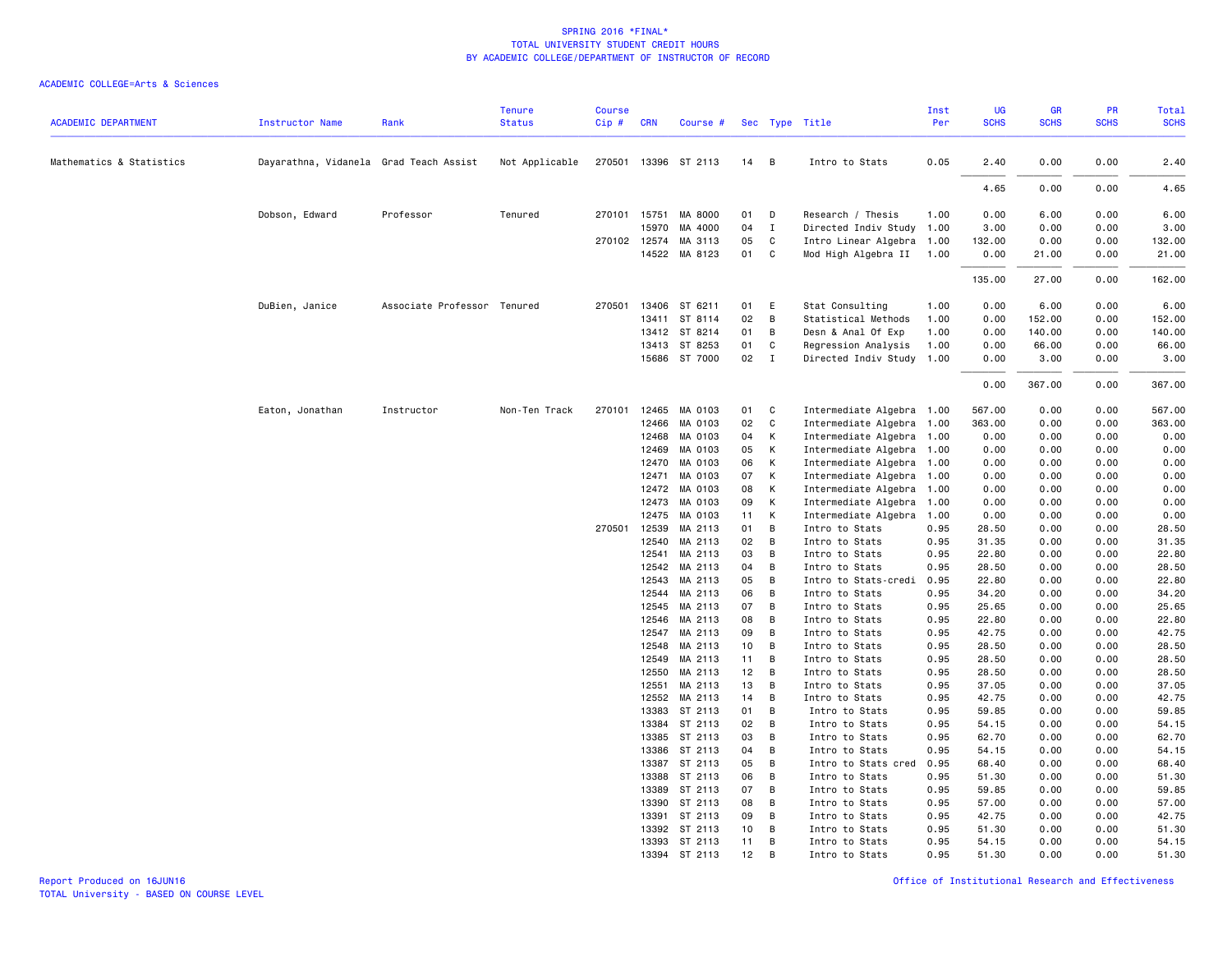|                            |                                        |                             | <b>Tenure</b>  | <b>Course</b> |                |                      |          |                     |                                  | Inst         | UG             | <b>GR</b>    | PR           | Total          |
|----------------------------|----------------------------------------|-----------------------------|----------------|---------------|----------------|----------------------|----------|---------------------|----------------------------------|--------------|----------------|--------------|--------------|----------------|
| <b>ACADEMIC DEPARTMENT</b> | <b>Instructor Name</b>                 | Rank                        | <b>Status</b>  | Cip#          | <b>CRN</b>     | Course #             |          |                     | Sec Type Title                   | Per          | <b>SCHS</b>    | <b>SCHS</b>  | <b>SCHS</b>  | <b>SCHS</b>    |
| Mathematics & Statistics   | Dayarathna, Vidanela Grad Teach Assist |                             | Not Applicable |               |                | 270501 13396 ST 2113 | 14       | $\overline{B}$      | Intro to Stats                   | 0.05         | 2.40           | 0.00         | 0.00         | 2.40           |
|                            |                                        |                             |                |               |                |                      |          |                     |                                  |              |                |              |              |                |
|                            |                                        |                             |                |               |                |                      |          |                     |                                  |              | 4.65           | 0.00         | 0.00         | 4.65           |
|                            | Dobson, Edward                         | Professor                   | Tenured        |               | 270101 15751   | MA 8000              | 01       | D                   | Research / Thesis                | 1.00         | 0.00           | 6.00         | 0.00         | 6.00           |
|                            |                                        |                             |                |               | 15970          | MA 4000              | 04       | $\mathbf{I}$        | Directed Indiv Study 1.00        |              | 3.00           | 0.00         | 0.00         | 3.00           |
|                            |                                        |                             |                | 270102        | 12574          | MA 3113              | 05       | C                   | Intro Linear Algebra 1.00        |              | 132.00         | 0.00         | 0.00         | 132.00         |
|                            |                                        |                             |                |               |                | 14522 MA 8123        | 01 C     |                     | Mod High Algebra II 1.00         |              | 0.00           | 21.00        | 0.00         | 21.00          |
|                            |                                        |                             |                |               |                |                      |          |                     |                                  |              | 135.00         | 27.00        | 0.00         | 162.00         |
|                            | DuBien, Janice                         | Associate Professor Tenured |                | 270501        | 13406          | ST 6211              | 01       | E                   | Stat Consulting                  | 1.00         | 0.00           | 6.00         | 0.00         | 6.00           |
|                            |                                        |                             |                |               | 13411          | ST 8114              | 02       | $\overline{B}$      | Statistical Methods              | 1.00         | 0.00           | 152.00       | 0.00         | 152.00         |
|                            |                                        |                             |                |               |                | 13412 ST 8214        | 01       | B                   | Desn & Anal Of Exp               | 1.00         | 0.00           | 140.00       | 0.00         | 140.00         |
|                            |                                        |                             |                |               |                | 13413 ST 8253        | 01       | C                   | Regression Analysis              | 1.00         | 0.00           | 66.00        | 0.00         | 66.00          |
|                            |                                        |                             |                |               |                | 15686 ST 7000        | 02       | $\mathbf{I}$        | Directed Indiv Study 1.00        |              | 0.00           | 3.00         | 0.00         | 3.00           |
|                            |                                        |                             |                |               |                |                      |          |                     |                                  |              | 0.00           | 367.00       | 0.00         | 367.00         |
|                            | Eaton, Jonathan                        | Instructor                  | Non-Ten Track  | 270101        | 12465          | MA 0103              | 01       | $\mathbf{C}$        | Intermediate Algebra 1.00        |              | 567.00         | 0.00         | 0.00         | 567.00         |
|                            |                                        |                             |                |               | 12466          | MA 0103              | 02       | $\mathbf{C}$        | Intermediate Algebra 1.00        |              | 363.00         | 0.00         | 0.00         | 363.00         |
|                            |                                        |                             |                |               | 12468          | MA 0103              | 04       | К                   | Intermediate Algebra 1.00        |              | 0.00           | 0.00         | 0.00         | 0.00           |
|                            |                                        |                             |                |               | 12469          | MA 0103              | 05       | K                   | Intermediate Algebra 1.00        |              | 0.00           | 0.00         | 0.00         | 0.00           |
|                            |                                        |                             |                |               | 12470          | MA 0103              | 06       | K                   | Intermediate Algebra 1.00        |              | 0.00           | 0.00         | 0.00         | 0.00           |
|                            |                                        |                             |                |               | 12471          | MA 0103              | 07       | К                   | Intermediate Algebra 1.00        |              | 0.00           | 0.00         | 0.00         | 0.00           |
|                            |                                        |                             |                |               | 12472          | MA 0103              | 08       | К                   | Intermediate Algebra 1.00        |              | 0.00           | 0.00         | 0.00         | 0.00           |
|                            |                                        |                             |                |               | 12473          | MA 0103              | 09       | K                   | Intermediate Algebra 1.00        |              | 0.00           | 0.00         | 0.00         | 0.00           |
|                            |                                        |                             |                |               | 12475          | MA 0103              | 11       | $\mathsf{K}$        | Intermediate Algebra             | 1.00         | 0.00           | 0.00         | 0.00         | 0.00           |
|                            |                                        |                             |                |               | 270501 12539   | MA 2113              | 01       | B                   | Intro to Stats                   | 0.95         | 28.50          | 0.00         | 0.00         | 28.50          |
|                            |                                        |                             |                |               | 12540          | MA 2113              | 02       | $\overline{B}$      | Intro to Stats                   | 0.95         | 31.35          | 0.00         | 0.00         | 31.35          |
|                            |                                        |                             |                |               | 12541          | MA 2113              | 03       | B                   | Intro to Stats                   | 0.95         | 22.80          | 0.00         | 0.00         | 22.80          |
|                            |                                        |                             |                |               | 12542          | MA 2113              | 04       | B                   | Intro to Stats                   | 0.95         | 28.50          | 0.00         | 0.00         | 28.50          |
|                            |                                        |                             |                |               | 12543          | MA 2113              | 05       | $\overline{B}$      | Intro to Stats-credi             | 0.95         | 22.80          | 0.00         | 0.00         | 22.80          |
|                            |                                        |                             |                |               | 12544<br>12545 | MA 2113<br>MA 2113   | 06<br>07 | $\overline{B}$<br>B | Intro to Stats<br>Intro to Stats | 0.95<br>0.95 | 34.20<br>25.65 | 0.00<br>0.00 | 0.00<br>0.00 | 34.20<br>25.65 |
|                            |                                        |                             |                |               | 12546          | MA 2113              | 08       | B                   | Intro to Stats                   | 0.95         | 22.80          | 0.00         | 0.00         | 22.80          |
|                            |                                        |                             |                |               | 12547          | MA 2113              | 09       | B                   | Intro to Stats                   | 0.95         | 42.75          | 0.00         | 0.00         | 42.75          |
|                            |                                        |                             |                |               | 12548          | MA 2113              | 10       | B                   | Intro to Stats                   | 0.95         | 28.50          | 0.00         | 0.00         | 28.50          |
|                            |                                        |                             |                |               | 12549          | MA 2113              | 11       | B                   | Intro to Stats                   | 0.95         | 28.50          | 0.00         | 0.00         | 28.50          |
|                            |                                        |                             |                |               | 12550          | MA 2113              | 12       | $\overline{B}$      | Intro to Stats                   | 0.95         | 28.50          | 0.00         | 0.00         | 28.50          |
|                            |                                        |                             |                |               | 12551          | MA 2113              | 13       | $\overline{B}$      | Intro to Stats                   | 0.95         | 37.05          | 0.00         | 0.00         | 37.05          |
|                            |                                        |                             |                |               | 12552          | MA 2113              | 14       | B                   | Intro to Stats                   | 0.95         | 42.75          | 0.00         | 0.00         | 42.75          |
|                            |                                        |                             |                |               | 13383          | ST 2113              | 01       | $\overline{B}$      | Intro to Stats                   | 0.95         | 59.85          | 0.00         | 0.00         | 59.85          |
|                            |                                        |                             |                |               | 13384          | ST 2113              | 02       | $\overline{B}$      | Intro to Stats                   | 0.95         | 54.15          | 0.00         | 0.00         | 54.15          |
|                            |                                        |                             |                |               | 13385          | ST 2113              | 03       | B                   | Intro to Stats                   | 0.95         | 62.70          | 0.00         | 0.00         | 62.70          |
|                            |                                        |                             |                |               | 13386          | ST 2113              | 04       | B                   | Intro to Stats                   | 0.95         | 54.15          | 0.00         | 0.00         | 54.15          |
|                            |                                        |                             |                |               |                | 13387 ST 2113        | 05       | $\overline{B}$      | Intro to Stats cred              | 0.95         | 68.40          | 0.00         | 0.00         | 68.40          |
|                            |                                        |                             |                |               | 13388          | ST 2113              | 06       | B                   | Intro to Stats                   | 0.95         | 51.30          | 0.00         | 0.00         | 51.30          |
|                            |                                        |                             |                |               | 13389          | ST 2113              | 07       | B                   | Intro to Stats                   | 0.95         | 59.85          | 0.00         | 0.00         | 59.85          |
|                            |                                        |                             |                |               | 13390          | ST 2113              | 08       | B                   | Intro to Stats                   | 0.95         | 57.00          | 0.00         | 0.00         | 57.00          |
|                            |                                        |                             |                |               | 13391          | ST 2113              | 09       | B                   | Intro to Stats                   | 0.95         | 42.75          | 0.00         | 0.00         | 42.75          |
|                            |                                        |                             |                |               | 13392          | ST 2113              | 10       | B                   | Intro to Stats                   | 0.95         | 51.30          | 0.00         | 0.00         | 51.30          |
|                            |                                        |                             |                |               |                | 13393 ST 2113        | 11       | B                   | Intro to Stats                   | 0.95         | 54.15          | 0.00         | 0.00         | 54.15          |
|                            |                                        |                             |                |               |                | 13394 ST 2113        | 12       | B                   | Intro to Stats                   | 0.95         | 51.30          | 0.00         | 0.00         | 51.30          |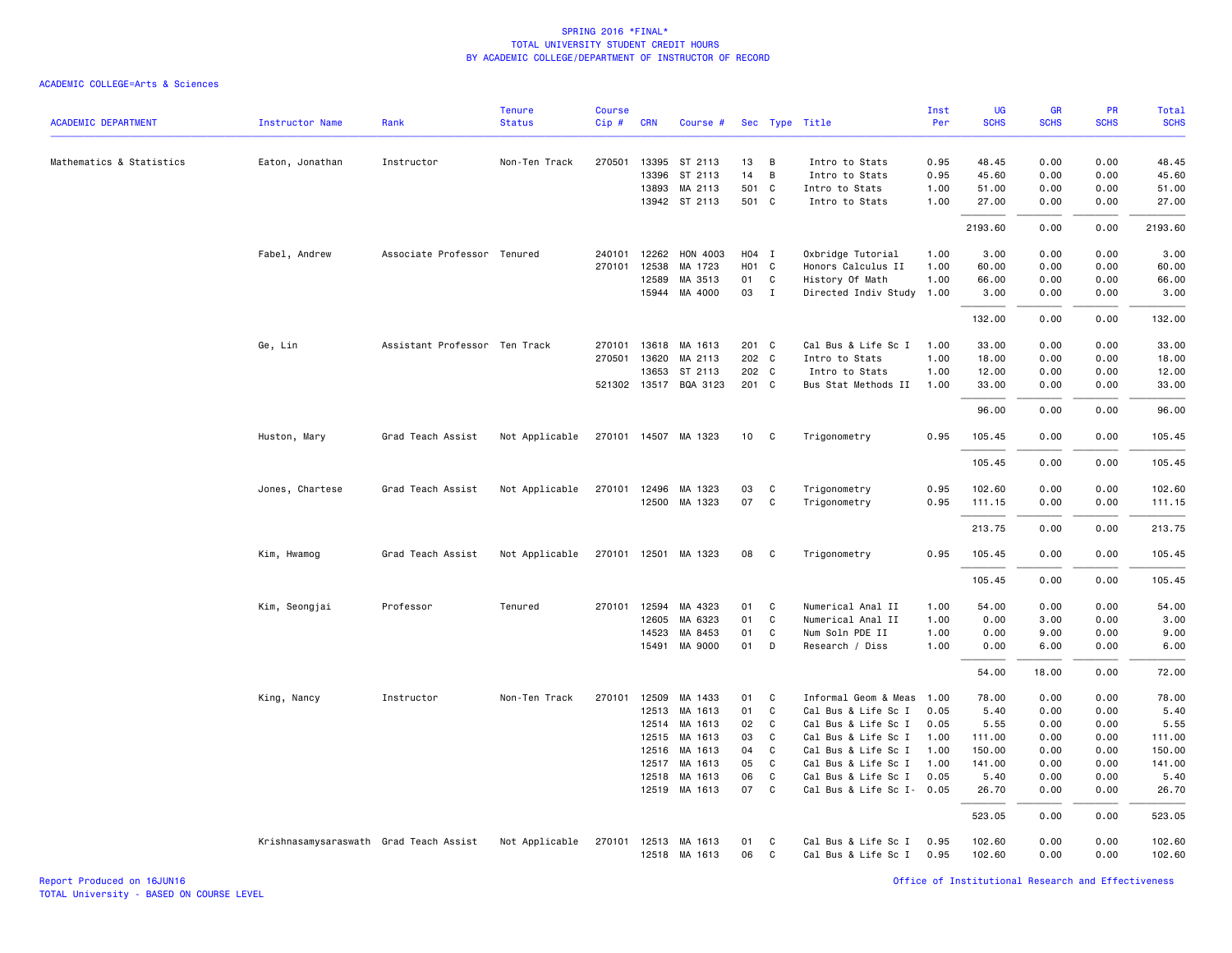|                            |                                        |                               | <b>Tenure</b>  | <b>Course</b> |              |                       |       |              |                           | Inst | UG          | GR          | PR          | Total       |
|----------------------------|----------------------------------------|-------------------------------|----------------|---------------|--------------|-----------------------|-------|--------------|---------------------------|------|-------------|-------------|-------------|-------------|
| <b>ACADEMIC DEPARTMENT</b> | <b>Instructor Name</b>                 | Rank                          | <b>Status</b>  | Cip#          | <b>CRN</b>   | Course #              |       |              | Sec Type Title            | Per  | <b>SCHS</b> | <b>SCHS</b> | <b>SCHS</b> | <b>SCHS</b> |
| Mathematics & Statistics   | Eaton, Jonathan                        | Instructor                    | Non-Ten Track  |               | 270501 13395 | ST 2113               | 13    | B            | Intro to Stats            | 0.95 | 48.45       | 0.00        | 0.00        | 48.45       |
|                            |                                        |                               |                |               | 13396        | ST 2113               | 14    | B            | Intro to Stats            | 0.95 | 45.60       | 0.00        | 0.00        | 45.60       |
|                            |                                        |                               |                |               | 13893        | MA 2113               | 501 C |              | Intro to Stats            | 1.00 | 51.00       | 0.00        | 0.00        | 51.00       |
|                            |                                        |                               |                |               |              | 13942 ST 2113         | 501 C |              | Intro to Stats            | 1.00 | 27.00       | 0.00        | 0.00        | 27.00       |
|                            |                                        |                               |                |               |              |                       |       |              |                           |      | 2193.60     | 0.00        | 0.00        | 2193.60     |
|                            | Fabel, Andrew                          | Associate Professor Tenured   |                | 240101        | 12262        | HON 4003              | H04 I |              | Oxbridge Tutorial         | 1.00 | 3.00        | 0.00        | 0.00        | 3.00        |
|                            |                                        |                               |                |               | 270101 12538 | MA 1723               | HO1 C |              | Honors Calculus II        | 1.00 | 60.00       | 0.00        | 0.00        | 60.00       |
|                            |                                        |                               |                |               | 12589        | MA 3513               | 01    | C            | History Of Math           | 1.00 | 66.00       | 0.00        | 0.00        | 66.00       |
|                            |                                        |                               |                |               | 15944        | MA 4000               | 03    | $\mathbf{I}$ | Directed Indiv Study      | 1.00 | 3.00        | 0.00        | 0.00        | 3.00        |
|                            |                                        |                               |                |               |              |                       |       |              |                           |      | 132.00      | 0.00        | 0.00        | 132.00      |
|                            | Ge, Lin                                | Assistant Professor Ten Track |                |               | 270101 13618 | MA 1613               | 201 C |              | Cal Bus & Life Sc I       | 1.00 | 33.00       | 0.00        | 0.00        | 33.00       |
|                            |                                        |                               |                |               | 270501 13620 | MA 2113               | 202 C |              | Intro to Stats            | 1.00 | 18.00       | 0.00        | 0.00        | 18.00       |
|                            |                                        |                               |                |               | 13653        | ST 2113               | 202 C |              | Intro to Stats            | 1.00 | 12.00       | 0.00        | 0.00        | 12.00       |
|                            |                                        |                               |                |               |              | 521302 13517 BQA 3123 | 201 C |              | Bus Stat Methods II       | 1.00 | 33.00       | 0.00        | 0.00        | 33.00       |
|                            |                                        |                               |                |               |              |                       |       |              |                           |      | 96.00       | 0.00        | 0.00        | 96.00       |
|                            | Huston, Mary                           | Grad Teach Assist             | Not Applicable |               |              | 270101 14507 MA 1323  | 10    | C            | Trigonometry              | 0.95 | 105.45      | 0.00        | 0.00        | 105.45      |
|                            |                                        |                               |                |               |              |                       |       |              |                           |      | 105.45      | 0.00        | 0.00        | 105.45      |
|                            | Jones, Chartese                        | Grad Teach Assist             | Not Applicable |               | 270101 12496 | MA 1323               | 03    | C            | Trigonometry              | 0.95 | 102.60      | 0.00        | 0.00        | 102.60      |
|                            |                                        |                               |                |               | 12500        | MA 1323               | 07    | C            | Trigonometry              | 0.95 | 111.15      | 0.00        | 0.00        | 111.15      |
|                            |                                        |                               |                |               |              |                       |       |              |                           |      | 213.75      | 0.00        | 0.00        | 213.75      |
|                            | Kim, Hwamog                            | Grad Teach Assist             | Not Applicable |               |              | 270101 12501 MA 1323  | 08    | C            | Trigonometry              | 0.95 | 105.45      | 0.00        | 0.00        | 105.45      |
|                            |                                        |                               |                |               |              |                       |       |              |                           |      | 105.45      | 0.00        | 0.00        | 105.45      |
|                            | Kim, Seongjai                          | Professor                     | Tenured        |               | 270101 12594 | MA 4323               | 01    | C            | Numerical Anal II         | 1.00 | 54.00       | 0.00        | 0.00        | 54.00       |
|                            |                                        |                               |                |               | 12605        | MA 6323               | 01    | $\mathtt{C}$ | Numerical Anal II         | 1.00 | 0.00        | 3.00        | 0.00        | 3.00        |
|                            |                                        |                               |                |               | 14523        | MA 8453               | 01    | C            | Num Soln PDE II           | 1.00 | 0.00        | 9.00        | 0.00        | 9.00        |
|                            |                                        |                               |                |               |              | 15491 MA 9000         | 01    | D            | Research / Diss           | 1.00 | 0.00        | 6.00        | 0.00        | 6.00        |
|                            |                                        |                               |                |               |              |                       |       |              |                           |      | 54.00       | 18,00       | 0.00        | 72.00       |
|                            | King, Nancy                            | Instructor                    | Non-Ten Track  | 270101        | 12509        | MA 1433               | 01    | C            | Informal Geom & Meas      | 1.00 | 78.00       | 0.00        | 0.00        | 78.00       |
|                            |                                        |                               |                |               | 12513        | MA 1613               | 01    | C            | Cal Bus & Life Sc I       | 0.05 | 5.40        | 0.00        | 0.00        | 5.40        |
|                            |                                        |                               |                |               | 12514        | MA 1613               | 02    | C            | Cal Bus & Life Sc I       | 0.05 | 5.55        | 0.00        | 0.00        | 5.55        |
|                            |                                        |                               |                |               | 12515        | MA 1613               | 03    | C            | Cal Bus & Life Sc I       | 1.00 | 111.00      | 0.00        | 0.00        | 111.00      |
|                            |                                        |                               |                |               | 12516        | MA 1613               | 04    | C            | Cal Bus & Life Sc I       | 1.00 | 150.00      | 0.00        | 0.00        | 150.00      |
|                            |                                        |                               |                |               | 12517        | MA 1613               | 05    | C            | Cal Bus & Life Sc I       | 1.00 | 141.00      | 0.00        | 0.00        | 141.00      |
|                            |                                        |                               |                |               | 12518        | MA 1613               | 06    | C            | Cal Bus & Life Sc I       | 0.05 | 5.40        | 0.00        | 0.00        | 5.40        |
|                            |                                        |                               |                |               |              | 12519 MA 1613         | 07    | $\mathtt{C}$ | Cal Bus & Life Sc I- 0.05 |      | 26.70       | 0.00        | 0.00        | 26.70       |
|                            |                                        |                               |                |               |              |                       |       |              |                           |      | 523.05      | 0.00        | 0.00        | 523.05      |
|                            | Krishnasamysaraswath Grad Teach Assist |                               | Not Applicable |               |              | 270101 12513 MA 1613  | 01    | C            | Cal Bus & Life Sc I       | 0.95 | 102.60      | 0.00        | 0.00        | 102.60      |
|                            |                                        |                               |                |               |              | 12518 MA 1613         | 06    | $\mathtt{C}$ | Cal Bus & Life Sc I       | 0.95 | 102.60      | 0.00        | 0.00        | 102.60      |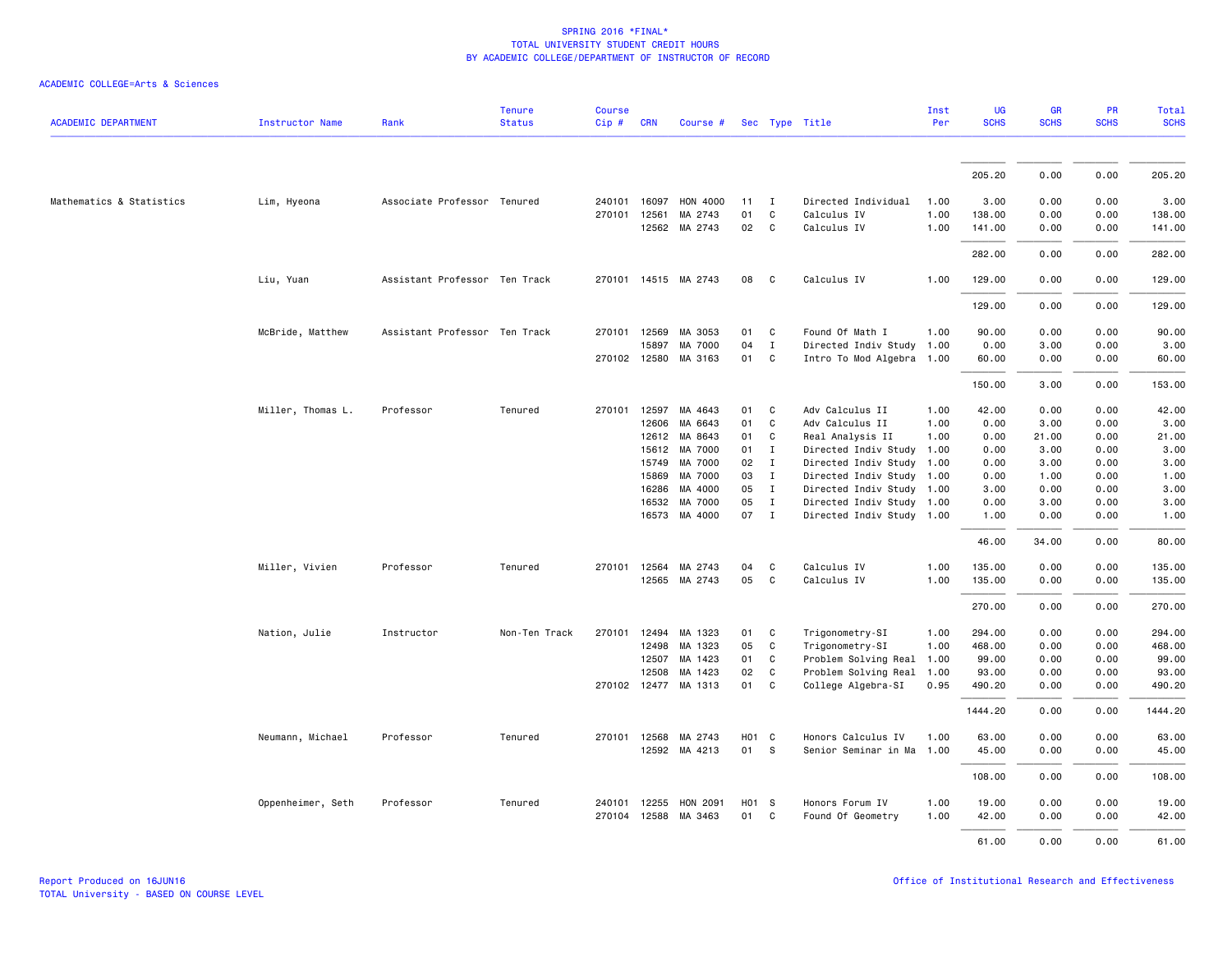| <b>ACADEMIC DEPARTMENT</b> | <b>Instructor Name</b> | Rank                          | <b>Tenure</b><br><b>Status</b> | <b>Course</b><br>Cip# | <b>CRN</b>   | Course #             |                   |              | Sec Type Title            | Inst<br>Per | <b>UG</b><br><b>SCHS</b> | <b>GR</b><br><b>SCHS</b> | PR<br><b>SCHS</b> | Total<br><b>SCHS</b> |
|----------------------------|------------------------|-------------------------------|--------------------------------|-----------------------|--------------|----------------------|-------------------|--------------|---------------------------|-------------|--------------------------|--------------------------|-------------------|----------------------|
|                            |                        |                               |                                |                       |              |                      |                   |              |                           |             |                          |                          |                   |                      |
|                            |                        |                               |                                |                       |              |                      |                   |              |                           |             | 205.20                   | 0.00                     | 0.00              | 205.20               |
| Mathematics & Statistics   | Lim, Hyeona            | Associate Professor Tenured   |                                | 240101                | 16097        | <b>HON 4000</b>      | 11                | $\mathbf{I}$ | Directed Individual       | 1.00        | 3.00                     | 0.00                     | 0.00              | 3.00                 |
|                            |                        |                               |                                | 270101                | 12561        | MA 2743              | 01                | C            | Calculus IV               | 1.00        | 138.00                   | 0.00                     | 0.00              | 138.00               |
|                            |                        |                               |                                |                       | 12562        | MA 2743              | 02                | C            | Calculus IV               | 1.00        | 141.00                   | 0.00                     | 0.00              | 141.00               |
|                            |                        |                               |                                |                       |              |                      |                   |              |                           |             | 282.00                   | 0.00                     | 0.00              | 282.00               |
|                            | Liu, Yuan              | Assistant Professor Ten Track |                                |                       |              | 270101 14515 MA 2743 | 08                | C            | Calculus IV               | 1.00        | 129.00                   | 0.00                     | 0.00              | 129.00               |
|                            |                        |                               |                                |                       |              |                      |                   |              |                           |             | 129.00                   | 0.00                     | 0.00              | 129.00               |
|                            | McBride, Matthew       | Assistant Professor Ten Track |                                | 270101                | 12569        | MA 3053              | 01                | C            | Found Of Math I           | 1.00        | 90.00                    | 0.00                     | 0.00              | 90.00                |
|                            |                        |                               |                                |                       | 15897        | MA 7000              | 04                | $\mathbf{I}$ | Directed Indiv Study      | 1.00        | 0.00                     | 3.00                     | 0.00              | 3.00                 |
|                            |                        |                               |                                |                       | 270102 12580 | MA 3163              | 01                | C            | Intro To Mod Algebra 1.00 |             | 60.00                    | 0.00                     | 0.00              | 60.00                |
|                            |                        |                               |                                |                       |              |                      |                   |              |                           |             | 150.00                   | 3.00                     | 0.00              | 153.00               |
|                            | Miller, Thomas L.      | Professor                     | Tenured                        | 270101                | 12597        | MA 4643              | 01                | C            | Adv Calculus II           | 1.00        | 42.00                    | 0.00                     | 0.00              | 42.00                |
|                            |                        |                               |                                |                       | 12606        | MA 6643              | 01                | C            | Adv Calculus II           | 1.00        | 0.00                     | 3.00                     | 0.00              | 3.00                 |
|                            |                        |                               |                                |                       | 12612        | MA 8643              | 01                | C            | Real Analysis II          | 1.00        | 0.00                     | 21.00                    | 0.00              | 21.00                |
|                            |                        |                               |                                |                       | 15612        | MA 7000              | 01                | $\mathbf{I}$ | Directed Indiv Study      | 1.00        | 0.00                     | 3.00                     | 0.00              | 3.00                 |
|                            |                        |                               |                                |                       | 15749        | MA 7000              | 02                | $\mathbf{I}$ | Directed Indiv Study      | 1.00        | 0.00                     | 3.00                     | 0.00              | 3.00                 |
|                            |                        |                               |                                |                       | 15869        | MA 7000              | 03                | $\mathbf{I}$ | Directed Indiv Study 1.00 |             | 0.00                     | 1.00                     | 0.00              | 1.00                 |
|                            |                        |                               |                                |                       | 16286        | MA 4000              | 05                | $\mathbf{I}$ | Directed Indiv Study 1.00 |             | 3.00                     | 0.00                     | 0.00              | 3.00                 |
|                            |                        |                               |                                |                       | 16532        | MA 7000              | 05                | $\mathbf{I}$ | Directed Indiv Study 1.00 |             | 0.00                     | 3.00                     | 0.00              | 3.00                 |
|                            |                        |                               |                                |                       |              | 16573 MA 4000        | 07 I              |              | Directed Indiv Study 1.00 |             | 1.00                     | 0.00                     | 0.00              | 1.00                 |
|                            |                        |                               |                                |                       |              |                      |                   |              |                           |             | 46.00                    | 34.00                    | 0.00              | 80.00                |
|                            | Miller, Vivien         | Professor                     | Tenured                        | 270101                | 12564        | MA 2743              | 04                | $\mathtt{C}$ | Calculus IV               | 1.00        | 135.00                   | 0.00                     | 0.00              | 135.00               |
|                            |                        |                               |                                |                       |              | 12565 MA 2743        | 05                | C            | Calculus IV               | 1.00        | 135.00                   | 0.00                     | 0.00              | 135.00               |
|                            |                        |                               |                                |                       |              |                      |                   |              |                           |             | 270.00                   | 0.00                     | 0.00              | 270.00               |
|                            | Nation, Julie          | Instructor                    | Non-Ten Track                  | 270101                |              | 12494 MA 1323        | 01                | C            | Trigonometry-SI           | 1.00        | 294.00                   | 0.00                     | 0.00              | 294.00               |
|                            |                        |                               |                                |                       | 12498        | MA 1323              | 05                | C            | Trigonometry-SI           | 1.00        | 468.00                   | 0.00                     | 0.00              | 468.00               |
|                            |                        |                               |                                |                       | 12507        | MA 1423              | 01                | C            | Problem Solving Real      | 1.00        | 99.00                    | 0.00                     | 0.00              | 99.00                |
|                            |                        |                               |                                |                       | 12508        | MA 1423              | 02                | C            | Problem Solving Real      | 1.00        | 93.00                    | 0.00                     | 0.00              | 93.00                |
|                            |                        |                               |                                |                       |              | 270102 12477 MA 1313 | 01                | C            | College Algebra-SI        | 0.95        | 490.20                   | 0.00                     | 0.00              | 490.20               |
|                            |                        |                               |                                |                       |              |                      |                   |              |                           |             | 1444.20                  | 0.00                     | 0.00              | 1444.20              |
|                            | Neumann, Michael       | Professor                     | Tenured                        | 270101                | 12568        | MA 2743              | H <sub>01</sub> C |              | Honors Calculus IV        | 1.00        | 63.00                    | 0.00                     | 0.00              | 63.00                |
|                            |                        |                               |                                |                       |              | 12592 MA 4213        | 01 S              |              | Senior Seminar in Ma 1.00 |             | 45.00                    | 0.00                     | 0.00              | 45.00                |
|                            |                        |                               |                                |                       |              |                      |                   |              |                           |             | 108.00                   | 0.00                     | 0.00              | 108.00               |
|                            | Oppenheimer, Seth      | Professor                     | Tenured                        | 240101                | 12255        | HON 2091             | H01 S             |              | Honors Forum IV           | 1.00        | 19.00                    | 0.00                     | 0.00              | 19.00                |
|                            |                        |                               |                                |                       |              | 270104 12588 MA 3463 | 01 C              |              | Found Of Geometry         | 1.00        | 42.00                    | 0.00                     | 0.00              | 42.00                |
|                            |                        |                               |                                |                       |              |                      |                   |              |                           |             | 61.00                    | 0.00                     | 0.00              | 61.00                |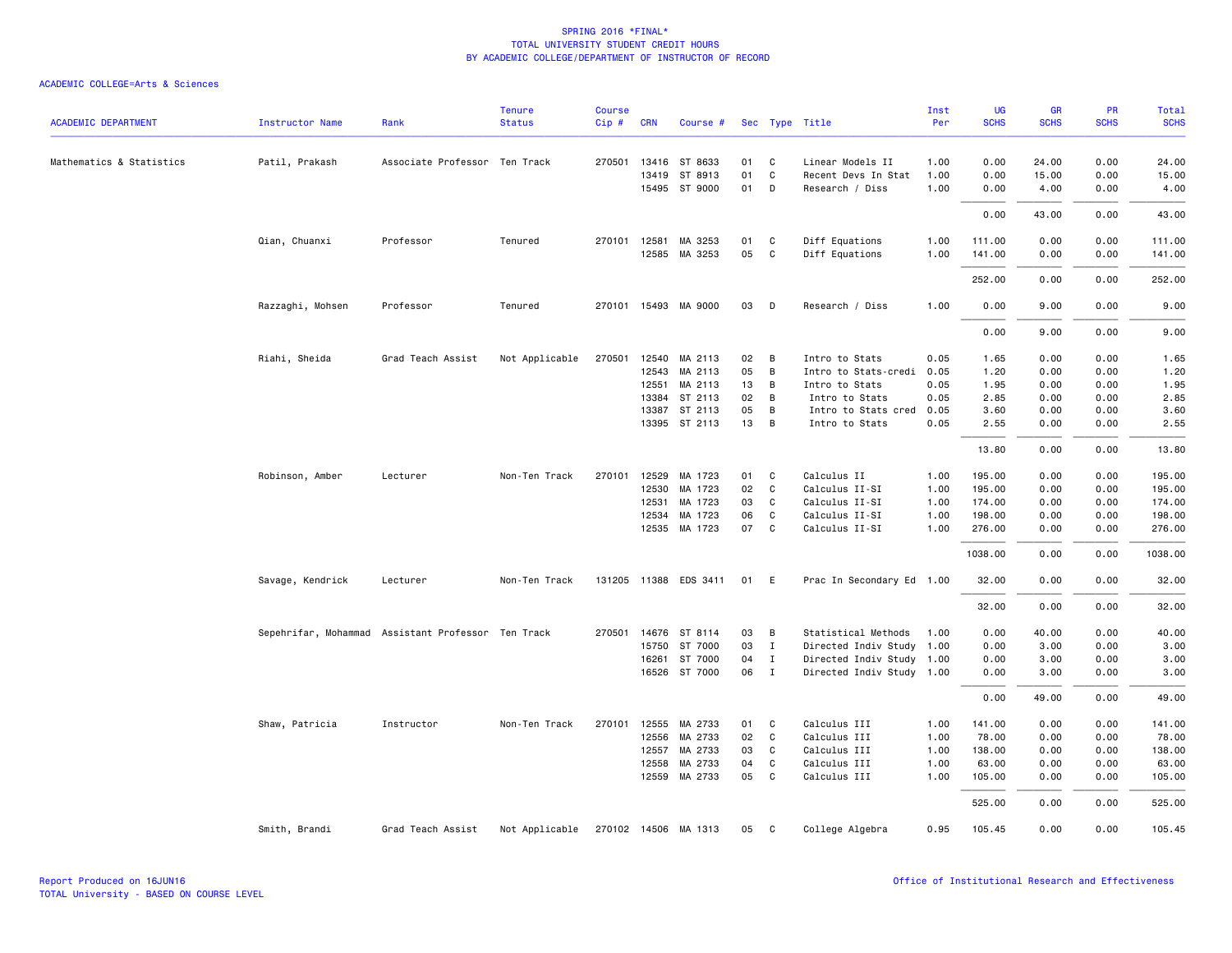|                            |                        |                                                    | <b>Tenure</b>  | <b>Course</b> |              |                       |          |                   |                           | Inst | UG          | GR          | PR          | <b>Total</b> |
|----------------------------|------------------------|----------------------------------------------------|----------------|---------------|--------------|-----------------------|----------|-------------------|---------------------------|------|-------------|-------------|-------------|--------------|
| <b>ACADEMIC DEPARTMENT</b> | <b>Instructor Name</b> | Rank                                               | <b>Status</b>  | Cip #         | <b>CRN</b>   | Course #              |          |                   | Sec Type Title            | Per  | <b>SCHS</b> | <b>SCHS</b> | <b>SCHS</b> | <b>SCHS</b>  |
| Mathematics & Statistics   | Patil, Prakash         | Associate Professor Ten Track                      |                | 270501        | 13416        | ST 8633               | 01       | C                 | Linear Models II          | 1.00 | 0.00        | 24.00       | 0.00        | 24.00        |
|                            |                        |                                                    |                |               | 13419        | ST 8913               | 01       | C                 | Recent Devs In Stat       | 1.00 | 0.00        | 15.00       | 0.00        | 15.00        |
|                            |                        |                                                    |                |               |              | 15495 ST 9000         | 01       | D                 | Research / Diss           | 1.00 | 0.00        | 4.00        | 0.00        | 4.00         |
|                            |                        |                                                    |                |               |              |                       |          |                   |                           |      | 0.00        | 43.00       | 0.00        | 43.00        |
|                            | Qian, Chuanxi          | Professor                                          | Tenured        |               | 270101 12581 | MA 3253               | 01       | C                 | Diff Equations            | 1.00 | 111.00      | 0.00        | 0.00        | 111.00       |
|                            |                        |                                                    |                |               |              | 12585 MA 3253         | 05       | C                 | Diff Equations            | 1.00 | 141.00      | 0.00        | 0.00        | 141.00       |
|                            |                        |                                                    |                |               |              |                       |          |                   |                           |      | 252.00      | 0.00        | 0.00        | 252.00       |
|                            | Razzaghi, Mohsen       | Professor                                          | Tenured        |               |              | 270101 15493 MA 9000  | 03       | D                 | Research / Diss           | 1.00 | 0.00        | 9.00        | 0.00        | 9.00         |
|                            |                        |                                                    |                |               |              |                       |          |                   |                           |      | 0.00        | 9.00        | 0.00        | 9.00         |
|                            | Riahi, Sheida          | Grad Teach Assist                                  | Not Applicable | 270501        | 12540        | MA 2113               | 02       | В                 | Intro to Stats            | 0.05 | 1.65        | 0.00        | 0.00        | 1.65         |
|                            |                        |                                                    |                |               | 12543        | MA 2113               | 05       | B                 | Intro to Stats-credi      | 0.05 | 1.20        | 0.00        | 0.00        | 1.20         |
|                            |                        |                                                    |                |               | 12551        | MA 2113               | 13       | В                 | Intro to Stats            | 0.05 | 1.95        | 0.00        | 0.00        | 1.95         |
|                            |                        |                                                    |                |               | 13384        | ST 2113               | 02       | В                 | Intro to Stats            | 0.05 | 2.85        | 0.00        | 0.00        | 2.85         |
|                            |                        |                                                    |                |               | 13387        | ST 2113               | 05       | B                 | Intro to Stats cred       | 0.05 | 3.60        | 0.00        | 0.00        | 3.60         |
|                            |                        |                                                    |                |               |              | 13395 ST 2113         | 13       | B                 | Intro to Stats            | 0.05 | 2.55        | 0.00        | 0.00        | 2.55         |
|                            |                        |                                                    |                |               |              |                       |          |                   |                           |      | 13.80       | 0.00        | 0.00        | 13.80        |
|                            | Robinson, Amber        | Lecturer                                           | Non-Ten Track  | 270101        | 12529        | MA 1723               | 01       | C                 | Calculus II               | 1.00 | 195.00      | 0.00        | 0.00        | 195.00       |
|                            |                        |                                                    |                |               | 12530        | MA 1723               | 02       | $\mathsf{C}$      | Calculus II-SI            | 1.00 | 195.00      | 0.00        | 0.00        | 195.00       |
|                            |                        |                                                    |                |               | 12531        | MA 1723               | 03       | C                 | Calculus II-SI            | 1.00 | 174.00      | 0.00        | 0.00        | 174.00       |
|                            |                        |                                                    |                |               | 12534        | MA 1723               | 06<br>07 | C<br>$\mathsf{C}$ | Calculus II-SI            | 1.00 | 198.00      | 0.00        | 0.00        | 198.00       |
|                            |                        |                                                    |                |               | 12535        | MA 1723               |          |                   | Calculus II-SI            | 1.00 | 276.00      | 0.00        | 0.00        | 276.00       |
|                            |                        |                                                    |                |               |              |                       |          |                   |                           |      | 1038.00     | 0.00        | 0.00        | 1038.00      |
|                            | Savage, Kendrick       | Lecturer                                           | Non-Ten Track  |               |              | 131205 11388 EDS 3411 | 01       | E                 | Prac In Secondary Ed 1.00 |      | 32.00       | 0.00        | 0.00        | 32.00        |
|                            |                        |                                                    |                |               |              |                       |          |                   |                           |      | 32.00       | 0.00        | 0.00        | 32.00        |
|                            |                        | Sepehrifar, Mohammad Assistant Professor Ten Track |                | 270501        | 14676        | ST 8114               | 03       | В                 | Statistical Methods       | 1.00 | 0.00        | 40.00       | 0.00        | 40.00        |
|                            |                        |                                                    |                |               | 15750        | ST 7000               | 03       | $\mathbf{I}$      | Directed Indiv Study      | 1.00 | 0.00        | 3.00        | 0.00        | 3.00         |
|                            |                        |                                                    |                |               | 16261        | ST 7000               | 04       | $\mathbf{I}$      | Directed Indiv Study 1.00 |      | 0.00        | 3.00        | 0.00        | 3.00         |
|                            |                        |                                                    |                |               |              | 16526 ST 7000         | 06       | $\mathbf{I}$      | Directed Indiv Study 1.00 |      | 0.00        | 3.00        | 0.00        | 3.00         |
|                            |                        |                                                    |                |               |              |                       |          |                   |                           |      | 0.00        | 49.00       | 0.00        | 49.00        |
|                            | Shaw, Patricia         | Instructor                                         | Non-Ten Track  |               | 270101 12555 | MA 2733               | 01       | C                 | Calculus III              | 1.00 | 141.00      | 0.00        | 0.00        | 141.00       |
|                            |                        |                                                    |                |               | 12556        | MA 2733               | 02       | $\mathsf{C}$      | Calculus III              | 1.00 | 78.00       | 0.00        | 0.00        | 78.00        |
|                            |                        |                                                    |                |               | 12557        | MA 2733               | 03       | C                 | Calculus III              | 1.00 | 138.00      | 0.00        | 0.00        | 138.00       |
|                            |                        |                                                    |                |               | 12558        | MA 2733               | 04       | C                 | Calculus III              | 1.00 | 63.00       | 0.00        | 0.00        | 63.00        |
|                            |                        |                                                    |                |               |              | 12559 MA 2733         | 05       | C                 | Calculus III              | 1.00 | 105.00      | 0.00        | 0.00        | 105.00       |
|                            |                        |                                                    |                |               |              |                       |          |                   |                           |      | 525.00      | 0.00        | 0.00        | 525.00       |
|                            | Smith, Brandi          | Grad Teach Assist                                  | Not Applicable |               |              | 270102 14506 MA 1313  | 05       | C                 | College Algebra           | 0.95 | 105.45      | 0.00        | 0.00        | 105.45       |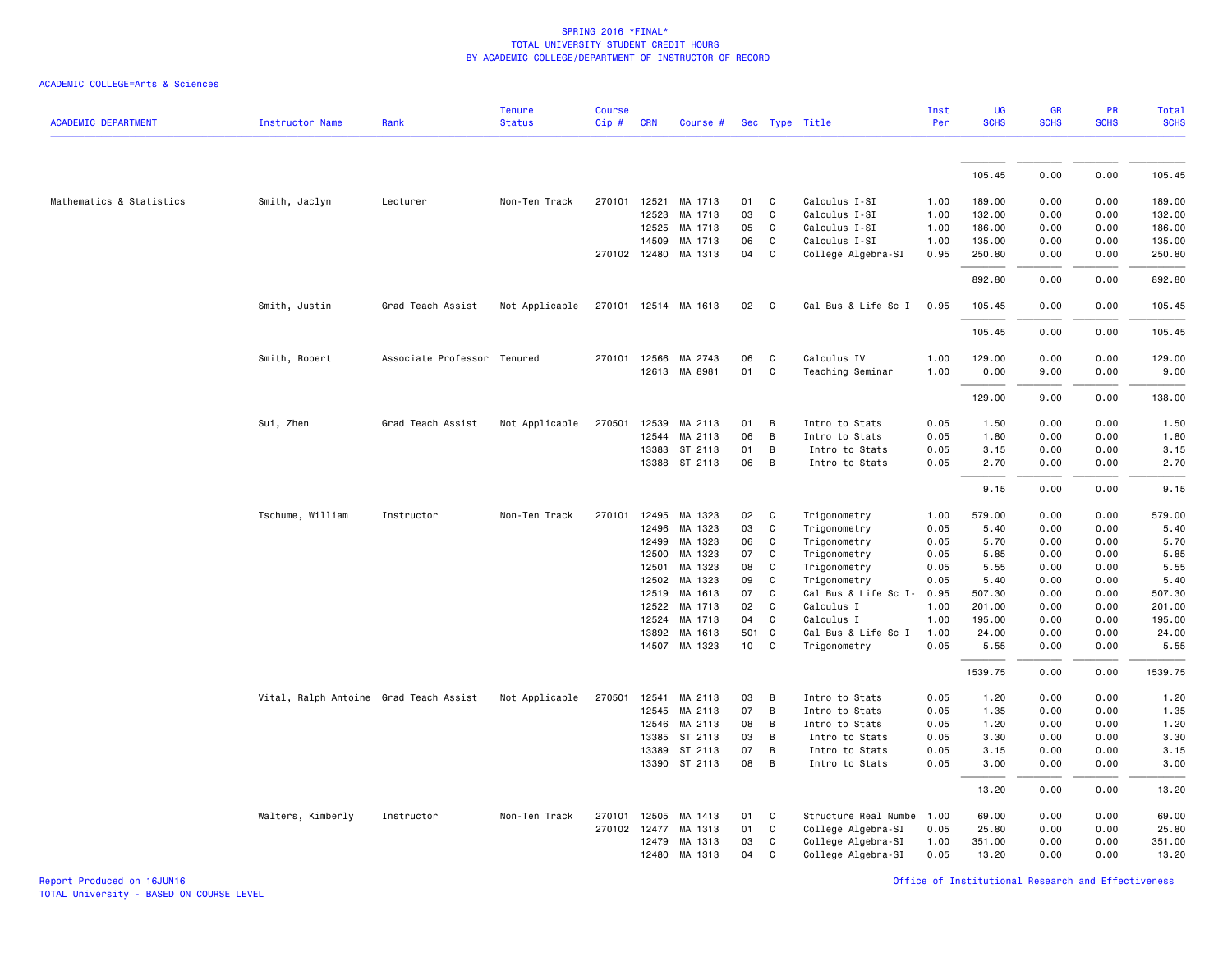| ACADEMIC COLLEGE=Arts & Sciences |  |  |  |  |  |  |
|----------------------------------|--|--|--|--|--|--|
|----------------------------------|--|--|--|--|--|--|

| <b>ACADEMIC DEPARTMENT</b> | <b>Instructor Name</b>                 | Rank                        | <b>Tenure</b><br><b>Status</b> | <b>Course</b><br>Cip# | <b>CRN</b>   | Course #             |       |   | Sec Type Title       | Inst<br>Per  | <b>UG</b><br><b>SCHS</b> | <b>GR</b><br><b>SCHS</b> | <b>PR</b><br><b>SCHS</b> | Total<br><b>SCHS</b> |
|----------------------------|----------------------------------------|-----------------------------|--------------------------------|-----------------------|--------------|----------------------|-------|---|----------------------|--------------|--------------------------|--------------------------|--------------------------|----------------------|
|                            |                                        |                             |                                |                       |              |                      |       |   |                      |              |                          |                          |                          |                      |
|                            |                                        |                             |                                |                       |              |                      |       |   |                      |              | 105.45                   | 0.00                     | 0.00                     | 105.45               |
| Mathematics & Statistics   | Smith, Jaclyn                          | Lecturer                    | Non-Ten Track                  | 270101                | 12521        | MA 1713              | 01    | C | Calculus I-SI        | 1.00         | 189.00                   | 0.00                     | 0.00                     | 189.00               |
|                            |                                        |                             |                                |                       | 12523        | MA 1713              | 03    | C | Calculus I-SI        | 1.00         | 132.00                   | 0.00                     | 0.00                     | 132.00               |
|                            |                                        |                             |                                |                       | 12525        | MA 1713              | 05    | C | Calculus I-SI        |              | 186.00                   |                          | 0.00                     |                      |
|                            |                                        |                             |                                |                       | 14509        | MA 1713              | 06    | C | Calculus I-SI        | 1.00<br>1.00 | 135.00                   | 0.00<br>0.00             | 0.00                     | 186.00<br>135.00     |
|                            |                                        |                             |                                |                       |              | 270102 12480 MA 1313 | 04    | C | College Algebra-SI   | 0.95         | 250.80                   | 0.00                     | 0.00                     | 250.80               |
|                            |                                        |                             |                                |                       |              |                      |       |   |                      |              | 892.80                   | 0.00                     | 0.00                     | 892.80               |
|                            |                                        |                             |                                |                       |              |                      |       |   |                      |              |                          |                          |                          |                      |
|                            | Smith, Justin                          | Grad Teach Assist           | Not Applicable                 |                       |              | 270101 12514 MA 1613 | 02    | C | Cal Bus & Life Sc I  | 0.95         | 105.45                   | 0.00                     | 0.00                     | 105.45               |
|                            |                                        |                             |                                |                       |              |                      |       |   |                      |              | 105.45                   | 0.00                     | 0.00                     | 105.45               |
|                            | Smith, Robert                          | Associate Professor Tenured |                                |                       | 270101 12566 | MA 2743              | 06    | C | Calculus IV          | 1.00         | 129.00                   | 0.00                     | 0.00                     | 129.00               |
|                            |                                        |                             |                                |                       |              | 12613 MA 8981        | 01    | C | Teaching Seminar     | 1.00         | 0.00                     | 9.00                     | 0.00                     | 9.00                 |
|                            |                                        |                             |                                |                       |              |                      |       |   |                      |              | 129.00                   | 9.00                     | 0.00                     | 138.00               |
|                            | Sui, Zhen                              | Grad Teach Assist           | Not Applicable                 | 270501                | 12539        | MA 2113              | 01    | В | Intro to Stats       | 0.05         | 1.50                     | 0.00                     | 0.00                     | 1.50                 |
|                            |                                        |                             |                                |                       | 12544        | MA 2113              | 06    | B | Intro to Stats       | 0.05         | 1.80                     | 0.00                     | 0.00                     | 1.80                 |
|                            |                                        |                             |                                |                       | 13383        | ST 2113              | 01    | B | Intro to Stats       | 0.05         | 3.15                     | 0.00                     | 0.00                     | 3.15                 |
|                            |                                        |                             |                                |                       |              | 13388 ST 2113        | 06    | B | Intro to Stats       | 0.05         | 2.70                     | 0.00                     | 0.00                     | 2.70                 |
|                            |                                        |                             |                                |                       |              |                      |       |   |                      |              | 9.15                     | 0.00                     | 0.00                     | 9.15                 |
|                            | Tschume, William                       | Instructor                  | Non-Ten Track                  | 270101                | 12495        | MA 1323              | 02    | C | Trigonometry         | 1.00         | 579.00                   | 0.00                     | 0.00                     | 579.00               |
|                            |                                        |                             |                                |                       | 12496        | MA 1323              | 03    | C | Trigonometry         | 0.05         | 5.40                     | 0.00                     | 0.00                     | 5.40                 |
|                            |                                        |                             |                                |                       | 12499        | MA 1323              | 06    | C | Trigonometry         | 0.05         | 5.70                     | 0.00                     | 0.00                     | 5.70                 |
|                            |                                        |                             |                                |                       | 12500        | MA 1323              | 07    | C | Trigonometry         | 0.05         | 5.85                     | 0.00                     | 0.00                     | 5.85                 |
|                            |                                        |                             |                                |                       | 12501        | MA 1323              | 08    | C | Trigonometry         | 0.05         | 5.55                     | 0.00                     | 0.00                     | 5.55                 |
|                            |                                        |                             |                                |                       | 12502        | MA 1323              | 09    | C | Trigonometry         | 0.05         | 5.40                     | 0.00                     | 0.00                     | 5.40                 |
|                            |                                        |                             |                                |                       | 12519        | MA 1613              | 07    | C | Cal Bus & Life Sc I- | 0.95         | 507.30                   | 0.00                     | 0.00                     | 507.30               |
|                            |                                        |                             |                                |                       | 12522        | MA 1713              | 02    | C | Calculus I           | 1.00         | 201.00                   | 0.00                     | 0.00                     | 201.00               |
|                            |                                        |                             |                                |                       | 12524        | MA 1713              | 04    | C | Calculus I           | 1.00         | 195.00                   | 0.00                     | 0.00                     | 195.00               |
|                            |                                        |                             |                                |                       | 13892        | MA 1613              | 501 C |   | Cal Bus & Life Sc I  | 1.00         | 24.00                    | 0.00                     | 0.00                     | 24.00                |
|                            |                                        |                             |                                |                       |              | 14507 MA 1323        | 10    | C | Trigonometry         | 0.05         | 5.55                     | 0.00                     | 0.00                     | 5.55                 |
|                            |                                        |                             |                                |                       |              |                      |       |   |                      |              | 1539.75                  | 0.00                     | 0.00                     | 1539.75              |
|                            | Vital, Ralph Antoine Grad Teach Assist |                             | Not Applicable                 | 270501                | 12541        | MA 2113              | 03    | B | Intro to Stats       | 0.05         | 1.20                     | 0.00                     | 0.00                     | 1.20                 |
|                            |                                        |                             |                                |                       | 12545        | MA 2113              | 07    | B | Intro to Stats       | 0.05         | 1.35                     | 0.00                     | 0.00                     | 1.35                 |
|                            |                                        |                             |                                |                       | 12546        | MA 2113              | 08    | B | Intro to Stats       | 0.05         | 1.20                     | 0.00                     | 0.00                     | 1.20                 |
|                            |                                        |                             |                                |                       | 13385        | ST 2113              | 03    | B | Intro to Stats       | 0.05         | 3.30                     | 0.00                     | 0.00                     | 3.30                 |
|                            |                                        |                             |                                |                       | 13389        | ST 2113              | 07    | B | Intro to Stats       | 0.05         | 3.15                     | 0.00                     | 0.00                     | 3.15                 |
|                            |                                        |                             |                                |                       |              | 13390 ST 2113        | 08    | B | Intro to Stats       | 0.05         | 3.00                     | 0.00                     | 0.00                     | 3.00                 |
|                            |                                        |                             |                                |                       |              |                      |       |   |                      |              | 13.20                    | 0.00                     | 0.00                     | 13.20                |
|                            | Walters, Kimberly                      | Instructor                  | Non-Ten Track                  | 270101                | 12505        | MA 1413              | 01    | C | Structure Real Numbe | 1.00         | 69.00                    | 0.00                     | 0.00                     | 69.00                |
|                            |                                        |                             |                                |                       | 270102 12477 | MA 1313              | 01    | C | College Algebra-SI   | 0.05         | 25.80                    | 0.00                     | 0.00                     | 25.80                |
|                            |                                        |                             |                                |                       | 12479        | MA 1313              | 03    | C | College Algebra-SI   | 1.00         | 351.00                   | 0.00                     | 0.00                     | 351.00               |
|                            |                                        |                             |                                |                       | 12480        | MA 1313              | 04    | C | College Algebra-SI   | 0.05         | 13.20                    | 0.00                     | 0.00                     | 13.20                |

Report Produced on 16JUN16 Office of Institutional Research and Effectiveness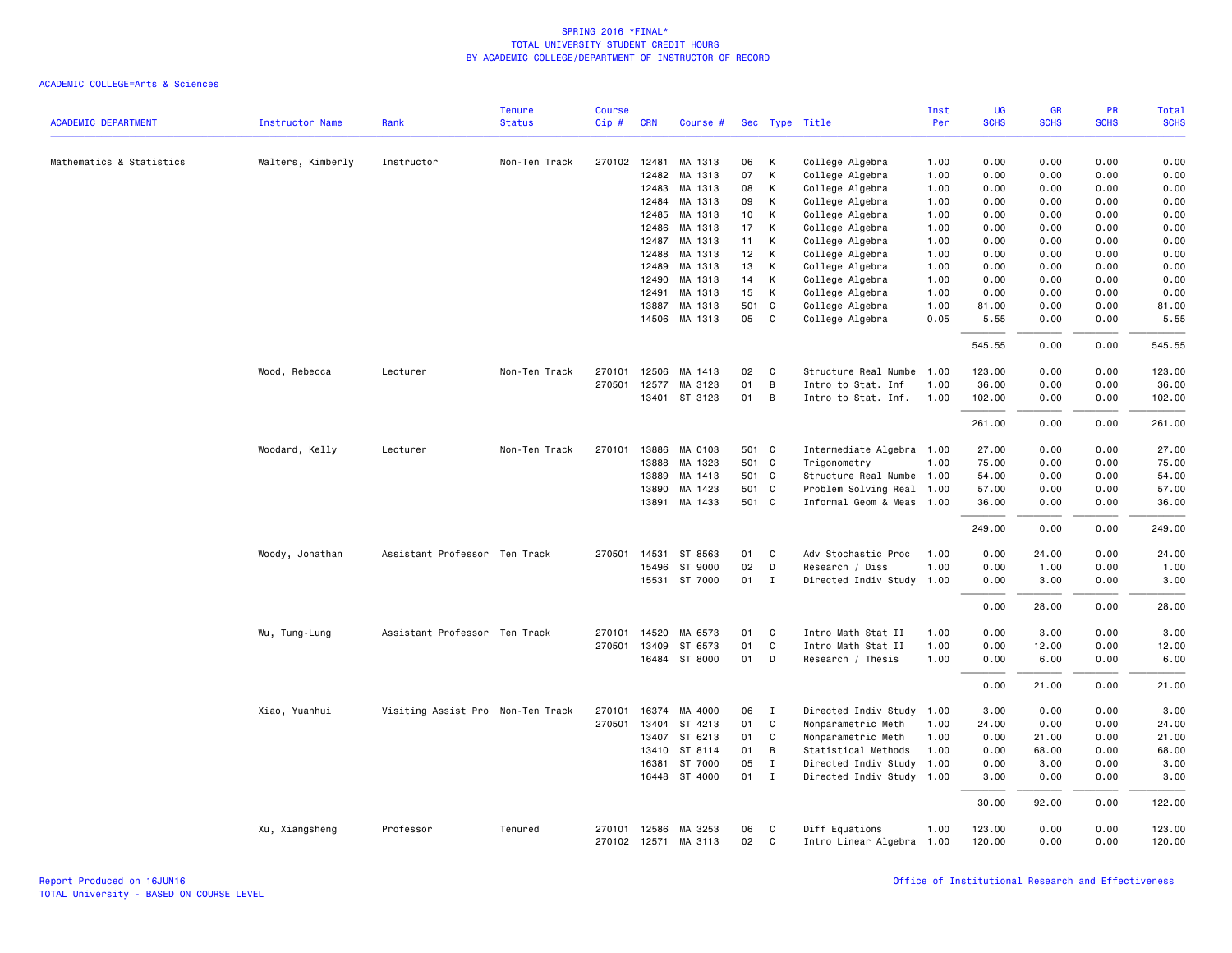|                            |                        |                                   | <b>Tenure</b> | <b>Course</b> |              |                      |                 |              |                           | Inst | <b>UG</b>   | <b>GR</b>   | PR          | Total       |
|----------------------------|------------------------|-----------------------------------|---------------|---------------|--------------|----------------------|-----------------|--------------|---------------------------|------|-------------|-------------|-------------|-------------|
| <b>ACADEMIC DEPARTMENT</b> | <b>Instructor Name</b> | Rank                              | <b>Status</b> | $Cip$ #       | <b>CRN</b>   | Course #             |                 |              | Sec Type Title            | Per  | <b>SCHS</b> | <b>SCHS</b> | <b>SCHS</b> | <b>SCHS</b> |
| Mathematics & Statistics   | Walters, Kimberly      | Instructor                        | Non-Ten Track |               | 270102 12481 | MA 1313              | 06              | К            | College Algebra           | 1.00 | 0.00        | 0.00        | 0.00        | 0.00        |
|                            |                        |                                   |               |               | 12482        | MA 1313              | 07              | К            | College Algebra           | 1.00 | 0.00        | 0.00        | 0.00        | 0.00        |
|                            |                        |                                   |               |               | 12483        | MA 1313              | 08              | К            | College Algebra           | 1.00 | 0.00        | 0.00        | 0.00        | 0.00        |
|                            |                        |                                   |               |               | 12484        | MA 1313              | 09              | К            | College Algebra           | 1.00 | 0.00        | 0.00        | 0.00        | 0.00        |
|                            |                        |                                   |               |               | 12485        | MA 1313              | 10 <sub>1</sub> | К            | College Algebra           | 1.00 | 0.00        | 0.00        | 0.00        | 0.00        |
|                            |                        |                                   |               |               | 12486        | MA 1313              | 17              | К            | College Algebra           | 1.00 | 0.00        | 0.00        | 0.00        | 0.00        |
|                            |                        |                                   |               |               | 12487        | MA 1313              | 11              | К            | College Algebra           | 1.00 | 0.00        | 0.00        | 0.00        | 0.00        |
|                            |                        |                                   |               |               | 12488        | MA 1313              | 12              | К            | College Algebra           | 1.00 | 0.00        | 0.00        | 0.00        | 0.00        |
|                            |                        |                                   |               |               | 12489        | MA 1313              | 13              | К            | College Algebra           | 1.00 | 0.00        | 0.00        | 0.00        | 0.00        |
|                            |                        |                                   |               |               | 12490        | MA 1313              | 14              | К            | College Algebra           | 1.00 | 0.00        | 0.00        | 0.00        | 0.00        |
|                            |                        |                                   |               |               | 12491        | MA 1313              | 15              | К            | College Algebra           | 1.00 | 0.00        | 0.00        | 0.00        | 0.00        |
|                            |                        |                                   |               |               | 13887        | MA 1313              | 501 C           |              | College Algebra           | 1.00 | 81.00       | 0.00        | 0.00        | 81.00       |
|                            |                        |                                   |               |               | 14506        | MA 1313              | 05              | C            | College Algebra           | 0.05 | 5.55        | 0.00        | 0.00        | 5.55        |
|                            |                        |                                   |               |               |              |                      |                 |              |                           |      | 545.55      | 0.00        | 0.00        | 545.55      |
|                            | Wood, Rebecca          | Lecturer                          | Non-Ten Track | 270101        | 12506        | MA 1413              | 02              | C            | Structure Real Numbe      | 1.00 | 123.00      | 0.00        | 0.00        | 123.00      |
|                            |                        |                                   |               | 270501        | 12577        | MA 3123              | 01              | B            | Intro to Stat. Inf        | 1.00 | 36.00       | 0.00        | 0.00        | 36.00       |
|                            |                        |                                   |               |               | 13401        | ST 3123              | 01              | B            | Intro to Stat. Inf.       | 1.00 | 102.00      | 0.00        | 0.00        | 102.00      |
|                            |                        |                                   |               |               |              |                      |                 |              |                           |      | 261.00      | 0.00        | 0.00        | 261.00      |
|                            | Woodard, Kelly         | Lecturer                          | Non-Ten Track | 270101        | 13886        | MA 0103              | 501 C           |              | Intermediate Algebra 1.00 |      | 27.00       | 0.00        | 0.00        | 27.00       |
|                            |                        |                                   |               |               | 13888        | MA 1323              | 501 C           |              | Trigonometry              | 1.00 | 75.00       | 0.00        | 0.00        | 75.00       |
|                            |                        |                                   |               |               | 13889        | MA 1413              | 501 C           |              | Structure Real Numbe      | 1.00 | 54.00       | 0.00        | 0.00        | 54.00       |
|                            |                        |                                   |               |               | 13890        | MA 1423              | 501 C           |              | Problem Solving Real      | 1.00 | 57.00       | 0.00        | 0.00        | 57.00       |
|                            |                        |                                   |               |               | 13891        | MA 1433              | 501 C           |              | Informal Geom & Meas 1.00 |      | 36.00       | 0.00        | 0.00        | 36.00       |
|                            |                        |                                   |               |               |              |                      |                 |              |                           |      | 249.00      | 0.00        | 0.00        | 249.00      |
|                            | Woody, Jonathan        | Assistant Professor Ten Track     |               |               | 270501 14531 | ST 8563              | 01              | C            | Adv Stochastic Proc       | 1.00 | 0.00        | 24.00       | 0.00        | 24.00       |
|                            |                        |                                   |               |               | 15496        | ST 9000              | 02              | D            | Research / Diss           | 1.00 | 0.00        | 1.00        | 0.00        | 1.00        |
|                            |                        |                                   |               |               |              | 15531 ST 7000        | 01              | $\mathbf{I}$ | Directed Indiv Study      | 1.00 | 0.00        | 3.00        | 0.00        | 3.00        |
|                            |                        |                                   |               |               |              |                      |                 |              |                           |      | 0.00        | 28.00       | 0.00        | 28.00       |
|                            | Wu, Tung-Lung          | Assistant Professor Ten Track     |               | 270101        | 14520        | MA 6573              | 01              | C            | Intro Math Stat II        | 1.00 | 0.00        | 3.00        | 0.00        | 3.00        |
|                            |                        |                                   |               | 270501        | 13409        | ST 6573              | 01              | C            | Intro Math Stat II        | 1.00 | 0.00        | 12.00       | 0.00        | 12.00       |
|                            |                        |                                   |               |               | 16484        | ST 8000              | 01              | D            | Research / Thesis         | 1.00 | 0.00        | 6.00        | 0.00        | 6.00        |
|                            |                        |                                   |               |               |              |                      |                 |              |                           |      | 0.00        | 21.00       | 0.00        | 21.00       |
|                            | Xiao, Yuanhui          | Visiting Assist Pro Non-Ten Track |               | 270101        | 16374        | MA 4000              | 06              | I            | Directed Indiv Study 1.00 |      | 3.00        | 0.00        | 0.00        | 3.00        |
|                            |                        |                                   |               | 270501        | 13404        | ST 4213              | 01              | C            | Nonparametric Meth        | 1.00 | 24.00       | 0.00        | 0.00        | 24.00       |
|                            |                        |                                   |               |               | 13407        | ST 6213              | 01              | C            | Nonparametric Meth        | 1.00 | 0.00        | 21.00       | 0.00        | 21.00       |
|                            |                        |                                   |               |               | 13410        | ST 8114              | 01              | B            | Statistical Methods       | 1.00 | 0.00        | 68.00       | 0.00        | 68.00       |
|                            |                        |                                   |               |               | 16381        | ST 7000              | 05              | Ι.           | Directed Indiv Study      | 1.00 | 0.00        | 3.00        | 0.00        | 3.00        |
|                            |                        |                                   |               |               | 16448        | ST 4000              | 01              | $\mathbf{I}$ | Directed Indiv Study 1.00 |      | 3.00        | 0.00        | 0.00        | 3.00        |
|                            |                        |                                   |               |               |              |                      |                 |              |                           |      | 30.00       | 92.00       | 0.00        | 122.00      |
|                            | Xu, Xiangsheng         | Professor                         | Tenured       |               |              | 270101 12586 MA 3253 | 06              | C            | Diff Equations            | 1.00 | 123.00      | 0.00        | 0.00        | 123.00      |
|                            |                        |                                   |               |               |              | 270102 12571 MA 3113 | 02              | C            | Intro Linear Algebra 1.00 |      | 120.00      | 0.00        | 0.00        | 120.00      |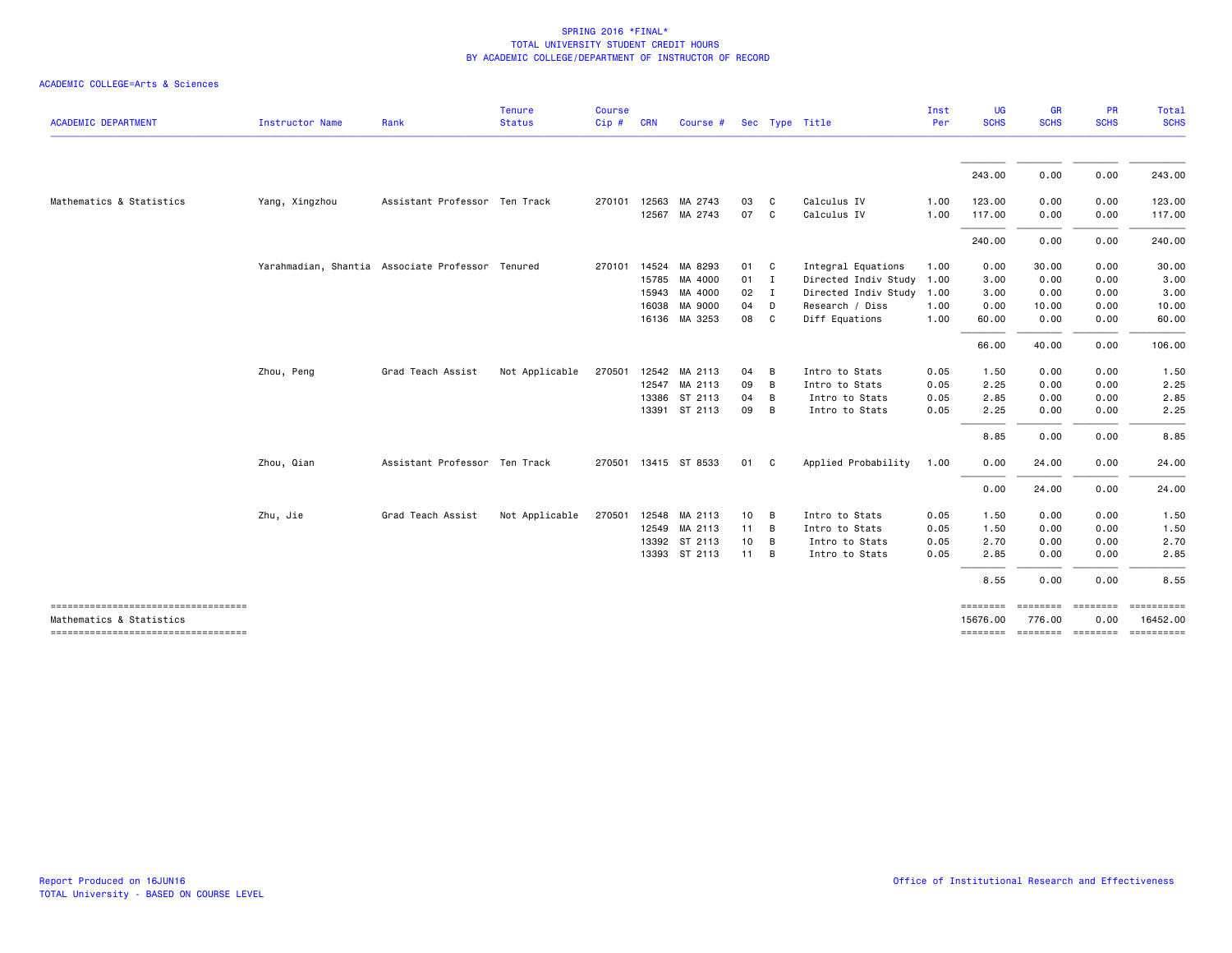| <b>ACADEMIC DEPARTMENT</b>                                      | <b>Instructor Name</b> | Rank                                             | <b>Tenure</b><br><b>Status</b> | <b>Course</b><br>Cip# | <b>CRN</b>     | Course #           |                 | Sec Type Title |                            | Inst<br>Per  | UG<br><b>SCHS</b> | <b>GR</b><br><b>SCHS</b> | <b>PR</b><br><b>SCHS</b> | Total<br><b>SCHS</b>                             |
|-----------------------------------------------------------------|------------------------|--------------------------------------------------|--------------------------------|-----------------------|----------------|--------------------|-----------------|----------------|----------------------------|--------------|-------------------|--------------------------|--------------------------|--------------------------------------------------|
|                                                                 |                        |                                                  |                                |                       |                |                    |                 |                |                            |              | 243.00            | 0.00                     | 0.00                     | 243.00                                           |
|                                                                 |                        |                                                  |                                |                       |                |                    |                 |                |                            |              |                   |                          |                          |                                                  |
| Mathematics & Statistics                                        | Yang, Xingzhou         | Assistant Professor Ten Track                    |                                | 270101                | 12563<br>12567 | MA 2743<br>MA 2743 | 03<br>07        | C.<br>C        | Calculus IV<br>Calculus IV | 1.00<br>1.00 | 123.00<br>117.00  | 0.00<br>0.00             | 0.00<br>0.00             | 123.00                                           |
|                                                                 |                        |                                                  |                                |                       |                |                    |                 |                |                            |              |                   |                          |                          | 117.00                                           |
|                                                                 |                        |                                                  |                                |                       |                |                    |                 |                |                            |              | 240.00            | 0.00                     | 0.00                     | 240.00                                           |
|                                                                 |                        | Yarahmadian, Shantia Associate Professor Tenured |                                | 270101                | 14524          | MA 8293            | 01              | C              | Integral Equations         | 1.00         | 0.00              | 30.00                    | 0.00                     | 30.00                                            |
|                                                                 |                        |                                                  |                                |                       |                | 15785 MA 4000      | 01              | $\blacksquare$ | Directed Indiv Study       | 1.00         | 3.00              | 0.00                     | 0.00                     | 3.00                                             |
|                                                                 |                        |                                                  |                                |                       | 15943          | MA 4000            | 02              | $\blacksquare$ | Directed Indiv Study       | 1.00         | 3.00              | 0.00                     | 0.00                     | 3.00                                             |
|                                                                 |                        |                                                  |                                |                       | 16038          | MA 9000            | 04              | D              | Research / Diss            | 1.00         | 0.00              | 10.00                    | 0.00                     | 10.00                                            |
|                                                                 |                        |                                                  |                                |                       |                | 16136 MA 3253      | 08              | <b>C</b>       | Diff Equations             | 1.00         | 60.00             | 0.00                     | 0.00                     | 60.00                                            |
|                                                                 |                        |                                                  |                                |                       |                |                    |                 |                |                            |              | 66.00             | 40.00                    | 0.00                     | 106.00                                           |
|                                                                 | Zhou, Peng             | Grad Teach Assist                                | Not Applicable                 | 270501                |                | 12542 MA 2113      | 04              | B              | Intro to Stats             | 0.05         | 1.50              | 0.00                     | 0.00                     | 1.50                                             |
|                                                                 |                        |                                                  |                                |                       |                | 12547 MA 2113      | 09              | B              | Intro to Stats             | 0.05         | 2.25              | 0.00                     | 0.00                     | 2.25                                             |
|                                                                 |                        |                                                  |                                |                       |                | 13386 ST 2113      | 04              | B              | Intro to Stats             | 0.05         | 2.85              | 0.00                     | 0.00                     | 2.85                                             |
|                                                                 |                        |                                                  |                                |                       |                | 13391 ST 2113      | 09              | B              | Intro to Stats             | 0.05         | 2.25              | 0.00                     | 0.00                     | 2.25                                             |
|                                                                 |                        |                                                  |                                |                       |                |                    |                 |                |                            |              | 8.85              | 0.00                     | 0.00                     | 8.85                                             |
|                                                                 | Zhou, Qian             | Assistant Professor Ten Track                    |                                | 270501                |                | 13415 ST 8533      | 01              | $\mathbf{C}$   | Applied Probability        | 1.00         | 0.00              | 24.00                    | 0.00                     | 24.00                                            |
|                                                                 |                        |                                                  |                                |                       |                |                    |                 |                |                            |              | 0.00              | 24.00                    | 0.00                     | 24.00                                            |
|                                                                 | Zhu, Jie               | Grad Teach Assist                                | Not Applicable                 | 270501                |                | 12548 MA 2113      | $10 \quad B$    |                | Intro to Stats             | 0.05         | 1.50              | 0.00                     | 0.00                     | 1.50                                             |
|                                                                 |                        |                                                  |                                |                       |                | 12549 MA 2113      | $11 \quad B$    |                | Intro to Stats             | 0.05         | 1.50              | 0.00                     | 0.00                     | 1.50                                             |
|                                                                 |                        |                                                  |                                |                       |                | 13392 ST 2113      | 10 <sub>1</sub> | B              | Intro to Stats             | 0.05         | 2.70              | 0.00                     | 0.00                     | 2.70                                             |
|                                                                 |                        |                                                  |                                |                       |                | 13393 ST 2113      | 11              | B              | Intro to Stats             | 0.05         | 2.85              | 0.00                     | 0.00                     | 2.85                                             |
|                                                                 |                        |                                                  |                                |                       |                |                    |                 |                |                            |              | 8.55              | 0.00                     | 0.00                     | 8.55                                             |
| -------------------------------------                           |                        |                                                  |                                |                       |                |                    |                 |                |                            |              | ========          | ========                 | ---------                | ==========                                       |
| Mathematics & Statistics<br>----------------------------------- |                        |                                                  |                                |                       |                |                    |                 |                |                            |              | 15676.00          | 776.00                   | 0.00                     | 16452.00<br>======== ======== ======== ========= |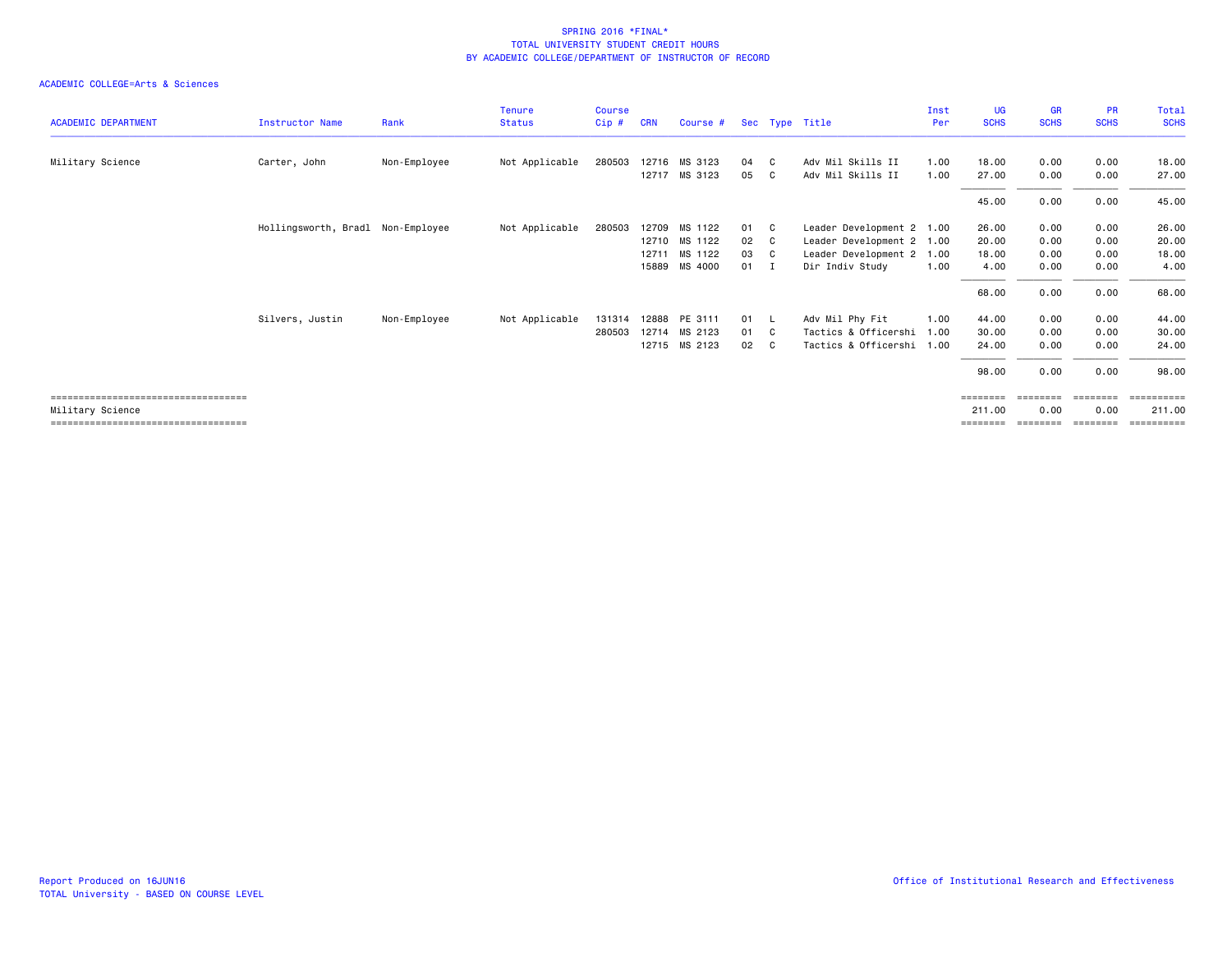|                                       |                                   |              | <b>Tenure</b>  | <b>Course</b> |            |               |    |     |                           | Inst | <b>UG</b>   | <b>GR</b>   | <b>PR</b>      | Total                 |
|---------------------------------------|-----------------------------------|--------------|----------------|---------------|------------|---------------|----|-----|---------------------------|------|-------------|-------------|----------------|-----------------------|
| <b>ACADEMIC DEPARTMENT</b>            | <b>Instructor Name</b>            | Rank         | <b>Status</b>  | Cip#          | <b>CRN</b> | Course #      |    |     | Sec Type Title            | Per  | <b>SCHS</b> | <b>SCHS</b> | <b>SCHS</b>    | <b>SCHS</b>           |
| Military Science                      | Carter, John                      | Non-Employee | Not Applicable | 280503        |            | 12716 MS 3123 | 04 | C.  | Adv Mil Skills II         | 1.00 | 18,00       | 0.00        | 0.00           | 18.00                 |
|                                       |                                   |              |                |               |            | 12717 MS 3123 | 05 | C.  | Adv Mil Skills II         | 1.00 | 27.00       | 0.00        | 0.00           | 27.00                 |
|                                       |                                   |              |                |               |            |               |    |     |                           |      | 45.00       | 0.00        | 0.00           | 45.00                 |
|                                       | Hollingsworth, Bradl Non-Employee |              | Not Applicable | 280503        |            | 12709 MS 1122 | 01 | C   | Leader Development 2 1.00 |      | 26.00       | 0.00        | 0.00           | 26.00                 |
|                                       |                                   |              |                |               |            | 12710 MS 1122 | 02 | - C | Leader Development 2 1.00 |      | 20.00       | 0.00        | 0.00           | 20.00                 |
|                                       |                                   |              |                |               | 12711      | MS 1122       | 03 | C.  | Leader Development 2 1.00 |      | 18.00       | 0.00        | 0.00           | 18.00                 |
|                                       |                                   |              |                |               |            | 15889 MS 4000 | 01 | - I | Dir Indiv Study           | 1.00 | 4.00        | 0.00        | 0.00           | 4.00                  |
|                                       |                                   |              |                |               |            |               |    |     |                           |      | 68.00       | 0.00        | 0.00           | 68.00                 |
|                                       | Silvers, Justin                   | Non-Employee | Not Applicable | 131314        |            | 12888 PE 3111 | 01 |     | Adv Mil Phy Fit           | 1.00 | 44.00       | 0.00        | 0.00           | 44.00                 |
|                                       |                                   |              |                | 280503        |            | 12714 MS 2123 | 01 | C.  | Tactics & Officershi 1.00 |      | 30.00       | 0.00        | 0.00           | 30.00                 |
|                                       |                                   |              |                |               |            | 12715 MS 2123 | 02 | C.  | Tactics & Officershi 1.00 |      | 24.00       | 0.00        | 0.00           | 24.00                 |
|                                       |                                   |              |                |               |            |               |    |     |                           |      | 98.00       | 0.00        | 0.00           | 98.00                 |
| ====================================  |                                   |              |                |               |            |               |    |     |                           |      | ========    | ========    | <b>BEBEEBE</b> | ==========            |
| Military Science                      |                                   |              |                |               |            |               |    |     |                           |      | 211.00      | 0.00        | 0.00           | 211.00                |
| ===================================== |                                   |              |                |               |            |               |    |     |                           |      | ========    |             | eeeeeee        | $=$ = = = = = = = = = |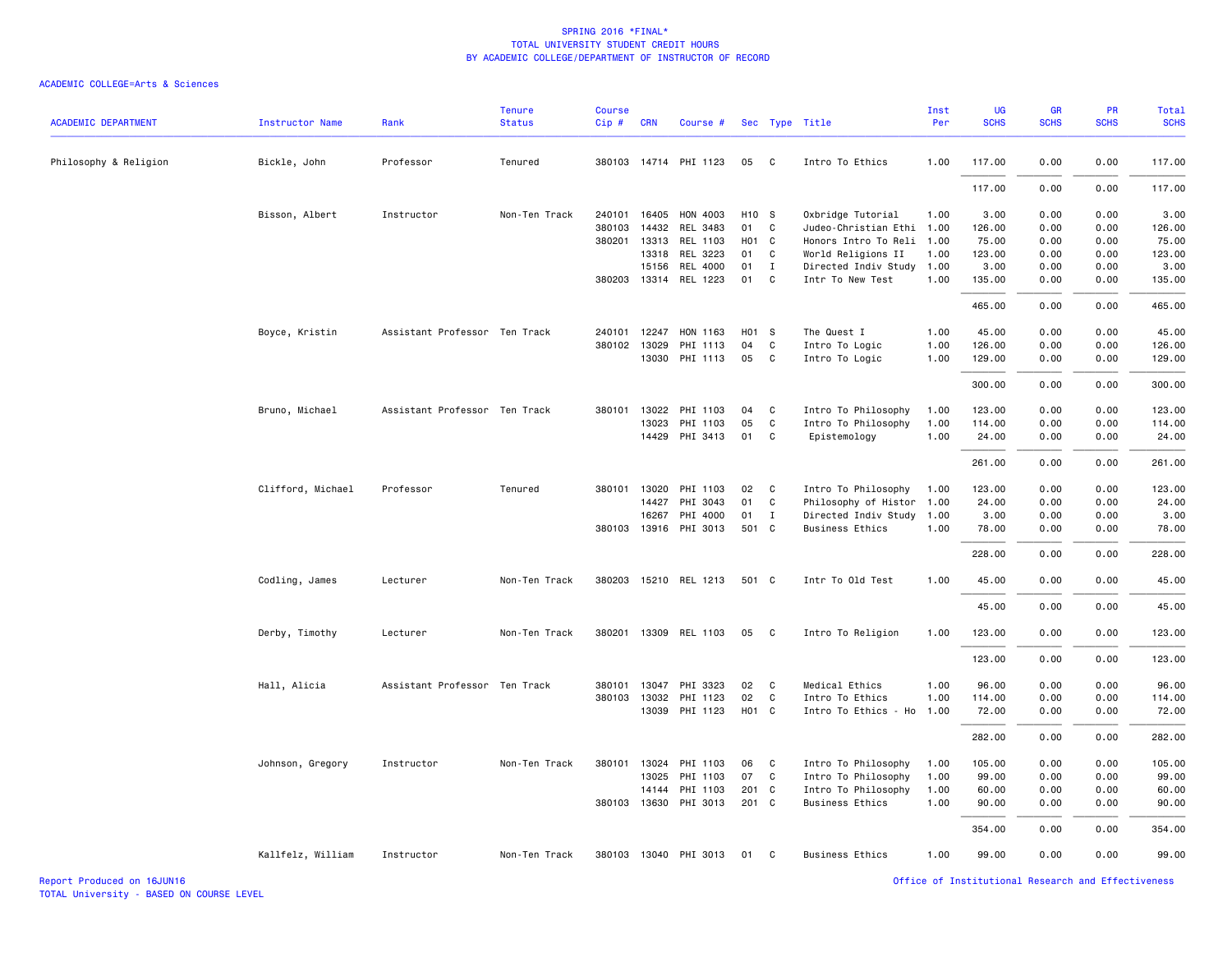#### ACADEMIC COLLEGE=Arts & Sciences

| <b>ACADEMIC DEPARTMENT</b> | <b>Instructor Name</b> | Rank                          | <b>Tenure</b><br><b>Status</b> | <b>Course</b><br>Cip# | <b>CRN</b>   | Course #              |                   |                            | Sec Type Title            | Inst<br>Per | UG<br><b>SCHS</b> | <b>GR</b><br><b>SCHS</b> | PR<br><b>SCHS</b> | Total<br><b>SCHS</b> |
|----------------------------|------------------------|-------------------------------|--------------------------------|-----------------------|--------------|-----------------------|-------------------|----------------------------|---------------------------|-------------|-------------------|--------------------------|-------------------|----------------------|
| Philosophy & Religion      | Bickle, John           | Professor                     | Tenured                        |                       |              | 380103 14714 PHI 1123 | 05                | $\mathbf{C}$               | Intro To Ethics           | 1.00        | 117.00            | 0.00                     | 0.00              | 117.00               |
|                            |                        |                               |                                |                       |              |                       |                   |                            |                           |             | 117.00            | 0.00                     | 0.00              | 117.00               |
|                            | Bisson, Albert         | Instructor                    | Non-Ten Track                  |                       | 240101 16405 | HON 4003              | H <sub>10</sub> S |                            | Oxbridge Tutorial         | 1.00        | 3.00              | 0.00                     | 0.00              | 3.00                 |
|                            |                        |                               |                                |                       | 380103 14432 | REL 3483              | 01 C              |                            | Judeo-Christian Ethi 1.00 |             | 126.00            | 0.00                     | 0.00              | 126.00               |
|                            |                        |                               |                                |                       | 380201 13313 | REL 1103              | H <sub>01</sub> C |                            | Honors Intro To Reli 1.00 |             | 75.00             | 0.00                     | 0.00              | 75.00                |
|                            |                        |                               |                                |                       | 13318        | REL 3223              | 01 C              |                            | World Religions II        | 1.00        | 123.00            | 0.00                     | 0.00              | 123.00               |
|                            |                        |                               |                                |                       | 15156        | <b>REL 4000</b>       | 01                | $\mathbf{I}$               | Directed Indiv Study 1.00 |             | 3.00              | 0.00                     | 0.00              | 3.00                 |
|                            |                        |                               |                                |                       |              | 380203 13314 REL 1223 | 01                | C                          | Intr To New Test          | 1.00        | 135.00            | 0.00                     | 0.00              | 135.00               |
|                            |                        |                               |                                |                       |              |                       |                   |                            |                           |             | 465.00            | 0.00                     | 0.00              | 465.00               |
|                            | Boyce, Kristin         | Assistant Professor Ten Track |                                | 240101                | 12247        | HON 1163              | H01 S             |                            | The Quest I               | 1.00        | 45.00             | 0.00                     | 0.00              | 45.00                |
|                            |                        |                               |                                | 380102                | 13029        | PHI 1113              | 04                | C                          | Intro To Logic            | 1.00        | 126.00            | 0.00                     | 0.00              | 126.00               |
|                            |                        |                               |                                |                       | 13030        | PHI 1113              | 05                | $\mathbf{C}$               | Intro To Logic            | 1.00        | 129.00            | 0.00                     | 0.00              | 129.00               |
|                            |                        |                               |                                |                       |              |                       |                   |                            |                           |             | 300.00            | 0.00                     | 0.00              | 300.00               |
|                            | Bruno, Michael         | Assistant Professor Ten Track |                                | 380101                | 13022        | PHI 1103              | 04                | $\mathbf{C}$               | Intro To Philosophy       | 1.00        | 123.00            | 0.00                     | 0.00              | 123.00               |
|                            |                        |                               |                                |                       | 13023        | PHI 1103              | 05                | $\mathbf{C}$               | Intro To Philosophy       | 1.00        | 114.00            | 0.00                     | 0.00              | 114.00               |
|                            |                        |                               |                                |                       | 14429        | PHI 3413              | 01 C              |                            | Epistemology              | 1.00        | 24.00             | 0.00                     | 0.00              | 24.00                |
|                            |                        |                               |                                |                       |              |                       |                   |                            |                           |             | 261.00            | 0.00                     | 0.00              | 261.00               |
|                            | Clifford, Michael      | Professor                     | Tenured                        | 380101                | 13020        | PHI 1103              | 02                | $\mathbf{C}$               | Intro To Philosophy       | 1.00        | 123.00            | 0.00                     | 0.00              | 123.00               |
|                            |                        |                               |                                |                       | 14427        | PHI 3043              | 01                | C                          | Philosophy of Histor 1.00 |             | 24.00             | 0.00                     | 0.00              | 24.00                |
|                            |                        |                               |                                |                       | 16267        | PHI 4000              | 01                | $\mathbf{I}$               | Directed Indiv Study      | 1.00        | 3.00              | 0.00                     | 0.00              | 3.00                 |
|                            |                        |                               |                                |                       | 380103 13916 | PHI 3013              | 501 C             |                            | Business Ethics           | 1.00        | 78.00             | 0.00                     | 0.00              | 78.00                |
|                            |                        |                               |                                |                       |              |                       |                   |                            |                           |             | 228.00            | 0.00                     | 0.00              | 228.00               |
|                            | Codling, James         | Lecturer                      | Non-Ten Track                  |                       |              | 380203 15210 REL 1213 | 501 C             |                            | Intr To Old Test          | 1.00        | 45.00             | 0.00                     | 0.00              | 45.00                |
|                            |                        |                               |                                |                       |              |                       |                   |                            |                           |             | 45.00             | 0.00                     | 0.00              | 45.00                |
|                            | Derby, Timothy         | Lecturer                      | Non-Ten Track                  |                       |              | 380201 13309 REL 1103 | 05                | $\mathbf{C}$               | Intro To Religion         | 1.00        | 123.00            | 0.00                     | 0.00              | 123.00               |
|                            |                        |                               |                                |                       |              |                       |                   |                            |                           |             | 123.00            | 0.00                     | 0.00              | 123.00               |
|                            | Hall, Alicia           | Assistant Professor Ten Track |                                |                       | 380101 13047 | PHI 3323              | 02                | $\mathbf{C}$               | Medical Ethics            | 1.00        | 96.00             | 0.00                     | 0.00              | 96.00                |
|                            |                        |                               |                                |                       | 380103 13032 | PHI 1123              | 02                | $\mathbf{C}$               | Intro To Ethics           | 1.00        | 114.00            | 0.00                     | 0.00              | 114.00               |
|                            |                        |                               |                                |                       | 13039        | PHI 1123              | H01 C             |                            | Intro To Ethics - Ho      | 1.00        | 72.00             | 0.00                     | 0.00              | 72.00                |
|                            |                        |                               |                                |                       |              |                       |                   |                            |                           |             | 282.00            | 0.00                     | 0.00              | 282.00               |
|                            | Johnson, Gregory       | Instructor                    | Non-Ten Track                  |                       | 380101 13024 | PHI 1103              | 06                | $\overline{c}$             | Intro To Philosophy       | 1.00        | 105.00            | 0.00                     | 0.00              | 105.00               |
|                            |                        |                               |                                |                       | 13025        | PHI 1103              | 07                | $\mathbf{C}$               | Intro To Philosophy       | 1.00        | 99.00             | 0.00                     | 0.00              | 99.00                |
|                            |                        |                               |                                |                       | 14144        | PHI 1103              | 201 C             |                            | Intro To Philosophy       | 1.00        | 60.00             | 0.00                     | 0.00              | 60.00                |
|                            |                        |                               |                                |                       | 380103 13630 | PHI 3013              | 201 C             |                            | Business Ethics           | 1.00        | 90.00             | 0.00                     | 0.00              | 90.00                |
|                            |                        |                               |                                |                       |              |                       |                   |                            |                           |             | 354.00            | 0.00                     | 0.00              | 354.00               |
|                            | Kallfelz, William      | Instructor                    | Non-Ten Track                  |                       |              | 380103 13040 PHI 3013 | 01                | $\overline{\phantom{a}}$ C | Business Ethics           | 1.00        | 99.00             | 0.00                     | 0.00              | 99.00                |

Report Produced on 16JUN16 Office of Institutional Research and Effectiveness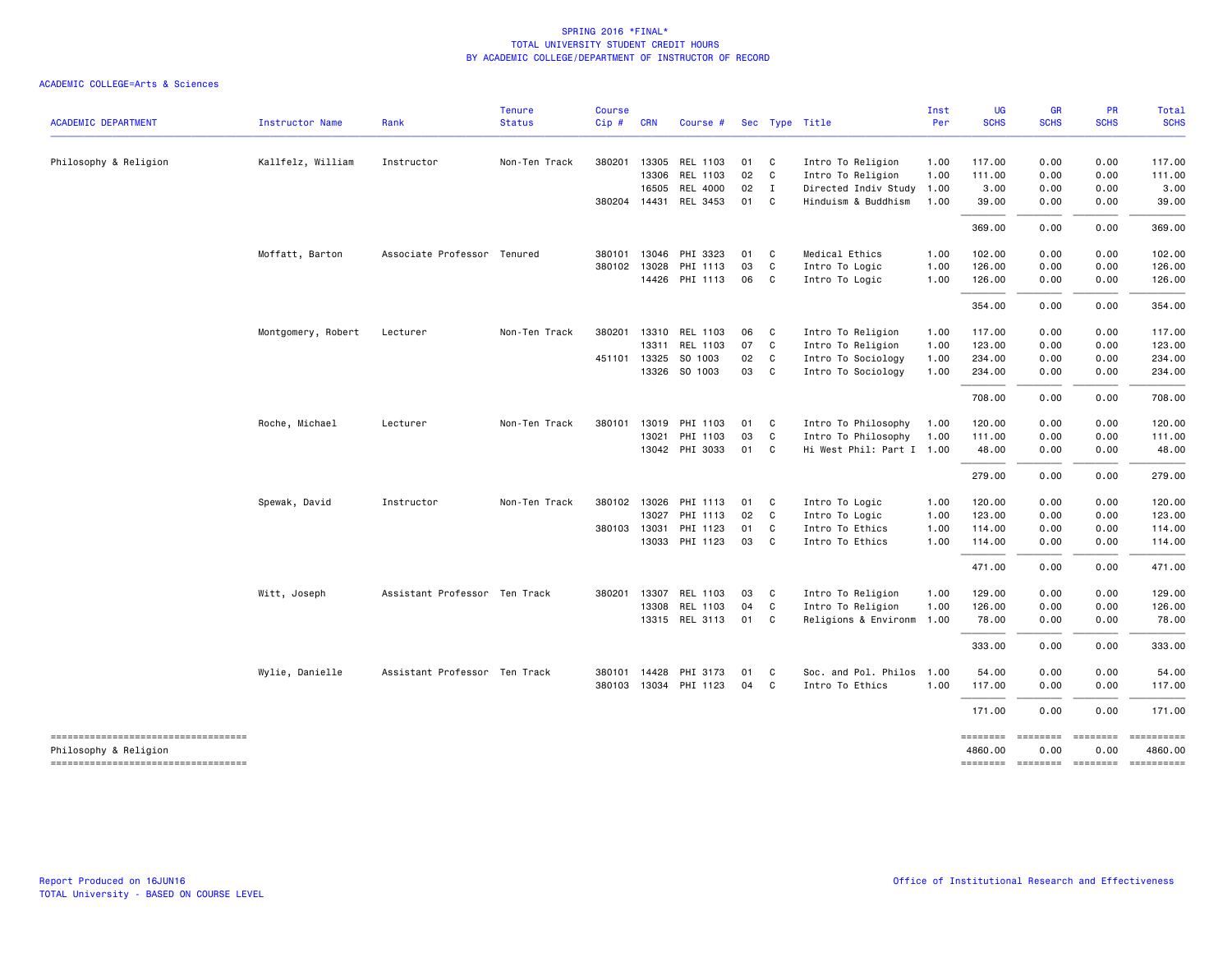| <b>ACADEMIC DEPARTMENT</b>                                   | Instructor Name    | Rank                          | <b>Tenure</b><br><b>Status</b> | <b>Course</b><br>$Cip$ # | <b>CRN</b>   | Course #              |      |              | Sec Type Title            | Inst<br>Per | <b>UG</b><br><b>SCHS</b>   | <b>GR</b><br><b>SCHS</b> | <b>PR</b><br><b>SCHS</b> | Total<br><b>SCHS</b>                                                                                                                                          |
|--------------------------------------------------------------|--------------------|-------------------------------|--------------------------------|--------------------------|--------------|-----------------------|------|--------------|---------------------------|-------------|----------------------------|--------------------------|--------------------------|---------------------------------------------------------------------------------------------------------------------------------------------------------------|
|                                                              |                    |                               |                                |                          |              |                       |      |              |                           |             |                            |                          |                          |                                                                                                                                                               |
| Philosophy & Religion                                        | Kallfelz, William  | Instructor                    | Non-Ten Track                  | 380201                   | 13305        | REL 1103              | 01   | $\mathbf{C}$ | Intro To Religion         | 1.00        | 117.00                     | 0.00                     | 0.00                     | 117.00                                                                                                                                                        |
|                                                              |                    |                               |                                |                          | 13306        | REL 1103              | 02 C |              | Intro To Religion         | 1.00        | 111.00                     | 0.00                     | 0.00                     | 111.00                                                                                                                                                        |
|                                                              |                    |                               |                                |                          | 16505        | REL 4000              | 02 I |              | Directed Indiv Study 1.00 |             | 3.00                       | 0.00                     | 0.00                     | 3.00                                                                                                                                                          |
|                                                              |                    |                               |                                |                          |              | 380204 14431 REL 3453 | 01 C |              | Hinduism & Buddhism       | 1.00        | 39.00                      | 0.00                     | 0.00                     | 39.00                                                                                                                                                         |
|                                                              |                    |                               |                                |                          |              |                       |      |              |                           |             | 369.00                     | 0.00                     | 0.00                     | 369.00                                                                                                                                                        |
|                                                              | Moffatt, Barton    | Associate Professor Tenured   |                                |                          | 380101 13046 | PHI 3323              | 01   | $\mathbf{C}$ | Medical Ethics            | 1.00        | 102.00                     | 0.00                     | 0.00                     | 102.00                                                                                                                                                        |
|                                                              |                    |                               |                                | 380102                   | 13028        | PHI 1113              | 03   | $\mathbf{C}$ | Intro To Logic            | 1.00        | 126.00                     | 0.00                     | 0.00                     | 126.00                                                                                                                                                        |
|                                                              |                    |                               |                                |                          |              | 14426 PHI 1113        | 06 C |              | Intro To Logic            | 1.00        | 126.00                     | 0.00                     | 0.00                     | 126.00                                                                                                                                                        |
|                                                              |                    |                               |                                |                          |              |                       |      |              |                           |             | 354,00                     | 0.00                     | 0.00                     | 354.00                                                                                                                                                        |
|                                                              | Montgomery, Robert | Lecturer                      | Non-Ten Track                  |                          |              | 380201 13310 REL 1103 | 06   | $\mathbf{C}$ | Intro To Religion         | 1.00        | 117.00                     | 0.00                     | 0.00                     | 117.00                                                                                                                                                        |
|                                                              |                    |                               |                                |                          | 13311        | REL 1103              | 07   | $\mathbf{C}$ | Intro To Religion         | 1.00        | 123.00                     | 0.00                     | 0.00                     | 123.00                                                                                                                                                        |
|                                                              |                    |                               |                                |                          | 451101 13325 | SO 1003               | 02 C |              | Intro To Sociology        | 1.00        | 234.00                     | 0.00                     | 0.00                     | 234.00                                                                                                                                                        |
|                                                              |                    |                               |                                |                          |              | 13326 SO 1003         | 03 C |              | Intro To Sociology        | 1.00        | 234.00                     | 0.00                     | 0.00                     | 234.00                                                                                                                                                        |
|                                                              |                    |                               |                                |                          |              |                       |      |              |                           |             | 708.00                     | 0.00                     | 0.00                     | 708.00                                                                                                                                                        |
|                                                              | Roche, Michael     | Lecturer                      | Non-Ten Track                  |                          | 380101 13019 | PHI 1103              | 01   | $\mathbf{C}$ | Intro To Philosophy       | 1.00        | 120.00                     | 0.00                     | 0.00                     | 120.00                                                                                                                                                        |
|                                                              |                    |                               |                                |                          | 13021        | PHI 1103              | 03   | $\mathbf{C}$ | Intro To Philosophy       | 1.00        | 111.00                     | 0.00                     | 0.00                     | 111.00                                                                                                                                                        |
|                                                              |                    |                               |                                |                          |              | 13042 PHI 3033        | 01 C |              | Hi West Phil: Part I 1.00 |             | 48.00                      | 0.00                     | 0.00                     | 48.00                                                                                                                                                         |
|                                                              |                    |                               |                                |                          |              |                       |      |              |                           |             | 279.00                     | 0.00                     | 0.00                     | 279.00                                                                                                                                                        |
|                                                              | Spewak, David      | Instructor                    | Non-Ten Track                  |                          | 380102 13026 | PHI 1113              | 01   | $\mathbf{C}$ | Intro To Logic            | 1.00        | 120.00                     | 0.00                     | 0.00                     | 120.00                                                                                                                                                        |
|                                                              |                    |                               |                                |                          | 13027        | PHI 1113              | 02   | $\mathbf{C}$ | Intro To Logic            | 1.00        | 123.00                     | 0.00                     | 0.00                     | 123.00                                                                                                                                                        |
|                                                              |                    |                               |                                | 380103                   | 13031        | PHI 1123              | 01   | C            | Intro To Ethics           | 1.00        | 114.00                     | 0.00                     | 0.00                     | 114.00                                                                                                                                                        |
|                                                              |                    |                               |                                |                          | 13033        | PHI 1123              | 03   | $\mathbf{C}$ | Intro To Ethics           | 1.00        | 114.00                     | 0.00                     | 0.00                     | 114.00                                                                                                                                                        |
|                                                              |                    |                               |                                |                          |              |                       |      |              |                           |             | 471.00                     | 0.00                     | 0.00                     | 471.00                                                                                                                                                        |
|                                                              | Witt, Joseph       | Assistant Professor Ten Track |                                |                          | 380201 13307 | REL 1103              | 03   | $\mathbf{C}$ | Intro To Religion         | 1.00        | 129.00                     | 0.00                     | 0.00                     | 129.00                                                                                                                                                        |
|                                                              |                    |                               |                                |                          | 13308        | REL 1103              | 04   | $\mathbf{C}$ | Intro To Religion         | 1.00        | 126.00                     | 0.00                     | 0.00                     | 126.00                                                                                                                                                        |
|                                                              |                    |                               |                                |                          |              | 13315 REL 3113        | 01 C |              | Religions & Environm 1.00 |             | 78.00                      | 0.00                     | 0.00                     | 78.00                                                                                                                                                         |
|                                                              |                    |                               |                                |                          |              |                       |      |              |                           |             | 333.00                     | 0.00                     | 0.00                     | 333.00                                                                                                                                                        |
|                                                              | Wylie, Danielle    | Assistant Professor Ten Track |                                |                          | 380101 14428 | PHI 3173              | 01   | C            | Soc. and Pol. Philos 1.00 |             | 54.00                      | 0.00                     | 0.00                     | 54.00                                                                                                                                                         |
|                                                              |                    |                               |                                |                          |              | 380103 13034 PHI 1123 | 04   | C            | Intro To Ethics           | 1.00        | 117.00                     | 0.00                     | 0.00                     | 117.00                                                                                                                                                        |
|                                                              |                    |                               |                                |                          |              |                       |      |              |                           |             | 171.00                     | 0.00                     | 0.00                     | 171.00                                                                                                                                                        |
| -----------------------------------<br>Philosophy & Religion |                    |                               |                                |                          |              |                       |      |              |                           |             | <b>EDESSERS</b><br>4860.00 | ========<br>0.00         | $= 10000000000$<br>0.00  | ==========<br>4860.00                                                                                                                                         |
| ----------------------------------                           |                    |                               |                                |                          |              |                       |      |              |                           |             | -------- ------- -------   |                          |                          | $\begin{array}{c} \multicolumn{3}{c} {\small \texttt{m}} = {\small \texttt{m}} = {\small \texttt{m}} = {\small \texttt{m}} = {\small \texttt{m}} \end{array}$ |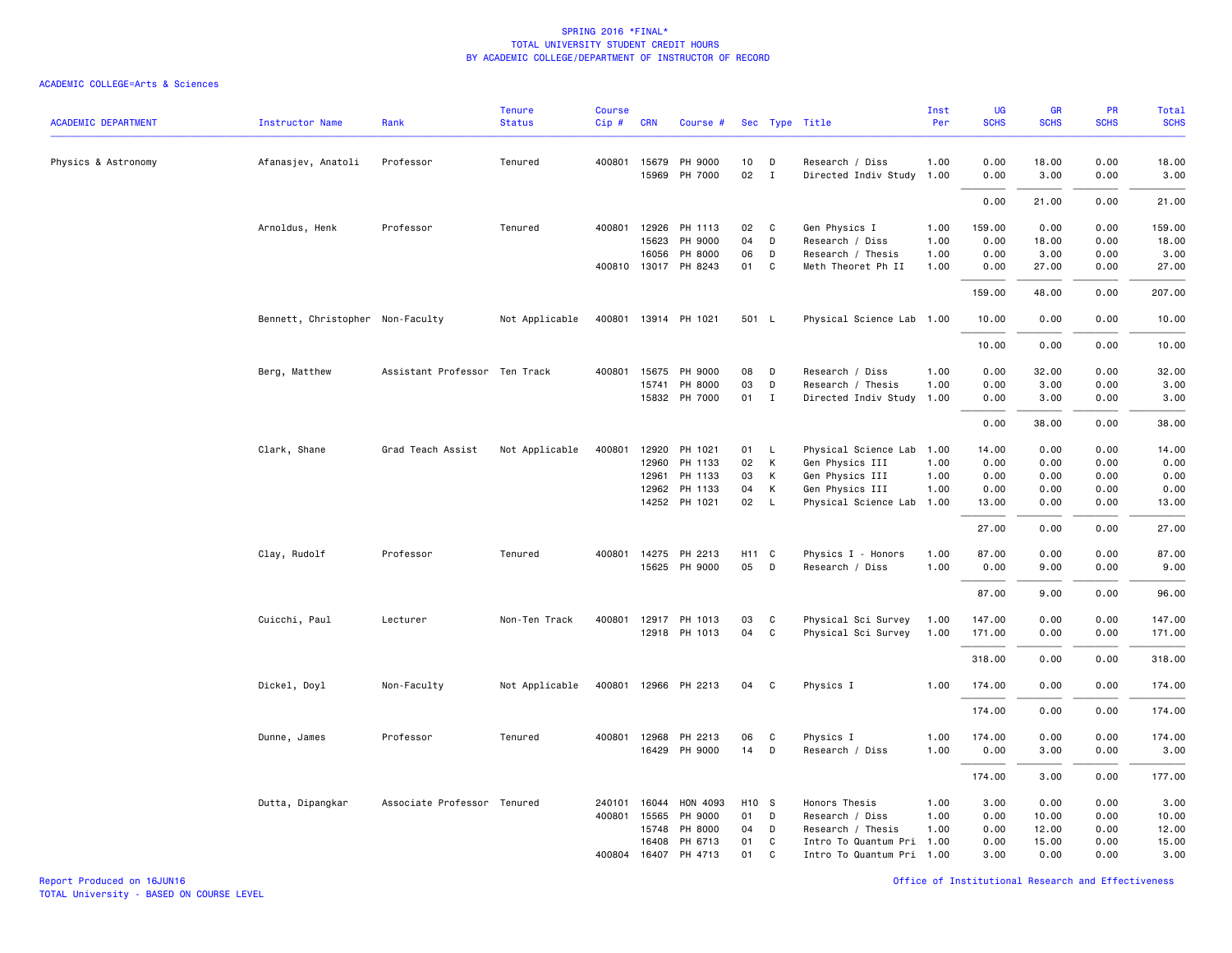#### ACADEMIC COLLEGE=Arts & Sciences

| <b>ACADEMIC DEPARTMENT</b> | Instructor Name                  | Rank                          | <b>Tenure</b><br><b>Status</b> | <b>Course</b><br>Cip# | <b>CRN</b>   | Course #             |                   |                | Sec Type Title            | Inst<br>Per | UG<br><b>SCHS</b> | GR<br><b>SCHS</b> | PR<br><b>SCHS</b> | <b>Total</b><br><b>SCHS</b> |
|----------------------------|----------------------------------|-------------------------------|--------------------------------|-----------------------|--------------|----------------------|-------------------|----------------|---------------------------|-------------|-------------------|-------------------|-------------------|-----------------------------|
|                            |                                  |                               |                                |                       |              |                      |                   |                |                           |             |                   |                   |                   |                             |
| Physics & Astronomy        | Afanasjev, Anatoli               | Professor                     | Tenured                        |                       | 400801 15679 | PH 9000              | 10                | D              | Research / Diss           | 1.00        | 0.00              | 18.00             | 0.00              | 18.00                       |
|                            |                                  |                               |                                |                       | 15969        | PH 7000              | 02                | $\mathbf{I}$   | Directed Indiv Study 1.00 |             | 0.00              | 3.00              | 0.00              | 3.00                        |
|                            |                                  |                               |                                |                       |              |                      |                   |                |                           |             | 0.00              | 21.00             | 0.00              | 21.00                       |
|                            | Arnoldus, Henk                   | Professor                     | Tenured                        | 400801                | 12926        | PH 1113              | 02                | C              | Gen Physics I             | 1.00        | 159.00            | 0.00              | 0.00              | 159.00                      |
|                            |                                  |                               |                                |                       | 15623        | PH 9000              | 04                | D              | Research / Diss           | 1.00        | 0.00              | 18.00             | 0.00              | 18.00                       |
|                            |                                  |                               |                                |                       |              | 16056 PH 8000        | 06                | D              | Research / Thesis         | 1.00        | 0.00              | 3.00              | 0.00              | 3.00                        |
|                            |                                  |                               |                                |                       |              | 400810 13017 PH 8243 | 01                | C              | Meth Theoret Ph II        | 1.00        | 0.00              | 27.00             | 0.00              | 27.00                       |
|                            |                                  |                               |                                |                       |              |                      |                   |                |                           |             | 159.00            | 48.00             | 0.00              | 207.00                      |
|                            | Bennett, Christopher Non-Faculty |                               | Not Applicable                 |                       |              | 400801 13914 PH 1021 | 501 L             |                | Physical Science Lab 1.00 |             | 10.00             | 0.00              | 0.00              | 10.00                       |
|                            |                                  |                               |                                |                       |              |                      |                   |                |                           |             | 10.00             | 0.00              | 0.00              | 10.00                       |
|                            | Berg, Matthew                    | Assistant Professor Ten Track |                                | 400801                | 15675        | PH 9000              | 08                | D              | Research / Diss           | 1.00        | 0.00              | 32.00             | 0.00              | 32.00                       |
|                            |                                  |                               |                                |                       | 15741        | PH 8000              | 03                | D              | Research / Thesis         | 1.00        | 0.00              | 3.00              | 0.00              | 3.00                        |
|                            |                                  |                               |                                |                       |              | 15832 PH 7000        | 01                | $\mathbf{I}$   | Directed Indiv Study 1.00 |             | 0.00              | 3.00              | 0.00              | 3.00                        |
|                            |                                  |                               |                                |                       |              |                      |                   |                |                           |             | 0.00              | 38.00             | 0.00              | 38.00                       |
|                            | Clark, Shane                     | Grad Teach Assist             | Not Applicable                 | 400801                | 12920        | PH 1021              | 01                | L              | Physical Science Lab 1.00 |             | 14.00             | 0.00              | 0.00              | 14.00                       |
|                            |                                  |                               |                                |                       |              | 12960 PH 1133        | 02                | К              | Gen Physics III           | 1.00        | 0.00              | 0.00              | 0.00              | 0.00                        |
|                            |                                  |                               |                                |                       | 12961        | PH 1133              | 03                | К              | Gen Physics III           | 1.00        | 0.00              | 0.00              | 0.00              | 0.00                        |
|                            |                                  |                               |                                |                       | 12962        | PH 1133              | 04                | К              | Gen Physics III           | 1.00        | 0.00              | 0.00              | 0.00              | 0.00                        |
|                            |                                  |                               |                                |                       |              | 14252 PH 1021        | 02                | L.             | Physical Science Lab 1.00 |             | 13.00             | 0.00              | 0.00              | 13.00                       |
|                            |                                  |                               |                                |                       |              |                      |                   |                |                           |             | 27.00             | 0.00              | 0.00              | 27.00                       |
|                            | Clay, Rudolf                     | Professor                     | Tenured                        | 400801                |              | 14275 PH 2213        | H11 C             |                | Physics I - Honors        | 1.00        | 87.00             | 0.00              | 0.00              | 87.00                       |
|                            |                                  |                               |                                |                       |              | 15625 PH 9000        | 05                | D              | Research / Diss           | 1.00        | 0.00              | 9.00              | 0.00              | 9.00                        |
|                            |                                  |                               |                                |                       |              |                      |                   |                |                           |             | 87.00             | 9.00              | 0.00              | 96.00                       |
|                            | Cuicchi, Paul                    | Lecturer                      | Non-Ten Track                  | 400801                |              | 12917 PH 1013        | 03                | C <sub>c</sub> | Physical Sci Survey       | 1.00        | 147.00            | 0.00              | 0.00              | 147.00                      |
|                            |                                  |                               |                                |                       |              | 12918 PH 1013        | 04                | C              | Physical Sci Survey       | 1.00        | 171.00            | 0.00              | 0.00              | 171.00                      |
|                            |                                  |                               |                                |                       |              |                      |                   |                |                           |             | 318.00            | 0.00              | 0.00              | 318.00                      |
|                            | Dickel, Doyl                     | Non-Faculty                   | Not Applicable                 |                       |              | 400801 12966 PH 2213 | 04                | $\mathbf{C}$   | Physics I                 | 1.00        | 174.00            | 0.00              | 0.00              | 174.00                      |
|                            |                                  |                               |                                |                       |              |                      |                   |                |                           |             | 174.00            | 0.00              | 0.00              | 174.00                      |
|                            |                                  |                               |                                |                       |              |                      |                   |                |                           |             |                   |                   |                   |                             |
|                            | Dunne, James                     | Professor                     | Tenured                        |                       | 400801 12968 | PH 2213              | 06                | C              | Physics I                 | 1.00        | 174.00            | 0.00              | 0.00              | 174.00                      |
|                            |                                  |                               |                                |                       | 16429        | PH 9000              | 14                | D              | Research / Diss           | 1.00        | 0.00              | 3.00              | 0.00              | 3.00                        |
|                            |                                  |                               |                                |                       |              |                      |                   |                |                           |             | 174.00            | 3.00              | 0.00              | 177.00                      |
|                            | Dutta, Dipangkar                 | Associate Professor Tenured   |                                | 240101                | 16044        | HON 4093             | H <sub>10</sub> S |                | Honors Thesis             | 1.00        | 3.00              | 0.00              | 0.00              | 3.00                        |
|                            |                                  |                               |                                | 400801                | 15565        | PH 9000              | 01                | D              | Research / Diss           | 1.00        | 0.00              | 10.00             | 0.00              | 10.00                       |
|                            |                                  |                               |                                |                       | 15748        | PH 8000              | 04                | D              | Research / Thesis         | 1.00        | 0.00              | 12.00             | 0.00              | 12.00                       |
|                            |                                  |                               |                                |                       | 16408        | PH 6713              | 01                | C              | Intro To Quantum Pri 1.00 |             | 0.00              | 15.00             | 0.00              | 15.00                       |
|                            |                                  |                               |                                |                       | 400804 16407 | PH 4713              | 01                | C              | Intro To Quantum Pri 1.00 |             | 3.00              | 0.00              | 0.00              | 3.00                        |

Report Produced on 16JUN16 Office of Institutional Research and Effectiveness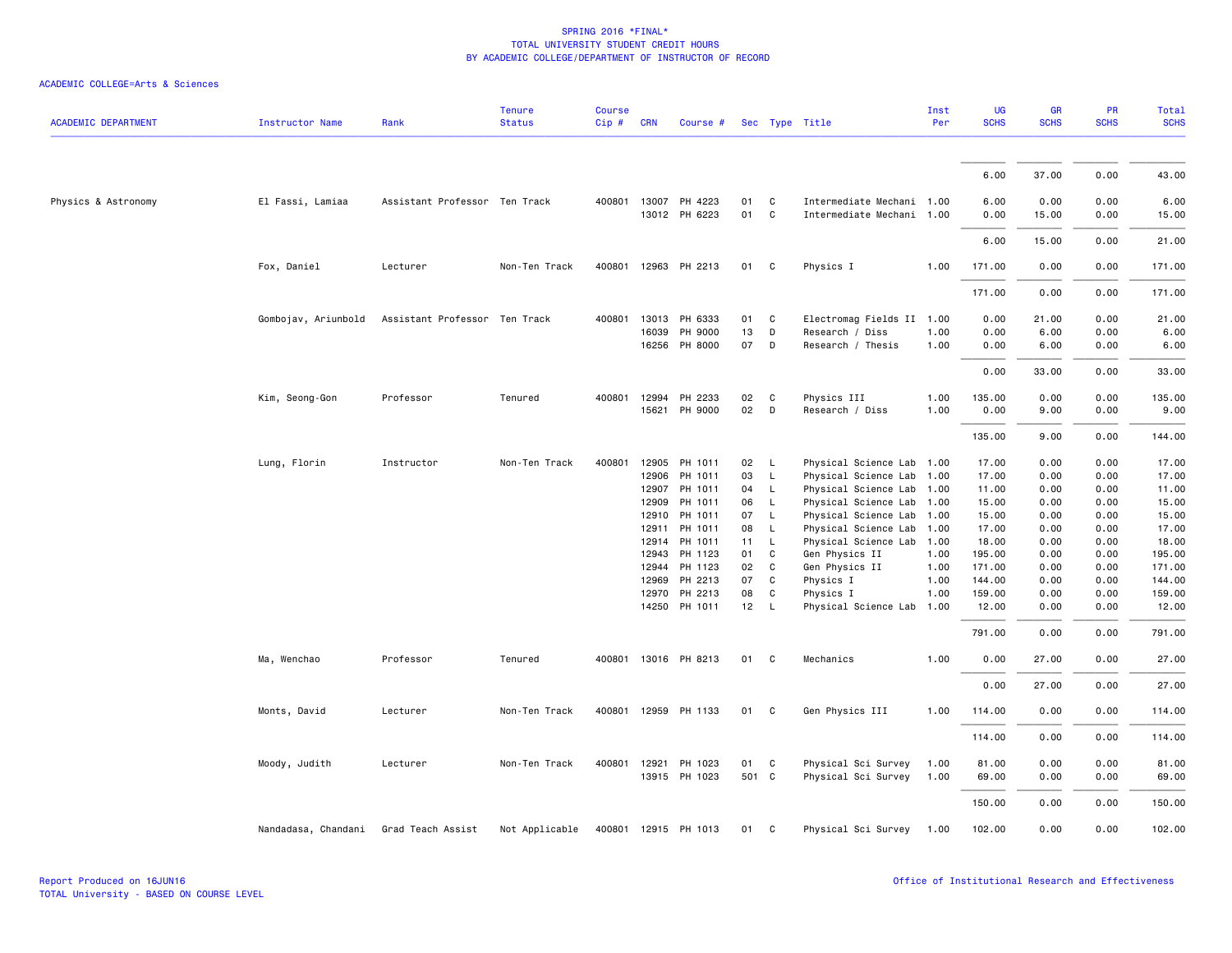| <b>ACADEMIC DEPARTMENT</b> | <b>Instructor Name</b> | Rank                          | <b>Tenure</b><br><b>Status</b> | <b>Course</b><br>Cip# | <b>CRN</b>     | Course #             |          |                   | Sec Type Title              | Inst<br>Per  | UG<br><b>SCHS</b> | GR<br><b>SCHS</b> | PR<br><b>SCHS</b> | <b>Total</b><br><b>SCHS</b> |
|----------------------------|------------------------|-------------------------------|--------------------------------|-----------------------|----------------|----------------------|----------|-------------------|-----------------------------|--------------|-------------------|-------------------|-------------------|-----------------------------|
|                            |                        |                               |                                |                       |                |                      |          |                   |                             |              |                   |                   |                   |                             |
|                            |                        |                               |                                |                       |                |                      |          |                   |                             |              | 6.00              | 37.00             | 0.00              | 43.00                       |
| Physics & Astronomy        | El Fassi, Lamiaa       | Assistant Professor Ten Track |                                |                       | 400801 13007   | PH 4223              | 01       | C                 | Intermediate Mechani 1.00   |              | 6.00              | 0.00              | 0.00              | 6.00                        |
|                            |                        |                               |                                |                       |                | 13012 PH 6223        | 01       | $\mathtt{C}$      | Intermediate Mechani        | 1.00         | 0.00              | 15.00             | 0.00              | 15.00                       |
|                            |                        |                               |                                |                       |                |                      |          |                   |                             |              | 6.00              | 15.00             | 0.00              | 21.00                       |
|                            | Fox, Daniel            | Lecturer                      | Non-Ten Track                  |                       |                | 400801 12963 PH 2213 | 01       | C                 | Physics I                   | 1.00         | 171.00            | 0.00              | 0.00              | 171.00                      |
|                            |                        |                               |                                |                       |                |                      |          |                   |                             |              | 171.00            | 0.00              | 0.00              | 171.00                      |
|                            | Gombojav, Ariunbold    | Assistant Professor Ten Track |                                | 400801                | 13013          | PH 6333              | 01       | C                 | Electromag Fields II 1.00   |              | 0.00              | 21.00             | 0.00              | 21.00                       |
|                            |                        |                               |                                |                       | 16039          | PH 9000              | 13       | D                 | Research / Diss             | 1.00         | 0.00              | 6.00              | 0.00              | 6.00                        |
|                            |                        |                               |                                |                       |                | 16256 PH 8000        | 07       | D                 | Research / Thesis           | 1.00         | 0.00              | 6.00              | 0.00              | 6.00                        |
|                            |                        |                               |                                |                       |                |                      |          |                   |                             |              | 0.00              | 33.00             | 0.00              | 33.00                       |
|                            | Kim, Seong-Gon         | Professor                     | Tenured                        | 400801                | 12994          | PH 2233              | 02       | C                 | Physics III                 | 1.00         | 135.00            | 0.00              | 0.00              | 135.00                      |
|                            |                        |                               |                                |                       | 15621          | PH 9000              | 02       | D                 | Research / Diss             | 1.00         | 0.00              | 9.00              | 0.00              | 9.00                        |
|                            |                        |                               |                                |                       |                |                      |          |                   |                             |              | 135.00            | 9.00              | 0.00              | 144.00                      |
|                            | Lung, Florin           | Instructor                    | Non-Ten Track                  | 400801                | 12905          | PH 1011              | 02       | $\mathsf{L}$      | Physical Science Lab        | 1.00         | 17.00             | 0.00              | 0.00              | 17.00                       |
|                            |                        |                               |                                |                       | 12906          | PH 1011              | 03       | $\mathsf{L}$      | Physical Science Lab        | 1.00         | 17.00             | 0.00              | 0.00              | 17.00                       |
|                            |                        |                               |                                |                       | 12907          | PH 1011              | 04       | $\mathsf{L}$      | Physical Science Lab        | 1.00         | 11.00             | 0.00              | 0.00              | 11.00                       |
|                            |                        |                               |                                |                       | 12909          | PH 1011              | 06       | $\mathsf{L}$      | Physical Science Lab        | 1.00         | 15.00             | 0.00              | 0.00              | 15.00                       |
|                            |                        |                               |                                |                       | 12910          | PH 1011              | 07       | $\mathsf{L}$      | Physical Science Lab        | 1.00         | 15.00             | 0.00              | 0.00              | 15.00                       |
|                            |                        |                               |                                |                       | 12911          | PH 1011              | 08       | $\mathsf{L}$      | Physical Science Lab        | 1.00         | 17.00             | 0.00              | 0.00              | 17.00                       |
|                            |                        |                               |                                |                       | 12914          | PH 1011              | 11       | $\mathsf{L}$      | Physical Science Lab        | 1.00         | 18.00             | 0.00              | 0.00              | 18.00                       |
|                            |                        |                               |                                |                       | 12943<br>12944 | PH 1123<br>PH 1123   | 01<br>02 | C<br>$\mathsf{C}$ | Gen Physics II              | 1.00<br>1.00 | 195.00<br>171.00  | 0.00<br>0.00      | 0.00<br>0.00      | 195.00<br>171.00            |
|                            |                        |                               |                                |                       | 12969          | PH 2213              | 07       | C                 | Gen Physics II<br>Physics I | 1.00         | 144.00            | 0.00              | 0.00              | 144.00                      |
|                            |                        |                               |                                |                       | 12970          | PH 2213              | 08       | C                 | Physics I                   | 1.00         | 159.00            | 0.00              | 0.00              | 159.00                      |
|                            |                        |                               |                                |                       |                | 14250 PH 1011        | 12       | $\mathsf{L}$      | Physical Science Lab        | 1.00         | 12.00             | 0.00              | 0.00              | 12.00                       |
|                            |                        |                               |                                |                       |                |                      |          |                   |                             |              | 791.00            | 0.00              | 0.00              | 791.00                      |
|                            | Ma, Wenchao            | Professor                     | Tenured                        | 400801                |                | 13016 PH 8213        | 01       | C                 | Mechanics                   | 1.00         | 0.00              | 27.00             | 0.00              | 27.00                       |
|                            |                        |                               |                                |                       |                |                      |          |                   |                             |              | 0.00              | 27.00             | 0.00              | 27.00                       |
|                            | Monts, David           | Lecturer                      | Non-Ten Track                  |                       |                | 400801 12959 PH 1133 | 01       | C                 | Gen Physics III             | 1.00         | 114.00            | 0.00              | 0.00              | 114.00                      |
|                            |                        |                               |                                |                       |                |                      |          |                   |                             |              | 114.00            | 0.00              | 0.00              | 114.00                      |
|                            |                        |                               |                                |                       |                |                      |          |                   |                             |              |                   |                   |                   |                             |
|                            | Moody, Judith          | Lecturer                      | Non-Ten Track                  |                       |                | 400801 12921 PH 1023 | 01       | C                 | Physical Sci Survey         | 1.00         | 81.00             | 0.00              | 0.00              | 81.00                       |
|                            |                        |                               |                                |                       |                | 13915 PH 1023        | 501 C    |                   | Physical Sci Survey         | 1.00         | 69.00             | 0.00              | 0.00              | 69.00                       |
|                            |                        |                               |                                |                       |                |                      |          |                   |                             |              | 150.00            | 0.00              | 0.00              | 150.00                      |
|                            | Nandadasa, Chandani    | Grad Teach Assist             | Not Applicable                 |                       |                | 400801 12915 PH 1013 | 01       | C                 | Physical Sci Survey         | 1.00         | 102.00            | 0.00              | 0.00              | 102.00                      |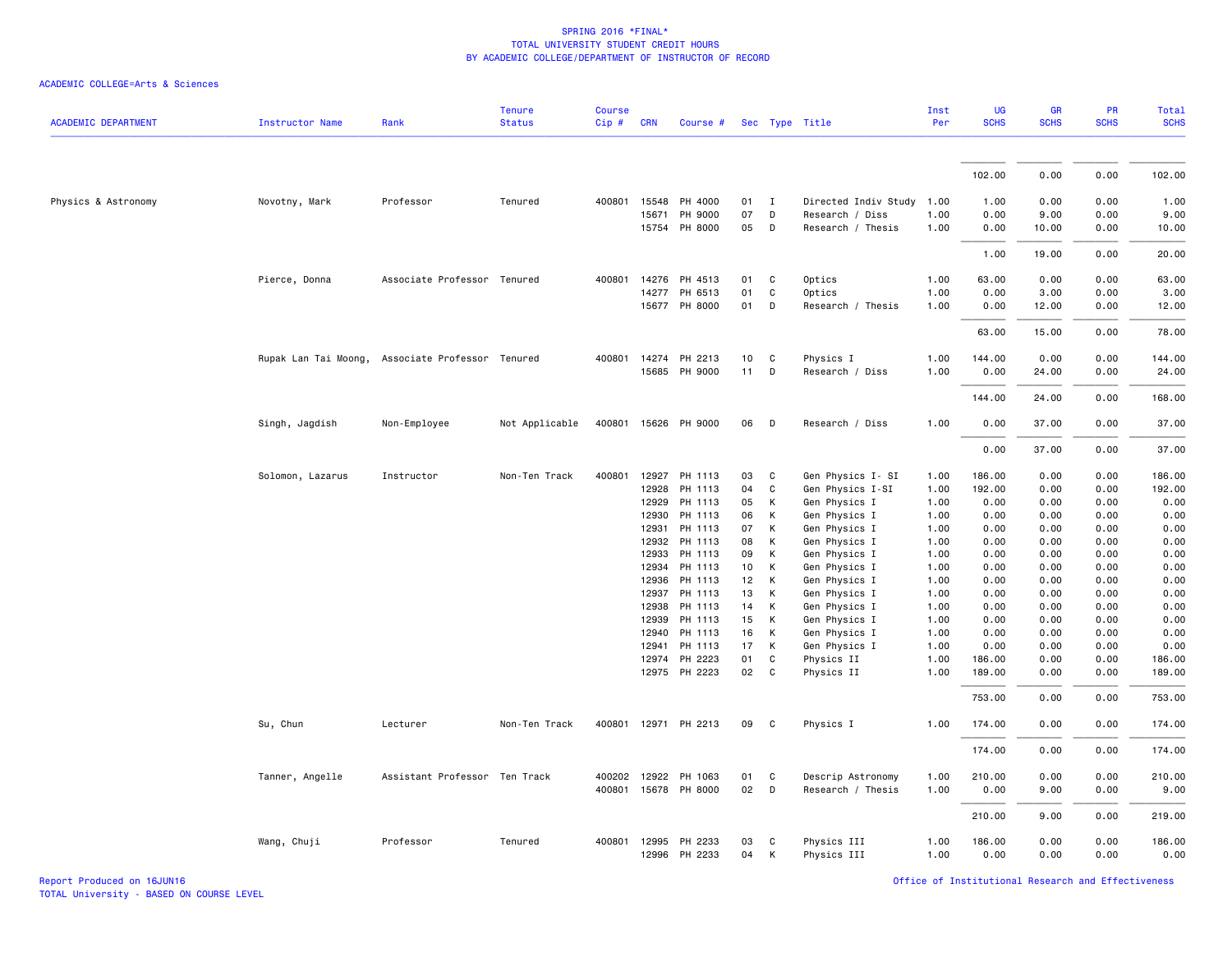### ACADEMIC COLLEGE=Arts & Sciences

| <b>ACADEMIC DEPARTMENT</b> | <b>Instructor Name</b> | Rank                                             | <b>Tenure</b><br><b>Status</b> | <b>Course</b><br>Cip# | <b>CRN</b>     | Course #                       |          |              | Sec Type Title                 | Inst<br>Per  | UG<br><b>SCHS</b> | <b>GR</b><br><b>SCHS</b> | <b>PR</b><br><b>SCHS</b> | <b>Total</b><br><b>SCHS</b> |
|----------------------------|------------------------|--------------------------------------------------|--------------------------------|-----------------------|----------------|--------------------------------|----------|--------------|--------------------------------|--------------|-------------------|--------------------------|--------------------------|-----------------------------|
|                            |                        |                                                  |                                |                       |                |                                |          |              |                                |              |                   |                          |                          |                             |
|                            |                        |                                                  |                                |                       |                |                                |          |              |                                |              | 102.00            | 0.00                     | 0.00                     | 102.00                      |
| Physics & Astronomy        | Novotny, Mark          | Professor                                        | Tenured                        | 400801                | 15548          | PH 4000                        | 01       | $\mathbf{I}$ | Directed Indiv Study           | 1.00         | 1.00              | 0.00                     | 0.00                     | 1.00                        |
|                            |                        |                                                  |                                |                       | 15671          | PH 9000                        | 07       | D            | Research / Diss                | 1.00         | 0.00              | 9.00                     | 0.00                     | 9.00                        |
|                            |                        |                                                  |                                |                       |                | 15754 PH 8000                  | 05       | D            | Research / Thesis              | 1.00         | 0.00              | 10.00                    | 0.00                     | 10.00                       |
|                            |                        |                                                  |                                |                       |                |                                |          |              |                                |              | 1.00              | 19.00                    | 0.00                     | 20.00                       |
|                            | Pierce, Donna          | Associate Professor Tenured                      |                                |                       |                | 400801 14276 PH 4513           | 01       | C            | Optics                         | 1.00         | 63.00             | 0.00                     | 0.00                     | 63.00                       |
|                            |                        |                                                  |                                |                       |                | 14277 PH 6513                  | 01       | C            | Optics                         | 1.00         | 0.00              | 3.00                     | 0.00                     | 3.00                        |
|                            |                        |                                                  |                                |                       |                | 15677 PH 8000                  | 01       | D            | Research / Thesis              | 1.00         | 0.00              | 12.00                    | 0.00                     | 12.00                       |
|                            |                        |                                                  |                                |                       |                |                                |          |              |                                |              | 63.00             | 15.00                    | 0.00                     | 78.00                       |
|                            |                        | Rupak Lan Tai Moong, Associate Professor Tenured |                                |                       |                | 400801 14274 PH 2213           | 10       | C            | Physics I                      | 1.00         | 144.00            | 0.00                     | 0.00                     | 144.00                      |
|                            |                        |                                                  |                                |                       |                | 15685 PH 9000                  | 11       | D            | Research / Diss                | 1.00         | 0.00              | 24.00                    | 0.00                     | 24.00                       |
|                            |                        |                                                  |                                |                       |                |                                |          |              |                                |              | 144.00            | 24.00                    | 0.00                     | 168.00                      |
|                            | Singh, Jagdish         | Non-Employee                                     | Not Applicable                 | 400801                |                | 15626 PH 9000                  | 06       | D            | Research / Diss                | 1.00         | 0.00              | 37.00                    | 0.00                     | 37.00                       |
|                            |                        |                                                  |                                |                       |                |                                |          |              |                                |              | 0.00              | 37.00                    | 0.00                     | 37.00                       |
|                            | Solomon, Lazarus       | Instructor                                       | Non-Ten Track                  | 400801                | 12927          | PH 1113                        | 03       | C            | Gen Physics I- SI              | 1.00         | 186.00            | 0.00                     | 0.00                     | 186.00                      |
|                            |                        |                                                  |                                |                       | 12928          | PH 1113                        | 04       | C            | Gen Physics I-SI               | 1.00         | 192.00            | 0.00                     | 0.00                     | 192.00                      |
|                            |                        |                                                  |                                |                       | 12929          | PH 1113                        | 05       | К            | Gen Physics I                  | 1.00         | 0.00              | 0.00                     | 0.00                     | 0.00                        |
|                            |                        |                                                  |                                |                       | 12930          | PH 1113                        | 06       | К            | Gen Physics I                  | 1.00         | 0.00              | 0.00                     | 0.00                     | 0.00                        |
|                            |                        |                                                  |                                |                       | 12931          | PH 1113                        | 07       | К            | Gen Physics I                  | 1.00         | 0.00              | 0.00                     | 0.00                     | 0.00                        |
|                            |                        |                                                  |                                |                       | 12932          | PH 1113                        | 08       | К            | Gen Physics I                  | 1.00         | 0.00              | 0.00                     | 0.00                     | 0.00                        |
|                            |                        |                                                  |                                |                       | 12933          | PH 1113                        | 09       | К            | Gen Physics I                  | 1.00         | 0.00              | 0.00                     | 0.00                     | 0.00                        |
|                            |                        |                                                  |                                |                       | 12934<br>12936 | PH 1113<br>PH 1113             | 10<br>12 | К<br>К       | Gen Physics I<br>Gen Physics I | 1.00<br>1.00 | 0.00<br>0.00      | 0.00<br>0.00             | 0.00<br>0.00             | 0.00<br>0.00                |
|                            |                        |                                                  |                                |                       | 12937          | PH 1113                        | 13       | К            | Gen Physics I                  | 1.00         | 0.00              | 0.00                     | 0.00                     | 0.00                        |
|                            |                        |                                                  |                                |                       | 12938          | PH 1113                        | 14       | К            | Gen Physics I                  | 1.00         | 0.00              | 0.00                     | 0.00                     | 0.00                        |
|                            |                        |                                                  |                                |                       | 12939          | PH 1113                        | 15       | K            | Gen Physics I                  | 1.00         | 0.00              | 0.00                     | 0.00                     | 0.00                        |
|                            |                        |                                                  |                                |                       | 12940          | PH 1113                        | 16       | K            | Gen Physics I                  | 1.00         | 0.00              | 0.00                     | 0.00                     | 0.00                        |
|                            |                        |                                                  |                                |                       | 12941          | PH 1113                        | 17       | K            | Gen Physics I                  | 1.00         | 0.00              | 0.00                     | 0.00                     | 0.00                        |
|                            |                        |                                                  |                                |                       | 12974          | PH 2223                        | 01       | C            | Physics II                     | 1.00         | 186.00            | 0.00                     | 0.00                     | 186.00                      |
|                            |                        |                                                  |                                |                       |                | 12975 PH 2223                  | 02       | C            | Physics II                     | 1.00         | 189.00            | 0.00                     | 0.00                     | 189.00                      |
|                            |                        |                                                  |                                |                       |                |                                |          |              |                                |              | 753.00            | 0.00                     | 0.00                     | 753.00                      |
|                            | Su, Chun               | Lecturer                                         | Non-Ten Track                  |                       |                | 400801 12971 PH 2213           | 09       | $\mathbf{C}$ | Physics I                      | 1.00         | 174.00            | 0.00                     | 0.00                     | 174.00                      |
|                            |                        |                                                  |                                |                       |                |                                |          |              |                                |              | 174.00            | 0.00                     | 0.00                     | 174.00                      |
|                            | Tanner, Angelle        | Assistant Professor Ten Track                    |                                |                       | 400202 12922   | PH 1063                        | 01       | C            | Descrip Astronomy              | 1.00         | 210.00            | 0.00                     | 0.00                     | 210.00                      |
|                            |                        |                                                  |                                |                       |                | 400801 15678 PH 8000           | 02       | D            | Research / Thesis              | 1.00         | 0.00              | 9.00                     | 0.00                     | 9.00                        |
|                            |                        |                                                  |                                |                       |                |                                |          |              |                                |              | 210.00            | 9.00                     | 0.00                     | 219.00                      |
|                            | Wang, Chuji            | Professor                                        | Tenured                        | 400801                |                | 12995 PH 2233<br>12996 PH 2233 | 03<br>04 | C<br>K       | Physics III<br>Physics III     | 1.00<br>1.00 | 186.00<br>0.00    | 0.00<br>0.00             | 0.00<br>0.00             | 186.00<br>0.00              |

Report Produced on 16JUN16 Office of Institutional Research and Effectiveness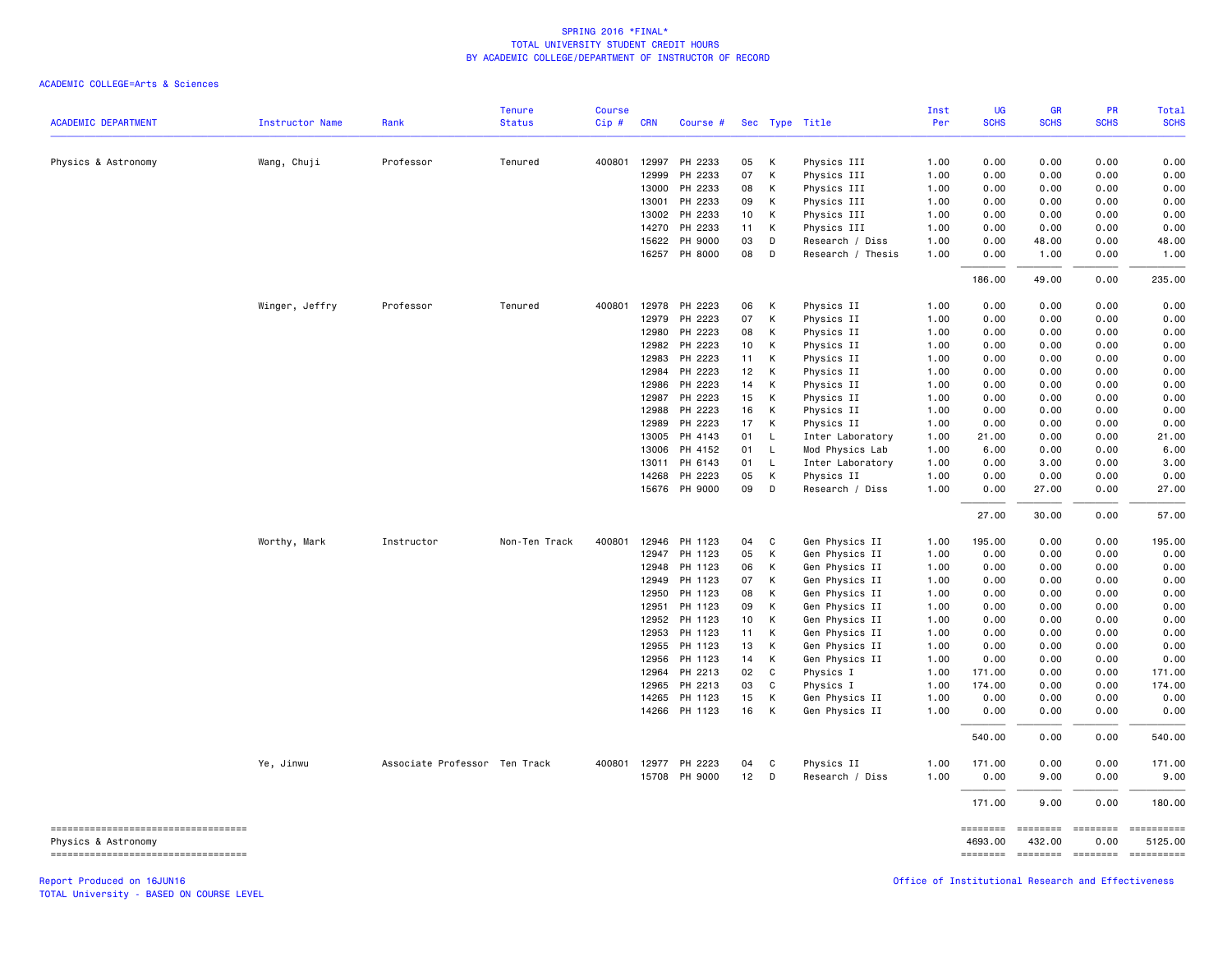#### ACADEMIC COLLEGE=Arts & Sciences

|                                                             |                        |                               | <b>Tenure</b> | <b>Course</b> |              |                      |    |              |                   | Inst | UG                  | GR                                   | PR                      | Total                 |
|-------------------------------------------------------------|------------------------|-------------------------------|---------------|---------------|--------------|----------------------|----|--------------|-------------------|------|---------------------|--------------------------------------|-------------------------|-----------------------|
| <b>ACADEMIC DEPARTMENT</b>                                  | <b>Instructor Name</b> | Rank                          | <b>Status</b> | Cip#          | <b>CRN</b>   | Course #             |    |              | Sec Type Title    | Per  | <b>SCHS</b>         | <b>SCHS</b>                          | <b>SCHS</b>             | <b>SCHS</b>           |
| Physics & Astronomy                                         | Wang, Chuji            | Professor                     | Tenured       |               | 400801 12997 | PH 2233              | 05 | К            | Physics III       | 1.00 | 0.00                | 0.00                                 | 0.00                    | 0.00                  |
|                                                             |                        |                               |               |               | 12999        | PH 2233              | 07 | К            | Physics III       | 1.00 | 0.00                | 0.00                                 | 0.00                    | 0.00                  |
|                                                             |                        |                               |               |               | 13000        | PH 2233              | 08 | К            | Physics III       | 1.00 | 0.00                | 0.00                                 | 0.00                    | 0.00                  |
|                                                             |                        |                               |               |               | 13001        | PH 2233              | 09 | К            | Physics III       | 1.00 | 0.00                | 0.00                                 | 0.00                    | 0.00                  |
|                                                             |                        |                               |               |               | 13002        | PH 2233              | 10 | К            | Physics III       | 1.00 | 0.00                | 0.00                                 | 0.00                    | 0.00                  |
|                                                             |                        |                               |               |               | 14270        | PH 2233              | 11 | К            | Physics III       | 1.00 | 0.00                | 0.00                                 | 0.00                    | 0.00                  |
|                                                             |                        |                               |               |               | 15622        | PH 9000              | 03 | D            | Research / Diss   | 1.00 | 0.00                | 48.00                                | 0.00                    | 48.00                 |
|                                                             |                        |                               |               |               |              | 16257 PH 8000        | 08 | D            | Research / Thesis | 1.00 | 0.00                | 1.00                                 | 0.00                    | 1.00                  |
|                                                             |                        |                               |               |               |              |                      |    |              |                   |      | 186.00              | 49.00                                | 0.00                    | 235.00                |
|                                                             | Winger, Jeffry         | Professor                     | Tenured       | 400801        |              | 12978 PH 2223        | 06 | К            | Physics II        | 1.00 | 0.00                | 0.00                                 | 0.00                    | 0.00                  |
|                                                             |                        |                               |               |               | 12979        | PH 2223              | 07 | К            | Physics II        | 1.00 | 0.00                | 0.00                                 | 0.00                    | 0.00                  |
|                                                             |                        |                               |               |               | 12980        | PH 2223              | 08 | К            | Physics II        | 1.00 | 0.00                | 0.00                                 | 0.00                    | 0.00                  |
|                                                             |                        |                               |               |               | 12982        | PH 2223              | 10 | К            | Physics II        | 1.00 | 0.00                | 0.00                                 | 0.00                    | 0.00                  |
|                                                             |                        |                               |               |               | 12983        | PH 2223              | 11 | К            | Physics II        | 1.00 | 0.00                | 0.00                                 | 0.00                    | 0.00                  |
|                                                             |                        |                               |               |               | 12984        | PH 2223              | 12 | К            | Physics II        | 1.00 | 0.00                | 0.00                                 | 0.00                    | 0.00                  |
|                                                             |                        |                               |               |               | 12986        | PH 2223              | 14 | К            | Physics II        | 1.00 | 0.00                | 0.00                                 | 0.00                    | 0.00                  |
|                                                             |                        |                               |               |               | 12987        | PH 2223              | 15 | К            | Physics II        | 1.00 | 0.00                | 0.00                                 | 0.00                    | 0.00                  |
|                                                             |                        |                               |               |               | 12988        | PH 2223              | 16 | К            | Physics II        | 1.00 | 0.00                | 0.00                                 | 0.00                    | 0.00                  |
|                                                             |                        |                               |               |               | 12989        | PH 2223              | 17 | К            | Physics II        | 1.00 | 0.00                | 0.00                                 | 0.00                    | 0.00                  |
|                                                             |                        |                               |               |               | 13005        | PH 4143              | 01 | $\mathsf{L}$ | Inter Laboratory  | 1.00 | 21.00               | 0.00                                 | 0.00                    | 21.00                 |
|                                                             |                        |                               |               |               | 13006        | PH 4152              | 01 | $\mathsf{L}$ | Mod Physics Lab   | 1.00 | 6.00                | 0.00                                 | 0.00                    | 6.00                  |
|                                                             |                        |                               |               |               | 13011        | PH 6143              | 01 | $\mathsf{L}$ | Inter Laboratory  | 1.00 | 0.00                | 3.00                                 | 0.00                    | 3.00                  |
|                                                             |                        |                               |               |               | 14268        | PH 2223              | 05 | К            | Physics II        | 1.00 | 0.00                | 0.00                                 | 0.00                    | 0.00                  |
|                                                             |                        |                               |               |               |              | 15676 PH 9000        | 09 | D            | Research / Diss   | 1.00 | 0.00                | 27.00                                | 0.00                    | 27.00                 |
|                                                             |                        |                               |               |               |              |                      |    |              |                   |      | 27.00               | 30.00                                | 0.00                    | 57.00                 |
|                                                             | Worthy, Mark           | Instructor                    | Non-Ten Track | 400801        |              | 12946 PH 1123        | 04 | C            | Gen Physics II    | 1.00 | 195.00              | 0.00                                 | 0.00                    | 195.00                |
|                                                             |                        |                               |               |               | 12947        | PH 1123              | 05 | К            | Gen Physics II    | 1.00 | 0.00                | 0.00                                 | 0.00                    | 0.00                  |
|                                                             |                        |                               |               |               | 12948        | PH 1123              | 06 | К            | Gen Physics II    | 1.00 | 0.00                | 0.00                                 | 0.00                    | 0.00                  |
|                                                             |                        |                               |               |               | 12949        | PH 1123              | 07 | К            | Gen Physics II    | 1.00 | 0.00                | 0.00                                 | 0.00                    | 0.00                  |
|                                                             |                        |                               |               |               | 12950        | PH 1123              | 08 | К            | Gen Physics II    | 1.00 | 0.00                | 0.00                                 | 0.00                    | 0.00                  |
|                                                             |                        |                               |               |               | 12951        | PH 1123              | 09 | К            | Gen Physics II    | 1.00 | 0.00                | 0.00                                 | 0.00                    | 0.00                  |
|                                                             |                        |                               |               |               | 12952        | PH 1123              | 10 | К            | Gen Physics II    | 1.00 | 0.00                | 0.00                                 | 0.00                    | 0.00                  |
|                                                             |                        |                               |               |               | 12953        | PH 1123              | 11 | К            | Gen Physics II    | 1.00 | 0.00                | 0.00                                 | 0.00                    | 0.00                  |
|                                                             |                        |                               |               |               | 12955        | PH 1123              | 13 | К            | Gen Physics II    | 1.00 | 0.00                | 0.00                                 | 0.00                    | 0.00                  |
|                                                             |                        |                               |               |               | 12956        | PH 1123              | 14 | К            | Gen Physics II    | 1.00 | 0.00                | 0.00                                 | 0.00                    | 0.00                  |
|                                                             |                        |                               |               |               | 12964        | PH 2213              | 02 | $\mathsf{C}$ | Physics I         | 1.00 | 171.00              | 0.00                                 | 0.00                    | 171.00                |
|                                                             |                        |                               |               |               | 12965        | PH 2213              | 03 | $\mathsf{C}$ | Physics I         | 1.00 | 174.00              | 0.00                                 | 0.00                    | 174.00                |
|                                                             |                        |                               |               |               | 14265        | PH 1123              | 15 | К            | Gen Physics II    | 1.00 | 0.00                | 0.00                                 | 0.00                    | 0.00                  |
|                                                             |                        |                               |               |               |              | 14266 PH 1123        | 16 | К            | Gen Physics II    | 1.00 | 0.00                | 0.00                                 | 0.00                    | 0.00                  |
|                                                             |                        |                               |               |               |              |                      |    |              |                   |      | 540.00              | 0.00                                 | 0.00                    | 540.00                |
|                                                             | Ye, Jinwu              | Associate Professor Ten Track |               |               |              | 400801 12977 PH 2223 | 04 | C            | Physics II        | 1.00 | 171.00              | 0.00                                 | 0.00                    | 171.00                |
|                                                             |                        |                               |               |               |              | 15708 PH 9000        | 12 | D            | Research / Diss   | 1.00 | 0.00                | 9.00                                 | 0.00                    | 9.00                  |
|                                                             |                        |                               |               |               |              |                      |    |              |                   |      | 171.00              | 9.00                                 | 0.00                    | 180.00                |
| ------------------------------------<br>Physics & Astronomy |                        |                               |               |               |              |                      |    |              |                   |      | ========<br>4693.00 | ========<br>432.00                   | $= 10000000000$<br>0.00 | ==========<br>5125.00 |
| =====================================                       |                        |                               |               |               |              |                      |    |              |                   |      |                     | ======== ======== ======== ========= |                         |                       |

Report Produced on 16JUN16 Office of Institutional Research and Effectiveness

TOTAL University - BASED ON COURSE LEVEL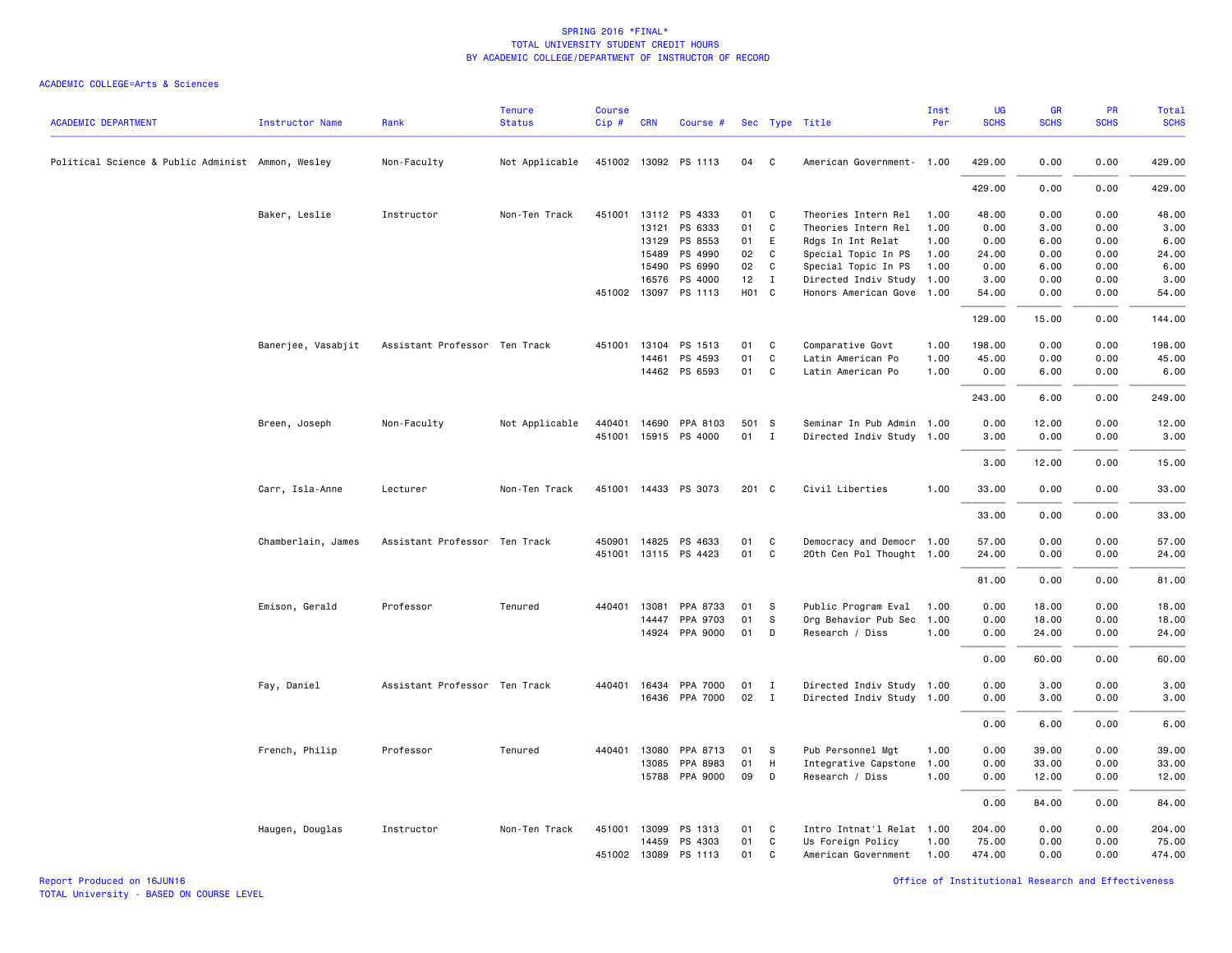| <b>ACADEMIC DEPARTMENT</b>                        | Instructor Name    | Rank                          | <b>Tenure</b><br><b>Status</b> | <b>Course</b><br>Cip# | <b>CRN</b>   | Course #                              |          |              | Sec Type Title                        | Inst<br>Per  | UG<br><b>SCHS</b> | <b>GR</b><br><b>SCHS</b> | PR<br><b>SCHS</b> | Total<br><b>SCHS</b> |
|---------------------------------------------------|--------------------|-------------------------------|--------------------------------|-----------------------|--------------|---------------------------------------|----------|--------------|---------------------------------------|--------------|-------------------|--------------------------|-------------------|----------------------|
| Political Science & Public Administ Ammon, Wesley |                    | Non-Faculty                   | Not Applicable                 |                       |              | 451002 13092 PS 1113                  | 04       | $\mathbf{C}$ | American Government- 1.00             |              | 429.00            | 0.00                     | 0.00              | 429.00               |
|                                                   |                    |                               |                                |                       |              |                                       |          |              |                                       |              | 429.00            | 0.00                     | 0.00              | 429.00               |
|                                                   | Baker, Leslie      | Instructor                    | Non-Ten Track                  | 451001                |              | 13112 PS 4333                         | 01       | <b>C</b>     | Theories Intern Rel                   | 1.00         | 48.00             | 0.00                     | 0.00              | 48.00                |
|                                                   |                    |                               |                                |                       | 13121        | PS 6333                               | 01       | C            | Theories Intern Rel                   | 1.00         | 0.00              | 3.00                     | 0.00              | 3.00                 |
|                                                   |                    |                               |                                |                       | 13129        | PS 8553                               | 01       | E            | Rdgs In Int Relat                     | 1.00         | 0.00              | 6.00                     | 0.00              | 6.00                 |
|                                                   |                    |                               |                                |                       | 15489        | PS 4990                               | 02       | $\mathbf{C}$ | Special Topic In PS                   | 1.00         | 24.00             | 0.00                     | 0.00              | 24.00                |
|                                                   |                    |                               |                                |                       | 15490        | PS 6990                               | 02       | C            | Special Topic In PS                   | 1.00         | 0.00              | 6.00                     | 0.00              | 6.00                 |
|                                                   |                    |                               |                                |                       | 16576        | PS 4000                               | $12$ I   |              | Directed Indiv Study 1.00             |              | 3.00              | 0.00                     | 0.00              | 3.00                 |
|                                                   |                    |                               |                                |                       | 451002 13097 | PS 1113                               | HO1 C    |              | Honors American Gove 1.00             |              | 54.00             | 0.00                     | 0.00              | 54.00                |
|                                                   |                    |                               |                                |                       |              |                                       |          |              |                                       |              | 129.00            | 15.00                    | 0.00              | 144.00               |
|                                                   | Banerjee, Vasabjit | Assistant Professor Ten Track |                                |                       |              | 451001 13104 PS 1513<br>14461 PS 4593 | 01<br>01 | C<br>C       | Comparative Govt<br>Latin American Po | 1.00<br>1.00 | 198.00<br>45.00   | 0.00<br>0.00             | 0.00<br>0.00      | 198.00<br>45.00      |
|                                                   |                    |                               |                                |                       |              | 14462 PS 6593                         | 01 C     |              | Latin American Po                     | 1.00         | 0.00              | 6.00                     | 0.00              | 6.00                 |
|                                                   |                    |                               |                                |                       |              |                                       |          |              |                                       |              |                   |                          |                   |                      |
|                                                   |                    |                               |                                |                       |              |                                       |          |              |                                       |              | 243.00            | 6.00                     | 0.00              | 249.00               |
|                                                   | Breen, Joseph      | Non-Faculty                   | Not Applicable                 |                       |              | 440401 14690 PPA 8103                 | 501 S    |              | Seminar In Pub Admin 1.00             |              | 0.00              | 12.00                    | 0.00              | 12.00                |
|                                                   |                    |                               |                                |                       |              | 451001 15915 PS 4000                  | 01 I     |              | Directed Indiv Study 1.00             |              | 3.00              | 0.00                     | 0.00              | 3.00                 |
|                                                   |                    |                               |                                |                       |              |                                       |          |              |                                       |              | 3.00              | 12.00                    | 0.00              | 15.00                |
|                                                   | Carr, Isla-Anne    | Lecturer                      | Non-Ten Track                  |                       |              | 451001 14433 PS 3073                  | 201 C    |              | Civil Liberties                       | 1.00         | 33.00             | 0.00                     | 0.00              | 33.00                |
|                                                   |                    |                               |                                |                       |              |                                       |          |              |                                       |              | 33.00             | 0.00                     | 0.00              | 33.00                |
|                                                   | Chamberlain, James | Assistant Professor Ten Track |                                |                       |              | 450901 14825 PS 4633                  | 01       | C            | Democracy and Democr 1.00             |              | 57.00             | 0.00                     | 0.00              | 57.00                |
|                                                   |                    |                               |                                |                       |              | 451001 13115 PS 4423                  | 01 C     |              | 20th Cen Pol Thought 1.00             |              | 24.00             | 0.00                     | 0.00              | 24.00                |
|                                                   |                    |                               |                                |                       |              |                                       |          |              |                                       |              |                   |                          |                   | 81.00                |
|                                                   |                    |                               |                                |                       |              |                                       |          |              |                                       |              | 81.00             | 0.00                     | 0.00              |                      |
|                                                   | Emison, Gerald     | Professor                     | Tenured                        |                       |              | 440401 13081 PPA 8733                 | 01       | - S          | Public Program Eval                   | 1.00         | 0.00              | 18.00                    | 0.00              | 18.00                |
|                                                   |                    |                               |                                |                       | 14447        | PPA 9703                              | 01       | <b>S</b>     | Org Behavior Pub Sec                  | 1.00         | 0.00              | 18.00                    | 0.00              | 18.00                |
|                                                   |                    |                               |                                |                       |              | 14924 PPA 9000                        | 01       | D            | Research / Diss                       | 1.00         | 0.00              | 24.00                    | 0.00              | 24.00                |
|                                                   |                    |                               |                                |                       |              |                                       |          |              |                                       |              | 0.00              | 60.00                    | 0.00              | 60.00                |
|                                                   | Fay, Daniel        | Assistant Professor Ten Track |                                |                       |              | 440401 16434 PPA 7000                 | 01       | $\mathbf{I}$ | Directed Indiv Study 1.00             |              | 0.00              | 3.00                     | 0.00              | 3.00                 |
|                                                   |                    |                               |                                |                       |              | 16436 PPA 7000                        | 02       | $\mathbf{I}$ | Directed Indiv Study 1.00             |              | 0.00              | 3.00                     | 0.00              | 3.00                 |
|                                                   |                    |                               |                                |                       |              |                                       |          |              |                                       |              | 0.00              | 6.00                     | 0.00              | 6.00                 |
|                                                   | French, Philip     | Professor                     | Tenured                        |                       |              | 440401 13080 PPA 8713                 | 01       | <b>S</b>     | Pub Personnel Mgt                     | 1.00         | 0.00              | 39.00                    | 0.00              | 39.00                |
|                                                   |                    |                               |                                |                       | 13085        | PPA 8983                              | 01       | H            | Integrative Capstone                  | 1.00         | 0.00              | 33.00                    | 0.00              | 33.00                |
|                                                   |                    |                               |                                |                       |              | 15788 PPA 9000                        | 09       | D            | Research / Diss                       | 1.00         | 0.00              | 12.00                    | 0.00              | 12.00                |
|                                                   |                    |                               |                                |                       |              |                                       |          |              |                                       |              | 0.00              | 84.00                    | 0.00              | 84.00                |
|                                                   | Haugen, Douglas    | Instructor                    | Non-Ten Track                  |                       |              | 451001 13099 PS 1313                  | 01       | C            | Intro Intnat'l Relat 1.00             |              | 204.00            | 0.00                     | 0.00              | 204.00               |
|                                                   |                    |                               |                                |                       |              | 14459 PS 4303                         | 01       | C            | Us Foreign Policy                     | 1.00         | 75.00             | 0.00                     | 0.00              | 75.00                |
|                                                   |                    |                               |                                |                       |              | 451002 13089 PS 1113                  | 01       | C            | American Government 1.00              |              | 474.00            | 0.00                     | 0.00              | 474.00               |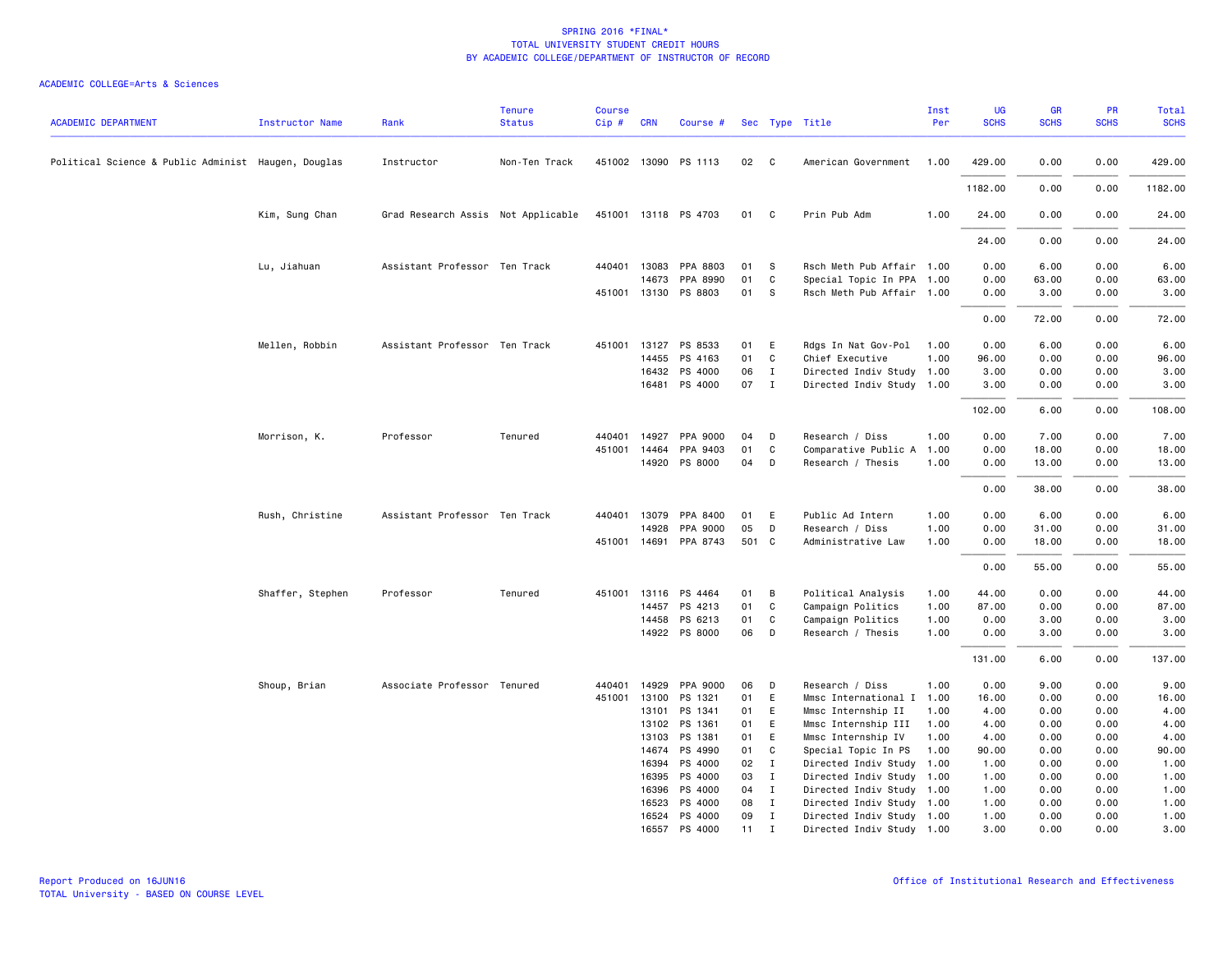| <b>ACADEMIC DEPARTMENT</b>                          | <b>Instructor Name</b> | Rank                               | <b>Tenure</b><br><b>Status</b> | <b>Course</b><br>$Cip \#$ | <b>CRN</b>   | Course #                 |          |              | Sec Type Title                            | Inst<br>Per  | UG<br><b>SCHS</b> | <b>GR</b><br><b>SCHS</b> | PR<br><b>SCHS</b> | Total<br><b>SCHS</b> |
|-----------------------------------------------------|------------------------|------------------------------------|--------------------------------|---------------------------|--------------|--------------------------|----------|--------------|-------------------------------------------|--------------|-------------------|--------------------------|-------------------|----------------------|
| Political Science & Public Administ Haugen, Douglas |                        | Instructor                         | Non-Ten Track                  |                           |              | 451002 13090 PS 1113     | 02       | $\mathbf{C}$ | American Government                       | 1.00         | 429.00            | 0.00                     | 0.00              | 429.00               |
|                                                     |                        |                                    |                                |                           |              |                          |          |              |                                           |              | 1182.00           | 0.00                     | 0.00              | 1182.00              |
|                                                     | Kim, Sung Chan         | Grad Research Assis Not Applicable |                                |                           |              | 451001 13118 PS 4703     | 01 C     |              | Prin Pub Adm                              | 1.00         | 24.00             | 0.00                     | 0.00              | 24.00                |
|                                                     |                        |                                    |                                |                           |              |                          |          |              |                                           |              | 24.00             | 0.00                     | 0.00              | 24.00                |
|                                                     | Lu, Jiahuan            | Assistant Professor Ten Track      |                                |                           | 440401 13083 | PPA 8803                 | 01       | <b>S</b>     | Rsch Meth Pub Affair 1.00                 |              | 0.00              | 6.00                     | 0.00              | 6.00                 |
|                                                     |                        |                                    |                                |                           | 14673        | PPA 8990                 | 01       | C            | Special Topic In PPA 1.00                 |              | 0.00              | 63.00                    | 0.00              | 63.00                |
|                                                     |                        |                                    |                                |                           |              | 451001 13130 PS 8803     | 01       | - S          | Rsch Meth Pub Affair 1.00                 |              | 0.00              | 3.00                     | 0.00              | 3.00                 |
|                                                     |                        |                                    |                                |                           |              |                          |          |              |                                           |              | 0.00              | 72.00                    | 0.00              | 72.00                |
|                                                     | Mellen, Robbin         | Assistant Professor Ten Track      |                                | 451001                    | 13127        | PS 8533                  | 01 E     |              | Rdgs In Nat Gov-Pol                       | 1.00         | 0.00              | 6.00                     | 0.00              | 6.00                 |
|                                                     |                        |                                    |                                |                           | 14455        | PS 4163                  | 01       | C            | Chief Executive                           | 1.00         | 96.00             | 0.00                     | 0.00              | 96.00                |
|                                                     |                        |                                    |                                |                           |              | 16432 PS 4000            | 06       | $\mathbf{I}$ | Directed Indiv Study 1.00                 |              | 3.00              | 0.00                     | 0.00              | 3.00                 |
|                                                     |                        |                                    |                                |                           |              | 16481 PS 4000            | 07       | $\mathbf{I}$ | Directed Indiv Study 1.00                 |              | 3.00              | 0.00                     | 0.00              | 3.00                 |
|                                                     |                        |                                    |                                |                           |              |                          |          |              |                                           |              | 102.00            | 6.00                     | 0.00              | 108.00               |
|                                                     | Morrison, K.           | Professor                          | Tenured                        | 440401                    | 14927        | PPA 9000                 | 04       | D            | Research / Diss                           | 1.00         | 0.00              | 7.00                     | 0.00              | 7.00                 |
|                                                     |                        |                                    |                                | 451001                    | 14464        | PPA 9403                 | 01       | C            | Comparative Public A                      | 1.00         | 0.00              | 18.00                    | 0.00              | 18.00                |
|                                                     |                        |                                    |                                |                           |              | 14920 PS 8000            | 04       | D            | Research / Thesis                         | 1.00         | 0.00              | 13.00                    | 0.00              | 13.00                |
|                                                     |                        |                                    |                                |                           |              |                          |          |              |                                           |              | 0.00              | 38.00                    | 0.00              | 38.00                |
|                                                     | Rush, Christine        | Assistant Professor Ten Track      |                                | 440401                    | 13079        | PPA 8400                 | 01       | E            | Public Ad Intern                          | 1.00         | 0.00              | 6.00                     | 0.00              | 6.00                 |
|                                                     |                        |                                    |                                |                           | 14928        | PPA 9000                 | 05       | D            | Research / Diss                           | 1.00         | 0.00              | 31.00                    | 0.00              | 31.00                |
|                                                     |                        |                                    |                                |                           |              | 451001 14691 PPA 8743    | 501 C    |              | Administrative Law                        | 1.00         | 0.00              | 18.00                    | 0.00              | 18.00                |
|                                                     |                        |                                    |                                |                           |              |                          |          |              |                                           |              | 0.00              | 55.00                    | 0.00              | 55.00                |
|                                                     | Shaffer, Stephen       | Professor                          | Tenured                        | 451001                    |              | 13116 PS 4464            | 01       | B            | Political Analysis                        | 1.00         | 44.00             | 0.00                     | 0.00              | 44.00                |
|                                                     |                        |                                    |                                |                           | 14457        | PS 4213                  | 01       | C            | Campaign Politics                         | 1.00         | 87.00             | 0.00                     | 0.00              | 87.00                |
|                                                     |                        |                                    |                                |                           |              | 14458 PS 6213            | 01       | $\mathbf{C}$ | Campaign Politics                         | 1.00         | 0.00              | 3.00                     | 0.00              | 3.00                 |
|                                                     |                        |                                    |                                |                           |              | 14922 PS 8000            | 06       | D            | Research / Thesis                         | 1.00         | 0.00              | 3.00                     | 0.00              | 3.00                 |
|                                                     |                        |                                    |                                |                           |              |                          |          |              |                                           |              | 131.00            | 6.00                     | 0.00              | 137.00               |
|                                                     | Shoup, Brian           | Associate Professor Tenured        |                                | 440401                    | 14929        | PPA 9000                 | 06       | D            | Research / Diss                           | 1.00         | 0.00              | 9.00                     | 0.00              | 9.00                 |
|                                                     |                        |                                    |                                | 451001                    | 13100        | PS 1321                  | 01       | E            | Mmsc International I 1.00                 |              | 16.00             | 0.00                     | 0.00              | 16.00                |
|                                                     |                        |                                    |                                |                           | 13101        | PS 1341                  | 01       | E            | Mmsc Internship II                        | 1.00         | 4.00              | 0.00                     | 0.00              | 4.00                 |
|                                                     |                        |                                    |                                |                           | 13103        | 13102 PS 1361<br>PS 1381 | 01       | E            | Mmsc Internship III                       | 1.00<br>1.00 | 4.00              | 0.00<br>0.00             | 0.00              | 4.00                 |
|                                                     |                        |                                    |                                |                           | 14674        | PS 4990                  | 01<br>01 | E<br>C       | Mmsc Internship IV<br>Special Topic In PS | 1.00         | 4.00<br>90.00     | 0.00                     | 0.00<br>0.00      | 4.00<br>90.00        |
|                                                     |                        |                                    |                                |                           | 16394        | PS 4000                  | 02       | $\mathbf{I}$ | Directed Indiv Study                      | 1.00         | 1.00              | 0.00                     | 0.00              | 1.00                 |
|                                                     |                        |                                    |                                |                           | 16395        | PS 4000                  | 03       | $\mathbf{I}$ | Directed Indiv Study 1.00                 |              | 1.00              | 0.00                     | 0.00              | 1.00                 |
|                                                     |                        |                                    |                                |                           | 16396        | PS 4000                  | 04       | $\mathbf{I}$ | Directed Indiv Study 1.00                 |              | 1.00              | 0.00                     | 0.00              | 1.00                 |
|                                                     |                        |                                    |                                |                           | 16523        | PS 4000                  | 08       | $\mathbf{I}$ | Directed Indiv Study 1.00                 |              | 1.00              | 0.00                     | 0.00              | 1.00                 |
|                                                     |                        |                                    |                                |                           |              | 16524 PS 4000            | 09       | $\mathbf{I}$ | Directed Indiv Study 1.00                 |              | 1.00              | 0.00                     | 0.00              | 1.00                 |
|                                                     |                        |                                    |                                |                           |              | 16557 PS 4000            | 11       | Ι.           | Directed Indiv Study 1.00                 |              | 3.00              | 0.00                     | 0.00              | 3.00                 |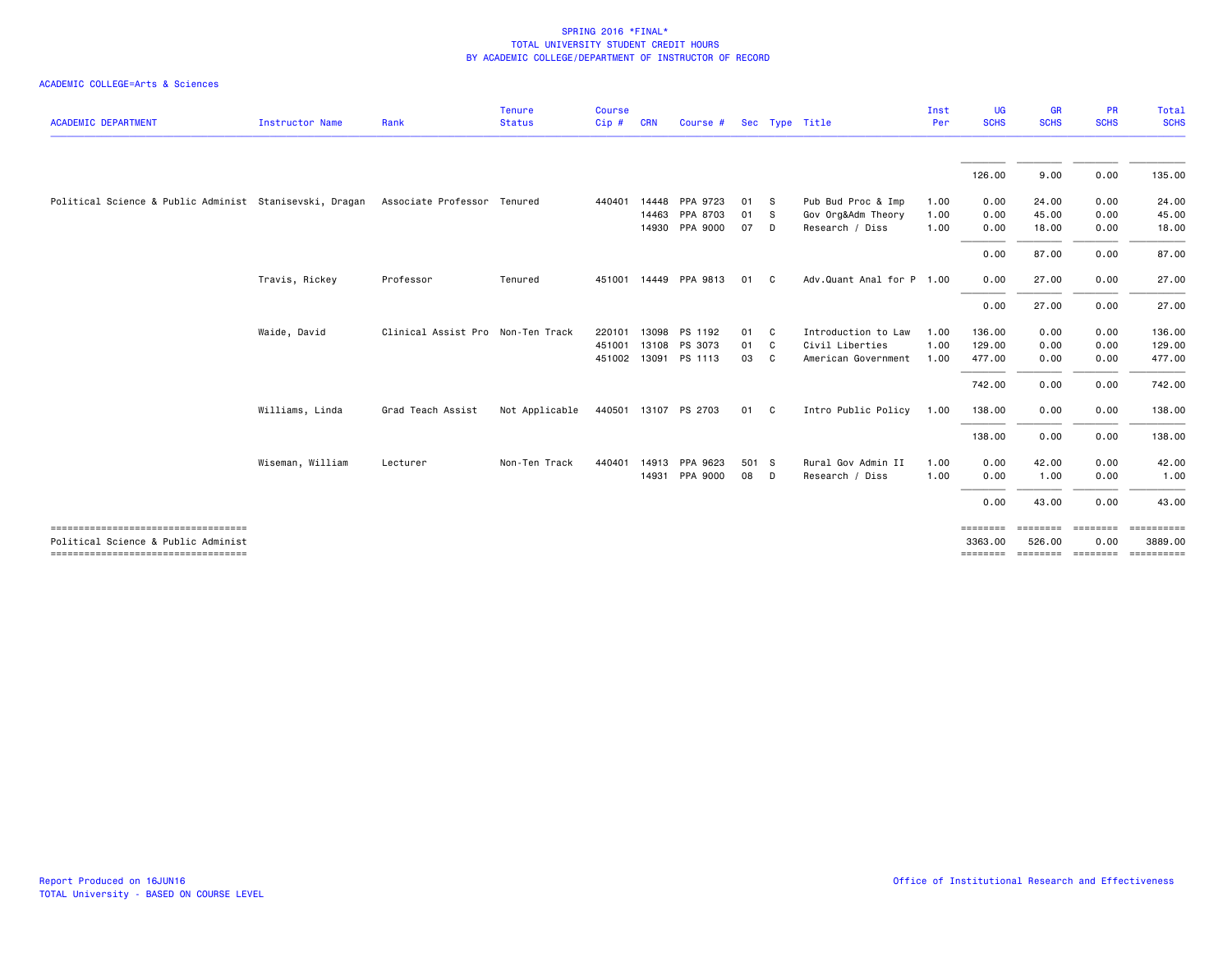| <b>ACADEMIC DEPARTMENT</b>                                                    | Instructor Name  | Rank                              | <b>Tenure</b><br><b>Status</b> | <b>Course</b><br>Cip# | <b>CRN</b> | Course #              |       | Sec Type Title |                           | Inst<br>Per | UG<br><b>SCHS</b>   | <b>GR</b><br><b>SCHS</b> | <b>PR</b><br><b>SCHS</b> | Total<br><b>SCHS</b>  |
|-------------------------------------------------------------------------------|------------------|-----------------------------------|--------------------------------|-----------------------|------------|-----------------------|-------|----------------|---------------------------|-------------|---------------------|--------------------------|--------------------------|-----------------------|
|                                                                               |                  |                                   |                                |                       |            |                       |       |                |                           |             |                     |                          |                          |                       |
|                                                                               |                  |                                   |                                |                       |            |                       |       |                |                           |             | 126.00              | 9.00                     | 0.00                     | 135.00                |
| Political Science & Public Administ Stanisevski, Dragan                       |                  | Associate Professor Tenured       |                                | 440401                | 14448      | PPA 9723              | 01    | - S            | Pub Bud Proc & Imp        | 1.00        | 0.00                | 24.00                    | 0.00                     | 24.00                 |
|                                                                               |                  |                                   |                                |                       | 14463      | PPA 8703              | 01    | - S            | Gov Org&Adm Theory        | 1.00        | 0.00                | 45.00                    | 0.00                     | 45.00                 |
|                                                                               |                  |                                   |                                |                       | 14930      | PPA 9000              | 07    | D              | Research / Diss           | 1.00        | 0.00                | 18.00                    | 0.00                     | 18.00                 |
|                                                                               |                  |                                   |                                |                       |            |                       |       |                |                           |             | 0.00                | 87.00                    | 0.00                     | 87.00                 |
|                                                                               | Travis, Rickey   | Professor                         | Tenured                        |                       |            | 451001 14449 PPA 9813 | 01    | C              | Adv.Quant Anal for P 1.00 |             | 0.00                | 27.00                    | 0.00                     | 27.00                 |
|                                                                               |                  |                                   |                                |                       |            |                       |       |                |                           |             | 0.00                | 27.00                    | 0.00                     | 27.00                 |
|                                                                               | Waide, David     | Clinical Assist Pro Non-Ten Track |                                | 220101                | 13098      | PS 1192               | 01    | C              | Introduction to Law       | 1.00        | 136.00              | 0.00                     | 0.00                     | 136.00                |
|                                                                               |                  |                                   |                                | 451001                | 13108      | PS 3073               | 01    | C.             | Civil Liberties           | 1.00        | 129.00              | 0.00                     | 0.00                     | 129.00                |
|                                                                               |                  |                                   |                                |                       |            | 451002 13091 PS 1113  | 03    | C              | American Government       | 1.00        | 477.00              | 0.00                     | 0.00                     | 477.00                |
|                                                                               |                  |                                   |                                |                       |            |                       |       |                |                           |             | 742.00              | 0.00                     | 0.00                     | 742.00                |
|                                                                               | Williams, Linda  | Grad Teach Assist                 | Not Applicable                 | 440501                |            | 13107 PS 2703         | 01 C  |                | Intro Public Policy       | 1.00        | 138.00              | 0.00                     | 0.00                     | 138.00                |
|                                                                               |                  |                                   |                                |                       |            |                       |       |                |                           |             | 138.00              | 0.00                     | 0.00                     | 138.00                |
|                                                                               | Wiseman, William | Lecturer                          | Non-Ten Track                  | 440401                |            | 14913 PPA 9623        | 501 S |                | Rural Gov Admin II        | 1.00        | 0.00                | 42.00                    | 0.00                     | 42.00                 |
|                                                                               |                  |                                   |                                |                       |            | 14931 PPA 9000        | 08    | <b>D</b>       | Research / Diss           | 1.00        | 0.00                | 1.00                     | 0.00                     | 1.00                  |
|                                                                               |                  |                                   |                                |                       |            |                       |       |                |                           |             | 0.00                | 43.00                    | 0.00                     | 43.00                 |
| ______________________________________<br>Political Science & Public Administ |                  |                                   |                                |                       |            |                       |       |                |                           |             | ========<br>3363,00 | ========<br>526.00       | <b>ESSESSED</b><br>0.00  | ==========<br>3889.00 |
| ----------------------------------                                            |                  |                                   |                                |                       |            |                       |       |                |                           |             | ========            | ========                 | ========                 |                       |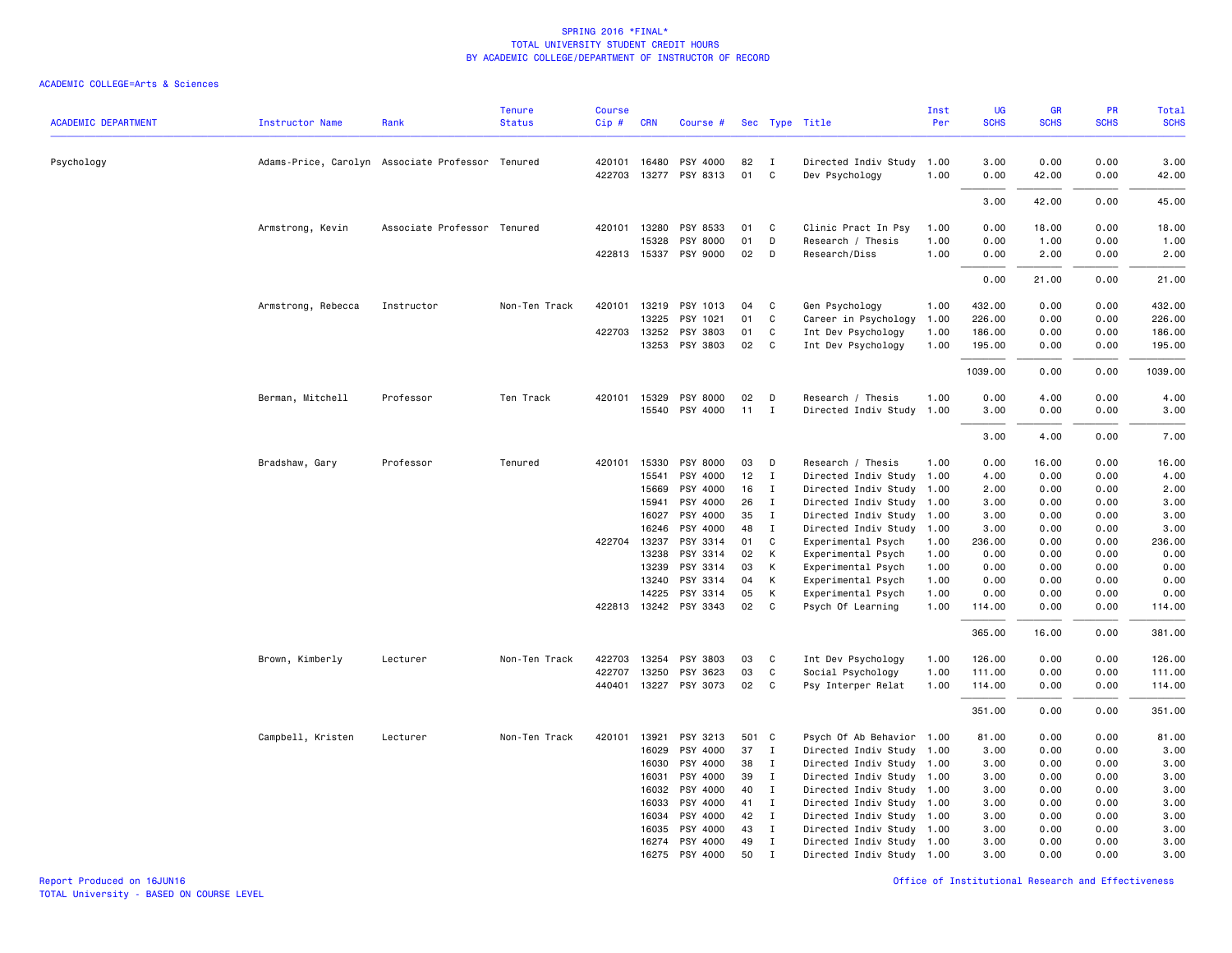|                            |                                                  |                             | <b>Tenure</b> | Course |              |                       |       |              |                           | Inst | UG          | GR          | PR          | <b>Total</b> |
|----------------------------|--------------------------------------------------|-----------------------------|---------------|--------|--------------|-----------------------|-------|--------------|---------------------------|------|-------------|-------------|-------------|--------------|
| <b>ACADEMIC DEPARTMENT</b> | <b>Instructor Name</b>                           | Rank                        | <b>Status</b> | Cip#   | CRN          | Course #              |       |              | Sec Type Title            | Per  | <b>SCHS</b> | <b>SCHS</b> | <b>SCHS</b> | <b>SCHS</b>  |
| Psychology                 | Adams-Price, Carolyn Associate Professor Tenured |                             |               |        | 420101 16480 | PSY 4000              | 82    | I            | Directed Indiv Study      | 1.00 | 3.00        | 0.00        | 0.00        | 3.00         |
|                            |                                                  |                             |               |        |              | 422703 13277 PSY 8313 | 01    | C            | Dev Psychology            | 1.00 | 0.00        | 42.00       | 0.00        | 42.00        |
|                            |                                                  |                             |               |        |              |                       |       |              |                           |      | 3.00        | 42.00       | 0.00        | 45.00        |
|                            | Armstrong, Kevin                                 | Associate Professor Tenured |               | 420101 | 13280        | PSY 8533              | 01    | C            | Clinic Pract In Psy       | 1.00 | 0.00        | 18.00       | 0.00        | 18.00        |
|                            |                                                  |                             |               |        | 15328        | <b>PSY 8000</b>       | 01    | D            | Research / Thesis         | 1.00 | 0.00        | 1.00        | 0.00        | 1.00         |
|                            |                                                  |                             |               |        |              | 422813 15337 PSY 9000 | 02    | D            | Research/Diss             | 1.00 | 0.00        | 2.00        | 0.00        | 2.00         |
|                            |                                                  |                             |               |        |              |                       |       |              |                           |      | 0.00        | 21.00       | 0.00        | 21.00        |
|                            | Armstrong, Rebecca                               | Instructor                  | Non-Ten Track | 420101 | 13219        | PSY 1013              | 04    | C            | Gen Psychology            | 1.00 | 432.00      | 0.00        | 0.00        | 432.00       |
|                            |                                                  |                             |               |        | 13225        | PSY 1021              | 01    | C            | Career in Psychology      | 1.00 | 226.00      | 0.00        | 0.00        | 226.00       |
|                            |                                                  |                             |               | 422703 | 13252        | PSY 3803              | 01    | C            | Int Dev Psychology        | 1.00 | 186.00      | 0.00        | 0.00        | 186.00       |
|                            |                                                  |                             |               |        |              | 13253 PSY 3803        | 02    | C            | Int Dev Psychology        | 1.00 | 195.00      | 0.00        | 0.00        | 195.00       |
|                            |                                                  |                             |               |        |              |                       |       |              |                           |      | 1039.00     | 0.00        | 0.00        | 1039.00      |
|                            | Berman, Mitchell                                 | Professor                   | Ten Track     |        | 420101 15329 | PSY 8000              | 02    | D            | Research / Thesis         | 1.00 | 0.00        | 4.00        | 0.00        | 4.00         |
|                            |                                                  |                             |               |        |              | 15540 PSY 4000        | 11    | $\mathbf{I}$ | Directed Indiv Study      | 1.00 | 3.00        | 0.00        | 0.00        | 3.00         |
|                            |                                                  |                             |               |        |              |                       |       |              |                           |      | 3.00        | 4.00        | 0.00        | 7.00         |
|                            | Bradshaw, Gary                                   | Professor                   | Tenured       | 420101 | 15330        | PSY 8000              | 03    | D            | Research / Thesis         | 1.00 | 0.00        | 16.00       | 0.00        | 16.00        |
|                            |                                                  |                             |               |        | 15541        | PSY 4000              | 12    | $\mathbf{I}$ | Directed Indiv Study      | 1.00 | 4.00        | 0.00        | 0.00        | 4.00         |
|                            |                                                  |                             |               |        | 15669        | PSY 4000              | 16    | Ι.           | Directed Indiv Study      | 1.00 | 2.00        | 0.00        | 0.00        | 2.00         |
|                            |                                                  |                             |               |        | 15941        | PSY 4000              | 26    | $\mathbf{I}$ | Directed Indiv Study      | 1.00 | 3.00        | 0.00        | 0.00        | 3.00         |
|                            |                                                  |                             |               |        | 16027        | PSY 4000              | 35    | I            | Directed Indiv Study      | 1.00 | 3.00        | 0.00        | 0.00        | 3.00         |
|                            |                                                  |                             |               |        | 16246        | PSY 4000              | 48    | I            | Directed Indiv Study      | 1.00 | 3.00        | 0.00        | 0.00        | 3.00         |
|                            |                                                  |                             |               |        | 422704 13237 | PSY 3314              | 01    | C            | Experimental Psych        | 1.00 | 236.00      | 0.00        | 0.00        | 236.00       |
|                            |                                                  |                             |               |        | 13238        | PSY 3314              | 02    | К            | Experimental Psych        | 1.00 | 0.00        | 0.00        | 0.00        | 0.00         |
|                            |                                                  |                             |               |        | 13239        | PSY 3314              | 03    | К            | Experimental Psych        | 1.00 | 0.00        | 0.00        | 0.00        | 0.00         |
|                            |                                                  |                             |               |        | 13240        | PSY 3314              | 04    | К            | Experimental Psych        | 1.00 | 0.00        | 0.00        | 0.00        | 0.00         |
|                            |                                                  |                             |               |        | 14225        | PSY 3314              | 05    | К            | Experimental Psych        | 1.00 | 0.00        | 0.00        | 0.00        | 0.00         |
|                            |                                                  |                             |               |        |              | 422813 13242 PSY 3343 | 02    | C            | Psych Of Learning         | 1.00 | 114.00      | 0.00        | 0.00        | 114.00       |
|                            |                                                  |                             |               |        |              |                       |       |              |                           |      | 365.00      | 16.00       | 0.00        | 381.00       |
|                            | Brown, Kimberly                                  | Lecturer                    | Non-Ten Track | 422703 | 13254        | PSY 3803              | 03    | C            | Int Dev Psychology        | 1.00 | 126.00      | 0.00        | 0.00        | 126.00       |
|                            |                                                  |                             |               | 422707 | 13250        | PSY 3623              | 03    | $\mathsf{C}$ | Social Psychology         | 1.00 | 111.00      | 0.00        | 0.00        | 111.00       |
|                            |                                                  |                             |               | 440401 |              | 13227 PSY 3073        | 02    | C            | Psy Interper Relat        | 1.00 | 114.00      | 0.00        | 0.00        | 114.00       |
|                            |                                                  |                             |               |        |              |                       |       |              |                           |      | 351.00      | 0.00        | 0.00        | 351.00       |
|                            | Campbell, Kristen                                | Lecturer                    | Non-Ten Track | 420101 | 13921        | PSY 3213              | 501 C |              | Psych Of Ab Behavior 1.00 |      | 81.00       | 0.00        | 0.00        | 81.00        |
|                            |                                                  |                             |               |        | 16029        | PSY 4000              | 37    | $\mathbf{I}$ | Directed Indiv Study 1.00 |      | 3.00        | 0.00        | 0.00        | 3.00         |
|                            |                                                  |                             |               |        | 16030        | PSY 4000              | 38    | Ι.           | Directed Indiv Study      | 1.00 | 3.00        | 0.00        | 0.00        | 3.00         |
|                            |                                                  |                             |               |        | 16031        | PSY 4000              | 39    | $\mathbf{I}$ | Directed Indiv Study 1.00 |      | 3.00        | 0.00        | 0.00        | 3.00         |
|                            |                                                  |                             |               |        | 16032        | PSY 4000              | 40    | $\mathbf{I}$ | Directed Indiv Study 1.00 |      | 3.00        | 0.00        | 0.00        | 3.00         |
|                            |                                                  |                             |               |        | 16033        | PSY 4000              | 41    | $\mathbf{I}$ | Directed Indiv Study 1.00 |      | 3.00        | 0.00        | 0.00        | 3.00         |
|                            |                                                  |                             |               |        | 16034        | PSY 4000              | 42    | $\mathbf{I}$ | Directed Indiv Study 1.00 |      | 3.00        | 0.00        | 0.00        | 3.00         |
|                            |                                                  |                             |               |        | 16035        | PSY 4000              | 43    | $\mathbf{I}$ | Directed Indiv Study 1.00 |      | 3.00        | 0.00        | 0.00        | 3.00         |
|                            |                                                  |                             |               |        | 16274        | PSY 4000              | 49    | $\mathbf I$  | Directed Indiv Study 1.00 |      | 3.00        | 0.00        | 0.00        | 3.00         |
|                            |                                                  |                             |               |        | 16275        | PSY 4000              | 50    | $\mathbf{I}$ | Directed Indiv Study 1.00 |      | 3.00        | 0.00        | 0.00        | 3.00         |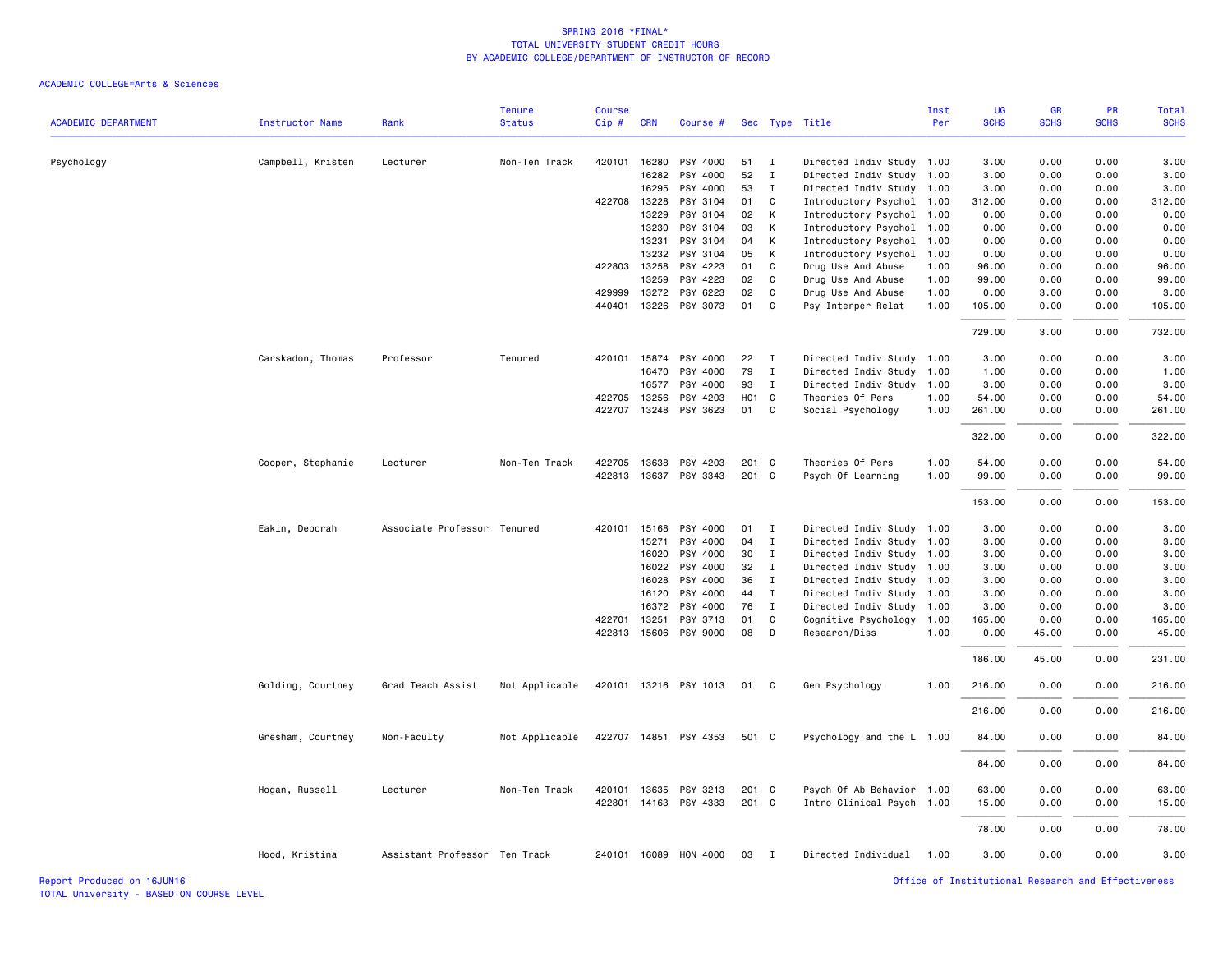|                            |                   |                               | <b>Tenure</b>  | <b>Course</b> |              |                       |                   |                             |                                                   | Inst | UG          | <b>GR</b>   | PR          | Total       |
|----------------------------|-------------------|-------------------------------|----------------|---------------|--------------|-----------------------|-------------------|-----------------------------|---------------------------------------------------|------|-------------|-------------|-------------|-------------|
| <b>ACADEMIC DEPARTMENT</b> | Instructor Name   | Rank                          | <b>Status</b>  | $Cip$ #       | <b>CRN</b>   | Course #              |                   |                             | Sec Type Title                                    | Per  | <b>SCHS</b> | <b>SCHS</b> | <b>SCHS</b> | <b>SCHS</b> |
|                            |                   | Lecturer                      | Non-Ten Track  | 420101        | 16280        | PSY 4000              | 51                |                             |                                                   |      | 3.00        | 0.00        | 0.00        | 3.00        |
| Psychology                 | Campbell, Kristen |                               |                |               | 16282        | PSY 4000              | 52                | $\mathbf{I}$<br>$\mathbf I$ | Directed Indiv Study 1.00<br>Directed Indiv Study | 1.00 | 3.00        | 0.00        | 0.00        | 3.00        |
|                            |                   |                               |                |               | 16295        | PSY 4000              | 53                | $\mathbf I$                 | Directed Indiv Study 1.00                         |      | 3.00        | 0.00        | 0.00        | 3.00        |
|                            |                   |                               |                |               | 422708 13228 | PSY 3104              | 01                | C                           | Introductory Psychol 1.00                         |      | 312.00      | 0.00        | 0.00        | 312.00      |
|                            |                   |                               |                |               | 13229        | PSY 3104              | 02                | К                           | Introductory Psychol 1.00                         |      | 0.00        | 0.00        | 0.00        | 0.00        |
|                            |                   |                               |                |               | 13230        | PSY 3104              | 03                | К                           | Introductory Psychol                              | 1.00 | 0.00        | 0.00        | 0.00        | 0.00        |
|                            |                   |                               |                |               | 13231        | PSY 3104              | 04                | К                           | Introductory Psychol                              | 1.00 | 0.00        | 0.00        | 0.00        | 0.00        |
|                            |                   |                               |                |               | 13232        | PSY 3104              | 05                | К                           | Introductory Psychol                              | 1.00 | 0.00        | 0.00        | 0.00        | 0.00        |
|                            |                   |                               |                | 422803        | 13258        | PSY 4223              | 01                | C                           | Drug Use And Abuse                                | 1.00 | 96.00       | 0.00        | 0.00        | 96.00       |
|                            |                   |                               |                |               | 13259        | PSY 4223              | 02                | C                           | Drug Use And Abuse                                | 1.00 | 99.00       | 0.00        | 0.00        | 99.00       |
|                            |                   |                               |                |               | 429999 13272 | PSY 6223              | 02                | C                           | Drug Use And Abuse                                | 1.00 | 0.00        | 3.00        | 0.00        | 3.00        |
|                            |                   |                               |                | 440401        | 13226        | PSY 3073              | 01                | C                           | Psy Interper Relat                                | 1.00 | 105.00      | 0.00        | 0.00        | 105.00      |
|                            |                   |                               |                |               |              |                       |                   |                             |                                                   |      | 729.00      | 3.00        | 0.00        | 732.00      |
|                            | Carskadon, Thomas | Professor                     | Tenured        | 420101        | 15874        | PSY 4000              | 22                | $\blacksquare$              | Directed Indiv Study 1.00                         |      | 3.00        | 0.00        | 0.00        | 3.00        |
|                            |                   |                               |                |               | 16470        | PSY 4000              | 79                | $\mathbf I$                 | Directed Indiv Study 1.00                         |      | 1.00        | 0.00        | 0.00        | 1.00        |
|                            |                   |                               |                |               | 16577        | PSY 4000              | 93                | $\mathbf{I}$                | Directed Indiv Study 1.00                         |      | 3.00        | 0.00        | 0.00        | 3.00        |
|                            |                   |                               |                |               | 422705 13256 | PSY 4203              | H <sub>01</sub> C |                             | Theories Of Pers                                  | 1.00 | 54.00       | 0.00        | 0.00        | 54.00       |
|                            |                   |                               |                | 422707        |              | 13248 PSY 3623        | 01                | C                           | Social Psychology                                 | 1.00 | 261.00      | 0.00        | 0.00        | 261.00      |
|                            |                   |                               |                |               |              |                       |                   |                             |                                                   |      | 322.00      | 0.00        | 0.00        | 322.00      |
|                            | Cooper, Stephanie | Lecturer                      | Non-Ten Track  | 422705        | 13638        | PSY 4203              | 201 C             |                             | Theories Of Pers                                  | 1.00 | 54.00       | 0.00        | 0.00        | 54.00       |
|                            |                   |                               |                |               |              | 422813 13637 PSY 3343 | 201 C             |                             | Psych Of Learning                                 | 1.00 | 99.00       | 0.00        | 0.00        | 99.00       |
|                            |                   |                               |                |               |              |                       |                   |                             |                                                   |      | 153.00      | 0.00        | 0.00        | 153.00      |
|                            | Eakin, Deborah    | Associate Professor Tenured   |                |               |              | 420101 15168 PSY 4000 | $01$ I            |                             | Directed Indiv Study 1.00                         |      | 3.00        | 0.00        | 0.00        | 3.00        |
|                            |                   |                               |                |               | 15271        | PSY 4000              | 04                | $\mathbf{I}$                | Directed Indiv Study 1.00                         |      | 3.00        | 0.00        | 0.00        | 3.00        |
|                            |                   |                               |                |               | 16020        | PSY 4000              | 30                | $\mathbf{I}$                | Directed Indiv Study 1.00                         |      | 3.00        | 0.00        | 0.00        | 3.00        |
|                            |                   |                               |                |               | 16022        | PSY 4000              | 32                | I                           | Directed Indiv Study 1.00                         |      | 3.00        | 0.00        | 0.00        | 3.00        |
|                            |                   |                               |                |               | 16028        | PSY 4000              | 36                | $\mathbf{I}$                | Directed Indiv Study 1.00                         |      | 3.00        | 0.00        | 0.00        | 3.00        |
|                            |                   |                               |                |               | 16120        | PSY 4000              | 44                | $\mathbf{I}$                | Directed Indiv Study 1.00                         |      | 3.00        | 0.00        | 0.00        | 3.00        |
|                            |                   |                               |                |               | 16372        | PSY 4000              | 76                | $\mathbf I$                 | Directed Indiv Study 1.00                         |      | 3.00        | 0.00        | 0.00        | 3.00        |
|                            |                   |                               |                | 422701        | 13251        | PSY 3713              | 01                | C                           | Cognitive Psychology                              | 1.00 | 165.00      | 0.00        | 0.00        | 165.00      |
|                            |                   |                               |                | 422813        |              | 15606 PSY 9000        | 08                | D                           | Research/Diss                                     | 1.00 | 0.00        | 45.00       | 0.00        | 45.00       |
|                            |                   |                               |                |               |              |                       |                   |                             |                                                   |      | 186.00      | 45.00       | 0.00        | 231.00      |
|                            | Golding, Courtney | Grad Teach Assist             | Not Applicable |               |              | 420101 13216 PSY 1013 | 01                | C.                          | Gen Psychology                                    | 1.00 | 216.00      | 0.00        | 0.00        | 216.00      |
|                            |                   |                               |                |               |              |                       |                   |                             |                                                   |      | 216.00      | 0.00        | 0.00        | 216.00      |
|                            | Gresham, Courtney | Non-Faculty                   | Not Applicable |               |              | 422707 14851 PSY 4353 | 501 C             |                             | Psychology and the L 1.00                         |      | 84.00       | 0.00        | 0.00        | 84.00       |
|                            |                   |                               |                |               |              |                       |                   |                             |                                                   |      | 84.00       | 0.00        | 0.00        | 84.00       |
|                            | Hogan, Russell    | Lecturer                      | Non-Ten Track  | 420101        | 13635        | PSY 3213              | 201 C             |                             | Psych Of Ab Behavior 1.00                         |      | 63.00       | 0.00        | 0.00        | 63.00       |
|                            |                   |                               |                | 422801        |              | 14163 PSY 4333        | 201 C             |                             | Intro Clinical Psych 1.00                         |      | 15.00       | 0.00        | 0.00        | 15.00       |
|                            |                   |                               |                |               |              |                       |                   |                             |                                                   |      | 78.00       | 0.00        | 0.00        | 78.00       |
|                            | Hood, Kristina    | Assistant Professor Ten Track |                |               |              | 240101 16089 HON 4000 | 03                | I                           | Directed Individual 1.00                          |      | 3.00        | 0.00        | 0.00        | 3.00        |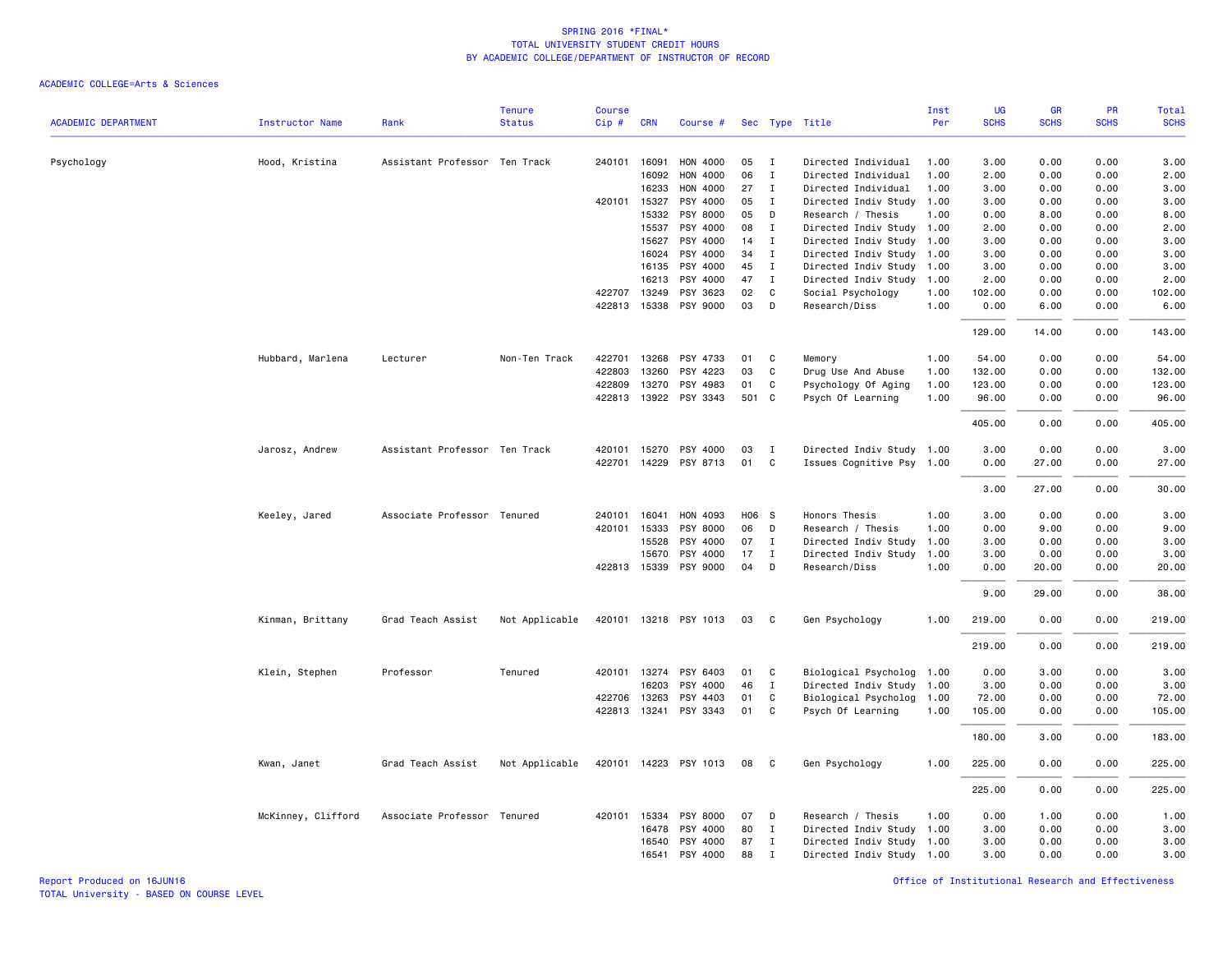|                            |                        |                               | <b>Tenure</b>  | <b>Course</b> |              |                       |       |                |                           | Inst | <b>UG</b>   | <b>GR</b>   | PR          | Total       |
|----------------------------|------------------------|-------------------------------|----------------|---------------|--------------|-----------------------|-------|----------------|---------------------------|------|-------------|-------------|-------------|-------------|
| <b>ACADEMIC DEPARTMENT</b> | <b>Instructor Name</b> | Rank                          | <b>Status</b>  | Cip#          | <b>CRN</b>   | Course #              |       |                | Sec Type Title            | Per  | <b>SCHS</b> | <b>SCHS</b> | <b>SCHS</b> | <b>SCHS</b> |
| Psychology                 | Hood, Kristina         | Assistant Professor Ten Track |                |               | 240101 16091 | HON 4000              | 05    | I              | Directed Individual       | 1.00 | 3.00        | 0.00        | 0.00        | 3.00        |
|                            |                        |                               |                |               | 16092        | HON 4000              | 06    | Ι.             | Directed Individual       | 1.00 | 2.00        | 0.00        | 0.00        | 2.00        |
|                            |                        |                               |                |               | 16233        | HON 4000              | 27    | Ι.             | Directed Individual       | 1.00 | 3.00        | 0.00        | 0.00        | 3.00        |
|                            |                        |                               |                | 420101        | 15327        | PSY 4000              | 05    | Ι.             | Directed Indiv Study      | 1.00 | 3.00        | 0.00        | 0.00        | 3.00        |
|                            |                        |                               |                |               | 15332        | PSY 8000              | 05    | D              | Research / Thesis         | 1.00 | 0.00        | 8.00        | 0.00        | 8.00        |
|                            |                        |                               |                |               | 15537        | PSY 4000              | 08    | $\mathbf{I}$   | Directed Indiv Study 1.00 |      | 2.00        | 0.00        | 0.00        | 2.00        |
|                            |                        |                               |                |               | 15627        | PSY 4000              | 14    | I              | Directed Indiv Study      | 1.00 | 3.00        | 0.00        | 0.00        | 3.00        |
|                            |                        |                               |                |               | 16024        | PSY 4000              | 34    | Ι.             | Directed Indiv Study 1.00 |      | 3.00        | 0.00        | 0.00        | 3.00        |
|                            |                        |                               |                |               | 16135        | PSY 4000              | 45    | Ι.             | Directed Indiv Study      | 1.00 | 3.00        | 0.00        | 0.00        | 3.00        |
|                            |                        |                               |                |               | 16213        | PSY 4000              | 47    | $\mathbf I$    | Directed Indiv Study      | 1.00 | 2.00        | 0.00        | 0.00        | 2.00        |
|                            |                        |                               |                | 422707        | 13249        | PSY 3623              | 02    | C              | Social Psychology         | 1.00 | 102.00      | 0.00        | 0.00        | 102.00      |
|                            |                        |                               |                | 422813        |              | 15338 PSY 9000        | 03    | D              | Research/Diss             | 1.00 | 0.00        | 6.00        | 0.00        | 6.00        |
|                            |                        |                               |                |               |              |                       |       |                |                           |      | 129.00      | 14.00       | 0.00        | 143.00      |
|                            | Hubbard, Marlena       | Lecturer                      | Non-Ten Track  | 422701        | 13268        | PSY 4733              | 01    | C              | Memory                    | 1.00 | 54.00       | 0.00        | 0.00        | 54.00       |
|                            |                        |                               |                | 422803        | 13260        | PSY 4223              | 03    | C              | Drug Use And Abuse        | 1.00 | 132.00      | 0.00        | 0.00        | 132.00      |
|                            |                        |                               |                | 422809        | 13270        | PSY 4983              | 01    | C              | Psychology Of Aging       | 1.00 | 123.00      | 0.00        | 0.00        | 123.00      |
|                            |                        |                               |                |               |              | 422813 13922 PSY 3343 | 501 C |                | Psych Of Learning         | 1.00 | 96.00       | 0.00        | 0.00        | 96.00       |
|                            |                        |                               |                |               |              |                       |       |                |                           |      | 405.00      | 0.00        | 0.00        | 405.00      |
|                            | Jarosz, Andrew         | Assistant Professor Ten Track |                | 420101        | 15270        | PSY 4000              | 03    | <b>I</b>       | Directed Indiv Study 1.00 |      | 3.00        | 0.00        | 0.00        | 3.00        |
|                            |                        |                               |                | 422701        | 14229        | PSY 8713              | 01    | C              | Issues Cognitive Psy 1.00 |      | 0.00        | 27.00       | 0.00        | 27.00       |
|                            |                        |                               |                |               |              |                       |       |                |                           |      | 3.00        | 27.00       | 0.00        | 30.00       |
|                            | Keeley, Jared          | Associate Professor Tenured   |                | 240101        | 16041        | HON 4093              | H06 S |                | Honors Thesis             | 1.00 | 3.00        | 0.00        | 0.00        | 3.00        |
|                            |                        |                               |                | 420101        | 15333        | PSY 8000              | 06    | D              | Research / Thesis         | 1.00 | 0.00        | 9.00        | 0.00        | 9.00        |
|                            |                        |                               |                |               | 15528        | PSY 4000              | 07    | Ι.             | Directed Indiv Study      | 1.00 | 3.00        | 0.00        | 0.00        | 3.00        |
|                            |                        |                               |                |               | 15670        | PSY 4000              | 17    | $\mathbf I$    | Directed Indiv Study      | 1.00 | 3.00        | 0.00        | 0.00        | 3.00        |
|                            |                        |                               |                |               | 422813 15339 | PSY 9000              | 04    | D              | Research/Diss             | 1.00 | 0.00        | 20.00       | 0.00        | 20.00       |
|                            |                        |                               |                |               |              |                       |       |                |                           |      | 9.00        | 29.00       | 0.00        | 38.00       |
|                            | Kinman, Brittany       | Grad Teach Assist             | Not Applicable |               |              | 420101 13218 PSY 1013 | 03    | C <sub>c</sub> | Gen Psychology            | 1.00 | 219.00      | 0.00        | 0.00        | 219.00      |
|                            |                        |                               |                |               |              |                       |       |                |                           |      | 219.00      | 0.00        | 0.00        | 219.00      |
|                            | Klein, Stephen         | Professor                     | Tenured        |               | 420101 13274 | PSY 6403              | 01    | C              | Biological Psycholog 1.00 |      | 0.00        | 3.00        | 0.00        | 3.00        |
|                            |                        |                               |                |               | 16203        | PSY 4000              | 46    | $\mathbf I$    | Directed Indiv Study 1.00 |      | 3.00        | 0.00        | 0.00        | 3.00        |
|                            |                        |                               |                | 422706        | 13263        | PSY 4403              | 01    | C              | Biological Psycholog 1.00 |      | 72.00       | 0.00        | 0.00        | 72.00       |
|                            |                        |                               |                | 422813        | 13241        | PSY 3343              | 01    | C              | Psych Of Learning         | 1.00 | 105.00      | 0.00        | 0.00        | 105.00      |
|                            |                        |                               |                |               |              |                       |       |                |                           |      | 180.00      | 3.00        | 0.00        | 183.00      |
|                            | Kwan, Janet            | Grad Teach Assist             | Not Applicable |               |              | 420101 14223 PSY 1013 | 08    | C.             | Gen Psychology            | 1.00 | 225.00      | 0.00        | 0.00        | 225.00      |
|                            |                        |                               |                |               |              |                       |       |                |                           |      | 225.00      | 0.00        | 0.00        | 225.00      |
|                            | McKinney, Clifford     | Associate Professor Tenured   |                | 420101        | 15334        | PSY 8000              | 07    | D              | Research / Thesis         | 1.00 | 0.00        | 1.00        | 0.00        | 1.00        |
|                            |                        |                               |                |               | 16478        | PSY 4000              | 80    | I              | Directed Indiv Study 1.00 |      | 3.00        | 0.00        | 0.00        | 3.00        |
|                            |                        |                               |                |               | 16540        | PSY 4000              | 87    | Ι.             | Directed Indiv Study      | 1.00 | 3.00        | 0.00        | 0.00        | 3.00        |
|                            |                        |                               |                |               | 16541        | PSY 4000              | 88    | $\mathbf I$    | Directed Indiv Study 1.00 |      | 3.00        | 0.00        | 0.00        | 3.00        |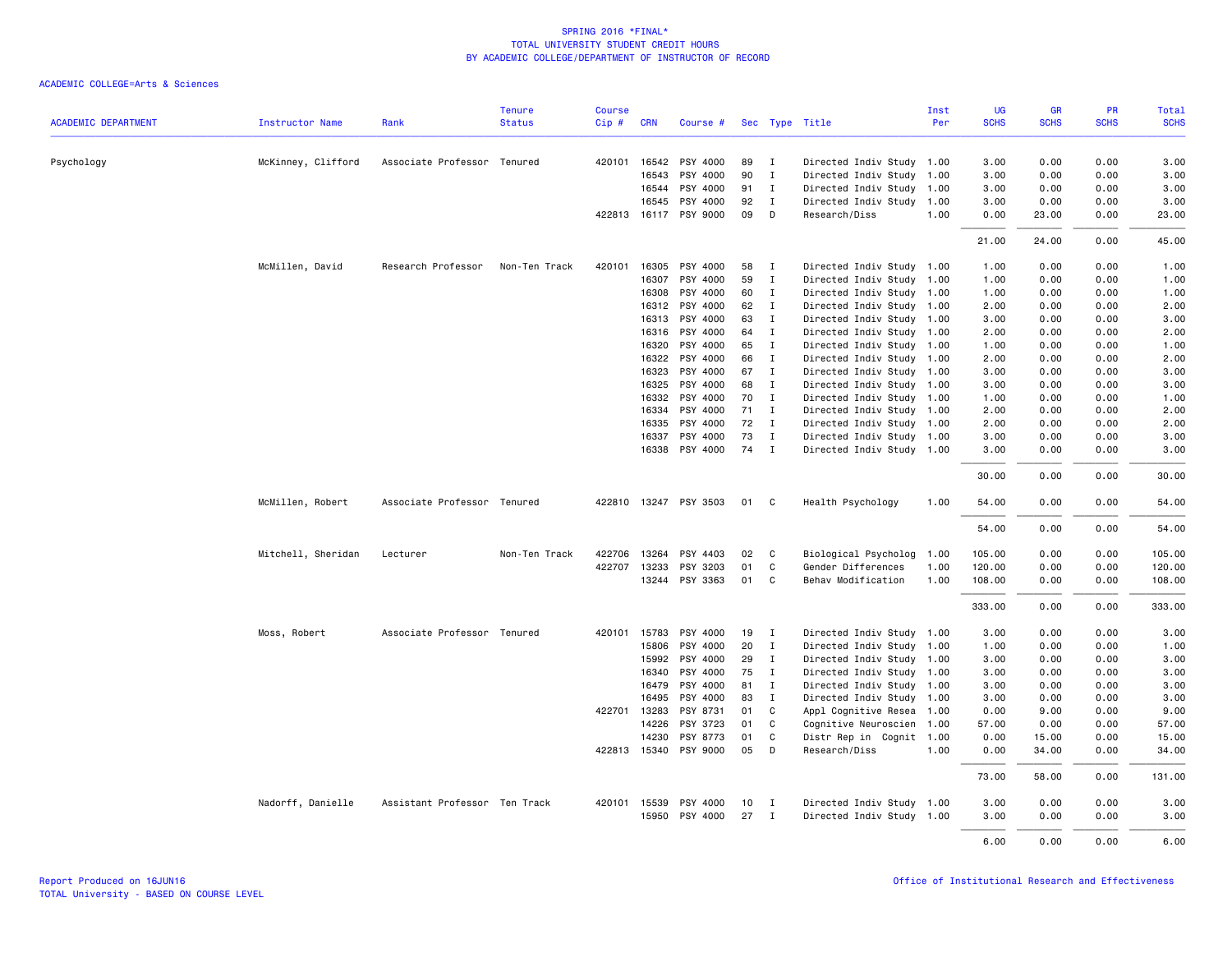|                            |                        |                               | <b>Tenure</b> | <b>Course</b> |              |                       |    |              |                           | Inst | UG          | <b>GR</b>   | PR          | <b>Total</b> |
|----------------------------|------------------------|-------------------------------|---------------|---------------|--------------|-----------------------|----|--------------|---------------------------|------|-------------|-------------|-------------|--------------|
| <b>ACADEMIC DEPARTMENT</b> | <b>Instructor Name</b> | Rank                          | <b>Status</b> | Cip#          | <b>CRN</b>   | Course #              |    |              | Sec Type Title            | Per  | <b>SCHS</b> | <b>SCHS</b> | <b>SCHS</b> | <b>SCHS</b>  |
| Psychology                 | McKinney, Clifford     | Associate Professor Tenured   |               | 420101        |              | 16542 PSY 4000        | 89 | $\mathbf{I}$ | Directed Indiv Study 1.00 |      | 3.00        | 0.00        | 0.00        | 3.00         |
|                            |                        |                               |               |               | 16543        | PSY 4000              | 90 | $\mathbf{I}$ | Directed Indiv Study      | 1.00 | 3.00        | 0.00        | 0.00        | 3.00         |
|                            |                        |                               |               |               | 16544        | PSY 4000              | 91 | $\mathbf{I}$ | Directed Indiv Study 1.00 |      | 3.00        | 0.00        | 0.00        | 3.00         |
|                            |                        |                               |               |               | 16545        | PSY 4000              | 92 | $\mathbf{I}$ | Directed Indiv Study      | 1.00 | 3.00        | 0.00        | 0.00        | 3.00         |
|                            |                        |                               |               |               |              | 422813 16117 PSY 9000 | 09 | D            | Research/Diss             | 1.00 | 0.00        | 23.00       | 0.00        | 23.00        |
|                            |                        |                               |               |               |              |                       |    |              |                           |      | 21.00       | 24.00       | 0.00        | 45.00        |
|                            | McMillen, David        | Research Professor            | Non-Ten Track | 420101        | 16305        | PSY 4000              | 58 | $\mathbf{I}$ | Directed Indiv Study      | 1.00 | 1.00        | 0.00        | 0.00        | 1.00         |
|                            |                        |                               |               |               | 16307        | PSY 4000              | 59 | I            | Directed Indiv Study 1.00 |      | 1.00        | 0.00        | 0.00        | 1.00         |
|                            |                        |                               |               |               | 16308        | PSY 4000              | 60 | $\mathbf{I}$ | Directed Indiv Study 1.00 |      | 1.00        | 0.00        | 0.00        | 1.00         |
|                            |                        |                               |               |               |              | 16312 PSY 4000        | 62 | $\mathbf{I}$ | Directed Indiv Study 1.00 |      | 2.00        | 0.00        | 0.00        | 2.00         |
|                            |                        |                               |               |               | 16313        | PSY 4000              | 63 | $\mathbf{I}$ | Directed Indiv Study      | 1.00 | 3.00        | 0.00        | 0.00        | 3.00         |
|                            |                        |                               |               |               |              | 16316 PSY 4000        | 64 | $\mathbf{I}$ | Directed Indiv Study 1.00 |      | 2.00        | 0.00        | 0.00        | 2.00         |
|                            |                        |                               |               |               | 16320        | PSY 4000              | 65 | $\mathbf{I}$ | Directed Indiv Study 1.00 |      | 1.00        | 0.00        | 0.00        | 1.00         |
|                            |                        |                               |               |               | 16322        | PSY 4000              | 66 | $\mathbf{I}$ | Directed Indiv Study 1.00 |      | 2.00        | 0.00        | 0.00        | 2.00         |
|                            |                        |                               |               |               | 16323        | PSY 4000              | 67 | $\mathbf{I}$ | Directed Indiv Study 1.00 |      | 3.00        | 0.00        | 0.00        | 3.00         |
|                            |                        |                               |               |               | 16325        | PSY 4000              | 68 | $\mathbf{I}$ | Directed Indiv Study 1.00 |      | 3.00        | 0.00        | 0.00        | 3.00         |
|                            |                        |                               |               |               | 16332        | PSY 4000              | 70 | $\mathbf{I}$ | Directed Indiv Study 1.00 |      | 1.00        | 0.00        | 0.00        | 1.00         |
|                            |                        |                               |               |               | 16334        | PSY 4000              | 71 | $\mathbf{I}$ | Directed Indiv Study 1.00 |      | 2.00        | 0.00        | 0.00        | 2.00         |
|                            |                        |                               |               |               | 16335        | PSY 4000              | 72 | $\mathbf{I}$ | Directed Indiv Study 1.00 |      | 2.00        | 0.00        | 0.00        | 2.00         |
|                            |                        |                               |               |               | 16337        | PSY 4000              | 73 | $\mathbf{I}$ | Directed Indiv Study 1.00 |      | 3.00        | 0.00        | 0.00        | 3.00         |
|                            |                        |                               |               |               |              | 16338 PSY 4000        | 74 | $\mathbf{I}$ | Directed Indiv Study 1.00 |      | 3.00        | 0.00        | 0.00        | 3.00         |
|                            |                        |                               |               |               |              |                       |    |              |                           |      | 30.00       | 0.00        | 0.00        | 30.00        |
|                            | McMillen, Robert       | Associate Professor Tenured   |               |               |              | 422810 13247 PSY 3503 | 01 | C            | Health Psychology         | 1.00 | 54.00       | 0.00        | 0.00        | 54.00        |
|                            |                        |                               |               |               |              |                       |    |              |                           |      | 54.00       | 0.00        | 0.00        | 54.00        |
|                            | Mitchell, Sheridan     | Lecturer                      | Non-Ten Track | 422706        |              | 13264 PSY 4403        | 02 | C            | Biological Psycholog      | 1.00 | 105.00      | 0.00        | 0.00        | 105.00       |
|                            |                        |                               |               | 422707        | 13233        | PSY 3203              | 01 | C            | Gender Differences        | 1.00 | 120.00      | 0.00        | 0.00        | 120.00       |
|                            |                        |                               |               |               |              | 13244 PSY 3363        | 01 | C            | Behav Modification        | 1.00 | 108.00      | 0.00        | 0.00        | 108.00       |
|                            |                        |                               |               |               |              |                       |    |              |                           |      | 333.00      | 0.00        | 0.00        | 333.00       |
|                            | Moss, Robert           | Associate Professor Tenured   |               |               | 420101 15783 | PSY 4000              | 19 | $\mathbf{I}$ | Directed Indiv Study 1.00 |      | 3.00        | 0.00        | 0.00        | 3.00         |
|                            |                        |                               |               |               | 15806        | PSY 4000              | 20 | $\mathbf{I}$ | Directed Indiv Study      | 1.00 | 1.00        | 0.00        | 0.00        | 1.00         |
|                            |                        |                               |               |               | 15992        | PSY 4000              | 29 | I            | Directed Indiv Study 1.00 |      | 3.00        | 0.00        | 0.00        | 3.00         |
|                            |                        |                               |               |               | 16340        | PSY 4000              | 75 | $\mathbf{I}$ | Directed Indiv Study 1.00 |      | 3.00        | 0.00        | 0.00        | 3.00         |
|                            |                        |                               |               |               | 16479        | PSY 4000              | 81 | $\mathbf{I}$ | Directed Indiv Study      | 1.00 | 3.00        | 0.00        | 0.00        | 3.00         |
|                            |                        |                               |               |               | 16495        | PSY 4000              | 83 | $\mathbf{I}$ | Directed Indiv Study      | 1.00 | 3.00        | 0.00        | 0.00        | 3.00         |
|                            |                        |                               |               |               | 422701 13283 | PSY 8731              | 01 | C            | Appl Cognitive Resea      | 1.00 | 0.00        | 9.00        | 0.00        | 9.00         |
|                            |                        |                               |               |               | 14226        | PSY 3723              | 01 | C            | Cognitive Neuroscien      | 1.00 | 57.00       | 0.00        | 0.00        | 57.00        |
|                            |                        |                               |               |               | 14230        | PSY 8773              | 01 | C            | Distr Rep in Cognit       | 1.00 | 0.00        | 15.00       | 0.00        | 15.00        |
|                            |                        |                               |               |               |              | 422813 15340 PSY 9000 | 05 | D            | Research/Diss             | 1.00 | 0.00        | 34.00       | 0.00        | 34.00        |
|                            |                        |                               |               |               |              |                       |    |              |                           |      | 73.00       | 58.00       | 0.00        | 131.00       |
|                            | Nadorff, Danielle      | Assistant Professor Ten Track |               | 420101        | 15539        | PSY 4000              | 10 | I            | Directed Indiv Study 1.00 |      | 3.00        | 0.00        | 0.00        | 3.00         |
|                            |                        |                               |               |               | 15950        | PSY 4000              | 27 | I            | Directed Indiv Study 1.00 |      | 3.00        | 0.00        | 0.00        | 3.00         |
|                            |                        |                               |               |               |              |                       |    |              |                           |      | 6.00        | 0.00        | 0.00        | 6.00         |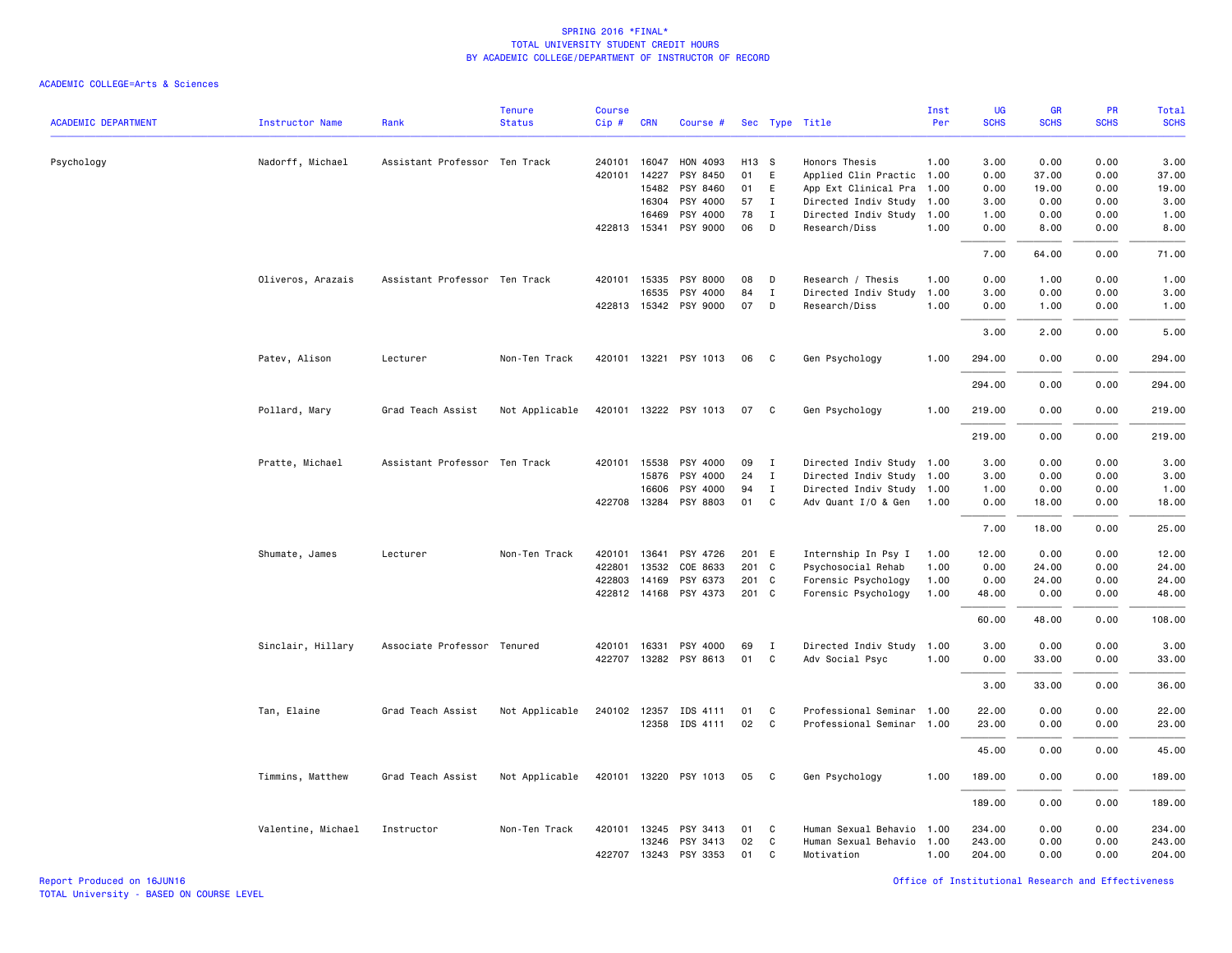| <b>ACADEMIC DEPARTMENT</b> | <b>Instructor Name</b> | Rank                          | <b>Tenure</b><br><b>Status</b> | <b>Course</b><br>Cip# | <b>CRN</b>   | Course #              |       |              | Sec Type Title            | Inst<br>Per | UG<br><b>SCHS</b> | GR<br><b>SCHS</b> | <b>PR</b><br><b>SCHS</b> | <b>Total</b><br><b>SCHS</b> |
|----------------------------|------------------------|-------------------------------|--------------------------------|-----------------------|--------------|-----------------------|-------|--------------|---------------------------|-------------|-------------------|-------------------|--------------------------|-----------------------------|
|                            |                        |                               |                                |                       |              |                       |       |              |                           |             |                   |                   |                          |                             |
| Psychology                 | Nadorff, Michael       | Assistant Professor Ten Track |                                | 240101                | 16047        | HON 4093              | H13 S |              | Honors Thesis             | 1.00        | 3.00              | 0.00              | 0.00                     | 3.00                        |
|                            |                        |                               |                                | 420101                | 14227        | PSY 8450              | 01    | E            | Applied Clin Practic 1.00 |             | 0.00              | 37.00             | 0.00                     | 37.00                       |
|                            |                        |                               |                                |                       | 15482        | PSY 8460              | 01    | E            | App Ext Clinical Pra      | 1.00        | 0.00              | 19.00             | 0.00                     | 19.00                       |
|                            |                        |                               |                                |                       | 16304        | PSY 4000              | 57    | I            | Directed Indiv Study      | 1.00        | 3.00              | 0.00              | 0.00                     | 3.00                        |
|                            |                        |                               |                                |                       | 16469        | PSY 4000              | 78    | I            | Directed Indiv Study 1.00 |             | 1.00              | 0.00              | 0.00                     | 1.00                        |
|                            |                        |                               |                                |                       | 422813 15341 | PSY 9000              | 06    | D            | Research/Diss             | 1.00        | 0.00              | 8,00              | 0.00                     | 8.00                        |
|                            |                        |                               |                                |                       |              |                       |       |              |                           |             | 7.00              | 64.00             | 0.00                     | 71.00                       |
|                            | Oliveros, Arazais      | Assistant Professor Ten Track |                                |                       | 420101 15335 | PSY 8000              | 08    | D            | Research / Thesis         | 1.00        | 0.00              | 1.00              | 0.00                     | 1.00                        |
|                            |                        |                               |                                |                       | 16535        | PSY 4000              | 84    | Ι            | Directed Indiv Study      | 1.00        | 3.00              | 0.00              | 0.00                     | 3.00                        |
|                            |                        |                               |                                |                       |              | 422813 15342 PSY 9000 | 07    | D            | Research/Diss             | 1.00        | 0.00              | 1.00              | 0.00                     | 1.00                        |
|                            |                        |                               |                                |                       |              |                       |       |              |                           |             | 3.00              | 2.00              | 0.00                     | 5.00                        |
|                            | Patev, Alison          | Lecturer                      | Non-Ten Track                  |                       |              | 420101 13221 PSY 1013 | 06    | C            | Gen Psychology            | 1.00        | 294.00            | 0.00              | 0.00                     | 294.00                      |
|                            |                        |                               |                                |                       |              |                       |       |              |                           |             | 294.00            | 0.00              | 0.00                     | 294.00                      |
|                            | Pollard, Mary          | Grad Teach Assist             | Not Applicable                 |                       |              | 420101 13222 PSY 1013 | 07    | C            | Gen Psychology            | 1.00        | 219.00            | 0.00              | 0.00                     | 219.00                      |
|                            |                        |                               |                                |                       |              |                       |       |              |                           |             | 219.00            | 0.00              | 0.00                     | 219.00                      |
|                            | Pratte, Michael        | Assistant Professor Ten Track |                                |                       |              | 420101 15538 PSY 4000 | 09    | $\mathbf{I}$ | Directed Indiv Study 1.00 |             | 3.00              | 0.00              | 0.00                     | 3.00                        |
|                            |                        |                               |                                |                       | 15876        | PSY 4000              | 24    | I            | Directed Indiv Study      | 1.00        | 3.00              | 0.00              | 0.00                     | 3.00                        |
|                            |                        |                               |                                |                       | 16606        | PSY 4000              | 94    | I            | Directed Indiv Study 1.00 |             | 1.00              | 0.00              | 0.00                     | 1.00                        |
|                            |                        |                               |                                |                       |              | 422708 13284 PSY 8803 | 01    | C            | Adv Quant I/O & Gen       | 1.00        | 0.00              | 18.00             | 0.00                     | 18.00                       |
|                            |                        |                               |                                |                       |              |                       |       |              |                           |             | 7.00              | 18.00             | 0.00                     | 25.00                       |
|                            | Shumate, James         | Lecturer                      | Non-Ten Track                  | 420101                | 13641        | PSY 4726              | 201 E |              | Internship In Psy I       | 1.00        | 12.00             | 0.00              | 0.00                     | 12.00                       |
|                            |                        |                               |                                | 422801                | 13532        | COE 8633              | 201 C |              | Psychosocial Rehab        | 1.00        | 0.00              | 24.00             | 0.00                     | 24.00                       |
|                            |                        |                               |                                | 422803                | 14169        | PSY 6373              | 201 C |              | Forensic Psychology       | 1.00        | 0.00              | 24.00             | 0.00                     | 24.00                       |
|                            |                        |                               |                                |                       |              | 422812 14168 PSY 4373 | 201 C |              | Forensic Psychology       | 1.00        | 48.00             | 0.00              | 0.00                     | 48.00                       |
|                            |                        |                               |                                |                       |              |                       |       |              |                           |             | 60.00             | 48.00             | 0.00                     | 108.00                      |
|                            | Sinclair, Hillary      | Associate Professor Tenured   |                                |                       | 420101 16331 | PSY 4000              | 69    | $\mathbf{I}$ | Directed Indiv Study      | 1.00        | 3.00              | 0.00              | 0.00                     | 3.00                        |
|                            |                        |                               |                                |                       |              | 422707 13282 PSY 8613 | 01    | C            | Adv Social Psyc           | 1.00        | 0.00              | 33.00             | 0.00                     | 33.00                       |
|                            |                        |                               |                                |                       |              |                       |       |              |                           |             | 3.00              | 33.00             | 0.00                     | 36.00                       |
|                            | Tan, Elaine            | Grad Teach Assist             | Not Applicable                 |                       | 240102 12357 | IDS 4111              | 01    | C            | Professional Seminar      | 1.00        | 22.00             | 0.00              | 0.00                     | 22.00                       |
|                            |                        |                               |                                |                       |              | 12358 IDS 4111        | 02    | C            | Professional Seminar 1.00 |             | 23.00             | 0.00              | 0.00                     | 23.00                       |
|                            |                        |                               |                                |                       |              |                       |       |              |                           |             | 45.00             | 0.00              | 0.00                     | 45.00                       |
|                            | Timmins, Matthew       | Grad Teach Assist             | Not Applicable                 |                       |              | 420101 13220 PSY 1013 | 05    | C.           | Gen Psychology            | 1.00        | 189.00            | 0.00              | 0.00                     | 189.00                      |
|                            |                        |                               |                                |                       |              |                       |       |              |                           |             | 189.00            | 0.00              | 0.00                     | 189.00                      |
|                            | Valentine, Michael     | Instructor                    | Non-Ten Track                  |                       |              | 420101 13245 PSY 3413 | 01    | C            | Human Sexual Behavio      | 1.00        | 234.00            | 0.00              | 0.00                     | 234.00                      |
|                            |                        |                               |                                |                       | 13246        | PSY 3413              | 02    | C            | Human Sexual Behavio      | 1.00        | 243.00            | 0.00              | 0.00                     | 243.00                      |
|                            |                        |                               |                                |                       |              | 422707 13243 PSY 3353 | 01    | C            | Motivation                | 1.00        | 204.00            | 0.00              | 0.00                     | 204.00                      |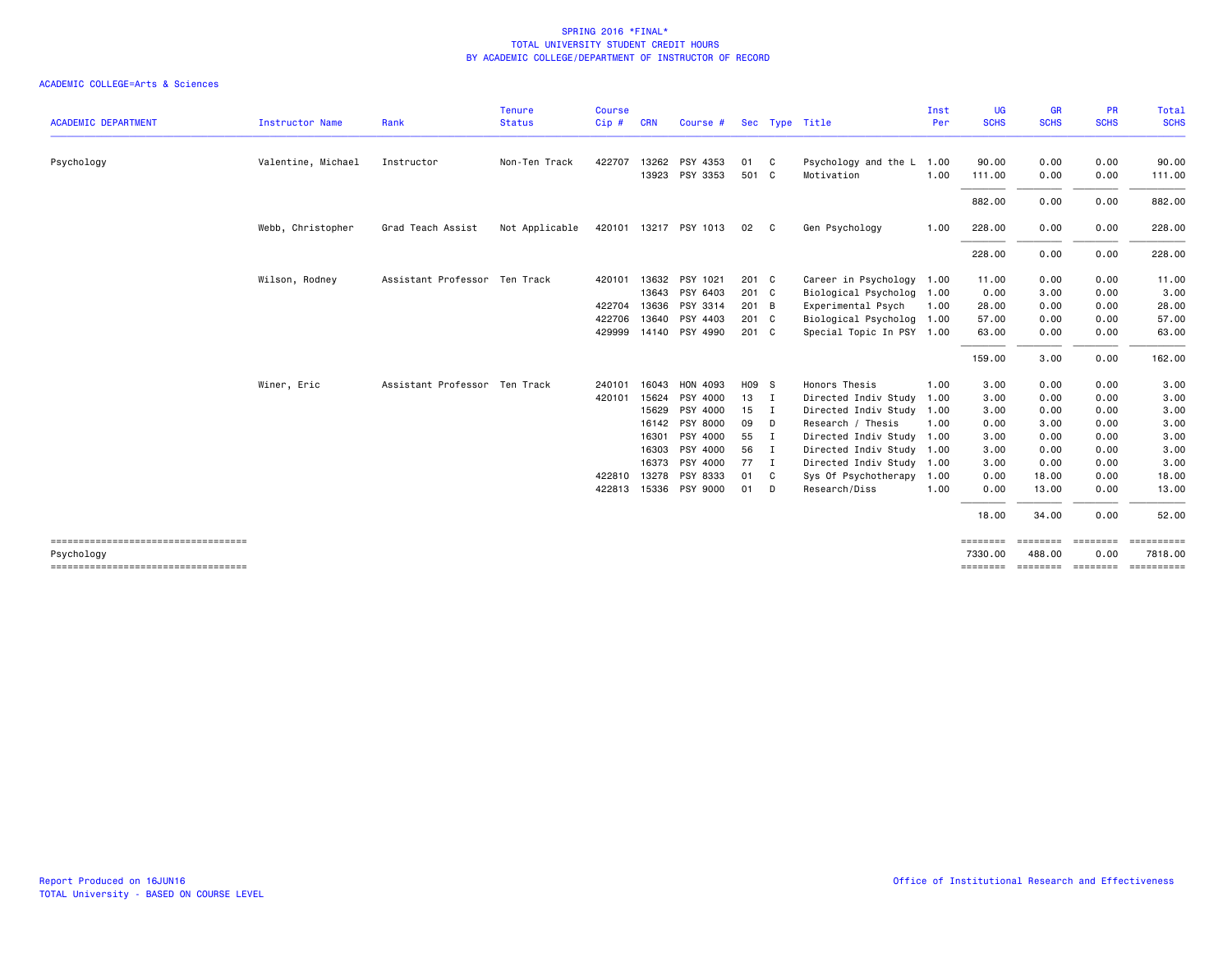| <b>ACADEMIC DEPARTMENT</b>                         |                        |                               | <b>Tenure</b>  | <b>Course</b> |            |                       |         |                |                           | Inst | <b>UG</b><br><b>SCHS</b> | <b>GR</b><br><b>SCHS</b> | <b>PR</b><br><b>SCHS</b> | Total<br><b>SCHS</b>  |
|----------------------------------------------------|------------------------|-------------------------------|----------------|---------------|------------|-----------------------|---------|----------------|---------------------------|------|--------------------------|--------------------------|--------------------------|-----------------------|
|                                                    | <b>Instructor Name</b> | Rank                          | <b>Status</b>  | Cip#          | <b>CRN</b> | Course #              |         |                | Sec Type Title            | Per  |                          |                          |                          |                       |
| Psychology                                         | Valentine, Michael     | Instructor                    | Non-Ten Track  | 422707        |            | 13262 PSY 4353        | 01      | $\mathbf{C}$   | Psychology and the L 1.00 |      | 90.00                    | 0.00                     | 0.00                     | 90.00                 |
|                                                    |                        |                               |                |               |            | 13923 PSY 3353        | 501 C   |                | Motivation                | 1.00 | 111.00                   | 0.00                     | 0.00                     | 111.00                |
|                                                    |                        |                               |                |               |            |                       |         |                |                           |      | 882.00                   | 0.00                     | 0.00                     | 882.00                |
|                                                    | Webb, Christopher      | Grad Teach Assist             | Not Applicable |               |            | 420101 13217 PSY 1013 | 02      | $\mathbf{C}$   | Gen Psychology            | 1.00 | 228.00                   | 0.00                     | 0.00                     | 228.00                |
|                                                    |                        |                               |                |               |            |                       |         |                |                           |      | 228.00                   | 0.00                     | 0.00                     | 228.00                |
|                                                    | Wilson, Rodney         | Assistant Professor Ten Track |                | 420101        |            | 13632 PSY 1021        | 201 C   |                | Career in Psychology 1.00 |      | 11.00                    | 0.00                     | 0.00                     | 11.00                 |
|                                                    |                        |                               |                |               | 13643      | PSY 6403              | 201 C   |                | Biological Psycholog 1.00 |      | 0.00                     | 3.00                     | 0.00                     | 3.00                  |
|                                                    |                        |                               |                | 422704 13636  |            | PSY 3314              | 201 B   |                | Experimental Psych        | 1.00 | 28.00                    | 0.00                     | 0.00                     | 28.00                 |
|                                                    |                        |                               |                | 422706        | 13640      | PSY 4403              | $201$ C |                | Biological Psycholog 1.00 |      | 57.00                    | 0.00                     | 0.00                     | 57.00                 |
|                                                    |                        |                               |                | 429999        |            | 14140 PSY 4990        | $201$ C |                | Special Topic In PSY 1.00 |      | 63.00                    | 0.00                     | 0.00                     | 63.00                 |
|                                                    |                        |                               |                |               |            |                       |         |                |                           |      | 159.00                   | 3.00                     | 0.00                     | 162.00                |
|                                                    | Winer, Eric            | Assistant Professor Ten Track |                | 240101        | 16043      | HON 4093              | H09 S   |                | Honors Thesis             | 1.00 | 3.00                     | 0.00                     | 0.00                     | 3.00                  |
|                                                    |                        |                               |                | 420101        | 15624      | PSY 4000              | 13      | $\mathbf{I}$   | Directed Indiv Study      | 1.00 | 3.00                     | 0.00                     | 0.00                     | 3.00                  |
|                                                    |                        |                               |                |               | 15629      | PSY 4000              | 15      | $\blacksquare$ | Directed Indiv Study 1.00 |      | 3.00                     | 0.00                     | 0.00                     | 3.00                  |
|                                                    |                        |                               |                |               | 16142      | PSY 8000              | 09      | D              | Research / Thesis         | 1.00 | 0.00                     | 3.00                     | 0.00                     | 3.00                  |
|                                                    |                        |                               |                |               | 16301      | PSY 4000              | 55      | $\blacksquare$ | Directed Indiv Study 1.00 |      | 3.00                     | 0.00                     | 0.00                     | 3.00                  |
|                                                    |                        |                               |                |               | 16303      | PSY 4000              | 56      | - 1            | Directed Indiv Study 1.00 |      | 3.00                     | 0.00                     | 0.00                     | 3.00                  |
|                                                    |                        |                               |                |               | 16373      | PSY 4000              | 77      | $\mathbf{I}$   | Directed Indiv Study 1.00 |      | 3.00                     | 0.00                     | 0.00                     | 3.00                  |
|                                                    |                        |                               |                | 422810        | 13278      | PSY 8333              | 01      | C              | Sys Of Psychotherapy 1.00 |      | 0.00                     | 18.00                    | 0.00                     | 18.00                 |
|                                                    |                        |                               |                | 422813        |            | 15336 PSY 9000        | 01      | D              | Research/Diss             | 1.00 | 0.00                     | 13.00                    | 0.00                     | 13.00                 |
|                                                    |                        |                               |                |               |            |                       |         |                |                           |      | 18.00                    | 34.00                    | 0.00                     | 52.00                 |
| ------------------------------------<br>Psychology |                        |                               |                |               |            |                       |         |                |                           |      | ========<br>7330.00      | ========<br>488.00       | ========<br>0.00         | ==========<br>7818.00 |
| ------------------------------------               |                        |                               |                |               |            |                       |         |                |                           |      | ========                 | <b>EEEEEEE</b>           | ---------                | ==========            |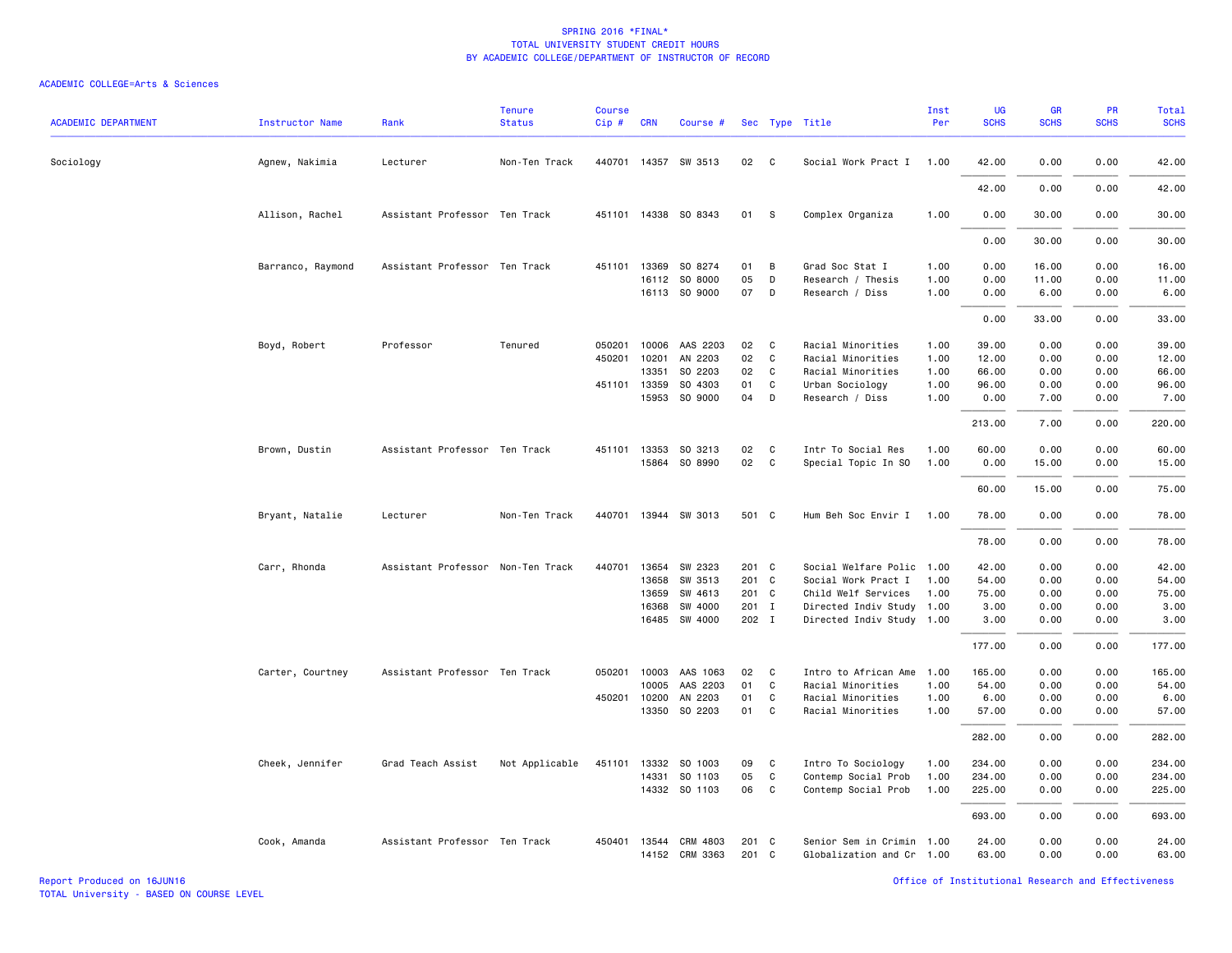| <b>ACADEMIC DEPARTMENT</b> | <b>Instructor Name</b> | Rank                              | <b>Tenure</b><br><b>Status</b> | <b>Course</b><br>Cip# | <b>CRN</b>   | Course #             |        |             | Sec Type Title            | Inst<br>Per | UG<br><b>SCHS</b> | <b>GR</b><br><b>SCHS</b> | <b>PR</b><br><b>SCHS</b> | Total<br><b>SCHS</b> |
|----------------------------|------------------------|-----------------------------------|--------------------------------|-----------------------|--------------|----------------------|--------|-------------|---------------------------|-------------|-------------------|--------------------------|--------------------------|----------------------|
| Sociology                  | Agnew, Nakimia         | Lecturer                          | Non-Ten Track                  |                       |              | 440701 14357 SW 3513 | 02     | C           | Social Work Pract I       | 1.00        | 42.00             | 0.00                     | 0.00                     | 42.00                |
|                            |                        |                                   |                                |                       |              |                      |        |             |                           |             | 42.00             | 0.00                     | 0.00                     | 42.00                |
|                            | Allison, Rachel        | Assistant Professor Ten Track     |                                |                       |              | 451101 14338 SO 8343 | 01     | s           | Complex Organiza          | 1.00        | 0.00              | 30.00                    | 0.00                     | 30.00                |
|                            |                        |                                   |                                |                       |              |                      |        |             |                           |             | 0.00              | 30.00                    | 0.00                     | 30.00                |
|                            | Barranco, Raymond      | Assistant Professor Ten Track     |                                | 451101                | 13369        | SO 8274              | 01     | B           | Grad Soc Stat I           | 1.00        | 0.00              | 16.00                    | 0.00                     | 16.00                |
|                            |                        |                                   |                                |                       |              | 16112 SO 8000        | 05     | D           | Research / Thesis         | 1.00        | 0.00              | 11.00                    | 0.00                     | 11.00                |
|                            |                        |                                   |                                |                       |              | 16113 SO 9000        | 07     | D           | Research / Diss           | 1.00        | 0.00              | 6.00                     | 0.00                     | 6.00                 |
|                            |                        |                                   |                                |                       |              |                      |        |             |                           |             | 0.00              | 33.00                    | 0.00                     | 33.00                |
|                            | Boyd, Robert           | Professor                         | Tenured                        | 050201                | 10006        | AAS 2203             | 02     | C           | Racial Minorities         | 1.00        | 39.00             | 0.00                     | 0.00                     | 39.00                |
|                            |                        |                                   |                                | 450201                | 10201        | AN 2203              | 02     | $\mathbf c$ | Racial Minorities         | 1.00        | 12.00             | 0.00                     | 0.00                     | 12.00                |
|                            |                        |                                   |                                |                       | 13351        | SO 2203              | 02     | C           | Racial Minorities         | 1.00        | 66.00             | 0.00                     | 0.00                     | 66.00                |
|                            |                        |                                   |                                | 451101                | 13359        | SO 4303              | 01     | C           | Urban Sociology           | 1.00        | 96.00             | 0.00                     | 0.00                     | 96.00                |
|                            |                        |                                   |                                |                       | 15953        | SO 9000              | 04     | D           | Research / Diss           | 1.00        | 0.00              | 7.00                     | 0.00                     | 7.00                 |
|                            |                        |                                   |                                |                       |              |                      |        |             |                           |             | 213.00            | 7.00                     | 0.00                     | 220.00               |
|                            | Brown, Dustin          | Assistant Professor Ten Track     |                                | 451101                | 13353        | SO 3213              | 02     | C           | Intr To Social Res        | 1.00        | 60.00             | 0.00                     | 0.00                     | 60.00                |
|                            |                        |                                   |                                |                       |              | 15864 SO 8990        | $02\,$ | C           | Special Topic In SO       | 1.00        | 0.00              | 15.00                    | 0.00                     | 15.00                |
|                            |                        |                                   |                                |                       |              |                      |        |             |                           |             | 60.00             | 15.00                    | 0.00                     | 75.00                |
|                            | Bryant, Natalie        | Lecturer                          | Non-Ten Track                  | 440701                |              | 13944 SW 3013        | 501 C  |             | Hum Beh Soc Envir I       | 1.00        | 78.00             | 0.00                     | 0.00                     | 78.00                |
|                            |                        |                                   |                                |                       |              |                      |        |             |                           |             | 78.00             | 0.00                     | 0.00                     | 78.00                |
|                            | Carr, Rhonda           | Assistant Professor Non-Ten Track |                                | 440701                | 13654        | SW 2323              | 201 C  |             | Social Welfare Polic 1.00 |             | 42.00             | 0.00                     | 0.00                     | 42.00                |
|                            |                        |                                   |                                |                       | 13658        | SW 3513              | 201 C  |             | Social Work Pract I       | 1.00        | 54.00             | 0.00                     | 0.00                     | 54.00                |
|                            |                        |                                   |                                |                       | 13659        | SW 4613              | 201 C  |             | Child Welf Services       | 1.00        | 75.00             | 0.00                     | 0.00                     | 75.00                |
|                            |                        |                                   |                                |                       | 16368        | SW 4000              | 201 I  |             | Directed Indiv Study 1.00 |             | 3.00              | 0.00                     | 0.00                     | 3.00                 |
|                            |                        |                                   |                                |                       |              | 16485 SW 4000        | 202 I  |             | Directed Indiv Study 1.00 |             | 3.00              | 0.00                     | 0.00                     | 3.00                 |
|                            |                        |                                   |                                |                       |              |                      |        |             |                           |             | 177.00            | 0.00                     | 0.00                     | 177.00               |
|                            | Carter, Courtney       | Assistant Professor Ten Track     |                                | 050201                | 10003        | AAS 1063             | 02     | C           | Intro to African Ame      | 1.00        | 165.00            | 0.00                     | 0.00                     | 165.00               |
|                            |                        |                                   |                                |                       | 10005        | AAS 2203             | 01     | C           | Racial Minorities         | 1.00        | 54.00             | 0.00                     | 0.00                     | 54.00                |
|                            |                        |                                   |                                |                       | 450201 10200 | AN 2203              | 01     | C           | Racial Minorities         | 1.00        | 6.00              | 0.00                     | 0.00                     | 6.00                 |
|                            |                        |                                   |                                |                       | 13350        | SO 2203              | 01     | C           | Racial Minorities         | 1.00        | 57.00             | 0.00                     | 0.00                     | 57.00                |
|                            |                        |                                   |                                |                       |              |                      |        |             |                           |             | 282.00            | 0.00                     | 0.00                     | 282.00               |
|                            | Cheek, Jennifer        | Grad Teach Assist                 | Not Applicable                 | 451101                | 13332        | SO 1003              | 09     | C           | Intro To Sociology        | 1.00        | 234.00            | 0.00                     | 0.00                     | 234.00               |
|                            |                        |                                   |                                |                       | 14331        | SO 1103              | 05     | C           | Contemp Social Prob       | 1.00        | 234.00            | 0.00                     | 0.00                     | 234.00               |
|                            |                        |                                   |                                |                       |              | 14332 SO 1103        | 06     | C           | Contemp Social Prob       | 1.00        | 225.00            | 0.00                     | 0.00                     | 225.00               |
|                            |                        |                                   |                                |                       |              |                      |        |             |                           |             | 693.00            | 0.00                     | 0.00                     | 693.00               |
|                            | Cook, Amanda           | Assistant Professor Ten Track     |                                | 450401                | 13544        | CRM 4803             | 201 C  |             | Senior Sem in Crimin      | 1.00        | 24.00             | 0.00                     | 0.00                     | 24.00                |
|                            |                        |                                   |                                |                       |              | 14152 CRM 3363       | 201 C  |             | Globalization and Cr 1.00 |             | 63.00             | 0.00                     | 0.00                     | 63.00                |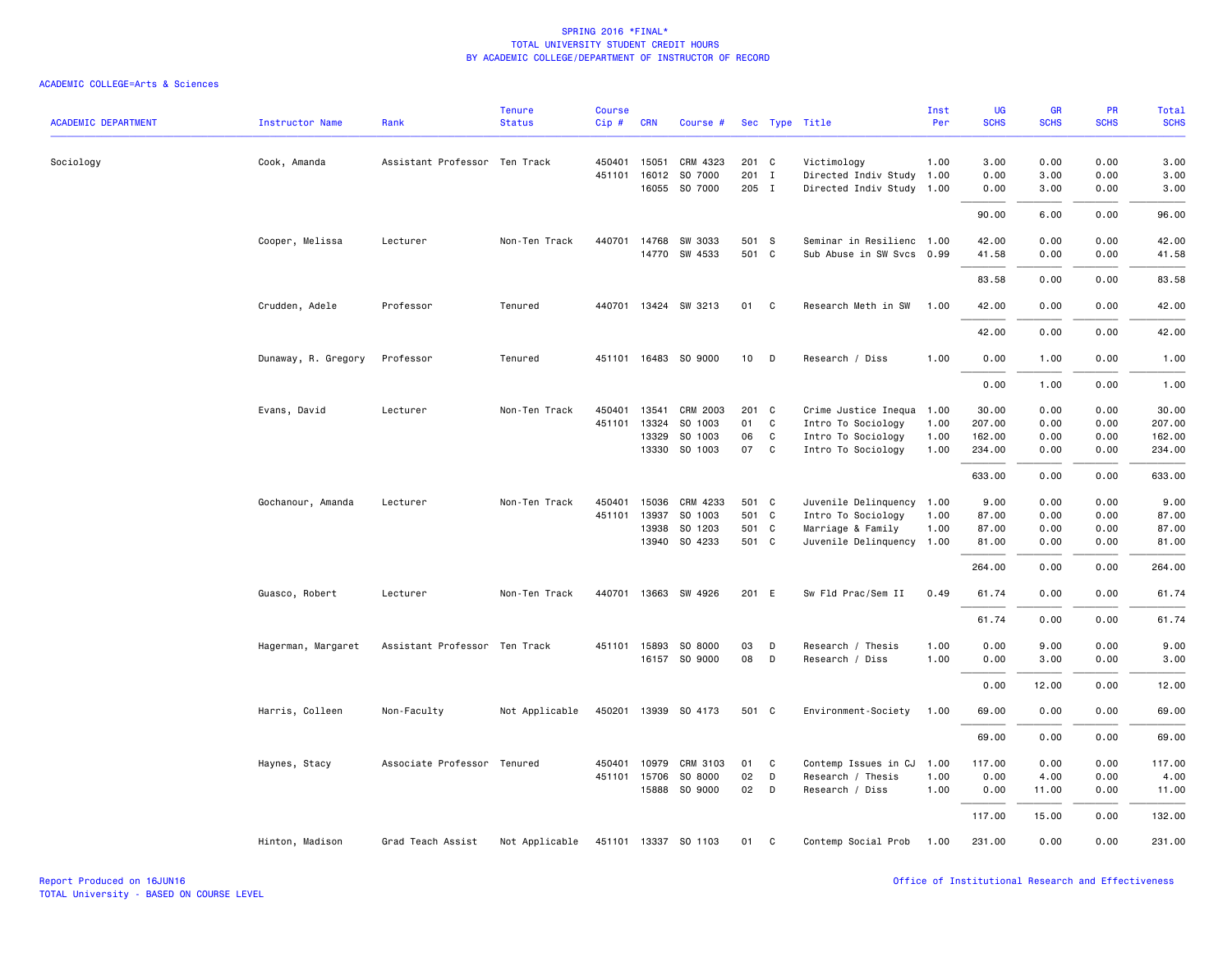| <b>ACADEMIC DEPARTMENT</b> | <b>Instructor Name</b> | Rank                          | <b>Tenure</b><br><b>Status</b> | <b>Course</b><br>$Cip \#$ | <b>CRN</b>   | Course #             |       |                | Sec Type Title            | Inst<br>Per | UG<br><b>SCHS</b> | GR<br><b>SCHS</b> | PR<br><b>SCHS</b> | <b>Total</b><br><b>SCHS</b> |
|----------------------------|------------------------|-------------------------------|--------------------------------|---------------------------|--------------|----------------------|-------|----------------|---------------------------|-------------|-------------------|-------------------|-------------------|-----------------------------|
| Sociology                  | Cook, Amanda           | Assistant Professor Ten Track |                                | 450401                    | 15051        | CRM 4323             | 201 C |                | Victimology               | 1.00        | 3.00              | 0.00              | 0.00              | 3.00                        |
|                            |                        |                               |                                | 451101                    | 16012        | SO 7000              | 201 I |                | Directed Indiv Study      | 1.00        | 0.00              | 3.00              | 0.00              | 3.00                        |
|                            |                        |                               |                                |                           |              | 16055 SO 7000        | 205 I |                | Directed Indiv Study 1.00 |             | 0.00              | 3.00              | 0.00              | 3.00                        |
|                            |                        |                               |                                |                           |              |                      |       |                |                           |             |                   |                   |                   |                             |
|                            |                        |                               |                                |                           |              |                      |       |                |                           |             | 90.00             | 6.00              | 0.00              | 96.00                       |
|                            | Cooper, Melissa        | Lecturer                      | Non-Ten Track                  | 440701                    | 14768        | SW 3033              | 501 S |                | Seminar in Resilienc 1.00 |             | 42.00             | 0.00              | 0.00              | 42.00                       |
|                            |                        |                               |                                |                           |              | 14770 SW 4533        | 501 C |                | Sub Abuse in SW Svcs 0.99 |             | 41.58             | 0.00              | 0.00              | 41.58                       |
|                            |                        |                               |                                |                           |              |                      |       |                |                           |             | 83.58             | 0.00              | 0.00              | 83.58                       |
|                            | Crudden, Adele         | Professor                     | Tenured                        |                           |              | 440701 13424 SW 3213 | 01    | C <sub>c</sub> | Research Meth in SW       | 1.00        | 42.00             | 0.00              | 0.00              | 42.00                       |
|                            |                        |                               |                                |                           |              |                      |       |                |                           |             | 42.00             | 0.00              | 0.00              | 42.00                       |
|                            | Dunaway, R. Gregory    | Professor                     | Tenured                        |                           |              | 451101 16483 SO 9000 | 10    | D              | Research / Diss           | 1.00        | 0.00              | 1.00              | 0.00              | 1.00                        |
|                            |                        |                               |                                |                           |              |                      |       |                |                           |             | 0.00              | 1.00              | 0.00              | 1.00                        |
|                            | Evans, David           | Lecturer                      | Non-Ten Track                  | 450401                    | 13541        | CRM 2003             | 201 C |                | Crime Justice Inequa      | 1.00        | 30.00             | 0.00              | 0.00              | 30.00                       |
|                            |                        |                               |                                | 451101                    | 13324        | SO 1003              | 01    | C              | Intro To Sociology        | 1.00        | 207.00            | 0.00              | 0.00              | 207.00                      |
|                            |                        |                               |                                |                           | 13329        | SO 1003              | 06    | C              | Intro To Sociology        | 1.00        | 162.00            | 0.00              | 0.00              | 162.00                      |
|                            |                        |                               |                                |                           | 13330        | SO 1003              | 07    | <b>C</b>       | Intro To Sociology        | 1.00        | 234.00            | 0.00              | 0.00              | 234.00                      |
|                            |                        |                               |                                |                           |              |                      |       |                |                           |             | 633.00            | 0.00              | 0.00              | 633.00                      |
|                            | Gochanour, Amanda      | Lecturer                      | Non-Ten Track                  | 450401                    | 15036        | CRM 4233             | 501 C |                | Juvenile Delinquency      | 1.00        | 9.00              | 0.00              | 0.00              | 9.00                        |
|                            |                        |                               |                                | 451101                    | 13937        | SO 1003              | 501 C |                | Intro To Sociology        | 1.00        | 87.00             | 0.00              | 0.00              | 87.00                       |
|                            |                        |                               |                                |                           | 13938        | SO 1203              | 501 C |                | Marriage & Family         | 1.00        | 87.00             | 0.00              | 0.00              | 87.00                       |
|                            |                        |                               |                                |                           |              | 13940 SO 4233        | 501 C |                | Juvenile Delinquency      | 1.00        | 81.00             | 0.00              | 0.00              | 81.00                       |
|                            |                        |                               |                                |                           |              |                      |       |                |                           |             | 264.00            | 0.00              | 0.00              | 264.00                      |
|                            | Guasco, Robert         | Lecturer                      | Non-Ten Track                  |                           |              | 440701 13663 SW 4926 | 201 E |                | Sw Fld Prac/Sem II        | 0.49        | 61.74             | 0.00              | 0.00              | 61.74                       |
|                            |                        |                               |                                |                           |              |                      |       |                |                           |             | 61.74             | 0.00              | 0.00              | 61.74                       |
|                            | Hagerman, Margaret     | Assistant Professor Ten Track |                                |                           | 451101 15893 | SO 8000              | 03    | D              | Research / Thesis         | 1.00        | 0.00              | 9.00              | 0.00              | 9.00                        |
|                            |                        |                               |                                |                           |              | 16157 SO 9000        | 08    | D              | Research / Diss           | 1.00        | 0.00              | 3.00              | 0.00              | 3.00                        |
|                            |                        |                               |                                |                           |              |                      |       |                |                           |             | 0.00              | 12.00             | 0.00              | 12.00                       |
|                            | Harris, Colleen        | Non-Faculty                   | Not Applicable                 |                           |              | 450201 13939 SO 4173 | 501 C |                | Environment-Society       | 1.00        | 69.00             | 0.00              | 0.00              | 69.00                       |
|                            |                        |                               |                                |                           |              |                      |       |                |                           |             | 69.00             | 0.00              | 0.00              | 69.00                       |
|                            | Haynes, Stacy          | Associate Professor Tenured   |                                | 450401                    | 10979        | CRM 3103             | 01    | C              | Contemp Issues in CJ      | 1.00        | 117.00            | 0.00              | 0.00              | 117.00                      |
|                            |                        |                               |                                |                           | 451101 15706 | SO 8000              | 02    | D              | Research / Thesis         | 1.00        | 0.00              | 4.00              | 0.00              | 4.00                        |
|                            |                        |                               |                                |                           | 15888        | SO 9000              | 02    | D              | Research / Diss           | 1.00        | 0.00              | 11.00             | 0.00              | 11.00                       |
|                            |                        |                               |                                |                           |              |                      |       |                |                           |             | 117.00            | 15.00             | 0.00              | 132.00                      |
|                            | Hinton, Madison        | Grad Teach Assist             | Not Applicable                 |                           |              | 451101 13337 SO 1103 | 01    | C              | Contemp Social Prob       | 1.00        | 231.00            | 0.00              | 0.00              | 231.00                      |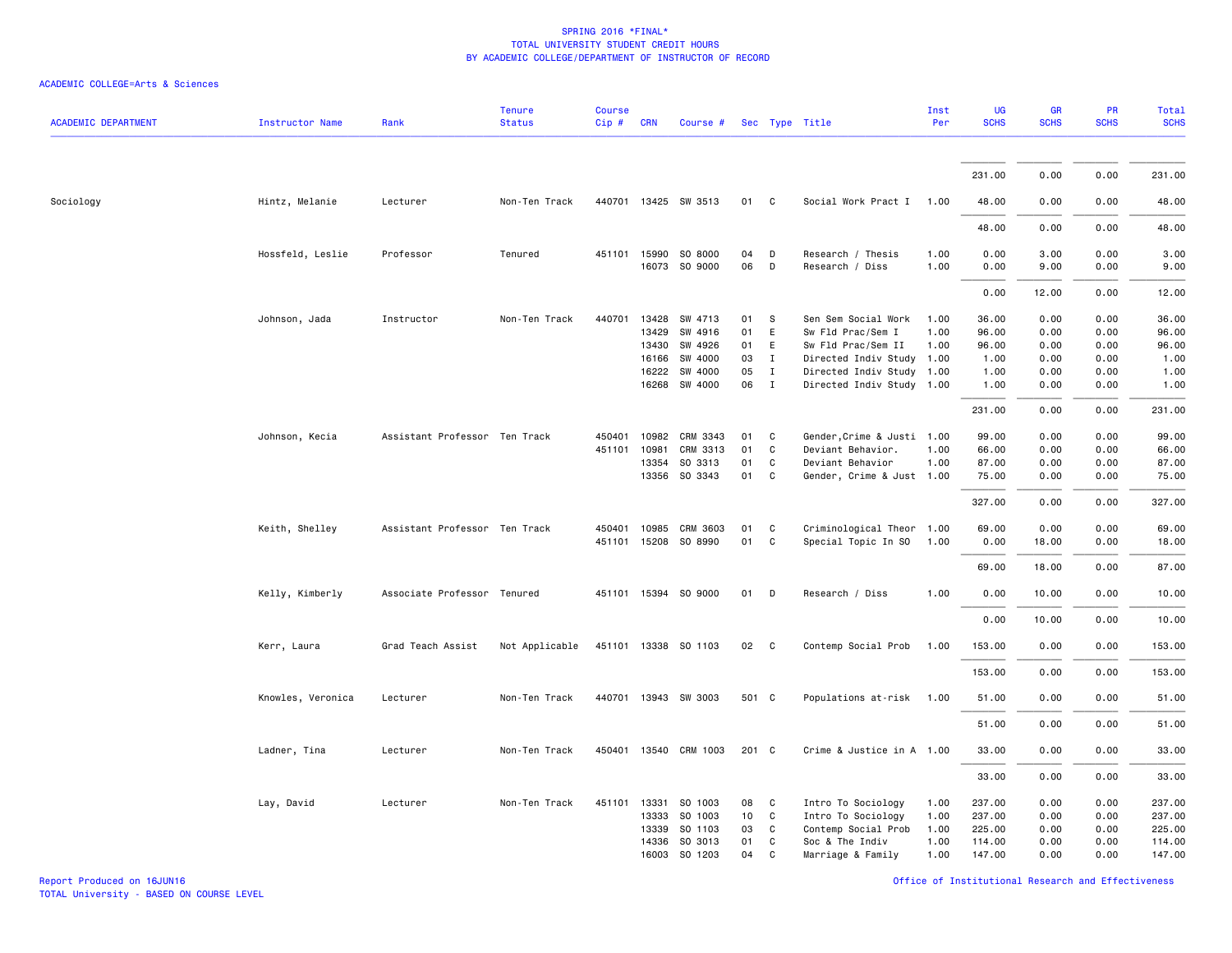### ACADEMIC COLLEGE=Arts & Sciences

| <b>ACADEMIC DEPARTMENT</b> | <b>Instructor Name</b> | Rank                          | <b>Tenure</b><br><b>Status</b> | <b>Course</b><br>Cip# | <b>CRN</b> | Course #             |       |              | Sec Type Title             | Inst<br>Per | UG<br><b>SCHS</b> | <b>GR</b><br><b>SCHS</b> | PR<br><b>SCHS</b> | <b>Total</b><br><b>SCHS</b> |
|----------------------------|------------------------|-------------------------------|--------------------------------|-----------------------|------------|----------------------|-------|--------------|----------------------------|-------------|-------------------|--------------------------|-------------------|-----------------------------|
|                            |                        |                               |                                |                       |            |                      |       |              |                            |             |                   |                          |                   |                             |
|                            |                        |                               |                                |                       |            |                      |       |              |                            |             | 231.00            | 0.00                     | 0.00              | 231.00                      |
| Sociology                  | Hintz, Melanie         | Lecturer                      | Non-Ten Track                  |                       |            | 440701 13425 SW 3513 | 01 C  |              | Social Work Pract I 1.00   |             | 48.00             | 0.00                     | 0.00              | 48.00                       |
|                            |                        |                               |                                |                       |            |                      |       |              |                            |             | 48.00             | 0.00                     | 0.00              | 48.00                       |
|                            | Hossfeld, Leslie       | Professor                     | Tenured                        |                       |            | 451101 15990 SO 8000 | 04    | D            | Research / Thesis          | 1.00        | 0.00              | 3.00                     | 0.00              | 3.00                        |
|                            |                        |                               |                                |                       |            | 16073 SO 9000        | 06    | D            | Research / Diss            | 1.00        | 0.00              | 9.00                     | 0.00              | 9.00                        |
|                            |                        |                               |                                |                       |            |                      |       |              |                            |             | 0.00              | 12.00                    | 0.00              | 12.00                       |
|                            | Johnson, Jada          | Instructor                    | Non-Ten Track                  | 440701                |            | 13428 SW 4713        | 01    | -S           | Sen Sem Social Work        | 1.00        | 36.00             | 0.00                     | 0.00              | 36.00                       |
|                            |                        |                               |                                |                       | 13429      | SW 4916              | 01    | E            | Sw Fld Prac/Sem I          | 1.00        | 96.00             | 0.00                     | 0.00              | 96.00                       |
|                            |                        |                               |                                |                       | 13430      | SW 4926              | 01    | E            | Sw Fld Prac/Sem II         | 1.00        | 96.00             | 0.00                     | 0.00              | 96.00                       |
|                            |                        |                               |                                |                       | 16166      | SW 4000              | 03    | $\mathbf{I}$ | Directed Indiv Study       | 1.00        | 1.00              | 0.00                     | 0.00              | 1.00                        |
|                            |                        |                               |                                |                       | 16222      | SW 4000              | 05    | $\mathbf{I}$ | Directed Indiv Study 1.00  |             | 1.00              | 0.00                     | 0.00              | 1.00                        |
|                            |                        |                               |                                |                       |            | 16268 SW 4000        | 06    | $\mathbf{I}$ | Directed Indiv Study 1.00  |             | 1.00              | 0.00                     | 0.00              | 1.00                        |
|                            |                        |                               |                                |                       |            |                      |       |              |                            |             | 231.00            | 0.00                     | 0.00              | 231.00                      |
|                            | Johnson, Kecia         | Assistant Professor Ten Track |                                | 450401                | 10982      | CRM 3343             | 01    | C            | Gender, Crime & Justi 1.00 |             | 99.00             | 0.00                     | 0.00              | 99.00                       |
|                            |                        |                               |                                | 451101                | 10981      | CRM 3313             | 01    | C            | Deviant Behavior.          | 1.00        | 66.00             | 0.00                     | 0.00              | 66.00                       |
|                            |                        |                               |                                |                       | 13354      | SO 3313              | 01    | C            | Deviant Behavior           | 1.00        | 87.00             | 0.00                     | 0.00              | 87.00                       |
|                            |                        |                               |                                |                       |            | 13356 SO 3343        | 01    | C            | Gender, Crime & Just 1.00  |             | 75.00             | 0.00                     | 0.00              | 75.00                       |
|                            |                        |                               |                                |                       |            |                      |       |              |                            |             | 327.00            | 0.00                     | 0.00              | 327.00                      |
|                            | Keith, Shelley         | Assistant Professor Ten Track |                                | 450401                |            | 10985 CRM 3603       | 01    | C            | Criminological Theor 1.00  |             | 69.00             | 0.00                     | 0.00              | 69.00                       |
|                            |                        |                               |                                | 451101                |            | 15208 SO 8990        | 01    | C            | Special Topic In SO        | 1.00        | 0.00              | 18.00                    | 0.00              | 18.00                       |
|                            |                        |                               |                                |                       |            |                      |       |              |                            |             |                   |                          |                   |                             |
|                            |                        |                               |                                |                       |            |                      |       |              |                            |             | 69.00             | 18.00                    | 0.00              | 87.00                       |
|                            | Kelly, Kimberly        | Associate Professor Tenured   |                                |                       |            | 451101 15394 SO 9000 | 01    | D            | Research / Diss            | 1.00        | 0.00              | 10.00                    | 0.00              | 10.00                       |
|                            |                        |                               |                                |                       |            |                      |       |              |                            |             | 0.00              | 10.00                    | 0.00              | 10.00                       |
|                            | Kerr, Laura            | Grad Teach Assist             | Not Applicable                 |                       |            | 451101 13338 SO 1103 | 02    | C            | Contemp Social Prob        | 1.00        | 153.00            | 0.00                     | 0.00              | 153.00                      |
|                            |                        |                               |                                |                       |            |                      |       |              |                            |             | 153.00            | 0.00                     | 0.00              | 153.00                      |
|                            | Knowles, Veronica      | Lecturer                      | Non-Ten Track                  |                       |            | 440701 13943 SW 3003 | 501 C |              | Populations at-risk        | 1.00        | 51.00             | 0.00                     | 0.00              | 51.00                       |
|                            |                        |                               |                                |                       |            |                      |       |              |                            |             | 51.00             | 0.00                     | 0.00              | 51.00                       |
|                            | Ladner, Tina           | Lecturer                      | Non-Ten Track                  | 450401                |            | 13540 CRM 1003       |       | 201 C        | Crime & Justice in A 1.00  |             | 33.00             | 0.00                     | 0.00              | 33.00                       |
|                            |                        |                               |                                |                       |            |                      |       |              |                            |             | 33.00             | 0.00                     | 0.00              | 33.00                       |
|                            |                        | Lecturer                      | Non-Ten Track                  | 451101                | 13331      | SO 1003              | 08    | C            | Intro To Sociology         | 1.00        | 237.00            | 0.00                     | 0.00              | 237.00                      |
|                            | Lay, David             |                               |                                |                       | 13333      | SO 1003              | 10    | $\mathtt{C}$ | Intro To Sociology         | 1.00        | 237.00            | 0.00                     | 0.00              | 237.00                      |
|                            |                        |                               |                                |                       | 13339      | SO 1103              | 03    | C            | Contemp Social Prob        | 1.00        | 225.00            | 0.00                     | 0.00              | 225.00                      |
|                            |                        |                               |                                |                       | 14336      | SO 3013              | 01    | C            | Soc & The Indiv            | 1.00        | 114.00            | 0.00                     | 0.00              | 114.00                      |
|                            |                        |                               |                                |                       |            | 16003 SO 1203        | 04    | С            | Marriage & Family          | 1.00        | 147.00            | 0.00                     | 0.00              | 147.00                      |
|                            |                        |                               |                                |                       |            |                      |       |              |                            |             |                   |                          |                   |                             |

Report Produced on 16JUN16 Office of Institutional Research and Effectiveness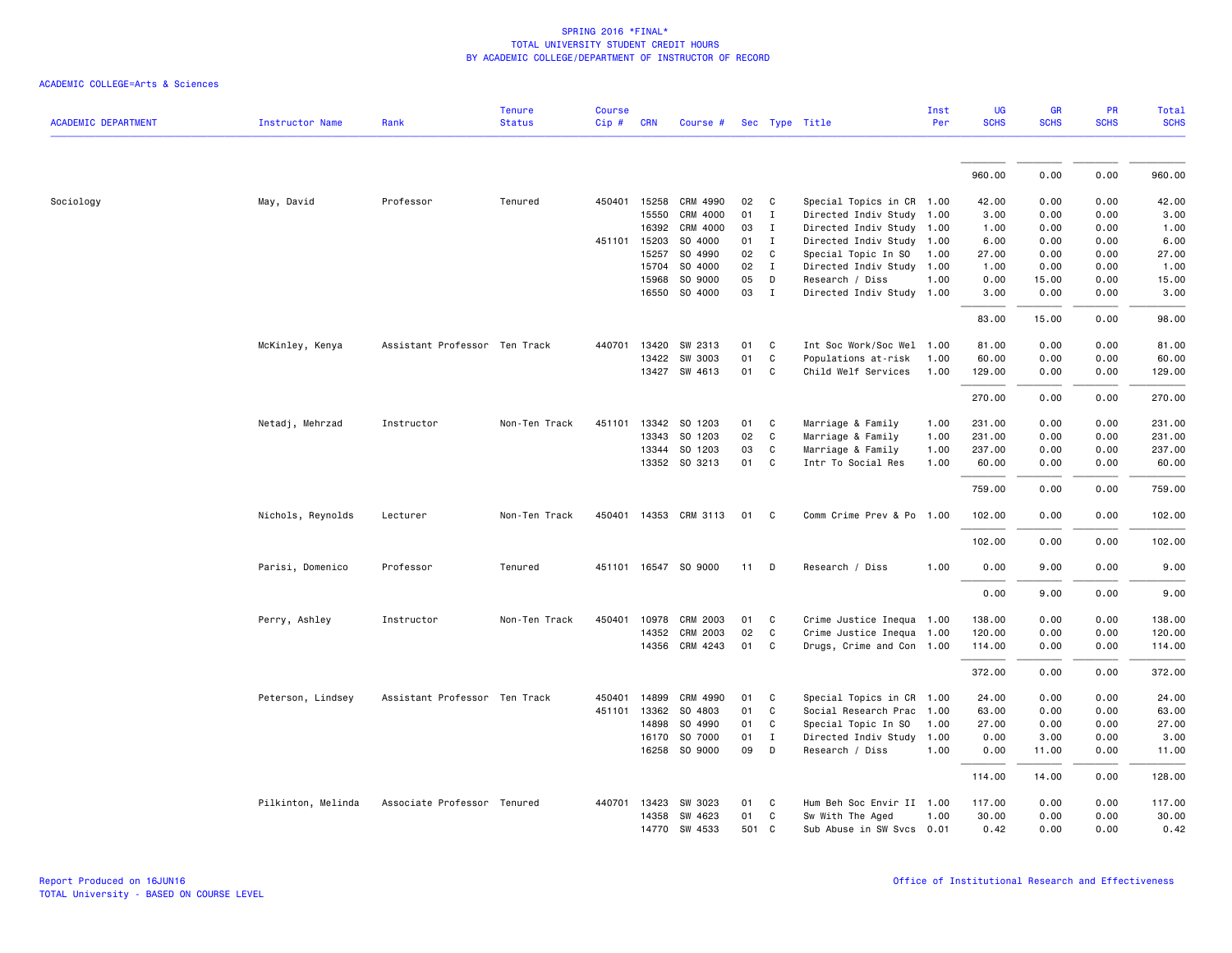|                            |                        |                               | <b>Tenure</b> | <b>Course</b> |              |                      |        |              |                           | Inst | UG          | <b>GR</b>   | PR          | Total       |
|----------------------------|------------------------|-------------------------------|---------------|---------------|--------------|----------------------|--------|--------------|---------------------------|------|-------------|-------------|-------------|-------------|
| <b>ACADEMIC DEPARTMENT</b> | <b>Instructor Name</b> | Rank                          | <b>Status</b> | Cip #         | <b>CRN</b>   | Course #             |        |              | Sec Type Title            | Per  | <b>SCHS</b> | <b>SCHS</b> | <b>SCHS</b> | <b>SCHS</b> |
|                            |                        |                               |               |               |              |                      |        |              |                           |      |             |             |             |             |
|                            |                        |                               |               |               |              |                      |        |              |                           |      | 960.00      | 0.00        | 0.00        | 960.00      |
| Sociology                  | May, David             | Professor                     | Tenured       |               | 450401 15258 | CRM 4990             | 02     | C            | Special Topics in CR 1.00 |      | 42.00       | 0.00        | 0.00        | 42.00       |
|                            |                        |                               |               |               | 15550        | CRM 4000             | 01     | $\mathbf{I}$ | Directed Indiv Study 1.00 |      | 3.00        | 0.00        | 0.00        | 3.00        |
|                            |                        |                               |               |               | 16392        | CRM 4000             | 03     | $\mathbf{I}$ | Directed Indiv Study      | 1.00 | 1.00        | 0.00        | 0.00        | 1.00        |
|                            |                        |                               |               | 451101        | 15203        | SO 4000              | 01     | I            | Directed Indiv Study 1.00 |      | 6.00        | 0.00        | 0.00        | 6.00        |
|                            |                        |                               |               |               | 15257        | SO 4990              | 02     | C            | Special Topic In SO       | 1.00 | 27.00       | 0.00        | 0.00        | 27.00       |
|                            |                        |                               |               |               | 15704        | SO 4000              | 02     | $\mathbf{I}$ | Directed Indiv Study      | 1.00 | 1.00        | 0.00        | 0.00        | 1.00        |
|                            |                        |                               |               |               | 15968        | SO 9000              | 05     | D            | Research / Diss           | 1.00 | 0.00        | 15.00       | 0.00        | 15.00       |
|                            |                        |                               |               |               |              | 16550 SO 4000        | 03     | $\mathbf{I}$ | Directed Indiv Study 1.00 |      | 3.00        | 0.00        | 0.00        | 3.00        |
|                            |                        |                               |               |               |              |                      |        |              |                           |      | 83.00       | 15.00       | 0.00        | 98.00       |
|                            | McKinley, Kenya        | Assistant Professor Ten Track |               | 440701        | 13420        | SW 2313              | 01     | C            | Int Soc Work/Soc Wel      | 1.00 | 81.00       | 0.00        | 0.00        | 81.00       |
|                            |                        |                               |               |               | 13422        | SW 3003              | 01     | C            | Populations at-risk       | 1.00 | 60.00       | 0.00        | 0.00        | 60.00       |
|                            |                        |                               |               |               |              | 13427 SW 4613        | 01     | $\mathbf{C}$ | Child Welf Services       | 1.00 | 129.00      | 0.00        | 0.00        | 129.00      |
|                            |                        |                               |               |               |              |                      |        |              |                           |      | 270.00      | 0.00        | 0.00        | 270.00      |
|                            | Netadj, Mehrzad        | Instructor                    | Non-Ten Track | 451101        | 13342        | SO 1203              | 01     | C            | Marriage & Family         | 1.00 | 231.00      | 0.00        | 0.00        | 231.00      |
|                            |                        |                               |               |               | 13343        | SO 1203              | 02     | C            | Marriage & Family         | 1.00 | 231.00      | 0.00        | 0.00        | 231.00      |
|                            |                        |                               |               |               |              | 13344 SO 1203        | 03     | C            | Marriage & Family         | 1.00 | 237.00      | 0.00        | 0.00        | 237.00      |
|                            |                        |                               |               |               |              | 13352 SO 3213        | 01     | C            | Intr To Social Res        | 1.00 | 60.00       | 0.00        | 0.00        | 60.00       |
|                            |                        |                               |               |               |              |                      |        |              |                           |      | 759.00      | 0.00        | 0.00        | 759.00      |
|                            | Nichols, Reynolds      | Lecturer                      | Non-Ten Track | 450401        |              | 14353 CRM 3113       | 01     | C            | Comm Crime Prev & Po 1.00 |      | 102.00      | 0.00        | 0.00        | 102.00      |
|                            |                        |                               |               |               |              |                      |        |              |                           |      | 102.00      | 0.00        | 0.00        | 102.00      |
|                            | Parisi, Domenico       | Professor                     | Tenured       |               |              | 451101 16547 SO 9000 | $11$ D |              | Research / Diss           | 1.00 | 0.00        | 9.00        | 0.00        | 9.00        |
|                            |                        |                               |               |               |              |                      |        |              |                           |      | 0.00        | 9.00        | 0.00        | 9.00        |
|                            | Perry, Ashley          | Instructor                    | Non-Ten Track | 450401        | 10978        | <b>CRM 2003</b>      | 01     | C            | Crime Justice Inequa 1.00 |      | 138.00      | 0.00        | 0.00        | 138.00      |
|                            |                        |                               |               |               | 14352        | <b>CRM 2003</b>      | 02     | C            | Crime Justice Inequa 1.00 |      | 120.00      | 0.00        | 0.00        | 120.00      |
|                            |                        |                               |               |               |              | 14356 CRM 4243       | 01     | C.           | Drugs, Crime and Con 1.00 |      | 114.00      | 0.00        | 0.00        | 114.00      |
|                            |                        |                               |               |               |              |                      |        |              |                           |      | 372.00      | 0.00        | 0.00        | 372.00      |
|                            | Peterson, Lindsey      | Assistant Professor Ten Track |               | 450401        | 14899        | CRM 4990             | 01     | C            | Special Topics in CR 1.00 |      | 24.00       | 0.00        | 0.00        | 24.00       |
|                            |                        |                               |               | 451101        | 13362        | SO 4803              | 01     | C            | Social Research Prac      | 1.00 | 63.00       | 0.00        | 0.00        | 63.00       |
|                            |                        |                               |               |               | 14898        | SO 4990              | 01     | C            | Special Topic In SO       | 1.00 | 27.00       | 0.00        | 0.00        | 27.00       |
|                            |                        |                               |               |               | 16170        | SO 7000              | 01     | $\mathbf{I}$ | Directed Indiv Study      | 1.00 | 0.00        | 3.00        | 0.00        | 3.00        |
|                            |                        |                               |               |               |              | 16258 SO 9000        | 09     | D            | Research / Diss           | 1.00 | 0.00        | 11.00       | 0.00        | 11.00       |
|                            |                        |                               |               |               |              |                      |        |              |                           |      | 114.00      | 14.00       | 0.00        | 128.00      |
|                            | Pilkinton, Melinda     | Associate Professor Tenured   |               |               | 440701 13423 | SW 3023              | 01     | $\mathbf{C}$ | Hum Beh Soc Envir II 1.00 |      | 117.00      | 0.00        | 0.00        | 117.00      |
|                            |                        |                               |               |               | 14358        | SW 4623              | 01     | C            | Sw With The Aged          | 1.00 | 30.00       | 0.00        | 0.00        | 30.00       |
|                            |                        |                               |               |               | 14770        | SW 4533              | 501 C  |              | Sub Abuse in SW Svcs 0.01 |      | 0.42        | 0.00        | 0.00        | 0.42        |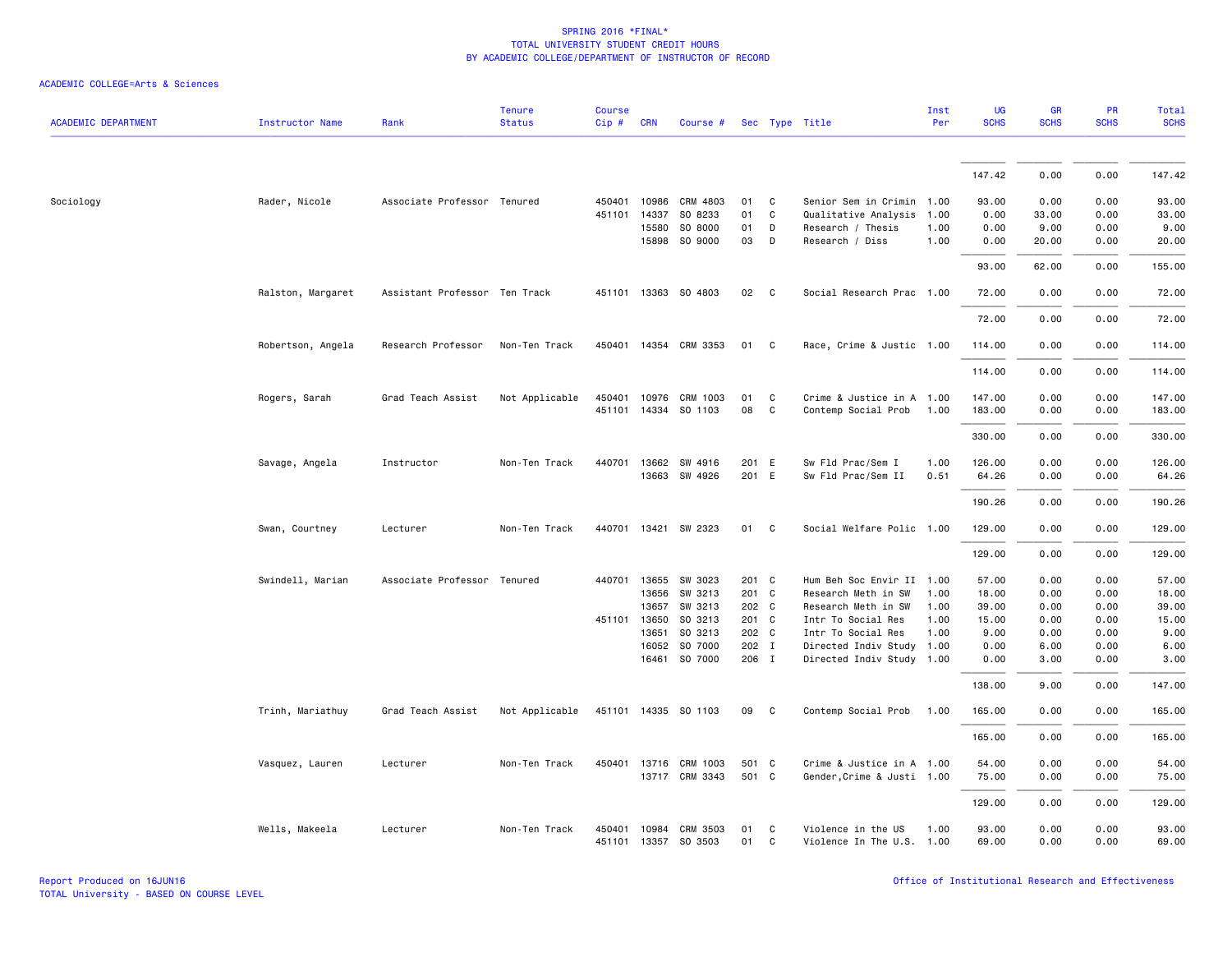|                            |                   |                               | <b>Tenure</b>  | <b>Course</b> |              |                                         |          |              |                            | Inst | <b>UG</b>      | <b>GR</b>    | PR           | <b>Total</b>   |
|----------------------------|-------------------|-------------------------------|----------------|---------------|--------------|-----------------------------------------|----------|--------------|----------------------------|------|----------------|--------------|--------------|----------------|
| <b>ACADEMIC DEPARTMENT</b> | Instructor Name   | Rank                          | <b>Status</b>  | Cip#          | <b>CRN</b>   | Course #                                |          |              | Sec Type Title             | Per  | <b>SCHS</b>    | <b>SCHS</b>  | <b>SCHS</b>  | <b>SCHS</b>    |
|                            |                   |                               |                |               |              |                                         |          |              |                            |      | 147.42         |              |              | 147.42         |
|                            |                   |                               |                |               |              |                                         |          |              |                            |      |                | 0.00         | 0.00         |                |
| Sociology                  | Rader, Nicole     | Associate Professor Tenured   |                | 450401        | 10986        | CRM 4803                                | 01       | C            | Senior Sem in Crimin       | 1.00 | 93.00          | 0.00         | 0.00         | 93.00          |
|                            |                   |                               |                | 451101        | 14337        | SO 8233                                 | 01       | C            | Qualitative Analysis       | 1.00 | 0.00           | 33.00        | 0.00         | 33.00          |
|                            |                   |                               |                |               | 15580        | SO 8000                                 | 01       | D            | Research / Thesis          | 1.00 | 0.00           | 9.00         | 0.00         | 9.00           |
|                            |                   |                               |                |               | 15898        | SO 9000                                 | 03       | D            | Research / Diss            | 1.00 | 0.00           | 20.00        | 0.00         | 20.00          |
|                            |                   |                               |                |               |              |                                         |          |              |                            |      | 93.00          | 62.00        | 0.00         | 155.00         |
|                            | Ralston, Margaret | Assistant Professor Ten Track |                |               |              | 451101 13363 SO 4803                    | 02       | $\mathbf{C}$ | Social Research Prac 1.00  |      | 72.00          | 0.00         | 0.00         | 72.00          |
|                            |                   |                               |                |               |              |                                         |          |              |                            |      | 72.00          | 0.00         | 0.00         | 72.00          |
|                            | Robertson, Angela | Research Professor            | Non-Ten Track  |               |              | 450401 14354 CRM 3353                   | 01       | C            | Race, Crime & Justic 1.00  |      | 114.00         | 0.00         | 0.00         | 114.00         |
|                            |                   |                               |                |               |              |                                         |          |              |                            |      | 114.00         | 0.00         | 0.00         | 114.00         |
|                            | Rogers, Sarah     | Grad Teach Assist             | Not Applicable |               |              | 450401 10976 CRM 1003                   | 01       | C            | Crime & Justice in A 1.00  |      | 147.00         | 0.00         | 0.00         | 147.00         |
|                            |                   |                               |                |               |              | 451101 14334 SO 1103                    | 08       | C            | Contemp Social Prob        | 1.00 | 183.00         | 0.00         | 0.00         | 183.00         |
|                            |                   |                               |                |               |              |                                         |          |              |                            |      |                |              | 0.00         |                |
|                            |                   |                               |                |               |              |                                         |          |              |                            |      | 330.00         | 0.00         |              | 330.00         |
|                            | Savage, Angela    | Instructor                    | Non-Ten Track  |               |              | 440701 13662 SW 4916                    | 201 E    |              | Sw Fld Prac/Sem I          | 1.00 | 126.00         | 0.00         | 0.00         | 126.00         |
|                            |                   |                               |                |               |              | 13663 SW 4926                           | 201 E    |              | Sw Fld Prac/Sem II         | 0.51 | 64.26          | 0.00         | 0.00         | 64.26          |
|                            |                   |                               |                |               |              |                                         |          |              |                            |      | 190.26         | 0.00         | 0.00         | 190.26         |
|                            | Swan, Courtney    | Lecturer                      | Non-Ten Track  |               |              | 440701 13421 SW 2323                    | 01       | C            | Social Welfare Polic 1.00  |      | 129.00         | 0.00         | 0.00         | 129.00         |
|                            |                   |                               |                |               |              |                                         |          |              |                            |      | 129.00         | 0.00         | 0.00         | 129.00         |
|                            | Swindell, Marian  | Associate Professor Tenured   |                |               | 440701 13655 | SW 3023                                 | 201 C    |              | Hum Beh Soc Envir II 1.00  |      | 57.00          | 0.00         | 0.00         | 57.00          |
|                            |                   |                               |                |               | 13656        | SW 3213                                 | 201 C    |              | Research Meth in SW        | 1.00 | 18.00          | 0.00         | 0.00         | 18.00          |
|                            |                   |                               |                |               | 13657        | SW 3213                                 | 202 C    |              | Research Meth in SW        | 1.00 | 39.00          | 0.00         | 0.00         | 39.00          |
|                            |                   |                               |                |               | 451101 13650 | SO 3213                                 | 201 C    |              | Intr To Social Res         | 1.00 | 15.00          | 0.00         | 0.00         | 15.00          |
|                            |                   |                               |                |               | 13651        | SO 3213                                 | 202 C    |              | Intr To Social Res         | 1.00 | 9.00           | 0.00         | 0.00         | 9.00           |
|                            |                   |                               |                |               | 16052        | SO 7000                                 | 202 I    |              | Directed Indiv Study       | 1.00 | 0.00           | 6.00         | 0.00         | 6.00           |
|                            |                   |                               |                |               | 16461        | SO 7000                                 | 206 I    |              | Directed Indiv Study 1.00  |      | 0.00           | 3.00         | 0.00         | 3.00           |
|                            |                   |                               |                |               |              |                                         |          |              |                            |      | 138.00         | 9.00         | 0.00         | 147.00         |
|                            | Trinh, Mariathuy  | Grad Teach Assist             | Not Applicable |               |              | 451101 14335 SO 1103                    | 09       | C            | Contemp Social Prob        | 1.00 | 165.00         | 0.00         | 0.00         | 165.00         |
|                            |                   |                               |                |               |              |                                         |          |              |                            |      | 165.00         | 0.00         | 0.00         | 165.00         |
|                            | Vasquez, Lauren   | Lecturer                      | Non-Ten Track  |               | 450401 13716 | CRM 1003                                | 501 C    |              | Crime & Justice in A 1.00  |      | 54.00          | 0.00         | 0.00         | 54.00          |
|                            |                   |                               |                |               |              | 13717 CRM 3343                          | 501 C    |              | Gender, Crime & Justi 1.00 |      | 75.00          | 0.00         | 0.00         | 75.00          |
|                            |                   |                               |                |               |              |                                         |          |              |                            |      | 129.00         | 0.00         | 0.00         | 129.00         |
|                            | Wells, Makeela    | Lecturer                      | Non-Ten Track  | 450401        | 10984        | <b>CRM 3503</b><br>451101 13357 SO 3503 | 01<br>01 | C<br>C       | Violence in the US         | 1.00 | 93.00<br>69.00 | 0.00<br>0.00 | 0.00<br>0.00 | 93.00<br>69.00 |
|                            |                   |                               |                |               |              |                                         |          |              | Violence In The U.S. 1.00  |      |                |              |              |                |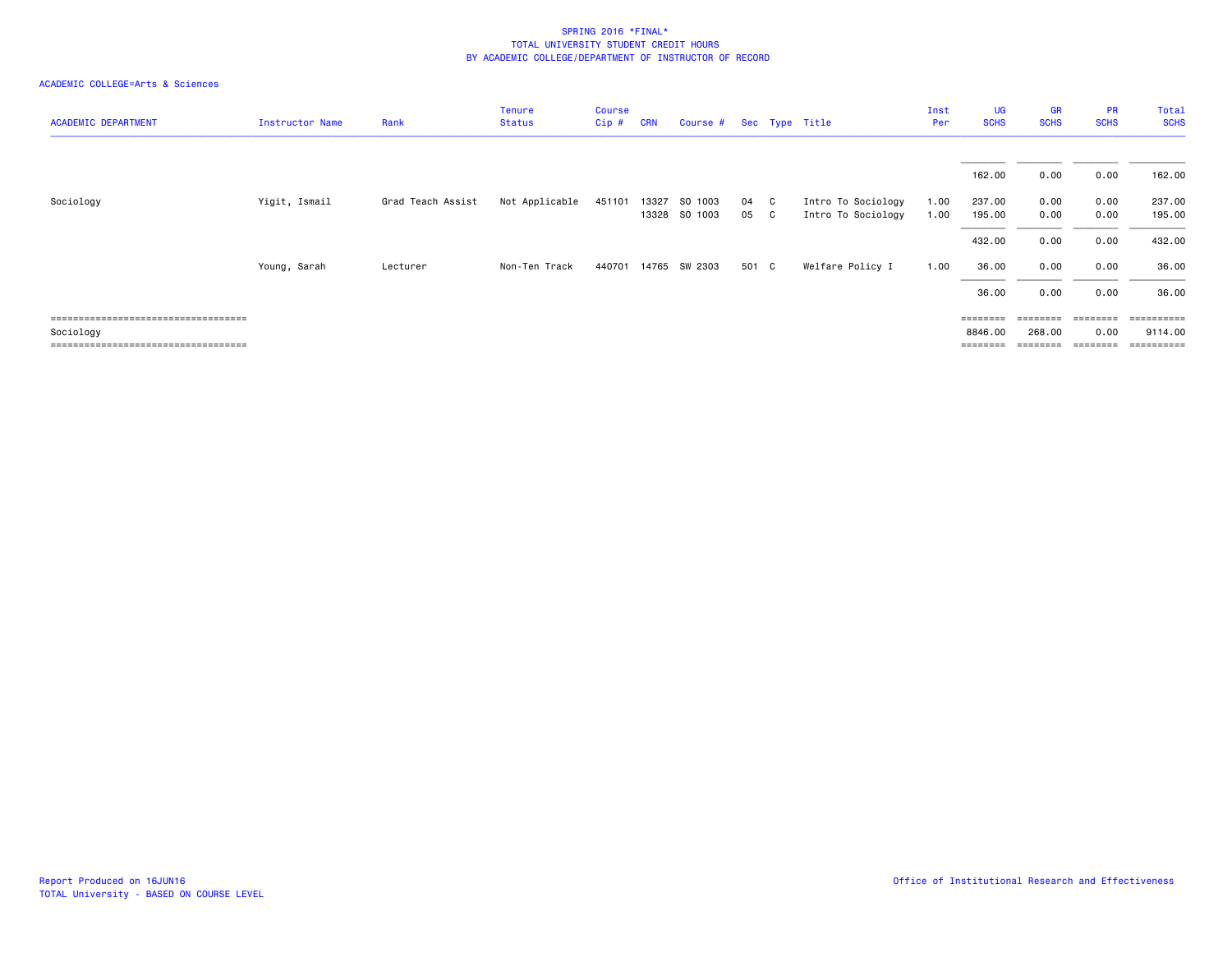| <b>ACADEMIC DEPARTMENT</b>                          | Instructor Name | Rank              | Tenure<br><b>Status</b> | <b>Course</b><br>Cip# | <b>CRN</b> | Course # Sec Type Title |       |     |                    | Inst<br>Per | UG<br><b>SCHS</b>   | <b>GR</b><br><b>SCHS</b> | <b>PR</b><br><b>SCHS</b>  | Total<br><b>SCHS</b>  |
|-----------------------------------------------------|-----------------|-------------------|-------------------------|-----------------------|------------|-------------------------|-------|-----|--------------------|-------------|---------------------|--------------------------|---------------------------|-----------------------|
|                                                     |                 |                   |                         |                       |            |                         |       |     |                    |             | 162.00              | 0.00                     | 0.00                      | 162.00                |
| Sociology                                           | Yigit, Ismail   | Grad Teach Assist | Not Applicable          | 451101                | 13327      | SO 1003                 | 04    | - C | Intro To Sociology | 1.00        | 237.00              | 0.00                     | 0.00                      | 237.00                |
|                                                     |                 |                   |                         |                       |            | 13328 SO 1003           | 05    | - C | Intro To Sociology | 1.00        | 195.00<br>432.00    | 0.00<br>0.00             | 0.00<br>0.00              | 195.00<br>432.00      |
|                                                     | Young, Sarah    | Lecturer          | Non-Ten Track           | 440701                |            | 14765 SW 2303           | 501 C |     | Welfare Policy I   | 1.00        | 36.00               | 0.00                     | 0.00                      | 36.00                 |
| =====================================               |                 |                   |                         |                       |            |                         |       |     |                    |             | 36.00<br>========   | 0.00                     | 0.00<br>$=$ = = = = = = = | 36.00<br>==========   |
| Sociology<br>====================================== |                 |                   |                         |                       |            |                         |       |     |                    |             | 8846.00<br>======== | 268.00<br>========       | 0.00<br>========          | 9114.00<br>========== |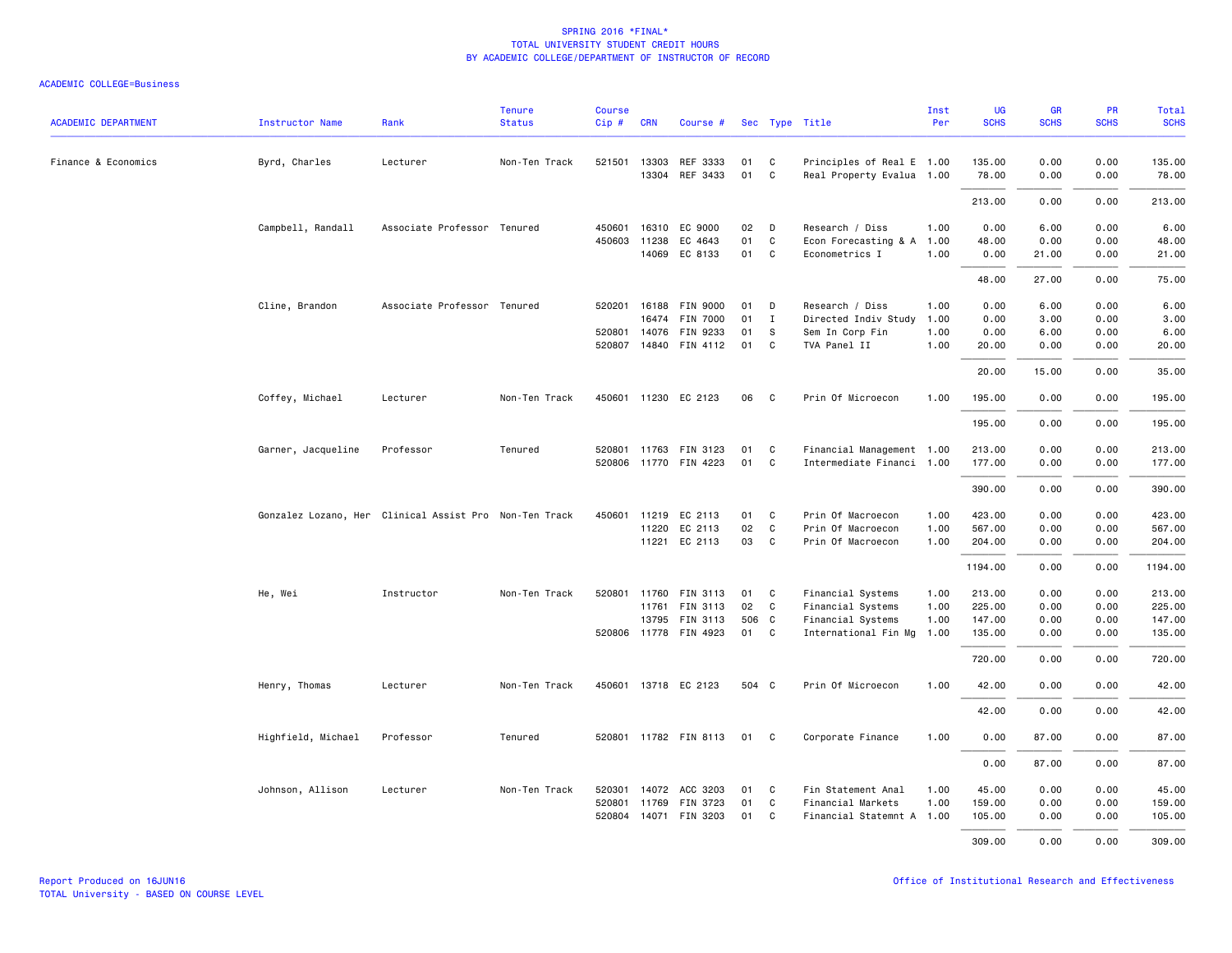| <b>ACADEMIC DEPARTMENT</b> | <b>Instructor Name</b> | Rank                                                   | <b>Tenure</b><br><b>Status</b> | Course<br>Cip# | <b>CRN</b>   | Course #                 |          |                   | Sec Type Title                         | Inst<br>Per  | <b>UG</b><br><b>SCHS</b> | <b>GR</b><br><b>SCHS</b> | PR<br><b>SCHS</b> | Total<br><b>SCHS</b> |
|----------------------------|------------------------|--------------------------------------------------------|--------------------------------|----------------|--------------|--------------------------|----------|-------------------|----------------------------------------|--------------|--------------------------|--------------------------|-------------------|----------------------|
| Finance & Economics        | Byrd, Charles          | Lecturer                                               | Non-Ten Track                  |                | 521501 13303 | REF 3333                 | 01       | C                 | Principles of Real E 1.00              |              | 135.00                   | 0.00                     | 0.00              | 135.00               |
|                            |                        |                                                        |                                |                | 13304        | REF 3433                 | 01       | $\mathsf{C}$      | Real Property Evalua 1.00              |              | 78.00                    | 0.00                     | 0.00              | 78.00                |
|                            |                        |                                                        |                                |                |              |                          |          |                   |                                        |              | 213.00                   | 0.00                     | 0.00              | 213.00               |
|                            | Campbell, Randall      | Associate Professor Tenured                            |                                | 450601         | 16310        | EC 9000                  | 02       | D                 | Research / Diss                        | 1.00         | 0.00                     | 6.00                     | 0.00              | 6.00                 |
|                            |                        |                                                        |                                | 450603         | 11238        | EC 4643<br>14069 EC 8133 | 01<br>01 | C<br>$\mathsf{C}$ | Econ Forecasting & A<br>Econometrics I | 1.00<br>1.00 | 48.00<br>0.00            | 0.00<br>21.00            | 0.00<br>0.00      | 48.00<br>21.00       |
|                            |                        |                                                        |                                |                |              |                          |          |                   |                                        |              | 48.00                    | 27.00                    | 0.00              | 75.00                |
|                            | Cline, Brandon         | Associate Professor Tenured                            |                                | 520201         |              | 16188 FIN 9000           | 01       | D                 | Research / Diss                        | 1.00         | 0.00                     | 6.00                     | 0.00              | 6.00                 |
|                            |                        |                                                        |                                |                | 16474        | <b>FIN 7000</b>          | 01       | $\mathbf{I}$      | Directed Indiv Study                   | 1.00         | 0.00                     | 3.00                     | 0.00              | 3.00                 |
|                            |                        |                                                        |                                |                | 520801 14076 | FIN 9233                 | 01       | S                 | Sem In Corp Fin                        | 1.00         | 0.00                     | 6.00                     | 0.00              | 6.00                 |
|                            |                        |                                                        |                                |                |              | 520807 14840 FIN 4112    | 01       | C                 | TVA Panel II                           | 1.00         | 20.00                    | 0.00                     | 0.00              | 20.00                |
|                            |                        |                                                        |                                |                |              |                          |          |                   |                                        |              | 20.00                    | 15.00                    | 0.00              | 35.00                |
|                            | Coffey, Michael        | Lecturer                                               | Non-Ten Track                  |                |              | 450601 11230 EC 2123     | 06       | C                 | Prin Of Microecon                      | 1.00         | 195.00                   | 0.00                     | 0.00              | 195.00               |
|                            |                        |                                                        |                                |                |              |                          |          |                   |                                        |              | 195.00                   | 0.00                     | 0.00              | 195.00               |
|                            | Garner, Jacqueline     | Professor                                              | Tenured                        |                |              | 520801 11763 FIN 3123    | 01       | C                 | Financial Management 1.00              |              | 213.00                   | 0.00                     | 0.00              | 213.00               |
|                            |                        |                                                        |                                |                |              | 520806 11770 FIN 4223    | 01       | C                 | Intermediate Financi 1.00              |              | 177.00                   | 0.00                     | 0.00              | 177.00               |
|                            |                        |                                                        |                                |                |              |                          |          |                   |                                        |              | 390.00                   | 0.00                     | 0.00              | 390.00               |
|                            |                        | Gonzalez Lozano, Her Clinical Assist Pro Non-Ten Track |                                | 450601         |              | 11219 EC 2113            | 01       | C                 | Prin Of Macroecon                      | 1.00         | 423.00                   | 0.00                     | 0.00              | 423.00               |
|                            |                        |                                                        |                                |                |              | 11220 EC 2113            | 02       | C                 | Prin Of Macroecon                      | 1.00         | 567.00                   | 0.00                     | 0.00              | 567.00               |
|                            |                        |                                                        |                                |                |              | 11221 EC 2113            | 03       | C                 | Prin Of Macroecon                      | 1.00         | 204.00                   | 0.00                     | 0.00              | 204.00               |
|                            |                        |                                                        |                                |                |              |                          |          |                   |                                        |              | 1194.00                  | 0.00                     | 0.00              | 1194.00              |
|                            | He, Wei                | Instructor                                             | Non-Ten Track                  |                | 520801 11760 | FIN 3113                 | 01       | C                 | Financial Systems                      | 1.00         | 213.00                   | 0.00                     | 0.00              | 213.00               |
|                            |                        |                                                        |                                |                | 11761        | <b>FIN 3113</b>          | 02       | C                 | Financial Systems                      | 1.00         | 225.00                   | 0.00                     | 0.00              | 225.00               |
|                            |                        |                                                        |                                |                |              | 13795 FIN 3113           | 506 C    |                   | Financial Systems                      | 1.00         | 147.00                   | 0.00                     | 0.00              | 147.00               |
|                            |                        |                                                        |                                |                |              | 520806 11778 FIN 4923    | 01       | C                 | International Fin Mg                   | 1.00         | 135.00                   | 0.00                     | 0.00              | 135.00               |
|                            |                        |                                                        |                                |                |              |                          |          |                   |                                        |              | 720.00                   | 0.00                     | 0.00              | 720.00               |
|                            | Henry, Thomas          | Lecturer                                               | Non-Ten Track                  |                |              | 450601 13718 EC 2123     | 504 C    |                   | Prin Of Microecon                      | 1.00         | 42.00                    | 0.00                     | 0.00              | 42.00                |
|                            |                        |                                                        |                                |                |              |                          |          |                   |                                        |              | 42.00                    | 0.00                     | 0.00              | 42.00                |
|                            | Highfield, Michael     | Professor                                              | Tenured                        |                |              | 520801 11782 FIN 8113    | 01       | C                 | Corporate Finance                      | 1.00         | 0.00                     | 87.00                    | 0.00              | 87.00                |
|                            |                        |                                                        |                                |                |              |                          |          |                   |                                        |              | 0.00                     | 87.00                    | 0.00              | 87.00                |
|                            | Johnson, Allison       | Lecturer                                               | Non-Ten Track                  |                |              | 520301 14072 ACC 3203    | 01       | C                 | Fin Statement Anal                     | 1.00         | 45.00                    | 0.00                     | 0.00              | 45.00                |
|                            |                        |                                                        |                                | 520801         |              | 11769 FIN 3723           | 01       | C                 | Financial Markets                      | 1.00         | 159.00                   | 0.00                     | 0.00              | 159.00               |
|                            |                        |                                                        |                                |                |              | 520804 14071 FIN 3203    | 01       | C                 | Financial Statemnt A 1.00              |              | 105.00                   | 0.00                     | 0.00              | 105.00               |
|                            |                        |                                                        |                                |                |              |                          |          |                   |                                        |              | 309.00                   | 0.00                     | 0.00              | 309.00               |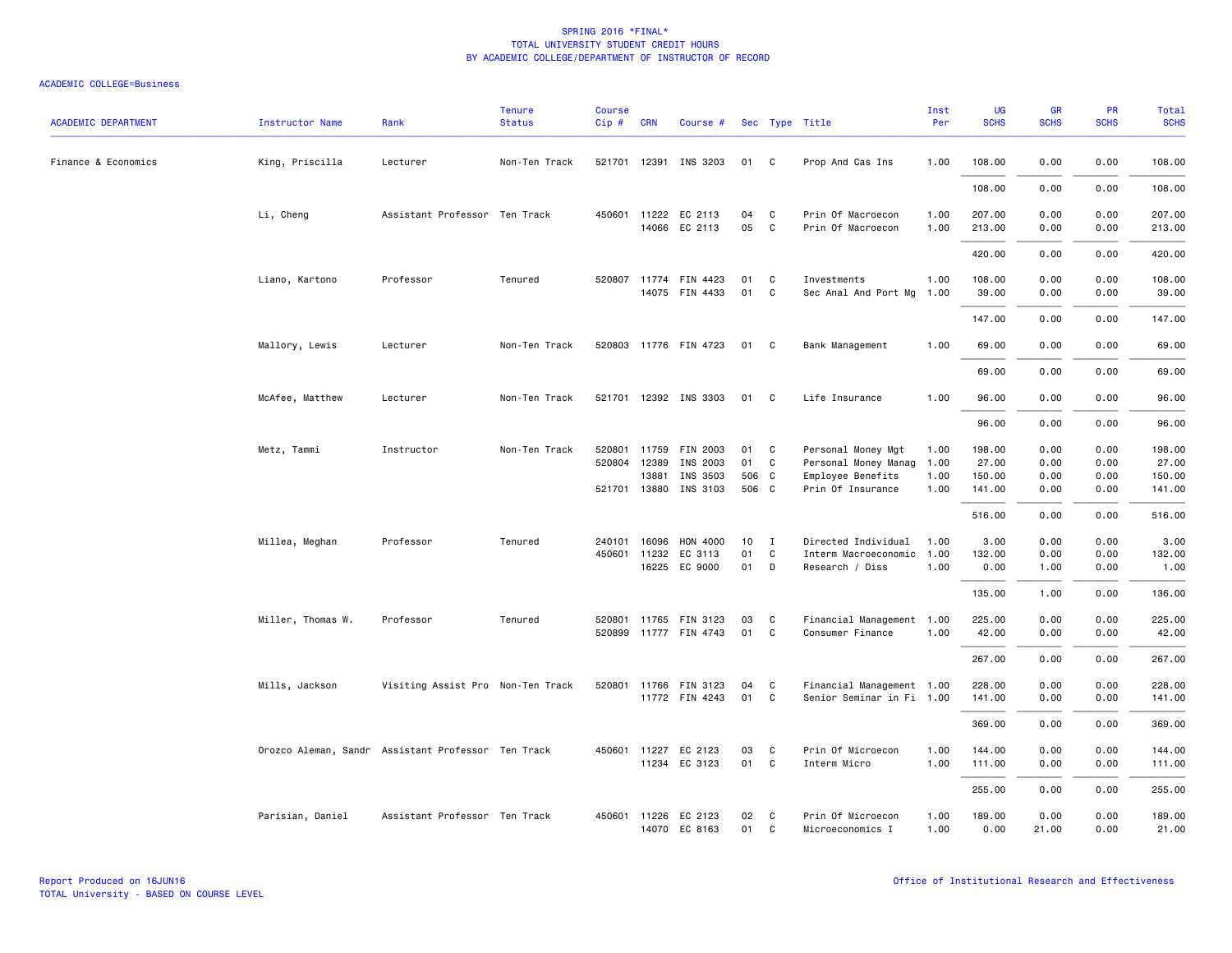| <b>ACADEMIC DEPARTMENT</b> | <b>Instructor Name</b>                             | Rank                              | <b>Tenure</b><br><b>Status</b> | <b>Course</b><br>Cip# | <b>CRN</b>   | Course #                                |          |                   | Sec Type Title                         | Inst<br>Per  | UG<br><b>SCHS</b> | GR<br><b>SCHS</b> | PR<br><b>SCHS</b> | Total<br><b>SCHS</b> |
|----------------------------|----------------------------------------------------|-----------------------------------|--------------------------------|-----------------------|--------------|-----------------------------------------|----------|-------------------|----------------------------------------|--------------|-------------------|-------------------|-------------------|----------------------|
| Finance & Economics        | King, Priscilla                                    | Lecturer                          | Non-Ten Track                  |                       |              | 521701 12391 INS 3203                   | 01 C     |                   | Prop And Cas Ins                       | 1.00         | 108.00            | 0.00              | 0.00              | 108.00               |
|                            |                                                    |                                   |                                |                       |              |                                         |          |                   |                                        |              | 108.00            | 0.00              | 0.00              | 108.00               |
|                            | Li, Cheng                                          | Assistant Professor Ten Track     |                                |                       |              | 450601 11222 EC 2113<br>14066 EC 2113   | 04<br>05 | C<br>$\mathbf{C}$ | Prin Of Macroecon<br>Prin Of Macroecon | 1.00<br>1.00 | 207.00<br>213.00  | 0.00<br>0.00      | 0.00<br>0.00      | 207.00<br>213.00     |
|                            |                                                    |                                   |                                |                       |              |                                         |          |                   |                                        |              | 420.00            | 0.00              | 0.00              | 420.00               |
|                            | Liano, Kartono                                     | Professor                         | Tenured                        |                       |              | 520807 11774 FIN 4423<br>14075 FIN 4433 | 01<br>01 | C<br>C            | Investments<br>Sec Anal And Port Mg    | 1.00<br>1.00 | 108.00<br>39.00   | 0.00<br>0.00      | 0.00<br>0.00      | 108.00<br>39.00      |
|                            |                                                    |                                   |                                |                       |              |                                         |          |                   |                                        |              | 147.00            | 0.00              | 0.00              | 147.00               |
|                            | Mallory, Lewis                                     | Lecturer                          | Non-Ten Track                  |                       |              | 520803 11776 FIN 4723                   | 01       | C <sub>c</sub>    | Bank Management                        | 1.00         | 69.00             | 0.00              | 0.00              | 69.00                |
|                            |                                                    |                                   |                                |                       |              |                                         |          |                   |                                        |              | 69.00             | 0.00              | 0.00              | 69.00                |
|                            | McAfee, Matthew                                    | Lecturer                          | Non-Ten Track                  |                       |              | 521701 12392 INS 3303                   | 01       | $\mathbf{C}$      | Life Insurance                         | 1.00         | 96.00             | 0.00              | 0.00              | 96.00                |
|                            |                                                    |                                   |                                |                       |              |                                         |          |                   |                                        |              | 96.00             | 0.00              | 0.00              | 96.00                |
|                            | Metz, Tammi                                        | Instructor                        | Non-Ten Track                  |                       | 520801 11759 | FIN 2003                                | 01       | C <sub>1</sub>    | Personal Money Mgt                     | 1.00         | 198.00            | 0.00              | 0.00              | 198.00               |
|                            |                                                    |                                   |                                |                       | 520804 12389 | INS 2003                                | 01       | $\mathbf{C}$      | Personal Money Manag                   | 1.00         | 27.00             | 0.00              | 0.00              | 27.00                |
|                            |                                                    |                                   |                                |                       | 13881        | INS 3503                                | 506 C    |                   | Employee Benefits                      | 1.00         | 150.00            | 0.00              | 0.00              | 150.00               |
|                            |                                                    |                                   |                                |                       | 521701 13880 | INS 3103                                | 506 C    |                   | Prin Of Insurance                      | 1.00         | 141.00            | 0.00              | 0.00              | 141.00               |
|                            |                                                    |                                   |                                |                       |              |                                         |          |                   |                                        |              | 516.00            | 0.00              | 0.00              | 516.00               |
|                            | Millea, Meghan                                     | Professor                         | Tenured                        | 240101                | 16096        | HON 4000                                | 10       | I                 | Directed Individual                    | 1.00         | 3.00              | 0.00              | 0.00              | 3.00                 |
|                            |                                                    |                                   |                                |                       | 450601 11232 | EC 3113                                 | 01       | C.                | Interm Macroeconomic                   | 1.00         | 132.00            | 0.00              | 0.00              | 132.00               |
|                            |                                                    |                                   |                                |                       |              | 16225 EC 9000                           | 01       | $\mathsf{D}$      | Research / Diss                        | 1.00         | 0.00              | 1.00              | 0.00              | 1.00                 |
|                            |                                                    |                                   |                                |                       |              |                                         |          |                   |                                        |              | 135.00            | 1.00              | 0.00              | 136.00               |
|                            | Miller, Thomas W.                                  | Professor                         | Tenured                        |                       |              | 520801 11765 FIN 3123                   | 03       | C.                | Financial Management 1.00              |              | 225.00            | 0.00              | 0.00              | 225.00               |
|                            |                                                    |                                   |                                |                       |              | 520899 11777 FIN 4743                   | 01       | C                 | Consumer Finance                       | 1.00         | 42.00             | 0.00              | 0.00              | 42.00                |
|                            |                                                    |                                   |                                |                       |              |                                         |          |                   |                                        |              | 267.00            | 0.00              | 0.00              | 267.00               |
|                            | Mills, Jackson                                     | Visiting Assist Pro Non-Ten Track |                                |                       |              | 520801 11766 FIN 3123                   | 04       | C                 | Financial Management 1.00              |              | 228.00            | 0.00              | 0.00              | 228.00               |
|                            |                                                    |                                   |                                |                       |              | 11772 FIN 4243                          | 01       | C                 | Senior Seminar in Fi 1.00              |              | 141.00            | 0.00              | 0.00              | 141.00               |
|                            |                                                    |                                   |                                |                       |              |                                         |          |                   |                                        |              | 369.00            | 0.00              | 0.00              | 369.00               |
|                            | Orozco Aleman, Sandr Assistant Professor Ten Track |                                   |                                |                       | 450601 11227 | EC 2123                                 | 03       | C.                | Prin Of Microecon                      | 1.00         | 144.00            | 0.00              | 0.00              | 144.00               |
|                            |                                                    |                                   |                                |                       |              | 11234 EC 3123                           | 01       | $\mathbf{C}$      | Interm Micro                           | 1.00         | 111.00            | 0.00              | 0.00              | 111.00               |
|                            |                                                    |                                   |                                |                       |              |                                         |          |                   |                                        |              | 255.00            | 0.00              | 0.00              | 255.00               |
|                            | Parisian, Daniel                                   | Assistant Professor Ten Track     |                                |                       |              | 450601 11226 EC 2123<br>14070 EC 8163   | 02<br>01 | C<br>C            | Prin Of Microecon<br>Microeconomics I  | 1.00<br>1.00 | 189.00<br>0.00    | 0.00<br>21.00     | 0.00<br>0.00      | 189.00<br>21.00      |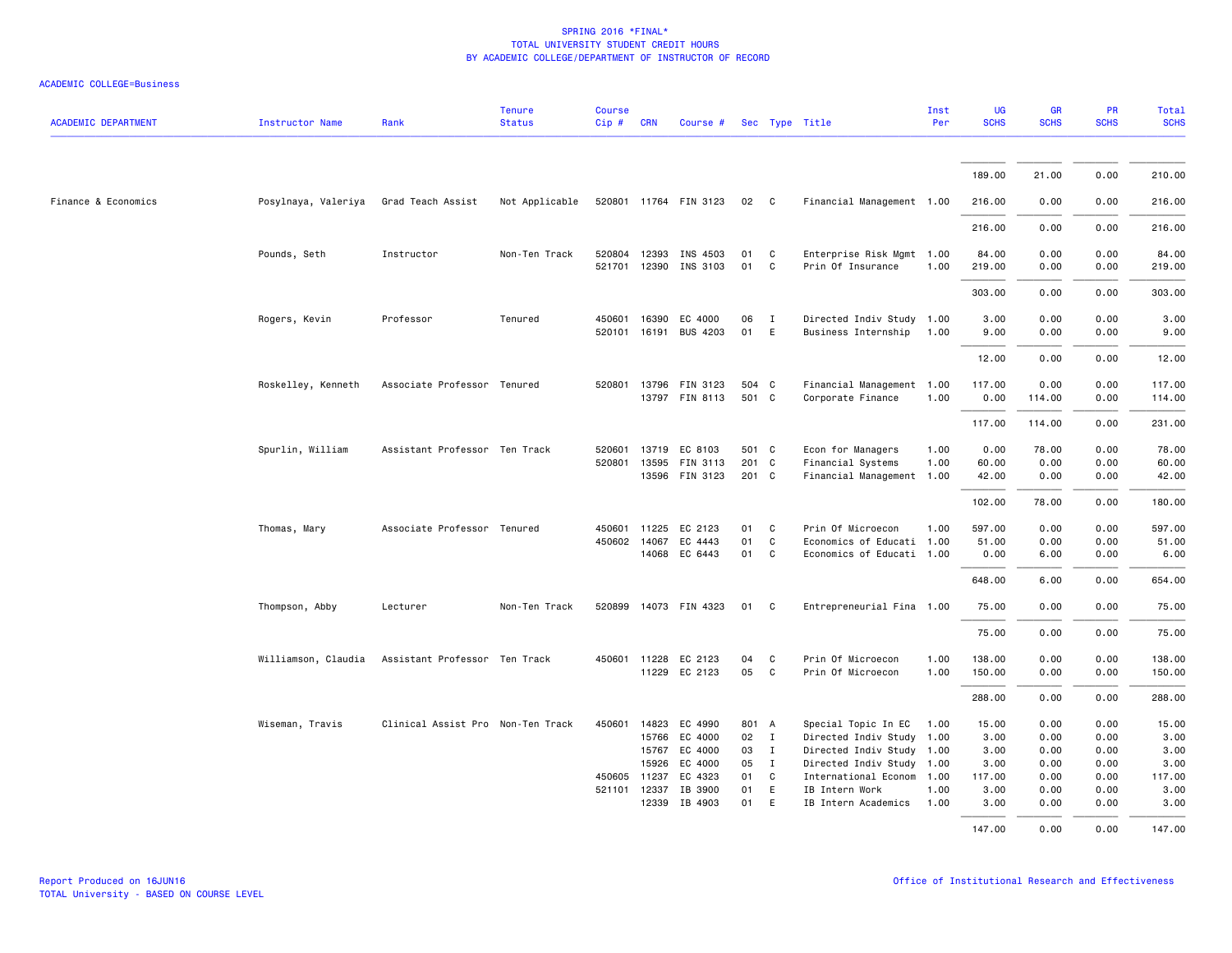|  |  | <b>ACADEMIC COLLEGE=Business</b> |
|--|--|----------------------------------|
|--|--|----------------------------------|

| <b>ACADEMIC DEPARTMENT</b> | <b>Instructor Name</b> | Rank                              | <b>Tenure</b><br><b>Status</b> | <b>Course</b><br>Cip# | <b>CRN</b> | Course #              |       |              | Sec Type Title            | Inst<br>Per | <b>UG</b><br><b>SCHS</b> | <b>GR</b><br><b>SCHS</b> | PR<br><b>SCHS</b> | Total<br><b>SCHS</b> |
|----------------------------|------------------------|-----------------------------------|--------------------------------|-----------------------|------------|-----------------------|-------|--------------|---------------------------|-------------|--------------------------|--------------------------|-------------------|----------------------|
|                            |                        |                                   |                                |                       |            |                       |       |              |                           |             | 189.00                   | 21.00                    | 0.00              | 210.00               |
| Finance & Economics        | Posylnaya, Valeriya    | Grad Teach Assist                 | Not Applicable                 |                       |            | 520801 11764 FIN 3123 | 02 C  |              | Financial Management 1.00 |             | 216.00                   | 0.00                     | 0.00              | 216.00               |
|                            |                        |                                   |                                |                       |            |                       |       |              |                           |             | 216.00                   | 0.00                     | 0.00              | 216.00               |
|                            |                        |                                   |                                |                       |            |                       |       |              |                           |             |                          |                          |                   |                      |
|                            | Pounds, Seth           | Instructor                        | Non-Ten Track                  | 520804                |            | 12393 INS 4503        | 01    | C            | Enterprise Risk Mgmt 1.00 |             | 84.00                    | 0.00                     | 0.00              | 84.00                |
|                            |                        |                                   |                                | 521701                |            | 12390 INS 3103        | 01    | C            | Prin Of Insurance         | 1.00        | 219.00                   | 0.00                     | 0.00              | 219.00               |
|                            |                        |                                   |                                |                       |            |                       |       |              |                           |             | 303.00                   | 0.00                     | 0.00              | 303.00               |
|                            | Rogers, Kevin          | Professor                         | Tenured                        | 450601                | 16390      | EC 4000               | 06    | $\mathbf{I}$ | Directed Indiv Study 1.00 |             | 3.00                     | 0.00                     | 0.00              | 3.00                 |
|                            |                        |                                   |                                | 520101                | 16191      | <b>BUS 4203</b>       | 01    | E            | Business Internship       | 1.00        | 9.00                     | 0.00                     | 0.00              | 9.00                 |
|                            |                        |                                   |                                |                       |            |                       |       |              |                           |             | 12.00                    | 0.00                     | 0.00              | 12.00                |
|                            | Roskelley, Kenneth     | Associate Professor Tenured       |                                | 520801                |            | 13796 FIN 3123        | 504 C |              | Financial Management 1.00 |             | 117.00                   | 0.00                     | 0.00              | 117.00               |
|                            |                        |                                   |                                |                       |            | 13797 FIN 8113        | 501 C |              | Corporate Finance         | 1.00        | 0.00                     | 114.00                   | 0.00              | 114.00               |
|                            |                        |                                   |                                |                       |            |                       |       |              |                           |             | 117.00                   | 114.00                   | 0.00              | 231.00               |
|                            | Spurlin, William       | Assistant Professor Ten Track     |                                | 520601                |            | 13719 EC 8103         | 501 C |              | Econ for Managers         | 1.00        | 0.00                     | 78.00                    | 0.00              | 78.00                |
|                            |                        |                                   |                                | 520801                |            | 13595 FIN 3113        | 201 C |              | Financial Systems         | 1.00        | 60.00                    | 0.00                     | 0.00              | 60.00                |
|                            |                        |                                   |                                |                       |            | 13596 FIN 3123        | 201 C |              | Financial Management 1.00 |             | 42.00                    | 0.00                     | 0.00              | 42.00                |
|                            |                        |                                   |                                |                       |            |                       |       |              |                           |             | 102.00                   | 78.00                    | 0.00              | 180.00               |
|                            | Thomas, Mary           | Associate Professor Tenured       |                                | 450601                |            | 11225 EC 2123         | 01    | C.           | Prin Of Microecon         | 1.00        | 597.00                   | 0.00                     | 0.00              | 597.00               |
|                            |                        |                                   |                                |                       |            | 450602 14067 EC 4443  | 01    | C            | Economics of Educati 1.00 |             | 51.00                    | 0.00                     | 0.00              | 51.00                |
|                            |                        |                                   |                                |                       |            | 14068 EC 6443         | 01    | C            | Economics of Educati 1.00 |             | 0.00                     | 6.00                     | 0.00              | 6.00                 |
|                            |                        |                                   |                                |                       |            |                       |       |              |                           |             | 648.00                   | 6.00                     | 0.00              | 654.00               |
|                            | Thompson, Abby         | Lecturer                          | Non-Ten Track                  | 520899                |            | 14073 FIN 4323        | 01    | C.           | Entrepreneurial Fina 1.00 |             | 75.00                    | 0.00                     | 0.00              | 75.00                |
|                            |                        |                                   |                                |                       |            |                       |       |              |                           |             | 75.00                    | 0.00                     | 0.00              | 75.00                |
|                            | Williamson, Claudia    | Assistant Professor Ten Track     |                                |                       |            | 450601 11228 EC 2123  | 04    | C            | Prin Of Microecon         | 1.00        | 138.00                   | 0.00                     | 0.00              | 138.00               |
|                            |                        |                                   |                                |                       |            | 11229 EC 2123         | 05    | C            | Prin Of Microecon         | 1.00        | 150.00                   | 0.00                     | 0.00              | 150.00               |
|                            |                        |                                   |                                |                       |            |                       |       |              |                           |             | 288.00                   | 0.00                     | 0.00              | 288.00               |
|                            | Wiseman, Travis        | Clinical Assist Pro Non-Ten Track |                                | 450601                |            | 14823 EC 4990         | 801 A |              | Special Topic In EC       | 1.00        | 15.00                    | 0.00                     | 0.00              | 15.00                |
|                            |                        |                                   |                                |                       |            | 15766 EC 4000         | 02 I  |              | Directed Indiv Study 1.00 |             | 3.00                     | 0.00                     | 0.00              | 3.00                 |
|                            |                        |                                   |                                |                       | 15767      | EC 4000               | 03    | $\mathbf{I}$ | Directed Indiv Study 1.00 |             | 3.00                     | 0.00                     | 0.00              | 3.00                 |
|                            |                        |                                   |                                |                       | 15926      | EC 4000               | 05    | $\mathbf{I}$ | Directed Indiv Study 1.00 |             | 3.00                     | 0.00                     | 0.00              | 3.00                 |
|                            |                        |                                   |                                | 450605                | 11237      | EC 4323               | 01    | C            | International Econom      | 1.00        | 117.00                   | 0.00                     | 0.00              | 117.00               |
|                            |                        |                                   |                                | 521101                |            | 12337 IB 3900         | 01    | E            | IB Intern Work            | 1.00        | 3.00                     | 0.00                     | 0.00              | 3.00                 |
|                            |                        |                                   |                                |                       |            | 12339 IB 4903         | 01    | E            | IB Intern Academics       | 1.00        | 3.00                     | 0.00                     | 0.00              | 3.00                 |
|                            |                        |                                   |                                |                       |            |                       |       |              |                           |             | 147.00                   | 0.00                     | 0.00              | 147.00               |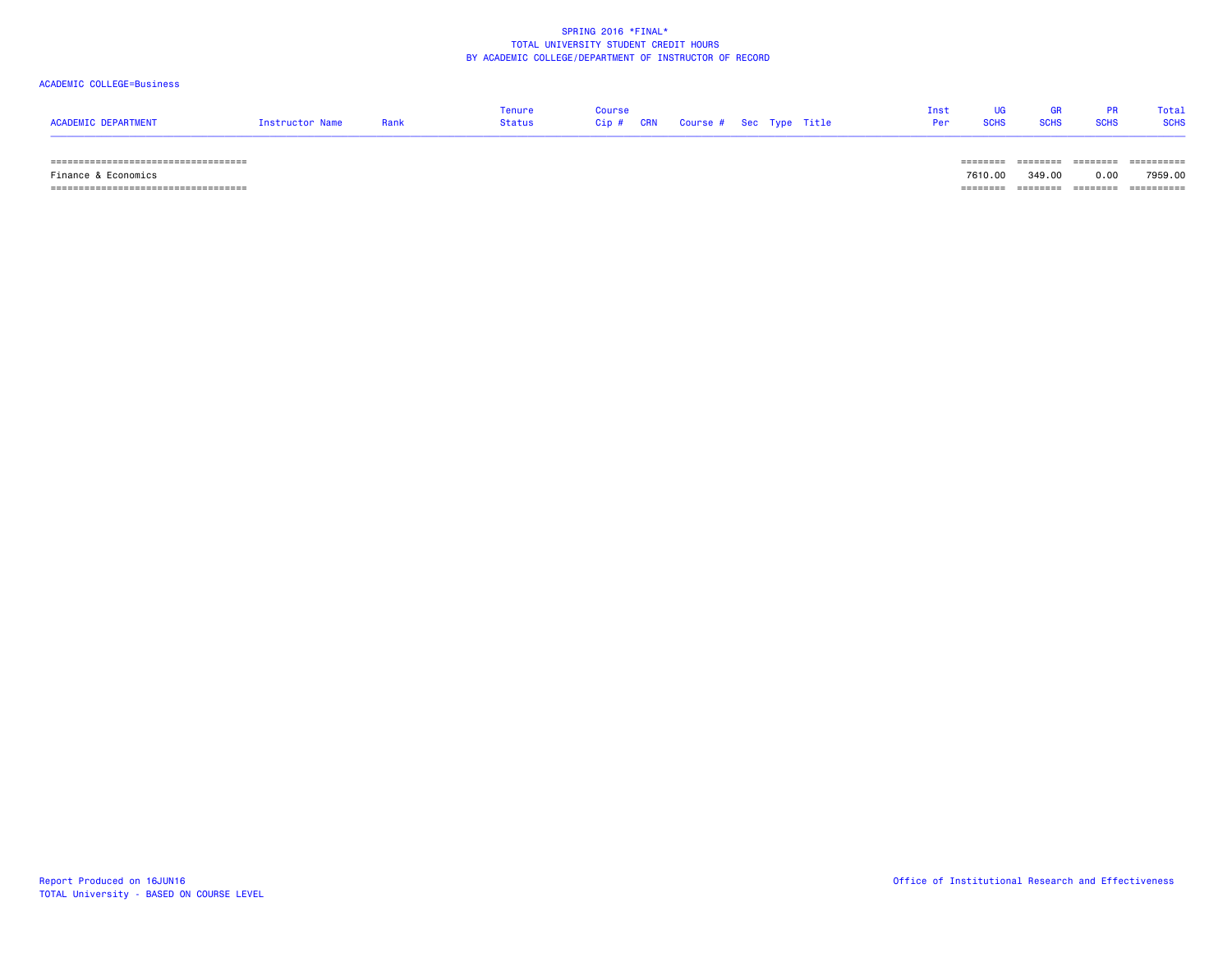#### ACADEMIC COLLEGE=Business

| <b>ACADEMIC DEPARTMENT</b> | Instructor Name | Rank | <b>Tenure</b><br><b>Status</b> | Course<br><b>CRN</b><br>Cip# | Course # Sec Type Title | Inst<br>Per | UG<br><b>SCHS</b> | <b>GR</b><br><b>SCHS</b> | <b>PR</b><br><b>SCHS</b> | Total<br><b>SCHS</b> |
|----------------------------|-----------------|------|--------------------------------|------------------------------|-------------------------|-------------|-------------------|--------------------------|--------------------------|----------------------|
|                            |                 |      |                                |                              |                         |             | =======           | ========                 | ========                 | ==========           |
| Finance & Economics        |                 |      |                                |                              |                         |             | 7610.00           | 349.00                   | 0.00                     | 7959.00              |

=================================== ======== ======== ======== ==========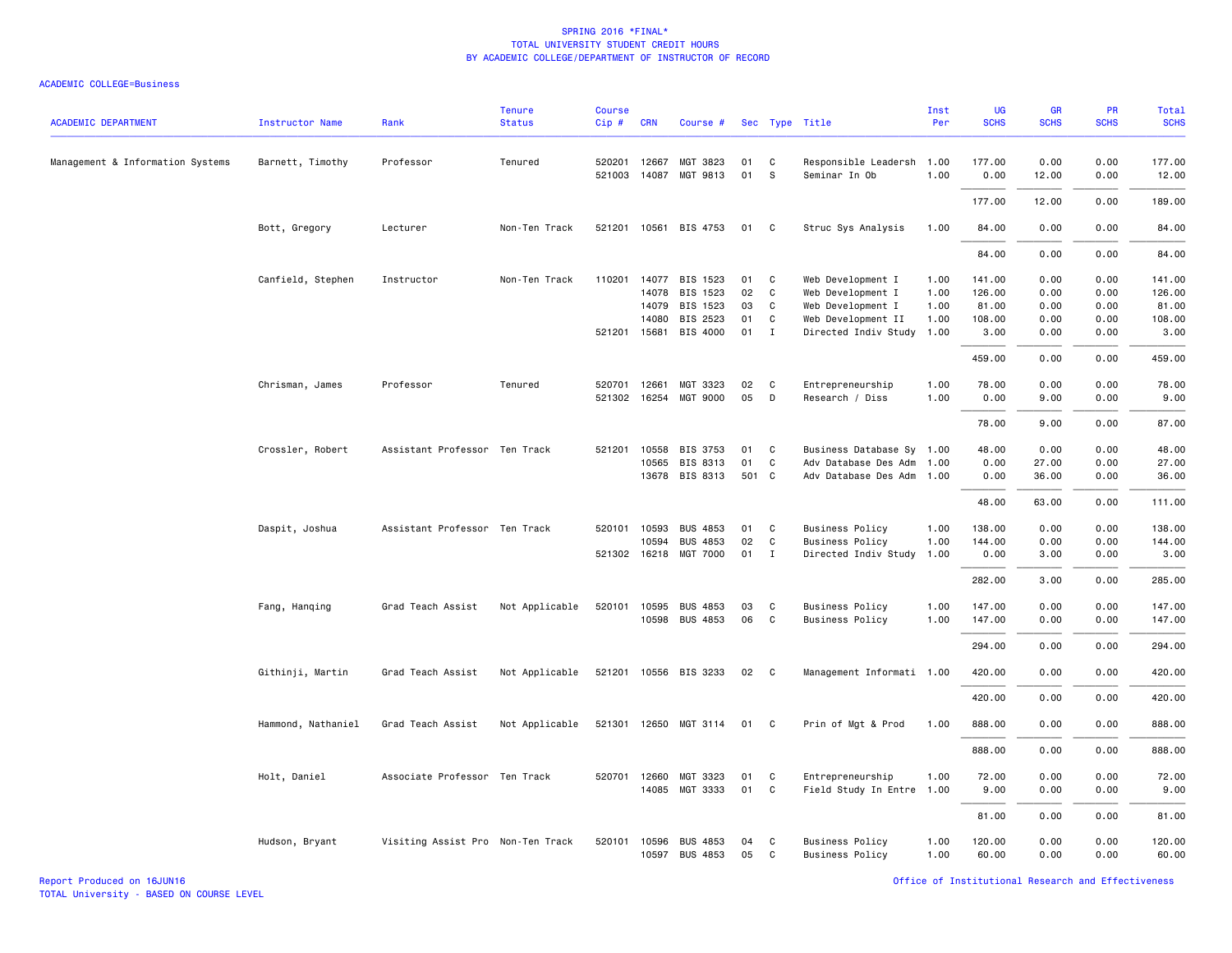| <b>ACADEMIC DEPARTMENT</b>       | <b>Instructor Name</b> | Rank                              | <b>Tenure</b><br><b>Status</b> | <b>Course</b><br>Cip# | <b>CRN</b>   | Course #              |       |              | Sec Type Title            | Inst<br>Per | UG<br><b>SCHS</b> | GR<br><b>SCHS</b> | PR<br><b>SCHS</b> | <b>Total</b><br><b>SCHS</b> |
|----------------------------------|------------------------|-----------------------------------|--------------------------------|-----------------------|--------------|-----------------------|-------|--------------|---------------------------|-------------|-------------------|-------------------|-------------------|-----------------------------|
| Management & Information Systems | Barnett, Timothy       | Professor                         | Tenured                        | 520201                | 12667        | MGT 3823              | 01    | C            | Responsible Leadersh      | 1.00        | 177.00            | 0.00              | 0.00              | 177.00                      |
|                                  |                        |                                   |                                |                       |              | 521003 14087 MGT 9813 | 01    | S            | Seminar In Ob             | 1.00        | 0.00              | 12.00             | 0.00              | 12.00                       |
|                                  |                        |                                   |                                |                       |              |                       |       |              |                           |             | 177.00            | 12.00             | 0.00              | 189.00                      |
|                                  | Bott, Gregory          | Lecturer                          | Non-Ten Track                  |                       |              | 521201 10561 BIS 4753 | 01    | C            | Struc Sys Analysis        | 1.00        | 84.00             | 0.00              | 0.00              | 84.00                       |
|                                  |                        |                                   |                                |                       |              |                       |       |              |                           |             | 84.00             | 0.00              | 0.00              | 84.00                       |
|                                  | Canfield, Stephen      | Instructor                        | Non-Ten Track                  | 110201                |              | 14077 BIS 1523        | 01    | C            | Web Development I         | 1.00        | 141.00            | 0.00              | 0.00              | 141.00                      |
|                                  |                        |                                   |                                |                       | 14078        | BIS 1523              | 02    | C            | Web Development I         | 1.00        | 126.00            | 0.00              | 0.00              | 126.00                      |
|                                  |                        |                                   |                                |                       | 14079        | BIS 1523              | 03    | C            | Web Development I         | 1.00        | 81.00             | 0.00              | 0.00              | 81.00                       |
|                                  |                        |                                   |                                |                       | 14080        | BIS 2523              | 01    | $\mathsf{C}$ | Web Development II        | 1.00        | 108.00            | 0.00              | 0.00              | 108.00                      |
|                                  |                        |                                   |                                |                       | 521201 15681 | BIS 4000              | 01    | $\mathbf{I}$ | Directed Indiv Study      | 1.00        | 3.00              | 0.00              | 0.00              | 3.00                        |
|                                  |                        |                                   |                                |                       |              |                       |       |              |                           |             | 459.00            | 0.00              | 0.00              | 459.00                      |
|                                  | Chrisman, James        | Professor                         | Tenured                        | 520701                | 12661        | MGT 3323              | 02    | C            | Entrepreneurship          | 1.00        | 78.00             | 0.00              | 0.00              | 78.00                       |
|                                  |                        |                                   |                                |                       |              | 521302 16254 MGT 9000 | 05    | D            | Research / Diss           | 1.00        | 0.00              | 9.00              | 0.00              | 9.00                        |
|                                  |                        |                                   |                                |                       |              |                       |       |              |                           |             | 78.00             | 9.00              | 0.00              | 87.00                       |
|                                  | Crossler, Robert       | Assistant Professor Ten Track     |                                | 521201                | 10558        | <b>BIS 3753</b>       | 01    | C            | Business Database Sy 1.00 |             | 48.00             | 0.00              | 0.00              | 48.00                       |
|                                  |                        |                                   |                                |                       | 10565        | BIS 8313              | 01    | $\mathsf{C}$ | Adv Database Des Adm      | 1.00        | 0.00              | 27.00             | 0.00              | 27.00                       |
|                                  |                        |                                   |                                |                       |              | 13678 BIS 8313        | 501 C |              | Adv Database Des Adm      | 1.00        | 0.00              | 36.00             | 0.00              | 36.00                       |
|                                  |                        |                                   |                                |                       |              |                       |       |              |                           |             | 48.00             | 63.00             | 0.00              | 111.00                      |
|                                  | Daspit, Joshua         | Assistant Professor Ten Track     |                                | 520101                | 10593        | <b>BUS 4853</b>       | 01    | C            | <b>Business Policy</b>    | 1.00        | 138.00            | 0.00              | 0.00              | 138.00                      |
|                                  |                        |                                   |                                |                       | 10594        | <b>BUS 4853</b>       | 02    | C            | <b>Business Policy</b>    | 1.00        | 144.00            | 0.00              | 0.00              | 144.00                      |
|                                  |                        |                                   |                                |                       |              | 521302 16218 MGT 7000 | 01    | $\mathbf{I}$ | Directed Indiv Study      | 1.00        | 0.00              | 3.00              | 0.00              | 3.00                        |
|                                  |                        |                                   |                                |                       |              |                       |       |              |                           |             | 282.00            | 3.00              | 0.00              | 285.00                      |
|                                  | Fang, Hanqing          | Grad Teach Assist                 | Not Applicable                 | 520101                | 10595        | <b>BUS 4853</b>       | 03    | C            | <b>Business Policy</b>    | 1.00        | 147.00            | 0.00              | 0.00              | 147.00                      |
|                                  |                        |                                   |                                |                       | 10598        | <b>BUS 4853</b>       | 06    | C            | <b>Business Policy</b>    | 1.00        | 147.00            | 0.00              | 0.00              | 147.00                      |
|                                  |                        |                                   |                                |                       |              |                       |       |              |                           |             | 294.00            | 0.00              | 0.00              | 294.00                      |
|                                  | Githinji, Martin       | Grad Teach Assist                 | Not Applicable                 |                       |              | 521201 10556 BIS 3233 | 02    | C            | Management Informati 1.00 |             | 420.00            | 0.00              | 0.00              | 420.00                      |
|                                  |                        |                                   |                                |                       |              |                       |       |              |                           |             | 420.00            | 0.00              | 0.00              | 420.00                      |
|                                  |                        |                                   |                                |                       |              |                       |       |              |                           |             |                   |                   |                   |                             |
|                                  | Hammond, Nathaniel     | Grad Teach Assist                 | Not Applicable                 |                       |              | 521301 12650 MGT 3114 | 01    | C            | Prin of Mgt & Prod        | 1.00        | 888.00            | 0.00              | 0.00              | 888.00                      |
|                                  |                        |                                   |                                |                       |              |                       |       |              |                           |             | 888.00            | 0.00              | 0.00              | 888.00                      |
|                                  | Holt, Daniel           | Associate Professor Ten Track     |                                | 520701                | 12660        | MGT 3323              | 01    | C            | Entrepreneurship          | 1.00        | 72.00             | 0.00              | 0.00              | 72.00                       |
|                                  |                        |                                   |                                |                       |              | 14085 MGT 3333        | 01    | $\mathsf{C}$ | Field Study In Entre 1.00 |             | 9.00              | 0.00              | 0.00              | 9.00                        |
|                                  |                        |                                   |                                |                       |              |                       |       |              |                           |             | 81.00             | 0.00              | 0.00              | 81.00                       |
|                                  | Hudson, Bryant         | Visiting Assist Pro Non-Ten Track |                                | 520101                |              | 10596 BUS 4853        | 04    | C            | <b>Business Policy</b>    | 1.00        | 120.00            | 0.00              | 0.00              | 120.00                      |
|                                  |                        |                                   |                                |                       |              | 10597 BUS 4853        | 05    | $\mathsf{C}$ | <b>Business Policy</b>    | 1.00        | 60.00             | 0.00              | 0.00              | 60.00                       |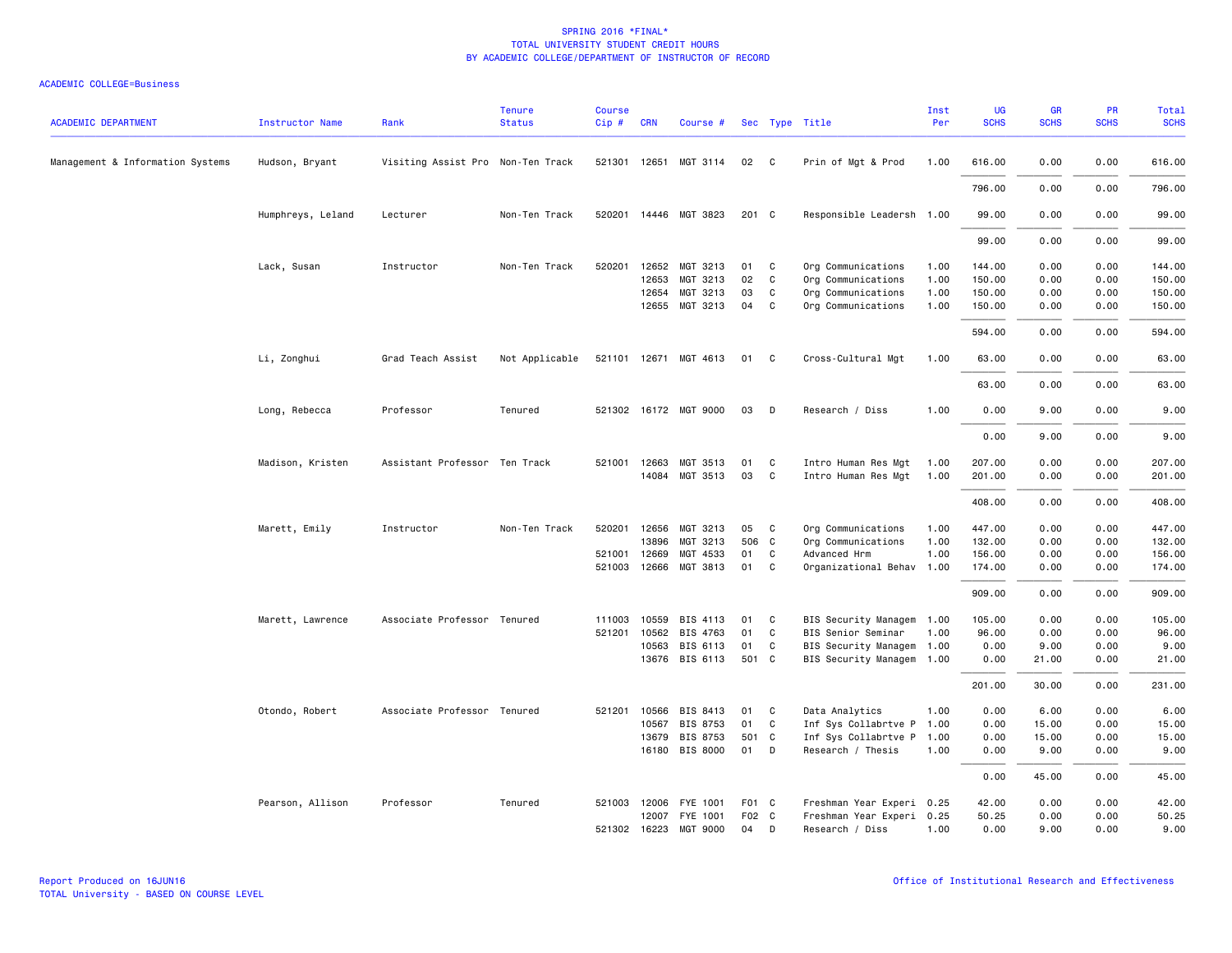| <b>ACADEMIC DEPARTMENT</b>       | <b>Instructor Name</b> | Rank                              | <b>Tenure</b><br><b>Status</b> | <b>Course</b><br>$Cip \#$ | <b>CRN</b>   | Course #              |       |              | Sec Type Title            | Inst<br>Per | UG<br><b>SCHS</b> | GR<br><b>SCHS</b> | PR<br><b>SCHS</b> | Total<br><b>SCHS</b> |
|----------------------------------|------------------------|-----------------------------------|--------------------------------|---------------------------|--------------|-----------------------|-------|--------------|---------------------------|-------------|-------------------|-------------------|-------------------|----------------------|
| Management & Information Systems | Hudson, Bryant         | Visiting Assist Pro Non-Ten Track |                                |                           |              | 521301 12651 MGT 3114 | 02    | $\mathbf{C}$ | Prin of Mgt & Prod        | 1.00        | 616.00            | 0.00              | 0.00              | 616.00               |
|                                  |                        |                                   |                                |                           |              |                       |       |              |                           |             | 796.00            | 0.00              | 0.00              | 796.00               |
|                                  | Humphreys, Leland      | Lecturer                          | Non-Ten Track                  |                           |              | 520201 14446 MGT 3823 | 201 C |              | Responsible Leadersh 1.00 |             | 99.00             | 0.00              | 0.00              | 99.00                |
|                                  |                        |                                   |                                |                           |              |                       |       |              |                           |             | 99.00             | 0.00              | 0.00              | 99.00                |
|                                  | Lack, Susan            | Instructor                        | Non-Ten Track                  | 520201                    | 12652        | MGT 3213              | 01    | C.           | Org Communications        | 1.00        | 144.00            | 0.00              | 0.00              | 144.00               |
|                                  |                        |                                   |                                |                           | 12653        | MGT 3213              | 02    | C            | Org Communications        | 1.00        | 150.00            | 0.00              | 0.00              | 150.00               |
|                                  |                        |                                   |                                |                           | 12654        | MGT 3213              | 03    | C            | Org Communications        | 1.00        | 150.00            | 0.00              | 0.00              | 150.00               |
|                                  |                        |                                   |                                |                           |              | 12655 MGT 3213        | 04    | C            | Org Communications        | 1.00        | 150.00            | 0.00              | 0.00              | 150.00               |
|                                  |                        |                                   |                                |                           |              |                       |       |              |                           |             | 594.00            | 0.00              | 0.00              | 594.00               |
|                                  | Li, Zonghui            | Grad Teach Assist                 | Not Applicable                 |                           |              | 521101 12671 MGT 4613 | 01    | $\mathbf{C}$ | Cross-Cultural Mgt        | 1.00        | 63.00             | 0.00              | 0.00              | 63.00                |
|                                  |                        |                                   |                                |                           |              |                       |       |              |                           |             | 63.00             | 0.00              | 0.00              | 63.00                |
|                                  | Long, Rebecca          | Professor                         | Tenured                        |                           |              | 521302 16172 MGT 9000 | 03    | D            | Research / Diss           | 1.00        | 0.00              | 9.00              | 0.00              | 9.00                 |
|                                  |                        |                                   |                                |                           |              |                       |       |              |                           |             | 0.00              | 9.00              | 0.00              | 9.00                 |
|                                  | Madison, Kristen       | Assistant Professor Ten Track     |                                |                           | 521001 12663 | MGT 3513              | 01    | C.           | Intro Human Res Mgt       | 1.00        | 207.00            | 0.00              | 0.00              | 207.00               |
|                                  |                        |                                   |                                |                           |              | 14084 MGT 3513        | 03    | $\mathbf{C}$ | Intro Human Res Mgt       | 1.00        | 201.00            | 0.00              | 0.00              | 201.00               |
|                                  |                        |                                   |                                |                           |              |                       |       |              |                           |             | 408.00            | 0.00              | 0.00              | 408.00               |
|                                  | Marett, Emily          | Instructor                        | Non-Ten Track                  |                           | 520201 12656 | MGT 3213              | 05    | C            | Org Communications        | 1.00        | 447.00            | 0.00              | 0.00              | 447.00               |
|                                  |                        |                                   |                                |                           | 13896        | MGT 3213              | 506 C |              | Org Communications        | 1.00        | 132.00            | 0.00              | 0.00              | 132.00               |
|                                  |                        |                                   |                                | 521001                    | 12669        | MGT 4533              | 01    | C            | Advanced Hrm              | 1.00        | 156.00            | 0.00              | 0.00              | 156.00               |
|                                  |                        |                                   |                                | 521003                    | 12666        | MGT 3813              | 01    | C            | Organizational Behav 1.00 |             | 174.00            | 0.00              | 0.00              | 174.00               |
|                                  |                        |                                   |                                |                           |              |                       |       |              |                           |             | 909.00            | 0.00              | 0.00              | 909.00               |
|                                  | Marett, Lawrence       | Associate Professor Tenured       |                                | 111003                    | 10559        | BIS 4113              | 01    | C.           | BIS Security Managem 1.00 |             | 105.00            | 0.00              | 0.00              | 105.00               |
|                                  |                        |                                   |                                | 521201                    | 10562        | BIS 4763              | 01    | C            | BIS Senior Seminar        | 1.00        | 96.00             | 0.00              | 0.00              | 96.00                |
|                                  |                        |                                   |                                |                           | 10563        | BIS 6113              | 01    | C            | BIS Security Managem 1.00 |             | 0.00              | 9.00              | 0.00              | 9.00                 |
|                                  |                        |                                   |                                |                           |              | 13676 BIS 6113        | 501 C |              | BIS Security Managem 1.00 |             | 0.00              | 21.00             | 0.00              | 21.00                |
|                                  |                        |                                   |                                |                           |              |                       |       |              |                           |             | 201.00            | 30.00             | 0.00              | 231.00               |
|                                  | Otondo, Robert         | Associate Professor Tenured       |                                | 521201                    | 10566        | BIS 8413              | 01    | C            | Data Analytics            | 1.00        | 0.00              | 6.00              | 0.00              | 6.00                 |
|                                  |                        |                                   |                                |                           | 10567        | BIS 8753              | 01    | C            | Inf Sys Collabrtve P 1.00 |             | 0.00              | 15.00             | 0.00              | 15.00                |
|                                  |                        |                                   |                                |                           | 13679        | BIS 8753              | 501 C |              | Inf Sys Collabrtve P      | 1.00        | 0.00              | 15.00             | 0.00              | 15.00                |
|                                  |                        |                                   |                                |                           |              | 16180 BIS 8000        | 01    | D            | Research / Thesis         | 1.00        | 0.00              | 9.00              | 0.00              | 9.00                 |
|                                  |                        |                                   |                                |                           |              |                       |       |              |                           |             | 0.00              | 45.00             | 0.00              | 45.00                |
|                                  | Pearson, Allison       | Professor                         | Tenured                        |                           |              | 521003 12006 FYE 1001 | F01 C |              | Freshman Year Experi 0.25 |             | 42.00             | 0.00              | 0.00              | 42.00                |
|                                  |                        |                                   |                                |                           | 12007        | FYE 1001              | F02 C |              | Freshman Year Experi 0.25 |             | 50.25             | 0.00              | 0.00              | 50.25                |
|                                  |                        |                                   |                                |                           | 521302 16223 | MGT 9000              | 04    | D            | Research / Diss           | 1.00        | 0.00              | 9.00              | 0.00              | 9.00                 |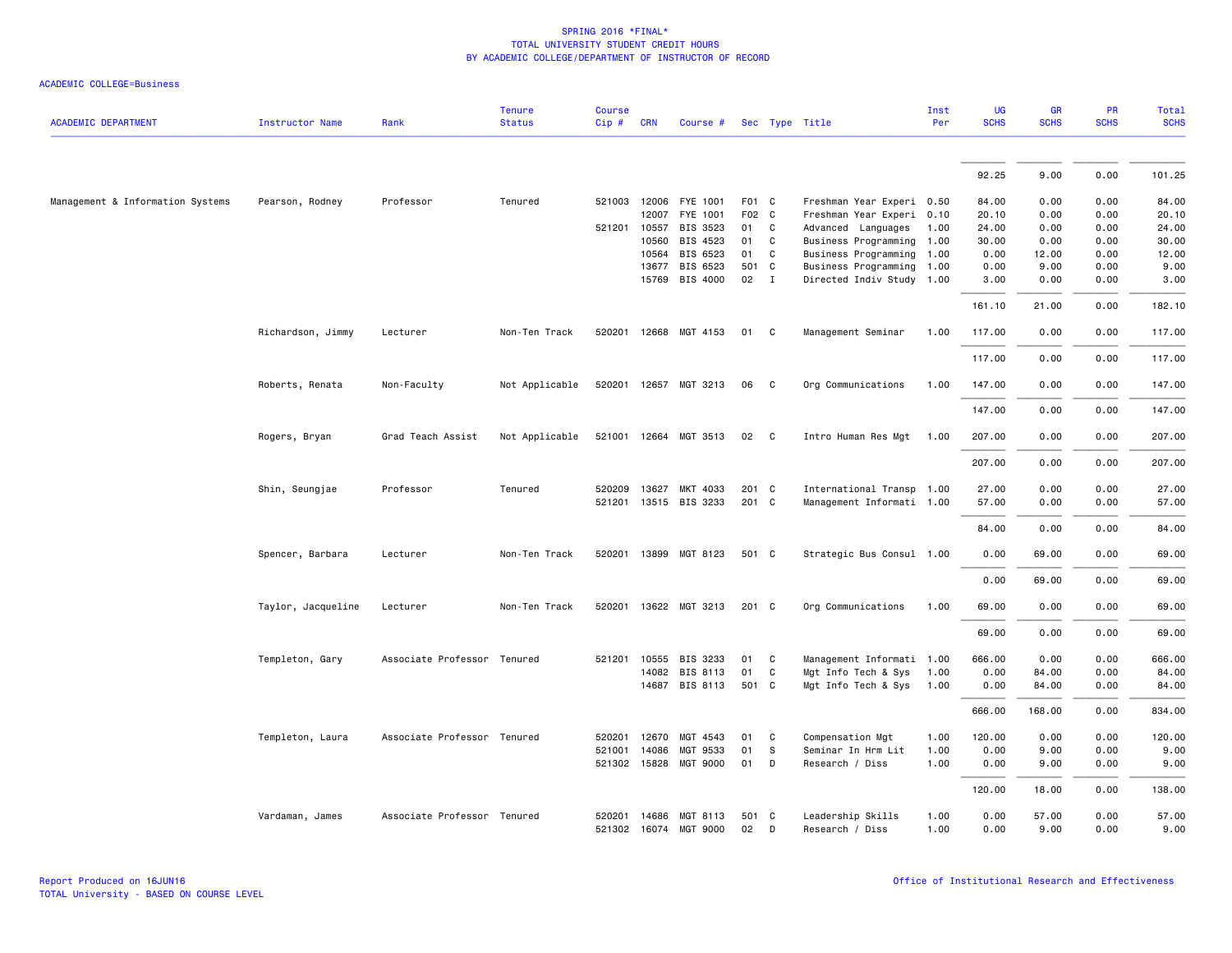|                                  |                        |                             | <b>Tenure</b>  | <b>Course</b> |              |                                         |             |   |                                      | Inst         | UG           | GR            | PR           | <b>Total</b>  |
|----------------------------------|------------------------|-----------------------------|----------------|---------------|--------------|-----------------------------------------|-------------|---|--------------------------------------|--------------|--------------|---------------|--------------|---------------|
| <b>ACADEMIC DEPARTMENT</b>       | <b>Instructor Name</b> | Rank                        | <b>Status</b>  | Cip #         | <b>CRN</b>   | Course #                                |             |   | Sec Type Title                       | Per          | <b>SCHS</b>  | <b>SCHS</b>   | <b>SCHS</b>  | <b>SCHS</b>   |
|                                  |                        |                             |                |               |              |                                         |             |   |                                      |              |              |               |              |               |
|                                  |                        |                             |                |               |              |                                         |             |   |                                      |              | 92.25        | 9.00          | 0.00         | 101.25        |
| Management & Information Systems | Pearson, Rodney        | Professor                   | Tenured        |               | 521003 12006 | FYE 1001                                | F01 C       |   | Freshman Year Experi 0.50            |              | 84.00        | 0.00          | 0.00         | 84.00         |
|                                  |                        |                             |                |               | 12007        | FYE 1001                                | F02 C       |   | Freshman Year Experi 0.10            |              | 20.10        | 0.00          | 0.00         | 20.10         |
|                                  |                        |                             |                | 521201 10557  |              | BIS 3523                                | 01          | C | Advanced Languages                   | 1.00         | 24.00        | 0.00          | 0.00         | 24.00         |
|                                  |                        |                             |                |               | 10560        | BIS 4523                                | 01          | C | Business Programming                 | 1.00         | 30.00        | 0.00          | 0.00         | 30.00         |
|                                  |                        |                             |                |               | 10564        | BIS 6523                                | 01          | C | Business Programming 1.00            |              | 0.00         | 12.00         | 0.00         | 12.00         |
|                                  |                        |                             |                |               | 13677        | BIS 6523                                | 501 C       |   | Business Programming 1.00            |              | 0.00         | 9.00          | 0.00         | 9.00          |
|                                  |                        |                             |                |               | 15769        | BIS 4000                                | 02          | I | Directed Indiv Study 1.00            |              | 3.00         | 0.00          | 0.00         | 3.00          |
|                                  |                        |                             |                |               |              |                                         |             |   |                                      |              | 161.10       | 21.00         | 0.00         | 182.10        |
|                                  | Richardson, Jimmy      | Lecturer                    | Non-Ten Track  |               |              | 520201 12668 MGT 4153                   | 01          | C | Management Seminar                   | 1.00         | 117.00       | 0.00          | 0.00         | 117.00        |
|                                  |                        |                             |                |               |              |                                         |             |   |                                      |              | 117.00       | 0.00          | 0.00         | 117.00        |
|                                  | Roberts, Renata        | Non-Faculty                 | Not Applicable |               |              | 520201 12657 MGT 3213                   | 06          | C | Org Communications                   | 1.00         | 147.00       | 0.00          | 0.00         | 147.00        |
|                                  |                        |                             |                |               |              |                                         |             |   |                                      |              | 147.00       | 0.00          | 0.00         | 147.00        |
|                                  | Rogers, Bryan          | Grad Teach Assist           | Not Applicable |               | 521001 12664 | MGT 3513                                | 02          | C | Intro Human Res Mgt                  | 1.00         | 207.00       | 0.00          | 0.00         | 207.00        |
|                                  |                        |                             |                |               |              |                                         |             |   |                                      |              | 207.00       | 0.00          | 0.00         | 207.00        |
|                                  | Shin, Seungjae         | Professor                   | Tenured        |               | 520209 13627 | MKT 4033                                | 201 C       |   | International Transp 1.00            |              | 27.00        | 0.00          | 0.00         | 27.00         |
|                                  |                        |                             |                |               |              | 521201 13515 BIS 3233                   | 201 C       |   | Management Informati 1.00            |              | 57.00        | 0.00          | 0.00         | 57.00         |
|                                  |                        |                             |                |               |              |                                         |             |   |                                      |              | 84.00        | 0.00          | 0.00         | 84.00         |
|                                  | Spencer, Barbara       | Lecturer                    | Non-Ten Track  |               |              | 520201 13899 MGT 8123                   | 501 C       |   | Strategic Bus Consul 1.00            |              | 0.00         | 69.00         | 0.00         | 69.00         |
|                                  |                        |                             |                |               |              |                                         |             |   |                                      |              | 0.00         | 69.00         | 0.00         | 69.00         |
|                                  | Taylor, Jacqueline     | Lecturer                    | Non-Ten Track  |               |              | 520201 13622 MGT 3213                   | $201$ C     |   | Org Communications                   | 1.00         | 69.00        | 0.00          | 0.00         | 69.00         |
|                                  |                        |                             |                |               |              |                                         |             |   |                                      |              | 69.00        | 0.00          | 0.00         | 69.00         |
|                                  | Templeton, Gary        | Associate Professor Tenured |                | 521201        | 10555        | BIS 3233                                | 01          | C | Management Informati 1.00            |              | 666.00       | 0.00          | 0.00         | 666.00        |
|                                  |                        |                             |                |               |              | 14082 BIS 8113                          | 01          | C | Mgt Info Tech & Sys                  | 1.00         | 0.00         | 84.00         | 0.00         | 84.00         |
|                                  |                        |                             |                |               |              | 14687 BIS 8113                          | 501 C       |   | Mgt Info Tech & Sys                  | 1.00         | 0.00         | 84.00         | 0.00         | 84.00         |
|                                  |                        |                             |                |               |              |                                         |             |   |                                      |              | 666.00       | 168.00        | 0.00         | 834.00        |
|                                  | Templeton, Laura       | Associate Professor Tenured |                | 520201        | 12670        | MGT 4543                                | 01          | C | Compensation Mgt                     | 1.00         | 120.00       | 0.00          | 0.00         | 120.00        |
|                                  |                        |                             |                | 521001        | 14086        | MGT 9533                                | 01          | S | Seminar In Hrm Lit                   | 1.00         | 0.00         | 9.00          | 0.00         | 9.00          |
|                                  |                        |                             |                |               | 521302 15828 | MGT 9000                                | 01          | D | Research / Diss                      | 1.00         | 0.00         | 9.00          | 0.00         | 9.00          |
|                                  |                        |                             |                |               |              |                                         |             |   |                                      |              | 120.00       | 18.00         | 0.00         | 138.00        |
|                                  | Vardaman, James        | Associate Professor Tenured |                | 520201        |              | 14686 MGT 8113<br>521302 16074 MGT 9000 | 501 C<br>02 | D | Leadership Skills<br>Research / Diss | 1.00<br>1.00 | 0.00<br>0.00 | 57.00<br>9.00 | 0.00<br>0.00 | 57.00<br>9.00 |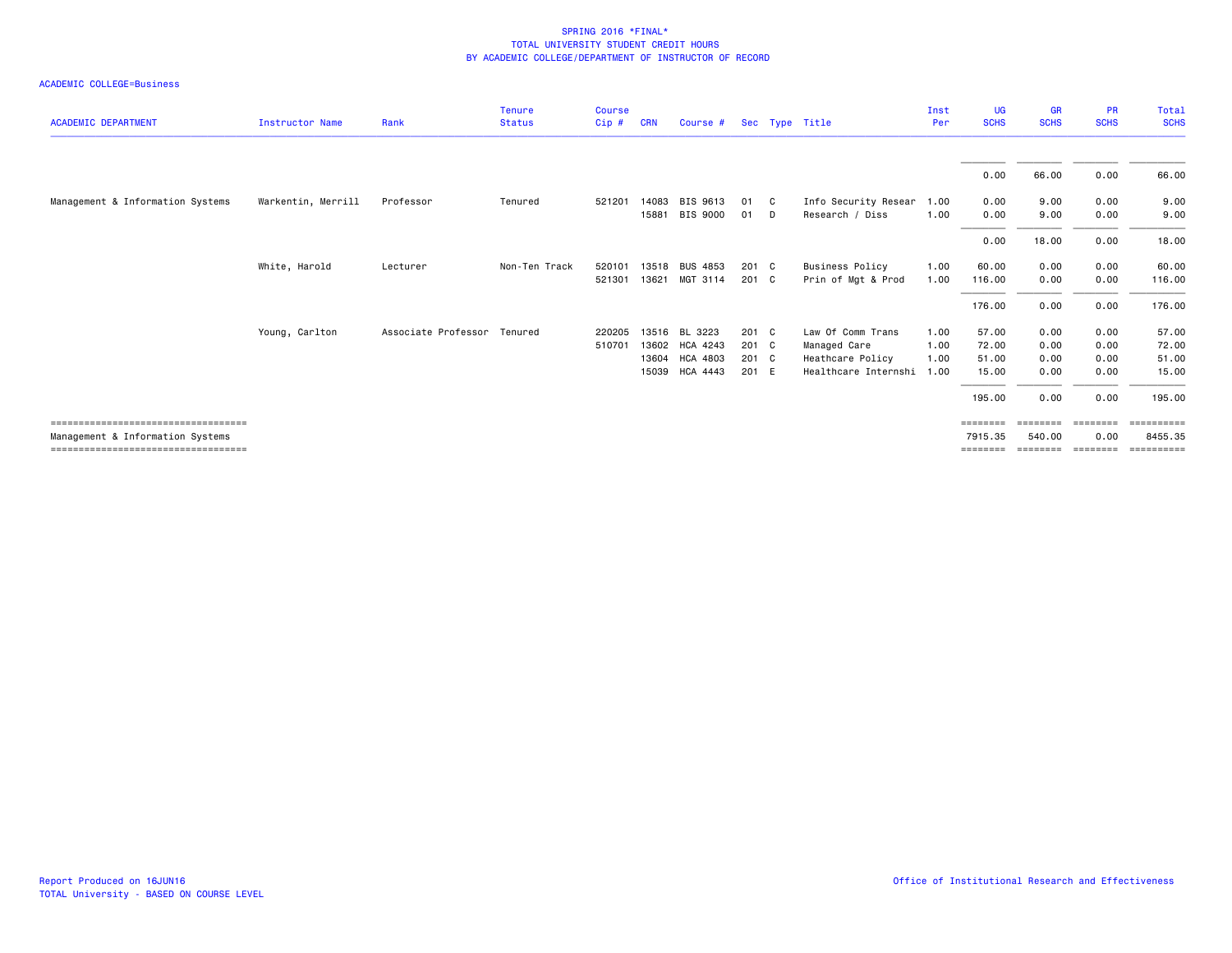|                                                                           |                    |                             | <b>Tenure</b> | <b>Course</b> |            |                 |               |              |                        | Inst | UG                  | <b>GR</b>          | <b>PR</b>        | Total                 |
|---------------------------------------------------------------------------|--------------------|-----------------------------|---------------|---------------|------------|-----------------|---------------|--------------|------------------------|------|---------------------|--------------------|------------------|-----------------------|
| <b>ACADEMIC DEPARTMENT</b>                                                | Instructor Name    | Rank                        | <b>Status</b> | Cip#          | <b>CRN</b> | Course #        |               |              | Sec Type Title         | Per  | <b>SCHS</b>         | <b>SCHS</b>        | <b>SCHS</b>      | <b>SCHS</b>           |
|                                                                           |                    |                             |               |               |            |                 |               |              |                        |      | 0.00                | 66.00              | 0.00             | 66.00                 |
| Management & Information Systems                                          | Warkentin, Merrill | Professor                   | Tenured       | 521201        | 14083      | BIS 9613        | 01            | $\mathbf{C}$ | Info Security Resear   | 1.00 | 0.00                | 9.00               | 0.00             | 9.00                  |
|                                                                           |                    |                             |               |               | 15881      | BIS 9000        | 01            | D.           | Research / Diss        | 1.00 | 0.00                | 9.00               | 0.00             | 9.00                  |
|                                                                           |                    |                             |               |               |            |                 |               |              |                        |      | 0.00                | 18.00              | 0.00             | 18.00                 |
|                                                                           | White, Harold      | Lecturer                    | Non-Ten Track | 520101        | 13518      | <b>BUS 4853</b> | $201 \quad C$ |              | <b>Business Policy</b> | 1.00 | 60.00               | 0.00               | 0.00             | 60.00                 |
|                                                                           |                    |                             |               | 521301        | 13621      | MGT 3114        | 201 C         |              | Prin of Mgt & Prod     | 1.00 | 116.00              | 0.00               | 0.00             | 116.00                |
|                                                                           |                    |                             |               |               |            |                 |               |              |                        |      | 176.00              | 0.00               | 0.00             | 176.00                |
|                                                                           | Young, Carlton     | Associate Professor Tenured |               | 220205        | 13516      | BL 3223         | $201 \quad C$ |              | Law Of Comm Trans      | 1.00 | 57.00               | 0.00               | 0.00             | 57.00                 |
|                                                                           |                    |                             |               | 510701        |            | 13602 HCA 4243  | 201 C         |              | Managed Care           | 1.00 | 72.00               | 0.00               | 0.00             | 72.00                 |
|                                                                           |                    |                             |               |               |            | 13604 HCA 4803  | 201 C         |              | Heathcare Policy       | 1.00 | 51.00               | 0.00               | 0.00             | 51.00                 |
|                                                                           |                    |                             |               |               | 15039      | HCA 4443        | 201 E         |              | Healthcare Internshi   | 1.00 | 15.00               | 0.00               | 0.00             | 15.00                 |
|                                                                           |                    |                             |               |               |            |                 |               |              |                        |      | 195.00              | 0.00               | 0.00             | 195.00                |
| =====================================<br>Management & Information Systems |                    |                             |               |               |            |                 |               |              |                        |      | ========<br>7915.35 | ========<br>540.00 | ========<br>0.00 | ==========<br>8455.35 |
| ===================================                                       |                    |                             |               |               |            |                 |               |              |                        |      | ========            | ========           | ========         |                       |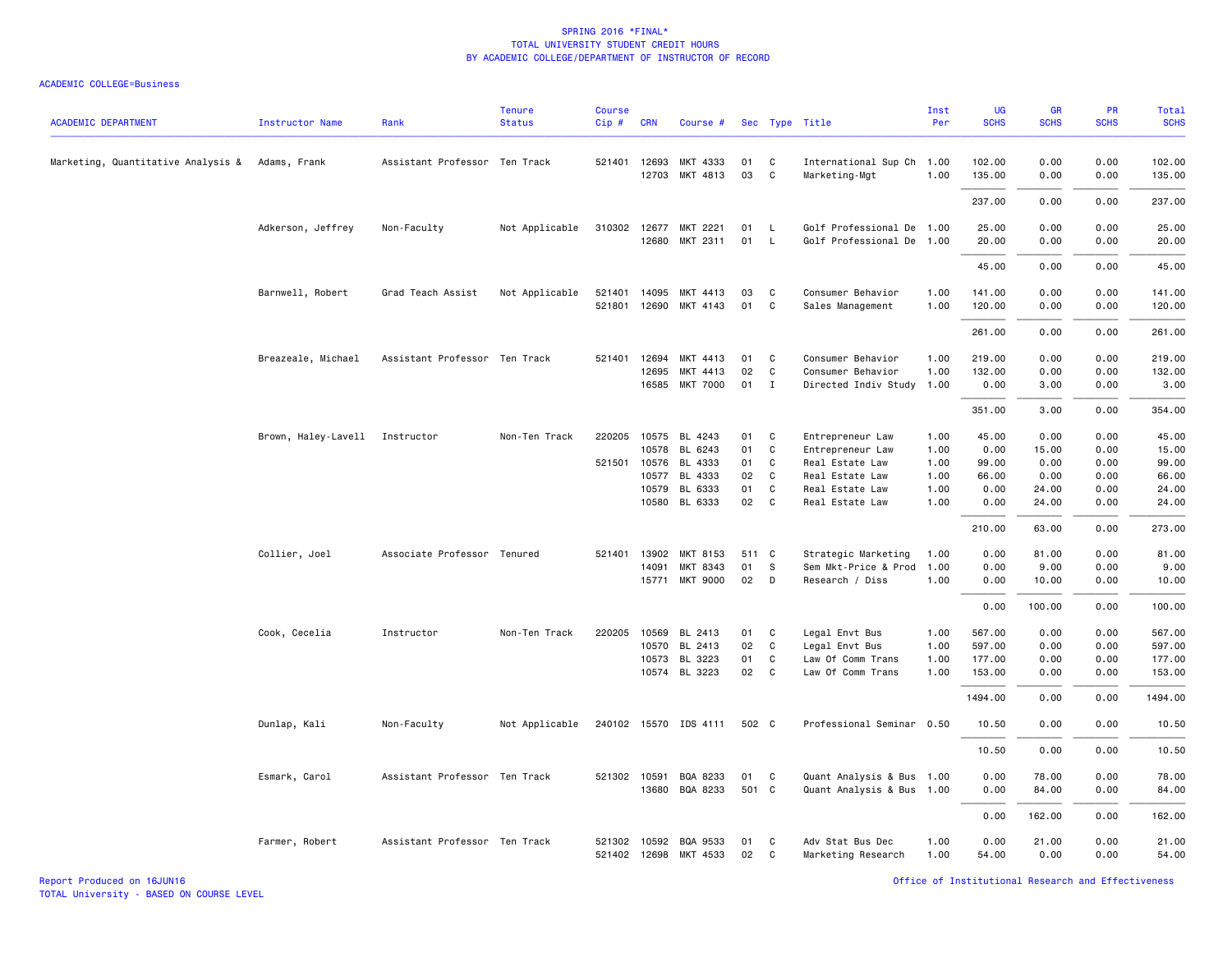| <b>ACADEMIC DEPARTMENT</b>         | <b>Instructor Name</b>         | Rank                          | <b>Tenure</b><br><b>Status</b> | <b>Course</b><br>Cip# | <b>CRN</b>            | Course #                          |          |                   | Sec Type Title                             | Inst<br>Per  | UG<br><b>SCHS</b> | GR<br><b>SCHS</b> | PR<br><b>SCHS</b> | Total<br><b>SCHS</b> |
|------------------------------------|--------------------------------|-------------------------------|--------------------------------|-----------------------|-----------------------|-----------------------------------|----------|-------------------|--------------------------------------------|--------------|-------------------|-------------------|-------------------|----------------------|
| Marketing, Quantitative Analysis & | Adams, Frank                   | Assistant Professor Ten Track |                                |                       | 521401 12693<br>12703 | MKT 4333<br>MKT 4813              | 01<br>03 | C<br>C            | International Sup Ch 1.00<br>Marketing-Mgt | 1.00         | 102.00<br>135.00  | 0.00<br>0.00      | 0.00<br>0.00      | 102.00<br>135.00     |
|                                    |                                |                               |                                |                       |                       |                                   |          |                   |                                            |              | 237.00            | 0.00              | 0.00              | 237.00               |
|                                    | Adkerson, Jeffrey              | Non-Faculty                   | Not Applicable                 | 310302 12677          |                       | MKT 2221                          | 01       | L.                | Golf Professional De 1.00                  |              | 25.00             | 0.00              | 0.00              | 25.00                |
|                                    |                                |                               |                                |                       | 12680                 | MKT 2311                          | 01       | $\mathsf{L}$      | Golf Professional De 1.00                  |              | 20.00             | 0.00              | 0.00              | 20.00                |
|                                    |                                |                               |                                |                       |                       |                                   |          |                   |                                            |              | 45.00             | 0.00              | 0.00              | 45.00                |
|                                    | Barnwell, Robert               | Grad Teach Assist             | Not Applicable                 | 521401                | 14095                 | MKT 4413                          | 03       | C                 | Consumer Behavior                          | 1.00         | 141.00            | 0.00              | 0.00              | 141.00               |
|                                    |                                |                               |                                | 521801                | 12690                 | MKT 4143                          | 01       | C                 | Sales Management                           | 1.00         | 120.00            | 0.00              | 0.00              | 120.00               |
|                                    |                                |                               |                                |                       |                       |                                   |          |                   |                                            |              | 261.00            | 0.00              | 0.00              | 261.00               |
|                                    | Breazeale, Michael             | Assistant Professor Ten Track |                                | 521401                | 12694                 | MKT 4413                          | 01       | C                 | Consumer Behavior                          | 1.00         | 219.00            | 0.00              | 0.00              | 219.00               |
|                                    |                                |                               |                                |                       | 12695<br>16585        | MKT 4413<br><b>MKT 7000</b>       | 02<br>01 | C<br>$\mathbf{I}$ | Consumer Behavior<br>Directed Indiv Study  | 1.00<br>1.00 | 132.00<br>0.00    | 0.00<br>3.00      | 0.00<br>0.00      | 132.00<br>3.00       |
|                                    |                                |                               |                                |                       |                       |                                   |          |                   |                                            |              |                   |                   |                   |                      |
|                                    |                                |                               |                                |                       |                       |                                   |          |                   |                                            |              | 351.00            | 3.00              | 0.00              | 354.00               |
|                                    | Brown, Haley-Lavell Instructor |                               | Non-Ten Track                  | 220205                | 10575                 | BL 4243                           | 01       | C                 | Entrepreneur Law                           | 1.00         | 45.00             | 0.00              | 0.00              | 45.00                |
|                                    |                                |                               |                                |                       | 10578<br>521501 10576 | BL 6243<br>BL 4333                | 01<br>01 | C<br>$\mathbf{C}$ | Entrepreneur Law<br>Real Estate Law        | 1.00<br>1.00 | 0.00<br>99.00     | 15.00<br>0.00     | 0.00<br>0.00      | 15.00<br>99.00       |
|                                    |                                |                               |                                |                       | 10577                 | BL 4333                           | 02       | $\mathbf{C}$      | Real Estate Law                            | 1.00         | 66.00             | 0.00              | 0.00              | 66.00                |
|                                    |                                |                               |                                |                       | 10579                 | BL 6333                           | 01       | C                 | Real Estate Law                            | 1.00         | 0.00              | 24.00             | 0.00              | 24.00                |
|                                    |                                |                               |                                |                       | 10580                 | BL 6333                           | 02       | $\mathbf{C}$      | Real Estate Law                            | 1.00         | 0.00              | 24.00             | 0.00              | 24.00                |
|                                    |                                |                               |                                |                       |                       |                                   |          |                   |                                            |              | 210.00            | 63.00             | 0.00              | 273.00               |
|                                    | Collier, Joel                  | Associate Professor Tenured   |                                | 521401                | 13902                 | MKT 8153                          | 511 C    |                   | Strategic Marketing                        | 1.00         | 0.00              | 81.00             | 0.00              | 81.00                |
|                                    |                                |                               |                                |                       | 14091                 | MKT 8343                          | 01       | - S               | Sem Mkt-Price & Prod                       | 1.00         | 0.00              | 9.00              | 0.00              | 9.00                 |
|                                    |                                |                               |                                |                       |                       | 15771 MKT 9000                    | 02       | D                 | Research / Diss                            | 1.00         | 0.00              | 10.00             | 0.00              | 10.00                |
|                                    |                                |                               |                                |                       |                       |                                   |          |                   |                                            |              | 0.00              | 100.00            | 0.00              | 100.00               |
|                                    | Cook, Cecelia                  | Instructor                    | Non-Ten Track                  | 220205                | 10569                 | BL 2413                           | 01       | C                 | Legal Envt Bus                             | 1.00         | 567.00            | 0.00              | 0.00              | 567.00               |
|                                    |                                |                               |                                |                       | 10570                 | BL 2413                           | 02       | C                 | Legal Envt Bus                             | 1.00         | 597.00            | 0.00              | 0.00              | 597.00               |
|                                    |                                |                               |                                |                       | 10573                 | BL 3223                           | 01       | C                 | Law Of Comm Trans                          | 1.00         | 177.00            | 0.00              | 0.00              | 177.00               |
|                                    |                                |                               |                                |                       |                       | 10574 BL 3223                     | 02       | $\mathbf{C}$      | Law Of Comm Trans                          | 1.00         | 153.00            | 0.00              | 0.00              | 153.00               |
|                                    |                                |                               |                                |                       |                       |                                   |          |                   |                                            |              | 1494.00           | 0.00              | 0.00              | 1494.00              |
|                                    | Dunlap, Kali                   | Non-Faculty                   | Not Applicable                 |                       |                       | 240102 15570 IDS 4111             | 502 C    |                   | Professional Seminar 0.50                  |              | 10.50             | 0.00              | 0.00              | 10.50                |
|                                    |                                |                               |                                |                       |                       |                                   |          |                   |                                            |              | 10.50             | 0.00              | 0.00              | 10.50                |
|                                    | Esmark, Carol                  | Assistant Professor Ten Track |                                |                       | 521302 10591          | BQA 8233                          | 01       | C                 | Quant Analysis & Bus 1.00                  |              | 0.00              | 78.00             | 0.00              | 78.00                |
|                                    |                                |                               |                                |                       |                       | 13680 BQA 8233                    | 501 C    |                   | Quant Analysis & Bus 1.00                  |              | 0.00              | 84.00             | 0.00              | 84.00                |
|                                    |                                |                               |                                |                       |                       |                                   |          |                   |                                            |              | 0.00              | 162.00            | 0.00              | 162.00               |
|                                    | Farmer, Robert                 | Assistant Professor Ten Track |                                |                       | 521402 12698          | 521302 10592 BQA 9533<br>MKT 4533 | 01<br>02 | C<br>C            | Adv Stat Bus Dec<br>Marketing Research     | 1.00<br>1.00 | 0.00<br>54.00     | 21.00<br>0.00     | 0.00<br>0.00      | 21.00<br>54.00       |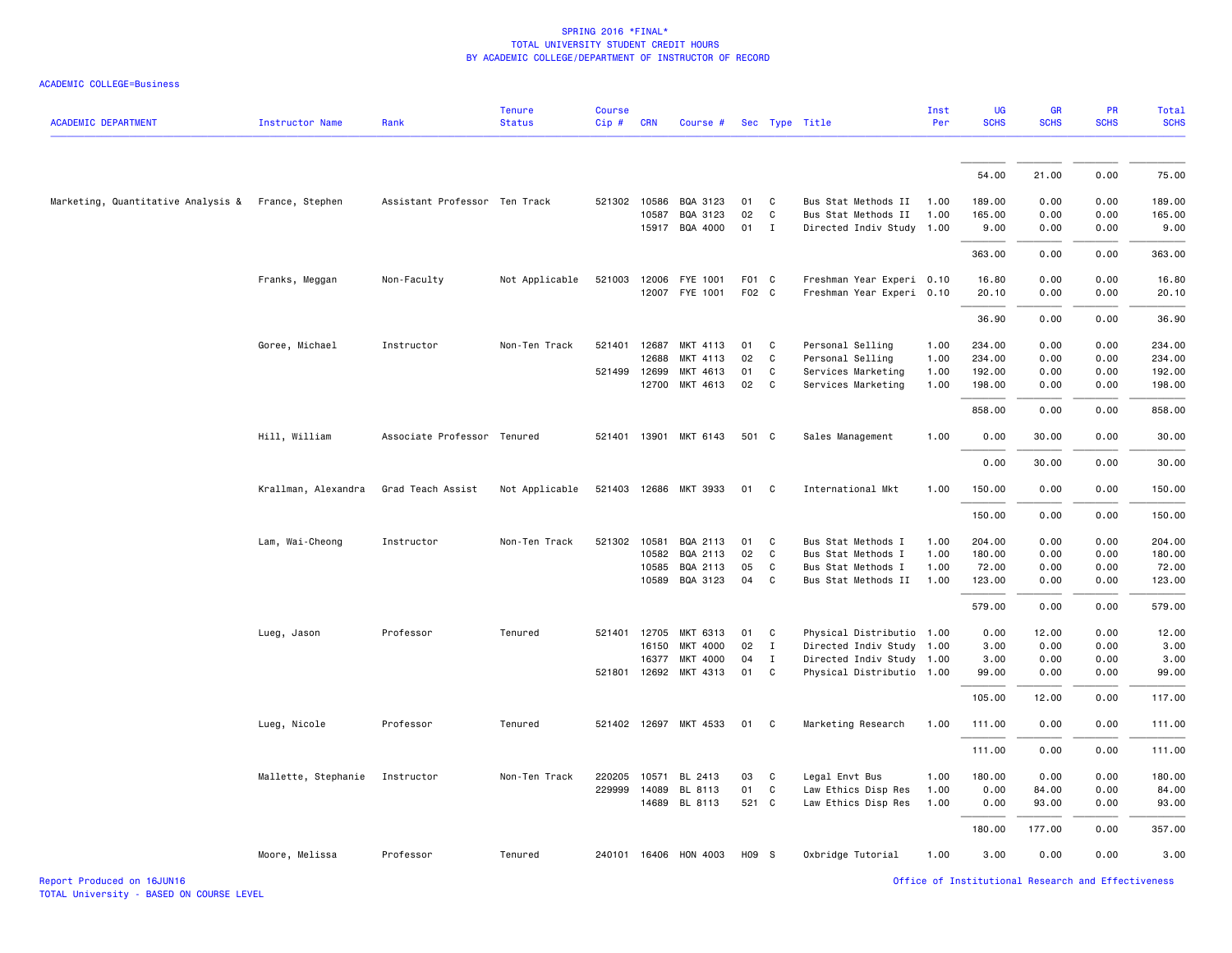#### ACADEMIC COLLEGE=Business

| <b>ACADEMIC DEPARTMENT</b>                         | <b>Instructor Name</b> | Rank                          | <b>Tenure</b><br><b>Status</b> | <b>Course</b><br>Cip# | <b>CRN</b>   | Course #                   |          |                   | Sec Type Title                                         | Inst<br>Per | UG<br><b>SCHS</b> | <b>GR</b><br><b>SCHS</b> | PR<br><b>SCHS</b> | Total<br><b>SCHS</b> |
|----------------------------------------------------|------------------------|-------------------------------|--------------------------------|-----------------------|--------------|----------------------------|----------|-------------------|--------------------------------------------------------|-------------|-------------------|--------------------------|-------------------|----------------------|
|                                                    |                        |                               |                                |                       |              |                            |          |                   |                                                        |             |                   |                          |                   |                      |
|                                                    |                        |                               |                                |                       |              |                            |          |                   |                                                        |             | 54.00             | 21.00                    | 0.00              | 75.00                |
| Marketing, Quantitative Analysis & France, Stephen |                        | Assistant Professor Ten Track |                                |                       | 521302 10586 | BQA 3123                   | 01       | C                 | Bus Stat Methods II                                    | 1.00        | 189.00            | 0.00                     | 0.00              | 189.00               |
|                                                    |                        |                               |                                |                       | 10587        | BQA 3123                   | 02       | C                 | Bus Stat Methods II                                    | 1.00        | 165.00            | 0.00                     | 0.00              | 165.00               |
|                                                    |                        |                               |                                |                       |              | 15917 BQA 4000             | 01       | $\mathbf{I}$      | Directed Indiv Study 1.00                              |             | 9.00              | 0.00                     | 0.00              | 9.00                 |
|                                                    |                        |                               |                                |                       |              |                            |          |                   |                                                        |             | 363.00            | 0.00                     | 0.00              | 363.00               |
|                                                    | Franks, Meggan         | Non-Faculty                   | Not Applicable                 |                       |              | 521003 12006 FYE 1001      | F01 C    |                   | Freshman Year Experi 0.10                              |             | 16.80             | 0.00                     | 0.00              | 16.80                |
|                                                    |                        |                               |                                |                       |              | 12007 FYE 1001             | F02 C    |                   | Freshman Year Experi 0.10                              |             | 20.10             | 0.00                     | 0.00              | 20.10                |
|                                                    |                        |                               |                                |                       |              |                            |          |                   |                                                        |             | 36.90             | 0.00                     | 0.00              | 36.90                |
|                                                    | Goree, Michael         | Instructor                    | Non-Ten Track                  | 521401                | 12687        | MKT 4113                   | 01       | C                 | Personal Selling                                       | 1.00        | 234.00            | 0.00                     | 0.00              | 234.00               |
|                                                    |                        |                               |                                |                       | 12688        | 4113<br><b>MKT</b>         | 02       | C                 | Personal Selling                                       | 1.00        | 234.00            | 0.00                     | 0.00              | 234.00               |
|                                                    |                        |                               |                                | 521499                | 12699        | MKT 4613                   | 01       | C                 | Services Marketing                                     | 1.00        | 192.00            | 0.00                     | 0.00              | 192.00               |
|                                                    |                        |                               |                                |                       | 12700        | MKT 4613                   | 02       | C                 | Services Marketing                                     | 1.00        | 198.00            | 0.00                     | 0.00              | 198.00               |
|                                                    |                        |                               |                                |                       |              |                            |          |                   |                                                        |             | 858.00            | 0.00                     | 0.00              | 858.00               |
|                                                    | Hill, William          | Associate Professor Tenured   |                                | 521401                | 13901        | MKT 6143                   | 501 C    |                   | Sales Management                                       | 1.00        | 0.00              | 30.00                    | 0.00              | 30.00                |
|                                                    |                        |                               |                                |                       |              |                            |          |                   |                                                        |             | 0.00              | 30.00                    | 0.00              | 30.00                |
|                                                    | Krallman, Alexandra    | Grad Teach Assist             | Not Applicable                 | 521403                |              | 12686 MKT 3933             | 01       | C                 | International Mkt                                      | 1.00        | 150.00            | 0.00                     | 0.00              | 150.00               |
|                                                    |                        |                               |                                |                       |              |                            |          |                   |                                                        |             | 150.00            | 0.00                     | 0.00              | 150.00               |
|                                                    | Lam, Wai-Cheong        | Instructor                    | Non-Ten Track                  | 521302                | 10581        | BQA 2113                   | 01       | C                 | Bus Stat Methods I                                     | 1.00        | 204.00            | 0.00                     | 0.00              | 204.00               |
|                                                    |                        |                               |                                |                       | 10582        | BQA 2113                   | 02       | C                 | Bus Stat Methods I                                     | 1.00        | 180.00            | 0.00                     | 0.00              | 180.00               |
|                                                    |                        |                               |                                |                       | 10585        | BQA 2113                   | 05       | C                 | Bus Stat Methods I                                     | 1.00        | 72.00             | 0.00                     | 0.00              | 72.00                |
|                                                    |                        |                               |                                |                       | 10589        | BQA 3123                   | 04       | C                 | Bus Stat Methods II                                    | 1.00        | 123.00            | 0.00                     | 0.00              | 123.00               |
|                                                    |                        |                               |                                |                       |              |                            |          |                   |                                                        |             | 579.00            | 0.00                     | 0.00              | 579.00               |
|                                                    | Lueg, Jason            | Professor                     | Tenured                        | 521401                | 12705        | MKT 6313                   | 01       | C                 | Physical Distributio 1.00                              |             | 0.00              | 12.00                    | 0.00              | 12.00                |
|                                                    |                        |                               |                                |                       | 16150        | MKT 4000                   | 02       | $\mathbf{I}$      | Directed Indiv Study 1.00                              |             | 3.00              | 0.00                     | 0.00              | 3.00                 |
|                                                    |                        |                               |                                | 521801                | 16377        | MKT 4000<br>12692 MKT 4313 | 04<br>01 | $\mathbf{I}$<br>C | Directed Indiv Study 1.00<br>Physical Distributio 1.00 |             | 3.00<br>99.00     | 0.00<br>0.00             | 0.00<br>0.00      | 3.00<br>99.00        |
|                                                    |                        |                               |                                |                       |              |                            |          |                   |                                                        |             |                   |                          |                   |                      |
|                                                    |                        |                               |                                |                       |              |                            |          |                   |                                                        |             | 105.00            | 12.00                    | 0.00              | 117.00               |
|                                                    | Lueg, Nicole           | Professor                     | Tenured                        |                       |              | 521402 12697 MKT 4533      | 01 C     |                   | Marketing Research                                     | 1.00        | 111.00            | 0.00                     | 0.00              | 111.00               |
|                                                    |                        |                               |                                |                       |              |                            |          |                   |                                                        |             | 111.00            | 0.00                     | 0.00              | 111.00               |
|                                                    | Mallette, Stephanie    | Instructor                    | Non-Ten Track                  | 220205                | 10571        | BL 2413                    | 03       | C                 | Legal Envt Bus                                         | 1.00        | 180.00            | 0.00                     | 0.00              | 180.00               |
|                                                    |                        |                               |                                | 229999                | 14089        | BL 8113                    | 01       | C                 | Law Ethics Disp Res                                    | 1.00        | 0.00              | 84.00                    | 0.00              | 84.00                |
|                                                    |                        |                               |                                |                       |              | 14689 BL 8113              | 521 C    |                   | Law Ethics Disp Res                                    | 1.00        | 0.00              | 93.00                    | 0.00              | 93.00                |
|                                                    |                        |                               |                                |                       |              |                            |          |                   |                                                        |             | 180.00            | 177.00                   | 0.00              | 357.00               |
|                                                    | Moore, Melissa         | Professor                     | Tenured                        |                       |              | 240101 16406 HON 4003      | H09 S    |                   | Oxbridge Tutorial                                      | 1.00        | 3.00              | 0.00                     | 0.00              | 3.00                 |

Report Produced on 16JUN16 Office of Institutional Research and Effectiveness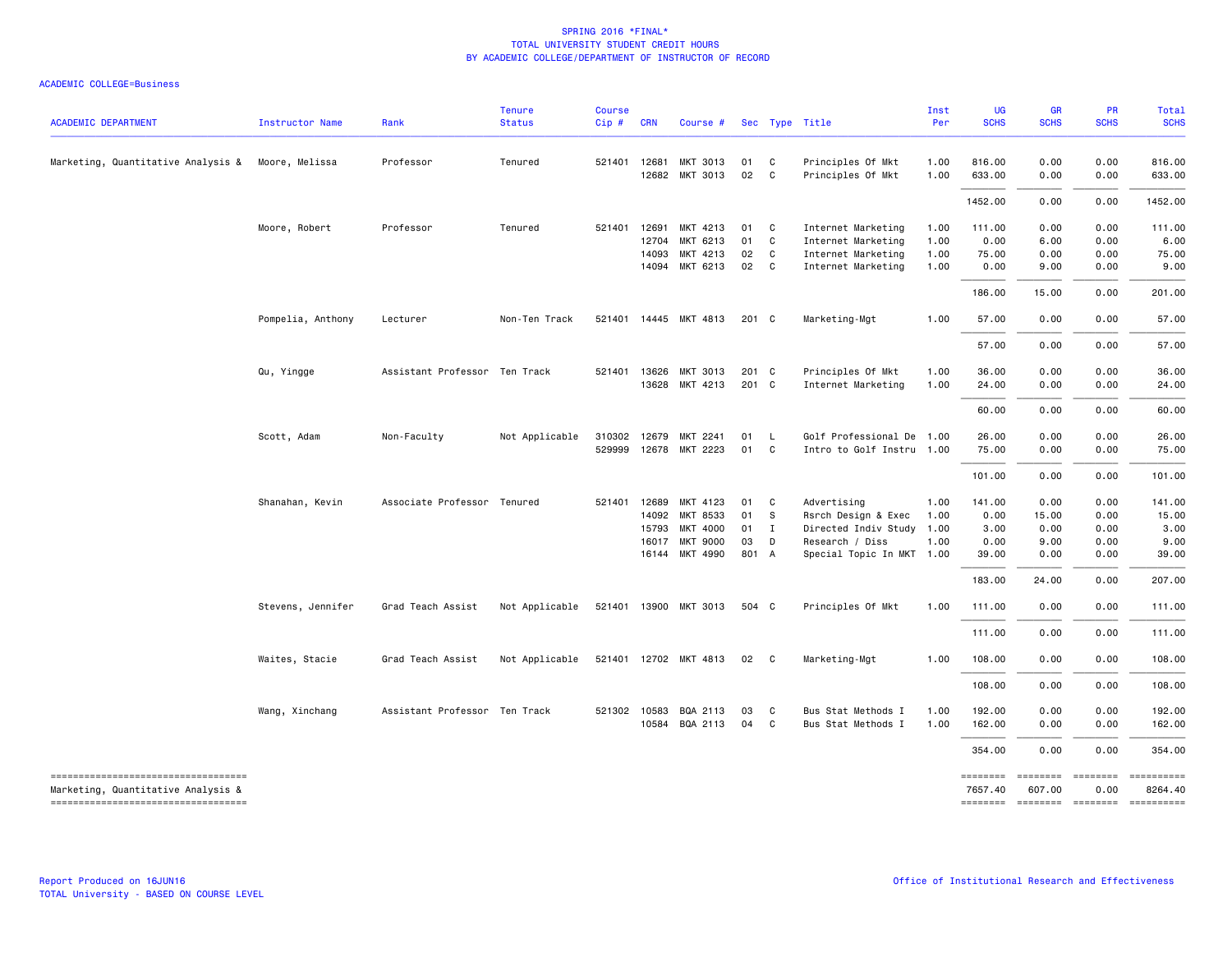| <b>ACADEMIC DEPARTMENT</b>                                                                                       | <b>Instructor Name</b> | Rank                          | <b>Tenure</b><br><b>Status</b> | <b>Course</b><br>Cip# | <b>CRN</b>                       | Course #                                                              |                               |                                              | Sec Type Title                                                                                                  | Inst<br>Per          | <b>UG</b><br><b>SCHS</b>                | <b>GR</b><br><b>SCHS</b>              | <b>PR</b><br><b>SCHS</b>             | Total<br><b>SCHS</b>                     |
|------------------------------------------------------------------------------------------------------------------|------------------------|-------------------------------|--------------------------------|-----------------------|----------------------------------|-----------------------------------------------------------------------|-------------------------------|----------------------------------------------|-----------------------------------------------------------------------------------------------------------------|----------------------|-----------------------------------------|---------------------------------------|--------------------------------------|------------------------------------------|
| Marketing, Quantitative Analysis & Moore, Melissa                                                                |                        | Professor                     | Tenured                        |                       | 521401 12681<br>12682            | MKT 3013<br>MKT 3013                                                  | 01<br>02                      | $\mathbf{C}$<br>C                            | Principles Of Mkt<br>Principles Of Mkt                                                                          | 1.00<br>1.00         | 816.00<br>633.00                        | 0.00<br>0.00                          | 0.00<br>0.00                         | 816.00<br>633.00                         |
|                                                                                                                  |                        |                               |                                |                       |                                  |                                                                       |                               |                                              |                                                                                                                 |                      | 1452.00                                 | 0.00                                  | 0.00                                 | 1452.00                                  |
|                                                                                                                  | Moore, Robert          | Professor                     | Tenured                        |                       | 521401 12691<br>12704<br>14093   | MKT 4213<br>MKT 6213<br>MKT 4213                                      | 01<br>01<br>02                | $\mathbf{C}$<br>$\mathbf{C}$<br>$\mathbf{C}$ | Internet Marketing<br>Internet Marketing<br>Internet Marketing                                                  | 1.00<br>1.00<br>1.00 | 111.00<br>0.00<br>75.00                 | 0.00<br>6.00<br>0.00                  | 0.00<br>0.00<br>0.00                 | 111.00<br>6.00<br>75.00                  |
|                                                                                                                  |                        |                               |                                |                       |                                  | 14094 MKT 6213                                                        | 02 C                          |                                              | Internet Marketing                                                                                              | 1.00                 | 0.00                                    | 9.00                                  | 0.00                                 | 9.00                                     |
|                                                                                                                  |                        |                               |                                |                       |                                  |                                                                       |                               |                                              |                                                                                                                 |                      | 186.00                                  | 15.00                                 | 0.00                                 | 201.00                                   |
|                                                                                                                  | Pompelia, Anthony      | Lecturer                      | Non-Ten Track                  |                       |                                  | 521401 14445 MKT 4813                                                 | 201 C                         |                                              | Marketing-Mgt                                                                                                   | 1.00                 | 57.00                                   | 0.00                                  | 0.00                                 | 57.00                                    |
|                                                                                                                  |                        |                               |                                |                       |                                  |                                                                       |                               |                                              |                                                                                                                 |                      | 57.00                                   | 0.00                                  | 0.00                                 | 57.00                                    |
|                                                                                                                  | Qu, Yingge             | Assistant Professor Ten Track |                                | 521401                | 13626<br>13628                   | MKT 3013<br>MKT 4213                                                  | 201 C<br>201 C                |                                              | Principles Of Mkt<br>Internet Marketing                                                                         | 1.00<br>1.00         | 36.00<br>24.00                          | 0.00<br>0.00                          | 0.00<br>0.00                         | 36.00<br>24.00                           |
|                                                                                                                  |                        |                               |                                |                       |                                  |                                                                       |                               |                                              |                                                                                                                 |                      | 60.00                                   | 0.00                                  | 0.00                                 | 60.00                                    |
|                                                                                                                  | Scott, Adam            | Non-Faculty                   | Not Applicable                 | 529999                | 310302 12679                     | MKT 2241<br>12678 MKT 2223                                            | 01<br>01                      | <b>L</b><br>C                                | Golf Professional De 1.00<br>Intro to Golf Instru 1.00                                                          |                      | 26.00<br>75.00                          | 0.00<br>0.00                          | 0.00<br>0.00                         | 26.00<br>75.00                           |
|                                                                                                                  |                        |                               |                                |                       |                                  |                                                                       |                               |                                              |                                                                                                                 |                      | 101.00                                  | 0.00                                  | 0.00                                 | 101.00                                   |
|                                                                                                                  | Shanahan, Kevin        | Associate Professor Tenured   |                                | 521401                | 12689<br>14092<br>15793<br>16017 | MKT 4123<br>MKT 8533<br>MKT 4000<br><b>MKT 9000</b><br>16144 MKT 4990 | 01<br>01<br>01<br>03<br>801 A | C<br>$^{\circ}$ s<br>$\mathbf{I}$<br>D       | Advertising<br>Rsrch Design & Exec<br>Directed Indiv Study 1.00<br>Research / Diss<br>Special Topic In MKT 1.00 | 1.00<br>1.00<br>1.00 | 141.00<br>0.00<br>3.00<br>0.00<br>39.00 | 0.00<br>15.00<br>0.00<br>9.00<br>0.00 | 0.00<br>0.00<br>0.00<br>0.00<br>0.00 | 141.00<br>15.00<br>3.00<br>9.00<br>39.00 |
|                                                                                                                  |                        |                               |                                |                       |                                  |                                                                       |                               |                                              |                                                                                                                 |                      | 183.00                                  | 24.00                                 | 0.00                                 | 207.00                                   |
|                                                                                                                  | Stevens, Jennifer      | Grad Teach Assist             | Not Applicable                 |                       |                                  | 521401 13900 MKT 3013                                                 | 504 C                         |                                              | Principles Of Mkt                                                                                               | 1.00                 | 111.00                                  | 0.00                                  | 0.00                                 | 111.00                                   |
|                                                                                                                  |                        |                               |                                |                       |                                  |                                                                       |                               |                                              |                                                                                                                 |                      | 111.00                                  | 0.00                                  | 0.00                                 | 111.00                                   |
|                                                                                                                  | Waites, Stacie         | Grad Teach Assist             | Not Applicable                 |                       |                                  | 521401 12702 MKT 4813                                                 | 02                            | $\overline{c}$                               | Marketing-Mgt                                                                                                   | 1.00                 | 108.00                                  | 0.00                                  | 0.00                                 | 108.00                                   |
|                                                                                                                  |                        |                               |                                |                       |                                  |                                                                       |                               |                                              |                                                                                                                 |                      | 108.00                                  | 0.00                                  | 0.00                                 | 108.00                                   |
|                                                                                                                  | Wang, Xinchang         | Assistant Professor Ten Track |                                |                       | 521302 10583                     | BQA 2113<br>10584 BQA 2113                                            | 03<br>04                      | C<br>$\mathbf{C}$                            | Bus Stat Methods I<br>Bus Stat Methods I                                                                        | 1.00<br>1.00         | 192.00<br>162.00                        | 0.00<br>0.00                          | 0.00<br>0.00                         | 192.00<br>162.00                         |
|                                                                                                                  |                        |                               |                                |                       |                                  |                                                                       |                               |                                              |                                                                                                                 |                      | 354.00                                  | 0.00                                  | 0.00                                 | 354.00                                   |
| -----------------------------------<br>Marketing, Quantitative Analysis &<br>----------------------------------- |                        |                               |                                |                       |                                  |                                                                       |                               |                                              |                                                                                                                 |                      | ========<br>7657.40                     | ========<br>607.00                    | ---------<br>0.00                    | ==========<br>8264.40                    |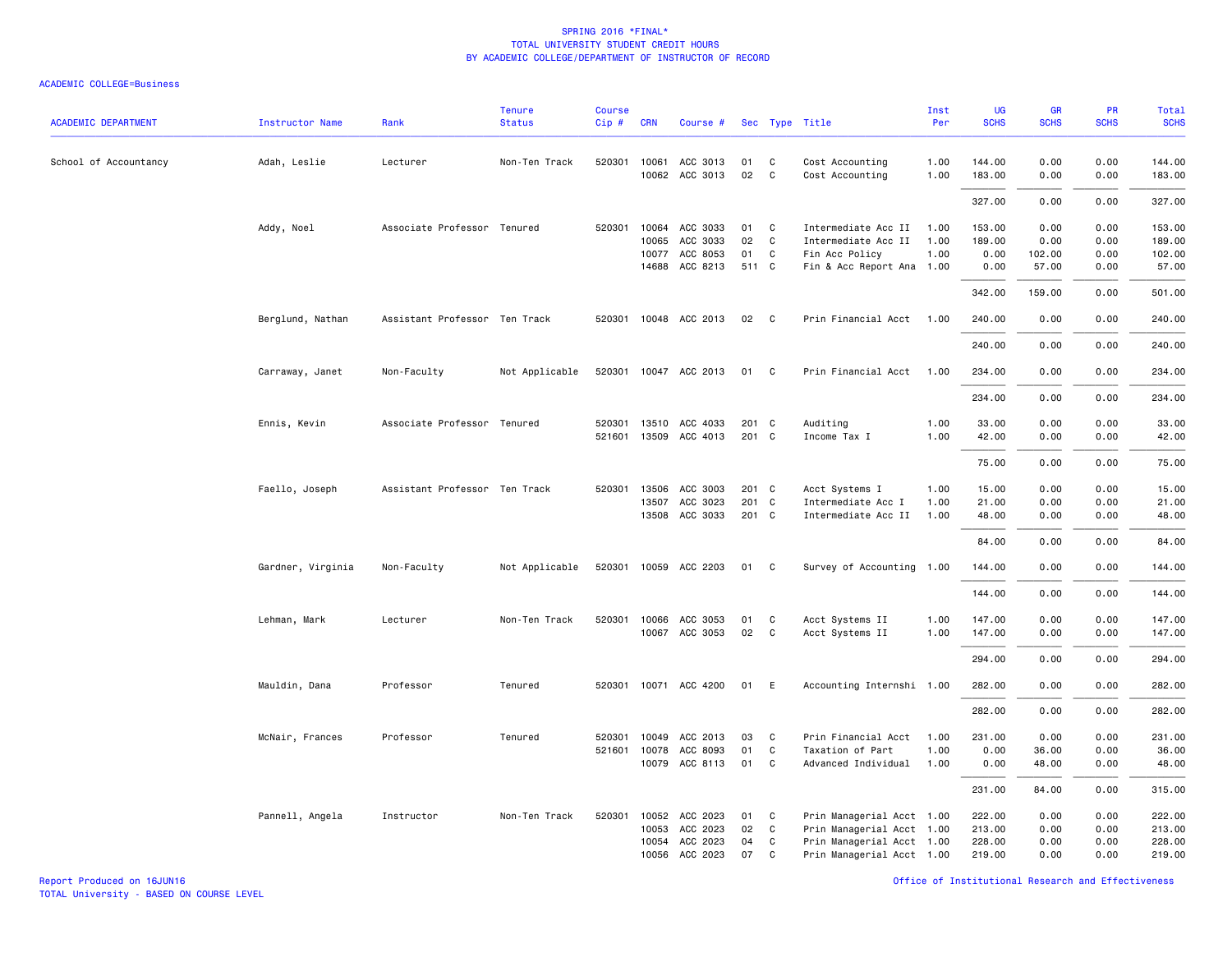| <b>ACADEMIC DEPARTMENT</b> | Instructor Name   | Rank                          | <b>Tenure</b><br><b>Status</b> | <b>Course</b><br>Cip # | <b>CRN</b> | Course #                         |                |                | Sec Type Title                     | Inst<br>Per  | UG<br><b>SCHS</b> | GR<br><b>SCHS</b> | PR<br><b>SCHS</b> | Total<br><b>SCHS</b> |
|----------------------------|-------------------|-------------------------------|--------------------------------|------------------------|------------|----------------------------------|----------------|----------------|------------------------------------|--------------|-------------------|-------------------|-------------------|----------------------|
| School of Accountancy      | Adah, Leslie      | Lecturer                      | Non-Ten Track                  | 520301                 | 10061      | ACC 3013<br>10062 ACC 3013       | 01<br>02       | C<br>C         | Cost Accounting<br>Cost Accounting | 1.00<br>1.00 | 144.00<br>183.00  | 0.00<br>0.00      | 0.00<br>0.00      | 144.00<br>183.00     |
|                            |                   |                               |                                |                        |            |                                  |                |                |                                    |              | 327.00            | 0.00              | 0.00              | 327.00               |
|                            | Addy, Noel        | Associate Professor Tenured   |                                | 520301                 |            | 10064 ACC 3033                   | 01             | C <sub>1</sub> | Intermediate Acc II                | 1.00         | 153.00            | 0.00              | 0.00              | 153.00               |
|                            |                   |                               |                                |                        | 10065      | ACC 3033                         | 02             | C              | Intermediate Acc II                | 1.00         | 189.00            | 0.00              | 0.00              | 189.00               |
|                            |                   |                               |                                |                        | 10077      | ACC 8053<br>14688 ACC 8213       | 01<br>511 C    | C              | Fin Acc Policy                     | 1.00         | 0.00              | 102.00            | 0.00              | 102.00               |
|                            |                   |                               |                                |                        |            |                                  |                |                | Fin & Acc Report Ana 1.00          |              | 0.00              | 57.00             | 0.00              | 57.00                |
|                            |                   |                               |                                |                        |            |                                  |                |                |                                    |              | 342.00            | 159.00            | 0.00              | 501.00               |
|                            | Berglund, Nathan  | Assistant Professor Ten Track |                                |                        |            | 520301 10048 ACC 2013            | 02 C           |                | Prin Financial Acct 1.00           |              | 240.00            | 0.00              | 0.00              | 240.00               |
|                            |                   |                               |                                |                        |            |                                  |                |                |                                    |              | 240.00            | 0.00              | 0.00              | 240.00               |
|                            | Carraway, Janet   | Non-Faculty                   | Not Applicable                 | 520301                 |            | 10047 ACC 2013                   | 01             | $\mathbf{C}$   | Prin Financial Acct                | 1.00         | 234.00            | 0.00              | 0.00              | 234.00               |
|                            |                   |                               |                                |                        |            |                                  |                |                |                                    |              | 234.00            | 0.00              | 0.00              | 234.00               |
|                            |                   |                               |                                |                        |            |                                  |                |                |                                    |              |                   |                   |                   |                      |
|                            | Ennis, Kevin      | Associate Professor Tenured   |                                | 520301<br>521601       |            | 13510 ACC 4033<br>13509 ACC 4013 | 201 C<br>201 C |                | Auditing<br>Income Tax I           | 1.00<br>1.00 | 33.00<br>42.00    | 0.00<br>0.00      | 0.00<br>0.00      | 33.00<br>42.00       |
|                            |                   |                               |                                |                        |            |                                  |                |                |                                    |              |                   |                   |                   |                      |
|                            |                   |                               |                                |                        |            |                                  |                |                |                                    |              | 75.00             | 0.00              | 0.00              | 75.00                |
|                            | Faello, Joseph    | Assistant Professor Ten Track |                                | 520301                 | 13506      | ACC 3003                         | 201 C          |                | Acct Systems I                     | 1.00         | 15.00             | 0.00              | 0.00              | 15.00                |
|                            |                   |                               |                                |                        | 13507      | ACC 3023                         | 201 C          |                | Intermediate Acc I                 | 1.00         | 21.00             | 0.00              | 0.00              | 21.00                |
|                            |                   |                               |                                |                        |            | 13508 ACC 3033                   | 201 C          |                | Intermediate Acc II                | 1.00         | 48.00             | 0.00              | 0.00              | 48.00                |
|                            |                   |                               |                                |                        |            |                                  |                |                |                                    |              | 84.00             | 0.00              | 0.00              | 84.00                |
|                            | Gardner, Virginia | Non-Faculty                   | Not Applicable                 | 520301                 |            | 10059 ACC 2203                   | 01             | C              | Survey of Accounting 1.00          |              | 144.00            | 0.00              | 0.00              | 144.00               |
|                            |                   |                               |                                |                        |            |                                  |                |                |                                    |              | 144.00            | 0.00              | 0.00              | 144.00               |
|                            |                   |                               |                                |                        |            |                                  |                |                |                                    |              |                   |                   |                   |                      |
|                            | Lehman, Mark      | Lecturer                      | Non-Ten Track                  | 520301                 |            | 10066 ACC 3053                   | 01             | C              | Acct Systems II                    | 1.00         | 147.00            | 0.00              | 0.00              | 147.00               |
|                            |                   |                               |                                |                        |            | 10067 ACC 3053                   | 02             | C              | Acct Systems II                    | 1.00         | 147.00            | 0.00              | 0.00              | 147.00               |
|                            |                   |                               |                                |                        |            |                                  |                |                |                                    |              | 294.00            | 0.00              | 0.00              | 294.00               |
|                            | Mauldin, Dana     | Professor                     | Tenured                        | 520301                 |            | 10071 ACC 4200                   | 01             | E              | Accounting Internshi 1.00          |              | 282.00            | 0.00              | 0.00              | 282.00               |
|                            |                   |                               |                                |                        |            |                                  |                |                |                                    |              | 282.00            | 0.00              | 0.00              | 282.00               |
|                            | McNair, Frances   | Professor                     | Tenured                        | 520301                 | 10049      | ACC 2013                         | 03             | C              | Prin Financial Acct                | 1.00         | 231.00            | 0.00              | 0.00              | 231.00               |
|                            |                   |                               |                                | 521601                 | 10078      | ACC 8093                         | 01             | C              | Taxation of Part                   | 1.00         | 0.00              | 36.00             | 0.00              | 36.00                |
|                            |                   |                               |                                |                        |            | 10079 ACC 8113                   | 01             | C <sub>c</sub> | Advanced Individual                | 1.00         | 0.00              | 48.00             | 0.00              | 48.00                |
|                            |                   |                               |                                |                        |            |                                  |                |                |                                    |              | 231.00            | 84.00             | 0.00              | 315.00               |
|                            | Pannell, Angela   | Instructor                    | Non-Ten Track                  | 520301                 | 10052      | ACC 2023                         | 01             | C              | Prin Managerial Acct 1.00          |              | 222.00            | 0.00              | 0.00              | 222.00               |
|                            |                   |                               |                                |                        | 10053      | ACC 2023                         | 02             | C              | Prin Managerial Acct 1.00          |              | 213.00            | 0.00              | 0.00              | 213.00               |
|                            |                   |                               |                                |                        | 10054      | ACC 2023                         | 04             | C              | Prin Managerial Acct 1.00          |              | 228.00            | 0.00              | 0.00              | 228.00               |
|                            |                   |                               |                                |                        | 10056      | ACC 2023                         | 07             | C              | Prin Managerial Acct 1.00          |              | 219.00            | 0.00              | 0.00              | 219.00               |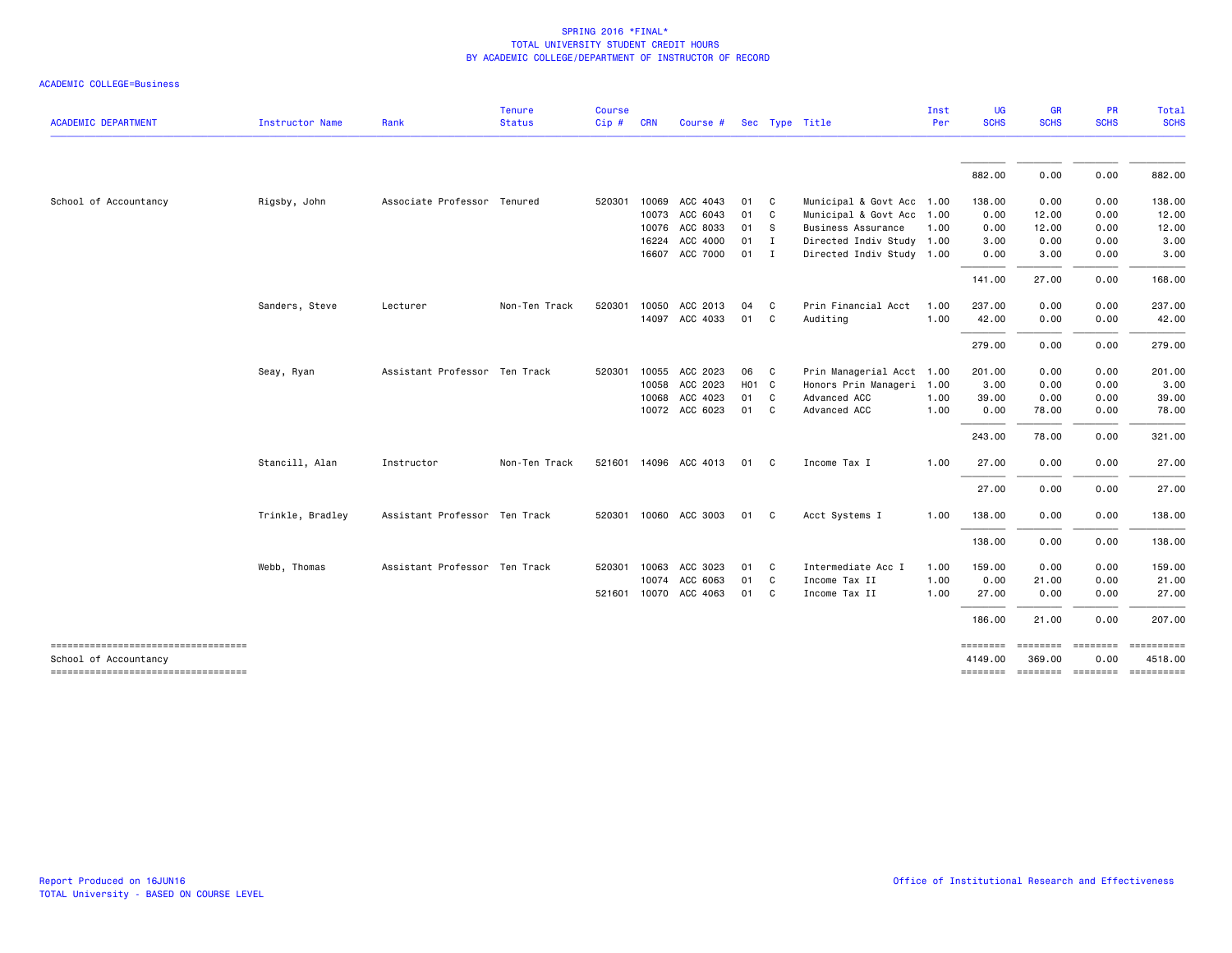|  |  | ACADEMIC COLLEGE=Business |
|--|--|---------------------------|
|--|--|---------------------------|

| <b>ACADEMIC DEPARTMENT</b>                                  | Instructor Name  | Rank                          | <b>Tenure</b><br><b>Status</b> | <b>Course</b><br>Cip# | <b>CRN</b>     | Course #              |                   |              | Sec Type Title                                  | Inst<br>Per | <b>UG</b><br><b>SCHS</b> | <b>GR</b><br><b>SCHS</b> | PR<br><b>SCHS</b> | Total<br><b>SCHS</b>                 |
|-------------------------------------------------------------|------------------|-------------------------------|--------------------------------|-----------------------|----------------|-----------------------|-------------------|--------------|-------------------------------------------------|-------------|--------------------------|--------------------------|-------------------|--------------------------------------|
|                                                             |                  |                               |                                |                       |                |                       |                   |              |                                                 |             | 882.00                   | 0.00                     | 0.00              | 882.00                               |
|                                                             |                  |                               |                                |                       |                |                       |                   |              |                                                 |             |                          |                          |                   |                                      |
| School of Accountancy                                       | Rigsby, John     | Associate Professor Tenured   |                                | 520301                | 10069<br>10073 | ACC 4043<br>ACC 6043  | 01<br>01 C        | $\mathbf{C}$ | Municipal & Govt Acc 1.00                       |             | 138.00<br>0.00           | 0.00                     | 0.00<br>0.00      | 138.00<br>12.00                      |
|                                                             |                  |                               |                                |                       | 10076          | ACC 8033              | 01 S              |              | Municipal & Govt Acc 1.00<br>Business Assurance | 1.00        | 0.00                     | 12.00<br>12.00           | 0.00              | 12.00                                |
|                                                             |                  |                               |                                |                       | 16224          | ACC 4000              | $01$ I            |              | Directed Indiv Study 1.00                       |             | 3.00                     | 0.00                     | 0.00              | 3.00                                 |
|                                                             |                  |                               |                                |                       | 16607          | ACC 7000              | 01 I              |              | Directed Indiv Study 1.00                       |             | 0.00                     | 3.00                     | 0.00              | 3.00                                 |
|                                                             |                  |                               |                                |                       |                |                       |                   |              |                                                 |             | 141.00                   | 27.00                    | 0.00              | 168.00                               |
|                                                             |                  |                               |                                |                       |                |                       |                   |              |                                                 |             |                          |                          |                   |                                      |
|                                                             | Sanders, Steve   | Lecturer                      | Non-Ten Track                  | 520301                | 10050          | ACC 2013              | 04                | $\mathbf{C}$ | Prin Financial Acct                             | 1.00        | 237.00                   | 0.00                     | 0.00              | 237.00                               |
|                                                             |                  |                               |                                |                       |                | 14097 ACC 4033        | 01 C              |              | Auditing                                        | 1.00        | 42.00                    | 0.00                     | 0.00              | 42.00                                |
|                                                             |                  |                               |                                |                       |                |                       |                   |              |                                                 |             | 279.00                   | 0.00                     | 0.00              | 279.00                               |
|                                                             | Seay, Ryan       | Assistant Professor Ten Track |                                | 520301                | 10055          | ACC 2023              | 06 C              |              | Prin Managerial Acct 1.00                       |             | 201.00                   | 0.00                     | 0.00              | 201.00                               |
|                                                             |                  |                               |                                |                       | 10058          | ACC 2023              | H <sub>01</sub> C |              | Honors Prin Manageri 1.00                       |             | 3.00                     | 0.00                     | 0.00              | 3.00                                 |
|                                                             |                  |                               |                                |                       | 10068          | ACC 4023              | 01 C              |              | Advanced ACC                                    | 1.00        | 39.00                    | 0.00                     | 0.00              | 39.00                                |
|                                                             |                  |                               |                                |                       |                | 10072 ACC 6023        | 01 C              |              | Advanced ACC                                    | 1.00        | 0.00                     | 78.00                    | 0.00              | 78.00                                |
|                                                             |                  |                               |                                |                       |                |                       |                   |              |                                                 |             | 243.00                   | 78.00                    | 0.00              | 321.00                               |
|                                                             | Stancill, Alan   | Instructor                    | Non-Ten Track                  |                       |                | 521601 14096 ACC 4013 | 01                | $\mathbf{C}$ | Income Tax I                                    | 1.00        | 27.00                    | 0.00                     | 0.00              | 27.00                                |
|                                                             |                  |                               |                                |                       |                |                       |                   |              |                                                 |             | 27.00                    | 0.00                     | 0.00              | 27.00                                |
|                                                             |                  |                               |                                |                       |                |                       |                   |              |                                                 |             |                          |                          |                   |                                      |
|                                                             | Trinkle, Bradley | Assistant Professor Ten Track |                                |                       |                | 520301 10060 ACC 3003 | 01 C              |              | Acct Systems I                                  | 1.00        | 138.00                   | 0.00                     | 0.00              | 138.00                               |
|                                                             |                  |                               |                                |                       |                |                       |                   |              |                                                 |             | 138.00                   | 0.00                     | 0.00              | 138.00                               |
|                                                             | Webb, Thomas     | Assistant Professor Ten Track |                                |                       | 520301 10063   | ACC 3023              | 01 C              |              | Intermediate Acc I                              | 1.00        | 159.00                   | 0.00                     | 0.00              | 159.00                               |
|                                                             |                  |                               |                                |                       | 10074          | ACC 6063              | 01                | $\mathbf{C}$ | Income Tax II                                   | 1.00        | 0.00                     | 21.00                    | 0.00              | 21.00                                |
|                                                             |                  |                               |                                |                       |                | 521601 10070 ACC 4063 | 01 C              |              | Income Tax II                                   | 1.00        | 27.00                    | 0.00                     | 0.00              | 27.00                                |
|                                                             |                  |                               |                                |                       |                |                       |                   |              |                                                 |             | 186.00                   | 21.00                    | 0.00              | 207.00                               |
| -----------------------------------                         |                  |                               |                                |                       |                |                       |                   |              |                                                 |             | <b>SESSESSE</b>          | steresses secondes       |                   | 4518.00                              |
| School of Accountancy<br>---------------------------------- |                  |                               |                                |                       |                |                       |                   |              |                                                 |             | 4149.00                  | 369.00                   | 0.00              | ======== ======== ======== ========= |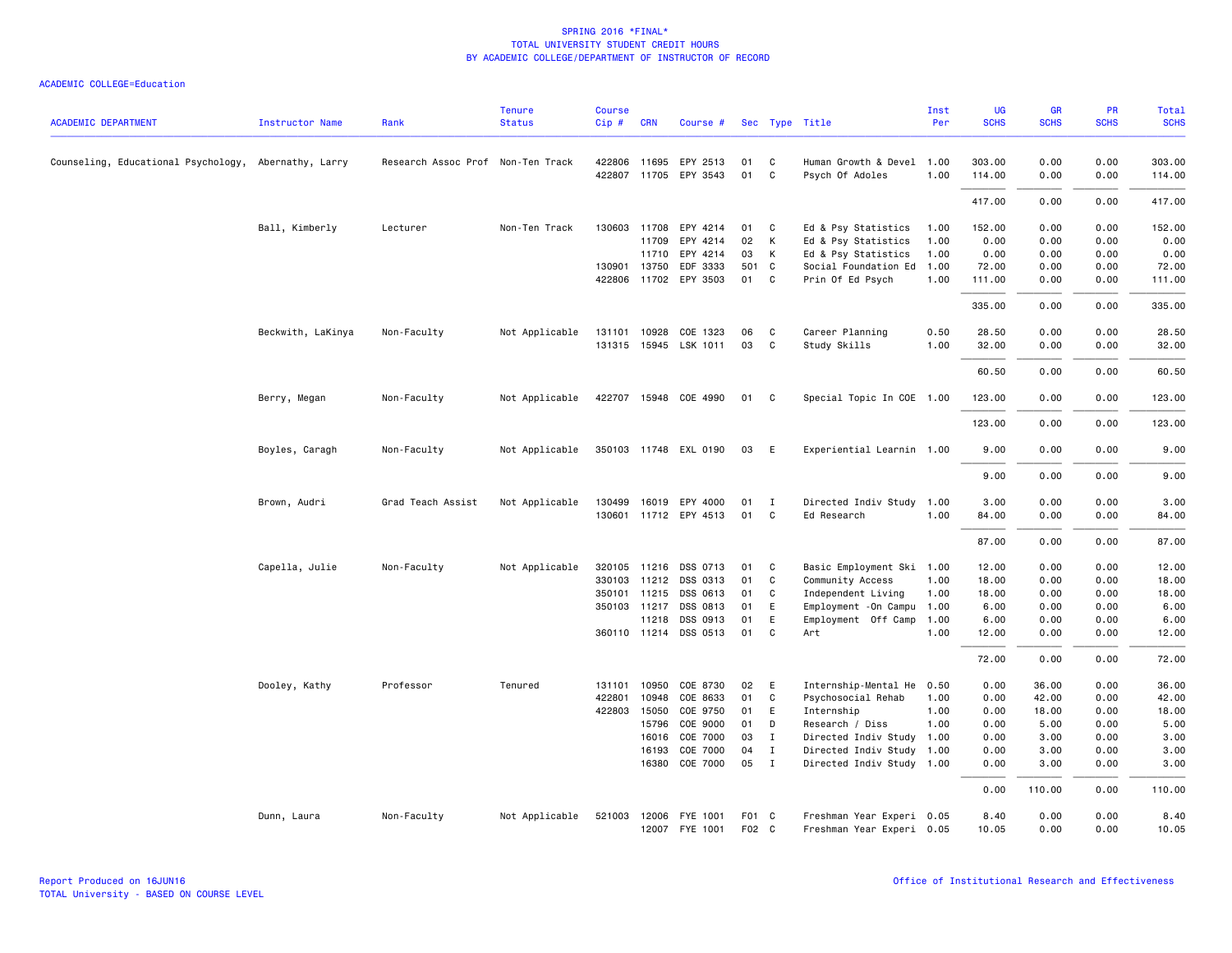| <b>ACADEMIC DEPARTMENT</b>                           | <b>Instructor Name</b> | Rank                              | <b>Tenure</b><br><b>Status</b> | <b>Course</b><br>Cip# | <b>CRN</b>   | Course #              |       |              | Sec Type Title            | Inst<br>Per | UG<br><b>SCHS</b> | <b>GR</b><br><b>SCHS</b> | PR<br><b>SCHS</b> | Total<br><b>SCHS</b> |
|------------------------------------------------------|------------------------|-----------------------------------|--------------------------------|-----------------------|--------------|-----------------------|-------|--------------|---------------------------|-------------|-------------------|--------------------------|-------------------|----------------------|
| Counseling, Educational Psychology, Abernathy, Larry |                        | Research Assoc Prof Non-Ten Track |                                |                       | 422806 11695 | EPY 2513              | 01    | C            | Human Growth & Devel 1.00 |             | 303.00            | 0.00                     | 0.00              | 303.00               |
|                                                      |                        |                                   |                                |                       |              | 422807 11705 EPY 3543 | 01    | C            | Psych Of Adoles           | 1.00        | 114.00            | 0.00                     | 0.00              | 114.00               |
|                                                      |                        |                                   |                                |                       |              |                       |       |              |                           |             | 417.00            | 0.00                     | 0.00              | 417.00               |
|                                                      | Ball, Kimberly         | Lecturer                          | Non-Ten Track                  |                       | 130603 11708 | EPY 4214              | 01    | C            | Ed & Psy Statistics       | 1.00        | 152.00            | 0.00                     | 0.00              | 152.00               |
|                                                      |                        |                                   |                                |                       | 11709        | EPY 4214              | 02    | К            | Ed & Psy Statistics       | 1.00        | 0.00              | 0.00                     | 0.00              | 0.00                 |
|                                                      |                        |                                   |                                |                       | 11710        | EPY 4214              | 03    | К            | Ed & Psy Statistics       | 1.00        | 0.00              | 0.00                     | 0.00              | 0.00                 |
|                                                      |                        |                                   |                                |                       | 130901 13750 | EDF 3333              | 501 C |              | Social Foundation Ed      | 1.00        | 72.00             | 0.00                     | 0.00              | 72.00                |
|                                                      |                        |                                   |                                |                       |              | 422806 11702 EPY 3503 | 01    | C            | Prin Of Ed Psych          | 1.00        | 111.00            | 0.00                     | 0.00              | 111.00               |
|                                                      |                        |                                   |                                |                       |              |                       |       |              |                           |             | 335.00            | 0.00                     | 0.00              | 335.00               |
|                                                      | Beckwith, LaKinya      | Non-Faculty                       | Not Applicable                 |                       | 131101 10928 | COE 1323              | 06    | C            | Career Planning           | 0.50        | 28.50             | 0.00                     | 0.00              | 28.50                |
|                                                      |                        |                                   |                                |                       |              | 131315 15945 LSK 1011 | 03    | C            | Study Skills              | 1.00        | 32.00             | 0.00                     | 0.00              | 32.00                |
|                                                      |                        |                                   |                                |                       |              |                       |       |              |                           |             | 60.50             | 0.00                     | 0.00              | 60.50                |
|                                                      | Berry, Megan           | Non-Faculty                       | Not Applicable                 |                       |              | 422707 15948 COE 4990 | 01    | C            | Special Topic In COE 1.00 |             | 123.00            | 0.00                     | 0.00              | 123.00               |
|                                                      |                        |                                   |                                |                       |              |                       |       |              |                           |             | 123.00            | 0.00                     | 0.00              | 123.00               |
|                                                      | Boyles, Caragh         | Non-Faculty                       | Not Applicable                 |                       |              | 350103 11748 EXL 0190 | 03    | E            | Experiential Learnin 1.00 |             | 9.00              | 0.00                     | 0.00              | 9.00                 |
|                                                      |                        |                                   |                                |                       |              |                       |       |              |                           |             | 9.00              | 0.00                     | 0.00              | 9.00                 |
|                                                      | Brown, Audri           | Grad Teach Assist                 | Not Applicable                 |                       |              | 130499 16019 EPY 4000 | 01    | I            | Directed Indiv Study      | 1.00        | 3.00              | 0.00                     | 0.00              | 3.00                 |
|                                                      |                        |                                   |                                |                       |              | 130601 11712 EPY 4513 | 01    | C            | Ed Research               | 1.00        | 84.00             | 0.00                     | 0.00              | 84.00                |
|                                                      |                        |                                   |                                |                       |              |                       |       |              |                           |             | 87.00             | 0.00                     | 0.00              | 87.00                |
|                                                      | Capella, Julie         | Non-Faculty                       | Not Applicable                 |                       |              | 320105 11216 DSS 0713 | 01    | C            | Basic Employment Ski 1.00 |             | 12.00             | 0.00                     | 0.00              | 12.00                |
|                                                      |                        |                                   |                                |                       | 330103 11212 | DSS 0313              | 01    | C            | Community Access          | 1.00        | 18.00             | 0.00                     | 0.00              | 18.00                |
|                                                      |                        |                                   |                                |                       | 350101 11215 | DSS 0613              | 01    | C            | Independent Living        | 1.00        | 18.00             | 0.00                     | 0.00              | 18.00                |
|                                                      |                        |                                   |                                |                       | 350103 11217 | DSS 0813              | 01    | E            | Employment - On Campu     | 1.00        | 6.00              | 0.00                     | 0.00              | 6.00                 |
|                                                      |                        |                                   |                                |                       | 11218        | DSS 0913              | 01    | E            | Employment Off Camp       | 1.00        | 6.00              | 0.00                     | 0.00              | 6.00                 |
|                                                      |                        |                                   |                                |                       |              | 360110 11214 DSS 0513 | 01    | C            | Art                       | 1.00        | 12.00             | 0.00                     | 0.00              | 12.00                |
|                                                      |                        |                                   |                                |                       |              |                       |       |              |                           |             | 72.00             | 0.00                     | 0.00              | 72.00                |
|                                                      | Dooley, Kathy          | Professor                         | Tenured                        |                       | 131101 10950 | COE 8730              | 02    | E            | Internship-Mental He      | 0.50        | 0.00              | 36.00                    | 0.00              | 36.00                |
|                                                      |                        |                                   |                                | 422801                | 10948        | COE 8633              | 01    | C            | Psychosocial Rehab        | 1.00        | 0.00              | 42.00                    | 0.00              | 42.00                |
|                                                      |                        |                                   |                                | 422803                | 15050        | COE 9750              | 01    | E            | Internship                | 1.00        | 0.00              | 18.00                    | 0.00              | 18.00                |
|                                                      |                        |                                   |                                |                       | 15796        | COE 9000              | 01    | D            | Research / Diss           | 1.00        | 0.00              | 5.00                     | 0.00              | 5.00                 |
|                                                      |                        |                                   |                                |                       | 16016        | COE 7000              | 03    | I            | Directed Indiv Study      | 1.00        | 0.00              | 3.00                     | 0.00              | 3.00                 |
|                                                      |                        |                                   |                                |                       | 16193        | COE 7000              | 04    | $\mathbf{I}$ | Directed Indiv Study      | 1.00        | 0.00              | 3.00                     | 0.00              | 3.00                 |
|                                                      |                        |                                   |                                |                       | 16380        | COE 7000              | 05    | $\mathbf{I}$ | Directed Indiv Study 1.00 |             | 0.00              | 3.00                     | 0.00              | 3.00                 |
|                                                      |                        |                                   |                                |                       |              |                       |       |              |                           |             | 0.00              | 110.00                   | 0.00              | 110.00               |
|                                                      | Dunn, Laura            | Non-Faculty                       | Not Applicable                 | 521003                |              | 12006 FYE 1001        | F01 C |              | Freshman Year Experi 0.05 |             | 8.40              | 0.00                     | 0.00              | 8.40                 |
|                                                      |                        |                                   |                                |                       |              | 12007 FYE 1001        | F02 C |              | Freshman Year Experi 0.05 |             | 10.05             | 0.00                     | 0.00              | 10.05                |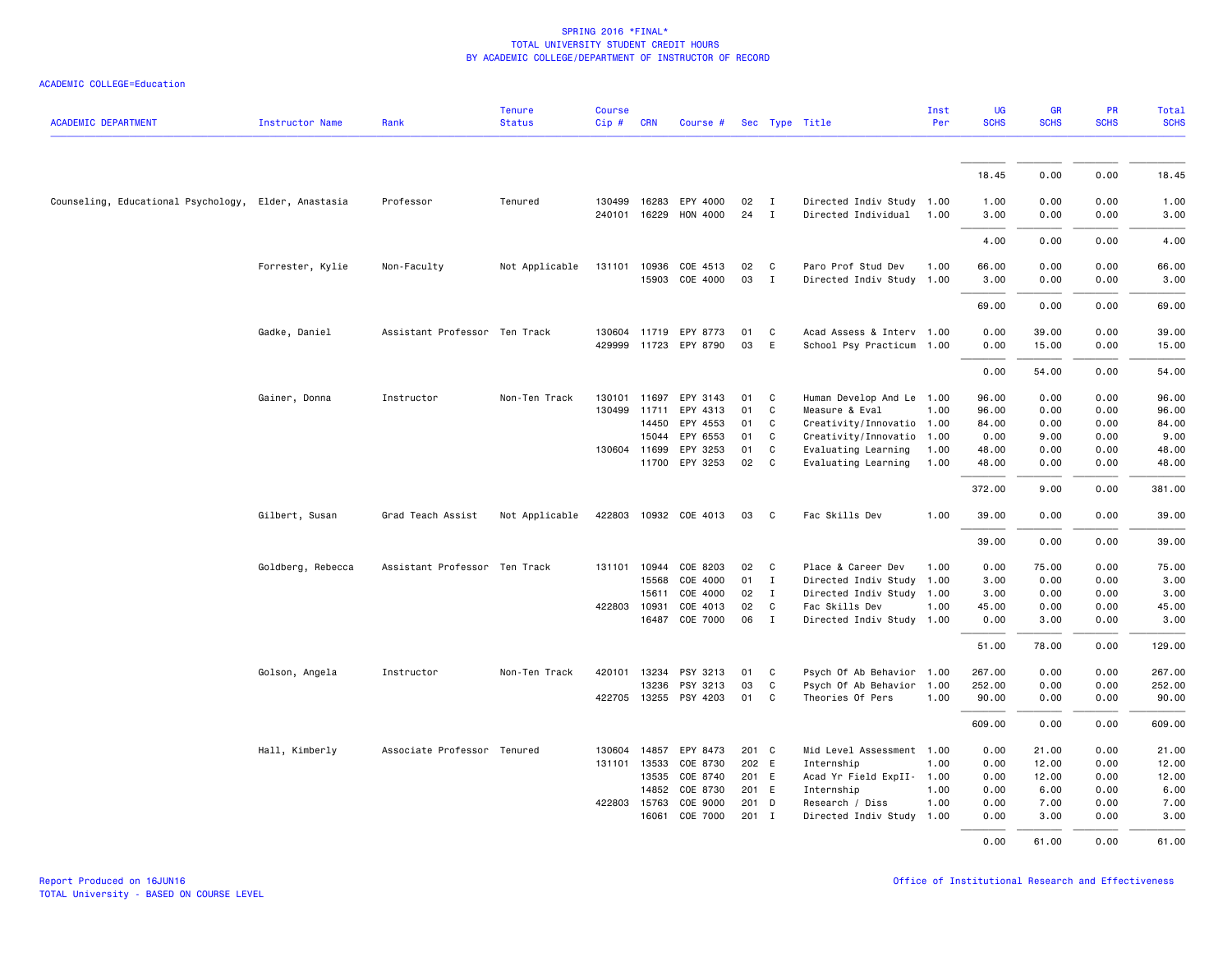|  | ACADEMIC COLLEGE=Education |  |
|--|----------------------------|--|
|--|----------------------------|--|

| <b>ACADEMIC DEPARTMENT</b>                           | Instructor Name   | Rank                          | <b>Tenure</b><br><b>Status</b> | <b>Course</b><br>$Cip \#$ | <b>CRN</b>   | Course #              |         |              | Sec Type Title            | Inst<br>Per | UG<br><b>SCHS</b> | GR<br><b>SCHS</b> | PR<br><b>SCHS</b> | Total<br><b>SCHS</b> |
|------------------------------------------------------|-------------------|-------------------------------|--------------------------------|---------------------------|--------------|-----------------------|---------|--------------|---------------------------|-------------|-------------------|-------------------|-------------------|----------------------|
|                                                      |                   |                               |                                |                           |              |                       |         |              |                           |             |                   |                   |                   |                      |
|                                                      |                   |                               |                                |                           |              |                       |         |              |                           |             | 18.45             | 0.00              | 0.00              | 18.45                |
| Counseling, Educational Psychology, Elder, Anastasia |                   | Professor                     | Tenured                        | 130499                    |              | 16283 EPY 4000        | 02      | I            | Directed Indiv Study 1.00 |             | 1.00              | 0.00              | 0.00              | 1.00                 |
|                                                      |                   |                               |                                |                           | 240101 16229 | <b>HON 4000</b>       | 24      | $\mathbf I$  | Directed Individual       | 1.00        | 3.00              | 0.00              | 0.00              | 3.00                 |
|                                                      |                   |                               |                                |                           |              |                       |         |              |                           |             | 4.00              | 0.00              | 0.00              | 4.00                 |
|                                                      | Forrester, Kylie  | Non-Faculty                   | Not Applicable                 | 131101                    | 10936        | COE 4513              | 02      | $\mathbf{C}$ | Paro Prof Stud Dev        | 1.00        | 66.00             | 0.00              | 0.00              | 66.00                |
|                                                      |                   |                               |                                |                           |              | 15903 COE 4000        | 03      | $\mathbf{I}$ | Directed Indiv Study 1.00 |             | 3.00              | 0.00              | 0.00              | 3.00                 |
|                                                      |                   |                               |                                |                           |              |                       |         |              |                           |             | 69.00             | 0.00              | 0.00              | 69.00                |
|                                                      | Gadke, Daniel     | Assistant Professor Ten Track |                                |                           |              | 130604 11719 EPY 8773 | 01      | C            | Acad Assess & Interv 1.00 |             | 0.00              | 39.00             | 0.00              | 39.00                |
|                                                      |                   |                               |                                | 429999                    |              | 11723 EPY 8790        | 03      | E            | School Psy Practicum 1.00 |             | 0.00              | 15.00             | 0.00              | 15.00                |
|                                                      |                   |                               |                                |                           |              |                       |         |              |                           |             | 0.00              | 54.00             | 0.00              | 54.00                |
|                                                      | Gainer, Donna     | Instructor                    | Non-Ten Track                  | 130101                    | 11697        | EPY 3143              | 01      | C            | Human Develop And Le 1.00 |             | 96.00             | 0.00              | 0.00              | 96.00                |
|                                                      |                   |                               |                                | 130499                    | 11711        | EPY 4313              | 01      | C            | Measure & Eval            | 1.00        | 96.00             | 0.00              | 0.00              | 96.00                |
|                                                      |                   |                               |                                |                           | 14450        | EPY 4553              | 01      | C.           | Creativity/Innovatio 1.00 |             | 84.00             | 0.00              | 0.00              | 84.00                |
|                                                      |                   |                               |                                |                           | 15044        | EPY 6553              | 01      | C            | Creativity/Innovatio 1.00 |             | 0.00              | 9.00              | 0.00              | 9.00                 |
|                                                      |                   |                               |                                |                           | 130604 11699 | EPY 3253              | 01      | C            | Evaluating Learning       | 1.00        | 48.00             | 0.00              | 0.00              | 48.00                |
|                                                      |                   |                               |                                |                           |              | 11700 EPY 3253        | 02      | C            | Evaluating Learning       | 1.00        | 48.00             | 0.00              | 0.00              | 48.00                |
|                                                      |                   |                               |                                |                           |              |                       |         |              |                           |             | 372.00            | 9.00              | 0.00              | 381.00               |
|                                                      | Gilbert, Susan    | Grad Teach Assist             | Not Applicable                 | 422803                    |              | 10932 COE 4013        | 03      | C            | Fac Skills Dev            | 1.00        | 39.00             | 0.00              | 0.00              | 39.00                |
|                                                      |                   |                               |                                |                           |              |                       |         |              |                           |             | 39.00             | 0.00              | 0.00              | 39.00                |
|                                                      | Goldberg, Rebecca | Assistant Professor Ten Track |                                | 131101                    | 10944        | COE 8203              | 02      | C.           | Place & Career Dev        | 1.00        | 0.00              | 75.00             | 0.00              | 75.00                |
|                                                      |                   |                               |                                |                           | 15568        | COE 4000              | 01      | $\mathbf{I}$ | Directed Indiv Study      | 1.00        | 3.00              | 0.00              | 0.00              | 3.00                 |
|                                                      |                   |                               |                                |                           | 15611        | COE 4000              | 02      | $\mathbf{I}$ | Directed Indiv Study      | 1.00        | 3.00              | 0.00              | 0.00              | 3.00                 |
|                                                      |                   |                               |                                | 422803                    | 10931        | COE 4013              | 02      | C            | Fac Skills Dev            | 1.00        | 45.00             | 0.00              | 0.00              | 45.00                |
|                                                      |                   |                               |                                |                           |              | 16487 COE 7000        | 06      | I            | Directed Indiv Study 1.00 |             | 0.00              | 3.00              | 0.00              | 3.00                 |
|                                                      |                   |                               |                                |                           |              |                       |         |              |                           |             | 51.00             | 78.00             | 0.00              | 129.00               |
|                                                      | Golson, Angela    | Instructor                    | Non-Ten Track                  |                           | 420101 13234 | PSY 3213              | 01      | C.           | Psych Of Ab Behavior 1.00 |             | 267.00            | 0.00              | 0.00              | 267.00               |
|                                                      |                   |                               |                                |                           | 13236        | PSY 3213              | 03      | C            | Psych Of Ab Behavior      | 1.00        | 252.00            | 0.00              | 0.00              | 252.00               |
|                                                      |                   |                               |                                | 422705                    |              | 13255 PSY 4203        | 01      | $\mathbf{C}$ | Theories Of Pers          | 1.00        | 90.00             | 0.00              | 0.00              | 90.00                |
|                                                      |                   |                               |                                |                           |              |                       |         |              |                           |             | 609.00            | 0.00              | 0.00              | 609.00               |
|                                                      | Hall, Kimberly    | Associate Professor Tenured   |                                |                           | 130604 14857 | EPY 8473              | 201 C   |              | Mid Level Assessment 1.00 |             | 0.00              | 21.00             | 0.00              | 21.00                |
|                                                      |                   |                               |                                |                           | 131101 13533 | COE 8730              | 202 E   |              | Internship                | 1.00        | 0.00              | 12.00             | 0.00              | 12.00                |
|                                                      |                   |                               |                                |                           | 13535        | COE 8740              | 201 E   |              | Acad Yr Field ExpII- 1.00 |             | 0.00              | 12.00             | 0.00              | 12.00                |
|                                                      |                   |                               |                                |                           | 14852        | COE 8730              | 201 E   |              | Internship                | 1.00        | 0.00              | 6.00              | 0.00              | 6.00                 |
|                                                      |                   |                               |                                |                           | 422803 15763 | COE 9000              | 201 D   |              | Research / Diss           | 1.00        | 0.00              | 7.00              | 0.00              | 7.00                 |
|                                                      |                   |                               |                                |                           | 16061        | COE 7000              | $201$ I |              | Directed Indiv Study      | 1.00        | 0.00              | 3.00              | 0.00              | 3.00                 |
|                                                      |                   |                               |                                |                           |              |                       |         |              |                           |             | 0.00              | 61.00             | 0.00              | 61.00                |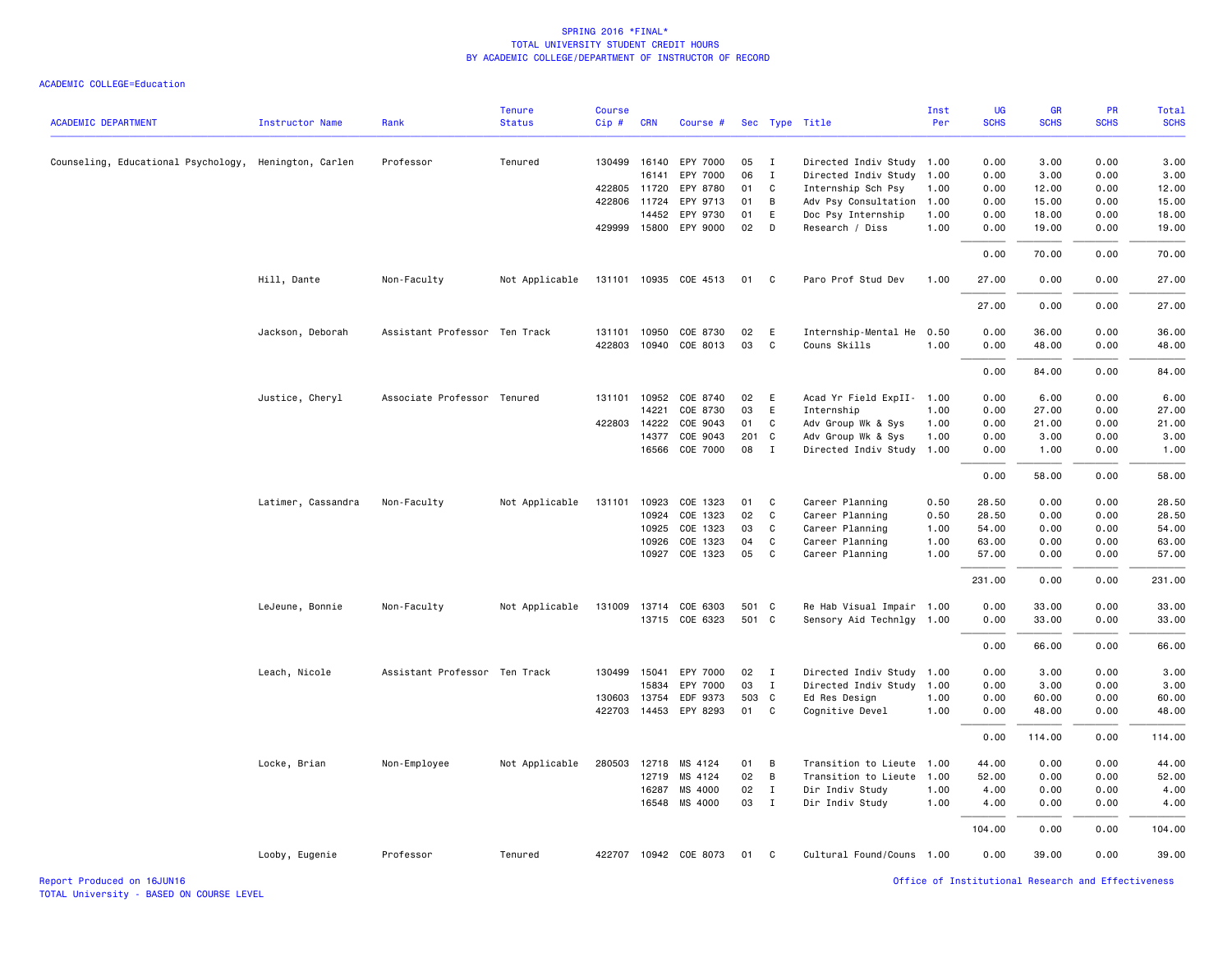| <b>ACADEMIC DEPARTMENT</b>                            | <b>Instructor Name</b> | Rank                          | <b>Tenure</b><br><b>Status</b> | <b>Course</b><br>Cip# | <b>CRN</b>            | Course #              |          |                              | Sec Type Title                                         | Inst<br>Per | UG<br><b>SCHS</b> | <b>GR</b><br><b>SCHS</b> | <b>PR</b><br><b>SCHS</b> | Total<br><b>SCHS</b> |
|-------------------------------------------------------|------------------------|-------------------------------|--------------------------------|-----------------------|-----------------------|-----------------------|----------|------------------------------|--------------------------------------------------------|-------------|-------------------|--------------------------|--------------------------|----------------------|
|                                                       |                        |                               |                                |                       |                       |                       |          |                              |                                                        |             |                   |                          |                          |                      |
| Counseling, Educational Psychology, Henington, Carlen |                        | Professor                     | Tenured                        |                       | 130499 16140<br>16141 | EPY 7000<br>EPY 7000  | 05<br>06 | $\mathbf{I}$<br>$\mathbf{I}$ | Directed Indiv Study 1.00<br>Directed Indiv Study 1.00 |             | 0.00<br>0.00      | 3.00<br>3.00             | 0.00<br>0.00             | 3.00<br>3.00         |
|                                                       |                        |                               |                                | 422805 11720          |                       | EPY 8780              | 01       | C                            | Internship Sch Psy                                     | 1.00        | 0.00              | 12.00                    | 0.00                     | 12.00                |
|                                                       |                        |                               |                                | 422806 11724          |                       | EPY 9713              | 01       | B                            | Adv Psy Consultation                                   | 1.00        | 0.00              | 15.00                    | 0.00                     | 15.00                |
|                                                       |                        |                               |                                |                       | 14452                 | EPY 9730              | 01       | E                            | Doc Psy Internship                                     | 1.00        | 0.00              | 18.00                    | 0.00                     | 18.00                |
|                                                       |                        |                               |                                |                       |                       | 429999 15800 EPY 9000 | 02       | D                            | Research / Diss                                        | 1.00        | 0.00              | 19.00                    | 0.00                     | 19.00                |
|                                                       |                        |                               |                                |                       |                       |                       |          |                              |                                                        |             | 0.00              | 70.00                    | 0.00                     | 70.00                |
|                                                       | Hill, Dante            | Non-Faculty                   | Not Applicable                 |                       |                       | 131101 10935 COE 4513 | 01       | $\mathbf{C}$                 | Paro Prof Stud Dev                                     | 1.00        | 27.00             | 0.00                     | 0.00                     | 27.00                |
|                                                       |                        |                               |                                |                       |                       |                       |          |                              |                                                        |             | 27.00             | 0.00                     | 0.00                     | 27.00                |
|                                                       | Jackson, Deborah       | Assistant Professor Ten Track |                                | 131101                | 10950                 | COE 8730              | 02       | E                            | Internship-Mental He                                   | 0.50        | 0.00              | 36.00                    | 0.00                     | 36.00                |
|                                                       |                        |                               |                                | 422803                | 10940                 | COE 8013              | 03       | C                            | Couns Skills                                           | 1.00        | 0.00              | 48.00                    | 0.00                     | 48.00                |
|                                                       |                        |                               |                                |                       |                       |                       |          |                              |                                                        |             | 0.00              | 84.00                    | 0.00                     | 84.00                |
|                                                       | Justice, Cheryl        | Associate Professor Tenured   |                                | 131101                | 10952                 | COE 8740              | 02       | E                            | Acad Yr Field ExpII- 1.00                              |             | 0.00              | 6.00                     | 0.00                     | 6.00                 |
|                                                       |                        |                               |                                |                       | 14221                 | COE 8730              | 03       | E                            | Internship                                             | 1.00        | 0.00              | 27.00                    | 0.00                     | 27.00                |
|                                                       |                        |                               |                                | 422803                | 14222                 | COE 9043              | 01       | C                            | Adv Group Wk & Sys                                     | 1.00        | 0.00              | 21.00                    | 0.00                     | 21.00                |
|                                                       |                        |                               |                                |                       | 14377                 | COE 9043              | 201 C    |                              | Adv Group Wk & Sys                                     | 1.00        | 0.00              | 3.00                     | 0.00                     | 3.00                 |
|                                                       |                        |                               |                                |                       | 16566                 | COE 7000              | 08       | $\mathbf{I}$                 | Directed Indiv Study 1.00                              |             | 0.00              | 1.00                     | 0.00                     | 1.00                 |
|                                                       |                        |                               |                                |                       |                       |                       |          |                              |                                                        |             | 0.00              | 58.00                    | 0.00                     | 58.00                |
|                                                       | Latimer, Cassandra     | Non-Faculty                   | Not Applicable                 | 131101                | 10923                 | COE 1323              | 01       | C                            | Career Planning                                        | 0.50        | 28.50             | 0.00                     | 0.00                     | 28.50                |
|                                                       |                        |                               |                                |                       | 10924                 | COE 1323              | 02       | C                            | Career Planning                                        | 0.50        | 28.50             | 0.00                     | 0.00                     | 28.50                |
|                                                       |                        |                               |                                |                       | 10925                 | COE 1323              | 03       | C                            | Career Planning                                        | 1.00        | 54.00             | 0.00                     | 0.00                     | 54.00                |
|                                                       |                        |                               |                                |                       | 10926                 | COE 1323              | 04       | C                            | Career Planning                                        | 1.00        | 63.00             | 0.00                     | 0.00                     | 63.00                |
|                                                       |                        |                               |                                |                       | 10927                 | COE 1323              | 05       | C                            | Career Planning                                        | 1.00        | 57.00             | 0.00                     | 0.00                     | 57.00                |
|                                                       |                        |                               |                                |                       |                       |                       |          |                              |                                                        |             | 231.00            | 0.00                     | 0.00                     | 231.00               |
|                                                       | LeJeune, Bonnie        | Non-Faculty                   | Not Applicable                 | 131009                |                       | 13714 COE 6303        |          | 501 C                        | Re Hab Visual Impair 1.00                              |             | 0.00              | 33.00                    | 0.00                     | 33.00                |
|                                                       |                        |                               |                                |                       |                       | 13715 COE 6323        |          | 501 C                        | Sensory Aid Technlgy 1.00                              |             | 0.00              | 33.00                    | 0.00                     | 33.00                |
|                                                       |                        |                               |                                |                       |                       |                       |          |                              |                                                        |             | 0.00              | 66.00                    | 0.00                     | 66.00                |
|                                                       | Leach, Nicole          | Assistant Professor Ten Track |                                |                       | 130499 15041          | EPY 7000              | 02       | $\mathbf{I}$                 | Directed Indiv Study 1.00                              |             | 0.00              | 3.00                     | 0.00                     | 3.00                 |
|                                                       |                        |                               |                                |                       | 15834                 | EPY 7000              | 03       | $\mathbf{I}$                 | Directed Indiv Study 1.00                              |             | 0.00              | 3.00                     | 0.00                     | 3.00                 |
|                                                       |                        |                               |                                | 130603                | 13754                 | EDF 9373              |          | 503 C                        | Ed Res Design                                          | 1.00        | 0.00              | 60.00                    | 0.00                     | 60.00                |
|                                                       |                        |                               |                                | 422703                | 14453                 | EPY 8293              | 01       | $\mathbf{C}$                 | Cognitive Devel                                        | 1.00        | 0.00              | 48.00                    | 0.00                     | 48.00                |
|                                                       |                        |                               |                                |                       |                       |                       |          |                              |                                                        |             | 0.00              | 114.00                   | 0.00                     | 114.00               |
|                                                       | Locke, Brian           | Non-Employee                  | Not Applicable                 | 280503                | 12718                 | MS 4124               | 01       | B                            | Transition to Lieute 1.00                              |             | 44.00             | 0.00                     | 0.00                     | 44.00                |
|                                                       |                        |                               |                                |                       | 12719                 | MS 4124               | 02       | B                            | Transition to Lieute 1.00                              |             | 52.00             | 0.00                     | 0.00                     | 52.00                |
|                                                       |                        |                               |                                |                       | 16287                 | MS 4000               | 02       | $\mathbf{I}$                 | Dir Indiv Study                                        | 1.00        | 4.00              | 0.00                     | 0.00                     | 4.00                 |
|                                                       |                        |                               |                                |                       | 16548                 | MS 4000               |          | 03 I                         | Dir Indiv Study                                        | 1.00        | 4.00              | 0.00                     | 0.00                     | 4.00                 |
|                                                       |                        |                               |                                |                       |                       |                       |          |                              |                                                        |             | 104.00            | 0.00                     | 0.00                     | 104.00               |
|                                                       | Looby, Eugenie         | Professor                     | Tenured                        |                       |                       | 422707 10942 COE 8073 | 01       | C                            | Cultural Found/Couns 1.00                              |             | 0.00              | 39.00                    | 0.00                     | 39.00                |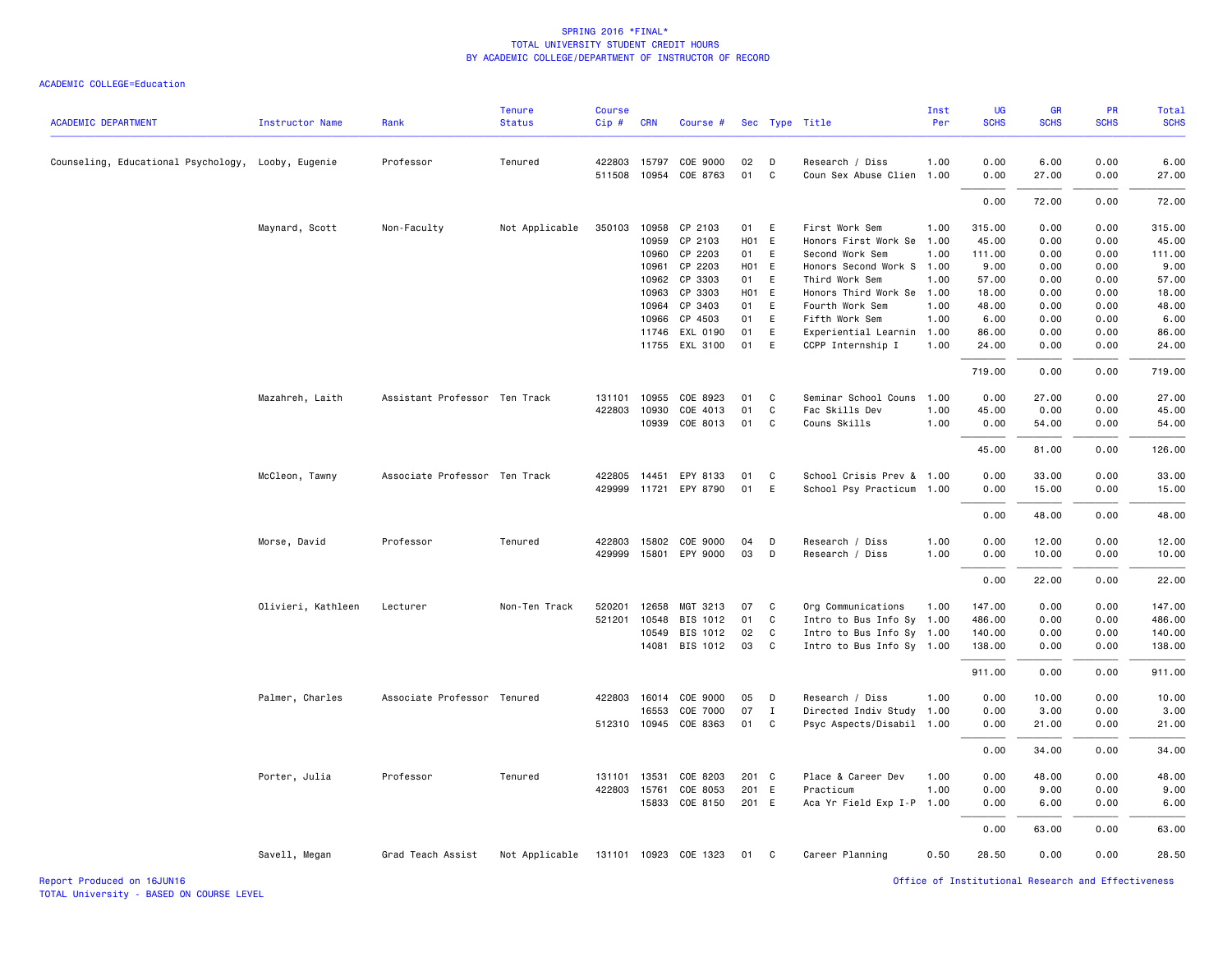| <b>ACADEMIC DEPARTMENT</b>                         | <b>Instructor Name</b> | Rank                          | <b>Tenure</b><br><b>Status</b>       | Course<br>Cip# | <b>CRN</b> | Course #              |                   |              | Sec Type Title            | Inst<br>Per | UG<br><b>SCHS</b> | GR<br><b>SCHS</b> | PR<br><b>SCHS</b> | Total<br><b>SCHS</b> |
|----------------------------------------------------|------------------------|-------------------------------|--------------------------------------|----------------|------------|-----------------------|-------------------|--------------|---------------------------|-------------|-------------------|-------------------|-------------------|----------------------|
| Counseling, Educational Psychology, Looby, Eugenie |                        | Professor                     | Tenured                              | 422803         | 15797      | COE 9000              | 02                | D            | Research / Diss           | 1.00        | 0.00              | 6.00              | 0.00              | 6.00                 |
|                                                    |                        |                               |                                      | 511508         | 10954      | COE 8763              | 01                | $\mathbf{C}$ | Coun Sex Abuse Clien 1.00 |             | 0.00              | 27.00             | 0.00              | 27.00                |
|                                                    |                        |                               |                                      |                |            |                       |                   |              |                           |             | 0.00              | 72.00             | 0.00              | 72.00                |
|                                                    | Maynard, Scott         | Non-Faculty                   | Not Applicable                       | 350103         | 10958      | CP 2103               | 01                | E            | First Work Sem            | 1.00        | 315.00            | 0.00              | 0.00              | 315.00               |
|                                                    |                        |                               |                                      |                | 10959      | CP 2103               | H01 E             |              | Honors First Work Se      | 1.00        | 45.00             | 0.00              | 0.00              | 45.00                |
|                                                    |                        |                               |                                      |                | 10960      | CP 2203               | 01                | E            | Second Work Sem           | 1.00        | 111.00            | 0.00              | 0.00              | 111.00               |
|                                                    |                        |                               |                                      |                | 10961      | CP 2203               | H01 E             |              | Honors Second Work S      | 1.00        | 9.00              | 0.00              | 0.00              | 9.00                 |
|                                                    |                        |                               |                                      |                | 10962      | CP 3303               | 01                | E            | Third Work Sem            | 1.00        | 57.00             | 0.00              | 0.00              | 57.00                |
|                                                    |                        |                               |                                      |                | 10963      | CP 3303               | H <sub>01</sub> E |              | Honors Third Work Se      | 1.00        | 18.00             | 0.00              | 0.00              | 18.00                |
|                                                    |                        |                               |                                      |                | 10964      | CP 3403               | 01                | E            | Fourth Work Sem           | 1.00        | 48.00             | 0.00              | 0.00              | 48.00                |
|                                                    |                        |                               |                                      |                | 10966      | CP 4503               | 01                | E            | Fifth Work Sem            | 1.00        | 6.00              | 0.00              | 0.00              | 6.00                 |
|                                                    |                        |                               |                                      |                | 11746      | EXL 0190              | 01                | E            | Experiential Learnin      | 1.00        | 86.00             | 0.00              | 0.00              | 86.00                |
|                                                    |                        |                               |                                      |                |            | 11755 EXL 3100        | 01                | E            | CCPP Internship I         | 1.00        | 24.00             | 0.00              | 0.00              | 24.00                |
|                                                    |                        |                               |                                      |                |            |                       |                   |              |                           |             | 719.00            | 0.00              | 0.00              | 719.00               |
|                                                    | Mazahreh, Laith        | Assistant Professor Ten Track |                                      | 131101         | 10955      | COE 8923              | 01                | C            | Seminar School Couns      | 1.00        | 0.00              | 27.00             | 0.00              | 27.00                |
|                                                    |                        |                               |                                      | 422803         | 10930      | COE 4013              | 01                | C            | Fac Skills Dev            | 1.00        | 45.00             | 0.00              | 0.00              | 45.00                |
|                                                    |                        |                               |                                      |                | 10939      | COE 8013              | 01                | C            | Couns Skills              | 1.00        | 0.00              | 54.00             | 0.00              | 54.00                |
|                                                    |                        |                               |                                      |                |            |                       |                   |              |                           |             | 45.00             | 81.00             | 0.00              | 126.00               |
|                                                    | McCleon, Tawny         | Associate Professor Ten Track |                                      | 422805         | 14451      | EPY 8133              | 01                | C            | School Crisis Prev & 1.00 |             | 0.00              | 33.00             | 0.00              | 33.00                |
|                                                    |                        |                               |                                      |                |            | 429999 11721 EPY 8790 | 01                | E            | School Psy Practicum 1.00 |             | 0.00              | 15.00             | 0.00              | 15.00                |
|                                                    |                        |                               |                                      |                |            |                       |                   |              |                           |             | 0.00              | 48.00             | 0.00              | 48.00                |
|                                                    | Morse, David           | Professor                     | Tenured                              | 422803         | 15802      | COE 9000              | 04                | D            | Research / Diss           | 1.00        | 0.00              | 12.00             | 0.00              | 12.00                |
|                                                    |                        |                               |                                      | 429999         | 15801      | EPY 9000              | 03                | D            | Research / Diss           | 1.00        | 0.00              | 10.00             | 0.00              | 10.00                |
|                                                    |                        |                               |                                      |                |            |                       |                   |              |                           |             | 0.00              | 22.00             | 0.00              | 22.00                |
|                                                    | Olivieri, Kathleen     | Lecturer                      | Non-Ten Track                        | 520201         | 12658      | MGT 3213              | 07                | C            | Org Communications        | 1.00        | 147.00            | 0.00              | 0.00              | 147.00               |
|                                                    |                        |                               |                                      | 521201         | 10548      | BIS 1012              | 01                | C            | Intro to Bus Info Sy 1.00 |             | 486.00            | 0.00              | 0.00              | 486.00               |
|                                                    |                        |                               |                                      |                | 10549      | BIS 1012              | 02                | C            | Intro to Bus Info Sy 1.00 |             | 140.00            | 0.00              | 0.00              | 140.00               |
|                                                    |                        |                               |                                      |                | 14081      | BIS 1012              | 03                | C            | Intro to Bus Info Sy 1.00 |             | 138.00            | 0.00              | 0.00              | 138.00               |
|                                                    |                        |                               |                                      |                |            |                       |                   |              |                           |             | 911.00            | 0.00              | 0.00              | 911.00               |
|                                                    | Palmer, Charles        | Associate Professor Tenured   |                                      | 422803 16014   |            | COE 9000              | 05                | D            | Research / Diss           | 1.00        | 0.00              | 10.00             | 0.00              | 10.00                |
|                                                    |                        |                               |                                      |                | 16553      | COE 7000              | 07                | $\mathbf{I}$ | Directed Indiv Study      | 1.00        | 0.00              | 3.00              | 0.00              | 3.00                 |
|                                                    |                        |                               |                                      | 512310 10945   |            | COE 8363              | 01                | C            | Psyc Aspects/Disabil 1.00 |             | 0.00              | 21.00             | 0.00              | 21.00                |
|                                                    |                        |                               |                                      |                |            |                       |                   |              |                           |             | 0.00              | 34.00             | 0.00              | 34.00                |
|                                                    | Porter, Julia          | Professor                     | Tenured                              | 131101 13531   |            | COE 8203              | 201 C             |              | Place & Career Dev        | 1.00        | 0.00              | 48.00             | 0.00              | 48.00                |
|                                                    |                        |                               |                                      | 422803 15761   |            | COE 8053              | 201               | E            | Practicum                 | 1.00        | 0.00              | 9.00              | 0.00              | 9.00                 |
|                                                    |                        |                               |                                      |                | 15833      | COE 8150              | 201 E             |              | Aca Yr Field Exp I-P      | 1.00        | 0.00              | 6.00              | 0.00              | 6.00                 |
|                                                    |                        |                               |                                      |                |            |                       |                   |              |                           |             | 0.00              | 63.00             | 0.00              | 63.00                |
|                                                    | Savell, Megan          | Grad Teach Assist             | Not Applicable 131101 10923 COE 1323 |                |            |                       | 01                | C            | Career Planning           | 0.50        | 28.50             | 0.00              | 0.00              | 28.50                |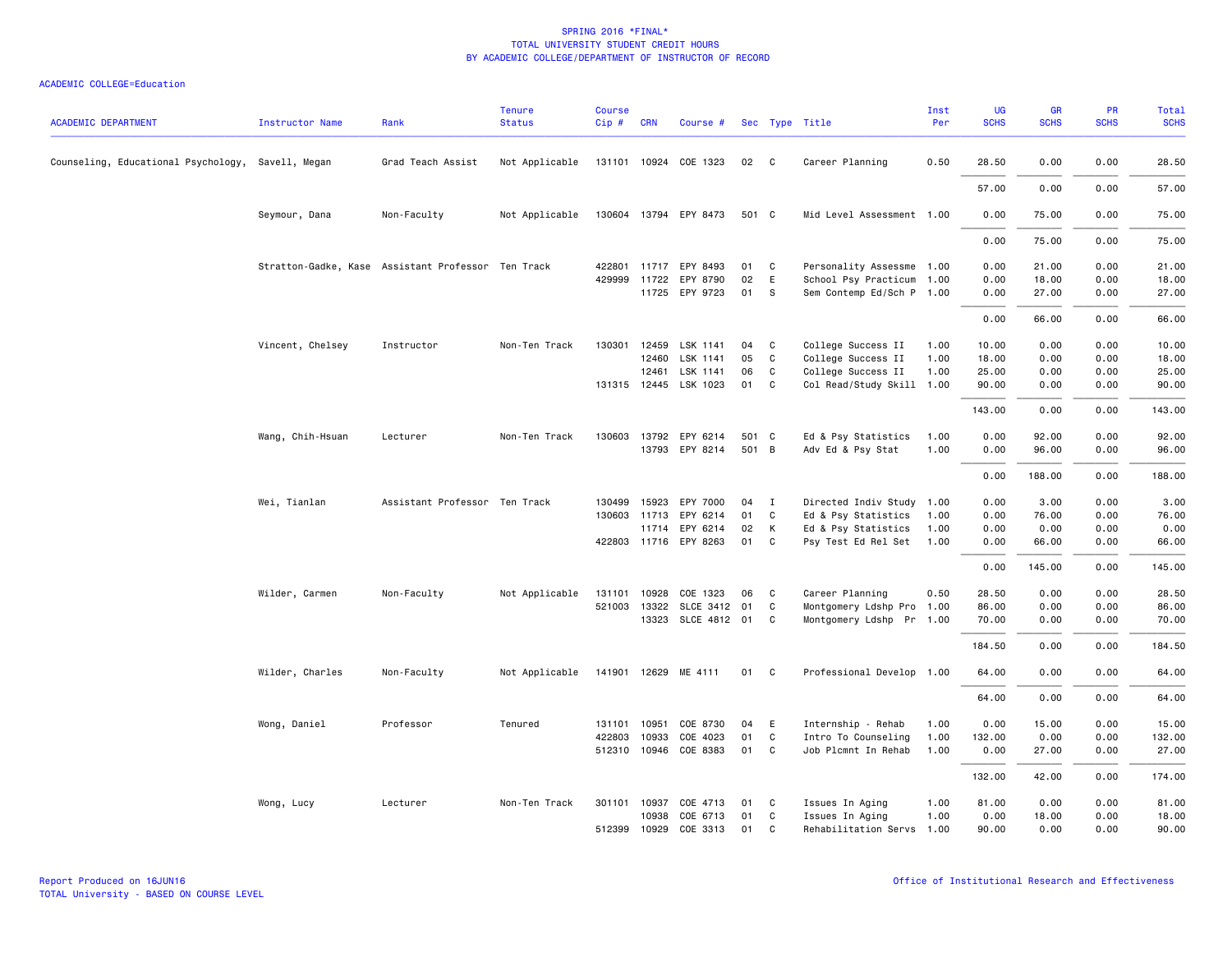| <b>ACADEMIC DEPARTMENT</b>                        | <b>Instructor Name</b> | Rank                                               | <b>Tenure</b><br><b>Status</b> | <b>Course</b><br>Cip# | <b>CRN</b>   | Course #              |       |              | Sec Type Title            | Inst<br>Per | UG<br><b>SCHS</b> | <b>GR</b><br><b>SCHS</b> | <b>PR</b><br><b>SCHS</b> | <b>Total</b><br><b>SCHS</b> |
|---------------------------------------------------|------------------------|----------------------------------------------------|--------------------------------|-----------------------|--------------|-----------------------|-------|--------------|---------------------------|-------------|-------------------|--------------------------|--------------------------|-----------------------------|
| Counseling, Educational Psychology, Savell, Megan |                        | Grad Teach Assist                                  | Not Applicable                 |                       |              | 131101 10924 COE 1323 | 02    | $\mathbf{C}$ | Career Planning           | 0.50        | 28.50             | 0.00                     | 0.00                     | 28.50                       |
|                                                   |                        |                                                    |                                |                       |              |                       |       |              |                           |             | 57.00             | 0.00                     | 0.00                     | 57.00                       |
|                                                   | Seymour, Dana          | Non-Faculty                                        | Not Applicable                 |                       |              | 130604 13794 EPY 8473 | 501 C |              | Mid Level Assessment 1.00 |             | 0.00              | 75.00                    | 0.00                     | 75.00                       |
|                                                   |                        |                                                    |                                |                       |              |                       |       |              |                           |             | 0.00              | 75.00                    | 0.00                     | 75.00                       |
|                                                   |                        | Stratton-Gadke, Kase Assistant Professor Ten Track |                                | 422801                |              | 11717 EPY 8493        | 01    | C            | Personality Assessme 1.00 |             | 0.00              | 21.00                    | 0.00                     | 21.00                       |
|                                                   |                        |                                                    |                                | 429999                |              | 11722 EPY 8790        | 02    | E            | School Psy Practicum 1.00 |             | 0.00              | 18.00                    | 0.00                     | 18.00                       |
|                                                   |                        |                                                    |                                |                       |              | 11725 EPY 9723        | 01    | S            | Sem Contemp Ed/Sch P 1.00 |             | 0.00              | 27.00                    | 0.00                     | 27.00                       |
|                                                   |                        |                                                    |                                |                       |              |                       |       |              |                           |             | 0.00              | 66.00                    | 0.00                     | 66.00                       |
|                                                   | Vincent, Chelsey       | Instructor                                         | Non-Ten Track                  | 130301                | 12459        | LSK 1141              | 04    | C            | College Success II        | 1.00        | 10.00             | 0.00                     | 0.00                     | 10.00                       |
|                                                   |                        |                                                    |                                |                       | 12460        | LSK 1141              | 05    | C            | College Success II        | 1.00        | 18.00             | 0.00                     | 0.00                     | 18.00                       |
|                                                   |                        |                                                    |                                |                       | 12461        | LSK 1141              | 06    | C            | College Success II        | 1.00        | 25.00             | 0.00                     | 0.00                     | 25.00                       |
|                                                   |                        |                                                    |                                |                       |              | 131315 12445 LSK 1023 | 01    | C            | Col Read/Study Skill 1.00 |             | 90.00             | 0.00                     | 0.00                     | 90.00                       |
|                                                   |                        |                                                    |                                |                       |              |                       |       |              |                           |             | 143.00            | 0.00                     | 0.00                     | 143.00                      |
|                                                   | Wang, Chih-Hsuan       | Lecturer                                           | Non-Ten Track                  | 130603                |              | 13792 EPY 6214        | 501 C |              | Ed & Psy Statistics       | 1.00        | 0.00              | 92.00                    | 0.00                     | 92.00                       |
|                                                   |                        |                                                    |                                |                       |              | 13793 EPY 8214        | 501 B |              | Adv Ed & Psy Stat         | 1.00        | 0.00              | 96.00                    | 0.00                     | 96.00                       |
|                                                   |                        |                                                    |                                |                       |              |                       |       |              |                           |             | 0.00              | 188.00                   | 0.00                     | 188.00                      |
|                                                   |                        |                                                    |                                |                       |              |                       |       |              |                           |             |                   |                          |                          |                             |
|                                                   | Wei, Tianlan           | Assistant Professor Ten Track                      |                                | 130499                | 15923        | EPY 7000              | 04    | $\mathbf{I}$ | Directed Indiv Study 1.00 |             | 0.00              | 3.00                     | 0.00                     | 3.00                        |
|                                                   |                        |                                                    |                                |                       | 130603 11713 | EPY 6214              | 01    | C            | Ed & Psy Statistics       | 1.00        | 0.00              | 76.00                    | 0.00                     | 76.00                       |
|                                                   |                        |                                                    |                                |                       |              | 11714 EPY 6214        | 02    | К            | Ed & Psy Statistics       | 1.00        | 0.00              | 0.00                     | 0.00                     | 0.00                        |
|                                                   |                        |                                                    |                                |                       |              | 422803 11716 EPY 8263 | 01    | C            | Psy Test Ed Rel Set       | 1.00        | 0.00              | 66.00                    | 0.00                     | 66.00                       |
|                                                   |                        |                                                    |                                |                       |              |                       |       |              |                           |             | 0.00              | 145.00                   | 0.00                     | 145.00                      |
|                                                   | Wilder, Carmen         | Non-Faculty                                        | Not Applicable                 | 131101                | 10928        | COE 1323              | 06    | C            | Career Planning           | 0.50        | 28.50             | 0.00                     | 0.00                     | 28.50                       |
|                                                   |                        |                                                    |                                |                       | 521003 13322 | SLCE 3412 01          |       | C            | Montgomery Ldshp Pro      | 1.00        | 86.00             | 0.00                     | 0.00                     | 86.00                       |
|                                                   |                        |                                                    |                                |                       |              | 13323 SLCE 4812 01    |       | C            | Montgomery Ldshp Pr 1.00  |             | 70.00             | 0.00                     | 0.00                     | 70.00                       |
|                                                   |                        |                                                    |                                |                       |              |                       |       |              |                           |             | 184.50            | 0.00                     | 0.00                     | 184.50                      |
|                                                   | Wilder, Charles        | Non-Faculty                                        | Not Applicable                 |                       |              | 141901 12629 ME 4111  | 01    | $\mathbf{C}$ | Professional Develop 1.00 |             | 64.00             | 0.00                     | 0.00                     | 64.00                       |
|                                                   |                        |                                                    |                                |                       |              |                       |       |              |                           |             | 64.00             | 0.00                     | 0.00                     | 64.00                       |
|                                                   | Wong, Daniel           | Professor                                          | Tenured                        |                       | 131101 10951 | COE 8730              | 04    | E            | Internship - Rehab        | 1.00        | 0.00              | 15.00                    | 0.00                     | 15.00                       |
|                                                   |                        |                                                    |                                | 422803                | 10933        | COE 4023              | 01    | C            | Intro To Counseling       | 1.00        | 132.00            | 0.00                     | 0.00                     | 132.00                      |
|                                                   |                        |                                                    |                                |                       | 512310 10946 | COE 8383              | 01    | C            | Job Plcmnt In Rehab       | 1.00        | 0.00              | 27.00                    | 0.00                     | 27.00                       |
|                                                   |                        |                                                    |                                |                       |              |                       |       |              |                           |             | 132.00            | 42.00                    | 0.00                     | 174.00                      |
|                                                   | Wong, Lucy             | Lecturer                                           | Non-Ten Track                  |                       |              | 301101 10937 COE 4713 | 01    | C            | Issues In Aging           | 1.00        | 81.00             | 0.00                     | 0.00                     | 81.00                       |
|                                                   |                        |                                                    |                                |                       | 10938        | COE 6713              | 01    | C            | Issues In Aging           | 1.00        | 0.00              | 18.00                    | 0.00                     | 18.00                       |
|                                                   |                        |                                                    |                                | 512399                | 10929        | COE 3313              | 01    | $\mathbf{C}$ | Rehabilitation Servs      | 1.00        | 90.00             | 0.00                     | 0.00                     | 90.00                       |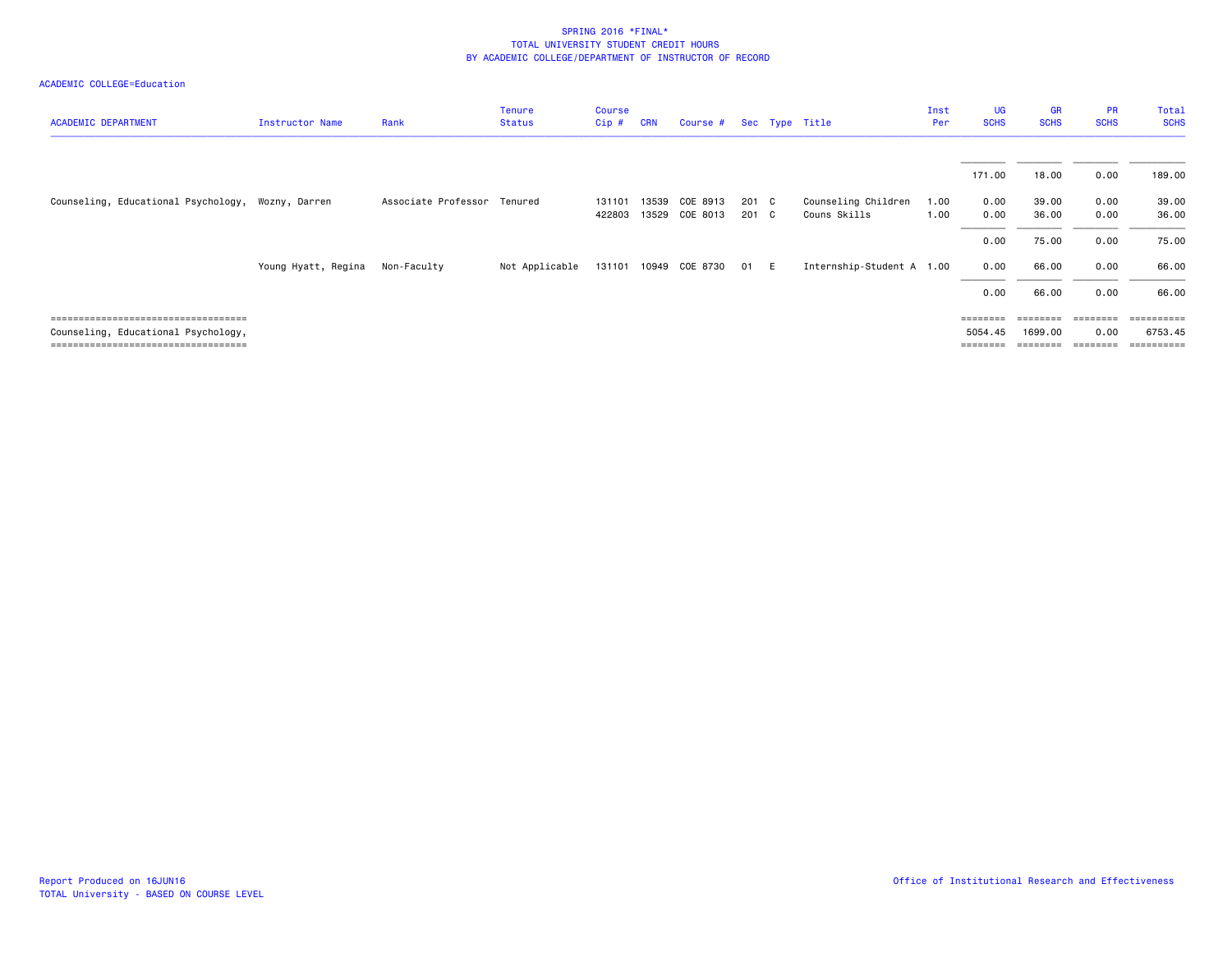| <b>ACADEMIC DEPARTMENT</b>                                                   | Instructor Name     | Rank                        | <b>Tenure</b><br><b>Status</b> | <b>Course</b><br>Cip# | <b>CRN</b> | Course #                   |                | Sec Type Title                      | Inst<br>Per  | <b>UG</b><br><b>SCHS</b>                                                | <b>GR</b><br><b>SCHS</b> | <b>PR</b><br><b>SCHS</b> | Total<br><b>SCHS</b>             |
|------------------------------------------------------------------------------|---------------------|-----------------------------|--------------------------------|-----------------------|------------|----------------------------|----------------|-------------------------------------|--------------|-------------------------------------------------------------------------|--------------------------|--------------------------|----------------------------------|
|                                                                              |                     |                             |                                |                       |            |                            |                |                                     |              | 171.00                                                                  | 18.00                    | 0.00                     | 189.00                           |
| Counseling, Educational Psychology, Wozny, Darren                            |                     | Associate Professor Tenured |                                | 131101<br>422803      | 13539      | COE 8913<br>13529 COE 8013 | 201 C<br>201 C | Counseling Children<br>Couns Skills | 1.00<br>1.00 | 0.00<br>0.00                                                            | 39.00<br>36.00           | 0.00<br>0.00             | 39.00<br>36.00                   |
|                                                                              |                     |                             |                                |                       |            |                            |                |                                     |              | 0.00                                                                    | 75.00                    | 0.00                     | 75.00                            |
|                                                                              | Young Hyatt, Regina | Non-Faculty                 | Not Applicable                 | 131101                |            | 10949 COE 8730             | 01 E           | Internship-Student A 1.00           |              | 0.00                                                                    | 66.00                    | 0.00                     | 66.00                            |
|                                                                              |                     |                             |                                |                       |            |                            |                |                                     |              | 0.00                                                                    | 66.00                    | 0.00                     | 66.00                            |
| ====================================                                         |                     |                             |                                |                       |            |                            |                |                                     |              | $\qquad \qquad \equiv \equiv \equiv \equiv \equiv \equiv \equiv \equiv$ | ========                 | ========                 |                                  |
| Counseling, Educational Psychology,<br>===================================== |                     |                             |                                |                       |            |                            |                |                                     |              | 5054.45<br>======                                                       | 1699.00                  | 0.00<br>eeeeeee          | 6753.45<br>$=$ = = = = = = = = = |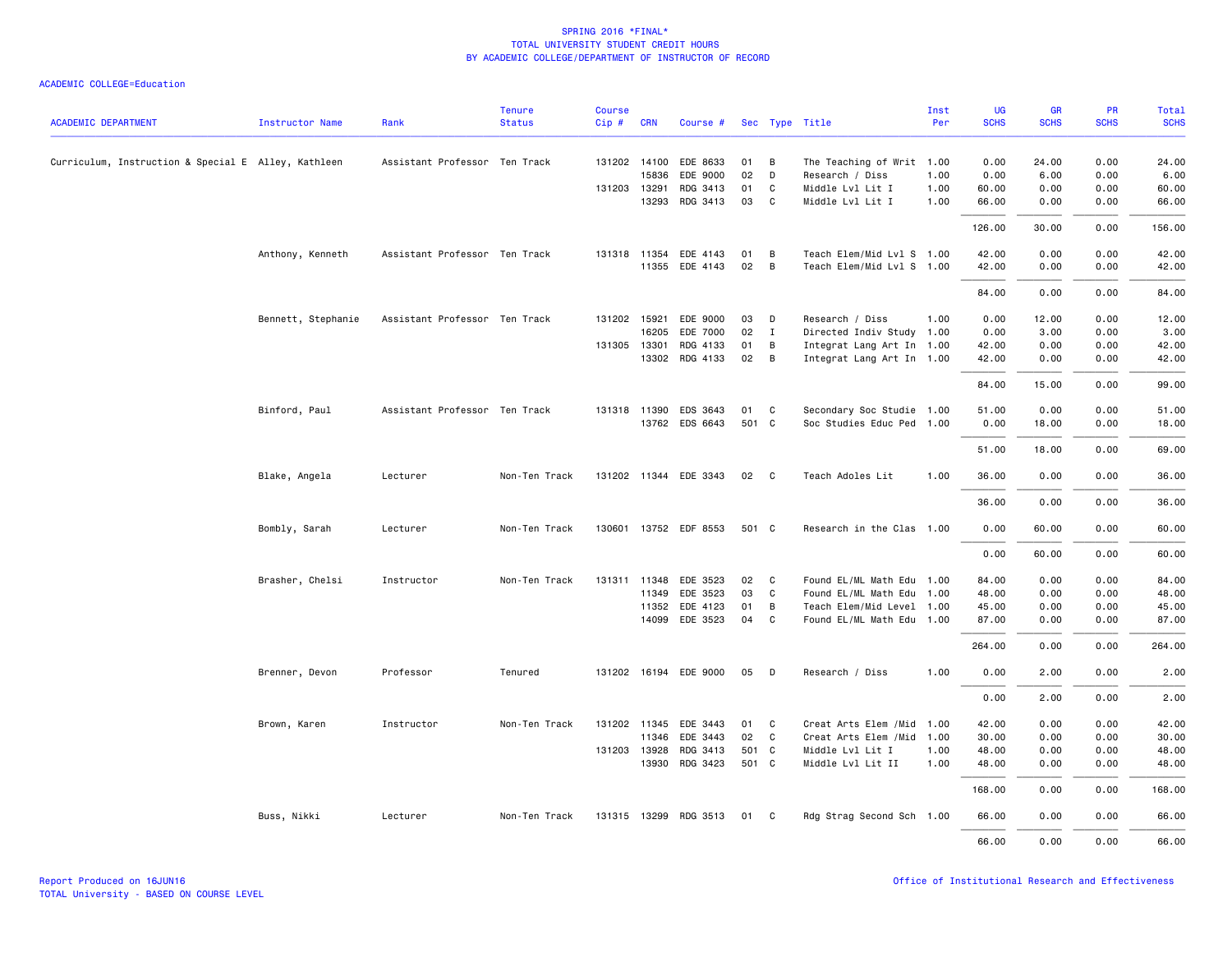| <b>ACADEMIC DEPARTMENT</b>                          | Instructor Name    | Rank                          | <b>Tenure</b><br><b>Status</b> | <b>Course</b><br>Cip# | <b>CRN</b>   | Course #              |       |                | Sec Type Title             | Inst<br>Per | <b>UG</b><br><b>SCHS</b> | <b>GR</b><br><b>SCHS</b> | PR<br><b>SCHS</b> | Total<br><b>SCHS</b> |
|-----------------------------------------------------|--------------------|-------------------------------|--------------------------------|-----------------------|--------------|-----------------------|-------|----------------|----------------------------|-------------|--------------------------|--------------------------|-------------------|----------------------|
|                                                     |                    |                               |                                |                       |              |                       |       |                |                            |             |                          |                          |                   |                      |
| Curriculum, Instruction & Special E Alley, Kathleen |                    | Assistant Professor Ten Track |                                |                       |              | 131202 14100 EDE 8633 | 01    | В              | The Teaching of Writ 1.00  |             | 0.00                     | 24.00                    | 0.00              | 24.00                |
|                                                     |                    |                               |                                |                       | 15836        | EDE 9000              | 02    | D              | Research / Diss            | 1.00        | 0.00                     | 6.00                     | 0.00              | 6.00                 |
|                                                     |                    |                               |                                | 131203 13291          |              | RDG 3413              | 01    | C              | Middle Lvl Lit I           | 1.00        | 60.00                    | 0.00                     | 0.00              | 60.00                |
|                                                     |                    |                               |                                |                       |              | 13293 RDG 3413        | 03    | C              | Middle Lvl Lit I           | 1.00        | 66.00                    | 0.00                     | 0.00              | 66.00                |
|                                                     |                    |                               |                                |                       |              |                       |       |                |                            |             | 126.00                   | 30.00                    | 0.00              | 156.00               |
|                                                     | Anthony, Kenneth   | Assistant Professor Ten Track |                                |                       |              | 131318 11354 EDE 4143 | 01    | B              | Teach Elem/Mid Lvl S 1.00  |             | 42.00                    | 0.00                     | 0.00              | 42.00                |
|                                                     |                    |                               |                                |                       |              | 11355 EDE 4143        | 02    | В              | Teach Elem/Mid Lvl S 1.00  |             | 42.00                    | 0.00                     | 0.00              | 42.00                |
|                                                     |                    |                               |                                |                       |              |                       |       |                |                            |             | 84.00                    | 0.00                     | 0.00              | 84.00                |
|                                                     | Bennett, Stephanie | Assistant Professor Ten Track |                                |                       | 131202 15921 | EDE 9000              | 03    | D              | Research / Diss            | 1.00        | 0.00                     | 12.00                    | 0.00              | 12.00                |
|                                                     |                    |                               |                                |                       | 16205        | EDE 7000              | 02    | $\mathbf{I}$   | Directed Indiv Study 1.00  |             | 0.00                     | 3.00                     | 0.00              | 3.00                 |
|                                                     |                    |                               |                                |                       | 131305 13301 | RDG 4133              | 01    | В              | Integrat Lang Art In 1.00  |             | 42.00                    | 0.00                     | 0.00              | 42.00                |
|                                                     |                    |                               |                                |                       |              | 13302 RDG 4133        | 02    | $\overline{B}$ | Integrat Lang Art In 1.00  |             | 42.00                    | 0.00                     | 0.00              | 42.00                |
|                                                     |                    |                               |                                |                       |              |                       |       |                |                            |             | 84.00                    | 15.00                    | 0.00              | 99.00                |
|                                                     | Binford, Paul      | Assistant Professor Ten Track |                                |                       |              | 131318 11390 EDS 3643 | 01    | C              | Secondary Soc Studie 1.00  |             | 51.00                    | 0.00                     | 0.00              | 51.00                |
|                                                     |                    |                               |                                |                       |              | 13762 EDS 6643        | 501 C |                | Soc Studies Educ Ped 1.00  |             | 0.00                     | 18.00                    | 0.00              | 18.00                |
|                                                     |                    |                               |                                |                       |              |                       |       |                |                            |             | 51.00                    | 18.00                    | 0.00              | 69.00                |
|                                                     | Blake, Angela      | Lecturer                      | Non-Ten Track                  |                       |              | 131202 11344 EDE 3343 | 02    | C              | Teach Adoles Lit           | 1.00        | 36.00                    | 0.00                     | 0.00              | 36.00                |
|                                                     |                    |                               |                                |                       |              |                       |       |                |                            |             | 36.00                    | 0.00                     | 0.00              | 36.00                |
|                                                     | Bombly, Sarah      | Lecturer                      | Non-Ten Track                  |                       |              | 130601 13752 EDF 8553 | 501 C |                | Research in the Clas 1.00  |             | 0.00                     | 60.00                    | 0.00              | 60.00                |
|                                                     |                    |                               |                                |                       |              |                       |       |                |                            |             | 0.00                     | 60.00                    | 0.00              | 60.00                |
|                                                     | Brasher, Chelsi    | Instructor                    | Non-Ten Track                  |                       | 131311 11348 | EDE 3523              | 02    | C              | Found EL/ML Math Edu 1.00  |             | 84.00                    | 0.00                     | 0.00              | 84.00                |
|                                                     |                    |                               |                                |                       | 11349        | EDE 3523              | 03    | C              | Found EL/ML Math Edu 1.00  |             | 48.00                    | 0.00                     | 0.00              | 48.00                |
|                                                     |                    |                               |                                |                       |              | 11352 EDE 4123        | 01    | B              | Teach Elem/Mid Level 1.00  |             | 45.00                    | 0.00                     | 0.00              | 45.00                |
|                                                     |                    |                               |                                |                       |              | 14099 EDE 3523        | 04    | $\mathsf{C}$   | Found EL/ML Math Edu 1.00  |             | 87.00                    | 0.00                     | 0.00              | 87.00                |
|                                                     |                    |                               |                                |                       |              |                       |       |                |                            |             | 264.00                   | 0.00                     | 0.00              | 264.00               |
|                                                     | Brenner, Devon     | Professor                     | Tenured                        |                       |              | 131202 16194 EDE 9000 | 05    | D              | Research / Diss            | 1.00        | 0.00                     | 2.00                     | 0.00              | 2.00                 |
|                                                     |                    |                               |                                |                       |              |                       |       |                |                            |             | 0.00                     | 2.00                     | 0.00              | 2.00                 |
|                                                     | Brown, Karen       | Instructor                    | Non-Ten Track                  |                       |              | 131202 11345 EDE 3443 | 01    | C              | Creat Arts Elem /Mid       | 1.00        | 42.00                    | 0.00                     | 0.00              | 42.00                |
|                                                     |                    |                               |                                |                       | 11346        | EDE 3443              | 02    | C              | Creat Arts Elem / Mid 1.00 |             | 30.00                    | 0.00                     | 0.00              | 30.00                |
|                                                     |                    |                               |                                |                       | 131203 13928 | RDG 3413              | 501 C |                | Middle Lvl Lit I           | 1.00        | 48.00                    | 0.00                     | 0.00              | 48.00                |
|                                                     |                    |                               |                                |                       | 13930        | RDG 3423              | 501 C |                | Middle Lvl Lit II          | 1.00        | 48.00                    | 0.00                     | 0.00              | 48.00                |
|                                                     |                    |                               |                                |                       |              |                       |       |                |                            |             | 168.00                   | 0.00                     | 0.00              | 168.00               |
|                                                     | Buss, Nikki        | Lecturer                      | Non-Ten Track                  |                       |              | 131315 13299 RDG 3513 | 01    | C.             | Rdg Strag Second Sch 1.00  |             | 66.00                    | 0.00                     | 0.00              | 66.00                |
|                                                     |                    |                               |                                |                       |              |                       |       |                |                            |             | 66.00                    | 0.00                     | 0.00              | 66.00                |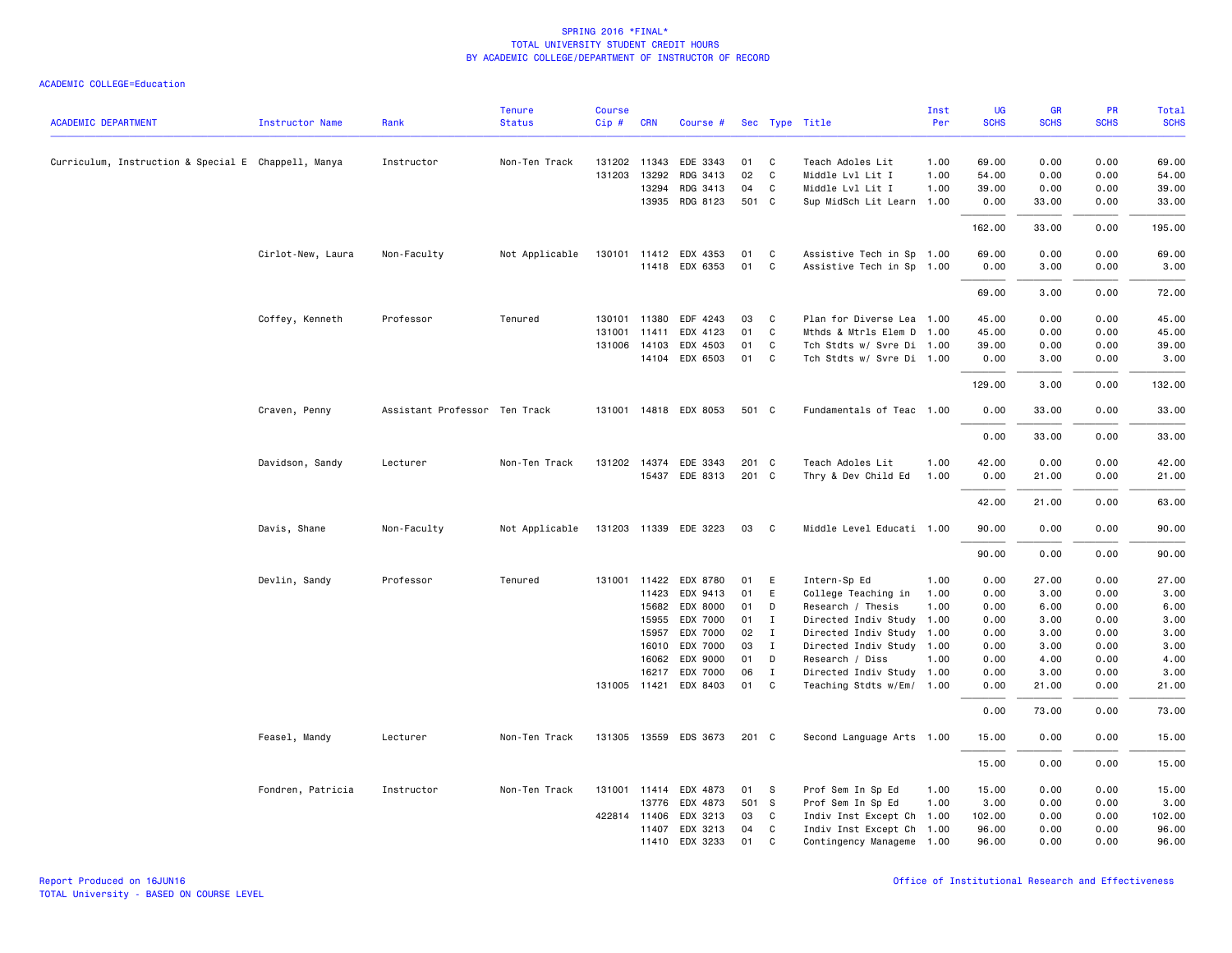|                                                     |                        |                               | <b>Tenure</b>  | <b>Course</b> |              |                       |       |              |                           | Inst | UG          | GR          | PR          | Total       |
|-----------------------------------------------------|------------------------|-------------------------------|----------------|---------------|--------------|-----------------------|-------|--------------|---------------------------|------|-------------|-------------|-------------|-------------|
| <b>ACADEMIC DEPARTMENT</b>                          | <b>Instructor Name</b> | Rank                          | <b>Status</b>  | Cip#          | <b>CRN</b>   | Course #              |       |              | Sec Type Title            | Per  | <b>SCHS</b> | <b>SCHS</b> | <b>SCHS</b> | <b>SCHS</b> |
| Curriculum, Instruction & Special E Chappell, Manya |                        | Instructor                    | Non-Ten Track  |               | 131202 11343 | EDE 3343              | 01    | C            | Teach Adoles Lit          | 1.00 | 69.00       | 0.00        | 0.00        | 69.00       |
|                                                     |                        |                               |                | 131203        | 13292        | RDG 3413              | 02    | <b>C</b>     | Middle Lvl Lit I          | 1.00 | 54.00       | 0.00        | 0.00        | 54.00       |
|                                                     |                        |                               |                |               | 13294        | RDG 3413              | 04    | C            | Middle Lvl Lit I          | 1.00 | 39.00       | 0.00        | 0.00        | 39.00       |
|                                                     |                        |                               |                |               | 13935        | RDG 8123              | 501 C |              | Sup MidSch Lit Learn 1.00 |      | 0.00        | 33.00       | 0.00        | 33.00       |
|                                                     |                        |                               |                |               |              |                       |       |              |                           |      | 162.00      | 33.00       | 0.00        | 195.00      |
|                                                     | Cirlot-New, Laura      | Non-Faculty                   | Not Applicable |               |              | 130101 11412 EDX 4353 | 01    | C            | Assistive Tech in Sp 1.00 |      | 69.00       | 0.00        | 0.00        | 69.00       |
|                                                     |                        |                               |                |               |              | 11418 EDX 6353        | 01    | C            | Assistive Tech in Sp 1.00 |      | 0.00        | 3.00        | 0.00        | 3.00        |
|                                                     |                        |                               |                |               |              |                       |       |              |                           |      | 69.00       | 3.00        | 0.00        | 72.00       |
|                                                     | Coffey, Kenneth        | Professor                     | Tenured        | 130101        | 11380        | EDF 4243              | 03    | C            | Plan for Diverse Lea 1.00 |      | 45.00       | 0.00        | 0.00        | 45.00       |
|                                                     |                        |                               |                | 131001        | 11411        | EDX 4123              | 01    | C            | Mthds & Mtrls Elem D 1.00 |      | 45.00       | 0.00        | 0.00        | 45.00       |
|                                                     |                        |                               |                |               | 131006 14103 | EDX 4503              | 01    | C            | Tch Stdts w/ Svre Di 1.00 |      | 39.00       | 0.00        | 0.00        | 39.00       |
|                                                     |                        |                               |                |               | 14104        | EDX 6503              | 01    | C            | Tch Stdts w/ Svre Di 1.00 |      | 0.00        | 3.00        | 0.00        | 3.00        |
|                                                     |                        |                               |                |               |              |                       |       |              |                           |      | 129.00      | 3.00        | 0.00        | 132.00      |
|                                                     | Craven, Penny          | Assistant Professor Ten Track |                |               |              | 131001 14818 EDX 8053 | 501 C |              | Fundamentals of Teac 1.00 |      | 0.00        | 33.00       | 0.00        | 33.00       |
|                                                     |                        |                               |                |               |              |                       |       |              |                           |      | 0.00        | 33.00       | 0.00        | 33.00       |
|                                                     | Davidson, Sandy        | Lecturer                      | Non-Ten Track  |               | 131202 14374 | EDE 3343              | 201 C |              | Teach Adoles Lit          | 1.00 | 42.00       | 0.00        | 0.00        | 42.00       |
|                                                     |                        |                               |                |               |              | 15437 EDE 8313        | 201 C |              | Thry & Dev Child Ed       | 1.00 | 0.00        | 21.00       | 0.00        | 21.00       |
|                                                     |                        |                               |                |               |              |                       |       |              |                           |      | 42.00       | 21.00       | 0.00        | 63.00       |
|                                                     | Davis, Shane           | Non-Faculty                   | Not Applicable |               |              | 131203 11339 EDE 3223 | 03    | $\mathbf{C}$ | Middle Level Educati 1.00 |      | 90.00       | 0.00        | 0.00        | 90.00       |
|                                                     |                        |                               |                |               |              |                       |       |              |                           |      | 90.00       | 0.00        | 0.00        | 90.00       |
|                                                     | Devlin, Sandy          | Professor                     | Tenured        | 131001        |              | 11422 EDX 8780        | 01    | E            | Intern-Sp Ed              | 1.00 | 0.00        | 27.00       | 0.00        | 27.00       |
|                                                     |                        |                               |                |               | 11423        | EDX 9413              | 01    | E            | College Teaching in       | 1.00 | 0.00        | 3.00        | 0.00        | 3.00        |
|                                                     |                        |                               |                |               | 15682        | EDX 8000              | 01    | D            | Research / Thesis         | 1.00 | 0.00        | 6.00        | 0.00        | 6.00        |
|                                                     |                        |                               |                |               | 15955        | EDX 7000              | 01    | $\mathbf{I}$ | Directed Indiv Study 1.00 |      | 0.00        | 3.00        | 0.00        | 3.00        |
|                                                     |                        |                               |                |               | 15957        | EDX 7000              | 02    | $\mathbf{I}$ | Directed Indiv Study 1.00 |      | 0.00        | 3.00        | 0.00        | 3.00        |
|                                                     |                        |                               |                |               | 16010        | EDX 7000              | 03    | $\mathbf{I}$ | Directed Indiv Study 1.00 |      | 0.00        | 3.00        | 0.00        | 3.00        |
|                                                     |                        |                               |                |               | 16062        | EDX 9000              | 01    | D            | Research / Diss           | 1.00 | 0.00        | 4.00        | 0.00        | 4.00        |
|                                                     |                        |                               |                |               | 16217        | EDX 7000              | 06    | $\mathbf{I}$ | Directed Indiv Study 1.00 |      | 0.00        | 3.00        | 0.00        | 3.00        |
|                                                     |                        |                               |                |               |              | 131005 11421 EDX 8403 | 01    | C            | Teaching Stdts w/Em/ 1.00 |      | 0.00        | 21.00       | 0.00        | 21.00       |
|                                                     |                        |                               |                |               |              |                       |       |              |                           |      | 0.00        | 73.00       | 0.00        | 73.00       |
|                                                     | Feasel, Mandy          | Lecturer                      | Non-Ten Track  |               |              | 131305 13559 EDS 3673 | 201 C |              | Second Language Arts 1.00 |      | 15.00       | 0.00        | 0.00        | 15.00       |
|                                                     |                        |                               |                |               |              |                       |       |              |                           |      | 15.00       | 0.00        | 0.00        | 15.00       |
|                                                     | Fondren, Patricia      | Instructor                    | Non-Ten Track  |               |              | 131001 11414 EDX 4873 | 01 S  |              | Prof Sem In Sp Ed         | 1.00 | 15.00       | 0.00        | 0.00        | 15.00       |
|                                                     |                        |                               |                |               | 13776        | EDX 4873              | 501 S |              | Prof Sem In Sp Ed         | 1.00 | 3.00        | 0.00        | 0.00        | 3.00        |
|                                                     |                        |                               |                |               | 422814 11406 | EDX 3213              | 03    | C            | Indiv Inst Except Ch 1.00 |      | 102.00      | 0.00        | 0.00        | 102.00      |
|                                                     |                        |                               |                |               | 11407        | EDX 3213              | 04    | C            | Indiv Inst Except Ch 1.00 |      | 96.00       | 0.00        | 0.00        | 96.00       |
|                                                     |                        |                               |                |               |              | 11410 EDX 3233        | 01    | $\mathbf{C}$ | Contingency Manageme 1.00 |      | 96.00       | 0.00        | 0.00        | 96.00       |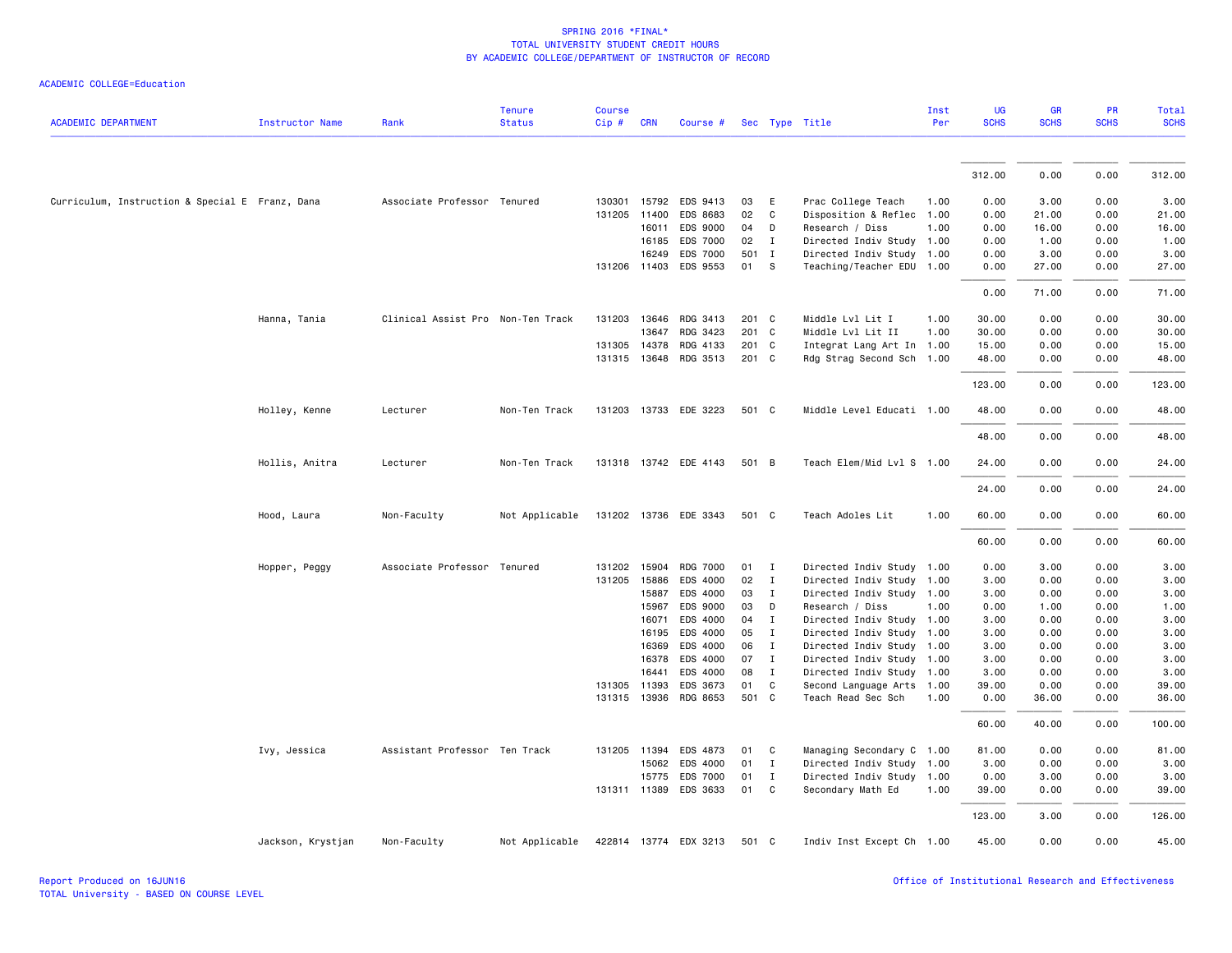| <b>ACADEMIC DEPARTMENT</b>                      | Instructor Name   | Rank                              | <b>Tenure</b><br><b>Status</b> | <b>Course</b><br>Cip# | <b>CRN</b>   | Course #                          |          |              | Sec Type Title                             | Inst<br>Per  | <b>UG</b><br><b>SCHS</b> | <b>GR</b><br><b>SCHS</b> | PR<br><b>SCHS</b> | <b>Total</b><br><b>SCHS</b> |
|-------------------------------------------------|-------------------|-----------------------------------|--------------------------------|-----------------------|--------------|-----------------------------------|----------|--------------|--------------------------------------------|--------------|--------------------------|--------------------------|-------------------|-----------------------------|
|                                                 |                   |                                   |                                |                       |              |                                   |          |              |                                            |              |                          |                          |                   |                             |
|                                                 |                   |                                   |                                |                       |              |                                   |          |              |                                            |              | 312.00                   | 0.00                     | 0.00              | 312.00                      |
| Curriculum, Instruction & Special E Franz, Dana |                   | Associate Professor Tenured       |                                |                       |              | 130301 15792 EDS 9413             | 03       | E            | Prac College Teach                         | 1.00         | 0.00                     | 3.00                     | 0.00              | 3.00                        |
|                                                 |                   |                                   |                                |                       | 131205 11400 | EDS 8683                          | 02       | $\mathsf{C}$ | Disposition & Reflec                       | 1.00         | 0.00                     | 21.00                    | 0.00              | 21.00                       |
|                                                 |                   |                                   |                                |                       | 16011        | EDS 9000                          | 04       | D            | Research / Diss                            | 1.00         | 0.00                     | 16.00                    | 0.00              | 16.00                       |
|                                                 |                   |                                   |                                |                       | 16185        | EDS 7000                          | 02       | $\mathbf{I}$ | Directed Indiv Study                       | 1.00         | 0.00                     | 1.00                     | 0.00              | 1.00                        |
|                                                 |                   |                                   |                                |                       | 16249        | <b>EDS 7000</b>                   |          | 501 I        | Directed Indiv Study 1.00                  |              | 0.00                     | 3.00                     | 0.00              | 3.00                        |
|                                                 |                   |                                   |                                |                       |              | 131206 11403 EDS 9553             | 01       | -S           | Teaching/Teacher EDU 1.00                  |              | 0.00                     | 27.00                    | 0.00              | 27.00                       |
|                                                 |                   |                                   |                                |                       |              |                                   |          |              |                                            |              | 0.00                     | 71.00                    | 0.00              | 71.00                       |
|                                                 | Hanna, Tania      | Clinical Assist Pro Non-Ten Track |                                |                       |              | 131203 13646 RDG 3413             | 201 C    |              | Middle Lvl Lit I                           | 1.00         | 30.00                    | 0.00                     | 0.00              | 30.00                       |
|                                                 |                   |                                   |                                |                       | 13647        | RDG 3423                          | 201 C    |              | Middle Lvl Lit II                          | 1.00         | 30.00                    | 0.00                     | 0.00              | 30.00                       |
|                                                 |                   |                                   |                                |                       | 131305 14378 | RDG 4133                          | 201 C    |              | Integrat Lang Art In 1.00                  |              | 15.00                    | 0.00                     | 0.00              | 15.00                       |
|                                                 |                   |                                   |                                |                       | 131315 13648 | RDG 3513                          | 201 C    |              | Rdg Strag Second Sch 1.00                  |              | 48.00                    | 0.00                     | 0.00              | 48.00                       |
|                                                 |                   |                                   |                                |                       |              |                                   |          |              |                                            |              | 123.00                   | 0.00                     | 0.00              | 123.00                      |
|                                                 | Holley, Kenne     | Lecturer                          | Non-Ten Track                  |                       |              | 131203 13733 EDE 3223             | 501 C    |              | Middle Level Educati 1.00                  |              | 48.00                    | 0.00                     | 0.00              | 48.00                       |
|                                                 |                   |                                   |                                |                       |              |                                   |          |              |                                            |              | 48.00                    | 0.00                     | 0.00              | 48.00                       |
|                                                 | Hollis, Anitra    | Lecturer                          | Non-Ten Track                  |                       |              | 131318 13742 EDE 4143             | 501 B    |              | Teach Elem/Mid Lvl S 1.00                  |              | 24.00                    | 0.00                     | 0.00              | 24.00                       |
|                                                 |                   |                                   |                                |                       |              |                                   |          |              |                                            |              | 24.00                    | 0.00                     | 0.00              | 24.00                       |
|                                                 | Hood, Laura       | Non-Faculty                       | Not Applicable                 |                       |              | 131202 13736 EDE 3343             | 501 C    |              | Teach Adoles Lit                           | 1.00         | 60.00                    | 0.00                     | 0.00              | 60.00                       |
|                                                 |                   |                                   |                                |                       |              |                                   |          |              |                                            |              | 60.00                    | 0.00                     | 0.00              | 60.00                       |
|                                                 | Hopper, Peggy     | Associate Professor Tenured       |                                |                       | 131202 15904 | <b>RDG 7000</b>                   | 01       | $\mathbf{I}$ | Directed Indiv Study 1.00                  |              | 0.00                     | 3.00                     | 0.00              | 3.00                        |
|                                                 |                   |                                   |                                |                       | 131205 15886 | EDS 4000                          | 02       | $\mathbf{I}$ | Directed Indiv Study 1.00                  |              | 3.00                     | 0.00                     | 0.00              | 3.00                        |
|                                                 |                   |                                   |                                |                       | 15887        | EDS 4000                          | 03       | $\mathbf{I}$ | Directed Indiv Study 1.00                  |              | 3.00                     | 0.00                     | 0.00              | 3.00                        |
|                                                 |                   |                                   |                                |                       | 15967        | EDS 9000                          | 03       | D            | Research / Diss                            | 1.00         | 0.00                     | 1.00                     | 0.00              | 1.00                        |
|                                                 |                   |                                   |                                |                       | 16071        | EDS 4000                          | 04       | $\mathbf{I}$ | Directed Indiv Study 1.00                  |              | 3.00                     | 0.00                     | 0.00              | 3.00                        |
|                                                 |                   |                                   |                                |                       | 16195        | EDS 4000                          | 05       | $\mathbf{I}$ | Directed Indiv Study 1.00                  |              | 3.00                     | 0.00                     | 0.00              | 3.00                        |
|                                                 |                   |                                   |                                |                       | 16369        | EDS 4000                          | 06       | I            | Directed Indiv Study 1.00                  |              | 3.00                     | 0.00                     | 0.00              | 3.00                        |
|                                                 |                   |                                   |                                |                       | 16378        | EDS 4000                          | 07       | $\mathbf{I}$ | Directed Indiv Study 1.00                  |              | 3.00                     | 0.00                     | 0.00              | 3.00                        |
|                                                 |                   |                                   |                                |                       | 16441        | EDS 4000                          | 08<br>01 | $\mathbf{I}$ | Directed Indiv Study                       | 1.00         | 3.00                     | 0.00                     | 0.00              | 3.00                        |
|                                                 |                   |                                   |                                |                       | 131305 11393 | EDS 3673<br>131315 13936 RDG 8653 | 501 C    | C            | Second Language Arts<br>Teach Read Sec Sch | 1.00<br>1.00 | 39.00<br>0.00            | 0.00<br>36.00            | 0.00<br>0.00      | 39.00<br>36.00              |
|                                                 |                   |                                   |                                |                       |              |                                   |          |              |                                            |              |                          |                          |                   |                             |
|                                                 |                   |                                   |                                |                       |              |                                   |          |              |                                            |              | 60.00                    | 40.00                    | 0.00              | 100.00                      |
|                                                 | Ivy, Jessica      | Assistant Professor Ten Track     |                                |                       | 131205 11394 | EDS 4873                          | 01       | C            | Managing Secondary C 1.00                  |              | 81.00                    | 0.00                     | 0.00              | 81.00                       |
|                                                 |                   |                                   |                                |                       | 15062        | EDS 4000                          | 01       | $\mathbf{I}$ | Directed Indiv Study 1.00                  |              | 3.00                     | 0.00                     | 0.00              | 3.00                        |
|                                                 |                   |                                   |                                |                       | 15775        | <b>EDS 7000</b>                   | 01       | $\mathbf{I}$ | Directed Indiv Study 1.00                  |              | 0.00                     | 3.00                     | 0.00              | 3.00                        |
|                                                 |                   |                                   |                                |                       |              | 131311 11389 EDS 3633             | 01       | $\mathsf{C}$ | Secondary Math Ed                          | 1.00         | 39.00                    | 0.00                     | 0.00              | 39.00                       |
|                                                 |                   |                                   |                                |                       |              |                                   |          |              |                                            |              | 123.00                   | 3.00                     | 0.00              | 126.00                      |
|                                                 | Jackson, Krystjan | Non-Faculty                       | Not Applicable                 |                       |              | 422814 13774 EDX 3213             | 501 C    |              | Indiv Inst Except Ch 1.00                  |              | 45.00                    | 0.00                     | 0.00              | 45.00                       |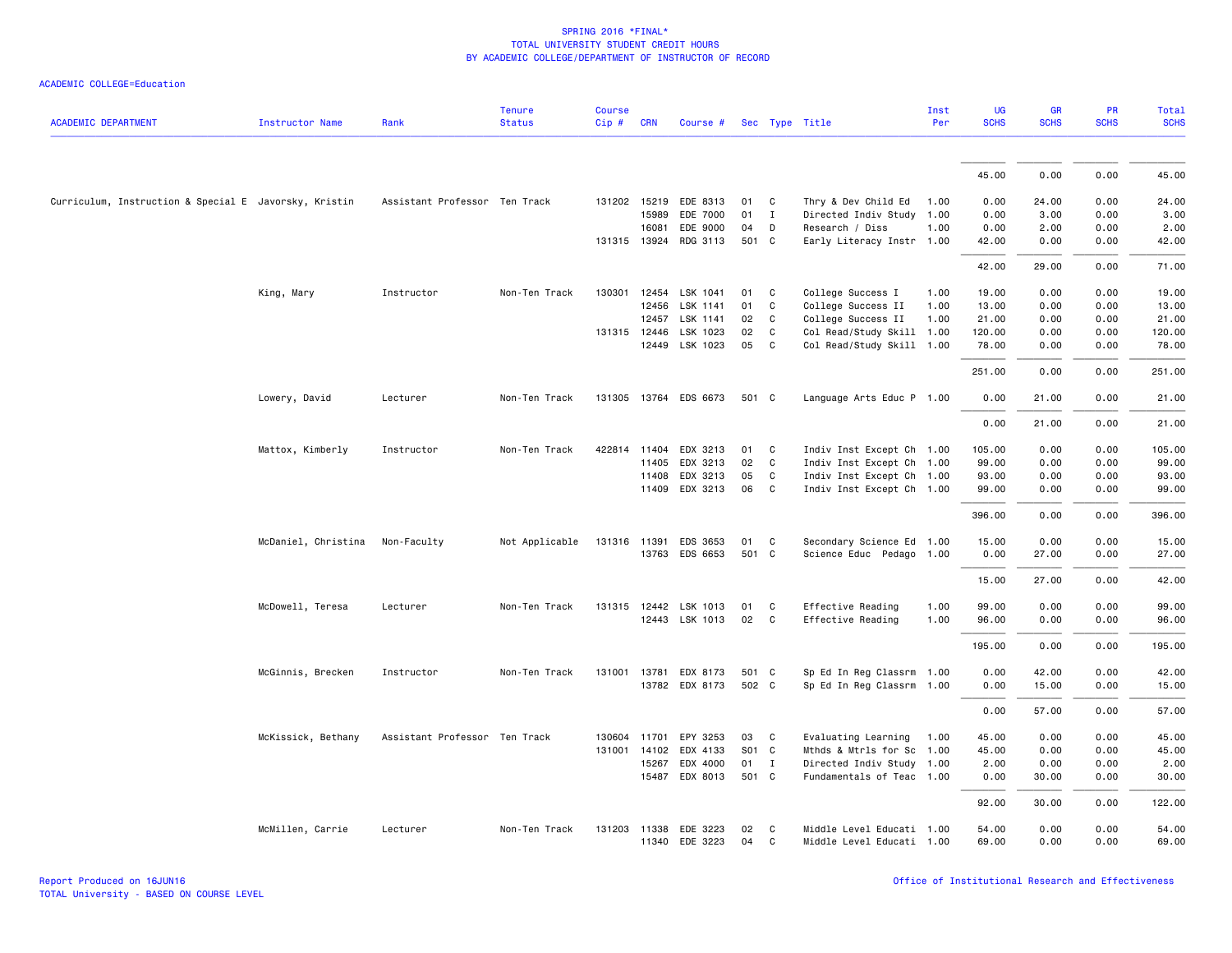| <b>ACADEMIC DEPARTMENT</b>                            | <b>Instructor Name</b> | Rank                          | <b>Tenure</b><br><b>Status</b> | <b>Course</b><br>Cip# | <b>CRN</b>   | Course #              |       |                            | Sec Type Title            | Inst<br>Per | UG<br><b>SCHS</b> | <b>GR</b><br><b>SCHS</b> | PR<br><b>SCHS</b> | Total<br><b>SCHS</b> |
|-------------------------------------------------------|------------------------|-------------------------------|--------------------------------|-----------------------|--------------|-----------------------|-------|----------------------------|---------------------------|-------------|-------------------|--------------------------|-------------------|----------------------|
|                                                       |                        |                               |                                |                       |              |                       |       |                            |                           |             |                   |                          |                   |                      |
|                                                       |                        |                               |                                |                       |              |                       |       |                            |                           |             | 45.00             | 0.00                     | 0.00              | 45.00                |
| Curriculum, Instruction & Special E Javorsky, Kristin |                        | Assistant Professor Ten Track |                                |                       |              | 131202 15219 EDE 8313 | 01    | C                          | Thry & Dev Child Ed       | 1.00        | 0.00              | 24.00                    | 0.00              | 24.00                |
|                                                       |                        |                               |                                |                       | 15989        | EDE 7000              | 01    | I                          | Directed Indiv Study      | 1.00        | 0.00              | 3.00                     | 0.00              | 3.00                 |
|                                                       |                        |                               |                                |                       | 16081        | EDE 9000              | 04    | D                          | Research / Diss           | 1.00        | 0.00              | 2.00                     | 0.00              | 2.00                 |
|                                                       |                        |                               |                                |                       | 131315 13924 | RDG 3113              | 501 C |                            | Early Literacy Instr 1.00 |             | 42.00             | 0.00                     | 0.00              | 42.00                |
|                                                       |                        |                               |                                |                       |              |                       |       |                            |                           |             | 42.00             | 29.00                    | 0.00              | 71.00                |
|                                                       | King, Mary             | Instructor                    | Non-Ten Track                  | 130301                | 12454        | LSK 1041              | 01    | C                          | College Success I         | 1.00        | 19.00             | 0.00                     | 0.00              | 19.00                |
|                                                       |                        |                               |                                |                       | 12456        | LSK 1141              | 01    | C                          | College Success II        | 1.00        | 13.00             | 0.00                     | 0.00              | 13.00                |
|                                                       |                        |                               |                                |                       | 12457        | LSK 1141              | 02    | $\mathbf{C}$               | College Success II        | 1.00        | 21.00             | 0.00                     | 0.00              | 21.00                |
|                                                       |                        |                               |                                |                       | 131315 12446 | LSK 1023              | 02    | C                          | Col Read/Study Skill      | 1.00        | 120.00            | 0.00                     | 0.00              | 120.00               |
|                                                       |                        |                               |                                |                       |              | 12449 LSK 1023        | 05    | $\overline{\phantom{a}}$ C | Col Read/Study Skill 1.00 |             | 78.00             | 0.00                     | 0.00              | 78.00                |
|                                                       |                        |                               |                                |                       |              |                       |       |                            |                           |             | 251.00            | 0.00                     | 0.00              | 251.00               |
|                                                       | Lowery, David          | Lecturer                      | Non-Ten Track                  |                       |              | 131305 13764 EDS 6673 | 501 C |                            | Language Arts Educ P 1.00 |             | 0.00              | 21.00                    | 0.00              | 21.00                |
|                                                       |                        |                               |                                |                       |              |                       |       |                            |                           |             | 0.00              | 21.00                    | 0.00              | 21.00                |
|                                                       | Mattox, Kimberly       | Instructor                    | Non-Ten Track                  | 422814                | 11404        | EDX 3213              | 01    | C                          | Indiv Inst Except Ch 1.00 |             | 105.00            | 0.00                     | 0.00              | 105.00               |
|                                                       |                        |                               |                                |                       | 11405        | EDX 3213              | 02    | C                          | Indiv Inst Except Ch 1.00 |             | 99.00             | 0.00                     | 0.00              | 99.00                |
|                                                       |                        |                               |                                |                       | 11408        | EDX 3213              | 05    | C                          | Indiv Inst Except Ch 1.00 |             | 93.00             | 0.00                     | 0.00              | 93.00                |
|                                                       |                        |                               |                                |                       | 11409        | EDX 3213              | 06    | $\mathbf{C}$               | Indiv Inst Except Ch 1.00 |             | 99.00             | 0.00                     | 0.00              | 99.00                |
|                                                       |                        |                               |                                |                       |              |                       |       |                            |                           |             | 396.00            | 0.00                     | 0.00              | 396.00               |
|                                                       | McDaniel, Christina    | Non-Faculty                   | Not Applicable                 | 131316 11391          |              | EDS 3653              | 01    | C                          | Secondary Science Ed 1.00 |             | 15.00             | 0.00                     | 0.00              | 15.00                |
|                                                       |                        |                               |                                |                       |              | 13763 EDS 6653        | 501 C |                            | Science Educ Pedago 1.00  |             | 0.00              | 27.00                    | 0.00              | 27.00                |
|                                                       |                        |                               |                                |                       |              |                       |       |                            |                           |             | 15.00             | 27.00                    | 0.00              | 42.00                |
|                                                       | McDowell, Teresa       | Lecturer                      | Non-Ten Track                  |                       |              | 131315 12442 LSK 1013 | 01    | C                          | Effective Reading         | 1.00        | 99.00             | 0.00                     | 0.00              | 99.00                |
|                                                       |                        |                               |                                |                       |              | 12443 LSK 1013        | 02    | C                          | Effective Reading         | 1.00        | 96.00             | 0.00                     | 0.00              | 96.00                |
|                                                       |                        |                               |                                |                       |              |                       |       |                            |                           |             | 195.00            | 0.00                     | 0.00              | 195.00               |
|                                                       | McGinnis, Brecken      | Instructor                    | Non-Ten Track                  |                       |              | 131001 13781 EDX 8173 | 501 C |                            | Sp Ed In Reg Classrm 1.00 |             | 0.00              | 42.00                    | 0.00              | 42.00                |
|                                                       |                        |                               |                                |                       |              | 13782 EDX 8173        | 502 C |                            | Sp Ed In Reg Classrm 1.00 |             | 0.00              | 15.00                    | 0.00              | 15.00                |
|                                                       |                        |                               |                                |                       |              |                       |       |                            |                           |             | 0.00              | 57.00                    | 0.00              | 57.00                |
|                                                       | McKissick, Bethany     | Assistant Professor Ten Track |                                |                       |              | 130604 11701 EPY 3253 | 03    | $\mathbf{C}$               | Evaluating Learning       | 1.00        | 45.00             | 0.00                     | 0.00              | 45.00                |
|                                                       |                        |                               |                                | 131001                | 14102        | EDX 4133              | S01 C |                            | Mthds & Mtrls for Sc 1.00 |             | 45.00             | 0.00                     | 0.00              | 45.00                |
|                                                       |                        |                               |                                |                       | 15267        | EDX 4000              | 01    | $\mathbf{I}$               | Directed Indiv Study 1.00 |             | 2.00              | 0.00                     | 0.00              | 2.00                 |
|                                                       |                        |                               |                                |                       |              | 15487 EDX 8013        | 501 C |                            | Fundamentals of Teac 1.00 |             | 0.00              | 30.00                    | 0.00              | 30.00                |
|                                                       |                        |                               |                                |                       |              |                       |       |                            |                           |             | 92.00             | 30.00                    | 0.00              | 122.00               |
|                                                       | McMillen, Carrie       | Lecturer                      | Non-Ten Track                  |                       |              | 131203 11338 EDE 3223 | 02    | <b>C</b>                   | Middle Level Educati 1.00 |             | 54.00             | 0.00                     | 0.00              | 54.00                |
|                                                       |                        |                               |                                |                       |              | 11340 EDE 3223        | 04    | C                          | Middle Level Educati 1.00 |             | 69.00             | 0.00                     | 0.00              | 69.00                |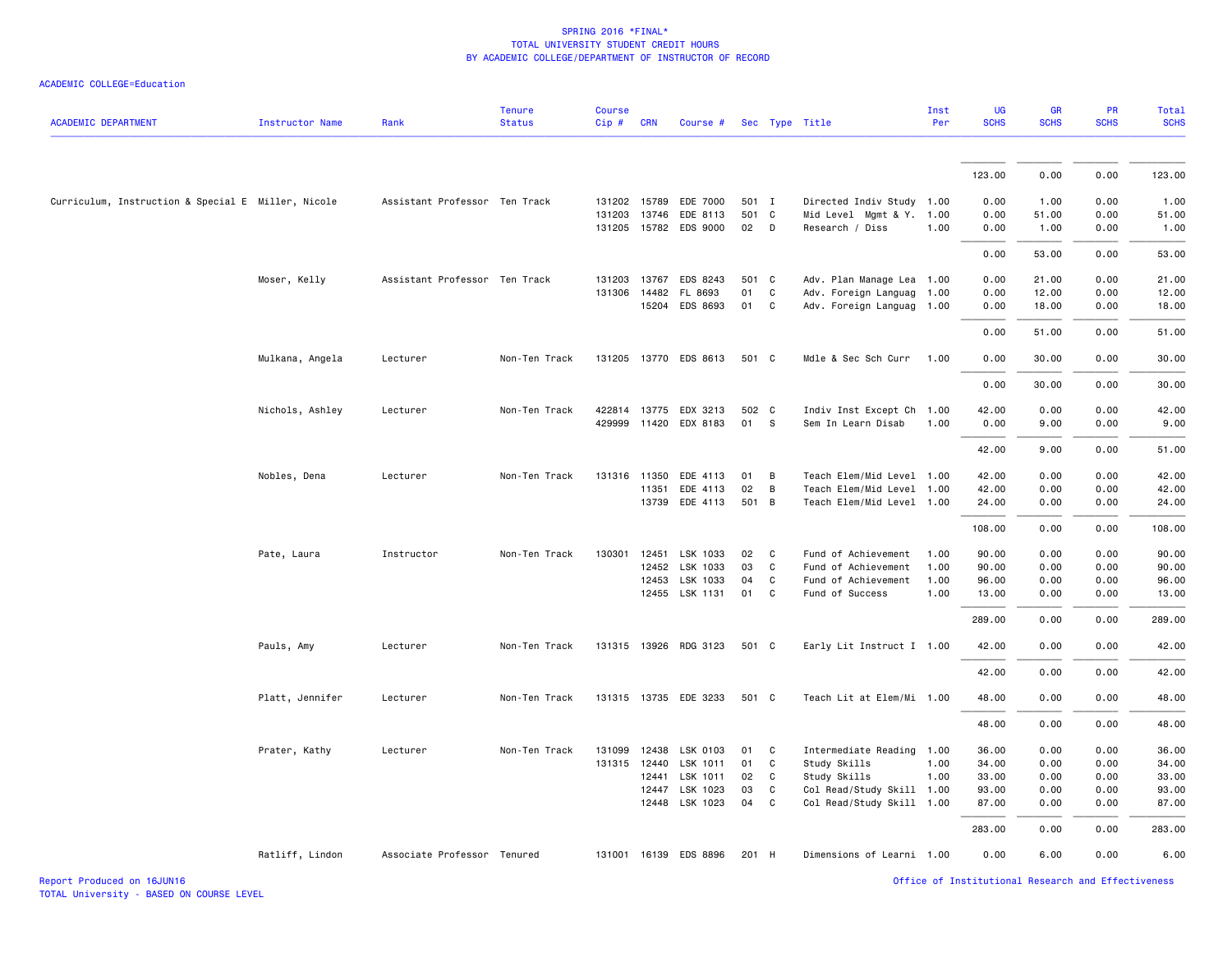| <b>ACADEMIC DEPARTMENT</b>                         | <b>Instructor Name</b> | Rank                          | <b>Tenure</b><br><b>Status</b> | <b>Course</b><br>Cip# | <b>CRN</b>     | Course #              |          |                   | Sec Type Title                            | Inst<br>Per  | UG<br><b>SCHS</b> | GR<br><b>SCHS</b> | <b>PR</b><br><b>SCHS</b> | Total<br><b>SCHS</b> |
|----------------------------------------------------|------------------------|-------------------------------|--------------------------------|-----------------------|----------------|-----------------------|----------|-------------------|-------------------------------------------|--------------|-------------------|-------------------|--------------------------|----------------------|
|                                                    |                        |                               |                                |                       |                |                       |          |                   |                                           |              |                   |                   |                          |                      |
|                                                    |                        |                               |                                |                       |                |                       |          |                   |                                           |              | 123.00            | 0.00              | 0.00                     | 123.00               |
| Curriculum, Instruction & Special E Miller, Nicole |                        | Assistant Professor Ten Track |                                | 131202 15789          |                | EDE 7000              | 501 I    |                   | Directed Indiv Study 1.00                 |              | 0.00              | 1.00              | 0.00                     | 1.00                 |
|                                                    |                        |                               |                                |                       | 131203 13746   | EDE 8113              | 501 C    |                   | Mid Level Mgmt & Y. 1.00                  |              | 0.00              | 51.00             | 0.00                     | 51.00                |
|                                                    |                        |                               |                                |                       |                | 131205 15782 EDS 9000 | 02       | D                 | Research / Diss                           | 1.00         | 0.00              | 1.00              | 0.00                     | 1.00                 |
|                                                    |                        |                               |                                |                       |                |                       |          |                   |                                           |              | 0.00              | 53.00             | 0.00                     | 53.00                |
|                                                    | Moser, Kelly           | Assistant Professor Ten Track |                                |                       | 131203 13767   | EDS 8243              | 501 C    |                   | Adv. Plan Manage Lea 1.00                 |              | 0.00              | 21.00             | 0.00                     | 21.00                |
|                                                    |                        |                               |                                |                       | 131306 14482   | FL 8693               | 01       | C                 | Adv. Foreign Languag                      | 1.00         | 0.00              | 12.00             | 0.00                     | 12.00                |
|                                                    |                        |                               |                                |                       | 15204          | EDS 8693              | 01       | C                 | Adv. Foreign Languag 1.00                 |              | 0.00              | 18.00             | 0.00                     | 18.00                |
|                                                    |                        |                               |                                |                       |                |                       |          |                   |                                           |              | 0.00              | 51.00             | 0.00                     | 51.00                |
|                                                    | Mulkana, Angela        | Lecturer                      | Non-Ten Track                  |                       |                | 131205 13770 EDS 8613 | 501 C    |                   | Mdle & Sec Sch Curr                       | 1.00         | 0.00              | 30.00             | 0.00                     | 30.00                |
|                                                    |                        |                               |                                |                       |                |                       |          |                   |                                           |              | 0.00              | 30.00             | 0.00                     | 30.00                |
|                                                    | Nichols, Ashley        | Lecturer                      | Non-Ten Track                  |                       |                | 422814 13775 EDX 3213 | 502 C    |                   | Indiv Inst Except Ch 1.00                 |              | 42.00             | 0.00              | 0.00                     | 42.00                |
|                                                    |                        |                               |                                |                       |                | 429999 11420 EDX 8183 | 01       | $\mathbf{s}$      | Sem In Learn Disab                        | 1.00         | 0.00              | 9.00              | 0.00                     | 9.00                 |
|                                                    |                        |                               |                                |                       |                |                       |          |                   |                                           |              | 42.00             | 9.00              | 0.00                     | 51.00                |
|                                                    | Nobles, Dena           | Lecturer                      | Non-Ten Track                  |                       | 131316 11350   | EDE 4113              | 01       | B                 | Teach Elem/Mid Level 1.00                 |              | 42.00             | 0.00              | 0.00                     | 42.00                |
|                                                    |                        |                               |                                |                       | 11351          | EDE 4113              | 02       | B                 | Teach Elem/Mid Level 1.00                 |              | 42.00             | 0.00              | 0.00                     | 42.00                |
|                                                    |                        |                               |                                |                       |                | 13739 EDE 4113        | 501 B    |                   | Teach Elem/Mid Level 1.00                 |              | 24.00             | 0.00              | 0.00                     | 24.00                |
|                                                    |                        |                               |                                |                       |                |                       |          |                   |                                           |              | 108.00            | 0.00              | 0.00                     | 108.00               |
|                                                    | Pate, Laura            | Instructor                    | Non-Ten Track                  | 130301                | 12451          | LSK 1033              | 02       | C                 | Fund of Achievement                       | 1.00         | 90.00             | 0.00              | 0.00                     | 90.00                |
|                                                    |                        |                               |                                |                       |                | 12452 LSK 1033        | 03       | C                 | Fund of Achievement                       | 1.00         | 90.00             | 0.00              | 0.00                     | 90.00                |
|                                                    |                        |                               |                                |                       | 12453<br>12455 | LSK 1033<br>LSK 1131  | 04<br>01 | $\mathsf{C}$<br>C | Fund of Achievement<br>Fund of Success    | 1.00<br>1.00 | 96.00<br>13.00    | 0.00<br>0.00      | 0.00<br>0.00             | 96.00<br>13.00       |
|                                                    |                        |                               |                                |                       |                |                       |          |                   |                                           |              |                   |                   |                          |                      |
|                                                    |                        |                               |                                |                       |                |                       |          |                   |                                           |              | 289.00            | 0.00              | 0.00                     | 289.00               |
|                                                    | Pauls, Amy             | Lecturer                      | Non-Ten Track                  |                       |                | 131315 13926 RDG 3123 | 501 C    |                   | Early Lit Instruct I 1.00                 |              | 42.00             | 0.00              | 0.00                     | 42.00                |
|                                                    |                        |                               |                                |                       |                |                       |          |                   |                                           |              | 42.00             | 0.00              | 0.00                     | 42.00                |
|                                                    | Platt, Jennifer        | Lecturer                      | Non-Ten Track                  |                       |                | 131315 13735 EDE 3233 | 501 C    |                   | Teach Lit at Elem/Mi 1.00                 |              | 48.00             | 0.00              | 0.00                     | 48.00                |
|                                                    |                        |                               |                                |                       |                |                       |          |                   |                                           |              | 48.00             | 0.00              | 0.00                     | 48.00                |
|                                                    | Prater, Kathy          | Lecturer                      | Non-Ten Track                  |                       |                | 131099 12438 LSK 0103 | 01       | C                 | Intermediate Reading 1.00                 |              | 36.00             | 0.00              | 0.00                     | 36.00                |
|                                                    |                        |                               |                                |                       | 131315 12440   | LSK 1011              | 01       | C                 | Study Skills                              | 1.00         | 34.00             | 0.00              | 0.00                     | 34.00                |
|                                                    |                        |                               |                                |                       | 12441<br>12447 | LSK 1011<br>LSK 1023  | 02<br>03 | C<br>C            | Study Skills<br>Col Read/Study Skill 1.00 | 1.00         | 33.00<br>93.00    | 0.00<br>0.00      | 0.00<br>0.00             | 33.00<br>93.00       |
|                                                    |                        |                               |                                |                       |                | 12448 LSK 1023        | 04       | $\mathsf{C}$      | Col Read/Study Skill 1.00                 |              | 87.00             | 0.00              | 0.00                     | 87.00                |
|                                                    |                        |                               |                                |                       |                |                       |          |                   |                                           |              | 283.00            | 0.00              | 0.00                     | 283.00               |
|                                                    | Ratliff, Lindon        | Associate Professor Tenured   |                                |                       |                | 131001 16139 EDS 8896 | 201 H    |                   | Dimensions of Learni 1.00                 |              | 0.00              | 6.00              | 0.00                     | 6.00                 |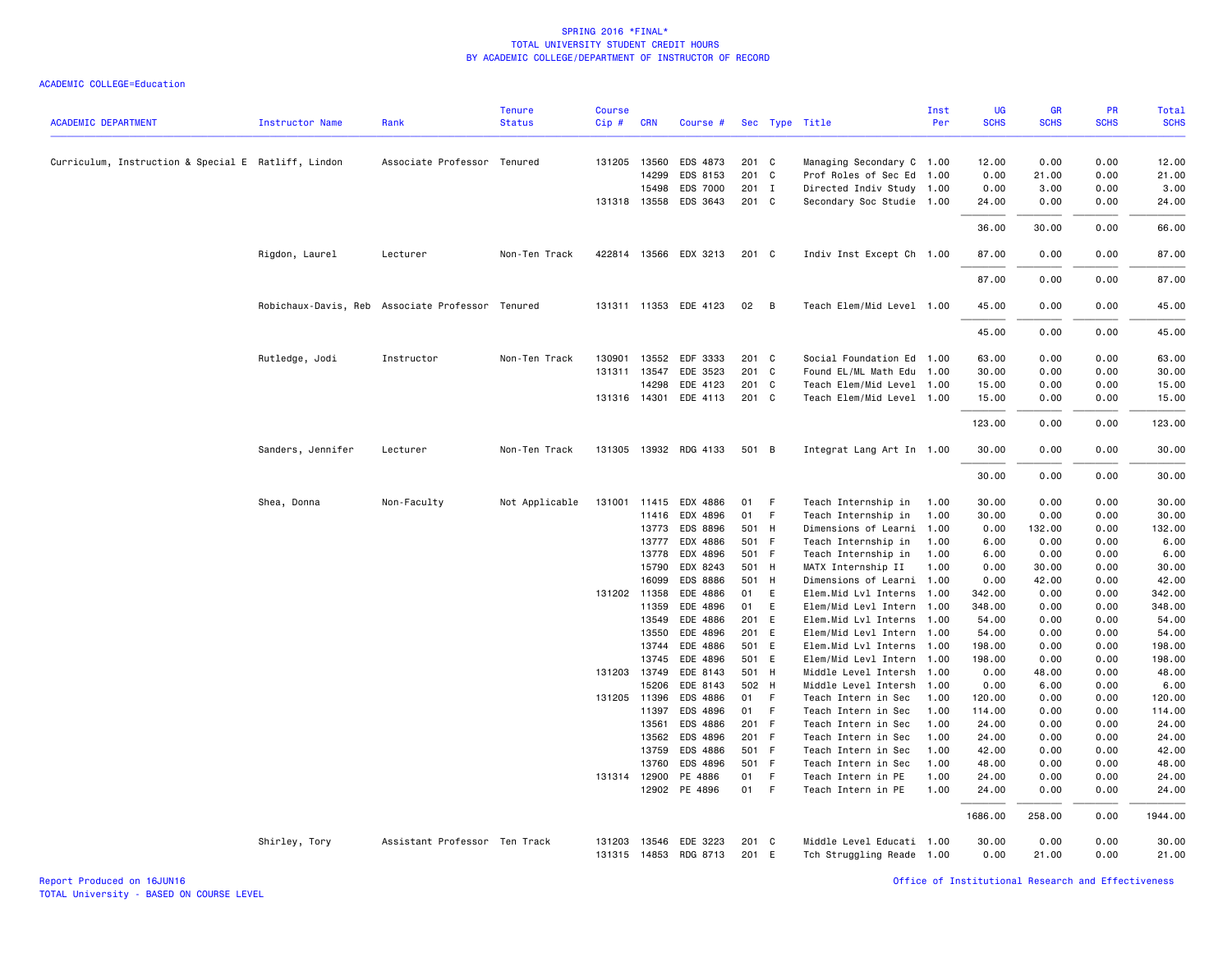| <b>ACADEMIC DEPARTMENT</b>                          | <b>Instructor Name</b> | Rank                                             | <b>Tenure</b><br><b>Status</b> | <b>Course</b><br>Cip# | <b>CRN</b>   | Course #              |       |                | Sec Type Title            | Inst<br>Per | <b>UG</b><br><b>SCHS</b> | <b>GR</b><br><b>SCHS</b> | <b>PR</b><br><b>SCHS</b> | Total<br><b>SCHS</b> |
|-----------------------------------------------------|------------------------|--------------------------------------------------|--------------------------------|-----------------------|--------------|-----------------------|-------|----------------|---------------------------|-------------|--------------------------|--------------------------|--------------------------|----------------------|
|                                                     |                        |                                                  |                                |                       |              |                       |       |                |                           |             |                          |                          |                          |                      |
| Curriculum, Instruction & Special E Ratliff, Lindon |                        | Associate Professor Tenured                      |                                |                       | 131205 13560 | EDS 4873              | 201 C |                | Managing Secondary C 1.00 |             | 12.00                    | 0.00                     | 0.00                     | 12.00                |
|                                                     |                        |                                                  |                                |                       | 14299        | EDS 8153              | 201 C |                | Prof Roles of Sec Ed 1.00 |             | 0.00                     | 21.00                    | 0.00                     | 21.00                |
|                                                     |                        |                                                  |                                |                       | 15498        | <b>EDS 7000</b>       | 201 I |                | Directed Indiv Study 1.00 |             | 0.00                     | 3.00                     | 0.00                     | 3.00                 |
|                                                     |                        |                                                  |                                |                       | 131318 13558 | EDS 3643              | 201 C |                | Secondary Soc Studie 1.00 |             | 24.00                    | 0.00                     | 0.00                     | 24.00                |
|                                                     |                        |                                                  |                                |                       |              |                       |       |                |                           |             | 36.00                    | 30.00                    | 0.00                     | 66.00                |
|                                                     | Rigdon, Laurel         | Lecturer                                         | Non-Ten Track                  |                       |              | 422814 13566 EDX 3213 | 201 C |                | Indiv Inst Except Ch 1.00 |             | 87.00                    | 0.00                     | 0.00                     | 87.00                |
|                                                     |                        |                                                  |                                |                       |              |                       |       |                |                           |             | 87.00                    | 0.00                     | 0.00                     | 87.00                |
|                                                     |                        | Robichaux-Davis, Reb Associate Professor Tenured |                                |                       |              | 131311 11353 EDE 4123 | 02    | $\overline{B}$ | Teach Elem/Mid Level 1.00 |             | 45.00                    | 0.00                     | 0.00                     | 45.00                |
|                                                     |                        |                                                  |                                |                       |              |                       |       |                |                           |             | 45.00                    | 0.00                     | 0.00                     | 45.00                |
|                                                     | Rutledge, Jodi         | Instructor                                       | Non-Ten Track                  | 130901                | 13552        | EDF 3333              | 201 C |                | Social Foundation Ed 1.00 |             | 63.00                    | 0.00                     | 0.00                     | 63.00                |
|                                                     |                        |                                                  |                                |                       | 131311 13547 | EDE 3523              | 201 C |                | Found EL/ML Math Edu 1.00 |             | 30.00                    | 0.00                     | 0.00                     | 30.00                |
|                                                     |                        |                                                  |                                |                       | 14298        | EDE 4123              | 201 C |                | Teach Elem/Mid Level 1.00 |             | 15.00                    | 0.00                     | 0.00                     | 15.00                |
|                                                     |                        |                                                  |                                |                       | 131316 14301 | EDE 4113              | 201 C |                | Teach Elem/Mid Level 1.00 |             | 15.00                    | 0.00                     | 0.00                     | 15.00                |
|                                                     |                        |                                                  |                                |                       |              |                       |       |                |                           |             | 123.00                   | 0.00                     | 0.00                     | 123.00               |
|                                                     | Sanders, Jennifer      | Lecturer                                         | Non-Ten Track                  |                       |              | 131305 13932 RDG 4133 | 501 B |                | Integrat Lang Art In 1.00 |             | 30.00                    | 0.00                     | 0.00                     | 30.00                |
|                                                     |                        |                                                  |                                |                       |              |                       |       |                |                           |             | 30.00                    | 0.00                     | 0.00                     | 30.00                |
|                                                     | Shea, Donna            | Non-Faculty                                      | Not Applicable                 | 131001 11415          |              | EDX 4886              | 01    | - F            | Teach Internship in       | 1.00        | 30.00                    | 0.00                     | 0.00                     | 30.00                |
|                                                     |                        |                                                  |                                |                       | 11416        | EDX 4896              | 01 F  |                | Teach Internship in       | 1.00        | 30.00                    | 0.00                     | 0.00                     | 30.00                |
|                                                     |                        |                                                  |                                |                       | 13773        | EDS 8896              | 501 H |                | Dimensions of Learni      | 1.00        | 0.00                     | 132.00                   | 0.00                     | 132.00               |
|                                                     |                        |                                                  |                                |                       | 13777        | EDX 4886              | 501 F |                | Teach Internship in       | 1.00        | 6.00                     | 0.00                     | 0.00                     | 6.00                 |
|                                                     |                        |                                                  |                                |                       | 13778        | EDX 4896              | 501 F |                | Teach Internship in       | 1.00        | 6.00                     | 0.00                     | 0.00                     | 6.00                 |
|                                                     |                        |                                                  |                                |                       | 15790        | EDX 8243              | 501 H |                | MATX Internship II        | 1.00        | 0.00                     | 30.00                    | 0.00                     | 30.00                |
|                                                     |                        |                                                  |                                |                       | 16099        | EDS 8886              | 501 H |                | Dimensions of Learni 1.00 |             | 0.00                     | 42.00                    | 0.00                     | 42.00                |
|                                                     |                        |                                                  |                                |                       | 131202 11358 | EDE 4886              | 01    | E              | Elem.Mid Lvl Interns 1.00 |             | 342.00                   | 0.00                     | 0.00                     | 342.00               |
|                                                     |                        |                                                  |                                |                       | 11359        | EDE 4896              | 01    | E              | Elem/Mid Levl Intern 1.00 |             | 348.00                   | 0.00                     | 0.00                     | 348.00               |
|                                                     |                        |                                                  |                                |                       | 13549        | EDE 4886              | 201 E |                | Elem.Mid Lvl Interns 1.00 |             | 54.00                    | 0.00                     | 0.00                     | 54.00                |
|                                                     |                        |                                                  |                                |                       | 13550        | EDE 4896              | 201 E |                | Elem/Mid Levl Intern 1.00 |             | 54.00                    | 0.00                     | 0.00                     | 54.00                |
|                                                     |                        |                                                  |                                |                       | 13744        | EDE 4886              | 501 E |                | Elem.Mid Lvl Interns 1.00 |             | 198.00                   | 0.00                     | 0.00                     | 198.00               |
|                                                     |                        |                                                  |                                |                       | 13745        | EDE 4896              | 501 E |                | Elem/Mid Levl Intern 1.00 |             | 198.00                   | 0.00                     | 0.00                     | 198.00               |
|                                                     |                        |                                                  |                                |                       | 131203 13749 | EDE 8143              | 501 H |                | Middle Level Intersh 1.00 |             | 0.00                     | 48.00                    | 0.00                     | 48.00                |
|                                                     |                        |                                                  |                                |                       | 15206        | EDE 8143              | 502 H |                | Middle Level Intersh 1.00 |             | 0.00                     | 6.00                     | 0.00                     | 6.00                 |
|                                                     |                        |                                                  |                                |                       | 131205 11396 | EDS 4886              | 01 F  |                | Teach Intern in Sec       | 1.00        | 120.00                   | 0.00                     | 0.00                     | 120.00               |
|                                                     |                        |                                                  |                                |                       | 11397        | EDS 4896              | 01 F  |                | Teach Intern in Sec       | 1.00        | 114.00                   | 0.00                     | 0.00                     | 114.00               |
|                                                     |                        |                                                  |                                |                       | 13561        | EDS 4886              | 201 F |                | Teach Intern in Sec       | 1.00        | 24.00                    | 0.00                     | 0.00                     | 24.00                |
|                                                     |                        |                                                  |                                |                       | 13562        | EDS 4896              | 201 F |                | Teach Intern in Sec       | 1.00        | 24.00                    | 0.00                     | 0.00                     | 24.00                |
|                                                     |                        |                                                  |                                |                       | 13759        | EDS 4886              | 501 F |                | Teach Intern in Sec       | 1.00        | 42.00                    | 0.00                     | 0.00                     | 42.00                |
|                                                     |                        |                                                  |                                |                       | 13760        | EDS 4896              | 501 F |                | Teach Intern in Sec       | 1.00        | 48.00                    | 0.00                     | 0.00                     | 48.00                |
|                                                     |                        |                                                  |                                |                       | 131314 12900 | PE 4886               | 01 F  |                | Teach Intern in PE        | 1.00        | 24.00                    | 0.00                     | 0.00                     | 24.00                |
|                                                     |                        |                                                  |                                |                       | 12902        | PE 4896               | 01 F  |                | Teach Intern in PE        | 1.00        | 24.00                    | 0.00                     | 0.00                     | 24.00                |
|                                                     |                        |                                                  |                                |                       |              |                       |       |                |                           |             | 1686.00                  | 258.00                   | 0.00                     | 1944.00              |
|                                                     | Shirley, Tory          | Assistant Professor Ten Track                    |                                | 131203                | 13546        | EDE 3223              | 201 C |                | Middle Level Educati 1.00 |             | 30.00<br>0.00            | 0.00<br>21.00            | 0.00<br>0.00             | 30.00                |
|                                                     |                        |                                                  |                                |                       |              | 131315 14853 RDG 8713 | 201 E |                | Tch Struggling Reade 1.00 |             |                          |                          |                          | 21.00                |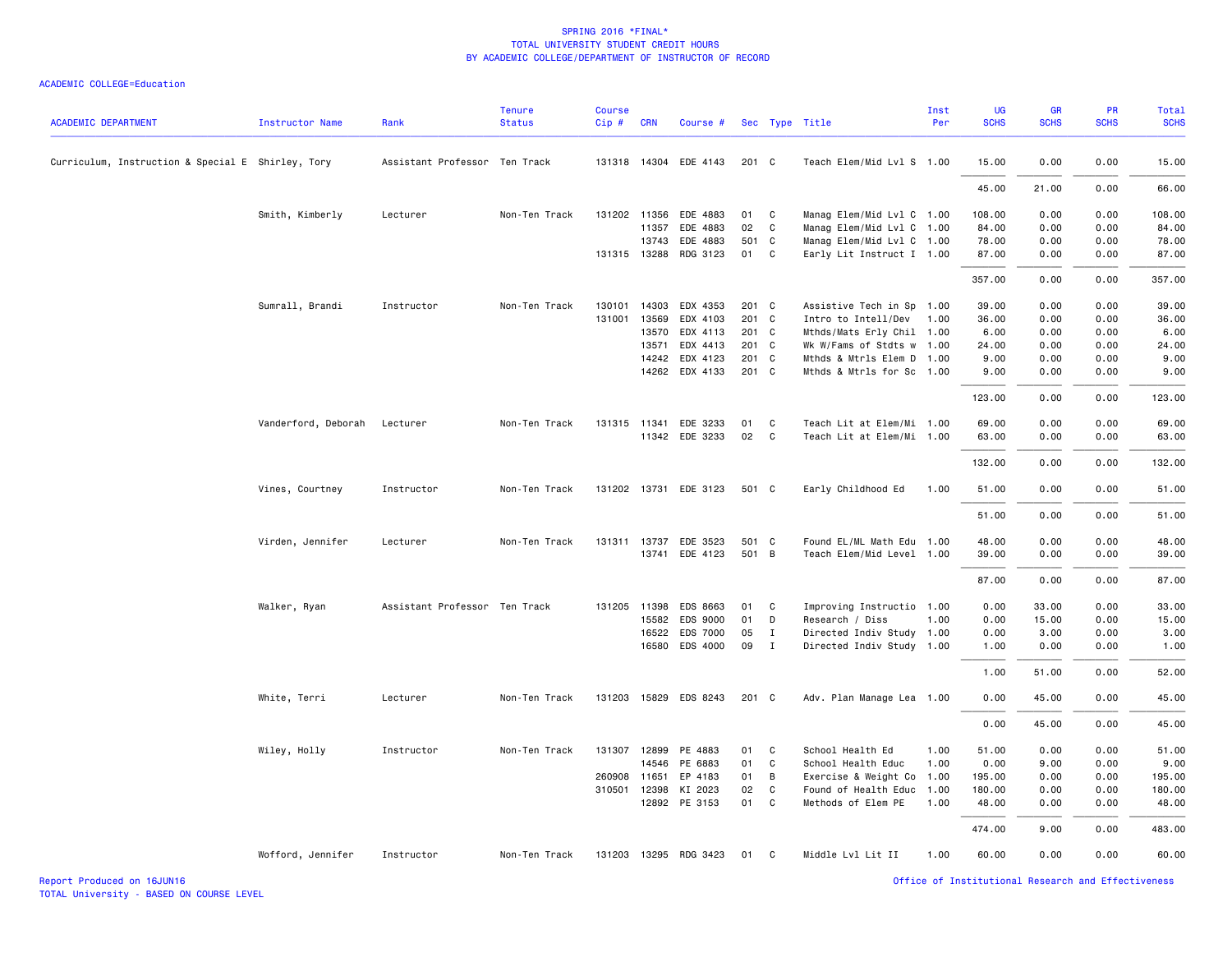| <b>ACADEMIC DEPARTMENT</b>                        | Instructor Name     | Rank                          | <b>Tenure</b><br><b>Status</b> | <b>Course</b><br>Cip# | <b>CRN</b>   | Course #                 |            |              | Sec Type Title                                  | Inst<br>Per | UG<br><b>SCHS</b> | <b>GR</b><br><b>SCHS</b> | <b>PR</b><br><b>SCHS</b> | Total<br><b>SCHS</b> |
|---------------------------------------------------|---------------------|-------------------------------|--------------------------------|-----------------------|--------------|--------------------------|------------|--------------|-------------------------------------------------|-------------|-------------------|--------------------------|--------------------------|----------------------|
| Curriculum, Instruction & Special E Shirley, Tory |                     | Assistant Professor Ten Track |                                |                       |              | 131318 14304 EDE 4143    | 201 C      |              | Teach Elem/Mid Lvl S 1.00                       |             | 15.00             | 0.00                     | 0.00                     | 15.00                |
|                                                   |                     |                               |                                |                       |              |                          |            |              |                                                 |             | 45.00             | 21.00                    | 0.00                     | 66.00                |
|                                                   |                     | Lecturer                      | Non-Ten Track                  |                       | 131202 11356 | EDE 4883                 | 01         | $\mathbf{C}$ | Manag Elem/Mid Lvl C 1.00                       |             | 108.00            | 0.00                     | 0.00                     | 108.00               |
|                                                   | Smith, Kimberly     |                               |                                |                       | 11357        | EDE 4883                 | 02         | $\mathbf{C}$ | Manag Elem/Mid Lvl C 1.00                       |             | 84.00             | 0.00                     | 0.00                     | 84.00                |
|                                                   |                     |                               |                                |                       | 13743        | EDE 4883                 | 501 C      |              | Manag Elem/Mid Lvl C 1.00                       |             | 78.00             | 0.00                     | 0.00                     | 78.00                |
|                                                   |                     |                               |                                |                       | 131315 13288 | RDG 3123                 | 01 C       |              | Early Lit Instruct I 1.00                       |             | 87.00             | 0.00                     | 0.00                     | 87.00                |
|                                                   |                     |                               |                                |                       |              |                          |            |              |                                                 |             | 357.00            | 0.00                     | 0.00                     | 357.00               |
|                                                   | Sumrall, Brandi     | Instructor                    | Non-Ten Track                  |                       | 130101 14303 | EDX 4353                 | 201 C      |              | Assistive Tech in Sp 1.00                       |             | 39.00             | 0.00                     | 0.00                     | 39.00                |
|                                                   |                     |                               |                                | 131001                | 13569        | EDX 4103                 | 201 C      |              | Intro to Intell/Dev                             | 1.00        | 36.00             | 0.00                     | 0.00                     | 36.00                |
|                                                   |                     |                               |                                |                       | 13570        | EDX 4113                 | 201 C      |              | Mthds/Mats Erly Chil 1.00                       |             | 6.00              | 0.00                     | 0.00                     | 6.00                 |
|                                                   |                     |                               |                                |                       | 13571        | EDX 4413                 | 201 C      |              | Wk W/Fams of Stdts w 1.00                       |             | 24.00             | 0.00                     | 0.00                     | 24.00                |
|                                                   |                     |                               |                                |                       | 14242        | EDX 4123                 | 201 C      |              | Mthds & Mtrls Elem D 1.00                       |             | 9.00              | 0.00                     | 0.00                     | 9.00                 |
|                                                   |                     |                               |                                |                       |              | 14262 EDX 4133           | 201 C      |              | Mthds & Mtrls for Sc 1.00                       |             | 9.00              | 0.00                     | 0.00                     | 9.00                 |
|                                                   |                     |                               |                                |                       |              |                          |            |              |                                                 |             | 123.00            | 0.00                     | 0.00                     | 123.00               |
|                                                   | Vanderford, Deborah | Lecturer                      | Non-Ten Track                  |                       |              | 131315 11341 EDE 3233    | 01         | $\mathbf{C}$ | Teach Lit at Elem/Mi 1.00                       |             | 69.00             | 0.00                     | 0.00                     | 69.00                |
|                                                   |                     |                               |                                |                       |              | 11342 EDE 3233           | 02         | $\mathbf{C}$ | Teach Lit at Elem/Mi 1.00                       |             | 63.00             | 0.00                     | 0.00                     | 63.00                |
|                                                   |                     |                               |                                |                       |              |                          |            |              |                                                 |             | 132.00            | 0.00                     | 0.00                     | 132.00               |
|                                                   | Vines, Courtney     | Instructor                    | Non-Ten Track                  |                       |              | 131202 13731 EDE 3123    | 501 C      |              | Early Childhood Ed                              | 1.00        | 51.00             | 0.00                     | 0.00                     | 51.00                |
|                                                   |                     |                               |                                |                       |              |                          |            |              |                                                 |             | 51.00             | 0.00                     | 0.00                     | 51.00                |
|                                                   | Virden, Jennifer    | Lecturer                      | Non-Ten Track                  |                       | 131311 13737 | EDE 3523                 | 501 C      |              | Found EL/ML Math Edu 1.00                       |             | 48.00             | 0.00                     | 0.00                     | 48.00                |
|                                                   |                     |                               |                                |                       |              | 13741 EDE 4123           | 501 B      |              | Teach Elem/Mid Level 1.00                       |             | 39.00             | 0.00                     | 0.00                     | 39.00                |
|                                                   |                     |                               |                                |                       |              |                          |            |              |                                                 |             | 87.00             | 0.00                     | 0.00                     | 87.00                |
|                                                   | Walker, Ryan        | Assistant Professor Ten Track |                                |                       | 131205 11398 | EDS 8663                 | 01         | $\mathbf{C}$ | Improving Instructio 1.00                       |             | 0.00              | 33.00                    | 0.00                     | 33.00                |
|                                                   |                     |                               |                                |                       | 15582        | EDS 9000                 | 01 D       |              | Research / Diss                                 | 1.00        | 0.00              | 15.00                    | 0.00                     | 15.00                |
|                                                   |                     |                               |                                |                       | 16522        | EDS 7000                 | 05         | $\mathbf{I}$ | Directed Indiv Study 1.00                       |             | 0.00              | 3.00                     | 0.00                     | 3.00                 |
|                                                   |                     |                               |                                |                       | 16580        | EDS 4000                 | 09         | $\mathbf{I}$ | Directed Indiv Study 1.00                       |             | 1.00              | 0.00                     | 0.00                     | 1.00                 |
|                                                   |                     |                               |                                |                       |              |                          |            |              |                                                 |             | 1.00              | 51.00                    | 0.00                     | 52.00                |
|                                                   | White, Terri        | Lecturer                      | Non-Ten Track                  |                       |              | 131203 15829 EDS 8243    | 201 C      |              | Adv. Plan Manage Lea 1.00                       |             | 0.00              | 45.00                    | 0.00                     | 45.00                |
|                                                   |                     |                               |                                |                       |              |                          |            |              |                                                 |             | 0.00              | 45.00                    | 0.00                     | 45.00                |
|                                                   | Wiley, Holly        | Instructor                    | Non-Ten Track                  |                       | 131307 12899 | PE 4883                  | 01 C       |              | School Health Ed                                | 1.00        | 51.00             | 0.00                     | 0.00                     | 51.00                |
|                                                   |                     |                               |                                |                       | 14546        | PE 6883                  | 01 C       |              | School Health Educ                              | 1.00        | 0.00              | 9.00                     | 0.00                     | 9.00                 |
|                                                   |                     |                               |                                | 260908                | 11651        | EP 4183                  | 01 B       |              | Exercise & Weight Co 1.00                       |             | 195.00            | 0.00                     | 0.00                     | 195.00               |
|                                                   |                     |                               |                                |                       | 310501 12398 | KI 2023<br>12892 PE 3153 | 02<br>01 C | $\mathbf{C}$ | Found of Health Educ 1.00<br>Methods of Elem PE | 1.00        | 180.00<br>48.00   | 0.00<br>0.00             | 0.00<br>0.00             | 180.00<br>48.00      |
|                                                   |                     |                               |                                |                       |              |                          |            |              |                                                 |             |                   |                          |                          |                      |
|                                                   |                     |                               |                                |                       |              |                          |            |              |                                                 |             | 474.00            | 9.00                     | 0.00                     | 483.00               |
|                                                   | Wofford, Jennifer   | Instructor                    | Non-Ten Track                  |                       |              | 131203 13295 RDG 3423    | 01 C       |              | Middle Lvl Lit II                               | 1.00        | 60.00             | 0.00                     | 0.00                     | 60.00                |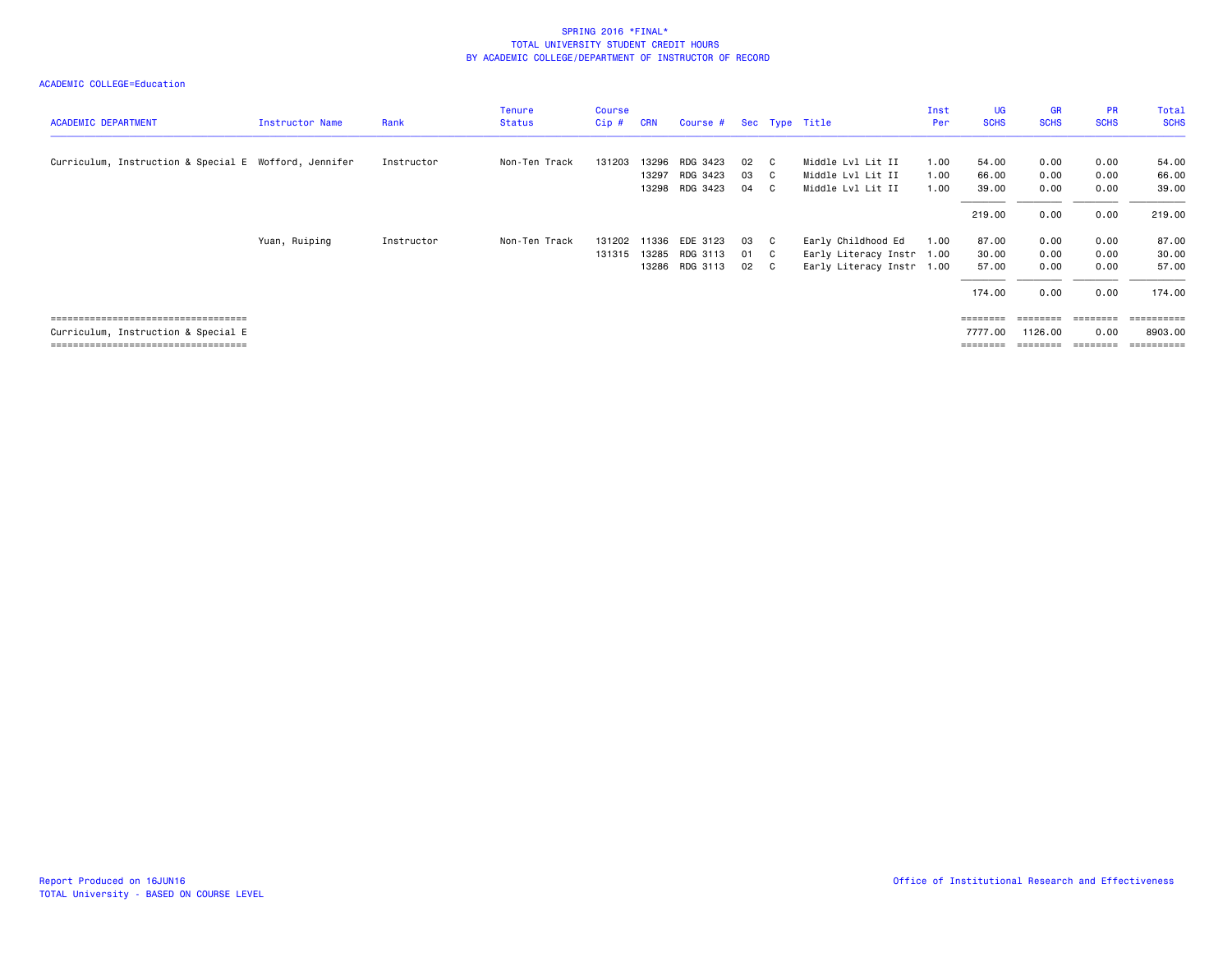| <b>ACADEMIC DEPARTMENT</b>                            | Instructor Name | Rank       | <b>Tenure</b><br><b>Status</b> | <b>Course</b><br>Cip# | <b>CRN</b> | Course #       |      |                | Sec Type Title            | Inst<br>Per | <b>UG</b><br><b>SCHS</b> | <b>GR</b><br><b>SCHS</b> | <b>PR</b><br><b>SCHS</b> | Total<br><b>SCHS</b>  |
|-------------------------------------------------------|-----------------|------------|--------------------------------|-----------------------|------------|----------------|------|----------------|---------------------------|-------------|--------------------------|--------------------------|--------------------------|-----------------------|
| Curriculum, Instruction & Special E Wofford, Jennifer |                 | Instructor | Non-Ten Track                  | 131203                | 13296      | RDG 3423       | 02   | $\overline{c}$ | Middle Lvl Lit II         | 1.00        | 54.00                    | 0.00                     | 0.00                     | 54.00                 |
|                                                       |                 |            |                                |                       | 13297      | RDG 3423       | 03   | $\mathbf{C}$   | Middle Lvl Lit II         | 1.00        | 66.00                    | 0.00                     | 0.00                     | 66.00                 |
|                                                       |                 |            |                                |                       | 13298      | RDG 3423       | 04   | - C            | Middle Lvl Lit II         | 1.00        | 39.00                    | 0.00                     | 0.00                     | 39.00                 |
|                                                       |                 |            |                                |                       |            |                |      |                |                           |             | 219.00                   | 0.00                     | 0.00                     | 219.00                |
|                                                       | Yuan, Ruiping   | Instructor | Non-Ten Track                  | 131202                | 11336      | EDE 3123       | 03   | $\overline{C}$ | Early Childhood Ed        | 1.00        | 87.00                    | 0.00                     | 0.00                     | 87.00                 |
|                                                       |                 |            |                                | 131315                | 13285      | RDG 3113       | 01   | $\mathbf{C}$   | Early Literacy Instr 1.00 |             | 30.00                    | 0.00                     | 0.00                     | 30.00                 |
|                                                       |                 |            |                                |                       |            | 13286 RDG 3113 | 02 C |                | Early Literacy Instr 1.00 |             | 57.00                    | 0.00                     | 0.00                     | 57.00                 |
|                                                       |                 |            |                                |                       |            |                |      |                |                           |             | 174.00                   | 0.00                     | 0.00                     | 174.00                |
| =====================================                 |                 |            |                                |                       |            |                |      |                |                           |             |                          |                          | ========                 | =======               |
| Curriculum, Instruction & Special E                   |                 |            |                                |                       |            |                |      |                |                           |             | 7777.00                  | 1126,00                  | 0.00                     | 8903.00               |
| =====================================                 |                 |            |                                |                       |            |                |      |                |                           |             | ========                 | ========                 | ========                 | $=$ = = = = = = = = = |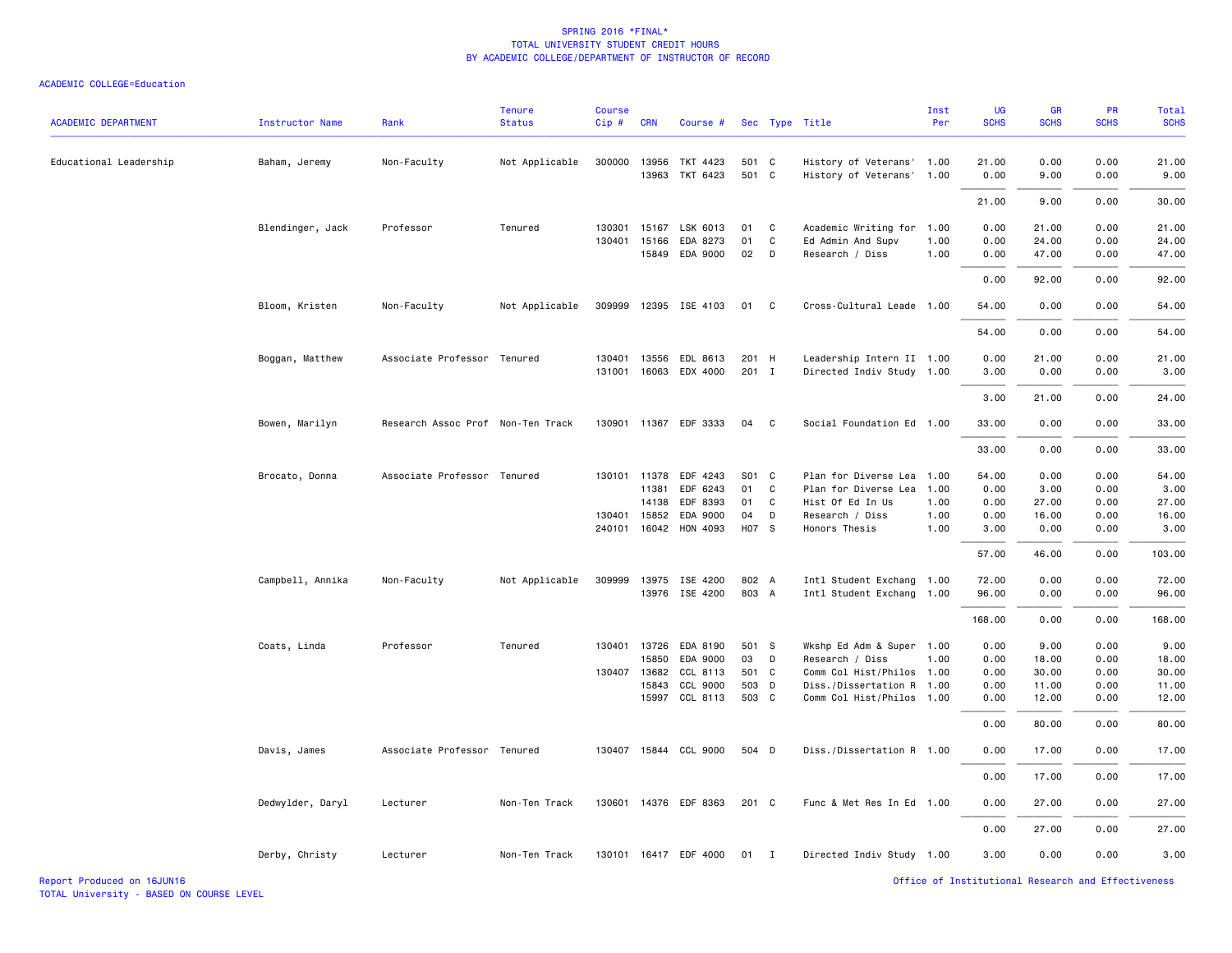| <b>ACADEMIC DEPARTMENT</b> | <b>Instructor Name</b> | Rank                              | <b>Tenure</b><br><b>Status</b> | Course<br>Cip# | <b>CRN</b>   | Course #              |       |              | Sec Type Title            | Inst<br>Per | UG<br><b>SCHS</b> | GR<br><b>SCHS</b> | PR<br><b>SCHS</b> | Total<br><b>SCHS</b> |
|----------------------------|------------------------|-----------------------------------|--------------------------------|----------------|--------------|-----------------------|-------|--------------|---------------------------|-------------|-------------------|-------------------|-------------------|----------------------|
| Educational Leadership     | Baham, Jeremy          | Non-Faculty                       | Not Applicable                 | 300000         | 13956        | TKT 4423              | 501 C |              | History of Veterans' 1.00 |             | 21.00             | 0.00              | 0.00              | 21.00                |
|                            |                        |                                   |                                |                | 13963        | TKT 6423              | 501 C |              | History of Veterans' 1.00 |             | 0.00              | 9.00              | 0.00              | 9.00                 |
|                            |                        |                                   |                                |                |              |                       |       |              |                           |             | 21.00             | 9.00              | 0.00              | 30.00                |
|                            | Blendinger, Jack       | Professor                         | Tenured                        | 130301         | 15167        | LSK 6013              | 01    | C            | Academic Writing for 1.00 |             | 0.00              | 21.00             | 0.00              | 21.00                |
|                            |                        |                                   |                                | 130401         | 15166        | EDA 8273              | 01    | $\mathtt{C}$ | Ed Admin And Supv         | 1.00        | 0.00              | 24.00             | 0.00              | 24.00                |
|                            |                        |                                   |                                |                |              | 15849 EDA 9000        | 02    | D            | Research / Diss           | 1.00        | 0.00              | 47.00             | 0.00              | 47.00                |
|                            |                        |                                   |                                |                |              |                       |       |              |                           |             | 0.00              | 92.00             | 0.00              | 92.00                |
|                            | Bloom, Kristen         | Non-Faculty                       | Not Applicable                 | 309999         |              | 12395 ISE 4103        | 01    | C            | Cross-Cultural Leade 1.00 |             | 54.00             | 0.00              | 0.00              | 54.00                |
|                            |                        |                                   |                                |                |              |                       |       |              |                           |             | 54.00             | 0.00              | 0.00              | 54.00                |
|                            | Boggan, Matthew        | Associate Professor Tenured       |                                | 130401         | 13556        | EDL 8613              | 201 H |              | Leadership Intern II 1.00 |             | 0.00              | 21.00             | 0.00              | 21.00                |
|                            |                        |                                   |                                | 131001         |              | 16063 EDX 4000        | 201 I |              | Directed Indiv Study 1.00 |             | 3.00              | 0.00              | 0.00              | 3.00                 |
|                            |                        |                                   |                                |                |              |                       |       |              |                           |             | 3.00              | 21.00             | 0.00              | 24.00                |
|                            | Bowen, Marilyn         | Research Assoc Prof Non-Ten Track |                                |                |              | 130901 11367 EDF 3333 | 04    | C            | Social Foundation Ed 1.00 |             | 33.00             | 0.00              | 0.00              | 33.00                |
|                            |                        |                                   |                                |                |              |                       |       |              |                           |             | 33.00             | 0.00              | 0.00              | 33.00                |
|                            | Brocato, Donna         | Associate Professor Tenured       |                                |                | 130101 11378 | EDF 4243              | S01 C |              | Plan for Diverse Lea      | 1.00        | 54.00             | 0.00              | 0.00              | 54.00                |
|                            |                        |                                   |                                |                | 11381        | EDF 6243              | 01    | C            | Plan for Diverse Lea      | 1.00        | 0.00              | 3.00              | 0.00              | 3.00                 |
|                            |                        |                                   |                                |                | 14138        | EDF 8393              | 01    | C            | Hist Of Ed In Us          | 1.00        | 0.00              | 27.00             | 0.00              | 27.00                |
|                            |                        |                                   |                                | 130401         | 15852        | EDA 9000              | 04    | D            | Research / Diss           | 1.00        | 0.00              | 16.00             | 0.00              | 16.00                |
|                            |                        |                                   |                                |                | 240101 16042 | HON 4093              | H07 S |              | Honors Thesis             | 1.00        | 3.00              | 0.00              | 0.00              | 3.00                 |
|                            |                        |                                   |                                |                |              |                       |       |              |                           |             | 57.00             | 46.00             | 0.00              | 103.00               |
|                            | Campbell, Annika       | Non-Faculty                       | Not Applicable                 |                |              | 309999 13975 ISE 4200 | 802 A |              | Intl Student Exchang 1.00 |             | 72.00             | 0.00              | 0.00              | 72.00                |
|                            |                        |                                   |                                |                |              | 13976 ISE 4200        | 803 A |              | Intl Student Exchang 1.00 |             | 96.00             | 0.00              | 0.00              | 96.00                |
|                            |                        |                                   |                                |                |              |                       |       |              |                           |             | 168.00            | 0.00              | 0.00              | 168.00               |
|                            | Coats, Linda           | Professor                         | Tenured                        | 130401         | 13726        | EDA 8190              | 501 S |              | Wkshp Ed Adm & Super 1.00 |             | 0.00              | 9.00              | 0.00              | 9.00                 |
|                            |                        |                                   |                                |                | 15850        | EDA 9000              | 03    | D            | Research / Diss           | 1.00        | 0.00              | 18.00             | 0.00              | 18.00                |
|                            |                        |                                   |                                |                | 130407 13682 | CCL 8113              | 501 C |              | Comm Col Hist/Philos 1.00 |             | 0.00              | 30.00             | 0.00              | 30.00                |
|                            |                        |                                   |                                |                | 15843        | CCL 9000              | 503 D |              | Diss./Dissertation R 1.00 |             | 0.00              | 11.00             | 0.00              | 11.00                |
|                            |                        |                                   |                                |                | 15997        | CCL 8113              | 503 C |              | Comm Col Hist/Philos 1.00 |             | 0.00              | 12.00             | 0.00              | 12.00                |
|                            |                        |                                   |                                |                |              |                       |       |              |                           |             | 0.00              | 80.00             | 0.00              | 80.00                |
|                            | Davis, James           | Associate Professor Tenured       |                                |                |              | 130407 15844 CCL 9000 | 504 D |              | Diss./Dissertation R 1.00 |             | 0.00              | 17.00             | 0.00              | 17.00                |
|                            |                        |                                   |                                |                |              |                       |       |              |                           |             | 0.00              | 17.00             | 0.00              | 17.00                |
|                            | Dedwylder, Daryl       | Lecturer                          | Non-Ten Track                  | 130601         |              | 14376 EDF 8363        | 201 C |              | Func & Met Res In Ed 1.00 |             | 0.00              | 27.00             | 0.00              | 27.00                |
|                            |                        |                                   |                                |                |              |                       |       |              |                           |             | 0.00              | 27.00             | 0.00              | 27.00                |
|                            | Derby, Christy         | Lecturer                          | Non-Ten Track                  |                |              | 130101 16417 EDF 4000 | 01    | I            | Directed Indiv Study 1.00 |             | 3.00              | 0.00              | 0.00              | 3.00                 |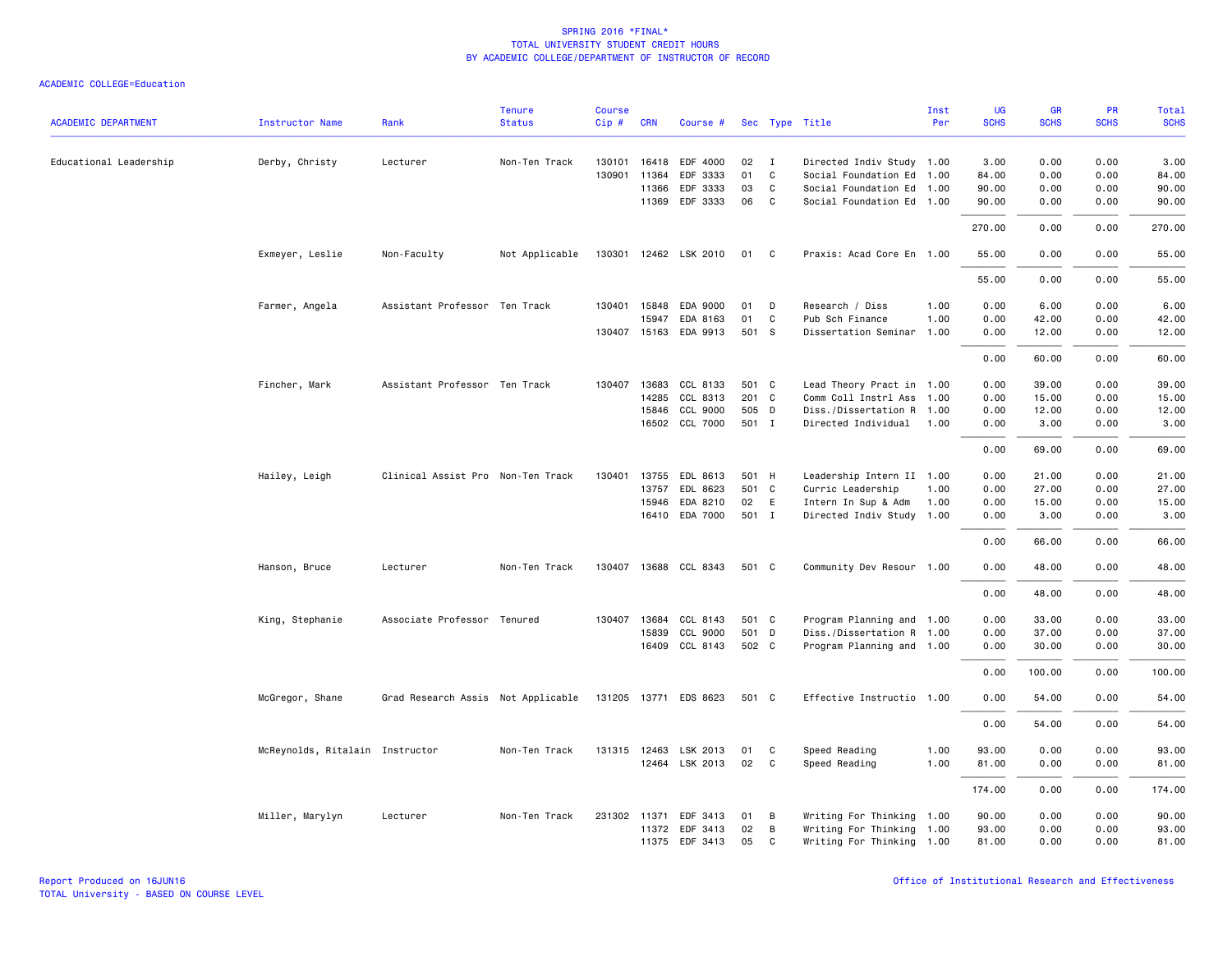|                            |                                 | Rank                               | <b>Tenure</b>  | <b>Course</b> |              |                       |       |              |                           | Inst | <b>UG</b>   | <b>GR</b>   | PR<br><b>SCHS</b> | <b>Total</b> |
|----------------------------|---------------------------------|------------------------------------|----------------|---------------|--------------|-----------------------|-------|--------------|---------------------------|------|-------------|-------------|-------------------|--------------|
| <b>ACADEMIC DEPARTMENT</b> | <b>Instructor Name</b>          |                                    | <b>Status</b>  | Cip#          | <b>CRN</b>   | Course #              |       |              | Sec Type Title            | Per  | <b>SCHS</b> | <b>SCHS</b> |                   | <b>SCHS</b>  |
| Educational Leadership     | Derby, Christy                  | Lecturer                           | Non-Ten Track  |               |              | 130101 16418 EDF 4000 | 02    | $\mathbf{I}$ | Directed Indiv Study 1.00 |      | 3.00        | 0.00        | 0.00              | 3.00         |
|                            |                                 |                                    |                | 130901        | 11364        | EDF 3333              | 01    | C            | Social Foundation Ed 1.00 |      | 84.00       | 0.00        | 0.00              | 84.00        |
|                            |                                 |                                    |                |               | 11366        | EDF 3333              | 03    | C            | Social Foundation Ed 1.00 |      | 90.00       | 0.00        | 0.00              | 90.00        |
|                            |                                 |                                    |                |               | 11369        | EDF 3333              | 06    | C            | Social Foundation Ed 1.00 |      | 90.00       | 0.00        | 0.00              | 90.00        |
|                            |                                 |                                    |                |               |              |                       |       |              |                           |      | 270.00      | 0.00        | 0.00              | 270.00       |
|                            | Exmeyer, Leslie                 | Non-Faculty                        | Not Applicable |               |              | 130301 12462 LSK 2010 | 01    | $\mathbf{C}$ | Praxis: Acad Core En 1.00 |      | 55.00       | 0.00        | 0.00              | 55.00        |
|                            |                                 |                                    |                |               |              |                       |       |              |                           |      | 55.00       | 0.00        | 0.00              | 55.00        |
|                            | Farmer, Angela                  | Assistant Professor Ten Track      |                |               | 130401 15848 | EDA 9000              | 01    | D            | Research / Diss           | 1.00 | 0.00        | 6.00        | 0.00              | 6.00         |
|                            |                                 |                                    |                |               | 15947        | EDA 8163              | 01    | C            | Pub Sch Finance           | 1.00 | 0.00        | 42.00       | 0.00              | 42.00        |
|                            |                                 |                                    |                |               |              | 130407 15163 EDA 9913 | 501 S |              | Dissertation Seminar      | 1.00 | 0.00        | 12.00       | 0.00              | 12.00        |
|                            |                                 |                                    |                |               |              |                       |       |              |                           |      | 0.00        | 60.00       | 0.00              | 60.00        |
|                            | Fincher, Mark                   | Assistant Professor Ten Track      |                |               | 130407 13683 | CCL 8133              | 501 C |              | Lead Theory Pract in 1.00 |      | 0.00        | 39.00       | 0.00              | 39.00        |
|                            |                                 |                                    |                |               | 14285        | CCL 8313              | 201 C |              | Comm Coll Instrl Ass 1.00 |      | 0.00        | 15.00       | 0.00              | 15.00        |
|                            |                                 |                                    |                |               | 15846        | CCL 9000              | 505 D |              | Diss./Dissertation R 1.00 |      | 0.00        | 12.00       | 0.00              | 12.00        |
|                            |                                 |                                    |                |               |              | 16502 CCL 7000        | 501 I |              | Directed Individual 1.00  |      | 0.00        | 3.00        | 0.00              | 3.00         |
|                            |                                 |                                    |                |               |              |                       |       |              |                           |      | 0.00        | 69.00       | 0.00              | 69.00        |
|                            | Hailey, Leigh                   | Clinical Assist Pro Non-Ten Track  |                |               |              | 130401 13755 EDL 8613 | 501 H |              | Leadership Intern II 1.00 |      | 0.00        | 21.00       | 0.00              | 21.00        |
|                            |                                 |                                    |                |               | 13757        | EDL 8623              | 501 C |              | Curric Leadership         | 1.00 | 0.00        | 27.00       | 0.00              | 27.00        |
|                            |                                 |                                    |                |               | 15946        | EDA 8210              | 02    | E            | Intern In Sup & Adm       | 1.00 | 0.00        | 15.00       | 0.00              | 15.00        |
|                            |                                 |                                    |                |               |              | 16410 EDA 7000        | 501 I |              | Directed Indiv Study 1.00 |      | 0.00        | 3.00        | 0.00              | 3.00         |
|                            |                                 |                                    |                |               |              |                       |       |              |                           |      | 0.00        | 66.00       | 0.00              | 66.00        |
|                            | Hanson, Bruce                   | Lecturer                           | Non-Ten Track  |               |              | 130407 13688 CCL 8343 | 501 C |              | Community Dev Resour 1.00 |      | 0.00        | 48.00       | 0.00              | 48.00        |
|                            |                                 |                                    |                |               |              |                       |       |              |                           |      | 0.00        | 48.00       | 0.00              | 48.00        |
|                            | King, Stephanie                 | Associate Professor Tenured        |                |               | 130407 13684 | CCL 8143              | 501 C |              | Program Planning and 1.00 |      | 0.00        | 33.00       | 0.00              | 33.00        |
|                            |                                 |                                    |                |               | 15839        | CCL 9000              | 501 D |              | Diss./Dissertation R 1.00 |      | 0.00        | 37.00       | 0.00              | 37.00        |
|                            |                                 |                                    |                |               |              | 16409 CCL 8143        | 502 C |              | Program Planning and 1.00 |      | 0.00        | 30.00       | 0.00              | 30.00        |
|                            |                                 |                                    |                |               |              |                       |       |              |                           |      | 0.00        | 100.00      | 0.00              | 100.00       |
|                            | McGregor, Shane                 | Grad Research Assis Not Applicable |                |               |              | 131205 13771 EDS 8623 | 501 C |              | Effective Instructio 1.00 |      | 0.00        | 54.00       | 0.00              | 54.00        |
|                            |                                 |                                    |                |               |              |                       |       |              |                           |      | 0.00        | 54.00       | 0.00              | 54.00        |
|                            | McReynolds, Ritalain Instructor |                                    | Non-Ten Track  |               |              | 131315 12463 LSK 2013 | 01    | C            | Speed Reading             | 1.00 | 93.00       | 0.00        | 0.00              | 93.00        |
|                            |                                 |                                    |                |               |              | 12464 LSK 2013        | 02    | C            | Speed Reading             | 1.00 | 81.00       | 0.00        | 0.00              | 81.00        |
|                            |                                 |                                    |                |               |              |                       |       |              |                           |      | 174.00      | 0.00        | 0.00              | 174.00       |
|                            | Miller, Marylyn                 | Lecturer                           | Non-Ten Track  |               |              | 231302 11371 EDF 3413 | 01    | В            | Writing For Thinking 1.00 |      | 90.00       | 0.00        | 0.00              | 90.00        |
|                            |                                 |                                    |                |               |              | 11372 EDF 3413        | 02    | В            | Writing For Thinking 1.00 |      | 93.00       | 0.00        | 0.00              | 93.00        |
|                            |                                 |                                    |                |               |              | 11375 EDF 3413        | 05    | $\mathbf{C}$ | Writing For Thinking 1.00 |      | 81.00       | 0.00        | 0.00              | 81.00        |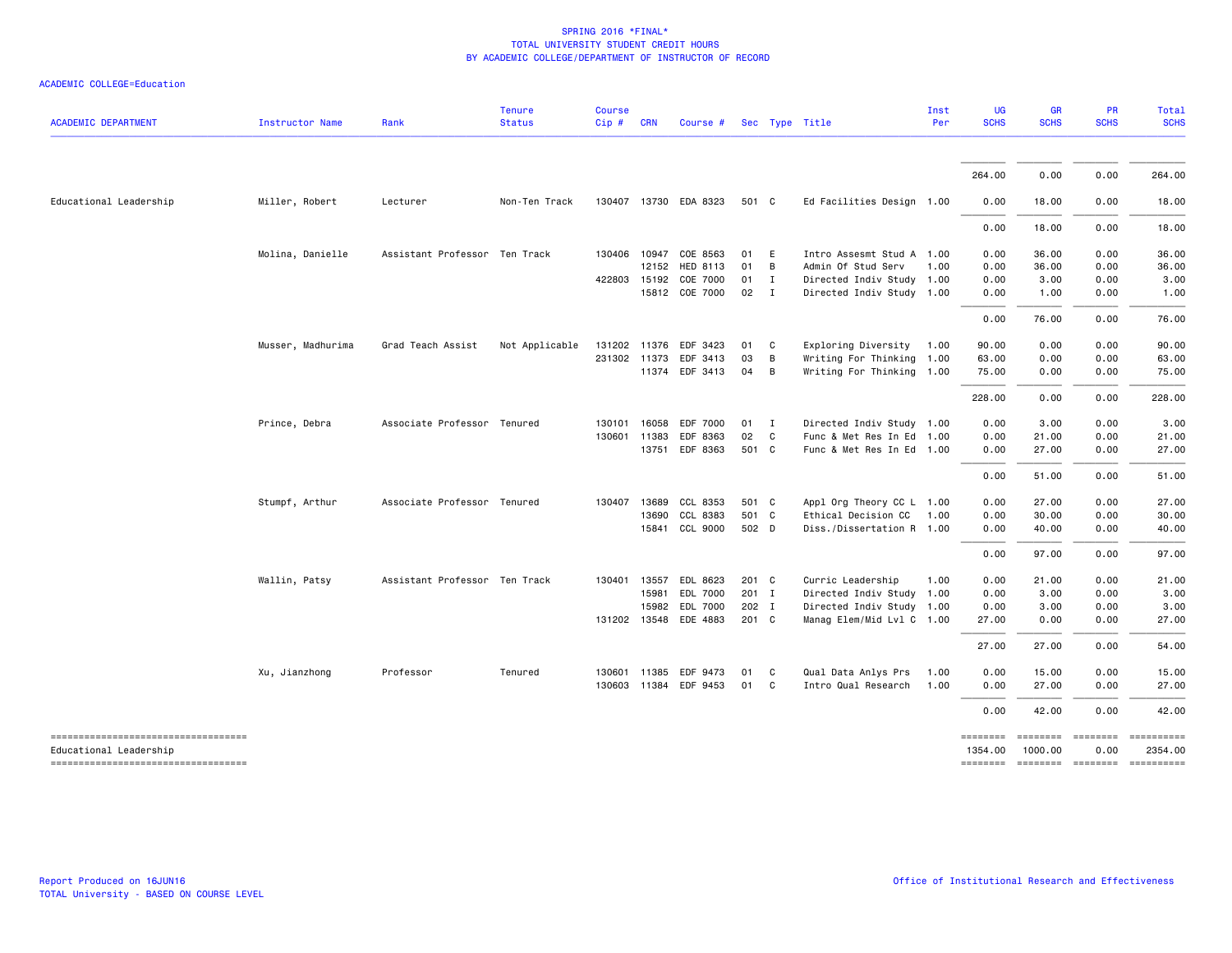|  | ACADEMIC COLLEGE=Education |  |
|--|----------------------------|--|
|--|----------------------------|--|

| <b>ACADEMIC DEPARTMENT</b>                                     | Instructor Name   | Rank                          | <b>Tenure</b><br><b>Status</b> | Course<br>Cip # CRN |              | Course #              |       |                | Sec Type Title            | Inst<br>Per | UG<br><b>SCHS</b>   | <b>GR</b><br><b>SCHS</b> | <b>PR</b><br><b>SCHS</b> | <b>Total</b><br><b>SCHS</b> |
|----------------------------------------------------------------|-------------------|-------------------------------|--------------------------------|---------------------|--------------|-----------------------|-------|----------------|---------------------------|-------------|---------------------|--------------------------|--------------------------|-----------------------------|
|                                                                |                   |                               |                                |                     |              |                       |       |                |                           |             |                     |                          |                          |                             |
|                                                                |                   |                               |                                |                     |              |                       |       |                |                           |             | 264.00              | 0.00                     | 0.00                     | 264.00                      |
| Educational Leadership                                         | Miller, Robert    | Lecturer                      | Non-Ten Track                  |                     |              | 130407 13730 EDA 8323 | 501 C |                | Ed Facilities Design 1.00 |             | 0.00                | 18.00                    | 0.00                     | 18.00                       |
|                                                                |                   |                               |                                |                     |              |                       |       |                |                           |             | 0.00                | 18.00                    | 0.00                     | 18.00                       |
|                                                                | Molina, Danielle  | Assistant Professor Ten Track |                                |                     |              | 130406 10947 COE 8563 | 01 E  |                | Intro Assesmt Stud A 1.00 |             | 0.00                | 36.00                    | 0.00                     | 36.00                       |
|                                                                |                   |                               |                                |                     |              | 12152 HED 8113        | 01 B  |                | Admin Of Stud Serv        | 1.00        | 0.00                | 36.00                    | 0.00                     | 36.00                       |
|                                                                |                   |                               |                                |                     | 422803 15192 | COE 7000              | 01    | $\mathbf{I}$   | Directed Indiv Study 1.00 |             | 0.00                | 3.00                     | 0.00                     | 3.00                        |
|                                                                |                   |                               |                                |                     |              | 15812 COE 7000        | 02    | $\mathbf{I}$   | Directed Indiv Study 1.00 |             | 0.00                | 1.00                     | 0.00                     | 1.00                        |
|                                                                |                   |                               |                                |                     |              |                       |       |                |                           |             | 0.00                | 76.00                    | 0.00                     | 76.00                       |
|                                                                | Musser, Madhurima | Grad Teach Assist             | Not Applicable                 |                     |              | 131202 11376 EDF 3423 | 01 C  |                | Exploring Diversity 1.00  |             | 90.00               | 0.00                     | 0.00                     | 90.00                       |
|                                                                |                   |                               |                                |                     | 231302 11373 | EDF 3413              | 03    | B              | Writing For Thinking 1.00 |             | 63.00               | 0.00                     | 0.00                     | 63.00                       |
|                                                                |                   |                               |                                |                     |              | 11374 EDF 3413        | 04    | $\overline{B}$ | Writing For Thinking 1.00 |             | 75.00               | 0.00                     | 0.00                     | 75.00                       |
|                                                                |                   |                               |                                |                     |              |                       |       |                |                           |             | 228.00              | 0.00                     | 0.00                     | 228.00                      |
|                                                                | Prince, Debra     | Associate Professor Tenured   |                                |                     | 130101 16058 | EDF 7000              | 01 I  |                | Directed Indiv Study 1.00 |             | 0.00                | 3.00                     | 0.00                     | 3.00                        |
|                                                                |                   |                               |                                |                     | 130601 11383 | EDF 8363              | 02 C  |                | Func & Met Res In Ed 1.00 |             | 0.00                | 21.00                    | 0.00                     | 21.00                       |
|                                                                |                   |                               |                                |                     |              | 13751 EDF 8363        | 501 C |                | Func & Met Res In Ed 1.00 |             | 0.00                | 27.00                    | 0.00                     | 27.00                       |
|                                                                |                   |                               |                                |                     |              |                       |       |                |                           |             | 0.00                | 51.00                    | 0.00                     | 51.00                       |
|                                                                | Stumpf, Arthur    | Associate Professor Tenured   |                                | 130407              | 13689        | CCL 8353              | 501 C |                | Appl Org Theory CC L 1.00 |             | 0.00                | 27.00                    | 0.00                     | 27.00                       |
|                                                                |                   |                               |                                |                     | 13690        | CCL 8383              | 501 C |                | Ethical Decision CC       | 1.00        | 0.00                | 30.00                    | 0.00                     | 30.00                       |
|                                                                |                   |                               |                                |                     | 15841        | CCL 9000              | 502 D |                | Diss./Dissertation R 1.00 |             | 0.00                | 40.00                    | 0.00                     | 40.00                       |
|                                                                |                   |                               |                                |                     |              |                       |       |                |                           |             | 0.00                | 97.00                    | 0.00                     | 97.00                       |
|                                                                | Wallin, Patsy     | Assistant Professor Ten Track |                                |                     |              | 130401 13557 EDL 8623 | 201 C |                | Curric Leadership         | 1.00        | 0.00                | 21.00                    | 0.00                     | 21.00                       |
|                                                                |                   |                               |                                |                     | 15981        | EDL 7000              | 201 I |                | Directed Indiv Study 1.00 |             | 0.00                | 3.00                     | 0.00                     | 3.00                        |
|                                                                |                   |                               |                                |                     | 15982        | EDL 7000              | 202 I |                | Directed Indiv Study 1.00 |             | 0.00                | 3.00                     | 0.00                     | 3.00                        |
|                                                                |                   |                               |                                |                     | 131202 13548 | EDE 4883              | 201 C |                | Manag Elem/Mid Lvl C 1.00 |             | 27.00               | 0.00                     | 0.00                     | 27.00                       |
|                                                                |                   |                               |                                |                     |              |                       |       |                |                           |             | 27.00               | 27.00                    | 0.00                     | 54.00                       |
|                                                                | Xu, Jianzhong     | Professor                     | Tenured                        |                     | 130601 11385 | EDF 9473              | 01    | $\mathbf{C}$   | Qual Data Anlys Prs       | 1.00        | 0.00                | 15.00                    | 0.00                     | 15.00                       |
|                                                                |                   |                               |                                |                     |              | 130603 11384 EDF 9453 | 01    | $\mathbf{C}$   | Intro Qual Research       | 1.00        | 0.00                | 27.00                    | 0.00                     | 27.00                       |
|                                                                |                   |                               |                                |                     |              |                       |       |                |                           |             | 0.00                | 42.00                    | 0.00                     | 42.00                       |
| ------------------------------------<br>Educational Leadership |                   |                               |                                |                     |              |                       |       |                |                           |             | ========<br>1354.00 | ========<br>1000.00      | ========<br>0.00         | ==========<br>2354.00       |
| -----------------------------------                            |                   |                               |                                |                     |              |                       |       |                |                           |             |                     |                          | -------- ------- ------- | - ==========                |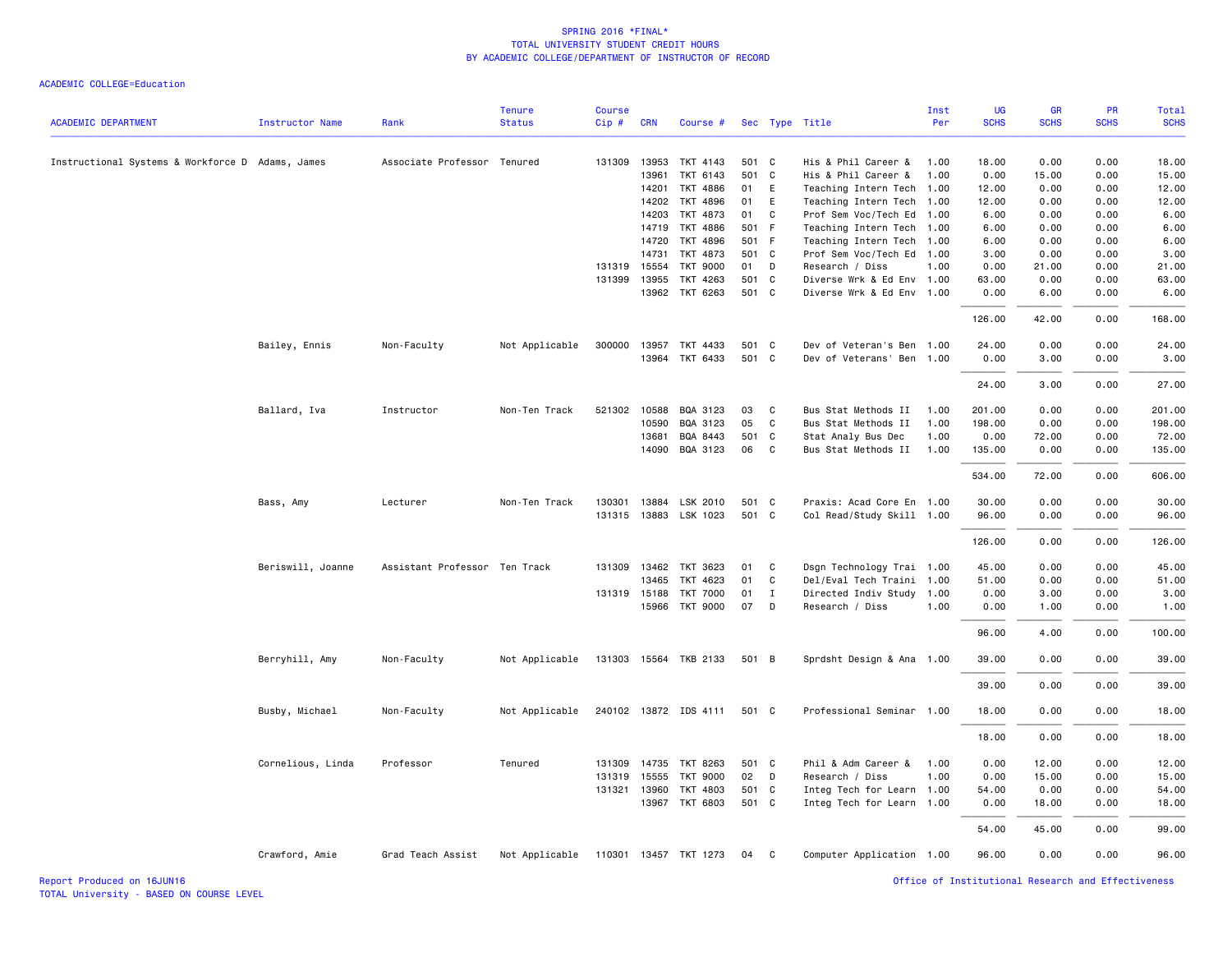| <b>ACADEMIC DEPARTMENT</b>                       | Instructor Name   | Rank                          | <b>Tenure</b><br><b>Status</b> | <b>Course</b><br>Cip# | <b>CRN</b>     | Course #              |                |              | Sec Type Title                             | Inst<br>Per  | UG<br><b>SCHS</b> | GR<br><b>SCHS</b> | PR<br><b>SCHS</b> | <b>Total</b><br><b>SCHS</b> |
|--------------------------------------------------|-------------------|-------------------------------|--------------------------------|-----------------------|----------------|-----------------------|----------------|--------------|--------------------------------------------|--------------|-------------------|-------------------|-------------------|-----------------------------|
|                                                  |                   |                               |                                |                       |                |                       |                |              |                                            |              |                   |                   |                   |                             |
| Instructional Systems & Workforce D Adams, James |                   | Associate Professor Tenured   |                                | 131309                | 13953<br>13961 | TKT 4143<br>TKT 6143  | 501 C<br>501 C |              | His & Phil Career &<br>His & Phil Career & | 1.00<br>1.00 | 18,00<br>0.00     | 0.00<br>15.00     | 0.00<br>0.00      | 18,00<br>15.00              |
|                                                  |                   |                               |                                |                       | 14201          | TKT 4886              | 01             | E            | Teaching Intern Tech 1.00                  |              | 12.00             | 0.00              | 0.00              | 12.00                       |
|                                                  |                   |                               |                                |                       | 14202          | TKT 4896              | 01             | E            | Teaching Intern Tech 1.00                  |              | 12.00             | 0.00              | 0.00              | 12.00                       |
|                                                  |                   |                               |                                |                       | 14203          | TKT 4873              | 01             | $\mathsf{C}$ | Prof Sem Voc/Tech Ed 1.00                  |              | 6.00              | 0.00              | 0.00              | 6.00                        |
|                                                  |                   |                               |                                |                       | 14719          | TKT 4886              | 501 F          |              | Teaching Intern Tech 1.00                  |              | 6.00              | 0.00              | 0.00              | 6.00                        |
|                                                  |                   |                               |                                |                       | 14720          | TKT 4896              | 501 F          |              | Teaching Intern Tech 1.00                  |              | 6.00              | 0.00              | 0.00              | 6.00                        |
|                                                  |                   |                               |                                |                       | 14731          | TKT 4873              | 501 C          |              | Prof Sem Voc/Tech Ed 1.00                  |              | 3.00              | 0.00              | 0.00              | 3.00                        |
|                                                  |                   |                               |                                | 131319 15554          |                | <b>TKT 9000</b>       | 01             | D            | Research / Diss                            | 1.00         | 0.00              | 21.00             | 0.00              | 21.00                       |
|                                                  |                   |                               |                                | 131399 13955          |                | TKT 4263              | 501            | C            | Diverse Wrk & Ed Env 1.00                  |              | 63.00             | 0.00              | 0.00              | 63.00                       |
|                                                  |                   |                               |                                |                       |                | 13962 TKT 6263        | 501 C          |              | Diverse Wrk & Ed Env 1.00                  |              | 0.00              | 6.00              | 0.00              | 6.00                        |
|                                                  |                   |                               |                                |                       |                |                       |                |              |                                            |              | 126.00            | 42.00             | 0.00              | 168.00                      |
|                                                  | Bailey, Ennis     | Non-Faculty                   | Not Applicable                 |                       |                | 300000 13957 TKT 4433 | 501 C          |              | Dev of Veteran's Ben 1.00                  |              | 24,00             | 0.00              | 0.00              | 24.00                       |
|                                                  |                   |                               |                                |                       | 13964          | TKT 6433              | 501 C          |              | Dev of Veterans' Ben 1.00                  |              | 0.00              | 3.00              | 0.00              | 3.00                        |
|                                                  |                   |                               |                                |                       |                |                       |                |              |                                            |              | 24.00             | 3.00              | 0.00              | 27.00                       |
|                                                  | Ballard, Iva      | Instructor                    | Non-Ten Track                  | 521302 10588          |                | BQA 3123              | 03             | C            | Bus Stat Methods II                        | 1.00         | 201.00            | 0.00              | 0.00              | 201.00                      |
|                                                  |                   |                               |                                |                       | 10590          | BQA 3123              | 05             | $\mathsf{C}$ | Bus Stat Methods II                        | 1.00         | 198.00            | 0.00              | 0.00              | 198.00                      |
|                                                  |                   |                               |                                |                       | 13681          | BQA 8443              | 501 C          |              | Stat Analy Bus Dec                         | 1.00         | 0.00              | 72.00             | 0.00              | 72.00                       |
|                                                  |                   |                               |                                |                       | 14090          | BQA 3123              | 06             | C            | Bus Stat Methods II                        | 1.00         | 135.00            | 0.00              | 0.00              | 135.00                      |
|                                                  |                   |                               |                                |                       |                |                       |                |              |                                            |              | 534.00            | 72.00             | 0.00              | 606.00                      |
|                                                  | Bass, Amy         | Lecturer                      | Non-Ten Track                  | 130301                | 13884          | LSK 2010              | 501 C          |              | Praxis: Acad Core En 1.00                  |              | 30.00             | 0.00              | 0.00              | 30.00                       |
|                                                  |                   |                               |                                |                       |                | 131315 13883 LSK 1023 | 501 C          |              | Col Read/Study Skill 1.00                  |              | 96.00             | 0.00              | 0.00              | 96.00                       |
|                                                  |                   |                               |                                |                       |                |                       |                |              |                                            |              | 126.00            | 0.00              | 0.00              | 126.00                      |
|                                                  | Beriswill, Joanne | Assistant Professor Ten Track |                                |                       | 131309 13462   | TKT 3623              | 01             | C            | Dsgn Technology Trai 1.00                  |              | 45.00             | 0.00              | 0.00              | 45.00                       |
|                                                  |                   |                               |                                |                       | 13465          | TKT 4623              | 01             | C            | Del/Eval Tech Traini 1.00                  |              | 51.00             | 0.00              | 0.00              | 51.00                       |
|                                                  |                   |                               |                                |                       | 131319 15188   | <b>TKT 7000</b>       | 01             | $\mathbf{I}$ | Directed Indiv Study 1.00                  |              | 0.00              | 3.00              | 0.00              | 3.00                        |
|                                                  |                   |                               |                                |                       |                | 15966 TKT 9000        | 07             | D            | Research / Diss                            | 1.00         | 0.00              | 1.00              | 0.00              | 1.00                        |
|                                                  |                   |                               |                                |                       |                |                       |                |              |                                            |              | 96.00             | 4.00              | 0.00              | 100.00                      |
|                                                  | Berryhill, Amy    | Non-Faculty                   | Not Applicable                 |                       |                | 131303 15564 TKB 2133 | 501 B          |              | Sprdsht Design & Ana 1.00                  |              | 39.00             | 0.00              | 0.00              | 39.00                       |
|                                                  |                   |                               |                                |                       |                |                       |                |              |                                            |              | 39.00             | 0.00              | 0.00              | 39.00                       |
|                                                  | Busby, Michael    | Non-Faculty                   | Not Applicable                 |                       |                | 240102 13872 IDS 4111 | 501 C          |              | Professional Seminar 1.00                  |              | 18.00             | 0.00              | 0.00              | 18.00                       |
|                                                  |                   |                               |                                |                       |                |                       |                |              |                                            |              | 18.00             | 0.00              | 0.00              | 18.00                       |
|                                                  | Cornelious, Linda | Professor                     | Tenured                        | 131309                | 14735          | TKT 8263              | 501 C          |              | Phil & Adm Career &                        | 1.00         | 0.00              | 12.00             | 0.00              | 12.00                       |
|                                                  |                   |                               |                                |                       | 131319 15555   | <b>TKT 9000</b>       | 02             | D            | Research / Diss                            | 1.00         | 0.00              | 15.00             | 0.00              | 15.00                       |
|                                                  |                   |                               |                                |                       | 131321 13960   | TKT 4803              | 501 C          |              | Integ Tech for Learn 1.00                  |              | 54.00             | 0.00              | 0.00              | 54.00                       |
|                                                  |                   |                               |                                |                       | 13967          | TKT 6803              | 501 C          |              | Integ Tech for Learn 1.00                  |              | 0.00              | 18.00             | 0.00              | 18.00                       |
|                                                  |                   |                               |                                |                       |                |                       |                |              |                                            |              | 54.00             | 45.00             | 0.00              | 99.00                       |
|                                                  | Crawford, Amie    | Grad Teach Assist             | Not Applicable                 |                       |                | 110301 13457 TKT 1273 | 04             | C.           | Computer Application 1.00                  |              | 96.00             | 0.00              | 0.00              | 96.00                       |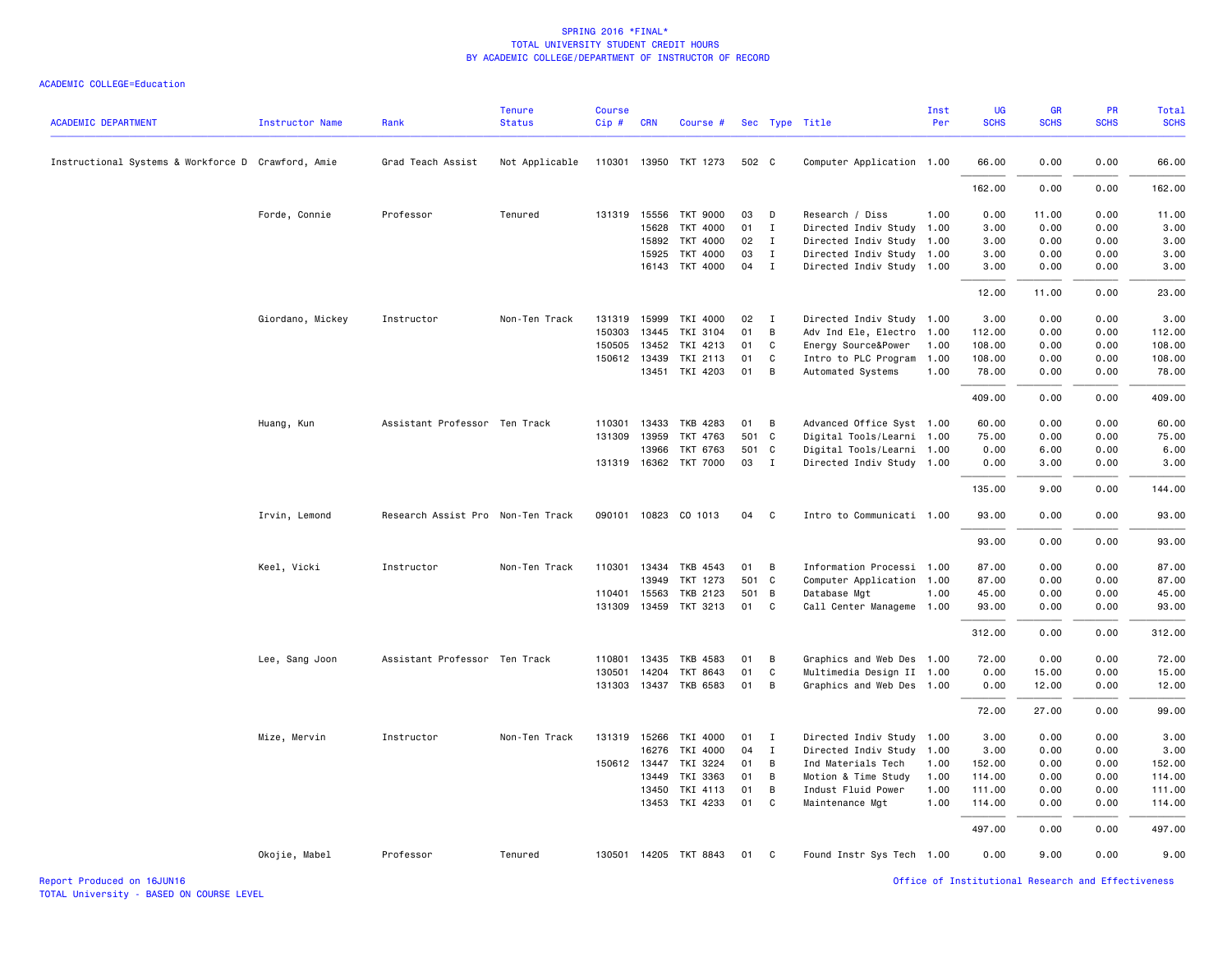| <b>ACADEMIC DEPARTMENT</b>                         | Instructor Name  | Rank                              | <b>Tenure</b><br><b>Status</b> | <b>Course</b><br>Cip# | <b>CRN</b>     | Course #              |          |              | Sec Type Title                        | Inst<br>Per  | <b>UG</b><br><b>SCHS</b> | GR<br><b>SCHS</b> | <b>PR</b><br><b>SCHS</b> | Total<br><b>SCHS</b> |
|----------------------------------------------------|------------------|-----------------------------------|--------------------------------|-----------------------|----------------|-----------------------|----------|--------------|---------------------------------------|--------------|--------------------------|-------------------|--------------------------|----------------------|
| Instructional Systems & Workforce D Crawford, Amie |                  | Grad Teach Assist                 | Not Applicable                 |                       |                | 110301 13950 TKT 1273 | 502 C    |              | Computer Application 1.00             |              | 66.00                    | 0.00              | 0.00                     | 66.00                |
|                                                    |                  |                                   |                                |                       |                |                       |          |              |                                       |              | 162.00                   | 0.00              | 0.00                     | 162.00               |
|                                                    | Forde, Connie    | Professor                         | Tenured                        |                       | 131319 15556   | <b>TKT 9000</b>       | 03       | D            | Research / Diss                       | 1.00         | 0.00                     | 11.00             | 0.00                     | 11.00                |
|                                                    |                  |                                   |                                |                       | 15628          | TKT 4000              | 01       | I            | Directed Indiv Study                  | 1.00         | 3.00                     | 0.00              | 0.00                     | 3.00                 |
|                                                    |                  |                                   |                                |                       | 15892          | TKT 4000              | 02       | $\mathbf{I}$ | Directed Indiv Study 1.00             |              | 3.00                     | 0.00              | 0.00                     | 3.00                 |
|                                                    |                  |                                   |                                |                       | 15925          | TKT 4000              | 03       | I            | Directed Indiv Study 1.00             |              | 3.00                     | 0.00              | 0.00                     | 3.00                 |
|                                                    |                  |                                   |                                |                       | 16143          | TKT 4000              | 04       | $\mathbf{I}$ | Directed Indiv Study 1.00             |              | 3.00                     | 0.00              | 0.00                     | 3.00                 |
|                                                    |                  |                                   |                                |                       |                |                       |          |              |                                       |              | 12.00                    | 11.00             | 0.00                     | 23.00                |
|                                                    | Giordano, Mickey | Instructor                        | Non-Ten Track                  | 131319                | 15999          | TKI 4000              | 02       | $\mathbf I$  | Directed Indiv Study 1.00             |              | 3.00                     | 0.00              | 0.00                     | 3.00                 |
|                                                    |                  |                                   |                                | 150303                | 13445          | TKI 3104              | 01       | B            | Adv Ind Ele, Electro                  | 1.00         | 112.00                   | 0.00              | 0.00                     | 112.00               |
|                                                    |                  |                                   |                                | 150505                | 13452          | TKI 4213              | 01       | C            | Energy Source&Power                   | 1.00         | 108.00                   | 0.00              | 0.00                     | 108.00               |
|                                                    |                  |                                   |                                |                       | 150612 13439   | TKI 2113              | 01       | C            | Intro to PLC Program                  | 1.00         | 108.00                   | 0.00              | 0.00                     | 108.00               |
|                                                    |                  |                                   |                                |                       | 13451          | TKI 4203              | 01       | B            | Automated Systems                     | 1.00         | 78.00                    | 0.00              | 0.00                     | 78.00                |
|                                                    |                  |                                   |                                |                       |                |                       |          |              |                                       |              | 409.00                   | 0.00              | 0.00                     | 409.00               |
|                                                    | Huang, Kun       | Assistant Professor Ten Track     |                                | 110301                | 13433          | TKB 4283              | 01       | B            | Advanced Office Syst 1.00             |              | 60.00                    | 0.00              | 0.00                     | 60.00                |
|                                                    |                  |                                   |                                | 131309                | 13959          | TKT 4763              | 501 C    |              | Digital Tools/Learni 1.00             |              | 75.00                    | 0.00              | 0.00                     | 75.00                |
|                                                    |                  |                                   |                                |                       | 13966          | TKT 6763              | 501 C    |              | Digital Tools/Learni 1.00             |              | 0.00                     | 6.00              | 0.00                     | 6.00                 |
|                                                    |                  |                                   |                                |                       |                | 131319 16362 TKT 7000 | 03       | $\mathbf{I}$ | Directed Indiv Study 1.00             |              | 0.00                     | 3.00              | 0.00                     | 3.00                 |
|                                                    |                  |                                   |                                |                       |                |                       |          |              |                                       |              | 135.00                   | 9.00              | 0.00                     | 144.00               |
|                                                    | Irvin, Lemond    | Research Assist Pro Non-Ten Track |                                |                       |                | 090101 10823 CO 1013  | 04       | <b>C</b>     | Intro to Communicati 1.00             |              | 93.00                    | 0.00              | 0.00                     | 93.00                |
|                                                    |                  |                                   |                                |                       |                |                       |          |              |                                       |              | 93.00                    | 0.00              | 0.00                     | 93.00                |
|                                                    | Keel, Vicki      | Instructor                        | Non-Ten Track                  |                       | 110301 13434   | TKB 4543              | 01       | В            | Information Processi 1.00             |              | 87.00                    | 0.00              | 0.00                     | 87.00                |
|                                                    |                  |                                   |                                |                       | 13949          | TKT 1273              | 501 C    |              | Computer Application 1.00             |              | 87.00                    | 0.00              | 0.00                     | 87.00                |
|                                                    |                  |                                   |                                | 110401                | 15563          | <b>TKB 2123</b>       | 501 B    |              | Database Mgt                          | 1.00         | 45.00                    | 0.00              | 0.00                     | 45.00                |
|                                                    |                  |                                   |                                | 131309                | 13459          | TKT 3213              | 01       | C            | Call Center Manageme 1.00             |              | 93.00                    | 0.00              | 0.00                     | 93.00                |
|                                                    |                  |                                   |                                |                       |                |                       |          |              |                                       |              | 312.00                   | 0.00              | 0.00                     | 312.00               |
|                                                    | Lee, Sang Joon   | Assistant Professor Ten Track     |                                | 110801                | 13435          | <b>TKB 4583</b>       | 01       | B            | Graphics and Web Des 1.00             |              | 72.00                    | 0.00              | 0.00                     | 72.00                |
|                                                    |                  |                                   |                                | 130501                | 14204          | TKT 8643              | 01       | C            | Multimedia Design II 1.00             |              | 0.00                     | 15.00             | 0.00                     | 15.00                |
|                                                    |                  |                                   |                                |                       |                | 131303 13437 TKB 6583 | 01       | В            | Graphics and Web Des 1.00             |              | 0.00                     | 12.00             | 0.00                     | 12.00                |
|                                                    |                  |                                   |                                |                       |                |                       |          |              |                                       |              | 72.00                    | 27.00             | 0.00                     | 99.00                |
|                                                    | Mize, Mervin     | Instructor                        | Non-Ten Track                  |                       | 131319 15266   | TKI 4000              | 01       | $\mathbf{I}$ | Directed Indiv Study 1.00             |              | 3.00                     | 0.00              | 0.00                     | 3.00                 |
|                                                    |                  |                                   |                                |                       | 16276          | TKI 4000              | 04       | $\mathbf{I}$ | Directed Indiv Study                  | 1.00         | 3.00                     | 0.00              | 0.00                     | 3.00                 |
|                                                    |                  |                                   |                                |                       | 150612 13447   | TKI 3224              | 01       | B            | Ind Materials Tech                    | 1.00         | 152.00                   | 0.00              | 0.00                     | 152.00               |
|                                                    |                  |                                   |                                |                       | 13449          | TKI 3363              | 01       | B            | Motion & Time Study                   | 1.00         | 114.00                   | 0.00              | 0.00                     | 114.00               |
|                                                    |                  |                                   |                                |                       | 13450<br>13453 | TKI 4113<br>TKI 4233  | 01<br>01 | В<br>C       | Indust Fluid Power<br>Maintenance Mgt | 1.00<br>1.00 | 111.00<br>114.00         | 0.00<br>0.00      | 0.00<br>0.00             | 111.00<br>114.00     |
|                                                    |                  |                                   |                                |                       |                |                       |          |              |                                       |              | 497.00                   | 0.00              | 0.00                     | 497.00               |
|                                                    |                  |                                   |                                |                       |                |                       |          |              |                                       |              |                          |                   |                          |                      |
|                                                    | Okojie, Mabel    | Professor                         | Tenured                        |                       |                | 130501 14205 TKT 8843 | 01       | C.           | Found Instr Sys Tech 1.00             |              | 0.00                     | 9.00              | 0.00                     | 9.00                 |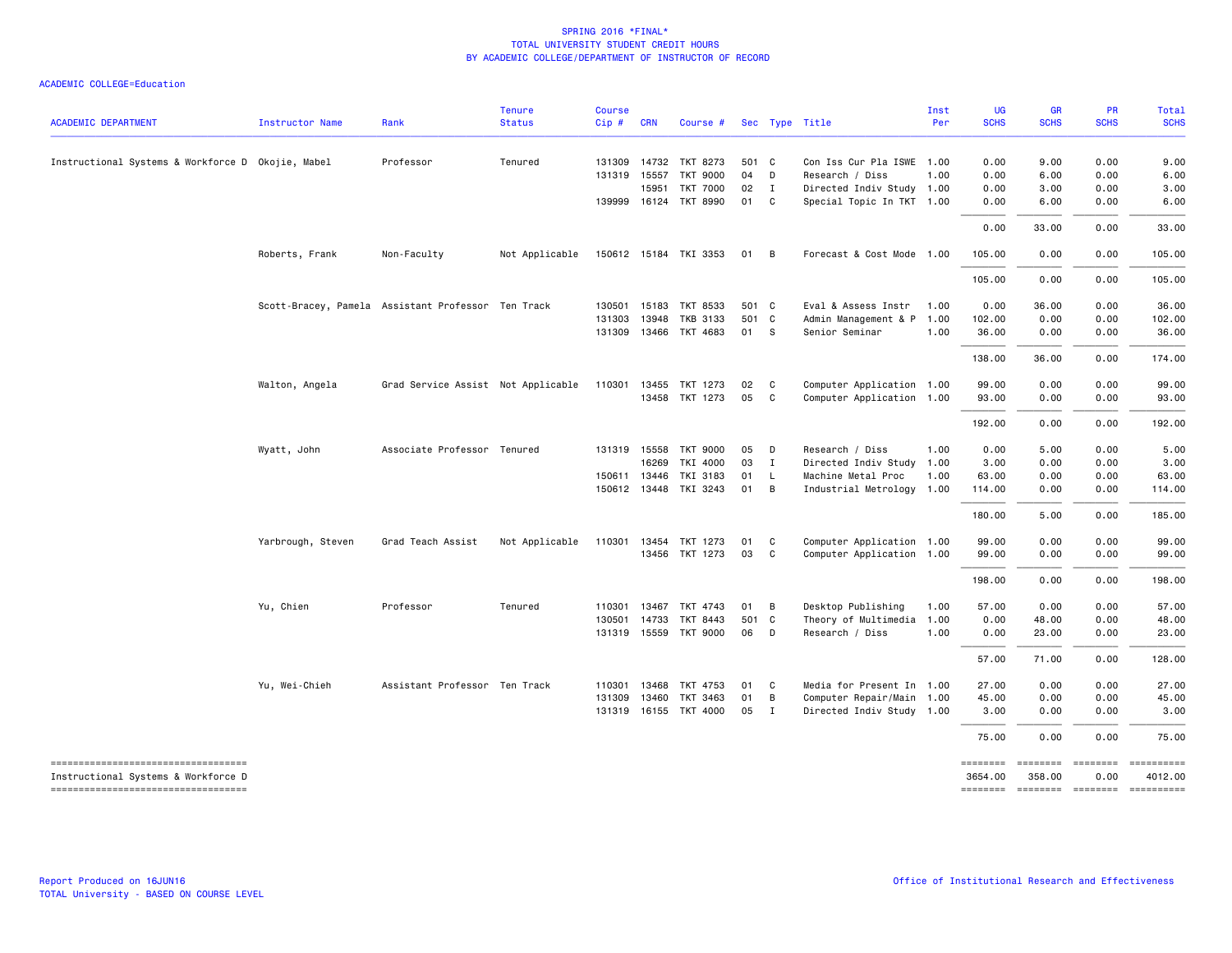| <b>ACADEMIC DEPARTMENT</b>                        | <b>Instructor Name</b> | Rank                                               | <b>Tenure</b><br><b>Status</b> | <b>Course</b><br>$Cip \#$ | <b>CRN</b>   | Course #              |       |                | Sec Type Title            | Inst<br>Per | <b>UG</b><br><b>SCHS</b> | GR<br><b>SCHS</b> | PR<br><b>SCHS</b> | Total<br><b>SCHS</b>                                                                                                                                                                                                                                                                                                                                                                                                                                                                   |
|---------------------------------------------------|------------------------|----------------------------------------------------|--------------------------------|---------------------------|--------------|-----------------------|-------|----------------|---------------------------|-------------|--------------------------|-------------------|-------------------|----------------------------------------------------------------------------------------------------------------------------------------------------------------------------------------------------------------------------------------------------------------------------------------------------------------------------------------------------------------------------------------------------------------------------------------------------------------------------------------|
| Instructional Systems & Workforce D Okojie, Mabel |                        | Professor                                          | Tenured                        | 131309                    | 14732        | TKT 8273              | 501 C |                | Con Iss Cur Pla ISWE 1.00 |             | 0.00                     | 9.00              | 0.00              | 9.00                                                                                                                                                                                                                                                                                                                                                                                                                                                                                   |
|                                                   |                        |                                                    |                                |                           | 131319 15557 | TKT 9000              | 04    | D              | Research / Diss           | 1.00        | 0.00                     | 6.00              | 0.00              | 6.00                                                                                                                                                                                                                                                                                                                                                                                                                                                                                   |
|                                                   |                        |                                                    |                                |                           | 15951        | <b>TKT 7000</b>       | 02    | $\mathbf{I}$   | Directed Indiv Study 1.00 |             | 0.00                     | 3.00              | 0.00              | 3.00                                                                                                                                                                                                                                                                                                                                                                                                                                                                                   |
|                                                   |                        |                                                    |                                |                           |              | 139999 16124 TKT 8990 | 01 C  |                | Special Topic In TKT 1.00 |             | 0.00                     | 6.00              | 0.00              | 6.00                                                                                                                                                                                                                                                                                                                                                                                                                                                                                   |
|                                                   |                        |                                                    |                                |                           |              |                       |       |                |                           |             | 0.00                     | 33.00             | 0.00              | 33.00                                                                                                                                                                                                                                                                                                                                                                                                                                                                                  |
|                                                   | Roberts, Frank         | Non-Faculty                                        | Not Applicable                 |                           |              | 150612 15184 TKI 3353 | 01 B  |                | Forecast & Cost Mode 1.00 |             | 105.00                   | 0.00              | 0.00              | 105.00                                                                                                                                                                                                                                                                                                                                                                                                                                                                                 |
|                                                   |                        |                                                    |                                |                           |              |                       |       |                |                           |             | 105.00                   | 0.00              | 0.00              | 105.00                                                                                                                                                                                                                                                                                                                                                                                                                                                                                 |
|                                                   |                        | Scott-Bracey, Pamela Assistant Professor Ten Track |                                |                           | 130501 15183 | TKT 8533              | 501 C |                | Eval & Assess Instr       | 1.00        | 0.00                     | 36.00             | 0.00              | 36.00                                                                                                                                                                                                                                                                                                                                                                                                                                                                                  |
|                                                   |                        |                                                    |                                | 131303                    | 13948        | <b>TKB 3133</b>       |       | 501 C          | Admin Management & P      | 1.00        | 102.00                   | 0.00              | 0.00              | 102.00                                                                                                                                                                                                                                                                                                                                                                                                                                                                                 |
|                                                   |                        |                                                    |                                |                           |              | 131309 13466 TKT 4683 | 01 S  |                | Senior Seminar            | 1.00        | 36.00                    | 0.00              | 0.00              | 36.00                                                                                                                                                                                                                                                                                                                                                                                                                                                                                  |
|                                                   |                        |                                                    |                                |                           |              |                       |       |                |                           |             | 138.00                   | 36.00             | 0.00              | 174.00                                                                                                                                                                                                                                                                                                                                                                                                                                                                                 |
|                                                   | Walton, Angela         | Grad Service Assist Not Applicable                 |                                | 110301                    | 13455        | TKT 1273              | 02    | $\mathbf{C}$   | Computer Application 1.00 |             | 99.00                    | 0.00              | 0.00              | 99.00                                                                                                                                                                                                                                                                                                                                                                                                                                                                                  |
|                                                   |                        |                                                    |                                |                           |              | 13458 TKT 1273        | 05    | $\mathbf{C}$   | Computer Application 1.00 |             | 93.00                    | 0.00              | 0.00              | 93.00                                                                                                                                                                                                                                                                                                                                                                                                                                                                                  |
|                                                   |                        |                                                    |                                |                           |              |                       |       |                |                           |             | 192.00                   | 0.00              | 0.00              | 192.00                                                                                                                                                                                                                                                                                                                                                                                                                                                                                 |
|                                                   | Wyatt, John            | Associate Professor Tenured                        |                                |                           | 131319 15558 | TKT 9000              | 05    | $\Box$         | Research / Diss           | 1.00        | 0.00                     | 5.00              | 0.00              | 5.00                                                                                                                                                                                                                                                                                                                                                                                                                                                                                   |
|                                                   |                        |                                                    |                                |                           | 16269        | TKI 4000              | 03    | $\mathbf{I}$   | Directed Indiv Study      | 1.00        | 3.00                     | 0.00              | 0.00              | 3.00                                                                                                                                                                                                                                                                                                                                                                                                                                                                                   |
|                                                   |                        |                                                    |                                |                           | 150611 13446 | TKI 3183              | 01    | $\mathsf{L}$   | Machine Metal Proc        | 1.00        | 63.00                    | 0.00              | 0.00              | 63.00                                                                                                                                                                                                                                                                                                                                                                                                                                                                                  |
|                                                   |                        |                                                    |                                |                           |              | 150612 13448 TKI 3243 | 01    | $\overline{B}$ | Industrial Metrology 1.00 |             | 114.00                   | 0.00              | 0.00              | 114.00                                                                                                                                                                                                                                                                                                                                                                                                                                                                                 |
|                                                   |                        |                                                    |                                |                           |              |                       |       |                |                           |             | 180.00                   | 5.00              | 0.00              | 185.00                                                                                                                                                                                                                                                                                                                                                                                                                                                                                 |
|                                                   | Yarbrough, Steven      | Grad Teach Assist                                  | Not Applicable                 | 110301 13454              |              | TKT 1273              | 01    | C              | Computer Application 1.00 |             | 99.00                    | 0.00              | 0.00              | 99.00                                                                                                                                                                                                                                                                                                                                                                                                                                                                                  |
|                                                   |                        |                                                    |                                |                           |              | 13456 TKT 1273        | 03    | $\mathbf{C}$   | Computer Application 1.00 |             | 99.00                    | 0.00              | 0.00              | 99.00                                                                                                                                                                                                                                                                                                                                                                                                                                                                                  |
|                                                   |                        |                                                    |                                |                           |              |                       |       |                |                           |             | 198.00                   | 0.00              | 0.00              | 198.00                                                                                                                                                                                                                                                                                                                                                                                                                                                                                 |
|                                                   | Yu, Chien              | Professor                                          | Tenured                        | 110301                    | 13467        | TKT 4743              | 01    | $\overline{B}$ | Desktop Publishing        | 1.00        | 57.00                    | 0.00              | 0.00              | 57.00                                                                                                                                                                                                                                                                                                                                                                                                                                                                                  |
|                                                   |                        |                                                    |                                |                           | 130501 14733 | TKT 8443              |       | 501 C          | Theory of Multimedia      | 1.00        | 0.00                     | 48.00             | 0.00              | 48.00                                                                                                                                                                                                                                                                                                                                                                                                                                                                                  |
|                                                   |                        |                                                    |                                |                           |              | 131319 15559 TKT 9000 | 06 D  |                | Research / Diss           | 1.00        | 0.00                     | 23.00             | 0.00              | 23.00                                                                                                                                                                                                                                                                                                                                                                                                                                                                                  |
|                                                   |                        |                                                    |                                |                           |              |                       |       |                |                           |             | 57.00                    | 71.00             | 0.00              | 128.00                                                                                                                                                                                                                                                                                                                                                                                                                                                                                 |
|                                                   | Yu, Wei-Chieh          | Assistant Professor Ten Track                      |                                |                           | 110301 13468 | TKT 4753              | 01    | $\mathbf{C}$   | Media for Present In 1.00 |             | 27.00                    | 0.00              | 0.00              | 27.00                                                                                                                                                                                                                                                                                                                                                                                                                                                                                  |
|                                                   |                        |                                                    |                                | 131309                    | 13460        | TKT 3463              | 01    | $\overline{B}$ | Computer Repair/Main 1.00 |             | 45.00                    | 0.00              | 0.00              | 45.00                                                                                                                                                                                                                                                                                                                                                                                                                                                                                  |
|                                                   |                        |                                                    |                                |                           |              | 131319 16155 TKT 4000 | 05    | $\mathbf{I}$   | Directed Indiv Study 1.00 |             | 3.00                     | 0.00              | 0.00              | 3.00                                                                                                                                                                                                                                                                                                                                                                                                                                                                                   |
|                                                   |                        |                                                    |                                |                           |              |                       |       |                |                           |             | 75.00                    | 0.00              | 0.00              | 75.00                                                                                                                                                                                                                                                                                                                                                                                                                                                                                  |
| ======================================            |                        |                                                    |                                |                           |              |                       |       |                |                           |             | ========                 | ========          | <b>EEEEEEE</b>    | ==========                                                                                                                                                                                                                                                                                                                                                                                                                                                                             |
| Instructional Systems & Workforce D               |                        |                                                    |                                |                           |              |                       |       |                |                           |             | 3654.00                  | 358.00            | 0.00              | 4012.00                                                                                                                                                                                                                                                                                                                                                                                                                                                                                |
| -----------------------------------               |                        |                                                    |                                |                           |              |                       |       |                |                           |             | ========                 |                   | ======== =======  | $\begin{array}{cccccccccc} \multicolumn{2}{c}{} & \multicolumn{2}{c}{} & \multicolumn{2}{c}{} & \multicolumn{2}{c}{} & \multicolumn{2}{c}{} & \multicolumn{2}{c}{} & \multicolumn{2}{c}{} & \multicolumn{2}{c}{} & \multicolumn{2}{c}{} & \multicolumn{2}{c}{} & \multicolumn{2}{c}{} & \multicolumn{2}{c}{} & \multicolumn{2}{c}{} & \multicolumn{2}{c}{} & \multicolumn{2}{c}{} & \multicolumn{2}{c}{} & \multicolumn{2}{c}{} & \multicolumn{2}{c}{} & \multicolumn{2}{c}{} & \mult$ |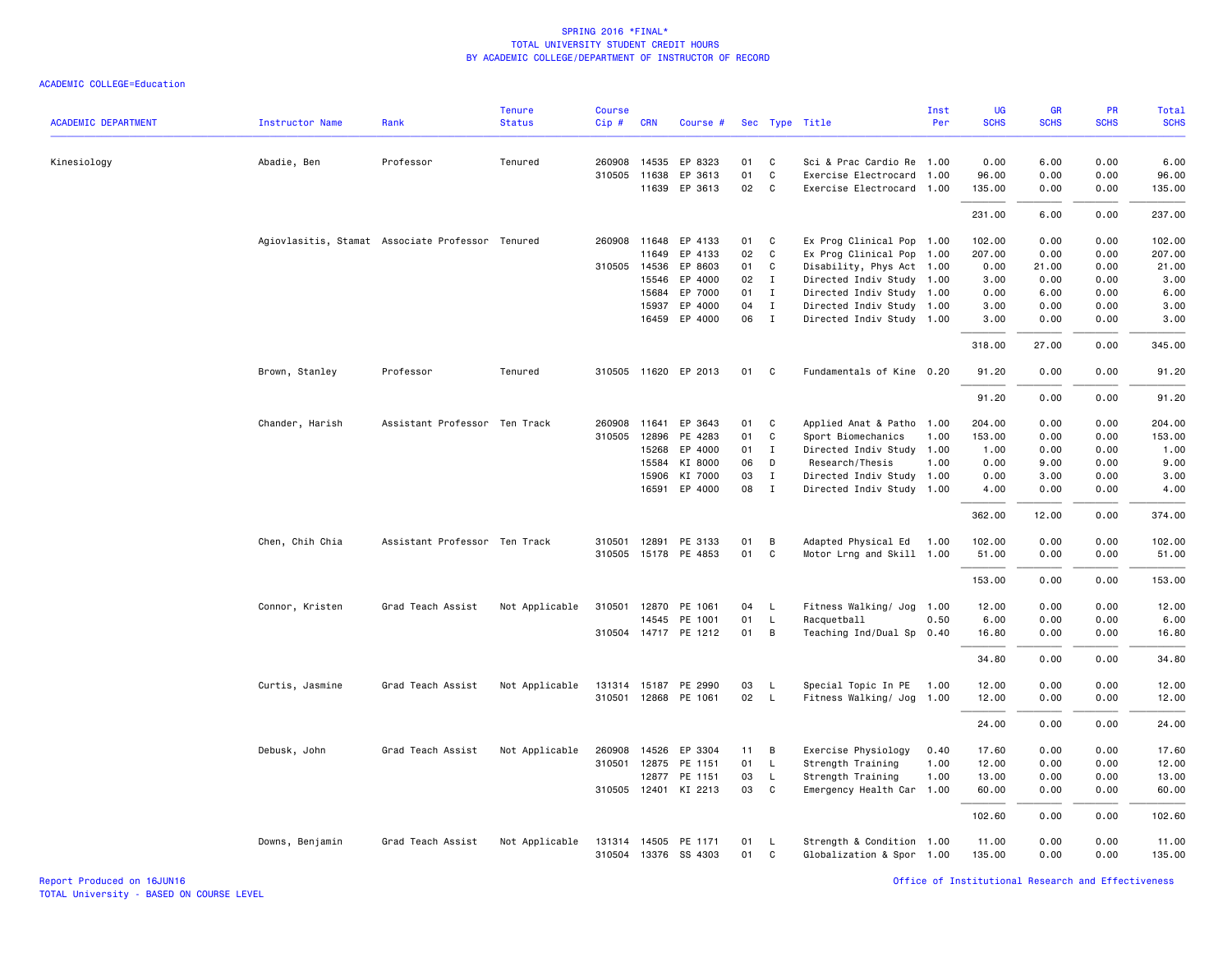| <b>ACADEMIC DEPARTMENT</b> | <b>Instructor Name</b> | Rank                                             | <b>Tenure</b><br><b>Status</b> | <b>Course</b><br>Cip# | <b>CRN</b>   | Course #             |    |              | Sec Type Title            | Inst<br>Per | UG<br><b>SCHS</b> | <b>GR</b><br><b>SCHS</b> | <b>PR</b><br><b>SCHS</b> | Total<br><b>SCHS</b> |
|----------------------------|------------------------|--------------------------------------------------|--------------------------------|-----------------------|--------------|----------------------|----|--------------|---------------------------|-------------|-------------------|--------------------------|--------------------------|----------------------|
|                            |                        |                                                  |                                |                       |              |                      |    |              |                           |             |                   |                          |                          |                      |
| Kinesiology                | Abadie, Ben            | Professor                                        | Tenured                        |                       | 260908 14535 | EP 8323              | 01 | C            | Sci & Prac Cardio Re 1.00 |             | 0.00              | 6.00                     | 0.00                     | 6.00                 |
|                            |                        |                                                  |                                |                       | 310505 11638 | EP 3613              | 01 | C            | Exercise Electrocard      | 1.00        | 96.00             | 0.00                     | 0.00                     | 96.00                |
|                            |                        |                                                  |                                |                       | 11639        | EP 3613              | 02 | C            | Exercise Electrocard      | 1.00        | 135.00            | 0.00                     | 0.00                     | 135.00               |
|                            |                        |                                                  |                                |                       |              |                      |    |              |                           |             | 231.00            | 6.00                     | 0.00                     | 237.00               |
|                            |                        | Agiovlasitis, Stamat Associate Professor Tenured |                                |                       | 260908 11648 | EP 4133              | 01 | C            | Ex Prog Clinical Pop 1.00 |             | 102.00            | 0.00                     | 0.00                     | 102.00               |
|                            |                        |                                                  |                                |                       | 11649        | EP 4133              | 02 | C            | Ex Prog Clinical Pop 1.00 |             | 207.00            | 0.00                     | 0.00                     | 207.00               |
|                            |                        |                                                  |                                |                       | 310505 14536 | EP 8603              | 01 | C            | Disability, Phys Act 1.00 |             | 0.00              | 21.00                    | 0.00                     | 21.00                |
|                            |                        |                                                  |                                |                       | 15546        | EP 4000              | 02 | $\mathbf{I}$ | Directed Indiv Study 1.00 |             | 3.00              | 0.00                     | 0.00                     | 3.00                 |
|                            |                        |                                                  |                                |                       | 15684        | EP 7000              | 01 | I            | Directed Indiv Study 1.00 |             | 0.00              | 6.00                     | 0.00                     | 6.00                 |
|                            |                        |                                                  |                                |                       | 15937        | EP 4000              | 04 | $\mathbf I$  | Directed Indiv Study 1.00 |             | 3.00              | 0.00                     | 0.00                     | 3.00                 |
|                            |                        |                                                  |                                |                       | 16459        | EP 4000              | 06 | $\mathbf{I}$ | Directed Indiv Study 1.00 |             | 3.00              | 0.00                     | 0.00                     | 3.00                 |
|                            |                        |                                                  |                                |                       |              |                      |    |              |                           |             | 318.00            | 27.00                    | 0.00                     | 345.00               |
|                            | Brown, Stanley         | Professor                                        | Tenured                        |                       |              | 310505 11620 EP 2013 | 01 | $\mathbf{C}$ | Fundamentals of Kine 0.20 |             | 91.20             | 0.00                     | 0.00                     | 91.20                |
|                            |                        |                                                  |                                |                       |              |                      |    |              |                           |             | 91.20             | 0.00                     | 0.00                     | 91.20                |
|                            | Chander, Harish        | Assistant Professor Ten Track                    |                                |                       | 260908 11641 | EP 3643              | 01 | C            | Applied Anat & Patho      | 1.00        | 204.00            | 0.00                     | 0.00                     | 204.00               |
|                            |                        |                                                  |                                | 310505                | 12896        | PE 4283              | 01 | C            | Sport Biomechanics        | 1.00        | 153.00            | 0.00                     | 0.00                     | 153.00               |
|                            |                        |                                                  |                                |                       | 15268        | EP 4000              | 01 | $\mathbf{I}$ | Directed Indiv Study 1.00 |             | 1.00              | 0.00                     | 0.00                     | 1.00                 |
|                            |                        |                                                  |                                |                       | 15584        | KI 8000              | 06 | D            | Research/Thesis           | 1.00        | 0.00              | 9.00                     | 0.00                     | 9.00                 |
|                            |                        |                                                  |                                |                       | 15906        | KI 7000              | 03 | $\mathbf{I}$ | Directed Indiv Study 1.00 |             | 0.00              | 3.00                     | 0.00                     | 3.00                 |
|                            |                        |                                                  |                                |                       | 16591        | EP 4000              | 08 | $\mathbf{I}$ | Directed Indiv Study 1.00 |             | 4.00              | 0.00                     | 0.00                     | 4.00                 |
|                            |                        |                                                  |                                |                       |              |                      |    |              |                           |             | 362.00            | 12.00                    | 0.00                     | 374.00               |
|                            | Chen, Chih Chia        | Assistant Professor Ten Track                    |                                |                       | 310501 12891 | PE 3133              | 01 | B            | Adapted Physical Ed       | 1.00        | 102.00            | 0.00                     | 0.00                     | 102.00               |
|                            |                        |                                                  |                                |                       |              | 310505 15178 PE 4853 | 01 | C            | Motor Lrng and Skill 1.00 |             | 51.00             | 0.00                     | 0.00                     | 51.00                |
|                            |                        |                                                  |                                |                       |              |                      |    |              |                           |             |                   |                          |                          |                      |
|                            |                        |                                                  |                                |                       |              |                      |    |              |                           |             | 153.00            | 0.00                     | 0.00                     | 153.00               |
|                            | Connor, Kristen        | Grad Teach Assist                                | Not Applicable                 |                       |              | 310501 12870 PE 1061 | 04 | L            | Fitness Walking/ Jog 1.00 |             | 12.00             | 0.00                     | 0.00                     | 12.00                |
|                            |                        |                                                  |                                |                       |              | 14545 PE 1001        | 01 | $\mathsf{L}$ | Racquetball               | 0.50        | 6.00              | 0.00                     | 0.00                     | 6.00                 |
|                            |                        |                                                  |                                |                       |              | 310504 14717 PE 1212 | 01 | B            | Teaching Ind/Dual Sp      | 0.40        | 16.80             | 0.00                     | 0.00                     | 16.80                |
|                            |                        |                                                  |                                |                       |              |                      |    |              |                           |             | 34.80             | 0.00                     | 0.00                     | 34.80                |
|                            | Curtis, Jasmine        | Grad Teach Assist                                | Not Applicable                 |                       |              | 131314 15187 PE 2990 | 03 | <b>L</b>     | Special Topic In PE       | 1.00        | 12.00             | 0.00                     | 0.00                     | 12.00                |
|                            |                        |                                                  |                                |                       |              | 310501 12868 PE 1061 | 02 | <b>L</b>     | Fitness Walking/ Jog 1.00 |             | 12.00             | 0.00                     | 0.00                     | 12.00                |
|                            |                        |                                                  |                                |                       |              |                      |    |              |                           |             | 24.00             | 0.00                     | 0.00                     | 24.00                |
|                            | Debusk, John           | Grad Teach Assist                                | Not Applicable                 |                       | 260908 14526 | EP 3304              | 11 | B            | Exercise Physiology       | 0.40        | 17.60             | 0.00                     | 0.00                     | 17.60                |
|                            |                        |                                                  |                                | 310501                | 12875        | PE 1151              | 01 | $\mathsf{L}$ | Strength Training         | 1.00        | 12.00             | 0.00                     | 0.00                     | 12.00                |
|                            |                        |                                                  |                                |                       | 12877        | PE 1151              | 03 | $\mathsf{L}$ | Strength Training         | 1.00        | 13.00             | 0.00                     | 0.00                     | 13.00                |
|                            |                        |                                                  |                                |                       |              | 310505 12401 KI 2213 | 03 | C            | Emergency Health Car 1.00 |             | 60.00             | 0.00                     | 0.00                     | 60.00                |
|                            |                        |                                                  |                                |                       |              |                      |    |              |                           |             | 102.60            | 0.00                     | 0.00                     | 102.60               |
|                            | Downs, Benjamin        | Grad Teach Assist                                | Not Applicable                 |                       |              | 131314 14505 PE 1171 | 01 | <b>L</b>     | Strength & Condition 1.00 |             | 11.00             | 0.00                     | 0.00                     | 11.00                |
|                            |                        |                                                  |                                |                       |              | 310504 13376 SS 4303 | 01 | C            | Globalization & Spor 1.00 |             | 135.00            | 0.00                     | 0.00                     | 135.00               |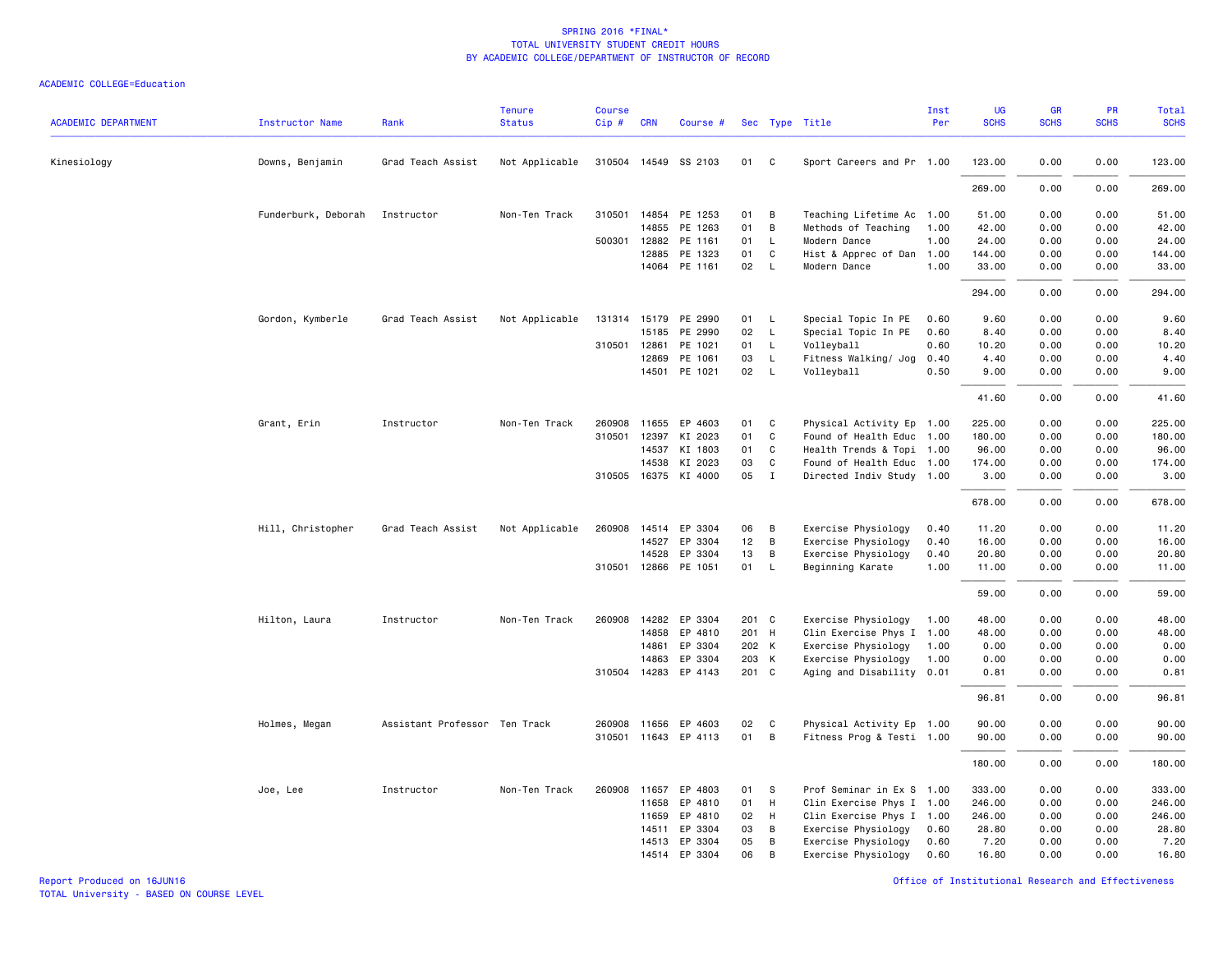#### ACADEMIC COLLEGE=Education

| <b>ACADEMIC DEPARTMENT</b> | <b>Instructor Name</b> | Rank                          | <b>Tenure</b><br><b>Status</b> | <b>Course</b><br>Cip# | <b>CRN</b>   | Course #             |                 |              | Sec Type Title            | Inst<br>Per | <b>UG</b><br><b>SCHS</b> | <b>GR</b><br><b>SCHS</b> | PR<br><b>SCHS</b> | Total<br><b>SCHS</b> |
|----------------------------|------------------------|-------------------------------|--------------------------------|-----------------------|--------------|----------------------|-----------------|--------------|---------------------------|-------------|--------------------------|--------------------------|-------------------|----------------------|
| Kinesiology                | Downs, Benjamin        | Grad Teach Assist             | Not Applicable                 |                       |              | 310504 14549 SS 2103 | 01              | C            | Sport Careers and Pr 1.00 |             | 123.00                   | 0.00                     | 0.00              | 123.00               |
|                            |                        |                               |                                |                       |              |                      |                 |              |                           |             | 269.00                   | 0.00                     | 0.00              | 269.00               |
|                            | Funderburk, Deborah    | Instructor                    | Non-Ten Track                  |                       |              | 310501 14854 PE 1253 | 01              | B            | Teaching Lifetime Ac 1.00 |             | 51.00                    | 0.00                     | 0.00              | 51.00                |
|                            |                        |                               |                                |                       | 14855        | PE 1263              | 01              | B            | Methods of Teaching       | 1.00        | 42.00                    | 0.00                     | 0.00              | 42.00                |
|                            |                        |                               |                                | 500301                | 12882        | PE 1161              | 01              | $\mathsf{L}$ | Modern Dance              | 1.00        | 24.00                    | 0.00                     | 0.00              | 24.00                |
|                            |                        |                               |                                |                       | 12885        | PE 1323              | 01              | C            | Hist & Apprec of Dan      | 1.00        | 144.00                   | 0.00                     | 0.00              | 144.00               |
|                            |                        |                               |                                |                       |              | 14064 PE 1161        | 02 <sub>2</sub> | $\mathsf{L}$ | Modern Dance              | 1.00        | 33.00                    | 0.00                     | 0.00              | 33.00                |
|                            |                        |                               |                                |                       |              |                      |                 |              |                           |             | 294.00                   | 0.00                     | 0.00              | 294.00               |
|                            | Gordon, Kymberle       | Grad Teach Assist             | Not Applicable                 |                       |              | 131314 15179 PE 2990 | 01              | $\mathsf{L}$ | Special Topic In PE       | 0.60        | 9.60                     | 0.00                     | 0.00              | 9.60                 |
|                            |                        |                               |                                |                       | 15185        | PE 2990              | 02              | $\mathsf{L}$ | Special Topic In PE       | 0.60        | 8.40                     | 0.00                     | 0.00              | 8.40                 |
|                            |                        |                               |                                | 310501                | 12861        | PE 1021              | 01              | $\mathsf{L}$ | Volleyball                | 0.60        | 10.20                    | 0.00                     | 0.00              | 10.20                |
|                            |                        |                               |                                |                       | 12869        | PE 1061              | 03              | $\mathsf{L}$ | Fitness Walking/ Jog      | 0.40        | 4.40                     | 0.00                     | 0.00              | 4.40                 |
|                            |                        |                               |                                |                       | 14501        | PE 1021              | 02              | $\mathsf{L}$ | Volleyball                | 0.50        | 9.00                     | 0.00                     | 0.00              | 9.00                 |
|                            |                        |                               |                                |                       |              |                      |                 |              |                           |             | 41.60                    | 0.00                     | 0.00              | 41.60                |
|                            | Grant, Erin            | Instructor                    | Non-Ten Track                  |                       |              | 260908 11655 EP 4603 | 01              | C            | Physical Activity Ep 1.00 |             | 225.00                   | 0.00                     | 0.00              | 225.00               |
|                            |                        |                               |                                |                       | 310501 12397 | KI 2023              | 01              | C            | Found of Health Educ 1.00 |             | 180.00                   | 0.00                     | 0.00              | 180.00               |
|                            |                        |                               |                                |                       | 14537        | KI 1803              | 01              | $\mathsf{C}$ | Health Trends & Topi 1.00 |             | 96.00                    | 0.00                     | 0.00              | 96.00                |
|                            |                        |                               |                                |                       | 14538        | KI 2023              | 03              | $\mathsf{C}$ | Found of Health Educ 1.00 |             | 174.00                   | 0.00                     | 0.00              | 174.00               |
|                            |                        |                               |                                |                       |              | 310505 16375 KI 4000 | 05              | $\mathbf{I}$ | Directed Indiv Study 1.00 |             | 3.00                     | 0.00                     | 0.00              | 3.00                 |
|                            |                        |                               |                                |                       |              |                      |                 |              |                           |             | 678.00                   | 0.00                     | 0.00              | 678.00               |
|                            | Hill, Christopher      | Grad Teach Assist             | Not Applicable                 |                       |              | 260908 14514 EP 3304 | 06              | В            | Exercise Physiology       | 0.40        | 11.20                    | 0.00                     | 0.00              | 11.20                |
|                            |                        |                               |                                |                       | 14527        | EP 3304              | 12              | B            | Exercise Physiology       | 0.40        | 16.00                    | 0.00                     | 0.00              | 16.00                |
|                            |                        |                               |                                |                       | 14528        | EP 3304              | 13              | B            | Exercise Physiology       | 0.40        | 20.80                    | 0.00                     | 0.00              | 20.80                |
|                            |                        |                               |                                |                       | 310501 12866 | PE 1051              | 01              | $\mathsf{L}$ | Beginning Karate          | 1.00        | 11.00                    | 0.00                     | 0.00              | 11.00                |
|                            |                        |                               |                                |                       |              |                      |                 |              |                           |             | 59.00                    | 0.00                     | 0.00              | 59.00                |
|                            | Hilton, Laura          | Instructor                    | Non-Ten Track                  | 260908                |              | 14282 EP 3304        | 201 C           |              | Exercise Physiology       | 1.00        | 48.00                    | 0.00                     | 0.00              | 48.00                |
|                            |                        |                               |                                |                       | 14858        | EP 4810              | 201 H           |              | Clin Exercise Phys I      | 1.00        | 48.00                    | 0.00                     | 0.00              | 48.00                |
|                            |                        |                               |                                |                       | 14861        | EP 3304              | 202 K           |              | Exercise Physiology       | 1.00        | 0.00                     | 0.00                     | 0.00              | 0.00                 |
|                            |                        |                               |                                |                       | 14863        | EP 3304              | 203 K           |              | Exercise Physiology       | 1.00        | 0.00                     | 0.00                     | 0.00              | 0.00                 |
|                            |                        |                               |                                |                       |              | 310504 14283 EP 4143 | 201 C           |              | Aging and Disability 0.01 |             | 0.81                     | 0.00                     | 0.00              | 0.81                 |
|                            |                        |                               |                                |                       |              |                      |                 |              |                           |             | 96.81                    | 0.00                     | 0.00              | 96.81                |
|                            | Holmes, Megan          | Assistant Professor Ten Track |                                |                       |              | 260908 11656 EP 4603 | 02              | C            | Physical Activity Ep 1.00 |             | 90.00                    | 0.00                     | 0.00              | 90.00                |
|                            |                        |                               |                                |                       |              | 310501 11643 EP 4113 | 01              | B            | Fitness Prog & Testi 1.00 |             | 90.00                    | 0.00                     | 0.00              | 90.00                |
|                            |                        |                               |                                |                       |              |                      |                 |              |                           |             | 180.00                   | 0.00                     | 0.00              | 180.00               |
|                            | Joe, Lee               | Instructor                    | Non-Ten Track                  |                       | 260908 11657 | EP 4803              | 01              | -S           | Prof Seminar in Ex S 1.00 |             | 333.00                   | 0.00                     | 0.00              | 333.00               |
|                            |                        |                               |                                |                       | 11658        | EP 4810              | 01              | H            | Clin Exercise Phys I 1.00 |             | 246.00                   | 0.00                     | 0.00              | 246.00               |
|                            |                        |                               |                                |                       | 11659        | EP 4810              | 02              | H            | Clin Exercise Phys I 1.00 |             | 246.00                   | 0.00                     | 0.00              | 246.00               |
|                            |                        |                               |                                |                       | 14511        | EP 3304              | 03              | В            | Exercise Physiology       | 0.60        | 28.80                    | 0.00                     | 0.00              | 28.80                |
|                            |                        |                               |                                |                       |              | 14513 EP 3304        | 05              | B            | Exercise Physiology       | 0.60        | 7.20                     | 0.00                     | 0.00              | 7.20                 |
|                            |                        |                               |                                |                       |              | 14514 EP 3304        | 06              | B            | Exercise Physiology       | 0.60        | 16.80                    | 0.00                     | 0.00              | 16.80                |

Report Produced on 16JUN16 Office of Institutional Research and Effectiveness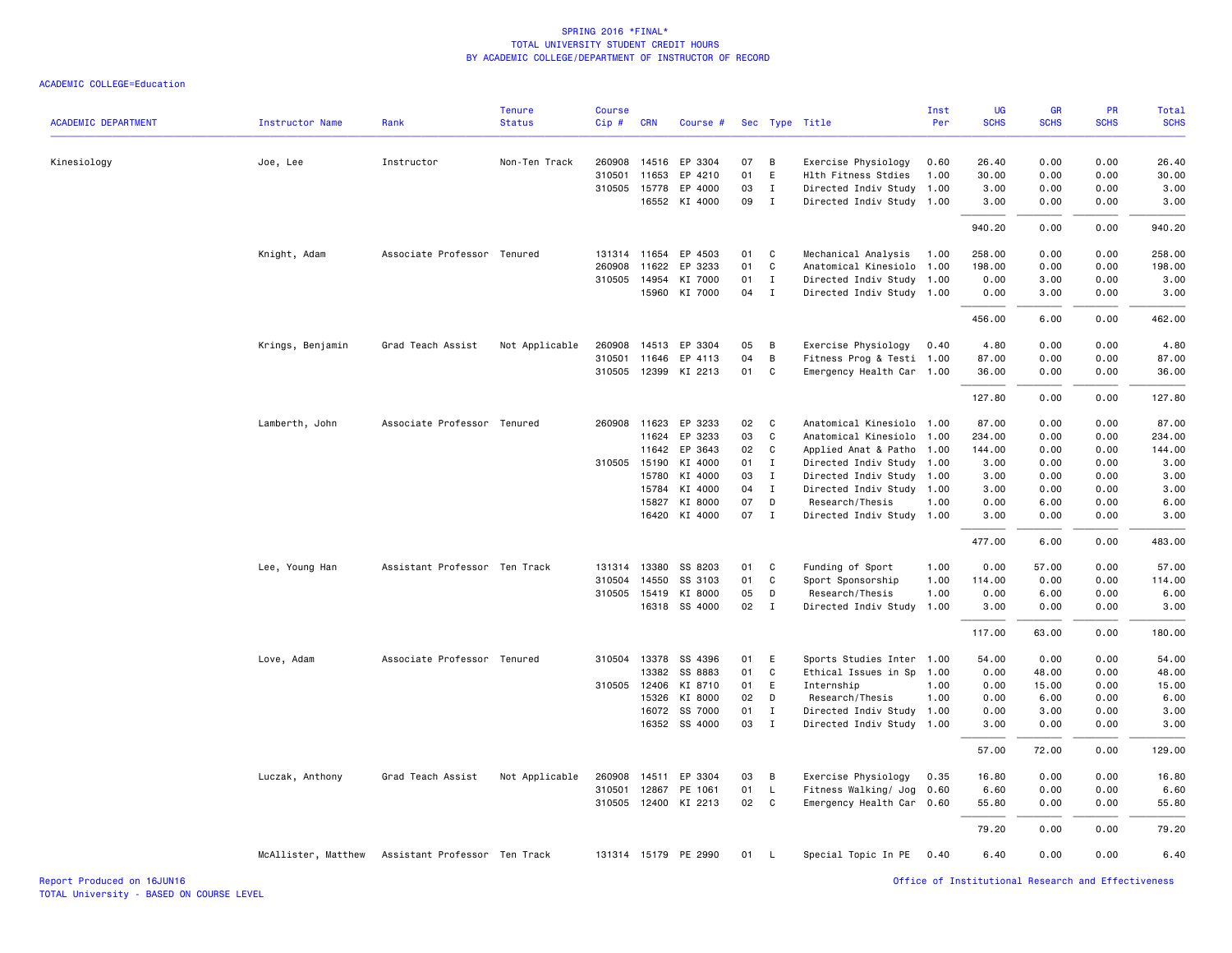| <b>ACADEMIC DEPARTMENT</b> | <b>Instructor Name</b> | Rank                          | <b>Tenure</b><br><b>Status</b> | <b>Course</b><br>Cip# | <b>CRN</b>   | Course #             |    |                | Sec Type Title            | Inst<br>Per | <b>UG</b><br><b>SCHS</b>                           | <b>GR</b><br><b>SCHS</b> | <b>PR</b><br><b>SCHS</b> | Total<br><b>SCHS</b> |
|----------------------------|------------------------|-------------------------------|--------------------------------|-----------------------|--------------|----------------------|----|----------------|---------------------------|-------------|----------------------------------------------------|--------------------------|--------------------------|----------------------|
|                            |                        |                               |                                |                       |              |                      |    |                |                           |             |                                                    |                          |                          |                      |
| Kinesiology                | Joe, Lee               | Instructor                    | Non-Ten Track                  | 260908                | 14516        | EP 3304              | 07 | $\overline{B}$ | Exercise Physiology       | 0.60        | 26.40                                              | 0.00                     | 0.00                     | 26.40                |
|                            |                        |                               |                                | 310501                | 11653        | EP 4210              | 01 | E              | Hlth Fitness Stdies       | 1.00        | 30.00                                              | 0.00                     | 0.00                     | 30.00                |
|                            |                        |                               |                                |                       | 310505 15778 | EP 4000              | 03 | $\mathbf I$    | Directed Indiv Study 1.00 |             | 3.00                                               | 0.00                     | 0.00                     | 3.00                 |
|                            |                        |                               |                                |                       |              | 16552 KI 4000        | 09 | $\mathbf{I}$   | Directed Indiv Study 1.00 |             | 3.00                                               | 0.00                     | 0.00                     | 3.00                 |
|                            |                        |                               |                                |                       |              |                      |    |                |                           |             | 940.20                                             | 0.00                     | 0.00                     | 940.20               |
|                            | Knight, Adam           | Associate Professor Tenured   |                                |                       | 131314 11654 | EP 4503              | 01 | C              | Mechanical Analysis       | 1.00        | 258.00                                             | 0.00                     | 0.00                     | 258.00               |
|                            |                        |                               |                                | 260908                | 11622        | EP 3233              | 01 | C              | Anatomical Kinesiolo 1.00 |             | 198.00                                             | 0.00                     | 0.00                     | 198.00               |
|                            |                        |                               |                                | 310505                | 14954        | KI 7000              | 01 | $\mathbf{I}$   | Directed Indiv Study 1.00 |             | 0.00                                               | 3.00                     | 0.00                     | 3.00                 |
|                            |                        |                               |                                |                       |              | 15960 KI 7000        | 04 | $\mathbf{I}$   | Directed Indiv Study 1.00 |             | 0.00                                               | 3.00                     | 0.00                     | 3.00                 |
|                            |                        |                               |                                |                       |              |                      |    |                |                           |             | 456.00                                             | 6.00                     | 0.00                     | 462.00               |
|                            | Krings, Benjamin       | Grad Teach Assist             | Not Applicable                 | 260908                |              | 14513 EP 3304        | 05 | В              | Exercise Physiology       | 0.40        | 4.80                                               | 0.00                     | 0.00                     | 4.80                 |
|                            |                        |                               |                                | 310501                | 11646        | EP 4113              | 04 | В              | Fitness Prog & Testi 1.00 |             | 87.00                                              | 0.00                     | 0.00                     | 87.00                |
|                            |                        |                               |                                | 310505                | 12399        | KI 2213              | 01 | C              | Emergency Health Car 1.00 |             | 36.00                                              | 0.00                     | 0.00                     | 36.00                |
|                            |                        |                               |                                |                       |              |                      |    |                |                           |             | 127.80                                             | 0.00                     | 0.00                     | 127.80               |
|                            | Lamberth, John         | Associate Professor Tenured   |                                | 260908                | 11623        | EP 3233              | 02 | C              | Anatomical Kinesiolo 1.00 |             | 87.00                                              | 0.00                     | 0.00                     | 87.00                |
|                            |                        |                               |                                |                       | 11624        | EP 3233              | 03 | $\mathsf{C}$   | Anatomical Kinesiolo 1.00 |             | 234.00                                             | 0.00                     | 0.00                     | 234.00               |
|                            |                        |                               |                                |                       | 11642        | EP 3643              | 02 | C              | Applied Anat & Patho 1.00 |             | 144.00                                             | 0.00                     | 0.00                     | 144.00               |
|                            |                        |                               |                                |                       | 310505 15190 | KI 4000              | 01 | $\mathbf{I}$   | Directed Indiv Study 1.00 |             | 3.00                                               | 0.00                     | 0.00                     | 3.00                 |
|                            |                        |                               |                                |                       | 15780        | KI 4000              | 03 | $\mathbf{I}$   | Directed Indiv Study 1.00 |             | 3.00                                               | 0.00                     | 0.00                     | 3.00                 |
|                            |                        |                               |                                |                       | 15784        | KI 4000              | 04 | $\mathbf{I}$   | Directed Indiv Study 1.00 |             | 3.00                                               | 0.00                     | 0.00                     | 3.00                 |
|                            |                        |                               |                                |                       | 15827        | KI 8000              | 07 | D              | Research/Thesis           | 1.00        | 0.00                                               | 6.00                     | 0.00                     | 6.00                 |
|                            |                        |                               |                                |                       |              | 16420 KI 4000        | 07 | $\mathbf I$    | Directed Indiv Study 1.00 |             | 3.00                                               | 0.00                     | 0.00                     | 3.00                 |
|                            |                        |                               |                                |                       |              |                      |    |                |                           |             | 477.00                                             | 6.00                     | 0.00                     | 483.00               |
|                            | Lee, Young Han         | Assistant Professor Ten Track |                                | 131314                | 13380        | SS 8203              | 01 | C              | Funding of Sport          | 1.00        | 0.00                                               | 57.00                    | 0.00                     | 57.00                |
|                            |                        |                               |                                | 310504                | 14550        | SS 3103              | 01 | C              | Sport Sponsorship         | 1.00        | 114.00                                             | 0.00                     | 0.00                     | 114.00               |
|                            |                        |                               |                                | 310505                | 15419        | KI 8000              | 05 | D              | Research/Thesis           | 1.00        | 0.00                                               | 6.00                     | 0.00                     | 6.00                 |
|                            |                        |                               |                                |                       |              | 16318 SS 4000        | 02 | $\mathbf{I}$   | Directed Indiv Study      | 1.00        | 3.00                                               | 0.00                     | 0.00                     | 3.00                 |
|                            |                        |                               |                                |                       |              |                      |    |                |                           |             | 117.00                                             | 63.00                    | 0.00                     | 180.00               |
|                            | Love, Adam             | Associate Professor Tenured   |                                |                       |              | 310504 13378 SS 4396 | 01 | E              | Sports Studies Inter 1.00 |             | 54.00                                              | 0.00                     | 0.00                     | 54.00                |
|                            |                        |                               |                                |                       | 13382        | SS 8883              | 01 | C              | Ethical Issues in Sp 1.00 |             | 0.00                                               | 48.00                    | 0.00                     | 48.00                |
|                            |                        |                               |                                | 310505                | 12406        | KI 8710              | 01 | E              | Internship                | 1.00        | 0.00                                               | 15.00                    | 0.00                     | 15.00                |
|                            |                        |                               |                                |                       | 15326        | KI 8000              | 02 | D              | Research/Thesis           | 1.00        | 0.00                                               | 6.00                     | 0.00                     | 6.00                 |
|                            |                        |                               |                                |                       | 16072        | SS 7000              | 01 | $\mathbf{I}$   | Directed Indiv Study 1.00 |             | 0.00                                               | 3.00                     | 0.00                     | 3.00                 |
|                            |                        |                               |                                |                       |              | 16352 SS 4000        | 03 | $\mathbf{I}$   | Directed Indiv Study 1.00 |             | 3.00                                               | 0.00                     | 0.00                     | 3.00                 |
|                            |                        |                               |                                |                       |              |                      |    |                |                           |             | 57.00                                              | 72.00                    | 0.00                     | 129.00               |
|                            | Luczak, Anthony        | Grad Teach Assist             | Not Applicable                 | 260908                | 14511        | EP 3304              | 03 | B              | Exercise Physiology       | 0.35        | 16.80                                              | 0.00                     | 0.00                     | 16.80                |
|                            |                        |                               |                                | 310501                |              | 12867 PE 1061        | 01 | L              | Fitness Walking/ Jog 0.60 |             | 6.60                                               | 0.00                     | 0.00                     | 6.60                 |
|                            |                        |                               |                                | 310505                |              | 12400 KI 2213        | 02 | $\mathbf{C}$   | Emergency Health Car 0.60 |             | 55.80                                              | 0.00                     | 0.00                     | 55.80                |
|                            |                        |                               |                                |                       |              |                      |    |                |                           |             | 79.20                                              | 0.00                     | 0.00                     | 79.20                |
|                            | McAllister, Matthew    | Assistant Professor Ten Track |                                |                       |              | 131314 15179 PE 2990 | 01 | - L            | Special Topic In PE       | 0.40        | 6.40                                               | 0.00                     | 0.00                     | 6.40                 |
| Report Produced on 16JUN16 |                        |                               |                                |                       |              |                      |    |                |                           |             | Office of Institutional Research and Effectiveness |                          |                          |                      |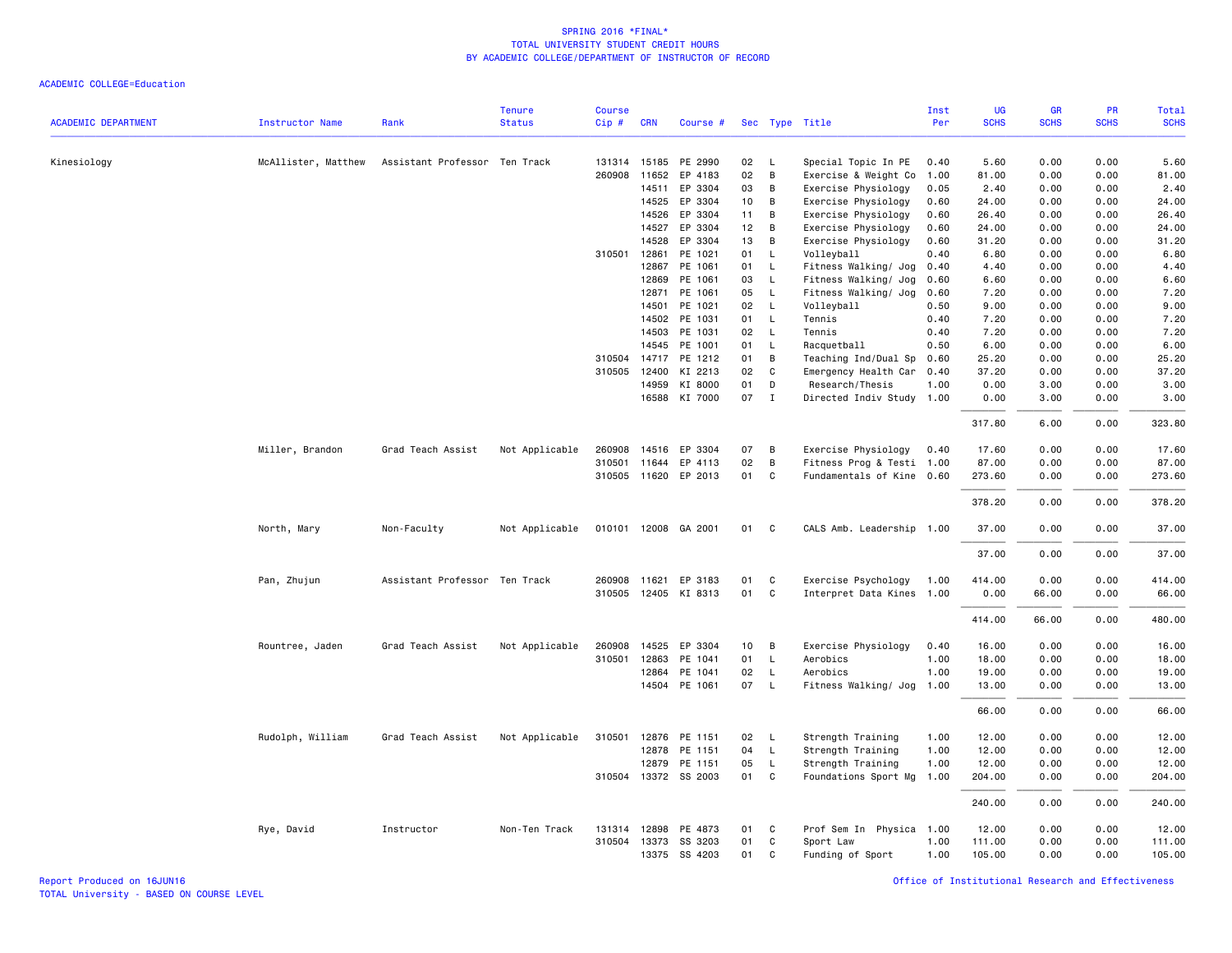| <b>ACADEMIC DEPARTMENT</b> | <b>Instructor Name</b> | Rank                          | <b>Tenure</b><br><b>Status</b> | <b>Course</b><br>Cip# | <b>CRN</b>     | Course #             |                 |              | Sec Type Title                             | Inst<br>Per  | UG<br><b>SCHS</b> | <b>GR</b><br><b>SCHS</b> | PR<br><b>SCHS</b> | Total<br><b>SCHS</b> |
|----------------------------|------------------------|-------------------------------|--------------------------------|-----------------------|----------------|----------------------|-----------------|--------------|--------------------------------------------|--------------|-------------------|--------------------------|-------------------|----------------------|
|                            |                        |                               |                                |                       |                |                      |                 |              |                                            |              |                   |                          |                   |                      |
| Kinesiology                | McAllister, Matthew    | Assistant Professor Ten Track |                                |                       |                | 131314 15185 PE 2990 | 02              | L.           | Special Topic In PE                        | 0.40         | 5.60              | 0.00                     | 0.00              | 5.60                 |
|                            |                        |                               |                                |                       | 260908 11652   | EP 4183              | 02              | B            | Exercise & Weight Co                       | 1.00         | 81.00             | 0.00                     | 0.00              | 81.00                |
|                            |                        |                               |                                |                       | 14511          | EP 3304              | 03              | B            | Exercise Physiology                        | 0.05         | 2.40              | 0.00                     | 0.00              | 2.40                 |
|                            |                        |                               |                                |                       | 14525          | EP 3304              | 10              | B            | Exercise Physiology                        | 0.60         | 24.00             | 0.00                     | 0.00              | 24.00                |
|                            |                        |                               |                                |                       | 14526          | EP 3304              | 11              | В<br>B       | Exercise Physiology                        | 0.60         | 26.40             | 0.00<br>0.00             | 0.00<br>0.00      | 26.40                |
|                            |                        |                               |                                |                       | 14527<br>14528 | EP 3304<br>EP 3304   | 12<br>13        | B            | Exercise Physiology<br>Exercise Physiology | 0.60<br>0.60 | 24.00<br>31.20    | 0.00                     | 0.00              | 24.00<br>31.20       |
|                            |                        |                               |                                | 310501                | 12861          | PE 1021              | 01              | L            | Volleyball                                 | 0.40         | 6.80              | 0.00                     | 0.00              | 6.80                 |
|                            |                        |                               |                                |                       | 12867          | PE 1061              | 01              | L            | Fitness Walking/ Jog                       | 0.40         | 4.40              | 0.00                     | 0.00              | 4.40                 |
|                            |                        |                               |                                |                       | 12869          | PE 1061              | 03              | L            | Fitness Walking/ Jog                       | 0.60         | 6.60              | 0.00                     | 0.00              | 6.60                 |
|                            |                        |                               |                                |                       | 12871          | PE 1061              | 05              | $\mathsf{L}$ | Fitness Walking/ Jog                       | 0.60         | 7.20              | 0.00                     | 0.00              | 7.20                 |
|                            |                        |                               |                                |                       | 14501          | PE 1021              | 02              | L.           | Volleyball                                 | 0.50         | 9.00              | 0.00                     | 0.00              | 9.00                 |
|                            |                        |                               |                                |                       |                | 14502 PE 1031        | 01              | $\mathsf{L}$ | Tennis                                     | 0.40         | 7.20              | 0.00                     | 0.00              | 7.20                 |
|                            |                        |                               |                                |                       | 14503          | PE 1031              | 02              | $\mathsf{L}$ | Tennis                                     | 0.40         | 7.20              | 0.00                     | 0.00              | 7.20                 |
|                            |                        |                               |                                |                       | 14545          | PE 1001              | 01              | $\mathsf{L}$ | Racquetball                                | 0.50         | 6.00              | 0.00                     | 0.00              | 6.00                 |
|                            |                        |                               |                                | 310504                | 14717          | PE 1212              | 01              | B            | Teaching Ind/Dual Sp                       | 0.60         | 25.20             | 0.00                     | 0.00              | 25.20                |
|                            |                        |                               |                                | 310505                | 12400          | KI 2213              | 02              | C            | Emergency Health Car                       | 0.40         | 37.20             | 0.00                     | 0.00              | 37.20                |
|                            |                        |                               |                                |                       | 14959          | KI 8000              | 01              | D            | Research/Thesis                            | 1.00         | 0.00              | 3.00                     | 0.00              | 3.00                 |
|                            |                        |                               |                                |                       |                | 16588 KI 7000        | 07              | $\mathbf{I}$ | Directed Indiv Study 1.00                  |              | 0.00              | 3.00                     | 0.00              | 3.00                 |
|                            |                        |                               |                                |                       |                |                      |                 |              |                                            |              |                   |                          |                   |                      |
|                            |                        |                               |                                |                       |                |                      |                 |              |                                            |              | 317.80            | 6.00                     | 0.00              | 323.80               |
|                            | Miller, Brandon        | Grad Teach Assist             | Not Applicable                 | 260908                |                | 14516 EP 3304        | 07              | B            | Exercise Physiology                        | 0.40         | 17.60             | 0.00                     | 0.00              | 17.60                |
|                            |                        |                               |                                | 310501                |                | 11644 EP 4113        | 02              | B            | Fitness Prog & Testi 1.00                  |              | 87.00             | 0.00                     | 0.00              | 87.00                |
|                            |                        |                               |                                |                       |                | 310505 11620 EP 2013 | 01              | C            | Fundamentals of Kine 0.60                  |              | 273.60            | 0.00                     | 0.00              | 273.60               |
|                            |                        |                               |                                |                       |                |                      |                 |              |                                            |              | 378.20            | 0.00                     | 0.00              | 378.20               |
|                            | North, Mary            | Non-Faculty                   | Not Applicable                 | 010101                |                | 12008 GA 2001        | 01              | $\mathbf{C}$ | CALS Amb. Leadership 1.00                  |              | 37.00             | 0.00                     | 0.00              | 37.00                |
|                            |                        |                               |                                |                       |                |                      |                 |              |                                            |              | 37.00             | 0.00                     | 0.00              | 37.00                |
|                            |                        | Assistant Professor Ten Track |                                |                       | 260908 11621   | EP 3183              | 01              | C            | Exercise Psychology                        |              | 414.00            | 0.00                     | 0.00              | 414.00               |
|                            | Pan, Zhujun            |                               |                                |                       |                | 310505 12405 KI 8313 | 01              | C            | Interpret Data Kines 1.00                  | 1.00         | 0.00              | 66.00                    | 0.00              | 66.00                |
|                            |                        |                               |                                |                       |                |                      |                 |              |                                            |              |                   |                          |                   |                      |
|                            |                        |                               |                                |                       |                |                      |                 |              |                                            |              | 414.00            | 66.00                    | 0.00              | 480.00               |
|                            | Rountree, Jaden        | Grad Teach Assist             | Not Applicable                 | 260908                | 14525          | EP 3304              | 10 <sup>1</sup> | В            | Exercise Physiology                        | 0.40         | 16.00             | 0.00                     | 0.00              | 16.00                |
|                            |                        |                               |                                | 310501                | 12863          | PE 1041              | 01              | L.           | Aerobics                                   | 1.00         | 18.00             | 0.00                     | 0.00              | 18.00                |
|                            |                        |                               |                                |                       | 12864          | PE 1041              | 02              | $\mathsf{L}$ | Aerobics                                   | 1.00         | 19.00             | 0.00                     | 0.00              | 19.00                |
|                            |                        |                               |                                |                       |                | 14504 PE 1061        | 07              | L.           | Fitness Walking/ Jog                       | 1.00         | 13.00             | 0.00                     | 0.00              | 13.00                |
|                            |                        |                               |                                |                       |                |                      |                 |              |                                            |              | 66.00             | 0.00                     | 0.00              | 66.00                |
|                            | Rudolph, William       | Grad Teach Assist             | Not Applicable                 | 310501                | 12876          | PE 1151              | 02              | L.           | Strength Training                          | 1.00         | 12.00             | 0.00                     | 0.00              | 12.00                |
|                            |                        |                               |                                |                       |                | 12878 PE 1151        | 04              | $\mathsf{L}$ | Strength Training                          | 1.00         | 12.00             | 0.00                     | 0.00              | 12.00                |
|                            |                        |                               |                                |                       | 12879          | PE 1151              | 05              | L            | Strength Training                          | 1.00         | 12.00             | 0.00                     | 0.00              | 12.00                |
|                            |                        |                               |                                |                       |                | 310504 13372 SS 2003 | 01              | C            | Foundations Sport Mg                       | 1.00         | 204.00            | 0.00                     | 0.00              | 204.00               |
|                            |                        |                               |                                |                       |                |                      |                 |              |                                            |              | 240.00            | 0.00                     | 0.00              | 240.00               |
|                            | Rye, David             | Instructor                    | Non-Ten Track                  |                       | 131314 12898   | PE 4873              | 01              | C            | Prof Sem In Physica 1.00                   |              | 12.00             | 0.00                     | 0.00              | 12.00                |
|                            |                        |                               |                                |                       | 310504 13373   | SS 3203              | 01              | $\mathsf{C}$ | Sport Law                                  | 1.00         | 111.00            | 0.00                     | 0.00              | 111.00               |
|                            |                        |                               |                                |                       | 13375          | SS 4203              | 01              | C            | Funding of Sport                           | 1.00         | 105.00            | 0.00                     | 0.00              | 105.00               |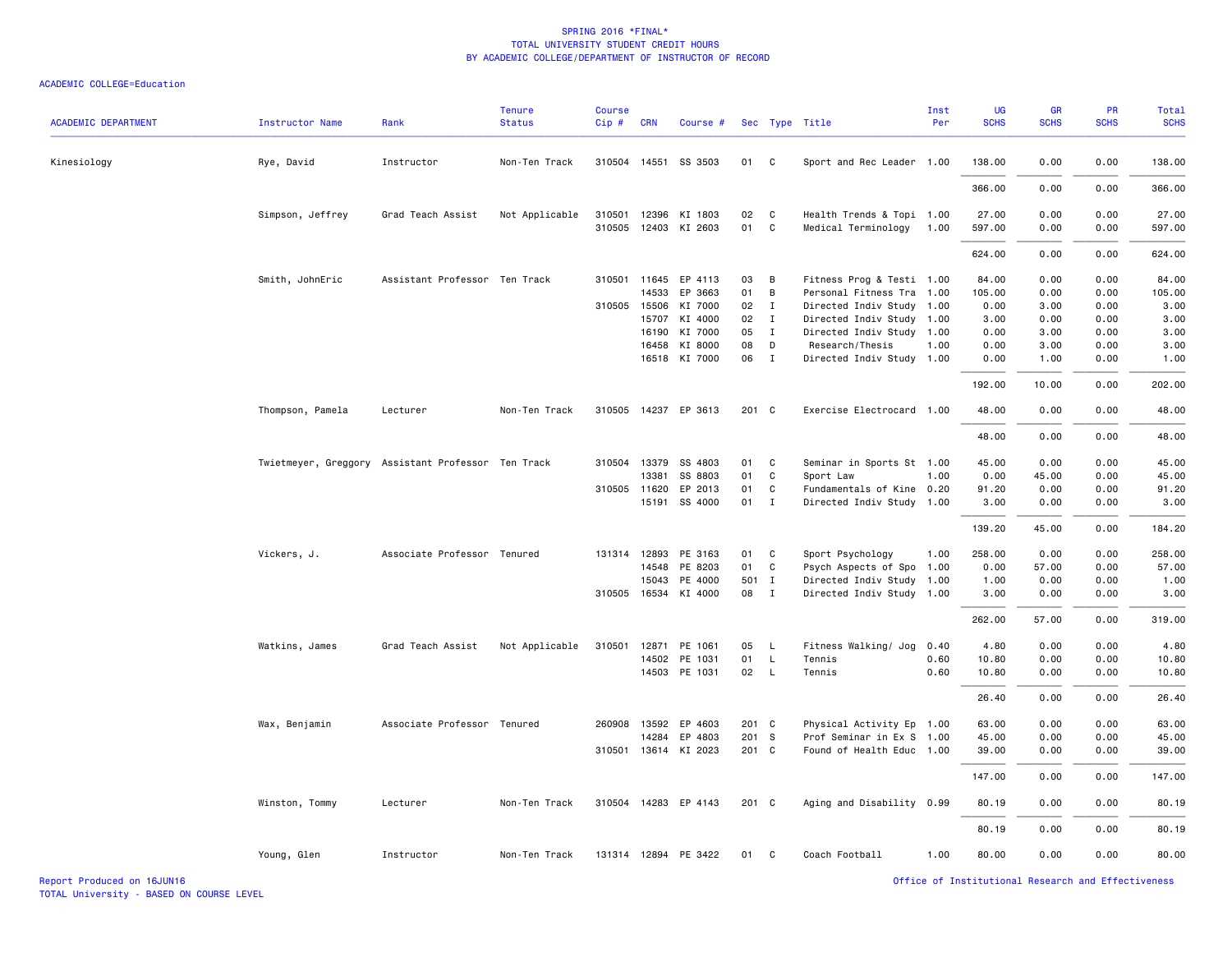| <b>ACADEMIC DEPARTMENT</b> | Instructor Name  | Rank                                               | <b>Tenure</b><br><b>Status</b> | <b>Course</b><br>Cip# | <b>CRN</b>   | Course #             |       |                | Sec Type Title            | Inst<br>Per | <b>UG</b><br><b>SCHS</b> | <b>GR</b><br><b>SCHS</b> | <b>PR</b><br><b>SCHS</b> | Total<br><b>SCHS</b> |
|----------------------------|------------------|----------------------------------------------------|--------------------------------|-----------------------|--------------|----------------------|-------|----------------|---------------------------|-------------|--------------------------|--------------------------|--------------------------|----------------------|
| Kinesiology                | Rye, David       | Instructor                                         | Non-Ten Track                  |                       |              | 310504 14551 SS 3503 | 01    | $\mathbf{C}$   | Sport and Rec Leader 1.00 |             | 138.00                   | 0.00                     | 0.00                     | 138.00               |
|                            |                  |                                                    |                                |                       |              |                      |       |                |                           |             | 366.00                   | 0.00                     | 0.00                     | 366.00               |
|                            | Simpson, Jeffrey | Grad Teach Assist                                  | Not Applicable                 |                       | 310501 12396 | KI 1803              | 02    | $\mathbf{C}$   | Health Trends & Topi 1.00 |             | 27.00                    | 0.00                     | 0.00                     | 27.00                |
|                            |                  |                                                    |                                |                       |              | 310505 12403 KI 2603 | 01 C  |                | Medical Terminology       | 1.00        | 597.00                   | 0.00                     | 0.00                     | 597.00               |
|                            |                  |                                                    |                                |                       |              |                      |       |                |                           |             | 624.00                   | 0.00                     | 0.00                     | 624.00               |
|                            | Smith, JohnEric  | Assistant Professor Ten Track                      |                                |                       | 310501 11645 | EP 4113              | 03    | $\overline{B}$ | Fitness Prog & Testi 1.00 |             | 84.00                    | 0.00                     | 0.00                     | 84.00                |
|                            |                  |                                                    |                                |                       | 14533        | EP 3663              | 01    | $\overline{B}$ | Personal Fitness Tra 1.00 |             | 105.00                   | 0.00                     | 0.00                     | 105.00               |
|                            |                  |                                                    |                                | 310505                | 15506        | KI 7000              | 02    | $\mathbf{I}$   | Directed Indiv Study 1.00 |             | 0.00                     | 3.00                     | 0.00                     | 3.00                 |
|                            |                  |                                                    |                                |                       | 15707        | KI 4000              | 02    | $\mathbf{I}$   | Directed Indiv Study 1.00 |             | 3.00                     | 0.00                     | 0.00                     | 3.00                 |
|                            |                  |                                                    |                                |                       | 16190        | KI 7000              | 05 I  |                | Directed Indiv Study 1.00 |             | 0.00                     | 3.00                     | 0.00                     | 3.00                 |
|                            |                  |                                                    |                                |                       | 16458        | KI 8000              | 08    | D              | Research/Thesis           | 1.00        | 0.00                     | 3.00                     | 0.00                     | 3.00                 |
|                            |                  |                                                    |                                |                       |              | 16518 KI 7000        | 06 I  |                | Directed Indiv Study 1.00 |             | 0.00                     | 1.00                     | 0.00                     | 1.00                 |
|                            |                  |                                                    |                                |                       |              |                      |       |                |                           |             | 192.00                   | 10.00                    | 0.00                     | 202.00               |
|                            | Thompson, Pamela | Lecturer                                           | Non-Ten Track                  |                       |              | 310505 14237 EP 3613 | 201 C |                | Exercise Electrocard 1.00 |             | 48.00                    | 0.00                     | 0.00                     | 48.00                |
|                            |                  |                                                    |                                |                       |              |                      |       |                |                           |             | 48.00                    | 0.00                     | 0.00                     | 48.00                |
|                            |                  | Twietmeyer, Greggory Assistant Professor Ten Track |                                |                       | 310504 13379 | SS 4803              | 01    | C              | Seminar in Sports St 1.00 |             | 45.00                    | 0.00                     | 0.00                     | 45.00                |
|                            |                  |                                                    |                                |                       | 13381        | SS 8803              | 01    | C              | Sport Law                 | 1.00        | 0.00                     | 45.00                    | 0.00                     | 45.00                |
|                            |                  |                                                    |                                |                       | 310505 11620 | EP 2013              | 01    | $\mathbf{C}$   | Fundamentals of Kine 0.20 |             | 91.20                    | 0.00                     | 0.00                     | 91.20                |
|                            |                  |                                                    |                                |                       | 15191        | SS 4000              | 01 I  |                | Directed Indiv Study 1.00 |             | 3.00                     | 0.00                     | 0.00                     | 3.00                 |
|                            |                  |                                                    |                                |                       |              |                      |       |                |                           |             | 139.20                   | 45.00                    | 0.00                     | 184.20               |
|                            | Vickers, J.      | Associate Professor Tenured                        |                                |                       | 131314 12893 | PE 3163              | 01 C  |                | Sport Psychology          | 1.00        | 258.00                   | 0.00                     | 0.00                     | 258.00               |
|                            |                  |                                                    |                                |                       | 14548        | PE 8203              | 01    | C              | Psych Aspects of Spo 1.00 |             | 0.00                     | 57.00                    | 0.00                     | 57.00                |
|                            |                  |                                                    |                                |                       | 15043        | PE 4000              | 501 I |                | Directed Indiv Study 1.00 |             | 1.00                     | 0.00                     | 0.00                     | 1.00                 |
|                            |                  |                                                    |                                |                       | 310505 16534 | KI 4000              | 08    | $\mathbf{I}$   | Directed Indiv Study 1.00 |             | 3.00                     | 0.00                     | 0.00                     | 3.00                 |
|                            |                  |                                                    |                                |                       |              |                      |       |                |                           |             | 262.00                   | 57.00                    | 0.00                     | 319.00               |
|                            | Watkins, James   | Grad Teach Assist                                  | Not Applicable                 | 310501                | 12871        | PE 1061              | 05    | - L            | Fitness Walking/ Jog      | 0.40        | 4.80                     | 0.00                     | 0.00                     | 4.80                 |
|                            |                  |                                                    |                                |                       | 14502        | PE 1031              | 01    | $\mathsf{L}$   | Tennis                    | 0.60        | 10.80                    | 0.00                     | 0.00                     | 10.80                |
|                            |                  |                                                    |                                |                       |              | 14503 PE 1031        | 02 L  |                | Tennis                    | 0.60        | 10.80                    | 0.00                     | 0.00                     | 10.80                |
|                            |                  |                                                    |                                |                       |              |                      |       |                |                           |             | 26.40                    | 0.00                     | 0.00                     | 26.40                |
|                            | Wax, Benjamin    | Associate Professor Tenured                        |                                |                       | 260908 13592 | EP 4603              | 201 C |                | Physical Activity Ep 1.00 |             | 63.00                    | 0.00                     | 0.00                     | 63.00                |
|                            |                  |                                                    |                                |                       | 14284        | EP 4803              | 201 S |                | Prof Seminar in Ex S 1.00 |             | 45.00                    | 0.00                     | 0.00                     | 45.00                |
|                            |                  |                                                    |                                |                       |              | 310501 13614 KI 2023 | 201 C |                | Found of Health Educ 1.00 |             | 39.00                    | 0.00                     | 0.00                     | 39.00                |
|                            |                  |                                                    |                                |                       |              |                      |       |                |                           |             | 147.00                   | 0.00                     | 0.00                     | 147.00               |
|                            | Winston, Tommy   | Lecturer                                           | Non-Ten Track                  |                       |              | 310504 14283 EP 4143 | 201 C |                | Aging and Disability 0.99 |             | 80.19                    | 0.00                     | 0.00                     | 80.19                |
|                            |                  |                                                    |                                |                       |              |                      |       |                |                           |             | 80.19                    | 0.00                     | 0.00                     | 80.19                |
|                            | Young, Glen      | Instructor                                         | Non-Ten Track                  |                       |              | 131314 12894 PE 3422 | 01    | $\mathbf{C}$   | Coach Football            | 1.00        | 80.00                    | 0.00                     | 0.00                     | 80.00                |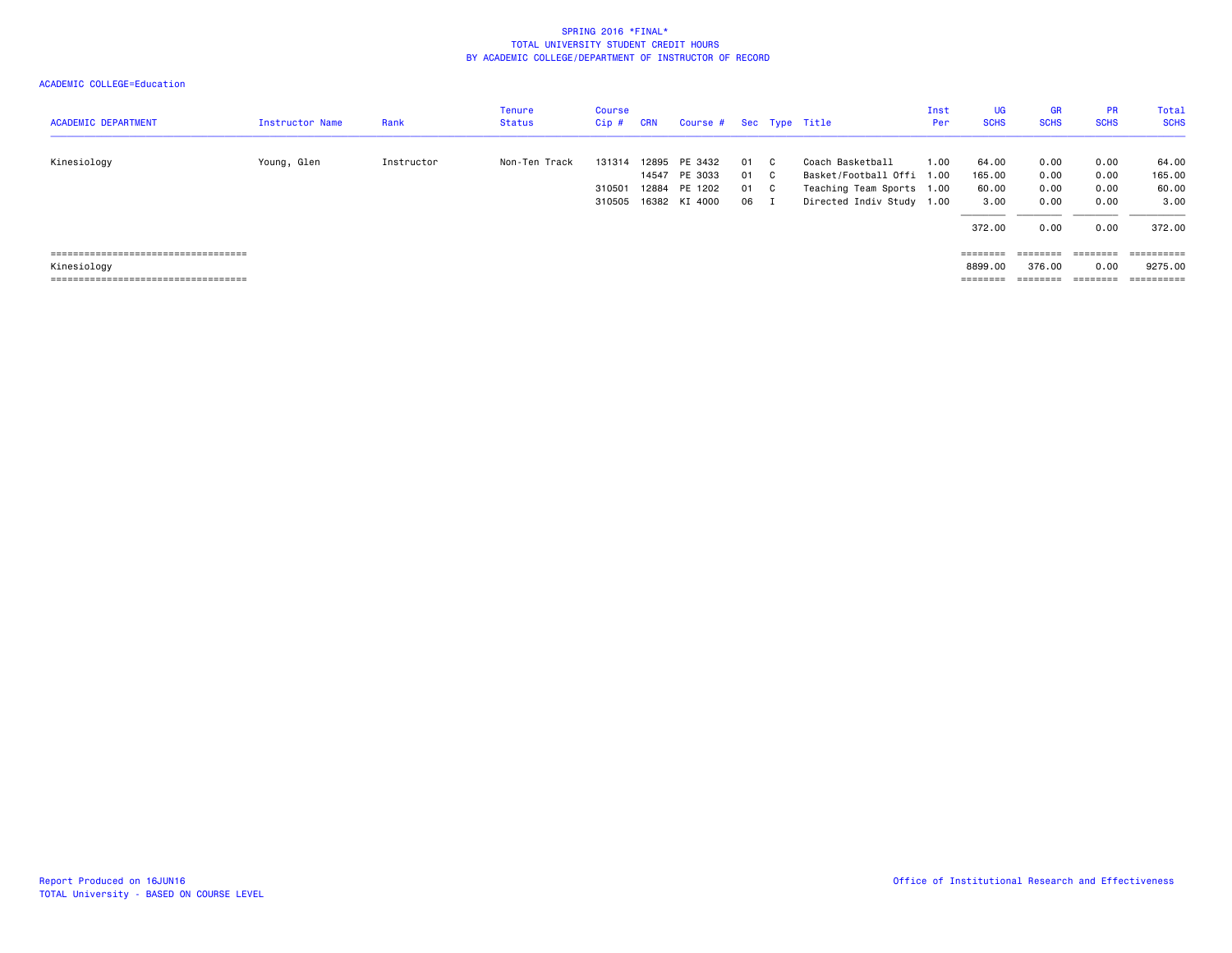| <b>ACADEMIC DEPARTMENT</b>                                                                    | <b>Instructor Name</b> | Rank       | <b>Tenure</b><br><b>Status</b> | Course<br>Cip#             | <b>CRN</b>     | Course #                                             |                      | Sec Type Title                                                                                          | Inst<br>Per | UG<br><b>SCHS</b>                           | <b>GR</b><br><b>SCHS</b>                   | <b>PR</b><br><b>SCHS</b>             | Total<br><b>SCHS</b>                       |
|-----------------------------------------------------------------------------------------------|------------------------|------------|--------------------------------|----------------------------|----------------|------------------------------------------------------|----------------------|---------------------------------------------------------------------------------------------------------|-------------|---------------------------------------------|--------------------------------------------|--------------------------------------|--------------------------------------------|
| Kinesiology                                                                                   | Young, Glen            | Instructor | Non-Ten Track                  | 131314<br>310501<br>310505 | 12895<br>12884 | PE 3432<br>14547 PE 3033<br>PE 1202<br>16382 KI 4000 | 01<br>01<br>01<br>06 | Coach Basketball<br>Basket/Football Offi 1.00<br>Teaching Team Sports 1.00<br>Directed Indiv Study 1.00 | 1.00        | 64.00<br>165.00<br>60.00<br>3,00<br>372.00  | 0.00<br>0.00<br>0.00<br>0.00<br>0.00       | 0.00<br>0.00<br>0.00<br>0.00<br>0.00 | 64.00<br>165.00<br>60.00<br>3.00<br>372.00 |
| =====================================<br>Kinesiology<br>===================================== |                        |            |                                |                            |                |                                                      |                      |                                                                                                         |             | ========<br>8899,00<br>--------<br>-------- | ========<br>376.00<br>--------<br>-------- | ========<br>0.00                     | ==========<br>9275.00<br>==========        |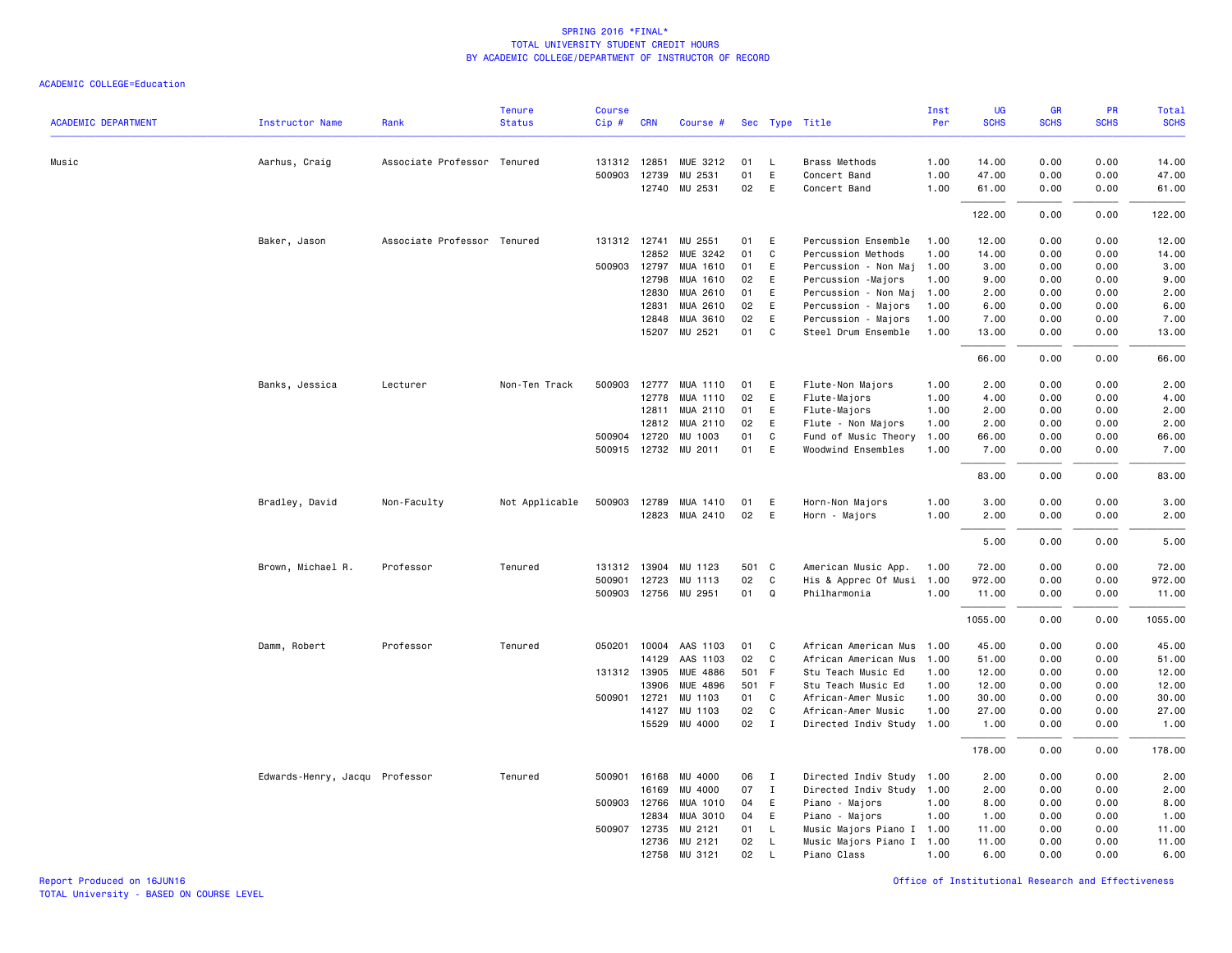|                            |                                |                             | <b>Tenure</b>  | <b>Course</b> |                       |                      |          |                              |                                           | Inst         | <b>UG</b>      | <b>GR</b>    | <b>PR</b>    | Total          |
|----------------------------|--------------------------------|-----------------------------|----------------|---------------|-----------------------|----------------------|----------|------------------------------|-------------------------------------------|--------------|----------------|--------------|--------------|----------------|
| <b>ACADEMIC DEPARTMENT</b> | <b>Instructor Name</b>         | Rank                        | <b>Status</b>  | Cip#          | <b>CRN</b>            | Course #             |          |                              | Sec Type Title                            | Per          | <b>SCHS</b>    | <b>SCHS</b>  | <b>SCHS</b>  | <b>SCHS</b>    |
| Music                      |                                | Associate Professor Tenured |                |               | 131312 12851          | MUE 3212             | 01       | L                            | Brass Methods                             | 1.00         | 14.00          | 0.00         | 0.00         | 14.00          |
|                            | Aarhus, Craig                  |                             |                |               | 500903 12739          | MU 2531              | 01       | E                            | Concert Band                              | 1.00         | 47.00          | 0.00         | 0.00         | 47.00          |
|                            |                                |                             |                |               | 12740                 | MU 2531              | 02       | E                            | Concert Band                              | 1.00         | 61.00          | 0.00         | 0.00         | 61.00          |
|                            |                                |                             |                |               |                       |                      |          |                              |                                           |              | 122.00         | 0.00         | 0.00         | 122.00         |
|                            |                                |                             |                |               |                       |                      |          |                              |                                           |              |                |              |              |                |
|                            | Baker, Jason                   | Associate Professor Tenured |                |               | 131312 12741<br>12852 | MU 2551<br>MUE 3242  | 01<br>01 | E<br>C                       | Percussion Ensemble<br>Percussion Methods | 1.00<br>1.00 | 12.00<br>14.00 | 0.00<br>0.00 | 0.00<br>0.00 | 12.00<br>14.00 |
|                            |                                |                             |                |               | 500903 12797          | MUA 1610             | 01       | E                            | Percussion - Non Maj                      | 1.00         | 3.00           | 0.00         | 0.00         | 3.00           |
|                            |                                |                             |                |               | 12798                 | MUA 1610             | 02       | E                            | Percussion - Majors                       | 1.00         | 9.00           | 0.00         | 0.00         | 9.00           |
|                            |                                |                             |                |               | 12830                 | MUA 2610             | 01       | E                            | Percussion - Non Maj                      | 1.00         | 2.00           | 0.00         | 0.00         | 2.00           |
|                            |                                |                             |                |               | 12831                 | MUA 2610             | 02       | E                            | Percussion - Majors                       | 1.00         | 6.00           | 0.00         | 0.00         | 6.00           |
|                            |                                |                             |                |               | 12848                 | MUA 3610             | 02       | E                            | Percussion - Majors                       | 1.00         | 7.00           | 0.00         | 0.00         | 7.00           |
|                            |                                |                             |                |               | 15207                 | MU 2521              | 01       | C                            | Steel Drum Ensemble                       | 1.00         | 13.00          | 0.00         | 0.00         | 13.00          |
|                            |                                |                             |                |               |                       |                      |          |                              |                                           |              | 66.00          | 0.00         | 0.00         | 66.00          |
|                            | Banks, Jessica                 | Lecturer                    | Non-Ten Track  |               | 500903 12777          | MUA 1110             | 01       | E                            | Flute-Non Majors                          | 1.00         | 2.00           | 0.00         | 0.00         | 2.00           |
|                            |                                |                             |                |               | 12778                 | MUA 1110             | 02       | E                            | Flute-Majors                              | 1.00         | 4.00           | 0.00         | 0.00         | 4.00           |
|                            |                                |                             |                |               | 12811                 | MUA 2110             | 01       | E                            | Flute-Majors                              | 1.00         | 2.00           | 0.00         | 0.00         | 2.00           |
|                            |                                |                             |                |               | 12812                 | MUA 2110             | 02       | E                            | Flute - Non Majors                        | 1.00         | 2.00           | 0.00         | 0.00         | 2.00           |
|                            |                                |                             |                |               | 500904 12720          | MU 1003              | 01       | C                            | Fund of Music Theory                      | 1.00         | 66.00          | 0.00         | 0.00         | 66.00          |
|                            |                                |                             |                |               |                       | 500915 12732 MU 2011 | 01       | E                            | Woodwind Ensembles                        | 1.00         | 7.00           | 0.00         | 0.00         | 7.00           |
|                            |                                |                             |                |               |                       |                      |          |                              |                                           |              | 83.00          | 0.00         | 0.00         | 83.00          |
|                            | Bradley, David                 | Non-Faculty                 | Not Applicable | 500903 12789  |                       | MUA 1410             | 01       | E                            | Horn-Non Majors                           | 1.00         | 3.00           | 0.00         | 0.00         | 3.00           |
|                            |                                |                             |                |               | 12823                 | MUA 2410             | 02       | E                            | Horn - Majors                             | 1.00         | 2.00           | 0.00         | 0.00         | 2.00           |
|                            |                                |                             |                |               |                       |                      |          |                              |                                           |              | 5.00           | 0.00         | 0.00         | 5.00           |
|                            |                                |                             |                |               |                       |                      |          |                              |                                           |              |                |              |              |                |
|                            | Brown, Michael R.              | Professor                   | Tenured        | 131312        | 13904                 | MU 1123              | 501 C    |                              | American Music App.                       | 1.00         | 72.00          | 0.00         | 0.00         | 72.00          |
|                            |                                |                             |                | 500901        | 12723                 | MU 1113              | 02       | C                            | His & Apprec Of Musi                      | 1.00         | 972.00         | 0.00         | 0.00         | 972.00         |
|                            |                                |                             |                |               |                       | 500903 12756 MU 2951 | 01       | Q                            | Philharmonia                              | 1.00         | 11.00          | 0.00         | 0.00         | 11.00          |
|                            |                                |                             |                |               |                       |                      |          |                              |                                           |              | 1055.00        | 0.00         | 0.00         | 1055.00        |
|                            | Damm, Robert                   | Professor                   | Tenured        |               | 050201 10004          | AAS 1103             | 01       | C                            | African American Mus                      | 1.00         | 45.00          | 0.00         | 0.00         | 45.00          |
|                            |                                |                             |                |               | 14129                 | AAS 1103             | 02       | C                            | African American Mus                      | 1.00         | 51.00          | 0.00         | 0.00         | 51.00          |
|                            |                                |                             |                |               | 131312 13905          | MUE 4886             | 501 F    |                              | Stu Teach Music Ed                        | 1.00         | 12.00          | 0.00         | 0.00         | 12.00          |
|                            |                                |                             |                |               | 13906                 | MUE 4896             | 501 F    |                              | Stu Teach Music Ed                        | 1.00         | 12.00          | 0.00         | 0.00         | 12.00          |
|                            |                                |                             |                | 500901        | 12721                 | MU 1103              | 01       | C                            | African-Amer Music                        | 1.00         | 30.00          | 0.00         | 0.00         | 30.00          |
|                            |                                |                             |                |               | 14127<br>15529        | MU 1103<br>MU 4000   | 02<br>02 | $\mathbf{C}$<br>$\mathbf{I}$ | African-Amer Music                        | 1.00         | 27.00<br>1.00  | 0.00<br>0.00 | 0.00<br>0.00 | 27.00          |
|                            |                                |                             |                |               |                       |                      |          |                              | Directed Indiv Study 1.00                 |              |                |              |              | 1.00           |
|                            |                                |                             |                |               |                       |                      |          |                              |                                           |              | 178.00         | 0.00         | 0.00         | 178.00         |
|                            | Edwards-Henry, Jacqu Professor |                             | Tenured        | 500901        | 16168                 | MU 4000              | 06       | I                            | Directed Indiv Study                      | 1.00         | 2.00           | 0.00         | 0.00         | 2.00           |
|                            |                                |                             |                |               | 16169                 | MU 4000              | 07       | $\mathbf{I}$                 | Directed Indiv Study                      | 1.00         | 2.00           | 0.00         | 0.00         | 2.00           |
|                            |                                |                             |                | 500903        | 12766                 | MUA 1010             | 04       | E                            | Piano - Majors                            | 1.00         | 8.00           | 0.00         | 0.00         | 8.00           |
|                            |                                |                             |                |               | 12834                 | MUA 3010             | 04       | E                            | Piano - Majors                            | 1.00         | 1.00           | 0.00         | 0.00         | 1.00           |
|                            |                                |                             |                |               | 500907 12735          | MU 2121              | 01       | L                            | Music Majors Piano I 1.00                 |              | 11.00          | 0.00         | 0.00         | 11.00          |
|                            |                                |                             |                |               | 12736                 | MU 2121              | 02       | L                            | Music Majors Piano I 1.00                 |              | 11.00          | 0.00         | 0.00         | 11.00          |
|                            |                                |                             |                |               | 12758                 | MU 3121              | 02       | L                            | Piano Class                               | 1.00         | 6.00           | 0.00         | 0.00         | 6.00           |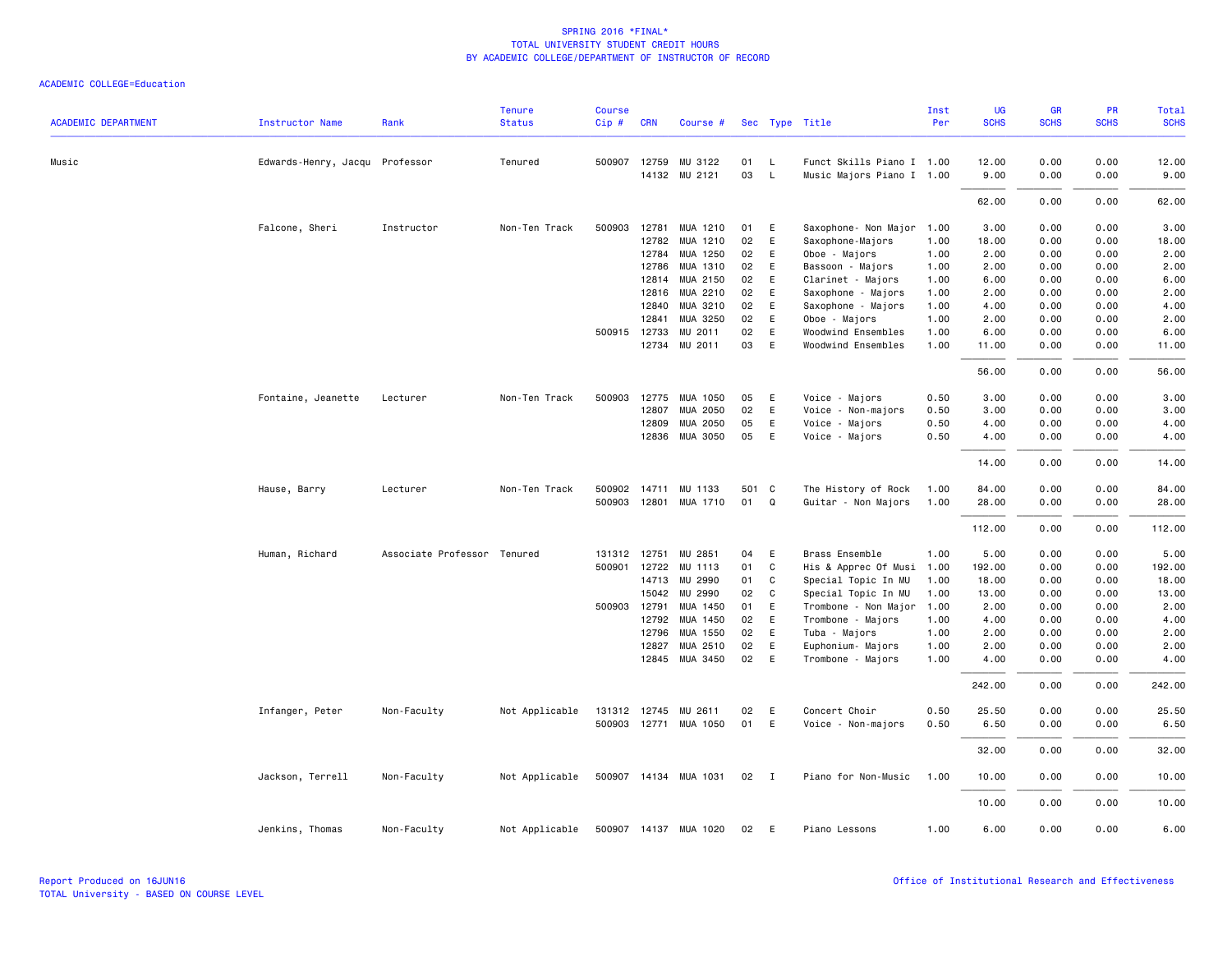|                            |                                |                             | <b>Tenure</b>  | <b>Course</b> |              |                            |          |                |                                        | Inst         | <b>UG</b>    | <b>GR</b>    | <b>PR</b>    | Total        |
|----------------------------|--------------------------------|-----------------------------|----------------|---------------|--------------|----------------------------|----------|----------------|----------------------------------------|--------------|--------------|--------------|--------------|--------------|
| <b>ACADEMIC DEPARTMENT</b> | <b>Instructor Name</b>         | Rank                        | <b>Status</b>  | Cip#          | <b>CRN</b>   | Course #                   |          |                | Sec Type Title                         | Per          | <b>SCHS</b>  | <b>SCHS</b>  | <b>SCHS</b>  | <b>SCHS</b>  |
| Music                      | Edwards-Henry, Jacqu Professor |                             | Tenured        |               |              | 500907 12759 MU 3122       | 01       | $\mathsf{L}$   | Funct Skills Piano I 1.00              |              | 12.00        | 0.00         | 0.00         | 12.00        |
|                            |                                |                             |                |               |              | 14132 MU 2121              | 03       | $\mathsf{L}$   | Music Majors Piano I 1.00              |              | 9.00         | 0.00         | 0.00         | 9.00         |
|                            |                                |                             |                |               |              |                            |          |                |                                        |              | 62.00        | 0.00         | 0.00         | 62.00        |
|                            | Falcone, Sheri                 | Instructor                  | Non-Ten Track  | 500903        | 12781        | MUA 1210                   | 01       | E              | Saxophone- Non Major                   | 1.00         | 3.00         | 0.00         | 0.00         | 3.00         |
|                            |                                |                             |                |               | 12782        | MUA 1210                   | 02       | E              | Saxophone-Majors                       | 1.00         | 18.00        | 0.00         | 0.00         | 18.00        |
|                            |                                |                             |                |               | 12784        | MUA 1250                   | 02       | E              | Oboe - Majors                          | 1.00         | 2.00         | 0.00         | 0.00         | 2.00         |
|                            |                                |                             |                |               | 12786        | MUA 1310                   | 02       | E              | Bassoon - Majors                       | 1.00         | 2.00         | 0.00         | 0.00         | 2.00         |
|                            |                                |                             |                |               | 12814        | MUA 2150                   | 02       | E              | Clarinet - Majors                      | 1.00         | 6.00         | 0.00         | 0.00         | 6.00         |
|                            |                                |                             |                |               |              | 12816 MUA 2210             | 02       | E              | Saxophone - Majors                     | 1.00         | 2.00         | 0.00         | 0.00         | 2.00         |
|                            |                                |                             |                |               | 12840        | MUA 3210                   | 02       | E              | Saxophone - Majors                     | 1.00         | 4.00         | 0.00         | 0.00         | 4.00         |
|                            |                                |                             |                |               | 12841        | MUA 3250                   | 02       | E              | Oboe - Majors                          | 1.00         | 2.00         | 0.00         | 0.00         | 2.00         |
|                            |                                |                             |                |               | 500915 12733 | MU 2011                    | 02       | E              | Woodwind Ensembles                     | 1.00         | 6.00         | 0.00         | 0.00         | 6.00         |
|                            |                                |                             |                |               |              | 12734 MU 2011              | 03       | E              | Woodwind Ensembles                     | 1.00         | 11.00        | 0.00         | 0.00         | 11.00        |
|                            |                                |                             |                |               |              |                            |          |                |                                        |              | 56.00        | 0.00         | 0.00         | 56.00        |
|                            | Fontaine, Jeanette             | Lecturer                    | Non-Ten Track  |               |              | 500903 12775 MUA 1050      | 05       | E              | Voice - Majors                         | 0.50         | 3.00         | 0.00         | 0.00         | 3.00         |
|                            |                                |                             |                |               | 12807        | MUA 2050                   | 02       | E              | Voice - Non-majors                     | 0.50         | 3.00         | 0.00         | 0.00         | 3.00         |
|                            |                                |                             |                |               | 12809        | MUA 2050                   | 05       | E              | Voice - Majors                         | 0.50         | 4.00         | 0.00         | 0.00         | 4.00         |
|                            |                                |                             |                |               | 12836        | MUA 3050                   | 05       | E              | Voice - Majors                         | 0.50         | 4.00         | 0.00         | 0.00         | 4.00         |
|                            |                                |                             |                |               |              |                            |          |                |                                        |              | 14.00        | 0.00         | 0.00         | 14.00        |
|                            | Hause, Barry                   | Lecturer                    | Non-Ten Track  |               |              | 500902 14711 MU 1133       | 501 C    |                | The History of Rock                    | 1.00         | 84.00        | 0.00         | 0.00         | 84.00        |
|                            |                                |                             |                |               |              | 500903 12801 MUA 1710      | 01       | Q              | Guitar - Non Majors                    | 1.00         | 28.00        | 0.00         | 0.00         | 28.00        |
|                            |                                |                             |                |               |              |                            |          |                |                                        |              | 112.00       | 0.00         | 0.00         | 112.00       |
|                            | Human, Richard                 | Associate Professor Tenured |                |               | 131312 12751 | MU 2851                    | 04       | E              | Brass Ensemble                         | 1.00         | 5.00         | 0.00         | 0.00         | 5.00         |
|                            |                                |                             |                |               | 500901 12722 | MU 1113                    | 01       | C              | His & Apprec Of Musi                   | 1.00         | 192.00       | 0.00         | 0.00         | 192.00       |
|                            |                                |                             |                |               | 14713        | MU 2990                    | 01       | C              | Special Topic In MU                    | 1.00         | 18.00        | 0.00         | 0.00         | 18.00        |
|                            |                                |                             |                |               | 15042        | MU 2990                    | 02       | C              | Special Topic In MU                    | 1.00         | 13.00        | 0.00         | 0.00         | 13.00        |
|                            |                                |                             |                |               | 500903 12791 | MUA 1450                   | 01       | E              | Trombone - Non Major                   | 1.00         | 2.00         | 0.00         | 0.00         | 2.00         |
|                            |                                |                             |                |               | 12792        | MUA 1450                   | 02       | E              | Trombone - Majors                      | 1.00         | 4.00         | 0.00         | 0.00         | 4.00         |
|                            |                                |                             |                |               | 12796        | MUA 1550                   | 02       | E              | Tuba - Majors                          | 1.00         | 2.00         | 0.00         | 0.00         | 2.00         |
|                            |                                |                             |                |               | 12827        | MUA 2510<br>12845 MUA 3450 | 02<br>02 | E<br>E         | Euphonium- Majors<br>Trombone - Majors | 1.00<br>1.00 | 2.00<br>4.00 | 0.00<br>0.00 | 0.00<br>0.00 | 2.00<br>4.00 |
|                            |                                |                             |                |               |              |                            |          |                |                                        |              | 242.00       | 0.00         | 0.00         | 242.00       |
|                            | Infanger, Peter                | Non-Faculty                 | Not Applicable |               |              | 131312 12745 MU 2611       | 02       | E              | Concert Choir                          | 0.50         | 25.50        | 0.00         | 0.00         | 25.50        |
|                            |                                |                             |                |               |              | 500903 12771 MUA 1050      | 01       | E              | Voice - Non-majors                     | 0.50         | 6.50         | 0.00         | 0.00         | 6.50         |
|                            |                                |                             |                |               |              |                            |          |                |                                        |              | 32.00        | 0.00         | 0.00         | 32.00        |
|                            | Jackson, Terrell               | Non-Faculty                 | Not Applicable |               |              | 500907 14134 MUA 1031      | 02       | $\blacksquare$ | Piano for Non-Music                    | 1.00         | 10.00        | 0.00         | 0.00         | 10.00        |
|                            |                                |                             |                |               |              |                            |          |                |                                        |              | 10.00        | 0.00         | 0.00         | 10.00        |
|                            | Jenkins, Thomas                | Non-Faculty                 | Not Applicable |               |              | 500907 14137 MUA 1020      | 02       | E              | Piano Lessons                          | 1.00         | 6.00         | 0.00         | 0.00         | 6.00         |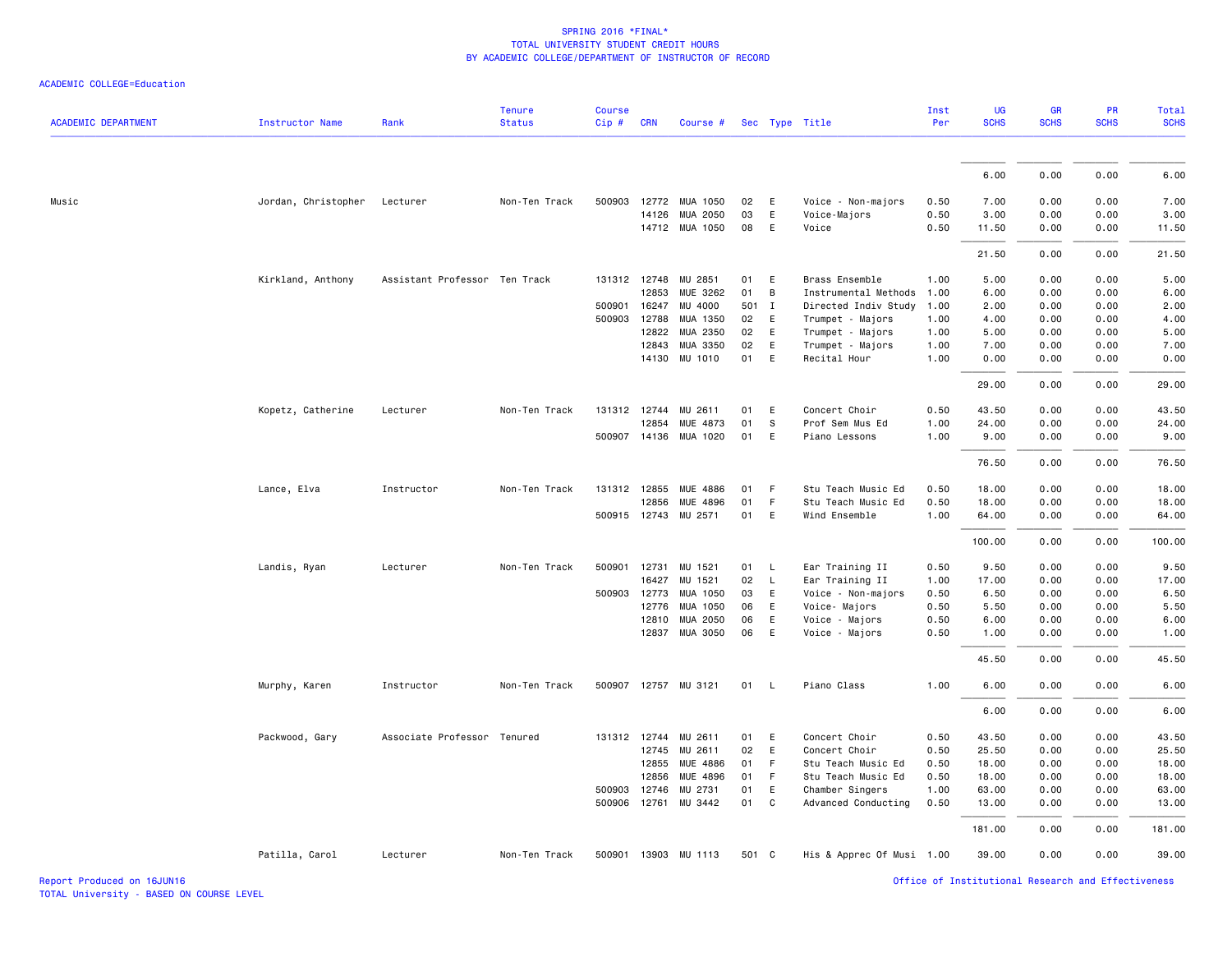| <b>ACADEMIC DEPARTMENT</b> | Instructor Name     | Rank                          | <b>Tenure</b><br><b>Status</b> | <b>Course</b><br>Cip# | <b>CRN</b>   | Course #              |          |                          | Sec Type Title            | Inst<br>Per | <b>UG</b><br><b>SCHS</b> | <b>GR</b><br><b>SCHS</b> | PR<br><b>SCHS</b> | Total<br><b>SCHS</b> |
|----------------------------|---------------------|-------------------------------|--------------------------------|-----------------------|--------------|-----------------------|----------|--------------------------|---------------------------|-------------|--------------------------|--------------------------|-------------------|----------------------|
|                            |                     |                               |                                |                       |              |                       |          |                          |                           |             |                          |                          |                   |                      |
|                            |                     |                               |                                |                       |              |                       |          |                          |                           |             | 6.00                     | 0.00                     | 0.00              | 6.00                 |
| Music                      | Jordan, Christopher | Lecturer                      | Non-Ten Track                  | 500903                | 12772        | MUA 1050              | 02       | E                        | Voice - Non-majors        | 0.50        | 7.00                     | 0.00                     | 0.00              | 7.00                 |
|                            |                     |                               |                                |                       | 14126        | MUA 2050              | 03       | E                        | Voice-Majors              | 0.50        | 3.00                     | 0.00                     | 0.00              | 3.00                 |
|                            |                     |                               |                                |                       |              | 14712 MUA 1050        | 08       | E                        | Voice                     | 0.50        | 11.50                    | 0.00                     | 0.00              | 11.50                |
|                            |                     |                               |                                |                       |              |                       |          |                          |                           |             | 21.50                    | 0.00                     | 0.00              | 21.50                |
|                            | Kirkland, Anthony   | Assistant Professor Ten Track |                                | 131312 12748          |              | MU 2851               | 01       | E                        | Brass Ensemble            | 1.00        | 5.00                     | 0.00                     | 0.00              | 5.00                 |
|                            |                     |                               |                                |                       | 12853        | MUE 3262              | 01       | $\mathsf{B}$             | Instrumental Methods      | 1.00        | 6.00                     | 0.00                     | 0.00              | 6.00                 |
|                            |                     |                               |                                | 500901                | 16247        | MU 4000               | 501 I    |                          | Directed Indiv Study      | 1.00        | 2.00                     | 0.00                     | 0.00              | 2.00                 |
|                            |                     |                               |                                | 500903 12788          |              | MUA 1350              | 02       | E                        | Trumpet - Majors          | 1.00        | 4.00                     | 0.00                     | 0.00              | 4.00                 |
|                            |                     |                               |                                |                       | 12822        | MUA 2350              | 02       | E                        | Trumpet - Majors          | 1.00        | 5.00                     | 0.00                     | 0.00              | 5.00                 |
|                            |                     |                               |                                |                       | 12843        | MUA 3350              | 02<br>01 | E                        | Trumpet - Majors          | 1.00        | 7.00                     | 0.00                     | 0.00              | 7.00                 |
|                            |                     |                               |                                |                       | 14130        | MU 1010               |          | E                        | Recital Hour              | 1.00        | 0.00                     | 0.00                     | 0.00              | 0.00                 |
|                            |                     |                               |                                |                       |              |                       |          |                          |                           |             | 29.00                    | 0.00                     | 0.00              | 29.00                |
|                            | Kopetz, Catherine   | Lecturer                      | Non-Ten Track                  |                       | 131312 12744 | MU 2611               | 01       | E                        | Concert Choir             | 0.50        | 43.50                    | 0.00                     | 0.00              | 43.50                |
|                            |                     |                               |                                |                       | 12854        | MUE 4873              | 01       | - S                      | Prof Sem Mus Ed           | 1.00        | 24.00                    | 0.00                     | 0.00              | 24.00                |
|                            |                     |                               |                                |                       |              | 500907 14136 MUA 1020 | 01       | E                        | Piano Lessons             | 1.00        | 9.00                     | 0.00                     | 0.00              | 9.00                 |
|                            |                     |                               |                                |                       |              |                       |          |                          |                           |             | 76.50                    | 0.00                     | 0.00              | 76.50                |
|                            | Lance, Elva         | Instructor                    | Non-Ten Track                  |                       | 131312 12855 | MUE 4886              | 01       | $-F$                     | Stu Teach Music Ed        | 0.50        | 18.00                    | 0.00                     | 0.00              | 18.00                |
|                            |                     |                               |                                |                       | 12856        | MUE 4896              | 01       | F                        | Stu Teach Music Ed        | 0.50        | 18.00                    | 0.00                     | 0.00              | 18.00                |
|                            |                     |                               |                                |                       |              | 500915 12743 MU 2571  | 01       | E                        | Wind Ensemble             | 1.00        | 64.00                    | 0.00                     | 0.00              | 64.00                |
|                            |                     |                               |                                |                       |              |                       |          |                          |                           |             | 100.00                   | 0.00                     | 0.00              | 100.00               |
|                            | Landis, Ryan        | Lecturer                      | Non-Ten Track                  | 500901 12731          |              | MU 1521               | 01       | $\mathsf{L}$             | Ear Training II           | 0.50        | 9.50                     | 0.00                     | 0.00              | 9.50                 |
|                            |                     |                               |                                |                       | 16427        | MU 1521               | 02       | $\overline{\phantom{a}}$ | Ear Training II           | 1.00        | 17.00                    | 0.00                     | 0.00              | 17.00                |
|                            |                     |                               |                                | 500903                | 12773        | MUA 1050              | 03       | E                        | Voice - Non-majors        | 0.50        | 6.50                     | 0.00                     | 0.00              | 6.50                 |
|                            |                     |                               |                                |                       | 12776        | MUA 1050              | 06       | E                        | Voice- Majors             | 0.50        | 5.50                     | 0.00                     | 0.00              | 5.50                 |
|                            |                     |                               |                                |                       | 12810        | MUA 2050              | 06       | E                        | Voice - Majors            | 0.50        | 6.00                     | 0.00                     | 0.00              | 6.00                 |
|                            |                     |                               |                                |                       | 12837        | MUA 3050              | 06       | E                        | Voice - Majors            | 0.50        | 1.00                     | 0.00                     | 0.00              | 1.00                 |
|                            |                     |                               |                                |                       |              |                       |          |                          |                           |             | 45.50                    | 0.00                     | 0.00              | 45.50                |
|                            | Murphy, Karen       | Instructor                    | Non-Ten Track                  |                       |              | 500907 12757 MU 3121  | 01       | $\mathsf{L}$             | Piano Class               | 1.00        | 6.00                     | 0.00                     | 0.00              | 6.00                 |
|                            |                     |                               |                                |                       |              |                       |          |                          |                           |             | 6.00                     | 0.00                     | 0.00              | 6.00                 |
|                            | Packwood, Gary      | Associate Professor Tenured   |                                |                       | 131312 12744 | MU 2611               | 01       | E                        | Concert Choir             | 0.50        | 43.50                    | 0.00                     | 0.00              | 43.50                |
|                            |                     |                               |                                |                       | 12745        | MU 2611               | 02       | E                        | Concert Choir             | 0.50        | 25.50                    | 0.00                     | 0.00              | 25.50                |
|                            |                     |                               |                                |                       | 12855        | MUE 4886              | 01       | - F                      | Stu Teach Music Ed        | 0.50        | 18.00                    | 0.00                     | 0.00              | 18.00                |
|                            |                     |                               |                                |                       | 12856        | MUE 4896              | 01       | - F                      | Stu Teach Music Ed        | 0.50        | 18.00                    | 0.00                     | 0.00              | 18.00                |
|                            |                     |                               |                                | 500903 12746          |              | MU 2731               | 01       | E                        | Chamber Singers           | 1.00        | 63.00                    | 0.00                     | 0.00              | 63.00                |
|                            |                     |                               |                                | 500906                | 12761        | MU 3442               | 01       | C.                       | Advanced Conducting       | 0.50        | 13.00                    | 0.00                     | 0.00              | 13.00                |
|                            |                     |                               |                                |                       |              |                       |          |                          |                           |             | 181.00                   | 0.00                     | 0.00              | 181.00               |
|                            | Patilla, Carol      | Lecturer                      | Non-Ten Track                  |                       |              | 500901 13903 MU 1113  | 501 C    |                          | His & Apprec Of Musi 1.00 |             | 39.00                    | 0.00                     | 0.00              | 39.00                |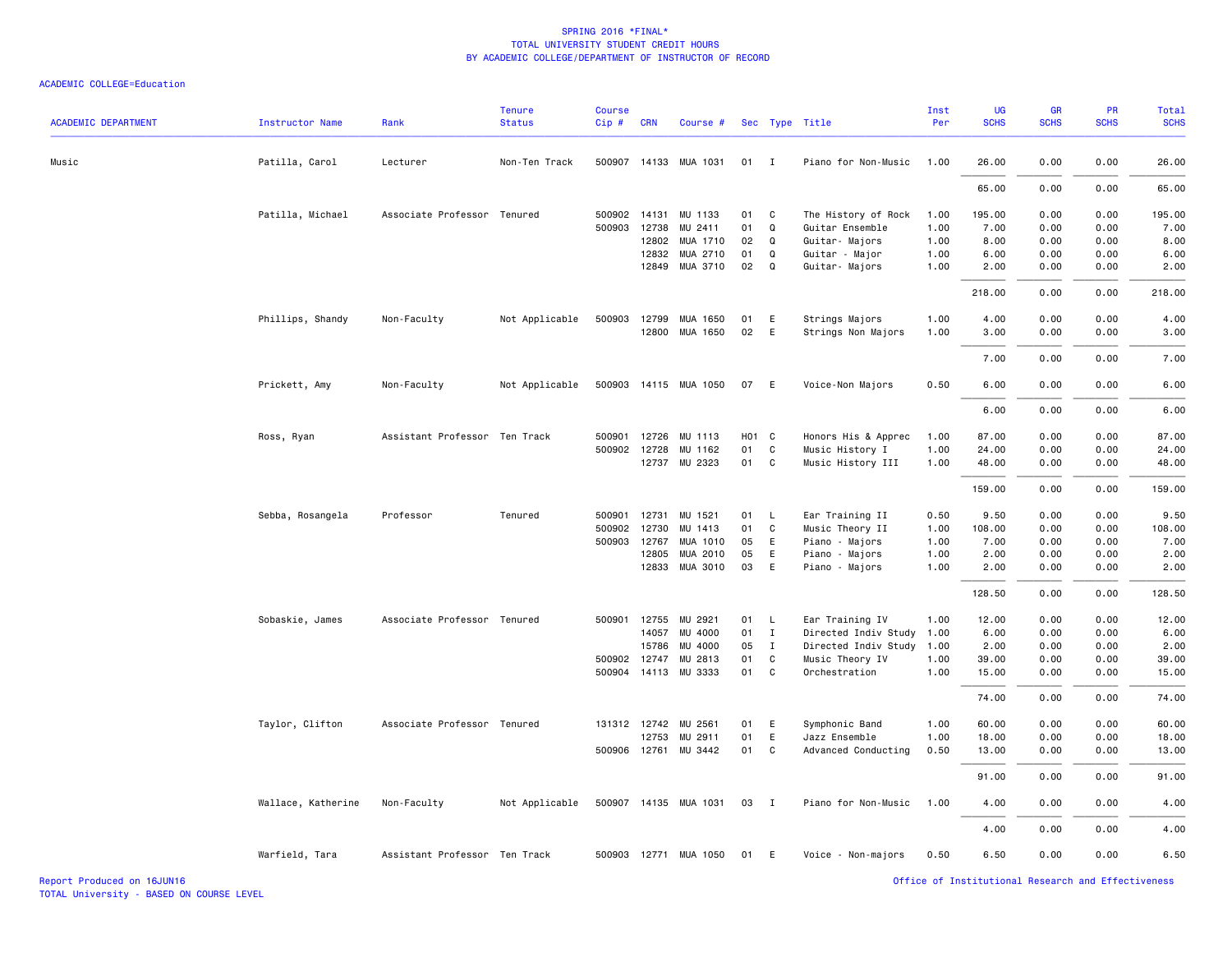| <b>ACADEMIC DEPARTMENT</b> | <b>Instructor Name</b> | Rank                          | <b>Tenure</b><br><b>Status</b> | <b>Course</b><br>Cip# | <b>CRN</b> | Course #              |                   |              | Sec Type Title       | Inst<br>Per | <b>UG</b><br><b>SCHS</b> | GR<br><b>SCHS</b> | PR<br><b>SCHS</b> | Total<br><b>SCHS</b> |
|----------------------------|------------------------|-------------------------------|--------------------------------|-----------------------|------------|-----------------------|-------------------|--------------|----------------------|-------------|--------------------------|-------------------|-------------------|----------------------|
| Music                      | Patilla, Carol         | Lecturer                      | Non-Ten Track                  |                       |            | 500907 14133 MUA 1031 | 01                | $\mathbf{I}$ | Piano for Non-Music  | 1.00        | 26.00                    | 0.00              | 0.00              | 26.00                |
|                            |                        |                               |                                |                       |            |                       |                   |              |                      |             | 65.00                    | 0.00              | 0.00              | 65.00                |
|                            | Patilla, Michael       | Associate Professor Tenured   |                                | 500902 14131          |            | MU 1133               | 01                | C            | The History of Rock  | 1.00        | 195.00                   | 0.00              | 0.00              | 195.00               |
|                            |                        |                               |                                | 500903                | 12738      | MU 2411               | 01                | Q            | Guitar Ensemble      | 1.00        | 7.00                     | 0.00              | 0.00              | 7.00                 |
|                            |                        |                               |                                |                       | 12802      | MUA 1710              | 02                | Q            | Guitar- Majors       | 1.00        | 8.00                     | 0.00              | 0.00              | 8.00                 |
|                            |                        |                               |                                |                       | 12832      | MUA 2710              | 01                | Q            | Guitar - Major       | 1.00        | 6.00                     | 0.00              | 0.00              | 6.00                 |
|                            |                        |                               |                                |                       | 12849      | MUA 3710              | 02                | Q            | Guitar- Majors       | 1.00        | 2.00                     | 0.00              | 0.00              | 2.00                 |
|                            |                        |                               |                                |                       |            |                       |                   |              |                      |             | 218.00                   | 0.00              | 0.00              | 218.00               |
|                            | Phillips, Shandy       | Non-Faculty                   | Not Applicable                 |                       |            | 500903 12799 MUA 1650 | 01                | E            | Strings Majors       | 1.00        | 4.00                     | 0.00              | 0.00              | 4.00                 |
|                            |                        |                               |                                |                       |            | 12800 MUA 1650        | 02                | E            | Strings Non Majors   | 1.00        | 3,00                     | 0.00              | 0.00              | 3.00                 |
|                            |                        |                               |                                |                       |            |                       |                   |              |                      |             | 7.00                     | 0.00              | 0.00              | 7.00                 |
|                            | Prickett, Amy          | Non-Faculty                   | Not Applicable                 |                       |            | 500903 14115 MUA 1050 | 07                | E            | Voice-Non Majors     | 0.50        | 6.00                     | 0.00              | 0.00              | 6.00                 |
|                            |                        |                               |                                |                       |            |                       |                   |              |                      |             | 6.00                     | 0.00              | 0.00              | 6.00                 |
|                            | Ross, Ryan             | Assistant Professor Ten Track |                                | 500901                | 12726      | MU 1113               | H <sub>01</sub> C |              | Honors His & Apprec  | 1.00        | 87.00                    | 0.00              | 0.00              | 87.00                |
|                            |                        |                               |                                | 500902                | 12728      | MU 1162               | 01                | C            | Music History I      | 1.00        | 24.00                    | 0.00              | 0.00              | 24.00                |
|                            |                        |                               |                                |                       |            | 12737 MU 2323         | 01                | C            | Music History III    | 1.00        | 48.00                    | 0.00              | 0.00              | 48.00                |
|                            |                        |                               |                                |                       |            |                       |                   |              |                      |             |                          |                   |                   |                      |
|                            |                        |                               |                                |                       |            |                       |                   |              |                      |             | 159.00                   | 0.00              | 0.00              | 159.00               |
|                            | Sebba, Rosangela       | Professor                     | Tenured                        | 500901                | 12731      | MU 1521               | 01                | L            | Ear Training II      | 0.50        | 9.50                     | 0.00              | 0.00              | 9.50                 |
|                            |                        |                               |                                | 500902                | 12730      | MU 1413               | 01                | C            | Music Theory II      | 1.00        | 108.00                   | 0.00              | 0.00              | 108.00               |
|                            |                        |                               |                                | 500903                | 12767      | MUA 1010              | 05                | E            | Piano - Majors       | 1.00        | 7.00                     | 0.00              | 0.00              | 7.00                 |
|                            |                        |                               |                                |                       | 12805      | MUA 2010              | 05                | E            | Piano - Majors       | 1.00        | 2.00                     | 0.00              | 0.00              | 2.00                 |
|                            |                        |                               |                                |                       | 12833      | MUA 3010              | 03                | E            | Piano - Majors       | 1.00        | 2.00                     | 0.00              | 0.00              | 2.00                 |
|                            |                        |                               |                                |                       |            |                       |                   |              |                      |             | 128.50                   | 0.00              | 0.00              | 128.50               |
|                            | Sobaskie, James        | Associate Professor Tenured   |                                | 500901                | 12755      | MU 2921               | 01                | L            | Ear Training IV      | 1.00        | 12.00                    | 0.00              | 0.00              | 12.00                |
|                            |                        |                               |                                |                       | 14057      | MU 4000               | 01                | $\mathbf{I}$ | Directed Indiv Study | 1.00        | 6.00                     | 0.00              | 0.00              | 6.00                 |
|                            |                        |                               |                                |                       | 15786      | MU 4000               | 05                | $\mathbf{I}$ | Directed Indiv Study | 1.00        | 2.00                     | 0.00              | 0.00              | 2.00                 |
|                            |                        |                               |                                | 500902 12747          |            | MU 2813               | 01                | C            | Music Theory IV      | 1.00        | 39.00                    | 0.00              | 0.00              | 39.00                |
|                            |                        |                               |                                |                       |            | 500904 14113 MU 3333  | 01                | C            | Orchestration        | 1.00        | 15.00                    | 0.00              | 0.00              | 15.00                |
|                            |                        |                               |                                |                       |            |                       |                   |              |                      |             | 74.00                    | 0.00              | 0.00              | 74.00                |
|                            | Taylor, Clifton        | Associate Professor Tenured   |                                | 131312 12742          |            | MU 2561               | 01                | E            | Symphonic Band       | 1.00        | 60.00                    | 0.00              | 0.00              | 60.00                |
|                            |                        |                               |                                |                       | 12753      | MU 2911               | 01                | E            | Jazz Ensemble        | 1.00        | 18.00                    | 0.00              | 0.00              | 18.00                |
|                            |                        |                               |                                |                       |            | 500906 12761 MU 3442  | 01                | C            | Advanced Conducting  | 0.50        | 13.00                    | 0.00              | 0.00              | 13.00                |
|                            |                        |                               |                                |                       |            |                       |                   |              |                      |             | 91.00                    | 0.00              | 0.00              | 91.00                |
|                            | Wallace, Katherine     | Non-Faculty                   | Not Applicable                 |                       |            | 500907 14135 MUA 1031 | 03                | $\mathbf{I}$ | Piano for Non-Music  | 1.00        | 4.00                     | 0.00              | 0.00              | 4.00                 |
|                            |                        |                               |                                |                       |            |                       |                   |              |                      |             | 4.00                     | 0.00              | 0.00              | 4.00                 |
|                            | Warfield, Tara         | Assistant Professor Ten Track |                                |                       |            | 500903 12771 MUA 1050 | 01                | E            | Voice - Non-majors   | 0.50        | 6.50                     | 0.00              | 0.00              | 6.50                 |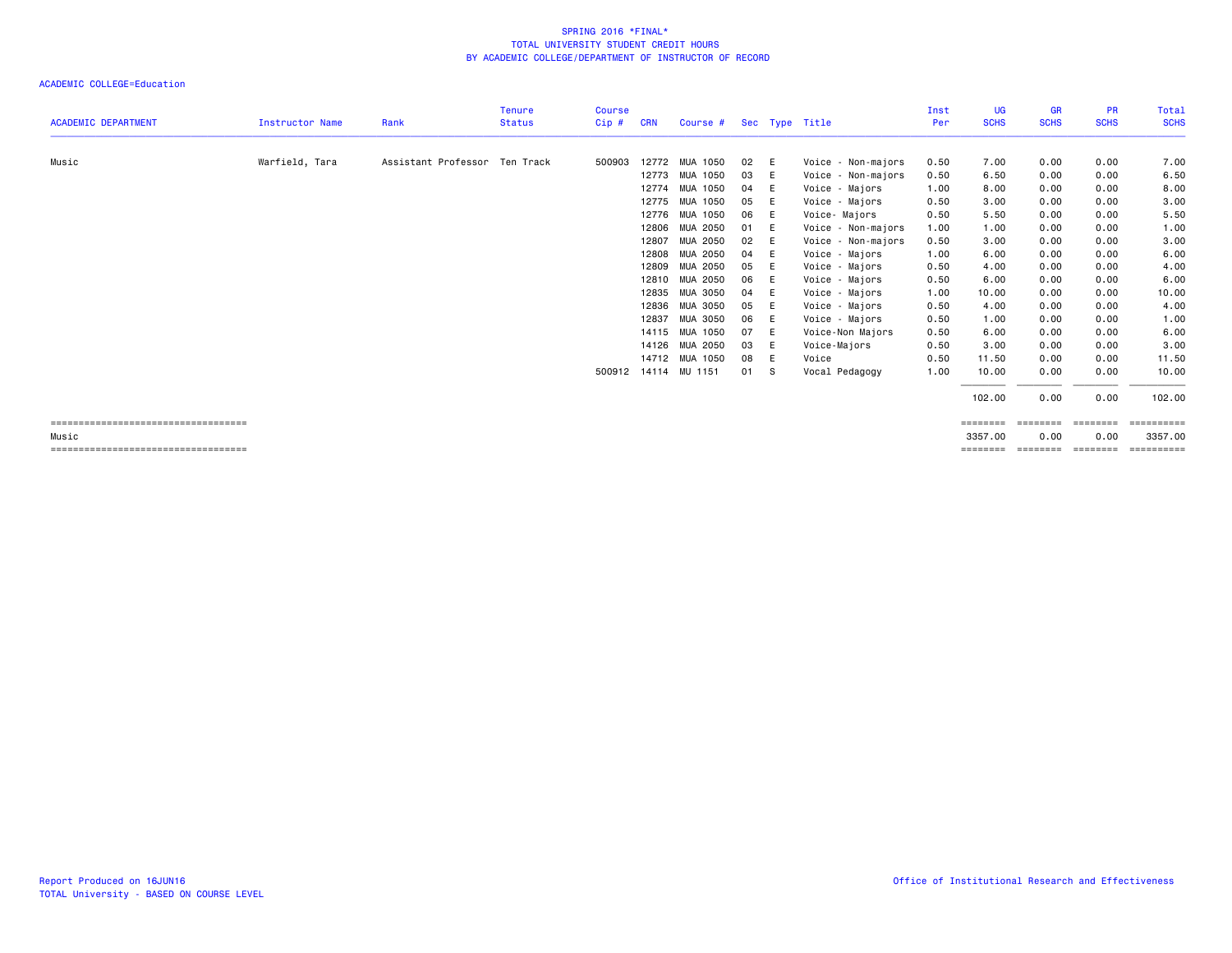|                                       |                        |                               | <b>Tenure</b> | <b>Course</b> |            |                         |      |     |                    | Inst | <b>UG</b>   | <b>GR</b>   | <b>PR</b>   | Total          |
|---------------------------------------|------------------------|-------------------------------|---------------|---------------|------------|-------------------------|------|-----|--------------------|------|-------------|-------------|-------------|----------------|
| <b>ACADEMIC DEPARTMENT</b>            | <b>Instructor Name</b> | Rank                          | <b>Status</b> | Cip#          | <b>CRN</b> | Course # Sec Type Title |      |     |                    | Per  | <b>SCHS</b> | <b>SCHS</b> | <b>SCHS</b> | <b>SCHS</b>    |
| Music                                 | Warfield, Tara         | Assistant Professor Ten Track |               | 500903        |            | 12772 MUA 1050          | 02   | - E | Voice - Non-majors | 0.50 | 7.00        | 0.00        | 0.00        | 7.00           |
|                                       |                        |                               |               |               |            | 12773 MUA 1050          | 03   | E   | Voice - Non-majors | 0.50 | 6.50        | 0.00        | 0.00        | 6.50           |
|                                       |                        |                               |               |               |            | 12774 MUA 1050          | 04   | E   | Voice - Majors     | 1.00 | 8.00        | 0.00        | 0.00        | 8.00           |
|                                       |                        |                               |               |               |            | 12775 MUA 1050          | 05   | E   | Voice - Majors     | 0.50 | 3.00        | 0.00        | 0.00        | 3.00           |
|                                       |                        |                               |               |               |            | 12776 MUA 1050          | 06   | E   | Voice-Majors       | 0.50 | 5.50        | 0.00        | 0.00        | 5.50           |
|                                       |                        |                               |               |               |            | 12806 MUA 2050          | 01   | E   | Voice - Non-majors | 1.00 | 1.00        | 0.00        | 0.00        | 1.00           |
|                                       |                        |                               |               |               | 12807      | MUA 2050                | 02   | E   | Voice - Non-majors | 0.50 | 3.00        | 0.00        | 0.00        | 3.00           |
|                                       |                        |                               |               |               |            | 12808 MUA 2050          | 04   | E   | Voice - Majors     | 1.00 | 6.00        | 0.00        | 0.00        | 6.00           |
|                                       |                        |                               |               |               |            | 12809 MUA 2050          | 05   | E   | Voice - Majors     | 0.50 | 4.00        | 0.00        | 0.00        | 4.00           |
|                                       |                        |                               |               |               |            | 12810 MUA 2050          | 06   | E   | Voice - Majors     | 0.50 | 6.00        | 0.00        | 0.00        | 6.00           |
|                                       |                        |                               |               |               |            | 12835 MUA 3050          | 04   | E   | Voice - Majors     | 1.00 | 10.00       | 0.00        | 0.00        | 10.00          |
|                                       |                        |                               |               |               |            | 12836 MUA 3050          | 05   | E   | Voice - Majors     | 0.50 | 4.00        | 0.00        | 0.00        | 4.00           |
|                                       |                        |                               |               |               | 12837      | MUA 3050                | 06   | E   | Voice - Majors     | 0.50 | 1.00        | 0.00        | 0.00        | 1.00           |
|                                       |                        |                               |               |               |            | 14115 MUA 1050          | 07   | E   | Voice-Non Majors   | 0.50 | 6.00        | 0.00        | 0.00        | 6.00           |
|                                       |                        |                               |               |               |            | 14126 MUA 2050          | 03   | E   | Voice-Majors       | 0.50 | 3.00        | 0.00        | 0.00        | 3.00           |
|                                       |                        |                               |               |               |            | 14712 MUA 1050          | 08   | E   | Voice              | 0.50 | 11.50       | 0.00        | 0.00        | 11.50          |
|                                       |                        |                               |               |               |            | 500912 14114 MU 1151    | 01 S |     | Vocal Pedagogy     | 1.00 | 10.00       | 0.00        | 0.00        | 10.00          |
|                                       |                        |                               |               |               |            |                         |      |     |                    |      | 102.00      | 0.00        | 0.00        | 102.00         |
| ===================================== |                        |                               |               |               |            |                         |      |     |                    |      | ========    | ========    |             | $=$ ========== |
| Music                                 |                        |                               |               |               |            |                         |      |     |                    |      | 3357.00     | 0.00        | 0.00        | 3357.00        |
| ===================================== |                        |                               |               |               |            |                         |      |     |                    |      | ========    | ========    | ========    | ==========     |
|                                       |                        |                               |               |               |            |                         |      |     |                    |      |             |             |             |                |
|                                       |                        |                               |               |               |            |                         |      |     |                    |      |             |             |             |                |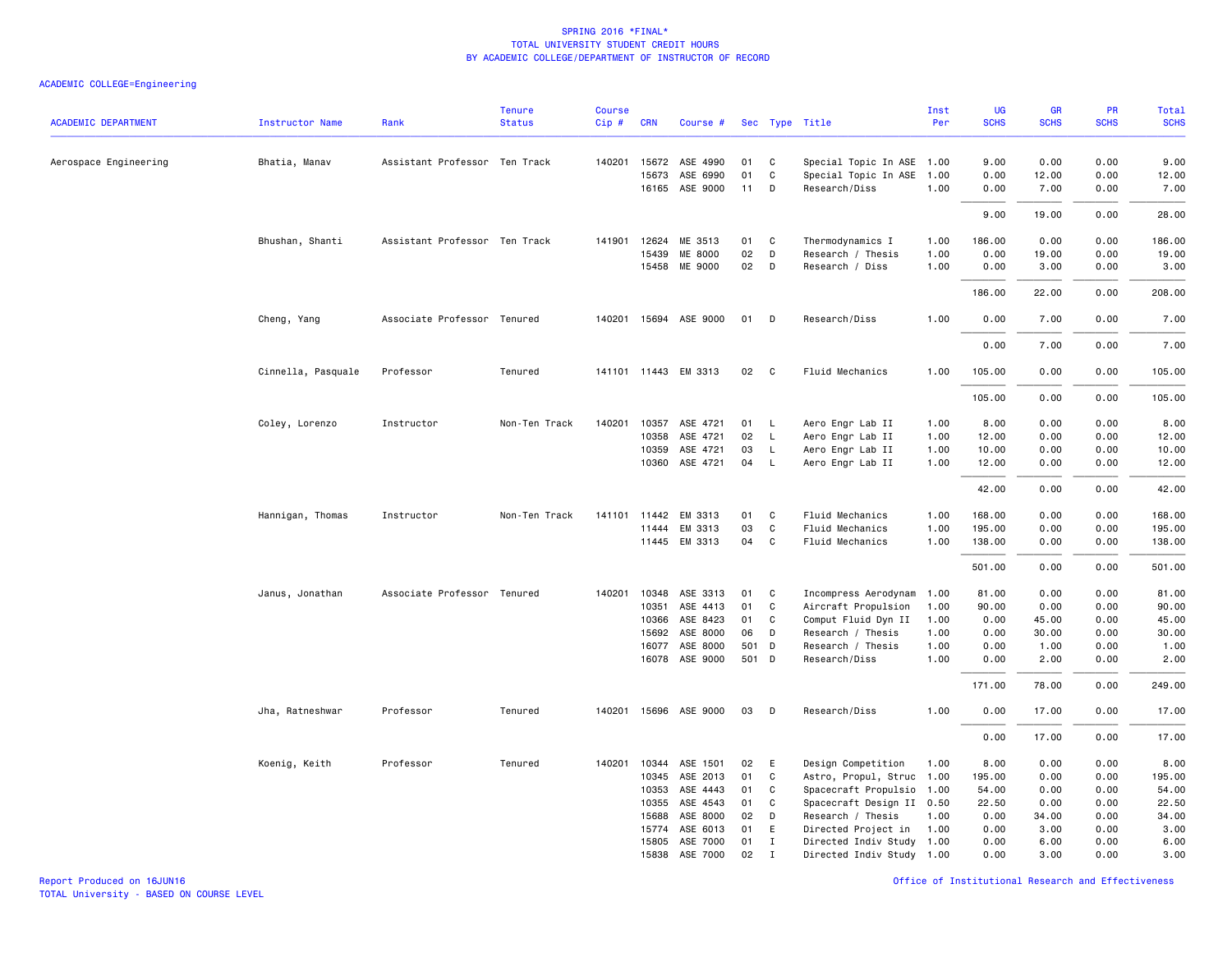| <b>ACADEMIC DEPARTMENT</b> | <b>Instructor Name</b> | Rank                          | <b>Tenure</b><br><b>Status</b> | <b>Course</b><br>Cip# | <b>CRN</b> | Course #              |       |              | Sec Type Title            | Inst<br>Per | <b>UG</b><br><b>SCHS</b> | <b>GR</b><br><b>SCHS</b> | PR<br><b>SCHS</b> | Total<br><b>SCHS</b> |
|----------------------------|------------------------|-------------------------------|--------------------------------|-----------------------|------------|-----------------------|-------|--------------|---------------------------|-------------|--------------------------|--------------------------|-------------------|----------------------|
|                            |                        |                               |                                |                       |            |                       |       |              |                           |             |                          |                          |                   |                      |
| Aerospace Engineering      | Bhatia, Manav          | Assistant Professor Ten Track |                                | 140201                | 15672      | ASE 4990              | 01    | C            | Special Topic In ASE 1.00 |             | 9.00                     | 0.00                     | 0.00              | 9.00                 |
|                            |                        |                               |                                |                       | 15673      | ASE 6990              | 01    | C            | Special Topic In ASE      | 1.00        | 0.00                     | 12.00                    | 0.00              | 12.00                |
|                            |                        |                               |                                |                       |            | 16165 ASE 9000        | 11    | D            | Research/Diss             | 1.00        | 0.00                     | 7.00                     | 0.00              | 7.00                 |
|                            |                        |                               |                                |                       |            |                       |       |              |                           |             | 9.00                     | 19.00                    | 0.00              | 28.00                |
|                            | Bhushan, Shanti        | Assistant Professor Ten Track |                                | 141901                | 12624      | ME 3513               | 01    | C            | Thermodynamics I          | 1.00        | 186.00                   | 0.00                     | 0.00              | 186.00               |
|                            |                        |                               |                                |                       | 15439      | ME 8000               | 02    | D            | Research / Thesis         | 1.00        | 0.00                     | 19.00                    | 0.00              | 19.00                |
|                            |                        |                               |                                |                       | 15458      | ME 9000               | 02    | D            | Research / Diss           | 1.00        | 0.00                     | 3.00                     | 0.00              | 3.00                 |
|                            |                        |                               |                                |                       |            |                       |       |              |                           |             | 186.00                   | 22.00                    | 0.00              | 208.00               |
|                            | Cheng, Yang            | Associate Professor Tenured   |                                |                       |            | 140201 15694 ASE 9000 | 01 D  |              | Research/Diss             | 1.00        | 0.00                     | 7.00                     | 0.00              | 7.00                 |
|                            |                        |                               |                                |                       |            |                       |       |              |                           |             | 0.00                     | 7.00                     | 0.00              | 7.00                 |
|                            | Cinnella, Pasquale     | Professor                     | Tenured                        |                       |            | 141101 11443 EM 3313  | 02 C  |              | Fluid Mechanics           | 1.00        | 105.00                   | 0.00                     | 0.00              | 105.00               |
|                            |                        |                               |                                |                       |            |                       |       |              |                           |             | 105.00                   | 0.00                     | 0.00              | 105.00               |
|                            | Coley, Lorenzo         | Instructor                    | Non-Ten Track                  | 140201                |            | 10357 ASE 4721        | 01    | L.           | Aero Engr Lab II          | 1.00        | 8.00                     | 0.00                     | 0.00              | 8.00                 |
|                            |                        |                               |                                |                       | 10358      | ASE 4721              | 02    | L            | Aero Engr Lab II          | 1.00        | 12.00                    | 0.00                     | 0.00              | 12.00                |
|                            |                        |                               |                                |                       | 10359      | ASE 4721              | 03    | L            | Aero Engr Lab II          | 1.00        | 10.00                    | 0.00                     | 0.00              | 10.00                |
|                            |                        |                               |                                |                       |            | 10360 ASE 4721        | 04    | $\mathsf{L}$ | Aero Engr Lab II          | 1.00        | 12.00                    | 0.00                     | 0.00              | 12.00                |
|                            |                        |                               |                                |                       |            |                       |       |              |                           |             | 42.00                    | 0.00                     | 0.00              | 42.00                |
|                            | Hannigan, Thomas       | Instructor                    | Non-Ten Track                  | 141101                | 11442      | EM 3313               | 01    | C            | Fluid Mechanics           | 1.00        | 168.00                   | 0.00                     | 0.00              | 168.00               |
|                            |                        |                               |                                |                       | 11444      | EM 3313               | 03    | C            | Fluid Mechanics           | 1.00        | 195.00                   | 0.00                     | 0.00              | 195.00               |
|                            |                        |                               |                                |                       |            | 11445 EM 3313         | 04    | C            | Fluid Mechanics           | 1.00        | 138.00                   | 0.00                     | 0.00              | 138.00               |
|                            |                        |                               |                                |                       |            |                       |       |              |                           |             | 501.00                   | 0.00                     | 0.00              | 501.00               |
|                            | Janus, Jonathan        | Associate Professor Tenured   |                                | 140201                | 10348      | ASE 3313              | 01    | C            | Incompress Aerodynam      | 1.00        | 81.00                    | 0.00                     | 0.00              | 81.00                |
|                            |                        |                               |                                |                       | 10351      | ASE 4413              | 01    | C            | Aircraft Propulsion       | 1.00        | 90.00                    | 0.00                     | 0.00              | 90.00                |
|                            |                        |                               |                                |                       | 10366      | ASE 8423              | 01    | C            | Comput Fluid Dyn II       | 1.00        | 0.00                     | 45.00                    | 0.00              | 45.00                |
|                            |                        |                               |                                |                       | 15692      | ASE 8000              | 06    | D            | Research / Thesis         | 1.00        | 0.00                     | 30.00                    | 0.00              | 30.00                |
|                            |                        |                               |                                |                       | 16077      | ASE 8000              | 501 D |              | Research / Thesis         | 1.00        | 0.00                     | 1.00                     | 0.00              | 1.00                 |
|                            |                        |                               |                                |                       | 16078      | ASE 9000              | 501 D |              | Research/Diss             | 1.00        | 0.00                     | 2.00                     | 0.00              | 2.00                 |
|                            |                        |                               |                                |                       |            |                       |       |              |                           |             | 171.00                   | 78.00                    | 0.00              | 249.00               |
|                            | Jha, Ratneshwar        | Professor                     | Tenured                        | 140201                |            | 15696 ASE 9000        | 03    | D            | Research/Diss             | 1.00        | 0.00                     | 17.00                    | 0.00              | 17.00                |
|                            |                        |                               |                                |                       |            |                       |       |              |                           |             | 0.00                     | 17.00                    | 0.00              | 17.00                |
|                            | Koenig, Keith          | Professor                     | Tenured                        | 140201                | 10344      | ASE 1501              | 02    | E            | Design Competition        | 1.00        | 8.00                     | 0.00                     | 0.00              | 8.00                 |
|                            |                        |                               |                                |                       | 10345      | ASE 2013              | 01    | C            | Astro, Propul, Struc 1.00 |             | 195.00                   | 0.00                     | 0.00              | 195.00               |
|                            |                        |                               |                                |                       | 10353      | ASE 4443              | 01    | C            | Spacecraft Propulsio      | 1.00        | 54.00                    | 0.00                     | 0.00              | 54.00                |
|                            |                        |                               |                                |                       | 10355      | ASE 4543              | 01    | C            | Spacecraft Design II 0.50 |             | 22.50                    | 0.00                     | 0.00              | 22.50                |
|                            |                        |                               |                                |                       | 15688      | ASE 8000              | 02    | D            | Research / Thesis         | 1.00        | 0.00                     | 34.00                    | 0.00              | 34.00                |
|                            |                        |                               |                                |                       | 15774      | ASE 6013              | 01    | E            | Directed Project in       | 1.00        | 0.00                     | 3.00                     | 0.00              | 3.00                 |
|                            |                        |                               |                                |                       | 15805      | ASE 7000              | 01    | $\mathbf{I}$ | Directed Indiv Study 1.00 |             | 0.00                     | 6.00                     | 0.00              | 6.00                 |
|                            |                        |                               |                                |                       |            | 15838 ASE 7000        | 02    | $\mathbf{I}$ | Directed Indiv Study 1.00 |             | 0.00                     | 3.00                     | 0.00              | 3.00                 |
|                            |                        |                               |                                |                       |            |                       |       |              |                           |             |                          |                          |                   |                      |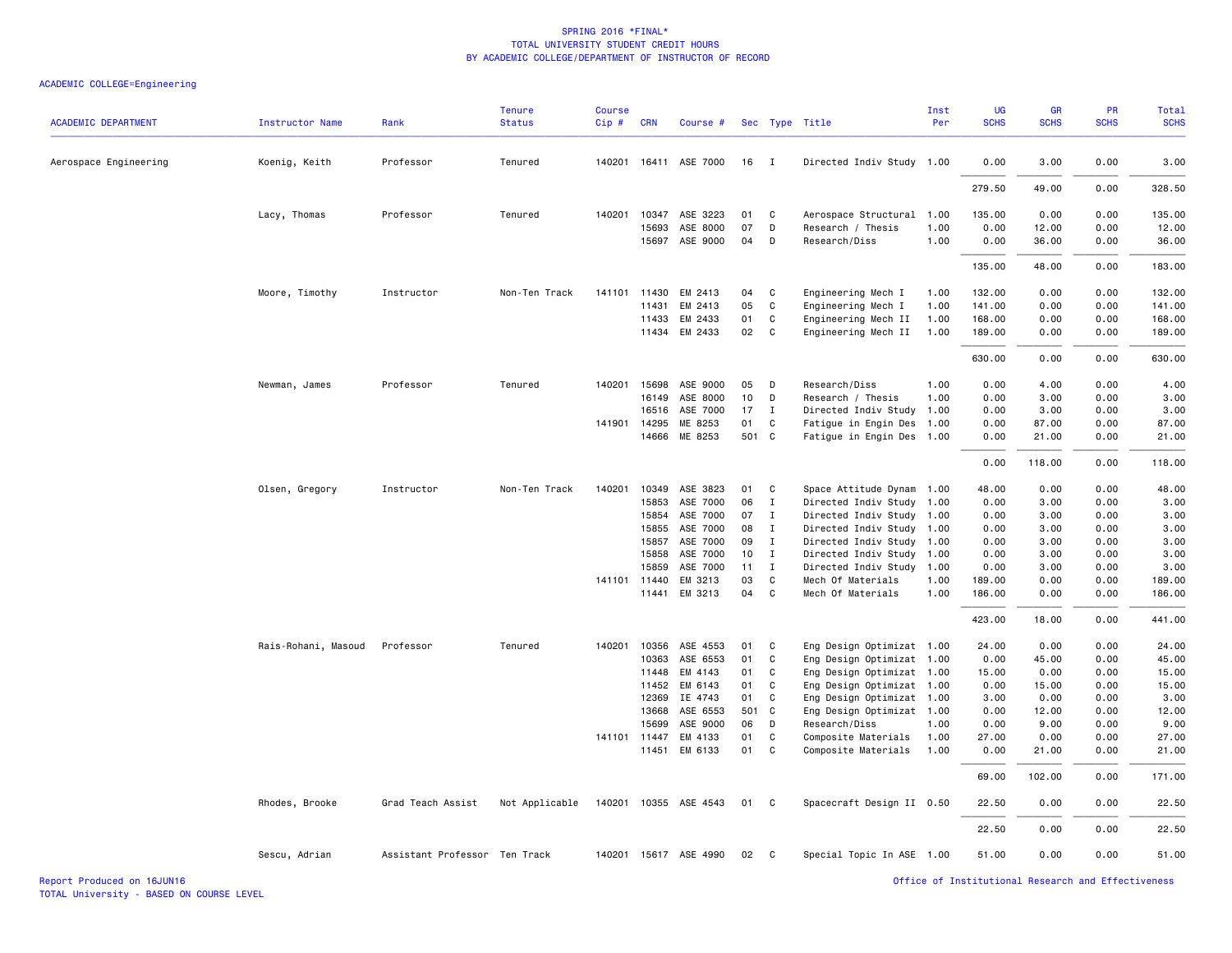| <b>ACADEMIC DEPARTMENT</b> | <b>Instructor Name</b> | Rank                          | <b>Tenure</b><br><b>Status</b> | <b>Course</b><br>Cip# | <b>CRN</b>            | Course #              |             |              | Sec Type Title                                    | Inst<br>Per  | <b>UG</b><br><b>SCHS</b> | <b>GR</b><br><b>SCHS</b> | <b>PR</b><br><b>SCHS</b> | <b>Total</b><br><b>SCHS</b> |
|----------------------------|------------------------|-------------------------------|--------------------------------|-----------------------|-----------------------|-----------------------|-------------|--------------|---------------------------------------------------|--------------|--------------------------|--------------------------|--------------------------|-----------------------------|
| Aerospace Engineering      | Koenig, Keith          | Professor                     | Tenured                        | 140201                |                       | 16411 ASE 7000        | 16          | $\mathbf{I}$ | Directed Indiv Study 1.00                         |              | 0.00                     | 3.00                     | 0.00                     | 3.00                        |
|                            |                        |                               |                                |                       |                       |                       |             |              |                                                   |              | 279.50                   | 49.00                    | 0.00                     | 328.50                      |
|                            | Lacy, Thomas           | Professor                     | Tenured                        | 140201                | 10347                 | ASE 3223              | 01          | C            | Aerospace Structural                              | 1.00         | 135.00                   | 0.00                     | 0.00                     | 135.00                      |
|                            |                        |                               |                                |                       | 15693                 | ASE 8000              | 07          | D            | Research / Thesis                                 | 1.00         | 0.00                     | 12.00                    | 0.00                     | 12.00                       |
|                            |                        |                               |                                |                       | 15697                 | ASE 9000              | 04          | D            | Research/Diss                                     | 1.00         | 0.00                     | 36.00                    | 0.00                     | 36.00                       |
|                            |                        |                               |                                |                       |                       |                       |             |              |                                                   |              | 135.00                   | 48.00                    | 0.00                     | 183.00                      |
|                            | Moore, Timothy         | Instructor                    | Non-Ten Track                  | 141101                | 11430                 | EM 2413               | 04          | C            | Engineering Mech I                                | 1.00         | 132.00                   | 0.00                     | 0.00                     | 132.00                      |
|                            |                        |                               |                                |                       | 11431                 | EM 2413               | 05          | C            | Engineering Mech I                                | 1.00         | 141.00                   | 0.00                     | 0.00                     | 141.00                      |
|                            |                        |                               |                                |                       | 11433                 | EM 2433               | 01          | C            | Engineering Mech II                               | 1.00         | 168.00                   | 0.00                     | 0.00                     | 168.00                      |
|                            |                        |                               |                                |                       | 11434                 | EM 2433               | 02          | C            | Engineering Mech II                               | 1.00         | 189.00                   | 0.00                     | 0.00                     | 189.00                      |
|                            |                        |                               |                                |                       |                       |                       |             |              |                                                   |              | 630.00                   | 0.00                     | 0.00                     | 630.00                      |
|                            | Newman, James          | Professor                     | Tenured                        | 140201                | 15698                 | ASE 9000              | 05          | D            | Research/Diss                                     | 1.00         | 0.00                     | 4.00                     | 0.00                     | 4.00                        |
|                            |                        |                               |                                |                       | 16149                 | ASE 8000              | 10          | D            | Research / Thesis                                 | 1.00         | 0.00                     | 3.00                     | 0.00                     | 3.00                        |
|                            |                        |                               |                                |                       | 16516                 | ASE 7000              | 17          | I            | Directed Indiv Study                              | 1.00         | 0.00                     | 3.00                     | 0.00                     | 3.00                        |
|                            |                        |                               |                                | 141901 14295          | 14666                 | ME 8253<br>ME 8253    | 01<br>501 C | C            | Fatigue in Engin Des<br>Fatigue in Engin Des 1.00 | 1.00         | 0.00<br>0.00             | 87.00<br>21.00           | 0.00<br>0.00             | 87.00<br>21.00              |
|                            |                        |                               |                                |                       |                       |                       |             |              |                                                   |              | 0.00                     | 118.00                   | 0.00                     | 118.00                      |
|                            | Olsen, Gregory         | Instructor                    | Non-Ten Track                  | 140201                | 10349                 | ASE 3823              | 01          | C            | Space Attitude Dynam                              | 1.00         | 48.00                    | 0.00                     | 0.00                     | 48.00                       |
|                            |                        |                               |                                |                       | 15853                 | ASE 7000              | 06          | Ι            | Directed Indiv Study                              | 1.00         | 0.00                     | 3.00                     | 0.00                     | 3.00                        |
|                            |                        |                               |                                |                       | 15854                 | ASE 7000              | 07          | I            | Directed Indiv Study 1.00                         |              | 0.00                     | 3.00                     | 0.00                     | 3.00                        |
|                            |                        |                               |                                |                       | 15855                 | ASE 7000              | 08          | $\mathbf{I}$ | Directed Indiv Study 1.00                         |              | 0.00                     | 3.00                     | 0.00                     | 3.00                        |
|                            |                        |                               |                                |                       | 15857                 | ASE 7000              | 09          | I            | Directed Indiv Study 1.00                         |              | 0.00                     | 3.00                     | 0.00                     | 3.00                        |
|                            |                        |                               |                                |                       | 15858                 | ASE 7000              | 10          | $\mathbf{I}$ | Directed Indiv Study 1.00                         |              | 0.00                     | 3.00                     | 0.00                     | 3.00                        |
|                            |                        |                               |                                |                       | 15859                 | ASE 7000              | 11          | $\mathbf{I}$ | Directed Indiv Study                              | 1.00         | 0.00                     | 3.00                     | 0.00                     | 3.00                        |
|                            |                        |                               |                                |                       | 141101 11440<br>11441 | EM 3213<br>EM 3213    | 03<br>04    | C<br>C       | Mech Of Materials<br>Mech Of Materials            | 1.00<br>1.00 | 189.00<br>186.00         | 0.00<br>0.00             | 0.00<br>0.00             | 189.00<br>186.00            |
|                            |                        |                               |                                |                       |                       |                       |             |              |                                                   |              | 423.00                   | 18.00                    | 0.00                     | 441.00                      |
|                            | Rais-Rohani, Masoud    | Professor                     | Tenured                        | 140201                | 10356                 | ASE 4553              | 01          | C            | Eng Design Optimizat 1.00                         |              | 24.00                    | 0.00                     | 0.00                     | 24.00                       |
|                            |                        |                               |                                |                       | 10363                 | ASE 6553              | 01          | C            | Eng Design Optimizat 1.00                         |              | 0.00                     | 45.00                    | 0.00                     | 45.00                       |
|                            |                        |                               |                                |                       | 11448                 | EM 4143               | 01          | C            | Eng Design Optimizat 1.00                         |              | 15.00                    | 0.00                     | 0.00                     | 15.00                       |
|                            |                        |                               |                                |                       | 11452                 | EM 6143               | 01          | C            | Eng Design Optimizat                              | 1.00         | 0.00                     | 15.00                    | 0.00                     | 15.00                       |
|                            |                        |                               |                                |                       | 12369                 | IE 4743               | 01          | C            | Eng Design Optimizat 1.00                         |              | 3.00                     | 0.00                     | 0.00                     | 3.00                        |
|                            |                        |                               |                                |                       | 13668                 | ASE 6553              | 501 C       |              | Eng Design Optimizat 1.00                         |              | 0.00                     | 12.00                    | 0.00                     | 12.00                       |
|                            |                        |                               |                                |                       | 15699                 | ASE 9000              | 06          | D            | Research/Diss                                     | 1.00         | 0.00                     | 9.00                     | 0.00                     | 9.00                        |
|                            |                        |                               |                                | 141101                | 11447                 | EM 4133<br>EM 6133    | 01<br>01    | C<br>C       | Composite Materials                               | 1.00         | 27.00                    | 0.00                     | 0.00                     | 27.00                       |
|                            |                        |                               |                                |                       | 11451                 |                       |             |              | Composite Materials                               | 1.00         | 0.00                     | 21.00                    | 0.00                     | 21.00                       |
|                            |                        |                               |                                |                       |                       |                       |             |              |                                                   |              | 69.00                    | 102.00                   | 0.00                     | 171.00                      |
|                            | Rhodes, Brooke         | Grad Teach Assist             | Not Applicable                 |                       |                       | 140201 10355 ASE 4543 | 01          | $\mathbf{C}$ | Spacecraft Design II 0.50                         |              | 22.50                    | 0.00                     | 0.00                     | 22.50                       |
|                            |                        |                               |                                |                       |                       |                       |             |              |                                                   |              | 22.50                    | 0.00                     | 0.00                     | 22.50                       |
|                            | Sescu, Adrian          | Assistant Professor Ten Track |                                |                       |                       | 140201 15617 ASE 4990 | 02          | C            | Special Topic In ASE 1.00                         |              | 51.00                    | 0.00                     | 0.00                     | 51.00                       |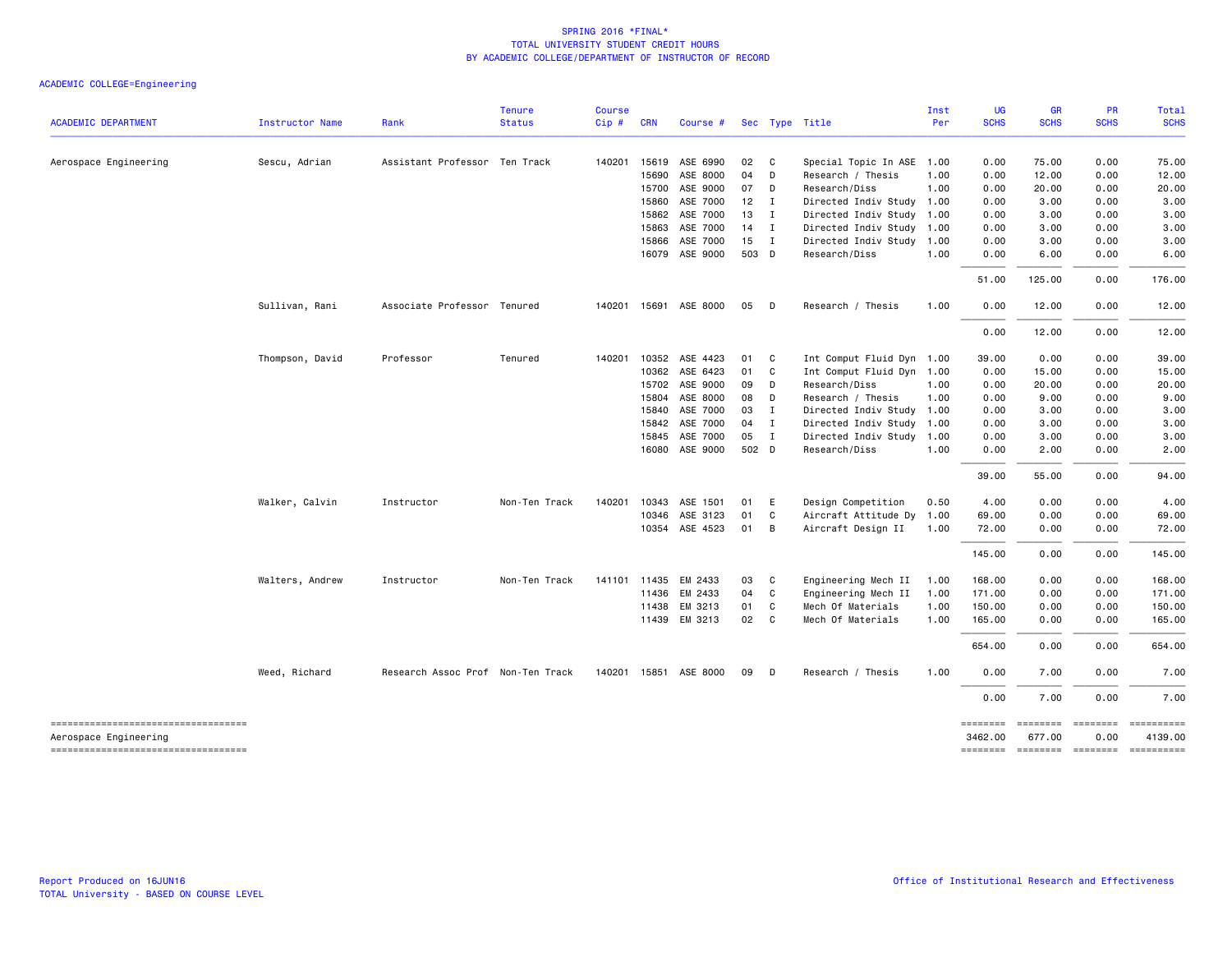|                                                             |                        |                                   | <b>Tenure</b> | <b>Course</b> |              |                       |        |                |                           | Inst | <b>UG</b>           | GR                 | PR                      | Total                 |
|-------------------------------------------------------------|------------------------|-----------------------------------|---------------|---------------|--------------|-----------------------|--------|----------------|---------------------------|------|---------------------|--------------------|-------------------------|-----------------------|
| <b>ACADEMIC DEPARTMENT</b>                                  | <b>Instructor Name</b> | Rank                              | <b>Status</b> | Cip#          | <b>CRN</b>   | Course #              |        |                | Sec Type Title            | Per  | <b>SCHS</b>         | <b>SCHS</b>        | <b>SCHS</b>             | <b>SCHS</b>           |
| Aerospace Engineering                                       | Sescu, Adrian          | Assistant Professor Ten Track     |               | 140201        | 15619        | ASE 6990              | 02     | $\mathbf{C}$   | Special Topic In ASE      | 1.00 | 0.00                | 75.00              | 0.00                    | 75.00                 |
|                                                             |                        |                                   |               |               | 15690        | ASE 8000              | 04     | D              | Research / Thesis         | 1.00 | 0.00                | 12.00              | 0.00                    | 12.00                 |
|                                                             |                        |                                   |               |               | 15700        | ASE 9000              | 07     | D              | Research/Diss             | 1.00 | 0.00                | 20.00              | 0.00                    | 20.00                 |
|                                                             |                        |                                   |               |               | 15860        | ASE 7000              | 12     | $\blacksquare$ | Directed Indiv Study 1.00 |      | 0.00                | 3.00               | 0.00                    | 3.00                  |
|                                                             |                        |                                   |               |               | 15862        | ASE 7000              | 13     | $\mathbf{I}$   | Directed Indiv Study 1.00 |      | 0.00                | 3.00               | 0.00                    | 3.00                  |
|                                                             |                        |                                   |               |               | 15863        | ASE 7000              | $14$ I |                | Directed Indiv Study 1.00 |      | 0.00                | 3.00               | 0.00                    | 3.00                  |
|                                                             |                        |                                   |               |               | 15866        | ASE 7000              | 15     | $\blacksquare$ | Directed Indiv Study 1.00 |      | 0.00                | 3.00               | 0.00                    | 3.00                  |
|                                                             |                        |                                   |               |               | 16079        | ASE 9000              | 503 D  |                | Research/Diss             | 1.00 | 0.00                | 6.00               | 0.00                    | 6.00                  |
|                                                             |                        |                                   |               |               |              |                       |        |                |                           |      | 51.00               | 125.00             | 0.00                    | 176.00                |
|                                                             | Sullivan, Rani         | Associate Professor Tenured       |               |               |              | 140201 15691 ASE 8000 | 05     | $\Box$         | Research / Thesis         | 1.00 | 0.00                | 12.00              | 0.00                    | 12.00                 |
|                                                             |                        |                                   |               |               |              |                       |        |                |                           |      | 0.00                | 12.00              | 0.00                    | 12.00                 |
|                                                             | Thompson, David        | Professor                         | Tenured       |               | 140201 10352 | ASE 4423              | 01     | $\overline{c}$ | Int Comput Fluid Dyn 1.00 |      | 39.00               | 0.00               | 0.00                    | 39.00                 |
|                                                             |                        |                                   |               |               | 10362        | ASE 6423              | 01     | $\mathbf{C}$   | Int Comput Fluid Dyn 1.00 |      | 0.00                | 15.00              | 0.00                    | 15.00                 |
|                                                             |                        |                                   |               |               | 15702        | ASE 9000              | 09     | D.             | Research/Diss             | 1.00 | 0.00                | 20.00              | 0.00                    | 20.00                 |
|                                                             |                        |                                   |               |               | 15804        | ASE 8000              | 08     | $\mathsf{D}$   | Research / Thesis         | 1.00 | 0.00                | 9.00               | 0.00                    | 9.00                  |
|                                                             |                        |                                   |               |               | 15840        | ASE 7000              | 03     | $\mathbf{I}$   | Directed Indiv Study 1.00 |      | 0.00                | 3.00               | 0.00                    | 3.00                  |
|                                                             |                        |                                   |               |               | 15842        | ASE 7000              | 04 I   |                | Directed Indiv Study 1.00 |      | 0.00                | 3.00               | 0.00                    | 3.00                  |
|                                                             |                        |                                   |               |               | 15845        | ASE 7000              | 05     | $\blacksquare$ | Directed Indiv Study 1.00 |      | 0.00                | 3.00               | 0.00                    | 3.00                  |
|                                                             |                        |                                   |               |               | 16080        | ASE 9000              | 502 D  |                | Research/Diss             | 1.00 | 0.00                | 2.00               | 0.00                    | 2.00                  |
|                                                             |                        |                                   |               |               |              |                       |        |                |                           |      | 39.00               | 55.00              | 0.00                    | 94.00                 |
|                                                             | Walker, Calvin         | Instructor                        | Non-Ten Track | 140201        | 10343        | ASE 1501              | 01     | E              | Design Competition        | 0.50 | 4.00                | 0.00               | 0.00                    | 4.00                  |
|                                                             |                        |                                   |               |               | 10346        | ASE 3123              | 01     | C.             | Aircraft Attitude Dy      | 1.00 | 69.00               | 0.00               | 0.00                    | 69.00                 |
|                                                             |                        |                                   |               |               |              | 10354 ASE 4523        | 01 B   |                | Aircraft Design II        | 1.00 | 72.00               | 0.00               | 0.00                    | 72.00                 |
|                                                             |                        |                                   |               |               |              |                       |        |                |                           |      | 145.00              | 0.00               | 0.00                    | 145.00                |
|                                                             | Walters, Andrew        | Instructor                        | Non-Ten Track | 141101        | 11435        | EM 2433               | 03     | $\mathbf{C}$   | Engineering Mech II       | 1.00 | 168.00              | 0.00               | 0.00                    | 168.00                |
|                                                             |                        |                                   |               |               | 11436        | EM 2433               | 04     | C              | Engineering Mech II       | 1.00 | 171.00              | 0.00               | 0.00                    | 171.00                |
|                                                             |                        |                                   |               |               | 11438        | EM 3213               | 01     | $\mathbf{C}$   | Mech Of Materials         | 1.00 | 150.00              | 0.00               | 0.00                    | 150.00                |
|                                                             |                        |                                   |               |               |              | 11439 EM 3213         | 02     | C <sub>c</sub> | Mech Of Materials         | 1.00 | 165.00              | 0.00               | 0.00                    | 165.00                |
|                                                             |                        |                                   |               |               |              |                       |        |                |                           |      | 654.00              | 0.00               | 0.00                    | 654.00                |
|                                                             | Weed, Richard          | Research Assoc Prof Non-Ten Track |               |               |              | 140201 15851 ASE 8000 | 09     | $\Box$         | Research / Thesis         | 1.00 | 0.00                | 7.00               | 0.00                    | 7.00                  |
|                                                             |                        |                                   |               |               |              |                       |        |                |                           |      | 0.00                | 7.00               | 0.00                    | 7.00                  |
| ----------------------------------<br>Aerospace Engineering |                        |                                   |               |               |              |                       |        |                |                           |      | ========<br>3462.00 | ========<br>677.00 | <b>EEEEEEEE</b><br>0.00 | ==========<br>4139.00 |
| ----------------------------------                          |                        |                                   |               |               |              |                       |        |                |                           |      | ========            |                    |                         |                       |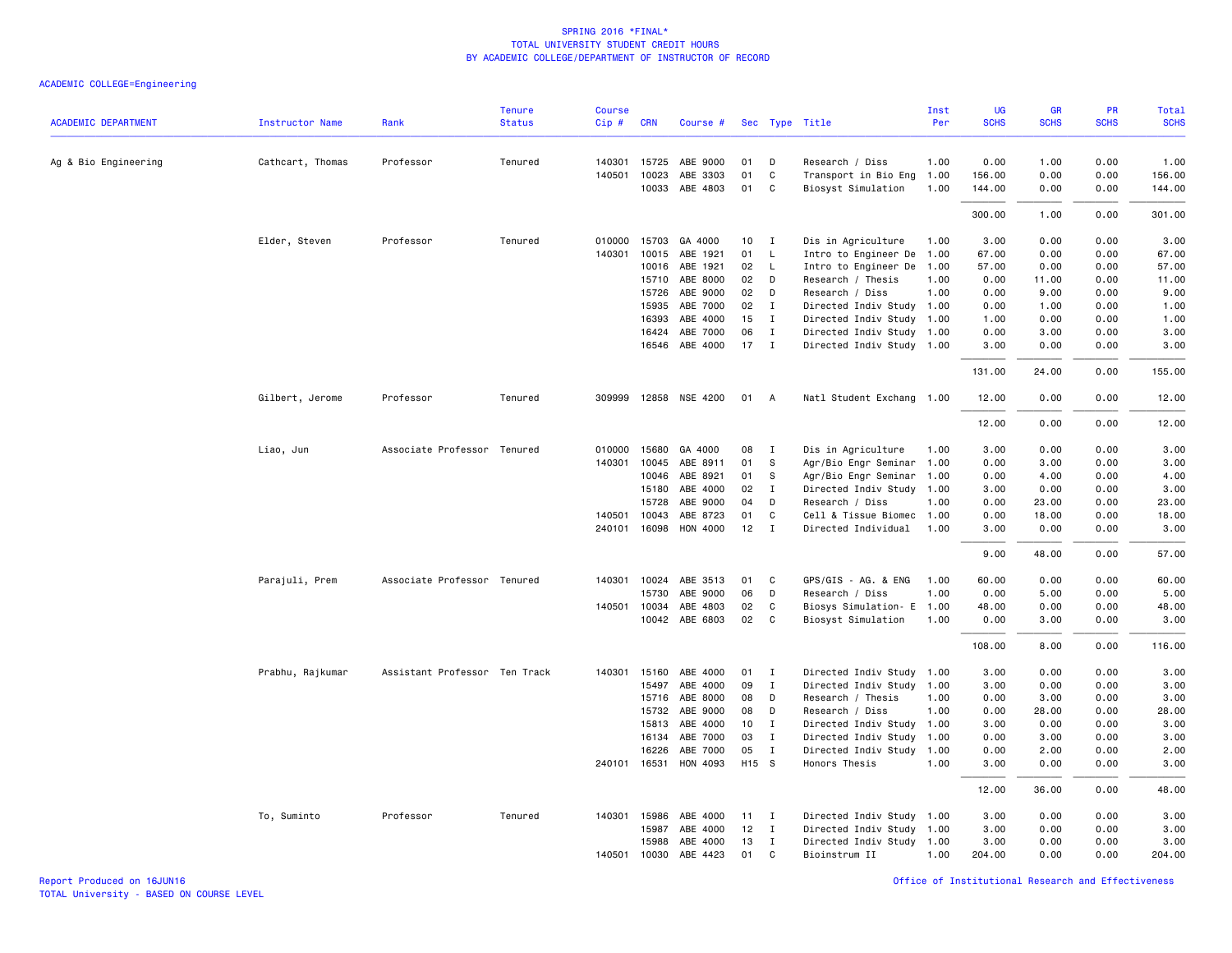| <b>ACADEMIC DEPARTMENT</b> | <b>Instructor Name</b> | Rank                          | <b>Tenure</b><br><b>Status</b> | <b>Course</b><br>Cip # | <b>CRN</b>   | Course #              |       |              | Sec Type Title            | Inst<br>Per | UG<br><b>SCHS</b> | GR<br><b>SCHS</b> | PR<br><b>SCHS</b> | <b>Total</b><br><b>SCHS</b> |
|----------------------------|------------------------|-------------------------------|--------------------------------|------------------------|--------------|-----------------------|-------|--------------|---------------------------|-------------|-------------------|-------------------|-------------------|-----------------------------|
|                            |                        |                               |                                |                        |              |                       |       |              |                           |             |                   |                   |                   |                             |
| Ag & Bio Engineering       | Cathcart, Thomas       | Professor                     | Tenured                        | 140301                 | 15725        | ABE 9000              | 01    | D            | Research / Diss           | 1.00        | 0.00              | 1.00              | 0.00              | 1.00                        |
|                            |                        |                               |                                | 140501                 | 10023        | ABE 3303              | 01    | C            | Transport in Bio Eng      | 1.00        | 156.00            | 0.00              | 0.00              | 156.00                      |
|                            |                        |                               |                                |                        | 10033        | ABE 4803              | 01    | C            | Biosyst Simulation        | 1.00        | 144.00            | 0.00              | 0.00              | 144.00                      |
|                            |                        |                               |                                |                        |              |                       |       |              |                           |             | 300.00            | 1.00              | 0.00              | 301.00                      |
|                            | Elder, Steven          | Professor                     | Tenured                        | 010000                 | 15703        | GA 4000               | 10    | $\mathbf{I}$ | Dis in Agriculture        | 1.00        | 3.00              | 0.00              | 0.00              | 3.00                        |
|                            |                        |                               |                                | 140301                 | 10015        | ABE 1921              | 01    | L.           | Intro to Engineer De      | 1.00        | 67.00             | 0.00              | 0.00              | 67.00                       |
|                            |                        |                               |                                |                        | 10016        | ABE 1921              | 02    | L.           | Intro to Engineer De      | 1.00        | 57.00             | 0.00              | 0.00              | 57.00                       |
|                            |                        |                               |                                |                        | 15710        | ABE 8000              | 02    | D            | Research / Thesis         | 1.00        | 0.00              | 11.00             | 0.00              | 11.00                       |
|                            |                        |                               |                                |                        | 15726        | ABE 9000              | 02    | D            | Research / Diss           | 1.00        | 0.00              | 9.00              | 0.00              | 9.00                        |
|                            |                        |                               |                                |                        | 15935        | ABE 7000              | 02    | I            | Directed Indiv Study 1.00 |             | 0.00              | 1.00              | 0.00              | 1.00                        |
|                            |                        |                               |                                |                        | 16393        | ABE 4000              | 15    | $\mathbf{I}$ | Directed Indiv Study 1.00 |             | 1.00              | 0.00              | 0.00              | 1.00                        |
|                            |                        |                               |                                |                        | 16424        | ABE 7000              | 06    | $\mathbf{I}$ | Directed Indiv Study 1.00 |             | 0.00              | 3.00              | 0.00              | 3.00                        |
|                            |                        |                               |                                |                        | 16546        | ABE 4000              | 17    | $\mathbf{I}$ | Directed Indiv Study 1.00 |             | 3.00              | 0.00              | 0.00              | 3.00                        |
|                            |                        |                               |                                |                        |              |                       |       |              |                           |             | 131.00            | 24.00             | 0.00              | 155.00                      |
|                            | Gilbert, Jerome        | Professor                     | Tenured                        |                        |              | 309999 12858 NSE 4200 | 01    | A            | Natl Student Exchang 1.00 |             | 12.00             | 0.00              | 0.00              | 12.00                       |
|                            |                        |                               |                                |                        |              |                       |       |              |                           |             | 12.00             | 0.00              | 0.00              | 12.00                       |
|                            | Liao, Jun              | Associate Professor Tenured   |                                | 010000                 | 15680        | GA 4000               | 08    | $\mathbf{I}$ | Dis in Agriculture        | 1.00        | 3.00              | 0.00              | 0.00              | 3.00                        |
|                            |                        |                               |                                | 140301                 | 10045        | ABE 8911              | 01    | S            | Agr/Bio Engr Seminar      | 1.00        | 0.00              | 3.00              | 0.00              | 3.00                        |
|                            |                        |                               |                                |                        | 10046        | ABE 8921              | 01    | S            | Agr/Bio Engr Seminar      | 1.00        | 0.00              | 4.00              | 0.00              | 4.00                        |
|                            |                        |                               |                                |                        | 15180        | ABE 4000              | 02    | I            | Directed Indiv Study 1.00 |             | 3.00              | 0.00              | 0.00              | 3.00                        |
|                            |                        |                               |                                |                        | 15728        | ABE 9000              | 04    | D            | Research / Diss           | 1.00        | 0.00              | 23.00             | 0.00              | 23.00                       |
|                            |                        |                               |                                | 140501                 | 10043        | ABE 8723              | 01    | C            | Cell & Tissue Biomec 1.00 |             | 0.00              | 18.00             | 0.00              | 18.00                       |
|                            |                        |                               |                                | 240101                 | 16098        | HON 4000              | 12    | $\mathbf I$  | Directed Individual       | 1.00        | 3.00              | 0.00              | 0.00              | 3.00                        |
|                            |                        |                               |                                |                        |              |                       |       |              |                           |             | 9.00              | 48.00             | 0.00              | 57.00                       |
|                            | Parajuli, Prem         | Associate Professor Tenured   |                                |                        |              | 140301 10024 ABE 3513 | 01    | C            | GPS/GIS - AG. & ENG       | 1.00        | 60.00             | 0.00              | 0.00              | 60.00                       |
|                            |                        |                               |                                |                        | 15730        | ABE 9000              | 06    | D            | Research / Diss           | 1.00        | 0.00              | 5.00              | 0.00              | 5.00                        |
|                            |                        |                               |                                | 140501                 | 10034        | ABE 4803              | 02    | C            | Biosys Simulation- E      | 1.00        | 48.00             | 0.00              | 0.00              | 48.00                       |
|                            |                        |                               |                                |                        |              | 10042 ABE 6803        | 02    | C            | Biosyst Simulation        | 1.00        | 0.00              | 3.00              | 0.00              | 3.00                        |
|                            |                        |                               |                                |                        |              |                       |       |              |                           |             | 108.00            | 8,00              | 0.00              | 116.00                      |
|                            | Prabhu, Rajkumar       | Assistant Professor Ten Track |                                | 140301                 | 15160        | ABE 4000              | 01    | $\mathbf I$  | Directed Indiv Study 1.00 |             | 3.00              | 0.00              | 0.00              | 3.00                        |
|                            |                        |                               |                                |                        | 15497        | ABE 4000              | 09    | $\mathbf{I}$ | Directed Indiv Study 1.00 |             | 3.00              | 0.00              | 0.00              | 3.00                        |
|                            |                        |                               |                                |                        | 15716        | ABE 8000              | 08    | D            | Research / Thesis         | 1.00        | 0.00              | 3.00              | 0.00              | 3.00                        |
|                            |                        |                               |                                |                        | 15732        | ABE 9000              | 08    | D            | Research / Diss           | 1.00        | 0.00              | 28.00             | 0.00              | 28.00                       |
|                            |                        |                               |                                |                        | 15813        | ABE 4000              | 10    | $\mathbf{I}$ | Directed Indiv Study 1.00 |             | 3.00              | 0.00              | 0.00              | 3.00                        |
|                            |                        |                               |                                |                        | 16134        | ABE 7000              | 03    | $\mathbf{I}$ | Directed Indiv Study      | 1.00        | 0.00              | 3.00              | 0.00              | 3.00                        |
|                            |                        |                               |                                |                        | 16226        | ABE 7000              | 05    | $\mathbf{I}$ | Directed Indiv Study      | 1.00        | 0.00              | 2.00              | 0.00              | 2.00                        |
|                            |                        |                               |                                |                        | 240101 16531 | HON 4093              | H15 S |              | Honors Thesis             | 1.00        | 3.00              | 0.00              | 0.00              | 3.00                        |
|                            |                        |                               |                                |                        |              |                       |       |              |                           |             | 12.00             | 36.00             | 0.00              | 48.00                       |
|                            | To, Suminto            | Professor                     | Tenured                        | 140301                 | 15986        | ABE 4000              | 11    | I            | Directed Indiv Study 1.00 |             | 3.00              | 0.00              | 0.00              | 3.00                        |
|                            |                        |                               |                                |                        | 15987        | ABE 4000              | 12    | $\mathbf{I}$ | Directed Indiv Study 1.00 |             | 3.00              | 0.00              | 0.00              | 3.00                        |
|                            |                        |                               |                                |                        | 15988        | ABE 4000              | 13    | I            | Directed Indiv Study 1.00 |             | 3.00              | 0.00              | 0.00              | 3.00                        |
|                            |                        |                               |                                | 140501                 | 10030        | ABE 4423              | 01    | C            | Bioinstrum II             | 1.00        | 204.00            | 0.00              | 0.00              | 204.00                      |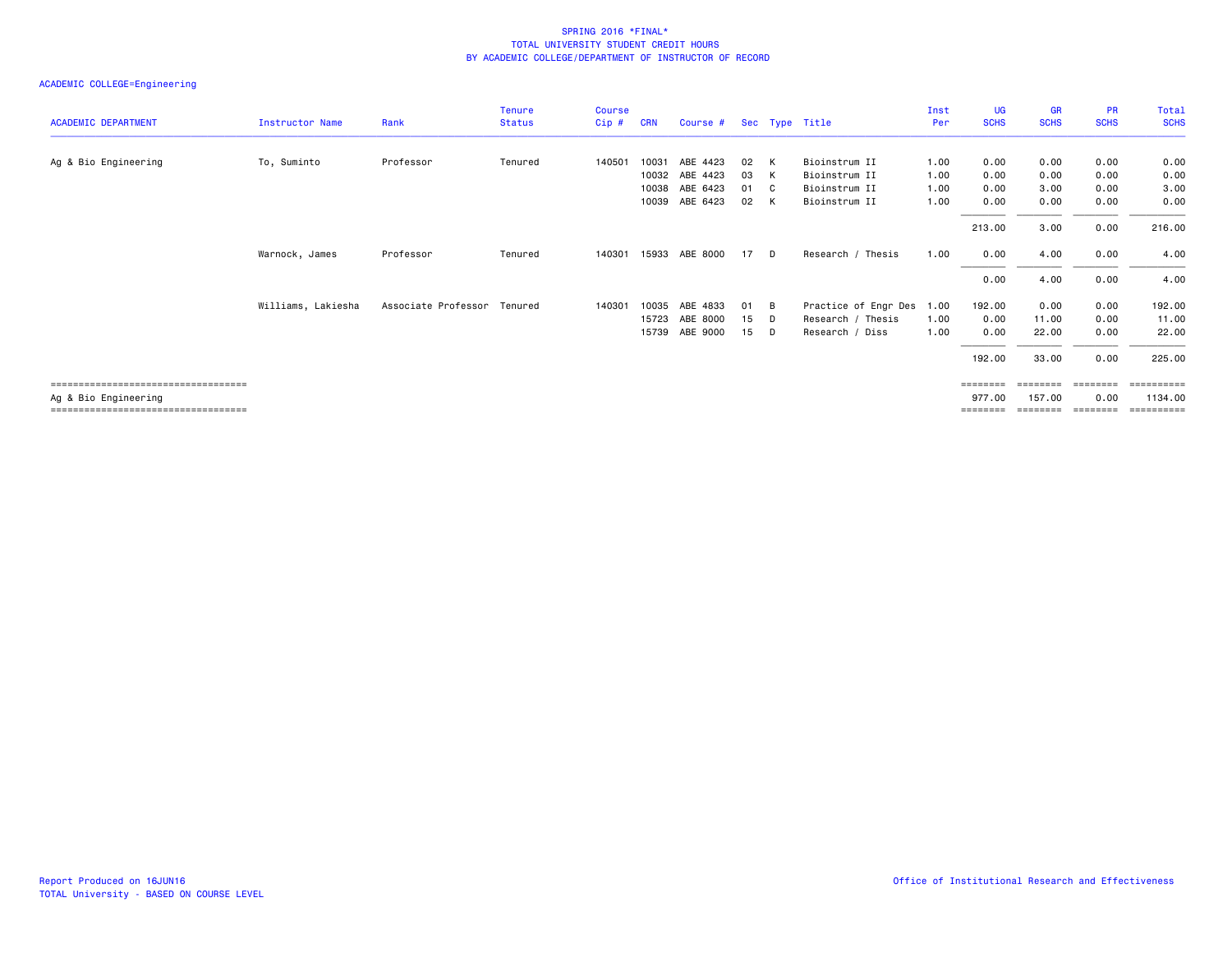|                                        |                    |                     | <b>Tenure</b> | <b>Course</b> |            |                         |    |                            |                      | Inst | UG          | <b>GR</b>   | <b>PR</b>   | <b>Total</b> |
|----------------------------------------|--------------------|---------------------|---------------|---------------|------------|-------------------------|----|----------------------------|----------------------|------|-------------|-------------|-------------|--------------|
| <b>ACADEMIC DEPARTMENT</b>             | Instructor Name    | Rank                | <b>Status</b> | Cip#          | <b>CRN</b> | Course # Sec Type Title |    |                            |                      | Per  | <b>SCHS</b> | <b>SCHS</b> | <b>SCHS</b> | <b>SCHS</b>  |
|                                        |                    |                     |               |               |            |                         |    |                            |                      |      |             |             |             |              |
| Ag & Bio Engineering                   | To, Suminto        | Professor           | Tenured       | 140501        | 10031      | ABE 4423                | 02 | K                          | Bioinstrum II        | 1.00 | 0.00        | 0.00        | 0.00        | 0.00         |
|                                        |                    |                     |               |               |            | 10032 ABE 4423          | 03 | K                          | Bioinstrum II        | 1.00 | 0.00        | 0.00        | 0.00        | 0.00         |
|                                        |                    |                     |               |               | 10038      | ABE 6423                | 01 | $\overline{\phantom{a}}$ C | Bioinstrum II        | 1.00 | 0.00        | 3.00        | 0.00        | 3.00         |
|                                        |                    |                     |               |               | 10039      | ABE 6423                | 02 | K                          | Bioinstrum II        | 1.00 | 0.00        | 0.00        | 0.00        | 0.00         |
|                                        |                    |                     |               |               |            |                         |    |                            |                      |      | 213.00      | 3.00        | 0.00        | 216.00       |
|                                        | Warnock, James     | Professor           | Tenured       | 140301        |            | 15933 ABE 8000          | 17 | D.                         | Research / Thesis    | 1.00 | 0.00        | 4.00        | 0.00        | 4.00         |
|                                        |                    |                     |               |               |            |                         |    |                            |                      |      | 0.00        | 4.00        | 0.00        | 4.00         |
|                                        | Williams, Lakiesha | Associate Professor | Tenured       | 140301        | 10035      | ABE 4833                | 01 | B                          | Practice of Engr Des | 1.00 | 192.00      | 0.00        | 0.00        | 192.00       |
|                                        |                    |                     |               |               | 15723      | ABE 8000                | 15 | D                          | Research / Thesis    | 1.00 | 0.00        | 11.00       | 0.00        | 11.00        |
|                                        |                    |                     |               |               | 15739      | ABE 9000                | 15 | D                          | Research / Diss      | 1.00 | 0.00        | 22.00       | 0.00        | 22.00        |
|                                        |                    |                     |               |               |            |                         |    |                            |                      |      | 192.00      | 33.00       | 0.00        | 225.00       |
| ====================================== |                    |                     |               |               |            |                         |    |                            |                      |      |             |             |             | ========     |
| Ag & Bio Engineering                   |                    |                     |               |               |            |                         |    |                            |                      |      | 977.00      | 157.00      | 0.00        | 1134.00      |
| ====================================== |                    |                     |               |               |            |                         |    |                            |                      |      |             |             |             | ==========   |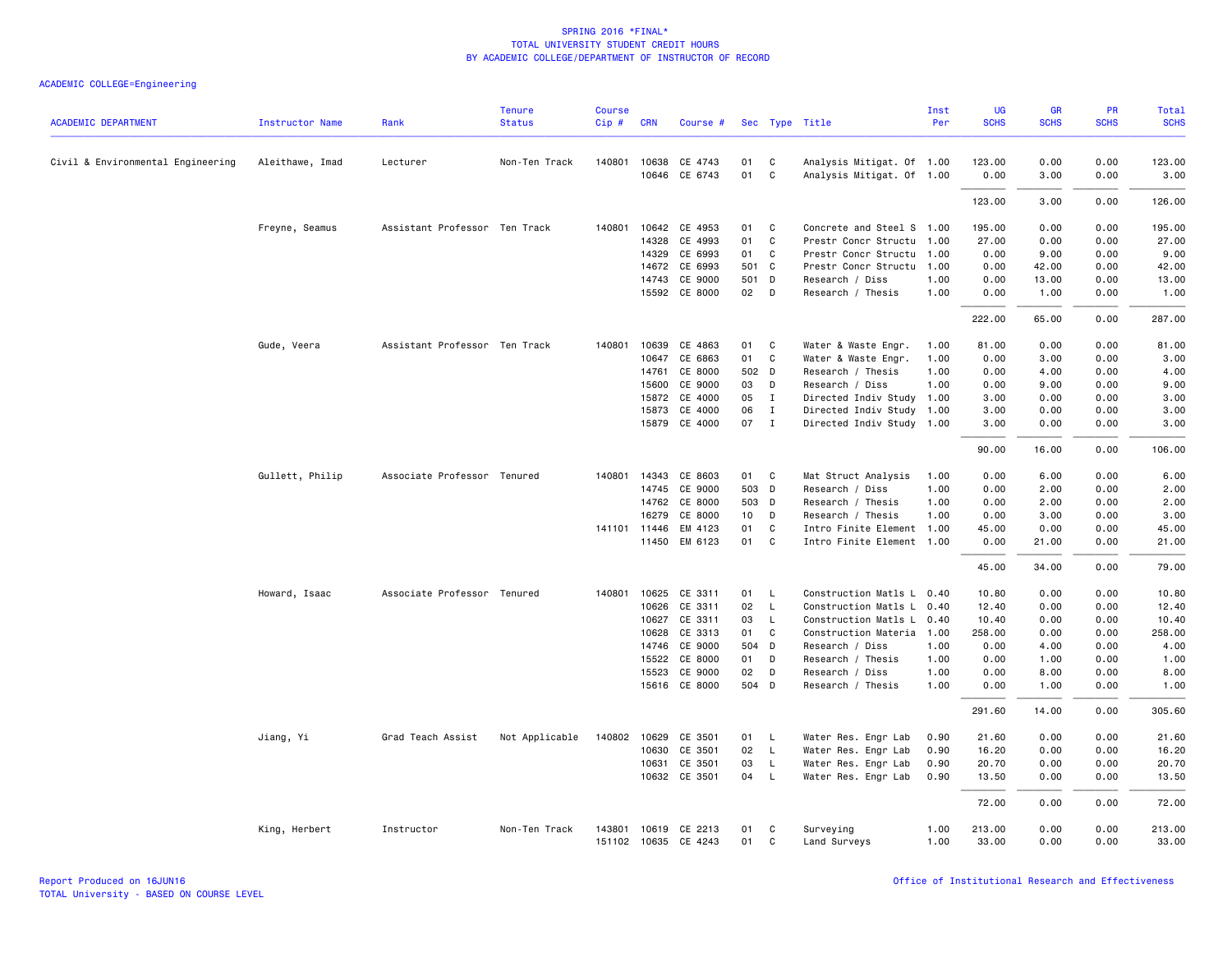| <b>ACADEMIC DEPARTMENT</b>        | <b>Instructor Name</b> | Rank                          | <b>Tenure</b><br><b>Status</b> | <b>Course</b><br>Cip# | <b>CRN</b>   | Course #                 |          |                   | Sec Type Title                                         | Inst<br>Per | UG<br><b>SCHS</b> | <b>GR</b><br><b>SCHS</b> | PR<br><b>SCHS</b> | <b>Total</b><br><b>SCHS</b> |
|-----------------------------------|------------------------|-------------------------------|--------------------------------|-----------------------|--------------|--------------------------|----------|-------------------|--------------------------------------------------------|-------------|-------------------|--------------------------|-------------------|-----------------------------|
|                                   |                        |                               |                                |                       |              |                          |          |                   |                                                        |             |                   |                          |                   |                             |
| Civil & Environmental Engineering | Aleithawe, Imad        | Lecturer                      | Non-Ten Track                  |                       | 140801 10638 | CE 4743<br>10646 CE 6743 | 01<br>01 | C<br>$\mathbf{C}$ | Analysis Mitigat. Of 1.00<br>Analysis Mitigat. Of 1.00 |             | 123.00<br>0.00    | 0.00<br>3.00             | 0.00<br>0.00      | 123.00<br>3.00              |
|                                   |                        |                               |                                |                       |              |                          |          |                   |                                                        |             | 123.00            | 3.00                     | 0.00              | 126.00                      |
|                                   | Freyne, Seamus         | Assistant Professor Ten Track |                                | 140801                | 10642        | CE 4953                  | 01       | C                 | Concrete and Steel S 1.00                              |             | 195.00            | 0.00                     | 0.00              | 195.00                      |
|                                   |                        |                               |                                |                       | 14328        | CE 4993                  | 01       | C                 | Prestr Concr Structu 1.00                              |             | 27.00             | 0.00                     | 0.00              | 27.00                       |
|                                   |                        |                               |                                |                       | 14329        | CE 6993                  | 01       | C                 | Prestr Concr Structu 1.00                              |             | 0.00              | 9.00                     | 0.00              | 9.00                        |
|                                   |                        |                               |                                |                       | 14672        | CE 6993                  | 501 C    |                   | Prestr Concr Structu                                   | 1.00        | 0.00              | 42.00                    | 0.00              | 42.00                       |
|                                   |                        |                               |                                |                       | 14743        | CE 9000                  | 501 D    |                   | Research / Diss                                        | 1.00        | 0.00              | 13.00                    | 0.00              | 13.00                       |
|                                   |                        |                               |                                |                       |              | 15592 CE 8000            | 02       | $\mathsf{D}$      | Research / Thesis                                      | 1.00        | 0.00              | 1.00                     | 0.00              | 1.00                        |
|                                   |                        |                               |                                |                       |              |                          |          |                   |                                                        |             | 222.00            | 65.00                    | 0.00              | 287.00                      |
|                                   | Gude, Veera            | Assistant Professor Ten Track |                                | 140801                | 10639        | CE 4863                  | 01 C     |                   | Water & Waste Engr.                                    | 1.00        | 81.00             | 0.00                     | 0.00              | 81.00                       |
|                                   |                        |                               |                                |                       | 10647        | CE 6863                  | 01       | C                 | Water & Waste Engr.                                    | 1.00        | 0.00              | 3.00                     | 0.00              | 3.00                        |
|                                   |                        |                               |                                |                       | 14761        | CE 8000                  | 502 D    |                   | Research / Thesis                                      | 1.00        | 0.00              | 4.00                     | 0.00              | 4.00                        |
|                                   |                        |                               |                                |                       | 15600        | CE 9000                  | 03       | D                 | Research / Diss                                        | 1.00        | 0.00              | 9.00                     | 0.00              | 9.00                        |
|                                   |                        |                               |                                |                       | 15872        | CE 4000                  | 05       | $\mathbf{I}$      | Directed Indiv Study 1.00                              |             | 3.00              | 0.00                     | 0.00              | 3.00                        |
|                                   |                        |                               |                                |                       | 15873        | CE 4000                  | 06       | $\mathbf{I}$      | Directed Indiv Study 1.00                              |             | 3.00              | 0.00                     | 0.00              | 3.00                        |
|                                   |                        |                               |                                |                       |              | 15879 CE 4000            | 07 I     |                   | Directed Indiv Study 1.00                              |             | 3.00              | 0.00                     | 0.00              | 3.00                        |
|                                   |                        |                               |                                |                       |              |                          |          |                   |                                                        |             | 90.00             | 16.00                    | 0.00              | 106.00                      |
|                                   | Gullett, Philip        | Associate Professor Tenured   |                                |                       |              | 140801 14343 CE 8603     | 01 C     |                   | Mat Struct Analysis                                    | 1.00        | 0.00              | 6.00                     | 0.00              | 6.00                        |
|                                   |                        |                               |                                |                       | 14745        | CE 9000                  | 503 D    |                   | Research / Diss                                        | 1.00        | 0.00              | 2.00                     | 0.00              | 2.00                        |
|                                   |                        |                               |                                |                       | 14762        | CE 8000                  | 503 D    |                   | Research / Thesis                                      | 1.00        | 0.00              | 2.00                     | 0.00              | 2.00                        |
|                                   |                        |                               |                                |                       | 16279        | CE 8000                  | 10 D     |                   | Research / Thesis                                      | 1.00        | 0.00              | 3.00                     | 0.00              | 3.00                        |
|                                   |                        |                               |                                |                       | 141101 11446 | EM 4123                  | 01       | C                 | Intro Finite Element 1.00                              |             | 45.00             | 0.00                     | 0.00              | 45.00                       |
|                                   |                        |                               |                                |                       |              | 11450 EM 6123            | 01       | $\mathbf{C}$      | Intro Finite Element 1.00                              |             | 0.00              | 21.00                    | 0.00              | 21.00                       |
|                                   |                        |                               |                                |                       |              |                          |          |                   |                                                        |             | 45.00             | 34.00                    | 0.00              | 79.00                       |
|                                   | Howard, Isaac          | Associate Professor Tenured   |                                | 140801                | 10625        | CE 3311                  | 01       | L.                | Construction Matls L 0.40                              |             | 10.80             | 0.00                     | 0.00              | 10.80                       |
|                                   |                        |                               |                                |                       | 10626        | CE 3311                  | 02       | $\mathsf{L}$      | Construction Matls L 0.40                              |             | 12.40             | 0.00                     | 0.00              | 12.40                       |
|                                   |                        |                               |                                |                       | 10627        | CE 3311                  | 03       | L.                | Construction Matls L                                   | 0.40        | 10.40             | 0.00                     | 0.00              | 10.40                       |
|                                   |                        |                               |                                |                       | 10628        | CE 3313                  | 01       | C                 | Construction Materia 1.00                              |             | 258.00            | 0.00                     | 0.00              | 258.00                      |
|                                   |                        |                               |                                |                       | 14746        | CE 9000                  | 504 D    |                   | Research / Diss                                        | 1.00        | 0.00              | 4.00                     | 0.00              | 4.00                        |
|                                   |                        |                               |                                |                       | 15522        | CE 8000                  | 01       | D                 | Research / Thesis                                      | 1.00        | 0.00              | 1.00                     | 0.00              | 1.00                        |
|                                   |                        |                               |                                |                       | 15523        | CE 9000                  | 02       | D                 | Research / Diss                                        | 1.00        | 0.00              | 8.00                     | 0.00              | 8.00                        |
|                                   |                        |                               |                                |                       |              | 15616 CE 8000            | 504 D    |                   | Research / Thesis                                      | 1.00        | 0.00              | 1.00                     | 0.00              | 1.00                        |
|                                   |                        |                               |                                |                       |              |                          |          |                   |                                                        |             | 291.60            | 14.00                    | 0.00              | 305.60                      |
|                                   | Jiang, Yi              | Grad Teach Assist             | Not Applicable                 | 140802                | 10629        | CE 3501                  | 01       | $\mathsf{L}$      | Water Res. Engr Lab                                    | 0.90        | 21.60             | 0.00                     | 0.00              | 21.60                       |
|                                   |                        |                               |                                |                       | 10630        | CE 3501                  | 02       | $\mathsf{L}$      | Water Res. Engr Lab                                    | 0.90        | 16.20             | 0.00                     | 0.00              | 16.20                       |
|                                   |                        |                               |                                |                       | 10631        | CE 3501                  | 03       | L.                | Water Res. Engr Lab                                    | 0.90        | 20.70             | 0.00                     | 0.00              | 20.70                       |
|                                   |                        |                               |                                |                       |              | 10632 CE 3501            | 04       | $\mathsf{L}$      | Water Res. Engr Lab                                    | 0.90        | 13.50             | 0.00                     | 0.00              | 13.50                       |
|                                   |                        |                               |                                |                       |              |                          |          |                   |                                                        |             | 72.00             | 0.00                     | 0.00              | 72.00                       |
|                                   | King, Herbert          | Instructor                    | Non-Ten Track                  | 143801                |              | 10619 CE 2213            | 01       | C                 | Surveying                                              | 1.00        | 213.00            | 0.00                     | 0.00              | 213.00                      |
|                                   |                        |                               |                                |                       |              | 151102 10635 CE 4243     | 01       | C                 | Land Surveys                                           | 1.00        | 33.00             | 0.00                     | 0.00              | 33.00                       |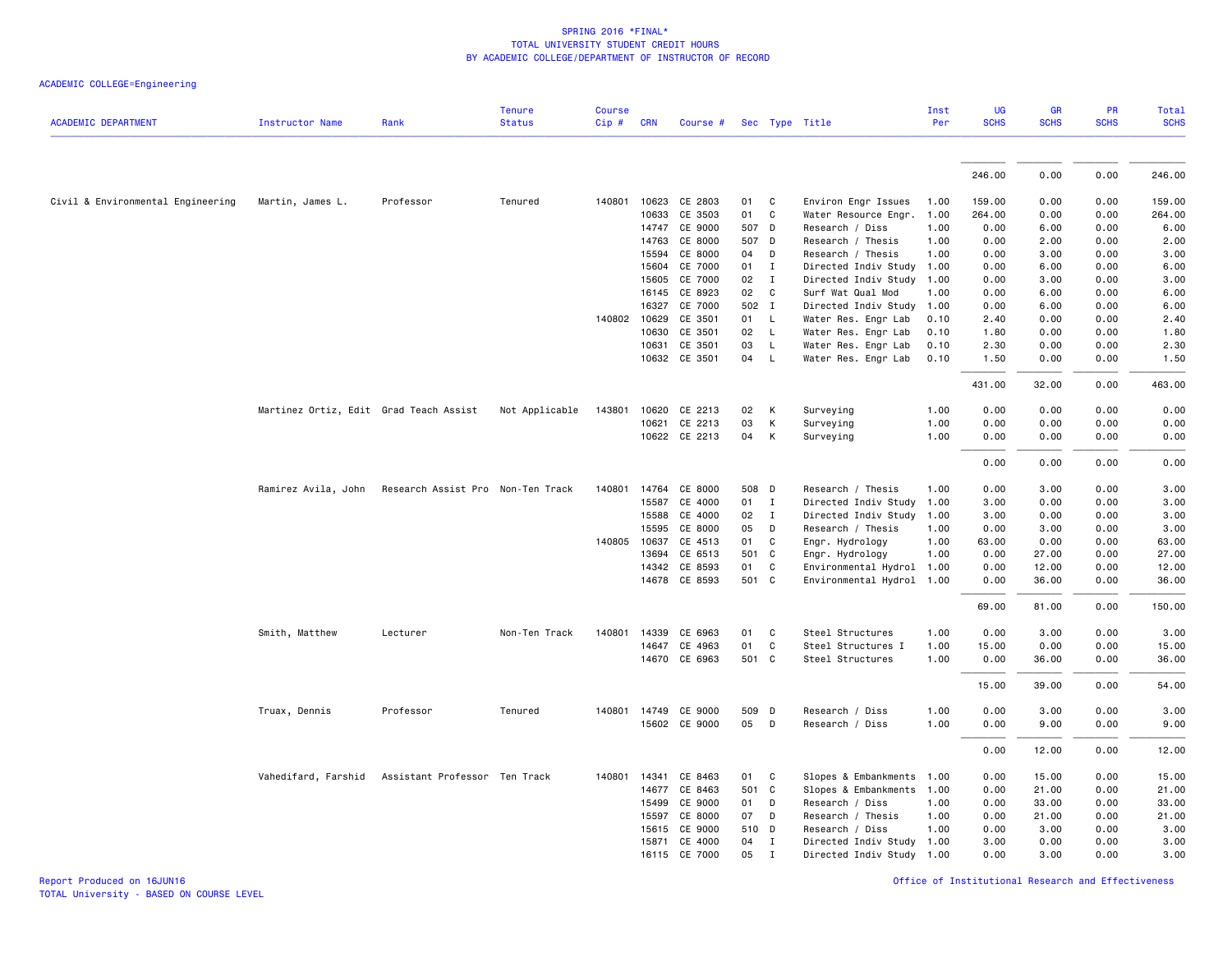|                                   |                                        |                                                       | <b>Tenure</b>  | Course  |              |                      |    |              |                           | Inst | UG          | GR          | PR          | Total       |
|-----------------------------------|----------------------------------------|-------------------------------------------------------|----------------|---------|--------------|----------------------|----|--------------|---------------------------|------|-------------|-------------|-------------|-------------|
| <b>ACADEMIC DEPARTMENT</b>        | <b>Instructor Name</b>                 | Rank                                                  | <b>Status</b>  | $Cip$ # | <b>CRN</b>   | Course #             |    |              | Sec Type Title            | Per  | <b>SCHS</b> | <b>SCHS</b> | <b>SCHS</b> | <b>SCHS</b> |
|                                   |                                        |                                                       |                |         |              |                      |    |              |                           |      |             |             |             |             |
|                                   |                                        |                                                       |                |         |              |                      |    |              |                           |      | 246.00      | 0.00        | 0.00        | 246.00      |
| Civil & Environmental Engineering | Martin, James L.                       | Professor                                             | Tenured        |         |              | 140801 10623 CE 2803 |    | 01 C         | Environ Engr Issues       | 1.00 | 159.00      | 0.00        | 0.00        | 159.00      |
|                                   |                                        |                                                       |                |         | 10633        | CE 3503              | 01 | C            | Water Resource Engr.      | 1.00 | 264.00      | 0.00        | 0.00        | 264.00      |
|                                   |                                        |                                                       |                |         | 14747        | CE 9000              |    | 507 D        | Research / Diss           | 1.00 | 0.00        | 6.00        | 0.00        | 6.00        |
|                                   |                                        |                                                       |                |         | 14763        | CE 8000              |    | 507 D        | Research / Thesis         | 1.00 | 0.00        | 2.00        | 0.00        | 2.00        |
|                                   |                                        |                                                       |                |         | 15594        | CE 8000              | 04 | D            | Research / Thesis         | 1.00 | 0.00        | 3.00        | 0.00        | 3.00        |
|                                   |                                        |                                                       |                |         | 15604        | CE 7000              | 01 | $\mathbf{I}$ | Directed Indiv Study      | 1.00 | 0.00        | 6.00        | 0.00        | 6.00        |
|                                   |                                        |                                                       |                |         | 15605        | CE 7000              | 02 | $\mathbf{I}$ | Directed Indiv Study      | 1.00 | 0.00        | 3.00        | 0.00        | 3.00        |
|                                   |                                        |                                                       |                |         | 16145        | CE 8923              | 02 | $\mathbf{C}$ | Surf Wat Qual Mod         | 1.00 | 0.00        | 6.00        | 0.00        | 6.00        |
|                                   |                                        |                                                       |                |         | 16327        | CE 7000              |    | 502 I        | Directed Indiv Study      | 1.00 | 0.00        | 6.00        | 0.00        | 6.00        |
|                                   |                                        |                                                       |                |         | 140802 10629 | CE 3501              |    | 01 L         | Water Res. Engr Lab       | 0.10 | 2.40        | 0.00        | 0.00        | 2.40        |
|                                   |                                        |                                                       |                |         | 10630        | CE 3501              | 02 | $\mathsf{L}$ | Water Res. Engr Lab       | 0.10 | 1.80        | 0.00        | 0.00        | 1.80        |
|                                   |                                        |                                                       |                |         | 10631        | CE 3501              | 03 | - L          | Water Res. Engr Lab       | 0.10 | 2.30        | 0.00        | 0.00        | 2.30        |
|                                   |                                        |                                                       |                |         |              | 10632 CE 3501        |    | 04 L         | Water Res. Engr Lab       | 0.10 | 1.50        | 0.00        | 0.00        | 1.50        |
|                                   |                                        |                                                       |                |         |              |                      |    |              |                           |      |             |             |             |             |
|                                   |                                        |                                                       |                |         |              |                      |    |              |                           |      | 431.00      | 32.00       | 0.00        | 463.00      |
|                                   | Martinez Ortiz, Edit Grad Teach Assist |                                                       | Not Applicable | 143801  | 10620        | CE 2213              | 02 | $\mathsf{K}$ | Surveying                 | 1.00 | 0.00        | 0.00        | 0.00        | 0.00        |
|                                   |                                        |                                                       |                |         | 10621        | CE 2213              | 03 | K            | Surveying                 | 1.00 | 0.00        | 0.00        | 0.00        | 0.00        |
|                                   |                                        |                                                       |                |         |              | 10622 CE 2213        | 04 | K            | Surveying                 | 1.00 | 0.00        | 0.00        | 0.00        | 0.00        |
|                                   |                                        |                                                       |                |         |              |                      |    |              |                           |      | 0.00        | 0.00        | 0.00        | 0.00        |
|                                   |                                        | Ramirez Avila, John Research Assist Pro Non-Ten Track |                | 140801  | 14764        | CE 8000              |    | 508 D        | Research / Thesis         | 1.00 | 0.00        | 3.00        | 0.00        | 3.00        |
|                                   |                                        |                                                       |                |         | 15587        | CE 4000              |    | 01 I         | Directed Indiv Study      | 1.00 | 3.00        | 0.00        | 0.00        | 3.00        |
|                                   |                                        |                                                       |                |         | 15588        | CE 4000              | 02 | $\mathbf{I}$ | Directed Indiv Study      | 1.00 | 3.00        | 0.00        | 0.00        | 3.00        |
|                                   |                                        |                                                       |                |         | 15595        | CE 8000              | 05 | D            | Research / Thesis         | 1.00 | 0.00        | 3.00        | 0.00        | 3.00        |
|                                   |                                        |                                                       |                |         | 140805 10637 | CE 4513              | 01 | C            | Engr. Hydrology           | 1.00 | 63.00       | 0.00        | 0.00        | 63.00       |
|                                   |                                        |                                                       |                |         | 13694        | CE 6513              |    | 501 C        | Engr. Hydrology           | 1.00 | 0.00        | 27.00       | 0.00        | 27.00       |
|                                   |                                        |                                                       |                |         |              | 14342 CE 8593        |    | 01 C         | Environmental Hydrol      | 1.00 | 0.00        | 12.00       | 0.00        | 12.00       |
|                                   |                                        |                                                       |                |         |              | 14678 CE 8593        |    | 501 C        | Environmental Hydrol 1.00 |      | 0.00        | 36.00       | 0.00        | 36.00       |
|                                   |                                        |                                                       |                |         |              |                      |    |              |                           |      | 69.00       | 81.00       | 0.00        | 150.00      |
|                                   | Smith, Matthew                         | Lecturer                                              | Non-Ten Track  | 140801  | 14339        | CE 6963              | 01 | C            | Steel Structures          | 1.00 | 0.00        | 3.00        | 0.00        | 3.00        |
|                                   |                                        |                                                       |                |         |              | 14647 CE 4963        | 01 | C            | Steel Structures I        | 1.00 | 15.00       | 0.00        | 0.00        | 15.00       |
|                                   |                                        |                                                       |                |         |              | 14670 CE 6963        |    | 501 C        | Steel Structures          | 1.00 | 0.00        | 36.00       | 0.00        | 36.00       |
|                                   |                                        |                                                       |                |         |              |                      |    |              |                           |      | 15.00       | 39.00       | 0.00        | 54.00       |
|                                   | Truax, Dennis                          | Professor                                             | Tenured        | 140801  | 14749        | CE 9000              |    | 509 D        | Research / Diss           | 1.00 | 0.00        | 3.00        | 0.00        | 3.00        |
|                                   |                                        |                                                       |                |         |              | 15602 CE 9000        |    | 05 D         | Research / Diss           | 1.00 | 0.00        | 9.00        | 0.00        | 9.00        |
|                                   |                                        |                                                       |                |         |              |                      |    |              |                           |      | 0.00        | 12.00       | 0.00        | 12.00       |
|                                   | Vahedifard, Farshid                    | Assistant Professor Ten Track                         |                | 140801  | 14341        | CE 8463              |    | 01 C         | Slopes & Embankments      | 1.00 | 0.00        | 15.00       | 0.00        | 15.00       |
|                                   |                                        |                                                       |                |         | 14677        | CE 8463              |    | 501 C        | Slopes & Embankments      | 1.00 | 0.00        | 21.00       | 0.00        | 21.00       |
|                                   |                                        |                                                       |                |         | 15499        | CE 9000              | 01 | D            | Research / Diss           | 1.00 | 0.00        | 33.00       | 0.00        | 33.00       |
|                                   |                                        |                                                       |                |         | 15597        | CE 8000              | 07 | D            | Research / Thesis         | 1.00 | 0.00        | 21.00       | 0.00        | 21.00       |
|                                   |                                        |                                                       |                |         | 15615        | CE 9000              |    | 510 D        | Research / Diss           | 1.00 | 0.00        | 3.00        | 0.00        | 3.00        |
|                                   |                                        |                                                       |                |         |              | 15871 CE 4000        | 04 | $\mathbf{I}$ | Directed Indiv Study      | 1.00 | 3.00        | 0.00        | 0.00        | 3.00        |
|                                   |                                        |                                                       |                |         |              | 16115 CE 7000        | 05 | $\mathbf I$  | Directed Indiv Study 1.00 |      | 0.00        | 3.00        | 0.00        | 3.00        |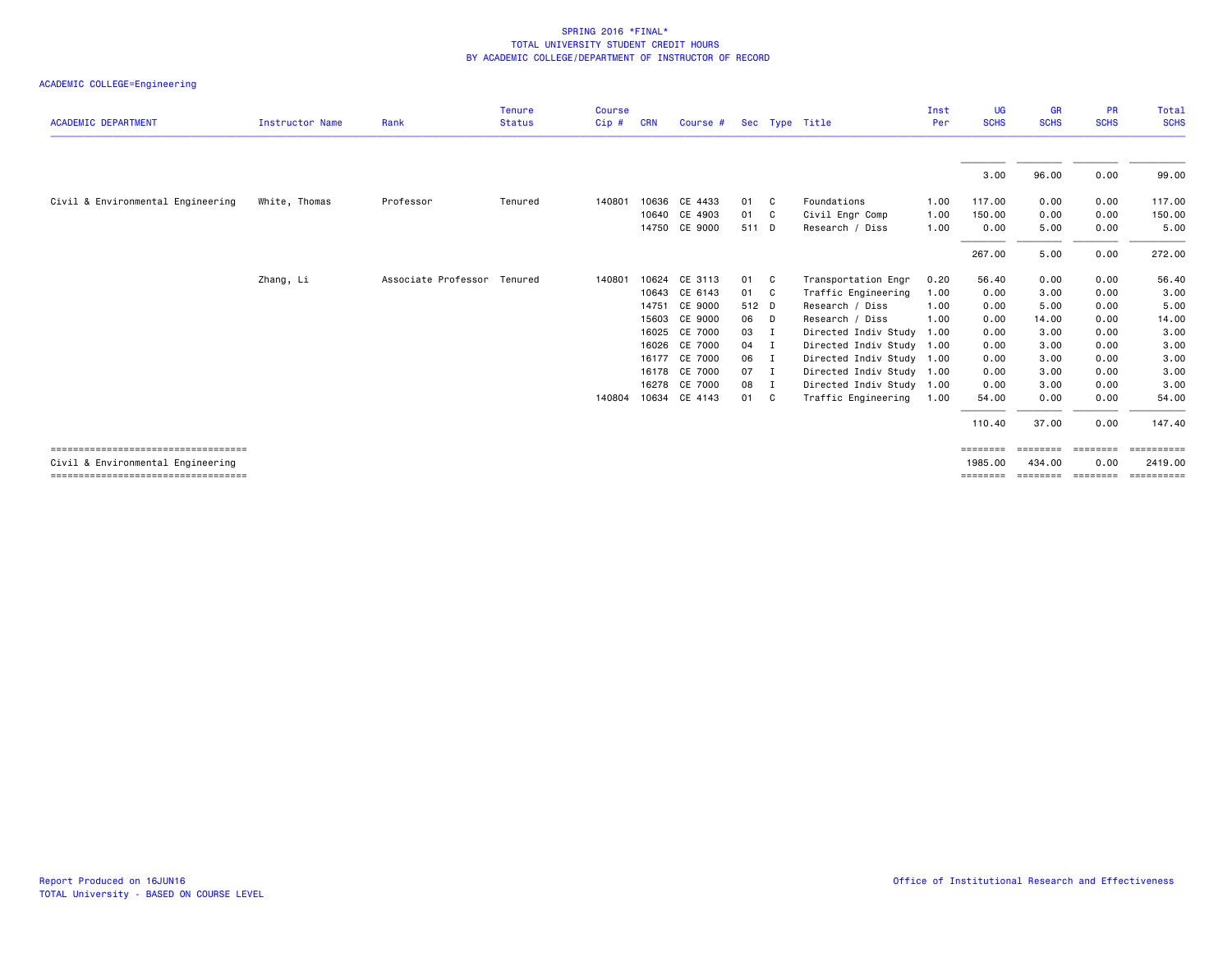|                                                                            |                        |                             | <b>Tenure</b> | <b>Course</b> |            |               |       |     |                           | Inst | UG                  | <b>GR</b>        | <b>PR</b>   | <b>Total</b>          |
|----------------------------------------------------------------------------|------------------------|-----------------------------|---------------|---------------|------------|---------------|-------|-----|---------------------------|------|---------------------|------------------|-------------|-----------------------|
| <b>ACADEMIC DEPARTMENT</b>                                                 | <b>Instructor Name</b> | Rank                        | <b>Status</b> | Cip#          | <b>CRN</b> | Course #      |       |     | Sec Type Title            | Per  | <b>SCHS</b>         | <b>SCHS</b>      | <b>SCHS</b> | <b>SCHS</b>           |
|                                                                            |                        |                             |               |               |            |               |       |     |                           |      |                     |                  |             |                       |
|                                                                            |                        |                             |               |               |            |               |       |     |                           |      | 3.00                | 96.00            | 0.00        | 99.00                 |
| Civil & Environmental Engineering                                          | White, Thomas          | Professor                   | Tenured       | 140801        |            | 10636 CE 4433 | 01    | C.  | Foundations               | 1.00 | 117,00              | 0.00             | 0.00        | 117.00                |
|                                                                            |                        |                             |               |               | 10640      | CE 4903       | 01    | C.  | Civil Engr Comp           | 1.00 | 150.00              | 0.00             | 0.00        | 150.00                |
|                                                                            |                        |                             |               |               |            | 14750 CE 9000 | 511 D |     | Research / Diss           | 1.00 | 0.00                | 5.00             | 0.00        | 5.00                  |
|                                                                            |                        |                             |               |               |            |               |       |     |                           |      | 267.00              | 5.00             | 0.00        | 272.00                |
|                                                                            | Zhang, Li              | Associate Professor Tenured |               | 140801        |            | 10624 CE 3113 | 01    | C.  | Transportation Engr       | 0.20 | 56.40               | 0.00             | 0.00        | 56.40                 |
|                                                                            |                        |                             |               |               |            | 10643 CE 6143 | 01    | - C | Traffic Engineering       | 1.00 | 0.00                | 3.00             | 0.00        | 3.00                  |
|                                                                            |                        |                             |               |               |            | 14751 CE 9000 | 512 D |     | Research / Diss           | 1.00 | 0.00                | 5.00             | 0.00        | 5.00                  |
|                                                                            |                        |                             |               |               | 15603      | CE 9000       | 06    | D   | Research / Diss           | 1.00 | 0.00                | 14.00            | 0.00        | 14.00                 |
|                                                                            |                        |                             |               |               | 16025      | CE 7000       | 03    | I   | Directed Indiv Study      | 1.00 | 0.00                | 3.00             | 0.00        | 3.00                  |
|                                                                            |                        |                             |               |               | 16026      | CE 7000       | 04    | I   | Directed Indiv Study 1.00 |      | 0.00                | 3,00             | 0.00        | 3.00                  |
|                                                                            |                        |                             |               |               |            | 16177 CE 7000 | 06    | I   | Directed Indiv Study 1.00 |      | 0.00                | 3.00             | 0.00        | 3.00                  |
|                                                                            |                        |                             |               |               |            | 16178 CE 7000 | 07    | - I | Directed Indiv Study 1.00 |      | 0.00                | 3.00             | 0.00        | 3.00                  |
|                                                                            |                        |                             |               |               |            | 16278 CE 7000 | 08    | I   | Directed Indiv Study 1.00 |      | 0.00                | 3.00             | 0.00        | 3.00                  |
|                                                                            |                        |                             |               | 140804        |            | 10634 CE 4143 | 01 C  |     | Traffic Engineering       | 1.00 | 54.00               | 0.00             | 0.00        | 54.00                 |
|                                                                            |                        |                             |               |               |            |               |       |     |                           |      | 110.40              | 37.00            | 0.00        | 147.40                |
| =====================================<br>Civil & Environmental Engineering |                        |                             |               |               |            |               |       |     |                           |      | ========<br>1985,00 | $=$<br>434,00    | 0.00        | ==========<br>2419,00 |
| ======================================                                     |                        |                             |               |               |            |               |       |     |                           |      | ========            | eessesse seesses |             | eeeeeeee              |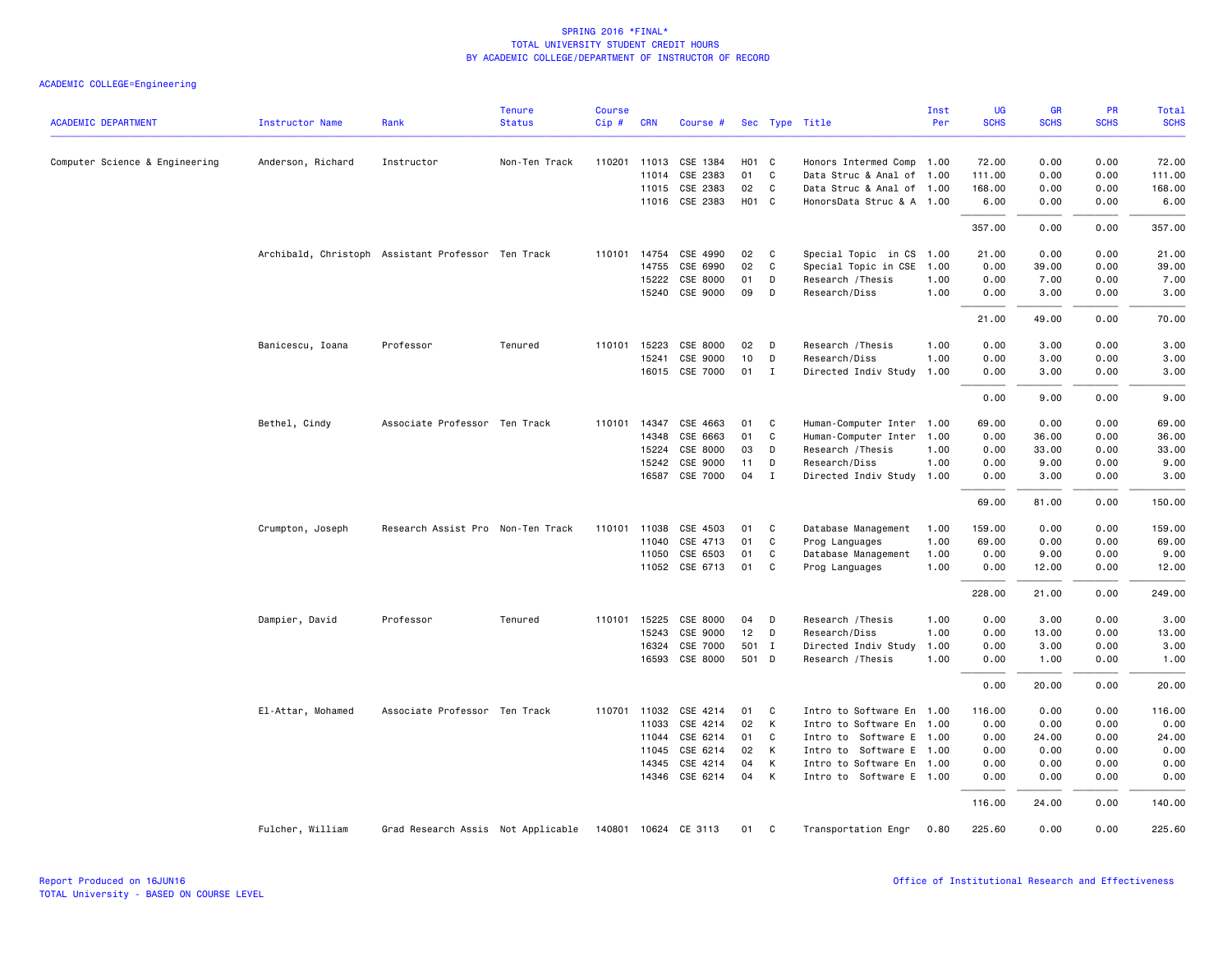| <b>ACADEMIC DEPARTMENT</b>     | Instructor Name   | Rank                                               | <b>Tenure</b><br><b>Status</b> | <b>Course</b><br>Cip# | <b>CRN</b>   | Course #             |                   |             | Sec Type Title            | Inst<br>Per | UG<br><b>SCHS</b> | GR<br><b>SCHS</b> | PR<br><b>SCHS</b> | Total<br><b>SCHS</b> |
|--------------------------------|-------------------|----------------------------------------------------|--------------------------------|-----------------------|--------------|----------------------|-------------------|-------------|---------------------------|-------------|-------------------|-------------------|-------------------|----------------------|
| Computer Science & Engineering | Anderson, Richard | Instructor                                         | Non-Ten Track                  |                       | 110201 11013 | CSE 1384             | H <sub>01</sub> C |             | Honors Intermed Comp      | 1.00        | 72.00             | 0.00              | 0.00              | 72.00                |
|                                |                   |                                                    |                                |                       | 11014        | CSE 2383             | 01                | C           | Data Struc & Anal of 1.00 |             | 111.00            | 0.00              | 0.00              | 111.00               |
|                                |                   |                                                    |                                |                       | 11015        | CSE 2383             | 02                | C           | Data Struc & Anal of 1.00 |             | 168.00            | 0.00              | 0.00              | 168.00               |
|                                |                   |                                                    |                                |                       |              | 11016 CSE 2383       | H <sub>01</sub> C |             | HonorsData Struc & A 1.00 |             | 6.00              | 0.00              | 0.00              | 6.00                 |
|                                |                   |                                                    |                                |                       |              |                      |                   |             |                           |             | 357.00            | 0.00              | 0.00              | 357.00               |
|                                |                   | Archibald, Christoph Assistant Professor Ten Track |                                |                       | 110101 14754 | CSE 4990             | 02                | C           | Special Topic in CS       | 1.00        | 21.00             | 0.00              | 0.00              | 21.00                |
|                                |                   |                                                    |                                |                       | 14755        | CSE 6990             | 02                | C           | Special Topic in CSE      | 1.00        | 0.00              | 39.00             | 0.00              | 39.00                |
|                                |                   |                                                    |                                |                       | 15222        | CSE 8000             | 01                | D           | Research / Thesis         | 1.00        | 0.00              | 7.00              | 0.00              | 7.00                 |
|                                |                   |                                                    |                                |                       | 15240        | CSE 9000             | 09                | D           | Research/Diss             | 1.00        | 0.00              | 3.00              | 0.00              | 3.00                 |
|                                |                   |                                                    |                                |                       |              |                      |                   |             |                           |             | 21.00             | 49.00             | 0.00              | 70.00                |
|                                | Banicescu, Ioana  | Professor                                          | Tenured                        | 110101                | 15223        | CSE 8000             | 02                | D           | Research / Thesis         | 1.00        | 0.00              | 3.00              | 0.00              | 3.00                 |
|                                |                   |                                                    |                                |                       | 15241        | CSE 9000             | 10                | D           | Research/Diss             | 1.00        | 0.00              | 3.00              | 0.00              | 3.00                 |
|                                |                   |                                                    |                                |                       |              | 16015 CSE 7000       | 01                | I           | Directed Indiv Study      | 1.00        | 0.00              | 3.00              | 0.00              | 3.00                 |
|                                |                   |                                                    |                                |                       |              |                      |                   |             |                           |             | 0.00              | 9.00              | 0.00              | 9.00                 |
|                                | Bethel, Cindy     | Associate Professor Ten Track                      |                                | 110101                | 14347        | CSE 4663             | 01                | C           | Human-Computer Inter      | 1.00        | 69.00             | 0.00              | 0.00              | 69.00                |
|                                |                   |                                                    |                                |                       | 14348        | CSE 6663             | 01                | C           | Human-Computer Inter      | 1.00        | 0.00              | 36.00             | 0.00              | 36.00                |
|                                |                   |                                                    |                                |                       | 15224        | CSE 8000             | 03                | D           | Research / Thesis         | 1.00        | 0.00              | 33.00             | 0.00              | 33.00                |
|                                |                   |                                                    |                                |                       | 15242        | CSE 9000             | 11                | D           | Research/Diss             | 1.00        | 0.00              | 9.00              | 0.00              | 9.00                 |
|                                |                   |                                                    |                                |                       | 16587        | CSE 7000             | 04                | $\mathbf I$ | Directed Indiv Study      | 1.00        | 0.00              | 3.00              | 0.00              | 3.00                 |
|                                |                   |                                                    |                                |                       |              |                      |                   |             |                           |             | 69.00             | 81.00             | 0.00              | 150.00               |
|                                | Crumpton, Joseph  | Research Assist Pro Non-Ten Track                  |                                |                       | 110101 11038 | CSE 4503             | 01                | C           | Database Management       | 1.00        | 159.00            | 0.00              | 0.00              | 159.00               |
|                                |                   |                                                    |                                |                       | 11040        | CSE 4713             | 01                | C           | Prog Languages            | 1.00        | 69.00             | 0.00              | 0.00              | 69.00                |
|                                |                   |                                                    |                                |                       | 11050        | CSE 6503             | 01                | C           | Database Management       | 1.00        | 0.00              | 9.00              | 0.00              | 9.00                 |
|                                |                   |                                                    |                                |                       |              | 11052 CSE 6713       | 01                | C           | Prog Languages            | 1.00        | 0.00              | 12.00             | 0.00              | 12.00                |
|                                |                   |                                                    |                                |                       |              |                      |                   |             |                           |             | 228.00            | 21.00             | 0.00              | 249.00               |
|                                | Dampier, David    | Professor                                          | Tenured                        |                       | 110101 15225 | CSE 8000             | 04                | D           | Research / Thesis         | 1.00        | 0.00              | 3.00              | 0.00              | 3.00                 |
|                                |                   |                                                    |                                |                       | 15243        | CSE 9000             | 12                | D           | Research/Diss             | 1.00        | 0.00              | 13.00             | 0.00              | 13.00                |
|                                |                   |                                                    |                                |                       | 16324        | CSE 7000             | 501 I             |             | Directed Indiv Study      | 1.00        | 0.00              | 3.00              | 0.00              | 3.00                 |
|                                |                   |                                                    |                                |                       | 16593        | CSE 8000             | 501 D             |             | Research / Thesis         | 1.00        | 0.00              | 1.00              | 0.00              | 1.00                 |
|                                |                   |                                                    |                                |                       |              |                      |                   |             |                           |             | 0.00              | 20.00             | 0.00              | 20.00                |
|                                | El-Attar, Mohamed | Associate Professor Ten Track                      |                                |                       | 110701 11032 | CSE 4214             | 01                | C           | Intro to Software En      | 1.00        | 116.00            | 0.00              | 0.00              | 116.00               |
|                                |                   |                                                    |                                |                       | 11033        | CSE 4214             | 02                | К           | Intro to Software En      | 1.00        | 0.00              | 0.00              | 0.00              | 0.00                 |
|                                |                   |                                                    |                                |                       | 11044        | CSE 6214             | 01                | C           | Intro to Software E 1.00  |             | 0.00              | 24.00             | 0.00              | 24.00                |
|                                |                   |                                                    |                                |                       | 11045        | CSE 6214             | 02                | К           | Intro to Software E 1.00  |             | 0.00              | 0.00              | 0.00              | 0.00                 |
|                                |                   |                                                    |                                |                       | 14345        | CSE 4214             | 04                | К           | Intro to Software En 1.00 |             | 0.00              | 0.00              | 0.00              | 0.00                 |
|                                |                   |                                                    |                                |                       |              | 14346 CSE 6214       | 04                | K           | Intro to Software E 1.00  |             | 0.00              | 0.00              | 0.00              | 0.00                 |
|                                |                   |                                                    |                                |                       |              |                      |                   |             |                           |             | 116.00            | 24.00             | 0.00              | 140.00               |
|                                | Fulcher, William  | Grad Research Assis Not Applicable                 |                                |                       |              | 140801 10624 CE 3113 | 01                | C           | Transportation Engr       | 0.80        | 225.60            | 0.00              | 0.00              | 225.60               |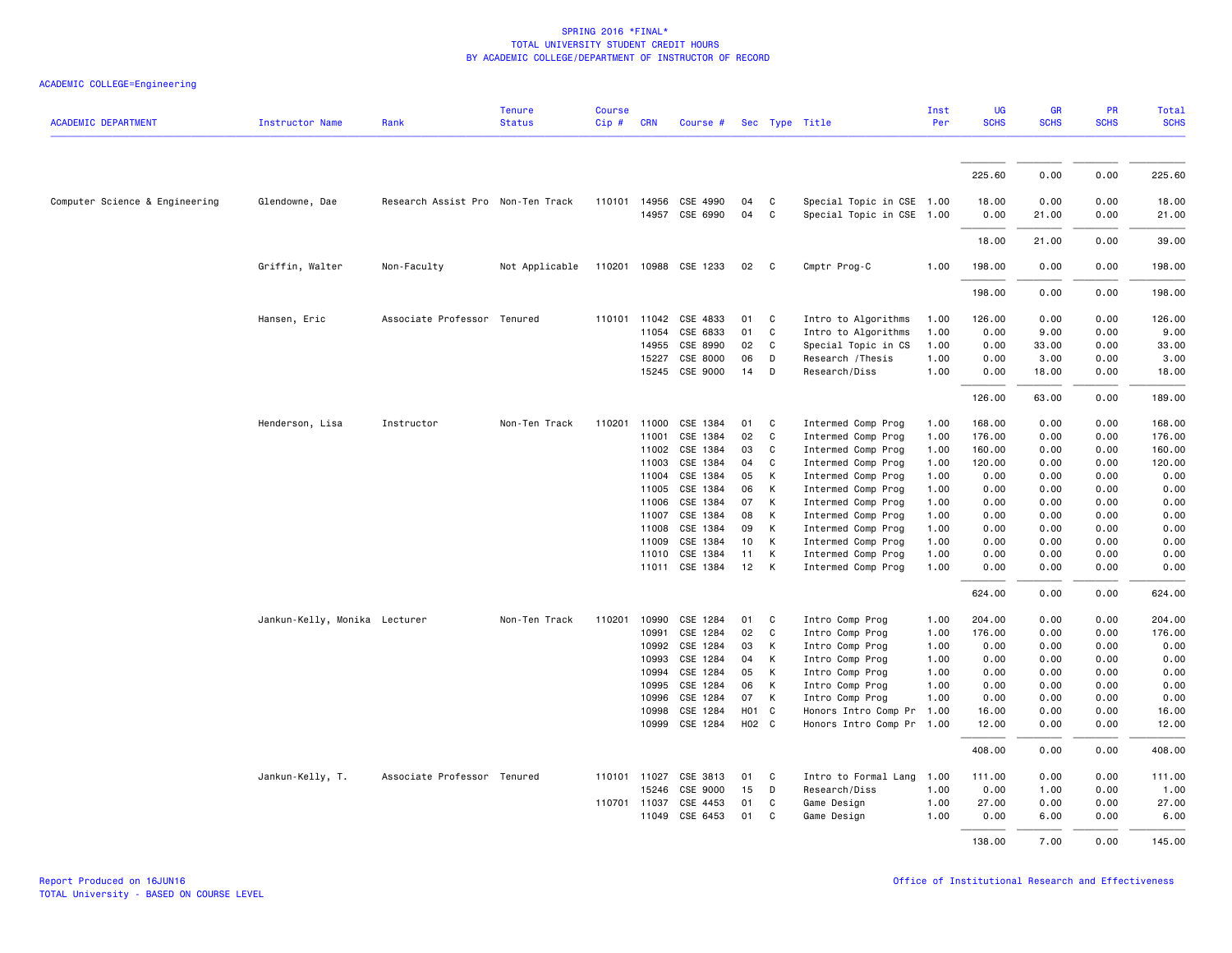| <b>ACADEMIC DEPARTMENT</b>     | <b>Instructor Name</b>        | Rank                              | <b>Tenure</b><br><b>Status</b> | <b>Course</b><br>Cip# | <b>CRN</b>   | Course #              |                  |             | Sec Type Title            | Inst<br>Per | <b>UG</b><br><b>SCHS</b> | <b>GR</b><br><b>SCHS</b> | PR<br><b>SCHS</b> | <b>Total</b><br><b>SCHS</b> |
|--------------------------------|-------------------------------|-----------------------------------|--------------------------------|-----------------------|--------------|-----------------------|------------------|-------------|---------------------------|-------------|--------------------------|--------------------------|-------------------|-----------------------------|
|                                |                               |                                   |                                |                       |              |                       |                  |             |                           |             |                          |                          |                   |                             |
|                                |                               |                                   |                                |                       |              |                       |                  |             |                           |             | 225.60                   | 0.00                     | 0.00              | 225.60                      |
| Computer Science & Engineering | Glendowne, Dae                | Research Assist Pro Non-Ten Track |                                |                       | 110101 14956 | CSE 4990              | 04               | C           | Special Topic in CSE 1.00 |             | 18.00                    | 0.00                     | 0.00              | 18.00                       |
|                                |                               |                                   |                                |                       |              | 14957 CSE 6990        | 04               | C           | Special Topic in CSE 1.00 |             | 0.00                     | 21.00                    | 0.00              | 21.00                       |
|                                |                               |                                   |                                |                       |              |                       |                  |             |                           |             | 18.00                    | 21.00                    | 0.00              | 39.00                       |
|                                | Griffin, Walter               | Non-Faculty                       | Not Applicable                 |                       |              | 110201 10988 CSE 1233 | 02               | C           | Cmptr Prog-C              | 1.00        | 198.00                   | 0.00                     | 0.00              | 198.00                      |
|                                |                               |                                   |                                |                       |              |                       |                  |             |                           |             | 198.00                   | 0.00                     | 0.00              | 198.00                      |
|                                | Hansen, Eric                  | Associate Professor Tenured       |                                |                       | 110101 11042 | CSE 4833              | 01               | C           | Intro to Algorithms       | 1.00        | 126.00                   | 0.00                     | 0.00              | 126.00                      |
|                                |                               |                                   |                                |                       | 11054        | CSE 6833              | 01               | C           | Intro to Algorithms       | 1.00        | 0.00                     | 9.00                     | 0.00              | 9.00                        |
|                                |                               |                                   |                                |                       | 14955        | CSE 8990              | 02               | C           | Special Topic in CS       | 1.00        | 0.00                     | 33.00                    | 0.00              | 33.00                       |
|                                |                               |                                   |                                |                       | 15227        | CSE 8000              | 06               | D           | Research / Thesis         | 1.00        | 0.00                     | 3.00                     | 0.00              | 3.00                        |
|                                |                               |                                   |                                |                       |              | 15245 CSE 9000        | 14               | D           | Research/Diss             | 1.00        | 0.00                     | 18.00                    | 0.00              | 18.00                       |
|                                |                               |                                   |                                |                       |              |                       |                  |             |                           |             | 126.00                   | 63.00                    | 0.00              | 189.00                      |
|                                |                               | Instructor                        | Non-Ten Track                  | 110201                | 11000        | CSE 1384              | 01               | C           | Intermed Comp Prog        | 1.00        | 168.00                   | 0.00                     | 0.00              | 168.00                      |
|                                | Henderson, Lisa               |                                   |                                |                       |              |                       |                  |             |                           |             |                          |                          |                   |                             |
|                                |                               |                                   |                                |                       | 11001        | CSE 1384              | 02               | C           | Intermed Comp Prog        | 1.00        | 176.00                   | 0.00                     | 0.00              | 176.00                      |
|                                |                               |                                   |                                |                       | 11002        | CSE 1384              | 03               | C           | Intermed Comp Prog        | 1.00        | 160.00                   | 0.00                     | 0.00              | 160.00                      |
|                                |                               |                                   |                                |                       | 11003        | CSE 1384              | 04               | C           | Intermed Comp Prog        | 1.00        | 120.00                   | 0.00                     | 0.00              | 120.00                      |
|                                |                               |                                   |                                |                       | 11004        | CSE 1384              | 05               | K           | Intermed Comp Prog        | 1.00        | 0.00                     | 0.00                     | 0.00              | 0.00                        |
|                                |                               |                                   |                                |                       | 11005        | CSE 1384              | 06               | K           | Intermed Comp Prog        | 1.00        | 0.00                     | 0.00                     | 0.00              | 0.00                        |
|                                |                               |                                   |                                |                       | 11006        | CSE 1384              | 07               | К           | Intermed Comp Prog        | 1.00        | 0.00                     | 0.00                     | 0.00              | 0.00                        |
|                                |                               |                                   |                                |                       | 11007        | CSE 1384              | 08               | K           | Intermed Comp Prog        | 1.00        | 0.00                     | 0.00                     | 0.00              | 0.00                        |
|                                |                               |                                   |                                |                       | 11008        | CSE 1384              | 09               | K           | Intermed Comp Prog        | 1.00        | 0.00                     | 0.00                     | 0.00              | 0.00                        |
|                                |                               |                                   |                                |                       | 11009        | CSE 1384              | 10               | К           | Intermed Comp Prog        | 1.00        | 0.00                     | 0.00                     | 0.00              | 0.00                        |
|                                |                               |                                   |                                |                       | 11010        | CSE 1384              | 11               | K           | Intermed Comp Prog        | 1.00        | 0.00                     | 0.00                     | 0.00              | 0.00                        |
|                                |                               |                                   |                                |                       |              | 11011 CSE 1384        | 12               | K           | Intermed Comp Prog        | 1.00        | 0.00                     | 0.00                     | 0.00              | 0.00                        |
|                                |                               |                                   |                                |                       |              |                       |                  |             |                           |             | 624.00                   | 0.00                     | 0.00              | 624.00                      |
|                                | Jankun-Kelly, Monika Lecturer |                                   | Non-Ten Track                  | 110201                | 10990        | CSE 1284              | 01               | C           | Intro Comp Prog           | 1.00        | 204.00                   | 0.00                     | 0.00              | 204.00                      |
|                                |                               |                                   |                                |                       | 10991        | CSE 1284              | 02               | $\mathbf c$ | Intro Comp Prog           | 1.00        | 176.00                   | 0.00                     | 0.00              | 176.00                      |
|                                |                               |                                   |                                |                       | 10992        | CSE 1284              | 03               | К           | Intro Comp Prog           | 1.00        | 0.00                     | 0.00                     | 0.00              | 0.00                        |
|                                |                               |                                   |                                |                       | 10993        | CSE 1284              | 04               | K           | Intro Comp Prog           | 1.00        | 0.00                     | 0.00                     | 0.00              | 0.00                        |
|                                |                               |                                   |                                |                       | 10994        | CSE 1284              | 05               | K           | Intro Comp Prog           | 1.00        | 0.00                     | 0.00                     | 0.00              | 0.00                        |
|                                |                               |                                   |                                |                       | 10995        | CSE 1284              | 06               | K           | Intro Comp Prog           | 1.00        | 0.00                     | 0.00                     | 0.00              | 0.00                        |
|                                |                               |                                   |                                |                       | 10996        | CSE 1284              | 07               | K           | Intro Comp Prog           | 1.00        | 0.00                     | 0.00                     | 0.00              | 0.00                        |
|                                |                               |                                   |                                |                       | 10998        | CSE 1284              | H <sub>0</sub> 1 | C           | Honors Intro Comp Pr      | 1.00        | 16.00                    | 0.00                     | 0.00              | 16.00                       |
|                                |                               |                                   |                                |                       | 10999        | CSE 1284              | H02 C            |             | Honors Intro Comp Pr 1.00 |             | 12.00                    | 0.00                     | 0.00              | 12.00                       |
|                                |                               |                                   |                                |                       |              |                       |                  |             |                           |             | 408.00                   | 0.00                     | 0.00              | 408.00                      |
|                                | Jankun-Kelly, T.              | Associate Professor Tenured       |                                |                       | 110101 11027 | CSE 3813              | 01               | C           | Intro to Formal Lang      | 1.00        | 111.00                   | 0.00                     | 0.00              | 111.00                      |
|                                |                               |                                   |                                |                       | 15246        | CSE 9000              | 15               | D           | Research/Diss             | 1.00        | 0.00                     | 1.00                     | 0.00              | 1.00                        |
|                                |                               |                                   |                                |                       | 110701 11037 | CSE 4453              | 01               | C           | Game Design               | 1.00        | 27.00                    | 0.00                     | 0.00              | 27.00                       |
|                                |                               |                                   |                                |                       | 11049        | CSE 6453              | 01               | C           | Game Design               | 1.00        | 0.00                     | 6.00                     | 0.00              | 6.00                        |
|                                |                               |                                   |                                |                       |              |                       |                  |             |                           |             | 138.00                   | 7.00                     | 0.00              | 145.00                      |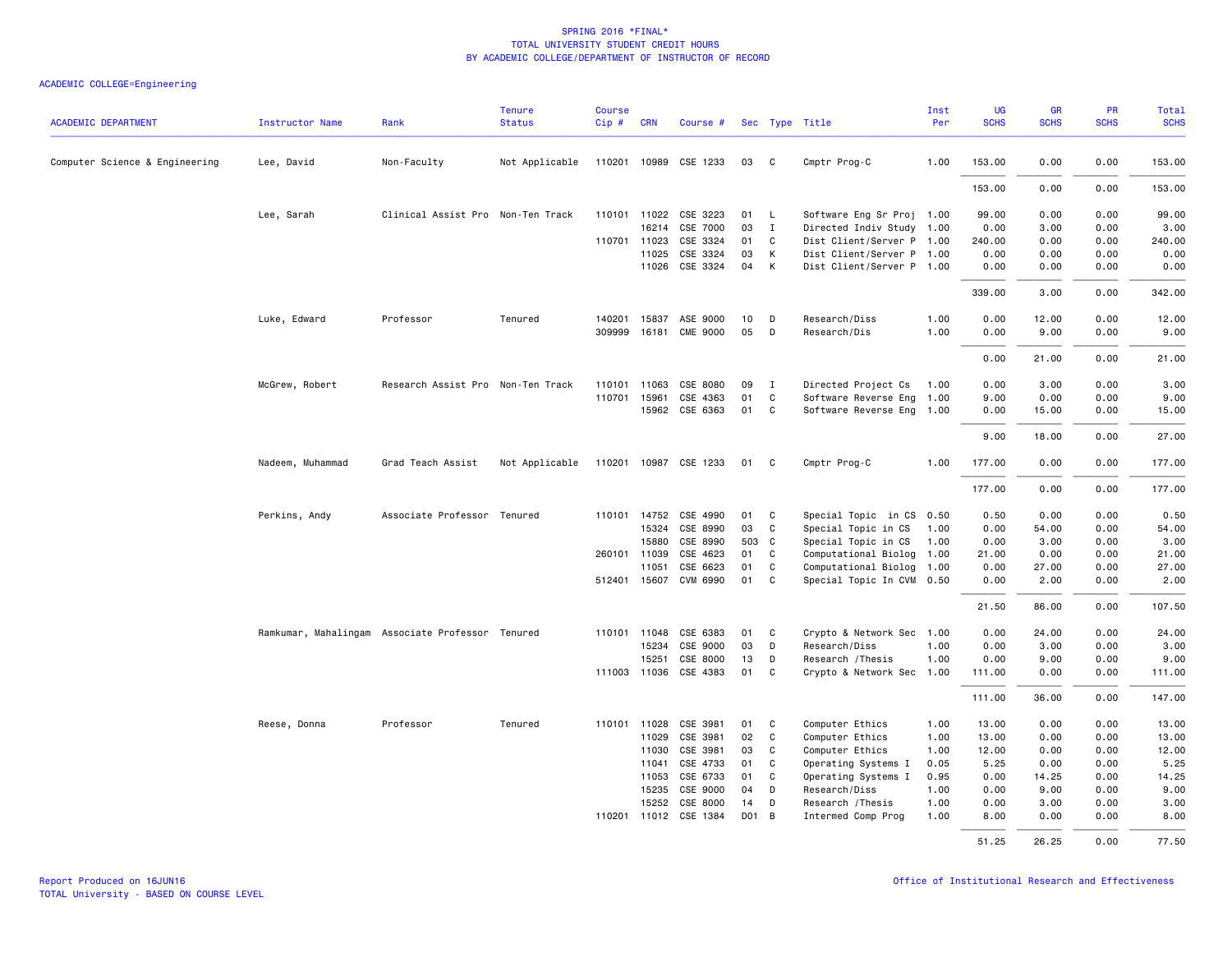| <b>ACADEMIC DEPARTMENT</b>     | <b>Instructor Name</b> | Rank                                             | <b>Tenure</b><br><b>Status</b> | <b>Course</b><br>Cip# | <b>CRN</b>     | Course #                          |          |              | Sec Type Title                                 | Inst<br>Per  | UG<br><b>SCHS</b> | <b>GR</b><br><b>SCHS</b> | PR<br><b>SCHS</b> | <b>Total</b><br><b>SCHS</b> |
|--------------------------------|------------------------|--------------------------------------------------|--------------------------------|-----------------------|----------------|-----------------------------------|----------|--------------|------------------------------------------------|--------------|-------------------|--------------------------|-------------------|-----------------------------|
| Computer Science & Engineering | Lee, David             | Non-Faculty                                      | Not Applicable                 |                       |                | 110201 10989 CSE 1233             | 03       | C.           | Cmptr Prog-C                                   | 1.00         | 153.00            | 0.00                     | 0.00              | 153.00                      |
|                                |                        |                                                  |                                |                       |                |                                   |          |              |                                                |              | 153.00            | 0.00                     | 0.00              | 153.00                      |
|                                | Lee, Sarah             | Clinical Assist Pro Non-Ten Track                |                                |                       | 110101 11022   | CSE 3223                          | 01       | $\mathsf{L}$ | Software Eng Sr Proj 1.00                      |              | 99.00             | 0.00                     | 0.00              | 99.00                       |
|                                |                        |                                                  |                                |                       | 16214          | CSE 7000                          | 03       | $\mathbf{I}$ | Directed Indiv Study                           | 1.00         | 0.00              | 3.00                     | 0.00              | 3.00                        |
|                                |                        |                                                  |                                | 110701 11023          |                | CSE 3324                          | 01       | C            | Dist Client/Server P 1.00                      |              | 240.00            | 0.00                     | 0.00              | 240.00                      |
|                                |                        |                                                  |                                |                       | 11025          | CSE 3324                          | 03       | К            | Dist Client/Server P 1.00                      |              | 0.00              | 0.00                     | 0.00              | 0.00                        |
|                                |                        |                                                  |                                |                       | 11026          | CSE 3324                          | 04       | K            | Dist Client/Server P 1.00                      |              | 0.00              | 0.00                     | 0.00              | 0.00                        |
|                                |                        |                                                  |                                |                       |                |                                   |          |              |                                                |              | 339.00            | 3.00                     | 0.00              | 342.00                      |
|                                | Luke, Edward           | Professor                                        | Tenured                        | 140201                | 15837          | ASE 9000                          | 10       | D            | Research/Diss                                  | 1.00         | 0.00              | 12.00                    | 0.00              | 12.00                       |
|                                |                        |                                                  |                                | 309999                |                | 16181 CME 9000                    | 05       | D            | Research/Dis                                   | 1.00         | 0.00              | 9.00                     | 0.00              | 9.00                        |
|                                |                        |                                                  |                                |                       |                |                                   |          |              |                                                |              | 0.00              | 21.00                    | 0.00              | 21.00                       |
|                                | McGrew, Robert         | Research Assist Pro Non-Ten Track                |                                | 110101                | 11063          | CSE 8080                          | 09       | I            | Directed Project Cs                            | 1.00         | 0.00              | 3.00                     | 0.00              | 3.00                        |
|                                |                        |                                                  |                                | 110701                | 15961          | CSE 4363                          | 01       | C            | Software Reverse Eng                           | 1.00         | 9.00              | 0.00                     | 0.00              | 9.00                        |
|                                |                        |                                                  |                                |                       |                | 15962 CSE 6363                    | 01       | C            | Software Reverse Eng 1.00                      |              | 0.00              | 15.00                    | 0.00              | 15.00                       |
|                                |                        |                                                  |                                |                       |                |                                   |          |              |                                                |              | 9.00              | 18.00                    | 0.00              | 27.00                       |
|                                | Nadeem, Muhammad       | Grad Teach Assist                                | Not Applicable                 |                       |                | 110201 10987 CSE 1233             | 01       | C.           | Cmptr Prog-C                                   | 1.00         | 177.00            | 0.00                     | 0.00              | 177.00                      |
|                                |                        |                                                  |                                |                       |                |                                   |          |              |                                                |              | 177.00            | 0.00                     | 0.00              | 177.00                      |
|                                | Perkins, Andy          | Associate Professor Tenured                      |                                |                       | 110101 14752   | CSE 4990                          | 01       | C            | Special Topic in CS 0.50                       |              | 0.50              | 0.00                     | 0.00              | 0.50                        |
|                                |                        |                                                  |                                |                       | 15324          | CSE 8990                          | 03       | C            | Special Topic in CS                            | 1.00         | 0.00              | 54.00                    | 0.00              | 54.00                       |
|                                |                        |                                                  |                                |                       | 15880          | CSE 8990                          | 503      | C.           | Special Topic in CS                            | 1.00         | 0.00              | 3.00                     | 0.00              | 3.00                        |
|                                |                        |                                                  |                                |                       | 260101 11039   | CSE 4623                          | 01       | C            | Computational Biolog                           | 1.00         | 21.00             | 0.00                     | 0.00              | 21.00                       |
|                                |                        |                                                  |                                |                       | 11051          | CSE 6623                          | 01       | C            | Computational Biolog                           | 1.00         | 0.00              | 27.00                    | 0.00              | 27.00                       |
|                                |                        |                                                  |                                |                       | 512401 15607   | CVM 6990                          | 01       | C            | Special Topic In CVM 0.50                      |              | 0.00              | 2.00                     | 0.00              | 2.00                        |
|                                |                        |                                                  |                                |                       |                |                                   |          |              |                                                |              | 21.50             | 86.00                    | 0.00              | 107.50                      |
|                                |                        | Ramkumar, Mahalingam Associate Professor Tenured |                                |                       | 110101 11048   | CSE 6383                          | 01       | C            | Crypto & Network Sec 1.00                      |              | 0.00              | 24.00                    | 0.00              | 24.00                       |
|                                |                        |                                                  |                                |                       | 15234          | CSE 9000                          | 03       | D            | Research/Diss                                  | 1.00         | 0.00              | 3.00                     | 0.00              | 3.00                        |
|                                |                        |                                                  |                                |                       | 15251          | CSE 8000<br>111003 11036 CSE 4383 | 13<br>01 | D<br>C       | Research / Thesis<br>Crypto & Network Sec 1.00 | 1.00         | 0.00<br>111.00    | 9.00<br>0.00             | 0.00<br>0.00      | 9.00<br>111.00              |
|                                |                        |                                                  |                                |                       |                |                                   |          |              |                                                |              |                   |                          |                   |                             |
|                                |                        |                                                  |                                |                       |                |                                   |          |              |                                                |              | 111.00            | 36.00                    | 0.00              | 147.00                      |
|                                | Reese, Donna           | Professor                                        | Tenured                        | 110101                | 11028          | CSE 3981                          | 01       | C            | Computer Ethics                                | 1.00         | 13.00             | 0.00                     | 0.00              | 13.00                       |
|                                |                        |                                                  |                                |                       | 11029          | CSE 3981                          | 02       | C            | Computer Ethics                                | 1.00         | 13.00             | 0.00                     | 0.00              | 13.00                       |
|                                |                        |                                                  |                                |                       | 11030<br>11041 | CSE 3981<br>CSE 4733              | 03<br>01 | C<br>C       | Computer Ethics<br>Operating Systems I         | 1.00<br>0.05 | 12.00<br>5.25     | 0.00<br>0.00             | 0.00<br>0.00      | 12.00<br>5.25               |
|                                |                        |                                                  |                                |                       | 11053          | CSE 6733                          | 01       | C            | Operating Systems I                            | 0.95         | 0.00              | 14.25                    | 0.00              | 14.25                       |
|                                |                        |                                                  |                                |                       | 15235          | CSE 9000                          | 04       | D            | Research/Diss                                  | 1.00         | 0.00              | 9.00                     | 0.00              | 9.00                        |
|                                |                        |                                                  |                                |                       | 15252          | CSE 8000                          | 14       | D            | Research / Thesis                              | 1.00         | 0.00              | 3.00                     | 0.00              | 3.00                        |
|                                |                        |                                                  |                                | 110201                | 11012          | CSE 1384                          | DO 1     | B            | Intermed Comp Prog                             | 1.00         | 8.00              | 0.00                     | 0.00              | 8.00                        |
|                                |                        |                                                  |                                |                       |                |                                   |          |              |                                                |              | 51.25             | 26.25                    | 0.00              | 77.50                       |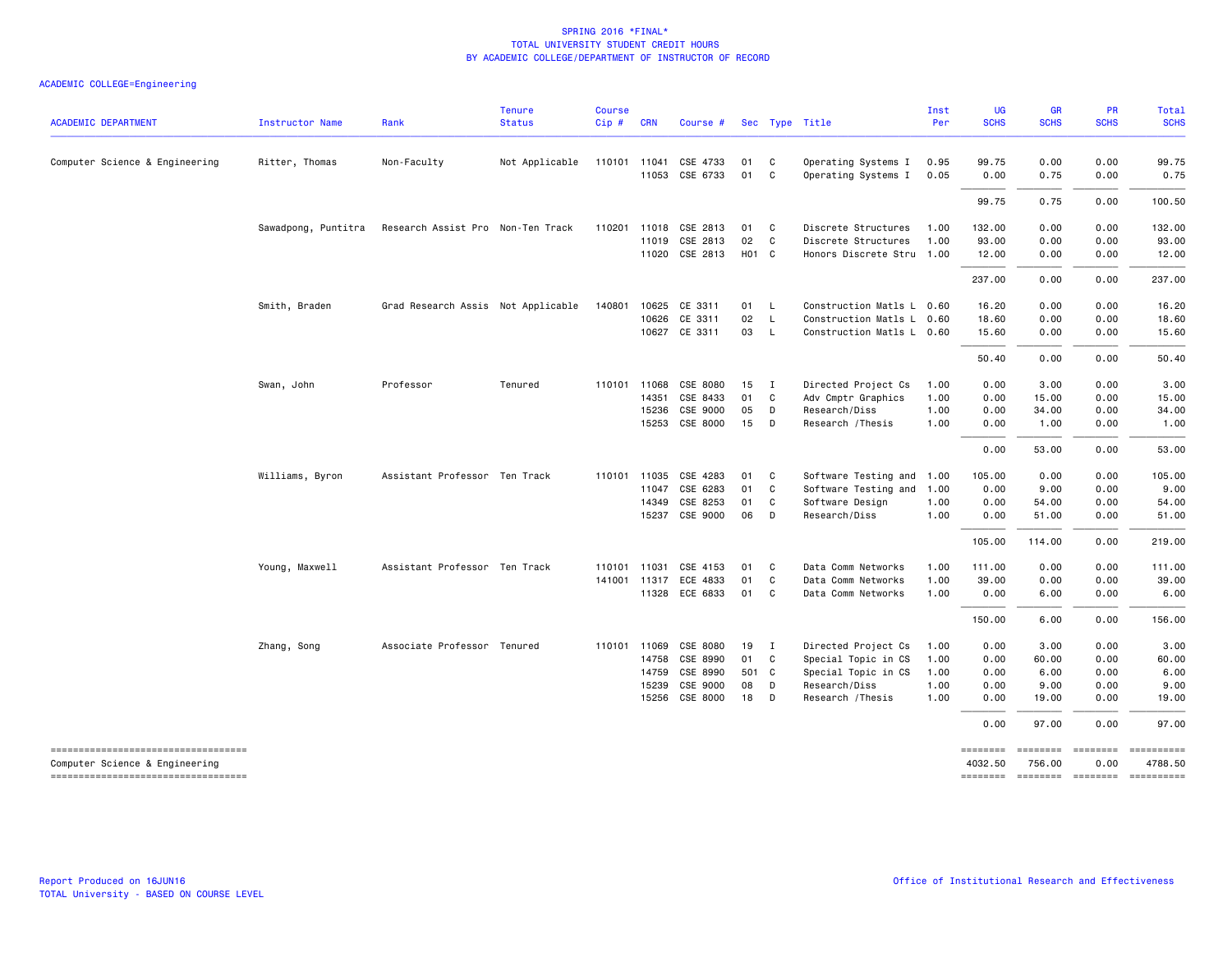| <b>ACADEMIC DEPARTMENT</b>                                           | Instructor Name     | Rank                               | <b>Tenure</b><br><b>Status</b> | <b>Course</b><br>Cip# | <b>CRN</b>   | Course #       |                   |                | Sec Type Title            | Inst<br>Per | <b>UG</b><br><b>SCHS</b> | <b>GR</b><br><b>SCHS</b> | <b>PR</b><br><b>SCHS</b> | Total<br><b>SCHS</b>                                                                                                                                                                                                                                                                                                                                                                                                                                                                            |
|----------------------------------------------------------------------|---------------------|------------------------------------|--------------------------------|-----------------------|--------------|----------------|-------------------|----------------|---------------------------|-------------|--------------------------|--------------------------|--------------------------|-------------------------------------------------------------------------------------------------------------------------------------------------------------------------------------------------------------------------------------------------------------------------------------------------------------------------------------------------------------------------------------------------------------------------------------------------------------------------------------------------|
| Computer Science & Engineering                                       | Ritter, Thomas      | Non-Faculty                        | Not Applicable                 |                       | 110101 11041 | CSE 4733       | 01                | $\mathbf{C}$   | Operating Systems I       | 0.95        | 99.75                    | 0.00                     | 0.00                     | 99.75                                                                                                                                                                                                                                                                                                                                                                                                                                                                                           |
|                                                                      |                     |                                    |                                |                       |              | 11053 CSE 6733 | 01                | $\mathbf{C}$   | Operating Systems I       | 0.05        | 0.00                     | 0.75                     | 0.00                     | 0.75                                                                                                                                                                                                                                                                                                                                                                                                                                                                                            |
|                                                                      |                     |                                    |                                |                       |              |                |                   |                |                           |             | 99.75                    | 0.75                     | 0.00                     | 100.50                                                                                                                                                                                                                                                                                                                                                                                                                                                                                          |
|                                                                      | Sawadpong, Puntitra | Research Assist Pro Non-Ten Track  |                                |                       | 110201 11018 | CSE 2813       | 01                | $\mathbf{C}$   | Discrete Structures       | 1.00        | 132.00                   | 0.00                     | 0.00                     | 132.00                                                                                                                                                                                                                                                                                                                                                                                                                                                                                          |
|                                                                      |                     |                                    |                                |                       | 11019        | CSE 2813       | 02                | $\mathbf{C}$   | Discrete Structures       | 1.00        | 93.00                    | 0.00                     | 0.00                     | 93.00                                                                                                                                                                                                                                                                                                                                                                                                                                                                                           |
|                                                                      |                     |                                    |                                |                       |              | 11020 CSE 2813 | H <sub>01</sub> C |                | Honors Discrete Stru 1.00 |             | 12.00                    | 0.00                     | 0.00                     | 12.00                                                                                                                                                                                                                                                                                                                                                                                                                                                                                           |
|                                                                      |                     |                                    |                                |                       |              |                |                   |                |                           |             | 237.00                   | 0.00                     | 0.00                     | 237.00                                                                                                                                                                                                                                                                                                                                                                                                                                                                                          |
|                                                                      | Smith, Braden       | Grad Research Assis Not Applicable |                                | 140801                | 10625        | CE 3311        | 01 L              |                | Construction Matls L 0.60 |             | 16.20                    | 0.00                     | 0.00                     | 16.20                                                                                                                                                                                                                                                                                                                                                                                                                                                                                           |
|                                                                      |                     |                                    |                                |                       | 10626        | CE 3311        | 02                | L              | Construction Matls L 0.60 |             | 18.60                    | 0.00                     | 0.00                     | 18.60                                                                                                                                                                                                                                                                                                                                                                                                                                                                                           |
|                                                                      |                     |                                    |                                |                       |              | 10627 CE 3311  | 03                | L              | Construction Matls L 0.60 |             | 15.60                    | 0.00                     | 0.00                     | 15.60                                                                                                                                                                                                                                                                                                                                                                                                                                                                                           |
|                                                                      |                     |                                    |                                |                       |              |                |                   |                |                           |             | 50.40                    | 0.00                     | 0.00                     | 50.40                                                                                                                                                                                                                                                                                                                                                                                                                                                                                           |
|                                                                      | Swan, John          | Professor                          | Tenured                        |                       | 110101 11068 | CSE 8080       | 15                | $\blacksquare$ | Directed Project Cs       | 1.00        | 0.00                     | 3.00                     | 0.00                     | 3.00                                                                                                                                                                                                                                                                                                                                                                                                                                                                                            |
|                                                                      |                     |                                    |                                |                       | 14351        | CSE 8433       | 01                | $\mathbf{C}$   | Adv Cmptr Graphics        | 1.00        | 0.00                     | 15.00                    | 0.00                     | 15.00                                                                                                                                                                                                                                                                                                                                                                                                                                                                                           |
|                                                                      |                     |                                    |                                |                       | 15236        | CSE 9000       | 05                | D              | Research/Diss             | 1.00        | 0.00                     | 34.00                    | 0.00                     | 34.00                                                                                                                                                                                                                                                                                                                                                                                                                                                                                           |
|                                                                      |                     |                                    |                                |                       |              | 15253 CSE 8000 | 15                | D              | Research / Thesis         | 1.00        | 0.00                     | 1.00                     | 0.00                     | 1.00                                                                                                                                                                                                                                                                                                                                                                                                                                                                                            |
|                                                                      |                     |                                    |                                |                       |              |                |                   |                |                           |             | 0.00                     | 53.00                    | 0.00                     | 53.00                                                                                                                                                                                                                                                                                                                                                                                                                                                                                           |
|                                                                      | Williams, Byron     | Assistant Professor Ten Track      |                                |                       | 110101 11035 | CSE 4283       | 01                | $\mathbf{C}$   | Software Testing and 1.00 |             | 105.00                   | 0.00                     | 0.00                     | 105.00                                                                                                                                                                                                                                                                                                                                                                                                                                                                                          |
|                                                                      |                     |                                    |                                |                       | 11047        | CSE 6283       | 01                | $\mathbf{C}$   | Software Testing and 1.00 |             | 0.00                     | 9.00                     | 0.00                     | 9.00                                                                                                                                                                                                                                                                                                                                                                                                                                                                                            |
|                                                                      |                     |                                    |                                |                       | 14349        | CSE 8253       | 01                | C              | Software Design           | 1.00        | 0.00                     | 54.00                    | 0.00                     | 54.00                                                                                                                                                                                                                                                                                                                                                                                                                                                                                           |
|                                                                      |                     |                                    |                                |                       | 15237        | CSE 9000       | 06                | $\Box$         | Research/Diss             | 1.00        | 0.00                     | 51.00                    | 0.00                     | 51.00                                                                                                                                                                                                                                                                                                                                                                                                                                                                                           |
|                                                                      |                     |                                    |                                |                       |              |                |                   |                |                           |             | 105.00                   | 114.00                   | 0.00                     | 219.00                                                                                                                                                                                                                                                                                                                                                                                                                                                                                          |
|                                                                      | Young, Maxwell      | Assistant Professor Ten Track      |                                |                       | 110101 11031 | CSE 4153       | 01                | $\mathbf{C}$   | Data Comm Networks        | 1.00        | 111.00                   | 0.00                     | 0.00                     | 111.00                                                                                                                                                                                                                                                                                                                                                                                                                                                                                          |
|                                                                      |                     |                                    |                                |                       | 141001 11317 | ECE 4833       | 01                | $\mathbf{C}$   | Data Comm Networks        | 1.00        | 39.00                    | 0.00                     | 0.00                     | 39.00                                                                                                                                                                                                                                                                                                                                                                                                                                                                                           |
|                                                                      |                     |                                    |                                |                       |              | 11328 ECE 6833 | 01                | $\mathbf{C}$   | Data Comm Networks        | 1.00        | 0.00                     | 6.00                     | 0.00                     | 6.00                                                                                                                                                                                                                                                                                                                                                                                                                                                                                            |
|                                                                      |                     |                                    |                                |                       |              |                |                   |                |                           |             | 150.00                   | 6.00                     | 0.00                     | 156.00                                                                                                                                                                                                                                                                                                                                                                                                                                                                                          |
|                                                                      | Zhang, Song         | Associate Professor Tenured        |                                |                       | 110101 11069 | CSE 8080       | 19                | $\blacksquare$ | Directed Project Cs       | 1.00        | 0.00                     | 3.00                     | 0.00                     | 3.00                                                                                                                                                                                                                                                                                                                                                                                                                                                                                            |
|                                                                      |                     |                                    |                                |                       | 14758        | CSE 8990       | 01 C              |                | Special Topic in CS       | 1.00        | 0.00                     | 60.00                    | 0.00                     | 60.00                                                                                                                                                                                                                                                                                                                                                                                                                                                                                           |
|                                                                      |                     |                                    |                                |                       | 14759        | CSE 8990       | 501 C             |                | Special Topic in CS       | 1.00        | 0.00                     | 6.00                     | 0.00                     | 6.00                                                                                                                                                                                                                                                                                                                                                                                                                                                                                            |
|                                                                      |                     |                                    |                                |                       | 15239        | CSE 9000       | 08                | D              | Research/Diss             | 1.00        | 0.00                     | 9.00                     | 0.00                     | 9.00                                                                                                                                                                                                                                                                                                                                                                                                                                                                                            |
|                                                                      |                     |                                    |                                |                       | 15256        | CSE 8000       | 18                | $\Box$         | Research / Thesis         | 1.00        | 0.00                     | 19.00                    | 0.00                     | 19.00                                                                                                                                                                                                                                                                                                                                                                                                                                                                                           |
|                                                                      |                     |                                    |                                |                       |              |                |                   |                |                           |             | 0.00                     | 97.00                    | 0.00                     | 97.00                                                                                                                                                                                                                                                                                                                                                                                                                                                                                           |
| ----------------------------------<br>Computer Science & Engineering |                     |                                    |                                |                       |              |                |                   |                |                           |             | ========<br>4032.50      | 756.00                   | ======== =======<br>0.00 | $\begin{array}{c} \multicolumn{3}{c}{}\\ \multicolumn{3}{c}{}\\ \multicolumn{3}{c}{}\\ \multicolumn{3}{c}{}\\ \multicolumn{3}{c}{}\\ \multicolumn{3}{c}{}\\ \multicolumn{3}{c}{}\\ \multicolumn{3}{c}{}\\ \multicolumn{3}{c}{}\\ \multicolumn{3}{c}{}\\ \multicolumn{3}{c}{}\\ \multicolumn{3}{c}{}\\ \multicolumn{3}{c}{}\\ \multicolumn{3}{c}{}\\ \multicolumn{3}{c}{}\\ \multicolumn{3}{c}{}\\ \multicolumn{3}{c}{}\\ \multicolumn{3}{c}{}\\ \multicolumn{3}{c}{}\\ \multicolumn$<br>4788.50 |
| ====================================                                 |                     |                                    |                                |                       |              |                |                   |                |                           |             |                          |                          |                          | ======== ======== ======== ==========                                                                                                                                                                                                                                                                                                                                                                                                                                                           |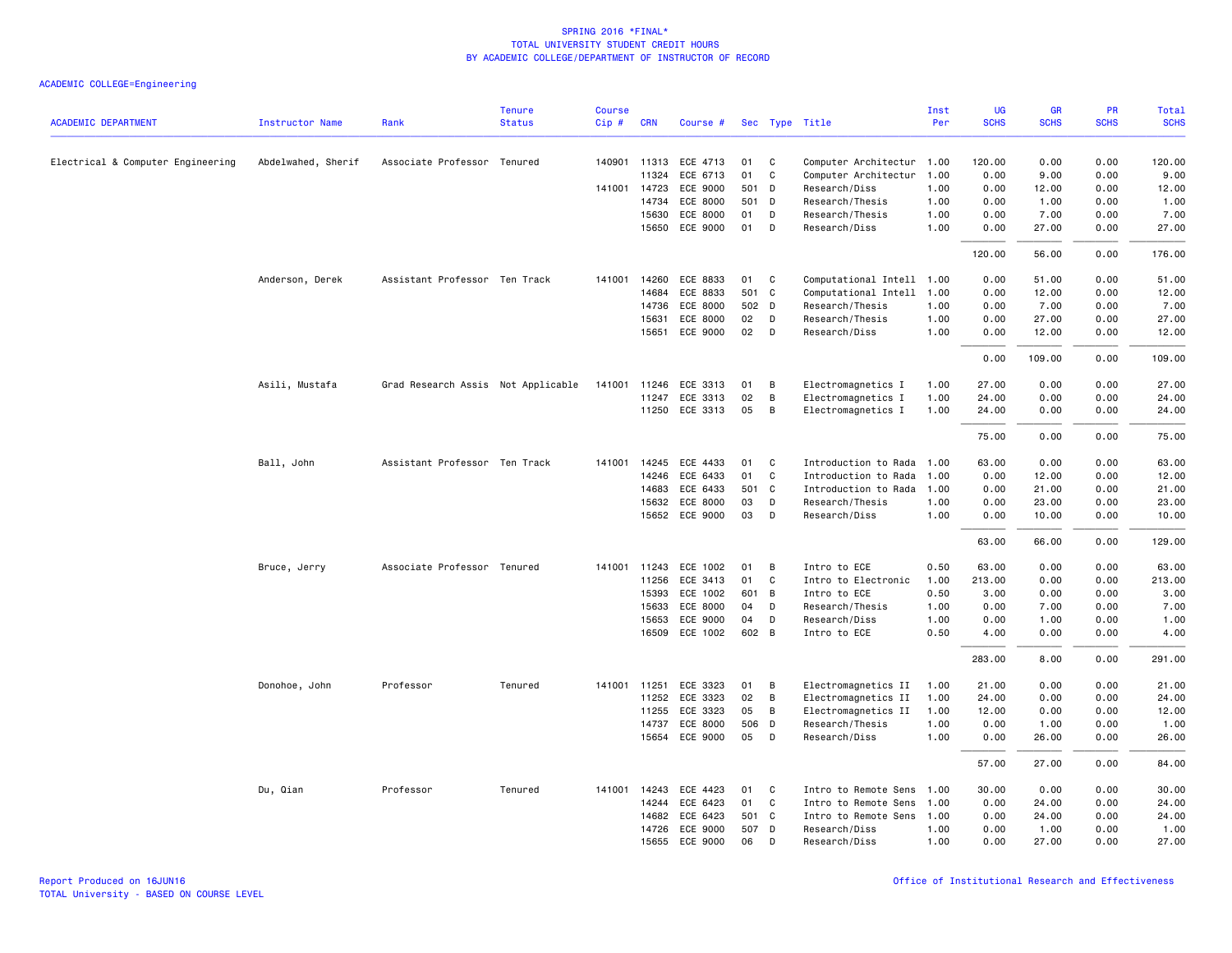| <b>ACADEMIC DEPARTMENT</b>        | <b>Instructor Name</b> | Rank                               | <b>Tenure</b><br><b>Status</b> | <b>Course</b><br>Cip# | <b>CRN</b>            | Course #             |          |                   | Sec Type Title                               | Inst<br>Per  | UG<br><b>SCHS</b> | GR<br><b>SCHS</b> | PR<br><b>SCHS</b> | Total<br><b>SCHS</b> |
|-----------------------------------|------------------------|------------------------------------|--------------------------------|-----------------------|-----------------------|----------------------|----------|-------------------|----------------------------------------------|--------------|-------------------|-------------------|-------------------|----------------------|
|                                   |                        |                                    |                                |                       |                       |                      |          |                   |                                              |              |                   |                   | 0.00              | 120.00               |
| Electrical & Computer Engineering | Abdelwahed, Sherif     | Associate Professor Tenured        |                                |                       | 140901 11313<br>11324 | ECE 4713<br>ECE 6713 | 01<br>01 | C<br>$\mathsf{C}$ | Computer Architectur<br>Computer Architectur | 1.00<br>1.00 | 120.00<br>0.00    | 0.00<br>9.00      | 0.00              | 9.00                 |
|                                   |                        |                                    |                                |                       | 141001 14723          | ECE 9000             | 501 D    |                   | Research/Diss                                | 1.00         | 0.00              | 12.00             | 0.00              | 12.00                |
|                                   |                        |                                    |                                |                       | 14734                 | ECE 8000             | 501 D    |                   | Research/Thesis                              | 1.00         | 0.00              | 1.00              | 0.00              | 1.00                 |
|                                   |                        |                                    |                                |                       | 15630                 | ECE 8000             | 01       | D                 | Research/Thesis                              | 1.00         | 0.00              | 7.00              | 0.00              | 7.00                 |
|                                   |                        |                                    |                                |                       | 15650                 | ECE 9000             | 01       | D                 | Research/Diss                                | 1.00         | 0.00              | 27.00             | 0.00              | 27.00                |
|                                   |                        |                                    |                                |                       |                       |                      |          |                   |                                              |              | 120.00            | 56.00             | 0.00              | 176.00               |
|                                   | Anderson, Derek        | Assistant Professor Ten Track      |                                | 141001                | 14260                 | ECE 8833             | 01       | C                 | Computational Intell 1.00                    |              | 0.00              | 51.00             | 0.00              | 51.00                |
|                                   |                        |                                    |                                |                       | 14684                 | ECE 8833             | 501      | $\mathbf c$       | Computational Intell                         | 1.00         | 0.00              | 12.00             | 0.00              | 12.00                |
|                                   |                        |                                    |                                |                       | 14736                 | ECE 8000             | 502 D    |                   | Research/Thesis                              | 1.00         | 0.00              | 7.00              | 0.00              | 7.00                 |
|                                   |                        |                                    |                                |                       | 15631                 | ECE 8000             | 02       | D                 | Research/Thesis                              | 1.00         | 0.00              | 27.00             | 0.00              | 27.00                |
|                                   |                        |                                    |                                |                       | 15651                 | <b>ECE 9000</b>      | 02       | D                 | Research/Diss                                | 1.00         | 0.00              | 12.00             | 0.00              | 12.00                |
|                                   |                        |                                    |                                |                       |                       |                      |          |                   |                                              |              | 0.00              | 109.00            | 0.00              | 109.00               |
|                                   | Asili, Mustafa         | Grad Research Assis Not Applicable |                                | 141001                | 11246                 | ECE 3313             | 01       | B                 | Electromagnetics I                           | 1.00         | 27.00             | 0.00              | 0.00              | 27.00                |
|                                   |                        |                                    |                                |                       | 11247                 | ECE 3313             | 02       | В                 | Electromagnetics I                           | 1.00         | 24.00             | 0.00              | 0.00              | 24.00                |
|                                   |                        |                                    |                                |                       |                       | 11250 ECE 3313       | 05       | B                 | Electromagnetics I                           | 1.00         | 24.00             | 0.00              | 0.00              | 24.00                |
|                                   |                        |                                    |                                |                       |                       |                      |          |                   |                                              |              | 75.00             | 0.00              | 0.00              | 75.00                |
|                                   | Ball, John             | Assistant Professor Ten Track      |                                | 141001                | 14245                 | ECE 4433             | 01       | C                 | Introduction to Rada                         | 1.00         | 63.00             | 0.00              | 0.00              | 63.00                |
|                                   |                        |                                    |                                |                       | 14246                 | ECE 6433             | 01       | $\mathtt{C}$      | Introduction to Rada                         | 1.00         | 0.00              | 12.00             | 0.00              | 12.00                |
|                                   |                        |                                    |                                |                       | 14683                 | ECE 6433             | 501 C    |                   | Introduction to Rada                         | 1.00         | 0.00              | 21.00             | 0.00              | 21.00                |
|                                   |                        |                                    |                                |                       | 15632                 | ECE 8000             | 03       | D                 | Research/Thesis                              | 1.00         | 0.00              | 23.00             | 0.00              | 23.00                |
|                                   |                        |                                    |                                |                       |                       | 15652 ECE 9000       | 03       | D                 | Research/Diss                                | 1.00         | 0.00              | 10.00             | 0.00              | 10.00                |
|                                   |                        |                                    |                                |                       |                       |                      |          |                   |                                              |              | 63.00             | 66.00             | 0.00              | 129.00               |
|                                   | Bruce, Jerry           | Associate Professor Tenured        |                                | 141001                | 11243                 | ECE 1002             | 01       | B                 | Intro to ECE                                 | 0.50         | 63.00             | 0.00              | 0.00              | 63.00                |
|                                   |                        |                                    |                                |                       | 11256                 | ECE 3413             | 01       | C                 | Intro to Electronic                          | 1.00         | 213.00            | 0.00              | 0.00              | 213.00               |
|                                   |                        |                                    |                                |                       | 15393                 | ECE 1002             | 601 B    |                   | Intro to ECE                                 | 0.50         | 3.00              | 0.00              | 0.00              | 3.00                 |
|                                   |                        |                                    |                                |                       | 15633                 | ECE 8000             | 04       | D                 | Research/Thesis                              | 1.00         | 0.00              | 7.00              | 0.00              | 7.00                 |
|                                   |                        |                                    |                                |                       | 15653                 | ECE 9000             | 04       | D                 | Research/Diss                                | 1.00         | 0.00              | 1.00              | 0.00              | 1.00                 |
|                                   |                        |                                    |                                |                       | 16509                 | ECE 1002             | 602 B    |                   | Intro to ECE                                 | 0.50         | 4.00              | 0.00              | 0.00              | 4.00                 |
|                                   |                        |                                    |                                |                       |                       |                      |          |                   |                                              |              | 283.00            | 8.00              | 0.00              | 291.00               |
|                                   | Donohoe, John          | Professor                          | Tenured                        |                       | 141001 11251          | ECE 3323             | 01       | В                 | Electromagnetics II                          | 1.00         | 21.00             | 0.00              | 0.00              | 21.00                |
|                                   |                        |                                    |                                |                       | 11252                 | ECE 3323             | 02       | B                 | Electromagnetics II                          | 1.00         | 24.00             | 0.00              | 0.00              | 24.00                |
|                                   |                        |                                    |                                |                       | 11255                 | ECE 3323             | 05       | В                 | Electromagnetics II                          | 1.00         | 12.00             | 0.00              | 0.00              | 12.00                |
|                                   |                        |                                    |                                |                       | 14737                 | ECE 8000             | 506 D    |                   | Research/Thesis                              | 1.00         | 0.00              | 1.00              | 0.00              | 1.00                 |
|                                   |                        |                                    |                                |                       | 15654                 | ECE 9000             | 05       | D                 | Research/Diss                                | 1.00         | 0.00              | 26.00             | 0.00              | 26.00                |
|                                   |                        |                                    |                                |                       |                       |                      |          |                   |                                              |              | 57.00             | 27.00             | 0.00              | 84.00                |
|                                   | Du, Qian               | Professor                          | Tenured                        |                       | 141001 14243          | ECE 4423             | 01       | C                 | Intro to Remote Sens                         | 1.00         | 30.00             | 0.00              | 0.00              | 30.00                |
|                                   |                        |                                    |                                |                       | 14244                 | ECE 6423             | 01       | C                 | Intro to Remote Sens                         | 1.00         | 0.00              | 24.00             | 0.00              | 24.00                |
|                                   |                        |                                    |                                |                       | 14682                 | ECE 6423             | 501 C    |                   | Intro to Remote Sens                         | 1.00         | 0.00              | 24.00             | 0.00              | 24.00                |
|                                   |                        |                                    |                                |                       | 14726                 | ECE 9000             | 507 D    |                   | Research/Diss                                | 1.00         | 0.00              | 1.00              | 0.00              | 1.00                 |
|                                   |                        |                                    |                                |                       | 15655                 | ECE 9000             | 06       | D                 | Research/Diss                                | 1.00         | 0.00              | 27,00             | 0.00              | 27.00                |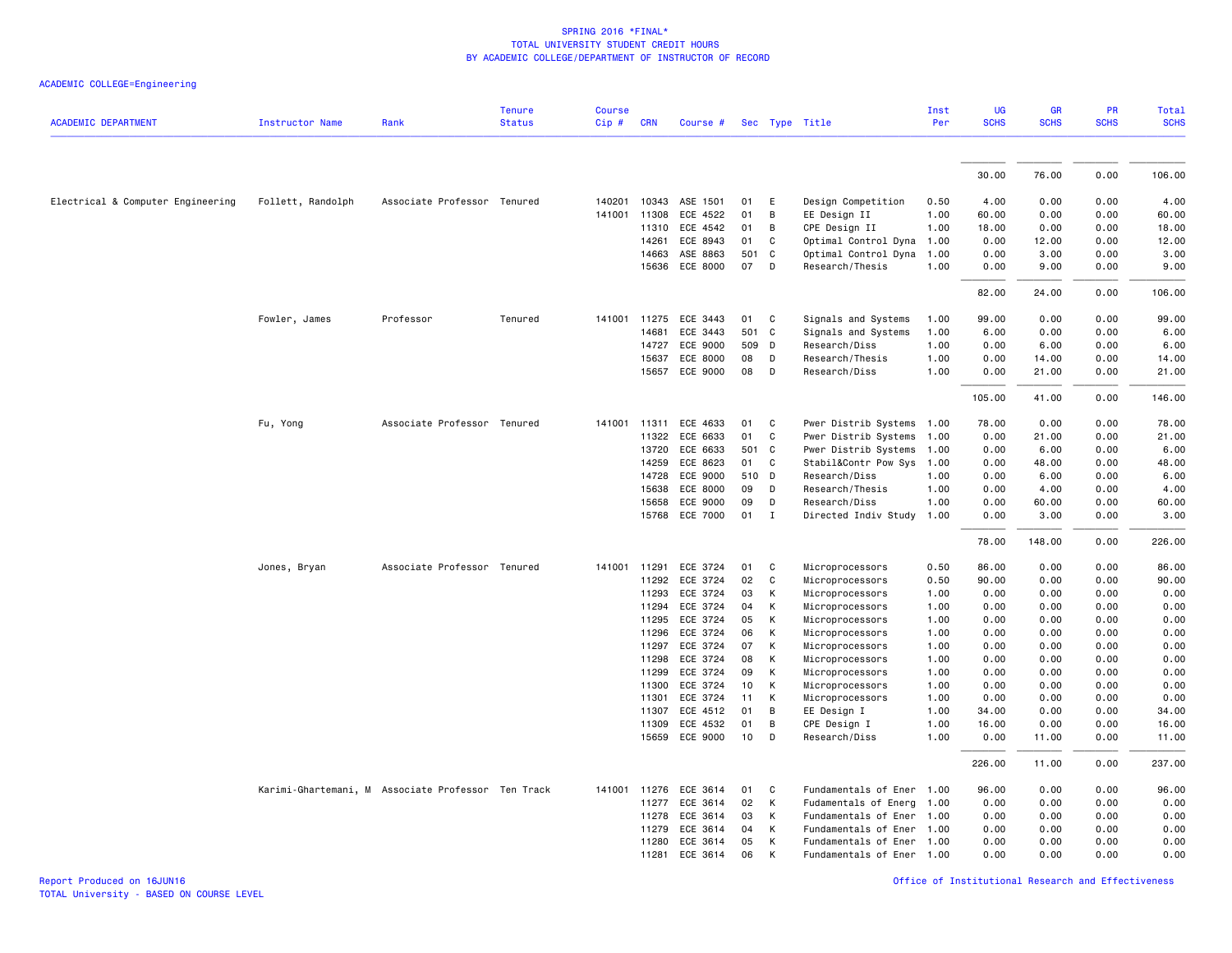| <b>ACADEMIC DEPARTMENT</b>        | <b>Instructor Name</b> | Rank                                               | <b>Tenure</b><br><b>Status</b> | <b>Course</b><br>Cip# | <b>CRN</b>     | Course #              |          | Sec Type Title |                                    | Inst<br>Per  | UG<br><b>SCHS</b> | GR<br><b>SCHS</b> | PR<br><b>SCHS</b> | Total<br><b>SCHS</b> |
|-----------------------------------|------------------------|----------------------------------------------------|--------------------------------|-----------------------|----------------|-----------------------|----------|----------------|------------------------------------|--------------|-------------------|-------------------|-------------------|----------------------|
|                                   |                        |                                                    |                                |                       |                |                       |          |                |                                    |              |                   |                   |                   |                      |
|                                   |                        |                                                    |                                |                       |                |                       |          |                |                                    |              | 30.00             | 76.00             | 0.00              | 106.00               |
| Electrical & Computer Engineering | Follett, Randolph      | Associate Professor Tenured                        |                                | 140201                | 10343          | ASE 1501              | 01       | E              | Design Competition                 | 0.50         | 4.00              | 0.00              | 0.00              | 4.00                 |
|                                   |                        |                                                    |                                | 141001                | 11308          | ECE 4522              | 01       | В              | EE Design II                       | 1.00         | 60.00             | 0.00              | 0.00              | 60.00                |
|                                   |                        |                                                    |                                |                       | 11310          | ECE 4542              | 01       | В              | CPE Design II                      | 1.00         | 18.00             | 0.00              | 0.00              | 18.00                |
|                                   |                        |                                                    |                                |                       | 14261          | ECE 8943              | 01       | C              | Optimal Control Dyna               | 1.00         | 0.00              | 12.00             | 0.00              | 12.00                |
|                                   |                        |                                                    |                                |                       | 14663          | ASE 8863              |          | 501 C          | Optimal Control Dyna               | 1.00         | 0.00              | 3.00              | 0.00              | 3.00                 |
|                                   |                        |                                                    |                                |                       |                | 15636 ECE 8000        | 07       | D              | Research/Thesis                    | 1.00         | 0.00              | 9.00              | 0.00              | 9.00                 |
|                                   |                        |                                                    |                                |                       |                |                       |          |                |                                    |              | 82.00             | 24.00             | 0.00              | 106.00               |
|                                   | Fowler, James          | Professor                                          | Tenured                        |                       | 141001 11275   | ECE 3443              | 01       | C              | Signals and Systems                | 1.00         | 99.00             | 0.00              | 0.00              | 99.00                |
|                                   |                        |                                                    |                                |                       | 14681          | ECE 3443              |          | 501 C          | Signals and Systems                | 1.00         | 6.00              | 0.00              | 0.00              | 6.00                 |
|                                   |                        |                                                    |                                |                       | 14727          | ECE 9000              |          | 509 D          | Research/Diss                      | 1.00         | 0.00              | 6.00              | 0.00              | 6.00                 |
|                                   |                        |                                                    |                                |                       | 15637          | ECE 8000              | 08       | D              | Research/Thesis                    | 1.00         | 0.00              | 14.00             | 0.00              | 14.00                |
|                                   |                        |                                                    |                                |                       | 15657          | ECE 9000              | 08       | D              | Research/Diss                      | 1.00         | 0.00              | 21.00             | 0.00              | 21.00                |
|                                   |                        |                                                    |                                |                       |                |                       |          |                |                                    |              | 105.00            | 41.00             | 0.00              | 146.00               |
|                                   | Fu, Yong               | Associate Professor Tenured                        |                                |                       | 141001 11311   | ECE 4633              | 01       | C.             | Pwer Distrib Systems 1.00          |              | 78.00             | 0.00              | 0.00              | 78.00                |
|                                   |                        |                                                    |                                |                       | 11322          | ECE 6633              | 01       | C              | Pwer Distrib Systems               | 1.00         | 0.00              | 21.00             | 0.00              | 21.00                |
|                                   |                        |                                                    |                                |                       | 13720          | ECE 6633              |          | 501 C          | Pwer Distrib Systems               | 1.00         | 0.00              | 6.00              | 0.00              | 6.00                 |
|                                   |                        |                                                    |                                |                       | 14259          | ECE 8623              | 01       | C.             | Stabil&Contr Pow Sys               | 1.00         | 0.00              | 48.00             | 0.00              | 48.00                |
|                                   |                        |                                                    |                                |                       | 14728          | ECE 9000              |          | 510 D          | Research/Diss                      | 1.00         | 0.00              | 6.00              | 0.00              | 6.00                 |
|                                   |                        |                                                    |                                |                       | 15638          | ECE 8000              | 09       | D              | Research/Thesis                    | 1.00         | 0.00              | 4.00              | 0.00              | 4.00                 |
|                                   |                        |                                                    |                                |                       | 15658          | ECE 9000              | 09       | D              | Research/Diss                      | 1.00         | 0.00              | 60.00             | 0.00              | 60.00                |
|                                   |                        |                                                    |                                |                       | 15768          | ECE 7000              | 01       | $\mathbf I$    | Directed Indiv Study               | 1.00         | 0.00              | 3.00              | 0.00              | 3.00                 |
|                                   |                        |                                                    |                                |                       |                |                       |          |                |                                    |              | 78.00             | 148.00            | 0.00              | 226.00               |
|                                   | Jones, Bryan           | Associate Professor Tenured                        |                                |                       | 141001 11291   | ECE 3724              | 01       | C              | Microprocessors                    | 0.50         | 86.00             | 0.00              | 0.00              | 86.00                |
|                                   |                        |                                                    |                                |                       | 11292          | ECE 3724              | 02       | C              | Microprocessors                    | 0.50         | 90.00             | 0.00              | 0.00              | 90.00                |
|                                   |                        |                                                    |                                |                       | 11293          | ECE 3724              | 03       | К              | Microprocessors                    | 1.00         | 0.00              | 0.00              | 0.00              | 0.00                 |
|                                   |                        |                                                    |                                |                       | 11294          | ECE 3724              | 04       | К              | Microprocessors                    | 1.00         | 0.00              | 0.00              | 0.00              | 0.00                 |
|                                   |                        |                                                    |                                |                       | 11295          | ECE 3724              | 05       | К              | Microprocessors                    | 1.00         | 0.00              | 0.00              | 0.00              | 0.00                 |
|                                   |                        |                                                    |                                |                       | 11296          | ECE 3724              | 06       | К              | Microprocessors                    | 1.00         | 0.00              | 0.00              | 0.00              | 0.00                 |
|                                   |                        |                                                    |                                |                       | 11297          | ECE 3724              | 07       | К              | Microprocessors                    | 1.00         | 0.00              | 0.00              | 0.00              | 0.00                 |
|                                   |                        |                                                    |                                |                       | 11298<br>11299 | ECE 3724<br>ECE 3724  | 08<br>09 | К              | Microprocessors                    | 1.00         | 0.00<br>0.00      | 0.00              | 0.00<br>0.00      | 0.00<br>0.00         |
|                                   |                        |                                                    |                                |                       | 11300          | ECE 3724              | 10       | К<br>К         | Microprocessors<br>Microprocessors | 1.00<br>1.00 | 0.00              | 0.00<br>0.00      | 0.00              | 0.00                 |
|                                   |                        |                                                    |                                |                       | 11301          | ECE 3724              | 11       | K              | Microprocessors                    | 1.00         | 0.00              | 0.00              | 0.00              | 0.00                 |
|                                   |                        |                                                    |                                |                       | 11307          | ECE 4512              | 01       | В              | EE Design I                        | 1.00         | 34.00             | 0.00              | 0.00              | 34.00                |
|                                   |                        |                                                    |                                |                       | 11309          | ECE 4532              | 01       | B              | CPE Design I                       | 1.00         | 16.00             | 0.00              | 0.00              | 16.00                |
|                                   |                        |                                                    |                                |                       | 15659          | ECE 9000              | 10       | D              | Research/Diss                      | 1.00         | 0.00              | 11.00             | 0.00              | 11.00                |
|                                   |                        |                                                    |                                |                       |                |                       |          |                |                                    |              | 226.00            | 11.00             | 0.00              | 237.00               |
|                                   |                        | Karimi-Ghartemani, M Associate Professor Ten Track |                                |                       |                | 141001 11276 ECE 3614 | 01       | C.             | Fundamentals of Ener 1.00          |              | 96.00             | 0.00              | 0.00              | 96.00                |
|                                   |                        |                                                    |                                |                       | 11277          | ECE 3614              | 02       | K              | Fudamentals of Energ 1.00          |              | 0.00              | 0.00              | 0.00              | 0.00                 |
|                                   |                        |                                                    |                                |                       | 11278          | ECE 3614              | 03       | К              | Fundamentals of Ener 1.00          |              | 0.00              | 0.00              | 0.00              | 0.00                 |
|                                   |                        |                                                    |                                |                       | 11279          | ECE 3614              | 04       | К              | Fundamentals of Ener 1.00          |              | 0.00              | 0.00              | 0.00              | 0.00                 |
|                                   |                        |                                                    |                                |                       | 11280          | ECE 3614              | 05       | К              | Fundamentals of Ener               | 1.00         | 0.00              | 0.00              | 0.00              | 0.00                 |
|                                   |                        |                                                    |                                |                       | 11281          | ECE 3614              | 06       | K              | Fundamentals of Ener 1.00          |              | 0.00              | 0.00              | 0.00              | 0.00                 |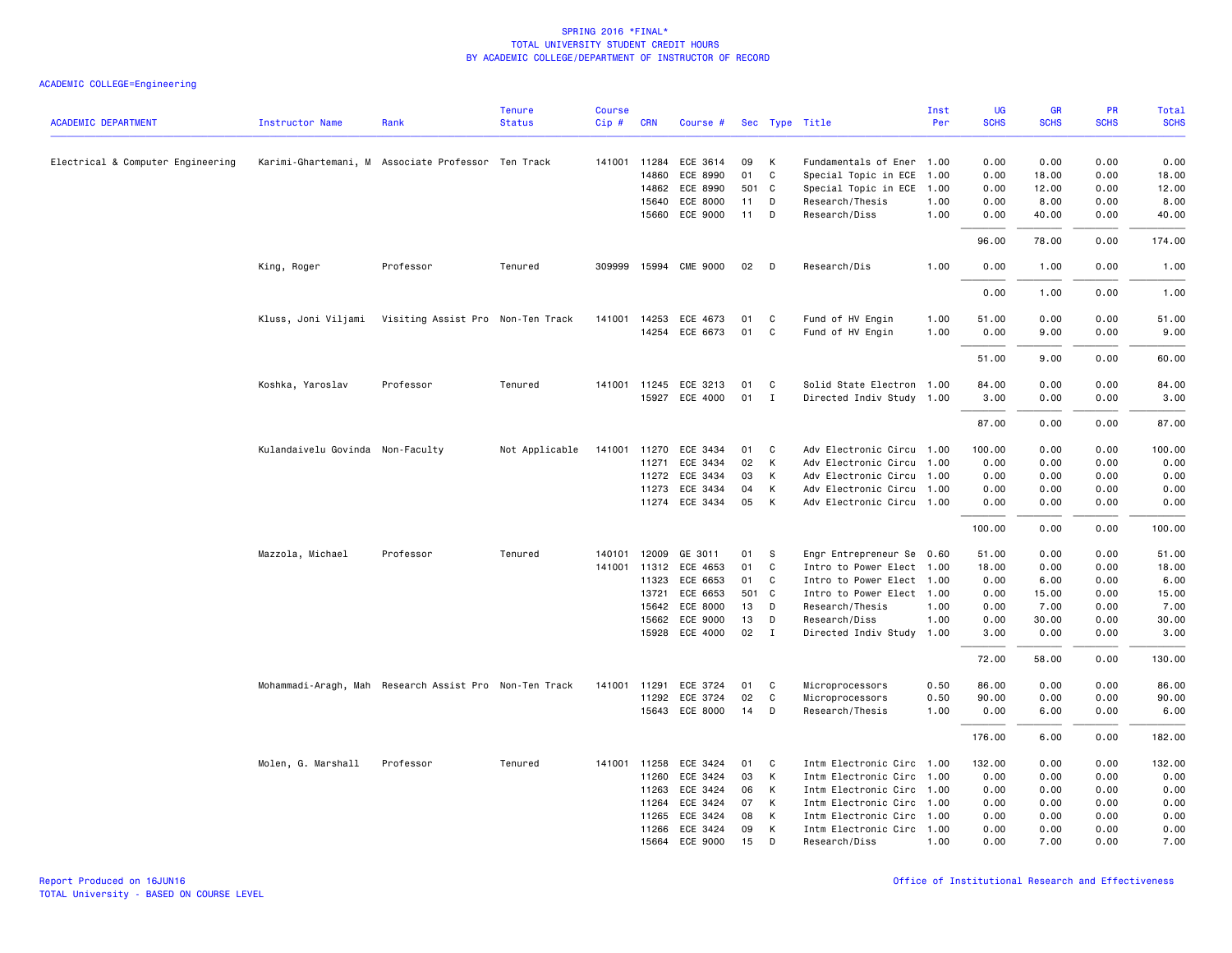|                                   |                                  |                                                        | <b>Tenure</b>  | <b>Course</b> |            |                       |     |              |                           | Inst | UG          | GR          | PR          | <b>Total</b> |
|-----------------------------------|----------------------------------|--------------------------------------------------------|----------------|---------------|------------|-----------------------|-----|--------------|---------------------------|------|-------------|-------------|-------------|--------------|
| <b>ACADEMIC DEPARTMENT</b>        | <b>Instructor Name</b>           | Rank                                                   | <b>Status</b>  | Cip#          | <b>CRN</b> | Course #              |     |              | Sec Type Title            | Per  | <b>SCHS</b> | <b>SCHS</b> | <b>SCHS</b> | <b>SCHS</b>  |
| Electrical & Computer Engineering |                                  | Karimi-Ghartemani, M Associate Professor Ten Track     |                |               |            | 141001 11284 ECE 3614 | 09  | Κ            | Fundamentals of Ener 1.00 |      | 0.00        | 0.00        | 0.00        | 0.00         |
|                                   |                                  |                                                        |                |               | 14860      | ECE 8990              | 01  | C            | Special Topic in ECE      | 1.00 | 0.00        | 18.00       | 0.00        | 18.00        |
|                                   |                                  |                                                        |                |               | 14862      | ECE 8990              | 501 | C.           | Special Topic in ECE      | 1.00 | 0.00        | 12.00       | 0.00        | 12.00        |
|                                   |                                  |                                                        |                |               | 15640      | ECE 8000              | 11  | D            | Research/Thesis           | 1.00 | 0.00        | 8.00        | 0.00        | 8.00         |
|                                   |                                  |                                                        |                |               |            | 15660 ECE 9000        | 11  | D            | Research/Diss             | 1.00 | 0.00        | 40.00       | 0.00        | 40.00        |
|                                   |                                  |                                                        |                |               |            |                       |     |              |                           |      | 96.00       | 78.00       | 0.00        | 174.00       |
|                                   | King, Roger                      | Professor                                              | Tenured        | 309999        |            | 15994 CME 9000        | 02  | D            | Research/Dis              | 1.00 | 0.00        | 1.00        | 0.00        | 1.00         |
|                                   |                                  |                                                        |                |               |            |                       |     |              |                           |      | 0.00        | 1.00        | 0.00        | 1.00         |
|                                   |                                  | Kluss, Joni Viljami Visiting Assist Pro Non-Ten Track  |                |               |            | 141001 14253 ECE 4673 | 01  | C            | Fund of HV Engin          | 1.00 | 51.00       | 0.00        | 0.00        | 51.00        |
|                                   |                                  |                                                        |                |               |            | 14254 ECE 6673        | 01  | C            | Fund of HV Engin          | 1.00 | 0.00        | 9.00        | 0.00        | 9.00         |
|                                   |                                  |                                                        |                |               |            |                       |     |              |                           |      |             |             |             |              |
|                                   |                                  |                                                        |                |               |            |                       |     |              |                           |      | 51.00       | 9.00        | 0.00        | 60.00        |
|                                   | Koshka, Yaroslav                 | Professor                                              | Tenured        |               |            | 141001 11245 ECE 3213 | 01  | C            | Solid State Electron 1.00 |      | 84.00       | 0.00        | 0.00        | 84.00        |
|                                   |                                  |                                                        |                |               |            | 15927 ECE 4000        | 01  | $\mathbf{I}$ | Directed Indiv Study 1.00 |      | 3.00        | 0.00        | 0.00        | 3.00         |
|                                   |                                  |                                                        |                |               |            |                       |     |              |                           |      | 87.00       | 0.00        | 0.00        | 87.00        |
|                                   | Kulandaivelu Govinda Non-Faculty |                                                        | Not Applicable | 141001        |            | 11270 ECE 3434        | 01  | С            | Adv Electronic Circu 1.00 |      | 100.00      | 0.00        | 0.00        | 100.00       |
|                                   |                                  |                                                        |                |               | 11271      | ECE 3434              | 02  | Κ            | Adv Electronic Circu      | 1.00 | 0.00        | 0.00        | 0.00        | 0.00         |
|                                   |                                  |                                                        |                |               |            | 11272 ECE 3434        | 03  | Κ            | Adv Electronic Circu      | 1.00 | 0.00        | 0.00        | 0.00        | 0.00         |
|                                   |                                  |                                                        |                |               |            | 11273 ECE 3434        | 04  | К            | Adv Electronic Circu 1.00 |      | 0.00        | 0.00        | 0.00        | 0.00         |
|                                   |                                  |                                                        |                |               |            | 11274 ECE 3434        | 05  | K            | Adv Electronic Circu 1.00 |      | 0.00        | 0.00        | 0.00        | 0.00         |
|                                   |                                  |                                                        |                |               |            |                       |     |              |                           |      | 100.00      | 0.00        | 0.00        | 100.00       |
|                                   | Mazzola, Michael                 | Professor                                              | Tenured        | 140101        | 12009      | GE 3011               | 01  | -S           | Engr Entrepreneur Se 0.60 |      | 51.00       | 0.00        | 0.00        | 51.00        |
|                                   |                                  |                                                        |                | 141001        | 11312      | ECE 4653              | 01  | C            | Intro to Power Elect      | 1.00 | 18.00       | 0.00        | 0.00        | 18.00        |
|                                   |                                  |                                                        |                |               | 11323      | ECE 6653              | 01  | C            | Intro to Power Elect 1.00 |      | 0.00        | 6.00        | 0.00        | 6.00         |
|                                   |                                  |                                                        |                |               | 13721      | ECE 6653              | 501 | $\mathbf{C}$ | Intro to Power Elect 1.00 |      | 0.00        | 15.00       | 0.00        | 15.00        |
|                                   |                                  |                                                        |                |               | 15642      | ECE 8000              | 13  | D            | Research/Thesis           | 1.00 | 0.00        | 7.00        | 0.00        | 7.00         |
|                                   |                                  |                                                        |                |               | 15662      | ECE 9000              | 13  | D            | Research/Diss             | 1.00 | 0.00        | 30.00       | 0.00        | 30.00        |
|                                   |                                  |                                                        |                |               |            | 15928 ECE 4000        | 02  | I            | Directed Indiv Study 1.00 |      | 3.00        | 0.00        | 0.00        | 3.00         |
|                                   |                                  |                                                        |                |               |            |                       |     |              |                           |      | 72.00       | 58.00       | 0.00        | 130.00       |
|                                   |                                  | Mohammadi-Aragh, Mah Research Assist Pro Non-Ten Track |                | 141001        | 11291      | ECE 3724              | 01  | C            | Microprocessors           | 0.50 | 86.00       | 0.00        | 0.00        | 86.00        |
|                                   |                                  |                                                        |                |               |            | 11292 ECE 3724        | 02  | C            | Microprocessors           | 0.50 | 90.00       | 0.00        | 0.00        | 90.00        |
|                                   |                                  |                                                        |                |               |            | 15643 ECE 8000        | 14  | D            | Research/Thesis           | 1.00 | 0.00        | 6.00        | 0.00        | 6.00         |
|                                   |                                  |                                                        |                |               |            |                       |     |              |                           |      | 176.00      | 6.00        | 0.00        | 182.00       |
|                                   | Molen, G. Marshall               | Professor                                              | Tenured        | 141001        | 11258      | ECE 3424              | 01  | C            | Intm Electronic Circ      | 1.00 | 132.00      | 0.00        | 0.00        | 132.00       |
|                                   |                                  |                                                        |                |               |            | 11260 ECE 3424        | 03  | К            | Intm Electronic Circ      | 1.00 | 0.00        | 0.00        | 0.00        | 0.00         |
|                                   |                                  |                                                        |                |               | 11263      | ECE 3424              | 06  | К            | Intm Electronic Circ 1.00 |      | 0.00        | 0.00        | 0.00        | 0.00         |
|                                   |                                  |                                                        |                |               | 11264      | ECE 3424              | 07  | К            | Intm Electronic Circ 1.00 |      | 0.00        | 0.00        | 0.00        | 0.00         |
|                                   |                                  |                                                        |                |               | 11265      | ECE 3424              | 08  | Κ            | Intm Electronic Circ      | 1.00 | 0.00        | 0.00        | 0.00        | 0.00         |
|                                   |                                  |                                                        |                |               |            | 11266 ECE 3424        | 09  | К            | Intm Electronic Circ 1.00 |      | 0.00        | 0.00        | 0.00        | 0.00         |
|                                   |                                  |                                                        |                |               |            | 15664 ECE 9000        | 15  | D            | Research/Diss             | 1.00 | 0.00        | 7.00        | 0.00        | 7.00         |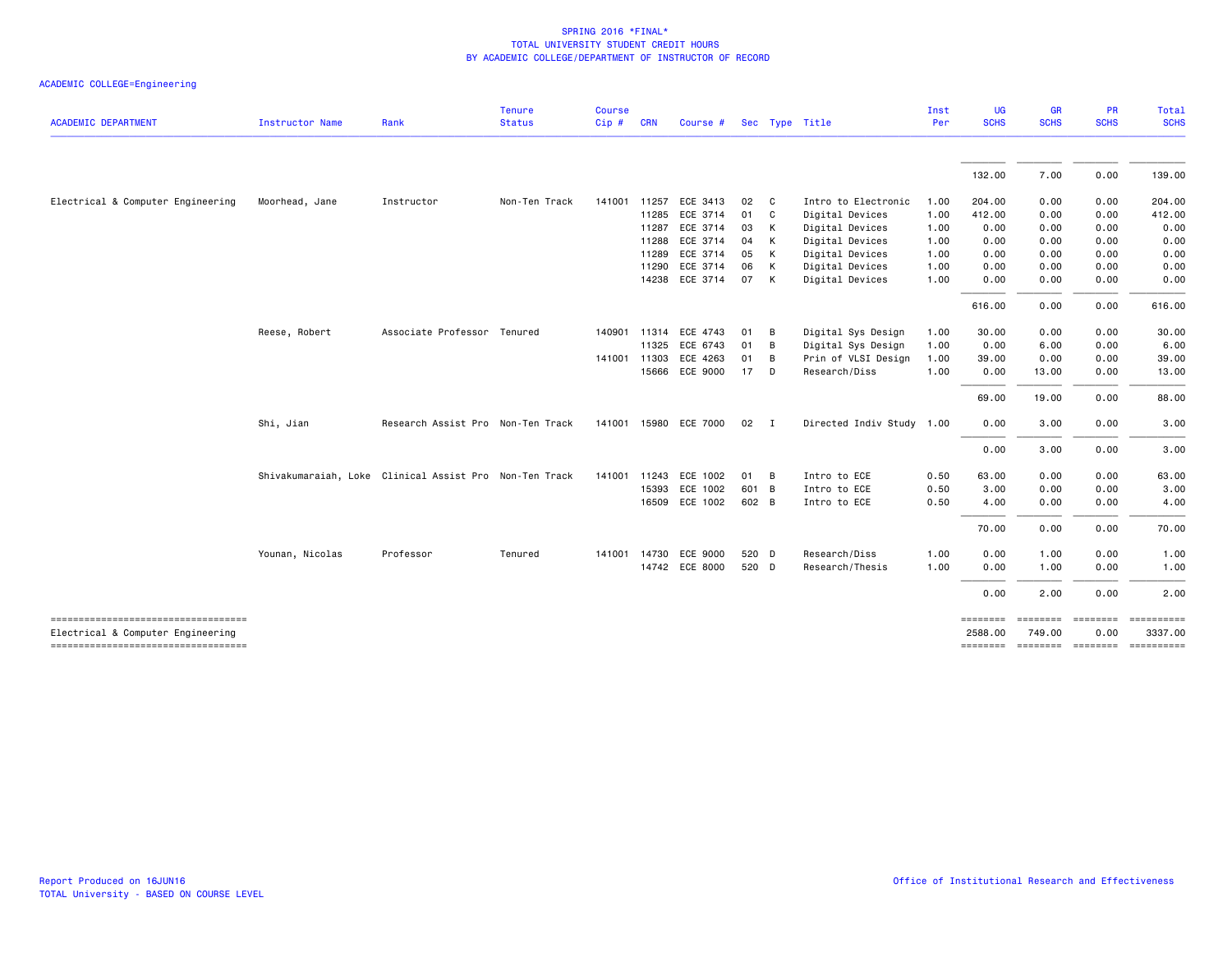| ACADEMIC COLLEGE=Engineering |  |  |  |  |
|------------------------------|--|--|--|--|
|------------------------------|--|--|--|--|

| <b>ACADEMIC DEPARTMENT</b>                                                 | <b>Instructor Name</b> | Rank                                                   | <b>Tenure</b><br><b>Status</b> | <b>Course</b><br>Cip# | <b>CRN</b>   | Course #              |               |                | Sec Type Title            | Inst<br>Per | <b>UG</b><br><b>SCHS</b> | <b>GR</b><br><b>SCHS</b> | <b>PR</b><br><b>SCHS</b> | Total<br><b>SCHS</b>  |
|----------------------------------------------------------------------------|------------------------|--------------------------------------------------------|--------------------------------|-----------------------|--------------|-----------------------|---------------|----------------|---------------------------|-------------|--------------------------|--------------------------|--------------------------|-----------------------|
|                                                                            |                        |                                                        |                                |                       |              |                       |               |                |                           |             |                          |                          |                          |                       |
|                                                                            |                        |                                                        |                                |                       |              |                       |               |                |                           |             | 132.00                   | 7.00                     | 0.00                     | 139.00                |
| Electrical & Computer Engineering                                          | Moorhead, Jane         | Instructor                                             | Non-Ten Track                  |                       | 141001 11257 | ECE 3413              | 02            | $\mathbf{C}$   | Intro to Electronic       | 1.00        | 204.00                   | 0.00                     | 0.00                     | 204.00                |
|                                                                            |                        |                                                        |                                |                       | 11285        | ECE 3714              | 01 C          |                | Digital Devices           | 1.00        | 412.00                   | 0.00                     | 0.00                     | 412.00                |
|                                                                            |                        |                                                        |                                |                       | 11287        | ECE 3714              | 03            | K              | Digital Devices           | 1.00        | 0.00                     | 0.00                     | 0.00                     | 0.00                  |
|                                                                            |                        |                                                        |                                |                       | 11288        | ECE 3714              | 04            | K              | Digital Devices           | 1.00        | 0.00                     | 0.00                     | 0.00                     | 0.00                  |
|                                                                            |                        |                                                        |                                |                       | 11289        | ECE 3714              | 05            | K              | Digital Devices           | 1.00        | 0.00                     | 0.00                     | 0.00                     | 0.00                  |
|                                                                            |                        |                                                        |                                |                       | 11290        | ECE 3714              | 06            | K              | Digital Devices           | 1.00        | 0.00                     | 0.00                     | 0.00                     | 0.00                  |
|                                                                            |                        |                                                        |                                |                       |              | 14238 ECE 3714        | 07            | $\mathsf{K}$   | Digital Devices           | 1.00        | 0.00                     | 0.00                     | 0.00                     | 0.00                  |
|                                                                            |                        |                                                        |                                |                       |              |                       |               |                |                           |             | 616.00                   | 0.00                     | 0.00                     | 616.00                |
|                                                                            | Reese, Robert          | Associate Professor Tenured                            |                                |                       | 140901 11314 | ECE 4743              | 01            | $\overline{B}$ | Digital Sys Design        | 1.00        | 30.00                    | 0.00                     | 0.00                     | 30.00                 |
|                                                                            |                        |                                                        |                                |                       | 11325        | ECE 6743              | 01            | B              | Digital Sys Design        | 1.00        | 0.00                     | 6.00                     | 0.00                     | 6.00                  |
|                                                                            |                        |                                                        |                                |                       | 141001 11303 | ECE 4263              | 01            | B              | Prin of VLSI Design       | 1.00        | 39.00                    | 0.00                     | 0.00                     | 39.00                 |
|                                                                            |                        |                                                        |                                |                       | 15666        | ECE 9000              | 17 D          |                | Research/Diss             | 1.00        | 0.00                     | 13.00                    | 0.00                     | 13.00                 |
|                                                                            |                        |                                                        |                                |                       |              |                       |               |                |                           |             | 69.00                    | 19.00                    | 0.00                     | 88.00                 |
|                                                                            | Shi, Jian              | Research Assist Pro Non-Ten Track                      |                                |                       |              | 141001 15980 ECE 7000 | $02 \qquad I$ |                | Directed Indiv Study 1.00 |             | 0.00                     | 3.00                     | 0.00                     | 3.00                  |
|                                                                            |                        |                                                        |                                |                       |              |                       |               |                |                           |             | 0.00                     | 3.00                     | 0.00                     | 3.00                  |
|                                                                            |                        | Shivakumaraiah, Loke Clinical Assist Pro Non-Ten Track |                                |                       | 141001 11243 | ECE 1002              | 01 B          |                | Intro to ECE              | 0.50        | 63.00                    | 0.00                     | 0.00                     | 63.00                 |
|                                                                            |                        |                                                        |                                |                       | 15393        | ECE 1002              | 601 B         |                | Intro to ECE              | 0.50        | 3.00                     | 0.00                     | 0.00                     | 3.00                  |
|                                                                            |                        |                                                        |                                |                       |              | 16509 ECE 1002        | 602 B         |                | Intro to ECE              | 0.50        | 4.00                     | 0.00                     | 0.00                     | 4.00                  |
|                                                                            |                        |                                                        |                                |                       |              |                       |               |                |                           |             | 70.00                    | 0.00                     | 0.00                     | 70.00                 |
|                                                                            | Younan, Nicolas        | Professor                                              | Tenured                        |                       | 141001 14730 | ECE 9000              | 520 D         |                | Research/Diss             | 1.00        | 0.00                     | 1.00                     | 0.00                     | 1.00                  |
|                                                                            |                        |                                                        |                                |                       |              | 14742 ECE 8000        | 520 D         |                | Research/Thesis           | 1.00        | 0.00                     | 1.00                     | 0.00                     | 1.00                  |
|                                                                            |                        |                                                        |                                |                       |              |                       |               |                |                           |             | 0.00                     | 2.00                     | 0.00                     | 2.00                  |
| -------------------------------------<br>Electrical & Computer Engineering |                        |                                                        |                                |                       |              |                       |               |                |                           |             | ========<br>2588.00      | 749.00                   | 0.00                     | ==========<br>3337.00 |
| ----------------------------------                                         |                        |                                                        |                                |                       |              |                       |               |                |                           |             | ========                 | --------- --------       |                          |                       |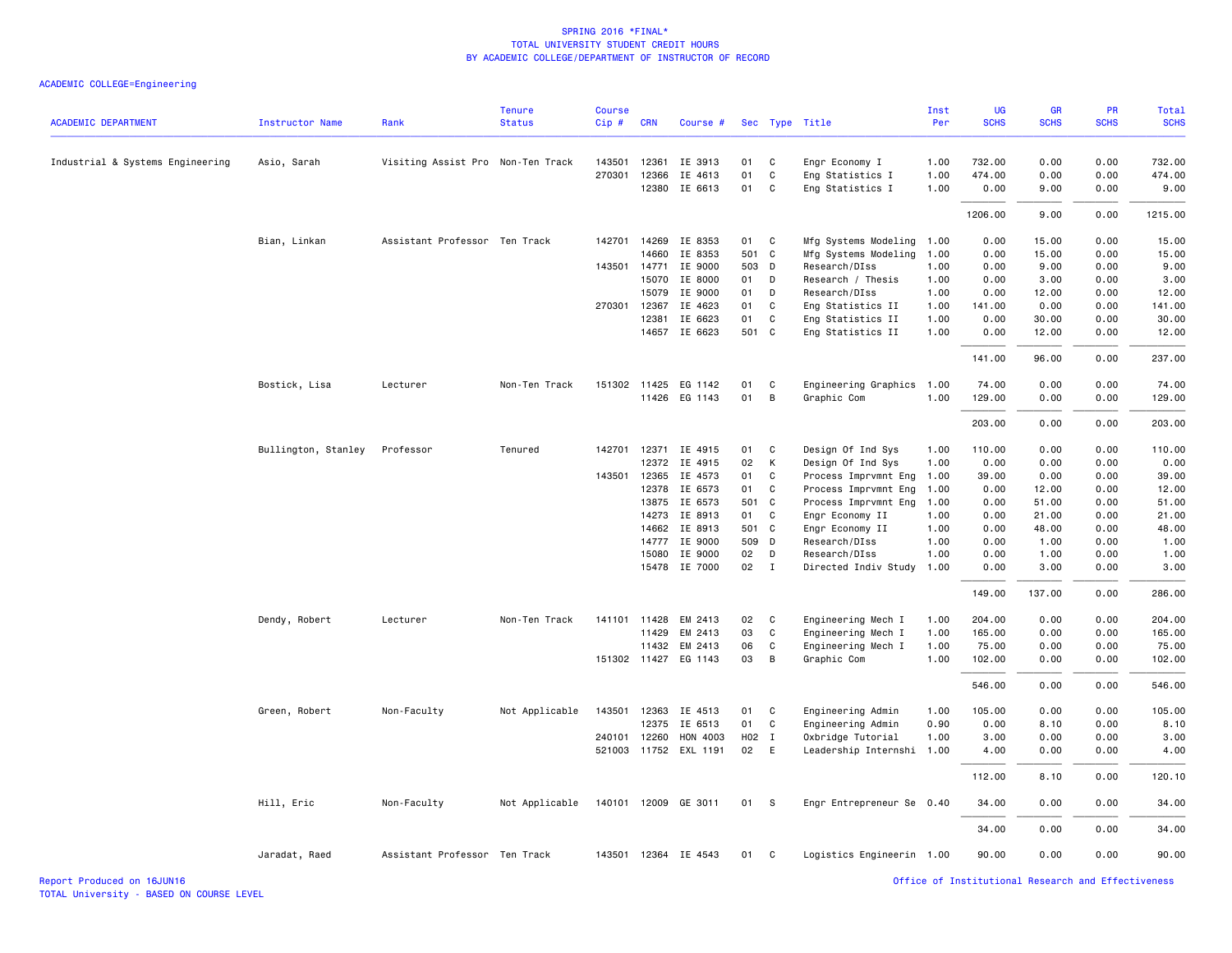| <b>ACADEMIC DEPARTMENT</b>       | Instructor Name     | Rank                              | <b>Tenure</b><br><b>Status</b> | <b>Course</b><br>Cip# | <b>CRN</b>   | Course #              |       |              | Sec Type Title            | Inst<br>Per | UG<br><b>SCHS</b> | <b>GR</b><br><b>SCHS</b> | <b>PR</b><br><b>SCHS</b> | <b>Total</b><br><b>SCHS</b> |
|----------------------------------|---------------------|-----------------------------------|--------------------------------|-----------------------|--------------|-----------------------|-------|--------------|---------------------------|-------------|-------------------|--------------------------|--------------------------|-----------------------------|
| Industrial & Systems Engineering | Asio, Sarah         | Visiting Assist Pro Non-Ten Track |                                | 143501                | 12361        | IE 3913               | 01    | C            | Engr Economy I            | 1.00        | 732.00            | 0.00                     | 0.00                     | 732.00                      |
|                                  |                     |                                   |                                | 270301                | 12366        | IE 4613               | 01    | C            | Eng Statistics I          | 1.00        | 474.00            | 0.00                     | 0.00                     | 474.00                      |
|                                  |                     |                                   |                                |                       | 12380        | IE 6613               | 01    | C            | Eng Statistics I          | 1.00        | 0.00              | 9.00                     | 0.00                     | 9.00                        |
|                                  |                     |                                   |                                |                       |              |                       |       |              |                           |             | 1206.00           | 9.00                     | 0.00                     | 1215.00                     |
|                                  | Bian, Linkan        | Assistant Professor Ten Track     |                                | 142701                | 14269        | IE 8353               | 01    | C            | Mfg Systems Modeling      | 1.00        | 0.00              | 15.00                    | 0.00                     | 15.00                       |
|                                  |                     |                                   |                                |                       | 14660        | IE 8353               | 501 C |              | Mfg Systems Modeling      | 1.00        | 0.00              | 15.00                    | 0.00                     | 15.00                       |
|                                  |                     |                                   |                                | 143501 14771          |              | IE 9000               | 503 D |              | Research/DIss             | 1.00        | 0.00              | 9.00                     | 0.00                     | 9.00                        |
|                                  |                     |                                   |                                |                       | 15070        | IE 8000               | 01    | D            | Research / Thesis         | 1.00        | 0.00              | 3.00                     | 0.00                     | 3.00                        |
|                                  |                     |                                   |                                |                       | 15079        | IE 9000               | 01    | D            | Research/DIss             | 1.00        | 0.00              | 12.00                    | 0.00                     | 12.00                       |
|                                  |                     |                                   |                                | 270301                | 12367        | IE 4623               | 01    | C            | Eng Statistics II         | 1.00        | 141.00            | 0.00                     | 0.00                     | 141.00                      |
|                                  |                     |                                   |                                |                       | 12381        | IE 6623               | 01    | C            | Eng Statistics II         | 1.00        | 0.00              | 30.00                    | 0.00                     | 30.00                       |
|                                  |                     |                                   |                                |                       | 14657        | IE 6623               | 501 C |              | Eng Statistics II         | 1.00        | 0.00              | 12.00                    | 0.00                     | 12.00                       |
|                                  |                     |                                   |                                |                       |              |                       |       |              |                           |             | 141.00            | 96.00                    | 0.00                     | 237.00                      |
|                                  | Bostick, Lisa       | Lecturer                          | Non-Ten Track                  |                       |              | 151302 11425 EG 1142  | 01    | C            | Engineering Graphics      | 1.00        | 74.00             | 0.00                     | 0.00                     | 74.00                       |
|                                  |                     |                                   |                                |                       |              | 11426 EG 1143         | 01    | B            | Graphic Com               | 1.00        | 129.00            | 0.00                     | 0.00                     | 129.00                      |
|                                  |                     |                                   |                                |                       |              |                       |       |              |                           |             | 203.00            | 0.00                     | 0.00                     | 203.00                      |
|                                  | Bullington, Stanley | Professor                         | Tenured                        | 142701                |              | 12371 IE 4915         | 01    | C            | Design Of Ind Sys         | 1.00        | 110.00            | 0.00                     | 0.00                     | 110.00                      |
|                                  |                     |                                   |                                |                       | 12372        | IE 4915               | 02    | K            | Design Of Ind Sys         | 1.00        | 0.00              | 0.00                     | 0.00                     | 0.00                        |
|                                  |                     |                                   |                                |                       | 143501 12365 | IE 4573               | 01    | C            | Process Imprvmnt Eng      | 1.00        | 39.00             | 0.00                     | 0.00                     | 39.00                       |
|                                  |                     |                                   |                                |                       | 12378        | IE 6573               | 01    | C            | Process Imprvmnt Eng      | 1.00        | 0.00              | 12.00                    | 0.00                     | 12.00                       |
|                                  |                     |                                   |                                |                       | 13875        | IE 6573               | 501 C |              | Process Imprvmnt Eng      | 1.00        | 0.00              | 51.00                    | 0.00                     | 51.00                       |
|                                  |                     |                                   |                                |                       | 14273        | IE 8913               | 01    | C            | Engr Economy II           | 1.00        | 0.00              | 21.00                    | 0.00                     | 21.00                       |
|                                  |                     |                                   |                                |                       | 14662        | IE 8913               | 501 C |              | Engr Economy II           | 1.00        | 0.00              | 48.00                    | 0.00                     | 48.00                       |
|                                  |                     |                                   |                                |                       | 14777        | IE 9000               | 509 D |              | Research/DIss             | 1.00        | 0.00              | 1.00                     | 0.00                     | 1.00                        |
|                                  |                     |                                   |                                |                       | 15080        | IE 9000               | 02    | D            | Research/DIss             | 1.00        | 0.00              | 1.00                     | 0.00                     | 1.00                        |
|                                  |                     |                                   |                                |                       |              | 15478 IE 7000         | 02    | $\mathbf{I}$ | Directed Indiv Study      | 1.00        | 0.00              | 3.00                     | 0.00                     | 3.00                        |
|                                  |                     |                                   |                                |                       |              |                       |       |              |                           |             | 149.00            | 137.00                   | 0.00                     | 286.00                      |
|                                  | Dendy, Robert       | Lecturer                          | Non-Ten Track                  | 141101                | 11428        | EM 2413               | 02    | C            | Engineering Mech I        | 1.00        | 204.00            | 0.00                     | 0.00                     | 204.00                      |
|                                  |                     |                                   |                                |                       | 11429        | EM 2413               | 03    | C            | Engineering Mech I        | 1.00        | 165.00            | 0.00                     | 0.00                     | 165.00                      |
|                                  |                     |                                   |                                |                       | 11432        | EM 2413               | 06    | C            | Engineering Mech I        | 1.00        | 75.00             | 0.00                     | 0.00                     | 75.00                       |
|                                  |                     |                                   |                                |                       |              | 151302 11427 EG 1143  | 03    | B            | Graphic Com               | 1.00        | 102.00            | 0.00                     | 0.00                     | 102.00                      |
|                                  |                     |                                   |                                |                       |              |                       |       |              |                           |             | 546.00            | 0.00                     | 0.00                     | 546.00                      |
|                                  | Green, Robert       | Non-Faculty                       | Not Applicable                 | 143501                | 12363        | IE 4513               | 01    | C            | Engineering Admin         | 1.00        | 105.00            | 0.00                     | 0.00                     | 105.00                      |
|                                  |                     |                                   |                                |                       | 12375        | IE 6513               | 01    | C            | Engineering Admin         | 0.90        | 0.00              | 8.10                     | 0.00                     | 8.10                        |
|                                  |                     |                                   |                                | 240101                | 12260        | HON 4003              | H02 I |              | Oxbridge Tutorial         | 1.00        | 3.00              | 0.00                     | 0.00                     | 3.00                        |
|                                  |                     |                                   |                                |                       |              | 521003 11752 EXL 1191 | 02    | E            | Leadership Internshi      | 1.00        | 4.00              | 0.00                     | 0.00                     | 4.00                        |
|                                  |                     |                                   |                                |                       |              |                       |       |              |                           |             | 112.00            | 8.10                     | 0.00                     | 120.10                      |
|                                  | Hill, Eric          | Non-Faculty                       | Not Applicable                 | 140101                |              | 12009 GE 3011         | 01    | - S          | Engr Entrepreneur Se 0.40 |             | 34.00             | 0.00                     | 0.00                     | 34.00                       |
|                                  |                     |                                   |                                |                       |              |                       |       |              |                           |             | 34.00             | 0.00                     | 0.00                     | 34.00                       |
|                                  | Jaradat, Raed       | Assistant Professor Ten Track     |                                |                       |              | 143501 12364 IE 4543  | 01    | C            | Logistics Engineerin 1.00 |             | 90.00             | 0.00                     | 0.00                     | 90.00                       |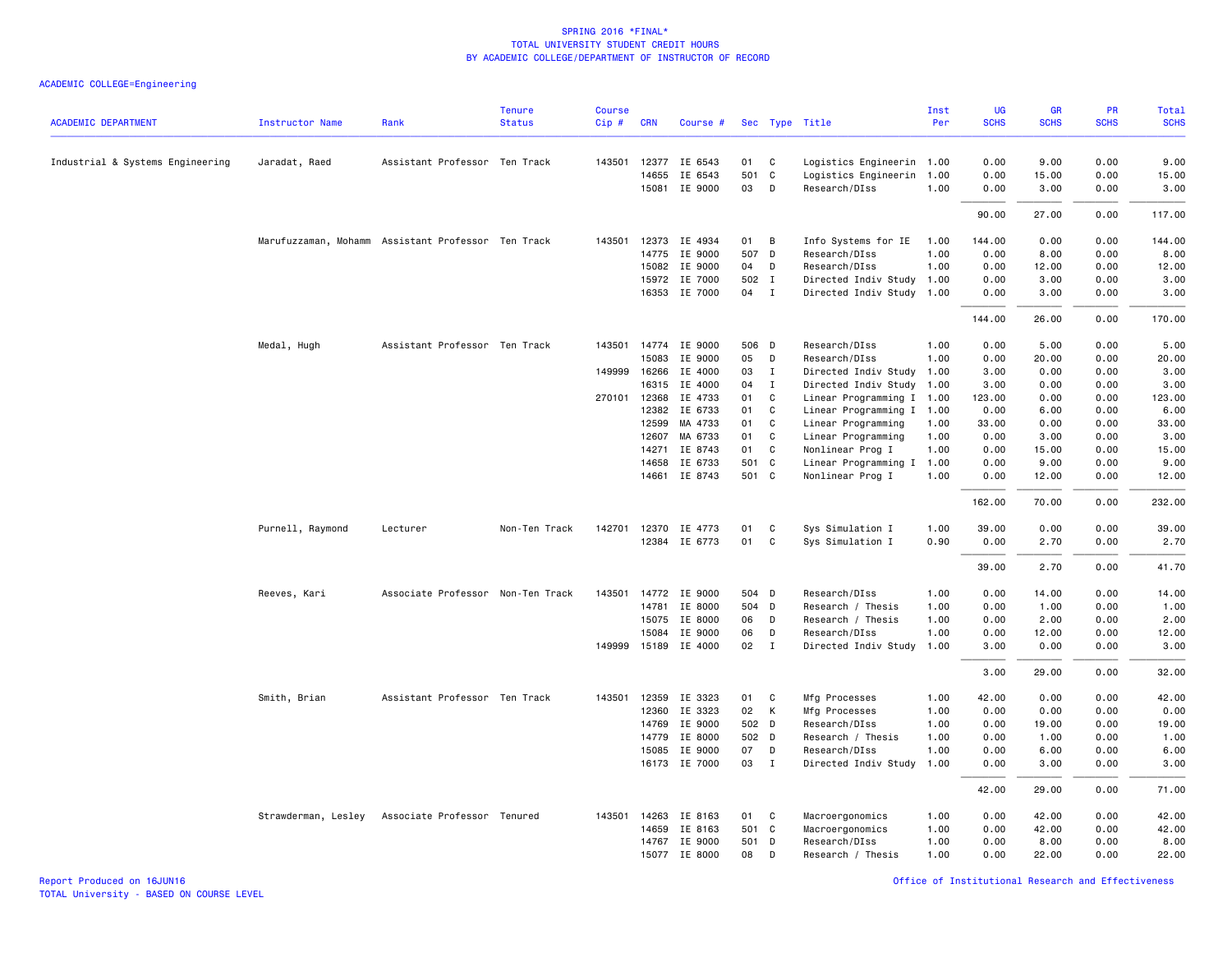|                                  |                                                    |                                   | <b>Tenure</b> | Course |              |                      |       |                |                           | Inst | UG          | <b>GR</b>   | PR          | Total       |
|----------------------------------|----------------------------------------------------|-----------------------------------|---------------|--------|--------------|----------------------|-------|----------------|---------------------------|------|-------------|-------------|-------------|-------------|
| <b>ACADEMIC DEPARTMENT</b>       | <b>Instructor Name</b>                             | Rank                              | <b>Status</b> | Cip#   | <b>CRN</b>   | Course #             |       |                | Sec Type Title            | Per  | <b>SCHS</b> | <b>SCHS</b> | <b>SCHS</b> | <b>SCHS</b> |
| Industrial & Systems Engineering | Jaradat, Raed                                      | Assistant Professor Ten Track     |               | 143501 |              | 12377 IE 6543        | 01    | C <sub>1</sub> | Logistics Engineerin 1.00 |      | 0.00        | 9.00        | 0.00        | 9.00        |
|                                  |                                                    |                                   |               |        | 14655        | IE 6543              | 501 C |                | Logistics Engineerin 1.00 |      | 0.00        | 15.00       | 0.00        | 15.00       |
|                                  |                                                    |                                   |               |        |              | 15081 IE 9000        | 03    | D              | Research/DIss             | 1.00 | 0.00        | 3.00        | 0.00        | 3.00        |
|                                  |                                                    |                                   |               |        |              |                      |       |                |                           |      | 90.00       | 27.00       | 0.00        | 117.00      |
|                                  | Marufuzzaman, Mohamm Assistant Professor Ten Track |                                   |               | 143501 |              | 12373 IE 4934        | 01    | B              | Info Systems for IE       | 1.00 | 144.00      | 0.00        | 0.00        | 144.00      |
|                                  |                                                    |                                   |               |        | 14775        | IE 9000              | 507 D |                | Research/DIss             | 1.00 | 0.00        | 8.00        | 0.00        | 8.00        |
|                                  |                                                    |                                   |               |        | 15082        | IE 9000              | 04    | D              | Research/DIss             | 1.00 | 0.00        | 12.00       | 0.00        | 12.00       |
|                                  |                                                    |                                   |               |        |              | 15972 IE 7000        |       | 502 I          | Directed Indiv Study 1.00 |      | 0.00        | 3.00        | 0.00        | 3.00        |
|                                  |                                                    |                                   |               |        |              | 16353 IE 7000        | 04 I  |                | Directed Indiv Study      | 1.00 | 0.00        | 3.00        | 0.00        | 3.00        |
|                                  |                                                    |                                   |               |        |              |                      |       |                |                           |      | 144.00      | 26.00       | 0.00        | 170.00      |
|                                  | Medal, Hugh                                        | Assistant Professor Ten Track     |               | 143501 |              | 14774 IE 9000        | 506 D |                | Research/DIss             | 1.00 | 0.00        | 5.00        | 0.00        | 5.00        |
|                                  |                                                    |                                   |               |        | 15083        | IE 9000              | 05    | D              | Research/DIss             | 1.00 | 0.00        | 20.00       | 0.00        | 20.00       |
|                                  |                                                    |                                   |               | 149999 | 16266        | IE 4000              | 03    | $\mathbf{I}$   | Directed Indiv Study      | 1.00 | 3.00        | 0.00        | 0.00        | 3.00        |
|                                  |                                                    |                                   |               |        | 16315        | IE 4000              | 04    | $\mathbf I$    | Directed Indiv Study      | 1.00 | 3.00        | 0.00        | 0.00        | 3.00        |
|                                  |                                                    |                                   |               |        | 270101 12368 | IE 4733              | 01    | C              | Linear Programming I 1.00 |      | 123.00      | 0.00        | 0.00        | 123.00      |
|                                  |                                                    |                                   |               |        | 12382        | IE 6733              | 01    | $\mathbf{C}$   | Linear Programming I      | 1.00 | 0.00        | 6.00        | 0.00        | 6.00        |
|                                  |                                                    |                                   |               |        | 12599        | MA 4733              | 01    | C              | Linear Programming        | 1.00 | 33.00       | 0.00        | 0.00        | 33.00       |
|                                  |                                                    |                                   |               |        | 12607        | MA 6733              | 01    | C              | Linear Programming        | 1.00 | 0.00        | 3.00        | 0.00        | 3.00        |
|                                  |                                                    |                                   |               |        | 14271        | IE 8743              | 01    | C              | Nonlinear Prog I          | 1.00 | 0.00        | 15.00       | 0.00        | 15.00       |
|                                  |                                                    |                                   |               |        | 14658        | IE 6733              | 501 C |                | Linear Programming I      | 1.00 | 0.00        | 9.00        | 0.00        | 9.00        |
|                                  |                                                    |                                   |               |        |              | 14661 IE 8743        | 501 C |                | Nonlinear Prog I          | 1.00 | 0.00        | 12.00       | 0.00        | 12.00       |
|                                  |                                                    |                                   |               |        |              |                      |       |                |                           |      | 162.00      | 70.00       | 0.00        | 232.00      |
|                                  | Purnell, Raymond                                   | Lecturer                          | Non-Ten Track |        |              | 142701 12370 IE 4773 | 01    | C.             | Sys Simulation I          | 1.00 | 39,00       | 0.00        | 0.00        | 39.00       |
|                                  |                                                    |                                   |               |        |              | 12384 IE 6773        | 01    | C              | Sys Simulation I          | 0.90 | 0.00        | 2.70        | 0.00        | 2.70        |
|                                  |                                                    |                                   |               |        |              |                      |       |                |                           |      |             |             |             |             |
|                                  |                                                    |                                   |               |        |              |                      |       |                |                           |      | 39.00       | 2.70        | 0.00        | 41.70       |
|                                  | Reeves, Kari                                       | Associate Professor Non-Ten Track |               |        |              | 143501 14772 IE 9000 | 504 D |                | Research/DIss             | 1.00 | 0.00        | 14.00       | 0.00        | 14.00       |
|                                  |                                                    |                                   |               |        | 14781        | IE 8000              | 504 D |                | Research / Thesis         | 1.00 | 0.00        | 1.00        | 0.00        | 1.00        |
|                                  |                                                    |                                   |               |        |              | 15075 IE 8000        | 06    | D              | Research / Thesis         | 1.00 | 0.00        | 2.00        | 0.00        | 2.00        |
|                                  |                                                    |                                   |               |        | 15084        | IE 9000              | 06    | D              | Research/DIss             | 1.00 | 0.00        | 12.00       | 0.00        | 12.00       |
|                                  |                                                    |                                   |               | 149999 |              | 15189 IE 4000        | 02    | $\mathbf{I}$   | Directed Indiv Study      | 1.00 | 3.00        | 0.00        | 0.00        | 3.00        |
|                                  |                                                    |                                   |               |        |              |                      |       |                |                           |      | 3.00        | 29.00       | 0.00        | 32.00       |
|                                  | Smith, Brian                                       | Assistant Professor Ten Track     |               | 143501 | 12359        | IE 3323              | 01    | $\mathbf{C}$   | Mfg Processes             | 1.00 | 42.00       | 0.00        | 0.00        | 42.00       |
|                                  |                                                    |                                   |               |        | 12360        | IE 3323              | 02    | $\mathsf{K}$   | Mfg Processes             | 1.00 | 0.00        | 0.00        | 0.00        | 0.00        |
|                                  |                                                    |                                   |               |        | 14769        | IE 9000              | 502 D |                | Research/DIss             | 1.00 | 0.00        | 19.00       | 0.00        | 19.00       |
|                                  |                                                    |                                   |               |        | 14779        | IE 8000              | 502 D |                | Research / Thesis         | 1.00 | 0.00        | 1.00        | 0.00        | 1.00        |
|                                  |                                                    |                                   |               |        | 15085        | IE 9000              | 07    | D              | Research/DIss             | 1.00 | 0.00        | 6.00        | 0.00        | 6.00        |
|                                  |                                                    |                                   |               |        |              | 16173 IE 7000        | 03    | $\mathbf{I}$   | Directed Indiv Study      | 1.00 | 0.00        | 3.00        | 0.00        | 3.00        |
|                                  |                                                    |                                   |               |        |              |                      |       |                |                           |      | 42.00       | 29.00       | 0.00        | 71.00       |
|                                  | Strawderman, Lesley Associate Professor Tenured    |                                   |               | 143501 | 14263        | IE 8163              | 01    | C              | Macroergonomics           | 1.00 | 0.00        | 42.00       | 0.00        | 42.00       |
|                                  |                                                    |                                   |               |        |              | 14659 IE 8163        | 501 C |                | Macroergonomics           | 1.00 | 0.00        | 42.00       | 0.00        | 42.00       |
|                                  |                                                    |                                   |               |        | 14767        | IE 9000              | 501 D |                | Research/DIss             | 1.00 | 0.00        | 8.00        | 0.00        | 8.00        |
|                                  |                                                    |                                   |               |        |              | 15077 IE 8000        | 08    | D              | Research / Thesis         | 1.00 | 0.00        | 22.00       | 0.00        | 22.00       |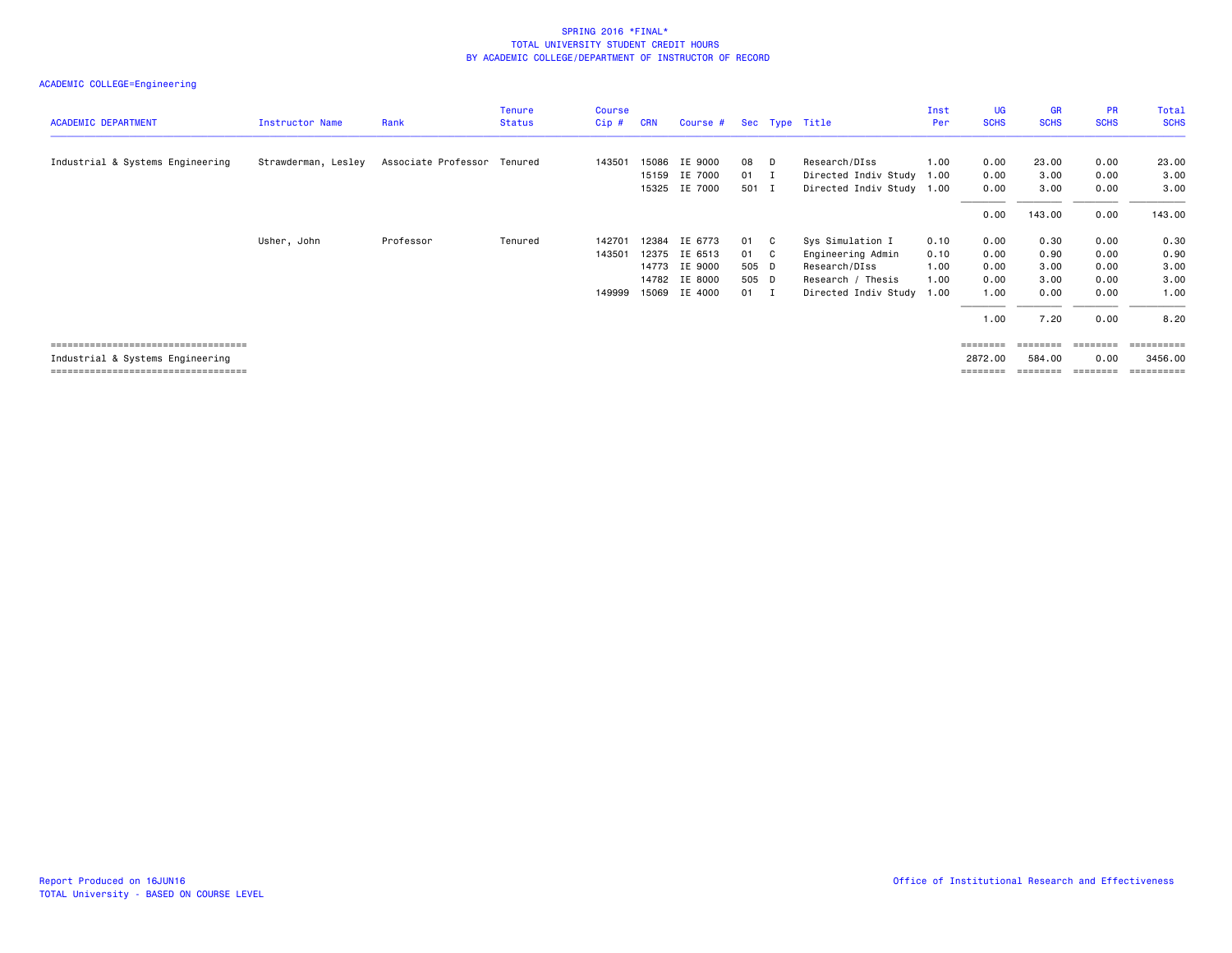## ACADEMIC COLLEGE=Engineering

| <b>ACADEMIC DEPARTMENT</b>            | Instructor Name     | Rank                        | <b>Tenure</b><br><b>Status</b> | <b>Course</b><br>$Cip$ # | <b>CRN</b> | Course #      |              | Sec Type Title            | Inst<br>Per | UG<br><b>SCHS</b> | GR<br><b>SCHS</b> | <b>PR</b><br><b>SCHS</b> | <b>Total</b><br><b>SCHS</b> |
|---------------------------------------|---------------------|-----------------------------|--------------------------------|--------------------------|------------|---------------|--------------|---------------------------|-------------|-------------------|-------------------|--------------------------|-----------------------------|
|                                       |                     |                             |                                |                          |            |               |              |                           |             |                   |                   |                          |                             |
| Industrial & Systems Engineering      | Strawderman, Lesley | Associate Professor Tenured |                                | 143501                   | 15086      | IE 9000       | 08 D         | Research/DIss             | 1.00        | 0.00              | 23.00             | 0.00                     | 23.00                       |
|                                       |                     |                             |                                |                          | 15159      | IE 7000       | $01$ I       | Directed Indiv Study 1.00 |             | 0.00              | 3.00              | 0.00                     | 3.00                        |
|                                       |                     |                             |                                |                          | 15325      | IE 7000       | 501 I        | Directed Indiv Study 1.00 |             | 0.00              | 3.00              | 0.00                     | 3.00                        |
|                                       |                     |                             |                                |                          |            |               |              |                           |             | 0.00              | 143.00            | 0.00                     | 143.00                      |
|                                       | Usher, John         | Professor                   | Tenured                        | 142701                   | 12384      | IE 6773       | 01 C         | Sys Simulation I          | 0.10        | 0.00              | 0.30              | 0.00                     | 0.30                        |
|                                       |                     |                             |                                | 143501                   |            | 12375 IE 6513 | 01 C         | Engineering Admin         | 0.10        | 0.00              | 0.90              | 0.00                     | 0.90                        |
|                                       |                     |                             |                                |                          |            | 14773 IE 9000 | 505 D        | Research/DIss             | 1.00        | 0.00              | 3.00              | 0.00                     | 3.00                        |
|                                       |                     |                             |                                |                          |            | 14782 IE 8000 | 505 D        | Research / Thesis         | 1.00        | 0.00              | 3.00              | 0.00                     | 3.00                        |
|                                       |                     |                             |                                | 149999                   |            | 15069 IE 4000 | $01 \quad I$ | Directed Indiv Study 1.00 |             | 1.00              | 0.00              | 0.00                     | 1.00                        |
|                                       |                     |                             |                                |                          |            |               |              |                           |             | 1.00              | 7.20              | 0.00                     | 8.20                        |
| ===================================== |                     |                             |                                |                          |            |               |              |                           |             | ========          | ========          | ========                 | -----------                 |

 Industrial & Systems Engineering 2872.00 584.00 0.00 3456.00 =================================== ======== ======== ======== ==========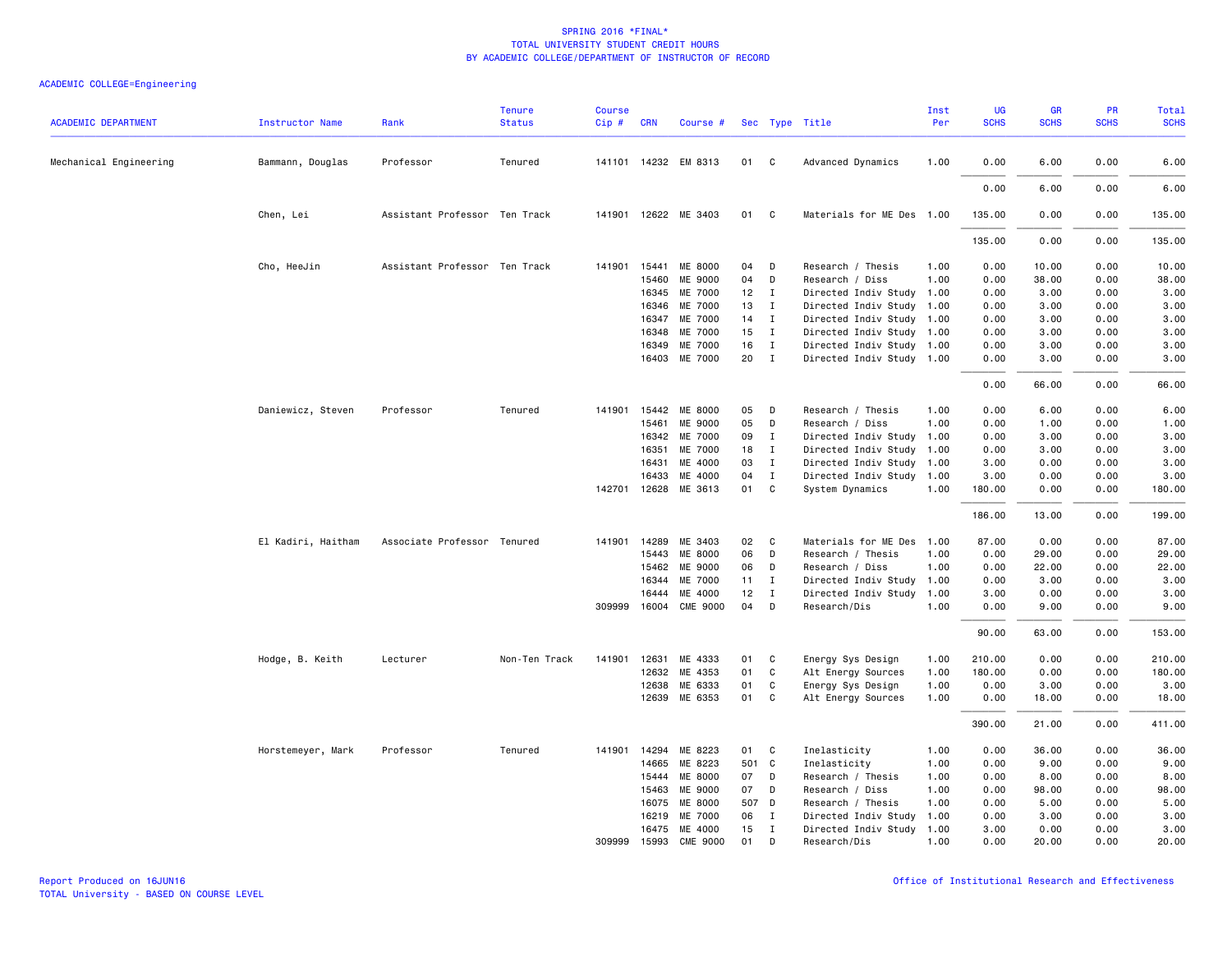|                            |                        |                               | <b>Tenure</b> | <b>Course</b> |              |                                 |          |                              |                                                        | Inst         | UG             | <b>GR</b>    | PR           | Total          |
|----------------------------|------------------------|-------------------------------|---------------|---------------|--------------|---------------------------------|----------|------------------------------|--------------------------------------------------------|--------------|----------------|--------------|--------------|----------------|
| <b>ACADEMIC DEPARTMENT</b> | <b>Instructor Name</b> | Rank                          | <b>Status</b> | Cip#          | <b>CRN</b>   | Course #                        |          |                              | Sec Type Title                                         | Per          | <b>SCHS</b>    | <b>SCHS</b>  | <b>SCHS</b>  | <b>SCHS</b>    |
| Mechanical Engineering     | Bammann, Douglas       | Professor                     | Tenured       |               |              | 141101 14232 EM 8313            | 01       | $\mathbf{C}$                 | Advanced Dynamics                                      | 1.00         | 0.00           | 6.00         | 0.00         | 6.00           |
|                            |                        |                               |               |               |              |                                 |          |                              |                                                        |              | 0.00           | 6.00         | 0.00         | 6.00           |
|                            | Chen, Lei              | Assistant Professor Ten Track |               |               |              | 141901 12622 ME 3403            | 01       | C                            | Materials for ME Des 1.00                              |              | 135.00         | 0.00         | 0.00         | 135.00         |
|                            |                        |                               |               |               |              |                                 |          |                              |                                                        |              | 135.00         | 0.00         | 0.00         | 135.00         |
|                            | Cho, HeeJin            | Assistant Professor Ten Track |               | 141901        | 15441        | ME 8000                         | 04       | D                            | Research / Thesis                                      | 1.00         | 0.00           | 10.00        | 0.00         | 10.00          |
|                            |                        |                               |               |               | 15460        | ME 9000                         | 04       | D                            | Research / Diss                                        | 1.00         | 0.00           | 38.00        | 0.00         | 38.00          |
|                            |                        |                               |               |               | 16345        | ME 7000                         | 12       | $\mathbf{I}$                 | Directed Indiv Study 1.00                              |              | 0.00           | 3.00         | 0.00         | 3.00           |
|                            |                        |                               |               |               | 16346        | ME 7000                         | 13       | $\mathbf{I}$                 | Directed Indiv Study 1.00                              |              | 0.00           | 3.00         | 0.00         | 3.00           |
|                            |                        |                               |               |               | 16347        | ME 7000                         | 14       | $\mathbf{I}$                 | Directed Indiv Study 1.00                              |              | 0.00           | 3.00         | 0.00         | 3.00           |
|                            |                        |                               |               |               | 16348        | ME 7000                         | 15       | $\mathbf{I}$                 | Directed Indiv Study 1.00                              |              | 0.00           | 3.00         | 0.00         | 3.00           |
|                            |                        |                               |               |               | 16349        | ME 7000                         | 16       | $\mathbf{I}$                 | Directed Indiv Study 1.00                              |              | 0.00           | 3.00         | 0.00         | 3.00           |
|                            |                        |                               |               |               |              | 16403 ME 7000                   | 20       | $\mathbf{I}$                 | Directed Indiv Study 1.00                              |              | 0.00           | 3.00         | 0.00         | 3.00           |
|                            |                        |                               |               |               |              |                                 |          |                              |                                                        |              | 0.00           | 66.00        | 0.00         | 66.00          |
|                            | Daniewicz, Steven      | Professor                     | Tenured       |               | 141901 15442 | ME 8000                         | 05       | D                            | Research / Thesis                                      | 1.00         | 0.00           | 6.00         | 0.00         | 6.00           |
|                            |                        |                               |               |               | 15461        | ME 9000                         | 05       | D                            | Research / Diss                                        | 1.00         | 0.00           | 1.00         | 0.00         | 1.00           |
|                            |                        |                               |               |               | 16342        | ME 7000                         | 09       | $\mathbf{I}$                 | Directed Indiv Study                                   | 1.00         | 0.00           | 3.00         | 0.00         | 3.00           |
|                            |                        |                               |               |               | 16351        | ME 7000                         | 18       | $\mathbf{I}$                 |                                                        |              | 0.00           |              | 0.00         | 3.00           |
|                            |                        |                               |               |               | 16431        | ME 4000                         | 03       | $\mathbf{I}$                 | Directed Indiv Study 1.00<br>Directed Indiv Study 1.00 |              | 3.00           | 3.00<br>0.00 | 0.00         | 3.00           |
|                            |                        |                               |               |               |              |                                 |          |                              |                                                        |              |                |              |              |                |
|                            |                        |                               |               |               | 16433        | ME 4000<br>142701 12628 ME 3613 | 04<br>01 | $\mathbf{I}$<br>$\mathbf{C}$ | Directed Indiv Study<br>System Dynamics                | 1.00<br>1.00 | 3.00<br>180.00 | 0.00<br>0.00 | 0.00<br>0.00 | 3.00<br>180.00 |
|                            |                        |                               |               |               |              |                                 |          |                              |                                                        |              | 186.00         | 13.00        | 0.00         | 199.00         |
|                            | El Kadiri, Haitham     | Associate Professor Tenured   |               | 141901        | 14289        | ME 3403                         | 02       | C                            | Materials for ME Des                                   | 1.00         | 87.00          | 0.00         | 0.00         | 87.00          |
|                            |                        |                               |               |               | 15443        | ME 8000                         | 06       | D                            | Research / Thesis                                      | 1.00         | 0.00           | 29.00        | 0.00         | 29.00          |
|                            |                        |                               |               |               | 15462        | ME 9000                         | 06       | D                            | Research / Diss                                        | 1.00         | 0.00           | 22.00        | 0.00         | 22.00          |
|                            |                        |                               |               |               | 16344        | ME 7000                         | 11       | $\mathbf{I}$                 | Directed Indiv Study                                   | 1.00         | 0.00           | 3.00         | 0.00         | 3.00           |
|                            |                        |                               |               |               | 16444        | ME 4000                         | 12       | $\mathbf{I}$                 | Directed Indiv Study                                   | 1.00         | 3.00           | 0.00         | 0.00         | 3.00           |
|                            |                        |                               |               |               |              | 309999 16004 CME 9000           | 04       | D                            | Research/Dis                                           | 1.00         | 0.00           | 9.00         | 0.00         | 9.00           |
|                            |                        |                               |               |               |              |                                 |          |                              |                                                        |              | 90.00          | 63.00        | 0.00         | 153.00         |
|                            | Hodge, B. Keith        | Lecturer                      | Non-Ten Track | 141901        | 12631        | ME 4333                         | 01       | C                            | Energy Sys Design                                      | 1.00         | 210.00         | 0.00         | 0.00         | 210.00         |
|                            |                        |                               |               |               | 12632        | ME 4353                         | 01       | C                            | Alt Energy Sources                                     | 1.00         | 180.00         | 0.00         | 0.00         | 180.00         |
|                            |                        |                               |               |               | 12638        | ME 6333                         | 01       | C                            | Energy Sys Design                                      | 1.00         | 0.00           | 3.00         | 0.00         | 3.00           |
|                            |                        |                               |               |               | 12639        | ME 6353                         | 01       | C                            | Alt Energy Sources                                     | 1.00         | 0.00           | 18.00        | 0.00         | 18.00          |
|                            |                        |                               |               |               |              |                                 |          |                              |                                                        |              |                |              |              |                |
|                            |                        |                               |               |               |              |                                 |          |                              |                                                        |              | 390.00         | 21.00        | 0.00         | 411.00         |
|                            | Horstemeyer, Mark      | Professor                     | Tenured       |               | 141901 14294 | ME 8223                         | 01       | $\mathbf{C}$                 | Inelasticity                                           | 1.00         | 0.00           | 36.00        | 0.00         | 36.00          |
|                            |                        |                               |               |               | 14665        | ME 8223                         | 501 C    |                              | Inelasticity                                           | 1.00         | 0.00           | 9.00         | 0.00         | 9.00           |
|                            |                        |                               |               |               | 15444        | ME 8000                         | 07       | D                            | Research / Thesis                                      | 1.00         | 0.00           | 8.00         | 0.00         | 8.00           |
|                            |                        |                               |               |               | 15463        | ME 9000                         | 07       | D                            | Research / Diss                                        | 1.00         | 0.00           | 98.00        | 0.00         | 98.00          |
|                            |                        |                               |               |               | 16075        | <b>ME 8000</b>                  | 507 D    |                              | Research / Thesis                                      | 1.00         | 0.00           | 5.00         | 0.00         | 5.00           |
|                            |                        |                               |               |               | 16219        | ME 7000                         | 06       | $\mathbf{I}$                 | Directed Indiv Study                                   | 1.00         | 0.00           | 3.00         | 0.00         | 3.00           |
|                            |                        |                               |               |               |              | 16475 ME 4000                   | 15       | $\mathbf{I}$                 | Directed Indiv Study 1.00                              |              | 3.00           | 0.00         | 0.00         | 3.00           |
|                            |                        |                               |               |               |              | 309999 15993 CME 9000           | 01       | D                            | Research/Dis                                           | 1.00         | 0.00           | 20.00        | 0.00         | 20.00          |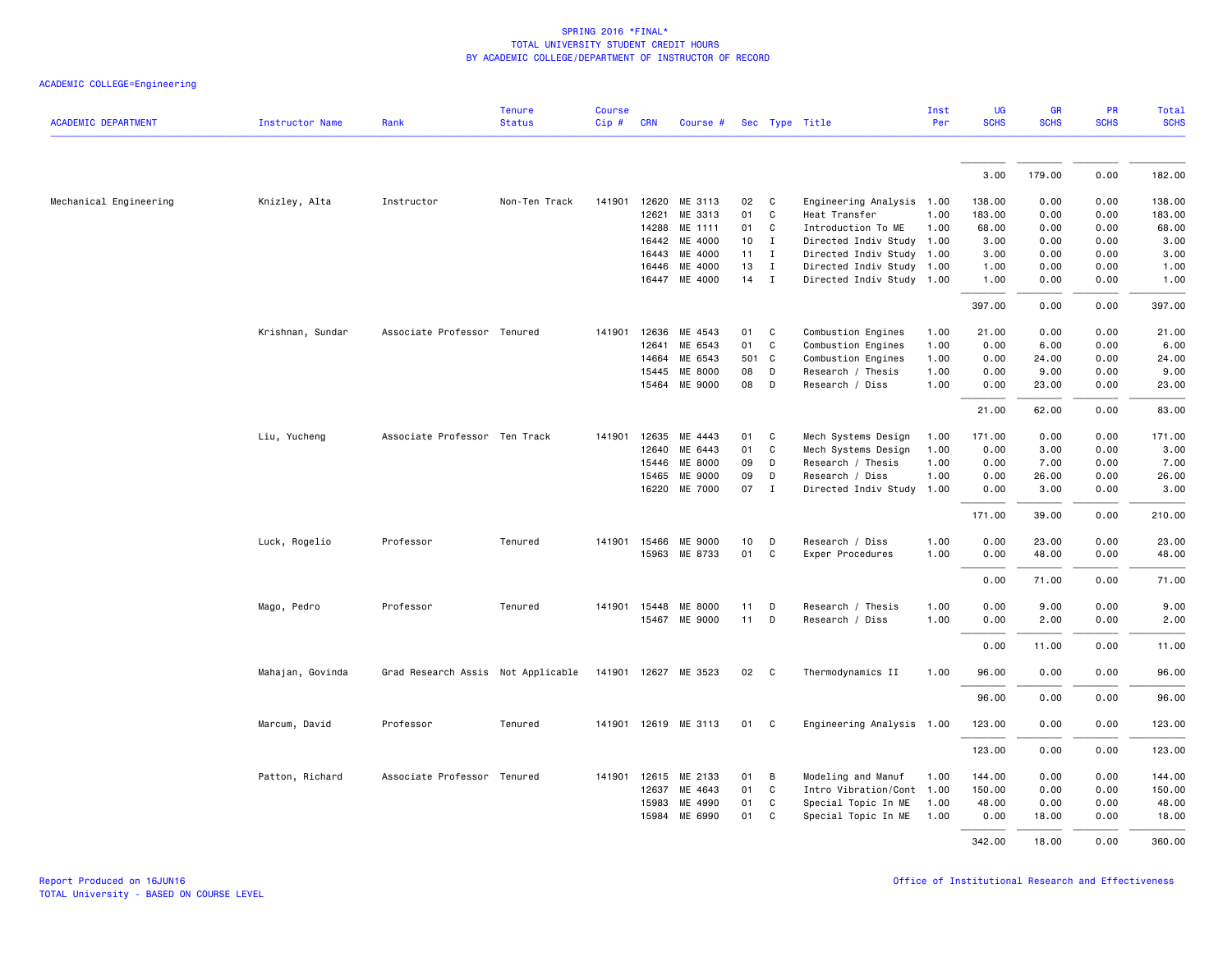|  |  | ACADEMIC COLLEGE=Engineering |
|--|--|------------------------------|
|--|--|------------------------------|

|                            |                        |                                    | <b>Tenure</b> | <b>Course</b> |              |                      |                 |              |                           | Inst | UG          | <b>GR</b>   | PR          | Total       |
|----------------------------|------------------------|------------------------------------|---------------|---------------|--------------|----------------------|-----------------|--------------|---------------------------|------|-------------|-------------|-------------|-------------|
| <b>ACADEMIC DEPARTMENT</b> | <b>Instructor Name</b> | Rank                               | <b>Status</b> | Cip#          | <b>CRN</b>   | Course #             |                 |              | Sec Type Title            | Per  | <b>SCHS</b> | <b>SCHS</b> | <b>SCHS</b> | <b>SCHS</b> |
|                            |                        |                                    |               |               |              |                      |                 |              |                           |      |             |             |             |             |
|                            |                        |                                    |               |               |              |                      |                 |              |                           |      | 3.00        | 179.00      | 0.00        | 182.00      |
| Mechanical Engineering     | Knizley, Alta          | Instructor                         | Non-Ten Track | 141901        | 12620        | ME 3113              | 02              | $\mathbf{C}$ | Engineering Analysis 1.00 |      | 138.00      | 0.00        | 0.00        | 138.00      |
|                            |                        |                                    |               |               | 12621        | ME 3313              | 01              | $\mathbf{C}$ | Heat Transfer             | 1.00 | 183.00      | 0.00        | 0.00        | 183.00      |
|                            |                        |                                    |               |               | 14288        | ME 1111              | 01              | C.           | Introduction To ME        | 1.00 | 68.00       | 0.00        | 0.00        | 68.00       |
|                            |                        |                                    |               |               | 16442        | ME 4000              | 10 <sub>1</sub> | $\mathbf I$  | Directed Indiv Study 1.00 |      | 3.00        | 0.00        | 0.00        | 3.00        |
|                            |                        |                                    |               |               | 16443        | ME 4000              | 11              | $\mathbf{I}$ | Directed Indiv Study 1.00 |      | 3.00        | 0.00        | 0.00        | 3.00        |
|                            |                        |                                    |               |               | 16446        | ME 4000              | 13              | $\mathbf{I}$ | Directed Indiv Study 1.00 |      | 1.00        | 0.00        | 0.00        | 1.00        |
|                            |                        |                                    |               |               |              | 16447 ME 4000        | 14              | $\mathbf{I}$ | Directed Indiv Study 1.00 |      | 1.00        | 0.00        | 0.00        | 1.00        |
|                            |                        |                                    |               |               |              |                      |                 |              |                           |      | 397.00      | 0.00        | 0.00        | 397.00      |
|                            | Krishnan, Sundar       | Associate Professor Tenured        |               |               | 141901 12636 | ME 4543              | 01              | C            | Combustion Engines        | 1.00 | 21.00       | 0.00        | 0.00        | 21.00       |
|                            |                        |                                    |               |               | 12641        | ME 6543              | 01              | C            | Combustion Engines        | 1.00 | 0.00        | 6.00        | 0.00        | 6.00        |
|                            |                        |                                    |               |               | 14664        | ME 6543              | 501 C           |              | Combustion Engines        | 1.00 | 0.00        | 24.00       | 0.00        | 24.00       |
|                            |                        |                                    |               |               | 15445        | ME 8000              | 08              | D            | Research / Thesis         | 1.00 | 0.00        | 9.00        | 0.00        | 9.00        |
|                            |                        |                                    |               |               | 15464        | ME 9000              | 08              | D            | Research / Diss           | 1.00 | 0.00        | 23.00       | 0.00        | 23.00       |
|                            |                        |                                    |               |               |              |                      |                 |              |                           |      | 21.00       | 62.00       | 0.00        | 83.00       |
|                            | Liu, Yucheng           | Associate Professor Ten Track      |               | 141901        | 12635        | ME 4443              | 01              | $\mathbf{C}$ | Mech Systems Design       | 1.00 | 171.00      | 0.00        | 0.00        | 171.00      |
|                            |                        |                                    |               |               | 12640        | ME 6443              | 01              | C            | Mech Systems Design       | 1.00 | 0.00        | 3.00        | 0.00        | 3.00        |
|                            |                        |                                    |               |               | 15446        | ME 8000              | 09              | D            | Research / Thesis         | 1.00 | 0.00        | 7.00        | 0.00        | 7.00        |
|                            |                        |                                    |               |               | 15465        | ME 9000              | 09              | D            | Research / Diss           | 1.00 | 0.00        | 26.00       | 0.00        | 26.00       |
|                            |                        |                                    |               |               |              | 16220 ME 7000        | 07              | $\mathbf{I}$ | Directed Indiv Study      | 1.00 | 0.00        | 3.00        | 0.00        | 3.00        |
|                            |                        |                                    |               |               |              |                      |                 |              |                           |      | 171.00      | 39.00       | 0.00        | 210.00      |
|                            | Luck, Rogelio          | Professor                          | Tenured       |               | 141901 15466 | ME 9000              | 10              | D            | Research / Diss           | 1.00 | 0.00        | 23.00       | 0.00        | 23.00       |
|                            |                        |                                    |               |               |              | 15963 ME 8733        | 01              | C            | Exper Procedures          | 1.00 | 0.00        | 48.00       | 0.00        | 48.00       |
|                            |                        |                                    |               |               |              |                      |                 |              |                           |      | 0.00        | 71.00       | 0.00        | 71.00       |
|                            | Mago, Pedro            | Professor                          | Tenured       | 141901        | 15448        | ME 8000              | 11              | D            | Research / Thesis         | 1.00 | 0.00        | 9.00        | 0.00        | 9.00        |
|                            |                        |                                    |               |               |              | 15467 ME 9000        | 11              | D            | Research / Diss           | 1.00 | 0.00        | 2.00        | 0.00        | 2.00        |
|                            |                        |                                    |               |               |              |                      |                 |              |                           |      | 0.00        | 11.00       | 0.00        | 11.00       |
|                            | Mahajan, Govinda       | Grad Research Assis Not Applicable |               |               |              | 141901 12627 ME 3523 | 02              | $\mathbf{C}$ | Thermodynamics II         | 1.00 | 96.00       | 0.00        | 0.00        | 96.00       |
|                            |                        |                                    |               |               |              |                      |                 |              |                           |      | 96.00       | 0.00        | 0.00        | 96.00       |
|                            | Marcum, David          | Professor                          | Tenured       |               |              | 141901 12619 ME 3113 | 01              | $\mathbf{C}$ | Engineering Analysis 1.00 |      | 123.00      | 0.00        | 0.00        | 123.00      |
|                            |                        |                                    |               |               |              |                      |                 |              |                           |      | 123.00      | 0.00        | 0.00        | 123.00      |
|                            | Patton, Richard        | Associate Professor Tenured        |               | 141901        | 12615        | ME 2133              | 01              | B            | Modeling and Manuf        | 1.00 | 144.00      | 0.00        | 0.00        | 144.00      |
|                            |                        |                                    |               |               | 12637        | ME 4643              | 01              | C            | Intro Vibration/Cont      | 1.00 | 150.00      | 0.00        | 0.00        | 150.00      |
|                            |                        |                                    |               |               | 15983        | ME 4990              | 01              | C            | Special Topic In ME       | 1.00 | 48.00       | 0.00        | 0.00        | 48.00       |
|                            |                        |                                    |               |               | 15984        | ME 6990              | 01              | C            | Special Topic In ME       | 1.00 | 0.00        | 18.00       | 0.00        | 18.00       |
|                            |                        |                                    |               |               |              |                      |                 |              |                           |      | 342.00      | 18,00       | 0.00        | 360.00      |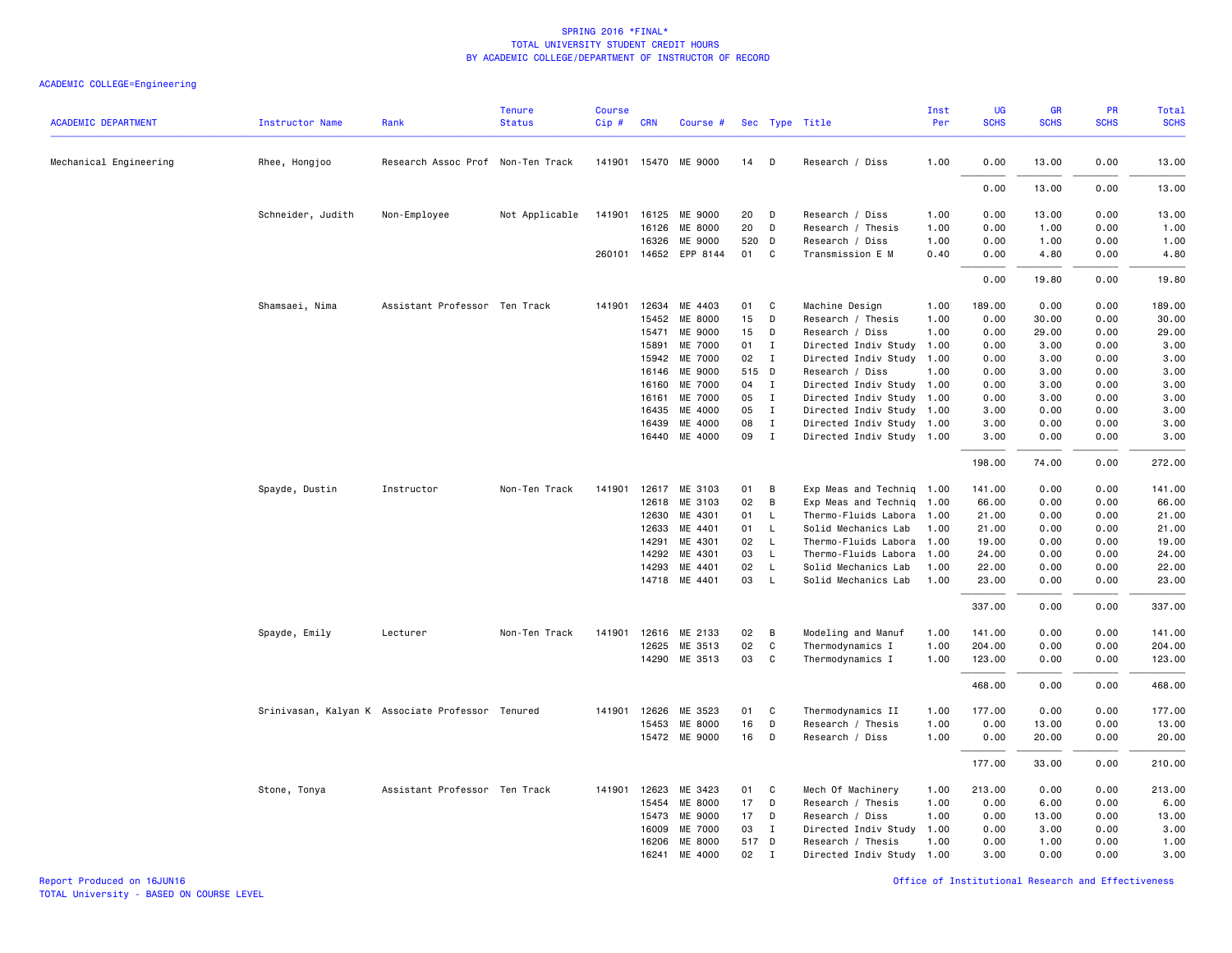|                            |                                                  |                                   | <b>Tenure</b>  | <b>Course</b> |                |                       |             |                |                                           | Inst         | UG           | <b>GR</b>    | PR           | <b>Total</b> |
|----------------------------|--------------------------------------------------|-----------------------------------|----------------|---------------|----------------|-----------------------|-------------|----------------|-------------------------------------------|--------------|--------------|--------------|--------------|--------------|
| <b>ACADEMIC DEPARTMENT</b> | <b>Instructor Name</b>                           | Rank                              | <b>Status</b>  | Cip#          | <b>CRN</b>     | Course #              |             |                | Sec Type Title                            | Per          | <b>SCHS</b>  | <b>SCHS</b>  | <b>SCHS</b>  | <b>SCHS</b>  |
| Mechanical Engineering     | Rhee, Hongjoo                                    | Research Assoc Prof Non-Ten Track |                |               |                | 141901 15470 ME 9000  | 14 D        |                | Research / Diss                           | 1.00         | 0.00         | 13.00        | 0.00         | 13.00        |
|                            |                                                  |                                   |                |               |                |                       |             |                |                                           |              |              |              |              |              |
|                            |                                                  |                                   |                |               |                |                       |             |                |                                           |              | 0.00         | 13.00        | 0.00         | 13.00        |
|                            | Schneider, Judith                                | Non-Employee                      | Not Applicable |               |                | 141901 16125 ME 9000  | 20          | D              | Research / Diss                           | 1.00         | 0.00         | 13.00        | 0.00         | 13.00        |
|                            |                                                  |                                   |                |               | 16126          | ME 8000               | 20          | D              | Research / Thesis                         | 1.00         | 0.00         | 1.00         | 0.00         | 1.00         |
|                            |                                                  |                                   |                |               | 16326          | ME 9000               | 520 D       |                | Research / Diss                           | 1.00         | 0.00         | 1.00         | 0.00         | 1.00         |
|                            |                                                  |                                   |                |               |                | 260101 14652 EPP 8144 | 01          | C              | Transmission E M                          | 0.40         | 0.00         | 4.80         | 0.00         | 4.80         |
|                            |                                                  |                                   |                |               |                |                       |             |                |                                           |              | 0.00         | 19.80        | 0.00         | 19.80        |
|                            | Shamsaei, Nima                                   | Assistant Professor Ten Track     |                | 141901        | 12634          | ME 4403               | 01          | C              | Machine Design                            | 1.00         | 189.00       | 0.00         | 0.00         | 189.00       |
|                            |                                                  |                                   |                |               | 15452          | ME 8000               | 15          | D              | Research / Thesis                         | 1.00         | 0.00         | 30.00        | 0.00         | 30.00        |
|                            |                                                  |                                   |                |               | 15471          | ME 9000               | 15          | D              | Research / Diss                           | 1.00         | 0.00         | 29.00        | 0.00         | 29.00        |
|                            |                                                  |                                   |                |               | 15891          | ME 7000               | 01          | $\mathbf{I}$   | Directed Indiv Study                      | 1.00         | 0.00         | 3.00         | 0.00         | 3.00         |
|                            |                                                  |                                   |                |               | 15942          | ME 7000               | 02          | $\mathbf{I}$   | Directed Indiv Study                      | 1.00         | 0.00         | 3.00         | 0.00         | 3.00         |
|                            |                                                  |                                   |                |               | 16146          | ME 9000               | 515 D       |                | Research / Diss                           | 1.00         | 0.00         | 3.00         | 0.00         | 3.00         |
|                            |                                                  |                                   |                |               | 16160          | ME 7000               | 04          | $\mathbf{I}$   | Directed Indiv Study 1.00                 |              | 0.00         | 3.00         | 0.00         | 3.00         |
|                            |                                                  |                                   |                |               | 16161          | ME 7000               | 05          | $\mathbf{I}$   | Directed Indiv Study 1.00                 |              | 0.00         | 3.00         | 0.00         | 3.00         |
|                            |                                                  |                                   |                |               | 16435          | ME 4000               | 05          | $\mathbf{I}$   | Directed Indiv Study 1.00                 |              | 3.00         | 0.00         | 0.00         | 3.00         |
|                            |                                                  |                                   |                |               | 16439          | ME 4000               | 08          | $\mathbf{I}$   | Directed Indiv Study 1.00                 |              | 3.00         | 0.00         | 0.00         | 3.00         |
|                            |                                                  |                                   |                |               |                | 16440 ME 4000         | 09          | $\mathbf{I}$   | Directed Indiv Study 1.00                 |              | 3.00         | 0.00         | 0.00         | 3.00         |
|                            |                                                  |                                   |                |               |                |                       |             |                |                                           |              | 198.00       | 74.00        | 0.00         | 272.00       |
|                            | Spayde, Dustin                                   | Instructor                        | Non-Ten Track  | 141901        | 12617          | ME 3103               | 01          | В              | Exp Meas and Techniq 1.00                 |              | 141.00       | 0.00         | 0.00         | 141.00       |
|                            |                                                  |                                   |                |               | 12618          | ME 3103               | 02          | B              | Exp Meas and Techniq                      | 1.00         | 66.00        | 0.00         | 0.00         | 66.00        |
|                            |                                                  |                                   |                |               | 12630          | ME 4301               | 01          | L.             | Thermo-Fluids Labora                      | 1.00         | 21.00        | 0.00         | 0.00         | 21.00        |
|                            |                                                  |                                   |                |               | 12633          | ME 4401               | 01          | L              | Solid Mechanics Lab                       | 1.00         | 21.00        | 0.00         | 0.00         | 21.00        |
|                            |                                                  |                                   |                |               | 14291          | ME 4301               | 02          | $\mathsf{L}$   | Thermo-Fluids Labora                      | 1.00         | 19.00        | 0.00         | 0.00         | 19.00        |
|                            |                                                  |                                   |                |               | 14292          | ME 4301               | 03          | L              | Thermo-Fluids Labora                      | 1.00         | 24.00        | 0.00         | 0.00         | 24.00        |
|                            |                                                  |                                   |                |               | 14293          | ME 4401               | 02          | $\mathsf{L}$   | Solid Mechanics Lab                       | 1.00         | 22.00        | 0.00         | 0.00         | 22.00        |
|                            |                                                  |                                   |                |               |                | 14718 ME 4401         | 03          | L.             | Solid Mechanics Lab                       | 1.00         | 23.00        | 0.00         | 0.00         | 23.00        |
|                            |                                                  |                                   |                |               |                |                       |             |                |                                           |              | 337.00       | 0.00         | 0.00         | 337.00       |
|                            | Spayde, Emily                                    | Lecturer                          | Non-Ten Track  | 141901        |                | 12616 ME 2133         | 02          | $\overline{B}$ | Modeling and Manuf                        | 1.00         | 141.00       | 0.00         | 0.00         | 141.00       |
|                            |                                                  |                                   |                |               | 12625          | ME 3513               | 02          | $\mathtt{C}$   | Thermodynamics I                          | 1.00         | 204.00       | 0.00         | 0.00         | 204.00       |
|                            |                                                  |                                   |                |               |                | 14290 ME 3513         | 03          | C              | Thermodynamics I                          | 1.00         | 123.00       | 0.00         | 0.00         | 123.00       |
|                            |                                                  |                                   |                |               |                |                       |             |                |                                           |              | 468.00       | 0.00         | 0.00         | 468.00       |
|                            | Srinivasan, Kalyan K Associate Professor Tenured |                                   |                | 141901        | 12626          | ME 3523               | 01          | C              | Thermodynamics II                         | 1.00         | 177.00       | 0.00         | 0.00         | 177.00       |
|                            |                                                  |                                   |                |               | 15453          | ME 8000               | 16          | D              | Research / Thesis                         | 1.00         | 0.00         | 13.00        | 0.00         | 13.00        |
|                            |                                                  |                                   |                |               |                | 15472 ME 9000         | 16          | D              | Research / Diss                           | 1.00         | 0.00         | 20.00        | 0.00         | 20.00        |
|                            |                                                  |                                   |                |               |                |                       |             |                |                                           |              | 177.00       | 33.00        | 0.00         | 210.00       |
|                            |                                                  |                                   |                |               |                |                       |             |                |                                           |              |              |              |              |              |
|                            | Stone, Tonya                                     | Assistant Professor Ten Track     |                | 141901        | 12623          | ME 3423               | 01          | C              | Mech Of Machinery                         | 1.00         | 213.00       | 0.00         | 0.00         | 213.00       |
|                            |                                                  |                                   |                |               | 15454          | ME 8000               | 17          | D              | Research / Thesis                         | 1.00         | 0.00         | 6.00         | 0.00         | 6.00         |
|                            |                                                  |                                   |                |               | 15473<br>16009 | ME 9000               | 17          | D              | Research / Diss                           | 1.00         | 0.00         | 13.00        | 0.00         | 13.00        |
|                            |                                                  |                                   |                |               | 16206          | ME 7000<br>ME 8000    | 03<br>517 D | $\mathbf{I}$   | Directed Indiv Study<br>Research / Thesis | 1.00<br>1.00 | 0.00<br>0.00 | 3.00<br>1.00 | 0.00<br>0.00 | 3.00<br>1.00 |
|                            |                                                  |                                   |                |               | 16241          | ME 4000               | 02          | $\mathbf I$    | Directed Indiv Study 1.00                 |              | 3.00         | 0.00         | 0.00         | 3.00         |
|                            |                                                  |                                   |                |               |                |                       |             |                |                                           |              |              |              |              |              |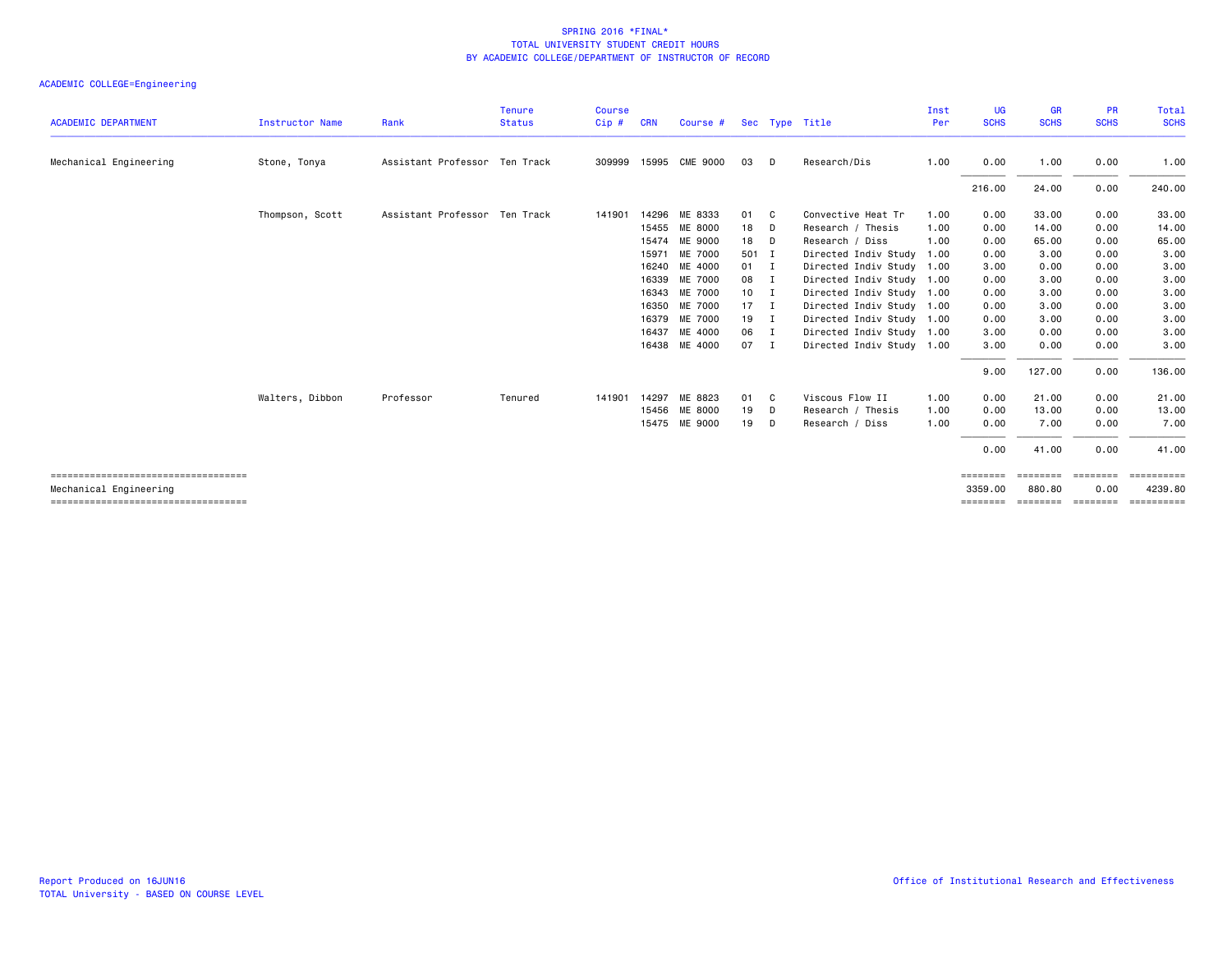|                                                                |                        |                               | <b>Tenure</b> | <b>Course</b> |            |                |              |                |                           | Inst | UG                  | <b>GR</b>          | <b>PR</b>        | Total                 |
|----------------------------------------------------------------|------------------------|-------------------------------|---------------|---------------|------------|----------------|--------------|----------------|---------------------------|------|---------------------|--------------------|------------------|-----------------------|
| <b>ACADEMIC DEPARTMENT</b>                                     | <b>Instructor Name</b> | Rank                          | <b>Status</b> | Cip#          | <b>CRN</b> | Course #       |              |                | Sec Type Title            | Per  | <b>SCHS</b>         | <b>SCHS</b>        | <b>SCHS</b>      | <b>SCHS</b>           |
| Mechanical Engineering                                         | Stone, Tonya           | Assistant Professor Ten Track |               | 309999        |            | 15995 CME 9000 | 03           | D              | Research/Dis              | 1.00 | 0.00                | 1.00               | 0.00             | 1.00                  |
|                                                                |                        |                               |               |               |            |                |              |                |                           |      | 216.00              | 24.00              | 0.00             | 240.00                |
|                                                                | Thompson, Scott        | Assistant Professor Ten Track |               | 141901        |            | 14296 ME 8333  | 01           | - C            | Convective Heat Tr        | 1.00 | 0.00                | 33,00              | 0.00             | 33.00                 |
|                                                                |                        |                               |               |               | 15455      | ME 8000        | 18           | D              | Research / Thesis         | 1.00 | 0.00                | 14.00              | 0.00             | 14.00                 |
|                                                                |                        |                               |               |               |            | 15474 ME 9000  | 18           | - D            | Research / Diss           | 1.00 | 0.00                | 65.00              | 0.00             | 65.00                 |
|                                                                |                        |                               |               |               | 15971      | ME 7000        | 501 I        |                | Directed Indiv Study      | 1.00 | 0.00                | 3.00               | 0.00             | 3.00                  |
|                                                                |                        |                               |               |               | 16240      | ME 4000        | $01 \quad I$ |                | Directed Indiv Study 1.00 |      | 3.00                | 0.00               | 0.00             | 3.00                  |
|                                                                |                        |                               |               |               |            | 16339 ME 7000  | 08 I         |                | Directed Indiv Study 1.00 |      | 0.00                | 3.00               | 0.00             | 3.00                  |
|                                                                |                        |                               |               |               |            | 16343 ME 7000  | $10$ I       |                | Directed Indiv Study 1.00 |      | 0.00                | 3.00               | 0.00             | 3.00                  |
|                                                                |                        |                               |               |               | 16350      | ME 7000        | $17 \quad I$ |                | Directed Indiv Study 1.00 |      | 0.00                | 3.00               | 0.00             | 3.00                  |
|                                                                |                        |                               |               |               |            | 16379 ME 7000  | $19$ I       |                | Directed Indiv Study 1.00 |      | 0.00                | 3.00               | 0.00             | 3.00                  |
|                                                                |                        |                               |               |               | 16437      | ME 4000        | 06           | $\blacksquare$ | Directed Indiv Study 1.00 |      | 3.00                | 0.00               | 0.00             | 3.00                  |
|                                                                |                        |                               |               |               | 16438      | ME 4000        | 07           | - I            | Directed Indiv Study 1.00 |      | 3.00                | 0.00               | 0.00             | 3.00                  |
|                                                                |                        |                               |               |               |            |                |              |                |                           |      | 9.00                | 127.00             | 0.00             | 136.00                |
|                                                                | Walters, Dibbon        | Professor                     | Tenured       | 141901        | 14297      | ME 8823        | 01           | - C            | Viscous Flow II           | 1.00 | 0.00                | 21.00              | 0.00             | 21.00                 |
|                                                                |                        |                               |               |               |            | 15456 ME 8000  | 19           | D              | Research / Thesis         | 1.00 | 0.00                | 13.00              | 0.00             | 13.00                 |
|                                                                |                        |                               |               |               |            | 15475 ME 9000  | 19           | D              | Research / Diss           | 1.00 | 0.00                | 7.00               | 0.00             | 7.00                  |
|                                                                |                        |                               |               |               |            |                |              |                |                           |      | 0.00                | 41.00              | 0.00             | 41.00                 |
| ====================================                           |                        |                               |               |               |            |                |              |                |                           |      | ========            | ========           | ========         | ==========            |
| Mechanical Engineering<br>==================================== |                        |                               |               |               |            |                |              |                |                           |      | 3359,00<br>======== | 880.80<br>======== | 0.00<br>======== | 4239.80<br>========== |
|                                                                |                        |                               |               |               |            |                |              |                |                           |      |                     |                    |                  |                       |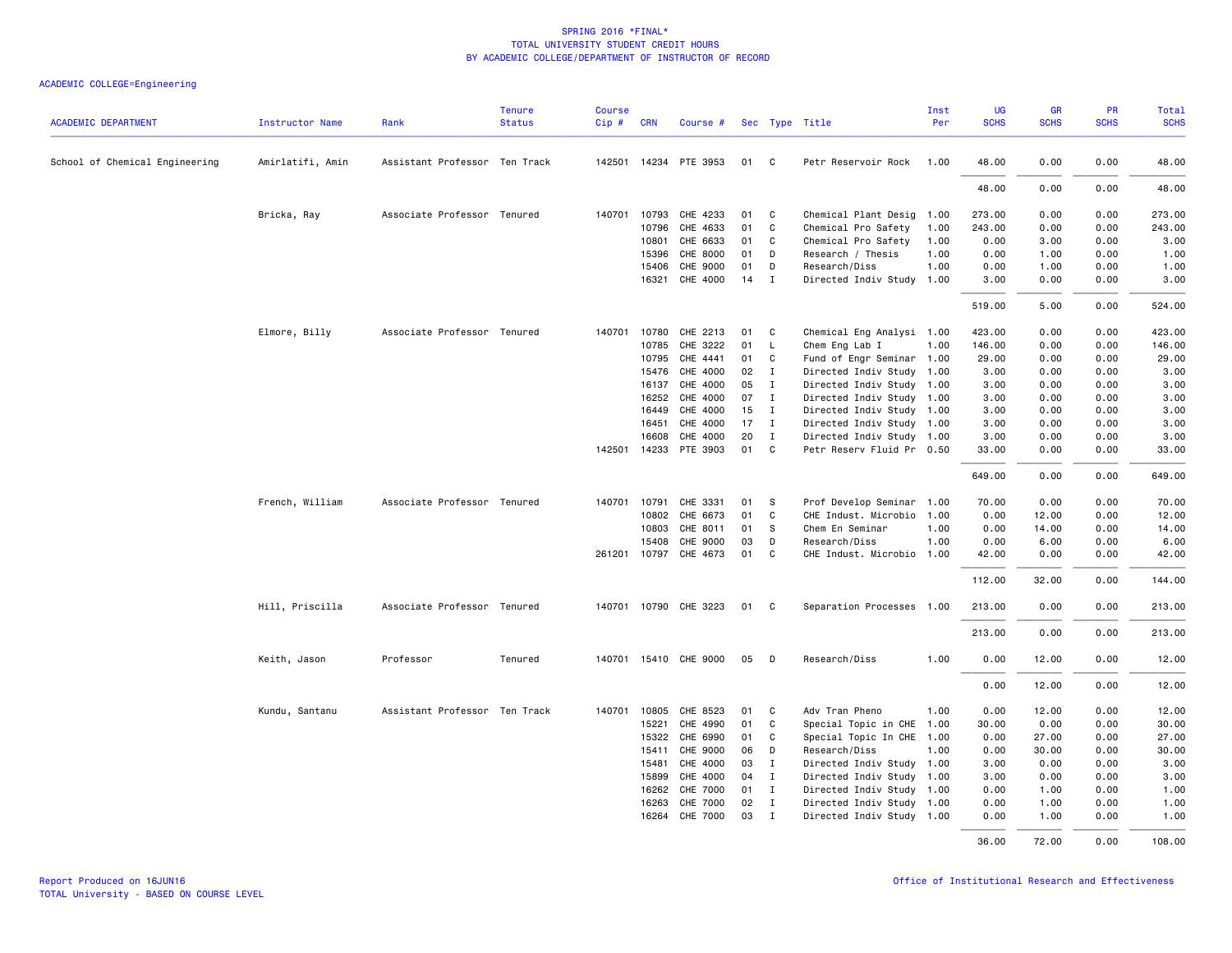| <b>ACADEMIC DEPARTMENT</b>     | <b>Instructor Name</b> | Rank                          | <b>Tenure</b><br><b>Status</b> | <b>Course</b><br>Cip# | <b>CRN</b>     | Course #                    |          |                  | Sec Type Title                                         | Inst<br>Per | UG<br><b>SCHS</b> | <b>GR</b><br><b>SCHS</b> | PR<br><b>SCHS</b> | Total<br><b>SCHS</b> |
|--------------------------------|------------------------|-------------------------------|--------------------------------|-----------------------|----------------|-----------------------------|----------|------------------|--------------------------------------------------------|-------------|-------------------|--------------------------|-------------------|----------------------|
| School of Chemical Engineering | Amirlatifi, Amin       | Assistant Professor Ten Track |                                |                       |                | 142501 14234 PTE 3953       | 01 C     |                  | Petr Reservoir Rock                                    | 1.00        | 48.00             | 0.00                     | 0.00              | 48.00                |
|                                |                        |                               |                                |                       |                |                             |          |                  |                                                        |             | 48.00             | 0.00                     | 0.00              | 48.00                |
|                                | Bricka, Ray            | Associate Professor Tenured   |                                | 140701                | 10793          | CHE 4233                    | 01       | C                | Chemical Plant Desig 1.00                              |             | 273.00            | 0.00                     | 0.00              | 273.00               |
|                                |                        |                               |                                |                       | 10796          | CHE 4633                    | 01       | C                | Chemical Pro Safety                                    | 1.00        | 243.00            | 0.00                     | 0.00              | 243.00               |
|                                |                        |                               |                                |                       | 10801          | CHE 6633                    | 01       | C                | Chemical Pro Safety                                    | 1.00        | 0.00              | 3.00                     | 0.00              | 3.00                 |
|                                |                        |                               |                                |                       | 15396          | CHE 8000                    | 01       | D                | Research / Thesis                                      | 1.00        | 0.00              | 1.00                     | 0.00              | 1.00                 |
|                                |                        |                               |                                |                       | 15406          | CHE 9000                    | 01       | D                | Research/Diss                                          | 1.00        | 0.00              | 1.00                     | 0.00              | 1.00                 |
|                                |                        |                               |                                |                       |                | 16321 CHE 4000              | 14       | $\mathbf{I}$     | Directed Indiv Study 1.00                              |             | 3.00              | 0.00                     | 0.00              | 3.00                 |
|                                |                        |                               |                                |                       |                |                             |          |                  |                                                        |             | 519.00            | 5.00                     | 0.00              | 524.00               |
|                                | Elmore, Billy          | Associate Professor Tenured   |                                |                       |                | 140701 10780 CHE 2213       | 01       | $\mathbf{C}$     | Chemical Eng Analysi 1.00                              |             | 423.00            | 0.00                     | 0.00              | 423.00               |
|                                |                        |                               |                                |                       | 10785          | CHE 3222                    | 01       | L                | Chem Eng Lab I                                         | 1.00        | 146.00            | 0.00                     | 0.00              | 146.00               |
|                                |                        |                               |                                |                       | 10795          | CHE 4441                    | 01       | C                | Fund of Engr Seminar                                   | 1.00        | 29.00             | 0.00                     | 0.00              | 29.00                |
|                                |                        |                               |                                |                       | 15476          | CHE 4000                    | 02       | $\mathbf I$      | Directed Indiv Study                                   | 1.00        | 3.00              | 0.00                     | 0.00              | 3.00                 |
|                                |                        |                               |                                |                       | 16137          | CHE 4000                    | 05       | $\mathbf{I}$     | Directed Indiv Study 1.00                              |             | 3.00              | 0.00                     | 0.00              | 3.00                 |
|                                |                        |                               |                                |                       | 16252          | CHE 4000                    | 07       | $\mathbf{I}$     | Directed Indiv Study 1.00                              |             | 3.00              | 0.00                     | 0.00              | 3.00                 |
|                                |                        |                               |                                |                       | 16449          | CHE 4000                    | 15       | $\mathbf{I}$     | Directed Indiv Study 1.00                              |             | 3.00              | 0.00                     | 0.00              | 3.00                 |
|                                |                        |                               |                                |                       | 16451          | CHE 4000                    | 17       | $\mathbf{I}$     | Directed Indiv Study 1.00                              |             | 3.00              | 0.00                     | 0.00              | 3.00                 |
|                                |                        |                               |                                |                       | 16608          | CHE 4000                    | 20       | I                | Directed Indiv Study 1.00                              |             | 3.00              | 0.00                     | 0.00              | 3.00                 |
|                                |                        |                               |                                |                       |                | 142501 14233 PTE 3903       | 01       | $\mathbf{C}$     | Petr Reserv Fluid Pr 0.50                              |             | 33.00             | 0.00                     | 0.00              | 33.00                |
|                                |                        |                               |                                |                       |                |                             |          |                  |                                                        |             | 649.00            | 0.00                     | 0.00              | 649.00               |
|                                | French, William        | Associate Professor Tenured   |                                |                       | 140701 10791   | CHE 3331                    | 01       | s                | Prof Develop Seminar                                   | 1.00        | 70.00             | 0.00                     | 0.00              | 70.00                |
|                                |                        |                               |                                |                       | 10802          | CHE 6673                    | 01       | $\mathtt{C}$     | CHE Indust. Microbio 1.00                              |             | 0.00              | 12.00                    | 0.00              | 12.00                |
|                                |                        |                               |                                |                       | 10803          | CHE 8011                    | 01       | -S               | Chem En Seminar                                        | 1.00        | 0.00              | 14.00                    | 0.00              | 14.00                |
|                                |                        |                               |                                |                       | 15408          | CHE 9000                    | 03       | D                | Research/Diss                                          | 1.00        | 0.00              | 6.00                     | 0.00              | 6.00                 |
|                                |                        |                               |                                |                       | 261201 10797   | CHE 4673                    | 01       | C                | CHE Indust. Microbio 1.00                              |             | 42.00             | 0.00                     | 0.00              | 42.00                |
|                                |                        |                               |                                |                       |                |                             |          |                  |                                                        |             | 112.00            | 32.00                    | 0.00              | 144.00               |
|                                | Hill, Priscilla        | Associate Professor Tenured   |                                |                       |                | 140701 10790 CHE 3223       | 01 C     |                  | Separation Processes 1.00                              |             | 213.00            | 0.00                     | 0.00              | 213.00               |
|                                |                        |                               |                                |                       |                |                             |          |                  |                                                        |             | 213.00            | 0.00                     | 0.00              | 213.00               |
|                                | Keith, Jason           | Professor                     | Tenured                        |                       |                | 140701 15410 CHE 9000       | 05       | D                | Research/Diss                                          | 1.00        | 0.00              | 12.00                    | 0.00              | 12.00                |
|                                |                        |                               |                                |                       |                |                             |          |                  |                                                        |             | 0.00              | 12.00                    | 0.00              | 12.00                |
|                                | Kundu, Santanu         | Assistant Professor Ten Track |                                |                       | 140701 10805   | CHE 8523                    | 01       | C.               | Adv Tran Pheno                                         | 1.00        | 0.00              | 12.00                    | 0.00              | 12.00                |
|                                |                        |                               |                                |                       | 15221          | CHE 4990                    | 01       | C                | Special Topic in CHE                                   | 1.00        | 30.00             | 0.00                     | 0.00              | 30.00                |
|                                |                        |                               |                                |                       | 15322          | CHE 6990                    | 01       | C                | Special Topic In CHE                                   | 1.00        | 0.00              | 27.00                    | 0.00              | 27.00                |
|                                |                        |                               |                                |                       | 15411          | CHE 9000                    | 06       | D                | Research/Diss                                          | 1.00        | 0.00              | 30.00                    | 0.00              | 30.00                |
|                                |                        |                               |                                |                       | 15481          | CHE 4000                    | 03       | I                | Directed Indiv Study 1.00                              |             | 3.00              | 0.00                     | 0.00              | 3.00                 |
|                                |                        |                               |                                |                       | 15899          | CHE 4000                    | 04       | $\mathbf I$      | Directed Indiv Study 1.00                              |             | 3.00              | 0.00                     | 0.00              | 3.00                 |
|                                |                        |                               |                                |                       | 16262          | CHE 7000                    | 01       | $\mathbf{I}$     | Directed Indiv Study 1.00                              |             | 0.00              | 1.00                     | 0.00              | 1.00                 |
|                                |                        |                               |                                |                       | 16263<br>16264 | CHE 7000<br><b>CHE 7000</b> | 02<br>03 | $\mathbf I$<br>I | Directed Indiv Study 1.00<br>Directed Indiv Study 1.00 |             | 0.00<br>0.00      | 1.00<br>1.00             | 0.00<br>0.00      | 1.00<br>1.00         |
|                                |                        |                               |                                |                       |                |                             |          |                  |                                                        |             | 36.00             | 72.00                    | 0.00              | 108.00               |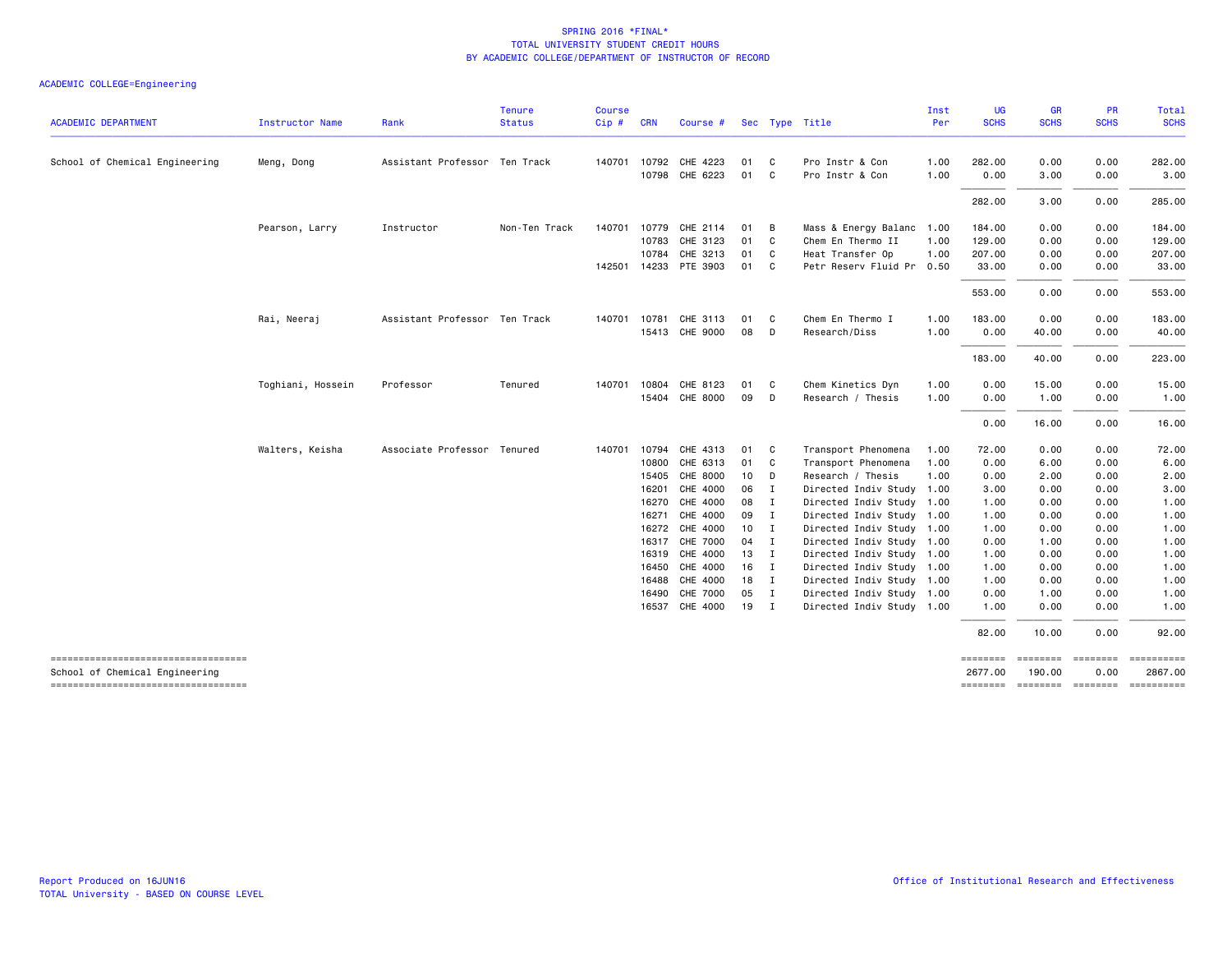| <b>ACADEMIC DEPARTMENT</b>                                           | Instructor Name   | Rank                          | <b>Tenure</b><br><b>Status</b> | <b>Course</b> | <b>CRN</b> | Course #              |                 |                |                           | Inst<br>Per | <b>UG</b><br><b>SCHS</b> | <b>GR</b><br><b>SCHS</b> | PR<br><b>SCHS</b>        | Total<br><b>SCHS</b>  |
|----------------------------------------------------------------------|-------------------|-------------------------------|--------------------------------|---------------|------------|-----------------------|-----------------|----------------|---------------------------|-------------|--------------------------|--------------------------|--------------------------|-----------------------|
|                                                                      |                   |                               |                                | Cip#          |            |                       |                 |                | Sec Type Title            |             |                          |                          |                          |                       |
| School of Chemical Engineering                                       | Meng, Dong        | Assistant Professor Ten Track |                                | 140701        | 10792      | CHE 4223              | 01              | C.             | Pro Instr & Con           | 1.00        | 282.00                   | 0.00                     | 0.00                     | 282.00                |
|                                                                      |                   |                               |                                |               |            | 10798 CHE 6223        | 01              | $\mathbf{C}$   | Pro Instr & Con           | 1.00        | 0.00                     | 3.00                     | 0.00                     | 3.00                  |
|                                                                      |                   |                               |                                |               |            |                       |                 |                |                           |             | 282.00                   | 3.00                     | 0.00                     | 285.00                |
|                                                                      | Pearson, Larry    | Instructor                    | Non-Ten Track                  |               |            | 140701 10779 CHE 2114 | 01              | B              | Mass & Energy Balanc      | 1.00        | 184.00                   | 0.00                     | 0.00                     | 184.00                |
|                                                                      |                   |                               |                                |               | 10783      | CHE 3123              | 01              | C.             | Chem En Thermo II         | 1.00        | 129.00                   | 0.00                     | 0.00                     | 129.00                |
|                                                                      |                   |                               |                                |               | 10784      | CHE 3213              | 01              | C.             | Heat Transfer Op          | 1.00        | 207.00                   | 0.00                     | 0.00                     | 207.00                |
|                                                                      |                   |                               |                                |               |            | 142501 14233 PTE 3903 | 01              | C <sub>c</sub> | Petr Reserv Fluid Pr 0.50 |             | 33.00                    | 0.00                     | 0.00                     | 33.00                 |
|                                                                      |                   |                               |                                |               |            |                       |                 |                |                           |             | 553.00                   | 0.00                     | 0.00                     | 553.00                |
|                                                                      | Rai, Neeraj       | Assistant Professor Ten Track |                                | 140701        | 10781      | CHE 3113              | 01              | $\mathbf{C}$   | Chem En Thermo I          | 1.00        | 183.00                   | 0.00                     | 0.00                     | 183.00                |
|                                                                      |                   |                               |                                |               |            | 15413 CHE 9000        | 08              | D              | Research/Diss             | 1.00        | 0.00                     | 40.00                    | 0.00                     | 40.00                 |
|                                                                      |                   |                               |                                |               |            |                       |                 |                |                           |             | 183.00                   | 40.00                    | 0.00                     | 223.00                |
|                                                                      | Toghiani, Hossein | Professor                     | Tenured                        | 140701        | 10804      | CHE 8123              | 01              | C.             | Chem Kinetics Dyn         | 1.00        | 0.00                     | 15.00                    | 0.00                     | 15.00                 |
|                                                                      |                   |                               |                                |               |            | 15404 CHE 8000        | 09              | D              | Research / Thesis         | 1.00        | 0.00                     | 1.00                     | 0.00                     | 1.00                  |
|                                                                      |                   |                               |                                |               |            |                       |                 |                |                           |             | 0.00                     | 16.00                    | 0.00                     | 16.00                 |
|                                                                      | Walters, Keisha   | Associate Professor Tenured   |                                | 140701        | 10794      | CHE 4313              | 01              | C.             | Transport Phenomena       | 1.00        | 72.00                    | 0.00                     | 0.00                     | 72.00                 |
|                                                                      |                   |                               |                                |               | 10800      | CHE 6313              | 01              | $\mathbf{C}$   | Transport Phenomena       | 1.00        | 0.00                     | 6.00                     | 0.00                     | 6.00                  |
|                                                                      |                   |                               |                                |               | 15405      | CHE 8000              | 10 <sub>1</sub> | D              | Research / Thesis         | 1.00        | 0.00                     | 2.00                     | 0.00                     | 2.00                  |
|                                                                      |                   |                               |                                |               | 16201      | CHE 4000              | 06              | $\mathbf{I}$   | Directed Indiv Study 1.00 |             | 3.00                     | 0.00                     | 0.00                     | 3.00                  |
|                                                                      |                   |                               |                                |               | 16270      | CHE 4000              | 08              | I              | Directed Indiv Study 1.00 |             | 1.00                     | 0.00                     | 0.00                     | 1.00                  |
|                                                                      |                   |                               |                                |               | 16271      | CHE 4000              | 09 I            |                | Directed Indiv Study 1.00 |             | 1.00                     | 0.00                     | 0.00                     | 1.00                  |
|                                                                      |                   |                               |                                |               | 16272      | CHE 4000              | 10 <sub>1</sub> | $\mathbf I$    | Directed Indiv Study 1.00 |             | 1.00                     | 0.00                     | 0.00                     | 1.00                  |
|                                                                      |                   |                               |                                |               | 16317      | <b>CHE 7000</b>       | 04              | I              | Directed Indiv Study 1.00 |             | 0.00                     | 1.00                     | 0.00                     | 1.00                  |
|                                                                      |                   |                               |                                |               |            | 16319 CHE 4000        | 13              | I              | Directed Indiv Study 1.00 |             | 1.00                     | 0.00                     | 0.00                     | 1.00                  |
|                                                                      |                   |                               |                                |               |            | 16450 CHE 4000        | 16              | I              | Directed Indiv Study 1.00 |             | 1.00                     | 0.00                     | 0.00                     | 1.00                  |
|                                                                      |                   |                               |                                |               | 16488      | CHE 4000              | 18              | $\mathbf{I}$   | Directed Indiv Study 1.00 |             | 1.00                     | 0.00                     | 0.00                     | 1.00                  |
|                                                                      |                   |                               |                                |               | 16490      | <b>CHE 7000</b>       | 05              | I              | Directed Indiv Study 1.00 |             | 0.00                     | 1.00                     | 0.00                     | 1.00                  |
|                                                                      |                   |                               |                                |               | 16537      | CHE 4000              | 19              | $\mathbf{I}$   | Directed Indiv Study 1.00 |             | 1.00                     | 0.00                     | 0.00                     | 1.00                  |
|                                                                      |                   |                               |                                |               |            |                       |                 |                |                           |             | 82.00                    | 10.00                    | 0.00                     | 92.00                 |
| ----------------------------------                                   |                   |                               |                                |               |            |                       |                 |                |                           |             | ========                 | ========                 | ========                 | ==========            |
| School of Chemical Engineering<br>---------------------------------- |                   |                               |                                |               |            |                       |                 |                |                           |             | 2677.00<br>========      | 190.00                   | 0.00<br>======== ======= | 2867.00<br>========== |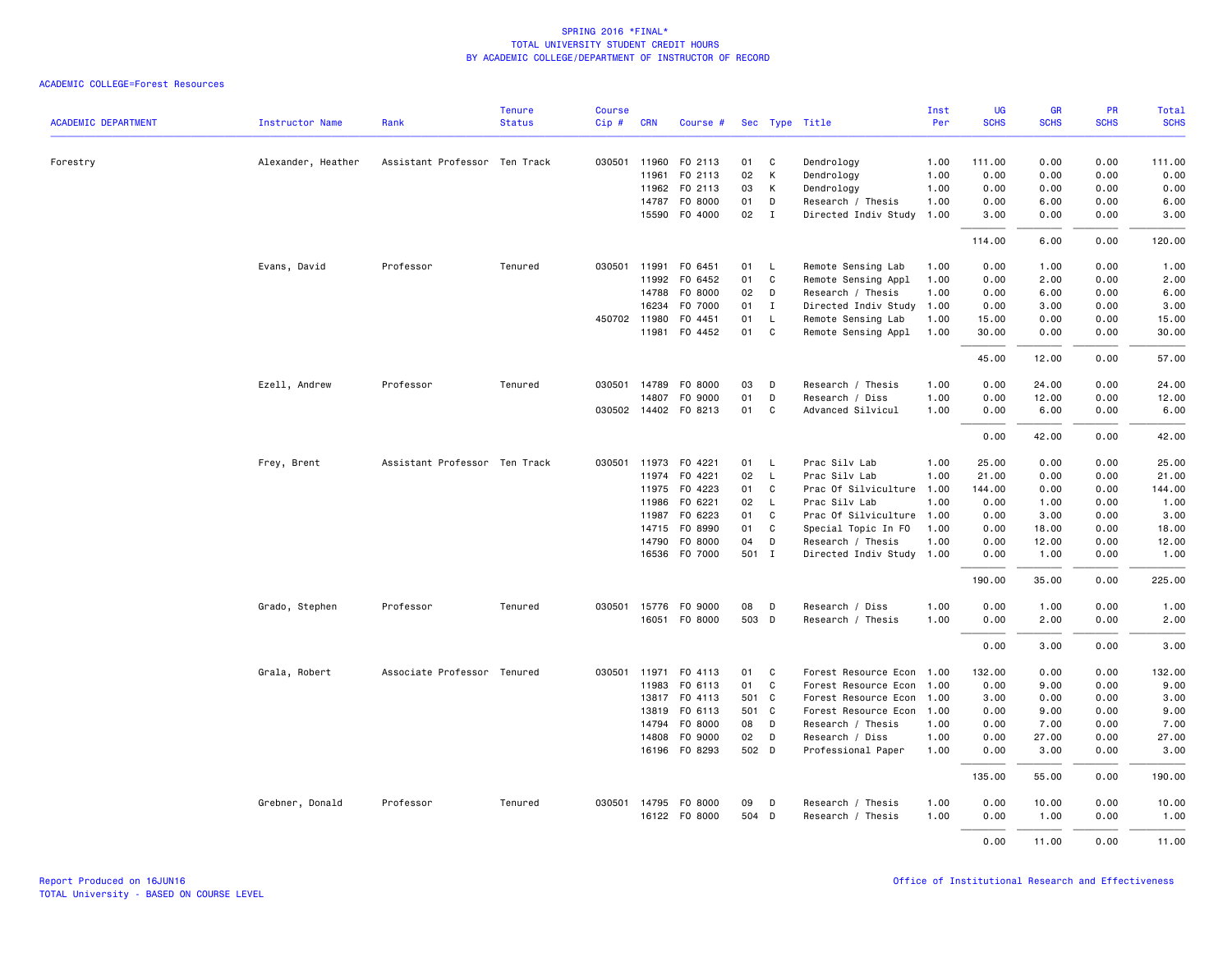|                            |                        |                               | <b>Tenure</b> | <b>Course</b> |              |                      |       |              |                      | Inst | <b>UG</b>   | <b>GR</b>   | PR          | <b>Total</b> |
|----------------------------|------------------------|-------------------------------|---------------|---------------|--------------|----------------------|-------|--------------|----------------------|------|-------------|-------------|-------------|--------------|
| <b>ACADEMIC DEPARTMENT</b> | <b>Instructor Name</b> | Rank                          | <b>Status</b> | Cip#          | <b>CRN</b>   | Course #             |       |              | Sec Type Title       | Per  | <b>SCHS</b> | <b>SCHS</b> | <b>SCHS</b> | <b>SCHS</b>  |
| Forestry                   | Alexander, Heather     | Assistant Professor Ten Track |               | 030501        | 11960        | F0 2113              | 01    | C            | Dendrology           | 1.00 | 111.00      | 0.00        | 0.00        | 111.00       |
|                            |                        |                               |               |               | 11961        | F0 2113              | 02    | К            | Dendrology           | 1.00 | 0.00        | 0.00        | 0.00        | 0.00         |
|                            |                        |                               |               |               | 11962        | F0 2113              | 03    | К            | Dendrology           | 1.00 | 0.00        | 0.00        | 0.00        | 0.00         |
|                            |                        |                               |               |               | 14787        | F0 8000              | 01    | D            | Research / Thesis    | 1.00 | 0.00        | 6.00        | 0.00        | 6.00         |
|                            |                        |                               |               |               |              | 15590 F0 4000        | 02    | $\mathbf{I}$ | Directed Indiv Study | 1.00 | 3.00        | 0.00        | 0.00        | 3.00         |
|                            |                        |                               |               |               |              |                      |       |              |                      |      | 114.00      | 6.00        | 0.00        | 120.00       |
|                            | Evans, David           | Professor                     | Tenured       | 030501        | 11991        | F0 6451              | 01    | $\mathsf{L}$ | Remote Sensing Lab   | 1.00 | 0.00        | 1.00        | 0.00        | 1.00         |
|                            |                        |                               |               |               | 11992        | F0 6452              | 01    | C            | Remote Sensing Appl  | 1.00 | 0.00        | 2.00        | 0.00        | 2.00         |
|                            |                        |                               |               |               | 14788        | F0 8000              | 02    | D            | Research / Thesis    | 1.00 | 0.00        | 6.00        | 0.00        | 6.00         |
|                            |                        |                               |               |               | 16234        | F0 7000              | 01    | $\mathbf{I}$ | Directed Indiv Study | 1.00 | 0.00        | 3.00        | 0.00        | 3.00         |
|                            |                        |                               |               |               | 450702 11980 | F0 4451              | 01    | $\mathsf{L}$ | Remote Sensing Lab   | 1.00 | 15.00       | 0.00        | 0.00        | 15.00        |
|                            |                        |                               |               |               |              | 11981 F0 4452        | 01    | C            | Remote Sensing Appl  | 1.00 | 30.00       | 0.00        | 0.00        | 30.00        |
|                            |                        |                               |               |               |              |                      |       |              |                      |      | 45.00       | 12.00       | 0.00        | 57.00        |
|                            | Ezell, Andrew          | Professor                     | Tenured       |               | 030501 14789 | F0 8000              | 03    | D            | Research / Thesis    | 1.00 | 0.00        | 24.00       | 0.00        | 24.00        |
|                            |                        |                               |               |               | 14807        | F0 9000              | 01    | D            | Research / Diss      | 1.00 | 0.00        | 12.00       | 0.00        | 12.00        |
|                            |                        |                               |               |               |              | 030502 14402 FO 8213 | 01    | C            | Advanced Silvicul    | 1.00 | 0.00        | 6.00        | 0.00        | 6.00         |
|                            |                        |                               |               |               |              |                      |       |              |                      |      | 0.00        | 42.00       | 0.00        | 42.00        |
|                            | Frey, Brent            | Assistant Professor Ten Track |               |               | 030501 11973 | F0 4221              | 01    | $\mathsf{L}$ | Prac Silv Lab        | 1.00 | 25.00       | 0.00        | 0.00        | 25.00        |
|                            |                        |                               |               |               | 11974        | F0 4221              | 02    | $\mathsf{L}$ | Prac Silv Lab        | 1.00 | 21.00       | 0.00        | 0.00        | 21.00        |
|                            |                        |                               |               |               | 11975        | F0 4223              | 01    | C            | Prac Of Silviculture | 1.00 | 144.00      | 0.00        | 0.00        | 144.00       |
|                            |                        |                               |               |               | 11986        | F0 6221              | 02    | $\mathsf{L}$ | Prac Silv Lab        | 1.00 | 0.00        | 1.00        | 0.00        | 1.00         |
|                            |                        |                               |               |               | 11987        | FO 6223              | 01    | $\mathsf{C}$ | Prac Of Silviculture | 1.00 | 0.00        | 3.00        | 0.00        | 3.00         |
|                            |                        |                               |               |               |              | 14715 FO 8990        | 01    | C            | Special Topic In FO  | 1.00 | 0.00        | 18.00       | 0.00        | 18.00        |
|                            |                        |                               |               |               | 14790        | F0 8000              | 04    | D            | Research / Thesis    | 1.00 | 0.00        | 12.00       | 0.00        | 12.00        |
|                            |                        |                               |               |               |              | 16536 F0 7000        | 501 I |              | Directed Indiv Study | 1.00 | 0.00        | 1.00        | 0.00        | 1.00         |
|                            |                        |                               |               |               |              |                      |       |              |                      |      | 190.00      | 35.00       | 0.00        | 225.00       |
|                            | Grado, Stephen         | Professor                     | Tenured       | 030501        | 15776        | F0 9000              | 08    | D            | Research / Diss      | 1.00 | 0.00        | 1.00        | 0.00        | 1.00         |
|                            |                        |                               |               |               |              | 16051 FO 8000        | 503 D |              | Research / Thesis    | 1.00 | 0.00        | 2.00        | 0.00        | 2.00         |
|                            |                        |                               |               |               |              |                      |       |              |                      |      | 0.00        | 3.00        | 0.00        | 3.00         |
|                            | Grala, Robert          | Associate Professor Tenured   |               |               |              | 030501 11971 F0 4113 | 01    | C            | Forest Resource Econ | 1.00 | 132.00      | 0.00        | 0.00        | 132.00       |
|                            |                        |                               |               |               | 11983        | F0 6113              | 01    | $\mathsf{C}$ | Forest Resource Econ | 1.00 | 0.00        | 9.00        | 0.00        | 9.00         |
|                            |                        |                               |               |               |              | 13817 FO 4113        | 501 C |              | Forest Resource Econ | 1.00 | 3.00        | 0.00        | 0.00        | 3.00         |
|                            |                        |                               |               |               | 13819        | FO 6113              | 501 C |              | Forest Resource Econ | 1.00 | 0.00        | 9.00        | 0.00        | 9.00         |
|                            |                        |                               |               |               | 14794        | F0 8000              | 08    | D            | Research / Thesis    | 1.00 | 0.00        | 7.00        | 0.00        | 7.00         |
|                            |                        |                               |               |               | 14808        | F0 9000              | 02    | D            | Research / Diss      | 1.00 | 0.00        | 27.00       | 0.00        | 27.00        |
|                            |                        |                               |               |               |              | 16196 F0 8293        | 502 D |              | Professional Paper   | 1.00 | 0.00        | 3.00        | 0.00        | 3.00         |
|                            |                        |                               |               |               |              |                      |       |              |                      |      | 135.00      | 55.00       | 0.00        | 190.00       |
|                            | Grebner, Donald        | Professor                     | Tenured       |               |              | 030501 14795 F0 8000 | 09    | D            | Research / Thesis    | 1.00 | 0.00        | 10.00       | 0.00        | 10.00        |
|                            |                        |                               |               |               |              | 16122 FO 8000        | 504 D |              | Research / Thesis    | 1.00 | 0.00        | 1.00        | 0.00        | 1.00         |
|                            |                        |                               |               |               |              |                      |       |              |                      |      | 0.00        | 11.00       | 0.00        | 11.00        |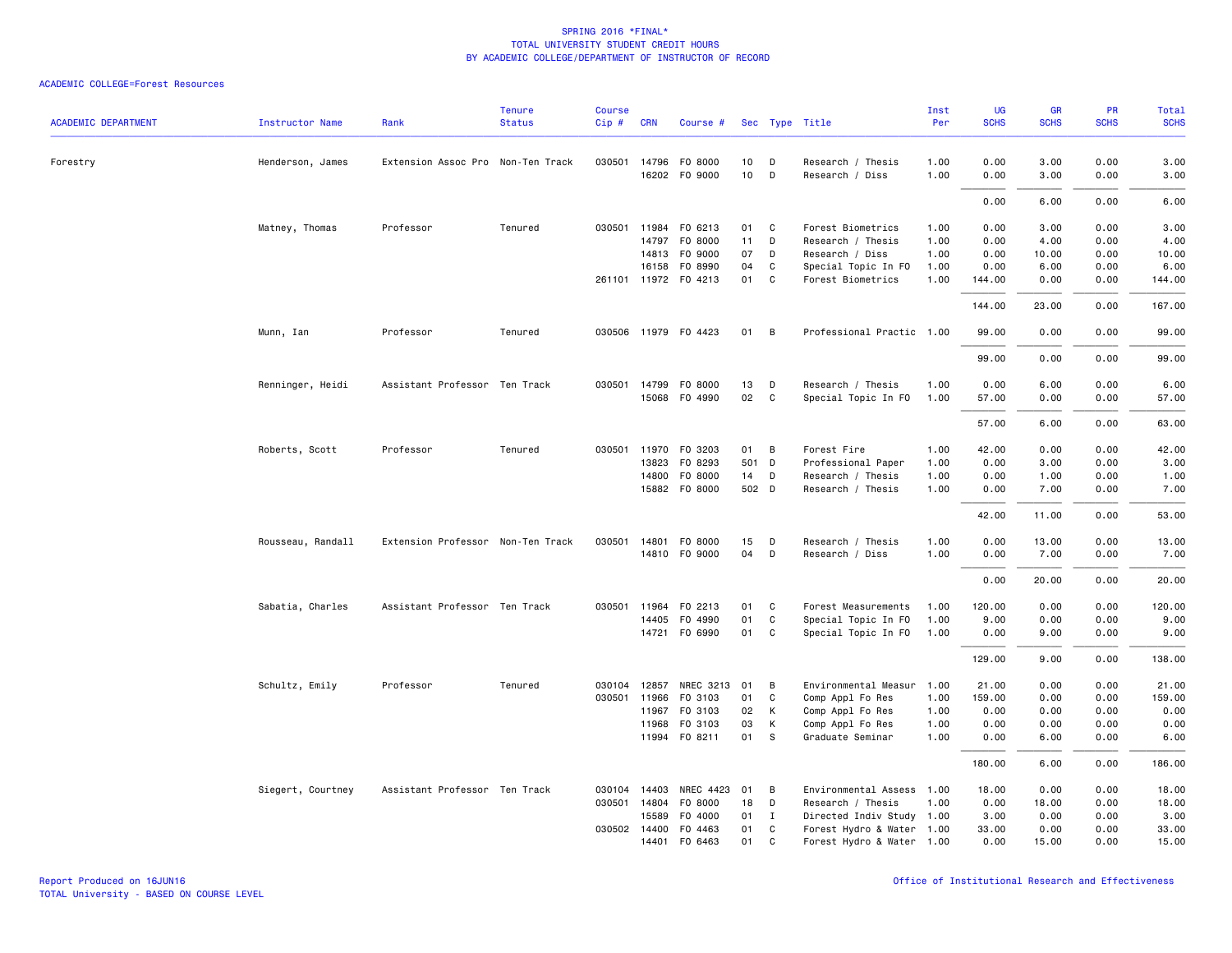|                            |                        |                                   | <b>Tenure</b> | <b>Course</b> |              |                      |       |                |                           | Inst | UG          | <b>GR</b>   | PR          | Total       |
|----------------------------|------------------------|-----------------------------------|---------------|---------------|--------------|----------------------|-------|----------------|---------------------------|------|-------------|-------------|-------------|-------------|
| <b>ACADEMIC DEPARTMENT</b> | <b>Instructor Name</b> | Rank                              | <b>Status</b> | $Cip \#$      | <b>CRN</b>   | Course #             |       |                | Sec Type Title            | Per  | <b>SCHS</b> | <b>SCHS</b> | <b>SCHS</b> | <b>SCHS</b> |
| Forestry                   | Henderson, James       | Extension Assoc Pro Non-Ten Track |               |               | 030501 14796 | F0 8000              | 10    | D              | Research / Thesis         | 1.00 | 0.00        | 3.00        | 0.00        | 3.00        |
|                            |                        |                                   |               |               |              | 16202 F0 9000        | 10    | D              | Research / Diss           | 1.00 | 0.00        | 3.00        | 0.00        | 3.00        |
|                            |                        |                                   |               |               |              |                      |       |                |                           |      | 0.00        | 6.00        | 0.00        | 6.00        |
|                            | Matney, Thomas         | Professor                         | Tenured       |               | 030501 11984 | F0 6213              | 01    | $\mathbf{C}$   | Forest Biometrics         | 1.00 | 0.00        | 3.00        | 0.00        | 3.00        |
|                            |                        |                                   |               |               | 14797        | F0 8000              | 11    | D              | Research / Thesis         | 1.00 | 0.00        | 4.00        | 0.00        | 4.00        |
|                            |                        |                                   |               |               | 14813        | F0 9000              | 07    | D              | Research / Diss           | 1.00 | 0.00        | 10.00       | 0.00        | 10.00       |
|                            |                        |                                   |               |               | 16158        | F0 8990              | 04    | C              | Special Topic In FO       | 1.00 | 0.00        | 6.00        | 0.00        | 6.00        |
|                            |                        |                                   |               |               |              | 261101 11972 F0 4213 | 01    | C              | Forest Biometrics         | 1.00 | 144.00      | 0.00        | 0.00        | 144.00      |
|                            |                        |                                   |               |               |              |                      |       |                |                           |      | 144.00      | 23.00       | 0.00        | 167.00      |
|                            | Munn, Ian              | Professor                         | Tenured       |               |              | 030506 11979 F0 4423 | 01    | $\overline{B}$ | Professional Practic 1.00 |      | 99.00       | 0.00        | 0.00        | 99.00       |
|                            |                        |                                   |               |               |              |                      |       |                |                           |      | 99.00       | 0.00        | 0.00        | 99.00       |
|                            | Renninger, Heidi       | Assistant Professor Ten Track     |               |               | 030501 14799 | F0 8000              | 13    | D              | Research / Thesis         | 1.00 | 0.00        | 6.00        | 0.00        | 6.00        |
|                            |                        |                                   |               |               | 15068        | F0 4990              | 02    | $\mathtt{C}$   | Special Topic In FO       | 1.00 | 57.00       | 0.00        | 0.00        | 57.00       |
|                            |                        |                                   |               |               |              |                      |       |                |                           |      | 57.00       | 6.00        | 0.00        | 63.00       |
|                            | Roberts, Scott         | Professor                         | Tenured       |               | 030501 11970 | F0 3203              | 01    | $\overline{B}$ | Forest Fire               | 1.00 | 42.00       | 0.00        | 0.00        | 42.00       |
|                            |                        |                                   |               |               | 13823        | F0 8293              | 501 D |                | Professional Paper        | 1.00 | 0.00        | 3.00        | 0.00        | 3.00        |
|                            |                        |                                   |               |               | 14800        | F0 8000              | 14    | D              | Research / Thesis         | 1.00 | 0.00        | 1.00        | 0.00        | 1.00        |
|                            |                        |                                   |               |               |              | 15882 F0 8000        | 502 D |                | Research / Thesis         | 1.00 | 0.00        | 7.00        | 0.00        | 7.00        |
|                            |                        |                                   |               |               |              |                      |       |                |                           |      | 42.00       | 11.00       | 0.00        | 53.00       |
|                            | Rousseau, Randall      | Extension Professor Non-Ten Track |               |               | 030501 14801 | F0 8000              | 15    | D              | Research / Thesis         | 1.00 | 0.00        | 13.00       | 0.00        | 13.00       |
|                            |                        |                                   |               |               |              | 14810 FO 9000        | 04    | D              | Research / Diss           | 1.00 | 0.00        | 7.00        | 0.00        | 7.00        |
|                            |                        |                                   |               |               |              |                      |       |                |                           |      | 0.00        | 20.00       | 0.00        | 20.00       |
|                            | Sabatia, Charles       | Assistant Professor Ten Track     |               |               | 030501 11964 | F0 2213              | 01    | C              | Forest Measurements       | 1.00 | 120.00      | 0.00        | 0.00        | 120.00      |
|                            |                        |                                   |               |               | 14405        | F0 4990              | 01    | C              | Special Topic In FO       | 1.00 | 9.00        | 0.00        | 0.00        | 9.00        |
|                            |                        |                                   |               |               |              | 14721 F0 6990        | 01    | C              | Special Topic In FO       | 1.00 | 0.00        | 9.00        | 0.00        | 9.00        |
|                            |                        |                                   |               |               |              |                      |       |                |                           |      | 129.00      | 9.00        | 0.00        | 138.00      |
|                            | Schultz, Emily         | Professor                         | Tenured       |               | 030104 12857 | NREC 3213 01         |       | B              | Environmental Measur      | 1.00 | 21.00       | 0.00        | 0.00        | 21.00       |
|                            |                        |                                   |               |               | 030501 11966 | F0 3103              | 01    | C              | Comp Appl Fo Res          | 1.00 | 159.00      | 0.00        | 0.00        | 159.00      |
|                            |                        |                                   |               |               | 11967        | F0 3103              | 02    | К              | Comp Appl Fo Res          | 1.00 | 0.00        | 0.00        | 0.00        | 0.00        |
|                            |                        |                                   |               |               | 11968        | F0 3103              | 03    | К              | Comp Appl Fo Res          | 1.00 | 0.00        | 0.00        | 0.00        | 0.00        |
|                            |                        |                                   |               |               | 11994        | F0 8211              | 01    | - S            | Graduate Seminar          | 1.00 | 0.00        | 6.00        | 0.00        | 6.00        |
|                            |                        |                                   |               |               |              |                      |       |                |                           |      | 180.00      | 6.00        | 0.00        | 186.00      |
|                            | Siegert, Courtney      | Assistant Professor Ten Track     |               |               | 030104 14403 | NREC 4423            | 01    | B              | Environmental Assess 1.00 |      | 18.00       | 0.00        | 0.00        | 18.00       |
|                            |                        |                                   |               |               | 030501 14804 | F0 8000              | 18    | D              | Research / Thesis         | 1.00 | 0.00        | 18.00       | 0.00        | 18.00       |
|                            |                        |                                   |               |               | 15589        | F0 4000              | 01    | $\mathbf{I}$   | Directed Indiv Study 1.00 |      | 3.00        | 0.00        | 0.00        | 3.00        |
|                            |                        |                                   |               |               | 030502 14400 | F0 4463              | 01    | C              | Forest Hydro & Water 1.00 |      | 33.00       | 0.00        | 0.00        | 33.00       |
|                            |                        |                                   |               |               | 14401        | F0 6463              | 01    | C              | Forest Hydro & Water 1.00 |      | 0.00        | 15.00       | 0.00        | 15.00       |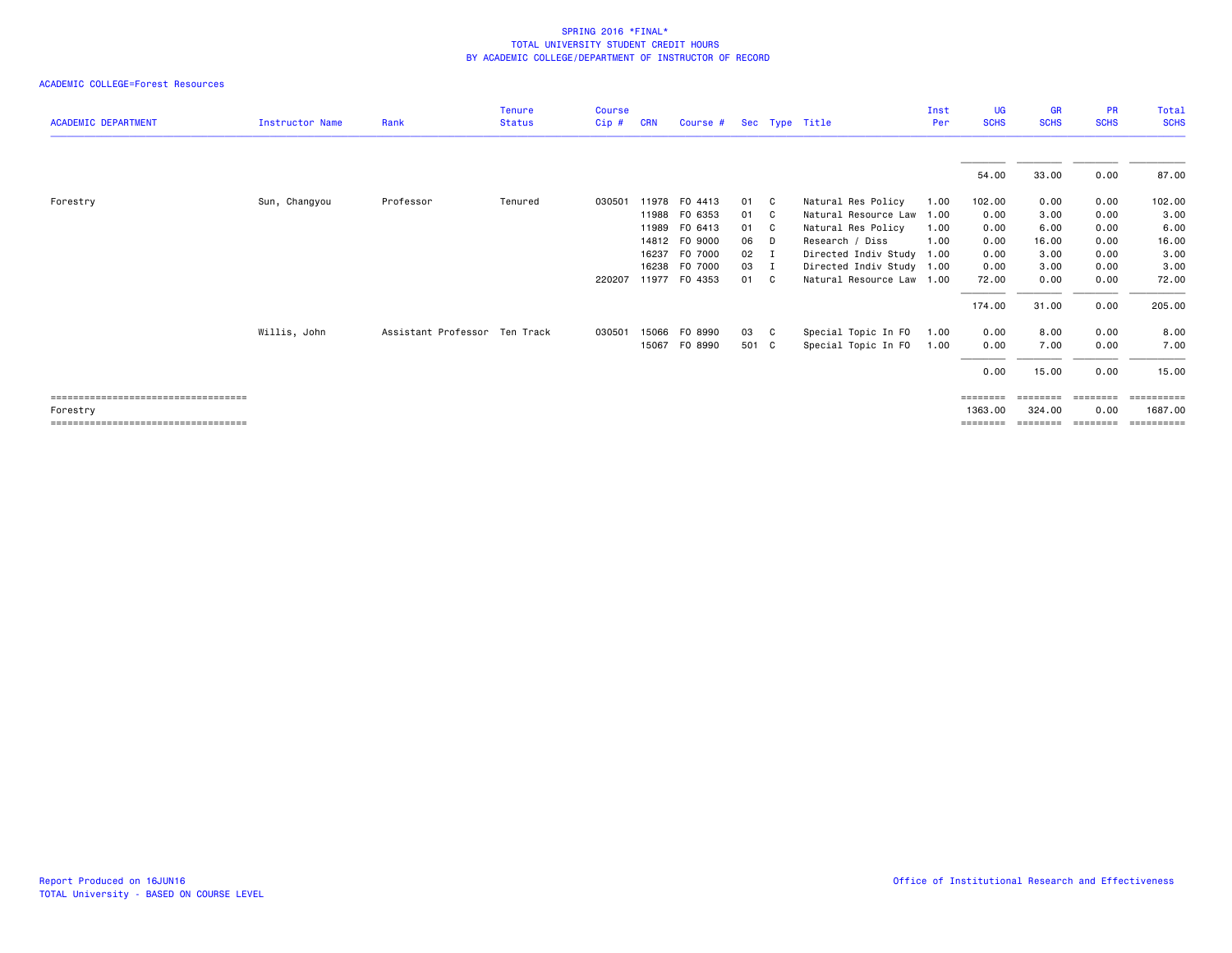| <b>ACADEMIC DEPARTMENT</b>            | <b>Instructor Name</b> | Rank                          | <b>Tenure</b><br><b>Status</b> | <b>Course</b><br>Cip# | <b>CRN</b> | Course #      |        |     | Sec Type Title            | Inst<br>Per | <b>UG</b><br><b>SCHS</b> | <b>GR</b><br><b>SCHS</b> | <b>PR</b><br><b>SCHS</b> | Total<br><b>SCHS</b> |
|---------------------------------------|------------------------|-------------------------------|--------------------------------|-----------------------|------------|---------------|--------|-----|---------------------------|-------------|--------------------------|--------------------------|--------------------------|----------------------|
|                                       |                        |                               |                                |                       |            |               |        |     |                           |             |                          |                          |                          |                      |
|                                       |                        |                               |                                |                       |            |               |        |     |                           |             | 54.00                    | 33.00                    | 0.00                     | 87.00                |
| Forestry                              | Sun, Changyou          | Professor                     | Tenured                        | 030501                |            | 11978 FO 4413 | 01 C   |     | Natural Res Policy        | 1.00        | 102.00                   | 0.00                     | 0.00                     | 102.00               |
|                                       |                        |                               |                                |                       |            | 11988 FO 6353 | 01     | - C | Natural Resource Law      | 1.00        | 0.00                     | 3.00                     | 0.00                     | 3.00                 |
|                                       |                        |                               |                                |                       |            | 11989 FO 6413 | 01     | - C | Natural Res Policy        | 1.00        | 0.00                     | 6.00                     | 0.00                     | 6.00                 |
|                                       |                        |                               |                                |                       |            | 14812 FO 9000 | 06     | D.  | Research / Diss           | 1.00        | 0.00                     | 16.00                    | 0.00                     | 16.00                |
|                                       |                        |                               |                                |                       | 16237      | F0 7000       | $02$ I |     | Directed Indiv Study 1.00 |             | 0.00                     | 3.00                     | 0.00                     | 3.00                 |
|                                       |                        |                               |                                |                       |            | 16238 F0 7000 | 03 I   |     | Directed Indiv Study 1.00 |             | 0.00                     | 3.00                     | 0.00                     | 3.00                 |
|                                       |                        |                               |                                | 220207                |            | 11977 FO 4353 | 01 C   |     | Natural Resource Law 1.00 |             | 72.00                    | 0.00                     | 0.00                     | 72.00                |
|                                       |                        |                               |                                |                       |            |               |        |     |                           |             | 174.00                   | 31.00                    | 0.00                     | 205.00               |
|                                       | Willis, John           | Assistant Professor Ten Track |                                | 030501                | 15066      | F0 8990       | 03     | C.  | Special Topic In FO       | 1.00        | 0.00                     | 8.00                     | 0.00                     | 8.00                 |
|                                       |                        |                               |                                |                       | 15067      | F0 8990       | 501 C  |     | Special Topic In FO       | 1.00        | 0.00                     | 7.00                     | 0.00                     | 7.00                 |
|                                       |                        |                               |                                |                       |            |               |        |     |                           |             | 0.00                     | 15.00                    | 0.00                     | 15.00                |
| ===================================== |                        |                               |                                |                       |            |               |        |     |                           |             | ========                 |                          |                          | ========             |
| Forestry                              |                        |                               |                                |                       |            |               |        |     |                           |             | 1363,00                  | 324.00                   | 0.00                     | 1687.00              |
| ===================================== |                        |                               |                                |                       |            |               |        |     |                           |             | ========                 | ========                 | ========                 | ==========           |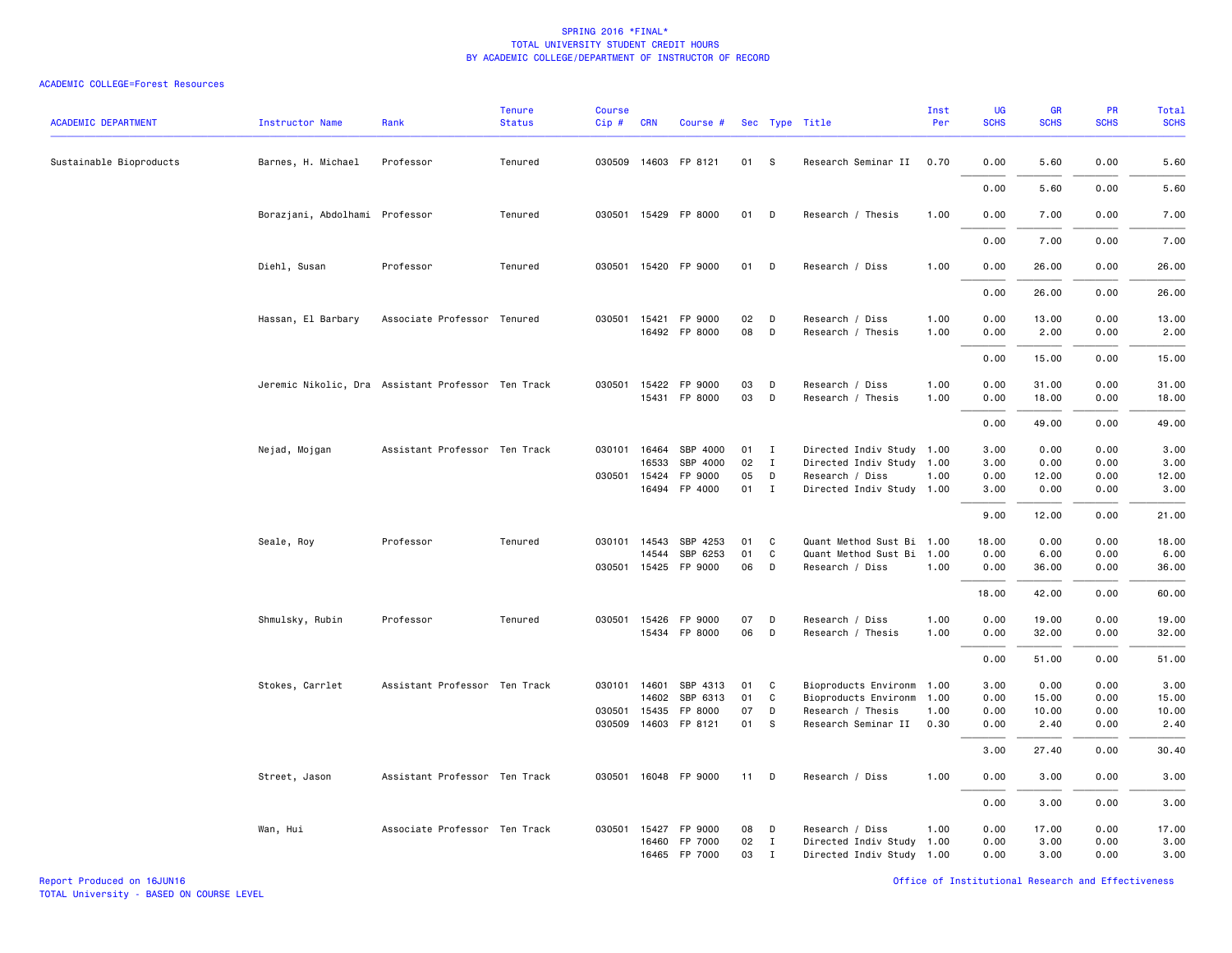| <b>ACADEMIC DEPARTMENT</b> | Instructor Name                | Rank                                               | <b>Tenure</b><br><b>Status</b> | <b>Course</b><br>Cip# | <b>CRN</b>   | Course #             |        |              | Sec Type Title            | Inst<br>Per | UG<br><b>SCHS</b> | GR<br><b>SCHS</b> | PR<br><b>SCHS</b> | Total<br><b>SCHS</b> |
|----------------------------|--------------------------------|----------------------------------------------------|--------------------------------|-----------------------|--------------|----------------------|--------|--------------|---------------------------|-------------|-------------------|-------------------|-------------------|----------------------|
| Sustainable Bioproducts    | Barnes, H. Michael             | Professor                                          | Tenured                        |                       |              | 030509 14603 FP 8121 | 01     | <b>S</b>     | Research Seminar II       | 0.70        | 0.00              | 5.60              | 0.00              | 5.60                 |
|                            |                                |                                                    |                                |                       |              |                      |        |              |                           |             | 0.00              | 5.60              | 0.00              | 5.60                 |
|                            | Borazjani, Abdolhami Professor |                                                    | Tenured                        |                       |              | 030501 15429 FP 8000 | 01 D   |              | Research / Thesis         | 1.00        | 0.00              | 7.00              | 0.00              | 7.00                 |
|                            |                                |                                                    |                                |                       |              |                      |        |              |                           |             | 0.00              | 7.00              | 0.00              | 7.00                 |
|                            | Diehl, Susan                   | Professor                                          | Tenured                        |                       |              | 030501 15420 FP 9000 | 01 D   |              | Research / Diss           | 1.00        | 0.00              | 26.00             | 0.00              | 26.00                |
|                            |                                |                                                    |                                |                       |              |                      |        |              |                           |             | 0.00              | 26.00             | 0.00              | 26.00                |
|                            | Hassan, El Barbary             | Associate Professor Tenured                        |                                |                       |              | 030501 15421 FP 9000 | 02     | D            | Research / Diss           | 1.00        | 0.00              | 13.00             | 0.00              | 13.00                |
|                            |                                |                                                    |                                |                       |              | 16492 FP 8000        | 08     | D            | Research / Thesis         | 1.00        | 0.00              | 2.00              | 0.00              | 2.00                 |
|                            |                                |                                                    |                                |                       |              |                      |        |              |                           |             | 0.00              | 15.00             | 0.00              | 15.00                |
|                            |                                | Jeremic Nikolic, Dra Assistant Professor Ten Track |                                |                       |              | 030501 15422 FP 9000 | 03     | D            | Research / Diss           | 1.00        | 0.00              | 31.00             | 0.00              | 31.00                |
|                            |                                |                                                    |                                |                       |              | 15431 FP 8000        | 03     | D            | Research / Thesis         | 1.00        | 0.00              | 18.00             | 0.00              | 18.00                |
|                            |                                |                                                    |                                |                       |              |                      |        |              |                           |             | 0.00              | 49.00             | 0.00              | 49.00                |
|                            | Nejad, Mojgan                  | Assistant Professor Ten Track                      |                                |                       | 030101 16464 | SBP 4000             | 01     | $\mathbf I$  | Directed Indiv Study 1.00 |             | 3.00              | 0.00              | 0.00              | 3.00                 |
|                            |                                |                                                    |                                |                       | 16533        | SBP 4000             | 02     | $\mathbf{I}$ | Directed Indiv Study      | 1.00        | 3.00              | 0.00              | 0.00              | 3.00                 |
|                            |                                |                                                    |                                |                       | 030501 15424 | FP 9000              | 05     | D            | Research / Diss           | 1.00        | 0.00              | 12.00             | 0.00              | 12.00                |
|                            |                                |                                                    |                                |                       |              | 16494 FP 4000        | 01     | $\mathbf{I}$ | Directed Indiv Study 1.00 |             | 3.00              | 0.00              | 0.00              | 3.00                 |
|                            |                                |                                                    |                                |                       |              |                      |        |              |                           |             | 9.00              | 12.00             | 0.00              | 21.00                |
|                            | Seale, Roy                     | Professor                                          | Tenured                        |                       | 030101 14543 | SBP 4253             | 01     | C            | Quant Method Sust Bi 1.00 |             | 18.00             | 0.00              | 0.00              | 18.00                |
|                            |                                |                                                    |                                |                       | 14544        | SBP 6253             | 01     | $\mathbf c$  | Quant Method Sust Bi 1.00 |             | 0.00              | 6.00              | 0.00              | 6.00                 |
|                            |                                |                                                    |                                |                       | 030501 15425 | FP 9000              | 06     | D            | Research / Diss           | 1.00        | 0.00              | 36.00             | 0.00              | 36.00                |
|                            |                                |                                                    |                                |                       |              |                      |        |              |                           |             | 18.00             | 42.00             | 0.00              | 60.00                |
|                            | Shmulsky, Rubin                | Professor                                          | Tenured                        |                       |              | 030501 15426 FP 9000 | 07     | D            | Research / Diss           | 1.00        | 0.00              | 19.00             | 0.00              | 19.00                |
|                            |                                |                                                    |                                |                       |              | 15434 FP 8000        | 06     | D            | Research / Thesis         | 1.00        | 0.00              | 32.00             | 0.00              | 32.00                |
|                            |                                |                                                    |                                |                       |              |                      |        |              |                           |             | 0.00              | 51.00             | 0.00              | 51.00                |
|                            | Stokes, Carrlet                | Assistant Professor Ten Track                      |                                |                       | 030101 14601 | SBP 4313             | 01     | C            | Bioproducts Environm 1.00 |             | 3.00              | 0.00              | 0.00              | 3.00                 |
|                            |                                |                                                    |                                |                       | 14602        | SBP 6313             | 01     | C            | Bioproducts Environm      | 1.00        | 0.00              | 15.00             | 0.00              | 15.00                |
|                            |                                |                                                    |                                | 030501 15435          |              | FP 8000              | 07     | D            | Research / Thesis         | 1.00        | 0.00              | 10.00             | 0.00              | 10.00                |
|                            |                                |                                                    |                                |                       |              | 030509 14603 FP 8121 | 01     | s            | Research Seminar II 0.30  |             | 0.00              | 2.40              | 0.00              | 2.40                 |
|                            |                                |                                                    |                                |                       |              |                      |        |              |                           |             | 3.00              | 27.40             | 0.00              | 30.40                |
|                            | Street, Jason                  | Assistant Professor Ten Track                      |                                |                       |              | 030501 16048 FP 9000 | $11$ D |              | Research / Diss           | 1.00        | 0.00              | 3.00              | 0.00              | 3.00                 |
|                            |                                |                                                    |                                |                       |              |                      |        |              |                           |             | 0.00              | 3.00              | 0.00              | 3.00                 |
|                            | Wan, Hui                       | Associate Professor Ten Track                      |                                |                       |              | 030501 15427 FP 9000 | 08     | D            | Research / Diss           | 1.00        | 0.00              | 17.00             | 0.00              | 17.00                |
|                            |                                |                                                    |                                |                       | 16460        | FP 7000              | 02     | $\mathbf{I}$ | Directed Indiv Study 1.00 |             | 0.00              | 3.00              | 0.00              | 3.00                 |
|                            |                                |                                                    |                                |                       |              | 16465 FP 7000        | 03     | $\mathbf{I}$ | Directed Indiv Study 1.00 |             | 0.00              | 3.00              | 0.00              | 3.00                 |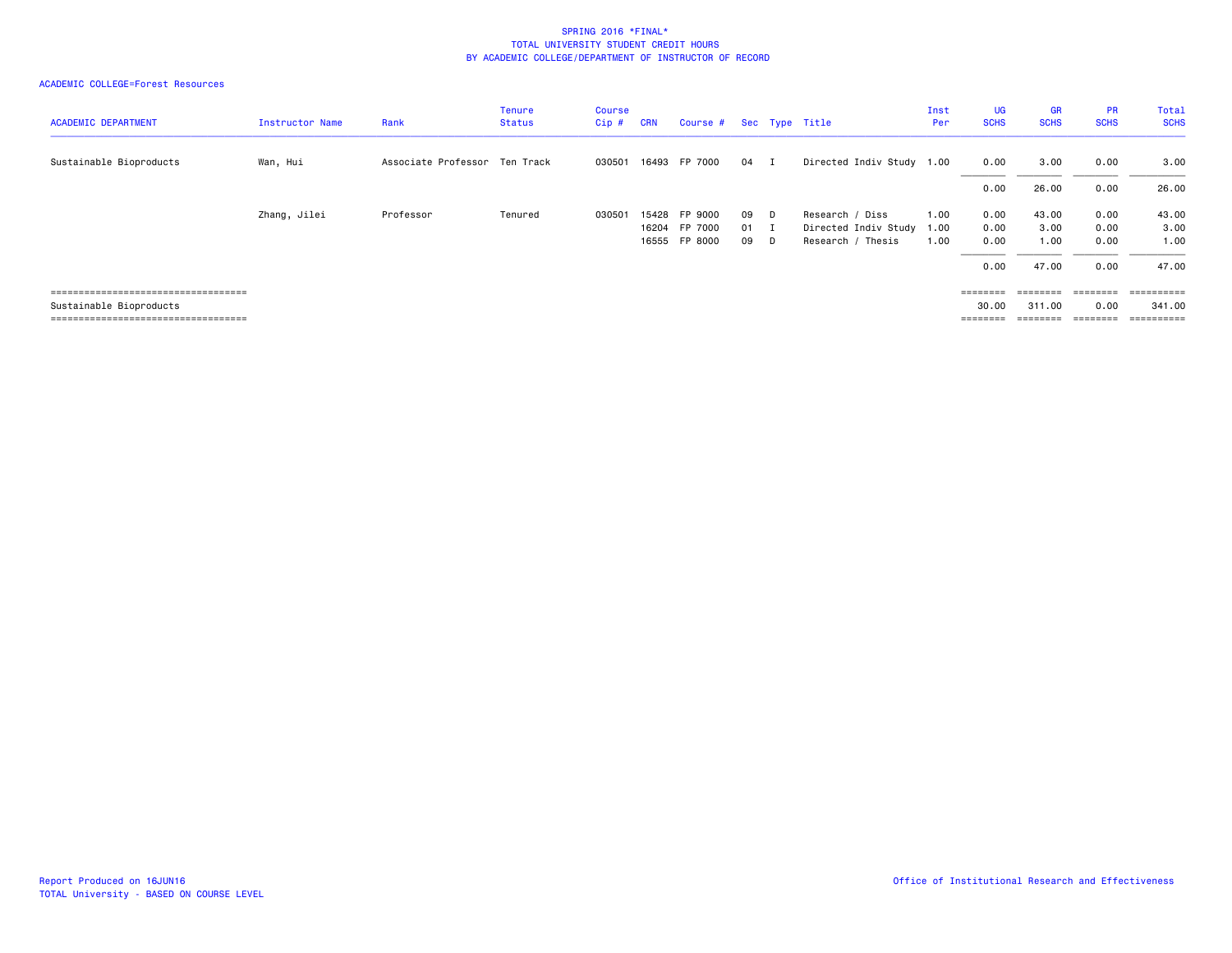| <b>ACADEMIC DEPARTMENT</b>             | Instructor Name | Rank                          | <b>Tenure</b><br><b>Status</b> | <b>Course</b><br>Cip# | <b>CRN</b> | Course #                       |              |                | Sec Type Title                            | Inst<br>Per  | <b>UG</b><br><b>SCHS</b> | <b>GR</b><br><b>SCHS</b> | <b>PR</b><br><b>SCHS</b> | <b>Total</b><br><b>SCHS</b> |
|----------------------------------------|-----------------|-------------------------------|--------------------------------|-----------------------|------------|--------------------------------|--------------|----------------|-------------------------------------------|--------------|--------------------------|--------------------------|--------------------------|-----------------------------|
| Sustainable Bioproducts                | Wan, Hui        | Associate Professor Ten Track |                                | 030501                |            | 16493 FP 7000                  | 04           | $\blacksquare$ | Directed Indiv Study 1.00                 |              | 0.00                     | 3.00                     | 0.00                     | 3.00                        |
|                                        |                 |                               |                                |                       |            |                                |              |                |                                           |              | 0.00                     | 26.00                    | 0.00                     | 26.00                       |
|                                        | Zhang, Jilei    | Professor                     | Tenured                        | 030501                | 15428      | FP 9000                        | 09           | - D            | Research / Diss                           | 1.00         | 0.00                     | 43.00                    | 0.00                     | 43.00                       |
|                                        |                 |                               |                                |                       |            | 16204 FP 7000<br>16555 FP 8000 | $01$ I<br>09 | D.             | Directed Indiv Study<br>Research / Thesis | 1.00<br>1.00 | 0.00<br>0.00             | 3.00<br>1.00             | 0.00<br>0.00             | 3.00<br>1.00                |
|                                        |                 |                               |                                |                       |            |                                |              |                |                                           |              |                          |                          |                          |                             |
|                                        |                 |                               |                                |                       |            |                                |              |                |                                           |              | 0.00                     | 47.00                    | 0.00                     | 47.00                       |
| ______________________________________ |                 |                               |                                |                       |            |                                |              |                |                                           |              | ========                 | ========                 | ========                 | ==========                  |
| Sustainable Bioproducts                |                 |                               |                                |                       |            |                                |              |                |                                           |              | 30.00                    | 311,00                   | 0.00                     | 341.00                      |
| ====================================   |                 |                               |                                |                       |            |                                |              |                |                                           |              | ========                 |                          | $=$ = = = = = = =        | $=$ = = = = = = = = =       |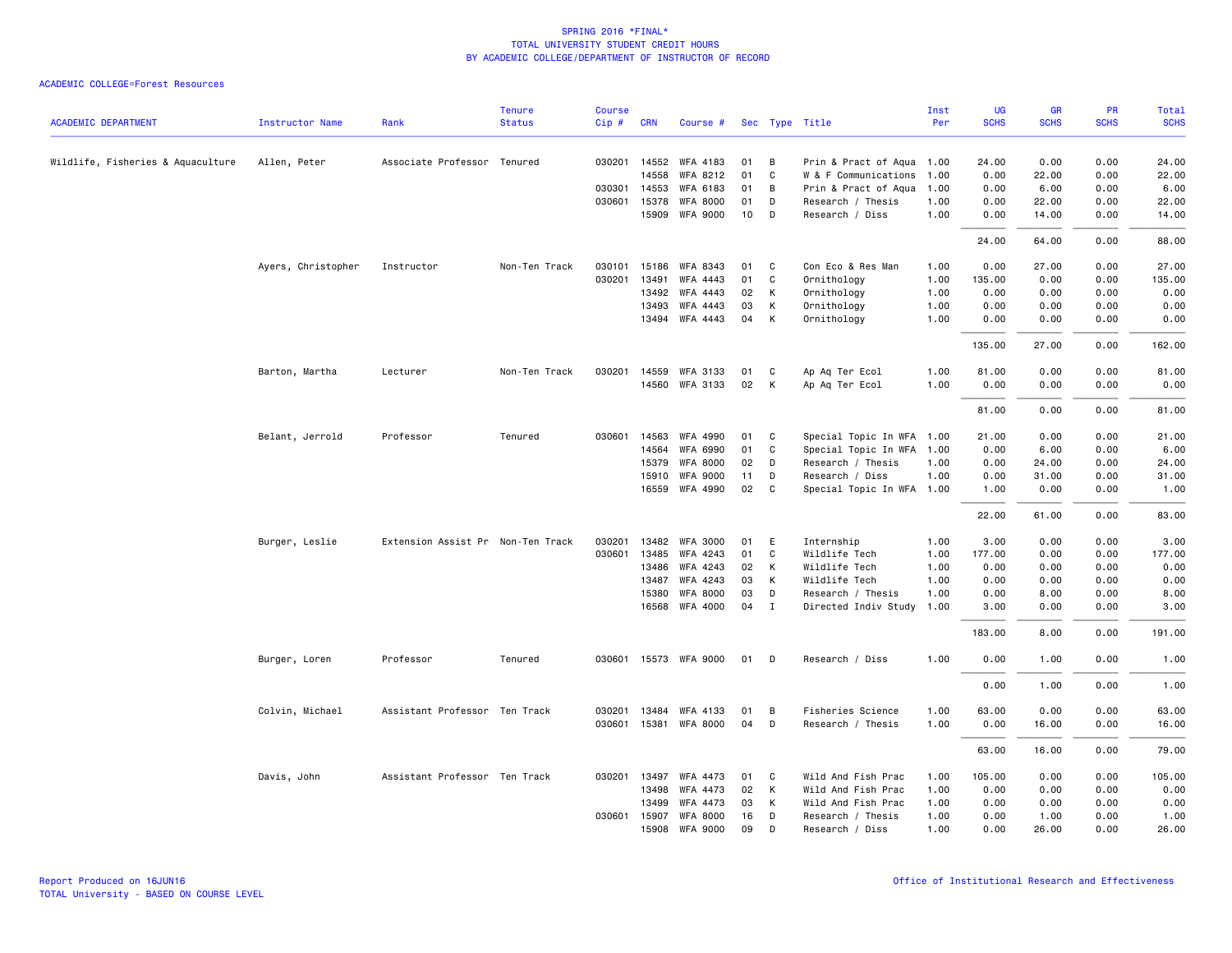|                                   |                        |                                   | <b>Tenure</b> | <b>Course</b> |              |                         |    |                |                           | Inst | UG          | <b>GR</b>   | PR          | Total       |
|-----------------------------------|------------------------|-----------------------------------|---------------|---------------|--------------|-------------------------|----|----------------|---------------------------|------|-------------|-------------|-------------|-------------|
| <b>ACADEMIC DEPARTMENT</b>        | <b>Instructor Name</b> | Rank                              | <b>Status</b> | Cip#          | <b>CRN</b>   | Course # Sec Type Title |    |                |                           | Per  | <b>SCHS</b> | <b>SCHS</b> | <b>SCHS</b> | <b>SCHS</b> |
| Wildlife, Fisheries & Aquaculture | Allen, Peter           | Associate Professor Tenured       |               |               | 030201 14552 | WFA 4183                | 01 | B              | Prin & Pract of Aqua 1.00 |      | 24.00       | 0.00        | 0.00        | 24.00       |
|                                   |                        |                                   |               |               | 14558        | WFA 8212                | 01 | C              | W & F Communications      | 1.00 | 0.00        | 22.00       | 0.00        | 22.00       |
|                                   |                        |                                   |               |               | 030301 14553 | WFA 6183                | 01 | B              | Prin & Pract of Aqua 1.00 |      | 0.00        | 6.00        | 0.00        | 6.00        |
|                                   |                        |                                   |               |               | 030601 15378 | <b>WFA 8000</b>         | 01 | D              | Research / Thesis         | 1.00 | 0.00        | 22.00       | 0.00        | 22.00       |
|                                   |                        |                                   |               |               | 15909        | <b>WFA 9000</b>         | 10 | D              | Research / Diss           | 1.00 | 0.00        | 14.00       | 0.00        | 14.00       |
|                                   |                        |                                   |               |               |              |                         |    |                |                           |      | 24.00       | 64.00       | 0.00        | 88.00       |
|                                   | Ayers, Christopher     | Instructor                        | Non-Ten Track | 030101        | 15186        | WFA 8343                | 01 | C              | Con Eco & Res Man         | 1.00 | 0.00        | 27.00       | 0.00        | 27.00       |
|                                   |                        |                                   |               | 030201        | 13491        | WFA 4443                | 01 | C              | Ornithology               | 1.00 | 135.00      | 0.00        | 0.00        | 135.00      |
|                                   |                        |                                   |               |               | 13492        | <b>WFA 4443</b>         | 02 | К              | Ornithology               | 1.00 | 0.00        | 0.00        | 0.00        | 0.00        |
|                                   |                        |                                   |               |               | 13493        | WFA 4443                | 03 | К              | Ornithology               | 1.00 | 0.00        | 0.00        | 0.00        | 0.00        |
|                                   |                        |                                   |               |               | 13494        | WFA 4443                | 04 | K              | Ornithology               | 1.00 | 0.00        | 0.00        | 0.00        | 0.00        |
|                                   |                        |                                   |               |               |              |                         |    |                |                           |      | 135.00      | 27.00       | 0.00        | 162.00      |
|                                   | Barton, Martha         | Lecturer                          | Non-Ten Track | 030201        |              | 14559 WFA 3133          | 01 | C              | Ap Aq Ter Ecol            | 1.00 | 81.00       | 0.00        | 0.00        | 81.00       |
|                                   |                        |                                   |               |               |              | 14560 WFA 3133          | 02 | К              | Ap Aq Ter Ecol            | 1.00 | 0.00        | 0.00        | 0.00        | 0.00        |
|                                   |                        |                                   |               |               |              |                         |    |                |                           |      | 81.00       | 0.00        | 0.00        | 81.00       |
|                                   | Belant, Jerrold        | Professor                         | Tenured       | 030601        | 14563        | WFA 4990                | 01 | C              | Special Topic In WFA 1.00 |      | 21.00       | 0.00        | 0.00        | 21.00       |
|                                   |                        |                                   |               |               | 14564        | WFA 6990                | 01 | C              | Special Topic In WFA 1.00 |      | 0.00        | 6.00        | 0.00        | 6.00        |
|                                   |                        |                                   |               |               | 15379        | <b>WFA 8000</b>         | 02 | D              | Research / Thesis         | 1.00 | 0.00        | 24.00       | 0.00        | 24.00       |
|                                   |                        |                                   |               |               | 15910        | <b>WFA 9000</b>         | 11 | D              | Research / Diss           | 1.00 | 0.00        | 31.00       | 0.00        | 31.00       |
|                                   |                        |                                   |               |               | 16559        | WFA 4990                | 02 | C <sub>c</sub> | Special Topic In WFA 1.00 |      | 1.00        | 0.00        | 0.00        | 1.00        |
|                                   |                        |                                   |               |               |              |                         |    |                |                           |      | 22.00       | 61.00       | 0.00        | 83.00       |
|                                   | Burger, Leslie         | Extension Assist Pr Non-Ten Track |               | 030201        | 13482        | <b>WFA 3000</b>         | 01 | E              | Internship                | 1.00 | 3.00        | 0.00        | 0.00        | 3.00        |
|                                   |                        |                                   |               | 030601        | 13485        | WFA 4243                | 01 | C              | Wildlife Tech             | 1.00 | 177.00      | 0.00        | 0.00        | 177.00      |
|                                   |                        |                                   |               |               | 13486        | WFA 4243                | 02 | K              | Wildlife Tech             | 1.00 | 0.00        | 0.00        | 0.00        | 0.00        |
|                                   |                        |                                   |               |               | 13487        | WFA 4243                | 03 | K              | Wildlife Tech             | 1.00 | 0.00        | 0.00        | 0.00        | 0.00        |
|                                   |                        |                                   |               |               | 15380        | <b>WFA 8000</b>         | 03 | D              | Research / Thesis         | 1.00 | 0.00        | 8.00        | 0.00        | 8.00        |
|                                   |                        |                                   |               |               | 16568        | WFA 4000                | 04 | $\mathbf{I}$   | Directed Indiv Study      | 1.00 | 3.00        | 0.00        | 0.00        | 3.00        |
|                                   |                        |                                   |               |               |              |                         |    |                |                           |      | 183.00      | 8.00        | 0.00        | 191.00      |
|                                   | Burger, Loren          | Professor                         | Tenured       |               |              | 030601 15573 WFA 9000   | 01 | D              | Research / Diss           | 1.00 | 0.00        | 1.00        | 0.00        | 1.00        |
|                                   |                        |                                   |               |               |              |                         |    |                |                           |      | 0.00        | 1.00        | 0.00        | 1.00        |
|                                   | Colvin, Michael        | Assistant Professor Ten Track     |               | 030201        | 13484        | WFA 4133                | 01 | В              | Fisheries Science         | 1.00 | 63.00       | 0.00        | 0.00        | 63.00       |
|                                   |                        |                                   |               | 030601        | 15381        | WFA 8000                | 04 | D              | Research / Thesis         | 1.00 | 0.00        | 16.00       | 0.00        | 16.00       |
|                                   |                        |                                   |               |               |              |                         |    |                |                           |      | 63.00       | 16.00       | 0.00        | 79.00       |
|                                   | Davis, John            | Assistant Professor Ten Track     |               |               | 030201 13497 | WFA 4473                | 01 | C              | Wild And Fish Prac        | 1.00 | 105.00      | 0.00        | 0.00        | 105.00      |
|                                   |                        |                                   |               |               | 13498        | WFA 4473                | 02 | К              | Wild And Fish Prac        | 1.00 | 0.00        | 0.00        | 0.00        | 0.00        |
|                                   |                        |                                   |               |               | 13499        | <b>WFA 4473</b>         | 03 | К              | Wild And Fish Prac        | 1.00 | 0.00        | 0.00        | 0.00        | 0.00        |
|                                   |                        |                                   |               | 030601        | 15907        | <b>WFA 8000</b>         | 16 | D              | Research / Thesis         | 1.00 | 0.00        | 1.00        | 0.00        | 1.00        |
|                                   |                        |                                   |               |               | 15908        | <b>WFA 9000</b>         | 09 | D              | Research / Diss           | 1.00 | 0.00        | 26.00       | 0.00        | 26.00       |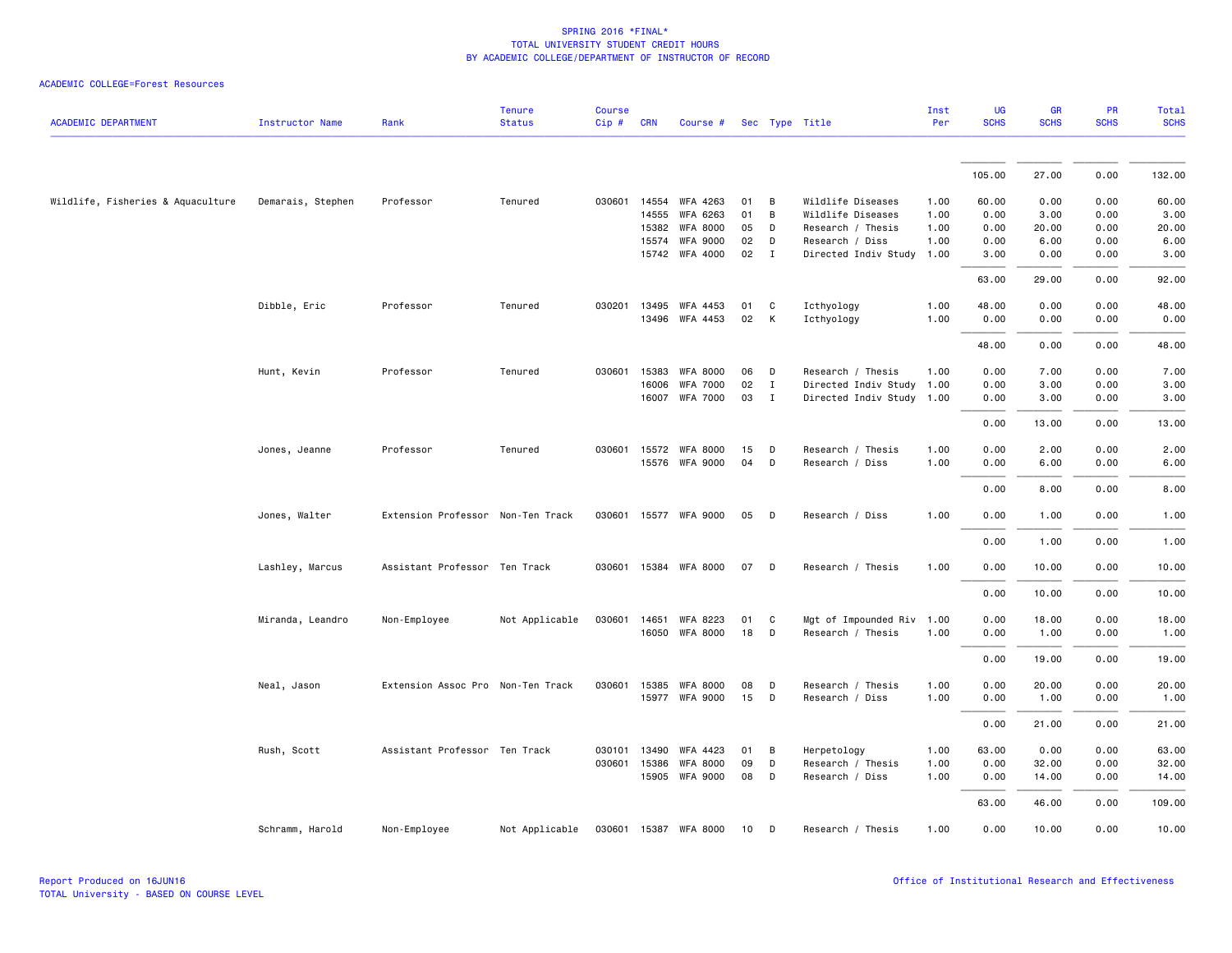|                                   |                        |                                   | <b>Tenure</b>  | <b>Course</b> |            |                       |      |              |                           | Inst | <b>UG</b>   | <b>GR</b>   | PR          | <b>Total</b> |
|-----------------------------------|------------------------|-----------------------------------|----------------|---------------|------------|-----------------------|------|--------------|---------------------------|------|-------------|-------------|-------------|--------------|
| <b>ACADEMIC DEPARTMENT</b>        | <b>Instructor Name</b> | Rank                              | <b>Status</b>  | $Cip$ #       | <b>CRN</b> | Course #              |      |              | Sec Type Title            | Per  | <b>SCHS</b> | <b>SCHS</b> | <b>SCHS</b> | <b>SCHS</b>  |
|                                   |                        |                                   |                |               |            |                       |      |              |                           |      | 105.00      | 27.00       | 0.00        | 132.00       |
|                                   |                        |                                   |                |               |            |                       |      |              |                           |      |             |             |             |              |
| Wildlife, Fisheries & Aquaculture | Demarais, Stephen      | Professor                         | Tenured        | 030601        | 14554      | WFA 4263              | 01   | В            | Wildlife Diseases         | 1.00 | 60.00       | 0.00        | 0.00        | 60.00        |
|                                   |                        |                                   |                |               | 14555      | WFA 6263              | 01   | В            | Wildlife Diseases         | 1.00 | 0.00        | 3.00        | 0.00        | 3.00         |
|                                   |                        |                                   |                |               | 15382      | <b>WFA 8000</b>       | 05   | D            | Research / Thesis         | 1.00 | 0.00        | 20.00       | 0.00        | 20.00        |
|                                   |                        |                                   |                |               | 15574      | <b>WFA 9000</b>       | 02   | D            | Research / Diss           | 1.00 | 0.00        | 6.00        | 0.00        | 6.00         |
|                                   |                        |                                   |                |               |            | 15742 WFA 4000        | 02 I |              | Directed Indiv Study 1.00 |      | 3.00        | 0.00        | 0.00        | 3.00         |
|                                   |                        |                                   |                |               |            |                       |      |              |                           |      | 63.00       | 29.00       | 0.00        | 92.00        |
|                                   | Dibble, Eric           | Professor                         | Tenured        | 030201        |            | 13495 WFA 4453        | 01   | C            | Icthyology                | 1.00 | 48.00       | 0.00        | 0.00        | 48.00        |
|                                   |                        |                                   |                |               |            | 13496 WFA 4453        | 02   | K            | Icthyology                | 1.00 | 0.00        | 0.00        | 0.00        | 0.00         |
|                                   |                        |                                   |                |               |            |                       |      |              |                           |      | 48.00       | 0.00        | 0.00        | 48.00        |
|                                   | Hunt, Kevin            | Professor                         | Tenured        | 030601        | 15383      | <b>WFA 8000</b>       | 06   | D            | Research / Thesis         | 1.00 | 0.00        | 7.00        | 0.00        | 7.00         |
|                                   |                        |                                   |                |               | 16006      | <b>WFA 7000</b>       | 02   | $\mathbf{I}$ | Directed Indiv Study      | 1.00 | 0.00        | 3.00        | 0.00        | 3.00         |
|                                   |                        |                                   |                |               | 16007      | <b>WFA 7000</b>       | 03   | $\mathbf{I}$ | Directed Indiv Study 1.00 |      | 0.00        | 3.00        | 0.00        | 3.00         |
|                                   |                        |                                   |                |               |            |                       |      |              |                           |      | 0.00        | 13.00       | 0.00        | 13.00        |
|                                   | Jones, Jeanne          | Professor                         | Tenured        |               |            | 030601 15572 WFA 8000 | 15   | D            | Research / Thesis         | 1.00 | 0.00        | 2.00        | 0.00        | 2.00         |
|                                   |                        |                                   |                |               |            | 15576 WFA 9000        | 04   | D            | Research / Diss           | 1.00 | 0.00        | 6.00        | 0.00        | 6.00         |
|                                   |                        |                                   |                |               |            |                       |      |              |                           |      | 0.00        | 8.00        | 0.00        | 8.00         |
|                                   | Jones, Walter          | Extension Professor Non-Ten Track |                |               |            | 030601 15577 WFA 9000 | 05   | D            | Research / Diss           | 1.00 | 0.00        | 1.00        | 0.00        | 1.00         |
|                                   |                        |                                   |                |               |            |                       |      |              |                           |      | 0.00        | 1.00        | 0.00        | 1.00         |
|                                   | Lashley, Marcus        | Assistant Professor Ten Track     |                |               |            | 030601 15384 WFA 8000 | 07   | D            | Research / Thesis         | 1.00 | 0.00        | 10.00       | 0.00        | 10.00        |
|                                   |                        |                                   |                |               |            |                       |      |              |                           |      | 0.00        | 10.00       | 0.00        | 10.00        |
|                                   | Miranda, Leandro       | Non-Employee                      | Not Applicable | 030601        | 14651      | WFA 8223              | 01   | C            | Mgt of Impounded Riv      | 1.00 | 0.00        | 18.00       | 0.00        | 18.00        |
|                                   |                        |                                   |                |               |            | 16050 WFA 8000        | 18   | D            | Research / Thesis         | 1.00 | 0.00        | 1.00        | 0.00        | 1.00         |
|                                   |                        |                                   |                |               |            |                       |      |              |                           |      | 0.00        | 19.00       | 0.00        | 19.00        |
|                                   | Neal, Jason            | Extension Assoc Pro Non-Ten Track |                |               |            | 030601 15385 WFA 8000 | 08   | D            | Research / Thesis         | 1.00 | 0.00        | 20.00       | 0.00        | 20.00        |
|                                   |                        |                                   |                |               |            | 15977 WFA 9000        | 15   | D            | Research / Diss           | 1.00 | 0.00        | 1.00        | 0.00        | 1.00         |
|                                   |                        |                                   |                |               |            |                       |      |              |                           |      | 0.00        | 21.00       | 0.00        | 21.00        |
|                                   | Rush, Scott            | Assistant Professor Ten Track     |                | 030101        | 13490      | WFA 4423              | 01   | В            | Herpetology               | 1.00 | 63.00       | 0.00        | 0.00        | 63.00        |
|                                   |                        |                                   |                | 030601        | 15386      | <b>WFA 8000</b>       | 09   | D            | Research / Thesis         | 1.00 | 0.00        | 32.00       | 0.00        | 32.00        |
|                                   |                        |                                   |                |               |            | 15905 WFA 9000        | 08   | D            | Research / Diss           | 1.00 | 0.00        | 14.00       | 0.00        | 14.00        |
|                                   |                        |                                   |                |               |            |                       |      |              |                           |      | 63.00       | 46.00       | 0.00        | 109.00       |
|                                   | Schramm, Harold        | Non-Employee                      | Not Applicable |               |            | 030601 15387 WFA 8000 | 10   | D            | Research / Thesis         | 1.00 | 0.00        | 10.00       | 0.00        | 10.00        |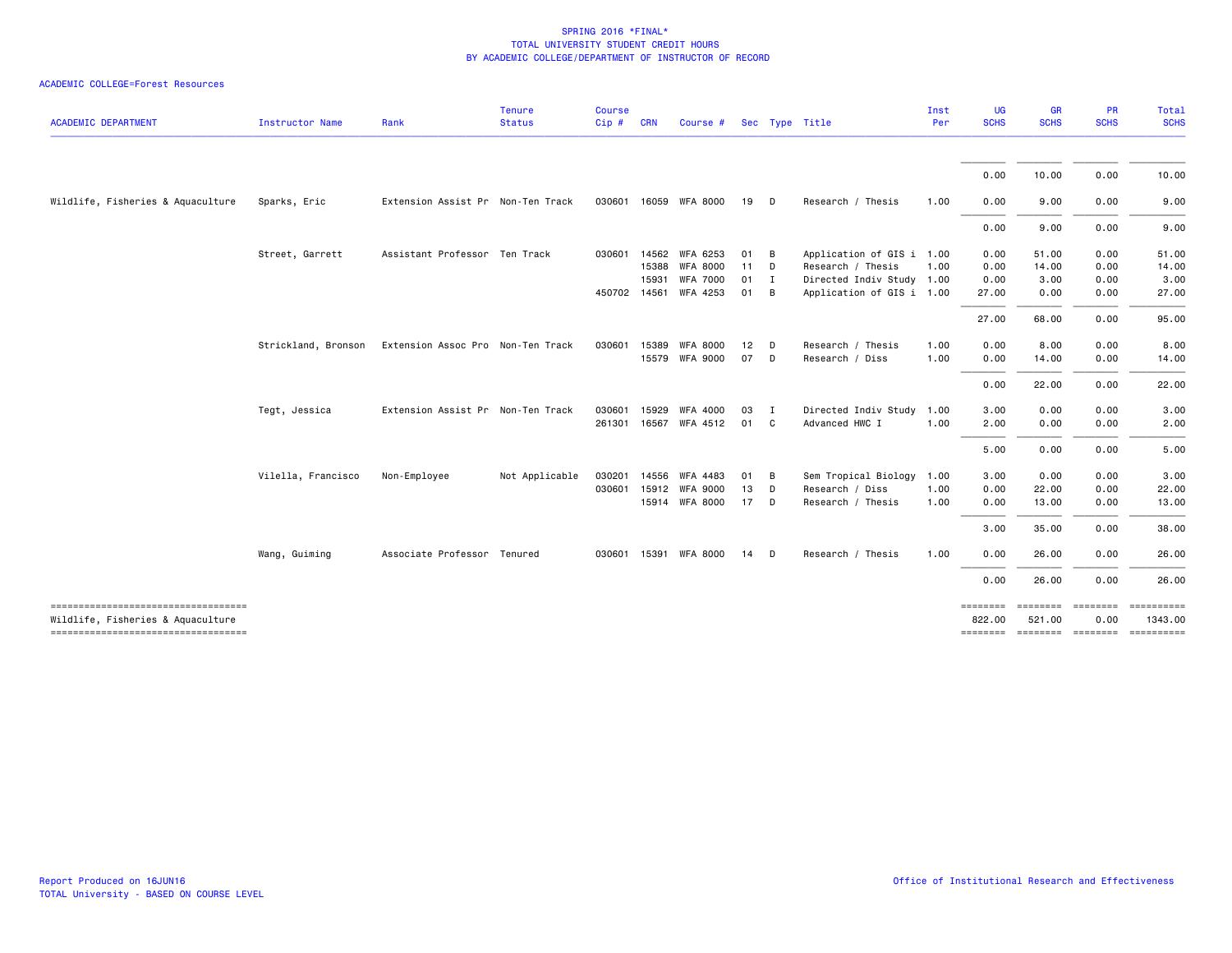| <b>ACADEMIC DEPARTMENT</b>                                               | <b>Instructor Name</b> | Rank                              | <b>Tenure</b><br><b>Status</b> | <b>Course</b><br>Cip# | <b>CRN</b> | Course #              |              |                | Sec Type Title            | Inst<br>Per | <b>UG</b><br><b>SCHS</b> | <b>GR</b><br><b>SCHS</b>    | <b>PR</b><br><b>SCHS</b> | Total<br><b>SCHS</b>  |
|--------------------------------------------------------------------------|------------------------|-----------------------------------|--------------------------------|-----------------------|------------|-----------------------|--------------|----------------|---------------------------|-------------|--------------------------|-----------------------------|--------------------------|-----------------------|
|                                                                          |                        |                                   |                                |                       |            |                       |              |                |                           |             |                          |                             |                          |                       |
|                                                                          |                        |                                   |                                |                       |            |                       |              |                |                           |             | 0.00                     | 10.00                       | 0.00                     | 10.00                 |
| Wildlife, Fisheries & Aquaculture                                        | Sparks, Eric           | Extension Assist Pr Non-Ten Track |                                |                       |            | 030601 16059 WFA 8000 | 19 D         |                | Research / Thesis         | 1.00        | 0.00                     | 9.00                        | 0.00                     | 9.00                  |
|                                                                          |                        |                                   |                                |                       |            |                       |              |                |                           |             | 0.00                     | 9.00                        | 0.00                     | 9.00                  |
|                                                                          | Street, Garrett        | Assistant Professor Ten Track     |                                |                       |            | 030601 14562 WFA 6253 | 01           | $\overline{B}$ | Application of GIS i 1.00 |             | 0.00                     | 51.00                       | 0.00                     | 51.00                 |
|                                                                          |                        |                                   |                                |                       | 15388      | <b>WFA 8000</b>       | $11$ D       |                | Research / Thesis         | 1.00        | 0.00                     | 14.00                       | 0.00                     | 14.00                 |
|                                                                          |                        |                                   |                                |                       | 15931      | <b>WFA 7000</b>       | $01 \quad I$ |                | Directed Indiv Study 1.00 |             | 0.00                     | 3.00                        | 0.00                     | 3.00                  |
|                                                                          |                        |                                   |                                |                       |            | 450702 14561 WFA 4253 | 01 B         |                | Application of GIS i 1.00 |             | 27.00                    | 0.00                        | 0.00                     | 27.00                 |
|                                                                          |                        |                                   |                                |                       |            |                       |              |                |                           |             | 27.00                    | 68.00                       | 0.00                     | 95.00                 |
|                                                                          | Strickland, Bronson    | Extension Assoc Pro Non-Ten Track |                                | 030601                | 15389      | <b>WFA 8000</b>       | 12           | D              | Research / Thesis         | 1.00        | 0.00                     | 8.00                        | 0.00                     | 8.00                  |
|                                                                          |                        |                                   |                                |                       |            | 15579 WFA 9000        | 07           | $\mathsf{D}$   | Research / Diss           | 1.00        | 0.00                     | 14.00                       | 0.00                     | 14.00                 |
|                                                                          |                        |                                   |                                |                       |            |                       |              |                |                           |             | 0.00                     | 22.00                       | 0.00                     | 22.00                 |
|                                                                          | Tegt, Jessica          | Extension Assist Pr Non-Ten Track |                                | 030601                | 15929      | <b>WFA 4000</b>       | 03           | $\mathbf{I}$   | Directed Indiv Study      | 1.00        | 3.00                     | 0.00                        | 0.00                     | 3.00                  |
|                                                                          |                        |                                   |                                |                       |            | 261301 16567 WFA 4512 | 01 C         |                | Advanced HWC I            | 1.00        | 2.00                     | 0.00                        | 0.00                     | 2.00                  |
|                                                                          |                        |                                   |                                |                       |            |                       |              |                |                           |             | 5.00                     | 0.00                        | 0.00                     | 5.00                  |
|                                                                          | Vilella, Francisco     | Non-Employee                      | Not Applicable                 | 030201                |            | 14556 WFA 4483        | 01           | B              | Sem Tropical Biology      | 1.00        | 3.00                     | 0.00                        | 0.00                     | 3.00                  |
|                                                                          |                        |                                   |                                |                       |            | 030601 15912 WFA 9000 | 13           | D              | Research / Diss           | 1.00        | 0.00                     | 22.00                       | 0.00                     | 22.00                 |
|                                                                          |                        |                                   |                                |                       |            | 15914 WFA 8000        | 17 D         |                | Research / Thesis         | 1.00        | 0.00                     | 13.00                       | 0.00                     | 13.00                 |
|                                                                          |                        |                                   |                                |                       |            |                       |              |                |                           |             | 3.00                     | 35.00                       | 0.00                     | 38.00                 |
|                                                                          | Wang, Guiming          | Associate Professor Tenured       |                                |                       |            | 030601 15391 WFA 8000 | 14           | D.             | Research / Thesis         | 1.00        | 0.00                     | 26.00                       | 0.00                     | 26.00                 |
|                                                                          |                        |                                   |                                |                       |            |                       |              |                |                           |             | 0.00                     | 26.00                       | 0.00                     | 26.00                 |
| -----------------------------------<br>Wildlife, Fisheries & Aquaculture |                        |                                   |                                |                       |            |                       |              |                |                           |             | ========<br>822.00       | ========<br>521.00          | $=$ ========<br>0.00     | ==========<br>1343.00 |
| ----------------------------------                                       |                        |                                   |                                |                       |            |                       |              |                |                           |             | ========                 | -------- -------- --------- |                          |                       |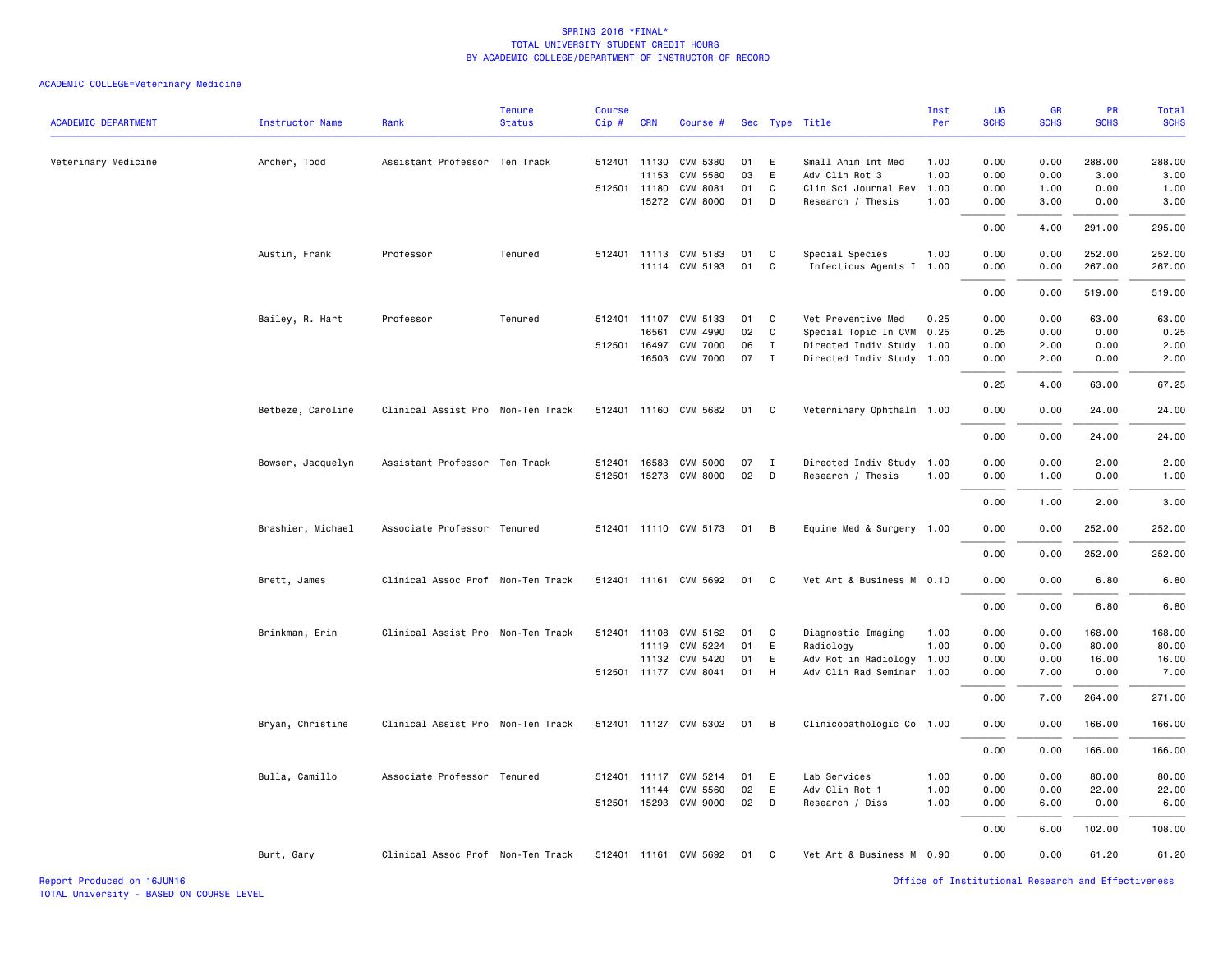| <b>ACADEMIC DEPARTMENT</b> | <b>Instructor Name</b> | Rank                              | <b>Tenure</b><br><b>Status</b> | <b>Course</b><br>Cip# | <b>CRN</b>   | Course #              |    |                | Sec Type Title            | Inst<br>Per | UG<br><b>SCHS</b> | GR<br><b>SCHS</b> | PR<br><b>SCHS</b> | Total<br><b>SCHS</b> |
|----------------------------|------------------------|-----------------------------------|--------------------------------|-----------------------|--------------|-----------------------|----|----------------|---------------------------|-------------|-------------------|-------------------|-------------------|----------------------|
| Veterinary Medicine        | Archer, Todd           | Assistant Professor Ten Track     |                                |                       | 512401 11130 | CVM 5380              | 01 | E              | Small Anim Int Med        | 1.00        | 0.00              | 0.00              | 288.00            | 288.00               |
|                            |                        |                                   |                                |                       | 11153        | CVM 5580              | 03 | E              | Adv Clin Rot 3            | 1.00        | 0.00              | 0.00              | 3.00              | 3.00                 |
|                            |                        |                                   |                                |                       | 512501 11180 | CVM 8081              | 01 | C              | Clin Sci Journal Rev      | 1.00        | 0.00              | 1.00              | 0.00              | 1.00                 |
|                            |                        |                                   |                                |                       | 15272        | <b>CVM 8000</b>       | 01 | D              | Research / Thesis         | 1.00        | 0.00              | 3.00              | 0.00              | 3.00                 |
|                            |                        |                                   |                                |                       |              |                       |    |                |                           |             | 0.00              | 4.00              | 291.00            | 295.00               |
|                            | Austin, Frank          | Professor                         | Tenured                        | 512401                |              | 11113 CVM 5183        | 01 | C              | Special Species           | 1.00        | 0.00              | 0.00              | 252.00            | 252.00               |
|                            |                        |                                   |                                |                       |              | 11114 CVM 5193        | 01 | C              | Infectious Agents I       | 1.00        | 0.00              | 0.00              | 267.00            | 267.00               |
|                            |                        |                                   |                                |                       |              |                       |    |                |                           |             | 0.00              | 0.00              | 519.00            | 519.00               |
|                            | Bailey, R. Hart        | Professor                         | Tenured                        |                       | 512401 11107 | CVM 5133              | 01 | C              | Vet Preventive Med        | 0.25        | 0.00              | 0.00              | 63.00             | 63.00                |
|                            |                        |                                   |                                |                       | 16561        | CVM 4990              | 02 | C              | Special Topic In CVM      | 0.25        | 0.25              | 0.00              | 0.00              | 0.25                 |
|                            |                        |                                   |                                |                       | 512501 16497 | <b>CVM 7000</b>       | 06 | $\mathbf{I}$   | Directed Indiv Study 1.00 |             | 0.00              | 2.00              | 0.00              | 2.00                 |
|                            |                        |                                   |                                |                       | 16503        | <b>CVM 7000</b>       | 07 | $\mathbf{I}$   | Directed Indiv Study 1.00 |             | 0.00              | 2.00              | 0.00              | 2.00                 |
|                            |                        |                                   |                                |                       |              |                       |    |                |                           |             | 0.25              | 4.00              | 63.00             | 67.25                |
|                            | Betbeze, Caroline      | Clinical Assist Pro Non-Ten Track |                                |                       |              | 512401 11160 CVM 5682 | 01 | C.             | Veterninary Ophthalm 1.00 |             | 0.00              | 0.00              | 24.00             | 24.00                |
|                            |                        |                                   |                                |                       |              |                       |    |                |                           |             | 0.00              | 0.00              | 24.00             | 24.00                |
|                            | Bowser, Jacquelyn      | Assistant Professor Ten Track     |                                | 512401                |              | 16583 CVM 5000        | 07 | $\mathbf{I}$   | Directed Indiv Study 1.00 |             | 0.00              | 0.00              | 2.00              | 2.00                 |
|                            |                        |                                   |                                |                       |              | 512501 15273 CVM 8000 | 02 | D              | Research / Thesis         | 1.00        | 0.00              | 1.00              | 0.00              | 1.00                 |
|                            |                        |                                   |                                |                       |              |                       |    |                |                           |             | 0.00              | 1.00              | 2.00              | 3.00                 |
|                            | Brashier, Michael      | Associate Professor Tenured       |                                |                       |              | 512401 11110 CVM 5173 | 01 | $\overline{B}$ | Equine Med & Surgery 1.00 |             | 0.00              | 0.00              | 252.00            | 252.00               |
|                            |                        |                                   |                                |                       |              |                       |    |                |                           |             | 0.00              | 0.00              | 252.00            | 252.00               |
|                            | Brett, James           | Clinical Assoc Prof Non-Ten Track |                                |                       |              | 512401 11161 CVM 5692 | 01 | C              | Vet Art & Business M 0.10 |             | 0.00              | 0.00              | 6.80              | 6.80                 |
|                            |                        |                                   |                                |                       |              |                       |    |                |                           |             | 0.00              | 0.00              | 6.80              | 6.80                 |
|                            | Brinkman, Erin         | Clinical Assist Pro Non-Ten Track |                                |                       |              | 512401 11108 CVM 5162 | 01 | C              | Diagnostic Imaging        | 1.00        | 0.00              | 0.00              | 168.00            | 168.00               |
|                            |                        |                                   |                                |                       | 11119        | CVM 5224              | 01 | E              | Radiology                 | 1.00        | 0.00              | 0.00              | 80.00             | 80.00                |
|                            |                        |                                   |                                |                       |              | 11132 CVM 5420        | 01 | E              | Adv Rot in Radiology      | 1.00        | 0.00              | 0.00              | 16.00             | 16.00                |
|                            |                        |                                   |                                |                       |              | 512501 11177 CVM 8041 | 01 | H              | Adv Clin Rad Seminar 1.00 |             | 0.00              | 7.00              | 0.00              | 7.00                 |
|                            |                        |                                   |                                |                       |              |                       |    |                |                           |             | 0.00              | 7.00              | 264.00            | 271.00               |
|                            | Bryan, Christine       | Clinical Assist Pro Non-Ten Track |                                |                       |              | 512401 11127 CVM 5302 | 01 | B              | Clinicopathologic Co 1.00 |             | 0.00              | 0.00              | 166.00            | 166.00               |
|                            |                        |                                   |                                |                       |              |                       |    |                |                           |             | 0.00              | 0.00              | 166.00            | 166.00               |
|                            | Bulla, Camillo         | Associate Professor Tenured       |                                |                       |              | 512401 11117 CVM 5214 | 01 | E              | Lab Services              | 1.00        | 0.00              | 0.00              | 80.00             | 80.00                |
|                            |                        |                                   |                                |                       | 11144        | CVM 5560              | 02 | E              | Adv Clin Rot 1            | 1.00        | 0.00              | 0.00              | 22.00             | 22.00                |
|                            |                        |                                   |                                | 512501                | 15293        | CVM 9000              | 02 | D              | Research / Diss           | 1.00        | 0.00              | 6.00              | 0.00              | 6.00                 |
|                            |                        |                                   |                                |                       |              |                       |    |                |                           |             | 0.00              | 6.00              | 102.00            | 108.00               |
|                            | Burt, Gary             | Clinical Assoc Prof Non-Ten Track |                                |                       |              | 512401 11161 CVM 5692 | 01 | C              | Vet Art & Business M 0.90 |             | 0.00              | 0.00              | 61.20             | 61.20                |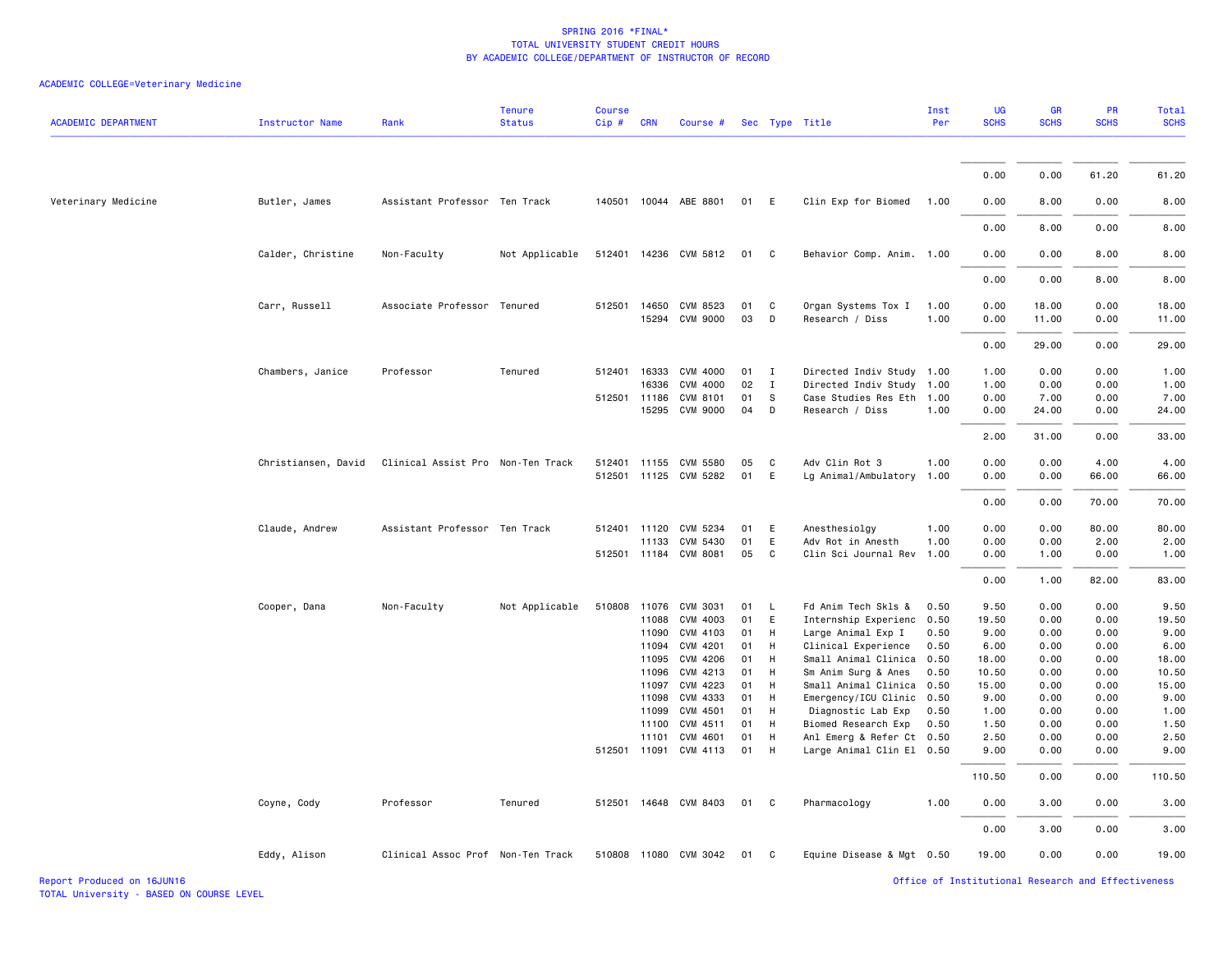# ACADEMIC COLLEGE=Veterinary Medicine

| <b>ACADEMIC DEPARTMENT</b> | <b>Instructor Name</b> | Rank                              | <b>Tenure</b><br><b>Status</b> | <b>Course</b><br>Cip# | <b>CRN</b>     | Course #                   |          |              | Sec Type Title                                    | Inst<br>Per  | <b>UG</b><br><b>SCHS</b> | GR<br><b>SCHS</b> | <b>PR</b><br><b>SCHS</b> | Total<br><b>SCHS</b> |
|----------------------------|------------------------|-----------------------------------|--------------------------------|-----------------------|----------------|----------------------------|----------|--------------|---------------------------------------------------|--------------|--------------------------|-------------------|--------------------------|----------------------|
|                            |                        |                                   |                                |                       |                |                            |          |              |                                                   |              |                          |                   |                          |                      |
|                            |                        |                                   |                                |                       |                |                            |          |              |                                                   |              | 0.00                     | 0.00              | 61.20                    | 61.20                |
| Veterinary Medicine        | Butler, James          | Assistant Professor Ten Track     |                                |                       |                | 140501 10044 ABE 8801      | 01       | E            | Clin Exp for Biomed                               | 1.00         | 0.00                     | 8.00              | 0.00                     | 8.00                 |
|                            |                        |                                   |                                |                       |                |                            |          |              |                                                   |              | 0.00                     | 8.00              | 0.00                     | 8.00                 |
|                            | Calder, Christine      | Non-Faculty                       | Not Applicable                 |                       |                | 512401 14236 CVM 5812      | 01       | $\mathbf{C}$ | Behavior Comp. Anim. 1.00                         |              | 0.00                     | 0.00              | 8.00                     | 8.00                 |
|                            |                        |                                   |                                |                       |                |                            |          |              |                                                   |              | 0.00                     | 0.00              | 8.00                     | 8.00                 |
|                            | Carr, Russell          | Associate Professor Tenured       |                                |                       | 512501 14650   | CVM 8523<br>15294 CVM 9000 | 01<br>03 | C<br>D       | Organ Systems Tox I<br>Research / Diss            | 1.00<br>1.00 | 0.00<br>0.00             | 18.00<br>11.00    | 0.00<br>0.00             | 18.00<br>11.00       |
|                            |                        |                                   |                                |                       |                |                            |          |              |                                                   |              | 0.00                     | 29.00             | 0.00                     | 29.00                |
|                            | Chambers, Janice       | Professor                         | Tenured                        | 512401                | 16333          | CVM 4000                   | 01       | $\mathbf{I}$ | Directed Indiv Study 1.00                         |              | 1.00                     | 0.00              | 0.00                     | 1.00                 |
|                            |                        |                                   |                                |                       | 16336          | CVM 4000                   | 02       | $\mathbf{I}$ | Directed Indiv Study 1.00                         |              | 1.00                     | 0.00              | 0.00                     | 1.00                 |
|                            |                        |                                   |                                |                       | 512501 11186   | CVM 8101                   | 01       | -S           | Case Studies Res Eth 1.00                         |              | 0.00                     | 7.00              | 0.00                     | 7.00                 |
|                            |                        |                                   |                                |                       | 15295          | <b>CVM 9000</b>            | 04       | D            | Research / Diss                                   | 1.00         | 0.00                     | 24.00             | 0.00                     | 24.00                |
|                            |                        |                                   |                                |                       |                |                            |          |              |                                                   |              | 2.00                     | 31.00             | 0.00                     | 33.00                |
|                            | Christiansen, David    | Clinical Assist Pro Non-Ten Track |                                |                       |                | 512401 11155 CVM 5580      | 05       | C            | Adv Clin Rot 3                                    | 1.00         | 0.00                     | 0.00              | 4.00                     | 4.00                 |
|                            |                        |                                   |                                |                       |                | 512501 11125 CVM 5282      | 01       | E            | Lg Animal/Ambulatory                              | 1.00         | 0.00                     | 0.00              | 66.00                    | 66.00                |
|                            |                        |                                   |                                |                       |                |                            |          |              |                                                   |              | 0.00                     | 0.00              | 70.00                    | 70.00                |
|                            | Claude, Andrew         | Assistant Professor Ten Track     |                                |                       |                | 512401 11120 CVM 5234      | 01       | E            | Anesthesiolgy                                     | 1.00         | 0.00                     | 0.00              | 80.00                    | 80.00                |
|                            |                        |                                   |                                |                       | 11133          | CVM 5430                   | 01       | E            | Adv Rot in Anesth                                 | 1.00         | 0.00                     | 0.00              | 2.00                     | 2.00                 |
|                            |                        |                                   |                                |                       |                | 512501 11184 CVM 8081      | 05       | C            | Clin Sci Journal Rev                              | 1.00         | 0.00                     | 1.00              | 0.00                     | 1.00                 |
|                            |                        |                                   |                                |                       |                |                            |          |              |                                                   |              | 0.00                     | 1.00              | 82.00                    | 83.00                |
|                            | Cooper, Dana           | Non-Faculty                       | Not Applicable                 |                       |                | 510808 11076 CVM 3031      | 01       | $\mathsf{L}$ | Fd Anim Tech Skls &                               | 0.50         | 9.50                     | 0.00              | 0.00                     | 9.50                 |
|                            |                        |                                   |                                |                       | 11088          | CVM 4003                   | 01       | E            | Internship Experienc                              | 0.50         | 19.50                    | 0.00              | 0.00                     | 19.50                |
|                            |                        |                                   |                                |                       | 11090          | CVM 4103                   | 01       | H            | Large Animal Exp I                                | 0.50         | 9.00                     | 0.00              | 0.00                     | 9.00                 |
|                            |                        |                                   |                                |                       | 11094          | CVM 4201                   | 01       | H            | Clinical Experience                               | 0.50         | 6.00                     | 0.00              | 0.00                     | 6.00                 |
|                            |                        |                                   |                                |                       | 11095          | CVM 4206                   | 01       | H            | Small Animal Clinica                              | 0.50         | 18.00                    | 0.00              | 0.00                     | 18.00                |
|                            |                        |                                   |                                |                       | 11096          | CVM 4213                   | 01       | H            | Sm Anim Surg & Anes                               | 0.50         | 10.50                    | 0.00              | 0.00                     | 10.50                |
|                            |                        |                                   |                                |                       | 11097<br>11098 | CVM 4223<br>CVM 4333       | 01<br>01 | H<br>H       | Small Animal Clinica<br>Emergency/ICU Clinic 0.50 | 0.50         | 15.00<br>9.00            | 0.00<br>0.00      | 0.00<br>0.00             | 15.00<br>9.00        |
|                            |                        |                                   |                                |                       | 11099          | CVM 4501                   | 01       | H            | Diagnostic Lab Exp                                | 0.50         | 1.00                     | 0.00              | 0.00                     | 1.00                 |
|                            |                        |                                   |                                |                       | 11100          | CVM 4511                   | 01       | H            | Biomed Research Exp                               | 0.50         | 1.50                     | 0.00              | 0.00                     | 1.50                 |
|                            |                        |                                   |                                |                       | 11101          | CVM 4601                   | 01       | H            | Anl Emerg & Refer Ct 0.50                         |              | 2.50                     | 0.00              | 0.00                     | 2.50                 |
|                            |                        |                                   |                                |                       |                | 512501 11091 CVM 4113      | 01       | H            | Large Animal Clin El 0.50                         |              | 9.00                     | 0.00              | 0.00                     | 9.00                 |
|                            |                        |                                   |                                |                       |                |                            |          |              |                                                   |              | 110.50                   | 0.00              | 0.00                     | 110.50               |
|                            | Coyne, Cody            | Professor                         | Tenured                        |                       |                | 512501 14648 CVM 8403      | 01       | $\mathbf{C}$ | Pharmacology                                      | 1.00         | 0.00                     | 3.00              | 0.00                     | 3.00                 |
|                            |                        |                                   |                                |                       |                |                            |          |              |                                                   |              | 0.00                     | 3.00              | 0.00                     | 3.00                 |
|                            | Eddy, Alison           | Clinical Assoc Prof Non-Ten Track |                                |                       |                | 510808 11080 CVM 3042      | 01       | $\mathbf{C}$ | Equine Disease & Mgt 0.50                         |              | 19.00                    | 0.00              | 0.00                     | 19.00                |

Report Produced on 16JUN16 Office of Institutional Research and Effectiveness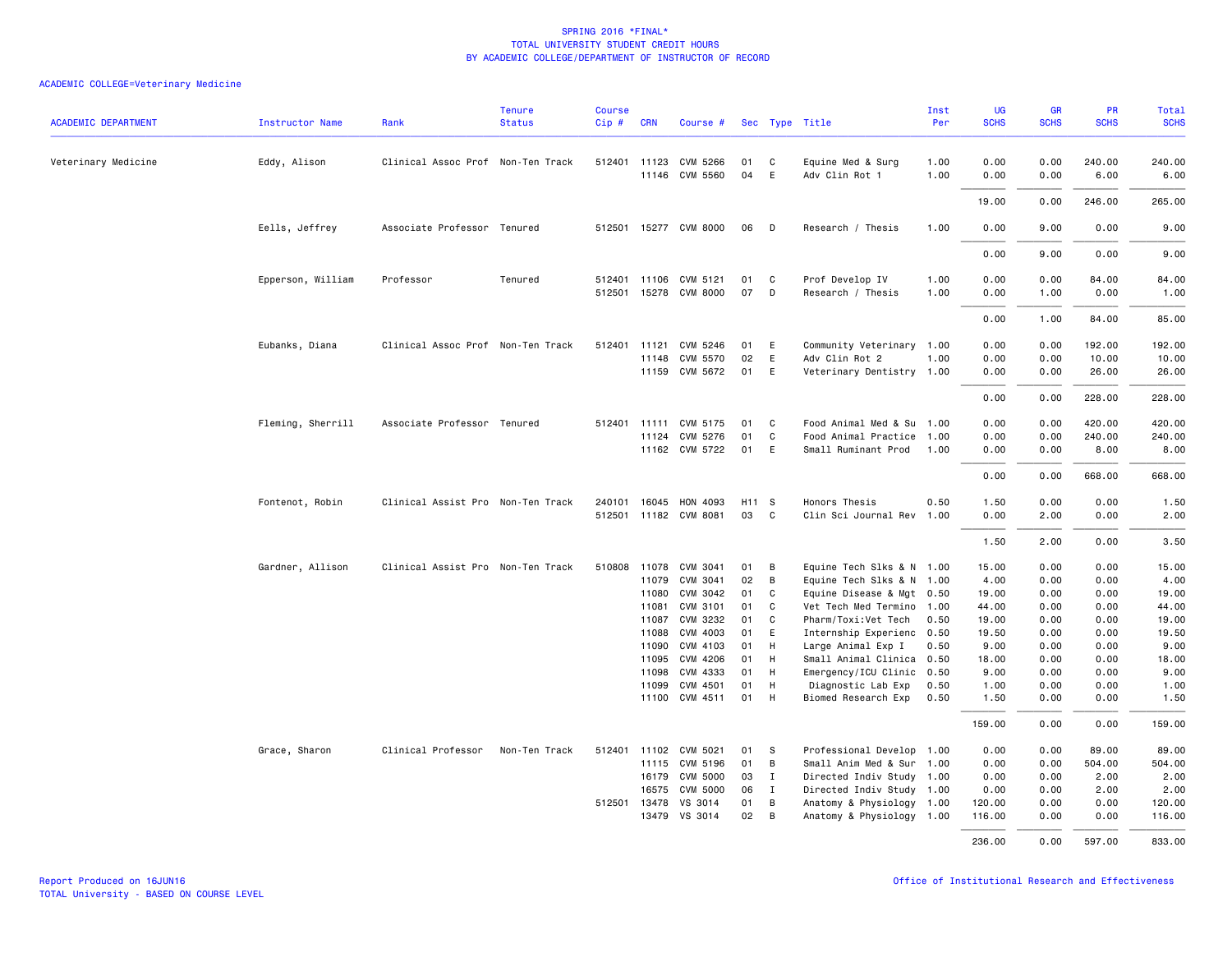| <b>ACADEMIC DEPARTMENT</b> | <b>Instructor Name</b> | Rank                              | <b>Tenure</b><br><b>Status</b> | <b>Course</b><br>$Cip \#$ | <b>CRN</b>   | Course #                                |          |              | Sec Type Title                              | Inst<br>Per  | UG<br><b>SCHS</b> | GR<br><b>SCHS</b> | PR<br><b>SCHS</b> | Total<br><b>SCHS</b> |
|----------------------------|------------------------|-----------------------------------|--------------------------------|---------------------------|--------------|-----------------------------------------|----------|--------------|---------------------------------------------|--------------|-------------------|-------------------|-------------------|----------------------|
| Veterinary Medicine        | Eddy, Alison           | Clinical Assoc Prof Non-Ten Track |                                |                           |              | 512401 11123 CVM 5266<br>11146 CVM 5560 | 01<br>04 | C<br>E       | Equine Med & Surg<br>Adv Clin Rot 1         | 1.00<br>1.00 | 0.00<br>0.00      | 0.00<br>0.00      | 240.00<br>6.00    | 240.00<br>6.00       |
|                            |                        |                                   |                                |                           |              |                                         |          |              |                                             |              | 19.00             | 0.00              | 246.00            | 265.00               |
|                            | Eells, Jeffrey         | Associate Professor Tenured       |                                |                           |              | 512501 15277 CVM 8000                   | 06       | D            | Research / Thesis                           | 1.00         | 0.00              | 9.00              | 0.00              | 9.00                 |
|                            |                        |                                   |                                |                           |              |                                         |          |              |                                             |              | 0.00              | 9.00              | 0.00              | 9.00                 |
|                            | Epperson, William      | Professor                         | Tenured                        |                           | 512401 11106 | CVM 5121                                | 01       | C            | Prof Develop IV                             | 1.00         | 0.00              | 0.00              | 84.00             | 84.00                |
|                            |                        |                                   |                                |                           |              | 512501 15278 CVM 8000                   | 07       | D            | Research / Thesis                           | 1.00         | 0.00              | 1.00              | 0.00              | 1.00                 |
|                            |                        |                                   |                                |                           |              |                                         |          |              |                                             |              | 0.00              | 1.00              | 84.00             | 85.00                |
|                            | Eubanks, Diana         | Clinical Assoc Prof Non-Ten Track |                                | 512401                    | 11121        | CVM 5246                                | 01       | E            | Community Veterinary 1.00                   |              | 0.00              | 0.00              | 192.00            | 192.00               |
|                            |                        |                                   |                                |                           | 11148        | CVM 5570<br>11159 CVM 5672              | 02<br>01 | E<br>E       | Adv Clin Rot 2<br>Veterinary Dentistry 1.00 | 1.00         | 0.00<br>0.00      | 0.00<br>0.00      | 10.00<br>26.00    | 10.00<br>26.00       |
|                            |                        |                                   |                                |                           |              |                                         |          |              |                                             |              | 0.00              | 0.00              | 228.00            | 228.00               |
|                            | Fleming, Sherrill      | Associate Professor Tenured       |                                |                           |              | 512401 11111 CVM 5175                   | 01       | C.           | Food Animal Med & Su 1.00                   |              | 0.00              | 0.00              | 420.00            | 420.00               |
|                            |                        |                                   |                                |                           | 11124        | CVM 5276                                | 01       | C            | Food Animal Practice 1.00                   |              | 0.00              | 0.00              | 240.00            | 240.00               |
|                            |                        |                                   |                                |                           |              | 11162 CVM 5722                          | 01       | E            | Small Ruminant Prod                         | 1.00         | 0.00              | 0.00              | 8.00              | 8.00                 |
|                            |                        |                                   |                                |                           |              |                                         |          |              |                                             |              | 0.00              | 0.00              | 668.00            | 668.00               |
|                            | Fontenot, Robin        | Clinical Assist Pro Non-Ten Track |                                | 240101                    | 16045        | HON 4093                                | H11 S    |              | Honors Thesis                               | 0.50         | 1.50              | 0.00              | 0.00              | 1.50                 |
|                            |                        |                                   |                                | 512501                    |              | 11182 CVM 8081                          | 03       | C            | Clin Sci Journal Rev                        | 1.00         | 0.00              | 2.00              | 0.00              | 2.00                 |
|                            |                        |                                   |                                |                           |              |                                         |          |              |                                             |              | 1.50              | 2.00              | 0.00              | 3.50                 |
|                            | Gardner, Allison       | Clinical Assist Pro Non-Ten Track |                                | 510808                    | 11078        | CVM 3041                                | 01       | B            | Equine Tech Slks & N 1.00                   |              | 15.00             | 0.00              | 0.00              | 15.00                |
|                            |                        |                                   |                                |                           | 11079        | CVM 3041                                | 02       | В            | Equine Tech Slks & N 1.00                   |              | 4.00              | 0.00              | 0.00              | 4.00                 |
|                            |                        |                                   |                                |                           | 11080        | CVM 3042                                | 01       | C            | Equine Disease & Mgt 0.50                   |              | 19.00             | 0.00              | 0.00              | 19.00                |
|                            |                        |                                   |                                |                           | 11081        | CVM 3101                                | 01       | C            | Vet Tech Med Termino 1.00                   |              | 44.00             | 0.00              | 0.00              | 44.00                |
|                            |                        |                                   |                                |                           | 11087        | CVM 3232                                | 01       | C            | Pharm/Toxi:Vet Tech                         | 0.50         | 19.00             | 0.00              | 0.00              | 19.00                |
|                            |                        |                                   |                                |                           | 11088        | CVM 4003                                | 01       | E            | Internship Experienc                        | 0.50         | 19.50             | 0.00              | 0.00              | 19.50                |
|                            |                        |                                   |                                |                           | 11090        | CVM 4103                                | 01       | H            | Large Animal Exp I                          | 0.50         | 9.00              | 0.00              | 0.00              | 9.00                 |
|                            |                        |                                   |                                |                           | 11095        | CVM 4206                                | 01       | H            | Small Animal Clinica                        | 0.50         | 18.00             | 0.00              | 0.00              | 18.00                |
|                            |                        |                                   |                                |                           | 11098        | CVM 4333                                | 01       | H            | Emergency/ICU Clinic                        | 0.50         | 9.00              | 0.00              | 0.00              | 9.00                 |
|                            |                        |                                   |                                |                           | 11099        | CVM 4501                                | 01       | H            | Diagnostic Lab Exp                          | 0.50         | 1.00              | 0.00              | 0.00              | 1.00                 |
|                            |                        |                                   |                                |                           | 11100        | CVM 4511                                | 01       | H            | Biomed Research Exp                         | 0.50         | 1.50              | 0.00              | 0.00              | 1.50                 |
|                            |                        |                                   |                                |                           |              |                                         |          |              |                                             |              | 159.00            | 0.00              | 0.00              | 159.00               |
|                            | Grace, Sharon          | Clinical Professor                | Non-Ten Track                  |                           |              | 512401 11102 CVM 5021                   | 01       | -S           | Professional Develop 1.00                   |              | 0.00              | 0.00              | 89.00             | 89.00                |
|                            |                        |                                   |                                |                           |              | 11115 CVM 5196                          | 01       | B            | Small Anim Med & Sur 1.00                   |              | 0.00              | 0.00              | 504.00            | 504.00               |
|                            |                        |                                   |                                |                           | 16179        | <b>CVM 5000</b>                         | 03       | $\mathbf{I}$ | Directed Indiv Study 1.00                   |              | 0.00              | 0.00              | 2.00              | 2.00                 |
|                            |                        |                                   |                                |                           | 16575        | <b>CVM 5000</b>                         | 06       | I            | Directed Indiv Study 1.00                   |              | 0.00              | 0.00              | 2.00              | 2.00                 |
|                            |                        |                                   |                                |                           | 512501 13478 | VS 3014                                 | 01       | B            | Anatomy & Physiology 1.00                   |              | 120.00            | 0.00              | 0.00              | 120.00               |
|                            |                        |                                   |                                |                           | 13479        | VS 3014                                 | 02       | B            | Anatomy & Physiology 1.00                   |              | 116.00            | 0.00              | 0.00              | 116.00               |
|                            |                        |                                   |                                |                           |              |                                         |          |              |                                             |              | 236.00            | 0.00              | 597.00            | 833.00               |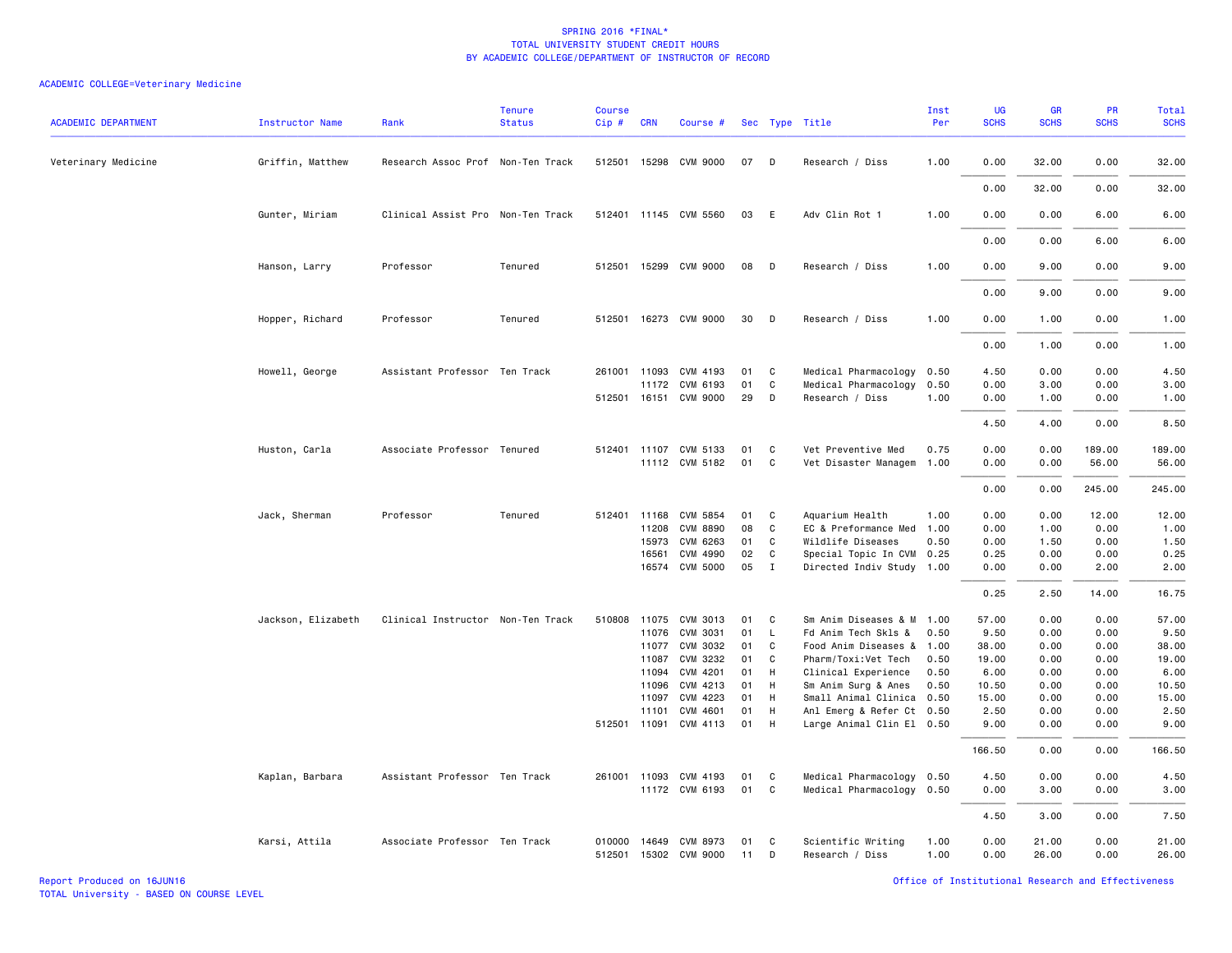| <b>ACADEMIC DEPARTMENT</b> | <b>Instructor Name</b> | Rank                              | <b>Tenure</b><br><b>Status</b> | <b>Course</b><br>Cip# | <b>CRN</b>   | Course #                   |          |              | Sec Type Title                        | Inst<br>Per  | UG<br><b>SCHS</b> | <b>GR</b><br><b>SCHS</b> | <b>PR</b><br><b>SCHS</b> | Total<br><b>SCHS</b> |
|----------------------------|------------------------|-----------------------------------|--------------------------------|-----------------------|--------------|----------------------------|----------|--------------|---------------------------------------|--------------|-------------------|--------------------------|--------------------------|----------------------|
| Veterinary Medicine        | Griffin, Matthew       | Research Assoc Prof Non-Ten Track |                                |                       |              | 512501 15298 CVM 9000      | 07       | D            | Research / Diss                       | 1.00         | 0.00              | 32.00                    | 0.00                     | 32.00                |
|                            |                        |                                   |                                |                       |              |                            |          |              |                                       |              | 0.00              | 32.00                    | 0.00                     | 32.00                |
|                            | Gunter, Miriam         | Clinical Assist Pro Non-Ten Track |                                |                       |              | 512401 11145 CVM 5560      | 03       | E            | Adv Clin Rot 1                        | 1.00         | 0.00              | 0.00                     | 6.00                     | 6.00                 |
|                            |                        |                                   |                                |                       |              |                            |          |              |                                       |              | 0.00              | 0.00                     | 6.00                     | 6.00                 |
|                            | Hanson, Larry          | Professor                         | Tenured                        |                       |              | 512501 15299 CVM 9000      | 08       | D            | Research / Diss                       | 1.00         | 0.00              | 9.00                     | 0.00                     | 9.00                 |
|                            |                        |                                   |                                |                       |              |                            |          |              |                                       |              | 0.00              | 9.00                     | 0.00                     | 9.00                 |
|                            | Hopper, Richard        | Professor                         | Tenured                        |                       |              | 512501 16273 CVM 9000      | 30       | D            | Research / Diss                       | 1.00         | 0.00              | 1.00                     | 0.00                     | 1.00                 |
|                            |                        |                                   |                                |                       |              |                            |          |              |                                       |              | 0.00              | 1.00                     | 0.00                     | 1.00                 |
|                            | Howell, George         | Assistant Professor Ten Track     |                                | 261001                | 11093        | CVM 4193                   | 01       | C            | Medical Pharmacology                  | 0.50         | 4.50              | 0.00                     | 0.00                     | 4.50                 |
|                            |                        |                                   |                                |                       | 11172        | CVM 6193                   | 01       | C            | Medical Pharmacology                  | 0.50         | 0.00              | 3.00                     | 0.00                     | 3.00                 |
|                            |                        |                                   |                                |                       |              | 512501 16151 CVM 9000      | 29       | D            | Research / Diss                       | 1.00         | 0.00              | 1.00                     | 0.00                     | 1.00                 |
|                            |                        |                                   |                                |                       |              |                            |          |              |                                       |              | 4.50              | 4.00                     | 0.00                     | 8.50                 |
|                            | Huston, Carla          | Associate Professor Tenured       |                                |                       |              | 512401 11107 CVM 5133      | 01       | C            | Vet Preventive Med                    | 0.75         | 0.00              | 0.00                     | 189.00                   | 189.00               |
|                            |                        |                                   |                                |                       |              | 11112 CVM 5182             | 01       | C            | Vet Disaster Managem 1.00             |              | 0.00              | 0.00                     | 56.00                    | 56.00                |
|                            |                        |                                   |                                |                       |              |                            |          |              |                                       |              | 0.00              | 0.00                     | 245.00                   | 245.00               |
|                            | Jack, Sherman          | Professor                         | Tenured                        | 512401                | 11168        | CVM 5854                   | 01       | C            | Aquarium Health                       | 1.00         | 0.00              | 0.00                     | 12.00                    | 12.00                |
|                            |                        |                                   |                                |                       | 11208        | <b>CVM 8890</b>            | 08       | C            | EC & Preformance Med                  | 1.00         | 0.00              | 1.00                     | 0.00                     | 1.00                 |
|                            |                        |                                   |                                |                       | 15973        | CVM 6263                   | 01       | C            | Wildlife Diseases                     | 0.50         | 0.00              | 1.50                     | 0.00                     | 1.50                 |
|                            |                        |                                   |                                |                       | 16561        | CVM 4990                   | 02       | C            | Special Topic In CVM 0.25             |              | 0.25              | 0.00                     | 0.00                     | 0.25                 |
|                            |                        |                                   |                                |                       | 16574        | <b>CVM 5000</b>            | 05       | $\mathbf{I}$ | Directed Indiv Study 1.00             |              | 0.00              | 0.00                     | 2.00                     | 2.00                 |
|                            |                        |                                   |                                |                       |              |                            |          |              |                                       |              | 0.25              | 2.50                     | 14.00                    | 16.75                |
|                            | Jackson, Elizabeth     | Clinical Instructor Non-Ten Track |                                | 510808                | 11075        | CVM 3013                   | 01       | C            | Sm Anim Diseases & M 1.00             |              | 57.00             | 0.00                     | 0.00                     | 57.00                |
|                            |                        |                                   |                                |                       | 11076        | CVM 3031                   | 01       | L.           | Fd Anim Tech Skls &                   | 0.50         | 9.50              | 0.00                     | 0.00                     | 9.50                 |
|                            |                        |                                   |                                |                       | 11077        | CVM 3032                   | 01       | C            | Food Anim Diseases &                  | 1.00         | 38.00             | 0.00                     | 0.00                     | 38.00                |
|                            |                        |                                   |                                |                       | 11087        | CVM 3232                   | 01       | C            | Pharm/Toxi:Vet Tech                   | 0.50         | 19.00             | 0.00                     | 0.00                     | 19.00                |
|                            |                        |                                   |                                |                       | 11094        | CVM 4201                   | 01       | H            | Clinical Experience                   | 0.50         | 6.00              | 0.00                     | 0.00                     | 6.00                 |
|                            |                        |                                   |                                |                       | 11096        | CVM 4213                   | 01       | H            | Sm Anim Surg & Anes                   | 0.50         | 10.50             | 0.00                     | 0.00                     | 10.50                |
|                            |                        |                                   |                                |                       | 11097        | CVM 4223                   | 01       | - H          | Small Animal Clinica 0.50             |              | 15.00             | 0.00                     | 0.00                     | 15.00                |
|                            |                        |                                   |                                |                       | 11101        | CVM 4601                   | 01       | H            | Anl Emerg & Refer Ct 0.50             |              | 2.50              | 0.00                     | 0.00                     | 2.50                 |
|                            |                        |                                   |                                |                       | 512501 11091 | CVM 4113                   | 01       | H            | Large Animal Clin El 0.50             |              | 9.00              | 0.00                     | 0.00                     | 9.00                 |
|                            |                        |                                   |                                |                       |              |                            |          |              |                                       |              | 166.50            | 0.00                     | 0.00                     | 166.50               |
|                            | Kaplan, Barbara        | Assistant Professor Ten Track     |                                |                       | 261001 11093 | CVM 4193                   | 01       | C            | Medical Pharmacology 0.50             |              | 4.50              | 0.00                     | 0.00                     | 4.50                 |
|                            |                        |                                   |                                |                       |              | 11172 CVM 6193             | 01 C     |              | Medical Pharmacology 0.50             |              | 0.00              | 3.00                     | 0.00                     | 3.00                 |
|                            |                        |                                   |                                |                       |              |                            |          |              |                                       |              | 4.50              | 3.00                     | 0.00                     | 7.50                 |
|                            | Karsi, Attila          | Associate Professor Ten Track     |                                | 010000<br>512501      | 14649        | CVM 8973<br>15302 CVM 9000 | 01<br>11 | C<br>D       | Scientific Writing<br>Research / Diss | 1.00<br>1.00 | 0.00<br>0.00      | 21.00<br>26.00           | 0.00<br>0.00             | 21.00<br>26.00       |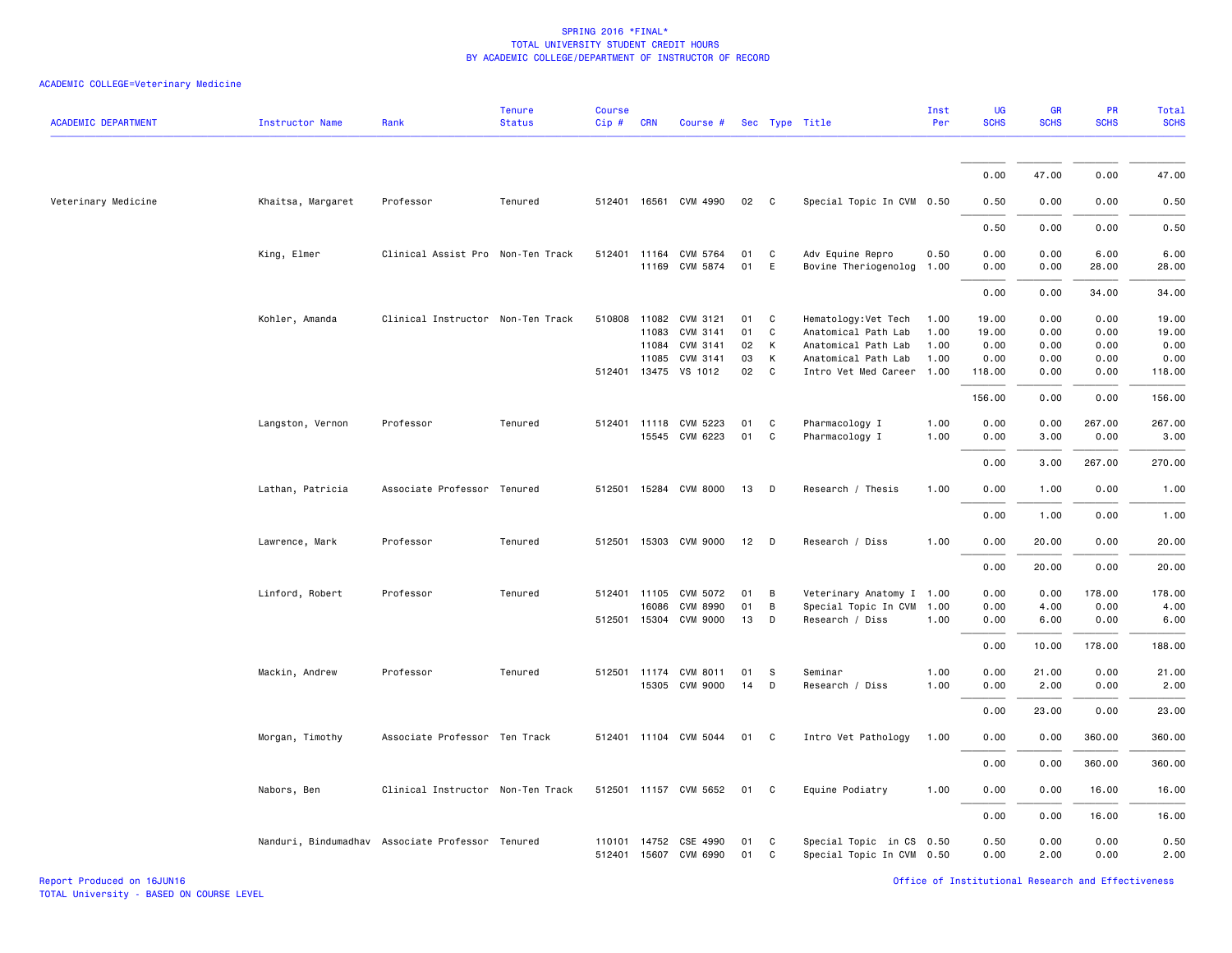| <b>ACADEMIC DEPARTMENT</b> | <b>Instructor Name</b> | Rank                                             | <b>Tenure</b><br><b>Status</b> | <b>Course</b><br>Cip# | <b>CRN</b> | Course #                                |          |              | Sec Type Title                                        | Inst<br>Per | UG<br><b>SCHS</b> | <b>GR</b><br><b>SCHS</b> | PR<br><b>SCHS</b> | Total<br><b>SCHS</b> |
|----------------------------|------------------------|--------------------------------------------------|--------------------------------|-----------------------|------------|-----------------------------------------|----------|--------------|-------------------------------------------------------|-------------|-------------------|--------------------------|-------------------|----------------------|
|                            |                        |                                                  |                                |                       |            |                                         |          |              |                                                       |             | 0.00              | 47.00                    | 0.00              | 47.00                |
| Veterinary Medicine        | Khaitsa, Margaret      | Professor                                        | Tenured                        |                       |            | 512401 16561 CVM 4990                   | 02       | $\mathbf{C}$ | Special Topic In CVM 0.50                             |             | 0.50              | 0.00                     | 0.00              | 0.50                 |
|                            |                        |                                                  |                                |                       |            |                                         |          |              |                                                       |             | 0.50              | 0.00                     | 0.00              | 0.50                 |
|                            | King, Elmer            | Clinical Assist Pro Non-Ten Track                |                                |                       |            | 512401 11164 CVM 5764                   | 01       | $\mathbf{C}$ | Adv Equine Repro                                      | 0.50        | 0.00              | 0.00                     | 6.00              | 6.00                 |
|                            |                        |                                                  |                                |                       |            | 11169 CVM 5874                          | 01       | E            | Bovine Theriogenolog                                  | 1.00        | 0.00              | 0.00                     | 28.00             | 28.00                |
|                            |                        |                                                  |                                |                       |            |                                         |          |              |                                                       |             | 0.00              | 0.00                     | 34.00             | 34.00                |
|                            | Kohler, Amanda         | Clinical Instructor Non-Ten Track                |                                | 510808 11082          |            | CVM 3121                                | 01       | C            | Hematology: Vet Tech                                  | 1.00        | 19.00             | 0.00                     | 0.00              | 19.00                |
|                            |                        |                                                  |                                |                       | 11083      | CVM 3141                                | 01       | C            | Anatomical Path Lab                                   | 1.00        | 19.00             | 0.00                     | 0.00              | 19.00                |
|                            |                        |                                                  |                                |                       | 11084      | CVM 3141                                | 02       | K            | Anatomical Path Lab                                   | 1.00        | 0.00              | 0.00                     | 0.00              | 0.00                 |
|                            |                        |                                                  |                                |                       | 11085      | CVM 3141                                | 03       | К            | Anatomical Path Lab                                   | 1.00        | 0.00              | 0.00                     | 0.00              | 0.00                 |
|                            |                        |                                                  |                                |                       |            | 512401 13475 VS 1012                    | 02       | C            | Intro Vet Med Career                                  | 1.00        | 118.00            | 0.00                     | 0.00              | 118.00               |
|                            |                        |                                                  |                                |                       |            |                                         |          |              |                                                       |             | 156.00            | 0.00                     | 0.00              | 156.00               |
|                            | Langston, Vernon       | Professor                                        | Tenured                        |                       |            | 512401 11118 CVM 5223                   | 01       | C            | Pharmacology I                                        | 1.00        | 0.00              | 0.00                     | 267.00            | 267.00               |
|                            |                        |                                                  |                                |                       | 15545      | CVM 6223                                | 01       | C            | Pharmacology I                                        | 1.00        | 0.00              | 3.00                     | 0.00              | 3.00                 |
|                            |                        |                                                  |                                |                       |            |                                         |          |              |                                                       |             | 0.00              | 3.00                     | 267.00            | 270.00               |
|                            | Lathan, Patricia       | Associate Professor Tenured                      |                                |                       |            | 512501 15284 CVM 8000                   | 13       | D            | Research / Thesis                                     | 1.00        | 0.00              | 1.00                     | 0.00              | 1.00                 |
|                            |                        |                                                  |                                |                       |            |                                         |          |              |                                                       |             | 0.00              | 1.00                     | 0.00              | 1.00                 |
|                            | Lawrence, Mark         | Professor                                        | Tenured                        | 512501                |            | 15303 CVM 9000                          | 12       | D            | Research / Diss                                       | 1.00        | 0.00              | 20.00                    | 0.00              | 20.00                |
|                            |                        |                                                  |                                |                       |            |                                         |          |              |                                                       |             | 0.00              | 20.00                    | 0.00              | 20.00                |
|                            | Linford, Robert        | Professor                                        | Tenured                        | 512401                | 11105      | CVM 5072                                | 01       | В            | Veterinary Anatomy I 1.00                             |             | 0.00              | 0.00                     | 178.00            | 178.00               |
|                            |                        |                                                  |                                |                       |            |                                         |          |              |                                                       |             |                   |                          |                   |                      |
|                            |                        |                                                  |                                |                       | 16086      | <b>CVM 8990</b>                         | 01       | B            | Special Topic In CVM                                  | 1.00        | 0.00              | 4.00                     | 0.00              | 4.00                 |
|                            |                        |                                                  |                                |                       |            | 512501 15304 CVM 9000                   | 13       | D            | Research / Diss                                       | 1.00        | 0.00              | 6.00                     | 0.00              | 6.00                 |
|                            |                        |                                                  |                                |                       |            |                                         |          |              |                                                       |             | 0.00              | 10.00                    | 178.00            | 188.00               |
|                            | Mackin, Andrew         | Professor                                        | Tenured                        | 512501 11174          |            | CVM 8011                                | 01       | -S           | Seminar                                               | 1.00        | 0.00              | 21.00                    | 0.00              | 21.00                |
|                            |                        |                                                  |                                |                       |            | 15305 CVM 9000                          | 14       | D            | Research / Diss                                       | 1.00        | 0.00              | 2.00                     | 0.00              | 2.00                 |
|                            |                        |                                                  |                                |                       |            |                                         |          |              |                                                       |             | 0.00              | 23.00                    | 0.00              | 23.00                |
|                            | Morgan, Timothy        | Associate Professor Ten Track                    |                                |                       |            | 512401 11104 CVM 5044                   | 01       | $\mathbf{C}$ | Intro Vet Pathology                                   | 1.00        | 0.00              | 0.00                     | 360.00            | 360.00               |
|                            |                        |                                                  |                                |                       |            |                                         |          |              |                                                       |             | 0.00              | 0.00                     | 360.00            | 360.00               |
|                            | Nabors, Ben            | Clinical Instructor Non-Ten Track                |                                |                       |            | 512501 11157 CVM 5652                   | 01       | $\mathbf{C}$ | Equine Podiatry                                       | 1.00        | 0.00              | 0.00                     | 16.00             | 16.00                |
|                            |                        |                                                  |                                |                       |            |                                         |          |              |                                                       |             | 0.00              | 0.00                     | 16.00             | 16.00                |
|                            |                        | Nanduri, Bindumadhav Associate Professor Tenured |                                | 512401                |            | 110101 14752 CSE 4990<br>15607 CVM 6990 | 01<br>01 | C<br>C       | Special Topic in CS 0.50<br>Special Topic In CVM 0.50 |             | 0.50<br>0.00      | 0.00<br>2.00             | 0.00<br>0.00      | 0.50<br>2.00         |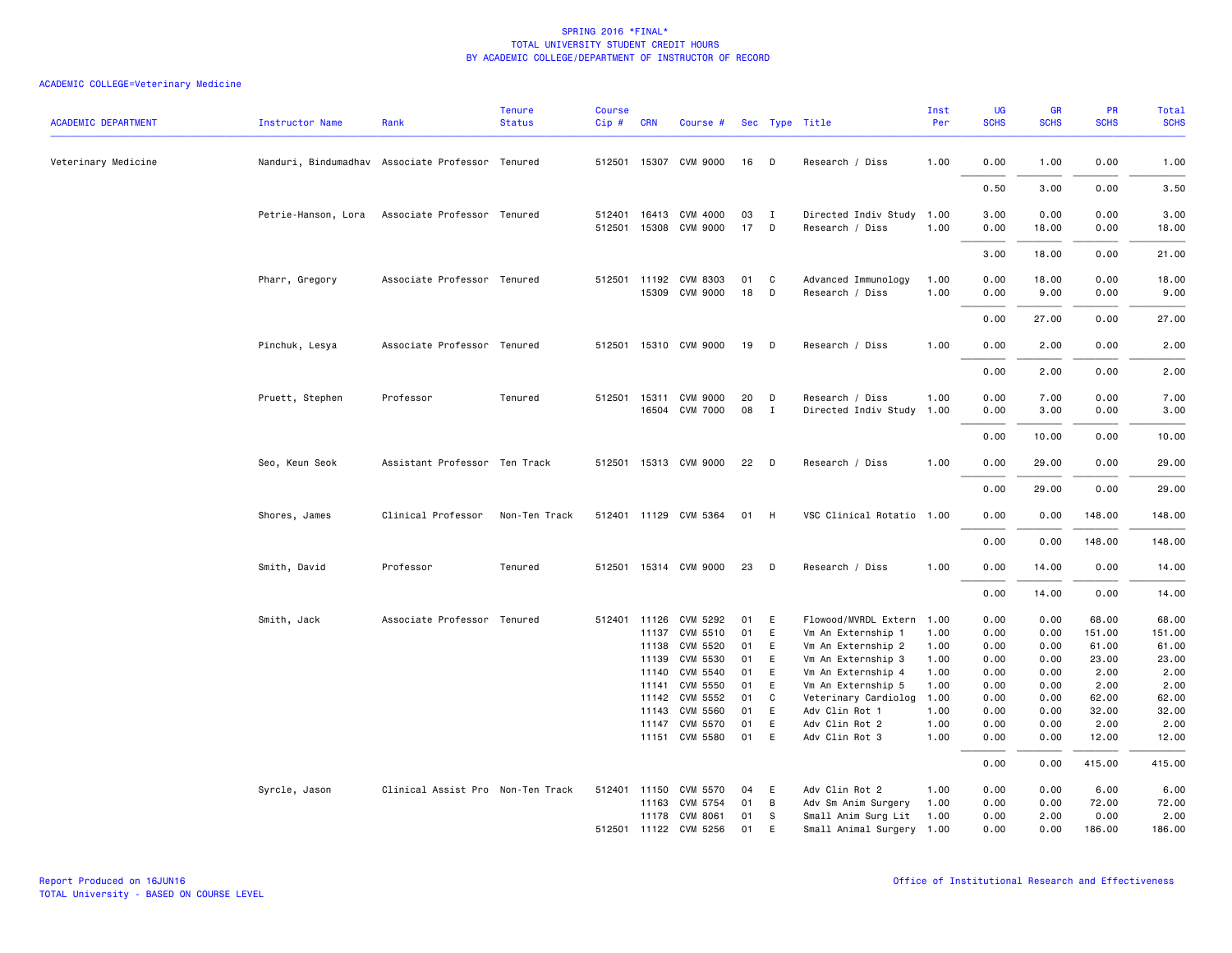| Veterinary Medicine<br>Nanduri, Bindumadhav Associate Professor Tenured<br>512501 15307 CVM 9000<br>16<br><b>D</b><br>Research / Diss<br>1.00<br>0.00<br>1.00<br>0.00<br>0.50<br>3.00<br>0.00<br>Petrie-Hanson, Lora<br>Associate Professor Tenured<br>512401<br>16413 CVM 4000<br>03<br>Directed Indiv Study<br>1.00<br>3.00<br>0.00<br>0.00<br>$\mathbf{I}$<br>15308 CVM 9000<br>17<br>1.00<br>512501<br>D<br>Research / Diss<br>0.00<br>18.00<br>0.00<br>18.00<br>3.00<br>0.00<br><b>CVM 8303</b><br>Advanced Immunology<br>0.00<br>18.00<br>0.00<br>Pharr, Gregory<br>Associate Professor Tenured<br>512501 11192<br>01<br>C<br>1.00<br>15309<br>CVM 9000<br>18<br>D<br>Research / Diss<br>1.00<br>0.00<br>9.00<br>0.00<br>27.00<br>0.00<br>0.00<br>15310 CVM 9000<br>0.00<br>2.00<br>Pinchuk, Lesya<br>Associate Professor Tenured<br>512501<br>19<br>D<br>Research / Diss<br>1.00<br>0.00<br>0.00<br>2.00<br>0.00<br>Professor<br><b>CVM 9000</b><br>20<br>1.00<br>0.00<br>7.00<br>0.00<br>Pruett, Stephen<br>Tenured<br>512501<br>15311<br>D<br>Research / Diss<br>08<br>16504 CVM 7000<br>$\mathbf{I}$<br>Directed Indiv Study<br>1.00<br>0.00<br>3.00<br>0.00<br>0.00<br>10.00<br>0.00<br>Assistant Professor Ten Track<br>512501 15313 CVM 9000<br>Seo, Keun Seok<br>22<br>D<br>Research / Diss<br>1.00<br>0.00<br>29.00<br>0.00<br>0.00<br>29.00<br>0.00<br>Clinical Professor<br>Non-Ten Track<br>512401 11129 CVM 5364<br>01<br>- H<br>VSC Clinical Rotatio 1.00<br>0.00<br>0.00<br>148.00<br>Shores, James<br>0.00<br>0.00<br>148.00<br>15314 CVM 9000<br>23<br>1.00<br>Smith, David<br>Professor<br>Tenured<br>512501<br>D<br>Research / Diss<br>0.00<br>14.00<br>0.00<br>0.00<br>14.00<br>0.00<br>Smith, Jack<br>Associate Professor Tenured<br>512401 11126<br>CVM 5292<br>01<br>E<br>Flowood/MVRDL Extern<br>1.00<br>0.00<br>0.00<br>68.00<br>01<br>11137<br>CVM 5510<br>E<br>Vm An Externship 1<br>1.00<br>0.00<br>0.00<br>151.00<br>151.00<br>11138<br>CVM 5520<br>01<br>E<br>Vm An Externship 2<br>1.00<br>0.00<br>0.00<br>61.00<br>61.00<br>11139<br>CVM 5530<br>01<br>Ε<br>Vm An Externship 3<br>1.00<br>0.00<br>0.00<br>23.00<br>23.00<br>11140<br>CVM 5540<br>01<br>E<br>Vm An Externship 4<br>1.00<br>0.00<br>0.00<br>2.00<br>2.00<br><b>CVM 5550</b><br>01<br>E<br>0.00<br>0.00<br>2.00<br>2.00<br>11141<br>Vm An Externship 5<br>1.00<br>CVM 5552<br>01<br>62.00<br>62.00<br>11142<br>C<br>Veterinary Cardiolog<br>1.00<br>0.00<br>0.00<br><b>CVM 5560</b><br>01<br>E<br>11143<br>Adv Clin Rot 1<br>1.00<br>0.00<br>0.00<br>32.00<br>32.00<br>E<br>1.00<br>0.00<br>2.00<br>CVM 5570<br>01<br>Adv Clin Rot 2<br>0.00<br>2.00<br>11147<br>01<br>11151 CVM 5580<br>E<br>Adv Clin Rot 3<br>1.00<br>0.00<br>0.00<br>12.00<br>0.00<br>0.00<br>415.00<br>Clinical Assist Pro Non-Ten Track<br>512401<br>11150<br>CVM 5570<br>04<br>E<br>Adv Clin Rot 2<br>1.00<br>0.00<br>0.00<br>6.00<br>6.00<br>Syrcle, Jason<br>0.00<br>72.00<br>11163 CVM 5754<br>01<br>B<br>Adv Sm Anim Surgery<br>1.00<br>0.00<br>72.00<br>11178 CVM 8061<br>01<br>S<br>Small Anim Surg Lit<br>1.00<br>0.00<br>2.00<br>0.00<br>2.00<br>E<br>Small Animal Surgery 1.00<br>512501 11122 CVM 5256 | <b>ACADEMIC DEPARTMENT</b> | <b>Instructor Name</b> | Rank | <b>Tenure</b><br><b>Status</b> | <b>Course</b><br>Cip# | <b>CRN</b> | Course # |    | Sec Type Title | Inst<br>Per | UG<br><b>SCHS</b> | GR<br><b>SCHS</b> | PR<br><b>SCHS</b> | <b>Total</b><br><b>SCHS</b> |
|-------------------------------------------------------------------------------------------------------------------------------------------------------------------------------------------------------------------------------------------------------------------------------------------------------------------------------------------------------------------------------------------------------------------------------------------------------------------------------------------------------------------------------------------------------------------------------------------------------------------------------------------------------------------------------------------------------------------------------------------------------------------------------------------------------------------------------------------------------------------------------------------------------------------------------------------------------------------------------------------------------------------------------------------------------------------------------------------------------------------------------------------------------------------------------------------------------------------------------------------------------------------------------------------------------------------------------------------------------------------------------------------------------------------------------------------------------------------------------------------------------------------------------------------------------------------------------------------------------------------------------------------------------------------------------------------------------------------------------------------------------------------------------------------------------------------------------------------------------------------------------------------------------------------------------------------------------------------------------------------------------------------------------------------------------------------------------------------------------------------------------------------------------------------------------------------------------------------------------------------------------------------------------------------------------------------------------------------------------------------------------------------------------------------------------------------------------------------------------------------------------------------------------------------------------------------------------------------------------------------------------------------------------------------------------------------------------------------------------------------------------------------------------------------------------------------------------------------------------------------------------------------------------------------------------------------------------------------------------------------------------------------------------------------------------------------------------------------------------------------------------------------------------------------------------------------|----------------------------|------------------------|------|--------------------------------|-----------------------|------------|----------|----|----------------|-------------|-------------------|-------------------|-------------------|-----------------------------|
|                                                                                                                                                                                                                                                                                                                                                                                                                                                                                                                                                                                                                                                                                                                                                                                                                                                                                                                                                                                                                                                                                                                                                                                                                                                                                                                                                                                                                                                                                                                                                                                                                                                                                                                                                                                                                                                                                                                                                                                                                                                                                                                                                                                                                                                                                                                                                                                                                                                                                                                                                                                                                                                                                                                                                                                                                                                                                                                                                                                                                                                                                                                                                                                           |                            |                        |      |                                |                       |            |          |    |                |             |                   |                   |                   | 1.00                        |
|                                                                                                                                                                                                                                                                                                                                                                                                                                                                                                                                                                                                                                                                                                                                                                                                                                                                                                                                                                                                                                                                                                                                                                                                                                                                                                                                                                                                                                                                                                                                                                                                                                                                                                                                                                                                                                                                                                                                                                                                                                                                                                                                                                                                                                                                                                                                                                                                                                                                                                                                                                                                                                                                                                                                                                                                                                                                                                                                                                                                                                                                                                                                                                                           |                            |                        |      |                                |                       |            |          |    |                |             |                   |                   |                   | 3.50                        |
|                                                                                                                                                                                                                                                                                                                                                                                                                                                                                                                                                                                                                                                                                                                                                                                                                                                                                                                                                                                                                                                                                                                                                                                                                                                                                                                                                                                                                                                                                                                                                                                                                                                                                                                                                                                                                                                                                                                                                                                                                                                                                                                                                                                                                                                                                                                                                                                                                                                                                                                                                                                                                                                                                                                                                                                                                                                                                                                                                                                                                                                                                                                                                                                           |                            |                        |      |                                |                       |            |          |    |                |             |                   |                   |                   | 3.00<br>18.00               |
|                                                                                                                                                                                                                                                                                                                                                                                                                                                                                                                                                                                                                                                                                                                                                                                                                                                                                                                                                                                                                                                                                                                                                                                                                                                                                                                                                                                                                                                                                                                                                                                                                                                                                                                                                                                                                                                                                                                                                                                                                                                                                                                                                                                                                                                                                                                                                                                                                                                                                                                                                                                                                                                                                                                                                                                                                                                                                                                                                                                                                                                                                                                                                                                           |                            |                        |      |                                |                       |            |          |    |                |             |                   |                   |                   | 21.00                       |
|                                                                                                                                                                                                                                                                                                                                                                                                                                                                                                                                                                                                                                                                                                                                                                                                                                                                                                                                                                                                                                                                                                                                                                                                                                                                                                                                                                                                                                                                                                                                                                                                                                                                                                                                                                                                                                                                                                                                                                                                                                                                                                                                                                                                                                                                                                                                                                                                                                                                                                                                                                                                                                                                                                                                                                                                                                                                                                                                                                                                                                                                                                                                                                                           |                            |                        |      |                                |                       |            |          |    |                |             |                   |                   |                   | 18.00<br>9.00               |
|                                                                                                                                                                                                                                                                                                                                                                                                                                                                                                                                                                                                                                                                                                                                                                                                                                                                                                                                                                                                                                                                                                                                                                                                                                                                                                                                                                                                                                                                                                                                                                                                                                                                                                                                                                                                                                                                                                                                                                                                                                                                                                                                                                                                                                                                                                                                                                                                                                                                                                                                                                                                                                                                                                                                                                                                                                                                                                                                                                                                                                                                                                                                                                                           |                            |                        |      |                                |                       |            |          |    |                |             |                   |                   |                   | 27.00                       |
|                                                                                                                                                                                                                                                                                                                                                                                                                                                                                                                                                                                                                                                                                                                                                                                                                                                                                                                                                                                                                                                                                                                                                                                                                                                                                                                                                                                                                                                                                                                                                                                                                                                                                                                                                                                                                                                                                                                                                                                                                                                                                                                                                                                                                                                                                                                                                                                                                                                                                                                                                                                                                                                                                                                                                                                                                                                                                                                                                                                                                                                                                                                                                                                           |                            |                        |      |                                |                       |            |          |    |                |             |                   |                   |                   | 2.00                        |
|                                                                                                                                                                                                                                                                                                                                                                                                                                                                                                                                                                                                                                                                                                                                                                                                                                                                                                                                                                                                                                                                                                                                                                                                                                                                                                                                                                                                                                                                                                                                                                                                                                                                                                                                                                                                                                                                                                                                                                                                                                                                                                                                                                                                                                                                                                                                                                                                                                                                                                                                                                                                                                                                                                                                                                                                                                                                                                                                                                                                                                                                                                                                                                                           |                            |                        |      |                                |                       |            |          |    |                |             |                   |                   |                   | 2.00                        |
|                                                                                                                                                                                                                                                                                                                                                                                                                                                                                                                                                                                                                                                                                                                                                                                                                                                                                                                                                                                                                                                                                                                                                                                                                                                                                                                                                                                                                                                                                                                                                                                                                                                                                                                                                                                                                                                                                                                                                                                                                                                                                                                                                                                                                                                                                                                                                                                                                                                                                                                                                                                                                                                                                                                                                                                                                                                                                                                                                                                                                                                                                                                                                                                           |                            |                        |      |                                |                       |            |          |    |                |             |                   |                   |                   | 7.00<br>3.00                |
|                                                                                                                                                                                                                                                                                                                                                                                                                                                                                                                                                                                                                                                                                                                                                                                                                                                                                                                                                                                                                                                                                                                                                                                                                                                                                                                                                                                                                                                                                                                                                                                                                                                                                                                                                                                                                                                                                                                                                                                                                                                                                                                                                                                                                                                                                                                                                                                                                                                                                                                                                                                                                                                                                                                                                                                                                                                                                                                                                                                                                                                                                                                                                                                           |                            |                        |      |                                |                       |            |          |    |                |             |                   |                   |                   | 10.00                       |
|                                                                                                                                                                                                                                                                                                                                                                                                                                                                                                                                                                                                                                                                                                                                                                                                                                                                                                                                                                                                                                                                                                                                                                                                                                                                                                                                                                                                                                                                                                                                                                                                                                                                                                                                                                                                                                                                                                                                                                                                                                                                                                                                                                                                                                                                                                                                                                                                                                                                                                                                                                                                                                                                                                                                                                                                                                                                                                                                                                                                                                                                                                                                                                                           |                            |                        |      |                                |                       |            |          |    |                |             |                   |                   |                   | 29.00                       |
|                                                                                                                                                                                                                                                                                                                                                                                                                                                                                                                                                                                                                                                                                                                                                                                                                                                                                                                                                                                                                                                                                                                                                                                                                                                                                                                                                                                                                                                                                                                                                                                                                                                                                                                                                                                                                                                                                                                                                                                                                                                                                                                                                                                                                                                                                                                                                                                                                                                                                                                                                                                                                                                                                                                                                                                                                                                                                                                                                                                                                                                                                                                                                                                           |                            |                        |      |                                |                       |            |          |    |                |             |                   |                   |                   | 29.00                       |
|                                                                                                                                                                                                                                                                                                                                                                                                                                                                                                                                                                                                                                                                                                                                                                                                                                                                                                                                                                                                                                                                                                                                                                                                                                                                                                                                                                                                                                                                                                                                                                                                                                                                                                                                                                                                                                                                                                                                                                                                                                                                                                                                                                                                                                                                                                                                                                                                                                                                                                                                                                                                                                                                                                                                                                                                                                                                                                                                                                                                                                                                                                                                                                                           |                            |                        |      |                                |                       |            |          |    |                |             |                   |                   |                   | 148.00                      |
|                                                                                                                                                                                                                                                                                                                                                                                                                                                                                                                                                                                                                                                                                                                                                                                                                                                                                                                                                                                                                                                                                                                                                                                                                                                                                                                                                                                                                                                                                                                                                                                                                                                                                                                                                                                                                                                                                                                                                                                                                                                                                                                                                                                                                                                                                                                                                                                                                                                                                                                                                                                                                                                                                                                                                                                                                                                                                                                                                                                                                                                                                                                                                                                           |                            |                        |      |                                |                       |            |          |    |                |             |                   |                   |                   | 148.00                      |
|                                                                                                                                                                                                                                                                                                                                                                                                                                                                                                                                                                                                                                                                                                                                                                                                                                                                                                                                                                                                                                                                                                                                                                                                                                                                                                                                                                                                                                                                                                                                                                                                                                                                                                                                                                                                                                                                                                                                                                                                                                                                                                                                                                                                                                                                                                                                                                                                                                                                                                                                                                                                                                                                                                                                                                                                                                                                                                                                                                                                                                                                                                                                                                                           |                            |                        |      |                                |                       |            |          |    |                |             |                   |                   |                   | 14.00                       |
|                                                                                                                                                                                                                                                                                                                                                                                                                                                                                                                                                                                                                                                                                                                                                                                                                                                                                                                                                                                                                                                                                                                                                                                                                                                                                                                                                                                                                                                                                                                                                                                                                                                                                                                                                                                                                                                                                                                                                                                                                                                                                                                                                                                                                                                                                                                                                                                                                                                                                                                                                                                                                                                                                                                                                                                                                                                                                                                                                                                                                                                                                                                                                                                           |                            |                        |      |                                |                       |            |          |    |                |             |                   |                   |                   | 14.00                       |
|                                                                                                                                                                                                                                                                                                                                                                                                                                                                                                                                                                                                                                                                                                                                                                                                                                                                                                                                                                                                                                                                                                                                                                                                                                                                                                                                                                                                                                                                                                                                                                                                                                                                                                                                                                                                                                                                                                                                                                                                                                                                                                                                                                                                                                                                                                                                                                                                                                                                                                                                                                                                                                                                                                                                                                                                                                                                                                                                                                                                                                                                                                                                                                                           |                            |                        |      |                                |                       |            |          |    |                |             |                   |                   |                   | 68.00                       |
|                                                                                                                                                                                                                                                                                                                                                                                                                                                                                                                                                                                                                                                                                                                                                                                                                                                                                                                                                                                                                                                                                                                                                                                                                                                                                                                                                                                                                                                                                                                                                                                                                                                                                                                                                                                                                                                                                                                                                                                                                                                                                                                                                                                                                                                                                                                                                                                                                                                                                                                                                                                                                                                                                                                                                                                                                                                                                                                                                                                                                                                                                                                                                                                           |                            |                        |      |                                |                       |            |          |    |                |             |                   |                   |                   |                             |
|                                                                                                                                                                                                                                                                                                                                                                                                                                                                                                                                                                                                                                                                                                                                                                                                                                                                                                                                                                                                                                                                                                                                                                                                                                                                                                                                                                                                                                                                                                                                                                                                                                                                                                                                                                                                                                                                                                                                                                                                                                                                                                                                                                                                                                                                                                                                                                                                                                                                                                                                                                                                                                                                                                                                                                                                                                                                                                                                                                                                                                                                                                                                                                                           |                            |                        |      |                                |                       |            |          |    |                |             |                   |                   |                   |                             |
|                                                                                                                                                                                                                                                                                                                                                                                                                                                                                                                                                                                                                                                                                                                                                                                                                                                                                                                                                                                                                                                                                                                                                                                                                                                                                                                                                                                                                                                                                                                                                                                                                                                                                                                                                                                                                                                                                                                                                                                                                                                                                                                                                                                                                                                                                                                                                                                                                                                                                                                                                                                                                                                                                                                                                                                                                                                                                                                                                                                                                                                                                                                                                                                           |                            |                        |      |                                |                       |            |          |    |                |             |                   |                   |                   |                             |
|                                                                                                                                                                                                                                                                                                                                                                                                                                                                                                                                                                                                                                                                                                                                                                                                                                                                                                                                                                                                                                                                                                                                                                                                                                                                                                                                                                                                                                                                                                                                                                                                                                                                                                                                                                                                                                                                                                                                                                                                                                                                                                                                                                                                                                                                                                                                                                                                                                                                                                                                                                                                                                                                                                                                                                                                                                                                                                                                                                                                                                                                                                                                                                                           |                            |                        |      |                                |                       |            |          |    |                |             |                   |                   |                   |                             |
|                                                                                                                                                                                                                                                                                                                                                                                                                                                                                                                                                                                                                                                                                                                                                                                                                                                                                                                                                                                                                                                                                                                                                                                                                                                                                                                                                                                                                                                                                                                                                                                                                                                                                                                                                                                                                                                                                                                                                                                                                                                                                                                                                                                                                                                                                                                                                                                                                                                                                                                                                                                                                                                                                                                                                                                                                                                                                                                                                                                                                                                                                                                                                                                           |                            |                        |      |                                |                       |            |          |    |                |             |                   |                   |                   |                             |
|                                                                                                                                                                                                                                                                                                                                                                                                                                                                                                                                                                                                                                                                                                                                                                                                                                                                                                                                                                                                                                                                                                                                                                                                                                                                                                                                                                                                                                                                                                                                                                                                                                                                                                                                                                                                                                                                                                                                                                                                                                                                                                                                                                                                                                                                                                                                                                                                                                                                                                                                                                                                                                                                                                                                                                                                                                                                                                                                                                                                                                                                                                                                                                                           |                            |                        |      |                                |                       |            |          |    |                |             |                   |                   |                   |                             |
|                                                                                                                                                                                                                                                                                                                                                                                                                                                                                                                                                                                                                                                                                                                                                                                                                                                                                                                                                                                                                                                                                                                                                                                                                                                                                                                                                                                                                                                                                                                                                                                                                                                                                                                                                                                                                                                                                                                                                                                                                                                                                                                                                                                                                                                                                                                                                                                                                                                                                                                                                                                                                                                                                                                                                                                                                                                                                                                                                                                                                                                                                                                                                                                           |                            |                        |      |                                |                       |            |          |    |                |             |                   |                   |                   |                             |
|                                                                                                                                                                                                                                                                                                                                                                                                                                                                                                                                                                                                                                                                                                                                                                                                                                                                                                                                                                                                                                                                                                                                                                                                                                                                                                                                                                                                                                                                                                                                                                                                                                                                                                                                                                                                                                                                                                                                                                                                                                                                                                                                                                                                                                                                                                                                                                                                                                                                                                                                                                                                                                                                                                                                                                                                                                                                                                                                                                                                                                                                                                                                                                                           |                            |                        |      |                                |                       |            |          |    |                |             |                   |                   |                   | 12.00                       |
|                                                                                                                                                                                                                                                                                                                                                                                                                                                                                                                                                                                                                                                                                                                                                                                                                                                                                                                                                                                                                                                                                                                                                                                                                                                                                                                                                                                                                                                                                                                                                                                                                                                                                                                                                                                                                                                                                                                                                                                                                                                                                                                                                                                                                                                                                                                                                                                                                                                                                                                                                                                                                                                                                                                                                                                                                                                                                                                                                                                                                                                                                                                                                                                           |                            |                        |      |                                |                       |            |          |    |                |             |                   |                   |                   | 415.00                      |
|                                                                                                                                                                                                                                                                                                                                                                                                                                                                                                                                                                                                                                                                                                                                                                                                                                                                                                                                                                                                                                                                                                                                                                                                                                                                                                                                                                                                                                                                                                                                                                                                                                                                                                                                                                                                                                                                                                                                                                                                                                                                                                                                                                                                                                                                                                                                                                                                                                                                                                                                                                                                                                                                                                                                                                                                                                                                                                                                                                                                                                                                                                                                                                                           |                            |                        |      |                                |                       |            |          |    |                |             |                   |                   |                   |                             |
|                                                                                                                                                                                                                                                                                                                                                                                                                                                                                                                                                                                                                                                                                                                                                                                                                                                                                                                                                                                                                                                                                                                                                                                                                                                                                                                                                                                                                                                                                                                                                                                                                                                                                                                                                                                                                                                                                                                                                                                                                                                                                                                                                                                                                                                                                                                                                                                                                                                                                                                                                                                                                                                                                                                                                                                                                                                                                                                                                                                                                                                                                                                                                                                           |                            |                        |      |                                |                       |            |          |    |                |             |                   |                   |                   |                             |
|                                                                                                                                                                                                                                                                                                                                                                                                                                                                                                                                                                                                                                                                                                                                                                                                                                                                                                                                                                                                                                                                                                                                                                                                                                                                                                                                                                                                                                                                                                                                                                                                                                                                                                                                                                                                                                                                                                                                                                                                                                                                                                                                                                                                                                                                                                                                                                                                                                                                                                                                                                                                                                                                                                                                                                                                                                                                                                                                                                                                                                                                                                                                                                                           |                            |                        |      |                                |                       |            |          |    |                |             |                   |                   |                   |                             |
|                                                                                                                                                                                                                                                                                                                                                                                                                                                                                                                                                                                                                                                                                                                                                                                                                                                                                                                                                                                                                                                                                                                                                                                                                                                                                                                                                                                                                                                                                                                                                                                                                                                                                                                                                                                                                                                                                                                                                                                                                                                                                                                                                                                                                                                                                                                                                                                                                                                                                                                                                                                                                                                                                                                                                                                                                                                                                                                                                                                                                                                                                                                                                                                           |                            |                        |      |                                |                       |            |          | 01 |                |             | 0.00              | 0.00              | 186.00            | 186.00                      |